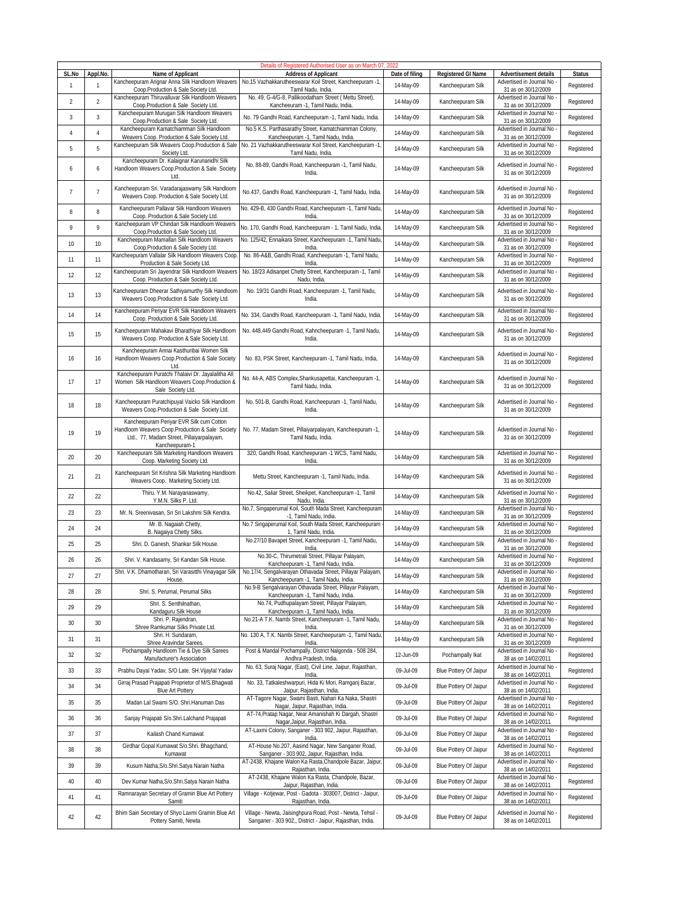|                       |                          |                                                                                                                                                            | Details of Registered Authorised User as on March 07                                                                                                    |                |                        |                                                                             |               |
|-----------------------|--------------------------|------------------------------------------------------------------------------------------------------------------------------------------------------------|---------------------------------------------------------------------------------------------------------------------------------------------------------|----------------|------------------------|-----------------------------------------------------------------------------|---------------|
| SL.No<br>$\mathbf{1}$ | Appl.No.<br>$\mathbf{1}$ | Name of Applicant<br>Kancheepuram Arignar Anna Silk Handloom Weavers                                                                                       | <b>Address of Applicant</b><br>No.15 Vazhakkarutheeswarar Koil Street, Kancheepuram -1,                                                                 | Date of filing | Registered GI Name     | Advertisement details<br>Advertised in Journal No                           | <b>Status</b> |
|                       |                          | Coop.Production & Sale Society Ltd.<br>Kancheepuram Thiruvalluvar Silk Handloom Weavers                                                                    | Tamil Nadu, India.<br>No. 49, G-4/G-8, Pallikoodatham Street ( Mettu Street),                                                                           | 14-May-09      | Kancheepuram Silk      | 31 as on 30/12/2009<br>Advertised in Journal No                             | Registered    |
| $\overline{2}$        | $\overline{2}$           | Coop.Production & Sale Society Ltd.                                                                                                                        | Kancheeuram -1, Tamil Nadu, India.                                                                                                                      | 14-May-09      | Kancheepuram Silk      | 31 as on 30/12/2009                                                         | Registered    |
| 3                     | 3                        | Kancheepuram Murugan Silk Handloom Weavers<br>Coop.Production & Sale Society Ltd.                                                                          | No. 79 Gandhi Road, Kancheepuram -1, Tamil Nadu, India.                                                                                                 | 14-May-09      | Kancheepuram Silk      | Advertised in Journal No<br>31 as on 30/12/2009                             | Registered    |
| $\overline{4}$        | $\sqrt{4}$               | Kancheepuram Kamatchiamman Silk Handloom<br>Weavers Coop. Production & Sale Society Ltd.                                                                   | No.5 K.S. Parthasarathy Street, Kamatchiamman Colony,<br>Kancheepuram -1, Tamil Nadu, India.                                                            | 14-May-09      | Kancheepuram Silk      | Advertised in Journal No<br>31 as on 30/12/2009                             | Registered    |
| 5                     | 5                        | Kancheepuram Silk Weavers Coop.Production & Sale<br>Society Ltd.                                                                                           | No. 21 Vazhakkarutheeswarar Koil Street, Kancheepuram -1,<br>Tamil Nadu, India.                                                                         | 14-May-09      | Kancheepuram Silk      | Advertised in Journal No<br>31 as on 30/12/2009                             | Registered    |
| 6                     | 6                        | Kancheepuram Dr. Kalaignar Karunanidhi Silk<br>Handloom Weavers Coop.Production & Sale Society<br>Ltd.                                                     | No. 88-89, Gandhi Road, Kancheepuram -1, Tamil Nadu,<br>India.                                                                                          | 14-May-09      | Kancheepuram Silk      | Advertised in Journal No<br>31 as on 30/12/2009                             | Registered    |
| $\overline{7}$        | $\overline{7}$           | Kancheepuram Sri. Varadarajaswamy Silk Handloom<br>Weavers Coop. Production & Sale Society Ltd.                                                            | No.437, Gandhi Road, Kancheepuram -1, Tamil Nadu, India.                                                                                                | 14-May-09      | Kancheepuram Silk      | Advertised in Journal No<br>31 as on 30/12/2009                             | Registered    |
| $\, 8$                | 8                        | Kancheepuram Pallavar Silk Handloom Weavers<br>Coop. Production & Sale Society Ltd.                                                                        | No. 429-B, 430 Gandhi Road, Kancheepuram -1, Tamil Nadu,<br>India.                                                                                      | 14-May-09      | Kancheepuram Silk      | Advertised in Journal No<br>31 as on 30/12/2009                             | Registered    |
| 9                     | 9                        | Kancheepuram VP Chindan Silk Handloom Weavers<br>Coop.Production & Sale Society Ltd.                                                                       | No. 170, Gandhi Road, Kancheepuram - 1, Tamil Nadu, India.                                                                                              | 14-May-09      | Kancheepuram Silk      | Advertised in Journal No<br>31 as on 30/12/2009                             | Registered    |
| 10                    | 10                       | Kancheepuram Mamallan Silk Handloom Weavers<br>Coop.Production & Sale Society Ltd                                                                          | No. 125/42, Ennaikara Street, Kancheepuram -1, Tamil Nadu,<br>India.                                                                                    | 14-May-09      | Kancheepuram Silk      | Advertised in Journal No<br>31 as on 30/12/2009                             | Registered    |
| 11                    | 11                       | Kancheepuram Vallalar Silk Handloom Weavers Coop                                                                                                           | No. 86-A&B, Gandhi Road, Kancheepuram -1, Tamil Nadu,                                                                                                   | 14-May-09      | Kancheepuram Silk      | Advertised in Journal No                                                    | Registered    |
| 12                    | 12                       | Production & Sale Society Ltd.<br>Kancheepuram Sri Jayendrar Silk Handloom Weavers                                                                         | India.<br>No. 18/23 Adisanpet Chetty Street, Kancheepuram -1, Tamil                                                                                     | 14-May-09      | Kancheepuram Silk      | 31 as on 30/12/2009<br>Advertised in Journal No                             | Registered    |
|                       |                          | Coop. Production & Sale Society Ltd.                                                                                                                       | Nadu, India.<br>No. 19/31 Gandhi Road, Kancheepuram -1, Tamil Nadu,                                                                                     |                |                        | 31 as on 30/12/2009                                                         |               |
| 13                    | 13                       | Kancheepuram Dheerar Sathiyamurthy Silk Handloom<br>Weavers Coop.Production & Sale Society Ltd.<br>Kancheepuram Periyar EVR Silk Handloom Weavers          | India.                                                                                                                                                  | 14-May-09      | Kancheepuram Silk      | Advertised in Journal No<br>31 as on 30/12/2009<br>Advertised in Journal No | Registered    |
| 14                    | 14                       | Coop. Production & Sale Society Ltd.                                                                                                                       | No. 334, Gandhi Road, Kancheepuram -1, Tamil Nadu, India.                                                                                               | 14-May-09      | Kancheepuram Silk      | 31 as on 30/12/2009                                                         | Registered    |
| 15                    | 15                       | Kancheepuram Mahakavi Bharathiyar Silk Handloom<br>Weavers Coop. Production & Sale Society Ltd.<br>Kancheepuram Annai Kasthuribai Women Silk               | No. 448,449 Gandhi Road, Kahncheepuram -1, Tamil Nadu,<br>India.                                                                                        | 14-May-09      | Kancheepuram Silk      | Advertised in Journal No<br>31 as on 30/12/2009                             | Registered    |
| 16                    | 16                       | Handloom Weavers Coop.Production & Sale Society<br>Ltd.                                                                                                    | No. 83, PSK Street, Kancheepuram -1, Tamil Nadu, India,                                                                                                 | 14-May-09      | Kancheepuram Silk      | Advertised in Journal No<br>31 as on 30/12/2009                             | Registered    |
| 17                    | 17                       | Kancheepuram Puratchi Thalaivi Dr. Jayalalitha All<br>Women Silk Handloom Weavers Coop.Production &<br>Sale Society Ltd.                                   | No. 44-A, ABS Complex, Shankusapettai, Kancheepuram -1,<br>Tamil Nadu, India.                                                                           | 14-May-09      | Kancheepuram Silk      | Advertised in Journal No<br>31 as on 30/12/2009                             | Registered    |
| 18                    | 18                       | Kancheepuram Puratchipuyal Vaicko Silk Handloom<br>Weavers Coop.Production & Sale Society Ltd.                                                             | No. 501-B, Gandhi Road, Kancheepuram -1, Tamil Nadu,<br>India.                                                                                          | 14-May-09      | Kancheepuram Silk      | Advertised in Journal No<br>31 as on 30/12/2009                             | Registered    |
| 19                    | 19                       | Kancheepuram Periyar EVR Silk cum Cotton<br>Handloom Weavers Coop.Production & Sale Society<br>Ltd., 77, Madam Street, Pillaiyarpalayam,<br>Kancheepuram-1 | No. 77, Madam Street, Pillaiyarpalayam, Kancheepuram -1,<br>Tamil Nadu, India.                                                                          | 14-May-09      | Kancheepuram Silk      | Advertised in Journal No<br>31 as on 30/12/2009                             | Registered    |
| 20                    | 20                       | Kancheepuram Silk Marketing Handloom Weavers<br>Coop. Marketing Society Ltd.                                                                               | 320, Gandhi Road, Kancheepuram -1 WCS, Tamil Nadu,<br>India.                                                                                            | 14-May-09      | Kancheepuram Silk      | Advertised in Journal No<br>31 as on 30/12/2009                             | Registered    |
| 21                    | 21                       | Kancheepuram Sri Krishna Silk Marketing Handloom<br>Weavers Coop. Marketing Society Ltd.                                                                   | Mettu Street, Kancheepuram -1, Tamil Nadu, India.                                                                                                       | 14-May-09      | Kancheepuram Silk      | Advertised in Journal No<br>31 as on 30/12/2009                             | Registered    |
| 22                    | 22                       | Thiru. Y.M. Narayanaswamy,<br>Y.M.N. Silks P. Ltd.                                                                                                         | No.42, Saliar Street, Sheikpet, Kancheepuram -1, Tamil<br>Nadu, India.                                                                                  | 14-May-09      | Kancheepuram Silk      | Advertised in Journal No<br>31 as on 30/12/2009                             | Registered    |
| 23                    | 23                       | Mr. N. Sreenivasan, Sri Sri Lakshmi Silk Kendra.                                                                                                           | No.7, Singaperumal Koil, South Mada Street, Kancheepuram<br>-1, Tamil Nadu, India.                                                                      | 14-May-09      | Kancheepuram Silk      | Advertised in Journal No<br>31 as on 30/12/2009                             | Registered    |
| 24                    | 24                       | Mr. B. Nagaiah Chetty,<br>B. Nagaiya Chetty Silks.                                                                                                         | No.7 Singaperumal Koil, South Mada Street, Kancheepuram<br>1, Tamil Nadu, India.                                                                        | 14-May-09      | Kancheepuram Silk      | Advertised in Journal No<br>31 as on 30/12/2009                             | Registered    |
| 25                    | 25                       | Shri. D. Ganesh, Shankar Silk House.                                                                                                                       | No.27/10 Bavapet Street, Kancheepuram -1, Tamil Nadu,                                                                                                   | 14-May-09      | Kancheepuram Silk      | Advertised in Journal No                                                    | Registered    |
| 26                    | 26                       | Shri. V. Kandasamy, Sri Kandan Silk House.                                                                                                                 | India.<br>No.30-C, Thirumetrali Street, Pillayar Palayam,                                                                                               | 14-May-09      | Kancheepuram Silk      | 31 as on 30/12/2009<br>Advertised in Journal No                             | Registered    |
|                       |                          |                                                                                                                                                            | Kancheepuram -1, Tamil Nadu, India.<br>Shri. V.K. Dhamotharan, Sri Varasitthi Vinayagar Silk No.17/4, Sengalvarayan Othavadai Street, Pillayar Palayam, | 14-May-09      | Kancheepuram Silk      | 31 as on 30/12/2009<br>Advertised in Journal No -                           | Registered    |
| 27                    | 27                       | House.                                                                                                                                                     | Kancheepuram -1, Tamil Nadu, India.<br>No.9-B Sengalvarayan Othavadai Street, Pillayar Palayam,                                                         |                |                        | 31 as on 30/12/2009<br>Advertised in Journal No                             |               |
| 28                    | 28                       | Shri. S. Perumal, Perumal Silks<br>Shri. S. Senthilnathan,                                                                                                 | Kancheepuram -1, Tamil Nadu, India.<br>No.74, Pudhupalayam Street, Pillayar Palayam,                                                                    | 14-May-09      | Kancheepuram Silk      | 31 as on 30/12/2009<br>Advertised in Journal No                             | Registered    |
| 29                    | 29                       | Kandaguru Silk House                                                                                                                                       | Kancheepuram -1, Tamil Nadu, India.                                                                                                                     | 14-May-09      | Kancheepuram Silk      | 31 as on 30/12/2009                                                         | Registered    |
| 30                    | 30                       | Shri. P. Rajendran,<br>Shree Ramkumar Silks Private Ltd.                                                                                                   | No.21-A T.K. Nambi Street, Kancheepuram -1, Tamil Nadu,<br>India.                                                                                       | 14-May-09      | Kancheepuram Silk      | Advertised in Journal No<br>31 as on 30/12/2009                             | Registered    |
| 31                    | 31                       | Shri. H. Sundaram,<br>Shree Aravindar Sarees.                                                                                                              | No. 130 A, T.K. Nambi Street, Kancheepuram -1, Tamil Nadu<br>India.                                                                                     | 14-May-09      | Kancheepuram Silk      | Advertised in Journal No<br>31 as on 30/12/2009                             | Registered    |
| 32                    | 32                       | Pochampally Handloom Tie & Dye Silk Sarees<br>Manufacturer's Association                                                                                   | Post & Mandal Pochampally, District Nalgonda - 508 284,<br>Andhra Pradesh, India.                                                                       | 12-Jun-09      | Pochampally Ikat       | Advertised in Journal No<br>38 as on 14/02/2011                             | Registered    |
| 33                    | 33                       | Prabhu Dayal Yadav, S/O Late. SH.Vijaylal Yadav                                                                                                            | No. 63, Suraj Nagar, (East), Civil Line, Jaipur, Rajasthan,<br>India.                                                                                   | 09-Jul-09      | Blue Pottery Of Jaipur | Advertised in Journal No<br>38 as on 14/02/2011                             | Registered    |
| 34                    | 34                       | Girraj Prasad Prajapati Proprietor of M/S. Bhagwati                                                                                                        | No. 33, Tatkaleshwarpuri, Hida Ki Mori, Ramqanj Bazar,                                                                                                  | 09-Jul-09      | Blue Pottery Of Jaipur | Advertised in Journal No                                                    | Registered    |
| 35                    | 35                       | <b>Blue Art Pottery</b><br>Madan Lal Swami S/O. Shri.Hanuman Das                                                                                           | Jaipur, Rajasthan, India.<br>AT-Tagore Nagar, Swami Basti, Nahari Ka Naka, Shastri                                                                      | 09-Jul-09      | Blue Pottery Of Jaipur | 38 as on 14/02/2011<br>Advertised in Journal No                             | Registered    |
| 36                    | 36                       | Sanjay Prajapati S/o.Shri.Lalchand Prajapati                                                                                                               | Nagar, Jaipur, Rajasthan, India.<br>AT-74, Pratap Nagar, Near Amanishah Ki Dargah, Shastri                                                              | 09-Jul-09      | Blue Pottery Of Jaipur | 38 as on 14/02/2011<br>Advertised in Journal No                             | Registered    |
|                       |                          |                                                                                                                                                            | Nagar, Jaipur, Rajasthan, India.<br>AT-Laxmi Colony, Sanganer - 303 902, Jaipur, Rajasthan,                                                             |                |                        | 38 as on 14/02/2011<br>Advertised in Journal No                             |               |
| 37                    | 37                       | Kailash Chand Kumawat<br>Girdhar Gopal Kumawat S/o.Shri. Bhagchand,                                                                                        | India.<br>AT-House No.207, Aasind Nagar, New Sanganer Road,                                                                                             | 09-Jul-09      | Blue Pottery Of Jaipur | 38 as on 14/02/2011<br>Advertised in Journal No                             | Registered    |
| 38                    | 38                       | Kumawat                                                                                                                                                    | Sanganer - 303 902, Jaipur, Rajasthan, India.<br>AT-2438, Khajane Walon Ka Rasta, Chandpole Bazar, Jaipur,                                              | 09-Jul-09      | Blue Pottery Of Jaipur | 38 as on 14/02/2011<br>Advertised in Journal No                             | Registered    |
| 39                    | 39                       | Kusum Natha, S/o. Shri. Satya Narain Natha                                                                                                                 | Rajasthan, India.                                                                                                                                       | 09-Jul-09      | Blue Pottery Of Jaipur | 38 as on 14/02/2011                                                         | Registered    |
| 40                    | 40                       | Dev Kumar Natha, S/o. Shri. Satya Narain Natha                                                                                                             | AT-2438, Khajane Walon Ka Rasta, Chandpole, Bazar,<br>Jaipur, Rajasthan, India.                                                                         | 09-Jul-09      | Blue Pottery Of Jaipur | Advertised in Journal No<br>38 as on 14/02/2011                             | Registered    |
| 41                    | 41                       | Ramnarayan Secretary of Gramin Blue Art Pottery<br>Samiti                                                                                                  | Village - Kotjewar, Post - Gadota - 303007, District - Jaipur,<br>Rajasthan, India.                                                                     | 09-Jul-09      | Blue Pottery Of Jaipur | Advertised in Journal No<br>38 as on 14/02/2011                             | Registered    |
| 42                    | 42                       | Bhim Sain Secretary of Shyo Laxmi Gramin Blue Art<br>Pottery Samiti, Newta                                                                                 | Village - Newta, Jaisinghpura Road, Post - Newta, Tehsil -<br>Sanganer - 303 902,, District - Jaipur, Rajasthan, India.                                 | 09-Jul-09      | Blue Pottery Of Jaipur | Advertised in Journal No<br>38 as on 14/02/2011                             | Registered    |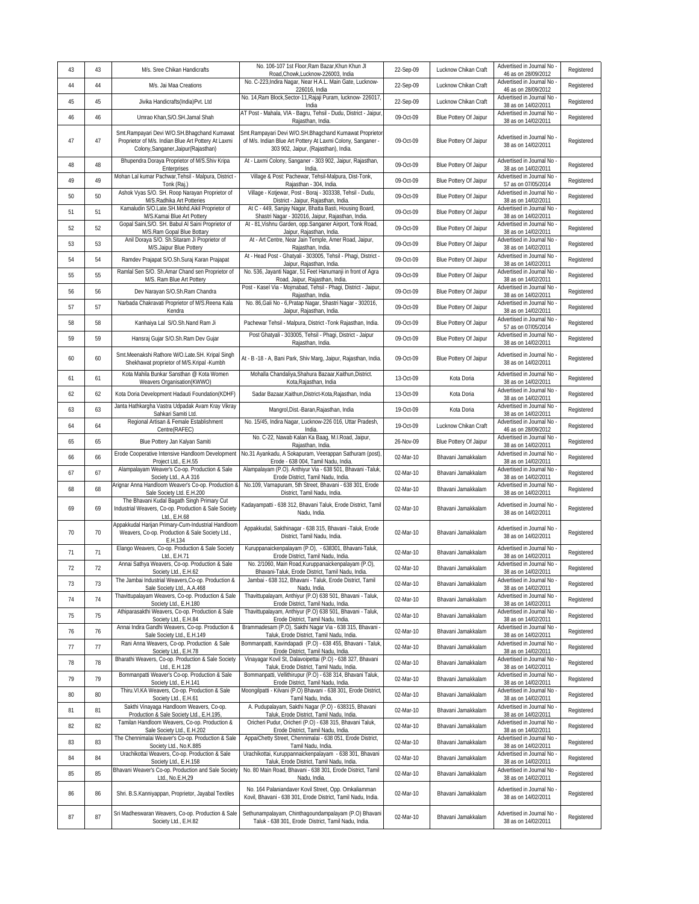| 43 | 43 | M/s. Sree Chikan Handicrafts                                                                                                               | No. 106-107 1st Floor, Ram Bazar, Khun Khun JI<br>Road,Chowk,Lucknow-226003, India                                                                            | 22-Sep-09 | Lucknow Chikan Craft   | Advertised in Journal No<br>46 as on 28/09/2012   | Registered |
|----|----|--------------------------------------------------------------------------------------------------------------------------------------------|---------------------------------------------------------------------------------------------------------------------------------------------------------------|-----------|------------------------|---------------------------------------------------|------------|
| 44 | 44 | M/s. Jai Maa Creations                                                                                                                     | No. C-223, Indira Nagar, Near H.A.L. Main Gate, Lucknow-<br>226016, India                                                                                     | 22-Sep-09 | Lucknow Chikan Craft   | Advertised in Journal No<br>46 as on 28/09/2012   | Registered |
| 45 | 45 | Jivika Handicrafts(India)Pvt. Ltd                                                                                                          | No. 14, Ram Block, Sector-11, Rajaji Puram, lucknow-226017,<br>India                                                                                          | 22-Sep-09 | Lucknow Chikan Craft   | Advertised in Journal No -<br>38 as on 14/02/2011 | Registered |
| 46 | 46 | Umrao Khan, S/O.SH. Jamal Shah                                                                                                             | AT Post - Mahala, VIA - Bagru, Tehsil - Dudu, District - Jaipur<br>Rajasthan, India.                                                                          | 09-Oct-09 | Blue Pottery Of Jaipur | Advertised in Journal No<br>38 as on 14/02/2011   | Registered |
| 47 | 47 | Smt.Rampayari Devi W/O.SH.Bhagchand Kumawat<br>Proprietor of M/s. Indian Blue Art Pottery At Laxmi<br>Colony, Sanganer, Jaipur (Rajasthan) | Smt.Rampayari Devi W/O.SH.Bhagchand Kumawat Proprietor<br>of M/s. Indian Blue Art Pottery At Laxmi Colony, Sanganer -<br>303 902, Jaipur, (Rajasthan), India. | 09-Oct-09 | Blue Pottery Of Jaipur | Advertised in Journal No<br>38 as on 14/02/2011   | Registered |
| 48 | 48 | Bhupendra Doraya Proprietor of M/S.Shiv Kripa<br>Enterprises                                                                               | At - Laxmi Colony, Sanganer - 303 902, Jaipur, Rajasthan,<br>India.                                                                                           | 09-Oct-09 | Blue Pottery Of Jaipur | Advertised in Journal No<br>38 as on 14/02/2011   | Registered |
| 49 | 49 | Mohan Lal kumar Pachwar, Tehsil - Malpura, District -<br>Tonk (Raj.)                                                                       | Village & Post: Pachewar, Tehsil-Malpura, Dist-Tonk,<br>Rajasthan - 304, India.                                                                               | 09-Oct-09 | Blue Pottery Of Jaipur | Advertised in Journal No<br>57 as on 07/05/2014   | Registered |
| 50 | 50 | Ashok Vyas S/O. SH. Roop Narayan Proprietor of<br>M/S.Radhika Art Potteries                                                                | Village - Kotjewar, Post - Boraj - 303338, Tehsil - Dudu,<br>District - Jaipur, Rajasthan, India.                                                             | 09-Oct-09 | Blue Pottery Of Jaipur | Advertised in Journal No<br>38 as on 14/02/2011   | Registered |
| 51 | 51 | Kamaludin S/O.Late.SH.Mohd.Aikil Proprietor of<br>M/S.Kamai Blue Art Pottery                                                               | At C - 449, Sanjay Nagar, Bhatta Basti, Housing Board,<br>Shastri Nagar - 302016, Jaipur, Rajasthan, India.                                                   | 09-Oct-09 | Blue Pottery Of Jaipur | Advertised in Journal No<br>38 as on 14/02/2011   | Registered |
| 52 | 52 | Gopal Saini, S/O. SH. Babul Al Saini Proprietor of<br>M/S.Ram Gopal Blue Bottary                                                           | At - 81, Vishnu Garden, opp. Sanganer Airport, Tonk Road,<br>Jaipur, Rajasthan, India.                                                                        | 09-Oct-09 | Blue Pottery Of Jaipur | Advertised in Journal No<br>38 as on 14/02/2011   | Registered |
| 53 | 53 | Anil Doraya S/O. Sh. Sitaram Ji Proprietor of<br>M/S.Jaipur Blue Pottery                                                                   | At - Art Centre, Near Jain Temple, Amer Road, Jaipur,<br>Rajasthan, India.                                                                                    | 09-Oct-09 | Blue Pottery Of Jaipur | Advertised in Journal No<br>38 as on 14/02/2011   | Registered |
| 54 | 54 | Ramdev Prajapat S/O.Sh.Suraj Karan Prajapat                                                                                                | At - Head Post - Ghatyali - 303005, Tehsil - Phagi, District -<br>Jaipur, Rajasthan, India.                                                                   | 09-Oct-09 | Blue Pottery Of Jaipur | Advertised in Journal No<br>38 as on 14/02/2011   | Registered |
| 55 | 55 | Ramlal Sen S/O. Sh.Amar Chand sen Proprietor of<br>M/S. Ram Blue Art Pottery                                                               | No. 536, Jayanti Nagar, 51 Feet Hanumanji in front of Agra<br>Road, Jaipur, Rajasthan, India.                                                                 | 09-Oct-09 | Blue Pottery Of Jaipur | Advertised in Journal No<br>38 as on 14/02/2011   | Registered |
| 56 | 56 | Dev Narayan S/O.Sh.Ram Chandra                                                                                                             | Post - Kasel Via - Mojmabad, Tehsil - Phagi, District - Jaipur,<br>Rajasthan, India.                                                                          | 09-Oct-09 | Blue Pottery Of Jaipur | Advertised in Journal No<br>38 as on 14/02/2011   | Registered |
| 57 | 57 | Narbada Chakravati Proprietor of M/S.Reena Kala<br>Kendra                                                                                  | No. 86, Gali No - 6, Pratap Nagar, Shastri Nagar - 302016,<br>Jaipur, Rajasthan, India.                                                                       | 09-Oct-09 | Blue Pottery Of Jaipur | Advertised in Journal No<br>38 as on 14/02/2011   | Registered |
| 58 | 58 | Kanhaiya Lal S/O.Sh.Nand Ram Ji                                                                                                            | Pachewar Tehsil - Malpura, District -Tonk Rajasthan, India.                                                                                                   | 09-Oct-09 | Blue Pottery Of Jaipur | Advertised in Journal No<br>57 as on 07/05/2014   | Registered |
| 59 | 59 | Hansraj Gujar S/O.Sh.Ram Dev Gujar                                                                                                         | Post Ghatyali - 303005, Tehsil - Phagi, District - Jaipur<br>Rajasthan, India.                                                                                | 09-Oct-09 | Blue Pottery Of Jaipur | Advertised in Journal No<br>38 as on 14/02/2011   | Registered |
| 60 | 60 | Smt.Meenakshi Rathore W/O.Late.SH. Kripal Singh<br>Shekhawat proprietor of M/S.Kripal -Kumbh                                               | At - B -18 - A, Bani Park, Shiv Marg, Jaipur, Rajasthan, India.                                                                                               | 09-Oct-09 | Blue Pottery Of Jaipur | Advertised in Journal No<br>38 as on 14/02/2011   | Registered |
| 61 | 61 | Kota Mahila Bunkar Sansthan @ Kota Women<br>Weavers Organisation(KWWO)                                                                     | Mohalla Chandaliya, Shahura Bazaar, Kaithun, District.<br>Kota, Rajasthan, India                                                                              | 13-Oct-09 | Kota Doria             | Advertised in Journal No<br>38 as on 14/02/2011   | Registered |
| 62 | 62 | Kota Doria Development Hadauti Foundation(KDHF)                                                                                            | Sadar Bazaar, Kaithun, District-Kota, Rajasthan, India                                                                                                        | 13-Oct-09 | Kota Doria             | Advertised in Journal No<br>38 as on 14/02/2011   | Registered |
| 63 | 63 | Janta Hathkargha Vastra Udpadak Avam Kray Vikray<br>Sahkari Samiti Ltd.                                                                    | Mangrol, Dist.-Baran, Rajasthan, India                                                                                                                        | 19-Oct-09 | Kota Doria             | Advertised in Journal No<br>38 as on 14/02/2011   | Registered |
| 64 | 64 | Regional Artisan & Female Establishment<br>Centre(RAFEC)                                                                                   | No. 15/45, Indira Nagar, Lucknow-226 016, Uttar Pradesh,<br>India.                                                                                            | 19-Oct-09 | Lucknow Chikan Craft   | Advertised in Journal No<br>46 as on 28/09/2012   | Registered |
| 65 | 65 | Blue Pottery Jan Kalyan Samiti                                                                                                             | No. C-22, Nawab Kalan Ka Baag, M.I.Road, Jaipur,<br>Rajasthan, India.                                                                                         | 26-Nov-09 | Blue Pottery Of Jaipur | Advertised in Journal No<br>38 as on 14/02/2011   | Registered |
| 66 | 66 | Erode Cooperative Intensive Handloom Development<br>Project Ltd., E.H.55                                                                   | No.31 Ayankadu, A Sokapuram, Veerappan Sathuram (post),<br>Erode - 638 004, Tamil Nadu, India.                                                                | 02-Mar-10 | Bhavani Jamakkalam     | Advertised in Journal No<br>38 as on 14/02/2011   | Registered |
| 67 | 67 | Alampalayam Weaver's Co-op. Production & Sale<br>Society Ltd., A.A 316                                                                     | Alampalayam (P.O). Anthiyur Via - 638 501, Bhavani - Taluk,<br>Erode District, Tamil Nadu, India.                                                             | 02-Mar-10 | Bhavani Jamakkalam     | Advertised in Journal No<br>38 as on 14/02/2011   | Registered |
| 68 | 68 | Arignar Anna Handloom Weaver's Co-op. Production &<br>Sale Society Ltd. E.H.200                                                            | No.109, Varnapuram, 5th Street, Bhavani - 638 301, Erode<br>District, Tamil Nadu, India.                                                                      | 02-Mar-10 | Bhavani Jamakkalam     | Advertised in Journal No<br>38 as on 14/02/2011   | Registered |
| 69 | 69 | The Bhavani Kudal Bagath Singh Primary Cut<br>Industrial Weavers, Co-op. Production & Sale Society<br>Ltd., E.H.68                         | Kadayampatti - 638 312, Bhavani Taluk, Erode District, Tamil<br>Nadu, India.                                                                                  | 02-Mar-10 | Bhavani Jamakkalam     | Advertised in Journal No<br>38 as on 14/02/2011   | Registered |
| 70 | 70 | Appakkudal Harijan Primary-Cum-Industrial Handloom<br>Weavers, Co-op. Production & Sale Society Ltd.,<br>E.H.134                           | Appakkudal, Sakthinagar - 638 315, Bhavani - Taluk, Erode<br>District, Tamil Nadu, India.                                                                     | 02-Mar-10 | Bhavani Jamakkalam     | Advertised in Journal No<br>38 as on 14/02/2011   | Registered |
| 71 | 71 | Elango Weavers, Co-op. Production & Sale Society<br>Ltd., E.H.71                                                                           | Kuruppanaickenpalayam (P.O), - 638301, Bhavani-Taluk,<br>Erode District, Tamil Nadu, India.                                                                   | 02-Mar-10 | Bhavani Jamakkalam     | Advertised in Journal No<br>38 as on 14/02/2011   | Registered |
| 72 | 72 | Annai Sathya Weavers, Co-op. Production & Sale<br>Society Ltd., F.H.62                                                                     | No. 2/1060, Main Road, Kuruppanaickenpalayam (P.O),<br>Bhavani-Taluk, Frode District, Tamil Nadu, India.                                                      | 02-Mar-10 | Bhavani Jamakkalam     | Advertised in Journal No<br>38 as on 14/02/2011   | Registered |
| 73 | 73 | The Jambai Industrial Weavers, Co-op. Production &<br>Sale Society Ltd., A.A.468                                                           | Jambai - 638 312, Bhavani - Taluk, Erode District, Tamil<br>Nadu, India.                                                                                      | 02-Mar-10 | Bhavani Jamakkalam     | Advertised in Journal No<br>38 as on 14/02/2011   | Registered |
| 74 | 74 | Thavittupalayam Weavers, Co-op. Production & Sale<br>Society Ltd., E.H.180                                                                 | Thavittupalayam, Anthiyur (P.O) 638 501, Bhavani - Taluk,<br>Erode District, Tamil Nadu, India.                                                               | 02-Mar-10 | Bhavani Jamakkalam     | Advertised in Journal No<br>38 as on 14/02/2011   | Registered |
| 75 | 75 | Athiparasakthi Weavers, Co-op. Production & Sale<br>Society Ltd., E.H.84                                                                   | Thavittupalayam, Anthiyur (P.O) 638 501, Bhavani - Taluk,<br>Erode District, Tamil Nadu, India.                                                               | 02-Mar-10 | Bhavani Jamakkalam     | Advertised in Journal No -<br>38 as on 14/02/2011 | Registered |
| 76 | 76 | Annai Indira Gandhi Weavers, Co-op. Production &<br>Sale Society Ltd., E.H.149                                                             | Brammadesam (P.O), Sakthi Nagar Via - 638 315, Bhavani -<br>Taluk, Erode District, Tamil Nadu, India.                                                         | 02-Mar-10 | Bhavani Jamakkalam     | Advertised in Journal No<br>38 as on 14/02/2011   | Registered |
| 77 | 77 | Rani Anna Weavers, Co-op. Production & Sale<br>Society Ltd., E.H.78                                                                        | Bommanpatti, Kavindapadi (P.O) - 638 455, Bhavani - Taluk,<br>Erode District, Tamil Nadu, India.                                                              | 02-Mar-10 | Bhavani Jamakkalam     | Advertised in Journal No<br>38 as on 14/02/2011   | Registered |
| 78 | 78 | Bharathi Weavers, Co-op. Production & Sale Society<br>Ltd., E.H.128                                                                        | Vinayagar Kovil St, Dalavoipettai (P.O) - 638 327, Bhavani<br>Taluk, Erode District, Tamil Nadu, India.                                                       | 02-Mar-10 | Bhavani Jamakkalam     | Advertised in Journal No -<br>38 as on 14/02/2011 | Registered |
| 79 | 79 | Bommanpatti Weaver's Co-op. Production & Sale<br>Society Ltd., E.H.141                                                                     | Bommanpatti, Vellithirupur (P.O) - 638 314, Bhavani Taluk,<br>Erode District, Tamil Nadu, India.                                                              | 02-Mar-10 | Bhavani Jamakkalam     | Advertised in Journal No<br>38 as on 14/02/2011   | Registered |
| 80 | 80 | Thiru.VI.KA Weavers, Co-op. Production & Sale<br>Society Ltd., E.H.61                                                                      | Moongilpatti - Kilvani (P.O) Bhavani - 638 301, Erode District,<br>Tamil Nadu, India.                                                                         | 02-Mar-10 | Bhavani Jamakkalam     | Advertised in Journal No<br>38 as on 14/02/2011   | Registered |
| 81 | 81 | Sakthi Vinayaga Handloom Weavers, Co-op.<br>Production & Sale Society Ltd., E.H.195,                                                       | A. Pudupalayam, Sakthi Nagar (P.O) - 638315, Bhavani<br>Taluk, Erode District, Tamil Nadu, India.                                                             | 02-Mar-10 | Bhavani Jamakkalam     | Advertised in Journal No<br>38 as on 14/02/2011   | Registered |
| 82 | 82 | Tamilan Handloom Weavers, Co-op. Production &<br>Sale Society Ltd., E.H.202                                                                | Oricheri Pudur, Oricheri (P.O) - 638 315, Bhavani Taluk,<br>Erode District, Tamil Nadu, India.                                                                | 02-Mar-10 | Bhavani Jamakkalam     | Advertised in Journal No<br>38 as on 14/02/2011   | Registered |
| 83 | 83 | The Chennimalai Weaver's Co-op. Production & Sale<br>Society Ltd., No.K.885                                                                | AppaiChetty Street, Chennimalai - 638 051, Erode District,<br>Tamil Nadu, India.                                                                              | 02-Mar-10 | Bhavani Jamakkalam     | Advertised in Journal No<br>38 as on 14/02/2011   | Registered |
| 84 | 84 | Urachikottai Weavers, Co-op. Production & Sale<br>Society Ltd., E.H.158                                                                    | Urachikottai, Kuruppannaickenpalayam - 638 301, Bhavani<br>Taluk, Erode District, Tamil Nadu, India.                                                          | 02-Mar-10 | Bhavani Jamakkalam     | Advertised in Journal No<br>38 as on 14/02/2011   | Registered |
| 85 | 85 | Bhavani Weaver's Co-op. Production and Sale Society<br>Ltd., No.E.H,29                                                                     | No. 80 Main Road, Bhavani - 638 301, Erode District, Tamil<br>Nadu, India.                                                                                    | 02-Mar-10 | Bhavani Jamakkalam     | Advertised in Journal No<br>38 as on 14/02/2011   | Registered |
| 86 | 86 | Shri. B.S.Kanniyappan, Proprietor, Jayabal Textiles                                                                                        | No. 164 Palaniandaver Kovil Street, Opp. Omkaliamman<br>Kovil, Bhavani - 638 301, Erode District, Tamil Nadu, India.                                          | 02-Mar-10 | Bhavani Jamakkalam     | Advertised in Journal No -<br>38 as on 14/02/2011 | Registered |
| 87 | 87 | Sri Madheswaran Weavers, Co-op. Production & Sale<br>Society Ltd., E.H.82                                                                  | Sethunampalayam, Chinthagoundampalayam (P.O) Bhavani<br>Taluk - 638 301, Erode District, Tamil Nadu, India.                                                   | 02-Mar-10 | Bhavani Jamakkalam     | Advertised in Journal No<br>38 as on 14/02/2011   | Registered |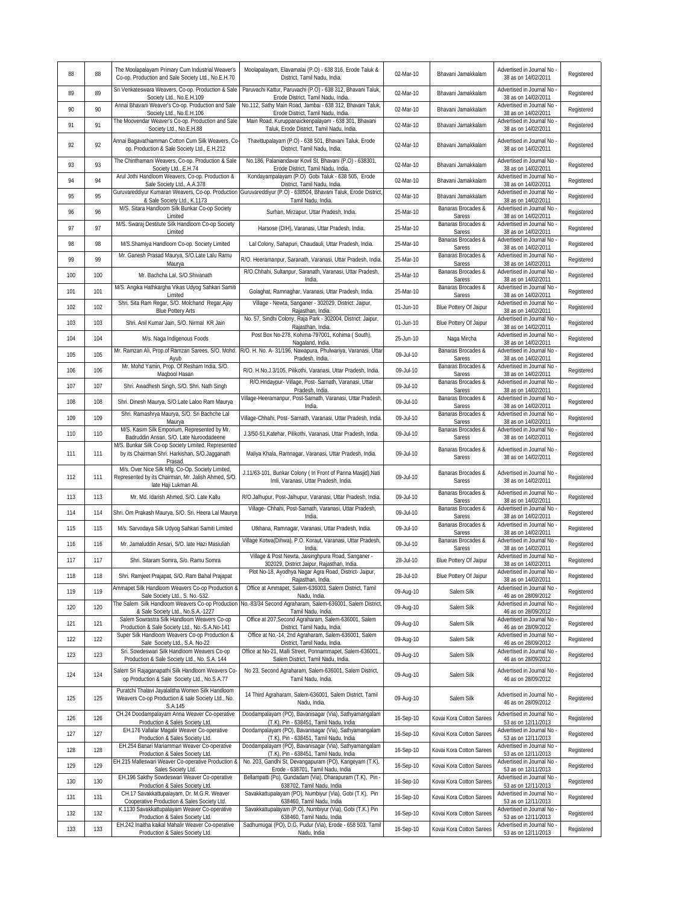| 88  | 88  | The Moolapalayam Primary Cum Industrial Weaver's<br>Co-op. Production and Sale Society Ltd., No.E.H.70                           | Moolapalayam, Elavamalai (P.O) - 638 316, Erode Taluk &<br>District. Tamil Nadu. India.                                           | 02-Mar-10 | Bhavani Jamakkalam           | Advertised in Journal No<br>38 as on 14/02/2011   | Registered |
|-----|-----|----------------------------------------------------------------------------------------------------------------------------------|-----------------------------------------------------------------------------------------------------------------------------------|-----------|------------------------------|---------------------------------------------------|------------|
| 89  | 89  | Sri Venkateswara Weavers, Co-op. Production & Sale<br>Society Ltd., No.E.H.109                                                   | Paruvachi Kattur, Paruvachi (P.O) - 638 312, Bhavani Taluk,<br>Erode District, Tamil Nadu, India.                                 | 02-Mar-10 | Bhavani Jamakkalam           | Advertised in Journal No<br>38 as on 14/02/2011   | Registered |
| 90  | 90  | Annai Bhavani Weaver's Co-op. Production and Sale<br>Society Ltd., No.E.H.106                                                    | No.112, Sathy Main Road, Jambai - 638 312, Bhavani Taluk,<br>Erode District, Tamil Nadu, India.                                   | 02-Mar-10 | Bhavani Jamakkalam           | Advertised in Journal No<br>38 as on 14/02/2011   | Registered |
| 91  | 91  | The Moovendar Weaver's Co-op. Production and Sale<br>Society Ltd., No.E.H.88                                                     | Main Road, Kuruppanaickenpalayam - 638 301, Bhavani<br>Taluk, Erode District, Tamil Nadu, India.                                  | 02-Mar-10 | Bhavani Jamakkalam           | Advertised in Journal No<br>38 as on 14/02/2011   | Registered |
| 92  | 92  | Annai Bagavathiamman Cotton Cum Silk Weavers, Co<br>op. Production & Sale Society Ltd., E.H.212                                  | Thavittupalayam (P.O) - 638 501, Bhavani Taluk, Erode<br>District, Tamil Nadu, India.                                             | 02-Mar-10 | Bhavani Jamakkalam           | Advertised in Journal No<br>38 as on 14/02/2011   | Registered |
| 93  | 93  | The Chinthamani Weavers, Co-op. Production & Sale<br>Society Ltd., E.H.74                                                        | No.186, Palaniandavar Kovil St, Bhavani (P.O) - 638301,<br>Erode District, Tamil Nadu, India.                                     | 02-Mar-10 | Bhavani Jamakkalam           | Advertised in Journal No<br>38 as on 14/02/2011   | Registered |
| 94  | 94  | Arul Jothi Handloom Weavers, Co-op. Production &<br>Sale Society Ltd., A.A.378                                                   | Kondayampalayam (P.O) Gobi Taluk - 638 505, Erode<br>District, Tamil Nadu, India.                                                 | 02-Mar-10 | Bhavani Jamakkalam           | Advertised in Journal No<br>38 as on 14/02/2011   | Registered |
| 95  | 95  | Guruvareddiyur Kumaran Weavers, Co-op. Production<br>& Sale Society Ltd., K.1173                                                 | Guruvareddiyur (P.O) - 638504, Bhavani Taluk, Erode District,<br>Tamil Nadu, India.                                               | 02-Mar-10 | Bhavani Jamakkalam           | Advertised in Journal No<br>38 as on 14/02/2011   | Registered |
| 96  | 96  | M/S. Sitara Handloom Silk Bunkar Co-op Society<br>Limited                                                                        | Surhan, Mirzapur, Uttar Pradesh, India.                                                                                           | 25-Mar-10 | Banaras Brocades &<br>Saress | Advertised in Journal No<br>38 as on 14/02/2011   | Registered |
| 97  | 97  | M/S. Swaraj Destitute Silk Handloom Co-op Society<br>Limited                                                                     | Harsose (DIH), Varanasi, Uttar Pradesh, India.                                                                                    | 25-Mar-10 | Banaras Brocades &<br>Saress | Advertised in Journal No<br>38 as on 14/02/2011   | Registered |
| 98  | 98  | M/S.Shamiya Handloom Co-op. Society Limited                                                                                      | Lal Colony, Sahapuri, Chaudauli, Uttar Pradesh, India.                                                                            | 25-Mar-10 | Banaras Brocades &<br>Saress | Advertised in Journal No<br>38 as on 14/02/2011   | Registered |
| 99  | 99  | Mr. Ganesh Prasad Maurya, S/O.Late Lalu Ramu<br>Maurya                                                                           | R/O. Heeramanpur, Saranath, Varanasi, Uttar Pradesh, India.                                                                       | 25-Mar-10 | Banaras Brocades &<br>Saress | Advertised in Journal No<br>38 as on 14/02/2011   | Registered |
| 100 | 100 | Mr. Bachcha Lal, S/O.Shivanath                                                                                                   | R/O.Chhahi, Sultanpur, Saranath, Varanasi, Uttar Pradesh,<br>India.                                                               | 25-Mar-10 | Banaras Brocades &<br>Saress | Advertised in Journal No<br>38 as on 14/02/2011   | Registered |
| 101 | 101 | M/S. Angika Hathkargha Vikas Udyog Sahkari Samiti<br>Limited                                                                     | Golaghat, Ramnaghar, Varanasi, Uttar Pradesh, India.                                                                              | 25-Mar-10 | Banaras Brocades &<br>Saress | Advertised in Journal No<br>38 as on 14/02/2011   | Registered |
| 102 | 102 | Shri. Sita Ram Regar, S/O. Molchand Regar, Ajay<br><b>Blue Pottery Arts</b>                                                      | Village - Newta, Sanganer - 302029, District: Jaipur,<br>Rajasthan, India.                                                        | 01-Jun-10 | Blue Pottery Of Jaipur       | Advertised in Journal No<br>38 as on 14/02/2011   | Registered |
| 103 | 103 | Shri. Anil Kumar Jain, S/O. Nirmal KR Jain                                                                                       | No. 57, Sindhi Colony, Raja Park - 302004, District: Jaipur,<br>Rajasthan, India.                                                 | 01-Jun-10 | Blue Pottery Of Jaipur       | Advertised in Journal No<br>38 as on 14/02/2011   | Registered |
| 104 | 104 | M/s. Naga Indigenous Foods                                                                                                       | Post Box No-278, Kohima-797001, Kohima (South),<br>Nagaland, India.                                                               | 25-Jun-10 | Naga Mircha                  | Advertised in Journal No<br>38 as on 14/02/2011   | Registered |
| 105 | 105 | Ayub                                                                                                                             | Mr. Ramzan Ali, Prop.of Ramzan Sarees, S/O. Mohd. R/O. H. No. A- 31/196, Nawapura, Phulwariya, Varanasi, Uttar<br>Pradesh, India. | 09-Jul-10 | Banaras Brocades &<br>Saress | Advertised in Journal No<br>38 as on 14/02/2011   | Registered |
| 106 | 106 | Mr. Mohd Yamin, Prop. Of Resham India, S/O.<br>Maqbool Hasan                                                                     | R/O. H.No.J.3/105, Pilikothi, Varanasi, Uttar Pradesh, India.                                                                     | 09-Jul-10 | Banaras Brocades &<br>Saress | Advertised in Journal No<br>38 as on 14/02/2011   | Registered |
| 107 | 107 | Shri. Awadhesh Singh, S/O. Shri. Nath Singh                                                                                      | R/O.Hridaypur- Village, Post- Sarnath, Varanasi, Uttar<br>Pradesh, India.                                                         | 09-Jul-10 | Banaras Brocades &<br>Saress | Advertised in Journal No<br>38 as on 14/02/2011   | Registered |
| 108 | 108 | Shri. Dinesh Maurya, S/O.Late Laloo Ram Maurya                                                                                   | Village-Heeramanpur, Post-Sarnath, Varanasi, Uttar Pradesh,<br>India.                                                             | 09-Jul-10 | Banaras Brocades &<br>Saress | Advertised in Journal No<br>38 as on 14/02/2011   | Registered |
| 109 | 109 | Shri. Ramashrya Maurya, S/O. Sri Bachche Lal<br>Maurya                                                                           | Village-Chhahi, Post- Sarnath, Varanasi, Uttar Pradesh, India.                                                                    | 09-Jul-10 | Banaras Brocades &<br>Saress | Advertised in Journal No<br>38 as on 14/02/2011   | Registered |
| 110 | 110 | M/S. Kasim Silk Emporium, Represented by Mr.<br>Badruddin Ansari, S/O. Late Nuroodadeene                                         | J.3/50-51, Katehar, Pilikothi, Varanasi, Uttar Pradesh, India.                                                                    | 09-Jul-10 | Banaras Brocades &<br>Saress | Advertised in Journal No<br>38 as on 14/02/2011   | Registered |
| 111 | 111 | M/S. Bunkar Silk Co-op Society Limited, Represented<br>by its Chairman Shri. Harkishan, S/O.Jagganath<br>Prasad                  | Maliya Khala, Ramnagar, Varanasi, Uttar Pradesh, India.                                                                           | 09-Jul-10 | Banaras Brocades &<br>Saress | Advertised in Journal No<br>38 as on 14/02/2011   | Registered |
| 112 | 111 | M/s. Over Nice Silk Mfg. Co-Op. Society Limited,<br>Represented by its Chairman, Mr. Jalish Ahmed, S/O.<br>late Haji Lukman Ali. | J.11/63-101, Bunkar Colony (In Front of Panna Masjid), Nati<br>Imli, Varanasi, Uttar Pradesh, India.                              | 09-Jul-10 | Banaras Brocades &<br>Saress | Advertised in Journal No<br>38 as on 14/02/2011   | Registered |
| 113 | 113 | Mr. Md. Idarish Ahmed, S/O. Late Kallu                                                                                           | R/O.Jalhupur, Post-Jalhupur, Varanasi, Uttar Pradesh, India.                                                                      | 09-Jul-10 | Banaras Brocades &<br>Saress | Advertised in Journal No<br>38 as on 14/02/2011   | Registered |
| 114 | 114 | Shri. Om Prakash Maurya, S/O. Sri. Heera Lal Maurya                                                                              | Village- Chhahi, Post-Sarnath, Varanasi, Uttar Pradesh,<br>India.                                                                 | 09-Jul-10 | Banaras Brocades &<br>Saress | Advertised in Journal No<br>38 as on 14/02/2011   | Registered |
| 115 | 115 | M/s. Sarvodaya Silk Udyog Sahkari Samiti Limited                                                                                 | Utkhana, Ramnagar, Varanasi, Uttar Pradesh, India.                                                                                | 09-Jul-10 | Banaras Brocades &<br>Saress | Advertised in Journal No<br>38 as on 14/02/2011   | Registered |
| 116 | 116 | Mr. Jamaluddin Ansari, S/O. late Hazi Masiuliah                                                                                  | Village Kotwa(Dihwa), P.O. Koraut, Varanasi, Uttar Pradesh,<br>India.                                                             | 09-Jul-10 | Banaras Brocades &<br>Saress | Advertised in Journal No<br>38 as on 14/02/2011   | Registered |
| 117 | 117 | Shri. Sitaram Somra, S/o. Ramu Somra                                                                                             | Village & Post Newta, Jaisinghpura Road, Sanganer -<br>302029, District Jaipur, Rajasthan, India.                                 | 28-Jul-10 | Blue Pottery Of Jaipur       | Advertised in Journal No<br>38 as on 14/02/2011   | Registered |
| 118 | 118 | Shri. Ramjeet Prajapat, S/O. Ram Bahal Prajapat                                                                                  | Plot No-18, Ayodhya Nagar Agra Road, District- Jaipur,<br>Rajasthan, India.                                                       | 28-Jul-10 | Blue Pottery Of Jaipur       | Advertised in Journal No -<br>38 as on 14/02/2011 | Registered |
| 119 | 119 | Ammapet Silk Handloom Weavers Co-op Production &<br>Sale Society Ltd., S. No.-532.                                               | Office at Ammapet, Salem-636003, Salem District, Tamil<br>Nadu, India.                                                            | 09-Aug-10 | Salem Silk                   | Advertised in Journal No<br>46 as on 28/09/2012   | Registered |
| 120 | 120 | The Salem Silk Handloom Weavers Co-op Production<br>& Sale Society Ltd., No.S.A.-1227                                            | No.-83/34 Second Agraharam, Salem-636001, Salem District,<br>Tamil Nadu, India.                                                   | 09-Aug-10 | Salem Silk                   | Advertised in Journal No<br>46 as on 28/09/2012   | Registered |
| 121 | 121 | Salem Sowrastra Silk Handloom Weavers Co-op<br>Production & Sale Society Ltd., No.-S.A.No-141                                    | Office at 207, Second Agraharam, Salem-636001, Salem<br>District, Tamil Nadu, India.                                              | 09-Aug-10 | Salem Silk                   | Advertised in Journal No<br>46 as on 28/09/2012   | Registered |
| 122 | 122 | Super Silk Handloom Weavers Co-op Production &<br>Sale Society Ltd., S.A. No-22                                                  | Office at No.-14, 2nd Agraharam, Salem-636001, Salem<br>District, Tamil Nadu, India.                                              | 09-Aug-10 | Salem Silk                   | Advertised in Journal No<br>46 as on 28/09/2012   | Registered |
| 123 | 123 | Sri. Sowdeswari Silk Handloom Weavers Co-op<br>Production & Sale Society Ltd., No. S.A. 144                                      | Office at No-21, Malli Street, Ponnammapet, Salem-636001.,<br>Salem District, Tamil Nadu, India.                                  | 09-Aug-10 | Salem Silk                   | Advertised in Journal No<br>46 as on 28/09/2012   | Registered |
| 124 | 124 | Salem Sri Rajaganapathi Silk Handloom Weavers Co-<br>op Production & Sale Society Ltd., No.S.A.77                                | No 23, Second Agraharam, Salem-636001, Salem District,<br>Tamil Nadu, India.                                                      | 09-Aug-10 | Salem Silk                   | Advertised in Journal No -<br>46 as on 28/09/2012 | Registered |
| 125 | 125 | Puratchi Thalavi Jayalalitha Women Silk Handloom<br>Weavers Co-op Production & sale Society Ltd., No.<br>S.A.145                 | 14 Third Agraharam, Salem-636001, Salem District, Tamil<br>Nadu, India.                                                           | 09-Aug-10 | Salem Silk                   | Advertised in Journal No<br>46 as on 28/09/2012   | Registered |
| 126 | 126 | CH.24 Doodampalayam Anna Weaver Co-operative<br>Production & Sales Society Ltd.                                                  | Doodampalayam (PO), Bavanisagar (Via), Sathyamangalam<br>(T.K), Pin - 638451, Tamil Nadu, India                                   | 16-Sep-10 | Kovai Kora Cotton Sarees     | Advertised in Journal No<br>53 as on 12/11/2013   | Registered |
| 127 | 127 | EH.176 Vallalar Magalir Weaver Co-operative<br>Production & Sales Society Ltd.                                                   | Doodampalayam (PO), Bavanisagar (Via), Sathyamangalam<br>(T.K), Pin - 638451, Tamil Nadu, India                                   | 16-Sep-10 | Kovai Kora Cotton Sarees     | Advertised in Journal No<br>53 as on 12/11/2013   | Registered |
| 128 | 128 | EH.254 Banari Mariamman Weaver Co-operative<br>Production & Sales Society Ltd.                                                   | Doodampalayam (PO), Bavanisagar (Via), Sathyamangalam<br>(T.K), Pin - 638451, Tamil Nadu, India                                   | 16-Sep-10 | Kovai Kora Cotton Sarees     | Advertised in Journal No<br>53 as on 12/11/2013   | Registered |
| 129 | 129 | EH.215 Malleswari Weaver Co-operative Production &<br>Sales Society Ltd.                                                         | No. 203, Gandhi St, Devangapuram (PO), Kangeyam (T.K),<br>Erode - 638701, Tamil Nadu, India                                       | 16-Sep-10 | Kovai Kora Cotton Sarees     | Advertised in Journal No<br>53 as on 12/11/2013   | Registered |
| 130 | 130 | EH.196 Sakthy Sowdeswari Weaver Co-operative<br>Production & Sales Society Ltd.                                                  | Bellampatti (Po), Gundadam (Via), Dharapuram (T.K), Pin -<br>638702, Tamil Nadu, India                                            | 16-Sep-10 | Kovai Kora Cotton Sarees     | Advertised in Journal No<br>53 as on 12/11/2013   | Registered |
| 131 | 131 | CH.17 Savakkattupalayam, Dr. M.G.R. Weaver<br>Cooperative Production & Sales Society Ltd.                                        | Savakkattupalayam (PO), Numbiyur (Via), Gobi (T.K), Pin<br>638460, Tamil Nadu, India                                              | 16-Sep-10 | Kovai Kora Cotton Sarees     | Advertised in Journal No<br>53 as on 12/11/2013   | Registered |
| 132 | 132 | K.1130 Savakkattupalayam Weaver Co-operative<br>Production & Sales Society Ltd.                                                  | Savakkattupalayam (P.O), Numbiyur (Via), Gobi (T.K.) Pin<br>638460, Tamil Nadu, India                                             | 16-Sep-10 | Kovai Kora Cotton Sarees     | Advertised in Journal No<br>53 as on 12/11/2013   | Registered |
| 133 | 133 | EH.242 Inaitha kaikal Mahalir Weaver Co-operative<br>Production & Sales Society Ltd.                                             | Sadhumugai (PO), D.G. Pudur (Via), Erode - 658 503, Tamil<br>Nadu, India                                                          | 16-Sep-10 | Kovai Kora Cotton Sarees     | Advertised in Journal No<br>53 as on 12/11/2013   | Registered |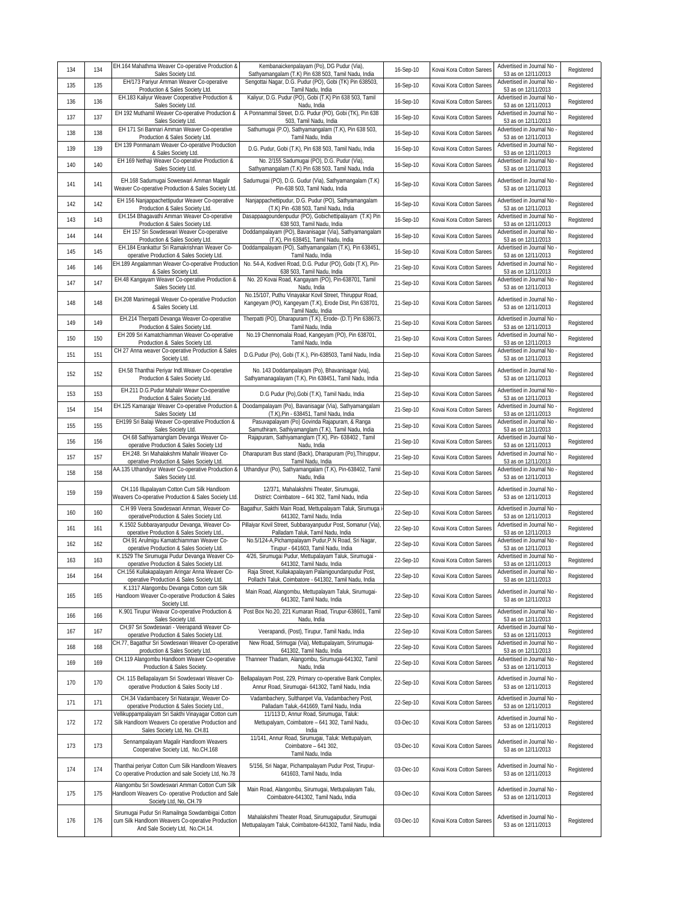| 134 | 134 | EH.164 Mahathma Weaver Co-operative Production &<br>Sales Society Ltd.                                                                   | Kembanaickenpalayam (Po), DG Pudur (Via),<br>Sathyamangalam (T.K) Pin 638 503, Tamil Nadu, India                                        | 16-Sep-10 | Kovai Kora Cotton Sarees | Advertised in Journal No<br>53 as on 12/11/2013 | Registered |
|-----|-----|------------------------------------------------------------------------------------------------------------------------------------------|-----------------------------------------------------------------------------------------------------------------------------------------|-----------|--------------------------|-------------------------------------------------|------------|
| 135 | 135 | EH/173 Pariyur Amman Weaver Co-operative<br>Production & Sales Society Ltd.                                                              | Sengottai Nagar, D.G. Pudur (PO), Gobi (TK) Pin 638503,<br>Tamil Nadu, India                                                            | 16-Sep-10 | Kovai Kora Cotton Sarees | Advertised in Journal No<br>53 as on 12/11/2013 | Registered |
| 136 | 136 | EH.183 Kaliyur Weaver Cooperative Production &<br>Sales Society Ltd.                                                                     | Kaliyur, D.G. Pudur (PO), Gobi (T.K) Pin 638 503, Tamil<br>Nadu, India                                                                  | 16-Sep-10 | Kovai Kora Cotton Sarees | Advertised in Journal No<br>53 as on 12/11/2013 | Registered |
| 137 | 137 | EH 192 Muthamil Weaver Co-operative Production &<br>Sales Society Ltd.                                                                   | A Ponnammal Street, D.G. Pudur (PO), Gobi (TK), Pin 638<br>503. Tamil Nadu. India                                                       | 16-Sep-10 | Kovai Kora Cotton Sarees | Advertised in Journal No<br>53 as on 12/11/2013 | Registered |
| 138 | 138 | EH 171 Sri Bannari Amman Weaver Co-operative<br>Production & Sales Society Ltd.                                                          | Sathumugai (P.O), Sathyamangalam (T.K), Pin 638 503,<br>Tamil Nadu, India                                                               | 16-Sep-10 | Kovai Kora Cotton Sarees | Advertised in Journal No<br>53 as on 12/11/2013 | Registered |
| 139 | 139 | EH 139 Ponmanam Weaver Co-operative Production<br>& Sales Society Ltd.                                                                   | D.G. Pudur, Gobi (T.K), Pin 638 503, Tamil Nadu, India                                                                                  | 16-Sep-10 | Kovai Kora Cotton Sarees | Advertised in Journal No<br>53 as on 12/11/2013 | Registered |
| 140 | 140 | EH 169 Nethaji Weaver Co-operative Production &<br>Sales Society Ltd.                                                                    | No. 2/155 Sadumugai (PO), D.G. Pudur (Via),<br>Sathyamangalam (T.K) Pin 638 503, Tamil Nadu, India                                      | 16-Sep-10 | Kovai Kora Cotton Sarees | Advertised in Journal No<br>53 as on 12/11/2013 | Registered |
| 141 | 141 | EH.168 Sadumugai Soweswari Amman Magalir<br>Weaver Co-operative Production & Sales Society Ltd.                                          | Sadumugai (PO), D.G. Gudur (Via), Sathyamangalam (T.K)<br>Pin-638 503, Tamil Nadu, India                                                | 16-Sep-10 | Kovai Kora Cotton Sarees | Advertised in Journal No<br>53 as on 12/11/2013 | Registered |
| 142 | 142 | EH 156 Nanjappachettipudur Weaver Co-operative<br>Production & Sales Society Ltd.                                                        | Nanjappachettipudur, D.G. Pudur (PO), Sathyamangalam<br>(T.K) Pin -638 503, Tamil Nadu, India                                           | 16-Sep-10 | Kovai Kora Cotton Sarees | Advertised in Journal No<br>53 as on 12/11/2013 | Registered |
| 143 | 143 | EH.154 Bhagavathi Amman Weaver Co-operative<br>Production & Sales Society Ltd.                                                           | Dasappaagoundenpudur (PO), Gobichettipalayam (T.K) Pin<br>638 503, Tamil Nadu, India                                                    | 16-Sep-10 | Kovai Kora Cotton Sarees | Advertised in Journal No<br>53 as on 12/11/2013 | Registered |
| 144 | 144 | EH 157 Sri Sowdeswari Weaver Co-operative<br>Production & Sales Society Ltd                                                              | Doddampalayam (PO), Bavanisagar (Via), Sathyamangalam<br>(T.K), Pin 638451, Tamil Nadu, India                                           | 16-Sep-10 | Kovai Kora Cotton Sarees | Advertised in Journal No<br>53 as on 12/11/2013 | Registered |
| 145 | 145 | EH.184 Erankattur Sri Ramakrishnan Weaver Co-<br>operative Production & Sales Society Ltd.                                               | Doddampalayam (PO), Sathyamangalam (T.K), Pin 638451,<br>Tamil Nadu, India                                                              | 16-Sep-10 | Kovai Kora Cotton Sarees | Advertised in Journal No<br>53 as on 12/11/2013 | Registered |
| 146 | 146 | EH.189 Angalamman Weaver Co-operative Productior<br>& Sales Society Ltd.                                                                 | No. 54-A, Kodiveri Road, D.G. Pudur (PO), Gobi (T.K), Pin-<br>638 503, Tamil Nadu, India                                                | 21-Sep-10 | Kovai Kora Cotton Sarees | Advertised in Journal No<br>53 as on 12/11/2013 | Registered |
| 147 | 147 | EH.48 Kangayam Weaver Co-operative Production &<br>Sales Society Ltd.                                                                    | No. 20 Kovai Road, Kangayam (PO), Pin-638701, Tamil<br>Nadu, India                                                                      | 21-Sep-10 | Kovai Kora Cotton Sarees | Advertised in Journal No<br>53 as on 12/11/2013 | Registered |
| 148 | 148 | EH.208 Manimegali Weaver Co-operative Production<br>& Sales Society Ltd.                                                                 | No.15/107, Puthu Vinayakar Kovil Street, Thiruppur Road,<br>Kangeyam (PO), Kangeyam (T.K), Erode Dist, Pin 638701,<br>Tamil Nadu, India | 21-Sep-10 | Kovai Kora Cotton Sarees | Advertised in Journal No<br>53 as on 12/11/2013 | Registered |
| 149 | 149 | EH.214 Therpatti Devanga Weaver Co-operative<br>Production & Sales Society Ltd.                                                          | Therpatti (PO), Dharapuram (T.K), Erode- (D.T) Pin 638673,<br>Tamil Nadu, India                                                         | 21-Sep-10 | Kovai Kora Cotton Sarees | Advertised in Journal No<br>53 as on 12/11/2013 | Registered |
| 150 | 150 | EH 209 Sri Kamatchiamman Weaver Co-operative<br>Production & Sales Society Ltd.                                                          | No.19 Chennomalai Road, Kangeyam (PO), Pin 638701,<br>Tamil Nadu, India                                                                 | 21-Sep-10 | Kovai Kora Cotton Sarees | Advertised in Journal No<br>53 as on 12/11/2013 | Registered |
| 151 | 151 | CH 27 Anna weaver Co-operative Production & Sales<br>Society Ltd.                                                                        | D.G.Pudur (Po), Gobi (T.K.), Pin-638503, Tamil Nadu, India                                                                              | 21-Sep-10 | Kovai Kora Cotton Sarees | Advertised in Journal No<br>53 as on 12/11/2013 | Registered |
| 152 | 152 | EH.58 Thanthai Periyar Indl.Weaver Co-operative<br>Production & Sales Society Ltd.                                                       | No. 143 Doddampalayam (Po), Bhavanisagar (via),<br>Sathyamanagalayam (T.K), Pin 638451, Tamil Nadu, India                               | 21-Sep-10 | Kovai Kora Cotton Sarees | Advertised in Journal No<br>53 as on 12/11/2013 | Registered |
| 153 | 153 | EH.211 D.G.Pudur Mahalir Weavr Co-operative<br>Production & Sales Society Ltd.                                                           | D.G Pudur (Po), Gobi (T.K), Tamil Nadu, India                                                                                           | 21-Sep-10 | Kovai Kora Cotton Sarees | Advertised in Journal No<br>53 as on 12/11/2013 | Registered |
| 154 | 154 | EH.125 Kamarajar Weaver Co-operative Production &<br>Sales Society Ltd                                                                   | Doodampalayam (Po), Bavanisagar (Via), Sathyamangalam<br>(T.K), Pin - 638451, Tamil Nadu, India                                         | 21-Sep-10 | Kovai Kora Cotton Sarees | Advertised in Journal No<br>53 as on 12/11/2013 | Registered |
| 155 | 155 | EH199 Sri Balaji Weaver Co-operative Production &<br>Sales Society Ltd.                                                                  | Pasuvapalayam (Po) Govinda Rajapuram, & Ranga<br>Samuthiram, Sathiyamanglam (T.K), Tamil Nadu, India                                    | 21-Sep-10 | Kovai Kora Cotton Sarees | Advertised in Journal No<br>53 as on 12/11/2013 | Registered |
| 156 | 156 | CH.68 Sathiyamanglam Devanga Weaver Co-<br>operative Production & Sales Society Ltd                                                      | Rajapuram, Sathiyamanglam (T.K), Pin- 638402, Tamil<br>Nadu, India                                                                      | 21-Sep-10 | Kovai Kora Cotton Sarees | Advertised in Journal No<br>53 as on 12/11/2013 | Registered |
| 157 | 157 | EH.248. Sri Mahalakshmi Mahalir Weaver Co-<br>operative Production & Sales Society Ltd.                                                  | Dharapuram Bus stand (Back), Dharapuram (Po), Thiruppur,<br>Tamil Nadu, India                                                           | 21-Sep-10 | Kovai Kora Cotton Sarees | Advertised in Journal No<br>53 as on 12/11/2013 | Registered |
| 158 | 158 | AA.135 Uthandiyur Weaver Co-operative Production &<br>Sales Society Ltd.                                                                 | Uthandiyur (Po), Sathyamangalam (T.K), Pin-638402, Tamil<br>Nadu, India                                                                 | 21-Sep-10 | Kovai Kora Cotton Sarees | Advertised in Journal No<br>53 as on 12/11/2013 | Registered |
| 159 | 159 | CH.116 Illupalayam Cotton Cum Silk Handloom<br>Weavers Co-operative Production & Sales Society Ltd.                                      | 12/371, Mahalakshmi Theater, Sirumugai,<br>District: Coimbatore - 641 302, Tamil Nadu, India                                            | 22-Sep-10 | Kovai Kora Cotton Sarees | Advertised in Journal No<br>53 as on 12/11/2013 | Registered |
| 160 | 160 | C.H 99 Veera Sowdeswari Amman, Weaver Co-<br>operativeProduction & Sales Society Ltd.                                                    | Bagathur, Sakthi Main Road, Mettupalayam Taluk, Sirumuga i<br>641302, Tamil Nadu, India                                                 | 22-Sep-10 | Kovai Kora Cotton Sarees | Advertised in Journal No<br>53 as on 12/11/2013 | Registered |
| 161 | 161 | K.1502 Subbarayanpudur Devanga, Weaver Co-<br>operative Production & Sales Society Ltd.                                                  | Pillaiyar Kovil Street, Subbarayanpudur Post, Somanur (Via),<br>Palladam Taluk, Tamil Nadu, India                                       | 22-Sep-10 | Kovai Kora Cotton Sarees | Advertised in Journal No<br>53 as on 12/11/2013 | Registered |
| 162 | 162 | CH.91 Arulmiqu Kamatchiamman Weaver Co-<br>operative Production & Sales Society Ltd.                                                     | No.5/124-A, Pichampalayam Pudur, P.N Road, Sri Nagar,<br>Tirupur - 641603, Tamil Nadu, India                                            | 22-Sep-10 | Kovai Kora Cotton Sarees | Advertised in Journal No<br>53 as on 12/11/2013 | Registered |
| 163 | 163 | K.1529 The Sirumugai Pudur Devanga Weaver Co-<br>operative Production & Sales Society Ltd.                                               | 4/26, Sirumuqai Pudur, Mettupalayam Taluk, Sirumuqai -<br>641302, Tamil Nadu, India                                                     | 22-Sep-10 | Kovai Kora Cotton Sarees | Advertised in Journal No<br>53 as on 12/11/2013 | Registered |
| 164 | 164 | CH.156 Kullakapalayam Aringar Anna Weaver Co-<br>operative Production & Sales Society Ltd.                                               | Raja Street, Kullakapalayam Palanigoundanpudur Post,<br>Pollachi Taluk, Coimbatore - 641302, Tamil Nadu, India                          | 22-Sep-10 | Kovai Kora Cotton Sarees | Advertised in Journal No<br>53 as on 12/11/2013 | Registered |
| 165 | 165 | K.1317 Alangombu Devanga Cotton cum Silk<br>Handloom Weaver Co-operative Production & Sales<br>Society Ltd.                              | Main Road, Alangombu, Mettupalayam Taluk, Sirumugai-<br>641302, Tamil Nadu, India                                                       | 22-Sep-10 | Kovai Kora Cotton Sarees | Advertised in Journal No<br>53 as on 12/11/2013 | Registered |
| 166 | 166 | K.901 Tirupur Weavar Co-operative Production &<br>Sales Society Ltd.                                                                     | Post Box No.20, 221 Kumaran Road, Tirupur-638601, Tamil<br>Nadu, India                                                                  | 22-Sep-10 | Kovai Kora Cotton Sarees | Advertised in Journal No<br>53 as on 12/11/2013 | Registered |
| 167 | 167 | CH,97 Sri Sowdeswari - Veerapandi Weaver Co-<br>operative Production & Sales Society Ltd.                                                | Veerapandi, (Post), Tirupur, Tamil Nadu, India                                                                                          | 22-Sep-10 | Kovai Kora Cotton Sarees | Advertised in Journal No<br>53 as on 12/11/2013 | Registered |
| 168 | 168 | CH.77, Bagathur Sri Sowdeswari Weaver Co-operative<br>production & Sales Society Ltd.                                                    | New Road, Srimugai (Via), Mettupalayam, Srirumugai-<br>641302, Tamil Nadu, India                                                        | 22-Sep-10 | Kovai Kora Cotton Sarees | Advertised in Journal No<br>53 as on 12/11/2013 | Registered |
| 169 | 169 | CH.119 Alangombu Handloom Weaver Co-operative<br>Production & Sales Society.                                                             | Thanneer Thadam, Alangombu, Sirumugai-641302, Tamil<br>Nadu. India                                                                      | 22-Sep-10 | Kovai Kora Cotton Sarees | Advertised in Journal No<br>53 as on 12/11/2013 | Registered |
| 170 | 170 | CH. 115 Bellapalayam Sri Sowdeswari Weaver Co-<br>operative Production & Sales Socity Ltd.                                               | Bellapalayam Post, 229, Primary co-operative Bank Complex,<br>Annur Road, Sirumugai- 641302, Tamil Nadu, India                          | 22-Sep-10 | Kovai Kora Cotton Sarees | Advertised in Journal No<br>53 as on 12/11/2013 | Registered |
| 171 | 171 | CH.34 Vadambacery Sri Natarajar, Weaver Co-<br>operative Production & Sales Society Ltd.                                                 | Vadambachery, Sulthanpet Via, Vadambachery Post,<br>Palladam Taluk.-641669, Tamil Nadu, India                                           | 22-Sep-10 | Kovai Kora Cotton Sarees | Advertised in Journal No<br>53 as on 12/11/2013 | Registered |
| 172 | 172 | Vellikuppampalayam Sri Sakthi Vinayagar Cotton cum<br>Silk Handloom Weavers Co operative Production and<br>Sales Society Ltd, No. CH.81  | 11/113 D, Annur Road, Sirumugai, Taluk:<br>Mettupalyam, Coimbatore - 641 302, Tamil Nadu,<br>India                                      | 03-Dec-10 | Kovai Kora Cotton Sarees | Advertised in Journal No<br>53 as on 12/11/2013 | Registered |
| 173 | 173 | Sennampalayam Magalir Handloom Weavers<br>Cooperative Society Ltd, No.CH.168                                                             | 11/141, Annur Road, Sirumugai, Taluk: Mettupalyam,<br>Coimbatore - 641 302,<br>Tamil Nadu, India                                        | 03-Dec-10 | Kovai Kora Cotton Sarees | Advertised in Journal No<br>53 as on 12/11/2013 | Registered |
| 174 | 174 | Thanthai periyar Cotton Cum Silk Handloom Weavers<br>Co operative Production and sale Society Ltd, No.78                                 | 5/156, Sri Nagar, Pichampalayam Pudur Post, Tirupur-<br>641603, Tamil Nadu, India                                                       | 03-Dec-10 | Kovai Kora Cotton Sarees | Advertised in Journal No<br>53 as on 12/11/2013 | Registered |
| 175 | 175 | Alangombu Sri Sowdeswari Amman Cotton Cum Silk<br>Handloom Weavers Co- operative Production and Sale<br>Society Ltd, No, CH.79           | Main Road, Alangombu, Sirumugai, Mettupalayam Talu,<br>Coimbatore-641302, Tamil Nadu, India                                             | 03-Dec-10 | Kovai Kora Cotton Sarees | Advertised in Journal No<br>53 as on 12/11/2013 | Registered |
| 176 | 176 | Sirumugai Pudur Sri Ramailnga Sowdambigai Cotton<br>cum Silk Handloom Weavers Co-operative Production<br>And Sale Society Ltd, No.CH.14. | Mahalakshmi Theater Road, Sirumugaipudur, Sirumugai<br>Mettupalayam Taluk, Coimbatore-641302, Tamil Nadu, India                         | 03-Dec-10 | Kovai Kora Cotton Sarees | Advertised in Journal No<br>53 as on 12/11/2013 | Registered |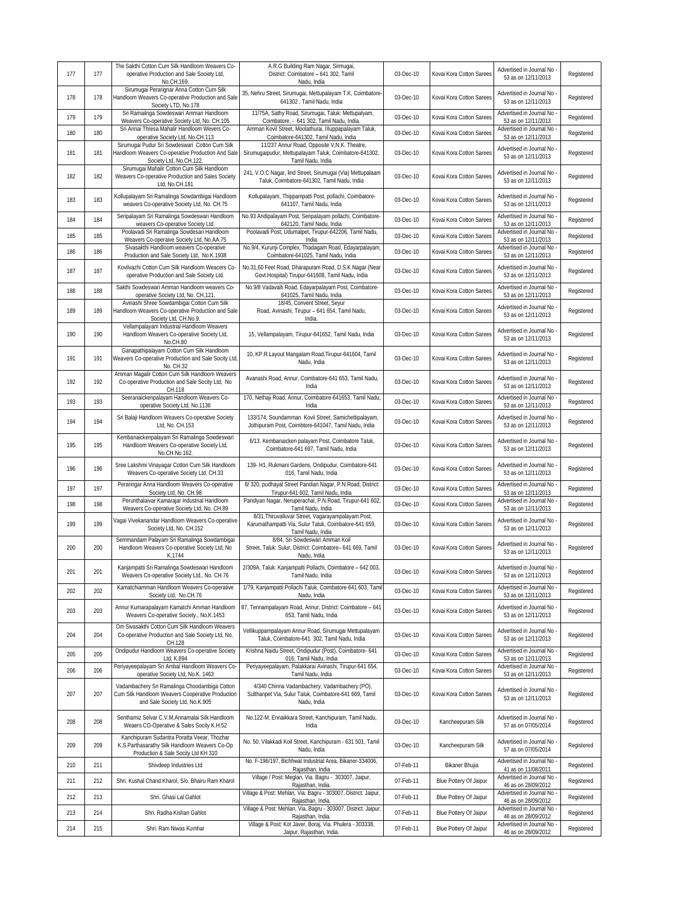| 177 | 177 | The Sakthi Cotton Cum Silk Handloom Weavers Co-<br>operative Production and Sale Society Ltd,<br>No.CH.169.                            | A.R.G Building Ram Nagar, Sirmugai,<br>District: Coimbatore - 641 302, Tamil<br>Nadu, India                                      | 03-Dec-10 | Kovai Kora Cotton Sarees | Advertised in Journal No<br>53 as on 12/11/2013                        | Registered |
|-----|-----|----------------------------------------------------------------------------------------------------------------------------------------|----------------------------------------------------------------------------------------------------------------------------------|-----------|--------------------------|------------------------------------------------------------------------|------------|
| 178 | 178 | Sirumugai Perarignar Anna Cotton Cum Silk<br>Handloom Weavers Co-operative Production and Sale<br>Society LTD, No.178                  | 35, Nehru Street, Sirumugai, Mettupalayam T.K, Coimbatore-<br>641302, Tamil Nadu, India                                          | 03-Dec-10 | Kovai Kora Cotton Sarees | Advertised in Journal No<br>53 as on 12/11/2013                        | Registered |
| 179 | 179 | Sri Ramailnga Sowdeswari Amman Handloom<br>Weavers Co-operative Society Ltd, No. CH.105                                                | 11/75A, Sathy Road, Sirumugai, Taluk: Mettupalyam,<br>Coimbatore, - 641 302, Tamil Nadu, India.                                  | 03-Dec-10 | Kovai Kora Cotton Sarees | Advertised in Journal No<br>53 as on 12/11/2013                        | Registered |
| 180 | 180 | Sri Annai Thresa Mahalir Handloom Wevers Co-<br>operative Society Ltd, No.CH.113                                                       | Amman Kovil Street, Moolathurai, Illuppapalayam Taluk,<br>Coimbatore-641302, Tamil Nadu, India                                   | 03-Dec-10 | Kovai Kora Cotton Sarees | Advertised in Journal No<br>53 as on 12/11/2013                        | Registered |
| 181 | 181 | Sirumugai Pudur Sri Sowdeswari Cotton Cum Silk<br>Handloom Weavers Co-operative Production And Sale<br>Society Ltd, No.CH.122.         | 11/237 Annur Road, Opposite V, N.K. Theatre,<br>Sirumugaipudur, Mettupalayam Taluk, Coimbatore-641302,<br>Tamil Nadu, India      | 03-Dec-10 | Kovai Kora Cotton Sarees | Advertised in Journal No<br>53 as on 12/11/2013                        | Registered |
| 182 | 182 | Sirumugai Mahalir Cotton Cum Silk Handloom<br>Weavers Co-operative Production and Sales Society<br>Ltd, No.CH.181                      | 241, V.O.C Nagar, lind Street, Sirumugai (Via) Mettupalaam<br>Taluk, Coimbatore-641302, Tamil Nadu, India                        | 03-Dec-10 | Kovai Kora Cotton Sarees | Advertised in Journal No<br>53 as on 12/11/2013                        | Registered |
| 183 | 183 | Kollupalayam Sri Ramalinga Sowdambigai Handloom<br>weavers Co-operative Society Ltd, No. CH.75                                         | Kollupalayam, Thippampatti Post, pollachi, Coimbatore-<br>641107, Tamil Nadu, India                                              | 03-Dec-10 | Kovai Kora Cotton Sarees | Advertised in Journal No<br>53 as on 12/11/2013                        | Registered |
| 184 | 184 | Seripalayam Sri Ramalinga Sowdeswari Handloom<br>weavers Co-operative Society Ltd.                                                     | No.93 Andipalayam Post, Seripalayam pollachi, Coimbatore-<br>642120, Tamil Nadu, India                                           | 03-Dec-10 | Kovai Kora Cotton Sarees | Advertised in Journal No<br>53 as on 12/11/2013                        | Registered |
| 185 | 185 | Poolavadi Sri Ramalinga Sowdesari Handloom<br>Weavers Co-operaive Society Ltd, No.AA.75                                                | Poolavadi Post, Udumalpet, Tirupur-642206, Tamil Nadu,<br>India                                                                  | 03-Dec-10 | Kovai Kora Cotton Sarees | Advertised in Journal No<br>53 as on 12/11/2013                        | Registered |
| 186 | 186 | Sivasakthi Handloom weavers Co-operative<br>Production and Sale Society Ltd, No.K.1938                                                 | No.9/4, Kurunji Complex, Thadagam Road, Edayarpalayam,<br>Coimbatore-641025, Tamil Nadu, India                                   | 03-Dec-10 | Kovai Kora Cotton Sarees | Advertised in Journal No<br>53 as on 12/11/2013                        | Registered |
| 187 | 187 | Kovilvazhi Cotton Cum Silk Handloom Weacers Co-<br>operative Production and Sale Society Ltd.                                          | No.31,60 Feet Road, Dharapuram Road, D.S.K Nagar (Near<br>Govt.Hospital) Tirupur-641608, Tamil Nadu, India                       | 03-Dec-10 | Kovai Kora Cotton Sarees | Advertised in Journal No<br>53 as on 12/11/2013                        | Registered |
| 188 | 188 | Sakthi Sowdeswari Amman Handloom weavers Co-                                                                                           | No.9/8 Vadavalli Road, Edayarpalayam Post, Coimbatore-                                                                           | 03-Dec-10 | Kovai Kora Cotton Sarees | Advertised in Journal No                                               | Registered |
| 189 | 189 | operative Society Ltd, No. CH, 121.<br>Avinashi Shree Sowdambigai Cotton Cum Silk<br>Handloom Weavers Co-operative Production and Sale | 641025, Tamil Nadu, India<br>18/45, Convent Street, Seyur<br>Road, Avinashi, Tirupur - 641 654, Tamil Nadu,                      | 03-Dec-10 | Kovai Kora Cotton Sarees | 53 as on 12/11/2013<br>Advertised in Journal No<br>53 as on 12/11/2013 | Registered |
| 190 | 190 | Society Ltd, CH.No.9.<br>Vellampalayam Industrial Handloom Weavers<br>Handloom Weavers Co-operative Society Ltd,                       | India.<br>15, Vellampalayam, Tirupur-641652, Tamil Nadu, India                                                                   | 03-Dec-10 | Kovai Kora Cotton Sarees | Advertised in Journal No<br>53 as on 12/11/2013                        | Registered |
| 191 | 191 | No.CH.80<br>Ganapathipalayam Cotton Cum Silk Handloom<br>Weavers Co-operative Production and Sale Socity Ltd,                          | 10, KP.R.Layout Mangalam Road, Tirupur-641604, Tamil<br>Nadu, India                                                              | 03-Dec-10 | Kovai Kora Cotton Sarees | Advertised in Journal No<br>53 as on 12/11/2013                        | Registered |
| 192 | 192 | No. CH.32<br>Amman Magalir Cotton Cum Silk Handloom Weavers<br>Co-operative Production and Sale Socity Ltd, No                         | Avanashi Road, Annur, Coimbatore-641 653, Tamil Nadu,<br>India                                                                   | 03-Dec-10 | Kovai Kora Cotton Sarees | Advertised in Journal No<br>53 as on 12/11/2013                        | Registered |
| 193 | 193 | CH.118<br>Seeranaickenpalayam Handloom Weavers Co-<br>operative Society Ltd, No.1136                                                   | 170, Nethaji Road, Annur, Coimbatore-641653, Tamil Nadu,<br>India                                                                | 03-Dec-10 | Kovai Kora Cotton Sarees | Advertised in Journal No<br>53 as on 12/11/2013                        | Registered |
| 194 | 194 | Sri Balaji Handloom Weavers Co-operative Society<br>Ltd, No. CH.153                                                                    | 133/174, Soundamman Kovil Street, Samichettipalayam,<br>Jothipuram Post, Coimbtore-641047, Tamil Nadu, India                     | 03-Dec-10 | Kovai Kora Cotton Sarees | Advertised in Journal No<br>53 as on 12/11/2013                        | Registered |
| 195 | 195 | Kembanaickenpalayam Sri Ramalinga Sowdeswari<br>Handloom Weavers Co-operative Society Ltd,<br>No.CH.No.162.                            | 6/13. Kembanaicken palayam Post, Coimbatore Taluk,<br>Coimbatore-641 697, Tamil Nadu, India                                      | 03-Dec-10 | Kovai Kora Cotton Sarees | Advertised in Journal No<br>53 as on 12/11/2013                        | Registered |
| 196 | 196 | Sree Lakshmi Vinayagar Cotton Cum Silk Handloom<br>Weavers Co-operative Society Ltd, CH.33                                             | 139- H1, Rukmani Gardens, Ondipudur, Coimbatore-641<br>016, Tamil Nadu, India                                                    | 03-Dec-10 | Kovai Kora Cotton Sarees | Advertised in Journal No<br>53 as on 12/11/2013                        | Registered |
| 197 | 197 | Peraringar Anna Handloom Weavers Co-operative<br>Society Ltd, No. CH.98                                                                | 8/320, pudhayal Street Pandian Nagar, P.N.Road, District:<br>Tirupur-641 602, Tamil Nadu, India                                  | 03-Dec-10 | Kovai Kora Cotton Sarees | Advertised in Journal No -<br>53 as on 12/11/2013                      | Registered |
| 198 | 198 | Perunthalaivar Kamarajar Industrial Handloom<br>Weavers Co-operative Society Ltd, No. CH.89                                            | Pandiyan Nagar, Neruperachal, P.N.Road, Tirupur-641 602,<br>Tamil Nadu, India                                                    | 03-Dec-10 | Kovai Kora Cotton Sarees | Advertised in Journal No<br>53 as on 12/11/2013                        | Registered |
| 199 | 199 | Vagai Vivekanandar Handloom Weavers Co-operative<br>Society Ltd, No. CH.152                                                            | 8/31, Thiruvalluvar Street, Vagarayampalayam Post,<br>Karumathampatti Via, Sulur Taluk, Coimbatore-641 659,<br>Tamil Nadu, India | 03-Dec-10 | Kovai Kora Cotton Sarees | Advertised in Journal No<br>53 as on 12/11/2013                        | Registered |
| 200 | 200 | Semmandam Palayam Sri Ramalinga Sowdambigai<br>Handloom Weavers Co-operative Society Ltd, No<br>K.1744                                 | 8/84, Sri Sowdeswari Amman Koil<br>Street, Taluk: Sulur, District: Coimbatore- 641 669, Tamil<br>Nadu, India                     | 03-Dec-10 | Kovai Kora Cotton Sarees | Advertised in Journal No<br>53 as on 12/11/2013                        | Registered |
| 201 | 201 | Kanjampatti Sri Ramalinga Sowdeswari Handloom<br>Weavers Co-operative Society Ltd., No. CH.76                                          | 2/309A, Taluk: Kanjampatti Pollachi, Coimbatore - 642 003,<br>Tamil Nadu, India                                                  | 03-Dec-10 | Kovai Kora Cotton Sarees | Advertised in Journal No -<br>53 as on 12/11/2013                      | Registered |
| 202 | 202 | Kamatchiamman Handloom Weavers Co-operative<br>Society Ltd, No.CH.76                                                                   | 1/79, Kanjampatti Pollachi Taluk, Coimbatore-641 603, Tamil<br>Nadu, India                                                       | 03-Dec-10 | Kovai Kora Cotton Sarees | Advertised in Journal No -<br>53 as on 12/11/2013                      | Registered |
| 203 | 203 | Annur Kumarapalayam Kamatchi Amman Handloom<br>Weavers Co-operative Society., No.K.1453                                                | 87, Tennampalayam Road, Annur, District: Coimbatore - 641<br>653, Tamil Nadu, India                                              | 03-Dec-10 | Kovai Kora Cotton Sarees | Advertised in Journal No<br>53 as on 12/11/2013                        | Registered |
| 204 | 204 | Om Sivasakthi Cotton Cum Silk Handloom Weavers<br>Co-operative Production and Sale Society Ltd, No.<br>CH.128                          | Vellikuppampalayam Annur Road, Sirumuqai Mettupalayam<br>Taluk, Coimbatore-641 302, Tamil Nadu, India                            | 03-Dec-10 | Kovai Kora Cotton Sarees | Advertised in Journal No -<br>53 as on 12/11/2013                      | Registered |
| 205 | 205 | Ondipudur Handloom Weavers Co-operative Society<br>Ltd, K.894                                                                          | Krishna Naidu Street, Ondipudur (Post), Coimbatore- 641<br>016, Tamil Nadu, India                                                | 03-Dec-10 | Kovai Kora Cotton Sarees | Advertised in Journal No<br>53 as on 12/11/2013                        | Registered |
| 206 | 206 | Periyayeepalayam Sri Ambal Handloom Weavers Co-<br>operative Society Ltd, No.K. 1463                                                   | Periyayeepalayam, Palakkarai Avinashi, Tirupur-641 654,<br>Tamil Nadu, India                                                     | 03-Dec-10 | Kovai Kora Cotton Sarees | Advertised in Journal No<br>53 as on 12/11/2013                        | Registered |
| 207 | 207 | Vadambachery Sri Ramalinga Choodambiga Cotton<br>Cum Silk Handloom Weavers Cooperative Production<br>and Sale Society Ltd, No.K.905    | 4/340 Chinna Vadambachery, Vadambachery (PO),<br>Sulthanpet Via, Sulur Taluk, Coimbatore-641 669, Tamil<br>Nadu, India           | 03-Dec-10 | Kovai Kora Cotton Sarees | Advertised in Journal No<br>53 as on 12/11/2013                        | Registered |
| 208 | 208 | Senthamiz Selvar C.V.M.Annamalai Silk Handloom<br>Weaers CO-Operative & Sales Socity K.H.52                                            | No.122-M, Ennaikkara Street, Kanchipuram, Tamil Nadu,<br>India                                                                   | 03-Dec-10 | Kancheepuram Silk        | Advertised in Journal No<br>57 as on 07/05/2014                        | Registered |
| 209 | 209 | Kanchipuram Sudantra Poratta Veear, Thozhar<br>K.S.Parthasarathy Silk Handloom Weavers Co-Op<br>Production & Sale Socity Ltd KH 310    | No. 50, Vilakkadi Koil Street, Kanchipuram - 631 501, Tamil<br>Nadu, India                                                       | 03-Dec-10 | Kancheepuram Silk        | Advertised in Journal No -<br>57 as on 07/05/2014                      | Registered |
| 210 | 211 | Shivdeep Industries Ltd                                                                                                                | No. F-196/197, Bichhwal Industrial Area, Bikaner-334006,<br>Rajasthan, India                                                     | 07-Feb-11 | Bikaner Bhujia           | Advertised in Journal No<br>41 as on 11/08/2011                        | Registered |
| 211 | 212 | Shri. Kushal Chand.Kharol, S/o. Bhairu Ram Kharol                                                                                      | Village / Post: Meglan, Via. Bagru - 303007, Jaipur,                                                                             | 07-Feb-11 | Blue Pottery Of Jaipur   | Advertised in Journal No                                               | Registered |
| 212 | 213 | Shri. Ghasi Lal Gahlot                                                                                                                 | Rajasthan, India.<br>Village & Post: Mehlan, Via. Bagru - 303007, District: Jaipur,<br>Rajasthan, India.                         | 07-Feb-11 | Blue Pottery Of Jaipur   | 46 as on 28/09/2012<br>Advertised in Journal No<br>46 as on 28/09/2012 | Registered |
| 213 | 214 | Shri. Radha Kishan Gahlot                                                                                                              | Village & Post: Mehlan, ViaBagru - 303007, District: Jaipur,<br>Rajasthan, India.                                                | 07-Feb-11 | Blue Pottery Of Jaipur   | Advertised in Journal No                                               | Registered |
| 214 | 215 | Shri. Ram Niwas Kumhar                                                                                                                 | Village & Post: Kot Javer, Boraj, Via. Phulera - 303338,                                                                         | 07-Feb-11 | Blue Pottery Of Jaipur   | 46 as on 28/09/2012<br>Advertised in Journal No                        | Registered |
|     |     |                                                                                                                                        | Jaipur, Rajasthan, India.                                                                                                        |           |                          | 46 as on 28/09/2012                                                    |            |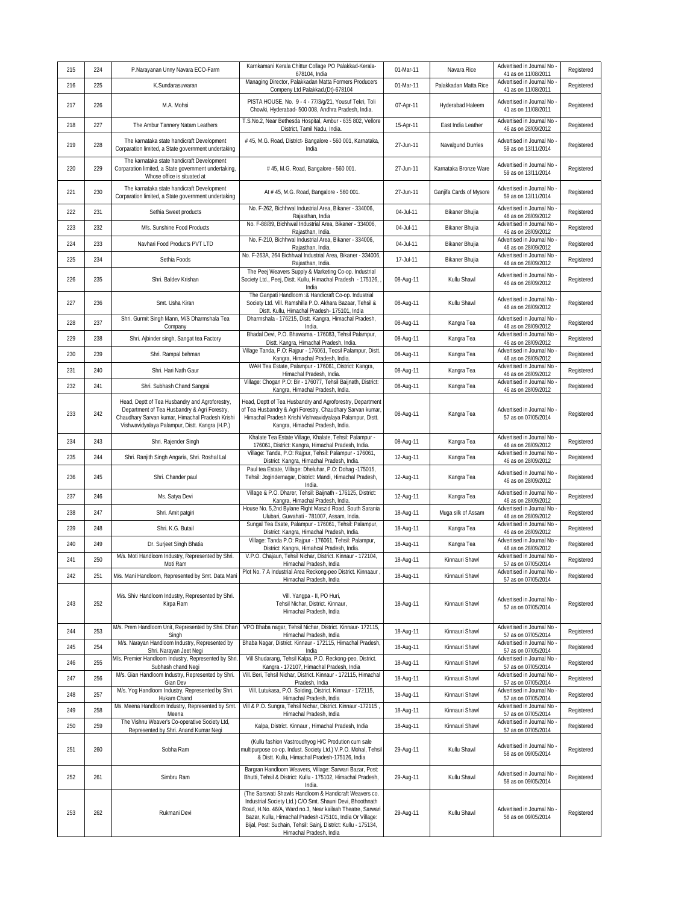| 215 | 224 | P.Narayanan Unny Navara ECO-Farm                                                                                                                                                                    | Karnkamani Kerala Chittur Collage PO Palakkad-Kerala-<br>678104, India                                                                                                                                                                                                                                                                     | 01-Mar-11 | Navara Rice             | Advertised in Journal No<br>41 as on 11/08/2011                        | Registered |
|-----|-----|-----------------------------------------------------------------------------------------------------------------------------------------------------------------------------------------------------|--------------------------------------------------------------------------------------------------------------------------------------------------------------------------------------------------------------------------------------------------------------------------------------------------------------------------------------------|-----------|-------------------------|------------------------------------------------------------------------|------------|
| 216 | 225 | K.Sundarasuwaran                                                                                                                                                                                    | Managing Director, Palakkadan Matta Formers Producers<br>Compeny Ltd Palakkad.(Dt)-678104                                                                                                                                                                                                                                                  | 01-Mar-11 | Palakkadan Matta Rice   | Advertised in Journal No<br>41 as on 11/08/2011                        | Registered |
| 217 | 226 | M.A. Mohsi                                                                                                                                                                                          | PISTA HOUSE, No. 9 - 4 - 77/3/g/21, Yousuf Tekri, Toli<br>Chowki, Hyderabad- 500 008, Andhra Pradesh, India.                                                                                                                                                                                                                               | 07-Apr-11 | Hyderabad Haleem        | Advertised in Journal No<br>41 as on 11/08/2011                        | Registered |
| 218 | 227 | The Ambur Tannery Natam Leathers                                                                                                                                                                    | T.S.No.2, Near Bethesda Hospital, Ambur - 635 802, Vellore<br>District, Tamil Nadu, India.                                                                                                                                                                                                                                                 | 15-Apr-11 | East India Leather      | Advertised in Journal No<br>46 as on 28/09/2012                        | Registered |
| 219 | 228 | The karnataka state handicraft Development<br>Corparation limited, a State government undertaking                                                                                                   | # 45, M.G. Road, District- Bangalore - 560 001, Karnataka,<br>India                                                                                                                                                                                                                                                                        | 27-Jun-11 | Navalgund Durries       | Advertised in Journal No<br>59 as on 13/11/2014                        | Registered |
| 220 | 229 | The karnataka state handicraft Development<br>Corparation limited, a State government undertaking,<br>Whose office is situated at                                                                   | #45, M.G. Road, Bangalore - 560 001.                                                                                                                                                                                                                                                                                                       | 27-Jun-11 | Karnataka Bronze Ware   | Advertised in Journal No<br>59 as on 13/11/2014                        | Registered |
| 221 | 230 | The karnataka state handicraft Development<br>Corparation limited, a State government undertaking                                                                                                   | At # 45, M.G. Road, Bangalore - 560 001.                                                                                                                                                                                                                                                                                                   | 27-Jun-11 | Ganjifa Cards of Mysore | Advertised in Journal No<br>59 as on 13/11/2014                        | Registered |
| 222 | 231 | Sethia Sweet products                                                                                                                                                                               | No. F-262, Bichhwal Industrial Area, Bikaner - 334006,<br>Rajasthan, India                                                                                                                                                                                                                                                                 | 04-Jul-11 | Bikaner Bhujia          | Advertised in Journal No<br>46 as on 28/09/2012                        | Registered |
| 223 | 232 | M/s. Sunshine Food Products                                                                                                                                                                         | No. F-88/89, Bichhwal Industrial Area, Bikaner - 334006,<br>Rajasthan, India.                                                                                                                                                                                                                                                              | 04-Jul-11 | Bikaner Bhujia          | Advertised in Journal No<br>46 as on 28/09/2012                        | Registered |
| 224 | 233 | Navhari Food Products PVT LTD                                                                                                                                                                       | No. F-210, Bichhwal Industrial Area, Bikaner - 334006,<br>Rajasthan, India.                                                                                                                                                                                                                                                                | 04-Jul-11 | Bikaner Bhujia          | Advertised in Journal No<br>46 as on 28/09/2012                        | Registered |
| 225 | 234 | Sethia Foods                                                                                                                                                                                        | No. F-263A, 264 Bichhwal Industrial Area, Bikaner - 334006,<br>Rajasthan, India.                                                                                                                                                                                                                                                           | 17-Jul-11 | Bikaner Bhujia          | Advertised in Journal No<br>46 as on 28/09/2012                        | Registered |
| 226 | 235 | Shri. Baldev Krishan                                                                                                                                                                                | The Peej Weavers Supply & Marketing Co-op. Industrial<br>Society Ltd., Peej, Distt. Kullu, Himachal Pradesh - 175126,<br>India                                                                                                                                                                                                             | 08-Aug-11 | Kullu Shawl             | Advertised in Journal No<br>46 as on 28/09/2012                        | Registered |
| 227 | 236 | Smt. Usha Kiran                                                                                                                                                                                     | The Ganpati Handloom : & Handicraft Co-op. Industrial<br>Society Ltd. Vill. Ramshilla P.O. Akhara Bazaar, Tehsil &<br>Distt. Kullu, Himachal Pradesh- 175101, India                                                                                                                                                                        | 08-Aug-11 | Kullu Shawl             | Advertised in Journal No<br>46 as on 28/09/2012                        | Registered |
| 228 | 237 | Shri. Gurmit Singh Mann, M/S Dharmshala Tea<br>Company                                                                                                                                              | Dharmshala - 176215, Distt. Kangra, Himachal Pradesh,<br>India.                                                                                                                                                                                                                                                                            | 08-Aug-11 | Kangra Tea              | Advertised in Journal No<br>46 as on 28/09/2012                        | Registered |
| 229 | 238 | Shri. Ajbinder singh, Sangat tea Factory                                                                                                                                                            | Bhadal Devi, P.O. Bhawarna - 176083, Tehsil Palampur,<br>Distt. Kangra, Himachal Pradesh, India.                                                                                                                                                                                                                                           | 08-Aug-11 | Kangra Tea              | Advertised in Journal No<br>46 as on 28/09/2012                        | Registered |
| 230 | 239 | Shri. Rampal behman                                                                                                                                                                                 | Village Tanda, P.O: Rajpur - 176061, Tecsil Palampur, Distt.<br>Kangra, Himachal Pradesh, India.                                                                                                                                                                                                                                           | 08-Aug-11 | Kangra Tea              | Advertised in Journal No<br>46 as on 28/09/2012                        | Registered |
| 231 | 240 | Shri. Hari Nath Gaur                                                                                                                                                                                | WAH Tea Estate, Palampur - 176061, District: Kangra,<br>Himachal Pradesh, India.                                                                                                                                                                                                                                                           | 08-Aug-11 | Kangra Tea              | Advertised in Journal No<br>46 as on 28/09/2012                        | Registered |
| 232 | 241 | Shri. Subhash Chand Sangrai                                                                                                                                                                         | Village: Chogan P.O: Bir - 176077, Tehsil Baijnath, District:<br>Kangra, Himachal Pradesh, India.                                                                                                                                                                                                                                          | 08-Aug-11 | Kangra Tea              | Advertised in Journal No<br>46 as on 28/09/2012                        | Registered |
| 233 | 242 | Head, Deptt of Tea Husbandry and Agroforestry,<br>Department of Tea Husbandry & Agri Forestry,<br>Chaudhary Sarvan kumar, Himachal Pradesh Krishi<br>Vishwavidyalaya Palampur, Distt. Kangra (H.P.) | Head, Deptt of Tea Husbandry and Agroforestry, Department<br>of Tea Husbandry & Agri Forestry, Chaudhary Sarvan kumar,<br>Himachal Pradesh Krishi Vishwavidyalaya Palampur, Distt.<br>Kangra, Himachal Pradesh, India.                                                                                                                     | 08-Aug-11 | Kangra Tea              | Advertised in Journal No<br>57 as on 07/05/2014                        | Registered |
| 234 | 243 | Shri. Rajender Singh                                                                                                                                                                                | Khalate Tea Estate Village, Khalate, Tehsil: Palampur -<br>176061, District: Kangra, Himachal Pradesh, India.                                                                                                                                                                                                                              | 08-Aug-11 | Kangra Tea              | Advertised in Journal No<br>46 as on 28/09/2012                        | Registered |
| 235 | 244 | Shri. Ranjith Singh Angaria, Shri. Roshal Lal                                                                                                                                                       | Village: Tanda, P.O: Rajpur, Tehsil: Palampur - 176061,<br>District: Kangra, Himachal Pradesh, India.                                                                                                                                                                                                                                      | 12-Aug-11 | Kangra Tea              | Advertised in Journal No<br>46 as on 28/09/2012                        | Registered |
| 236 | 245 | Shri. Chander paul                                                                                                                                                                                  | Paul tea Estate, Village: Dheluhar, P.O: Dohag -175015,<br>Tehsil: Jogindernagar, District: Mandi, Himachal Pradesh,<br>India                                                                                                                                                                                                              | 12-Aug-11 | Kangra Tea              | Advertised in Journal No<br>46 as on 28/09/2012                        | Registered |
| 237 | 246 | Ms. Satya Devi                                                                                                                                                                                      | Village & P.O. Dharer, Tehsil: Baijnath - 176125, District:<br>Kangra, Himachal Pradesh, India.                                                                                                                                                                                                                                            | 12-Aug-11 | Kangra Tea              | Advertised in Journal No<br>46 as on 28/09/2012                        | Registered |
| 238 | 247 | Shri. Amit patgiri                                                                                                                                                                                  | House No. 5,2nd Bylane Right Maszid Road, South Sarania<br>Ulubari, Guwahati - 781007, Assam, India.                                                                                                                                                                                                                                       | 18-Aug-11 | Muga silk of Assam      | Advertised in Journal No<br>46 as on 28/09/2012                        | Registered |
| 239 | 248 | Shri. K.G. Butail                                                                                                                                                                                   | Sungal Tea Esate, Palampur - 176061, Tehsil: Palampur,<br>District: Kangra, Himachal Pradesh, India.                                                                                                                                                                                                                                       | 18-Aug-11 | Kangra Tea              | Advertised in Journal No<br>46 as on 28/09/2012                        | Registered |
| 240 | 249 | Dr. Surjeet Singh Bhatia                                                                                                                                                                            | Village: Tanda P.O: Rajpur - 176061, Tehsil: Palampur,<br>District: Kangra, Himahcal Pradesh, India.                                                                                                                                                                                                                                       | 18-Aug-11 | Kangra Tea              | Advertised in Journal No<br>46 as on 28/09/2012                        | Registered |
| 241 | 250 | M/s. Moti Handloom Industry, Represented by Shri.                                                                                                                                                   | V.P.O. Chajaun, Tehsil Nichar, District. Kinnaur - 172104,                                                                                                                                                                                                                                                                                 | 18-Aug-11 | Kinnauri Shawl          | Advertised in Journal No<br>57 as on 07/05/2014                        | Registered |
| 242 | 251 | Moti Ram<br>M/s. Mani Handloom, Represented by Smt. Data Mani                                                                                                                                       | Himachal Pradesh, India<br>Plot No. 7 A Industrial Area Reckong-peo District. Kinnaaur,                                                                                                                                                                                                                                                    | 18-Aug-11 | Kinnauri Shawl          | Advertised in Journal No -                                             | Registered |
| 243 | 252 | M/s. Shiv Handloom Industry, Represented by Shri.<br>Kirpa Ram                                                                                                                                      | Himachal Pradesh, India<br>Vill. Yangpa - II, PO Huri,<br>Tehsil Nichar, District. Kinnaur,<br>Himachal Pradesh, India                                                                                                                                                                                                                     | 18-Aug-11 | Kinnauri Shawl          | 57 as on 07/05/2014<br>Advertised in Journal No<br>57 as on 07/05/2014 | Registered |
| 244 | 253 | M/s. Prem Handloom Unit, Represented by Shri. Dhan                                                                                                                                                  | VPO Bhaba nagar, Tehsil Nichar, District. Kinnaur- 172115,<br>Himachal Pradesh, India                                                                                                                                                                                                                                                      | 18-Aug-11 | Kinnauri Shawl          | Advertised in Journal No<br>57 as on 07/05/2014                        | Registered |
| 245 | 254 | Singh<br>M/s. Narayan Handloom Industry, Represented by                                                                                                                                             | Bhaba Nagar, District. Kinnaur - 172115, Himachal Pradesh,                                                                                                                                                                                                                                                                                 | 18-Aug-11 | Kinnauri Shawl          | Advertised in Journal No                                               | Registered |
| 246 | 255 | Shri. Narayan Jeet Negi<br>W/s. Premier Handloom Industry, Represented by Shri                                                                                                                      | India<br>Vill Shudarang, Tehsil Kalpa, P.O. Reckong-peo, District.                                                                                                                                                                                                                                                                         | 18-Aug-11 | Kinnauri Shawl          | 57 as on 07/05/2014<br>Advertised in Journal No                        | Registered |
| 247 | 256 | Subhash chand Negi<br>M/s. Gian Handloom Industry, Represented by Shri.                                                                                                                             | Kangra - 172107, Himachal Pradesh, India<br>Vill. Beri, Tehsil Nichar, District. Kinnaur - 172115, Himachal                                                                                                                                                                                                                                | 18-Aug-11 | Kinnauri Shawl          | 57 as on 07/05/2014<br>Advertised in Journal No                        | Registered |
| 248 | 257 | Gian Dev<br>M/s. Yog Handloom Industry, Represented by Shri.                                                                                                                                        | Pradesh, India<br>Vill. Lutukasa, P.O. Solding, District. Kinnaur - 172115,                                                                                                                                                                                                                                                                | 18-Aug-11 | Kinnauri Shawl          | 57 as on 07/05/2014<br>Advertised in Journal No                        | Registered |
| 249 | 258 | Hukam Chand<br>Ms. Meena Handloom Industry, Represented by Smt.                                                                                                                                     | Himachal Pradesh, India<br>Vill & P.O. Sungra, Tehsil Nichar, District. Kinnaur -172115,                                                                                                                                                                                                                                                   | 18-Aug-11 | Kinnauri Shawl          | 57 as on 07/05/2014<br>Advertised in Journal No                        | Registered |
|     |     | Meena<br>The Vishnu Weaver's Co-operative Society Ltd,                                                                                                                                              | Himachal Pradesh, India                                                                                                                                                                                                                                                                                                                    |           |                         | 57 as on 07/05/2014<br>Advertised in Journal No                        |            |
| 250 | 259 | Represented by Shri. Anand Kumar Negi                                                                                                                                                               | Kalpa, District. Kinnaur, Himachal Pradesh, India                                                                                                                                                                                                                                                                                          | 18-Aug-11 | Kinnauri Shawl          | 57 as on 07/05/2014                                                    | Registered |
| 251 | 260 | Sobha Ram                                                                                                                                                                                           | (Kullu fashion Vastroudhyog H/C Prodution cum sale<br>multipurpose co-op. Indust. Society Ltd.) V.P.O. Mohal, Tehsil<br>& Distt. Kullu, Himachal Pradesh-175126, India                                                                                                                                                                     | 29-Aug-11 | Kullu Shawl             | Advertised in Journal No<br>58 as on 09/05/2014                        | Registered |
| 252 | 261 | Simbru Ram                                                                                                                                                                                          | Bargran Handloom Weavers, Village: Sarwari Bazar, Post:<br>Bhutti, Tehsil & District: Kullu - 175102, Himachal Pradesh,<br>India.                                                                                                                                                                                                          | 29-Aug-11 | Kullu Shawl             | Advertised in Journal No<br>58 as on 09/05/2014                        | Registered |
| 253 | 262 | Rukmani Devi                                                                                                                                                                                        | (The Sarswati Shawls Handloom & Handicraft Weavers co.<br>Industrial Society Ltd.) C/O Smt. Shauni Devi, Bhoothnath<br>Road, H.No. 46/A, Ward no.3, Near kailash Theatre, Sarwari<br>Bazar, Kullu, Himachal Pradesh-175101, India Or Village:<br>Bijal, Post: Suchain, Tehsil: Sainj, District: Kullu - 175134,<br>Himachal Pradesh, India | 29-Aug-11 | Kullu Shawl             | Advertised in Journal No<br>58 as on 09/05/2014                        | Registered |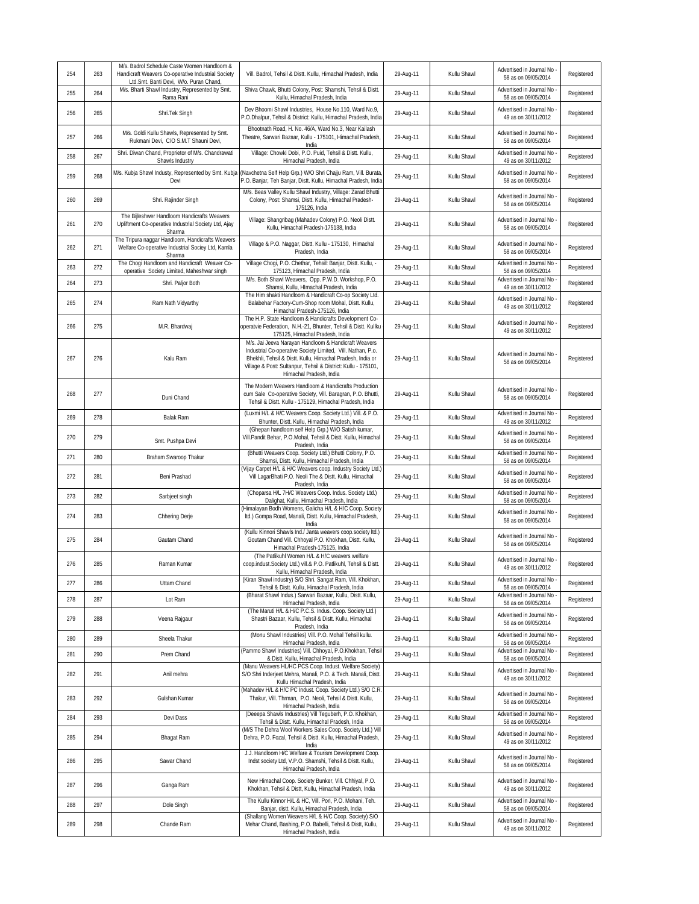| 254 | 263 | M/s. Badrol Schedule Caste Women Handloom &<br>Handicraft Weavers Co-operative Industrial Society<br>Ltd.Smt. Banti Devi, W/o. Puran Chand, | Vill. Badrol, Tehsil & Distt. Kullu, Himachal Pradesh, India                                                                                                                                                                                                                  | 29-Aug-11 | Kullu Shawl | Advertised in Journal No<br>58 as on 09/05/2014   | Registered |
|-----|-----|---------------------------------------------------------------------------------------------------------------------------------------------|-------------------------------------------------------------------------------------------------------------------------------------------------------------------------------------------------------------------------------------------------------------------------------|-----------|-------------|---------------------------------------------------|------------|
| 255 | 264 | M/s. Bharti Shawl Industry, Represented by Smt.<br>Rama Rani                                                                                | Shiva Chawk, Bhutti Colony, Post: Shamshi, Tehsil & Distt.<br>Kullu, Himachal Pradesh, India                                                                                                                                                                                  | 29-Aug-11 | Kullu Shawl | Advertised in Journal No<br>58 as on 09/05/2014   | Registered |
| 256 | 265 | Shri.Tek Singh                                                                                                                              | Dev Bhoomi Shawl Industries, House No.110, Ward No.9,<br>P.O.Dhalpur, Tehsil & District: Kullu, Himachal Pradesh, India                                                                                                                                                       | 29-Aug-11 | Kullu Shawl | Advertised in Journal No<br>49 as on 30/11/2012   | Registered |
| 257 | 266 | M/s. Goldi Kullu Shawls, Represented by Smt.<br>Rukmani Devi, C/O S.M.T Shauni Devi,                                                        | Bhootnath Road, H. No. 46/A, Ward No.3, Near Kailash<br>Theatre, Sarwari Bazaar, Kullu - 175101, Himachal Pradesh,<br>India                                                                                                                                                   | 29-Aug-11 | Kullu Shawl | Advertised in Journal No<br>58 as on 09/05/2014   | Registered |
| 258 | 267 | Shri. Diwan Chand, Proprietor of M/s. Chandrawati<br>Shawls Industry                                                                        | Village: Chowki Dobi, P.O. Puid, Tehsil & Distt. Kullu,<br>Himachal Pradesh, India                                                                                                                                                                                            | 29-Aug-11 | Kullu Shawl | Advertised in Journal No<br>49 as on 30/11/2012   | Registered |
| 259 | 268 | M/s. Kubja Shawl Industy, Represented by Smt. Kubja<br>Devi                                                                                 | (Navchetna Self Help Grp.) W/O Shri Chajju Ram, Vill. Burata<br>P.O. Banjar, Teh Banjar, Distt. Kullu, Himachal Pradesh, India                                                                                                                                                | 29-Aug-11 | Kullu Shawl | Advertised in Journal No<br>58 as on 09/05/2014   | Registered |
| 260 | 269 | Shri. Rajinder Singh                                                                                                                        | M/s. Beas Valley Kullu Shawl Industry, Village: Zarad Bhutti<br>Colony, Post: Shamsi, Distt. Kullu, Himachal Pradesh-<br>175126, India                                                                                                                                        | 29-Aug-11 | Kullu Shawl | Advertised in Journal No<br>58 as on 09/05/2014   | Registered |
| 261 | 270 | The Bijleshwer Handloom Handicrafts Weavers<br>Upliftment Co-operative Industrial Society Ltd, Ajay<br>Sharma                               | Village: Shangribag (Mahadev Colony) P.O. Neoli Distt.<br>Kullu, Himachal Pradesh-175138, India                                                                                                                                                                               | 29-Aug-11 | Kullu Shawl | Advertised in Journal No<br>58 as on 09/05/2014   | Registered |
| 262 | 271 | The Tripura naggar Handloom, Handicrafts Weavers<br>Welfare Co-operative Industrial Sociey Ltd, Kamla<br>Sharma                             | Village & P.O. Naggar, Distt. Kullu - 175130, Himachal<br>Pradesh, India                                                                                                                                                                                                      | 29-Aug-11 | Kullu Shawl | Advertised in Journal No<br>58 as on 09/05/2014   | Registered |
| 263 | 272 | The Chogi Handloom and Handicraft Weaver Co-<br>operative Society Limited, Maheshwar singh                                                  | Village Chogi, P.O. Chethar, Tehsil: Banjar, Distt. Kullu, -<br>175123, Himachal Pradesh, India                                                                                                                                                                               | 29-Aug-11 | Kullu Shawl | Advertised in Journal No<br>58 as on 09/05/2014   | Registered |
| 264 | 273 | Shri. Paljor Both                                                                                                                           | M/s. Both Shawl Weavers, Opp. P.W.D. Workshop, P.O.<br>Shamsi, Kullu, HImachal Pradesh, India                                                                                                                                                                                 | 29-Aug-11 | Kullu Shawl | Advertised in Journal No<br>49 as on 30/11/2012   | Registered |
| 265 | 274 | Ram Nath Vidyarthy                                                                                                                          | The Him shakti Handloom & Handicraft Co-op Society Ltd.<br>Balabehar Factory-Cum-Shop room Mohal, Distt. Kullu,<br>Himachal Pradesh-175126, India                                                                                                                             | 29-Aug-11 | Kullu Shawl | Advertised in Journal No<br>49 as on 30/11/2012   | Registered |
| 266 | 275 | M.R. Bhardwaj                                                                                                                               | The H.P. State Handloom & Handicrafts Development Co-<br>operatvie Federation, N.H.-21, Bhunter, Tehsil & Distt. Kullku<br>175125, Himachal Pradesh, India                                                                                                                    | 29-Aug-11 | Kullu Shawl | Advertised in Journal No<br>49 as on 30/11/2012   | Registered |
| 267 | 276 | Kalu Ram                                                                                                                                    | M/s. Jai Jeeva Narayan Handloom & Handicraft Weavers<br>Industrial Co-operative Society Limited, Vill. Nathan, P.o.<br>Bhekhli, Tehsil & Distt. Kullu, Himachal Pradesh, India or<br>Village & Post: Sultanpur, Tehsil & District: Kullu - 175101,<br>Himachal Pradesh, India | 29-Aug-11 | Kullu Shawl | Advertised in Journal No<br>58 as on 09/05/2014   | Registered |
| 268 | 277 | Duni Chand                                                                                                                                  | The Modern Weavers Handloom & Handicrafts Production<br>cum Sale Co-operative Society, Vill. Baragran, P.O. Bhutti,<br>Tehsil & Distt. Kullu - 175129, Himachal Pradesh, India                                                                                                | 29-Aug-11 | Kullu Shawl | Advertised in Journal No<br>58 as on 09/05/2014   | Registered |
| 269 | 278 | Balak Ram                                                                                                                                   | (Luxmi H/L & H/C Weavers Coop. Society Ltd.) Vill. & P.O.<br>Bhunter, Distt. Kullu, Himachal Pradesh, India                                                                                                                                                                   | 29-Aug-11 | Kullu Shawl | Advertised in Journal No<br>49 as on 30/11/2012   | Registered |
| 270 | 279 | Smt. Pushpa Devi                                                                                                                            | (Ghepan handloom self Help Grp.) W/O Satish kumar,<br>Vill.Pandit Behar, P.O.Mohal, Tehsil & Distt. Kullu, Himachal<br>Pradesh, India                                                                                                                                         | 29-Aug-11 | Kullu Shawl | Advertised in Journal No<br>58 as on 09/05/2014   | Registered |
|     |     |                                                                                                                                             | (Bhutti Weavers Coop. Society Ltd.) Bhutti Colony, P.O.                                                                                                                                                                                                                       |           |             | Advertised in Journal No                          |            |
| 271 | 280 | Braham Swaroop Thakur                                                                                                                       | Shamsi, Distt. Kullu, Himachal Pradesh, India                                                                                                                                                                                                                                 | 29-Aug-11 | Kullu Shawl | 58 as on 09/05/2014                               | Registered |
| 272 | 281 | Beni Prashad                                                                                                                                | (Vijay Carpet H/L & H/C Weavers coop. Industry Society Ltd.)<br>Vill LagarBhati P.O. Neoli The & Distt. Kullu, Himachal<br>Pradesh, India                                                                                                                                     | 29-Aug-11 | Kullu Shawl | Advertised in Journal No<br>58 as on 09/05/2014   | Registered |
| 273 | 282 | Sarbjeet singh                                                                                                                              | (Choparsa H/L 7H/C Weavers Coop. Indus. Society Ltd.)<br>Dalighat, Kullu, Himachal Pradesh, India                                                                                                                                                                             | 29-Aug-11 | Kullu Shawl | Advertised in Journal No<br>58 as on 09/05/2014   | Registered |
| 274 | 283 | Chhering Derje                                                                                                                              | (Himalayan Bodh Womens, Galicha H/L & H/C Coop. Society<br>Itd.) Gompa Road, Manali, Distt. Kullu, Himachal Pradesh,<br>India                                                                                                                                                 | 29-Aug-11 | Kullu Shawl | Advertised in Journal No<br>58 as on 09/05/2014   | Registered |
| 275 | 284 | Gautam Chand                                                                                                                                | (Kullu Kinnori Shawls Ind./ Janta weavers coop.society Itd.)<br>Goutam Chand Vill. Chhoyal P.O. Khokhan, Distt. Kullu,<br>Himachal Pradesh-175125, India                                                                                                                      | 29-Aug-11 | Kullu Shawl | Advertised in Journal No<br>58 as on 09/05/2014   | Registered |
| 276 | 285 | Raman Kumar                                                                                                                                 | (The Patlikuhl Women H/L & H/C weavers welfare<br>coop.indust.Society Ltd.) vill.& P.O. Patlikuhl, Tehsil & Distt.<br>Kullu, Himachal Pradesh, India                                                                                                                          | 29-Aug-11 | Kullu Shawl | Advertised in Journal No<br>49 as on 30/11/2012   | Registered |
| 277 | 286 | Uttam Chand                                                                                                                                 | (Kiran Shawl industry) S/O Shri. Sangat Ram, Vill. Khokhan,<br>Tehsil & Distt. Kullu, Himachal Pradesh, India                                                                                                                                                                 | 29-Aug-11 | Kullu Shawl | Advertised in Journal No<br>58 as on 09/05/2014   | Registered |
| 278 | 287 | Lot Ram                                                                                                                                     | (Bharat Shawl Indus.) Sarwari Bazaar, Kullu, Distt. Kullu,<br>Himachal Pradesh, India                                                                                                                                                                                         | 29-Aug-11 | Kullu Shawl | Advertised in Journal No<br>58 as on 09/05/2014   | Registered |
| 279 | 288 | Veena Rajgaur                                                                                                                               | (The Maruti H/L & H/C P.C.S. Indus. Coop. Society Ltd.)<br>Shastri Bazaar, Kullu, Tehsil & Distt. Kullu, Himachal<br>Pradesh, India                                                                                                                                           | 29-Aug-11 | Kullu Shawl | Advertised in Journal No<br>58 as on 09/05/2014   | Registered |
| 280 | 289 | Sheela Thakur                                                                                                                               | (Monu Shawl Industries) Vill. P.O. Mohal Tehsil kullu.<br>Himachal Pradesh, India                                                                                                                                                                                             | 29-Aug-11 | Kullu Shawl | Advertised in Journal No<br>58 as on 09/05/2014   | Registered |
| 281 | 290 | Prem Chand                                                                                                                                  | (Pammo Shawl Industries) Vill. Chhoyal, P.O.Khokhan, Tehsil<br>& Distt. Kullu, Himachal Pradesh, India                                                                                                                                                                        | 29-Aug-11 | Kullu Shawl | Advertised in Journal No<br>58 as on 09/05/2014   | Registered |
| 282 | 291 | Anil mehra                                                                                                                                  | (Manu Weavers HL/HC PCS Coop. Indust. Welfare Society)<br>S/O Shri Inderieet Mehra, Manali, P.O. & Tech, Manali, Distt.<br>Kullu Himachal Pradesh, India                                                                                                                      | 29-Aug-11 | Kullu Shawl | Advertised in Journal No -<br>49 as on 30/11/2012 | Registered |
| 283 | 292 | Gulshan Kumar                                                                                                                               | (Mahadev H/L & H/C PC Indust. Coop. Society Ltd.) S/O C.R.<br>Thakur, Vill. Thrman, P.O. Neoli, Tehsil & Distt. Kullu,<br>Himachal Pradesh, India                                                                                                                             | 29-Aug-11 | Kullu Shawl | Advertised in Journal No<br>58 as on 09/05/2014   | Registered |
| 284 | 293 | Devi Dass                                                                                                                                   | (Deeepa Shawls Industries) Vill Tequberh, P.O. Khokhan,<br>Tehsil & Distt. Kullu, Himachal Pradesh, India                                                                                                                                                                     | 29-Aug-11 | Kullu Shawl | Advertised in Journal No<br>58 as on 09/05/2014   | Registered |
| 285 | 294 | Bhagat Ram                                                                                                                                  | (M/S The Dehra Wool Workers Sales Coop. Society Ltd.) Vill<br>Dehra, P.O. Fozal, Tehsil & Distt. Kullu, Himachal Pradesh,<br>India                                                                                                                                            | 29-Aug-11 | Kullu Shawl | Advertised in Journal No<br>49 as on 30/11/2012   | Registered |
| 286 | 295 | Sawar Chand                                                                                                                                 | J.J. Handloom H/C Welfare & Tourism Development Coop.<br>Indst society Ltd, V.P.O. Shamshi, Tehsil & Distt. Kullu,<br>Himachal Pradesh, India                                                                                                                                 | 29-Aug-11 | Kullu Shawl | Advertised in Journal No<br>58 as on 09/05/2014   | Registered |
| 287 | 296 | Ganga Ram                                                                                                                                   | New Himachal Coop. Society Bunker, Vill. Chhiyal, P.O.<br>Khokhan, Tehsil & Distt, Kullu, Himachal Pradesh, India                                                                                                                                                             | 29-Aug-11 | Kullu Shawl | Advertised in Journal No<br>49 as on 30/11/2012   | Registered |
| 288 | 297 | Dole Singh                                                                                                                                  | The Kullu Kinnor H/L & HC, Vill. Pori, P.O. Mohani, Teh.<br>Banjar, distt. Kullu, Himachal Pradesh, India<br>(Shallang Women Weavers H/L & H/C Coop. Society) S/O                                                                                                             | 29-Aug-11 | Kullu Shawl | Advertised in Journal No<br>58 as on 09/05/2014   | Registered |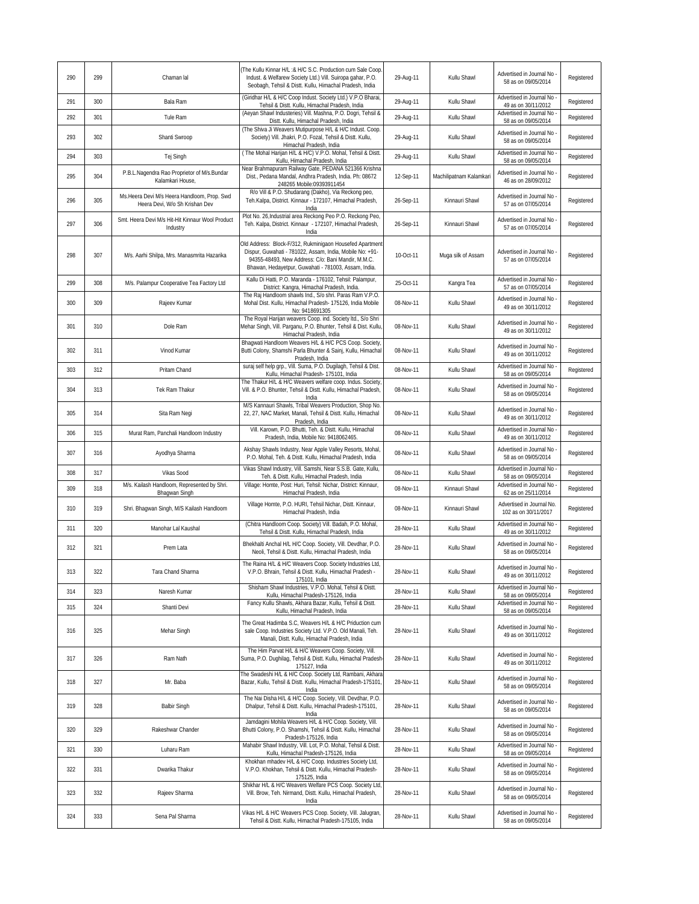| 290 | 299 | Chaman lal                                                                    | The Kullu Kinnar H/L :& H/C S.C. Production cum Sale Coop<br>Indust. & Welfarew Society Ltd.) Vill. Suiropa gahar, P.O.<br>Seobagh, Tehsil & Distt. Kullu, Himachal Pradesh, India                                                 | 29-Aug-11 | Kullu Shawl             | Advertised in Journal No<br>58 as on 09/05/2014                             | Registered |
|-----|-----|-------------------------------------------------------------------------------|------------------------------------------------------------------------------------------------------------------------------------------------------------------------------------------------------------------------------------|-----------|-------------------------|-----------------------------------------------------------------------------|------------|
| 291 | 300 | Bala Ram                                                                      | (Giridhar H/L & H/C Coop Indust. Society Ltd.) V.P.O Bharai,<br>Tehsil & Distt. Kullu, Himachal Pradesh, India                                                                                                                     | 29-Aug-11 | Kullu Shawl             | Advertised in Journal No<br>49 as on 30/11/2012                             | Registered |
| 292 | 301 | Tule Ram                                                                      | (Aeyan Shawl Industeries) Vill. Mashna, P.O. Dogri, Tehsil &<br>Distt. Kullu, Himachal Pradesh, India                                                                                                                              | 29-Aug-11 | Kullu Shawl             | Advertised in Journal No<br>58 as on 09/05/2014                             | Registered |
| 293 | 302 | Shanti Swroop                                                                 | (The Shiva Ji Weavers Mutipurpose H/L & H/C Indust. Coop.<br>Society) Vill. Jhakri, P.O. Fozal, Tehsil & Distt. Kullu,<br>Himachal Pradesh, India                                                                                  | 29-Aug-11 | Kullu Shawl             | Advertised in Journal No<br>58 as on 09/05/2014                             | Registered |
| 294 | 303 | Tej Singh                                                                     | (The Mohal Harijan H/L & H/C) V.P.O. Mohal, Tehsil & Distt.<br>Kullu, Himachal Pradesh, India                                                                                                                                      | 29-Aug-11 | Kullu Shawl             | Advertised in Journal No<br>58 as on 09/05/2014                             | Registered |
| 295 | 304 | P.B.L.Nagendra Rao Proprietor of M/s.Bundar<br>Kalamkari House.               | Near Brahmapuram Railway Gate, PEDANA 521366 Krishna<br>Dist., Pedana Mandal, Andhra Pradesh, India. Ph: 08672<br>248265 Mobile:09393911454                                                                                        | 12-Sep-11 | Machilipatnam Kalamkari | Advertised in Journal No<br>46 as on 28/09/2012                             | Registered |
| 296 | 305 | Ms.Heera Devi M/s Heera Handloom, Prop. Swd<br>Heera Devi, W/o Sh Krishan Dev | R/o Vill & P.O. Shudarang (Dakho), Via Reckong peo,<br>Teh.Kalpa, District. Kinnaur - 172107, Himachal Pradesh,<br>India                                                                                                           | 26-Sep-11 | Kinnauri Shawl          | Advertised in Journal No<br>57 as on 07/05/2014                             | Registered |
| 297 | 306 | Smt. Heera Devi M/s Hit-Hit Kinnaur Wool Product<br>Industry                  | Plot No. 26, Industrial area Reckong Peo P.O. Reckong Peo,<br>Teh. Kalpa, District. Kinnaur - 172107, Himachal Pradesh,<br>India                                                                                                   | 26-Sep-11 | Kinnauri Shawl          | Advertised in Journal No<br>57 as on 07/05/2014                             | Registered |
| 298 | 307 | M/s. Aarhi Shilpa, Mrs. Manasmrita Hazarika                                   | Old Address: Block-F/312, Rukminigaon Housefed Apartment<br>Dispur, Guwahati - 781022, Assam, India, Mobile No: +91-<br>94355-48493, New Address: C/o: Bani Mandir, M.M.C.<br>Bhawan, Hedayetpur, Guwahati - 781003, Assam, India. | 10-Oct-11 | Muga silk of Assam      | Advertised in Journal No<br>57 as on 07/05/2014                             | Registered |
| 299 | 308 | M/s. Palampur Cooperative Tea Factory Ltd                                     | Kallu Di Hatti, P.O. Maranda - 176102, Tehsil: Palampur,<br>District: Kangra, Himachal Pradesh, India.                                                                                                                             | 25-Oct-11 | Kangra Tea              | Advertised in Journal No<br>57 as on 07/05/2014                             | Registered |
| 300 | 309 | Rajeev Kumar                                                                  | The Rai Handloom shawls Ind., S/o shri, Paras Ram V.P.O.<br>Mohal Dist. Kullu, Himachal Pradesh- 175126, India Mobile<br>No: 9418691305                                                                                            | 08-Nov-11 | Kullu Shawl             | Advertised in Journal No<br>49 as on 30/11/2012                             | Registered |
| 301 | 310 | Dole Ram                                                                      | The Royal Harijan weavers Coop. ind. Society Itd., S/o Shri<br>Mehar Singh, Vill. Parganu, P.O. Bhunter, Tehsil & Dist. Kullu,<br>Himachal Pradesh, India                                                                          | 08-Nov-11 | Kullu Shawl             | Advertised in Journal No<br>49 as on 30/11/2012                             | Registered |
| 302 | 311 | Vinod Kumar                                                                   | Bhagwati Handloom Weavers H/L & H/C PCS Coop. Society,<br>Butti Colony, Shamshi Parla Bhunter & Sainj, Kullu, Himachal<br>Pradesh, India                                                                                           | 08-Nov-11 | Kullu Shawl             | Advertised in Journal No<br>49 as on 30/11/2012                             | Registered |
| 303 | 312 | Pritam Chand                                                                  | suraj self help grp., Vill. Suma, P.O. Dugilagh, Tehsil & Dist.<br>Kullu, Himachal Pradesh- 175101, India                                                                                                                          | 08-Nov-11 | Kullu Shawl             | Advertised in Journal No<br>58 as on 09/05/2014                             | Registered |
| 304 | 313 | Tek Ram Thakur                                                                | The Thakur H/L & H/C Weavers welfare coop. Indus. Society,<br>Vill. & P.O. Bhunter, Tehsil & Distt. Kullu, Himachal Pradesh,<br>India                                                                                              | 08-Nov-11 | Kullu Shawl             | Advertised in Journal No<br>58 as on 09/05/2014                             | Registered |
| 305 | 314 | Sita Ram Negi                                                                 | M/S Kannauri Shawls, Tribal Weavers Production, Shop No.<br>22, 27, NAC Market, Manali, Tehsil & Distt. Kullu, Himachal<br>Pradesh, India                                                                                          | 08-Nov-11 | Kullu Shawl             | Advertised in Journal No<br>49 as on 30/11/2012                             | Registered |
| 306 | 315 | Murat Ram, Panchali Handloom Industry                                         | Vill. Karown, P.O. Bhutti, Teh. & Distt. Kullu, Himachal<br>Pradesh, India, Mobile No: 9418062465.                                                                                                                                 | 08-Nov-11 | Kullu Shawl             | Advertised in Journal No<br>49 as on 30/11/2012                             | Registered |
| 307 | 316 | Ayodhya Sharma                                                                | Akshay Shawls Industry, Near Apple Valley Resorts, Mohal<br>P.O. Mohal, Teh. & Distt. Kullu, Himachal Pradesh, India                                                                                                               | 08-Nov-11 | Kullu Shawl             | Advertised in Journal No<br>58 as on 09/05/2014                             | Registered |
| 308 | 317 | Vikas Sood                                                                    | Vikas Shawl Industry, Vill. Samshi, Near S.S.B. Gate, Kullu,<br>Teh. & Distt. Kullu, Himachal Pradesh, India                                                                                                                       | 08-Nov-11 | Kullu Shawl             | Advertised in Journal No<br>58 as on 09/05/2014                             | Registered |
| 309 | 318 | M/s. Kailash Handloom, Represented by Shri.<br>Bhagwan Singh                  | Village: Homte, Post: Huri, Tehsil: Nichar, District: Kinnaur,<br>Himachal Pradesh, India                                                                                                                                          | 08-Nov-11 | Kinnauri Shawl          | Advertised in Journal No<br>62 as on 25/11/2014                             | Registered |
| 310 | 319 | Shri. Bhagwan Singh, M/S Kailash Handloom                                     | Village Homte, P.O. HURI, Tehsil Nichar, Distt. Kinnaur,<br>Himachal Pradesh, India                                                                                                                                                | 08-Nov-11 | Kinnauri Shawl          | Advertised in Journal No.<br>102 as on 30/11/2017                           | Registered |
| 311 | 320 | Manohar Lal Kaushal                                                           | (Chitra Handloom Coop. Society) Vill. Badah, P.O. Mohal,<br>Tehsil & Distt. Kullu, Himachal Pradesh, India                                                                                                                         | 28-Nov-11 | Kullu Shawl             | Advertised in Journal No<br>49 as on 30/11/2012                             | Registered |
| 312 | 321 | Prem Lata                                                                     | Bhekhalti Anchal H/L H/C Coop. Society, Vill. Devdhar, P.O.<br>Neoli, Tehsil & Distt. Kullu, Himachal Pradesh, India                                                                                                               | 28-Nov-11 | Kullu Shawl             | Advertised in Journal No<br>58 as on 09/05/2014                             | Registered |
| 313 | 322 | Tara Chand Sharma                                                             | The Raina H/L & H/C Weavers Coop. Society Industries Ltd,<br>V.P.O. Bhrain, Tehsil & Distt. Kullu, Himachal Pradesh -<br>175101, India                                                                                             | 28-Nov-11 | Kullu Shawl             | Advertised in Journal No<br>49 as on 30/11/2012                             | Registered |
| 314 | 323 | Naresh Kumar                                                                  | Shisham Shawl Industries, V.P.O. Mohal, Tehsil & Distt.<br>Kullu, Himachal Pradesh-175126, India                                                                                                                                   | 28-Nov-11 | Kullu Shawl             | Advertised in Journal No<br>58 as on 09/05/2014<br>Advertised in Journal No | Registered |
| 315 | 324 | Shanti Devi                                                                   | Fancy Kullu Shawls, Akhara Bazar, Kullu, Tehsil & Distt.<br>Kullu, Himachal Pradesh, India                                                                                                                                         | 28-Nov-11 | Kullu Shawl             | 58 as on 09/05/2014                                                         | Registered |
| 316 | 325 | Mehar Singh                                                                   | The Great Hadimba S.C, Weavers H/L & H/C Priduction cum<br>sale Coop. Industries Society Ltd. V.P.O. Old Manali, Teh.<br>Manali, Distt. Kullu, Himachal Pradesh, India                                                             | 28-Nov-11 | Kullu Shawl             | Advertised in Journal No<br>49 as on 30/11/2012                             | Registered |
| 317 | 326 | Ram Nath                                                                      | The Him Parvat H/L & H/C Weavers Coop. Society, Vill.<br>Suma, P.O. Dughilag, Tehsil & Distt. Kullu, Himachal Pradesh-<br>175127, India                                                                                            | 28-Nov-11 | Kullu Shawl             | Advertised in Journal No<br>49 as on 30/11/2012                             | Registered |
| 318 | 327 | Mr. Baba                                                                      | The Swadeshi H/L & H/C Coop. Society Ltd, Rambani, Akhara<br>Bazar, Kullu, Tehsil & Distt. Kullu, Himachal Pradesh-175101,<br>India                                                                                                | 28-Nov-11 | Kullu Shawl             | Advertised in Journal No<br>58 as on 09/05/2014                             | Registered |
| 319 | 328 | <b>Balbir Singh</b>                                                           | The Nai Disha H/L & H/C Coop. Society, Vill. Devdhar, P.O.<br>Dhalpur, Tehsil & Distt. Kullu, Himachal Pradesh-175101,<br>India                                                                                                    | 28-Nov-11 | Kullu Shawl             | Advertised in Journal No -<br>58 as on 09/05/2014                           | Registered |
| 320 | 329 | Rakeshwar Chander                                                             | Jamdagini Mohila Weavers H/L & H/C Coop. Society, Vill.<br>Bhutti Colony, P.O. Shamshi, Tehsil & Distt. Kullu, Himachal<br>Pradesh-175126, India                                                                                   | 28-Nov-11 | Kullu Shawl             | Advertised in Journal No<br>58 as on 09/05/2014                             | Registered |
| 321 | 330 | Luharu Ram                                                                    | Mahabir Shawl Industry, Vill. Lot, P.O. Mohal, Tehsil & Distt.<br>Kullu, Himachal Pradesh-175126, India                                                                                                                            | 28-Nov-11 | Kullu Shawl             | Advertised in Journal No<br>58 as on 09/05/2014                             | Registered |
| 322 | 331 | Dwarika Thakur                                                                | Khokhan mhadev H/L & H/C Coop. Industries Society Ltd,<br>V.P.O. Khokhan, Tehsil & Distt. Kullu, Himachal Pradesh-<br>175125, India                                                                                                | 28-Nov-11 | Kullu Shawl             | Advertised in Journal No<br>58 as on 09/05/2014                             | Registered |
| 323 | 332 | Rajeev Sharma                                                                 | Shikhar H/L & H/C Weavers Welfare PCS Coop. Society Ltd,<br>Vill. Brow, Teh. Nirmand, Distt. Kullu, Himachal Pradesh,<br>India                                                                                                     | 28-Nov-11 | Kullu Shawl             | Advertised in Journal No<br>58 as on 09/05/2014                             | Registered |
| 324 | 333 | Sena Pal Sharma                                                               | Vikas H/L & H/C Weavers PCS Coop. Society, Vill. Jalugran,<br>Tehsil & Distt. Kullu, Himachal Pradesh-175105, India                                                                                                                | 28-Nov-11 | Kullu Shawl             | Advertised in Journal No<br>58 as on 09/05/2014                             | Registered |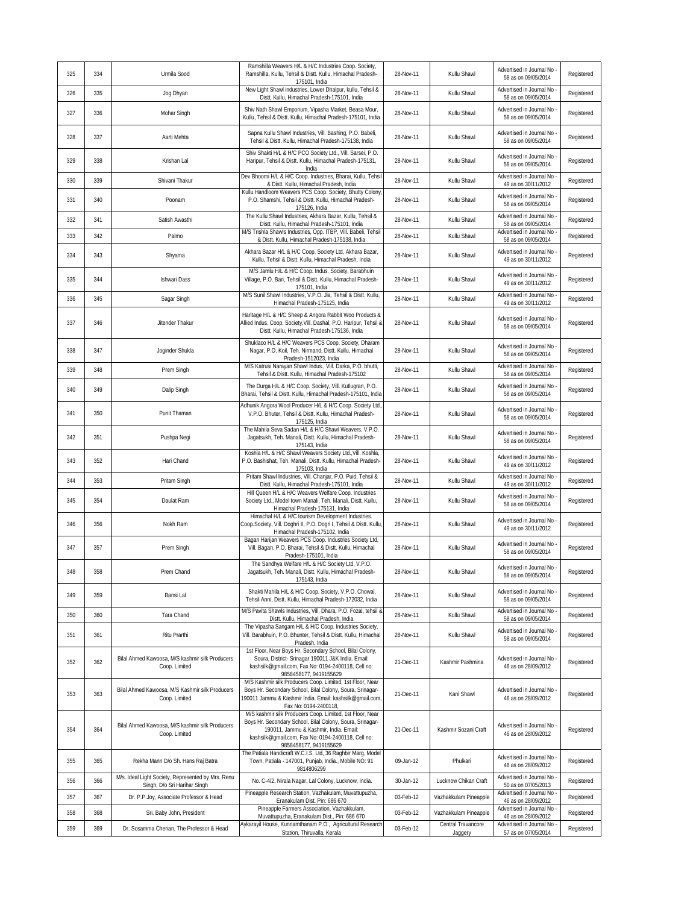| 325 | 334 | Urmila Sood                                                                        | Ramshilla Weavers H/L & H/C Industries Coop. Society,<br>Ramshilla, Kullu, Tehsil & Distt. Kullu, Himachal Pradesh-<br>175101, India                                                                                                             | 28-Nov-11 | Kullu Shawl                   | Advertised in Journal No<br>58 as on 09/05/2014   | Registered |
|-----|-----|------------------------------------------------------------------------------------|--------------------------------------------------------------------------------------------------------------------------------------------------------------------------------------------------------------------------------------------------|-----------|-------------------------------|---------------------------------------------------|------------|
| 326 | 335 | Jog Dhyan                                                                          | New Light Shawl industries, Lower Dhalpur, kullu, Tehsil &<br>Distt, Kullu, Himachal Pradesh-175101, India                                                                                                                                       | 28-Nov-11 | Kullu Shawl                   | Advertised in Journal No<br>58 as on 09/05/2014   | Registered |
| 327 | 336 | Mohar Singh                                                                        | Shiv Nath Shawl Emporium, Vipasha Market, Beasa Mour,<br>Kullu, Tehsil & Distt. Kullu, Himachal Pradesh-175101, India                                                                                                                            | 28-Nov-11 | Kullu Shawl                   | Advertised in Journal No<br>58 as on 09/05/2014   | Registered |
| 328 | 337 | Aarti Mehta                                                                        | Sapna Kullu Shawl Industries, Vill. Bashing, P.O. Babeli,<br>Tehsil & Distt. Kullu, Himachal Pradesh-175138, India                                                                                                                               | 28-Nov-11 | Kullu Shawl                   | Advertised in Journal No<br>58 as on 09/05/2014   | Registered |
| 329 | 338 | Krishan Lal                                                                        | Shiv Shakti H/L & H/C PCO Society Ltd., Vill. Sarsei, P.O.<br>Haripur, Tehsil & Distt. Kullu, Himachal Pradesh-175131,<br>India                                                                                                                  | 28-Nov-11 | Kullu Shawl                   | Advertised in Journal No<br>58 as on 09/05/2014   | Registered |
| 330 | 339 | Shivani Thakur                                                                     | Dev Bhoomi H/L & H/C Coop. Industries, Bharai, Kullu, Tehsi<br>& Distt. Kullu, Himachal Pradesh, India                                                                                                                                           | 28-Nov-11 | Kullu Shawl                   | Advertised in Journal No<br>49 as on 30/11/2012   | Registered |
| 331 | 340 | Poonam                                                                             | Kullu Handloom Weavers PCS Coop. Society, Bhutty Colony<br>P.O. Shamshi, Tehsil & Distt. Kullu, Himachal Pradesh-<br>175126, India                                                                                                               | 28-Nov-11 | Kullu Shawl                   | Advertised in Journal No<br>58 as on 09/05/2014   | Registered |
| 332 | 341 | Satish Awasthi                                                                     | The Kullu Shawl Industries, Akhara Bazar, Kullu, Tehsil &<br>Distt. Kullu, Himachal Pradesh-175101, India                                                                                                                                        | 28-Nov-11 | Kullu Shawl                   | Advertised in Journal No<br>58 as on 09/05/2014   | Registered |
| 333 | 342 | Palmo                                                                              | M/S Trishla Shawls Industries, Opp. ITBP, Vill. Babeli, Tehsil<br>& Distt. Kullu, Himachal Pradesh-175138, India                                                                                                                                 | 28-Nov-11 | Kullu Shawl                   | Advertised in Journal No<br>58 as on 09/05/2014   | Registered |
| 334 | 343 | Shyama                                                                             | Akhara Bazar H/L & H/C Coop. Society Ltd, Akhara Bazar,<br>Kullu, Tehsil & Distt. Kullu, Himachal Pradesh, India                                                                                                                                 | 28-Nov-11 | Kullu Shawl                   | Advertised in Journal No<br>49 as on 30/11/2012   | Registered |
| 335 | 344 | <b>Ishwari Dass</b>                                                                | M/S Jamlu H/L & H/C Coop. Indus. Society, Barabhuin<br>Village, P.O. Bari, Tehsil & Distt. Kullu, Himachal Pradesh-<br>175101, India                                                                                                             | 28-Nov-11 | Kullu Shawl                   | Advertised in Journal No<br>49 as on 30/11/2012   | Registered |
| 336 | 345 | Sagar Singh                                                                        | M/S Sunil Shawl Industries, V.P.O. Jia, Tehsil & Distt. Kullu,<br>Himachal Pradesh-175125, India                                                                                                                                                 | 28-Nov-11 | Kullu Shawl                   | Advertised in Journal No<br>49 as on 30/11/2012   | Registered |
| 337 | 346 | Jitender Thakur                                                                    | Haritage H/L & H/C Sheep & Angora Rabbit Woo Products &<br>Allied Indus. Coop. Society, Vill. Dashal, P.O. Haripur, Tehsil &<br>Distt. Kullu, Himachal Pradesh-175136, India                                                                     | 28-Nov-11 | Kullu Shawl                   | Advertised in Journal No<br>58 as on 09/05/2014   | Registered |
| 338 | 347 | Joginder Shukla                                                                    | Shuklaco H/L & H/C Weavers PCS Coop. Society, Dharam<br>Nagar, P.O. Koil, Teh. Nirmand, Distt. Kullu, Himachal<br>Pradesh-1512023, India                                                                                                         | 28-Nov-11 | Kullu Shawl                   | Advertised in Journal No<br>58 as on 09/05/2014   | Registered |
| 339 | 348 | Prem Singh                                                                         | M/S Katrusi Narayan Shawl Indus., Vill. Darka, P.O. bhutti,<br>Tehsil & Distt. Kullu, Himachal Pradesh-175102                                                                                                                                    | 28-Nov-11 | Kullu Shawl                   | Advertised in Journal No<br>58 as on 09/05/2014   | Registered |
| 340 | 349 | Dalip Singh                                                                        | The Durga H/L & H/C Coop. Society, Vill. Kutlugran, P.O.<br>Bharai, Tehsil & Distt. Kullu, Himachal Pradesh-175101, India                                                                                                                        | 28-Nov-11 | Kullu Shawl                   | Advertised in Journal No<br>58 as on 09/05/2014   | Registered |
| 341 | 350 | Punit Thaman                                                                       | Adhunik Angora Wool Producer H/L & H/C Coop. Society Ltd.<br>V.P.O. Bhuter, Tehsil & Distt. Kullu, Himachal Pradesh-<br>175125, India                                                                                                            | 28-Nov-11 | Kullu Shawl                   | Advertised in Journal No<br>58 as on 09/05/2014   | Registered |
| 342 | 351 | Pushpa Negi                                                                        | The Mahila Seva Sadan H/L & H/C Shawl Weavers, V.P.O.<br>Jagatsukh, Teh. Manali, Distt. Kullu, Himachal Pradesh-<br>175143, India                                                                                                                | 28-Nov-11 | Kullu Shawl                   | Advertised in Journal No<br>58 as on 09/05/2014   | Registered |
| 343 | 352 | Hari Chand                                                                         | Koshla H/L & H/C Shawl Weavers Society Ltd., Vill. Koshla,<br>P.O. Bashishat, Teh. Manali, Distt. Kullu, Himachal Pradesh-<br>175103, India                                                                                                      | 28-Nov-11 | Kullu Shawl                   | Advertised in Journal No<br>49 as on 30/11/2012   | Registered |
| 344 | 353 | Pritam Singh                                                                       | Pritam Shawl Industries, Vill. Chanjar, P.O. Puid, Tehsil &<br>Distt. Kullu, Himachal Pradesh-175101, India                                                                                                                                      | 28-Nov-11 | Kullu Shawl                   | Advertised in Journal No<br>49 as on 30/11/2012   | Registered |
| 345 | 354 | Daulat Ram                                                                         | Hill Queen H/L & H/C Weavers Welfare Coop. Industries<br>Society Ltd., Model town Manali, Teh. Manali, Distt. Kullu,<br>Himachal Pradesh-175131. India                                                                                           | 28-Nov-11 | Kullu Shawl                   | Advertised in Journal No<br>58 as on 09/05/2014   | Registered |
| 346 | 356 | Nokh Ram                                                                           | Himachal H/L & H/C tourism Development Industries.<br>Coop.Society, Vill. Doghri II, P.O. Dogri I, Tehsil & Distt. Kullu,<br>Himachal Pradesh-175102, India                                                                                      | 28-Nov-11 | Kullu Shawl                   | Advertised in Journal No<br>49 as on 30/11/2012   | Registered |
| 347 | 357 | Prem Singh                                                                         | Bagan Harijan Weavers PCS Coop. Industries Society Ltd,<br>Vill. Bagan, P.O. Bharai, Tehsil & Distt. Kullu, Himachal<br>Pradesh-175101, India                                                                                                    | 28-Nov-11 | Kullu Shawl                   | Advertised in Journal No<br>58 as on 09/05/2014   | Registered |
| 348 | 358 | Prem Chand                                                                         | The Sandhya Welfare H/L & H/C Society Ltd, V.P.O.<br>Jagatsukh, Teh. Manali, Distt. Kullu, Himachal Pradesh-<br>175143, India                                                                                                                    | 28-Nov-11 | Kullu Shawl                   | Advertised in Journal No<br>58 as on 09/05/2014   | Registered |
| 349 | 359 | Bansi Lal                                                                          | Shakti Mahila H/L & H/C Coop. Society, V.P.O. Chowal,<br>Tehsil Anni, Distt. Kullu, Himachal Pradesh-172032, India                                                                                                                               | 28-Nov-11 | Kullu Shawl                   | Advertised in Journal No -<br>58 as on 09/05/2014 | Registered |
| 350 | 360 | Tara Chand                                                                         | M/S Pavita Shawls Industries, Vill. Dhara, P.O. Fozal, tehsil &<br>Distt. Kullu, Himachal Pradesh, India                                                                                                                                         | 28-Nov-11 | Kullu Shawl                   | Advertised in Journal No<br>58 as on 09/05/2014   | Registered |
| 351 | 361 | Ritu Prarthi                                                                       | The Vipasha Sangam H/L & H/C Coop. Industries Society,<br>Vill. Barabhuin, P.O. Bhunter, Tehsil & Distt. Kullu, Himachal<br>Pradesh, India                                                                                                       | 28-Nov-11 | Kullu Shawl                   | Advertised in Journal No<br>58 as on 09/05/2014   | Registered |
| 352 | 362 | Bilal Ahmed Kawoosa, M/S kashmir silk Producers<br>Coop. Limited                   | 1st Floor, Near Boys Hr. Secondary School, Bilal Colony,<br>Soura, District- Srinagar 190011 J&K India. Email:<br>kashsilk@gmail.com, Fax No: 0194-2400118, Cell no:<br>9858458177, 9419155629                                                   | 21-Dec-11 | Kashmir Pashmina              | Advertised in Journal No<br>46 as on 28/09/2012   | Registered |
| 353 | 363 | Bilal Ahmed Kawoosa, M/S Kashmir silk Producers<br>Coop. Limited                   | M/S Kashmir silk Producers Coop. Limited, 1st Floor, Near<br>Boys Hr. Secondary School, Bilal Colony, Soura, Srinagar-<br>190011 Jammu & Kashmir India. Email: kashsilk@gmail.com,<br>Fax No: 0194-2400118,                                      | 21-Dec-11 | Kani Shawl                    | Advertised in Journal No<br>46 as on 28/09/2012   | Registered |
| 354 | 364 | Bilal Ahmed Kawoosa, M/S kashmir silk Producers<br>Coop. Limited                   | M/S kashmir silk Producers Coop. Limited, 1st Floor, Near<br>Boys Hr. Secondary School, Bilal Colony, Soura, Srinagar-<br>190011, Jammu & Kashmir, India. Email:<br>kashsilk@gmail.com, Fax No: 0194-2400118, Cell no:<br>9858458177, 9419155629 | 21-Dec-11 | Kashmir Sozani Craft          | Advertised in Journal No<br>46 as on 28/09/2012   | Registered |
| 355 | 365 | Rekha Mann D/o Sh. Hans Raj Batra                                                  | The Patiala Handicraft W.C.I.S. Ltd, 36 Raghbir Marg, Model<br>Town, Patiala - 147001, Punjab, India., Mobile NO: 91<br>9814806299                                                                                                               | 09-Jan-12 | Phulkari                      | Advertised in Journal No<br>46 as on 28/09/2012   | Registered |
| 356 | 366 | M/s. Ideal Light Society, Represented by Mrs. Renu<br>Singh, D/o Sri Harihar Singh | No. C-4/2, Nirala Nagar, Lal Colony, Lucknow, India.                                                                                                                                                                                             | 30-Jan-12 | Lucknow Chikan Craft          | Advertised in Journal No<br>50 as on 07/05/2013   | Registered |
| 357 | 367 | Dr. P.P.Joy, Associate Professor & Head                                            | Pineapple Research Station, Vazhakulam, Muvattupuzha,<br>Eranakulam Dist. Pin: 686 670                                                                                                                                                           | 03-Feb-12 | Vazhakkulam Pineapple         | Advertised in Journal No<br>46 as on 28/09/2012   | Registered |
| 358 | 368 | Sri. Baby John, President                                                          | Pineapple Farmers Association, Vazhakkulam,<br>Muvattupuzha, Eranakulam Dist., Pin: 686 670                                                                                                                                                      | 03-Feb-12 | Vazhakkulam Pineapple         | Advertised in Journal No<br>46 as on 28/09/2012   | Registered |
| 359 | 369 | Dr. Sosamma Cherian, The Professor & Head                                          | Aykarayil House, Kunnamthanam P.O., Agricultural Research<br>Station, Thiruvalla, Kerala                                                                                                                                                         | 03-Feb-12 | Central Travancore<br>Jaggery | Advertised in Journal No -<br>57 as on 07/05/2014 | Registered |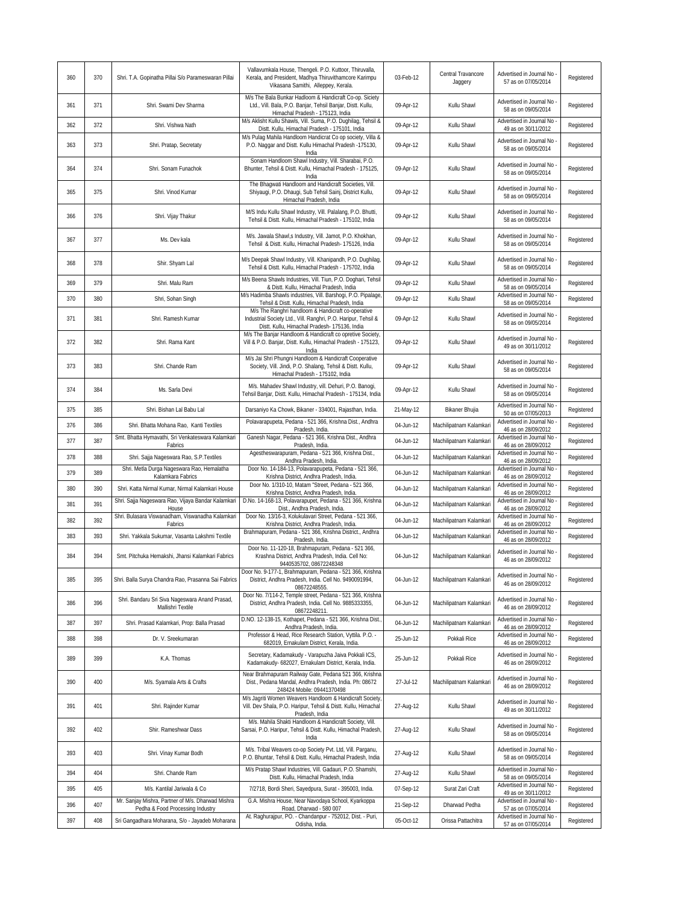| 360 | 370 | Shri. T.A. Gopinatha Pillai S/o Parameswaran Pillai                                 | Vallavumkala House, Thengeli. P.O. Kuttoor, Thiruvalla,<br>Kerala, and President, Madhya Thiruvithamcore Karimpu<br>Vikasana Samithi, Alleppey, Kerala.                    | 03-Feb-12 | Central Travancore<br>Jaggery | Advertised in Journal No<br>57 as on 07/05/2014                        | Registered |
|-----|-----|-------------------------------------------------------------------------------------|----------------------------------------------------------------------------------------------------------------------------------------------------------------------------|-----------|-------------------------------|------------------------------------------------------------------------|------------|
| 361 | 371 | Shri. Swami Dev Sharma                                                              | M/s The Bala Bunkar Hadloom & Handicraft Co-op. Siciety<br>Ltd., Vill. Bala, P.O. Banjar, Tehsil Banjar, Distt. Kullu,<br>Himachal Pradesh - 175123, India                 | 09-Apr-12 | Kullu Shawl                   | Advertised in Journal No<br>58 as on 09/05/2014                        | Registered |
| 362 | 372 | Shri. Vishwa Nath                                                                   | M/s Aklisht Kullu Shawls, Vill. Suma, P.O. Dughilag, Tehsil &<br>Distt. Kullu, Himachal Pradesh - 175101, India                                                            | 09-Apr-12 | Kullu Shawl                   | Advertised in Journal No<br>49 as on 30/11/2012                        | Registered |
| 363 | 373 | Shri. Pratap, Secretaty                                                             | M/s Pulag Mahila Handloom Handicrat Co op society, Villa &<br>P.O. Naggar and Distt. Kullu Himachal Pradesh -175130,<br>India                                              | 09-Apr-12 | Kullu Shawl                   | Advertised in Journal No<br>58 as on 09/05/2014                        | Registered |
| 364 | 374 | Shri. Sonam Funachok                                                                | Sonam Handloom Shawl Industry, Vill. Sharabai, P.O.<br>Bhunter, Tehsil & Distt. Kullu, Himachal Pradesh - 175125,<br>India                                                 | 09-Apr-12 | Kullu Shawl                   | Advertised in Journal No<br>58 as on 09/05/2014                        | Registered |
| 365 | 375 | Shri. Vinod Kumar                                                                   | The Bhagwati Handloom and Handicraft Societies, Vill.<br>Shiyaugi, P.O. Dhaugi, Sub Tehsil Sainj, District Kullu,<br>Himachal Pradesh, India                               | 09-Apr-12 | Kullu Shawl                   | Advertised in Journal No<br>58 as on 09/05/2014                        | Registered |
| 366 | 376 | Shri. Vijay Thakur                                                                  | M/S Indu Kullu Shawl Industry, Vill. Palalang, P.O. Bhutti,<br>Tehsil & Distt. Kullu, Himachal Pradesh - 175102, India                                                     | 09-Apr-12 | Kullu Shawl                   | Advertised in Journal No<br>58 as on 09/05/2014                        | Registered |
| 367 | 377 | Ms. Dev kala                                                                        | M/s. Jawala Shawl,s Industry, Vill. Jamot, P.O. Khokhan,<br>Tehsil & Distt. Kullu, Himachal Pradesh- 175126, India                                                         | 09-Apr-12 | Kullu Shawl                   | Advertised in Journal No<br>58 as on 09/05/2014                        | Registered |
| 368 | 378 | Shir. Shyam Lal                                                                     | M/s Deepak Shawl Industry, Vill. Khanipandh, P.O. Dughilag,<br>Tehsil & Distt. Kullu, Himachal Pradesh - 175702, India                                                     | 09-Apr-12 | Kullu Shawl                   | Advertised in Journal No<br>58 as on 09/05/2014                        | Registered |
| 369 | 379 | Shri. Malu Ram                                                                      | M/s Beena Shawls Industries, Vill. Tiun, P.O. Doghari, Tehsil<br>& Distt. Kullu, Himachal Pradesh, India                                                                   | 09-Apr-12 | Kullu Shawl                   | Advertised in Journal No<br>58 as on 09/05/2014                        | Registered |
| 370 | 380 | Shri, Sohan Singh                                                                   | M/s Hadimba Shawls industries, Vill. Barshogi, P.O. Pipalage,<br>Tehsil & Distt. Kullu, Himachal Pradesh, India                                                            | 09-Apr-12 | Kullu Shawl                   | Advertised in Journal No<br>58 as on 09/05/2014                        | Registered |
| 371 | 381 | Shri. Ramesh Kumar                                                                  | M/s The Ranghri handloom & Handicraft co-operative<br>Industrial Society Ltd., Vill. Ranghri, P.O. Haripur, Tehsil &<br>Distt. Kullu, Himachal Pradesh- 175136, India      | 09-Apr-12 | Kullu Shawl                   | Advertised in Journal No<br>58 as on 09/05/2014                        | Registered |
| 372 | 382 | Shri. Rama Kant                                                                     | M/s The Banjar Handloom & Handicraft co opretive Society,<br>Vill & P.O. Banjar, Distt. Kullu, Himachal Pradesh - 175123,<br>India                                         | 09-Apr-12 | Kullu Shawl                   | Advertised in Journal No<br>49 as on 30/11/2012                        | Registered |
| 373 | 383 | Shri. Chande Ram                                                                    | M/s Jai Shri Phungni Handloom & Handicraft Cooperative<br>Society, Vill. Jindi, P.O. Shalang, Tehsil & Distt. Kullu,<br>Himachal Pradesh - 175102, India                   | 09-Apr-12 | Kullu Shawl                   | Advertised in Journal No<br>58 as on 09/05/2014                        | Registered |
| 374 | 384 | Ms. Sarla Devi                                                                      | M/s. Mahadev Shawl Industry, vill. Dehuri, P.O. Banogi,<br>Tehsil Banjar, Distt. Kullu, Himachal Pradesh - 175134, India                                                   | 09-Apr-12 | Kullu Shawl                   | Advertised in Journal No<br>58 as on 09/05/2014                        | Registered |
| 375 | 385 | Shri. Bishan Lal Babu Lal                                                           | Darsaniyo Ka Chowk, Bikaner - 334001, Rajasthan, India.                                                                                                                    | 21-May-12 | Bikaner Bhujia                | Advertised in Journal No<br>50 as on 07/05/2013                        | Registered |
| 376 | 386 | Shri. Bhatta Mohana Rao, Kanti Textiles                                             | Polavarapupeta, Pedana - 521 366, Krishna Dist., Andhra<br>Pradesh, India.                                                                                                 | 04-Jun-12 | Machilipatnam Kalamkari       | Advertised in Journal No<br>46 as on 28/09/2012                        | Registered |
| 377 | 387 | Smt. Bhatta Hymavathi, Sri Venkateswara Kalamkari<br>Fabrics                        | Ganesh Nagar, Pedana - 521 366, Krishna Dist., Andhra<br>Pradesh, India.                                                                                                   | 04-Jun-12 | Machilipatnam Kalamkari       | Advertised in Journal No<br>46 as on 28/09/2012                        | Registered |
| 378 | 388 | Shri. Sajja Nageswara Rao, S.P. Textiles                                            | Agestheswarapuram, Pedana - 521 366, Krishna Dist.,<br>Andhra Pradesh, India.                                                                                              | 04-Jun-12 | Machilipatnam Kalamkari       | Advertised in Journal No<br>46 as on 28/09/2012                        | Registered |
| 379 | 389 | Shri. Metla Durga Nageswara Rao, Hemalatha<br>Kalamkara Fabrics                     | Door No. 14-184-13, Polavarapupeta, Pedana - 521 366<br>Krishna District, Andhra Pradesh, India.                                                                           | 04-Jun-12 | Machilipatnam Kalamkari       | Advertised in Journal No<br>46 as on 28/09/2012                        | Registered |
| 380 | 390 | Shri. Katta Nirmal Kumar, Nirmal Kalamkari House                                    | Door No. 1/310-10, Matam "Street, Pedana - 521 366,<br>Krishna District, Andhra Pradesh, India.                                                                            | 04-Jun-12 | Machilipatnam Kalamkari       | Advertised in Journal No<br>46 as on 28/09/2012                        | Registered |
| 381 | 391 | Shri. Sajja Nageswara Rao, Vijaya Bandar Kalamkari                                  | D.No. 14-168-13, Polavarapupet, Pedana - 521 366, Krishna                                                                                                                  | 04-Jun-12 | Machilipatnam Kalamkari       | Advertised in Journal No                                               | Registered |
| 382 | 392 | House<br>Shri. Bulasara Viswanadham, Viswanadha Kalamkari                           | Dist., Andhra Pradesh, India.<br>Door No. 13/16-3, Kolukulavari Street, Pedana - 521 366,                                                                                  | 04-Jun-12 | Machilipatnam Kalamkari       | 46 as on 28/09/2012<br>Advertised in Journal No                        | Registered |
| 383 | 393 | Fabrics<br>Shri. Yakkala Sukumar, Vasanta Lakshmi Textile                           | Krishna District, Andhra Pradesh, India.<br>Brahmapuram, Pedana - 521 366, Krishna District., Andhra                                                                       | 04-Jun-12 | Machilipatnam Kalamkari       | 46 as on 28/09/2012<br>Advertised in Journal No                        | Registered |
| 384 | 394 | Smt. Pitchuka Hemakshi, Jhansi Kalamkari Fabrics                                    | Pradesh, India.<br>Door No. 11-120-18, Brahmapuram, Pedana - 521 366,<br>Krashna District, Andhra Pradesh, India. Cell No:                                                 | 04-Jun-12 | Machilipatnam Kalamkari       | 46 as on 28/09/2012<br>Advertised in Journal No<br>46 as on 28/09/2012 | Registered |
| 385 | 395 | Shri. Balla Surya Chandra Rao, Prasanna Sai Fabrics                                 | 9440535702, 08672248348<br>Door No. 9-177-1, Brahmapuram, Pedana - 521 366, Krishna<br>District, Andhra Pradesh, India. Cell No. 9490091994,                               | 04-Jun-12 | Machilipatnam Kalamkari       | Advertised in Journal No<br>46 as on 28/09/2012                        | Registered |
| 386 | 396 | Shri. Bandaru Sri Siva Nageswara Anand Prasad,<br>Mallishri Textile                 | 08672248555.<br>Door No. 7/114-2, Temple street, Pedana - 521 366, Krishna<br>District, Andhra Pradesh, India. Cell No. 9885333355,                                        | 04-Jun-12 | Machilipatnam Kalamkari       | Advertised in Journal No<br>46 as on 28/09/2012                        | Registered |
| 387 | 397 | Shri. Prasad Kalamkari, Prop: Balla Prasad                                          | 08672248211.<br>D.NO. 12-138-15, Kothapet, Pedana - 521 366, Krishna Dist.                                                                                                 | 04-Jun-12 | Machilipatnam Kalamkari       | Advertised in Journal No                                               | Registered |
| 388 | 398 | Dr. V. Sreekumaran                                                                  | Andhra Pradesh, India.<br>Professor & Head, Rice Research Station, Vyttila. P.O. -                                                                                         | 25-Jun-12 | Pokkali Rice                  | 46 as on 28/09/2012<br>Advertised in Journal No                        | Registered |
| 389 | 399 | K.A. Thomas                                                                         | 682019, Ernakulam District, Kerala, India.<br>Secretary, Kadamakudy - Varapuzha Jaiva Pokkali ICS,<br>Kadamakudy- 682027, Ernakulam District, Kerala, India.               | 25-Jun-12 | Pokkali Rice                  | 46 as on 28/09/2012<br>Advertised in Journal No<br>46 as on 28/09/2012 | Registered |
| 390 | 400 | M/s. Syamala Arts & Crafts                                                          | Near Brahmapuram Railway Gate, Pedana 521 366, Krishna<br>Dist., Pedana Mandal, Andhra Pradesh, India. Ph: 08672                                                           | 27-Jul-12 | Machilipatnam Kalamkari       | Advertised in Journal No<br>46 as on 28/09/2012                        | Registered |
| 391 | 401 | Shri. Rajinder Kumar                                                                | 248424 Mobile: 09441370498<br>M/s Jagriti Women Weavers Handloom & Handicraft Society,<br>Vill. Dev Shala, P.O. Haripur, Tehsil & Distt. Kullu, Himachal<br>Pradesh, India | 27-Aug-12 | Kullu Shawl                   | Advertised in Journal No<br>49 as on 30/11/2012                        | Registered |
| 392 | 402 | Shir. Rameshwar Dass                                                                | M/s. Mahila Shakti Handloom & Handicraft Society, Vill.<br>Sarsai, P.O. Haripur, Tehsil & Distt. Kullu, Himachal Pradesh,<br>India                                         | 27-Aug-12 | Kullu Shawl                   | Advertised in Journal No.<br>58 as on 09/05/2014                       | Registered |
| 393 | 403 | Shri. Vinay Kumar Bodh                                                              | M/s. Tribal Weavers co-op Society Pvt. Ltd, Vill. Parganu,<br>P.O. Bhuntar, Tehsil & Distt. Kullu, Himachal Pradesh, India                                                 | 27-Aug-12 | Kullu Shawl                   | Advertised in Journal No<br>58 as on 09/05/2014                        | Registered |
| 394 | 404 | Shri. Chande Ram                                                                    | M/s Pratap Shawl Industries, Vill. Gadauri, P.O. Shamshi,                                                                                                                  | 27-Aug-12 | Kullu Shawl                   | Advertised in Journal No -                                             | Registered |
| 395 | 405 | M/s. Kantilal Jariwala & Co                                                         | Distt. Kullu, Himachal Pradesh, India<br>7/2718, Bordi Sheri, Sayedpura, Surat - 395003, India.                                                                            | 07-Sep-12 | Surat Zari Craft              | 58 as on 09/05/2014<br>Advertised in Journal No                        | Registered |
| 396 | 407 | Mr. Sanjay Mishra, Partner of M/s. Dharwad Mishra                                   | G.A. Mishra House, Near Navodaya School, Kyarkoppa<br>Road, Dharwad - 580 007                                                                                              | 21-Sep-12 | Dharwad Pedha                 | 49 as on 30/11/2012<br>Advertised in Journal No                        | Registered |
| 397 | 408 | Pedha & Food Processing Industry<br>Sri Gangadhara Moharana, S/o - Jayadeb Moharana | At. Raghurajpur, PO. - Chandanpur - 752012, Dist. - Puri,<br>Odisha, India.                                                                                                | 05-Oct-12 | Orissa Pattachitra            | 57 as on 07/05/2014<br>Advertised in Journal No<br>57 as on 07/05/2014 | Registered |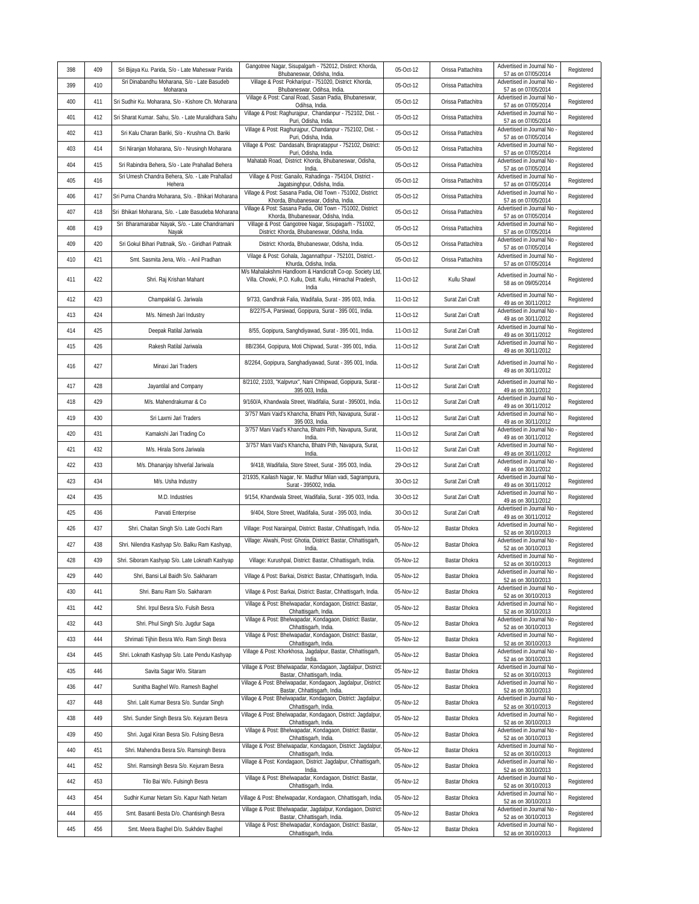| 398 | 409 | Sri Bijaya Ku. Parida, S/o - Late Maheswar Parida         | Gangotree Nagar, Sisupalgarh - 752012, Distirct: Khorda,<br>Bhubaneswar, Odisha, India.                                                        | 05-Oct-12 | Orissa Pattachitra | Advertised in Journal No<br>57 as on 07/05/2014                             | Registered |
|-----|-----|-----------------------------------------------------------|------------------------------------------------------------------------------------------------------------------------------------------------|-----------|--------------------|-----------------------------------------------------------------------------|------------|
| 399 | 410 | Sri Dinabandhu Moharana, S/o - Late Basudeb<br>Moharana   | Village & Post: Pokhariput - 751020, District: Khorda,<br>Bhubaneswar, Odihsa, India.                                                          | 05-Oct-12 | Orissa Pattachitra | Advertised in Journal No<br>57 as on 07/05/2014                             | Registered |
| 400 | 411 | Sri Sudhir Ku. Moharana, S/o - Kishore Ch. Moharana       | Village & Post: Canal Road, Sasan Padia, Bhubaneswar,<br>Odihsa, India.                                                                        | 05-Oct-12 | Orissa Pattachitra | Advertised in Journal No<br>57 as on 07/05/2014                             | Registered |
| 401 | 412 | Sri Sharat Kumar. Sahu, S/o. - Late Muralidhara Sahu      | Village & Post: Raghurajpur, Chandanpur - 752102, Dist. -<br>Puri, Odisha, India.                                                              | 05-Oct-12 | Orissa Pattachitra | Advertised in Journal No<br>57 as on 07/05/2014                             | Registered |
| 402 | 413 | Sri Kalu Charan Bariki, S/o - Krushna Ch. Bariki          | Village & Post: Raghurajpur, Chandanpur - 752102, Dist. -<br>Puri, Odisha, India.                                                              | 05-Oct-12 | Orissa Pattachitra | Advertised in Journal No<br>57 as on 07/05/2014                             | Registered |
| 403 | 414 | Sri Niranjan Moharana, S/o - Nrusingh Moharana            | Village & Post: Dandasahi, Birapratappur - 752102, District:<br>Puri, Odisha, India.                                                           | 05-Oct-12 | Orissa Pattachitra | Advertised in Journal No<br>57 as on 07/05/2014                             | Registered |
| 404 | 415 | Sri Rabindra Behera, S/o - Late Prahallad Behera          | Mahatab Road, District: Khorda, Bhubaneswar, Odisha,<br>India.                                                                                 | 05-Oct-12 | Orissa Pattachitra | Advertised in Journal No<br>57 as on 07/05/2014                             | Registered |
| 405 | 416 | Sri Umesh Chandra Behera, S/o. - Late Prahallad<br>Hehera | Village & Post: Ganailo, Rahadinga - 754104, District -<br>Jagatsinghpur, Odisha, India.                                                       | 05-Oct-12 | Orissa Pattachitra | Advertised in Journal No<br>57 as on 07/05/2014                             | Registered |
| 406 | 417 | Sri Purna Chandra Moharana, S/o. - Bhikari Moharana       | Village & Post: Sasana Padia, Old Town - 751002, District:<br>Khorda, Bhubaneswar, Odisha, India.                                              | 05-Oct-12 | Orissa Pattachitra | Advertised in Journal No<br>57 as on 07/05/2014                             | Registered |
| 407 | 418 | Sri Bhikari Moharana, S/o. - Late Basudeba Moharana       | Village & Post: Sasana Padia, Old Town - 751002, District:<br>Khorda, Bhubaneswar, Odisha, India.                                              | 05-Oct-12 | Orissa Pattachitra | Advertised in Journal No<br>57 as on 07/05/2014                             | Registered |
| 408 | 419 | Sri Bharamarabar Nayak, S/o. - Late Chandramani<br>Nayak  | Village & Post: Gangotree Nagar, Sisupagarh - 751002,<br>District: Khorda, Bhubaneswar, Odisha, India.                                         | 05-Oct-12 | Orissa Pattachitra | Advertised in Journal No<br>57 as on 07/05/2014                             | Registered |
| 409 | 420 | Sri Gokul Bihari Pattnaik, S/o. - Giridhari Pattnaik      | District: Khorda, Bhubaneswar, Odisha, India.                                                                                                  | 05-Oct-12 | Orissa Pattachitra | Advertised in Journal No<br>57 as on 07/05/2014                             | Registered |
| 410 | 421 | Smt. Sasmita Jena, W/o. - Anil Pradhan                    | Vilage & Post: Gohala, Jagannathpur - 752101, District.-<br>Khurda, Odisha, India.                                                             | 05-Oct-12 | Orissa Pattachitra | Advertised in Journal No<br>57 as on 07/05/2014                             | Registered |
| 411 | 422 | Shri. Raj Krishan Mahant                                  | M/s Mahalakshmi Handloom & Handicraft Co-op. Society Ltd,<br>Villa. Chowki, P.O. Kullu, Distt. Kullu, Himachal Pradesh,<br>India               | 11-Oct-12 | Kullu Shawl        | Advertised in Journal No<br>58 as on 09/05/2014                             | Registered |
| 412 | 423 | Champaklal G. Jariwala                                    | 9/733, Gandhrak Falia, Wadifalia, Surat - 395 003, India.                                                                                      | 11-Oct-12 | Surat Zari Craft   | Advertised in Journal No<br>49 as on 30/11/2012                             | Registered |
| 413 | 424 | M/s. Nimesh Jari Industry                                 | 8/2275-A, Parsiwad, Gopipura, Surat - 395 001, India.                                                                                          | 11-Oct-12 | Surat Zari Craft   | Advertised in Journal No<br>49 as on 30/11/2012                             | Registered |
| 414 | 425 | Deepak Ratilal Jariwala                                   | 8/55, Gopipura, Sanghdiyawad, Surat - 395 001, India.                                                                                          | 11-Oct-12 | Surat Zari Craft   | Advertised in Journal No<br>49 as on 30/11/2012                             | Registered |
| 415 | 426 | Rakesh Ratilal Jariwala                                   | 8B/2364, Gopipura, Moti Chipwad, Surat - 395 001, India.                                                                                       | 11-Oct-12 | Surat Zari Craft   | Advertised in Journal No<br>49 as on 30/11/2012                             | Registered |
| 416 | 427 | Minaxi Jari Traders                                       | 8/2264, Gopipura, Sanghadiyawad, Surat - 395 001, India.                                                                                       | 11-Oct-12 | Surat Zari Craft   | Advertised in Journal No<br>49 as on 30/11/2012                             | Registered |
| 417 | 428 | Jayantilal and Company                                    | 8/2102, 2103, "Kalpvrux", Nani Chhipwad, Gopipura, Surat -<br>395 003, India.                                                                  | 11-Oct-12 | Surat Zari Craft   | Advertised in Journal No<br>49 as on 30/11/2012                             | Registered |
| 418 | 429 | M/s. Mahendrakumar & Co                                   | 9/160/A, Khandwala Street, Wadifalia, Surat - 395001, India.                                                                                   | 11-Oct-12 | Surat Zari Craft   | Advertised in Journal No<br>49 as on 30/11/2012                             | Registered |
| 419 | 430 | Sri Laxmi Jari Traders                                    | 3/757 Mani Vaid's Khancha, Bhatni Pith, Navapura, Surat -<br>395 003, India.                                                                   | 11-Oct-12 | Surat Zari Craft   | Advertised in Journal No<br>49 as on 30/11/2012                             | Registered |
| 420 | 431 | Kamakshi Jari Trading Co                                  | 3/757 Mani Vaid's Khancha, Bhatni Pith, Navapura, Surat,<br>India.                                                                             | 11-Oct-12 | Surat Zari Craft   | Advertised in Journal No<br>49 as on 30/11/2012                             | Registered |
| 421 | 432 | M/s. Hirala Sons Jariwala                                 | 3/757 Mani Vaid's Khancha, Bhatni Pith, Navapura, Surat,<br>India.                                                                             | 11-Oct-12 | Surat Zari Craft   | Advertised in Journal No<br>49 as on 30/11/2012                             | Registered |
| 422 | 433 | M/s. Dhananjay Ishverlal Jariwala                         | 9/418, Wadifalia, Store Street, Surat - 395 003, India.                                                                                        | 29-Oct-12 | Surat Zari Craft   | Advertised in Journal No<br>49 as on 30/11/2012                             | Registered |
| 423 | 434 | M/s. Usha Industry                                        | 2/1935, Kailash Nagar, Nr. Madhur Milan vadi, Sagrampura,<br>Surat - 395002, India.                                                            | 30-Oct-12 | Surat Zari Craft   | Advertised in Journal No<br>49 as on 30/11/2012                             | Registered |
| 424 | 435 | M.D. Industries                                           | 9/154, Khandwala Street, Wadifalia, Surat - 395 003, India.                                                                                    | 30-Oct-12 | Surat Zari Craft   | Advertised in Journal No<br>49 as on 30/11/2012                             | Registered |
| 425 | 436 | Parvati Enterprise                                        | 9/404, Store Street, Wadifalia, Surat - 395 003, India.                                                                                        | 30-Oct-12 | Surat Zari Craft   | Advertised in Journal No<br>49 as on 30/11/2012                             | Registered |
| 426 | 437 | Shri. Chaitan Singh S/o. Late Gochi Ram                   | Village: Post Narainpal, District: Bastar, Chhattisgarh, India.                                                                                | 05-Nov-12 | Bastar Dhokra      | Advertised in Journal No<br>52 as on 30/10/2013                             | Registered |
| 427 | 438 | Shri. Nilendra Kashyap S/o. Balku Ram Kashyap,            | Village: Alwahi, Post: Ghotia, District: Bastar, Chhattisgarh,<br>India.                                                                       | 05-Nov-12 | Bastar Dhokra      | Advertised in Journal No<br>52 as on 30/10/2013                             | Registered |
| 428 | 439 | Shri. Siboram Kashyap S/o. Late Loknath Kashyap           | Village: Kurushpal, District: Bastar, Chhattisgarh, India.                                                                                     | 05-Nov-12 | Bastar Dhokra      | Advertised in Journal No<br>52 as on 30/10/2013                             | Registered |
| 429 | 440 | Shri, Bansi Lal Baidh S/o. Sakharam                       | Village & Post: Barkai, District: Bastar, Chhattisgarh, India.                                                                                 | 05-Nov-12 | Bastar Dhokra      | Advertised in Journal No -<br>52 as on 30/10/2013                           | Registered |
| 430 | 441 | Shri. Banu Ram S/o. Sakharam                              | Village & Post: Barkai, District: Bastar, Chhattisgarh, India.                                                                                 | 05-Nov-12 | Bastar Dhokra      | Advertised in Journal No<br>52 as on 30/10/2013<br>Advertised in Journal No | Registered |
| 431 | 442 | Shri. Irpul Besra S/o. Fulsih Besra                       | Village & Post: Bhelwapadar, Kondagaon, District: Bastar,<br>Chhattisgarh, India.<br>Village & Post: Bhelwapadar, Kondagaon, District: Bastar, | 05-Nov-12 | Bastar Dhokra      | 52 as on 30/10/2013<br>Advertised in Journal No                             | Registered |
| 432 | 443 | Shri. Phul Singh S/o. Jugdur Saga                         | Chhattisgarh, India.<br>Village & Post: Bhelwapadar, Kondagaon, District: Bastar,                                                              | 05-Nov-12 | Bastar Dhokra      | 52 as on 30/10/2013<br>Advertised in Journal No                             | Registered |
| 433 | 444 | Shrimati Tijhin Besra W/o. Ram Singh Besra                | Chhattisgarh, India.<br>Village & Post: Khorkhosa, Jagdalpur, Bastar, Chhattisgarh,                                                            | 05-Nov-12 | Bastar Dhokra      | 52 as on 30/10/2013<br>Advertised in Journal No                             | Registered |
| 434 | 445 | Shri. Loknath Kashyap S/o. Late Pendu Kashyap             | India.<br>Village & Post: Bhelwapadar, Kondagaon, Jagdalpur, District:                                                                         | 05-Nov-12 | Bastar Dhokra      | 52 as on 30/10/2013<br>Advertised in Journal No                             | Registered |
| 435 | 446 | Savita Sagar W/o. Sitaram                                 | Bastar, Chhattisgarh, India.<br>Village & Post: Bhelwapadar, Kondagaon, Jagdalpur, District:                                                   | 05-Nov-12 | Bastar Dhokra      | 52 as on 30/10/2013<br>Advertised in Journal No                             | Registered |
| 436 | 447 | Sunitha Baghel W/o. Ramesh Baghel                         | Bastar, Chhattisgarh, India.<br>Village & Post: Bhelwapadar, Kondagaon, District: Jagdalpur,                                                   | 05-Nov-12 | Bastar Dhokra      | 52 as on 30/10/2013<br>Advertised in Journal No                             | Registered |
| 437 | 448 | Shri. Lalit Kumar Besra S/o. Sundar Singh                 | Chhattisgarh, India.<br>Village & Post: Bhelwapadar, Kondagaon, District: Jagdalpur,                                                           | 05-Nov-12 | Bastar Dhokra      | 52 as on 30/10/2013<br>Advertised in Journal No                             | Registered |
| 438 | 449 | Shri. Sunder Singh Besra S/o. Kejuram Besra               | Chhattisgarh, India.<br>Village & Post: Bhelwapadar, Kondagaon, District: Bastar,                                                              | 05-Nov-12 | Bastar Dhokra      | 52 as on 30/10/2013<br>Advertised in Journal No                             | Registered |
| 439 | 450 | Shri. Jugal Kiran Besra S/o. Fulsing Besra                | Chhattisgarh, India.<br>Village & Post: Bhelwapadar, Kondagaon, District: Jagdalpur,                                                           | 05-Nov-12 | Bastar Dhokra      | 52 as on 30/10/2013<br>Advertised in Journal No                             | Registered |
| 440 | 451 | Shri. Mahendra Besra S/o. Ramsingh Besra                  | Chhattisgarh, India.<br>Village & Post: Kondagaon, District: Jagdalpur, Chhattisgarh,                                                          | 05-Nov-12 | Bastar Dhokra      | 52 as on 30/10/2013<br>Advertised in Journal No                             | Registered |
| 441 | 452 | Shri. Ramsingh Besra S/o. Kejuram Besra                   | India.<br>Village & Post: Bhelwapadar, Kondagaon, District: Bastar,                                                                            | 05-Nov-12 | Bastar Dhokra      | 52 as on 30/10/2013<br>Advertised in Journal No                             | Registered |
| 442 | 453 | Tilo Bai W/o. Fulsingh Besra                              | Chhattisgarh, India.                                                                                                                           | 05-Nov-12 | Bastar Dhokra      | 52 as on 30/10/2013<br>Advertised in Journal No                             | Registered |
| 443 | 454 | Sudhir Kumar Netam S/o. Kapur Nath Netam                  | Village & Post: Bhelwapadar, Kondagaon, Chhattisgarh, India.<br>Village & Post: Bhelwapadar, Jagdalpur, Kondagaon, District:                   | 05-Nov-12 | Bastar Dhokra      | 52 as on 30/10/2013<br>Advertised in Journal No                             | Registered |
| 444 | 455 | Smt. Basanti Besta D/o. Chantisingh Besra                 | Bastar, Chhattisgarh, India.<br>Village & Post: Bhelwapadar, Kondagaon, District: Bastar,                                                      | 05-Nov-12 | Bastar Dhokra      | 52 as on 30/10/2013<br>Advertised in Journal No                             | Registered |
| 445 | 456 | Smt. Meera Baghel D/o. Sukhdev Baghel                     | Chhattisgarh, India.                                                                                                                           | 05-Nov-12 | Bastar Dhokra      | 52 as on 30/10/2013                                                         | Registered |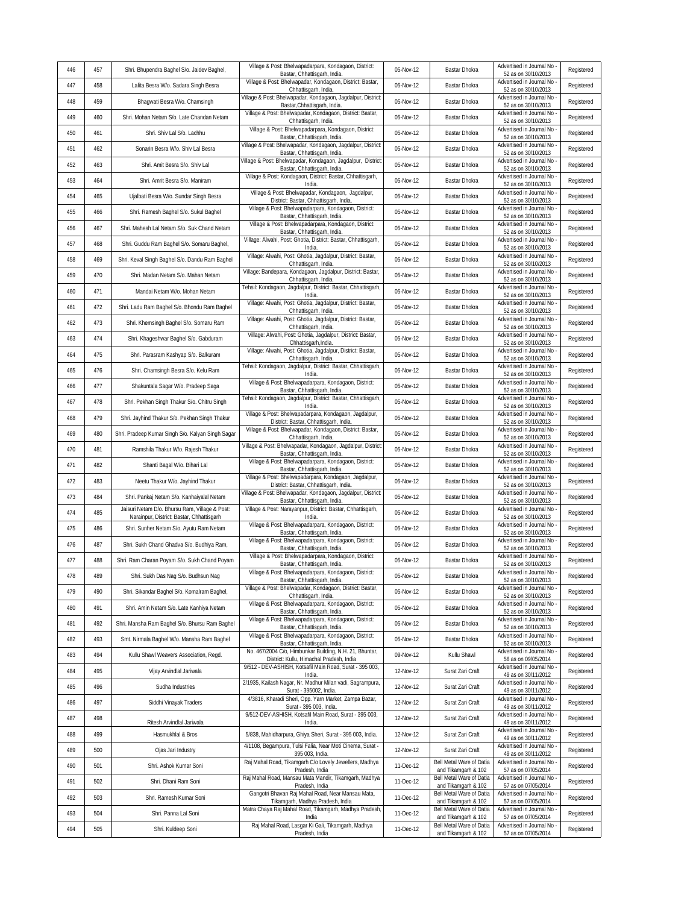| 446 | 457 | Shri. Bhupendra Baghel S/o. Jaidev Baghel,                                                  | Village & Post: Bhelwapadarpara, Kondagaon, District:                                                                 | 05-Nov-12 | Bastar Dhokra                                   | Advertised in Journal No                                               | Registered |
|-----|-----|---------------------------------------------------------------------------------------------|-----------------------------------------------------------------------------------------------------------------------|-----------|-------------------------------------------------|------------------------------------------------------------------------|------------|
| 447 | 458 | Lalita Besra W/o. Sadara Singh Besra                                                        | Bastar, Chhattisgarh, India.<br>Village & Post: Bhelwapadar, Kondagaon, District: Bastar,                             | 05-Nov-12 | Bastar Dhokra                                   | 52 as on 30/10/2013<br>Advertised in Journal No                        | Registered |
| 448 | 459 | Bhagwati Besra W/o. Chamsingh                                                               | Chhattisgarh, India<br>Village & Post: Bhelwapadar, Kondagaon, Jagdalpur, District:<br>Bastar, Chhattisgarh, India.   | 05-Nov-12 | Bastar Dhokra                                   | 52 as on 30/10/2013<br>Advertised in Journal No                        | Registered |
| 449 | 460 | Shri. Mohan Netam S/o. Late Chandan Netam                                                   | Village & Post: Bhelwapadar, Kondagaon, District: Bastar,<br>Chhattisgarh, India.                                     | 05-Nov-12 | Bastar Dhokra                                   | 52 as on 30/10/2013<br>Advertised in Journal No<br>52 as on 30/10/2013 | Registered |
| 450 | 461 | Shri. Shiv Lal S/o. Lachhu                                                                  | Village & Post: Bhelwapadarpara, Kondagaon, District:                                                                 | 05-Nov-12 | Bastar Dhokra                                   | Advertised in Journal No                                               | Registered |
| 451 | 462 | Sonarin Besra W/o. Shiv Lal Besra                                                           | Bastar, Chhattisgarh, India.<br>Village & Post: Bhelwapadar, Kondagaon, Jagdalpur, District:                          | 05-Nov-12 | Bastar Dhokra                                   | 52 as on 30/10/2013<br>Advertised in Journal No                        | Registered |
| 452 | 463 | Shri. Amit Besra S/o. Shiv Lal                                                              | Bastar, Chhattisgarh, India.<br>Village & Post: Bhelwapadar, Kondagaon, Jagdalpur, District                           | 05-Nov-12 | Bastar Dhokra                                   | 52 as on 30/10/2013<br>Advertised in Journal No<br>52 as on 30/10/2013 | Registered |
| 453 | 464 | Shri. Amrit Besra S/o. Maniram                                                              | Bastar, Chhattisgarh, India.<br>Village & Post: Kondagaon, District: Bastar, Chhattisgarh,<br>India.                  | 05-Nov-12 | Bastar Dhokra                                   | Advertised in Journal No<br>52 as on 30/10/2013                        | Registered |
| 454 | 465 | Ujalbati Besra W/o. Sundar Singh Besra                                                      | Village & Post: Bhelwapadar, Kondagaon, Jagdalpur,<br>District: Bastar, Chhattisgarh, India.                          | 05-Nov-12 | Bastar Dhokra                                   | Advertised in Journal No<br>52 as on 30/10/2013                        | Registered |
| 455 | 466 | Shri. Ramesh Baghel S/o. Sukul Baghel                                                       | Village & Post: Bhelwapadarpara, Kondagaon, District:<br>Bastar, Chhattisgarh, India.                                 | 05-Nov-12 | Bastar Dhokra                                   | Advertised in Journal No<br>52 as on 30/10/2013                        | Registered |
| 456 | 467 | Shri. Mahesh Lal Netam S/o. Suk Chand Netam                                                 | Village & Post: Bhelwapadarpara, Kondagaon, District:<br>Bastar, Chhattisgarh, India.                                 | 05-Nov-12 | Bastar Dhokra                                   | Advertised in Journal No<br>52 as on 30/10/2013                        | Registered |
| 457 | 468 | Shri. Guddu Ram Baghel S/o. Somaru Baghel,                                                  | Village: Alwahi, Post: Ghotia, District: Bastar, Chhattisgarh,<br>India.                                              | 05-Nov-12 | Bastar Dhokra                                   | Advertised in Journal No<br>52 as on 30/10/2013                        | Registered |
| 458 | 469 | Shri. Keval Singh Baghel S/o. Dandu Ram Baghel                                              | Village: Alwahi, Post: Ghotia, Jagdalpur, District: Bastar,<br>Chhattisgarh, India.                                   | 05-Nov-12 | Bastar Dhokra                                   | Advertised in Journal No<br>52 as on 30/10/2013                        | Registered |
| 459 | 470 | Shri. Madan Netam S/o. Mahan Netam                                                          | Village: Bandepara, Kondagaon, Jagdalpur, District: Bastar,                                                           | 05-Nov-12 | Bastar Dhokra                                   | Advertised in Journal No                                               | Registered |
| 460 | 471 | Mandai Netam W/o. Mohan Netam                                                               | Chhattisgarh, India.<br>Tehsil: Kondagaon, Jagdalpur, District: Bastar, Chhattisgarh,                                 | 05-Nov-12 | Bastar Dhokra                                   | 52 as on 30/10/2013<br>Advertised in Journal No                        | Registered |
| 461 | 472 | Shri. Ladu Ram Baghel S/o. Bhondu Ram Baghel                                                | India<br>Village: Alwahi, Post: Ghotia, Jagdalpur, District: Bastar,                                                  | 05-Nov-12 | Bastar Dhokra                                   | 52 as on 30/10/2013<br>Advertised in Journal No                        | Registered |
| 462 | 473 | Shri. Khemsingh Baghel S/o. Somaru Ram                                                      | Chhattisgarh, India.<br>Village: Alwahi, Post: Ghotia, Jagdalpur, District: Bastar,                                   | 05-Nov-12 | Bastar Dhokra                                   | 52 as on 30/10/2013<br>Advertised in Journal No                        | Registered |
| 463 | 474 | Shri. Khageshwar Baghel S/o. Gabduram                                                       | Chhattisgarh, India.<br>Village: Alwahi, Post: Ghotia, Jagdalpur, District: Bastar,                                   | 05-Nov-12 | Bastar Dhokra                                   | 52 as on 30/10/2013<br>Advertised in Journal No                        | Registered |
| 464 | 475 | Shri. Parasram Kashyap S/o. Balkuram                                                        | Chhattisgarh, India<br>Village: Alwahi, Post: Ghotia, Jagdalpur, District: Bastar,                                    | 05-Nov-12 | Bastar Dhokra                                   | 52 as on 30/10/2013<br>Advertised in Journal No                        | Registered |
| 465 | 476 | Shri. Chamsingh Besra S/o. Kelu Ram                                                         | Chhattisgarh, India.<br>Tehsil: Kondagaon, Jagdalpur, District: Bastar, Chhattisgarh,                                 | 05-Nov-12 | Bastar Dhokra                                   | 52 as on 30/10/2013<br>Advertised in Journal No                        | Registered |
| 466 | 477 | Shakuntala Sagar W/o. Pradeep Saga                                                          | India.<br>Village & Post: Bhelwapadarpara, Kondagaon, District:                                                       | 05-Nov-12 | Bastar Dhokra                                   | 52 as on 30/10/2013<br>Advertised in Journal No                        | Registered |
| 467 | 478 | Shri. Pekhan Singh Thakur S/o. Chitru Singh                                                 | Bastar, Chhattisgarh, India.<br>Tehsil: Kondagaon, Jagdalpur, District: Bastar, Chhattisgarh,                         | 05-Nov-12 | Bastar Dhokra                                   | 52 as on 30/10/2013<br>Advertised in Journal No                        | Registered |
| 468 | 479 | Shri. Jayhind Thakur S/o. Pekhan Singh Thakur                                               | India<br>Village & Post: Bhelwapadarpara, Kondagaon, Jagdalpur,                                                       | 05-Nov-12 | Bastar Dhokra                                   | 52 as on 30/10/2013<br>Advertised in Journal No                        | Registered |
| 469 | 480 | Shri. Pradeep Kumar Singh S/o. Kalyan Singh Sagar                                           | District: Bastar, Chhattisgarh, India<br>Village & Post: Bhelwapadar, Kondagaon, District: Bastar,                    | 05-Nov-12 | Bastar Dhokra                                   | 52 as on 30/10/2013<br>Advertised in Journal No                        | Registered |
| 470 | 481 | Ramshila Thakur W/o. Rajesh Thakur                                                          | Chhattisgarh, India.<br>Village & Post: Bhelwapadar, Kondagaon, Jagdalpur, District                                   | 05-Nov-12 | Bastar Dhokra                                   | 52 as on 30/10/2013<br>Advertised in Journal No                        | Registered |
| 471 | 482 | Shanti Bagal W/o. Bihari Lal                                                                | Bastar, Chhattisgarh, India<br>Village & Post: Bhelwapadarpara, Kondagaon, District:                                  | 05-Nov-12 | Bastar Dhokra                                   | 52 as on 30/10/2013<br>Advertised in Journal No                        | Registered |
| 472 | 483 | Neetu Thakur W/o. Jayhind Thakur                                                            | Bastar, Chhattisgarh, India.<br>Village & Post: Bhelwapadarpara, Kondagaon, Jagdalpur,                                | 05-Nov-12 | Bastar Dhokra                                   | 52 as on 30/10/2013<br>Advertised in Journal No                        | Registered |
| 473 | 484 | Shri. Pankaj Netam S/o. Kanhaiyalal Netam                                                   | District: Bastar, Chhattisgarh, India.<br>Village & Post: Bhelwapadar, Kondagaon, Jagdalpur, District:                | 05-Nov-12 | Bastar Dhokra                                   | 52 as on 30/10/2013<br>Advertised in Journal No                        | Registered |
| 474 | 485 | Jaisuri Netam D/o. Bhursu Ram, Village & Post:<br>Narainpur, District: Bastar, Chhattisgarh | Bastar, Chhattisgarh, India.<br>Village & Post: Narayanpur, District: Bastar, Chhattisgarh,                           | 05-Nov-12 | Bastar Dhokra                                   | 52 as on 30/10/2013<br>Advertised in Journal No<br>52 as on 30/10/2013 | Registered |
| 475 | 486 | Shri. Sunher Netam S/o. Ayutu Ram Netam                                                     | India.<br>Village & Post: Bhelwapadarpara, Kondagaon, District:                                                       | 05-Nov-12 | Bastar Dhokra                                   | Advertised in Journal No                                               | Registered |
| 476 | 487 | Shri. Sukh Chand Ghadva S/o. Budhiya Ram,                                                   | Bastar, Chhattisgarh, India.<br>Village & Post: Bhelwapadarpara, Kondagaon, District:                                 | 05-Nov-12 | Bastar Dhokra                                   | 52 as on 30/10/2013<br>Advertised in Journal No                        | Registered |
| 477 | 488 | Shri. Ram Charan Poyam S/o. Sukh Chand Poyam                                                | Bastar, Chhattisgarh, India.<br>Village & Post: Bhelwapadarpara, Kondagaon, District:<br>Bastar, Chhattisgarh, India. | 05-Nov-12 | Bastar Dhokra                                   | 52 as on 30/10/2013<br>Advertised in Journal No<br>52 as on 30/10/2013 | Registered |
| 478 | 489 | Shri. Sukh Das Nag S/o. Budhsun Nag                                                         | Village & Post: Bhelwapadarpara, Kondagaon, District:<br>Bastar, Chhattisgarh, India.                                 | 05-Nov-12 | Bastar Dhokra                                   | Advertised in Journal No -<br>52 as on 30/10/2013                      | Registered |
| 479 | 490 | Shri. Sikandar Baghel S/o. Komalram Baghel,                                                 | Village & Post: Bhelwapadar, Kondagaon, District: Bastar,<br>Chhattisgarh, India.                                     | 05-Nov-12 | Bastar Dhokra                                   | Advertised in Journal No<br>52 as on 30/10/2013                        | Registered |
| 480 | 491 | Shri. Amin Netam S/o. Late Kanhiya Netam                                                    | Village & Post: Bhelwapadarpara, Kondagaon, District:<br>Bastar, Chhattisgarh, India.                                 | 05-Nov-12 | Bastar Dhokra                                   | Advertised in Journal No<br>52 as on 30/10/2013                        | Registered |
| 481 | 492 | Shri. Mansha Ram Baghel S/o. Bhursu Ram Baghel                                              | Village & Post: Bhelwapadarpara, Kondagaon, District:<br>Bastar, Chhattisgarh, India.                                 | 05-Nov-12 | Bastar Dhokra                                   | Advertised in Journal No<br>52 as on 30/10/2013                        | Registered |
| 482 | 493 | Smt. Nirmala Baghel W/o. Mansha Ram Baghel                                                  | Village & Post: Bhelwapadarpara, Kondagaon, District:<br>Bastar, Chhattisgarh, India.                                 | 05-Nov-12 | Bastar Dhokra                                   | Advertised in Journal No<br>52 as on 30/10/2013                        | Registered |
| 483 | 494 | Kullu Shawl Weavers Association, Regd.                                                      | No. 467/2004 C/o, Himbunkar Building, N.H. 21, Bhuntar,<br>District: Kullu, Himachal Pradesh, India                   | 09-Nov-12 | Kullu Shawl                                     | Advertised in Journal No<br>58 as on 09/05/2014                        | Registered |
| 484 | 495 | Vijay Arvindlal Jariwala                                                                    | 9/512 - DEV-ASHISH, Kotsafil Main Road, Surat - 395 003,<br>India.                                                    | 12-Nov-12 | Surat Zari Craft                                | Advertised in Journal No<br>49 as on 30/11/2012                        | Registered |
| 485 | 496 | Sudha Industries                                                                            | 2/1935, Kailash Nagar, Nr. Madhur Milan vadi, Sagrampura,<br>Surat - 395002, India.                                   | 12-Nov-12 | Surat Zari Craft                                | Advertised in Journal No<br>49 as on 30/11/2012                        | Registered |
| 486 | 497 | Siddhi Vinayak Traders                                                                      | 4/3816, Kharadi Sheri, Opp. Yarn Market, Zampa Bazar,<br>Surat - 395 003, India.                                      | 12-Nov-12 | Surat Zari Craft                                | Advertised in Journal No<br>49 as on 30/11/2012                        | Registered |
| 487 | 498 | Ritesh Arvindlal Jariwala                                                                   | 9/512-DEV-ASHISH, Kotsafil Main Road, Surat - 395 003,<br>India.                                                      | 12-Nov-12 | Surat Zari Craft                                | Advertised in Journal No<br>49 as on 30/11/2012                        | Registered |
| 488 | 499 | Hasmukhlal & Bros                                                                           | 5/838, Mahidharpura, Ghiya Sheri, Surat - 395 003, India.                                                             | 12-Nov-12 | Surat Zari Craft                                | Advertised in Journal No<br>49 as on 30/11/2012                        | Registered |
| 489 | 500 | Ojas Jari Industry                                                                          | 4/1108, Begampura, Tulsi Falia, Near Moti Cinema, Surat -<br>395 003, India.                                          | 12-Nov-12 | Surat Zari Craft                                | Advertised in Journal No<br>49 as on 30/11/2012                        | Registered |
| 490 | 501 | Shri. Ashok Kumar Soni                                                                      | Raj Mahal Road, Tikamgarh C/o Lovely Jewellers, Madhya<br>Pradesh, India                                              | 11-Dec-12 | Bell Metal Ware of Datia<br>and Tikamgarh & 102 | Advertised in Journal No<br>57 as on 07/05/2014                        | Registered |
| 491 | 502 | Shri. Dhani Ram Soni                                                                        | Raj Mahal Road, Mansau Mata Mandir, Tikamgarh, Madhya<br>Pradesh, India                                               | 11-Dec-12 | Bell Metal Ware of Datia<br>and Tikamgarh & 102 | Advertised in Journal No<br>57 as on 07/05/2014                        | Registered |
| 492 | 503 | Shri. Ramesh Kumar Soni                                                                     | Gangotri Bhavan Raj Mahal Road, Near Mansau Mata,<br>Tikamgarh, Madhya Pradesh, India                                 | 11-Dec-12 | Bell Metal Ware of Datia<br>and Tikamgarh & 102 | Advertised in Journal No<br>57 as on 07/05/2014                        | Registered |
| 493 | 504 | Shri. Panna Lal Soni                                                                        | Matra Chaya Raj Mahal Road, Tikamgarh, Madhya Pradesh,<br>India                                                       | 11-Dec-12 | Bell Metal Ware of Datia<br>and Tikamgarh & 102 | Advertised in Journal No<br>57 as on 07/05/2014                        | Registered |
| 494 | 505 | Shri. Kuldeep Soni                                                                          | Raj Mahal Road, Lasgar Ki Gali, Tikamgarh, Madhya<br>Pradesh, India                                                   | 11-Dec-12 | Bell Metal Ware of Datia<br>and Tikamgarh & 102 | Advertised in Journal No -<br>57 as on 07/05/2014                      | Registered |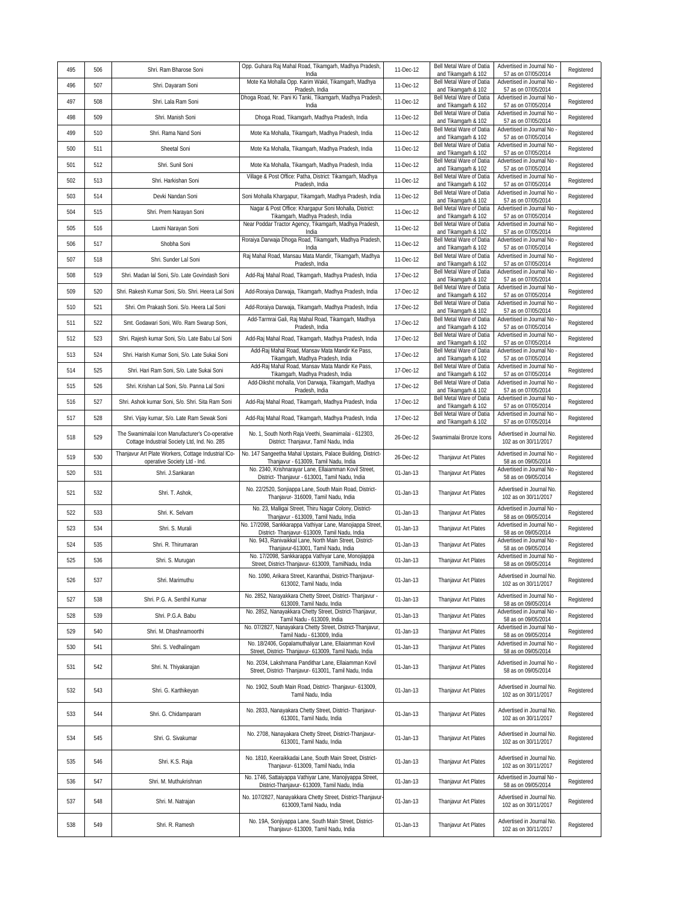| 495        | 506 | Shri. Ram Bharose Soni                                                                          | Opp. Guhara Raj Mahal Road, Tikamgarh, Madhya Pradesh,                                                                                                                   | 11-Dec-12              | Bell Metal Ware of Datia                        | Advertised in Journal No                                                 | Registered |
|------------|-----|-------------------------------------------------------------------------------------------------|--------------------------------------------------------------------------------------------------------------------------------------------------------------------------|------------------------|-------------------------------------------------|--------------------------------------------------------------------------|------------|
| 496        | 507 | Shri. Dayaram Soni                                                                              | India<br>Mote Ka Mohalla Opp. Karim Wakil, Tikamgarh, Madhya                                                                                                             | 11-Dec-12              | and Tikamgarh & 102<br>Bell Metal Ware of Datia | 57 as on 07/05/2014<br>Advertised in Journal No                          | Registered |
| 497        | 508 | Shri. Lala Ram Soni                                                                             | Pradesh, India<br>Dhoga Road, Nr. Pani Ki Tanki, Tikamgarh, Madhya Pradesh,                                                                                              | 11-Dec-12              | and Tikamgarh & 102<br>Bell Metal Ware of Datia | 57 as on 07/05/2014<br>Advertised in Journal No                          | Registered |
| 498        | 509 | Shri. Manish Soni                                                                               | India<br>Dhoga Road, Tikamgarh, Madhya Pradesh, India                                                                                                                    | 11-Dec-12              | and Tikamgarh & 102<br>Bell Metal Ware of Datia | 57 as on 07/05/2014<br>Advertised in Journal No                          | Registered |
| 499        | 510 | Shri. Rama Nand Soni                                                                            | Mote Ka Mohalla, Tikamgarh, Madhya Pradesh, India                                                                                                                        | 11-Dec-12              | and Tikamgarh & 102<br>Bell Metal Ware of Datia | 57 as on 07/05/2014<br>Advertised in Journal No                          | Registered |
| 500        | 511 | Sheetal Soni                                                                                    |                                                                                                                                                                          | 11-Dec-12              | and Tikamgarh & 102<br>Bell Metal Ware of Datia | 57 as on 07/05/2014<br>Advertised in Journal No                          | Registered |
|            | 512 | Shri. Sunil Soni                                                                                | Mote Ka Mohalla, Tikamgarh, Madhya Pradesh, India                                                                                                                        |                        | and Tikamgarh & 102<br>Bell Metal Ware of Datia | 57 as on 07/05/2014<br>Advertised in Journal No                          |            |
| 501<br>502 | 513 |                                                                                                 | Mote Ka Mohalla, Tikamgarh, Madhya Pradesh, India<br>Village & Post Office: Patha, District: Tikamgarh, Madhya                                                           | 11-Dec-12<br>11-Dec-12 | and Tikamgarh & 102<br>Bell Metal Ware of Datia | 57 as on 07/05/2014<br>Advertised in Journal No                          | Registered |
|            |     | Shri. Harkishan Soni                                                                            | Pradesh, India                                                                                                                                                           |                        | and Tikamgarh & 102<br>Bell Metal Ware of Datia | 57 as on 07/05/2014<br>Advertised in Journal No                          | Registered |
| 503        | 514 | Devki Nandan Soni                                                                               | Soni Mohalla Khargapur, Tikamgarh, Madhya Pradesh, India<br>Nagar & Post Office: Khargapur Soni Mohalla, District:                                                       | 11-Dec-12              | and Tikamgarh & 102<br>Bell Metal Ware of Datia | 57 as on 07/05/2014<br>Advertised in Journal No                          | Registered |
| 504        | 515 | Shri. Prem Narayan Soni                                                                         | Tikamgarh, Madhya Pradesh, India<br>Near Poddar Tractor Agency, Tikamgarh, Madhya Pradesh,                                                                               | 11-Dec-12              | and Tikamgarh & 102<br>Bell Metal Ware of Datia | 57 as on 07/05/2014<br>Advertised in Journal No                          | Registered |
| 505        | 516 | Laxmi Narayan Soni                                                                              | India<br>Roraiya Darwaja Dhoga Road, Tikamgarh, Madhya Pradesh,                                                                                                          | 11-Dec-12              | and Tikamgarh & 102<br>Bell Metal Ware of Datia | 57 as on 07/05/2014<br>Advertised in Journal No                          | Registered |
| 506        | 517 | Shobha Soni                                                                                     | India<br>Raj Mahal Road, Mansau Mata Mandir, Tikamgarh, Madhya                                                                                                           | 11-Dec-12              | and Tikamgarh & 102<br>Bell Metal Ware of Datia | 57 as on 07/05/2014<br>Advertised in Journal No                          | Registered |
| 507        | 518 | Shri. Sunder Lal Soni                                                                           | Pradesh, India                                                                                                                                                           | 11-Dec-12              | and Tikamgarh & 102<br>Bell Metal Ware of Datia | 57 as on 07/05/2014<br>Advertised in Journal No                          | Registered |
| 508        | 519 | Shri. Madan lal Soni, S/o. Late Govindash Soni                                                  | Add-Raj Mahal Road, Tikamgarh, Madhya Pradesh, India                                                                                                                     | 17-Dec-12              | and Tikamgarh & 102<br>Bell Metal Ware of Datia | 57 as on 07/05/2014<br>Advertised in Journal No                          | Registered |
| 509        | 520 | Shri. Rakesh Kumar Soni, S/o. Shri. Heera Lal Soni                                              | Add-Roraiya Darwaja, Tikamgarh, Madhya Pradesh, India                                                                                                                    | 17-Dec-12              | and Tikamgarh & 102                             | 57 as on 07/05/2014<br>Advertised in Journal No                          | Registered |
| 510        | 521 | Shri. Om Prakash Soni. S/o. Heera Lal Soni                                                      | Add-Roraiya Darwaja, Tikamgarh, Madhya Pradesh, India                                                                                                                    | 17-Dec-12              | Bell Metal Ware of Datia<br>and Tikamgarh & 102 | 57 as on 07/05/2014                                                      | Registered |
| 511        | 522 | Smt. Godawari Soni, W/o. Ram Swarup Soni,                                                       | Add-Tarmrai Gali, Raj Mahal Road, Tikamgarh, Madhya<br>Pradesh, India                                                                                                    | 17-Dec-12              | Bell Metal Ware of Datia<br>and Tikamgarh & 102 | Advertised in Journal No<br>57 as on 07/05/2014                          | Registered |
| 512        | 523 | Shri. Rajesh kumar Soni, S/o. Late Babu Lal Soni                                                | Add-Raj Mahal Road, Tikamgarh, Madhya Pradesh, India                                                                                                                     | 17-Dec-12              | Bell Metal Ware of Datia<br>and Tikamgarh & 102 | Advertised in Journal No<br>57 as on 07/05/2014                          | Registered |
| 513        | 524 | Shri. Harish Kumar Soni, S/o. Late Sukai Soni                                                   | Add-Raj Mahal Road, Mansav Mata Mandir Ke Pass,<br>Tikamgarh, Madhya Pradesh, India                                                                                      | 17-Dec-12              | Bell Metal Ware of Datia<br>and Tikamgarh & 102 | Advertised in Journal No<br>57 as on 07/05/2014                          | Registered |
| 514        | 525 | Shri. Hari Ram Soni, S/o. Late Sukai Soni                                                       | Add-Raj Mahal Road, Mansav Mata Mandir Ke Pass,<br>Tikamgarh, Madhya Pradesh, India                                                                                      | 17-Dec-12              | Bell Metal Ware of Datia<br>and Tikamgarh & 102 | Advertised in Journal No<br>57 as on 07/05/2014                          | Registered |
| 515        | 526 | Shri. Krishan Lal Soni, S/o. Panna Lal Soni                                                     | Add-Dikshit mohalla, Vori Darwaja, Tikamgarh, Madhya<br>Pradesh, India                                                                                                   | 17-Dec-12              | Bell Metal Ware of Datia<br>and Tikamgarh & 102 | Advertised in Journal No<br>57 as on 07/05/2014                          | Registered |
| 516        | 527 | Shri. Ashok kumar Soni, S/o. Shri. Sita Ram Soni                                                | Add-Raj Mahal Road, Tikamgarh, Madhya Pradesh, India                                                                                                                     | 17-Dec-12              | Bell Metal Ware of Datia<br>and Tikamgarh & 102 | Advertised in Journal No<br>57 as on 07/05/2014                          | Registered |
| 517        | 528 | Shri. Vijay kumar, S/o. Late Ram Sewak Soni                                                     | Add-Raj Mahal Road, Tikamgarh, Madhya Pradesh, India                                                                                                                     | 17-Dec-12              | Bell Metal Ware of Datia<br>and Tikamgarh & 102 | Advertised in Journal No<br>57 as on 07/05/2014                          | Registered |
| 518        | 529 | The Swamimalai Icon Manufacturer's Co-operative<br>Cottage Industrial Society Ltd, Ind. No. 285 | No. 1, South North Raja Veethi, Swamimalai - 612303,<br>District: Thanjavur, Tamil Nadu, India                                                                           | 26-Dec-12              | Swamimalai Bronze Icons                         | Advertised in Journal No.<br>102 as on 30/11/2017                        | Registered |
|            |     |                                                                                                 |                                                                                                                                                                          |                        |                                                 |                                                                          |            |
| 519        | 530 | Thanjavur Art Plate Workers, Cottage Industrial ICo-                                            | No. 147 Sangeetha Mahal Upstairs, Palace Building, District-                                                                                                             | 26-Dec-12              | Thanjavur Art Plates                            | Advertised in Journal No<br>58 as on 09/05/2014                          | Registered |
| 520        | 531 | operative Society Ltd - Ind<br>Shri. J.Sankaran                                                 | Thanjavur - 613009, Tamil Nadu, India<br>No. 2340, Krishnarayar Lane, Ellaiamman Kovil Street,                                                                           | 01-Jan-13              | Thanjavur Art Plates                            | Advertised in Journal No                                                 | Registered |
| 521        | 532 | Shri. T. Ashok,                                                                                 | District- Thanjavur - 613001, Tamil Nadu, India<br>No. 22/2520, Sonjiappa Lane, South Main Road, District-<br>Thanjavur- 316009, Tamil Nadu, India                       | 01-Jan-13              | Thanjavur Art Plates                            | 58 as on 09/05/2014<br>Advertised in Journal No.<br>102 as on 30/11/2017 | Registered |
| 522        | 533 | Shri. K. Selvam                                                                                 | No. 23, Malligai Street, Thiru Nagar Colony, District-                                                                                                                   | 01-Jan-13              | Thanjavur Art Plates                            | Advertised in Journal No                                                 | Registered |
| 523        | 534 | Shri. S. Murali                                                                                 | Thanjavur - 613009, Tamil Nadu, India<br>No. 17/2098, Sankkarappa Vathiyar Lane, Manojiappa Street,                                                                      | 01-Jan-13              | Thanjavur Art Plates                            | 58 as on 09/05/2014<br>Advertised in Journal No                          | Registered |
| 524        | 535 | Shri. R. Thirumaran                                                                             | District- Thanjavur- 613009, Tamil Nadu, India<br>No. 943, Ranivaikkal Lane, North Main Street, District-                                                                | 01-Jan-13              | Thanjavur Art Plates                            | 58 as on 09/05/2014<br>Advertised in Journal No                          | Registered |
| 525        | 536 | Shri. S. Muruqan                                                                                | Thanjavur-613001, Tamil Nadu, India<br>No. 17/2098, Sankkarappa Vathiyar Lane, Monojiappa                                                                                | 01-Jan-13              | Thanjavur Art Plates                            | 58 as on 09/05/2014<br>Advertised in Journal No                          | Registered |
| 526        | 537 | Shri. Marimuthu                                                                                 | Street, District-Thanjavur- 613009, TamilNadu, India<br>No. 1090, Arikara Street, Karanthai, District-Thanjavur-<br>613002, Tamil Nadu, India                            | 01-Jan-13              | Thanjavur Art Plates                            | 58 as on 09/05/2014<br>Advertised in Journal No.<br>102 as on 30/11/2017 | Registered |
| 527        | 538 | Shri. P.G. A. Senthil Kumar                                                                     | No. 2852, Narayakkara Chetty Street, District- Thanjavur -                                                                                                               | 01-Jan-13              | Thanjavur Art Plates                            | Advertised in Journal No                                                 | Registered |
| 528        | 539 | Shri. P.G.A. Babu                                                                               | 613009, Tamil Nadu, India<br>No. 2852, Nanayakkara Chetty Street, District-Thanjavur,                                                                                    | 01-Jan-13              | Thanjavur Art Plates                            | 58 as on 09/05/2014<br>Advertised in Journal No                          | Registered |
| 529        | 540 | Shri. M. Dhashnamoorthi                                                                         | Tamil Nadu - 613009, India<br>No. 07/2827, Nanayakara Chetty Street, District-Thanjavur,                                                                                 | 01-Jan-13              | Thanjavur Art Plates                            | 58 as on 09/05/2014<br>Advertised in Journal No                          | Registered |
| 530        | 541 | Shri. S. Vedhalingam                                                                            | Tamil Nadu - 613009, India<br>No. 18/2406, Gopalamuthaliyar Lane, Ellaiamman Kovil                                                                                       | 01-Jan-13              | Thanjavur Art Plates                            | 58 as on 09/05/2014<br>Advertised in Journal No                          | Registered |
| 531        | 542 | Shri. N. Thiyakarajan                                                                           | Street, District- Thanjavur- 613009, Tamil Nadu, India<br>No. 2034, Lakshmana Pandithar Lane, Ellaiamman Kovil<br>Street, District- Thanjavur- 613001, Tamil Nadu, India | 01-Jan-13              | Thanjavur Art Plates                            | 58 as on 09/05/2014<br>Advertised in Journal No<br>58 as on 09/05/2014   | Registered |
| 532        | 543 | Shri. G. Karthikeyan                                                                            | No. 1902, South Main Road, District- Thanjavur- 613009,<br>Tamil Nadu, India                                                                                             | 01-Jan-13              | Thanjavur Art Plates                            | Advertised in Journal No.<br>102 as on 30/11/2017                        | Registered |
| 533        | 544 | Shri. G. Chidamparam                                                                            | No. 2833, Nanayakara Chetty Street, District- Thanjavur-<br>613001, Tamil Nadu, India                                                                                    | 01-Jan-13              | Thanjavur Art Plates                            | Advertised in Journal No.<br>102 as on 30/11/2017                        | Registered |
| 534        | 545 | Shri. G. Sivakumar                                                                              | No. 2708, Nanayakara Chetty Street, District-Thanjavur-<br>613001, Tamil Nadu, India                                                                                     | 01-Jan-13              | Thanjavur Art Plates                            | Advertised in Journal No.<br>102 as on 30/11/2017                        | Registered |
| 535        | 546 | Shri. K.S. Raja                                                                                 | No. 1810, Keeraikkadai Lane, South Main Street, District-<br>Thanjavur- 613009, Tamil Nadu, India                                                                        | 01-Jan-13              | Thanjavur Art Plates                            | Advertised in Journal No.<br>102 as on 30/11/2017                        | Registered |
| 536        | 547 | Shri. M. Muthukrishnan                                                                          | No. 1746, Sattaiyappa Vathiyar Lane, Manojiyappa Street,<br>District-Thanjavur- 613009, Tamil Nadu, India                                                                | 01-Jan-13              | Thanjavur Art Plates                            | Advertised in Journal No<br>58 as on 09/05/2014                          | Registered |
| 537        | 548 | Shri. M. Natrajan                                                                               | No. 107/2827, Nanayakkara Chetty Street, District-Thanjavur-<br>613009, Tamil Nadu, India                                                                                | 01-Jan-13              | Thanjavur Art Plates                            | Advertised in Journal No.<br>102 as on 30/11/2017                        | Registered |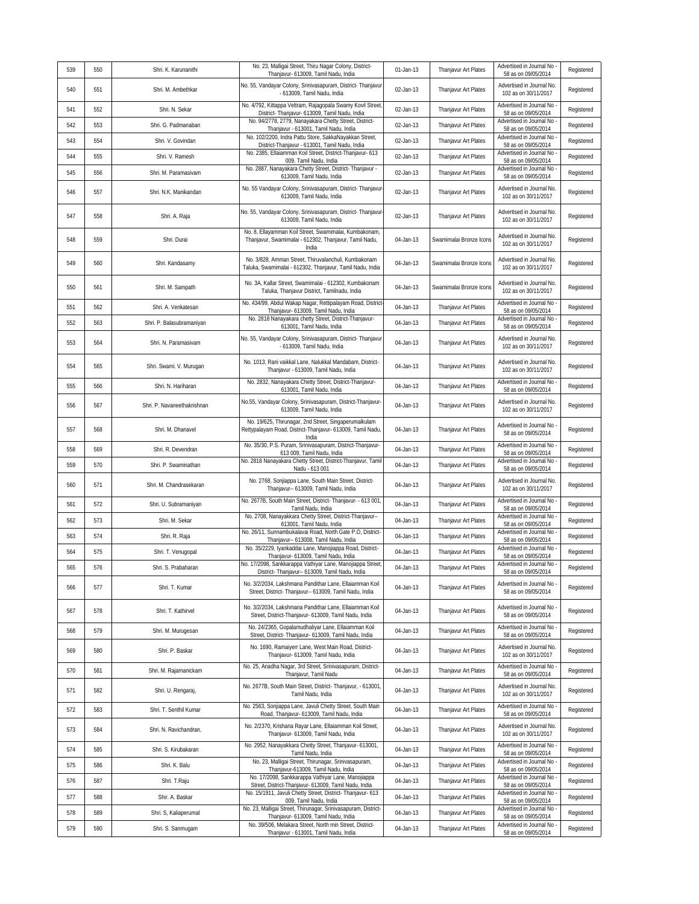| 539 | 550 | Shri. K. Karunanithi        | No. 23, Malligai Street, Thiru Nagar Colony, District-<br>Thanjavur- 613009, Tamil Nadu, India                                                                          | 01-Jan-13 | Thanjavur Art Plates    | Advertised in Journal No<br>58 as on 09/05/2014                             | Registered |
|-----|-----|-----------------------------|-------------------------------------------------------------------------------------------------------------------------------------------------------------------------|-----------|-------------------------|-----------------------------------------------------------------------------|------------|
| 540 | 551 | Shri. M. Ambethkar          | No. 55, Vandayar Colony, Srinivasapuram, District- Thanjavur<br>- 613009, Tamil Nadu, India                                                                             | 02-Jan-13 | Thanjavur Art Plates    | Advertised in Journal No.<br>102 as on 30/11/2017                           | Registered |
| 541 | 552 | Shri. N. Sekar              | No. 4/792, Kittappa Vettram, Rajagopala Swamy Kovil Street<br>District- Thanjavur- 613009, Tamil Nadu, India                                                            | 02-Jan-13 | Thanjavur Art Plates    | Advertised in Journal No<br>58 as on 09/05/2014                             | Registered |
| 542 | 553 | Shri. G. Padmanaban         | No. 94/2778, 2779, Nanayakara Chetty Street, District-<br>Thanjavur - 613001, Tamil Nadu, India                                                                         | 02-Jan-13 | Thanjavur Art Plates    | Advertised in Journal No<br>58 as on 09/05/2014                             | Registered |
| 543 | 554 | Shri. V. Govindan           | No. 102/2200, Indra Pattu Store, SakkaNayakkan Street,<br>District-Thanjavur - 613001, Tamil Nadu, India                                                                | 02-Jan-13 | Thanjavur Art Plates    | Advertised in Journal No<br>58 as on 09/05/2014                             | Registered |
| 544 | 555 | Shri. V. Ramesh             | No. 2385, Ellaiamman Koil Street, District-Thanjavur- 613<br>009, Tamil Nadu, India                                                                                     | 02-Jan-13 | Thanjavur Art Plates    | Advertised in Journal No<br>58 as on 09/05/2014                             | Registered |
| 545 | 556 | Shri. M. Paramasivam        | No. 2887, Nanayakara Chetty Street, District- Thanjavur -                                                                                                               | 02-Jan-13 | Thanjavur Art Plates    | Advertised in Journal No                                                    | Registered |
|     |     |                             | 613009, Tamil Nadu, India<br>No. 55 Vandayar Colony, Srinivasapuram, District- Thanjavur-                                                                               |           |                         | 58 as on 09/05/2014<br>Advertised in Journal No.                            |            |
| 546 | 557 | Shri. N.K. Manikandan       | 613009, Tamil Nadu, India                                                                                                                                               | 02-Jan-13 | Thanjavur Art Plates    | 102 as on 30/11/2017                                                        | Registered |
| 547 | 558 | Shri. A. Raja               | No. 55, Vandayar Colony, Srinivasapuram, District- Thanjavur-<br>613009, Tamil Nadu, India                                                                              | 02-Jan-13 | Thanjavur Art Plates    | Advertised in Journal No.<br>102 as on 30/11/2017                           | Registered |
| 548 | 559 | Shri. Durai                 | No. 8, Ellayamman Koil Street, Swamimalai, Kumbakonam,<br>Thanjavur, Swamimalai - 612302, Thanjavur, Tamil Nadu,<br>India                                               | 04-Jan-13 | Swamimalai Bronze Icons | Advertised in Journal No.<br>102 as on 30/11/2017                           | Registered |
| 549 | 560 | Shri. Kandasamy             | No. 3/828, Amman Street, Thiruvalanchuli, Kumbakonam<br>Taluka, Swamimalai - 612302, Thanjavur, Tamil Nadu, India                                                       | 04-Jan-13 | Swamimalai Bronze Icons | Advertised in Journal No.<br>102 as on 30/11/2017                           | Registered |
| 550 | 561 | Shri. M. Sampath            | No. 3A, Kallar Street, Swamimalai - 612302, Kumbakonam<br>Taluka, Thanjavur District, Tamilnadu, India                                                                  | 04-Jan-13 | Swamimalai Bronze Icons | Advertised in Journal No.<br>102 as on 30/11/2017                           | Registered |
| 551 | 562 | Shri. A. Venkatesan         | No. 434/99, Abdul Wakap Nagar, Rettipalayam Road, District<br>Thanjavur- 613009, Tamil Nadu, India                                                                      | 04-Jan-13 | Thanjavur Art Plates    | Advertised in Journal No<br>58 as on 09/05/2014                             | Registered |
| 552 | 563 | Shri. P. Balasubramaniyan   | No. 2818 Nanayakara chetty Street, District-Thanjavur-<br>613001, Tamil Nadu, India                                                                                     | 04-Jan-13 | Thanjavur Art Plates    | Advertised in Journal No<br>58 as on 09/05/2014                             | Registered |
| 553 | 564 | Shri. N. Paramasivam        | No. 55, Vandayar Colony, Srinivasapuram, District- Thanjavur<br>- 613009, Tamil Nadu, India                                                                             | 04-Jan-13 | Thanjavur Art Plates    | Advertised in Journal No.<br>102 as on 30/11/2017                           | Registered |
| 554 | 565 | Shri. Swami. V. Murugan     | No. 1013, Rani vaikkal Lane, Nalukkal Mandabam, District-<br>Thanjavur - 613009, Tamil Nadu, India                                                                      | 04-Jan-13 | Thanjavur Art Plates    | Advertised in Journal No.<br>102 as on 30/11/2017                           | Registered |
| 555 | 566 | Shri. N. Hariharan          | No. 2832, Nanayakara Chetty Street, District-Thanjavur-<br>613001. Tamil Nadu. India                                                                                    | 04-Jan-13 | Thanjavur Art Plates    | Advertised in Journal No<br>58 as on 09/05/2014                             | Registered |
| 556 | 567 | Shri. P. Navaneethakrishnan | No.55, Vandayar Colony, Srinivasapuram, District-Thanjavur-<br>613009, Tamil Nadu, India                                                                                | 04-Jan-13 | Thanjavur Art Plates    | Advertised in Journal No.<br>102 as on 30/11/2017                           | Registered |
| 557 | 568 | Shri. M. Dhanavel           | No. 19/625, Thirunagar, 2nd Street, Singaperumalkulam<br>Rettypalayam Road, District-Thanjavur- 613009, Tamil Nadu,<br>India                                            | 04-Jan-13 | Thanjavur Art Plates    | Advertised in Journal No<br>58 as on 09/05/2014                             | Registered |
| 558 | 569 | Shri. R. Devendran          | No. 35/30, P.S. Puram, Srinivasapuram, District-Thanjavur-<br>613 009, Tamil Nadu, India                                                                                | 04-Jan-13 | Thanjavur Art Plates    | Advertised in Journal No<br>58 as on 09/05/2014                             | Registered |
| 559 | 570 | Shri. P. Swaminathan        | No. 2818 Nanayakara Chetty Street, District-Thanjavur, Tamil<br>Nadu - 613 001                                                                                          | 04-Jan-13 | Thanjavur Art Plates    | Advertised in Journal No<br>58 as on 09/05/2014                             | Registered |
| 560 | 571 | Shri. M. Chandrasekaran     | No. 2768, Sonjiappa Lane, South Main Street, District-<br>Thanjavur-- 613009, Tamil Nadu, India                                                                         | 04-Jan-13 | Thanjavur Art Plates    | Advertised in Journal No.<br>102 as on 30/11/2017                           | Registered |
| 561 | 572 | Shri. U. Subramaniyan       | No. 2677B, South Main Street, District- Thanjavur- - 613 001<br>Tamil Nadu, India                                                                                       | 04-Jan-13 | Thanjavur Art Plates    | Advertised in Journal No<br>58 as on 09/05/2014                             | Registered |
| 562 | 573 | Shri. M. Sekar              | No. 2708, Nanayakkara Chetty Street, District-Thanjavur--                                                                                                               | 04-Jan-13 | Thanjavur Art Plates    | Advertised in Journal No                                                    | Registered |
| 563 | 574 | Shri. R. Raja               | 613001, Tamil Nadu, India<br>No. 26/11, Sunnambukalavai Road, North Gate P.O, District-                                                                                 | 04-Jan-13 | Thanjavur Art Plates    | 58 as on 09/05/2014<br>Advertised in Journal No                             | Registered |
|     |     |                             | Thanjavur-- 613008, Tamil Nadu, India<br>No. 35/2229, Iyankaddai Lane, Manojiappa Road, District-                                                                       |           | Thanjavur Art Plates    | 58 as on 09/05/2014<br>Advertised in Journal No                             |            |
| 564 | 575 | Shri. T. Venugopal          | Thanjavur- 613009, Tamil Nadu, India<br>No. 17/2098, Sankkarappa Vathiyar Lane, Manojiappa Street,                                                                      | 04-Jan-13 |                         | 58 as on 09/05/2014<br>Advertised in Journal No                             | Registered |
| 565 | 576 | Shri. S. Prabaharan         | District-Thaniavur-- 613009. Tamil Nadu, India                                                                                                                          | 04-Jan-13 | Thanjavur Art Plates    | 58 as on 09/05/2014                                                         | Registered |
| 566 | 577 | Shri. T. Kumar              | No. 3/2/2034, Lakshmana Pandithar Lane, Ellaiamman Koil<br>Street, District- Thanjavur-- 613009, Tamil Nadu, India                                                      | 04-Jan-13 | Thanjavur Art Plates    | Advertised in Journal No<br>58 as on 09/05/2014                             | Registered |
| 567 | 578 | Shri. T. Kathirvel          | No. 3/2/2034, Lakshmana Pandithar Lane, Ellaiamman Koil<br>Street, District-Thanjavur- 613009, Tamil Nadu, India<br>No. 24/2365, Gopalamudhaliyar Lane, Ellaiamman Koil | 04-Jan-13 | Thanjavur Art Plates    | Advertised in Journal No<br>58 as on 09/05/2014<br>Advertised in Journal No | Registered |
| 568 | 579 | Shri. M. Murugesan          | Street, District- Thanjavur- 613009, Tamil Nadu, India                                                                                                                  | 04-Jan-13 | Thanjavur Art Plates    | 58 as on 09/05/2014                                                         | Registered |
| 569 | 580 | Shri. P. Baskar             | No. 1690, Ramaiyerr Lane, West Main Road, District-<br>Thanjavur- 613009, Tamil Nadu, India                                                                             | 04-Jan-13 | Thanjavur Art Plates    | Advertised in Journal No.<br>102 as on 30/11/2017                           | Registered |
| 570 | 581 | Shri. M. Rajamanickam       | No. 25, Anadha Nagar, 3rd Street, Srinivasapuram, District-<br>Thanjavur, Tamil Nadu                                                                                    | 04-Jan-13 | Thanjavur Art Plates    | Advertised in Journal No -<br>58 as on 09/05/2014                           | Registered |
| 571 | 582 | Shri. U. Rengaraj,          | No. 2677B, South Main Street, District- Thanjavur, - 613001,<br>Tamil Nadu, India                                                                                       | 04-Jan-13 | Thanjavur Art Plates    | Advertised in Journal No.<br>102 as on 30/11/2017                           | Registered |
| 572 | 583 | Shri. T. Senthil Kumar      | No. 2563, Sonjiappa Lane, Javuli Chetty Street, South Main<br>Road, Thanjavur- 613009, Tamil Nadu, India                                                                | 04-Jan-13 | Thanjavur Art Plates    | Advertised in Journal No<br>58 as on 09/05/2014                             | Registered |
| 573 | 584 | Shri. N. Ravichandran,      | No. 2/2370, Krishana Rayar Lane, Ellaiamman Koil Street,<br>Thanjavur- 613009, Tamil Nadu, India                                                                        | 04-Jan-13 | Thanjavur Art Plates    | Advertised in Journal No.<br>102 as on 30/11/2017                           | Registered |
| 574 | 585 | Shri. S. Kirubakaran        | No. 2952, Nanayakkara Chetty Street, Thanjavur- 613001,<br>Tamil Nadu, India                                                                                            | 04-Jan-13 | Thanjavur Art Plates    | Advertised in Journal No<br>58 as on 09/05/2014                             | Registered |
| 575 | 586 | Shri. K. Balu               | No. 23, Malligai Street, Thirunagar, Srinivasapuram,<br>Thanjavur-613009, Tamil Nadu, India                                                                             | 04-Jan-13 | Thanjavur Art Plates    | Advertised in Journal No<br>58 as on 09/05/2014                             | Registered |
| 576 | 587 | Shri. T.Raju                | No. 17/2098, Sankkarappa Vathiyar Lane, Manojiappa                                                                                                                      | 04-Jan-13 | Thanjavur Art Plates    | Advertised in Journal No                                                    | Registered |
| 577 | 588 | Shir. A. Baskar             | Street, District-Thanjavur- 613009, Tamil Nadu, India<br>No. 15/1911, Javuli Chetty Street, District- Thanjavur- 613                                                    | 04-Jan-13 | Thanjavur Art Plates    | 58 as on 09/05/2014<br>Advertised in Journal No                             | Registered |
| 578 |     |                             | 009, Tamil Nadu, India<br>No. 23, Malligai Street, Thirunagar, Srinivasapuram, District-                                                                                |           |                         | 58 as on 09/05/2014<br>Advertised in Journal No                             | Registered |
|     | 589 | Shri. S, Kaliaperumal       | Thanjavur- 613009, Tamil Nadu, India<br>No. 39/506, Melakara Street, North min Street, District-                                                                        | 04-Jan-13 | Thanjavur Art Plates    | 58 as on 09/05/2014<br>Advertised in Journal No                             |            |
| 579 | 590 | Shri. S. Sanmugam           | Thanjavur - 613001, Tamil Nadu, India                                                                                                                                   | 04-Jan-13 | Thanjavur Art Plates    | 58 as on 09/05/2014                                                         | Registered |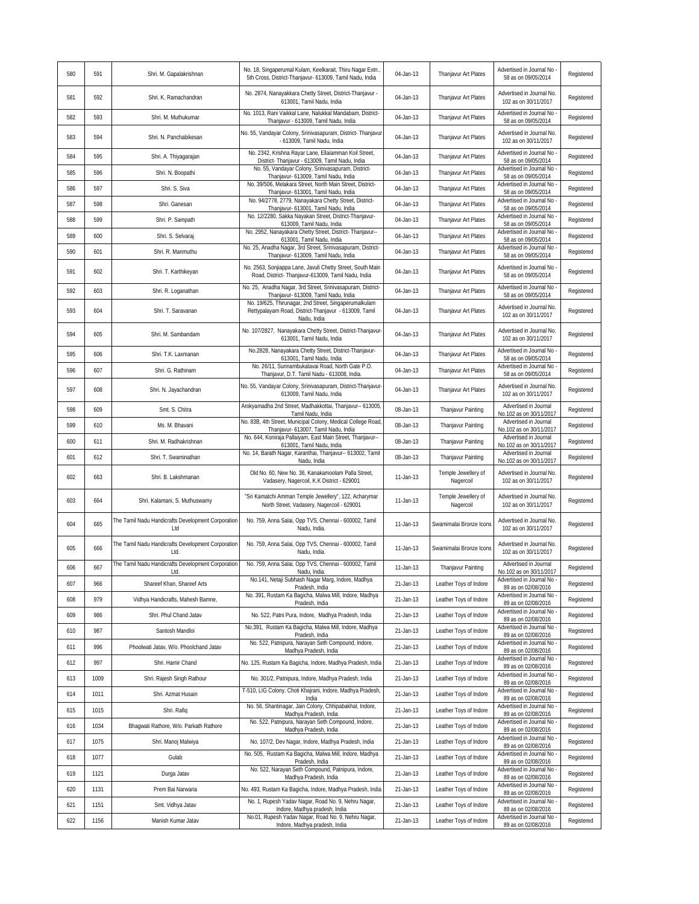| 580 | 591  | Shri. M. Gapalakrishnan                                    | No. 18, Singaperumal Kulam, Keelkarait, Thiru Nagar Extn.,<br>5th Cross, District-Thanjavur- 613009, Tamil Nadu, India | 04-Jan-13 | Thanjavur Art Plates             | Advertised in Journal No<br>58 as on 09/05/2014                        | Registered |
|-----|------|------------------------------------------------------------|------------------------------------------------------------------------------------------------------------------------|-----------|----------------------------------|------------------------------------------------------------------------|------------|
| 581 | 592  | Shri. K. Ramachandran                                      | No. 2874, Nanayakkara Chetty Street, District-Thanjavur -<br>613001, Tamil Nadu, India                                 | 04-Jan-13 | Thanjavur Art Plates             | Advertised in Journal No<br>102 as on 30/11/2017                       | Registered |
| 582 | 593  | Shri. M. Muthukumar                                        | No. 1013, Rani Vaikkal Lane, Nalukkal Mandabam, District-<br>Thanjavur - 613009, Tamil Nadu, India                     | 04-Jan-13 | Thanjavur Art Plates             | Advertised in Journal No<br>58 as on 09/05/2014                        | Registered |
| 583 | 594  | Shri. N. Panchabikesan                                     | No. 55, Vandayar Colony, Srinivasapuram, District- Thanjavur<br>- 613009, Tamil Nadu, India                            | 04-Jan-13 | Thanjavur Art Plates             | Advertised in Journal No.<br>102 as on 30/11/2017                      | Registered |
| 584 | 595  | Shri. A. Thiyagarajan                                      | No. 2342, Krishna Rayar Lane, Ellaiamman Koil Street,<br>District- Thanjavur - 613009, Tamil Nadu, India               | 04-Jan-13 | Thanjavur Art Plates             | Advertised in Journal No<br>58 as on 09/05/2014                        | Registered |
| 585 | 596  | Shri. N. Boopathi                                          | No. 55, Vandayar Colony, Srinivasapuram, District-<br>Thanjavur- 613009, Tamil Nadu, India                             | 04-Jan-13 | Thanjavur Art Plates             | Advertised in Journal No<br>58 as on 09/05/2014                        | Registered |
| 586 | 597  | Shri. S. Siva                                              | No. 39/506, Melakara Street, North Main Street, District-<br>Thanjavur- 613001, Tamil Nadu, India                      | 04-Jan-13 | Thanjavur Art Plates             | Advertised in Journal No<br>58 as on 09/05/2014                        | Registered |
| 587 | 598  | Shri. Ganesan                                              | No. 94/2778, 2779, Nanayakara Chetty Street, District-                                                                 | 04-Jan-13 | Thanjavur Art Plates             | Advertised in Journal No<br>58 as on 09/05/2014                        | Registered |
| 588 | 599  | Shri. P. Sampath                                           | Thanjavur- 613001, Tamil Nadu, India<br>No. 12/2280, Sakka Nayakan Street, District-Thanjavur-                         | 04-Jan-13 | Thanjavur Art Plates             | Advertised in Journal No                                               | Registered |
| 589 | 600  | Shri. S. Selvaraj                                          | 613009, Tamil Nadu, India<br>No. 2952, Nanayakara Chetty Street, District- Thanjavur--                                 | 04-Jan-13 | Thanjavur Art Plates             | 58 as on 09/05/2014<br>Advertised in Journal No                        | Registered |
| 590 | 601  | Shri. R. Marimuthu                                         | 613001, Tamil Nadu, India<br>No. 25, Anadha Nagar, 3rd Street, Srinivasapuram, District-                               | 04-Jan-13 | Thanjavur Art Plates             | 58 as on 09/05/2014<br>Advertised in Journal No                        | Registered |
| 591 | 602  | Shri. T. Karthikeyan                                       | Thanjavur- 613009, Tamil Nadu, India<br>No. 2563, Sonjiappa Lane, Javuli Chetty Street, South Main                     | 04-Jan-13 | Thanjavur Art Plates             | 58 as on 09/05/2014<br>Advertised in Journal No                        | Registered |
|     |      |                                                            | Road, District- Thanjavur-613009, Tamil Nadu, India<br>No. 25, Anadha Nagar, 3rd Street, Srinivasapuram, District-     |           |                                  | 58 as on 09/05/2014<br>Advertised in Journal No                        |            |
| 592 | 603  | Shri. R. Loganathan                                        | Thanjavur- 613009, Tamil Nadu, India<br>No. 19/625, Thirunagar, 2nd Street, Singaperumalkulam                          | 04-Jan-13 | Thanjavur Art Plates             | 58 as on 09/05/2014                                                    | Registered |
| 593 | 604  | Shri. T. Saravanan                                         | Rettypalayam Road, District-Thanjavur - 613009, Tamil<br>Nadu, India                                                   | 04-Jan-13 | Thanjavur Art Plates             | Advertised in Journal No.<br>102 as on 30/11/2017                      | Registered |
| 594 | 605  | Shri. M. Sambandam                                         | No. 107/2827, Nanayakara Chetty Street, District-Thanjavur-<br>613001, Tamil Nadu, India                               | 04-Jan-13 | Thanjavur Art Plates             | Advertised in Journal No.<br>102 as on 30/11/2017                      | Registered |
| 595 | 606  | Shri. T.K. Laxmanan                                        | No.2828, Nanayakara Chetty Street, District-Thanjavur-<br>613001, Tamil Nadu, India                                    | 04-Jan-13 | Thanjavur Art Plates             | Advertised in Journal No<br>58 as on 09/05/2014                        | Registered |
| 596 | 607  | Shri. G. Rathinam                                          | No. 26/11, Sunnambukalavai Road, North Gate P.O.<br>Thanjavur, D.T. Tamil Nadu - 613008, India                         | 04-Jan-13 | Thanjavur Art Plates             | Advertised in Journal No<br>58 as on 09/05/2014                        | Registered |
| 597 | 608  | Shri. N. Jayachandran                                      | No. 55, Vandayar Colony, Srinivasapuram, District-Thanjavur-<br>613009, Tamil Nadu, India                              | 04-Jan-13 | Thanjavur Art Plates             | Advertised in Journal No.<br>102 as on 30/11/2017                      | Registered |
| 598 | 609  | Smt. S. Chitra                                             | Arokyamadha 2nd Street, Madhakkottai, Thanjavur-- 613005,<br>Tamil Nadu, India                                         | 08-Jan-13 | Thanjavur Painting               | Advertised in Journal<br>No.102 as on 30/11/2017                       | Registered |
| 599 | 610  | Ms. M. Bhavani                                             | No. 83B, 4th Street, Municipal Colony, Medical College Road,<br>Thanjavur- 613007, Tamil Nadu, India                   | 08-Jan-13 | Thanjavur Painting               | Advertised in Journal<br>No.102 as on 30/11/2017                       | Registered |
| 600 | 611  | Shri. M. Radhakrishnan                                     | No. 644, Koniraja Pallaiyam, East Main Street, Thanjavur--<br>613001, Tamil Nadu, India                                | 08-Jan-13 | Thanjavur Painting               | Advertised in Journal<br>No.102 as on 30/11/2017                       | Registered |
| 601 | 612  | Shri. T. Swaminathan                                       | No. 14, Barath Nagar, Karanthai, Thanjavur-- 613002, Tamil<br>Nadu, India                                              | 08-Jan-13 | Thanjavur Painting               | Advertised in Journal<br>No.102 as on 30/11/2017                       | Registered |
| 602 | 663  | Shri. B. Lakshmanan                                        | Old No. 60, New No. 36, Kanakamoolam Palla Street,<br>Vadasery, Nagercoil, K.K District - 629001                       | 11-Jan-13 | Temple Jewellery of<br>Nagercoil | Advertised in Journal No.<br>102 as on 30/11/2017                      | Registered |
| 603 | 664  | Shri. Kalamani, S. Muthuswamy                              | "Sri Kamatchi Amman Temple Jewellery", 122, Acharymar<br>North Street, Vadasery, Nagercoil - 629001                    | 11-Jan-13 | Temple Jewellery of<br>Nagercoil | Advertised in Journal No.<br>102 as on 30/11/2017                      | Registered |
| 604 | 665  | The Tamil Nadu Handicrafts Development Corporation<br>Ltd  | No. 759, Anna Salai, Opp TVS, Chennai - 600002, Tamil<br>Nadu, India.                                                  | 11-Jan-13 | Swamimalai Bronze Icons          | Advertised in Journal No<br>102 as on 30/11/2017                       | Registered |
| 605 | 666  | The Tamil Nadu Handicrafts Development Corporation<br>Ltd. | No. 759, Anna Salai, Opp TVS, Chennai - 600002, Tamil<br>Nadu, India.                                                  | 11-Jan-13 | Swamimalai Bronze Icons          | Advertised in Journal No.<br>102 as on 30/11/2017                      | Registered |
| 606 | 667  | The Tamil Nadu Handicrafts Development Corporation<br>Ltd. | No. 759, Anna Salai, Opp TVS, Chennai - 600002, Tamil<br>Nadu, India.                                                  | 11-Jan-13 | Thanjavur Painting               | Advertised in Journal<br>No.102 as on 30/11/2017                       | Registered |
| 607 | 966  | Shareef Khan, Shareef Arts                                 | No.141, Netaji Subhash Nagar Marg, Indore, Madhya<br>Pradesh, India                                                    | 21-Jan-13 | Leather Toys of Indore           | Advertised in Journal No<br>89 as on 02/08/2016                        | Registered |
| 608 | 979  | Vidhya Handicrafts, Mahesh Bamne,                          | No. 391, Rustam Ka Bagicha, Malwa Mill, Indore, Madhya<br>Pradesh, India                                               | 21-Jan-13 | Leather Toys of Indore           | Advertised in Journal No<br>89 as on 02/08/2016                        | Registered |
| 609 | 986  | Shri. Phul Chand Jatav                                     | No. 522, Patni Pura, Indore, Madhya Pradesh, India                                                                     | 21-Jan-13 | Leather Toys of Indore           | Advertised in Journal No<br>89 as on 02/08/2016                        | Registered |
| 610 | 987  | Santosh Mandloi                                            | No.391, Rustam Ka Bagicha, Malwa Mill, Indore, Madhya<br>Pradesh, India                                                | 21-Jan-13 | Leather Toys of Indore           | Advertised in Journal No<br>89 as on 02/08/2016                        | Registered |
| 611 | 996  | Phoolwati Jatav, W/o. Phoolchand Jatav                     | No. 522, Patnipura, Narayan Seth Compound, Indore,<br>Madhya Pradesh, India                                            | 21-Jan-13 | Leather Toys of Indore           | Advertised in Journal No<br>89 as on 02/08/2016                        | Registered |
| 612 | 997  | Shri. Hamir Chand                                          | No. 125, Rustam Ka Bagicha, Indore, Madhya Pradesh, India                                                              | 21-Jan-13 | Leather Toys of Indore           | Advertised in Journal No<br>89 as on 02/08/2016                        | Registered |
| 613 | 1009 | Shri. Rajesh Singh Rathour                                 | No. 301/2, Patnipura, Indore, Madhya Pradesh, India                                                                    | 21-Jan-13 | Leather Toys of Indore           | Advertised in Journal No<br>89 as on 02/08/2016                        | Registered |
| 614 | 1011 | Shri. Azmat Husain                                         | T-510, LIG Colony, Choti Khajrani, Indore, Madhya Pradesh,<br>India                                                    | 21-Jan-13 | Leather Toys of Indore           | Advertised in Journal No<br>89 as on 02/08/2016                        | Registered |
| 615 | 1015 | Shri. Rafiq                                                | No. 56, Shantinagar, Jain Colony, Chhipabakhal, Indore,<br>Madhya Pradesh, India                                       | 21-Jan-13 | Leather Toys of Indore           | Advertised in Journal No<br>89 as on 02/08/2016                        | Registered |
| 616 | 1034 | Bhagwati Rathore, W/o. Parkath Rathore                     | No. 522, Patnipura, Narayan Seth Compound, Indore,<br>Madhya Pradesh, India                                            | 21-Jan-13 | Leather Toys of Indore           | Advertised in Journal No<br>89 as on 02/08/2016                        | Registered |
| 617 | 1075 | Shri. Manoj Malwiya                                        | No. 107/2, Dev Nagar, Indore, Madhya Pradesh, India                                                                    | 21-Jan-13 | Leather Toys of Indore           | Advertised in Journal No<br>89 as on 02/08/2016                        | Registered |
| 618 | 1077 | Gulab                                                      | No. 505, Rustam Ka Bagicha, Malwa Mill, Indore, Madhya<br>Pradesh, India                                               | 21-Jan-13 | Leather Toys of Indore           | Advertised in Journal No<br>89 as on 02/08/2016                        | Registered |
| 619 | 1121 | Durga Jatav                                                | No. 522, Narayan Seth Compound, Patnipura, Indore,<br>Madhya Pradesh, India                                            | 21-Jan-13 | Leather Toys of Indore           | Advertised in Journal No<br>89 as on 02/08/2016                        | Registered |
| 620 | 1131 | Prem Bai Narwaria                                          | No. 493, Rustam Ka Bagicha, Indore, Madhya Pradesh, India                                                              | 21-Jan-13 | Leather Toys of Indore           | Advertised in Journal No<br>89 as on 02/08/2016                        | Registered |
| 621 | 1151 | Smt. Vidhya Jatav                                          | No. 1, Rupesh Yadav Nagar, Road No. 9, Nehru Nagar,                                                                    | 21-Jan-13 | Leather Toys of Indore           | Advertised in Journal No                                               | Registered |
| 622 | 1156 | Manish Kumar Jatav                                         | Indore, Madhya pradesh, India<br>No.01, Rupesh Yadav Nagar, Road No. 9, Nehru Nagar,<br>Indore, Madhya pradesh, India  | 21-Jan-13 | Leather Toys of Indore           | 89 as on 02/08/2016<br>Advertised in Journal No<br>89 as on 02/08/2016 | Registered |
|     |      |                                                            |                                                                                                                        |           |                                  |                                                                        |            |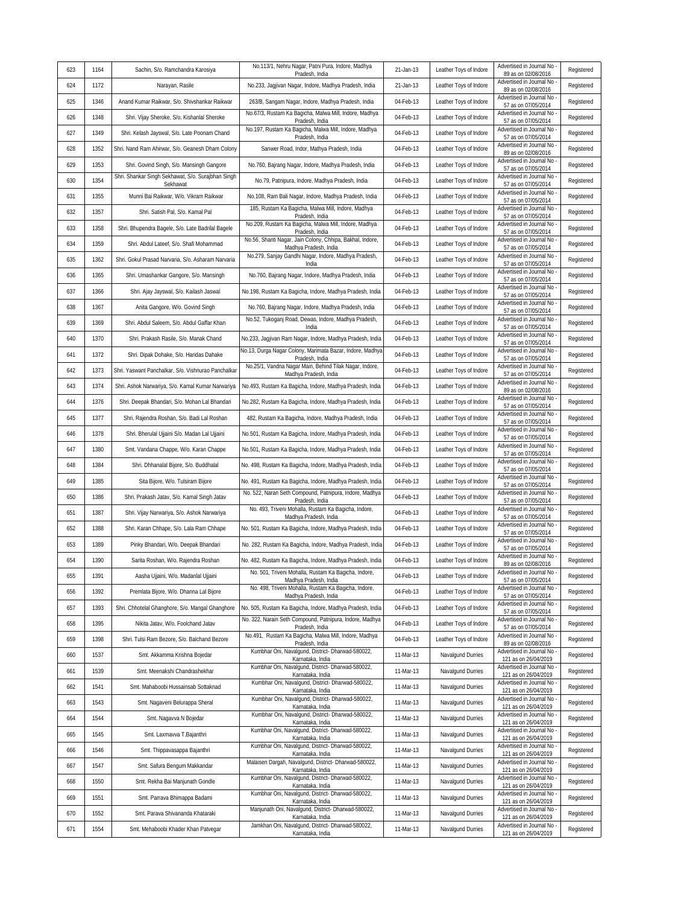| 623 | 1164 | Sachin, S/o. Ramchandra Karosiya                    | No.113/1, Nehru Nagar, Patni Pura, Indore, Madhya                                                           | 21-Jan-13 | Leather Toys of Indore | Advertised in Journal No                                               | Registered |
|-----|------|-----------------------------------------------------|-------------------------------------------------------------------------------------------------------------|-----------|------------------------|------------------------------------------------------------------------|------------|
| 624 | 1172 | Narayan, Rasile                                     | Pradesh, India<br>No.233, Jagjivan Nagar, Indore, Madhya Pradesh, India                                     | 21-Jan-13 | Leather Toys of Indore | 89 as on 02/08/2016<br>Advertised in Journal No                        | Registered |
| 625 | 1346 | Anand Kumar Raikwar, S/o. Shivshankar Raikwar       | 263/B, Sangam Nagar, Indore, Madhya Pradesh, India                                                          | 04-Feb-13 | Leather Toys of Indore | 89 as on 02/08/2016<br>Advertised in Journal No                        | Registered |
| 626 | 1348 | Shri. Vijay Sheroke, S/o. Kishanlal Sheroke         | No.67/3, Rustam Ka Bagicha, Malwa Mill, Indore, Madhya                                                      | 04-Feb-13 | Leather Toys of Indore | 57 as on 07/05/2014<br>Advertised in Journal No                        | Registered |
| 627 | 1349 | Shri. Kelash Jayswal, S/o. Late Poonam Chand        | Pradesh, India<br>No.197, Rustam Ka Bagicha, Malwa Mill, Indore, Madhya                                     | 04-Feb-13 | Leather Toys of Indore | 57 as on 07/05/2014<br>Advertised in Journal No                        | Registered |
| 628 | 1352 | Shri. Nand Ram Ahirwar, S/o. Geanesh Dham Colony    | Pradesh, India<br>Sanwer Road, Indor, Mathya Pradesh, India                                                 | 04-Feb-13 | Leather Toys of Indore | 57 as on 07/05/2014<br>Advertised in Journal No                        | Registered |
| 629 | 1353 | Shri. Govind Singh, S/o. Mansingh Gangore           | No.760, Bajrang Nagar, Indore, Madhya Pradesh, India                                                        | 04-Feb-13 | Leather Toys of Indore | 89 as on 02/08/2016<br>Advertised in Journal No                        | Registered |
| 630 | 1354 | Shri. Shankar Singh Sekhawat, S/o. Surajbhan Singh  | No.79, Patnipura, Indore, Madhya Pradesh, India                                                             | 04-Feb-13 | Leather Toys of Indore | 57 as on 07/05/2014<br>Advertised in Journal No                        | Registered |
| 631 | 1355 | Sekhawat<br>Munni Bai Raikwar, W/o. Vikram Raikwar  |                                                                                                             | 04-Feb-13 | Leather Toys of Indore | 57 as on 07/05/2014<br>Advertised in Journal No                        | Registered |
| 632 | 1357 |                                                     | No.108, Ram Bali Nagar, Indore, Madhya Pradesh, India<br>185, Rustam Ka Bagicha, Malwa Mill, Indore, Madhya | 04-Feb-13 | Leather Toys of Indore | 57 as on 07/05/2014<br>Advertised in Journal No                        |            |
|     |      | Shri. Satish Pal, S/o. Kamal Pal                    | Pradesh, India<br>No.209, Rustam Ka Bagicha, Malwa Mill, Indore, Madhya                                     |           |                        | 57 as on 07/05/2014<br>Advertised in Journal No                        | Registered |
| 633 | 1358 | Shri. Bhupendra Bagele, S/o. Late Badrilal Bagele   | Pradesh, India<br>No.56, Shanti Nagar, Jain Colony, Chhipa, Bakhal, Indore,                                 | 04-Feb-13 | Leather Toys of Indore | 57 as on 07/05/2014<br>Advertised in Journal No                        | Registered |
| 634 | 1359 | Shri. Abdul Lateef, S/o. Shafi Mohammad             | Madhya Pradesh, India<br>No.279, Sanjay Gandhi Nagar, Indore, Madhya Pradesh,                               | 04-Feb-13 | Leather Toys of Indore | 57 as on 07/05/2014<br>Advertised in Journal No                        | Registered |
| 635 | 1362 | Shri. Gokul Prasad Narvaria, S/o. Asharam Narvaria  | India                                                                                                       | 04-Feb-13 | Leather Toys of Indore | 57 as on 07/05/2014<br>Advertised in Journal No                        | Registered |
| 636 | 1365 | Shri. Umashankar Gangore, S/o. Mansingh             | No.760, Bajrang Nagar, Indore, Madhya Pradesh, India                                                        | 04-Feb-13 | Leather Toys of Indore | 57 as on 07/05/2014<br>Advertised in Journal No                        | Registered |
| 637 | 1366 | Shri. Ajay Jayswal, S/o. Kailash Jaswal             | No.198, Rustam Ka Bagicha, Indore, Madhya Pradesh, India                                                    | 04-Feb-13 | Leather Toys of Indore | 57 as on 07/05/2014<br>Advertised in Journal No                        | Registered |
| 638 | 1367 | Anita Gangore, W/o. Govind Singh                    | No.760, Bajrang Nagar, Indore, Madhya Pradesh, India                                                        | 04-Feb-13 | Leather Toys of Indore | 57 as on 07/05/2014                                                    | Registered |
| 639 | 1369 | Shri. Abdul Saleem, S/o. Abdul Gaffar Khan          | No.52, Tukoganj Road, Dewas, Indore, Madhya Pradesh,<br>India                                               | 04-Feb-13 | Leather Toys of Indore | Advertised in Journal No<br>57 as on 07/05/2014                        | Registered |
| 640 | 1370 | Shri. Prakash Rasile, S/o. Manak Chand              | No.233, Jagjivan Ram Nagar, Indore, Madhya Pradesh, India                                                   | 04-Feb-13 | Leather Toys of Indore | Advertised in Journal No<br>57 as on 07/05/2014                        | Registered |
| 641 | 1372 | Shri. Dipak Dohake, S/o. Haridas Dahake             | No.13, Durga Nagar Colony, Marimata Bazar, Indore, Madhya<br>Pradesh, India                                 | 04-Feb-13 | Leather Toys of Indore | Advertised in Journal No<br>57 as on 07/05/2014                        | Registered |
| 642 | 1373 | Shri. Yaswant Panchalkar, S/o. Vishnurao Panchalkar | No.25/1, Vandna Nagar Main, Behind Tilak Nagar, Indore,<br>Madhya Pradesh, India                            | 04-Feb-13 | Leather Toys of Indore | Advertised in Journal No<br>57 as on 07/05/2014                        | Registered |
| 643 | 1374 | Shri. Ashok Narwariya, S/o. Kamal Kumar Narwariya   | No.493, Rustam Ka Bagicha, Indore, Madhya Pradesh, India                                                    | 04-Feb-13 | Leather Toys of Indore | Advertised in Journal No<br>89 as on 02/08/2016                        | Registered |
| 644 | 1376 | Shri. Deepak Bhandari, S/o. Mohan Lal Bhandari      | No.282, Rustam Ka Bagicha, Indore, Madhya Pradesh, India                                                    | 04-Feb-13 | Leather Toys of Indore | Advertised in Journal No<br>57 as on 07/05/2014                        | Registered |
| 645 | 1377 | Shri. Rajendra Roshan, S/o. Badi Lal Roshan         | 482, Rustam Ka Bagicha, Indore, Madhya Pradesh, India                                                       | 04-Feb-13 | Leather Toys of Indore | Advertised in Journal No<br>57 as on 07/05/2014                        | Registered |
| 646 | 1378 | Shri. Bherulal Ujjaini S/o. Madan Lal Ujjaini       | No.501, Rustam Ka Bagicha, Indore, Madhya Pradesh, India                                                    | 04-Feb-13 | Leather Toys of Indore | Advertised in Journal No<br>57 as on 07/05/2014                        | Registered |
| 647 | 1380 | Smt. Vandana Chappe, W/o. Karan Chappe              | No.501, Rustam Ka Bagicha, Indore, Madhya Pradesh, India                                                    | 04-Feb-13 | Leather Toys of Indore | Advertised in Journal No<br>57 as on 07/05/2014                        | Registered |
| 648 | 1384 | Shri. Dhhanalal Bijore, S/o. Buddhalal              | No. 498, Rustam Ka Bagicha, Indore, Madhya Pradesh, India                                                   | 04-Feb-13 | Leather Toys of Indore | Advertised in Journal No<br>57 as on 07/05/2014                        | Registered |
| 649 | 1385 | Sita Bijore, W/o. Tulsiram Bijore                   | No. 491, Rustam Ka Bagicha, Indore, Madhya Pradesh, India                                                   | 04-Feb-13 | Leather Toys of Indore | Advertised in Journal No<br>57 as on 07/05/2014                        | Registered |
| 650 | 1386 | Shri. Prakash Jatav, S/o. Kamal Singh Jatav         | No. 522, Naran Seth Compound, Patnipura, Indore, Madhya<br>Pradesh, India                                   | 04-Feb-13 | Leather Toys of Indore | Advertised in Journal No<br>57 as on 07/05/2014                        | Registered |
| 651 | 1387 | Shri. Vijay Narwariya, S/o. Ashok Narwariya         | No. 493, Triveni Mohalla, Rustam Ka Bagicha, Indore,<br>Madhya Pradesh, India                               | 04-Feb-13 | Leather Toys of Indore | Advertised in Journal No<br>57 as on 07/05/2014                        | Registered |
| 652 | 1388 | Shri. Karan Chhape, S/o. Lala Ram Chhape            | No. 501, Rustam Ka Bagicha, Indore, Madhya Pradesh, India                                                   | 04-Feb-13 | Leather Toys of Indore | Advertised in Journal No<br>57 as on 07/05/2014                        | Registered |
| 653 | 1389 | Pinky Bhandari, W/o. Deepak Bhandari                | No. 282, Rustam Ka Bagicha, Indore, Madhya Pradesh, India                                                   | 04-Feb-13 | Leather Toys of Indore | Advertised in Journal No<br>57 as on 07/05/2014                        | Registered |
| 654 | 1390 | Sarita Roshan, W/o. Rajendra Roshan                 | No. 482, Rustam Ka Bagicha, Indore, Madhya Pradesh, India                                                   | 04-Feb-13 | Leather Toys of Indore | Advertised in Journal No<br>89 as on 02/08/2016                        | Registered |
| 655 | 1391 | Aasha Ujjaini, W/o. Madanlal Ujjaini                | No. 501, Triveni Mohalla, Rustam Ka Bagicha, Indore,<br>Madhya Pradesh, India                               | 04-Feb-13 | Leather Toys of Indore | Advertised in Journal No -<br>57 as on 07/05/2014                      | Registered |
| 656 | 1392 | Premlata Bijore, W/o. Dhanna Lal Bijore             | No. 498, Triveni Mohalla, Rustam Ka Bagicha, Indore,<br>Madhya Pradesh, India                               | 04-Feb-13 | Leather Toys of Indore | Advertised in Journal No<br>57 as on 07/05/2014                        | Registered |
| 657 | 1393 | Shri. Chhotelal Ghanghore, S/o. Mangal Ghanghore    | No. 505, Rustam Ka Bagicha, Indore, Madhya Pradesh, India                                                   | 04-Feb-13 | Leather Toys of Indore | Advertised in Journal No<br>57 as on 07/05/2014                        | Registered |
| 658 | 1395 | Nikita Jatav, W/o. Foolchand Jatav                  | No. 322, Narain Seth Compound, Patnipura, Indore, Madhya                                                    | 04-Feb-13 | Leather Toys of Indore | Advertised in Journal No                                               | Registered |
| 659 | 1398 | Shri. Tulsi Ram Bezore, S/o. Balchand Bezore        | Pradesh, India<br>No.491, Rustam Ka Bagicha, Malwa Mill, Indore, Madhya                                     | 04-Feb-13 | Leather Toys of Indore | 57 as on 07/05/2014<br>Advertised in Journal No<br>89 as on 02/08/2016 | Registered |
| 660 | 1537 | Smt. Akkamma Krishna Bojedar                        | Pradesh, India<br>Kumbhar Oni, Navalgund, District- Dharwad-580022,                                         | 11-Mar-13 | Navalgund Durries      | Advertised in Journal No                                               | Registered |
| 661 | 1539 | Smt. Meenakshi Chandrashekhar                       | Karnataka, India<br>Kumbhar Oni, Navalgund, District- Dharwad-580022,                                       | 11-Mar-13 | Navalgund Durries      | 121 as on 26/04/2019<br>Advertised in Journal No -                     | Registered |
| 662 | 1541 | Smt. Mahaboobi Hussainsab Sottaknad                 | Karnataka, India<br>Kumbhar Oni, Navalgund, District- Dharwad-580022,                                       | 11-Mar-13 | Navalgund Durries      | 121 as on 26/04/2019<br>Advertised in Journal No                       | Registered |
| 663 | 1543 | Smt. Nagaveni Belurappa Sheral                      | Karnataka, India<br>Kumbhar Oni, Navalgund, District- Dharwad-580022,                                       | 11-Mar-13 | Navalgund Durries      | 121 as on 26/04/2019<br>Advertised in Journal No                       | Registered |
| 664 | 1544 | Smt. Nagavva N Bojedar                              | Karnataka, India<br>Kumbhar Oni, Navalgund, District- Dharwad-580022,                                       | 11-Mar-13 | Navalgund Durries      | 121 as on 26/04/2019<br>Advertised in Journal No                       | Registered |
| 665 | 1545 | Smt. Laxmavva T.Bajanthri                           | Karnataka, India<br>Kumbhar Oni, Navalgund, District- Dharwad-580022,                                       | 11-Mar-13 | Navalgund Durries      | 121 as on 26/04/2019<br>Advertised in Journal No                       | Registered |
| 666 | 1546 | Smt. Thippavasappa Bajanthri                        | Karnataka, India<br>Kumbhar Oni, Navalgund, District- Dharwad-580022,                                       | 11-Mar-13 | Navalgund Durries      | 121 as on 26/04/2019<br>Advertised in Journal No                       | Registered |
| 667 | 1547 | Smt. Safura Bengum Makkandar                        | Karnataka, India<br>Malaisen Dargah, Navalgund, District- Dharwad-580022,                                   | 11-Mar-13 | Navalgund Durries      | 121 as on 26/04/2019<br>Advertised in Journal No                       | Registered |
| 668 | 1550 | Smt. Rekha Bai Manjunath Gondle                     | Karnataka, India<br>Kumbhar Oni, Navalgund, District- Dharwad-580022,                                       | 11-Mar-13 | Navalgund Durries      | 121 as on 26/04/2019<br>Advertised in Journal No -                     | Registered |
|     |      |                                                     | Karnataka, India<br>Kumbhar Oni, Navalgund, District- Dharwad-580022,                                       |           |                        | 121 as on 26/04/2019<br>Advertised in Journal No                       |            |
| 669 | 1551 | Smt. Parrava Bhimappa Badami                        | Karnataka, India<br>Manjunath Oni, Navalgund, District- Dharwad-580022,                                     | 11-Mar-13 | Navalgund Durries      | 121 as on 26/04/2019<br>Advertised in Journal No                       | Registered |
| 670 | 1552 | Smt. Parava Shivananda Khataraki                    | Karnataka, India<br>Jamkhan Oni, Navalgund, District- Dharwad-580022,                                       | 11-Mar-13 | Navalgund Durries      | 121 as on 26/04/2019<br>Advertised in Journal No                       | Registered |
| 671 | 1554 | Smt. Mehaboobi Khader Khan Patvegar                 | Karnataka, India                                                                                            | 11-Mar-13 | Navalgund Durries      | 121 as on 26/04/2019                                                   | Registered |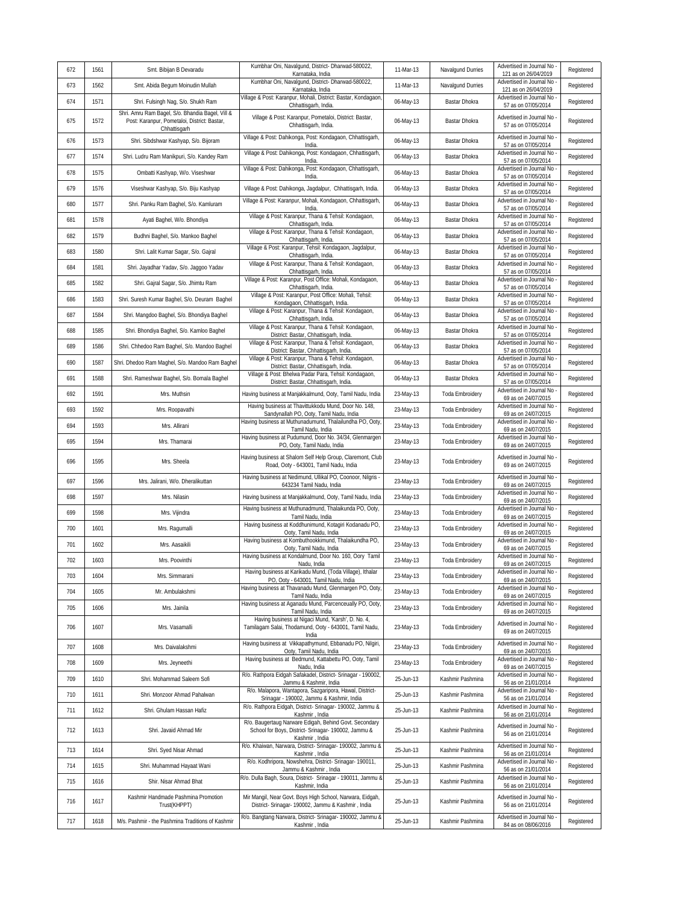| 672 | 1561 | Smt. Bibijan B Devaradu                                                                                          | Kumbhar Oni, Navalgund, District- Dharwad-580022,                                                                                | 11-Mar-13 | Navalgund Durries      | Advertised in Journal No<br>121 as on 26/04/2019  | Registered |
|-----|------|------------------------------------------------------------------------------------------------------------------|----------------------------------------------------------------------------------------------------------------------------------|-----------|------------------------|---------------------------------------------------|------------|
| 673 | 1562 | Smt. Abida Begum Moinudin Mullah                                                                                 | Karnataka, India<br>Kumbhar Oni, Navalgund, District- Dharwad-580022,                                                            | 11-Mar-13 | Navalgund Durries      | Advertised in Journal No<br>121 as on 26/04/2019  | Registered |
| 674 | 1571 | Shri. Fulsingh Nag, S/o. Shukh Ram                                                                               | Karnataka, India<br>Village & Post: Karanpur, Mohali, District: Bastar, Kondagaon<br>Chhattisgarh, India.                        | 06-May-13 | Bastar Dhokra          | Advertised in Journal No<br>57 as on 07/05/2014   | Registered |
| 675 | 1572 | Shri. Amru Ram Bagel, S/o. Bhandia Bagel, Vill &<br>Post: Karanpur, Pometaloi, District: Bastar,<br>Chhattisgarh | Village & Post: Karanpur, Pometaloi, District: Bastar,<br>Chhattisgarh, India.                                                   | 06-May-13 | Bastar Dhokra          | Advertised in Journal No<br>57 as on 07/05/2014   | Registered |
| 676 | 1573 | Shri. Sibdshwar Kashyap, S/o. Bijoram                                                                            | Village & Post: Dahikonga, Post: Kondagaon, Chhattisgarh,<br>India                                                               | 06-May-13 | Bastar Dhokra          | Advertised in Journal No<br>57 as on 07/05/2014   | Registered |
| 677 | 1574 | Shri. Ludru Ram Manikpuri, S/o. Kandey Ram                                                                       | Village & Post: Dahikonga, Post: Kondagaon, Chhattisgarh,<br>India.                                                              | 06-May-13 | Bastar Dhokra          | Advertised in Journal No<br>57 as on 07/05/2014   | Registered |
| 678 | 1575 | Ombatti Kashyap, W/o. Viseshwar                                                                                  | Village & Post: Dahikonga, Post: Kondagaon, Chhattisgarh,<br>India.                                                              | 06-May-13 | Bastar Dhokra          | Advertised in Journal No<br>57 as on 07/05/2014   | Registered |
| 679 | 1576 | Viseshwar Kashyap, S/o. Biju Kashyap                                                                             | Village & Post: Dahikonga, Jagdalpur, Chhattisgarh, India.                                                                       | 06-May-13 | Bastar Dhokra          | Advertised in Journal No<br>57 as on 07/05/2014   | Registered |
| 680 | 1577 | Shri. Panku Ram Baghel, S/o. Kamluram                                                                            | Village & Post: Karanpur, Mohali, Kondagaon, Chhattisgarh,<br>India                                                              | 06-May-13 | Bastar Dhokra          | Advertised in Journal No<br>57 as on 07/05/2014   | Registered |
| 681 | 1578 | Ayati Baghel, W/o. Bhondiya                                                                                      | Village & Post: Karanpur, Thana & Tehsil: Kondagaon,<br>Chhattisgarh, India.                                                     | 06-May-13 | Bastar Dhokra          | Advertised in Journal No<br>57 as on 07/05/2014   | Registered |
| 682 | 1579 | Budhni Baghel, S/o. Mankoo Baghel                                                                                | Village & Post: Karanpur, Thana & Tehsil: Kondagaon,<br>Chhattisgarh, India.                                                     | 06-May-13 | Bastar Dhokra          | Advertised in Journal No<br>57 as on 07/05/2014   | Registered |
| 683 | 1580 | Shri. Lalit Kumar Sagar, S/o. Gajral                                                                             | Village & Post: Karanpur, Tehsil: Kondagaon, Jagdalpur,<br>Chhattisgarh, India.                                                  | 06-May-13 | Bastar Dhokra          | Advertised in Journal No<br>57 as on 07/05/2014   | Registered |
| 684 | 1581 | Shri. Jayadhar Yadav, S/o. Jaggoo Yadav                                                                          | Village & Post: Karanpur, Thana & Tehsil: Kondagaon,<br>Chhattisgarh, India.                                                     | 06-May-13 | Bastar Dhokra          | Advertised in Journal No<br>57 as on 07/05/2014   | Registered |
| 685 | 1582 | Shri. Gajral Sagar, S/o. Jhimtu Ram                                                                              | Village & Post: Karanpur, Post Office: Mohali, Kondagaon,<br>Chhattisgarh, India.                                                | 06-May-13 | Bastar Dhokra          | Advertised in Journal No<br>57 as on 07/05/2014   | Registered |
| 686 | 1583 | Shri. Suresh Kumar Baghel, S/o. Deuram Baghel                                                                    | Village & Post: Karanpur, Post Office: Mohali, Tehsil:<br>Kondagaon, Chhattisgarh, India.                                        | 06-May-13 | Bastar Dhokra          | Advertised in Journal No<br>57 as on 07/05/2014   | Registered |
| 687 | 1584 | Shri. Mangdoo Baghel, S/o. Bhondiya Baghel                                                                       | Village & Post: Karanpur, Thana & Tehsil: Kondagaon,<br>Chhattisgarh, India.                                                     | 06-May-13 | Bastar Dhokra          | Advertised in Journal No<br>57 as on 07/05/2014   | Registered |
| 688 | 1585 | Shri. Bhondiya Baghel, S/o. Kamloo Baghel                                                                        | Village & Post: Karanpur, Thana & Tehsil: Kondagaon,<br>District: Bastar, Chhattisgarh, India.                                   | 06-May-13 | Bastar Dhokra          | Advertised in Journal No<br>57 as on 07/05/2014   | Registered |
| 689 | 1586 | Shri. Chhedoo Ram Baghel, S/o. Mandoo Baghel                                                                     | Village & Post: Karanpur, Thana & Tehsil: Kondagaon,<br>District: Bastar, Chhattisgarh, India.                                   | 06-May-13 | Bastar Dhokra          | Advertised in Journal No<br>57 as on 07/05/2014   | Registered |
| 690 | 1587 | Shri. Dhedoo Ram Maghel, S/o. Mandoo Ram Baghel                                                                  | Village & Post: Karanpur, Thana & Tehsil: Kondagaon,<br>District: Bastar, Chhattisgarh, India.                                   | 06-May-13 | Bastar Dhokra          | Advertised in Journal No<br>57 as on 07/05/2014   | Registered |
| 691 | 1588 | Shri. Rameshwar Baghel, S/o. Bomala Baghel                                                                       | Village & Post: Bhelwa Padar Para, Tehsil: Kondagaon,<br>District: Bastar, Chhattisgarh, India.                                  | 06-May-13 | Bastar Dhokra          | Advertised in Journal No<br>57 as on 07/05/2014   | Registered |
| 692 | 1591 | Mrs. Muthsin                                                                                                     | Having business at Manjakkalmund, Ooty, Tamil Nadu, India                                                                        | 23-May-13 | <b>Toda Embroidery</b> | Advertised in Journal No<br>69 as on 24/07/2015   | Registered |
| 693 | 1592 | Mrs. Roopavathi                                                                                                  | Having business at Thavittukkodu Mund, Door No. 148,<br>Sandynallah PO, Ooty, Tamil Nadu, India                                  | 23-May-13 | <b>Toda Embroidery</b> | Advertised in Journal No<br>69 as on 24/07/2015   | Registered |
| 694 | 1593 | Mrs. Allirani                                                                                                    | Having business at Muthunadumund, Thalailundha PO, Ooty,<br>Tamil Nadu, India                                                    | 23-May-13 | <b>Toda Embroidery</b> | Advertised in Journal No<br>69 as on 24/07/2015   | Registered |
| 695 | 1594 | Mrs. Thamarai                                                                                                    | Having business at Pudumund, Door No. 34/34, Glenmargen<br>PO, Ooty, Tamil Nadu, India                                           | 23-May-13 | <b>Toda Embroidery</b> | Advertised in Journal No<br>69 as on 24/07/2015   | Registered |
| 696 | 1595 | Mrs. Sheela                                                                                                      | Having business at Shalom Self Help Group, Claremont, Club<br>Road, Ooty - 643001, Tamil Nadu, India                             | 23-May-13 | <b>Toda Embroidery</b> | Advertised in Journal No<br>69 as on 24/07/2015   | Registered |
| 697 | 1596 | Mrs. Jalirani, W/o. Dheralikuttan                                                                                | Having business at Nedimund, Ullikal PO, Coonoor, Nilgris -<br>643234 Tamil Nadu, India                                          | 23-May-13 | <b>Toda Embroidery</b> | Advertised in Journal No<br>69 as on 24/07/2015   | Registered |
| 698 | 1597 | Mrs. Nilasin                                                                                                     | Having business at Manjakkalmund, Ooty, Tamil Nadu, India                                                                        | 23-May-13 | <b>Toda Embroidery</b> | Advertised in Journal No<br>69 as on 24/07/2015   | Registered |
| 699 | 1598 | Mrs. Vijindra                                                                                                    | Having business at Muthunadmund, Thalaikunda PO, Ooty,<br>Tamil Nadu, India                                                      | 23-May-13 | <b>Toda Embroidery</b> | Advertised in Journal No<br>69 as on 24/07/2015   | Registered |
| 700 | 1601 | Mrs. Ragumalli                                                                                                   | Having business at Koddhunimund, Kotagiri Kodanadu PO,<br>Ooty, Tamil Nadu, India                                                | 23-May-13 | <b>Toda Embroidery</b> | Advertised in Journal No<br>69 as on 24/07/2015   | Registered |
| 701 | 1602 | Mrs. Aasaikili                                                                                                   | Having business at Kombuthookkimund, Thalaikundha PO,<br>Ooty, Tamil Nadu, India                                                 | 23-May-13 | <b>Toda Embroidery</b> | Advertised in Journal No<br>69 as on 24/07/2015   | Registered |
| 702 | 1603 | Mrs. Poovinthi                                                                                                   | Having business at Kondalmund, Door No. 160, Oory Tamil<br>Nadu, India                                                           | 23-May-13 | <b>Toda Embroidery</b> | Advertised in Journal No<br>69 as on 24/07/2015   | Registered |
| 703 | 1604 | Mrs. Simmarani                                                                                                   | Having business at Karikadu Mund, (Toda Village), Ithalar<br>PO, Ooty - 643001, Tamil Nadu, India                                | 23-May-13 | <b>Toda Embroidery</b> | Advertised in Journal No -<br>69 as on 24/07/2015 | Registered |
| 704 | 1605 | Mr. Ambulakshmi                                                                                                  | Having business at Thavanadu Mund, Glenmargen PO, Ooty,<br>Tamil Nadu, India                                                     | 23-May-13 | <b>Toda Embroidery</b> | Advertised in Journal No<br>69 as on 24/07/2015   | Registered |
| 705 | 1606 | Mrs. Jainila                                                                                                     | Having business at Aganadu Mund, Parcenceually PO, Ooty,<br>Tamil Nadu, India                                                    | 23-May-13 | <b>Toda Embroidery</b> | Advertised in Journal No<br>69 as on 24/07/2015   | Registered |
| 706 | 1607 | Mrs. Vasamalli                                                                                                   | Having business at Nigaci Mund, 'Karsh', D. No. 4,<br>Tamilagam Salai, Thodamund, Ooty - 643001, Tamil Nadu,<br>India            | 23-May-13 | <b>Toda Embroidery</b> | Advertised in Journal No<br>69 as on 24/07/2015   | Registered |
| 707 | 1608 | Mrs. Daivalakshmi                                                                                                | Having business at Vikkapathymund, Ebbanadu PO, Nilgiri,<br>Ooty, Tamil Nadu, India                                              | 23-May-13 | <b>Toda Embroidery</b> | Advertised in Journal No -<br>69 as on 24/07/2015 | Registered |
| 708 | 1609 | Mrs. Jeyneethi                                                                                                   | Having business at Bedmund, Kattabettu PO, Ooty, Tamil<br>Nadu, India                                                            | 23-May-13 | <b>Toda Embroidery</b> | Advertised in Journal No<br>69 as on 24/07/2015   | Registered |
| 709 | 1610 | Shri. Mohammad Saleem Sofi                                                                                       | R/o. Rathpora Eidgah Safakadel, District- Srinagar - 190002,<br>Jammu & Kashmir, India                                           | 25-Jun-13 | Kashmir Pashmina       | Advertised in Journal No<br>56 as on 21/01/2014   | Registered |
| 710 | 1611 | Shri. Monzoor Ahmad Pahalwan                                                                                     | R/o. Malapora, Wantapora, Sazgaripora, Hawal, District-<br>Srinagar - 190002, Jammu & Kashmir, India                             | 25-Jun-13 | Kashmir Pashmina       | Advertised in Journal No<br>56 as on 21/01/2014   | Registered |
| 711 | 1612 | Shri. Ghulam Hassan Hafiz                                                                                        | R/o. Rathpora Eidgah, District- Srinagar- 190002, Jammu &<br>Kashmir, India                                                      | 25-Jun-13 | Kashmir Pashmina       | Advertised in Journal No<br>56 as on 21/01/2014   | Registered |
| 712 | 1613 | Shri. Javaid Ahmad Mir                                                                                           | R/o. Baugertaug Narware Edigah, Behind Govt. Secondary<br>School for Boys, District- Srinagar- 190002, Jammu &<br>Kashmir, India | 25-Jun-13 | Kashmir Pashmina       | Advertised in Journal No -<br>56 as on 21/01/2014 | Registered |
| 713 | 1614 | Shri. Syed Nisar Ahmad                                                                                           | R/o. Khaiwan, Narwara, District- Srinagar- 190002, Jammu &<br>Kashmir, India                                                     | 25-Jun-13 | Kashmir Pashmina       | Advertised in Journal No<br>56 as on 21/01/2014   | Registered |
| 714 | 1615 | Shri. Muhammad Hayaat Wani                                                                                       | R/o. Kodhripora, Nowshehra, District- Srinagar- 190011,<br>Jammu & Kashmir, India                                                | 25-Jun-13 | Kashmir Pashmina       | Advertised in Journal No<br>56 as on 21/01/2014   | Registered |
| 715 | 1616 | Shir. Nisar Ahmad Bhat                                                                                           | R/o. Dulla Bagh, Soura, District- Srinagar - 190011, Jammu &<br>Kashmir, India                                                   | 25-Jun-13 | Kashmir Pashmina       | Advertised in Journal No<br>56 as on 21/01/2014   | Registered |
| 716 | 1617 | Kashmir Handmade Pashmina Promotion<br>Trust(KHPPT)                                                              | Mir Mangil, Near Govt. Boys High School, Narwara, Eidgah,<br>District- Srinagar- 190002, Jammu & Kashmir, India                  | 25-Jun-13 | Kashmir Pashmina       | Advertised in Journal No<br>56 as on 21/01/2014   | Registered |
| 717 | 1618 | M/s. Pashmir - the Pashmina Traditions of Kashmir                                                                | R/o. Bangtang Narwara, District- Srinagar- 190002, Jammu &<br>Kashmir, India                                                     | 25-Jun-13 | Kashmir Pashmina       | Advertised in Journal No<br>84 as on 08/06/2016   | Registered |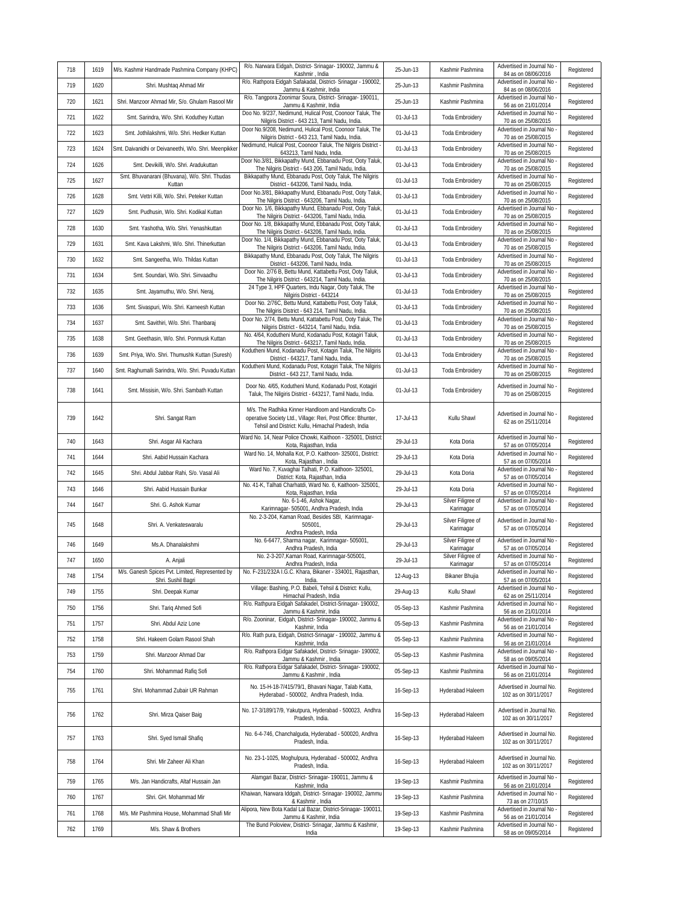| 718 | 1619 | M/s. Kashmir Handmade Pashmina Company (KHPC)           | R/o. Narwara Eidgah, District- Srinagar- 190002, Jammu &<br>Kashmir, India                                                                                                  | 25-Jun-13     | Kashmir Pashmina                | Advertised in Journal No<br>84 as on 08/06/2016   | Registered |
|-----|------|---------------------------------------------------------|-----------------------------------------------------------------------------------------------------------------------------------------------------------------------------|---------------|---------------------------------|---------------------------------------------------|------------|
| 719 | 1620 | Shri. Mushtaq Ahmad Mir                                 | R/o. Rathpora Eidgah Safakadal, District- Srinagar - 190002,<br>Jammu & Kashmir, India                                                                                      | 25-Jun-13     | Kashmir Pashmina                | Advertised in Journal No<br>84 as on 08/06/2016   | Registered |
| 720 | 1621 | Shri. Manzoor Ahmad Mir, S/o. Ghulam Rasool Mir         | R/o. Tangpora Zoonimar Soura, District- Srinagar- 190011,<br>Jammu & Kashmir, India                                                                                         | 25-Jun-13     | Kashmir Pashmina                | Advertised in Journal No<br>56 as on 21/01/2014   | Registered |
| 721 | 1622 | Smt. Sarindra, W/o. Shri. Koduthey Kuttan               | Doo No. 9/237, Nedimund, Hulical Post, Coonoor Taluk, The<br>Nilgiris District - 643 213, Tamil Nadu, India.                                                                | $01$ -Jul-13  | <b>Toda Embroidery</b>          | Advertised in Journal No<br>70 as on 25/08/2015   | Registered |
| 722 | 1623 | Smt. Jothilakshmi, W/o. Shri. Hedker Kuttan             | Door No.9/208, Nedimund, Hulical Post, Coonoor Taluk, The<br>Nilgiris District - 643 213, Tamil Nadu, India.                                                                | 01-Jul-13     | <b>Toda Embroidery</b>          | Advertised in Journal No<br>70 as on 25/08/2015   | Registered |
| 723 | 1624 | Smt. Daivanidhi or Deivaneethi, W/o. Shri. Meenpikker   | Nedimund, Hulical Post, Coonoor Taluk, The Nilgiris District<br>643213, Tamil Nadu, India.                                                                                  | 01-Jul-13     | <b>Toda Embroidery</b>          | Advertised in Journal No<br>70 as on 25/08/2015   | Registered |
| 724 | 1626 | Smt. Devikilli, W/o. Shri. Aradukuttan                  | Door No.3/81, Bikkapathy Mund, Ebbanadu Post, Ooty Taluk<br>The Nilgiris District - 643 206, Tamil Nadu, India.                                                             | 01-Jul-13     | Toda Embroidery                 | Advertised in Journal No<br>70 as on 25/08/2015   | Registered |
| 725 | 1627 | Smt. Bhuvanarani (Bhuvana), W/o. Shri. Thudas<br>Kuttan | Bikkapathy Mund, Ebbanadu Post, Ooty Taluk, The Nilgiris<br>District - 643206, Tamil Nadu, India.                                                                           | $01$ -Jul-13  | <b>Toda Embroidery</b>          | Advertised in Journal No<br>70 as on 25/08/2015   | Registered |
| 726 | 1628 | Smt. Vettri Killi, W/o. Shri. Peteker Kuttan            | Door No.3/81, Bikkapathy Mund, Ebbanadu Post, Ooty Taluk,<br>The Nilgiris District - 643206, Tamil Nadu, India.                                                             | 01-Jul-13     | <b>Toda Embroidery</b>          | Advertised in Journal No<br>70 as on 25/08/2015   | Registered |
| 727 | 1629 | Smt. Pudhusin, W/o. Shri. Kodikal Kuttan                | Door No. 1/6, Bikkapathy Mund, Ebbanadu Post, Ooty Taluk,<br>The Nilgiris District - 643206, Tamil Nadu, India                                                              | $01$ -Jul-13  | <b>Toda Embroidery</b>          | Advertised in Journal No<br>70 as on 25/08/2015   | Registered |
| 728 | 1630 | Smt. Yashotha, W/o. Shri. Yenashkuttan                  | Door No. 1/8, Bikkapathy Mund, Ebbanadu Post, Ooty Taluk,<br>The Nilgiris District - 643206, Tamil Nadu, India.                                                             | $01$ -Jul-13  | <b>Toda Embroidery</b>          | Advertised in Journal No<br>70 as on 25/08/2015   | Registered |
| 729 | 1631 | Smt. Kava Lakshmi, W/o. Shri. Thinerkuttan              | Door No. 1/4, Bikkapathy Mund, Ebbanadu Post, Ooty Taluk,<br>The Nilgiris District - 643206, Tamil Nadu, India.                                                             | $01$ -Jul-13  | <b>Toda Embroidery</b>          | Advertised in Journal No<br>70 as on 25/08/2015   | Registered |
| 730 | 1632 | Smt. Sangeetha, W/o. Thildas Kuttan                     | Bikkapathy Mund, Ebbanadu Post, Ooty Taluk, The Nilgiris<br>District - 643206, Tamil Nadu, India                                                                            | $01$ -Jul-13  | Toda Embroidery                 | Advertised in Journal No<br>70 as on 25/08/2015   | Registered |
| 731 | 1634 | Smt. Soundari, W/o. Shri. Sinvaadhu                     | Door No. 2/76 B, Bettu Mund, Kattabettu Post, Ooty Taluk,<br>The Nilgiris District - 643214, Tamil Nadu, India.                                                             | $01$ -Jul-13  | <b>Toda Embroidery</b>          | Advertised in Journal No<br>70 as on 25/08/2015   | Registered |
| 732 | 1635 | Smt. Jayamuthu, W/o. Shri. Neraj,                       | 24 Type 3, HPF Quarters, Indu Nagar, Ooty Taluk, The<br>Nilgiris District - 643214                                                                                          | $01 -$ Jul-13 | <b>Toda Embroidery</b>          | Advertised in Journal No<br>70 as on 25/08/2015   | Registered |
| 733 | 1636 | Smt. Sivaspuri, W/o. Shri. Karneesh Kuttan              | Door No. 2/76C, Bettu Mund, Kattabettu Post, Ooty Taluk,<br>The Nilgiris District - 643 214, Tamil Nadu, India.                                                             | $01 -$ Jul-13 | <b>Toda Embroidery</b>          | Advertised in Journal No<br>70 as on 25/08/2015   | Registered |
| 734 | 1637 | Smt. Savithiri, W/o. Shri. Thanbaraj                    | Door No. 2/74, Bettu Mund, Kattabettu Post, Ooty Taluk, The<br>Nilgiris District - 643214, Tamil Nadu, India.                                                               | $01$ -Jul-13  | <b>Toda Embroidery</b>          | Advertised in Journal No<br>70 as on 25/08/2015   | Registered |
| 735 | 1638 | Smt. Geethasin, W/o. Shri. Ponmusk Kuttan               | No. 4/64, Kodutheni Mund, Kodanadu Post, Kotaqiri Taluk,<br>The Nilgiris District - 643217, Tamil Nadu, India.                                                              | $01$ -Jul-13  | <b>Toda Embroidery</b>          | Advertised in Journal No<br>70 as on 25/08/2015   | Registered |
| 736 | 1639 | Smt. Priya, W/o. Shri. Thumushk Kuttan (Suresh)         | Kodutheni Mund, Kodanadu Post, Kotagiri Taluk, The Nilgiris<br>District - 643217, Tamil Nadu, India.                                                                        | $01$ -Jul-13  | <b>Toda Embroidery</b>          | Advertised in Journal No<br>70 as on 25/08/2015   | Registered |
| 737 | 1640 | Smt. Raghumalli Sarindra, W/o. Shri. Puvadu Kuttan      | Kodutheni Mund, Kodanadu Post, Kotagiri Taluk, The Nilgiris<br>District - 643 217, Tamil Nadu, India.                                                                       | $01$ -Jul-13  | <b>Toda Embroidery</b>          | Advertised in Journal No<br>70 as on 25/08/2015   | Registered |
| 738 | 1641 | Smt. Missisin, W/o. Shri. Sambath Kuttan                | Door No. 4/65, Kodutheni Mund, Kodanadu Post, Kotagiri<br>Taluk, The Nilgiris District - 643217, Tamil Nadu, India.                                                         | 01-Jul-13     | <b>Toda Embroidery</b>          | Advertised in Journal No<br>70 as on 25/08/2015   | Registered |
| 739 | 1642 | Shri. Sangat Ram                                        | M/s. The Radhika Kinner Handloom and Handicrafts Co-<br>operative Society Ltd., Village: Reri, Post Office: Bhunter,<br>Tehsil and District: Kullu, Himachal Pradesh, India | 17-Jul-13     | Kullu Shawl                     | Advertised in Journal No<br>62 as on 25/11/2014   | Registered |
| 740 | 1643 | Shri. Asgar Ali Kachara                                 | Ward No. 14, Near Police Chowki, Kaithoon - 325001, District:<br>Kota, Rajasthan, India                                                                                     | 29-Jul-13     | Kota Doria                      | Advertised in Journal No<br>57 as on 07/05/2014   | Registered |
| 741 | 1644 | Shri. Aabid Hussain Kachara                             | Ward No. 14, Mohalla Kot, P.O. Kaithoon- 325001, District:<br>Kota, Rajasthan, India                                                                                        | 29-Jul-13     | Kota Doria                      | Advertised in Journal No<br>57 as on 07/05/2014   | Registered |
| 742 | 1645 | Shri. Abdul Jabbar Rahi, S/o. Vasal Ali                 | Ward No. 7, Kuvaghai Talhati, P.O. Kaithoon- 325001,<br>District: Kota, Rajasthan, India                                                                                    | 29-Jul-13     | Kota Doria                      | Advertised in Journal No<br>57 as on 07/05/2014   | Registered |
| 743 | 1646 | Shri. Aabid Hussain Bunkar                              | No. 41-K, Talhati Charhatdi, Ward No. 6, Kaithoon- 325001,<br>Kota, Rajasthan, India                                                                                        | 29-Jul-13     | Kota Doria                      | Advertised in Journal No<br>57 as on 07/05/2014   | Registered |
| 744 | 1647 | Shri. G. Ashok Kumar                                    | No. 6-1-46, Ashok Nagar,<br>Karimnagar- 505001, Andhra Pradesh, India                                                                                                       | 29-Jul-13     | Silver Filigree of<br>Karimagar | Advertised in Journal No<br>57 as on 07/05/2014   | Registered |
| 745 | 1648 | Shri. A. Venkateswaralu                                 | No. 2-3-204, Kaman Road, Besides SBI, Karimnagar-<br>505001<br>Andhra Pradesh, India                                                                                        | 29-Jul-13     | Silver Filigree of<br>Karimagar | Advertised in Journal No<br>57 as on 07/05/2014   | Registered |
| 746 | 1649 | Ms.A. Dhanalakshmi                                      | No. 6-6477, Sharma nagar, Karimnagar- 505001,<br>Andhra Pradesh, India                                                                                                      | 29-Jul-13     | Silver Filigree of<br>Karimagar | Advertised in Journal No<br>57 as on 07/05/2014   | Registered |
| 747 | 1650 | A. Anjali                                               | No. 2-3-207, Kaman Road, Karimnagar-505001,<br>Andhra Pradesh, India                                                                                                        | 29-Jul-13     | Silver Filigree of<br>Karimagar | Advertised in Journal No<br>57 as on 07/05/2014   | Registered |
| 748 | 1754 | Shri. Sushil Bagri                                      | M/s. Ganesh Spices Pvt. Limited, Represented by No. F-231/232A I.G.C. Khara, Bikaner - 334001, Rajasthan,<br>India.                                                         | 12-Aug-13     | Bikaner Bhujia                  | Advertised in Journal No -<br>57 as on 07/05/2014 | Registered |
| 749 | 1755 | Shri. Deepak Kumar                                      | Village: Bashing, P.O. Babeli, Tehsil & District: Kullu,<br>Himachal Pradesh, India                                                                                         | 29-Aug-13     | Kullu Shawl                     | Advertised in Journal No<br>62 as on 25/11/2014   | Registered |
| 750 | 1756 | Shri. Tariq Ahmed Sofi                                  | R/o. Rathpura Eidgah Safakadel, District-Srinagar- 190002,<br>Jammu & Kashmir, India                                                                                        | 05-Sep-13     | Kashmir Pashmina                | Advertised in Journal No<br>56 as on 21/01/2014   | Registered |
| 751 | 1757 | Shri. Abdul Aziz Lone                                   | R/o. Zooninar, Eidgah, District- Srinagar- 190002, Jammu &<br>Kashmir, India                                                                                                | 05-Sep-13     | Kashmir Pashmina                | Advertised in Journal No<br>56 as on 21/01/2014   | Registered |
| 752 | 1758 | Shri. Hakeem Golam Rasool Shah                          | R/o. Rath pura, Eidgah, District-Srinagar - 190002, Jammu &<br>Kashmir, India                                                                                               | 05-Sep-13     | Kashmir Pashmina                | Advertised in Journal No<br>56 as on 21/01/2014   | Registered |
| 753 | 1759 | Shri. Manzoor Ahmad Dar                                 | R/o. Rathpora Eidgar Safakadel, District- Srinagar- 190002,<br>Jammu & Kashmir, India                                                                                       | 05-Sep-13     | Kashmir Pashmina                | Advertised in Journal No<br>58 as on 09/05/2014   | Registered |
| 754 | 1760 | Shri. Mohammad Rafiq Sofi                               | R/o. Rathpora Eidgar Safakadel, District- Srinagar- 190002,<br>Jammu & Kashmir, India                                                                                       | 05-Sep-13     | Kashmir Pashmina                | Advertised in Journal No<br>56 as on 21/01/2014   | Registered |
| 755 | 1761 | Shri. Mohammad Zubair UR Rahman                         | No. 15-H-18-7/415/79/1, Bhavani Nagar, Talab Katta,<br>Hyderabad - 500002, Andhra Pradesh, India.                                                                           | 16-Sep-13     | Hyderabad Haleem                | Advertised in Journal No.<br>102 as on 30/11/2017 | Registered |
| 756 | 1762 | Shri. Mirza Qaiser Baig                                 | No. 17-3/189/17/9, Yakutpura, Hyderabad - 500023, Andhra<br>Pradesh, India.                                                                                                 | 16-Sep-13     | Hyderabad Haleem                | Advertised in Journal No.<br>102 as on 30/11/2017 | Registered |
| 757 | 1763 | Shri. Syed Ismail Shafiq                                | No. 6-4-746, Chanchalguda, Hyderabad - 500020, Andhra<br>Pradesh, India.                                                                                                    | 16-Sep-13     | Hyderabad Haleem                | Advertised in Journal No.<br>102 as on 30/11/2017 | Registered |
| 758 | 1764 | Shri. Mir Zaheer Ali Khan                               | No. 23-1-1025, Moghulpura, Hyderabad - 500002, Andhra<br>Pradesh, India.                                                                                                    | 16-Sep-13     | Hyderabad Haleem                | Advertised in Journal No.<br>102 as on 30/11/2017 | Registered |
| 759 | 1765 | M/s. Jan Handicrafts, Altaf Hussain Jan                 | Alamgari Bazar, District- Srinagar- 190011, Jammu &<br>Kashmir, India                                                                                                       | 19-Sep-13     | Kashmir Pashmina                | Advertised in Journal No<br>56 as on 21/01/2014   | Registered |
| 760 | 1767 | Shri. GH. Mohammad Mir                                  | Khaiwan, Narwara Iddgah, District- Srinagar- 190002, Jammu<br>& Kashmir, India                                                                                              | 19-Sep-13     | Kashmir Pashmina                | Advertised in Journal No<br>73 as on 27/10/15     | Registered |
| 761 | 1768 | M/s. Mir Pashmina House, Mohammad Shafi Mir             | Alipora, New Bota Kadal Lal Bazar, District-Srinagar- 190011,<br>Jammu & Kashmir, India                                                                                     | 19-Sep-13     | Kashmir Pashmina                | Advertised in Journal No<br>56 as on 21/01/2014   | Registered |
| 762 | 1769 | M/s. Shaw & Brothers                                    | The Bund Poloview, District- Srinagar, Jammu & Kashmir,<br>India                                                                                                            | 19-Sep-13     | Kashmir Pashmina                | Advertised in Journal No<br>58 as on 09/05/2014   | Registered |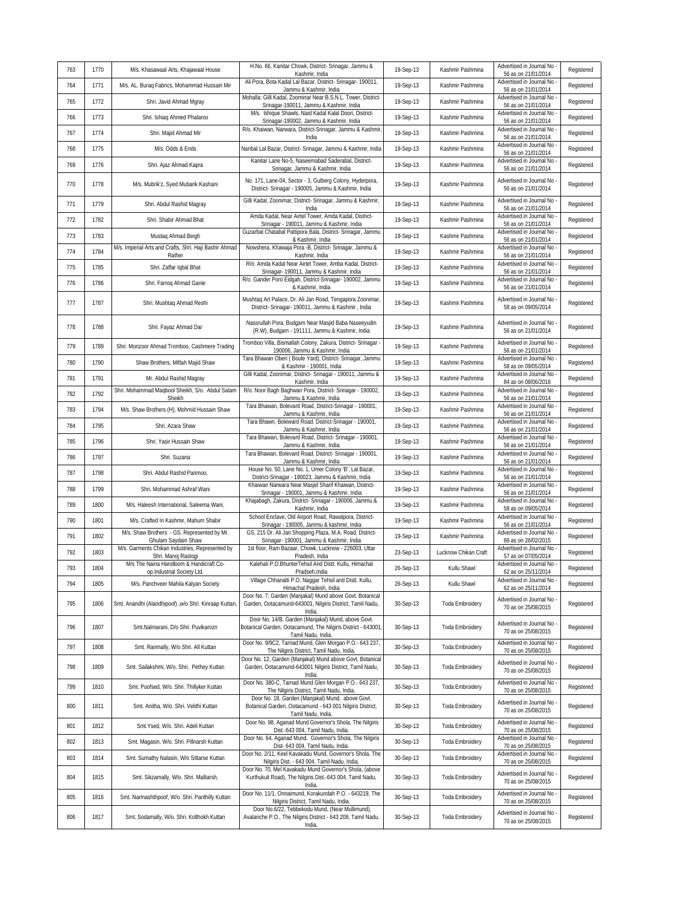| 763 | 1770 | M/s. Khasawaal Arts, Khajawaal House                                   | H.No. 66, Kanitar Chowk, District- Srinagar, Jammu &<br>Kashmir, India                                                                                                                | 19-Sep-13 | Kashmir Pashmina       | Advertised in Journal No<br>56 as on 21/01/2014   | Registered |
|-----|------|------------------------------------------------------------------------|---------------------------------------------------------------------------------------------------------------------------------------------------------------------------------------|-----------|------------------------|---------------------------------------------------|------------|
| 764 | 1771 | M/s. AL. Buraq Fabrics, Mohammad Hussain Mir                           | Ali Pora, Bota Kadal Lal Bazar, District- Srinagar- 190011,<br>Jammu & Kashmir, India                                                                                                 | 19-Sep-13 | Kashmir Pashmina       | Advertised in Journal No<br>56 as on 21/01/2014   | Registered |
| 765 | 1772 | Shri. Javid Ahmad Mgray                                                | Mohalla: Gilli Kadal, Zoominar Near B.S.N.L. Tower, District-<br>Srinagar-190011, Jammu & Kashmir, India                                                                              | 19-Sep-13 | Kashmir Pashmina       | Advertised in Journal No<br>56 as on 21/01/2014   | Registered |
| 766 | 1773 | Shri. Ishiaq Ahmed Phalaroo                                            | M/s. Ishique Shawls, Naid Kadal Kalal Doori, District-<br>Srinagar-190002, Jammu & Kashmir, India                                                                                     | 19-Sep-13 | Kashmir Pashmina       | Advertised in Journal No<br>56 as on 21/01/2014   | Registered |
| 767 | 1774 | Shri. Majid Ahmad Mir                                                  | R/o. Khaiwan, Narwara, District-Srinagar, Jammu & Kashmir,<br>India                                                                                                                   | 19-Sep-13 | Kashmir Pashmina       | Advertised in Journal No<br>56 as on 21/01/2014   | Registered |
| 768 | 1775 | M/s. Odds & Ends                                                       | Naribal Lal Bazar, District- Srinagar, Jammu & Kashmir, India                                                                                                                         | 19-Sep-13 | Kashmir Pashmina       | Advertised in Journal No<br>56 as on 21/01/2014   | Registered |
| 769 | 1776 | Shri. Ajaz Ahmad Kapra                                                 | Kanitar Lane No-5, Naseemabad Saderabal, District-<br>Srinagar, Jammu & Kashmir, India                                                                                                | 19-Sep-13 | Kashmir Pashmina       | Advertised in Journal No<br>56 as on 21/01/2014   | Registered |
| 770 | 1778 | M/s. Mubrik'z, Syed Mubarik Kashani                                    | No. 171, Lane-04, Sector - 3, Gulberg Colony, Hyderpora,<br>District- Srinagar - 190005, Jammu & Kashmir, India                                                                       | 19-Sep-13 | Kashmir Pashmina       | Advertised in Journal No<br>56 as on 21/01/2014   | Registered |
| 771 | 1779 | Shri. Abdul Rashid Magray                                              | Gilli Kadal, Zoonimar, District- Srinagar, Jammu & Kashmir,<br>India                                                                                                                  | 19-Sep-13 | Kashmir Pashmina       | Advertised in Journal No<br>56 as on 21/01/2014   | Registered |
| 772 | 1782 | Shri. Shabir Ahmad Bhat                                                | Amda Kadal, Near Airtel Tower, Amda Kadal, District-<br>Srinagar - 190011, Jammu & Kashmir, India                                                                                     | 19-Sep-13 | Kashmir Pashmina       | Advertised in Journal No<br>56 as on 21/01/2014   | Registered |
| 773 | 1783 | Mustaq Ahmad Beigh                                                     | Guzarbal Chatabal Pattipora Bala, District- Srinagar, Jammu<br>& Kashmir, India                                                                                                       | 19-Sep-13 | Kashmir Pashmina       | Advertised in Journal No<br>56 as on 21/01/2014   | Registered |
| 774 | 1784 | M/s. Imperial Arts and Crafts, Shri. Haji Bashir Ahmad<br>Rather       | Nowshera, Khawaja Pora -B, District- Srinagar, Jammu &<br>Kashmir, India                                                                                                              | 19-Sep-13 | Kashmir Pashmina       | Advertised in Journal No<br>56 as on 21/01/2014   | Registered |
| 775 | 1785 | Shri. Zaffar Iqbal Bhat                                                | R/o. Amda Kadal Near Airtel Tower, Amba Kadal, District-<br>Srinagar- 190011, Jammu & Kashmir, India                                                                                  | 19-Sep-13 | Kashmir Pashmina       | Advertised in Journal No<br>56 as on 21/01/2014   | Registered |
| 776 | 1786 | Shri. Farroq Ahmad Ganie                                               | R/o. Gander Poro Eidgah, District-Srinagar- 190002, Jammu<br>& Kashmir, India                                                                                                         | 19-Sep-13 | Kashmir Pashmina       | Advertised in Journal No<br>56 as on 21/01/2014   | Registered |
| 777 | 1787 | Shri. Mushtaq Ahmad Reshi                                              | Mushtaq Art Palace, Dr. Ali Jan Road, Tengapora Zoonimar,<br>District- Srinagar- 190011, Jammu & Kashmir, India                                                                       | 19-Sep-13 | Kashmir Pashmina       | Advertised in Journal No<br>58 as on 09/05/2014   | Registered |
| 778 | 1788 | Shri. Fayaz Ahmad Dar                                                  | Nassrullah Pora, Budgam Near Masjid Baba Naseeyudin<br>(R.W), Budgam - 191111, Jammu & Kashmir, India                                                                                 | 19-Sep-13 | Kashmir Pashmina       | Advertised in Journal No<br>56 as on 21/01/2014   | Registered |
| 779 | 1789 | Shri. Monzoor Ahmad Tromboo, Cashmere Trading                          | Tromboo Villa, Bismallah Colony, Zakura, District- Srinagar -<br>190006, Jammu & Kashmir, India                                                                                       | 19-Sep-13 | Kashmir Pashmina       | Advertised in Journal No<br>56 as on 21/01/2014   | Registered |
| 780 | 1790 | Shaw Brothers, Miftah Majid Shaw                                       | Tara Bhawan Oberi (Boule Yard), District- Srinagar, Jammu<br>& Kashmir - 190001, India                                                                                                | 19-Sep-13 | Kashmir Pashmina       | Advertised in Journal No<br>58 as on 09/05/2014   | Registered |
| 781 | 1791 | Mr. Abdul Rashid Magray                                                | Gilli Kadal, Zoonimar, District- Srinagar - 190011, Jammu &<br>Kashmir, India                                                                                                         | 19-Sep-13 | Kashmir Pashmina       | Advertised in Journal No<br>84 as on 08/06/2016   | Registered |
| 782 | 1792 | Shri. Mohammad Maqbool Sheikh, S/o. Abdul Salam<br>Sheikh              | R/o. Noor Bagh Baghwan Pora, District- Srinagar - 190002,<br>Jammu & Kashmir, India                                                                                                   | 19-Sep-13 | Kashmir Pashmina       | Advertised in Journal No<br>56 as on 21/01/2014   | Registered |
| 783 | 1794 | M/s. Shaw Brothers (H), Mohmid Hussain Shaw                            | Tara Bhawan, Bolevard Road, District-Srinagar - 190001,<br>Jammu & Kashmir, India                                                                                                     | 19-Sep-13 | Kashmir Pashmina       | Advertised in Journal No<br>56 as on 21/01/2014   | Registered |
| 784 | 1795 | Shri. Azara Shaw                                                       | Tara Bhawn, Boleward Road, District-Srinagar - 190001,<br>Jammu & Kashmir, India                                                                                                      | 19-Sep-13 | Kashmir Pashmina       | Advertised in Journal No<br>56 as on 21/01/2014   | Registered |
| 785 | 1796 | Shri. Yasir Hussain Shaw                                               | Tara Bhawan, Bolevard Road, District- Srinagar - 190001,<br>Jammu & Kashmir, India                                                                                                    | 19-Sep-13 | Kashmir Pashmina       | Advertised in Journal No<br>56 as on 21/01/2014   | Registered |
| 786 | 1797 | Shri. Suzana                                                           | Tara Bhawan, Bolevard Road, District- Srinagar - 190001,<br>Jammu & Kashmir, India                                                                                                    | 19-Sep-13 | Kashmir Pashmina       | Advertised in Journal No<br>56 as on 21/01/2014   | Registered |
| 787 | 1798 | Shri. Abdul Rashid Parimoo,                                            | House No. 50, Lane No. 1, Umer Colony 'B', Lal Bazar,<br>District-Srinagar - 190023, Jammu & Kashmir, India                                                                           | 19-Sep-13 | Kashmir Pashmina       | Advertised in Journal No<br>56 as on 21/01/2014   | Registered |
| 788 | 1799 | Shri. Mohammad Ashraf Wani                                             | Khaiwan Narwara Near Masjid Sharif Khaiwan, District-<br>Srinagar - 190001, Jammu & Kashmir, India                                                                                    | 19-Sep-13 | Kashmir Pashmina       | Advertised in Journal No<br>56 as on 21/01/2014   | Registered |
| 789 | 1800 | M/s. Haleesh International, Saleema Wani,                              | Khajabagh, Zakura, District- Srinagar - 190006, Jammu &<br>Kashmir, India                                                                                                             | 19-Sep-13 | Kashmir Pashmina       | Advertised in Journal No<br>58 as on 09/05/2014   | Registered |
| 790 | 1801 | M/s. Crafted In Kashmir, Mahum Shabir                                  | School Enclave, Old Airport Road, Rawalpora, District-<br>Srinagar - 190005, Jammu & kashmir, India                                                                                   | 19-Sep-13 | Kashmir Pashmina       | Advertised in Journal No<br>56 as on 21/01/2014   | Registered |
| 791 | 1802 | M/s. Shaw Brothers - GS, Represented by Mr.<br>Ghulam Saydain Shaw     | GS, 215 Dr. Ali Jan Shopping Plaza, M.A. Road, District-<br>Srinagar- 190001, Jammu & Kashmir, India                                                                                  | 19-Sep-13 | Kashmir Pashmina       | Advertised in Journal No<br>66 as on 26/02/2015   | Registered |
| 792 | 1803 | M/s. Garments Chikan Industries, Represented by<br>Shri. Manoj Rastogi | 1st floor, Ram Bazaar, Chowk, Lucknow - 226003, Uttar<br>Pradesh, India                                                                                                               | 23-Sep-13 | Lucknow Chikan Craft   | Advertised in Journal No<br>57 as on 07/05/2014   | Registered |
| 793 | 1804 | M/s The Naina Handloom & Handicraft Co-<br>op.Industrial Society Ltd.  | Kalehali P.O.BhunterTehsil And Distt. Kullu, Himachal<br>Pradseh, India                                                                                                               | 26-Sep-13 | Kullu Shawl            | Advertised in Journal No<br>62 as on 25/11/2014   | Registered |
| 794 | 1805 | M/s. Panchveer Mahila Kalyan Society                                   | Village Chhanalti P.O. Naggar Tehsil and Distt. Kullu,<br>Himachal Pradesh, India                                                                                                     | 26-Sep-13 | Kullu Shawl            | Advertised in Journal No<br>62 as on 25/11/2014   | Registered |
| 795 | 1806 | Smt. Anandhi (Alandhipoof) ,w/o Shri. Kinraap Kuttan,                  | Door No. 7, Garden (Manjakal) Mund above Govt. Botanical<br>Garden, Ootacamund-643001, Nilgiris District, Tamil Nadu,<br>India.<br>Door No. 14/B, Garden (Manjakal) Mund, above Govt. | 30-Sep-13 | <b>Toda Embroidery</b> | Advertised in Journal No<br>70 as on 25/08/2015   | Registered |
| 796 | 1807 | Smt.Nalmarani, D/o Shri. Puvikarozn                                    | Botanical Garden, Ootacamund, The Nilgiris District - 643001,<br>Tamil Nadu, India.<br>Door No. 9/9C2, Tarnad Mund, Glen Morgan P.O.- 643 237,                                        | 30-Sep-13 | <b>Toda Embroidery</b> | Advertised in Journal No<br>70 as on 25/08/2015   | Registered |
| 797 | 1808 | Smt. Ranmally, W/o Shri. All Kuttan                                    | The Nilgiris District, Tamil Nadu, India.                                                                                                                                             | 30-Sep-13 | <b>Toda Embroidery</b> | Advertised in Journal No -<br>70 as on 25/08/2015 | Registered |
| 798 | 1809 | Smt. Sailakshmi, W/o. Shri. Pethey Kuttan                              | Door No. 12, Garden (Manjakal) Mund above Govt. Botanical<br>Garden, Ootacamund-643001 Nilgiris District, Tamil Nadu,<br>India.                                                       | 30-Sep-13 | <b>Toda Embroidery</b> | Advertised in Journal No<br>70 as on 25/08/2015   | Registered |
| 799 | 1810 | Smt. Poofsed, W/o. Shri. Thillyker Kuttan                              | Door No. 380-C, Tarnad Mund Glen Morgan P.O.- 643 237,<br>The Nilgiris District, Tamil Nadu, India<br>Door No. 18, Garden (Manjakal) Mund, above Govt.                                | 30-Sep-13 | Toda Embroidery        | Advertised in Journal No<br>70 as on 25/08/2015   | Registered |
| 800 | 1811 | Smt. Anitha, W/o. Shri. Velithi Kuttan                                 | Botanical Garden, Ootacamund - 643 001 Nilgiris District,<br>Tamil Nadu, India.                                                                                                       | 30-Sep-13 | Toda Embroidery        | Advertised in Journal No<br>70 as on 25/08/2015   | Registered |
| 801 | 1812 | Smt.Ysed, W/o. Shri. Adeli Kuttan                                      | Door No. 98, Aganad Mund Governor's Shola, The Nilgiris<br>Dist.-643 004, Tamil Nadu, India.                                                                                          | 30-Sep-13 | <b>Toda Embroidery</b> | Advertised in Journal No<br>70 as on 25/08/2015   | Registered |
| 802 | 1813 | Smt. Magasin, W/o. Shri. Pillnarsh Kuttan                              | Door No. 64, Aganad Mund, Governor's Shola, The Nilgiris<br>Dist- 643 004, Tamil Nadu, India.                                                                                         | 30-Sep-13 | <b>Toda Embroidery</b> | Advertised in Journal No<br>70 as on 25/08/2015   | Registered |
| 803 | 1814 | Smt. Sumathy Nalasin, W/o Sittarse Kuttan                              | Door No. 2/11, Keel Kavakadu Mund, Governor's Shola, The<br>Nilgiris Dist. - 643 004, Tamil Nadu, India.                                                                              | 30-Sep-13 | <b>Toda Embroidery</b> | Advertised in Journal No<br>70 as on 25/08/2015   | Registered |
| 804 | 1815 | Smt. Sikzamally, W/o. Shri. Malliarsh,                                 | Door No. 70, Mel Kavakadu Mund Governor's Shola, (above<br>Kurthukuli Road), The Nilgiris Dist.-643 004, Tamil Nadu,<br>India.                                                        | 30-Sep-13 | <b>Toda Embroidery</b> | Advertised in Journal No<br>70 as on 25/08/2015   | Registered |
| 805 | 1816 | Smt. Narmashthpoof, W/o. Shri. Panthilly Kuttan                        | Door No. 11/1, Onnaimund, Korakundah P.O. - 643219, The<br>Nilgiris District, Tamil Nadu, India.                                                                                      | 30-Sep-13 | <b>Toda Embroidery</b> | Advertised in Journal No<br>70 as on 25/08/2015   | Registered |
| 806 | 1817 | Smt. Sodamally, W/o. Shri. Kolthokh Kuttan                             | Door No.6/22, Tebbekodu Mund, (Near Mullimund),<br>Avalanche P.O., The Nilgiris District - 643 209, Tamil Nadu,<br>India.                                                             | 30-Sep-13 | <b>Toda Embroidery</b> | Advertised in Journal No<br>70 as on 25/08/2015   | Registered |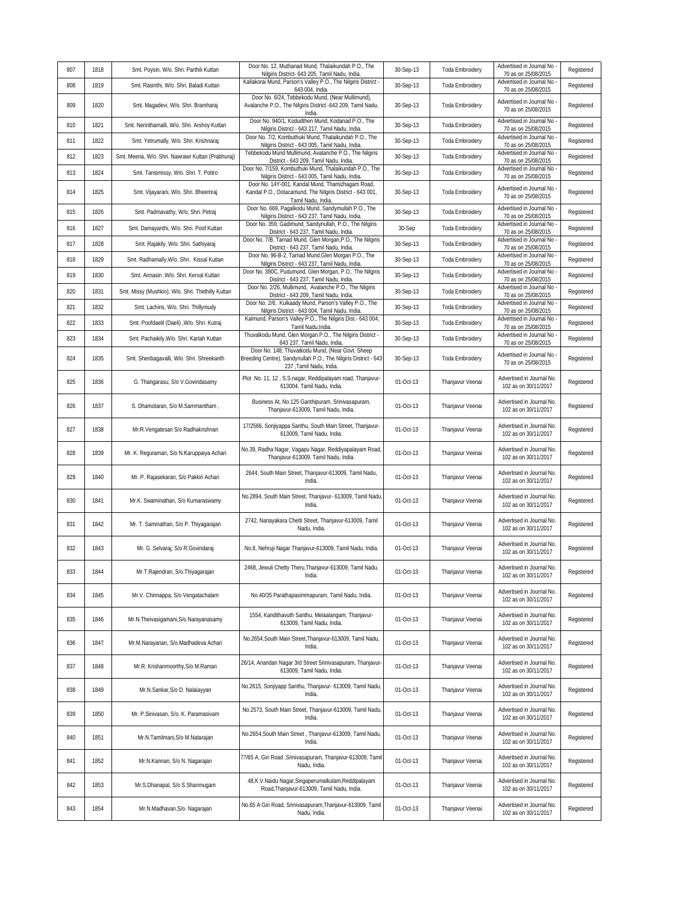| 807 | 1818 | Smt. Poysin, W/o. Shri. Parthili Kuttan           | Door No. 12, Muthanad Mund, Thalaikundah P.O., The<br>Nilgiris District- 643 205, Tamil Nadu, India.                                           | 30-Sep-13 | Toda Embroidery        | Advertised in Journal No<br>70 as on 25/08/2015   | Registered |
|-----|------|---------------------------------------------------|------------------------------------------------------------------------------------------------------------------------------------------------|-----------|------------------------|---------------------------------------------------|------------|
| 808 | 1819 | Smt. Rasinthi, W/o. Shri. Baladi Kuttan           | Kallakorai Mund, Parson's Valley P.O., The Nilgiris District<br>643 004, India.                                                                | 30-Sep-13 | <b>Toda Embroidery</b> | Advertised in Journal No<br>70 as on 25/08/2015   | Registered |
| 809 | 1820 | Smt. Magadevi, W/o. Shri. Bramharaj               | Door No. 6/24, Tebbekodu Mund, (Near Mullimund),<br>Avalanche P.O., The Nilgiris District -643 209, Tamil Nadu,<br>India.                      | 30-Sep-13 | <b>Toda Embroidery</b> | Advertised in Journal No<br>70 as on 25/08/2015   | Registered |
| 810 | 1821 | Smt. Nerinthamalli, W/o. Shri. Arshoy Kuttan      | Door No. 940/1, Kodudthen Mund, Kodanad P.O., The<br>Nilgiris District - 643 217, Tamil Nadu, India.                                           | 30-Sep-13 | <b>Toda Embroidery</b> | Advertised in Journal No<br>70 as on 25/08/2015   | Registered |
| 811 | 1822 | Smt. Yetrumally, W/o. Shri. Krishnaraj            | Door No. 7/2, Kombuthuki Mund, Thalaikundah P.O., The<br>Nilgiris District - 643 005, Tamil Nadu, India.                                       | 30-Sep-13 | Toda Embroidery        | Advertised in Journal No<br>70 as on 25/08/2015   | Registered |
| 812 | 1823 | Smt. Meena, W/o. Shri. Nawrawr Kuttan (Prabhuraj) | Tebbekodu Mund Mullimund, Avalanche P.O., The Nilgiris<br>District - 643 209, Tamil Nadu, India                                                | 30-Sep-13 | Toda Embroidery        | Advertised in Journal No<br>70 as on 25/08/2015   | Registered |
| 813 | 1824 | Smt. Tansimissy, W/o. Shri. T. Pottro             | Door No. 7/159, Kombuthuki Mund, Thalaikundah P.O., The<br>Nilgiris District - 643 005, Tamil Nadu, India                                      | 30-Sep-13 | Toda Embroidery        | Advertised in Journal No<br>70 as on 25/08/2015   | Registered |
| 814 | 1825 | Smt. Vijayarani, W/o. Shri. Bheemraj              | Door No. 14Y-001, Kandal Mund, Thamizhagam Road,<br>Kandal P.O., Ootacamund, The Nilgiris District - 643 001,<br>Tamil Nadu, India.            | 30-Sep-13 | Toda Embroidery        | Advertised in Journal No<br>70 as on 25/08/2015   | Registered |
| 815 | 1826 | Smt. Padmavathy, W/o. Shri. Petraj                | Door No. 669, Pagalkodu Mund, Sandymullah P.O., The<br>Nilgiris District - 643 237, Tamil Nadu, India.                                         | 30-Sep-13 | Toda Embroidery        | Advertised in Journal No<br>70 as on 25/08/2015   | Registered |
| 816 | 1827 | Smt. Damayanthi, W/o. Shri. Poof Kuttan           | Door No. 359, Gadimund, Sandynullah, P.O., The Nilgiris<br>District - 643 237, Tamil Nadu, India                                               | 30-Sep    | <b>Toda Embroidery</b> | Advertised in Journal No<br>70 as on 25/08/2015   | Registered |
| 817 | 1828 | Smt. Rajakily, W/o. Shri. Sathiyaraj              | Door No. 7/B, Tarnad Mund, Glen Morgan, P.O., The Nilgiris<br>District - 643 237, Tamil Nadu, India.                                           | 30-Sep-13 | Toda Embroidery        | Advertised in Journal No<br>70 as on 25/08/2015   | Registered |
| 818 | 1829 | Smt. Radhamally, W/o. Shri. Kissal Kuttan         | Door No. 96-B-2, Tarnad Mund, Glen Morgan P.O., The<br>Nilgiris District - 643 237, Tamil Nadu, India.                                         | 30-Sep-13 | Toda Embroidery        | Advertised in Journal No<br>70 as on 25/08/2015   | Registered |
| 819 | 1830 | Smt. Annasin , W/o. Shri. Kerval Kuttan           | Door No. 380C, Pudumund, Glen Morgan, P.O., The Nilgiris<br>District - 643 237, Tamil Nadu, India.                                             | 30-Sep-13 | Toda Embroidery        | Advertised in Journal No<br>70 as on 25/08/2015   | Registered |
| 820 | 1831 | Smt. Missy (Mushkin), W/o. Shri. Thethilly Kuttan | Door No. 2/26, Mullimund, Avalanche P.O., The Nilgiris<br>District - 643 209, Tamil Nadu, India.                                               | 30-Sep-13 | <b>Toda Embroidery</b> | Advertised in Journal No<br>70 as on 25/08/2015   | Registered |
| 821 | 1832 | Smt. Lachins, W/o. Shri. Thillymudy               | Door No. 2/6, Kulkaady Mund, Parson's Valley P.O., The<br>Nilgiris District - 643 004, Tamil Nadu, India.                                      | 30-Sep-13 | <b>Toda Embroidery</b> | Advertised in Journal No<br>70 as on 25/08/2015   | Registered |
| 822 | 1833 | Smt. Poofdaelil (Daeli) , W/o. Shri. Kutraj       | Kalmund, Parson's Valley P.O., The Nilgiris Dist.- 643 004,<br>Tamil Nadu, India.                                                              | 30-Sep-13 | <b>Toda Embroidery</b> | Advertised in Journal No<br>70 as on 25/08/2015   | Registered |
| 823 | 1834 | Smt. Pachaikily, W/o. Shri. Kartah Kuttan         | Thuvalkodu Mund, Glen Morgan P.O., The Nilgiris District -<br>643 237, Tamil Nadu, India.                                                      | 30-Sep-13 | <b>Toda Embroidery</b> | Advertised in Journal No<br>70 as on 25/08/2015   | Registered |
| 824 | 1835 | Smt. Shenbagavalli, W/o. Shri. Shreekanth         | Door No. 148, Thuvatkodu Mund, (Near Govt. Sheep<br>Breeding Centre), Sandynullah P.O., The Nilgiris District - 643<br>237 ,Tamil Nadu, India. | 30-Sep-13 | <b>Toda Embroidery</b> | Advertised in Journal No<br>70 as on 25/08/2015   | Registered |
| 825 | 1836 | G. Thangarasu, S/o V.Govindasamy                  | Plot No. 11, 12, S.S.nagar, Reddipalayam road, Thanjavur-<br>613004, Tamil Nadu, India.                                                        | 01-Oct-13 | Thanjavur Veenai       | Advertised in Journal No.<br>102 as on 30/11/2017 | Registered |
| 826 | 1837 | S. Dhamotaran, S/o M.Sammantham,                  | Business At, No.125 Ganthipuram, Srinivasapuram,<br>Thanjavur-613009, Tamil Nadu, India.                                                       | 01-Oct-13 | Thanjavur Veenai       | Advertised in Journal No.<br>102 as on 30/11/2017 | Registered |
| 827 | 1838 | Mr.R.Vengatesan S/o Radhakrishnan                 | 17/2566, Sonjiyappa Santhu, South Main Street, Thanjavur-<br>613009, Tamil Nadu, India.                                                        | 01-Oct-13 | Thanjavur Veenai       | Advertised in Journal No.<br>102 as on 30/11/2017 | Registered |
| 828 | 1839 | Mr. K. Reguraman, S/o N. Karuppaiya Achari        | No.39, Radha Nagar, Vagapu Nagar, Reddiyapalayam Road,<br>Thanjavur-613009, Tamil Nadu, India.                                                 | 01-Oct-13 | Thanjavur Veenai       | Advertised in Journal No.<br>102 as on 30/11/2017 | Registered |
| 829 | 1840 | Mr. P. Rajasekaran, S/o Pakkiri Achari            | 2644, South Main Street, Thanjavur-613009, Tamil Nadu,<br>India.                                                                               | 01-Oct-13 | Thanjavur Veenai       | Advertised in Journal No.<br>102 as on 30/11/2017 | Registered |
| 830 | 1841 | Mr.K. Swaminathan, S/o Kumaraswamy                | No.2894, South Main Street, Thanjavur- 613009, Tamil Nadu,<br>India.                                                                           | 01-Oct-13 | Thanjavur Veenai       | Advertised in Journal No.<br>102 as on 30/11/2017 | Registered |
| 831 | 1842 | Mr. T. Saminathan, S/o P. Thiyagarajan            | 2742, Nanayakara Chetti Street, Thanjavur-613009, Tamil<br>Nadu, India.                                                                        | 01-Oct-13 | Thanjavur Veenai       | Advertised in Journal No.<br>102 as on 30/11/2017 | Registered |
| 832 | 1843 | Mr. G. Selvaraj, S/o R. Govindaraj                | No.8, Nehruji Nagar Thanjavur-613009, Tamil Nadu, India.                                                                                       | 01-Oct-13 | Thanjavur Veenai       | Advertised in Journal No.<br>102 as on 30/11/2017 | Registered |
| 833 | 1844 | Mr.T.Rajendran, S/o.Thiyagarajan                  | 2468, Jewuli Chetty Theru, Thanjavur-613009, Tamil Nadu,<br>India.                                                                             | 01-Oct-13 | Thanjavur Veenai       | Advertised in Journal No.<br>102 as on 30/11/2017 | Registered |
| 834 | 1845 | Mr.V. Chinnappa, S/o Vengatachalam                | No.40/35 Parathapasimmapuram, Tamil Nadu, India.                                                                                               | 01-Oct-13 | Thanjavur Veenai       | Advertised in Journal No.<br>102 as on 30/11/2017 | Registered |
| 835 | 1846 | Mr.N.Theivasigamani, S/o Narayanasamy             | 1554, Kandithavuth Santhu, Melaalangam, Thanjavur-<br>613009, Tamil Nadu, India.                                                               | 01-Oct-13 | Thanjavur Veenai       | Advertised in Journal No.<br>102 as on 30/11/2017 | Registered |
| 836 | 1847 | Mr.M.Narayanan, S/o.Madhadeva Achari              | No.2654, South Main Street, Thanjavur-613009, Tamil Nadu,<br>India.                                                                            | 01-Oct-13 | Thanjavur Veenai       | Advertised in Journal No.<br>102 as on 30/11/2017 | Registered |
| 837 | 1848 | Mr.R. Krishanmoorthy, S/o M.Raman                 | 26/14, Anandan Nagar 3rd Street Srinivasapuram, Thanjavur-<br>613009, Tamil Nadu, India.                                                       | 01-Oct-13 | Thanjavur Veenai       | Advertised in Journal No.<br>102 as on 30/11/2017 | Registered |
| 838 | 1849 | Mr.N.Sankar, S/o D. Nalaiayyan                    | No.2615, Sonjiyapp Santhu, Thanjavur- 613009, Tamil Nadu,<br>India.                                                                            | 01-Oct-13 | Thanjavur Veenai       | Advertised in Journal No.<br>102 as on 30/11/2017 | Registered |
| 839 | 1850 | Mr. P.Sinivasan, S/o. K. Paramasivam              | No.2573, South Main Street, Thanjavur-613009, Tamil Nadu,<br>India.                                                                            | 01-Oct-13 | Thanjavur Veenai       | Advertised in Journal No.<br>102 as on 30/11/2017 | Registered |
| 840 | 1851 | Mr.N.Tamilmani, S/o M.Natarajan                   | No.2654, South Main Street, Thanjavur-613009, Tamil Nadu,<br>India.                                                                            | 01-Oct-13 | Thanjavur Veenai       | Advertised in Journal No.<br>102 as on 30/11/2017 | Registered |
| 841 | 1852 | Mr.N.Kannan, S/o N. Nagarajan                     | 77/65 A, Giri Road , Srinivasapuram, Thanjavur-613009, Tamil<br>Nadu, India.                                                                   | 01-Oct-13 | Thanjavur Veenai       | Advertised in Journal No.<br>102 as on 30/11/2017 | Registered |
| 842 | 1853 | Mr.S.Dhanapal, S/o S.Shanmugam                    | 48, K.V. Naidu Nagar, Singaperumalkulam, Reddipalayam<br>Road, Thanjavur-613009, Tamil Nadu, India.                                            | 01-Oct-13 | Thanjavur Veenai       | Advertised in Journal No.<br>102 as on 30/11/2017 | Registered |
| 843 | 1854 | Mr.N.Madhavan, S/o. Nagarajan                     | No.65 A Giri Road, Srinivasapuram, Thanjavur-613009, Tamil<br>Nadu, India.                                                                     | 01-Oct-13 | Thanjavur Veenai       | Advertised in Journal No.<br>102 as on 30/11/2017 | Registered |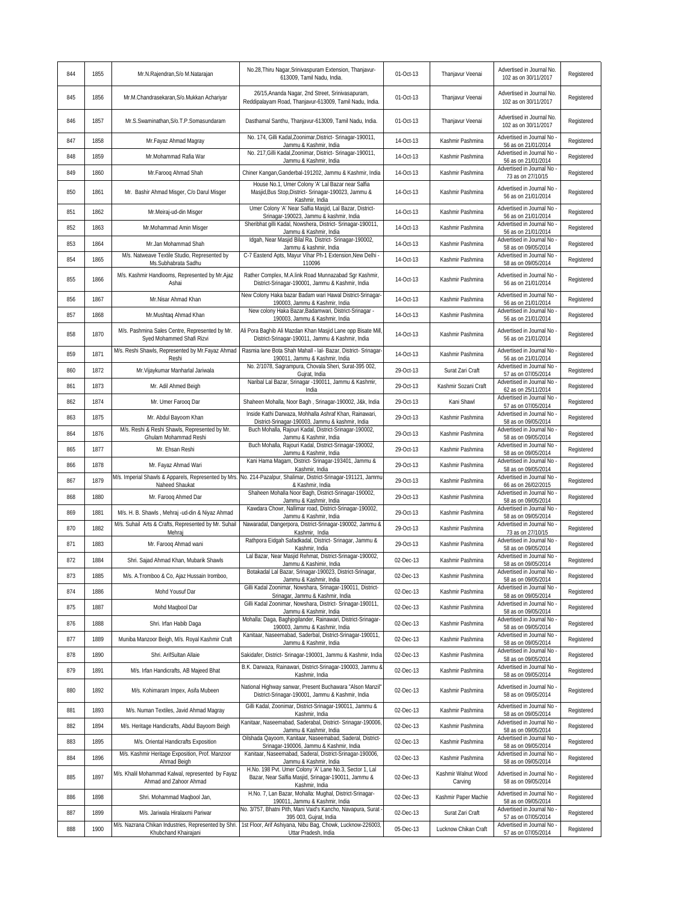| 844 | 1855 | Mr.N.Rajendran, S/o M.Natarajan                                              | No.28, Thiru Nagar, Srinivaspuram Extension, Thanjavur-<br>613009, Tamil Nadu, India.                                              | 01-Oct-13 | Thanjavur Veenai     | Advertised in Journal No.<br>102 as on 30/11/2017 | Registered |
|-----|------|------------------------------------------------------------------------------|------------------------------------------------------------------------------------------------------------------------------------|-----------|----------------------|---------------------------------------------------|------------|
| 845 | 1856 | Mr.M.Chandrasekaran, S/o.Mukkan Achariyar                                    | 26/15, Ananda Nagar, 2nd Street, Srinivasapuram,<br>Reddipalayam Road, Thanjavur-613009, Tamil Nadu, India.                        | 01-Oct-13 | Thanjavur Veenai     | Advertised in Journal No.<br>102 as on 30/11/2017 | Registered |
| 846 | 1857 | Mr.S.Swaminathan.S/o.T.P.Somasundaram                                        | Dasthamal Santhu, Thanjavur-613009, Tamil Nadu, India.                                                                             | 01-Oct-13 | Thanjavur Veenai     | Advertised in Journal No.<br>102 as on 30/11/2017 | Registered |
| 847 | 1858 | Mr.Fayaz Ahmad Magray                                                        | No. 174, Gilli Kadal, Zoonimar, District-Srinagar-190011,<br>Jammu & Kashmir, India                                                | 14-Oct-13 | Kashmir Pashmina     | Advertised in Journal No<br>56 as on 21/01/2014   | Registered |
| 848 | 1859 | Mr.Mohammad Rafia War                                                        | No. 217, Gilli Kadal, Zoonimar, District-Srinagar-190011,<br>Jammu & Kashmir, India                                                | 14-Oct-13 | Kashmir Pashmina     | Advertised in Journal No<br>56 as on 21/01/2014   | Registered |
| 849 | 1860 | Mr.Farooq Ahmad Shah                                                         | Chiner Kangan, Ganderbal-191202, Jammu & Kashmir, India                                                                            | 14-Oct-13 | Kashmir Pashmina     | Advertised in Journal No<br>73 as on 27/10/15     | Registered |
| 850 | 1861 | Mr. Bashir Ahmad Misger, C/o Darul Misger                                    | House No.1, Umer Colony 'A' Lal Bazar near Salfia<br>Masjid, Bus Stop, District- Srinagar-190023, Jammu &<br>Kashmir, India        | 14-Oct-13 | Kashmir Pashmina     | Advertised in Journal No<br>56 as on 21/01/2014   | Registered |
| 851 | 1862 | Mr.Meiraj-ud-din Misger                                                      | Umer Colony 'A' Near Salfia Masjid, Lal Bazar, District-<br>Srinagar-190023, Jammu & kashmir, India                                | 14-Oct-13 | Kashmir Pashmina     | Advertised in Journal No<br>56 as on 21/01/2014   | Registered |
| 852 | 1863 | Mr.Mohammad Amin Misger                                                      | Sheribhat gilli Kadal, Nowshera, District- Srinagar-190011,<br>Jammu & Kashmir, India                                              | 14-Oct-13 | Kashmir Pashmina     | Advertised in Journal No<br>56 as on 21/01/2014   | Registered |
| 853 | 1864 | Mr.Jan Mohammad Shah                                                         | Idgah, Near Masjid Bilal Ra. District- Srinagar-190002,<br>Jammu & kashmir, India                                                  | 14-Oct-13 | Kashmir Pashmina     | Advertised in Journal No<br>58 as on 09/05/2014   | Registered |
| 854 | 1865 | M/s. Natweave Textile Studio, Represented by<br>Ms.Subhabrata Sadhu          | C-7 Eastend Apts, Mayur Vihar Ph-1 Extension, New Delhi<br>110096                                                                  | 14-Oct-13 | Kashmir Pashmina     | Advertised in Journal No<br>58 as on 09/05/2014   | Registered |
|     |      | M/s. Kashmir Handlooms, Represented by Mr.Ajaz                               | Rather Complex, M.A.link Road Munnazabad Sgr Kashmir,                                                                              |           |                      | Advertised in Journal No                          |            |
| 855 | 1866 | Ashai                                                                        | District-Srinagar-190001, Jammu & Kashmir, India                                                                                   | 14-Oct-13 | Kashmir Pashmina     | 56 as on 21/01/2014                               | Registered |
| 856 | 1867 | Mr.Nisar Ahmad Khan                                                          | New Colony Haka bazar Badam wari Hawal District-Srinagar-<br>190003, Jammu & Kashmir, India                                        | 14-Oct-13 | Kashmir Pashmina     | Advertised in Journal No<br>56 as on 21/01/2014   | Registered |
| 857 | 1868 | Mr.Mushtaq Ahmad Khan                                                        | New colony Haka Bazar, Badamwari, District-Srinagar -<br>190003, Jammu & Kashmir, India                                            | 14-Oct-13 | Kashmir Pashmina     | Advertised in Journal No<br>56 as on 21/01/2014   | Registered |
| 858 | 1870 | M/s. Pashmina Sales Centre, Represented by Mr.<br>Syed Mohammed Shafi Rizvi  | Ali Pora Baghib Ali Mazdan Khan Masjid Lane opp Bisate Mill<br>District-Srinagar-190011, Jammu & Kashmir, India                    | 14-Oct-13 | Kashmir Pashmina     | Advertised in Journal No<br>56 as on 21/01/2014   | Registered |
| 859 | 1871 | M/s. Reshi Shawls, Represented by Mr.Fayaz Ahmad<br>Reshi                    | Rasmia lane Bota Shah Mahall - lal- Bazar, District- Srinagar-<br>190011, Jammu & Kashmir, India                                   | 14-Oct-13 | Kashmir Pashmina     | Advertised in Journal No<br>56 as on 21/01/2014   | Registered |
| 860 | 1872 | Mr. Vijaykumar Manharlal Jariwala                                            | No. 2/1078, Sagrampura, Chovala Sheri, Surat-395 002,<br>Gujrat, India                                                             | 29-Oct-13 | Surat Zari Craft     | Advertised in Journal No<br>57 as on 07/05/2014   | Registered |
| 861 | 1873 | Mr. Adil Ahmed Beigh                                                         | Naribal Lal Bazar, Srinagar -190011, Jammu & Kashmir,<br>India                                                                     | 29-Oct-13 | Kashmir Sozani Craft | Advertised in Journal No<br>62 as on 25/11/2014   | Registered |
| 862 | 1874 | Mr. Umer Farooq Dar                                                          | Shaheen Mohalla, Noor Bagh, Srinagar-190002, J&k, India                                                                            | 29-Oct-13 | Kani Shawl           | Advertised in Journal No<br>57 as on 07/05/2014   | Registered |
| 863 | 1875 | Mr. Abdul Bayoom Khan                                                        | Inside Kathi Darwaza, Mohhalla Ashraf Khan, Rainawari,<br>District-Srinagar-190003, Jammu & kashmir, India                         | 29-Oct-13 | Kashmir Pashmina     | Advertised in Journal No<br>58 as on 09/05/2014   | Registered |
| 864 | 1876 | M/s. Reshi & Reshi Shawls, Represented by Mr.<br>Ghulam Mohammad Reshi       | Buch Mohalla, Rajouri Kadal, District-Srinagar-190002,<br>Jammu & Kashmir, India                                                   | 29-Oct-13 | Kashmir Pashmina     | Advertised in Journal No<br>58 as on 09/05/2014   | Registered |
| 865 | 1877 | Mr. Ehsan Reshi                                                              | Buch Mohalla, Rajouri Kadal, District-Srinagar-190002,<br>Jammu & Kashmir, India                                                   | 29-Oct-13 | Kashmir Pashmina     | Advertised in Journal No<br>58 as on 09/05/2014   | Registered |
| 866 | 1878 | Mr. Fayaz Ahmad Wari                                                         | Kani Hama Magam, District- Srinagar-193401, Jammu &                                                                                | 29-Oct-13 | Kashmir Pashmina     | Advertised in Journal No                          | Registered |
| 867 | 1879 |                                                                              | Kashmir, India<br>M/s. Imperial Shawls & Apparels, Represented by Mrs. No. 214-Pazalpur, Shalimar, District-Srinagar-191121, Jammu | 29-Oct-13 | Kashmir Pashmina     | 58 as on 09/05/2014<br>Advertised in Journal No   | Registered |
| 868 | 1880 | Naheed Shaukat<br>Mr. Farooq Ahmed Dar                                       | & Kashmir, India<br>Shaheen Mohalla Noor Bagh, District-Srinagar-190002,                                                           | 29-Oct-13 | Kashmir Pashmina     | 66 as on 26/02/2015<br>Advertised in Journal No   | Registered |
| 869 | 1881 | M/s. H. B. Shawls, Mehraj -ud-din & Niyaz Ahmad                              | Jammu & Kashmir, India<br>Kawdara Chowr, Nallimar road, District-Srinagar-190002,                                                  | 29-Oct-13 | Kashmir Pashmina     | 58 as on 09/05/2014<br>Advertised in Journal No   | Registered |
| 870 | 1882 | M/s. Suhail Arts & Crafts, Represented by Mr. Suhail                         | Jammu & Kashmir, India<br>Nawaradal, Dangerpora, District-Srinagar-190002, Jammu &                                                 | 29-Oct-13 | Kashmir Pashmina     | 58 as on 09/05/2014<br>Advertised in Journal No   | Registered |
|     |      | Mehraj                                                                       | Kashmir, India<br>Rathpora Eidgah Safadkadal, District- Srinagar, Jammu &                                                          |           |                      | 73 as on 27/10/15<br>Advertised in Journal No     |            |
| 871 | 1883 | Mr. Farooq Ahmad wani                                                        | Kashmir, India<br>Lal Bazar, Near Masjid Rehmat, District-Srinagar-190002,                                                         | 29-Oct-13 | Kashmir Pashmina     | 58 as on 09/05/2014<br>Advertised in Journal No   | Registered |
| 872 | 1884 | Shri. Sajad Ahmad Khan, Mubarik Shawls                                       | Jammu & Kashimir, India<br>Botakadal Lal Bazar, Srinagar-190023, District-Srinagar,                                                | 02-Dec-13 | Kashmir Pashmina     | 58 as on 09/05/2014<br>Advertised in Journal No - | Registered |
| 873 | 1885 | M/s. A.Tromboo & Co, Ajaz Hussain Iromboo,                                   | Jammu & Kashmir, India<br>Gilli Kadal Zoonimar, Nowshara, Srinagar-190011, District-                                               | 02-Dec-13 | Kashmir Pashmina     | 58 as on 09/05/2014<br>Advertised in Journal No   | Registered |
| 874 | 1886 | Mohd Yousuf Dar                                                              | Srinagar, Jammu & Kashmir, India<br>Gilli Kadal Zoonimar, Nowshara, District- Srinagar-190011,                                     | 02-Dec-13 | Kashmir Pashmina     | 58 as on 09/05/2014                               | Registered |
| 875 | 1887 | Mohd Maqbool Dar                                                             | Jammu & Kashmir, India                                                                                                             | 02-Dec-13 | Kashmir Pashmina     | Advertised in Journal No<br>58 as on 09/05/2014   | Registered |
| 876 | 1888 | Shri. Irfan Habib Daga                                                       | Mohalla: Daga, Baghjogilander, Rainawari, District-Srinagar-<br>190003, Jammu & Kashmir, India                                     | 02-Dec-13 | Kashmir Pashmina     | Advertised in Journal No<br>58 as on 09/05/2014   | Registered |
| 877 | 1889 | Muniba Manzoor Beigh, M/s. Royal Kashmir Craft                               | Kanitaar, Naseemabad, Saderbal, District-Srinagar-190011,<br>Jammu & Kashmir, India                                                | 02-Dec-13 | Kashmir Pashmina     | Advertised in Journal No<br>58 as on 09/05/2014   | Registered |
| 878 | 1890 | Shri. ArifSultan Allaie                                                      | Sakidafer, District- Srinagar-190001, Jammu & Kashmir, India                                                                       | 02-Dec-13 | Kashmir Pashmina     | Advertised in Journal No<br>58 as on 09/05/2014   | Registered |
| 879 | 1891 | M/s. Irfan Handicrafts, AB Majeed Bhat                                       | B.K. Darwaza, Rainawari, District-Srinagar-190003, Jammu &<br>Kashmir, India                                                       | 02-Dec-13 | Kashmir Pashmina     | Advertised in Journal No<br>58 as on 09/05/2014   | Registered |
| 880 | 1892 | M/s. Kohimaram Impex, Asifa Mubeen                                           | National Highway sanwar, Present Buchawara "Alson Manzil"<br>District-Srinagar-190001, Jammu & Kashmir, India                      | 02-Dec-13 | Kashmir Pashmina     | Advertised in Journal No<br>58 as on 09/05/2014   | Registered |
| 881 | 1893 | M/s. Numan Textiles, Javid Ahmad Magray                                      | Gilli Kadal, Zoonimar, District-Srinagar-190011, Jammu &<br>Kashmir, India                                                         | 02-Dec-13 | Kashmir Pashmina     | Advertised in Journal No<br>58 as on 09/05/2014   | Registered |
| 882 | 1894 | M/s. Heritage Handicrafts, Abdul Bayoom Beigh                                | Kanitaar, Naseemabad, Saderabal, District- Srinagar-190006,<br>Jammu & Kashmir, India                                              | 02-Dec-13 | Kashmir Pashmina     | Advertised in Journal No<br>58 as on 09/05/2014   | Registered |
| 883 | 1895 | M/s. Oriental Handicrafts Exposition                                         | Oilshada Qayoom, Kanitaar, Naseemabad, Saderal, District-<br>Srinagar-190006, Jammu & Kashmir, India                               | 02-Dec-13 | Kashmir Pashmina     | Advertised in Journal No<br>58 as on 09/05/2014   | Registered |
| 884 | 1896 | M/s. Kashmir Heritage Exposition, Prof. Manzoor<br>Ahmad Beigh               | Kanitaar, Naseemabad, Saderal, District-Srinagar-190006,<br>Jammu & Kashmir, India                                                 | 02-Dec-13 | Kashmir Pashmina     | Advertised in Journal No<br>58 as on 09/05/2014   | Registered |
|     |      | M/s. Khalil Mohammad Kalwal, represented by Fayaz                            | H.No. 198 Pvt. Umer Colony 'A' Lane No.3, Sector 1, Lal                                                                            |           | Kashmir Walnut Wood  | Advertised in Journal No                          |            |
| 885 | 1897 | Ahmad and Zahoor Ahmad                                                       | Bazar, Near Salfia Masjid, Srinagar-190011, Jammu &<br>Kashmir, India                                                              | 02-Dec-13 | Carving              | 58 as on 09/05/2014                               | Registered |
| 886 | 1898 | Shri. Mohammad Maqbool Jan,                                                  | H.No. 7, Lan Bazar, Mohalla: Mughal, District-Srinagar-<br>190011, Jammu & Kashmir, India                                          | 02-Dec-13 | Kashmir Paper Machie | Advertised in Journal No<br>58 as on 09/05/2014   | Registered |
| 887 | 1899 | M/s. Jariwala Hiralaxmi Pariwar                                              | No. 3/757, Bhatni Pith, Mani Vaid's Kancho, Navapura, Surat<br>395 003, Gujrat, India                                              | 02-Dec-13 | Surat Zari Craft     | Advertised in Journal No<br>57 as on 07/05/2014   | Registered |
| 888 | 1900 | M/s. Nazrana Chikan Industries, Represented by Shri.<br>Khubchand Khairajani | 1st Floor, Arif Ashiyana, Nibu Bag, Chowk, Lucknow-226003,<br>Uttar Pradesh, India                                                 | 05-Dec-13 | Lucknow Chikan Craft | Advertised in Journal No<br>57 as on 07/05/2014   | Registered |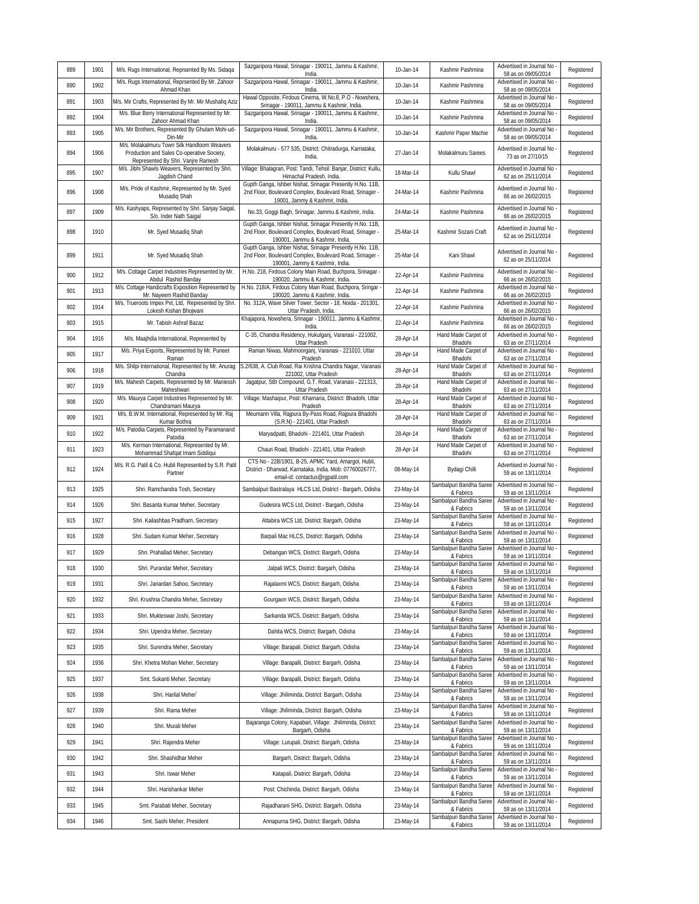| 889 | 1901 | M/s. Rugs International, Reprsented By Ms. Sidaga                                                                               | Sazgaripora Hawal, Srinagar - 190011, Jammu & Kashmir,<br>India.                                                                                         | 10-Jan-14 | Kashmir Pashmina                     | Advertised in Journal No<br>58 as on 09/05/2014 | Registered |
|-----|------|---------------------------------------------------------------------------------------------------------------------------------|----------------------------------------------------------------------------------------------------------------------------------------------------------|-----------|--------------------------------------|-------------------------------------------------|------------|
| 890 | 1902 | M/s. Rugs International, Reprsented By Mr. Zahoor<br>Ahmad Khan                                                                 | Sazgaripora Hawal, Srinagar - 190011, Jammu & Kashmir,<br>India.                                                                                         | 10-Jan-14 | Kashmir Pashmina                     | Advertised in Journal No<br>58 as on 09/05/2014 | Registered |
| 891 | 1903 | M/s. Mir Crafts, Represented By Mr. Mir Mushafiq Aziz                                                                           | Hawal Opposite, Firdous Cinema, W.No.8, P.O - Nowshera,<br>Srinagar - 190011, Jammu & Kashmir, India.                                                    | 10-Jan-14 | Kashmir Pashmina                     | Advertised in Journal No<br>58 as on 09/05/2014 | Registered |
| 892 | 1904 | M/s. Blue Berry International Represented by Mr.<br>Zahoor Ahmad Khan                                                           | Sazgaripora Hawal, Srinagar - 190011, Jammu & Kashmir,<br>India.                                                                                         | 10-Jan-14 | Kashmir Pashmina                     | Advertised in Journal No<br>58 as on 09/05/2014 | Registered |
| 893 | 1905 | M/s. Mir Brothers, Represented By Ghulam Mohi-ud-<br>Din-Mir                                                                    | Sazgaripora Hawal, Srinagar - 190011, Jammu & Kashmir,<br>India.                                                                                         | 10-Jan-14 | Kashmir Paper Machie                 | Advertised in Journal No<br>58 as on 09/05/2014 | Registered |
| 894 | 1906 | M/s. Molakalmuru Town Silk Handloom Weavers<br>Production and Sales Co-operative Society,<br>Represented By Shri. Vanjre Ramesh | Molakalmuru - 577 535, District: Chitradurga, Karnataka,<br>India.                                                                                       | 27-Jan-14 | Molakalmuru Sarees                   | Advertised in Journal No<br>73 as on 27/10/15   | Registered |
| 895 | 1907 | M/s. Jibhi Shawls Weavers, Represented by Shri.<br>Jagdish Chand                                                                | Village: Bhalagran, Post: Tandi, Tehsil: Banjar, District: Kullu,<br>Himachal Pradesh, India.                                                            | 18-Mar-14 | Kullu Shawl                          | Advertised in Journal No<br>62 as on 25/11/2014 | Registered |
| 896 | 1908 | M/s. Pride of Kashmir, Represented by Mr. Syed<br>Musadiq Shah                                                                  | Gupth Ganga, Ishber Nishat, Srinagar Presently H.No. 11B,<br>2nd Floor, Boulevard Complex, Boulevard Road, Srinager -<br>19001, Jammy & Kashmir, India.  | 24-Mar-14 | Kashmir Pashmina                     | Advertised in Journal No<br>66 as on 26/02/2015 | Registered |
| 897 | 1909 | M/s. Kashyaps, Represented by Shri. Sanjay Saigal,<br>S/o. Inder Nath Saigal                                                    | No.33, Goggi Bagh, Srinagar, Jammu & Kashmir, India.                                                                                                     | 24-Mar-14 | Kashmir Pashmina                     | Advertised in Journal No<br>66 as on 26/02/2015 | Registered |
| 898 | 1910 | Mr. Syed Musadiq Shah                                                                                                           | Gupth Ganga, Ishber Nishat, Srinagar Presently H.No. 11B,<br>2nd Floor, Boulevard Complex, Boulevard Road, Srinager -<br>190001, Jammu & Kashmir, India. | 25-Mar-14 | Kashmir Sozani Craft                 | Advertised in Journal No<br>62 as on 25/11/2014 | Registered |
| 899 | 1911 | Mr. Syed Musadiq Shah                                                                                                           | Gupth Ganga, Ishber Nishat, Srinagar Presently H.No. 11B,<br>2nd Floor, Boulevard Complex, Boulevard Road, Srinager -<br>190001, Jammy & Kashmir, India. | 25-Mar-14 | Kani Shawl                           | Advertised in Journal No<br>62 as on 25/11/2014 | Registered |
| 900 | 1912 | M/s. Cottage Carpet Industries Represented by Mr.<br>Abdul Rashid Banday                                                        | H.No. 218, Firdous Colony Main Road, Buchpora, Srinagar -<br>190020, Jammu & Kashmir, India.                                                             | 22-Apr-14 | Kashmir Pashmina                     | Advertised in Journal No<br>66 as on 26/02/2015 | Registered |
| 901 | 1913 | M/s. Cottage Handicrafts Exposition Represented by<br>Mr. Nayeem Rashid Banday                                                  | H.No. 218/A, Firdous Colony Main Road, Buchpora, Sringar -<br>190020, Jammu & Kashmir, India.                                                            | 22-Apr-14 | Kashmir Pashmina                     | Advertised in Journal No<br>66 as on 26/02/2015 | Registered |
| 902 | 1914 | M/s. Trueroots Impex Pvt, Ltd, Represented by Shri<br>Lokesh Kishan Bhojwani                                                    | No. 312A, Wave Silver Tower, Sector - 18, Noida - 201301,<br>Uttar Pradesh, India.                                                                       | 22-Apr-14 | Kashmir Pashmina                     | Advertised in Journal No<br>66 as on 26/02/2015 | Registered |
| 903 | 1915 | Mr. Tabish Ashraf Bazaz                                                                                                         | Khajapora, Nowshera, Srinagar - 190011, Jammu & Kashmir,<br>India                                                                                        | 22-Apr-14 | Kashmir Pashmina                     | Advertised in Journal No<br>66 as on 26/02/2015 | Registered |
| 904 | 1916 | M/s. Maajhdia International, Represented by                                                                                     | C-35, Chandra Residency, Hukulganj, Varanasi - 221002,<br>Uttar Pradesh                                                                                  | 28-Apr-14 | Hand Made Carpet of<br>Bhadohi       | Advertised in Journal No<br>63 as on 27/11/2014 | Registered |
| 905 | 1917 | M/s. Priya Exports, Represented by Mr. Puneet<br>Raman                                                                          | Raman Niwas, Mahmoorganj, Varanasi - 221010, Uttar<br>Pradesh                                                                                            | 28-Apr-14 | Hand Made Carpet of<br>Bhadohi       | Advertised in Journal No<br>63 as on 27/11/2014 | Registered |
| 906 | 1918 | M/s. Shilpi International, Represented by Mr. Anurag<br>Chandra                                                                 | S.2/638, A. Club Road, Rai Krishna Chandra Nagar, Varanasi<br>221002, Uttar Pradesh                                                                      | 28-Apr-14 | Hand Made Carpet of<br>Bhadohi       | Advertised in Journal No<br>63 as on 27/11/2014 | Registered |
| 907 | 1919 | M/s. Mahesh Carpets, Represented by Mr. Maniessh<br>Maheshwari                                                                  | Jaqatpur, SBI Compound, G.T. Road, Varanasi - 221313,<br>Uttar Pradesh                                                                                   | 28-Apr-14 | Hand Made Carpet of<br>Bhadohi       | Advertised in Journal No<br>63 as on 27/11/2014 | Registered |
| 908 | 1920 | M/s. Maurya Carpet Industries Represented by Mr.<br>Chandramani Maurya                                                          | Village: Mashaipur, Post: Khamaria, District: Bhadohi, Uttar<br>Pradesh                                                                                  | 28-Apr-14 | Hand Made Carpet of<br>Bhadohi       | Advertised in Journal No<br>63 as on 27/11/2014 | Registered |
| 909 | 1921 | M/s. B.W.M. International, Represented by Mr. Raj<br>Kumar Bothra                                                               | Meumann Villa, Rajpura By-Pass Road, Rajpura Bhadohi<br>(S.R.N) - 221401, Uttar Pradesh                                                                  | 28-Apr-14 | Hand Made Carpet of<br>Bhadohi       | Advertised in Journal No<br>63 as on 27/11/2014 | Registered |
| 910 | 1922 | M/s. Patodia Carpets, Represented by Paramanand<br>Patodia                                                                      | Maryadpatti, Bhadohi - 221401, Uttar Pradesh                                                                                                             | 28-Apr-14 | Hand Made Carpet of<br>Bhadohi       | Advertised in Journal No<br>63 as on 27/11/2014 | Registered |
| 911 | 1923 | M/s. Kerman International, Represented by Mr.<br>Mohammad Shafqat Imam Siddiqui                                                 | Chauri Road, Bhadohi - 221401, Uttar Pradesh                                                                                                             | 28-Apr-14 | Hand Made Carpet of<br>Bhadohi       | Advertised in Journal No<br>63 as on 27/11/2014 | Registered |
| 912 | 1924 | M/s. R.G. Patil & Co. Hubli Represented by S.R. Patil<br>Partner                                                                | CTS No - 22B/1901, B-25, APMC Yard, Amargol, Hubli,<br>District - Dharwad, Karnataka, India. Mob: 07760026777,<br>email-id: contactus@rgpatil.com        | 08-May-14 | Bydagi Chilli                        | Advertised in Journal No<br>59 as on 13/11/2014 | Registered |
| 913 | 1925 | Shri. Ramchandra Tosh, Secretary                                                                                                | Sambalpuri Bastralaya HLCS Ltd, District - Bargarh, Odisha                                                                                               | 23-May-14 | Sambalpuri Bandha Saree<br>& Fabrics | Advertised in Journal No<br>59 as on 13/11/2014 | Registered |
| 914 | 1926 | Shri. Basanta Kumar Meher, Secretary                                                                                            | Gudesira WCS Ltd, District - Bargarh, Odisha                                                                                                             | 23-May-14 | Sambalpuri Bandha Saree<br>& Fabrics | Advertised in Journal No<br>59 as on 13/11/2014 | Registered |
| 915 | 1927 | Shri. Kailashbas Pradharn, Secretary                                                                                            | Attabira WCS Ltd, District: Bargarh, Odisha                                                                                                              | 23-May-14 | Sambalpuri Bandha Saree<br>& Fabrics | Advertised in Journal No<br>59 as on 13/11/2014 | Registered |
| 916 | 1928 | Shri. Sudam Kumar Meher, Secretary                                                                                              | Barpali Mac HLCS, District: Bargarh, Odisha                                                                                                              | 23-May-14 | Sambalpuri Bandha Saree<br>& Fabrics | Advertised in Journal No<br>59 as on 13/11/2014 | Registered |
| 917 | 1929 | Shri. Prahallad Meher, Secretary                                                                                                | Debangan WCS, District: Bargarh, Odisha                                                                                                                  | 23-May-14 | Sambalpuri Bandha Saree<br>& Fabrics | Advertised in Journal No<br>59 as on 13/11/2014 | Registered |
| 918 | 1930 | Shri. Purandar Meher, Secretary                                                                                                 | Jalpali WCS, District: Bargarh, Odisha                                                                                                                   | 23-May-14 | Sambalpuri Bandha Saree<br>& Fabrics | Advertised in Journal No<br>59 as on 13/11/2014 | Registered |
| 919 | 1931 | Shri. Janardan Sahoo, Secretary                                                                                                 | Rajalaxmi WCS, District: Bargarh, Odisha                                                                                                                 | 23-May-14 | Sambalpuri Bandha Saree<br>& Fabrics | Advertised in Journal No<br>59 as on 13/11/2014 | Registered |
| 920 | 1932 | Shri. Krushna Chandra Meher, Secretary                                                                                          | Gourgaon WCS, District: Bargarh, Odisha                                                                                                                  | 23-May-14 | Sambalpuri Bandha Saree<br>& Fabrics | Advertised in Journal No<br>59 as on 13/11/2014 | Registered |
| 921 | 1933 | Shri. Mukteswar Joshi, Secretary                                                                                                | Sarkanda WCS, District: Bargarh, Odisha                                                                                                                  | 23-May-14 | Sambalpuri Bandha Saree<br>& Fabrics | Advertised in Journal No<br>59 as on 13/11/2014 | Registered |
| 922 | 1934 | Shri. Upendra Meher, Secretary                                                                                                  | Dahita WCS, District: Bargarh, Odisha                                                                                                                    | 23-May-14 | Sambalpuri Bandha Saree<br>& Fabrics | Advertised in Journal No<br>59 as on 13/11/2014 | Registered |
| 923 | 1935 | Shri. Surendra Meher, Secretary                                                                                                 | Village: Barapali, District: Bargarh, Odisha                                                                                                             | 23-May-14 | Sambalpuri Bandha Saree<br>& Fabrics | Advertised in Journal No<br>59 as on 13/11/2014 | Registered |
| 924 | 1936 | Shri. Khetra Mohan Meher, Secretary                                                                                             | Village: Barapalli, District: Bargarh, Odisha                                                                                                            | 23-May-14 | Sambalpuri Bandha Saree<br>& Fabrics | Advertised in Journal No<br>59 as on 13/11/2014 | Registered |
| 925 | 1937 | Smt. Sukanti Meher, Secretary                                                                                                   | Village: Barapalli, District: Bargarh, Odisha                                                                                                            | 23-May-14 | Sambalpuri Bandha Saree              | Advertised in Journal No                        | Registered |
| 926 | 1938 | Shri. Harilal Meher`                                                                                                            | Village: Jhiliminda, District: Bargarh, Odisha                                                                                                           | 23-May-14 | & Fabrics<br>Sambalpuri Bandha Saree | 59 as on 13/11/2014<br>Advertised in Journal No | Registered |
| 927 | 1939 | Shri. Rama Meher                                                                                                                | Village: Jhiliminda, District: Bargarh, Odisha                                                                                                           | 23-May-14 | & Fabrics<br>Sambalpuri Bandha Saree | 59 as on 13/11/2014<br>Advertised in Journal No | Registered |
| 928 | 1940 | Shri. Murali Meher                                                                                                              | Bajaranga Colony, Kapabari, Village: Jhiliminda, District:                                                                                               | 23-May-14 | & Fabrics<br>Sambalpuri Bandha Saree | 59 as on 13/11/2014<br>Advertised in Journal No | Registered |
| 929 | 1941 | Shri. Rajendra Meher                                                                                                            | Bargarh, Odisha<br>Village: Lurupali, District: Bargarh, Odisha                                                                                          | 23-May-14 | & Fabrics<br>Sambalpuri Bandha Saree | 59 as on 13/11/2014<br>Advertised in Journal No | Registered |
| 930 | 1942 | Shri. Shashidhar Meher                                                                                                          | Bargarh, District: Bargarh, Odisha                                                                                                                       | 23-May-14 | & Fabrics<br>Sambalpuri Bandha Saree | 59 as on 13/11/2014<br>Advertised in Journal No | Registered |
| 931 | 1943 | Shri. Iswar Meher                                                                                                               | Katapali, District: Bargarh, Odisha                                                                                                                      | 23-May-14 | & Fabrics<br>Sambalpuri Bandha Saree | 59 as on 13/11/2014<br>Advertised in Journal No | Registered |
| 932 | 1944 | Shri. Harishankar Meher                                                                                                         | Post: Chichinda, District: Bargarh, Odisha                                                                                                               | 23-May-14 | & Fabrics<br>Sambalpuri Bandha Saree | 59 as on 13/11/2014<br>Advertised in Journal No | Registered |
| 933 |      |                                                                                                                                 |                                                                                                                                                          |           | & Fabrics<br>Sambalpuri Bandha Saree | 59 as on 13/11/2014<br>Advertised in Journal No |            |
|     | 1945 | Smt. Parabati Meher, Secretary                                                                                                  | Rajadharani SHG, District: Bargarh, Odisha                                                                                                               | 23-May-14 | & Fabrics<br>Sambalpuri Bandha Saree | 59 as on 13/11/2014<br>Advertised in Journal No | Registered |
| 934 | 1946 | Smt. Sashi Meher, President                                                                                                     | Annapurna SHG, District: Bargarh, Odisha                                                                                                                 | 23-May-14 | & Fabrics                            | 59 as on 13/11/2014                             | Registered |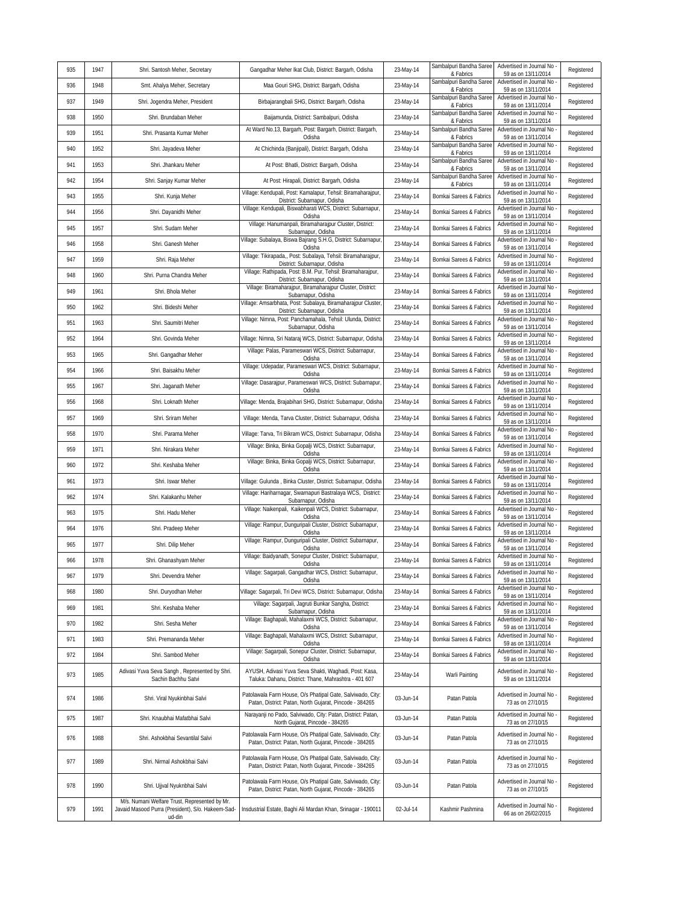| 935 | 1947 | Shri. Santosh Meher, Secretary                                                                               | Gangadhar Meher Ikat Club, District: Bargarh, Odisha                                                                  | 23-May-14 | Sambalpuri Bandha Saree<br>& Fabrics | Advertised in Journal No<br>59 as on 13/11/2014   | Registered |
|-----|------|--------------------------------------------------------------------------------------------------------------|-----------------------------------------------------------------------------------------------------------------------|-----------|--------------------------------------|---------------------------------------------------|------------|
| 936 | 1948 | Smt. Ahalya Meher, Secretary                                                                                 | Maa Gouri SHG, District: Bargarh, Odisha                                                                              | 23-May-14 | Sambalpuri Bandha Saree<br>& Fabrics | Advertised in Journal No<br>59 as on 13/11/2014   | Registered |
| 937 | 1949 | Shri. Jogendra Meher, President                                                                              | Birbajarangbali SHG, District: Bargarh, Odisha                                                                        | 23-May-14 | Sambalpuri Bandha Saree<br>& Fabrics | Advertised in Journal No<br>59 as on 13/11/2014   | Registered |
| 938 | 1950 | Shri. Brundaban Meher                                                                                        | Baijamunda, District: Sambalpuri, Odisha                                                                              | 23-May-14 | Sambalpuri Bandha Saree<br>& Fabrics | Advertised in Journal No<br>59 as on 13/11/2014   | Registered |
| 939 | 1951 | Shri. Prasanta Kumar Meher                                                                                   | At Ward No.13, Bargarh, Post: Bargarh, District: Bargarh,<br>Odisha                                                   | 23-May-14 | Sambalpuri Bandha Saree<br>& Fabrics | Advertised in Journal No<br>59 as on 13/11/2014   | Registered |
| 940 | 1952 | Shri. Jayadeva Meher                                                                                         | At Chichinda (Banjipali), District: Bargarh, Odisha                                                                   | 23-May-14 | Sambalpuri Bandha Saree<br>& Fabrics | Advertised in Journal No<br>59 as on 13/11/2014   | Registered |
| 941 | 1953 | Shri. Jhankaru Meher                                                                                         | At Post: Bhatli, District: Bargarh, Odisha                                                                            | 23-May-14 | Sambalpuri Bandha Saree<br>& Fabrics | Advertised in Journal No<br>59 as on 13/11/2014   | Registered |
| 942 | 1954 | Shri. Sanjay Kumar Meher                                                                                     | At Post: Hirapali, District: Bargarh, Odisha                                                                          | 23-May-14 | Sambalpuri Bandha Saree<br>& Fabrics | Advertised in Journal No<br>59 as on 13/11/2014   | Registered |
| 943 | 1955 | Shri. Kunja Meher                                                                                            | Village: Kendupali, Post: Kamalapur, Tehsil: Biramaharajpur,<br>District: Subarnapur, Odisha                          | 23-May-14 | Bomkai Sarees & Fabrics              | Advertised in Journal No<br>59 as on 13/11/2014   | Registered |
| 944 | 1956 | Shri. Dayanidhi Meher                                                                                        | Village: Kendupali, Biswabharati WCS, District: Subarnapur,<br>Odisha                                                 | 23-May-14 | Bomkai Sarees & Fabrics              | Advertised in Journal No<br>59 as on 13/11/2014   | Registered |
| 945 | 1957 | Shri. Sudam Meher                                                                                            | Village: Hanumanpali, Biramaharajpur Cluster, District:<br>Subarnapur, Odisha                                         | 23-May-14 | Bomkai Sarees & Fabrics              | Advertised in Journal No<br>59 as on 13/11/2014   | Registered |
| 946 | 1958 | Shri. Ganesh Meher                                                                                           | Village: Subalaya, Biswa Bajrang S.H.G, District: Subarnapur<br>Odisha                                                | 23-May-14 | Bomkai Sarees & Fabrics              | Advertised in Journal No<br>59 as on 13/11/2014   | Registered |
| 947 | 1959 | Shri. Raja Meher                                                                                             | Village: Tikirapada,, Post: Subalaya, Tehsil: Biramaharajpur,<br>District: Subarnapur, Odisha                         | 23-May-14 | Bomkai Sarees & Fabrics              | Advertised in Journal No<br>59 as on 13/11/2014   | Registered |
| 948 | 1960 | Shri. Purna Chandra Meher                                                                                    | Village: Rathipada, Post: B.M. Pur, Tehsil: Biramaharajpur,<br>District: Subarnapur, Odisha                           | 23-May-14 | Bomkai Sarees & Fabrics              | Advertised in Journal No<br>59 as on 13/11/2014   | Registered |
| 949 | 1961 | Shri. Bhola Meher                                                                                            | Village: Biramaharajpur, Biramaharajpur Cluster, District:<br>Subarnapur, Odisha                                      | 23-May-14 | Bomkai Sarees & Fabrics              | Advertised in Journal No<br>59 as on 13/11/2014   | Registered |
| 950 | 1962 | Shri. Bideshi Meher                                                                                          | Village: Amsarbhata, Post: Subalaya, Biramaharajpur Cluster<br>District: Subarnapur, Odisha                           | 23-May-14 | Bomkai Sarees & Fabrics              | Advertised in Journal No<br>59 as on 13/11/2014   | Registered |
| 951 | 1963 | Shri. Saumitri Meher                                                                                         | Village: Nimna, Post: Panchamahala, Tehsil: Ulunda, District:<br>Subarnapur, Odisha                                   | 23-May-14 | Bomkai Sarees & Fabrics              | Advertised in Journal No<br>59 as on 13/11/2014   | Registered |
| 952 | 1964 | Shri. Govinda Meher                                                                                          | Village: Nimna, Sri Nataraj WCS, District: Subarnapur, Odisha                                                         | 23-May-14 | Bomkai Sarees & Fabrics              | Advertised in Journal No<br>59 as on 13/11/2014   | Registered |
| 953 | 1965 | Shri. Gangadhar Meher                                                                                        | Village: Palas, Parameswari WCS, District: Subarnapur,<br>Odisha                                                      | 23-May-14 | Bomkai Sarees & Fabrics              | Advertised in Journal No<br>59 as on 13/11/2014   | Registered |
| 954 | 1966 | Shri. Baisakhu Meher                                                                                         | Village: Udepadar, Parameswari WCS, District: Subarnapur,<br>Odisha                                                   | 23-May-14 | Bomkai Sarees & Fabrics              | Advertised in Journal No<br>59 as on 13/11/2014   | Registered |
| 955 | 1967 | Shri. Jaganath Meher                                                                                         | Village: Dasarajpur, Parameswari WCS, District: Subarnapur<br>Odisha                                                  | 23-May-14 | Bomkai Sarees & Fabrics              | Advertised in Journal No<br>59 as on 13/11/2014   | Registered |
| 956 | 1968 | Shri. Loknath Meher                                                                                          | Village: Menda, Brajabihari SHG, District: Subarnapur, Odisha                                                         | 23-May-14 | Bomkai Sarees & Fabrics              | Advertised in Journal No<br>59 as on 13/11/2014   | Registered |
| 957 | 1969 | Shri. Sriram Meher                                                                                           | Village: Menda, Tarva Cluster, District: Subarnapur, Odisha                                                           | 23-May-14 | Bomkai Sarees & Fabrics              | Advertised in Journal No<br>59 as on 13/11/2014   | Registered |
| 958 | 1970 | Shri. Parama Meher                                                                                           | Village: Tarva, Tri Bikram WCS, District: Subarnapur, Odisha                                                          | 23-May-14 | Bomkai Sarees & Fabrics              | Advertised in Journal No<br>59 as on 13/11/2014   | Registered |
| 959 | 1971 | Shri. Nirakara Meher                                                                                         | Village: Binka, Binka Gopalji WCS, District: Subarnapur,<br>Odisha                                                    | 23-May-14 | Bomkai Sarees & Fabrics              | Advertised in Journal No<br>59 as on 13/11/2014   | Registered |
| 960 | 1972 | Shri. Keshaba Meher                                                                                          | Village: Binka, Binka Gopalji WCS, District: Subarnapur,<br>Odisha                                                    | 23-May-14 | Bomkai Sarees & Fabrics              | Advertised in Journal No<br>59 as on 13/11/2014   | Registered |
| 961 | 1973 | Shri. Iswar Meher                                                                                            | Village: Gulunda, Binka Cluster, District: Subarnapur, Odisha                                                         | 23-May-14 | Bomkai Sarees & Fabrics              | Advertised in Journal No<br>59 as on 13/11/2014   | Registered |
| 962 | 1974 | Shri. Kalakanhu Meher                                                                                        | Village: Hariharnagar, Swarnapuri Bastralaya WCS, District:<br>Subarnapur, Odisha                                     | 23-May-14 | Bomkai Sarees & Fabrics              | Advertised in Journal No<br>59 as on 13/11/2014   | Registered |
| 963 | 1975 | Shri. Hadu Meher                                                                                             | Village: Naikenpali, Kaikenpali WCS, District: Subarnapur,<br>Odisha                                                  | 23-May-14 | Bomkai Sarees & Fabrics              | Advertised in Journal No<br>59 as on 13/11/2014   | Registered |
| 964 | 1976 | Shri. Pradeep Meher                                                                                          | Village: Rampur, Dunguripali Cluster, District: Subarnapur,<br>Odisha                                                 | 23-May-14 | Bomkai Sarees & Fabrics              | Advertised in Journal No<br>59 as on 13/11/2014   | Registered |
| 965 | 1977 | Shri. Dilip Meher                                                                                            | Village: Rampur, Dunguripali Cluster, District: Subarnapur,<br>Odisha                                                 | 23-May-14 | Bomkai Sarees & Fabrics              | Advertised in Journal No<br>59 as on 13/11/2014   | Registered |
| 966 | 1978 | Shri. Ghanashyam Meher                                                                                       | Village: Baidyanath, Sonepur Cluster, District: Subarnapur,<br>Odisha                                                 | 23-May-14 | Bomkai Sarees & Fabrics              | Advertised in Journal No<br>59 as on 13/11/2014   | Registered |
| 967 | 1979 | Shri. Devendra Meher                                                                                         | Village: Sagarpali, Gangadhar WCS, District: Subarnapur,<br>Odisha                                                    | 23-May-14 | Bomkai Sarees & Fabrics              | Advertised in Journal No -<br>59 as on 13/11/2014 | Registered |
| 968 | 1980 | Shri. Duryodhan Meher                                                                                        | Village: Sagarpali, Tri Devi WCS, District: Subarnapur, Odisha                                                        | 23-May-14 | Bomkai Sarees & Fabrics              | Advertised in Journal No<br>59 as on 13/11/2014   | Registered |
| 969 | 1981 | Shri. Keshaba Meher                                                                                          | Village: Sagarpali, Jagruti Bunkar Sangha, District:<br>Subarnapur, Odisha                                            | 23-May-14 | Bomkai Sarees & Fabrics              | Advertised in Journal No<br>59 as on 13/11/2014   | Registered |
| 970 | 1982 | Shri. Sesha Meher                                                                                            | Village: Baghapali, Mahalaxmi WCS, District: Subarnapur,<br>Odisha                                                    | 23-May-14 | Bomkai Sarees & Fabrics              | Advertised in Journal No<br>59 as on 13/11/2014   | Registered |
| 971 | 1983 | Shri. Premananda Meher                                                                                       | Village: Baghapali, Mahalaxmi WCS, District: Subarnapur,<br>Odisha                                                    | 23-May-14 | Bomkai Sarees & Fabrics              | Advertised in Journal No<br>59 as on 13/11/2014   | Registered |
| 972 | 1984 | Shri. Sambod Meher                                                                                           | Village: Sagarpali, Sonepur Cluster, District: Subarnapur,<br>Odisha                                                  | 23-May-14 | Bomkai Sarees & Fabrics              | Advertised in Journal No<br>59 as on 13/11/2014   | Registered |
| 973 | 1985 | Adivasi Yuva Seva Sangh, Represented by Shri.<br>Sachin Bachhu Satvi                                         | AYUSH, Adivasi Yuva Seva Shakti, Waghadi, Post: Kasa,<br>Taluka: Dahanu, District: Thane, Mahrashtra - 401 607        | 23-May-14 | Warli Painting                       | Advertised in Journal No<br>59 as on 13/11/2014   | Registered |
| 974 | 1986 | Shri. Viral Nyukinbhai Salvi                                                                                 | Patolawala Farm House, O/s Phatipal Gate, Salviwado, City:<br>Patan, District: Patan, North Gujarat, Pincode - 384265 | 03-Jun-14 | Patan Patola                         | Advertised in Journal No<br>73 as on 27/10/15     | Registered |
| 975 | 1987 | Shri. Knaubhai Mafatbhai Salvi                                                                               | Narayanji no Pado, Salviwado, City: Patan, District: Patan,<br>North Gujarat, Pincode - 384265                        | 03-Jun-14 | Patan Patola                         | Advertised in Journal No<br>73 as on 27/10/15     | Registered |
| 976 | 1988 | Shri. Ashokbhai Sevantilal Salvi                                                                             | Patolawala Farm House, O/s Phatipal Gate, Salviwado, City:<br>Patan, District: Patan, North Gujarat, Pincode - 384265 | 03-Jun-14 | Patan Patola                         | Advertised in Journal No<br>73 as on 27/10/15     | Registered |
| 977 | 1989 | Shri. Nirmal Ashokbhai Salvi                                                                                 | Patolawala Farm House, O/s Phatipal Gate, Salviwado, City:<br>Patan, District: Patan, North Gujarat, Pincode - 384265 | 03-Jun-14 | Patan Patola                         | Advertised in Journal No<br>73 as on 27/10/15     | Registered |
| 978 | 1990 | Shri. Ujjval Nyuknbhai Salvi                                                                                 | Patolawala Farm House, O/s Phatipal Gate, Salviwado, City:<br>Patan, District: Patan, North Gujarat, Pincode - 384265 | 03-Jun-14 | Patan Patola                         | Advertised in Journal No -<br>73 as on 27/10/15   | Registered |
| 979 | 1991 | M/s. Numani Welfare Trust, Represented by Mr.<br>Javaid Masood Purra (President), S/o. Hakeem-Sad-<br>ud-din | Insdustrial Estate, Baghi Ali Mardan Khan, Srinagar - 190011                                                          | 02-Jul-14 | Kashmir Pashmina                     | Advertised in Journal No<br>66 as on 26/02/2015   | Registered |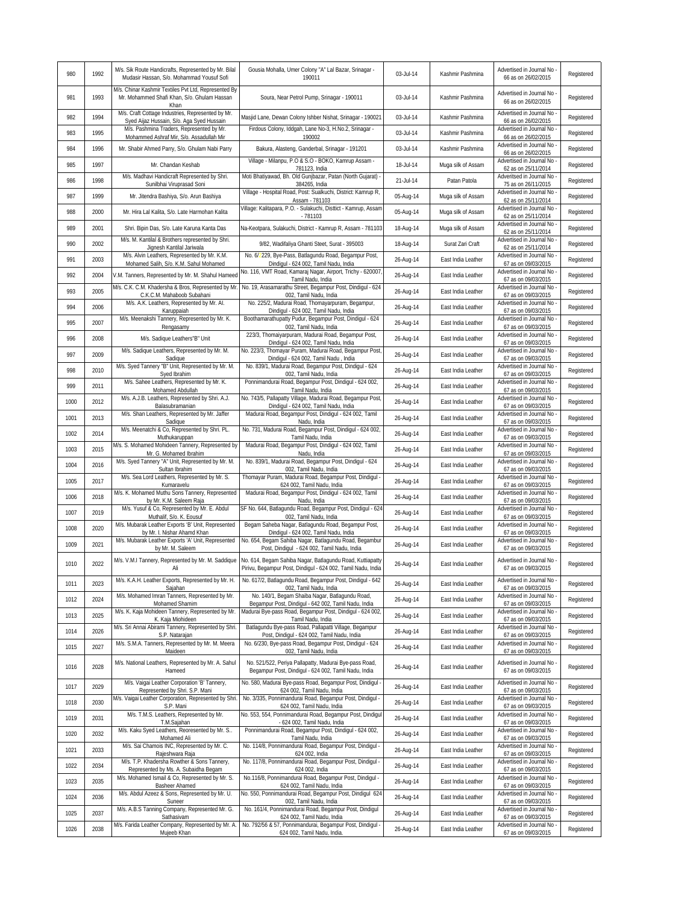| 980  | 1992 | M/s. Sik Route Handicrafts, Represented by Mr. Bilal<br>Mudasir Hassan, S/o. Mohammad Yousuf Sofi                               | Gousia Mohalla, Umer Colony "A" Lal Bazar, Srinagar -<br>190011                                                                          | 03-Jul-14 | Kashmir Pashmina   | Advertised in Journal No<br>66 as on 26/02/2015                             | Registered |
|------|------|---------------------------------------------------------------------------------------------------------------------------------|------------------------------------------------------------------------------------------------------------------------------------------|-----------|--------------------|-----------------------------------------------------------------------------|------------|
| 981  | 1993 | M/s. Chinar Kashmir Textiles Pvt Ltd, Represented By<br>Mr. Mohammed Shafi Khan, S/o. Ghulam Hassan<br>Khan                     | Soura, Near Petrol Pump, Srinagar - 190011                                                                                               | 03-Jul-14 | Kashmir Pashmina   | Advertised in Journal No<br>66 as on 26/02/2015                             | Registered |
| 982  | 1994 | M/s. Craft Cottage Industries, Represented by Mr.<br>Syed Aijaz Hussain, S/o. Aga Syed Hussain                                  | Masjid Lane, Dewan Colony Ishber Nishat, Srinagar - 190021                                                                               | 03-Jul-14 | Kashmir Pashmina   | Advertised in Journal No<br>66 as on 26/02/2015                             | Registered |
| 983  | 1995 | M/s. Pashmina Traders, Represented by Mr.<br>Mohammed Ashraf Mir, S/o. Assadullah Mir                                           | Firdous Colony, Iddgah, Lane No-3, H.No.2, Srinagar -<br>190002                                                                          | 03-Jul-14 | Kashmir Pashmina   | Advertised in Journal No<br>66 as on 26/02/2015                             | Registered |
| 984  | 1996 | Mr. Shabir Ahmed Parry, S/o. Ghulam Nabi Parry                                                                                  | Bakura, Alasteng, Ganderbal, Srinagar - 191201                                                                                           | 03-Jul-14 | Kashmir Pashmina   | Advertised in Journal No<br>66 as on 26/02/2015                             | Registered |
| 985  | 1997 | Mr. Chandan Keshab                                                                                                              | Village - Milanpu, P.O & S.O - BOKO, Kamrup Assam -<br>781123, India                                                                     | 18-Jul-14 | Muga silk of Assam | Advertised in Journal No<br>62 as on 25/11/2014                             | Registered |
| 986  | 1998 | M/s. Madhavi Handicraft Represented by Shri.<br>Sunilbhai Viruprasad Soni                                                       | Moti Bhatiyawad, Bh. Old Gunjbazar, Patan (North Gujarat)<br>384265, India                                                               | 21-Jul-14 | Patan Patola       | Adveritsed in Journal No<br>75 as on 26/11/2015                             | Registered |
| 987  | 1999 | Mr. Jitendra Bashiya, S/o. Arun Bashiya                                                                                         | Village - Hospital Road, Post: Sualkuchi, District: Kamrup R,<br>Assam - 781103                                                          | 05-Aug-14 | Muga silk of Assam | Advertised in Journal No<br>62 as on 25/11/2014                             | Registered |
| 988  | 2000 | Mr. Hira Lal Kalita, S/o. Late Harmohan Kalita                                                                                  | Village: Kalitapara, P.O. - Sulakuchi, Disttict - Kamrup, Assam<br>$-781103$                                                             | 05-Aug-14 | Muga silk of Assam | Advertised in Journal No<br>62 as on 25/11/2014                             | Registered |
| 989  | 2001 | Shri. Bipin Das, S/o. Late Karuna Kanta Das                                                                                     | Na-Keotpara, Sulakuchi, District - Kamrup R, Assam - 781103                                                                              | 18-Aug-14 | Muga silk of Assam | Advertised in Journal No<br>62 as on 25/11/2014                             | Registered |
| 990  | 2002 | M/s. M. Kantilal & Brothers represented by Shri.<br>Jignesh Kantilal Jariwala                                                   | 9/82, Wadifaliya Ghanti Steet, Surat - 395003                                                                                            | 18-Aug-14 | Surat Zari Craft   | Advertised in Journal No<br>62 as on 25/11/2014                             | Registered |
| 991  | 2003 | M/s. Alvin Leathers, Represented by Mr. K.M.<br>Mohamed Salih, S/o. K.M. Sahul Mohamed                                          | No. 6/2229, Bye-Pass, Batlagundu Road, Begampur Post,<br>Dindigul - 624 002, Tamil Nadu, India                                           | 26-Aug-14 | East India Leather | Advertised in Journal No<br>67 as on 09/03/2015                             | Registered |
| 992  | 2004 | V.M. Tanners, Represented by Mr. M. Shahul Hameed                                                                               | No. 116, VMT Road, Kamaraj Nagar, Airport, Trichy - 620007<br>Tamil Nadu, India                                                          | 26-Aug-14 | East India Leather | Advertised in Journal No<br>67 as on 09/03/2015                             | Registered |
| 993  | 2005 | M/s. C.K. C.M. Khadersha & Bros, Represented by Mr.<br>C.K.C.M. Mahaboob Subahani                                               | No. 19, Arasamarathu Street, Begampur Post, Dindigul - 624<br>002, Tamil Nadu, India                                                     | 26-Aug-14 | East India Leather | Advertised in Journal No<br>67 as on 09/03/2015                             | Registered |
| 994  | 2006 | M/s. A.K. Leathers, Represented by Mr. Al.<br>Karuppaiah                                                                        | No. 225/2, Madurai Road, Thomayarpuram, Begampur,<br>Dindigul - 624 002, Tamil Nadu, India                                               | 26-Aug-14 | East India Leather | Advertised in Journal No<br>67 as on 09/03/2015                             | Registered |
| 995  | 2007 | M/s. Meenakshi Tannery, Represented by Mr. K.<br>Rengasamy                                                                      | Boothamarathupatty Pudur, Begampur Post, Dindigul - 624<br>002, Tamil Nadu, India                                                        | 26-Aug-14 | East India Leather | Advertised in Journal No<br>67 as on 09/03/2015                             | Registered |
| 996  | 2008 | M/s. Sadique Leathers"B" Unit                                                                                                   | 223/3, Thomaiyarpuram, Madurai Road, Begampur Post,<br>Dindigul - 624 002, Tamil Nadu, India                                             | 26-Aug-14 | East India Leather | Advertised in Journal No<br>67 as on 09/03/2015                             | Registered |
| 997  | 2009 | M/s. Sadique Leathers, Represented by Mr. M.<br>Sadique                                                                         | No. 223/3, Thomayar Puram, Madurai Road, Begampur Post,<br>Dindigul - 624 002, Tamil Nadu, India                                         | 26-Aug-14 | East India Leather | Advertised in Journal No<br>67 as on 09/03/2015                             | Registered |
| 998  | 2010 | M/s. Syed Tannery "B" Unit, Represented by Mr. M.<br>Syed Ibrahim                                                               | No. 839/1, Madurai Road, Begampur Post, Dindigul - 624<br>002, Tamil Nadu, India                                                         | 26-Aug-14 | East India Leather | Advertised in Journal No<br>67 as on 09/03/2015                             | Registered |
| 999  | 2011 | M/s. Sahee Leathers, Represented by Mr. K.<br>Mohamed Abdullah                                                                  | Ponnimandurai Road, Begampur Post, Dindigul - 624 002,<br>Tamil Nadu, India                                                              | 26-Aug-14 | East India Leather | Advertised in Journal No<br>67 as on 09/03/2015                             | Registered |
| 1000 | 2012 | M/s. A.J.B. Leathers, Represented by Shri. A.J.<br>Balasubramanian                                                              | No. 743/5, Pallapatty Village, Madurai Road, Begampur Post,<br>Dindigul - 624 002, Tamil Nadu, India                                     | 26-Aug-14 | East India Leather | Advertised in Journal No<br>67 as on 09/03/2015                             | Registered |
| 1001 | 2013 | M/s. Shan Leathers, Represented by Mr. Jaffer<br>Sadique                                                                        | Madurai Road, Begampur Post, Dindigul - 624 002, Tamil<br>Nadu, India                                                                    | 26-Aug-14 | East India Leather | Advertised in Journal No<br>67 as on 09/03/2015                             | Registered |
| 1002 | 2014 | M/s. Meenatchi & Co, Represented by Shri. PL.<br>Muthukaruppan                                                                  | No. 731, Madurai Road, Begampur Post, Dindigul - 624 002,<br>Tamil Nadu, India<br>Madurai Road, Begampur Post, Dindigul - 624 002, Tamil | 26-Aug-14 | East India Leather | Advertised in Journal No<br>67 as on 09/03/2015                             | Registered |
| 1003 | 2015 | M/s. S. Mohamed Mohideen Tannery, Represented by<br>Mr. G. Mohamed Ibrahim<br>M/s. Syed Tannery "A" Unit, Represented by Mr. M. | Nadu, India<br>No. 839/1, Madurai Road, Begampur Post, Dindigul - 624                                                                    | 26-Aug-14 | East India Leather | Advertised in Journal No<br>67 as on 09/03/2015                             | Registered |
| 1004 | 2016 | Sultan Ibrahim<br>M/s. Sea Lord Leathers, Represented by Mr. S.                                                                 | 002, Tamil Nadu, India<br>Thomayar Puram, Madurai Road, Begampur Post, Dindigul                                                          | 26-Aug-14 | East India Leather | Advertised in Journal No<br>67 as on 09/03/2015<br>Advertised in Journal No | Registered |
| 1005 | 2017 | Kumaravelu<br>M/s. K. Mohamed Muthu Sons Tannery, Represented                                                                   | 624 002, Tamil Nadu, India<br>Madurai Road, Begampur Post, Dindigul - 624 002, Tamil                                                     | 26-Aug-14 | East India Leather | 67 as on 09/03/2015<br>Advertised in Journal No                             | Registered |
| 1006 | 2018 | by Mr. K.M. Saleem Raja<br>M/s. Yusuf & Co, Represented by Mr. E. Abdul                                                         | Nadu, India<br>SF No. 644, Batlagundu Road, Begampur Post, Dindigul - 624                                                                | 26-Aug-14 | East India Leather | 67 as on 09/03/2015<br>Advertised in Journal No                             | Registered |
| 1007 | 2019 | Muthalif, S/o. K. Eousuf<br>M/s. Mubarak Leather Exports 'B' Unit, Represented                                                  | 002, Tamil Nadu, India<br>Begam Saheba Nagar, Batlagundu Road, Begampur Post,                                                            | 26-Aug-14 | East India Leather | 67 as on 09/03/2015<br>Advertised in Journal No                             | Registered |
| 1008 | 2020 | by Mr. I. Nishar Ahamd Khan<br>M/s. Mubarak Leather Exports 'A' Unit, Represented                                               | Dindigul - 624 002, Tamil Nadu, India<br>No. 654, Begam Sahiba Nagar, Batlagundu Road, Begambur                                          | 26-Aug-14 | East India Leather | 67 as on 09/03/2015<br>Advertised in Journal No                             | Registered |
| 1009 | 2021 | by Mr. M. Saleem                                                                                                                | Post, Dindigul - 624 002, Tamil Nadu, India                                                                                              | 26-Aug-14 | East India Leather | 67 as on 09/03/2015                                                         | Registered |
| 1010 | 2022 | M/s. V.M.I Tannery, Represented by Mr. M. Saddique<br>Ali                                                                       | No. 614, Begam Sahiba Nagar, Batlagundu Road, Kuttiapatty<br>Pirivu, Begampur Post, Dindigul - 624 002, Tamil Nadu, India                | 26-Aug-14 | East India Leather | Advertised in Journal No<br>67 as on 09/03/2015                             | Registered |
| 1011 | 2023 | M/s. K.A.H. Leather Exports, Represented by Mr. H.<br>Sajahan                                                                   | No. 617/2, Batlagundu Road, Begampur Post, Dindigul - 642<br>002. Tamil Nadu, India                                                      | 26-Aug-14 | East India Leather | Advertised in Journal No<br>67 as on 09/03/2015                             | Registered |
| 1012 | 2024 | M/s. Mohamed Imran Tanners, Represented by Mr.<br>Mohamed Shamim                                                                | No. 140/1, Begam Shaiba Nagar, Batlagundu Road,<br>Begampur Post, Dindigul - 642 002, Tamil Nadu, India                                  | 26-Aug-14 | East India Leather | Advertised in Journal No<br>67 as on 09/03/2015                             | Registered |
| 1013 | 2025 | M/s. K. Kaja Mohideen Tannery, Represented by Mr.<br>K. Kaja Miohideen                                                          | Madurai Bye-pass Road, Begampur Post, Dindigul - 624 002,<br>Tamil Nadu, India                                                           | 26-Aug-14 | East India Leather | Advertised in Journal No<br>67 as on 09/03/2015                             | Registered |
| 1014 | 2026 | M/s. Sri Annai Abirami Tannery, Represented by Shri.<br>S.P. Natarajan                                                          | Batlagundu Bye-pass Road, Pallapatti Village, Begampur<br>Post, Dindigul - 624 002, Tamil Nadu, India                                    | 26-Aug-14 | East India Leather | Advertised in Journal No<br>67 as on 09/03/2015                             | Registered |
| 1015 | 2027 | M/s. S.M.A. Tanners, Represented by Mr. M. Meera<br>Maideen                                                                     | No. 6/230, Bye-pass Road, Begampur Post, Dindigul - 624<br>002, Tamil Nadu, India                                                        | 26-Aug-14 | East India Leather | Advertised in Journal No<br>67 as on 09/03/2015                             | Registered |
| 1016 | 2028 | M/s. National Leathers, Represented by Mr. A. Sahul<br>Hameed                                                                   | No. 521/522, Periya Pallapatty, Madurai Bye-pass Road,<br>Begampur Post, Dindigul - 624 002, Tamil Nadu, India                           | 26-Aug-14 | East India Leather | Advertised in Journal No<br>67 as on 09/03/2015                             | Registered |
| 1017 | 2029 | M/s. Vaigai Leather Corporation 'B' Tannery,<br>Represented by Shri. S.P. Mani                                                  | No. 580, Madurai Bye-pass Road, Begampur Post, Dindigul -<br>624 002, Tamil Nadu, India                                                  | 26-Aug-14 | East India Leather | Advertised in Journal No<br>67 as on 09/03/2015                             | Registered |
| 1018 | 2030 | M/s. Vaigai Leather Corporation, Represented by Shri.<br>S.P. Mani                                                              | No. 3/335, Ponnimandurai Road, Begampur Post, Dindigul -<br>624 002, Tamil Nadu, India                                                   | 26-Aug-14 | East India Leather | Advertised in Journal No -<br>67 as on 09/03/2015                           | Registered |
| 1019 | 2031 | M/s. T.M.S. Leathers, Represented by Mr.<br>T.M.Sajahan                                                                         | No. 553, 554, Ponnimandurai Road, Begampur Post, Dindigul<br>- 624 002, Tamil Nadu, India                                                | 26-Aug-14 | East India Leather | Advertised in Journal No<br>67 as on 09/03/2015                             | Registered |
| 1020 | 2032 | M/s. Kaku Syed Leathers, Reoresented by Mr. S<br>Mohamed Ali                                                                    | Ponnimandurai Road, Begampur Post, Dindigul - 624 002,<br>Tamil Nadu, India                                                              | 26-Aug-14 | East India Leather | Advertised in Journal No<br>67 as on 09/03/2015                             | Registered |
| 1021 | 2033 | M/s. Sai Chamois INC, Represented by Mr. C.<br>Rajeshwara Raja                                                                  | No. 114/8, Ponnimandurai Road, Begampur Post, Dindigul -<br>624 002, India                                                               | 26-Aug-14 | East India Leather | Advertised in Journal No<br>67 as on 09/03/2015                             | Registered |
| 1022 | 2034 | M/s. T.P. Khadersha Rowther & Sons Tannery,<br>Represented by Ms. A. Subaidha Begam                                             | No. 117/8, Ponnimandurai Road, Begampur Post, Dindigul -<br>624 002, India                                                               | 26-Aug-14 | East India Leather | Advertised in Journal No<br>67 as on 09/03/2015                             | Registered |
| 1023 | 2035 | M/s. Mohamed Ismail & Co, Represented by Mr. S.<br>Basheer Ahamed                                                               | No.116/8, Ponnimandurai Road, Begampur Post, Dindigul -<br>624 002, Tamil Nadu, India                                                    | 26-Aug-14 | East India Leather | Advertised in Journal No -<br>67 as on 09/03/2015                           | Registered |
| 1024 | 2036 | M/s. Abdul Azeez & Sons, Represented by Mr. U.<br>Suneer                                                                        | No. 550, Ponnimandurai Road, Begampur Post, Dindigul 624<br>002, Tamil Nadu, India                                                       | 26-Aug-14 | East India Leather | Advertised in Journal No<br>67 as on 09/03/2015                             | Registered |
| 1025 | 2037 | M/s. A.B.S Tanning Company, Represented Mr. G.<br>Sathasivam                                                                    | No. 161/4, Ponnimandurai Road, Begampur Post, Dindigul<br>624 002, Tamil Nadu, India                                                     | 26-Aug-14 | East India Leather | Advertised in Journal No<br>67 as on 09/03/2015                             | Registered |
| 1026 | 2038 | M/s. Farida Leather Company, Represented by Mr. A<br>Mujeeb Khan                                                                | No. 792/56 & 57, Ponnimandurai, Begampur Post, Dindigul -<br>624 002, Tamil Nadu, India.                                                 | 26-Aug-14 | East India Leather | Advertised in Journal No -<br>67 as on 09/03/2015                           | Registered |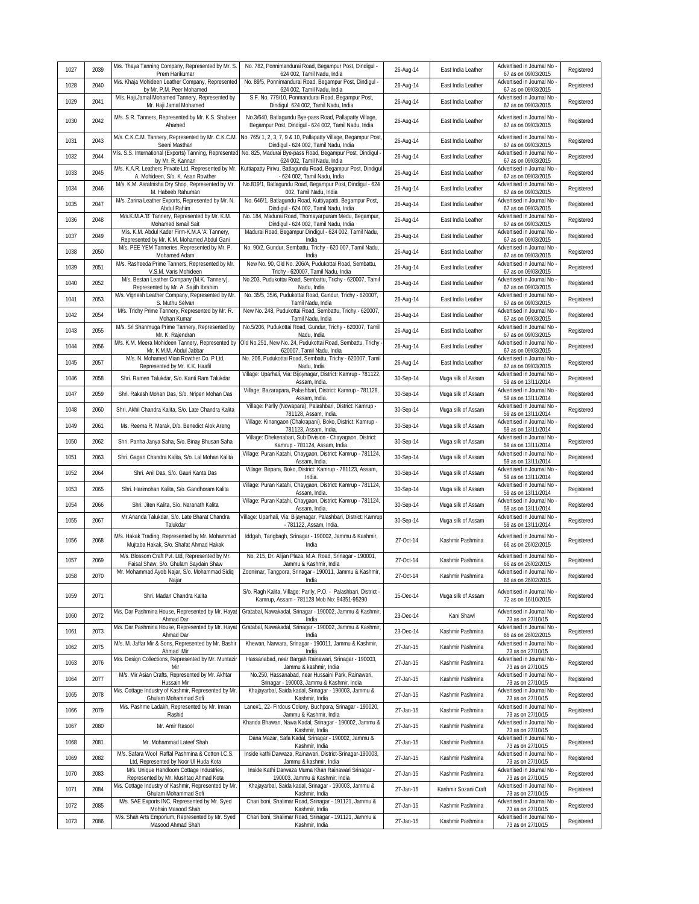| 1027 | 2039 | M/s. Thaya Tanning Company, Represented by Mr. S.<br>Prem Harikumar                                                          | No. 782, Ponnimandurai Road, Begampur Post, Dindigul -<br>624 002, Tamil Nadu, India                                                  | 26-Aug-14 | East India Leather   | Advertised in Journal No<br>67 as on 09/03/2015                               | Registered |
|------|------|------------------------------------------------------------------------------------------------------------------------------|---------------------------------------------------------------------------------------------------------------------------------------|-----------|----------------------|-------------------------------------------------------------------------------|------------|
| 1028 | 2040 | M/s. Khaja Mohideen Leather Company, Represented<br>by Mr. P.M. Peer Mohamed                                                 | No. 89/5, Ponnimandurai Road, Begampur Post, Dindigul -<br>624 002, Tamil Nadu, India                                                 | 26-Aug-14 | East India Leather   | Advertised in Journal No<br>67 as on 09/03/2015                               | Registered |
| 1029 | 2041 | M/s. Haji.Jamal Mohamed Tannery, Represented by<br>Mr. Haji Jamal Mohamed                                                    | S.F. No. 779/10, Ponmandurai Road, Begampur Post,<br>Dindigul 624 002, Tamil Nadu, India                                              | 26-Aug-14 | East India Leather   | Advertised in Journal No<br>67 as on 09/03/2015                               | Registered |
| 1030 | 2042 | M/s. S.R. Tanners, Represented by Mr. K.S. Shabeer<br>Ahamed                                                                 | No.3/640, Batlagundu Bye-pass Road, Pallapatty Village,<br>Begampur Post, Dindigul - 624 002, Tamil Nadu, India                       | 26-Aug-14 | East India Leather   | Advertised in Journal No<br>67 as on 09/03/2015                               | Registered |
| 1031 | 2043 | M/s. C.K.C.M. Tannery, Represented by Mr. C.K.C.M.<br>Seeni Masthan                                                          | No. 765/ 1, 2, 3, 7, 9 & 10, Pallapatty Village, Begampur Post<br>Dindigul - 624 002, Tamil Nadu, India                               | 26-Aug-14 | East India Leather   | Advertised in Journal No<br>67 as on 09/03/2015                               | Registered |
| 1032 | 2044 | M/s. S.S. International (Exports) Tanning, Represented<br>by Mr. R. Kannan                                                   | No. 825, Madurai Bye-pass Road, Begampur Post, Dindigul -<br>624 002, Tamil Nadu, India                                               | 26-Aug-14 | East India Leather   | Advertised in Journal No<br>67 as on 09/03/2015                               | Registered |
| 1033 | 2045 | M/s. K.A.R. Leathers Private Ltd, Represented by Mr.<br>A. Mohideen, S/o. K. Asan Rowther                                    | Kuttiapatty Pirivu, Batlagundu Road, Begampur Post, Dindigul<br>- 624 002, Tamil Nadu, India                                          | 26-Aug-14 | East India Leather   | Advertised in Journal No<br>67 as on 09/03/2015                               | Registered |
| 1034 | 2046 | M/s. K.M. Asrafnisha Dry Shop, Represented by Mr.<br>M. Habeeb Rahuman                                                       | No.819/1, Batlagundu Road, Begampur Post, Dindigul - 624<br>002, Tamil Nadu, India                                                    | 26-Aug-14 | East India Leather   | Advertised in Journal No<br>67 as on 09/03/2015                               | Registered |
| 1035 | 2047 | M/s. Zarina Leather Exports, Represented by Mr. N.<br>Abdul Rahim                                                            | No. 646/1, Batlagundu Road, Kuttiyapatti, Begampur Post,<br>Dindigul - 624 002, Tamil Nadu, India                                     | 26-Aug-14 | East India Leather   | Advertised in Journal No<br>67 as on 09/03/2015                               | Registered |
| 1036 | 2048 | M/s.K.M.A.'B' Tannery, Represented by Mr. K.M.<br>Mohamed Ismail Sait                                                        | No. 184, Madurai Road, Thomayarpuram Medu, Begampur,<br>Dindigul - 624 002, Tamil Nadu, India                                         | 26-Aug-14 | East India Leather   | Advertised in Journal No<br>67 as on 09/03/2015                               | Registered |
| 1037 | 2049 | M/s. K.M. Abdul Kader Firm-K.M.A 'A' Tannery,<br>Represented by Mr. K.M. Mohamed Abdul Gani                                  | Madurai Road, Begampur Dindigul - 624 002, Tamil Nadu,<br>India                                                                       | 26-Aug-14 | East India Leather   | Advertised in Journal No<br>67 as on 09/03/2015                               | Registered |
| 1038 | 2050 | M/s. PEE YEM Tanneries, Represented by Mr. P.<br>Mohamed Adam                                                                | No. 90/2, Gundur, Sembattu, Trichy - 620 007, Tamil Nadu,<br>India                                                                    | 26-Aug-14 | East India Leather   | Advertised in Journal No<br>67 as on 09/03/2015                               | Registered |
| 1039 | 2051 | M/s. Rasheeda Prime Tanners, Represented by Mr.<br>V.S.M. Varis Mohideen                                                     | New No. 90, Old No. 206/A, Pudukottai Road, Sembattu,<br>Trichy - 620007, Tamil Nadu, India                                           | 26-Aug-14 | East India Leather   | Advertised in Journal No<br>67 as on 09/03/2015                               | Registered |
| 1040 | 2052 | M/s. Bestan Leather Company (M.K. Tannery),<br>Represented by Mr. A. Sajith Ibrahim                                          | No.203, Pudukottai Road, Sembattu, Trichy - 620007, Tamil<br>Nadu, India                                                              | 26-Aug-14 | East India Leather   | Advertised in Journal No<br>67 as on 09/03/2015                               | Registered |
| 1041 | 2053 | M/s. Vignesh Leather Company, Represented by Mr.<br>S. Muthu Selvan                                                          | No. 35/5, 35/6, Pudukottai Road, Gundur, Trichy - 620007,<br>Tamil Nadu, India                                                        | 26-Aug-14 | East India Leather   | Advertised in Journal No<br>67 as on 09/03/2015                               | Registered |
| 1042 | 2054 | M/s. Trichy Prime Tannery, Represented by Mr. R.<br>Mohan Kumar                                                              | New No. 248, Pudukottai Road, Sembattu, Trichy - 620007,<br>Tamil Nadu, India                                                         | 26-Aug-14 | East India Leather   | Advertised in Journal No<br>67 as on 09/03/2015                               | Registered |
| 1043 | 2055 | M/s. Sri Shanmuga Prime Tannery, Represented by<br>Mr. K. Rajendran                                                          | No.5/206, Pudukottai Road, Gundur, Trichy - 620007, Tamil<br>Nadu, India                                                              | 26-Aug-14 | East India Leather   | Advertised in Journal No<br>67 as on 09/03/2015                               | Registered |
| 1044 | 2056 | M/s. K.M. Meera Mohideen Tannery, Represented by<br>Mr. K.M.M. Abdul Jabbar                                                  | Old No.251, New No. 24, Pudukottai Road, Sembattu, Trichy<br>620007, Tamil Nadu, India                                                | 26-Aug-14 | East India Leather   | Advertised in Journal No<br>67 as on 09/03/2015                               | Registered |
| 1045 | 2057 | M/s. N. Mohamed Mian Rowther Co. P Ltd,<br>Represented by Mr. K.K. Haafil                                                    | No. 206, Pudukottai Road, Sembattu, Trichy - 620007, Tamil<br>Nadu, India                                                             | 26-Aug-14 | East India Leather   | Advertised in Journal No<br>67 as on 09/03/2015                               | Registered |
| 1046 | 2058 | Shri. Ramen Talukdar, S/o. Kanti Ram Talukdar                                                                                | Village: Uparhali, Via: Bijoynagar, District: Kamrup - 781122,<br>Assam, India.                                                       | 30-Sep-14 | Muga silk of Assam   | Advertised in Journal No<br>59 as on 13/11/2014                               | Registered |
| 1047 | 2059 | Shri. Rakesh Mohan Das, S/o. Nripen Mohan Das                                                                                | Village: Bazarapara, Palashbari, District: Kamrup - 781128,<br>Assam, India                                                           | 30-Sep-14 | Muga silk of Assam   | Advertised in Journal No<br>59 as on 13/11/2014                               | Registered |
| 1048 | 2060 | Shri. Akhil Chandra Kalita, S/o. Late Chandra Kalita                                                                         | Village: Parlly (Nowapara), Palashbari, District: Kamrup -<br>781128, Assam, India.                                                   | 30-Sep-14 | Muga silk of Assam   | Advertised in Journal No<br>59 as on 13/11/2014                               | Registered |
| 1049 | 2061 | Ms. Reema R. Marak, D/o. Benedict Alok Areng                                                                                 | Village: Kinangaon (Chakrapani), Boko, District: Kamrup -<br>781123, Assam, India.                                                    | 30-Sep-14 | Muga silk of Assam   | Advertised in Journal No<br>59 as on 13/11/2014                               | Registered |
| 1050 | 2062 | Shri. Panha Janya Saha, S/o. Binay Bhusan Saha                                                                               | Village: Dhekenabari, Sub Division - Chayagaon, District:<br>Kamrup - 781124, Assam, India.                                           | 30-Sep-14 | Muga silk of Assam   | Advertised in Journal No<br>59 as on 13/11/2014                               | Registered |
| 1051 | 2063 | Shri. Gagan Chandra Kalita, S/o. Lal Mohan Kalita                                                                            | Village: Puran Katahi, Chaygaon, District: Kamrup - 781124,<br>Assam, India.                                                          | 30-Sep-14 | Muga silk of Assam   | Advertised in Journal No<br>59 as on 13/11/2014                               | Registered |
| 1052 | 2064 | Shri. Anil Das, S/o. Gauri Kanta Das                                                                                         | Village: Birpara, Boko, District: Kamrup - 781123, Assam,<br>India.                                                                   | 30-Sep-14 | Muga silk of Assam   | Advertised in Journal No<br>59 as on 13/11/2014                               | Registered |
| 1053 | 2065 | Shri. Harimohan Kalita, S/o. Gandhoram Kalita                                                                                | Village: Puran Katahi, Chaygaon, District: Kamrup - 781124,<br>Assam, India.                                                          | 30-Sep-14 | Muga silk of Assam   | Advertised in Journal No<br>59 as on 13/11/2014                               | Registered |
| 1054 | 2066 | Shri. Jiten Kalita, S/o. Naranath Kalita                                                                                     | Village: Puran Katahi, Chaygaon, District: Kamrup - 781124,<br>Assam, India.                                                          | 30-Sep-14 | Muga silk of Assam   | Advertised in Journal No<br>59 as on 13/11/2014                               | Registered |
| 1055 | 2067 | Mr.Ananda Talukdar, S/o. Late Bharat Chandra<br>Talukdar                                                                     | Village: Uparhali, Via: Bijaynagar, Palashbari, District: Kamrup<br>- 781122, Assam, India.                                           | 30-Sep-14 | Muga silk of Assam   | Advertised in Journal No<br>59 as on 13/11/2014                               | Registered |
| 1056 | 2068 | M/s. Hakak Trading, Represented by Mr. Mohammad<br>Mujtaba Hakak, S/o. Shafat Ahmad Hakak                                    | Iddgah, Tangbagh, Srinagar - 190002, Jammu & Kashmir,<br>India                                                                        | 27-Oct-14 | Kashmir Pashmina     | Advertised in Journal No<br>66 as on 26/02/2015                               | Registered |
| 1057 | 2069 | M/s. Blossom Craft Pvt. Ltd, Represented by Mr.<br>Faisal Shaw, S/o. Ghulam Saydain Shaw                                     | No. 215, Dr. Alijan Plaza, M.A. Road, Srinagar - 190001,<br>Jammu & Kashmir, India                                                    | 27-Oct-14 | Kashmir Pashmina     | Advertised in Journal No<br>66 as on 26/02/2015                               | Registered |
| 1058 | 2070 | Mr. Mohammad Ayob Najar, S/o. Mohammad Sidiq<br>Najar                                                                        | Zoonimar, Tangpora, Srinagar - 190011, Jammu & Kashmir,<br>India                                                                      | 27-Oct-14 | Kashmir Pashmina     | Advertised in Journal No -<br>66 as on 26/02/2015                             | Registered |
| 1059 | 2071 | Shri. Madan Chandra Kalita                                                                                                   | S/o. Ragh Kalita, Village: Parlly, P.O. - Palashbari, District -<br>Kamrup, Assam - 781128 Mob No: 94351-95290                        | 15-Dec-14 | Muga silk of Assam   | Advertised in Journal No<br>72 as on 16/10/2015                               | Registered |
| 1060 | 2072 | M/s. Dar Pashmina House, Represented by Mr. Hayat<br>Ahmad Dar                                                               | Gratabal, Nawakadal, Srinagar - 190002, Jammu & Kashmir,<br>India                                                                     | 23-Dec-14 | Kani Shawl           | Advertised in Journal No -<br>73 as on 27/10/15                               | Registered |
| 1061 | 2073 | M/s. Dar Pashmina House, Represented by Mr. Hayat<br>Ahmad Dar                                                               | Gratabal, Nawakadal, Srinagar - 190002, Jammu & Kashmir,<br>India                                                                     | 23-Dec-14 | Kashmir Pashmina     | Advertised in Journal No<br>66 as on 26/02/2015                               | Registered |
| 1062 | 2075 | M/s. M. Jaffar Mir & Sons, Represented by Mr. Bashir<br>Ahmad Mir                                                            | Khewan, Narwara, Srinagar - 190011, Jammu & Kashmir,<br>India                                                                         | 27-Jan-15 | Kashmir Pashmina     | Advertised in Journal No<br>73 as on 27/10/15                                 | Registered |
| 1063 | 2076 | M/s. Design Collections, Represented by Mr. Muntazir<br>Mir                                                                  | Hassanabad, near Bargah Rainawari, Srinagar - 190003,<br>Jammu & kashmir, India<br>No.250. Hassanabad, near Hussaini Park, Rainawari, | 27-Jan-15 | Kashmir Pashmina     | Advertised in Journal No<br>73 as on 27/10/15<br>Advertised in Journal No     | Registered |
| 1064 | 2077 | M/s. Mir Asian Crafts, Represented by Mr. Akhtar<br>Hussain Mir                                                              | Srinagar - 190003, Jammu & Kashmir, India<br>Khajayarbal, Saida kadal, Srinagar - 190003, Jammu &                                     | 27-Jan-15 | Kashmir Pashmina     | 73 as on 27/10/15                                                             | Registered |
| 1065 | 2078 | M/s. Cottage Industry of Kashmir, Represented by Mr.<br>Ghulam Mohammad Sofi<br>M/s. Pashme Ladakh, Represented by Mr. Imran | Kashmir, India                                                                                                                        | 27-Jan-15 | Kashmir Pashmina     | Advertised in Journal No -<br>73 as on 27/10/15                               | Registered |
| 1066 | 2079 | Rashid                                                                                                                       | Lane#1, 22- Firdous Colony, Buchpora, Srinagar - 190020,<br>Jammu & Kashmir, India                                                    | 27-Jan-15 | Kashmir Pashmina     | Advertised in Journal No -<br>73 as on 27/10/15                               | Registered |
| 1067 | 2080 | Mr. Amir Rasool                                                                                                              | Khanda Bhawan, Nawa Kadal, Srinagar - 190002, Jammu &<br>Kashmir, India<br>Dana Mazar, Safa Kadal, Srinagar - 190002, Jammu &         | 27-Jan-15 | Kashmir Pashmina     | Advertised in Journal No -<br>73 as on 27/10/15<br>Advertised in Journal No - | Registered |
| 1068 | 2081 | Mr. Mohammad Lateef Shah<br>M/s. Safara Wool Raffal Pashmina & Cotton I.C.S.                                                 | Kashmir, India<br>Inside kathi Darwaza, Rainawari, District-Srinagar-190003,                                                          | 27-Jan-15 | Kashmir Pashmina     | 73 as on 27/10/15<br>Advertised in Journal No -                               | Registered |
| 1069 | 2082 | Ltd, Represented by Noor UI Huda Kota<br>M/s. Unique Handloom Cottage Industries,                                            | Jammu & kashmir, India<br>Inside Kathi Darwaza Muma Khan Rainawari Srinagar -                                                         | 27-Jan-15 | Kashmir Pashmina     | 73 as on 27/10/15<br>Advertised in Journal No -                               | Registered |
| 1070 | 2083 | Represented by Mr. Mushtaq Ahmad Kota<br>M/s. Cottage Industry of Kashmir, Represented by Mr.                                | 190003, Jammu & Kashmir, India<br>Khajayarbal, Saida kadal, Srinagar - 190003, Jammu &                                                | 27-Jan-15 | Kashmir Pashmina     | 73 as on 27/10/15<br>Advertised in Journal No                                 | Registered |
| 1071 | 2084 | Ghulam Mohammad Sofi<br>M/s. SAE Exports INC, Represented by Mr. Syed                                                        | Kashmir, India<br>Chari boni, Shalimar Road, Srinagar - 191121, Jammu &                                                               | 27-Jan-15 | Kashmir Sozani Craft | 73 as on 27/10/15<br>Advertised in Journal No -                               | Registered |
| 1072 | 2085 | Mohsin Masood Shah<br>M/s. Shah Arts Emporium, Represented by Mr. Syed                                                       | Kashmir, India<br>Chari boni, Shalimar Road, Srinagar - 191121, Jammu &                                                               | 27-Jan-15 | Kashmir Pashmina     | 73 as on 27/10/15<br>Advertised in Journal No -                               | Registered |
| 1073 | 2086 | Masood Ahmad Shah                                                                                                            | Kashmir, India                                                                                                                        | 27-Jan-15 | Kashmir Pashmina     | 73 as on 27/10/15                                                             | Registered |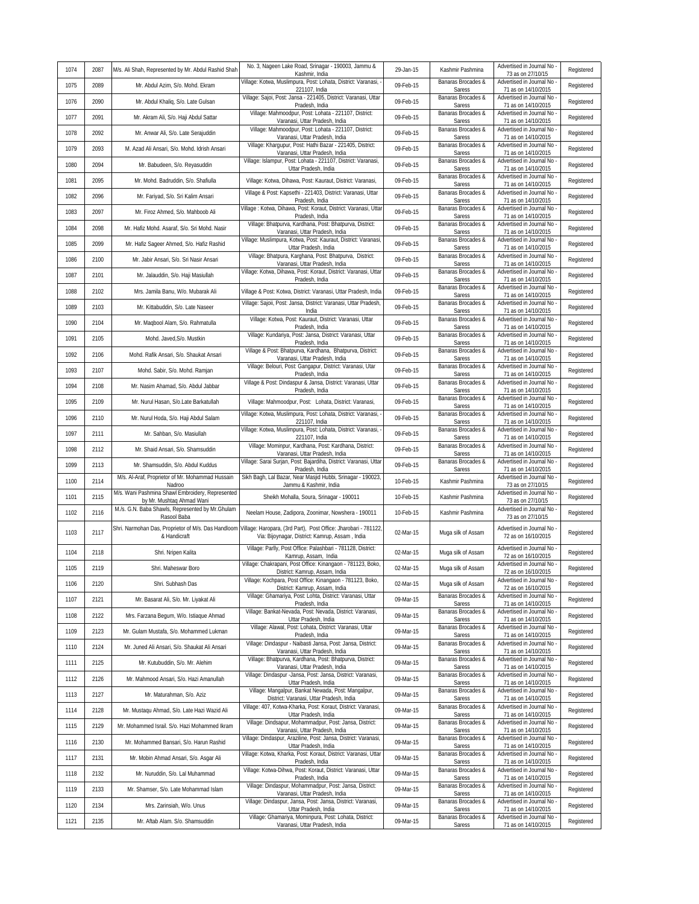| 1074 | 2087 | M/s. Ali Shah, Represented by Mr. Abdul Rashid Shah                           | No. 3, Nageen Lake Road, Srinagar - 190003, Jammu &<br>Kashmir, India                                              | 29-Jan-15 | Kashmir Pashmina             | Advertised in Journal No -<br>73 as on 27/10/15   | Registered |
|------|------|-------------------------------------------------------------------------------|--------------------------------------------------------------------------------------------------------------------|-----------|------------------------------|---------------------------------------------------|------------|
| 1075 | 2089 | Mr. Abdul Azim, S/o. Mohd. Ekram                                              | Village: Kotwa, Muslimpura, Post: Lohata, District: Varanasi,<br>221107, India                                     | 09-Feb-15 | Banaras Brocades &<br>Saress | Advertised in Journal No<br>71 as on 14/10/2015   | Registered |
| 1076 | 2090 | Mr. Abdul Khaliq, S/o. Late Gulsan                                            | Village: Sajoi, Post: Jansa - 221405, District: Varanasi, Uttar<br>Pradesh, India                                  | 09-Feb-15 | Banaras Brocades &<br>Saress | Advertised in Journal No<br>71 as on 14/10/2015   | Registered |
| 1077 | 2091 | Mr. Akram Ali, S/o. Haji Abdul Sattar                                         | Village: Mahmoodpur, Post: Lohata - 221107, District:<br>Varanasi, Uttar Pradesh, India                            | 09-Feb-15 | Banaras Brocades &<br>Saress | Advertised in Journal No<br>71 as on 14/10/2015   | Registered |
| 1078 | 2092 | Mr. Anwar Ali, S/o. Late Serajuddin                                           | Village: Mahmoodpur, Post: Lohata - 221107, District:<br>Varanasi, Uttar Pradesh, India                            | 09-Feb-15 | Banaras Brocades &<br>Saress | Advertised in Journal No<br>71 as on 14/10/2015   | Registered |
| 1079 | 2093 | M. Azad Ali Ansari, S/o. Mohd. Idrish Ansari                                  | Village: Khargupur, Post: Hathi Bazar - 221405, District:<br>Varanasi, Uttar Pradesh, India                        | 09-Feb-15 | Banaras Brocades &<br>Saress | Advertised in Journal No<br>71 as on 14/10/2015   | Registered |
| 1080 | 2094 | Mr. Babudeen, S/o. Reyasuddin                                                 | Village: Islampur, Post: Lohata - 221107, District: Varanasi,<br>Uttar Pradesh, India                              | 09-Feb-15 | Banaras Brocades &<br>Saress | Advertised in Journal No<br>71 as on 14/10/2015   | Registered |
| 1081 | 2095 | Mr. Mohd. Badruddin, S/o. Shafiulla                                           | Village: Kotwa, Dihawa, Post: Kauraut, District: Varanasi,                                                         | 09-Feb-15 | Banaras Brocades &<br>Saress | Advertised in Journal No<br>71 as on 14/10/2015   | Registered |
| 1082 | 2096 | Mr. Fariyad, S/o. Sri Kalim Ansari                                            | Village & Post: Kapsethi - 221403, District: Varanasi, Uttar<br>Pradesh, India                                     | 09-Feb-15 | Banaras Brocades &<br>Saress | Advertised in Journal No<br>71 as on 14/10/2015   | Registered |
| 1083 | 2097 | Mr. Firoz Ahmed, S/o. Mahboob Ali                                             | Village: Kotwa, Dihawa, Post: Koraut, District: Varanasi, Uttar<br>Pradesh, India                                  | 09-Feb-15 | Banaras Brocades &<br>Saress | Advertised in Journal No<br>71 as on 14/10/2015   | Registered |
| 1084 | 2098 | Mr. Hafiz Mohd. Asaraf, S/o. Sri Mohd. Nasir                                  | Village: Bhatpurva, Kardhana, Post: Bhatpurva, District:<br>Varanasi, Uttar Pradesh, India                         | 09-Feb-15 | Banaras Brocades &<br>Saress | Advertised in Journal No<br>71 as on 14/10/2015   | Registered |
| 1085 | 2099 | Mr. Hafiz Sageer Ahmed, S/o. Hafiz Rashid                                     | Village: Muslimpura, Kotwa, Post: Kauraut, District: Varanasi<br>Uttar Pradesh, India                              | 09-Feb-15 | Banaras Brocades &<br>Saress | Advertised in Journal No<br>71 as on 14/10/2015   | Registered |
| 1086 | 2100 | Mr. Jabir Ansari, S/o. Sri Nasir Ansari                                       | Village: Bhatpura, Karghana, Post: Bhatpurva, District:<br>Varanasi, Uttar Pradesh, India                          | 09-Feb-15 | Banaras Brocades &<br>Saress | Advertised in Journal No<br>71 as on 14/10/2015   | Registered |
| 1087 | 2101 | Mr. Jalauddin, S/o. Haji Masiullah                                            | Village: Kotwa, Dihawa, Post: Koraut, District: Varanasi, Uttar<br>Pradesh, India                                  | 09-Feb-15 | Banaras Brocades &<br>Saress | Advertised in Journal No<br>71 as on 14/10/2015   | Registered |
| 1088 | 2102 | Mrs. Jamila Banu, W/o. Mubarak Ali                                            | Village & Post: Kotwa, District: Varanasi, Uttar Pradesh, India                                                    | 09-Feb-15 | Banaras Brocades &<br>Saress | Advertised in Journal No<br>71 as on 14/10/2015   | Registered |
| 1089 | 2103 | Mr. Kittabuddin, S/o. Late Naseer                                             | Village: Sajoii, Post: Jansa, District: Varanasi, Uttar Pradesh,<br>India                                          | 09-Feb-15 | Banaras Brocades &<br>Saress | Advertised in Journal No<br>71 as on 14/10/2015   | Registered |
| 1090 | 2104 | Mr. Maqbool Alam, S/o. Rahmatulla                                             | Village: Kotwa, Post: Kauraut, District: Varanasi, Uttar<br>Pradesh, India                                         | 09-Feb-15 | Banaras Brocades &<br>Saress | Advertised in Journal No<br>71 as on 14/10/2015   | Registered |
| 1091 | 2105 | Mohd. Javed, S/o. Mustkin                                                     | Village: Kundariya, Post: Jansa, District: Varanasi, Uttar<br>Pradesh, India                                       | 09-Feb-15 | Banaras Brocades &<br>Saress | Advertised in Journal No<br>71 as on 14/10/2015   | Registered |
| 1092 | 2106 | Mohd. Rafik Ansari, S/o. Shaukat Ansari                                       | Village & Post: Bhatpurva, Kardhana, Bhatpurva, District:<br>Varanasi, Uttar Pradesh, India                        | 09-Feb-15 | Banaras Brocades &<br>Saress | Advertised in Journal No<br>71 as on 14/10/2015   | Registered |
| 1093 | 2107 | Mohd. Sabir, S/o. Mohd. Ramjan                                                | Village: Belouri, Post: Gangapur, District: Varanasi, Utar<br>Pradesh, India                                       | 09-Feb-15 | Banaras Brocades &<br>Saress | Advertised in Journal No<br>71 as on 14/10/2015   | Registered |
| 1094 | 2108 | Mr. Nasim Ahamad, S/o. Abdul Jabbar                                           | Village & Post: Dindaspur & Jansa, District: Varanasi, Uttar<br>Pradesh, India                                     | 09-Feb-15 | Banaras Brocades &<br>Saress | Advertised in Journal No<br>71 as on 14/10/2015   | Registered |
| 1095 | 2109 | Mr. Nurul Hasan, S/o.Late Barkatullah                                         | Village: Mahmoodpur, Post: Lohata, District: Varanasi,                                                             | 09-Feb-15 | Banaras Brocades &<br>Saress | Advertised in Journal No<br>71 as on 14/10/2015   | Registered |
| 1096 | 2110 | Mr. Nurul Hoda, S/o. Haji Abdul Salam                                         | Village: Kotwa, Muslimpura, Post: Lohata, District: Varanasi,<br>221107, India                                     | 09-Feb-15 | Banaras Brocades &<br>Saress | Advertised in Journal No<br>71 as on 14/10/2015   | Registered |
| 1097 | 2111 | Mr. Sahban, S/o. Masiullah                                                    | Village: Kotwa, Muslimpura, Post: Lohata, District: Varanasi,<br>221107, India                                     | 09-Feb-15 | Banaras Brocades &<br>Saress | Advertised in Journal No<br>71 as on 14/10/2015   | Registered |
| 1098 | 2112 | Mr. Shaid Ansari, S/o. Shamsuddin                                             | Village: Mominpur, Kardhana, Post: Kardhana, District:<br>Varanasi, Uttar Pradesh, India                           | 09-Feb-15 | Banaras Brocades &<br>Saress | Advertised in Journal No<br>71 as on 14/10/2015   | Registered |
| 1099 | 2113 | Mr. Shamsuddin, S/o. Abdul Kuddus                                             | Village: Sarai Surjan, Post: Bajardiha, District: Varanasi, Uttar<br>Pradesh, India                                | 09-Feb-15 | Banaras Brocades &<br>Saress | Advertised in Journal No<br>71 as on 14/10/2015   | Registered |
| 1100 | 2114 | M/s. Al-Araf, Proprietor of Mr. Mohammad Hussain<br>Nadroo                    | Sikh Bagh, Lal Bazar, Near Masjid Hubbi, Srinagar - 190023,<br>Jammu & Kashmir, India                              | 10-Feb-15 | Kashmir Pashmina             | Advertised in Journal No<br>73 as on 27/10/15     | Registered |
| 1101 | 2115 | M/s. Wani Pashmina Shawl Embroidery, Represented<br>by Mr. Mushtag Ahmad Wani | Sheikh Mohalla, Soura, Srinagar - 190011                                                                           | 10-Feb-15 | Kashmir Pashmina             | Advertised in Journal No -<br>73 as on 27/10/15   | Registered |
| 1102 | 2116 | M./s. G.N. Baba Shawls, Represented by Mr.Ghulam<br>Rasool Baba               | Neelam House, Zadipora, Zoonimar, Nowshera - 190011                                                                | 10-Feb-15 | Kashmir Pashmina             | Advertised in Journal No<br>73 as on 27/10/15     | Registered |
| 1103 | 2117 | Shri. Narmohan Das, Proprietor of M/s. Das Handloom<br>& Handicraft           | Village: Haropara, (3rd Part), Post Office: Jharobari - 781122,<br>Via: Bijoynagar, District: Kamrup, Assam, India | 02-Mar-15 | Muga silk of Assam           | Advertised in Journal No<br>72 as on 16/10/2015   | Registered |
| 1104 | 2118 | Shri. Nripen Kalita                                                           | Village: Parlly, Post Office: Palashbari - 781128, District:<br>Kamrup, Assam, India                               | 02-Mar-15 | Muga silk of Assam           | Advertised in Journal No<br>72 as on 16/10/2015   | Registered |
| 1105 | 2119 | Shri. Maheswar Boro                                                           | Village: Chakrapani, Post Office: Kinangaon - 781123, Boko,<br>District: Kamrup, Assam, India                      | 02-Mar-15 | Muga silk of Assam           | Advertised in Journal No<br>72 as on 16/10/2015   | Registered |
| 1106 | 2120 | Shri. Subhash Das                                                             | Village: Kochpara, Post Office: Kinangaon - 781123, Boko,<br>District: Kamrup, Assam, India                        | 02-Mar-15 | Muga silk of Assam           | Advertised in Journal No<br>72 as on 16/10/2015   | Registered |
| 1107 | 2121 | Mr. Basarat Ali, S/o. Mr. Liyakat Ali                                         | Village: Ghamariya, Post: Lohta, District: Varanasi, Uttar<br>Pradesh, India                                       | 09-Mar-15 | Banaras Brocades &<br>Saress | Advertised in Journal No<br>71 as on 14/10/2015   | Registered |
| 1108 | 2122 | Mrs. Farzana Begum, W/o. Istiaque Ahmad                                       | Village: Bankat-Nevada, Post: Nevada, District: Varanasi,<br>Uttar Pradesh, India                                  | 09-Mar-15 | Banaras Brocades &<br>Saress | Advertised in Journal No<br>71 as on 14/10/2015   | Registered |
| 1109 | 2123 | Mr. Gulam Mustafa, S/o. Mohammed Lukman                                       | Village: Alawal, Post: Lohata, District: Varanasi, Uttar<br>Pradesh, India                                         | 09-Mar-15 | Banaras Brocades &<br>Saress | Advertised in Journal No -<br>71 as on 14/10/2015 | Registered |
| 1110 | 2124 | Mr. Juned Ali Ansari, S/o. Shaukat Ali Ansari                                 | Village: Dindaspur - Naibasti Jansa, Post: Jansa, District:<br>Varanasi, Uttar Pradesh, India                      | 09-Mar-15 | Banaras Brocades &<br>Saress | Advertised in Journal No<br>71 as on 14/10/2015   | Registered |
| 1111 | 2125 | Mr. Kutubuddin, S/o. Mr. Alehim                                               | Village: Bhatpurva, Kardhana, Post: Bhatpurva, District:<br>Varanasi, Uttar Pradesh, India                         | 09-Mar-15 | Banaras Brocades &<br>Saress | Advertised in Journal No<br>71 as on 14/10/2015   | Registered |
| 1112 | 2126 | Mr. Mahmood Ansari, S/o. Hazi Amanullah                                       | Village: Dindaspur - Jansa, Post: Jansa, District: Varanasi,<br>Uttar Pradesh, India                               | 09-Mar-15 | Banaras Brocades &<br>Saress | Advertised in Journal No -<br>71 as on 14/10/2015 | Registered |
| 1113 | 2127 | Mr. Maturahman, S/o. Aziz                                                     | Village: Mangalpur, Bankat Newada, Post: Mangalpur,<br>District: Varanasi, Uttar Pradesh, India                    | 09-Mar-15 | Banaras Brocades &<br>Saress | Advertised in Journal No<br>71 as on 14/10/2015   | Registered |
| 1114 | 2128 | Mr. Mustaqu Ahmad, S/o. Late Hazi Wazid Ali                                   | Village: 407, Kotwa-Kharka, Post: Koraut, District: Varanasi,<br>Uttar Pradesh, India                              | 09-Mar-15 | Banaras Brocades &<br>Saress | Advertised in Journal No<br>71 as on 14/10/2015   | Registered |
| 1115 | 2129 | Mr. Mohammed Israil. S/o. Hazi Mohammed Ikram                                 | Village: Dindsapur, Mohammadpur, Post: Jansa, District:<br>Varanasi, Uttar Pradesh, India                          | 09-Mar-15 | Banaras Brocades &<br>Saress | Advertised in Journal No<br>71 as on 14/10/2015   | Registered |
| 1116 | 2130 | Mr. Mohammed Bansari, S/o. Harun Rashid                                       | Village: Dindaspur, Araziline, Post: Jansa, District: Varanasi,<br>Uttar Pradesh, India                            | 09-Mar-15 | Banaras Brocades &<br>Saress | Advertised in Journal No<br>71 as on 14/10/2015   | Registered |
| 1117 | 2131 | Mr. Mobin Ahmad Ansari, S/o. Asgar Ali                                        | Village: Kotwa, Kharka, Post: Koraut, District: Varanasi, Uttar<br>Pradesh, India                                  | 09-Mar-15 | Banaras Brocades &<br>Saress | Advertised in Journal No<br>71 as on 14/10/2015   | Registered |
| 1118 | 2132 | Mr. Nuruddin, S/o. Lal Muhammad                                               | Village: Kotwa-Dihwa, Post: Koraut, District: Varanasi, Uttar<br>Pradesh, India                                    | 09-Mar-15 | Banaras Brocades &<br>Saress | Advertised in Journal No<br>71 as on 14/10/2015   | Registered |
| 1119 | 2133 | Mr. Shamser, S/o. Late Mohammad Islam                                         | Village: Dindaspur, Mohammadpur, Post: Jansa, District:<br>Varanasi, Uttar Pradesh, India                          | 09-Mar-15 | Banaras Brocades &<br>Saress | Advertised in Journal No<br>71 as on 14/10/2015   | Registered |
| 1120 | 2134 | Mrs. Zarinsiah, W/o. Unus                                                     | Village: Dindaspur, Jansa, Post: Jansa, District: Varanasi,<br>Uttar Pradesh, India                                | 09-Mar-15 | Banaras Brocades &<br>Saress | Advertised in Journal No<br>71 as on 14/10/2015   | Registered |
| 1121 | 2135 | Mr. Aftab Alam. S/o. Shamsuddin                                               | Village: Ghamariya, Mominpura, Post: Lohata, District:<br>Varanasi, Uttar Pradesh, India                           | 09-Mar-15 | Banaras Brocades &<br>Saress | Advertised in Journal No<br>71 as on 14/10/2015   | Registered |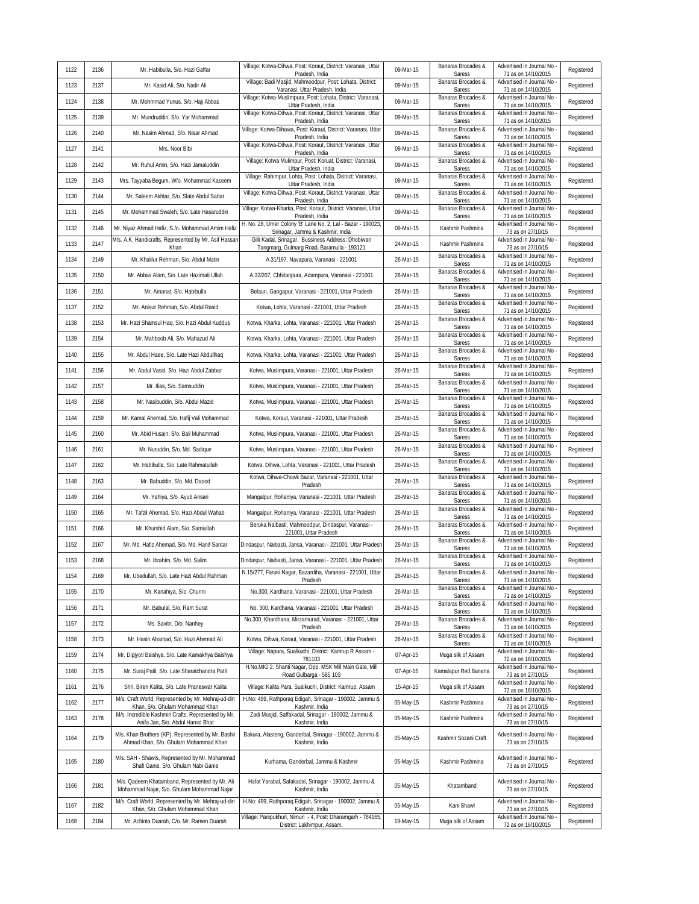|      |      |                                                                                              | Village: Kotwa-Dihwa, Post: Koraut, District: Varanasi, Uttar                                               |           | Banaras Brocades &           | Advertised in Journal No                          |            |
|------|------|----------------------------------------------------------------------------------------------|-------------------------------------------------------------------------------------------------------------|-----------|------------------------------|---------------------------------------------------|------------|
| 1122 | 2136 | Mr. Habibulla, S/o. Hazi Gaffar                                                              | Pradesh, India<br>Village: Badi Masjid, Mahmoodpur, Post: Lohata, District:                                 | 09-Mar-15 | Saress<br>Banaras Brocades & | 71 as on 14/10/2015<br>Advertised in Journal No   | Registered |
| 1123 | 2137 | Mr. Kasid Ali, S/o. Nadir Ali                                                                | Varanasi, Uttar Pradesh, India<br>Village: Kotwa-Muslimpura, Post: Lohata, District: Varanasi,              | 09-Mar-15 | Saress<br>Banaras Brocades & | 71 as on 14/10/2015<br>Advertised in Journal No   | Registered |
| 1124 | 2138 | Mr. Mohmmad Yunus, S/o. Haji Abbas                                                           | Uttar Pradesh, India<br>Village: Kotwa-Dihwa, Post: Koraut, District: Varanasi, Uttar                       | 09-Mar-15 | Saress<br>Banaras Brocades & | 71 as on 14/10/2015<br>Advertised in Journal No   | Registered |
| 1125 | 2139 | Mr. Mundruddin, S/o. Yar Mohammad                                                            | Pradesh, India<br>Village: Kotwa-Dihawa, Post: Koraut, District: Varanasi, Uttar                            | 09-Mar-15 | Saress<br>Banaras Brocades & | 71 as on 14/10/2015<br>Advertised in Journal No   | Registered |
| 1126 | 2140 | Mr. Nasim Ahmad, S/o. Nisar Ahmad                                                            | Pradesh, India                                                                                              | 09-Mar-15 | Saress                       | 71 as on 14/10/2015                               | Registered |
| 1127 | 2141 | Mrs. Noor Bibi                                                                               | Village: Kotwa-Dihwa, Post: Koraut, District: Varanasi, Uttar<br>Pradesh, India                             | 09-Mar-15 | Banaras Brocades &<br>Saress | Advertised in Journal No<br>71 as on 14/10/2015   | Registered |
| 1128 | 2142 | Mr. Ruhul Amin, S/o. Hazi Jamaluddin                                                         | Village: Kotwa Mulimpur, Post: Koruat, District: Varanasi,<br>Uttar Pradesh, India                          | 09-Mar-15 | Banaras Brocades &<br>Saress | Advertised in Journal No<br>71 as on 14/10/2015   | Registered |
| 1129 | 2143 | Mrs. Tayyaba Begum, W/o. Mohammad Kaseem                                                     | Village: Rahimpur, Lohta, Post: Lohata, District: Varanasi,<br>Uttar Pradesh, India                         | 09-Mar-15 | Banaras Brocades &<br>Saress | Advertised in Journal No<br>71 as on 14/10/2015   | Registered |
| 1130 | 2144 | Mr. Saleem Akhtar, S/o. Slate Abdul Sattar                                                   | Village: Kotwa-Dihwa, Post: Koraut, District: Varanasi, Uttar<br>Pradesh, India                             | 09-Mar-15 | Banaras Brocades &<br>Saress | Advertised in Journal No<br>71 as on 14/10/2015   | Registered |
| 1131 | 2145 | Mr. Mohammad Swaleh, S/o. Late Hasaruddin                                                    | Village: Kotwa-Kharka, Post: Koraut, District: Varanasi, Uttar<br>Pradesh, India                            | 09-Mar-15 | Banaras Brocades &<br>Saress | Advertised in Journal No<br>71 as on 14/10/2015   | Registered |
| 1132 | 2146 | Mr. Niyaz Ahmad Hafiz, S./o. Mohammad Amim Hafiz                                             | H. No. 28, Umer Colony 'B' Lane No. 2, Lal - Bazar - 190023,<br>Srinagar, Jammu & Kashmir, India            | 09-Mar-15 | Kashmir Pashmina             | Advertised in Journal No<br>73 as on 27/10/15     | Registered |
| 1133 | 2147 | M/s. A.K. Handicrafts, Represented by Mr. Asif Hassar<br>Khan                                | Gilli Kadal, Srinagar, Bussiness Address: Dhobiwan<br>Tangmarg, Gulmarg Road, Baramulla - 193121            | 24-Mar-15 | Kashmir Pashmina             | Advertised in Journal No<br>73 as on 27/10/15     | Registered |
| 1134 | 2149 | Mr. Khalilur Rehman, S/o. Abdul Matin                                                        | A.31/197, Navapura, Varanasi - 221001                                                                       | 26-Mar-15 | Banaras Brocades &<br>Saress | Advertised in Journal No -<br>71 as on 14/10/2015 | Registered |
| 1135 | 2150 | Mr. Abbas Alam, S/o. Late Hazimati Ullah                                                     | A.32/207, Chhitanpura, Adampura, Varanasi - 221001                                                          | 26-Mar-15 | Banaras Brocades &<br>Saress | Advertised in Journal No<br>71 as on 14/10/2015   | Registered |
| 1136 | 2151 | Mr. Amanat, S/o. Habibulla                                                                   | Belauri, Gangapur, Varanasi - 221001, Uttar Pradesh                                                         | 26-Mar-15 | Banaras Brocades &<br>Saress | Advertised in Journal No<br>71 as on 14/10/2015   | Registered |
| 1137 | 2152 | Mr. Anisur Rehman, S/o. Abdul Rasid                                                          | Kotwa, Lohta, Varanasi - 221001, Uttar Pradesh                                                              | 26-Mar-15 | Banaras Brocades &<br>Saress | Advertised in Journal No<br>71 as on 14/10/2015   | Registered |
| 1138 | 2153 | Mr. Hazi Shamsul Haq, S/o. Hazi Abdul Kuddus                                                 | Kotwa, Kharka, Lohta, Varanasi - 221001, Uttar Pradesh                                                      | 26-Mar-15 | Banaras Brocades &           | Advertised in Journal No                          | Registered |
| 1139 | 2154 | Mr. Mahboob Ali, S/o. Mahazud Ali                                                            | Kotwa, Kharka, Lohta, Varanasi - 221001, Uttar Pradesh                                                      | 26-Mar-15 | Saress<br>Banaras Brocades & | 71 as on 14/10/2015<br>Advertised in Journal No   | Registered |
| 1140 | 2155 | Mr. Abdul Haee, S/o. Late Hazi Abdullhaq                                                     | Kotwa, Kharka, Lohta, Varanasi - 221001, Uttar Pradesh                                                      | 26-Mar-15 | Saress<br>Banaras Brocades & | 71 as on 14/10/2015<br>Advertised in Journal No   | Registered |
| 1141 | 2156 | Mr. Abdul Vasid, S/o. Hazi Abdul Zabbar                                                      | Kotwa, Muslimpura, Varanasi - 221001, Uttar Pradesh                                                         | 26-Mar-15 | Saress<br>Banaras Brocades & | 71 as on 14/10/2015<br>Advertised in Journal No   | Registered |
| 1142 | 2157 |                                                                                              |                                                                                                             | 26-Mar-15 | Saress<br>Banaras Brocades & | 71 as on 14/10/2015<br>Advertised in Journal No   |            |
|      |      | Mr. Ilias, S/o. Samsuddin                                                                    | Kotwa, Muslimpura, Varanasi - 221001, Uttar Pradesh                                                         |           | Saress<br>Banaras Brocades & | 71 as on 14/10/2015<br>Advertised in Journal No   | Registered |
| 1143 | 2158 | Mr. Nasibuddin, S/o. Abdul Mazid                                                             | Kotwa, Muslimpura, Varanasi - 221001, Uttar Pradesh                                                         | 26-Mar-15 | Saress<br>Banaras Brocades & | 71 as on 14/10/2015<br>Advertised in Journal No   | Registered |
| 1144 | 2159 | Mr. Kamal Ahemad, S/o. Hafij Vali Mohammad                                                   | Kotwa, Koraut, Varanasi - 221001, Uttar Pradesh                                                             | 26-Mar-15 | Saress<br>Banaras Brocades & | 71 as on 14/10/2015<br>Advertised in Journal No   | Registered |
| 1145 | 2160 | Mr. Abid Husain, S/o. Bali Muhammad                                                          | Kotwa, Muslimpura, Varanasi - 221001, Uttar Pradesh                                                         | 26-Mar-15 | Saress<br>Banaras Brocades & | 71 as on 14/10/2015<br>Advertised in Journal No   | Registered |
| 1146 | 2161 | Mr. Nuruddin, S/o. Md. Sadique                                                               | Kotwa, Muslimpura, Varanasi - 221001, Uttar Pradesh                                                         | 26-Mar-15 | Saress<br>Banaras Brocades & | 71 as on 14/10/2015<br>Advertised in Journal No   | Registered |
| 1147 | 2162 | Mr. Habibulla, S/o. Late Rahmatullah                                                         | Kotwa, Dihwa, Lohta, Varanasi - 221001, Uttar Pradesh<br>Kotwa, Dihwa-Chowk Bazar, Varanasi - 221001, Uttar | 26-Mar-15 | Saress<br>Banaras Brocades & | 71 as on 14/10/2015<br>Advertised in Journal No   | Registered |
| 1148 | 2163 | Mr. Babuddin, S/o. Md. Daood                                                                 | Pradesh                                                                                                     | 26-Mar-15 | Saress                       | 71 as on 14/10/2015                               | Registered |
| 1149 | 2164 | Mr. Yahiya, S/o. Ayub Ansari                                                                 | Mangalpur, Rohaniya, Varanasi - 221001, Uttar Pradesh                                                       | 26-Mar-15 | Banaras Brocades &<br>Saress | Advertised in Journal No<br>71 as on 14/10/2015   | Registered |
| 1150 | 2165 | Mr. Tafzil Ahemad, S/o. Hazi Abdul Wahab                                                     | Mangalpur, Rohaniya, Varanasi - 221001, Uttar Pradesh                                                       | 26-Mar-15 | Banaras Brocades &<br>Saress | Advertised in Journal No<br>71 as on 14/10/2015   | Registered |
| 1151 | 2166 | Mr. Khurshid Alam, S/o. Samiullah                                                            | Beruka Naibasti, Mahmoodpur, Dindaspur, Varanasi -<br>221001, Uttar Pradesh                                 | 26-Mar-15 | Banaras Brocades &<br>Saress | Advertised in Journal No<br>71 as on 14/10/2015   | Registered |
| 1152 | 2167 | Mr. Md. Hafiz Ahemad, S/o. Md. Hanif Sardar                                                  | Dindaspur, Naibasti, Jansa, Varanasi - 221001, Uttar Pradesh                                                | 26-Mar-15 | Banaras Brocades &<br>Saress | Advertised in Journal No<br>71 as on 14/10/2015   | Registered |
| 1153 | 2168 | Mr. Ibrahim, S/o. Md. Salim                                                                  | Dindaspur, Naibasti, Jansa, Varanasi - 221001, Uttar Pradesh                                                | 26-Mar-15 | Banaras Brocades &<br>Saress | Advertised in Journal No<br>71 as on 14/10/2015   | Registered |
| 1154 | 2169 | Mr. Ubedullah, S/o. Late Hazi Abdul Rahman                                                   | N.15/277, Faruki Nagar, Bazardiha, Varanasi - 221001, Uttar<br>Pradesh                                      | 26-Mar-15 | Banaras Brocades &<br>Saress | Advertised in Journal No -<br>71 as on 14/10/2015 | Registered |
| 1155 | 2170 | Mr. Kanahiya, S/o. Chunni                                                                    | No.300, Kardhana, Varanasi - 221001, Uttar Pradesh                                                          | 26-Mar-15 | Banaras Brocades &<br>Saress | Advertised in Journal No<br>71 as on 14/10/2015   | Registered |
| 1156 | 2171 | Mr. Babulal, S/o. Ram Surat                                                                  | No. 300, Kardhana, Varanasi - 221001, Uttar Pradesh                                                         | 26-Mar-15 | Banaras Brocades &<br>Saress | Advertised in Journal No<br>71 as on 14/10/2015   | Registered |
| 1157 | 2172 | Ms. Savitri, D/o. Nanhey                                                                     | No.300, Khardhana, Mirzamurad, Varanasi - 221001, Uttar<br>Pradesh                                          | 26-Mar-15 | Banaras Brocades &<br>Saress | Advertised in Journal No<br>71 as on 14/10/2015   | Registered |
| 1158 | 2173 | Mr. Hasin Ahamad, S/o. Hazi Ahemad Ali                                                       | Kotwa, Dihwa, Koraut, Varanasi - 221001, Uttar Pradesh                                                      | 26-Mar-15 | Banaras Brocades &           | Advertised in Journal No<br>71 as on 14/10/2015   | Registered |
| 1159 | 2174 | Mr. Dipjyoti Baishya, S/o. Late Kamakhya Baishya                                             | Village: Napara, Sualkuchi, District: Kamrup R Assam -                                                      | 07-Apr-15 | Saress<br>Muga silk of Assam | Advertised in Journal No                          | Registered |
| 1160 | 2175 | Mr. Suraj Patil, S/o. Late Sharatchandra Patil                                               | 781103<br>H.No.MIG 2, Shanti Nagar, Opp. MSK Mill Main Gate, Mill                                           | 07-Apr-15 | Kamalapur Red Banana         | 72 as on 16/10/2015<br>Advertised in Journal No   | Registered |
| 1161 | 2176 | Shri. Biren Kalita, S/o. Late Praneswar Kalita                                               | Road Gulbarga - 585 103<br>Village: Kalita Para, Sualkuchi, District: Kamrup, Assam                         | 15-Apr-15 | Muga silk of Assam           | 73 as on 27/10/15<br>Advertised in Journal No     | Registered |
| 1162 | 2177 | M/s. Craft World, Represented by Mr. Mehraj-ud-din                                           | H.No: 499, Rathporag Edigah, Srinagar - 190002, Jammu &                                                     | 05-May-15 | Kashmir Pashmina             | 72 as on 16/10/2015<br>Advertised in Journal No   | Registered |
|      |      | Khan, S/o. Ghulam Mohammad Khan<br>M/s. Incredible Kashmiri Crafts, Represented by Mr.       | Kashmir, India<br>Zadi Musjid, Saffakadal, Srinagar - 190002, Jammu &                                       |           |                              | 73 as on 27/10/15<br>Advertised in Journal No     |            |
| 1163 | 2178 | Anifa Jan, S/o. Abdul Hamid Bhat                                                             | Kashmir, India                                                                                              | 05-May-15 | Kashmir Pashmina             | 73 as on 27/10/15                                 | Registered |
| 1164 | 2179 | M/s. Khan Brothers (KP), Represented by Mr. Bashir<br>Ahmad Khan, S/o. Ghulam Mohammad Khan  | Bakura, Alasteng, Ganderbal, Srinagar - 190002, Jammu &<br>Kashmir, India                                   | 05-May-15 | Kashmir Sozani Craft         | Advertised in Journal No<br>73 as on 27/10/15     | Registered |
| 1165 | 2180 | M/s. SAH - Shawls, Represented by Mr. Mohammad<br>Shafi Ganie, S/o. Ghulam Nabi Ganie        | Kurhama, Ganderbal, Jammu & Kashmir                                                                         | 05-May-15 | Kashmir Pashmina             | Advertised in Journal No<br>73 as on 27/10/15     | Registered |
| 1166 | 2181 | M/s. Qadeem Khatamband, Represented by Mr. Ali<br>Mohammad Najar, S/o. Ghulam Mohammad Najar | Hafat Yarabal, Safakadal, Srinagar - 190002, Jammu &<br>Kashmir, India                                      | 05-May-15 | Khatamband                   | Advertised in Journal No<br>73 as on 27/10/15     | Registered |
| 1167 | 2182 | M/s. Craft World, Represented by Mr. Mehraj-ud-din<br>Khan, S/o. Ghulam Mohammad Khan        | H.No: 499, Rathporaq Edigah, Srinagar - 190002, Jammu &<br>Kashmir, India                                   | 05-May-15 | Kani Shawl                   | Advertised in Journal No<br>73 as on 27/10/15     | Registered |
| 1168 | 2184 | Mr. Achinta Duarah, C/o. Mr. Ramen Duarah                                                    | Village: Panipukhuri, Nimuri - 4, Post: Dharamgarh - 784165,<br>District: Lakhimpur, Assam,                 | 19-May-15 | Muga silk of Assam           | Advertised in Journal No<br>72 as on 16/10/2015   | Registered |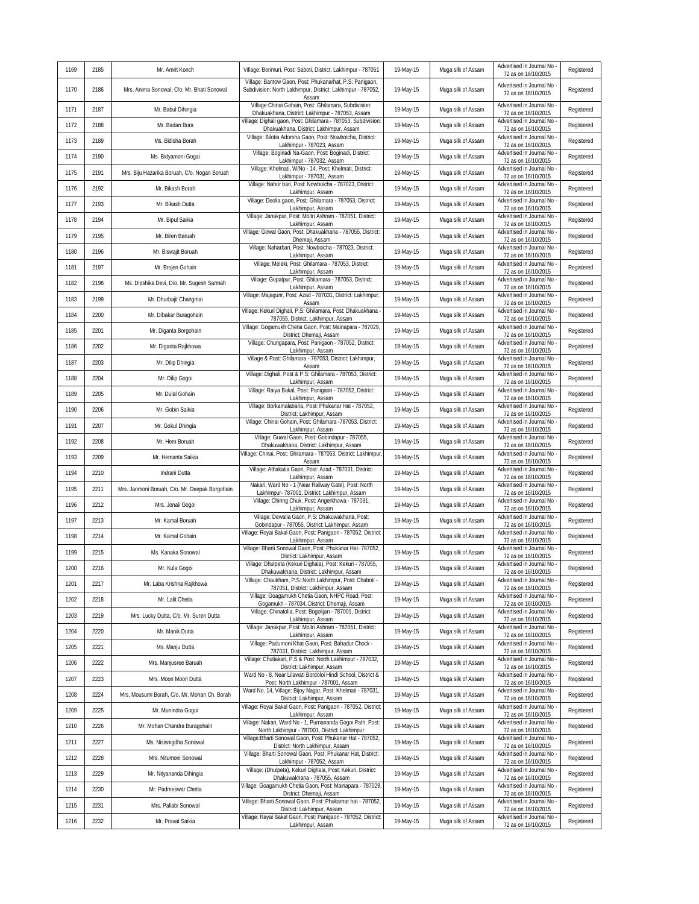| 1169 | 2185 | Mr. Amrit Konch                                | Village: Borimuri, Post: Saboti, District: Lakhimpur - 787051                                                                   | 19-May-15 | Muga silk of Assam | Advertised in Journal No<br>72 as on 16/10/2015   | Registered |
|------|------|------------------------------------------------|---------------------------------------------------------------------------------------------------------------------------------|-----------|--------------------|---------------------------------------------------|------------|
| 1170 | 2186 | Mrs. Anima Sonowal, C/o. Mr. Bhati Sonowal     | Village: Bantow Gaon, Post: Phukanarhat, P.S: Panigaon,<br>Subdivision: North Lakhimpur, District: Lakhimpur - 787052,<br>Assam | 19-May-15 | Muga silk of Assam | Advertised in Journal No<br>72 as on 16/10/2015   | Registered |
| 1171 | 2187 | Mr. Babul Dihingia                             | Village:Chinai Gohain, Post: Ghilamara, Subdivision:<br>Dhakuakhana, District: Lakhimpur - 787053, Assam                        | 19-May-15 | Muga silk of Assam | Advertised in Journal No<br>72 as on 16/10/2015   | Registered |
| 1172 | 2188 | Mr. Badan Bora                                 | Village: Dighali gaon, Post: Ghilamara - 787053, Subdivision:<br>Dhakuakhana, District: Lakhimpur, Assam                        | 19-May-15 | Muga silk of Assam | Advertised in Journal No<br>72 as on 16/10/2015   | Registered |
| 1173 | 2189 | Ms. Bidisha Borah                              | Village: Bilotia Adorsha Gaon, Post: Nowboicha, District:<br>Lakhimpur - 787023, Assam                                          | 19-May-15 | Muga silk of Assam | Advertised in Journal No<br>72 as on 16/10/2015   | Registered |
| 1174 | 2190 | Ms. Bidyamoni Gogai                            | Village: Boginadi Na-Gaon, Post: Boginadi, District:<br>Lakhimpur - 787032, Assam                                               | 19-May-15 | Muga silk of Assam | Advertised in Journal No<br>72 as on 16/10/2015   | Registered |
| 1175 | 2191 | Mrs. Biju Hazarika Boruah, C/o. Nogan Boruah   | Village: Khelmati, W/No - 14, Post: Khelmati, District:<br>Lakhimpur - 787031, Assam                                            | 19-May-15 | Muga silk of Assam | Advertised in Journal No<br>72 as on 16/10/2015   | Registered |
| 1176 | 2192 | Mr. Bikash Borah                               | Village: Nahor bari, Post: Nowboicha - 787023, District:<br>Lakhimpur, Assam                                                    | 19-May-15 | Muga silk of Assam | Advertised in Journal No<br>72 as on 16/10/2015   | Registered |
| 1177 | 2193 | Mr. Bikash Dutta                               | Village: Deolia gaon, Post: Ghilamara - 787053, District:<br>Lakhimpur, Assam                                                   | 19-May-15 | Muga silk of Assam | Advertised in Journal No<br>72 as on 16/10/2015   | Registered |
| 1178 | 2194 | Mr. Bipul Saikia                               | Village: Janakpur, Post: Moitri Ashram - 787051, District:<br>Lakhimpur, Assam                                                  | 19-May-15 | Muga silk of Assam | Advertised in Journal No<br>72 as on 16/10/2015   | Registered |
| 1179 | 2195 | Mr. Biren Baruah                               | Village: Gowal Gaon, Post: Dhakuakhana - 787055, District:<br>Dhemaji, Assam                                                    | 19-May-15 | Muga silk of Assam | Advertised in Journal No<br>72 as on 16/10/2015   | Registered |
| 1180 | 2196 | Mr. Biswajit Boruah                            | Village: Naharbari, Post: Nowboicha - 787023, District:<br>Lakhimpur, Assam                                                     | 19-May-15 | Muga silk of Assam | Advertised in Journal No<br>72 as on 16/10/2015   | Registered |
| 1181 | 2197 | Mr. Brojen Gohain                              | Village: Meleki, Post: Ghilamara - 787053, District:<br>Lakhimpur, Assam                                                        | 19-May-15 | Muga silk of Assam | Advertised in Journal No<br>72 as on 16/10/2015   | Registered |
| 1182 | 2198 | Ms. Dipshika Devi, D/o. Mr. Sugesh Sarmah      | Village: Gopalpur, Post: Ghilamara - 787053, District:<br>Lakhimpur, Assam                                                      | 19-May-15 | Muga silk of Assam | Advertised in Journal No<br>72 as on 16/10/2015   | Registered |
| 1183 | 2199 | Mr. Dhurbajit Changmai                         | Village: Majagunr, Post: Azad - 787031, District: Lakhimpur,<br>Assam                                                           | 19-May-15 | Muga silk of Assam | Advertised in Journal No<br>72 as on 16/10/2015   | Registered |
| 1184 | 2200 | Mr. Dibakar Buragohain                         | Village: Kekuri Dighali, P.S: Ghilamara, Post: Dhakuakhana -<br>787055, District: Lakhimpur, Assam                              | 19-May-15 | Muga silk of Assam | Advertised in Journal No<br>72 as on 16/10/2015   | Registered |
| 1185 | 2201 | Mr. Diganta Borgohain                          | Village: Gogamukh Chetia Gaon, Post: Mainapara - 787029,<br>District: Dhemaji, Assam                                            | 19-May-15 | Muga silk of Assam | Advertised in Journal No<br>72 as on 16/10/2015   | Registered |
| 1186 | 2202 | Mr. Diganta Rajkhowa                           | Village: Chungapara, Post: Panigaon - 787052, District:<br>Lakhimpur, Assam                                                     | 19-May-15 | Muga silk of Assam | Advertised in Journal No<br>72 as on 16/10/2015   | Registered |
| 1187 | 2203 | Mr. Dilip Dhingia                              | Village & Post: Ghilamara - 787053, District: Lakhimpur,<br>Assam                                                               | 19-May-15 | Muga silk of Assam | Advertised in Journal No<br>72 as on 16/10/2015   | Registered |
| 1188 | 2204 | Mr. Dilip Gogoi                                | Village: Dighali, Post & P.S: Ghilamara - 787053, District:<br>Lakhimpur, Assam                                                 | 19-May-15 | Muga silk of Assam | Advertised in Journal No<br>72 as on 16/10/2015   | Registered |
| 1189 | 2205 | Mr. Dulal Gohain                               | Village: Raiya Bakal, Post: Panigaon - 787052, District:<br>Lakhimpur, Assam                                                    | 19-May-15 | Muga silk of Assam | Advertised in Journal No<br>72 as on 16/10/2015   | Registered |
| 1190 | 2206 | Mr. Gobin Saikia                               | Village: Borkamalabaria, Post: Phukanar Hat - 787052,<br>District: Lakhimpur, Assam                                             | 19-May-15 | Muga silk of Assam | Advertised in Journal No<br>72 as on 16/10/2015   | Registered |
| 1191 | 2207 | Mr. Gokul Dhingia                              | Village: Chinai Gohain, Post: Ghilamara -787053, District:<br>Lakhimpur, Assam                                                  | 19-May-15 | Muga silk of Assam | Advertised in Journal No<br>72 as on 16/10/2015   | Registered |
| 1192 | 2208 | Mr. Hem Boruah                                 | Village: Guwal Gaon, Post: Gobindapur - 787055,<br>Dhakuwakhana, District: Lakhimpur, Assam                                     | 19-May-15 | Muga silk of Assam | Advertised in Journal No<br>72 as on 16/10/2015   | Registered |
| 1193 | 2209 | Mr. Hemanta Saikia                             | Village: Chinai, Post: Ghilamara - 787053, District: Lakhimpur,<br>Assam                                                        | 19-May-15 | Muga silk of Assam | Advertised in Journal No<br>72 as on 16/10/2015   | Registered |
| 1194 | 2210 | Indrani Dutta                                  | Village: Athakatia Gaon, Post: Azad - 787031, District:<br>Lakhimpur, Assam                                                     | 19-May-15 | Muga silk of Assam | Advertised in Journal No<br>72 as on 16/10/2015   | Registered |
| 1195 | 2211 | Mrs. Janmoni Boruah, C/o. Mr. Deepak Borgohain | Nakari, Ward No - 1 (Near Railway Gate), Post: North<br>Lakhimpur- 787001, District: Lakhimpur, Assam                           | 19-May-15 | Muga silk of Assam | Advertised in Journal No<br>72 as on 16/10/2015   | Registered |
| 1196 | 2212 | Mrs. Jonali Gogoi                              | Village: Chiring Chuk, Post: Angerkhowa - 787031,<br>Lakhimpur, Assam                                                           | 19-May-15 | Muga silk of Assam | Advertised in Journal No<br>72 as on 16/10/2015   | Registered |
| 1197 | 2213 | Mr. Kamal Boruah                               | Village: Dewalia Gaon, P.S: Dhakuwakhana, Post:<br>Gobindapur - 787055, District: Lakhimpur, Assam                              | 19-May-15 | Muga silk of Assam | Advertised in Journal No<br>72 as on 16/10/2015   | Registered |
| 1198 | 2214 | Mr. Kamal Gohain                               | Village: Royai Bakal Gaon, Post: Panigaon - 787052, District:<br>Lakhimpur, Assam                                               | 19-May-15 | Muga silk of Assam | Advertised in Journal No<br>72 as on 16/10/2015   | Registered |
| 1199 | 2215 | Ms. Kanaka Sonowal                             | Village: Bharti Sonowal Gaon, Post: Phukanar Hat- 787052,<br>District: Lakhimpur, Assam                                         | 19-May-15 | Muga silk of Assam | Advertised in Journal No<br>72 as on 16/10/2015   | Registered |
| 1200 | 2216 | Mr. Kula Gogoi                                 | Village: Dhulpeta (Kekuri Dighala), Post: Kekuri - 787055,<br>Dhakuwakhana, District: Lakhimpur, Assam                          | 19-May-15 | Muga silk of Assam | Advertised in Journal No<br>72 as on 16/10/2015   | Registered |
| 1201 | 2217 | Mr. Laba Krishna Rajkhowa                      | Village: Chaukham, P.S: North Lakhimpur, Post: Chaboti -<br>787051, District: Lakhimpur, Assam                                  | 19-May-15 | Muga silk of Assam | Advertised in Journal No<br>72 as on 16/10/2015   | Registered |
| 1202 | 2218 | Mr. Lalit Chetia                               | Village: Goagamukh Chetia Gaon, NHPC Road, Post:<br>Gogamukh - 787034, District: Dhemaji, Assam                                 | 19-May-15 | Muga silk of Assam | Advertised in Journal No<br>72 as on 16/10/2015   | Registered |
| 1203 | 2219 | Mrs. Lucky Dutta, C/o. Mr. Suren Dutta         | Village: Chinatolia, Post: Bogolijan - 787001, District:<br>Lakhimpur, Assam                                                    | 19-May-15 | Muga silk of Assam | Advertised in Journal No<br>72 as on 16/10/2015   | Registered |
| 1204 | 2220 | Mr. Manik Dutta                                | Village: Janakpur, Post: Moitri Ashram - 787051, District:<br>Lakhimpur, Assam                                                  | 19-May-15 | Muga silk of Assam | Advertised in Journal No<br>72 as on 16/10/2015   | Registered |
| 1205 | 2221 | Ms. Manju Dutta                                | Village: Padumoni Khat Gaon, Post: Bahadur Chock -<br>787031, District: Lakhimpur, Assam                                        | 19-May-15 | Muga silk of Assam | Advertised in Journal No<br>72 as on 16/10/2015   | Registered |
| 1206 | 2222 | Mrs. Manjusree Baruah                          | Village: Chutiakari, P.S & Post: North Lakhimpur - 787032,<br>District: Lakhimpur, Assam                                        | 19-May-15 | Muga silk of Assam | Advertised in Journal No<br>72 as on 16/10/2015   | Registered |
| 1207 | 2223 | Mrs. Moon Moon Dutta                           | Ward No - 8, Near Lilawati Bordoloi Hindi School, District &<br>Post: North Lakhimpur - 787001, Assam                           | 19-May-15 | Muga silk of Assam | Advertised in Journal No<br>72 as on 16/10/2015   | Registered |
| 1208 | 2224 | Mrs. Mousumi Borah, C/o. Mr. Mohan Ch. Borah   | Ward No. 14, Village: Bijoy Nagar, Post: Khelmati - 787031,<br>District: Lakhimpur, Assam                                       | 19-May-15 | Muga silk of Assam | Advertised in Journal No<br>72 as on 16/10/2015   | Registered |
| 1209 | 2225 | Mr. Munindra Gogoi                             | Village: Royai Bakal Gaon, Post: Panigaon - 787052, District:<br>Lakhimpur, Assam                                               | 19-May-15 | Muga silk of Assam | Advertised in Journal No<br>72 as on 16/10/2015   | Registered |
| 1210 | 2226 | Mr. Mohan Chandra Buragohain                   | Village: Nakari, Ward No - 1, Purnananda Gogoi Path, Post:<br>North Lakhimpur - 787001, District: Lakhimpur                     | 19-May-15 | Muga silk of Assam | Advertised in Journal No<br>72 as on 16/10/2015   | Registered |
| 1211 | 2227 | Ms. Nisisnigdha Sonowal                        | Village: Bharti Sonowal Gaon, Post: Phukanar Hat - 787052,<br>District: North Lakhimpur, Assam                                  | 19-May-15 | Muga silk of Assam | Advertised in Journal No<br>72 as on 16/10/2015   | Registered |
| 1212 | 2228 | Mrs. Nitumoni Sonowal                          | Village: Bharti Sonowal Gaon, Post: Phukanar Hat, District:<br>Lakhimpur - 787052, Assam                                        | 19-May-15 | Muga silk of Assam | Advertised in Journal No<br>72 as on 16/10/2015   | Registered |
| 1213 | 2229 | Mr. Nityananda Dihingia                        | Village: (Dhulpeta), Kekuri Dighala, Post: Kekuri, District:<br>Dhakuwakhana - 787055, Assam                                    | 19-May-15 | Muga silk of Assam | Advertised in Journal No<br>72 as on 16/10/2015   | Registered |
| 1214 | 2230 | Mr. Padmeswar Chetia                           | Village: Goagamukh Chetia Gaon, Post: Mainapara - 787029,<br>District: Dhemaji, Assam                                           | 19-May-15 | Muga silk of Assam | Advertised in Journal No<br>72 as on 16/10/2015   | Registered |
| 1215 | 2231 | Mrs. Pallabi Sonowal                           | Village: Bharti Sonowal Gaon, Post: Phukarnar hat - 787052,<br>District: Lakhimpur, Assam                                       | 19-May-15 | Muga silk of Assam | Advertised in Journal No<br>72 as on 16/10/2015   | Registered |
| 1216 | 2232 | Mr. Pravat Saikia                              | Village: Rayai Bakal Gaon, Post: Panigaon - 787052, District:<br>Lakhimpur, Assam                                               | 19-May-15 | Muga silk of Assam | Advertised in Journal No -<br>72 as on 16/10/2015 | Registered |
|      |      |                                                |                                                                                                                                 |           |                    |                                                   |            |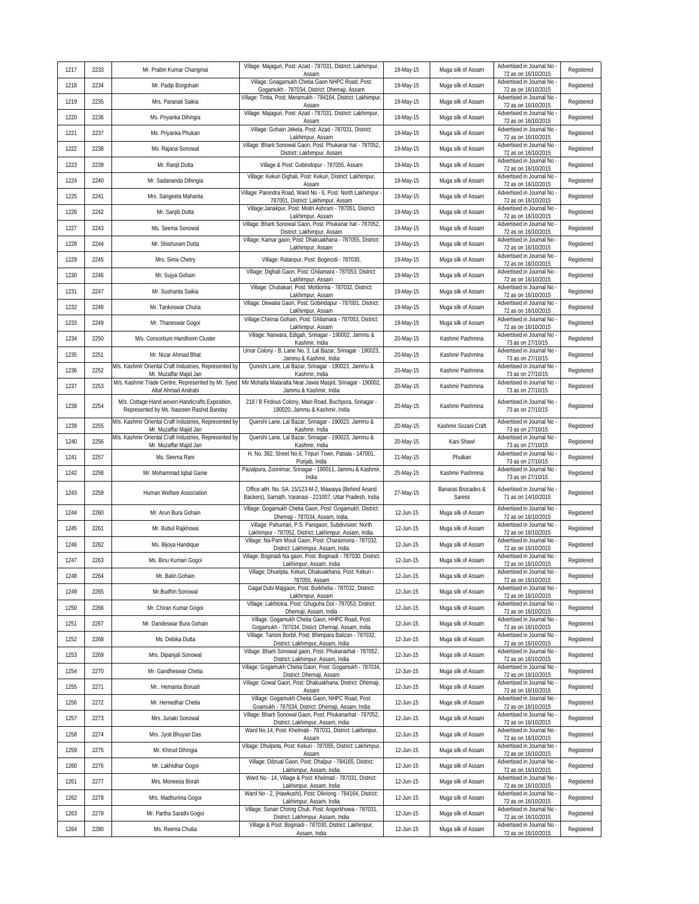| 1217 | 2233 | Mr. Prabin Kumar Changmai                                                                   | Village: Majaguri, Post: Azad - 787031, District: Lakhimpur,<br>Assam                                               | 19-May-15 | Muga silk of Assam           | Advertised in Journal No<br>72 as on 16/10/2015   | Registered |
|------|------|---------------------------------------------------------------------------------------------|---------------------------------------------------------------------------------------------------------------------|-----------|------------------------------|---------------------------------------------------|------------|
| 1218 | 2234 | Mr. Padip Borgohain                                                                         | Village: Goagamukh Chetia Gaon NHPC Road, Post:<br>Gogamukh - 787034, District: Dhemaji, Assam                      | 19-May-15 | Muga silk of Assam           | Advertised in Journal No<br>72 as on 16/10/2015   | Registered |
| 1219 | 2235 | Mrs. Paranati Saikia                                                                        | Village: Tintia, Post: Meramukh - 784164, District: Lakhimpur,<br>Assam                                             | 19-May-15 | Muga silk of Assam           | Advertised in Journal No<br>72 as on 16/10/2015   | Registered |
| 1220 | 2236 | Ms. Priyanka Dihingia                                                                       | Village: Majaguri, Post: Azad - 787031, District: Lakhimpur,<br>Assam                                               | 19-May-15 | Muga silk of Assam           | Advertised in Journal No<br>72 as on 16/10/2015   | Registered |
| 1221 | 2237 | Ms. Priyanka Phukan                                                                         | Village: Gohain Jekela, Post: Azad - 787031, District:<br>Lakhimpur, Assam                                          | 19-May-15 | Muga silk of Assam           | Advertised in Journal No<br>72 as on 16/10/2015   | Registered |
| 1222 | 2238 | Ms. Rajana Sonowal                                                                          | Village: Bharti Sonowal Gaon, Post: Phukanar hat - 787052,<br>District: Lakhimpur, Assam                            | 19-May-15 | Muga silk of Assam           | Advertised in Journal No<br>72 as on 16/10/2015   | Registered |
| 1223 | 2239 | Mr. Ranjit Dutta                                                                            | Village & Post: Gobindopur - 787055, Assam                                                                          | 19-May-15 | Muga silk of Assam           | Advertised in Journal No<br>72 as on 16/10/2015   | Registered |
| 1224 | 2240 | Mr. Sadananda Dihingia                                                                      | Village: Kekuri Dighali, Post: Kekuri, District: Lakhimpur,<br>Assam                                                | 19-May-15 | Muga silk of Assam           | Advertised in Journal No<br>72 as on 16/10/2015   | Registered |
| 1225 | 2241 | Mrs. Sangeeta Mahanta                                                                       | Village: Panindra Road, Ward No - 6, Post: North Lakhimpur<br>787001, District: Lakhimpur, Assam                    | 19-May-15 | Muga silk of Assam           | Advertised in Journal No<br>72 as on 16/10/2015   | Registered |
| 1226 | 2242 | Mr. Sanjib Dutta                                                                            | Village: Janakpur, Post: Moitri Ashram - 787051, District:<br>Lakhimpur, Assam                                      | 19-May-15 | Muga silk of Assam           | Advertised in Journal No<br>72 as on 16/10/2015   | Registered |
| 1227 | 2243 | Ms. Seema Sonowal                                                                           | Village: Bharti Sonowal Gaon, Post: Phukanar hat - 787052,<br>District: Lakhimpur, Assam                            | 19-May-15 | Muga silk of Assam           | Advertised in Journal No<br>72 as on 16/10/2015   | Registered |
| 1228 | 2244 | Mr. Shishuram Dutta                                                                         | Village: Kamar gaon, Post: Dhakuakhana - 787055, District:<br>Lakhimpur, Assam                                      | 19-May-15 | Muga silk of Assam           | Advertised in Journal No<br>72 as on 16/10/2015   | Registered |
| 1229 | 2245 | Mrs. Sima Chetry                                                                            | Village: Ratanpur, Post: Boginodi - 787030,                                                                         | 19-May-15 | Muga silk of Assam           | Advertised in Journal No<br>72 as on 16/10/2015   | Registered |
| 1230 | 2246 | Mr. Sujya Gohain                                                                            | Village: Dighali Gaon, Post: Ghilamara - 787053, District:<br>Lakhimpur, Assam                                      | 19-May-15 | Muga silk of Assam           | Advertised in Journal No<br>72 as on 16/10/2015   | Registered |
| 1231 | 2247 | Mr. Sushanta Saikia                                                                         | Village: Chutiakari, Post: Moldomia - 787032, District:<br>Lakhimpur, Assam                                         | 19-May-15 | Muga silk of Assam           | Advertised in Journal No<br>72 as on 16/10/2015   | Registered |
| 1232 | 2248 | Mr. Tankeswar Chutia                                                                        | Village: Dewalia Gaon, Post: Gobindapur - 787001, District:<br>Lakhimpur, Assam                                     | 19-May-15 | Muga silk of Assam           | Advertised in Journal No<br>72 as on 16/10/2015   | Registered |
| 1233 | 2249 | Mr. Thaneswar Gogoi                                                                         | Village: Chinnai Gohain, Post: Ghilamara - 787053, District:<br>Lakhimpur, Assam                                    | 19-May-15 | Muga silk of Assam           | Advertised in Journal No<br>72 as on 16/10/2015   | Registered |
| 1234 | 2250 | M/s. Consortium Handloom Cluster                                                            | Village: Narwara, Edigah, Srinagar - 190002, Jammu &<br>Kashmir, India                                              | 20-May-15 | Kashmir Pashmina             | Advertised in Journal No<br>73 as on 27/10/15     | Registered |
| 1235 | 2251 | Mr. Nizar Ahmad Bhat                                                                        | Umar Colony - B, Lane No. 3, Lal Bazar, Srinagar - 190023,<br>Jammu & Kashmir, India                                | 20-May-15 | Kashmir Pashmina             | Advertised in Journal No<br>73 as on 27/10/15     | Registered |
| 1236 | 2252 | M/s. Kashmir Oriental Craft Industries, Represented by<br>Mr. Muzaffar Majid Jan            | Qureshi Lane, Lal Bazar, Srinagar - 190023, Jammu &<br>Kashmir, India                                               | 20-May-15 | Kashmir Pashmina             | Advertised in Journal No<br>73 as on 27/10/15     | Registered |
| 1237 | 2253 | M/s. Kashmir Trade Centre, Represented by Mr. Syed<br>Altaf Ahmad Andrabi                   | Mir Mohalla Malaratta Near Jawia Masjid, Srinagar - 190002,<br>Jammu & Kashmir, India                               | 20-May-15 | Kashmir Pashmina             | Advertised in Journal No<br>73 as on 27/10/15     | Registered |
| 1238 | 2254 | M/s. Cottage Hand woven Handicrafts Exposition,<br>Represented by Ms. Nasreen Rashid Banday | 218 / B Firdous Colony, Main Road, Buchpora, Srinagar -<br>190020, Jammu & Kashmir, India                           | 20-May-15 | Kashmir Pashmina             | Advertised in Journal No<br>73 as on 27/10/15     | Registered |
| 1239 | 2255 | M/s. Kashmir Oriental Craft Industries, Represented by<br>Mr. Muzaffar Majid Jan            | Quershi Lane, Lal Bazar, Srinagar - 190023, Jammu &<br>Kashmir, India                                               | 20-May-15 | Kashmir Sozani Craft         | Advertised in Journal No<br>73 as on 27/10/15     | Registered |
| 1240 | 2256 | M/s. Kashmir Oriental Craft Industries, Represented by<br>Mr. Muzaffar Majid Jan            | Quershi Lane, Lal Bazar, Srinagar - 190023, Jammu &<br>Kashmir, India                                               | 20-May-15 | Kani Shawl                   | Advertised in Journal No<br>73 as on 27/10/15     | Registered |
| 1241 | 2257 | Ms. Seema Rani                                                                              | H. No. 382, Street No.6, Tripuri Town, Patiala - 147001,<br>Punjab, India                                           | 21-May-15 | Phulkari                     | Advertised in Journal No<br>73 as on 27/10/15     | Registered |
| 1242 | 2258 | Mr. Mohammad Iqbal Ganie                                                                    | Pazalpura, Zoonimar, Srinagar - 190011, Jammu & Kashmir,<br>India                                                   | 25-May-15 | Kashmir Pashmina             | Advertised in Journal No<br>73 as on 27/10/15     | Registered |
| 1243 | 2259 | Human Welfare Association                                                                   | Office atH. No. SA. 15/123-M-2, Mawaiya (Behind Anand<br>Backers), Sarnath, Varanasi - 221007, Uttar Pradesh, India | 27-May-15 | Banaras Brocades &<br>Saress | Advertised in Journal No<br>71 as on 14/10/2015   | Registered |
| 1244 | 2260 | Mr. Arun Bura Gohain                                                                        | Village: Gogamukh Chetia Gaon, Post: Gogamukh, District:<br>Dhemaji - 787034, Assam, India.                         | 12-Jun-15 | Muga silk of Assam           | Advertised in Journal No<br>72 as on 16/10/2015   | Registered |
| 1245 | 2261 | Mr. Bubul Rajkhowa                                                                          | Village: Pahumari, P.S: Panigaon, Subdivision: North<br>Lakhimpur - 787052, District: Lakhimpur, Assam, India.      | 12-Jun-15 | Muga silk of Assam           | Advertised in Journal No<br>72 as on 16/10/2015   | Registered |
| 1246 | 2262 | Ms. Bijoya Handique                                                                         | Village: Na-Pam Mouli Gaon, Post: Charaimoria - 787032,<br>District: Lakhimpur, Assam, India                        | 12-Jun-15 | Muga silk of Assam           | Advertised in Journal No<br>72 as on 16/10/2015   | Registered |
| 1247 | 2263 | Ms. Binu Kumari Gogoi                                                                       | Village: Boginadi Na-gaon, Post: Boginadi - 787030, District:<br>Lakhimpur, Assam, India                            | 12-Jun-15 | Muga silk of Assam           | Advertised in Journal No<br>72 as on 16/10/2015   | Registered |
| 1248 | 2264 | Mr. Balin Gohain                                                                            | Village: Dhuelpta, Kekuri, Dhakuakhana, Post: Kekuri -<br>787055, Assam                                             | 12-Jun-15 | Muga silk of Assam           | Advertised in Journal No -<br>72 as on 16/10/2015 | Registered |
| 1249 | 2265 | Mr.Budhin Sonowal                                                                           | Gagal Dubi Majgaon, Post: Borkhelia - 787032, District:<br>Lakhimpur, Assam                                         | 12-Jun-15 | Muga silk of Assam           | Advertised in Journal No<br>72 as on 16/10/2015   | Registered |
| 1250 | 2266 | Mr. Chiran Kumar Gogoi                                                                      | Village: Lakhtokia, Post: Ghuguha Dol - 787053, District:<br>Dhemaji, Assam, India                                  | 12-Jun-15 | Muga silk of Assam           | Advertised in Journal No<br>72 as on 16/10/2015   | Registered |
| 1251 | 2267 | Mr. Dandeswar Bura Gohain                                                                   | Village: Gogamukh Cheita Gaon, HHPC Road, Post:<br>Gogamukh - 787034, Distict: Dhemaji, Assam, India                | 12-Jun-15 | Muga silk of Assam           | Advertised in Journal No<br>72 as on 16/10/2015   | Registered |
| 1252 | 2268 | Ms. Debika Dutta                                                                            | Village: Tarioni Borbil, Post: Bhimpara Balizan - 787032,<br>District: Lakhimpur, Assam, India                      | 12-Jun-15 | Muga silk of Assam           | Advertised in Journal No<br>72 as on 16/10/2015   | Registered |
| 1253 | 2269 | Mrs. Dipanjali Sonowal                                                                      | Village: Bharti Sonowal gaon, Post: Phukanarhat - 787052,<br>District: Lakhimpur, Assam, India                      | 12-Jun-15 | Muga silk of Assam           | Advertised in Journal No<br>72 as on 16/10/2015   | Registered |
| 1254 | 2270 | Mr. Gandheswar Chetia                                                                       | Village: Gogamukh Chetia Gaon, Post: Gogamukh - 787034,<br>District: Dhemaji, Assam                                 | 12-Jun-15 | Muga silk of Assam           | Advertised in Journal No -<br>72 as on 16/10/2015 | Registered |
| 1255 | 2271 | Mr Hemanta Boruah                                                                           | Village: Gowal Gaon, Post: Dhakuakhana, District: Dhemaji,<br>Assam                                                 | 12-Jun-15 | Muga silk of Assam           | Advertised in Journal No<br>72 as on 16/10/2015   | Registered |
| 1256 | 2272 | Mr. Hemedhar Chetia                                                                         | Village: Gogamukh Cheita Gaon, NHPC Road, Post:<br>Goamukh - 787034, District: Dhemaji, Assam, India                | 12-Jun-15 | Muga silk of Assam           | Advertised in Journal No<br>72 as on 16/10/2015   | Registered |
| 1257 | 2273 | Mrs. Junaki Sonowal                                                                         | Village: Bharti Sonowal Gaon, Post: Phukanarhat - 787052,<br>District: Lakhimpur, Assam, India                      | 12-Jun-15 | Muga silk of Assam           | Advertised in Journal No<br>72 as on 16/10/2015   | Registered |
| 1258 | 2274 | Mrs. Jyoti Bhuyan Das                                                                       | Ward No.14, Post: Khelmati - 787031, District: Lakhimpur,<br>Assam                                                  | 12-Jun-15 | Muga silk of Assam           | Advertised in Journal No<br>72 as on 16/10/2015   | Registered |
| 1259 | 2275 | Mr. Khirud Dihingia                                                                         | Village: Dhulpeta, Post: Kekuri - 787055, District: Lakhimpur,<br>Assam                                             | 12-Jun-15 | Muga silk of Assam           | Advertised in Journal No<br>72 as on 16/10/2015   | Registered |
| 1260 | 2276 | Mr. Lakhidhar Gogoi                                                                         | Village: Dibrual Gaon, Post: Dhalpur - 784165, District:<br>Lakhimpur, Assam, India                                 | 12-Jun-15 | Muga silk of Assam           | Advertised in Journal No<br>72 as on 16/10/2015   | Registered |
| 1261 | 2277 | Mrs. Moneesa Borah                                                                          | Ward No - 14, Village & Post: Khelmati - 787031, District:<br>Lakhimpur, Assam, India                               | 12-Jun-15 | Muga silk of Assam           | Advertised in Journal No -<br>72 as on 16/10/2015 | Registered |
| 1262 | 2278 | Mrs. Madhurima Gogoi                                                                        | Ward No - 2, (Hawkushi), Post: Dikriong - 784164, District:<br>Lakhimpur, Assam, India                              | 12-Jun-15 | Muga silk of Assam           | Advertised in Journal No<br>72 as on 16/10/2015   | Registered |
| 1263 | 2279 | Mr. Partha Sarathi Gogoi                                                                    | Village: Sonari Chiring Chuk, Post: Angerkhowa - 787031,<br>District: Lakhimpur, Assam, India                       | 12-Jun-15 | Muga silk of Assam           | Advertised in Journal No<br>72 as on 16/10/2015   | Registered |
| 1264 | 2280 | Ms. Reema Chutia                                                                            | Village & Post: Boginadi - 787030, District: Lakhimpur,<br>Assam, India                                             | 12-Jun-15 | Muga silk of Assam           | Advertised in Journal No<br>72 as on 16/10/2015   | Registered |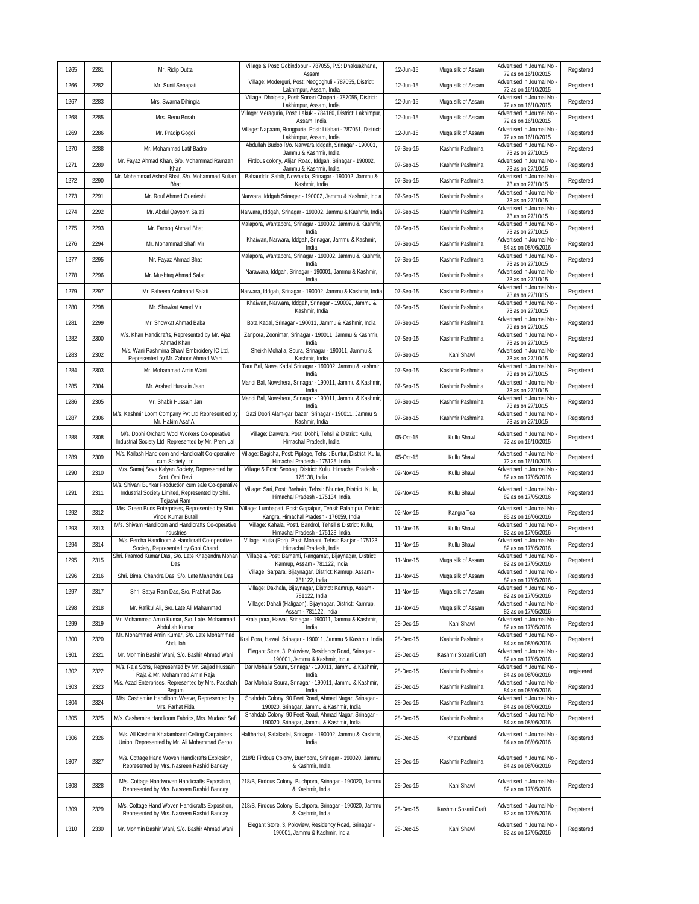| 1265 | 2281 | Mr. Ridip Dutta                                                                                                         | Village & Post: Gobindopur - 787055, P.S: Dhakuakhana,<br>Assam                                            | 12-Jun-15 | Muga silk of Assam   | Advertised in Journal No<br>72 as on 16/10/2015   | Registered |
|------|------|-------------------------------------------------------------------------------------------------------------------------|------------------------------------------------------------------------------------------------------------|-----------|----------------------|---------------------------------------------------|------------|
| 1266 | 2282 | Mr. Sunil Senapati                                                                                                      | Village: Moderguri, Post: Neogoghuli - 787055, District:<br>Lakhimpur, Assam, India                        | 12-Jun-15 | Muga silk of Assam   | Advertised in Journal No<br>72 as on 16/10/2015   | Registered |
| 1267 | 2283 | Mrs. Swarna Dihingia                                                                                                    | Village: Dholpeta, Post: Sonari Chapari - 787055, District:<br>Lakhimpur, Assam, India                     | 12-Jun-15 | Muga silk of Assam   | Advertised in Journal No<br>72 as on 16/10/2015   | Registered |
| 1268 | 2285 | Mrs. Renu Borah                                                                                                         | Village: Meraguria, Post: Lakuk - 784160, District: Lakhimpur,<br>Assam, India                             | 12-Jun-15 | Muga silk of Assam   | Advertised in Journal No<br>72 as on 16/10/2015   | Registered |
| 1269 | 2286 | Mr. Pradip Gogoi                                                                                                        | Village: Napaam, Rongpuria, Post: Lilabari - 787051, District:<br>Lakhimpur, Assam, India                  | 12-Jun-15 | Muga silk of Assam   | Advertised in Journal No<br>72 as on 16/10/2015   | Registered |
| 1270 | 2288 | Mr. Mohammad Latif Badro                                                                                                | Abdullah Budoo R/o. Narwara Iddgah, Srinagar - 190001,<br>Jammu & Kashmir, India                           | 07-Sep-15 | Kashmir Pashmina     | Advertised in Journal No<br>73 as on 27/10/15     | Registered |
| 1271 | 2289 | Mr. Fayaz Ahmad Khan, S/o. Mohammad Ramzan<br>Khan                                                                      | Firdous colony, Alijan Road, Iddgah, Srinagar - 190002,<br>Jammu & Kashmir, India                          | 07-Sep-15 | Kashmir Pashmina     | Advertised in Journal No<br>73 as on 27/10/15     | Registered |
| 1272 | 2290 | Mr. Mohammad Ashraf Bhat, S/o. Mohammad Sultan<br>Bhat                                                                  | Bahauddin Sahib, Nowhatta, Srinagar - 190002, Jammu &<br>Kashmir, India                                    | 07-Sep-15 | Kashmir Pashmina     | Advertised in Journal No<br>73 as on 27/10/15     | Registered |
| 1273 | 2291 | Mr. Rouf Ahmed Querieshi                                                                                                | Narwara, Iddgah Srinagar - 190002, Jammu & Kashmir, India                                                  | 07-Sep-15 | Kashmir Pashmina     | Advertised in Journal No<br>73 as on 27/10/15     | Registered |
| 1274 | 2292 | Mr. Abdul Qayoom Salati                                                                                                 | Narwara, Iddgah, Srinagar - 190002, Jammu & Kashmir, India                                                 | 07-Sep-15 | Kashmir Pashmina     | Advertised in Journal No<br>73 as on 27/10/15     | Registered |
| 1275 | 2293 | Mr. Farooq Ahmad Bhat                                                                                                   | Malapora, Wantapora, Srinagar - 190002, Jammu & Kashmir,<br>India                                          | 07-Sep-15 | Kashmir Pashmina     | Advertised in Journal No<br>73 as on 27/10/15     | Registered |
| 1276 | 2294 | Mr. Mohammad Shafi Mir                                                                                                  | Khaiwan, Narwara, Iddgah, Srinagar, Jammu & Kashmir,<br>India                                              | 07-Sep-15 | Kashmir Pashmina     | Advertised in Journal No<br>84 as on 08/06/2016   | Registered |
| 1277 | 2295 | Mr. Fayaz Ahmad Bhat                                                                                                    | Malapora, Wantapora, Srinagar - 190002, Jammu & Kashmir,<br>India                                          | 07-Sep-15 | Kashmir Pashmina     | Advertised in Journal No -<br>73 as on 27/10/15   | Registered |
| 1278 | 2296 | Mr. Mushtaq Ahmad Salati                                                                                                | Narawara, Iddgah, Srinagar - 190001, Jammu & Kashmir,<br>India                                             | 07-Sep-15 | Kashmir Pashmina     | Advertised in Journal No<br>73 as on 27/10/15     | Registered |
| 1279 | 2297 | Mr. Faheem Arafmand Salati                                                                                              | Narwara, Iddgah, Srinagar - 190002, Jammu & Kashmir, India                                                 | 07-Sep-15 | Kashmir Pashmina     | Advertised in Journal No<br>73 as on 27/10/15     | Registered |
| 1280 | 2298 | Mr. Showkat Amad Mir                                                                                                    | Khaiwan, Narwara, Iddgah, Srinagar - 190002, Jammu &<br>Kashmir, India                                     | 07-Sep-15 | Kashmir Pashmina     | Advertised in Journal No<br>73 as on 27/10/15     | Registered |
| 1281 | 2299 | Mr. Showkat Ahmad Baba                                                                                                  | Bota Kadal, Srinagar - 190011, Jammu & Kashmir, India                                                      | 07-Sep-15 | Kashmir Pashmina     | Advertised in Journal No<br>73 as on 27/10/15     | Registered |
| 1282 | 2300 | M/s. Khan Handicrafts, Represented by Mr. Ajaz<br>Ahmad Khan                                                            | Zaripora, Zoonimar, Srinagar - 190011, Jammu & Kashmir,<br>India                                           | 07-Sep-15 | Kashmir Pashmina     | Advertised in Journal No<br>73 as on 27/10/15     | Registered |
| 1283 | 2302 | M/s. Wani Pashmina Shawl Embroidery IC Ltd,<br>Represented by Mr. Zahoor Ahmad Wani                                     | Sheikh Mohalla, Soura, Srinagar - 190011, Jammu &<br>Kashmir, India                                        | 07-Sep-15 | Kani Shawl           | Advertised in Journal No<br>73 as on 27/10/15     | Registered |
| 1284 | 2303 | Mr. Mohammad Amin Wani                                                                                                  | Tara Bal, Nawa Kadal, Srinagar - 190002, Jammu & kashmir,<br>India                                         | 07-Sep-15 | Kashmir Pashmina     | Advertised in Journal No<br>73 as on 27/10/15     | Registered |
| 1285 | 2304 | Mr. Arshad Hussain Jaan                                                                                                 | Mandi Bal, Nowshera, Srinagar - 190011, Jammu & Kashmir,<br>India                                          | 07-Sep-15 | Kashmir Pashmina     | Advertised in Journal No<br>73 as on 27/10/15     | Registered |
| 1286 | 2305 | Mr. Shabir Hussain Jan                                                                                                  | Mandi Bal, Nowshera, Srinagar - 190011, Jammu & Kashmir<br>India                                           | 07-Sep-15 | Kashmir Pashmina     | Advertised in Journal No<br>73 as on 27/10/15     | Registered |
| 1287 | 2306 | M/s. Kashmir Loom Company Pvt Ltd Represent ed by<br>Mr. Hakim Asaf Ali                                                 | Gazi Doori Alam-gari bazar, Srinagar - 190011, Jammu &<br>Kashmir, India                                   | 07-Sep-15 | Kashmir Pashmina     | Advertised in Journal No<br>73 as on 27/10/15     | Registered |
| 1288 | 2308 | M/s. Dobhi Orchard Wool Workers Co-operative<br>Industrial Society Ltd. Represented by Mr. Prem Lal                     | Village: Darwara, Post: Dobhi, Tehsil & District: Kullu,<br>Himachal Pradesh, India                        | 05-Oct-15 | Kullu Shawl          | Advertised in Journal No<br>72 as on 16/10/2015   | Registered |
| 1289 | 2309 | M/s. Kailash Handloom and Handicraft Co-operative<br>cum Society Ltd                                                    | Village: Bagicha, Post: Piplage, Tehsil: Buntur, District: Kullu,<br>Himachal Pradesh - 175125, India      | 05-Oct-15 | Kullu Shawl          | Advertised in Journal No<br>72 as on 16/10/2015   | Registered |
| 1290 | 2310 | M/s. Samaj Seva Kalyan Society, Represented by<br>Smt. Omi Devi                                                         | Village & Post: Seobag, District: Kullu, Himachal Pradesh -<br>175138, India                               | 02-Nov-15 | Kullu Shawl          | Advertised in Journal No<br>82 as on 17/05/2016   | Registered |
| 1291 | 2311 | M/s. Shivani Bunkar Production cum sale Co-operative<br>Industrial Society Limited, Represented by Shri.<br>Tejaswi Ram | Village: Sari, Post: Brehain, Tehsil: Bhunter, District: Kullu,<br>Himachal Pradesh - 175134, India        | 02-Nov-15 | Kullu Shawl          | Advertised in Journal No<br>82 as on 17/05/2016   | Registered |
| 1292 | 2312 | M/s. Green Buds Enterprises, Represented by Shri.<br>Vinod Kumar Butail                                                 | Village: Lumbapatt, Post: Gopalpur, Tehsil: Palampur, District<br>Kangra, Himachal Pradesh - 176059, India | 02-Nov-15 | Kangra Tea           | Advertised in Journal No<br>85 as on 16/06/2016   | Registered |
| 1293 | 2313 | M/s. Shivam Handloom and Handicrafts Co-operative<br>Industries                                                         | Village: Kahala, PostL Bandrol, Tehsil & District: Kullu,<br>Himachal Pradesh - 175128, India              | 11-Nov-15 | Kullu Shawl          | Advertised in Journal No<br>82 as on 17/05/2016   | Registered |
| 1294 | 2314 | M/s. Percha Handloom & Handicraft Co-operative<br>Society, Represented by Gopi Chand                                    | Village: Kutla (Pori), Post: Mohani, Tehsil: Banjar - 175123,<br>Himachal Pradesh, India                   | 11-Nov-15 | Kullu Shawl          | Advertised in Journal No<br>82 as on 17/05/2016   | Registered |
| 1295 | 2315 | Shri. Pramod Kumar Das, S/o. Late Khagendra Mohan<br>Das                                                                | Village & Post: Barhanti, Rangamati, Bijaynagar, District:<br>Kamrup, Assam - 781122, India                | 11-Nov-15 | Muga silk of Assam   | Advertised in Journal No<br>82 as on 17/05/2016   | Registered |
| 1296 | 2316 | Shri. Bimal Chandra Das, S/o. Late Mahendra Das                                                                         | Village: Sarpara, Bijaynagar, District: Kamrup, Assam -<br>781122, India                                   | 11-Nov-15 | Muga silk of Assam   | Advertised in Journal No -<br>82 as on 17/05/2016 | Registered |
| 1297 | 2317 | Shri. Satya Ram Das, S/o. Prabhat Das                                                                                   | Village: Dakhala, Bijaynagar, District: Kamrup, Assam -<br>781122, India                                   | 11-Nov-15 | Muga silk of Assam   | Advertised in Journal No<br>82 as on 17/05/2016   | Registered |
| 1298 | 2318 | Mr. Rafikul Ali, S/o. Late Ali Mahammad                                                                                 | Village: Dahali (Haligaon), Bijaynagar, District: Kamrup,<br>Assam - 781122, India                         | 11-Nov-15 | Muga silk of Assam   | Advertised in Journal No<br>82 as on 17/05/2016   | Registered |
| 1299 | 2319 | Mr. Mohammad Amin Kumar, S/o. Late. Mohammad<br>Abdullah Kumar                                                          | Krala pora, Hawal, Srinagar - 190011, Jammu & Kashmir,<br>India                                            | 28-Dec-15 | Kani Shawl           | Advertised in Journal No<br>82 as on 17/05/2016   | Registered |
| 1300 | 2320 | Mr. Mohammad Amin Kumar, S/o. Late Mohammad<br>Abdullah                                                                 | Kral Pora, Hawal, Srinagar - 190011, Jammu & Kashmir, India                                                | 28-Dec-15 | Kashmir Pashmina     | Advertised in Journal No<br>84 as on 08/06/2016   | Registered |
| 1301 | 2321 | Mr. Mohmin Bashir Wani, S/o. Bashir Ahmad Wani                                                                          | Elegant Store, 3, Poloview, Residency Road, Srinagar -<br>190001, Jammu & Kashmir, India                   | 28-Dec-15 | Kashmir Sozani Craft | Advertised in Journal No<br>82 as on 17/05/2016   | Registered |
| 1302 | 2322 | M/s. Raja Sons, Represented by Mr. Sajjad Hussain<br>Raja & Mr. Mohammad Amin Raja                                      | Dar Mohalla Soura, Srinagar - 190011, Jammu & Kashmir,<br>India                                            | 28-Dec-15 | Kashmir Pashmina     | Advertised in Journal No<br>84 as on 08/06/2016   | registered |
| 1303 | 2323 | M/s. Azad Enterprises, Represented by Mrs. Padshah<br>Begum                                                             | Dar Mohalla Soura, Srinagar - 190011, Jammu & Kashmir,<br>India                                            | 28-Dec-15 | Kashmir Pashmina     | Advertised in Journal No<br>84 as on 08/06/2016   | Registered |
| 1304 | 2324 | M/s. Cashemire Handloom Weave, Represented by<br>Mrs. Farhat Fida                                                       | Shahdab Colony, 90 Feet Road, Ahmad Nagar, Srinagar -<br>190020, Srinagar, Jammu & Kashmir, India          | 28-Dec-15 | Kashmir Pashmina     | Advertised in Journal No<br>84 as on 08/06/2016   | Registered |
| 1305 | 2325 | M/s. Cashemire Handloom Fabrics, Mrs. Mudasir Safi                                                                      | Shahdab Colony, 90 Feet Road, Ahmad Nagar, Srinagar -<br>190020, Srinagar, Jammu & Kashmir, India          | 28-Dec-15 | Kashmir Pashmina     | Advertised in Journal No -<br>84 as on 08/06/2016 | Registered |
| 1306 | 2326 | M/s. All Kashmir Khatamband Celling Carpainters<br>Union, Represented by Mr. Ali Mohammad Geroo                         | Haftharbal, Safakadal, Srinagar - 190002, Jammu & Kashmir<br>India                                         | 28-Dec-15 | Khatamband           | Advertised in Journal No<br>84 as on 08/06/2016   | Registered |
| 1307 | 2327 | M/s. Cottage Hand Woven Handicrafts Explosion,<br>Represented by Mrs. Nasreen Rashid Banday                             | 218/B Firdous Colony, Buchpora, Srinagar - 190020, Jammu<br>& Kashmir, India                               | 28-Dec-15 | Kashmir Pashmina     | Advertised in Journal No<br>84 as on 08/06/2016   | Registered |
| 1308 | 2328 | M/s. Cottage Handwoven Handicrafts Exposition,<br>Represented by Mrs. Nasreen Rashid Banday                             | 218/B, Firdous Colony, Buchpora, Srinagar - 190020, Jammu<br>& Kashmir, India                              | 28-Dec-15 | Kani Shawl           | Advertised in Journal No<br>82 as on 17/05/2016   | Registered |
| 1309 | 2329 | M/s. Cottage Hand Woven Handicrafts Exposition,<br>Represented by Mrs. Nasreen Rashid Banday                            | 218/B, Firdous Colony, Buchpora, Srinagar - 190020, Jammu<br>& Kashmir, India                              | 28-Dec-15 | Kashmir Sozani Craft | Advertised in Journal No<br>82 as on 17/05/2016   | Registered |
| 1310 | 2330 | Mr. Mohmin Bashir Wani, S/o. Bashir Ahmad Wani                                                                          | Elegant Store, 3, Poloview, Residency Road, Srinagar -<br>190001, Jammu & Kashmir, India                   | 28-Dec-15 | Kani Shawl           | Advertised in Journal No<br>82 as on 17/05/2016   | Registered |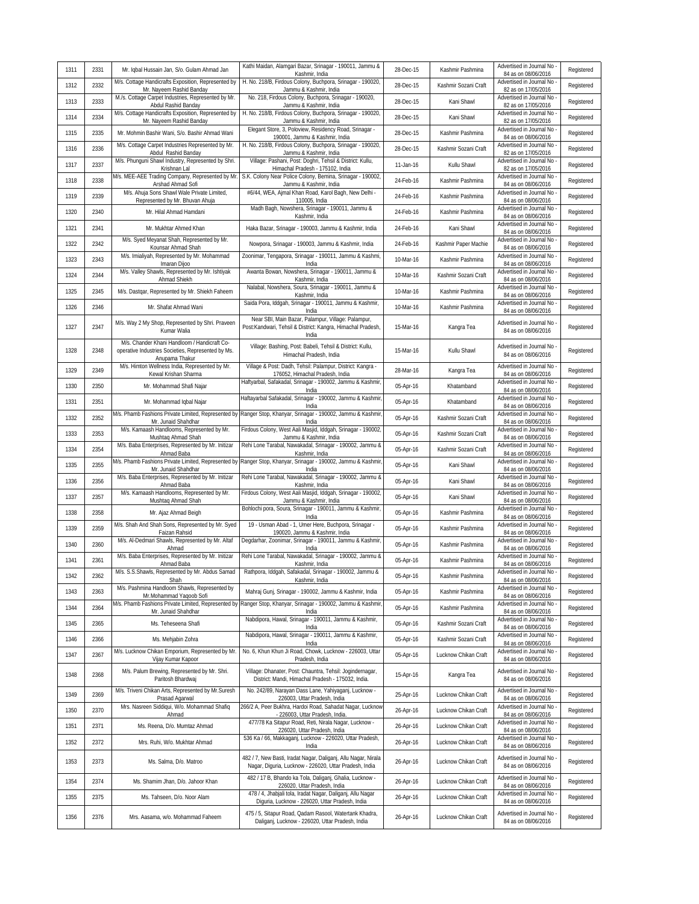| 1311 | 2331 | Mr. Iqbal Hussain Jan, S/o. Gulam Ahmad Jan                                     | Kathi Maidan, Alamgari Bazar, Srinagar - 190011, Jammu &<br>Kashmir, India                                                  | 28-Dec-15 | Kashmir Pashmina     | Advertised in Journal No<br>84 as on 08/06/2016   | Registered |
|------|------|---------------------------------------------------------------------------------|-----------------------------------------------------------------------------------------------------------------------------|-----------|----------------------|---------------------------------------------------|------------|
| 1312 | 2332 | M/s. Cottage Handicrafts Exposition, Represented by<br>Mr. Nayeem Rashid Banday | H. No. 218/B, Firdous Colony, Buchpora, Srinagar - 190020,<br>Jammu & Kashmir, India                                        | 28-Dec-15 | Kashmir Sozani Craft | Advertised in Journal No<br>82 as on 17/05/2016   | Registered |
| 1313 | 2333 | M./s. Cottage Carpet Industries, Represented by Mr.<br>Abdul Rashid Banday      | No. 218, Firdous Colony, Buchpora, Srinagar - 190020,<br>Jammu & Kashmir, India                                             | 28-Dec-15 | Kani Shawl           | Advertised in Journal No -<br>82 as on 17/05/2016 | Registered |
| 1314 | 2334 | M/s. Cottage Handicrafts Exposition, Represented by<br>Mr. Nayeem Rashid Banday | H. No. 218/B, Firdous Colony, Buchpora, Srinagar - 190020,<br>Jammu & Kashmir, India                                        | 28-Dec-15 | Kani Shawl           | Advertised in Journal No<br>82 as on 17/05/2016   | Registered |
| 1315 | 2335 | Mr. Mohmin Bashir Wani, S/o. Bashir Ahmad Wani                                  | Elegant Store, 3, Poloview, Residency Road, Srinagar -<br>190001, Jammu & Kashmir, India                                    | 28-Dec-15 | Kashmir Pashmina     | Advertised in Journal No<br>84 as on 08/06/2016   | Registered |
| 1316 | 2336 | M/s. Cottage Carpet Industries Represented by Mr.<br>Abdul Rashid Banday        | H. No. 218/B, Firdous Colony, Buchpora, Srinagar - 190020,<br>Jammu & Kashmir, India                                        | 28-Dec-15 | Kashmir Sozani Craft | Advertised in Journal No<br>82 as on 17/05/2016   | Registered |
| 1317 | 2337 | M/s. Phunguni Shawl Industry, Represented by Shri.<br>Krishnan Lal              | Village: Pashani, Post: Doghri, Tehsil & District: Kullu,<br>Himachal Pradesh - 175102, India                               | 11-Jan-16 | Kullu Shawl          | Advertised in Journal No<br>82 as on 17/05/2016   | Registered |
| 1318 | 2338 | M/s. MEE-AEE Trading Company, Represented by Mr.<br>Arshad Ahmad Sofi           | S.K. Colony Near Police Colony, Bemina, Srinagar - 190002,<br>Jammu & Kashmir, India                                        | 24-Feb-16 | Kashmir Pashmina     | Advertised in Journal No<br>84 as on 08/06/2016   | Registered |
| 1319 | 2339 | M/s. Ahuja Sons Shawl Wale Private Limited,<br>Represented by Mr. Bhuvan Ahuja  | #6/44, WEA, Ajmal Khan Road, Karol Bagh, New Delhi -<br>110005, India                                                       | 24-Feb-16 | Kashmir Pashmina     | Advertised in Journal No<br>84 as on 08/06/2016   | Registered |
| 1320 | 2340 | Mr. Hilal Ahmad Hamdani                                                         | Madh Bagh, Nowshera, Srinagar - 190011, Jammu &<br>Kashmir, India                                                           | 24-Feb-16 | Kashmir Pashmina     | Advertised in Journal No<br>84 as on 08/06/2016   | Registered |
| 1321 | 2341 | Mr. Mukhtar Ahmed Khan                                                          | Haka Bazar, Srinagar - 190003, Jammu & Kashmir, India                                                                       | 24-Feb-16 | Kani Shawl           | Advertised in Journal No<br>84 as on 08/06/2016   | Registered |
| 1322 | 2342 | M/s. Syed Meyanat Shah, Represented by Mr.<br>Kounsar Ahmad Shah                | Nowpora, Srinagar - 190003, Jammu & Kashmir, India                                                                          | 24-Feb-16 | Kashmir Paper Machie | Advertised in Journal No<br>84 as on 08/06/2016   | Registered |
| 1323 | 2343 | M/s. Imialiyah, Represented by Mr. Mohammad<br>Imaran Dijoo                     | Zoonimar, Tengapora, Srinagar - 190011, Jammu & Kashmi,<br>India                                                            | 10-Mar-16 | Kashmir Pashmina     | Advertised in Journal No<br>84 as on 08/06/2016   | Registered |
| 1324 | 2344 | M/s. Valley Shawls, Represented by Mr. Ishtiyak<br>Ahmad Shiekh                 | Awanta Bowan, Nowshera, Srinagar - 190011, Jammu &<br>Kashmir, India                                                        | 10-Mar-16 | Kashmir Sozani Craft | Advertised in Journal No<br>84 as on 08/06/2016   | Registered |
| 1325 | 2345 | M/s. Dastgar, Represented by Mr. Shiekh Faheem                                  | Nalabal, Nowshera, Soura, Srinagar - 190011, Jammu &<br>Kashmir, India                                                      | 10-Mar-16 | Kashmir Pashmina     | Advertised in Journal No<br>84 as on 08/06/2016   | Registered |
| 1326 | 2346 | Mr. Shafat Ahmad Wani                                                           | Saida Pora, Iddgah, Srinagar - 190011, Jammu & Kashmir,<br>India                                                            | 10-Mar-16 | Kashmir Pashmina     | Advertised in Journal No -<br>84 as on 08/06/2016 | Registered |
| 1327 | 2347 | M/s. Way 2 My Shop, Represented by Shri. Praveen                                | Near SBI, Main Bazar, Palampur, Village: Palampur,                                                                          | 15-Mar-16 |                      | Advertised in Journal No                          | Registered |
|      |      | Kumar Walia<br>M/s. Chander Khani Handloom / Handicraft Co-                     | Post:Kandwari, Tehsil & District: Kangra, Himachal Pradesh,<br>India                                                        |           | Kangra Tea           | 84 as on 08/06/2016                               |            |
| 1328 | 2348 | operative Industries Societies, Represented by Ms.                              | Village: Bashing, Post: Babeli, Tehsil & District: Kullu,<br>Himachal Pradesh, India                                        | 15-Mar-16 | Kullu Shawl          | Advertised in Journal No<br>84 as on 08/06/2016   | Registered |
| 1329 | 2349 | Anupama Thakur<br>M/s. Himton Wellness India, Represented by Mr.                | Village & Post: Dadh, Tehsil: Palampur, District: Kangra -                                                                  | 28-Mar-16 | Kangra Tea           | Advertised in Journal No                          | Registered |
| 1330 | 2350 | Kewal Krishan Sharma<br>Mr. Mohammad Shafi Najar                                | 176052, Himachal Pradesh, India<br>Haftyarbal, Safakadal, Srinagar - 190002, Jammu & Kashmir,                               | 05-Apr-16 | Khatamband           | 84 as on 08/06/2016<br>Advertised in Journal No   | Registered |
| 1331 | 2351 | Mr. Mohammad Iqbal Najar                                                        | India<br>Haftayarbal Safakadal, Srinagar - 190002, Jammu & Kashmir,                                                         | 05-Apr-16 | Khatamband           | 84 as on 08/06/2016<br>Advertised in Journal No   | Registered |
| 1332 | 2352 |                                                                                 | India<br>M/s. Phamb Fashions Private Limited, Represented by Ranger Stop, Khanyar, Srinagar - 190002, Jammu & Kashmir,      | 05-Apr-16 | Kashmir Sozani Craft | 84 as on 08/06/2016<br>Advertised in Journal No   | Registered |
| 1333 | 2353 | Mr. Junaid Shahdhar<br>M/s. Kamaash Handlooms, Represented by Mr.               | India<br>Firdous Colony, West Aali Masjid, Iddgah, Srinagar - 190002,                                                       | 05-Apr-16 | Kashmir Sozani Craft | 84 as on 08/06/2016<br>Advertised in Journal No   | Registered |
| 1334 | 2354 | Mushtaq Ahmad Shah<br>M/s. Baba Enterprises, Represented by Mr. Initizar        | Jammu & Kashmir, India<br>Rehi Lone Tarabal, Nawakadal, Srinagar - 190002, Jammu &                                          | 05-Apr-16 | Kashmir Sozani Craft | 84 as on 08/06/2016<br>Advertised in Journal No   | Registered |
| 1335 | 2355 | Ahmad Baba<br>M/s. Phamb Fashions Private Limited, Represented by               | Kashmir, India<br>Ranger Stop, Khanyar, Srinagar - 190002, Jammu & Kashmir,                                                 | 05-Apr-16 | Kani Shawl           | 84 as on 08/06/2016<br>Advertised in Journal No   | Registered |
| 1336 | 2356 | Mr. Junaid Shahdhar<br>M/s. Baba Enterprises, Represented by Mr. Initizar       | India<br>Rehi Lone Tarabal, Nawakadal, Srinagar - 190002, Jammu &                                                           | 05-Apr-16 | Kani Shawl           | 84 as on 08/06/2016<br>Advertised in Journal No   | Registered |
| 1337 | 2357 | Ahmad Baba<br>M/s. Kamaash Handlooms, Represented by Mr.                        | Kashmir, India<br>Firdous Colony, West Aali Masjid, Iddgah, Srinagar - 190002,                                              | 05-Apr-16 | Kani Shawl           | 84 as on 08/06/2016<br>Advertised in Journal No   | Registered |
| 1338 | 2358 | Mushtaq Ahmad Shah<br>Mr. Ajaz Ahmad Beigh                                      | Jammu & Kashmir, India<br>Bohlochi pora, Soura, Srinagar - 190011, Jammu & Kashmir,                                         | 05-Apr-16 | Kashmir Pashmina     | 84 as on 08/06/2016<br>Advertised in Journal No   | Registered |
| 1339 | 2359 | M/s. Shah And Shah Sons, Represented by Mr. Syed                                | India<br>19 - Usman Abad - 1, Umer Here, Buchpora, Srinagar -                                                               | 05-Apr-16 | Kashmir Pashmina     | 84 as on 08/06/2016<br>Advertised in Journal No   | Registered |
| 1340 | 2360 | Faizan Rahsid<br>M/s. Al-Dedmari Shawls, Represented by Mr. Altaf               | 190020, Jammu & Kashmir, India<br>Degdarhar, Zoonimar, Srinagar - 190011, Jammu & Kashmir,                                  | 05-Apr-16 | Kashmir Pashmina     | 84 as on 08/06/2016<br>Advertised in Journal No   | Registered |
| 1341 | 2361 | Ahmad<br>M/s. Baba Enterprises, Represented by Mr. Initizar                     | India<br>Rehi Lone Tarabal, Nawakadal, Srinagar - 190002, Jammu &                                                           | 05-Apr-16 | Kashmir Pashmina     | 84 as on 08/06/2016<br>Advertised in Journal No - | Registered |
| 1342 | 2362 | Ahmad Baba                                                                      | Kashmir, India<br>M/s. S.S.Shawls, Represented by Mr. Abdus Samad   Rathpora, Iddgah, Safakadal, Srinagar - 190002, Jammu & | 05-Apr-16 | Kashmir Pashmina     | 84 as on 08/06/2016<br>Advertised in Journal No - | Registered |
| 1343 | 2363 | Shah<br>M/s. Pashmina Handloom Shawls, Represented by                           | Kashmir, India<br>Mahraj Gunj, Srinagar - 190002, Jammu & Kashmir, India                                                    | 05-Apr-16 | Kashmir Pashmina     | 84 as on 08/06/2016<br>Advertised in Journal No   | Registered |
| 1344 | 2364 | Mr.Mohammad Yaqoob Sofi<br>M/s. Phamb Fashions Private Limited, Represented by  | Ranger Stop, Khanyar, Srinagar - 190002, Jammu & Kashmir,                                                                   | 05-Apr-16 | Kashmir Pashmina     | 84 as on 08/06/2016<br>Advertised in Journal No   | Registered |
| 1345 | 2365 | Mr. Junaid Shahdhar<br>Ms. Teheseena Shafi                                      | India<br>Nabdipora, Hawal, Srinagar - 190011, Jammu & Kashmir,                                                              | 05-Apr-16 | Kashmir Sozani Craft | 84 as on 08/06/2016<br>Advertised in Journal No   | Registered |
| 1346 | 2366 | Ms. Mehjabin Zohra                                                              | India<br>Nabdipora, Hawal, Srinagar - 190011, Jammu & Kashmir,                                                              | 05-Apr-16 | Kashmir Sozani Craft | 84 as on 08/06/2016<br>Advertised in Journal No   | Registered |
| 1347 | 2367 | M/s. Lucknow Chikan Emporium, Represented by Mr.                                | India<br>No. 6, Khun Khun Ji Road, Chowk, Lucknow - 226003, Uttar                                                           | 05-Apr-16 | Lucknow Chikan Craft | 84 as on 08/06/2016<br>Advertised in Journal No   | Registered |
|      |      | Vijay Kumar Kapoor<br>M/s. Palum Brewing, Represented by Mr. Shri.              | Pradesh, India<br>Village: Dhanater, Post: Chauntra, Tehsil: Jogindernagar,                                                 |           |                      | 84 as on 08/06/2016<br>Advertised in Journal No   |            |
| 1348 | 2368 | Paritosh Bhardwaj                                                               | District: Mandi, Himachal Pradesh - 175032, India.                                                                          | 15-Apr-16 | Kangra Tea           | 84 as on 08/06/2016                               | Registered |
| 1349 | 2369 | M/s. Triveni Chikan Arts, Represented by Mr. Suresh<br>Prasad Agarwal           | No. 242/89, Narayan Dass Lane, Yahiyaganj, Lucknow -<br>226003, Uttar Pradesh, India                                        | 25-Apr-16 | Lucknow Chikan Craft | Advertised in Journal No<br>84 as on 08/06/2016   | Registered |
| 1350 | 2370 | Mrs. Nasreen Siddiqui, W/o. Mohammad Shafiq<br>Ahmad                            | 266/2 A, Peer Bukhra, Hardoi Road, Sahadat Nagar, Lucknow<br>- 226003, Uttar Pradesh, India.                                | 26-Apr-16 | Lucknow Chikan Craft | Advertised in Journal No<br>84 as on 08/06/2016   | Registered |
| 1351 | 2371 | Ms. Reena, D/o. Mumtaz Ahmad                                                    | 477/78 Ka Sitapur Road, Reti, Nirala Nagar, Lucknow -<br>226020, Uttar Pradesh, India                                       | 26-Apr-16 | Lucknow Chikan Craft | Advertised in Journal No<br>84 as on 08/06/2016   | Registered |
| 1352 | 2372 | Mrs. Ruhi, W/o. Mukhtar Ahmad                                                   | 536 Ka / 66, Makkaganj, Lucknow - 226020, Uttar Pradesh,<br>India                                                           | 26-Apr-16 | Lucknow Chikan Craft | Advertised in Journal No<br>84 as on 08/06/2016   | Registered |
| 1353 | 2373 | Ms. Salma, D/o. Matroo                                                          | 482 / 7, New Basti, Iradat Nagar, Daliganj, Allu Nagar, Nirala<br>Nagar, Diguria, Lucknow - 226020, Uttar Pradesh, India    | 26-Apr-16 | Lucknow Chikan Craft | Advertised in Journal No<br>84 as on 08/06/2016   | Registered |
| 1354 | 2374 | Ms. Shamim Jhan, D/o. Jahoor Khan                                               | 482 / 17 B, Bhando ka Tola, Daliganj, Ghalia, Lucknow -<br>226020, Uttar Pradesh, India                                     | 26-Apr-16 | Lucknow Chikan Craft | Advertised in Journal No<br>84 as on 08/06/2016   | Registered |
| 1355 | 2375 | Ms. Tahseen, D/o. Noor Alam                                                     | 478 / 4, Jhabjali tola, Iradat Nagar, Daliganj, Allu Nagar<br>Diguria, Lucknow - 226020, Uttar Pradesh, India               | 26-Apr-16 | Lucknow Chikan Craft | Advertised in Journal No<br>84 as on 08/06/2016   | Registered |
| 1356 | 2376 | Mrs. Aasama, w/o. Mohammad Faheem                                               | 475 / 5, Sitapur Road, Qadam Rasool, Watertank Khadra,<br>Daliganj, Lucknow - 226020, Uttar Pradesh, India                  | 26-Apr-16 | Lucknow Chikan Craft | Advertised in Journal No<br>84 as on 08/06/2016   | Registered |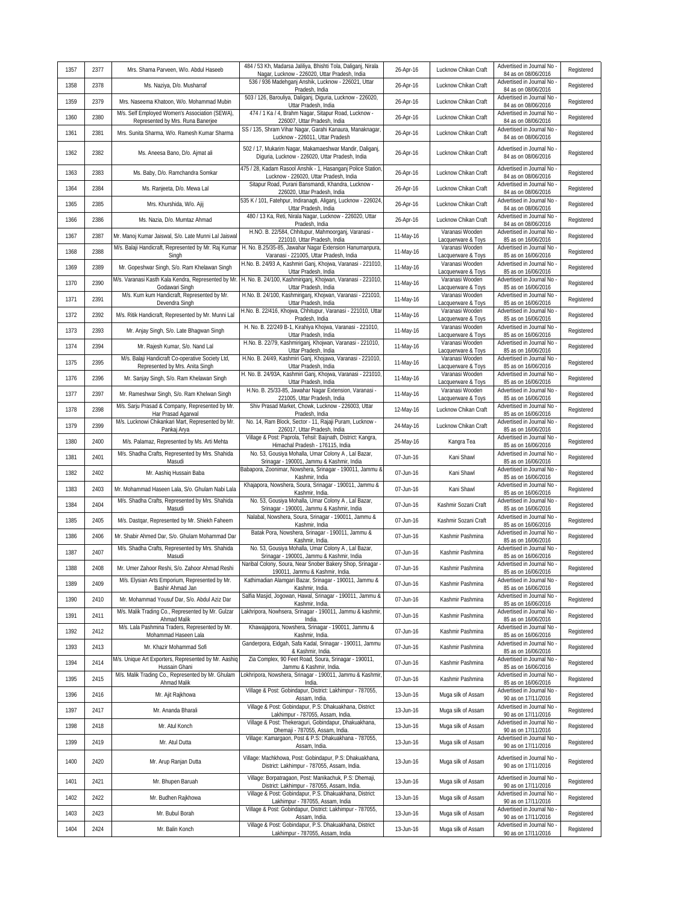| 1357 | 2377 | Mrs. Shama Parveen, W/o. Abdul Haseeb                                               | 484 / 53 Kh, Madarsa Jaliliya, Bhishti Tola, Daliganj, Nirala<br>Nagar, Lucknow - 226020, Uttar Pradesh, India | 26-Apr-16 | Lucknow Chikan Craft                  | Advertised in Journal No<br>84 as on 08/06/2016 | Registered |
|------|------|-------------------------------------------------------------------------------------|----------------------------------------------------------------------------------------------------------------|-----------|---------------------------------------|-------------------------------------------------|------------|
| 1358 | 2378 | Ms. Naziya, D/o. Musharraf                                                          | 536 / 936 Madehganj Anshik, Lucknow - 226021, Uttar<br>Pradesh, India                                          | 26-Apr-16 | Lucknow Chikan Craft                  | Advertised in Journal No<br>84 as on 08/06/2016 | Registered |
| 1359 | 2379 | Mrs. Naseema Khatoon, W/o. Mohammad Mubin                                           | 503 / 126, Barouliya, Daliganj, Diguria, Lucknow - 226020,<br>Uttar Pradesh, India                             | 26-Apr-16 | Lucknow Chikan Craft                  | Advertised in Journal No<br>84 as on 08/06/2016 | Registered |
| 1360 | 2380 | M/s. Self Employed Women's Association (SEWA),<br>Represented by Mrs. Runa Banerjee | 474 / 1 Ka / 4, Brahm Nagar, Sitapur Road, Lucknow -<br>226007, Uttar Pradesh, India                           | 26-Apr-16 | Lucknow Chikan Craft                  | Advertised in Journal No<br>84 as on 08/06/2016 | Registered |
| 1361 | 2381 | Mrs. Sunita Sharma, W/o. Ramesh Kumar Sharma                                        | SS / 135, Shram Vihar Nagar, Garahi Kanaura, Manaknagar,<br>Lucknow - 226011, Uttar Pradesh                    | 26-Apr-16 | Lucknow Chikan Craft                  | Advertised in Journal No<br>84 as on 08/06/2016 | Registered |
| 1362 | 2382 | Ms. Aneesa Bano, D/o. Ajmat ali                                                     | 502 / 17, Mukarim Nagar, Makamaeshwar Mandir, Daliganj,<br>Diguria, Lucknow - 226020, Uttar Pradesh, India     | 26-Apr-16 | Lucknow Chikan Craft                  | Advertised in Journal No<br>84 as on 08/06/2016 | Registered |
| 1363 | 2383 | Ms. Baby, D/o. Ramchandra Somkar                                                    | 475 / 28, Kadam Rasool Anshik - 1, Hasanganj Police Station,<br>Lucknow - 226020, Uttar Pradesh, India         | 26-Apr-16 | Lucknow Chikan Craft                  | Advertised in Journal No<br>84 as on 08/06/2016 | Registered |
| 1364 | 2384 | Ms. Ranjeeta, D/o. Mewa Lal                                                         | Sitapur Road, Purani Bansmandi, Khandra, Lucknow -<br>226020, Uttar Pradesh, India                             | 26-Apr-16 | Lucknow Chikan Craft                  | Advertised in Journal No<br>84 as on 08/06/2016 | Registered |
| 1365 | 2385 | Mrs. Khurshida, W/o. Ajij                                                           | 535 K / 101, Fatehpur, Indiranagti, Aliganj, Lucknow - 226024<br>Uttar Pradesh, India                          | 26-Apr-16 | Lucknow Chikan Craft                  | Advertised in Journal No<br>84 as on 08/06/2016 | Registered |
| 1366 | 2386 | Ms. Nazia, D/o. Mumtaz Ahmad                                                        | 480 / 13 Ka, Reti, Nirala Nagar, Lucknow - 226020, Uttar<br>Pradesh, India                                     | 26-Apr-16 | Lucknow Chikan Craft                  | Advertised in Journal No<br>84 as on 08/06/2016 | Registered |
| 1367 | 2387 | Mr. Manoj Kumar Jaiswal, S/o. Late Munni Lal Jaiswal                                | H.NO. B. 22/584, Chhitupur, Mahmoorganj, Varanasi -<br>221010, Uttar Pradesh, India                            | 11-May-16 | Varanasi Wooden<br>Lacquerware & Toys | Advertised in Journal No<br>85 as on 16/06/2016 | Registered |
| 1368 | 2388 | M/s. Balaji Handicraft, Represented by Mr. Raj Kumar<br>Singh                       | H. No. B.25/35-85, Jawahar Nagar Extension Hanumanpura,<br>Varanasi - 221005, Uttar Pradesh, India             | 11-May-16 | Varanasi Wooden<br>Lacquerware & Toys | Advertised in Journal No<br>85 as on 16/06/2016 | Registered |
| 1369 | 2389 | Mr. Gopeshwar Singh, S/o. Ram Khelawan Singh                                        | H.No. B. 24/93 A, Kashmiri Ganj, Khojwa, Varanasi - 221010,<br>Uttar Pradesh, India                            | 11-May-16 | Varanasi Wooden<br>Lacquerware & Toys | Advertised in Journal No<br>85 as on 16/06/2016 | Registered |
| 1370 | 2390 | M/s. Varanasi Kasth Kala Kendra, Represented by Mr.<br>Godawari Singh               | H. No. B. 24/100, Kashmiriganj, Khojwan, Varanasi - 221010,<br>Uttar Pradesh, India                            | 11-May-16 | Varanasi Wooden<br>Lacquerware & Toys | Advertised in Journal No<br>85 as on 16/06/2016 | Registered |
| 1371 | 2391 | M/s. Kum kum Handicraft, Represented by Mr.<br>Devendra Singh                       | H.No. B. 24/100, Kashmiriganj, Khojwan, Varanasi - 221010,<br>Uttar Pradesh, India                             | 11-May-16 | Varanasi Wooden<br>Lacquerware & Toys | Advertised in Journal No<br>85 as on 16/06/2016 | Registered |
| 1372 | 2392 | M/s. Ritik Handicraft, Represented by Mr. Munni Lal                                 | H.No. B. 22/416, Khojwa, Chhitupur, Varanasi - 221010, Uttar<br>Pradesh, India                                 | 11-May-16 | Varanasi Wooden<br>Lacquerware & Toys | Advertised in Journal No<br>85 as on 16/06/2016 | Registered |
| 1373 | 2393 | Mr. Anjay Singh, S/o. Late Bhagwan Singh                                            | H. No. B. 22/249 B-1, Kirahiya Khojwa, Varanasi - 221010,<br>Uttar Pradesh, India                              | 11-May-16 | Varanasi Wooden<br>Lacquerware & Toys | Advertised in Journal No<br>85 as on 16/06/2016 | Registered |
| 1374 | 2394 | Mr. Rajesh Kumar, S/o. Nand Lal                                                     | H.No. B. 22/79, Kashmiriganj, Khojwan, Varanasi - 221010,<br>Uttar Pradesh, India                              | 11-May-16 | Varanasi Wooden<br>Lacquerware & Toys | Advertised in Journal No<br>85 as on 16/06/2016 | Registered |
| 1375 | 2395 | M/s. Balaji Handicraft Co-operative Society Ltd,<br>Represented by Mrs. Anita Singh | H.No. B. 24/49, Kashmiri Ganj, Khojawa, Varanasi - 221010,<br>Uttar Pradesh, India                             | 11-May-16 | Varanasi Wooden<br>Lacquerware & Toys | Advertised in Journal No<br>85 as on 16/06/2016 | Registered |
| 1376 | 2396 | Mr. Sanjay Singh, S/o. Ram Khelawan Singh                                           | H. No. B. 24/93A, Kashmiri Ganj, Khojwa, Varanasi - 221010,<br>Uttar Pradesh, India                            | 11-May-16 | Varanasi Wooden<br>Lacquerware & Toys | Advertised in Journal No<br>85 as on 16/06/2016 | Registered |
| 1377 | 2397 | Mr. Rameshwar Singh, S/o. Ram Khelwan Singh                                         | H.No. B. 25/33-85, Jawahar Nagar Extension, Varanasi -<br>221005, Uttar Pradesh, India                         | 11-May-16 | Varanasi Wooden<br>Lacquerware & Toys | Advertised in Journal No<br>85 as on 16/06/2016 | Registered |
| 1378 | 2398 | M/s. Sarju Prasad & Company, Represented by Mr.<br>Har Prasad Agarwal               | Shiv Prasad Market, Chowk, Lucknow - 226003, Uttar<br>Pradesh, India                                           | 12-May-16 | Lucknow Chikan Craft                  | Advertised in Journal No<br>85 as on 16/06/2016 | Registered |
| 1379 | 2399 | M/s. Lucknowi Chikankari Mart, Represented by Mr.<br>Pankaj Arya                    | No. 14, Ram Block, Sector - 11, Rajaji Puram, Lucknow -<br>226017, Uttar Pradesh, India                        | 24-May-16 | Lucknow Chikan Craft                  | Advertised in Journal No<br>85 as on 16/06/2016 | Registered |
| 1380 | 2400 | M/s. Palamaz, Represented by Ms. Arti Mehta                                         | Village & Post: Paprola, Tehsil: Baijnath, District: Kangra,<br>Himachal Pradesh - 176115, India               | 25-May-16 | Kangra Tea                            | Advertised in Journal No<br>85 as on 16/06/2016 | Registered |
| 1381 | 2401 | M/s. Shadha Crafts, Represented by Mrs. Shahida<br>Masudi                           | No. 53, Gousiya Mohalla, Umar Colony A, Lal Bazar,<br>Srinagar - 190001, Jammu & Kashmir, India                | 07-Jun-16 | Kani Shawl                            | Advertised in Journal No<br>85 as on 16/06/2016 | Registered |
| 1382 | 2402 | Mr. Aashig Hussain Baba                                                             | Babapora, Zoonimar, Nowshera, Srinagar - 190011, Jammu &<br>Kashmir, India                                     | 07-Jun-16 | Kani Shawl                            | Advertised in Journal No<br>85 as on 16/06/2016 | Registered |
| 1383 | 2403 | Mr. Mohammad Haseen Lala, S/o. Ghulam Nabi Lala                                     | Khajapora, Nowshera, Soura, Srinagar - 190011, Jammu &<br>Kashmir, India.                                      | 07-Jun-16 | Kani Shawl                            | Advertised in Journal No<br>85 as on 16/06/2016 | Registered |
| 1384 | 2404 | M/s. Shadha Crafts, Represented by Mrs. Shahida<br>Masudi                           | No. 53, Gousiya Mohalla, Umar Colony A, Lal Bazar,<br>Srinagar - 190001, Jammu & Kashmir, India                | 07-Jun-16 | Kashmir Sozani Craft                  | Advertised in Journal No<br>85 as on 16/06/2016 | Registered |
| 1385 | 2405 | M/s. Dastgar, Represented by Mr. Shiekh Faheem                                      | Nalabal, Nowshera, Soura, Srinagar - 190011, Jammu &<br>Kashmir, India                                         | 07-Jun-16 | Kashmir Sozani Craft                  | Advertised in Journal No<br>85 as on 16/06/2016 | Registered |
| 1386 | 2406 | Mr. Shabir Ahmed Dar, S/o. Ghulam Mohammad Dar                                      | Batak Pora, Nowshera, Srinagar - 190011, Jammu &<br>Kashmir, India.                                            | 07-Jun-16 | Kashmir Pashmina                      | Advertised in Journal No<br>85 as on 16/06/2016 | Registered |
| 1387 | 2407 | M/s. Shadha Crafts, Represented by Mrs. Shahida<br>Masudi                           | No. 53, Gousiya Mohalla, Umar Colony A, Lal Bazar,<br>Srinagar - 190001, Jammu & Kashmir, India                | 07-Jun-16 | Kashmir Pashmina                      | Advertised in Journal No<br>85 as on 16/06/2016 | Registered |
| 1388 | 2408 | Mr. Umer Zahoor Reshi, S/o. Zahoor Ahmad Reshi                                      | Naribal Colony, Soura, Near Snober Bakery Shop, Srinagar -<br>190011, Jammu & Kashmir, India.                  | 07-Jun-16 | Kashmir Pashmina                      | Advertised in Journal No<br>85 as on 16/06/2016 | Registered |
| 1389 | 2409 | M/s. Elysian Arts Emporium, Represented by Mr.<br>Bashir Ahmad Jan                  | Kathimadian Alamgari Bazar, Srinagar - 190011, Jammu &<br>Kashmir, India.                                      | 07-Jun-16 | Kashmir Pashmina                      | Advertised in Journal No<br>85 as on 16/06/2016 | Registered |
| 1390 | 2410 | Mr. Mohammad Yousuf Dar, S/o. Abdul Aziz Dar                                        | Salfia Masjid, Jogowan, Hawal, Srinagar - 190011, Jammu &<br>Kashmir, India.                                   | 07-Jun-16 | Kashmir Pashmina                      | Advertised in Journal No<br>85 as on 16/06/2016 | Registered |
| 1391 | 2411 | M/s. Malik Trading Co., Represented by Mr. Gulzar<br>Ahmad Malik                    | Lakhripora, Nowhsera, Srinagar - 190011, Jammu & kashmir,<br>India.                                            | 07-Jun-16 | Kashmir Pashmina                      | Advertised in Journal No<br>85 as on 16/06/2016 | Registered |
| 1392 | 2412 | M/s. Lala Pashmina Traders, Represented by Mr.<br>Mohammad Haseen Lala              | Khawajapora, Nowshera, Srinagar - 190011, Jammu &<br>Kashmir, India.                                           | 07-Jun-16 | Kashmir Pashmina                      | Advertised in Journal No<br>85 as on 16/06/2016 | Registered |
| 1393 | 2413 | Mr. Khazir Mohammad Sofi                                                            | Ganderpora, Eidgah, Safa Kadal, Srinagar - 190011, Jammu<br>& Kashmir, India.                                  | 07-Jun-16 | Kashmir Pashmina                      | Advertised in Journal No<br>85 as on 16/06/2016 | Registered |
| 1394 | 2414 | M/s. Unique Art Exporters, Represented by Mr. Aashig<br>Hussain Ghani               | Zia Complex, 90 Feet Road, Soura, Srinagar - 190011,<br>Jammu & Kashmir, India.                                | 07-Jun-16 | Kashmir Pashmina                      | Advertised in Journal No<br>85 as on 16/06/2016 | Registered |
| 1395 | 2415 | M/s. Malik Trading Co., Represented by Mr. Ghulam<br>Ahmad Malik                    | Lokhripora, Nowshera, Srinagar - 190011, Jammu & Kashmir,<br>India.                                            | 07-Jun-16 | Kashmir Pashmina                      | Advertised in Journal No<br>85 as on 16/06/2016 | Registered |
| 1396 | 2416 | Mr. Ajit Rajkhowa                                                                   | Village & Post: Gobindapur, District: Lakhimpur - 787055,<br>Assam, India.                                     | 13-Jun-16 | Muga silk of Assam                    | Advertised in Journal No<br>90 as on 17/11/2016 | Registered |
| 1397 | 2417 | Mr. Ananda Bharali                                                                  | Village & Post: Gobindapur, P.S: Dhakuakhana, District:<br>Lakhimpur - 787055, Assam, India.                   | 13-Jun-16 | Muga silk of Assam                    | Advertised in Journal No<br>90 as on 17/11/2016 | Registered |
| 1398 | 2418 | Mr. Atul Konch                                                                      | Village & Post: Thekeraguri, Gobindapur, Dhakuakhana,<br>Dhemaji - 787055, Assam, India.                       | 13-Jun-16 | Muga silk of Assam                    | Advertised in Journal No<br>90 as on 17/11/2016 | Registered |
| 1399 | 2419 | Mr. Atul Dutta                                                                      | Village: Kamargaon, Post & P.S: Dhakuakhana - 787055,<br>Assam, India.                                         | 13-Jun-16 | Muga silk of Assam                    | Advertised in Journal No<br>90 as on 17/11/2016 | Registered |
| 1400 | 2420 | Mr. Arup Ranjan Dutta                                                               | Village: Machkhowa, Post: Gobindapur, P.S: Dhakuakhana,<br>District: Lakhimpur - 787055, Assam, India.         | 13-Jun-16 | Muga silk of Assam                    | Advertised in Journal No<br>90 as on 17/11/2016 | Registered |
| 1401 | 2421 | Mr. Bhupen Baruah                                                                   | Village: Borpatragaon, Post: Manikachuk, P.S: Dhemaji,<br>District: Lakhimpur - 787055, Assam, India.          | 13-Jun-16 | Muga silk of Assam                    | Advertised in Journal No<br>90 as on 17/11/2016 | Registered |
| 1402 | 2422 | Mr. Budhen Rajkhowa                                                                 | Village & Post: Gobindapur, P.S. Dhakuakhana, District:<br>Lakhimpur - 787055, Assam, India                    | 13-Jun-16 | Muga silk of Assam                    | Advertised in Journal No<br>90 as on 17/11/2016 | Registered |
| 1403 | 2423 | Mr. Bubul Borah                                                                     | Village & Post: Gobindapur, District: Lakhimpur - 787055,<br>Assam, India.                                     | 13-Jun-16 | Muga silk of Assam                    | Advertised in Journal No<br>90 as on 17/11/2016 | Registered |
| 1404 | 2424 | Mr. Balin Konch                                                                     | Village & Post: Gobindapur, P.S. Dhakuakhana, District:<br>Lakhimpur - 787055, Assam, India                    | 13-Jun-16 | Muga silk of Assam                    | Advertised in Journal No<br>90 as on 17/11/2016 | Registered |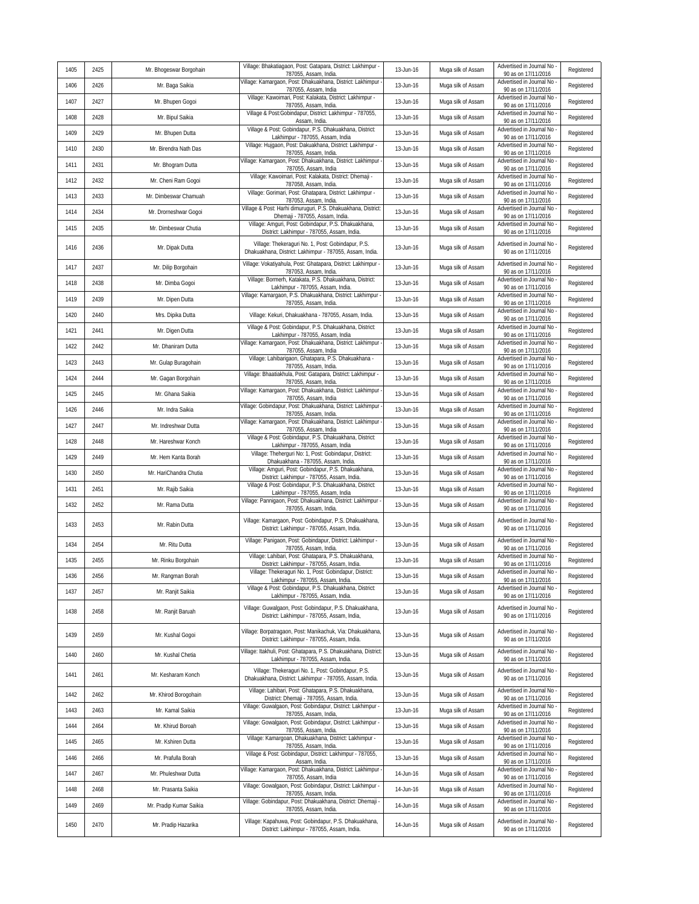| 1405 | 2425 | Mr. Bhogeswar Borgohain | Village: Bhakatiagaon, Post: Gatapara, District: Lakhimpur -<br>787055, Assam, India.                                                                                | 13-Jun-16 | Muga silk of Assam | Advertised in Journal No<br>90 as on 17/11/2016                             | Registered |
|------|------|-------------------------|----------------------------------------------------------------------------------------------------------------------------------------------------------------------|-----------|--------------------|-----------------------------------------------------------------------------|------------|
| 1406 | 2426 | Mr. Baga Saikia         | Village: Kamargaon, Post: Dhakuakhana, District: Lakhimpur<br>787055, Assam, India                                                                                   | 13-Jun-16 | Muga silk of Assam | Advertised in Journal No<br>90 as on 17/11/2016                             | Registered |
| 1407 | 2427 | Mr. Bhupen Gogoi        | Village: Kawoimari, Post: Kalakata, District: Lakhimpur -<br>787055, Assam, India.                                                                                   | 13-Jun-16 | Muga silk of Assam | Advertised in Journal No<br>90 as on 17/11/2016                             | Registered |
| 1408 | 2428 | Mr. Bipul Saikia        | Village & Post:Gobindapur, District: Lakhimpur - 787055,<br>Assam, India.                                                                                            | 13-Jun-16 | Muga silk of Assam | Advertised in Journal No<br>90 as on 17/11/2016                             | Registered |
| 1409 | 2429 | Mr. Bhupen Dutta        | Village & Post: Gobindapur, P.S. Dhakuakhana, District:<br>Lakhimpur - 787055, Assam, India                                                                          | 13-Jun-16 | Muga silk of Assam | Advertised in Journal No<br>90 as on 17/11/2016                             | Registered |
| 1410 | 2430 | Mr. Birendra Nath Das   | Village: Hujgaon, Post: Dakuakhana, District: Lakhimpur -<br>787055, Assam, India.                                                                                   | 13-Jun-16 | Muga silk of Assam | Advertised in Journal No<br>90 as on 17/11/2016                             | Registered |
| 1411 | 2431 | Mr. Bhogram Dutta       | Village: Kamargaon, Post: Dhakuakhana, District: Lakhimpur<br>787055, Assam, India                                                                                   | 13-Jun-16 | Muga silk of Assam | Advertised in Journal No<br>90 as on 17/11/2016                             | Registered |
| 1412 | 2432 | Mr. Cheni Ram Gogoi     | Village: Kawoimari, Post: Kalakata, District: Dhemaji -<br>787058, Assam, India.                                                                                     | 13-Jun-16 | Muga silk of Assam | Advertised in Journal No<br>90 as on 17/11/2016                             | Registered |
| 1413 | 2433 | Mr. Dimbeswar Chamuah   | Village: Gorimari, Post: Ghatapara, District: Lakhimpur -<br>787053, Assam, India.                                                                                   | 13-Jun-16 | Muga silk of Assam | Advertised in Journal No<br>90 as on 17/11/2016                             | Registered |
| 1414 | 2434 | Mr. Drorneshwar Gogoi   | Village & Post: Harhi dimuruguri, P.S. Dhakuakhana, District:<br>Dhemaji - 787055, Assam, India.                                                                     | 13-Jun-16 | Muga silk of Assam | Advertised in Journal No<br>90 as on 17/11/2016                             | Registered |
| 1415 | 2435 | Mr. Dimbeswar Chutia    | Village: Amguri, Post: Gobindapur, P.S. Dhakuakhana,<br>District: Lakhimpur - 787055, Assam, India.                                                                  | 13-Jun-16 | Muga silk of Assam | Advertised in Journal No<br>90 as on 17/11/2016                             | Registered |
| 1416 | 2436 | Mr. Dipak Dutta         | Village: Thekeraguri No. 1, Post: Gobindapur, P.S.<br>Dhakuakhana, District: Lakhimpur - 787055, Assam, India.                                                       | 13-Jun-16 | Muga silk of Assam | Advertised in Journal No<br>90 as on 17/11/2016                             | Registered |
| 1417 | 2437 | Mr. Dilip Borgohain     | Village: Vokatiyahula, Post: Ghatapara, District: Lakhimpur -<br>787053, Assam, India.                                                                               | 13-Jun-16 | Muga silk of Assam | Advertised in Journal No<br>90 as on 17/11/2016                             | Registered |
| 1418 | 2438 | Mr. Dimba Gogoi         | Village: Bormerh, Katakata, P.S. Dhakuakhana, District:<br>Lakhimpur - 787055, Assam, India.                                                                         | 13-Jun-16 | Muga silk of Assam | Advertised in Journal No<br>90 as on 17/11/2016                             | Registered |
| 1419 | 2439 | Mr. Dipen Dutta         | Village: Kamargaon, P.S. Dhakuakhana, District: Lakhimpur<br>787055, Assam, India.                                                                                   | 13-Jun-16 | Muga silk of Assam | Advertised in Journal No<br>90 as on 17/11/2016                             | Registered |
| 1420 | 2440 | Mrs. Dipika Dutta       | Village: Kekuri, Dhakuakhana - 787055, Assam, India.                                                                                                                 | 13-Jun-16 | Muga silk of Assam | Advertised in Journal No<br>90 as on 17/11/2016                             | Registered |
| 1421 | 2441 | Mr. Digen Dutta         | Village & Post: Gobindapur, P.S. Dhakuakhana, District:<br>Lakhimpur - 787055, Assam, India                                                                          | 13-Jun-16 | Muga silk of Assam | Advertised in Journal No<br>90 as on 17/11/2016                             | Registered |
| 1422 | 2442 | Mr. Dhaniram Dutta      | Village: Kamargaon, Post: Dhakuakhana, District: Lakhimpur<br>787055, Assam, India                                                                                   | 13-Jun-16 | Muga silk of Assam | Advertised in Journal No<br>90 as on 17/11/2016                             | Registered |
| 1423 | 2443 | Mr. Gulap Buragohain    | Village: Lahibarigaon, Ghatapara, P.S. Dhakuakhana -<br>787055, Assam, India.                                                                                        | 13-Jun-16 | Muga silk of Assam | Advertised in Journal No<br>90 as on 17/11/2016                             | Registered |
| 1424 | 2444 | Mr. Gagan Borgohain     | Village: Bhaatiakhula, Post: Gatapara, District: Lakhimpur -<br>787055, Assam, India.                                                                                | 13-Jun-16 | Muga silk of Assam | Advertised in Journal No<br>90 as on 17/11/2016                             | Registered |
| 1425 | 2445 | Mr. Ghana Saikia        | Village: Kamargaon, Post: Dhakuakhana, District: Lakhimpur<br>787055, Assam, India                                                                                   | 13-Jun-16 | Muga silk of Assam | Advertised in Journal No<br>90 as on 17/11/2016                             | Registered |
| 1426 | 2446 | Mr. Indra Saikia        | Village: Gobindapur, Post: Dhakuakhana, District: Lakhimpur<br>787055, Assam, India.                                                                                 | 13-Jun-16 | Muga silk of Assam | Advertised in Journal No<br>90 as on 17/11/2016                             | Registered |
| 1427 | 2447 | Mr. Indreshwar Dutta    | Village: Kamargaon, Post: Dhakuakhana, District: Lakhimpur<br>787055, Assam, India                                                                                   | 13-Jun-16 | Muga silk of Assam | Advertised in Journal No<br>90 as on 17/11/2016                             | Registered |
| 1428 | 2448 | Mr. Hareshwar Konch     | Village & Post: Gobindapur, P.S. Dhakuakhana, District:<br>Lakhimpur - 787055, Assam, India                                                                          | 13-Jun-16 | Muga silk of Assam | Advertised in Journal No<br>90 as on 17/11/2016                             | Registered |
| 1429 | 2449 | Mr. Hem Kanta Borah     | Village: Theherguri No: 1, Post: Gobindapur, District:<br>Dhakuakhana - 787055, Assam, India.                                                                        | 13-Jun-16 | Muga silk of Assam | Advertised in Journal No<br>90 as on 17/11/2016                             | Registered |
| 1430 | 2450 | Mr. HariChandra Chutia  | Village: Amguri, Post: Gobindapur, P.S. Dhakuakhana,<br>District: Lakhimpur - 787055, Assam, India.                                                                  | 13-Jun-16 | Muga silk of Assam | Advertised in Journal No<br>90 as on 17/11/2016                             | Registered |
| 1431 | 2451 | Mr. Rajib Saikia        | Village & Post: Gobindapur, P.S. Dhakuakhana, District:<br>Lakhimpur - 787055, Assam, India                                                                          | 13-Jun-16 | Muga silk of Assam | Advertised in Journal No<br>90 as on 17/11/2016                             | Registered |
| 1432 | 2452 | Mr. Rama Dutta          | Village: Pannigaon, Post: Dhakuakhana, District: Lakhimpur -<br>787055, Assam, India.                                                                                | 13-Jun-16 | Muga silk of Assam | Advertised in Journal No<br>90 as on 17/11/2016                             | Registered |
| 1433 | 2453 | Mr. Rabin Dutta         | Village: Kamargaon, Post: Gobindapur, P.S. Dhakuakhana,<br>District: Lakhimpur - 787055, Assam, India.<br>Village: Panigaon, Post: Gobindapur, District: Lakhimpur - | 13-Jun-16 | Muga silk of Assam | Advertised in Journal No<br>90 as on 17/11/2016<br>Advertised in Journal No | Registered |
| 1434 | 2454 | Mr. Ritu Dutta          | 787055, Assam, India.                                                                                                                                                | 13-Jun-16 | Muga silk of Assam | 90 as on 17/11/2016                                                         | Registered |
| 1435 | 2455 | Mr. Rinku Borgohain     | Village: Lahibari, Post: Ghatapara, P.S. Dhakuakhana,<br>District: Lakhimpur - 787055, Assam, India.                                                                 | 13-Jun-16 | Muga silk of Assam | Advertised in Journal No<br>90 as on 17/11/2016                             | Registered |
| 1436 | 2456 | Mr. Rangman Borah       | Village: Thekeraguri No. 1, Post: Gobindapur, District:<br>Lakhimpur - 787055, Assam, India.                                                                         | 13-Jun-16 | Muga silk of Assam | Advertised in Journal No<br>90 as on 17/11/2016                             | Registered |
| 1437 | 2457 | Mr. Ranjit Saikia       | Village & Post: Gobindapur, P.S. Dhakuakhana, District:<br>Lakhimpur - 787055, Assam, India.                                                                         | 13-Jun-16 | Muga silk of Assam | Advertised in Journal No<br>90 as on 17/11/2016                             | Registered |
| 1438 | 2458 | Mr. Ranjit Baruah       | Village: Guwalgaon, Post: Gobindapur, P.S. Dhakuakhana,<br>District: Lakhimpur - 787055, Assam, India,                                                               | 13-Jun-16 | Muga silk of Assam | Advertised in Journal No<br>90 as on 17/11/2016                             | Registered |
| 1439 | 2459 | Mr. Kushal Gogoi        | Village: Borpatragaon, Post: Manikachuk, Via: Dhakuakhana,<br>District: Lakhimpur - 787055, Assam, India.                                                            | 13-Jun-16 | Muga silk of Assam | Advertised in Journal No<br>90 as on 17/11/2016                             | Registered |
| 1440 | 2460 | Mr. Kushal Chetia       | Village: Itakhuli, Post: Ghatapara, P.S. Dhakuakhana, District<br>Lakhimpur - 787055, Assam, India.                                                                  | 13-Jun-16 | Muga silk of Assam | Advertised in Journal No<br>90 as on 17/11/2016                             | Registered |
| 1441 | 2461 | Mr. Kesharam Konch      | Village: Thekeraguri No. 1, Post: Gobindapur, P.S.<br>Dhakuakhana, District: Lakhimpur - 787055, Assam, India.                                                       | 13-Jun-16 | Muga silk of Assam | Advertised in Journal No<br>90 as on 17/11/2016                             | Registered |
| 1442 | 2462 | Mr. Khirod Borogohain   | Village: Lahibari, Post: Ghatapara, P.S. Dhakuakhana,<br>District: Dhemaji - 787055, Assam, India.                                                                   | 13-Jun-16 | Muga silk of Assam | Advertised in Journal No<br>90 as on 17/11/2016                             | Registered |
| 1443 | 2463 | Mr. Kamal Saikia        | Village: Guwalgaon, Post: Gobindapur, District: Lakhimpur -<br>787055, Assam, India,                                                                                 | 13-Jun-16 | Muga silk of Assam | Advertised in Journal No<br>90 as on 17/11/2016                             | Registered |
| 1444 | 2464 | Mr. Khirud Boroah       | Village: Gowalgaon, Post: Gobindapur, District: Lakhimpur -<br>787055, Assam, India.                                                                                 | 13-Jun-16 | Muga silk of Assam | Advertised in Journal No<br>90 as on 17/11/2016                             | Registered |
| 1445 | 2465 | Mr. Kshiren Dutta       | Village: Kamargoan, Dhakuakhana, District: Lakhimpur -<br>787055, Assam, India.                                                                                      | 13-Jun-16 | Muga silk of Assam | Advertised in Journal No<br>90 as on 17/11/2016                             | Registered |
| 1446 | 2466 | Mr. Prafulla Borah      | Village & Post: Gobindapur, District: Lakhimpur - 787055,<br>Assam, India.                                                                                           | 13-Jun-16 | Muga silk of Assam | Advertised in Journal No<br>90 as on 17/11/2016                             | Registered |
| 1447 | 2467 | Mr. Phuleshwar Dutta    | Village: Kamargaon, Post: Dhakuakhana, District: Lakhimpur<br>787055, Assam, India                                                                                   | 14-Jun-16 | Muga silk of Assam | Advertised in Journal No<br>90 as on 17/11/2016                             | Registered |
| 1448 | 2468 | Mr. Prasanta Saikia     | Village: Gowalgaon, Post: Gobindapur, District: Lakhimpur -<br>787055, Assam, India.                                                                                 | 14-Jun-16 | Muga silk of Assam | Advertised in Journal No<br>90 as on 17/11/2016                             | Registered |
| 1449 | 2469 | Mr. Pradip Kumar Saikia | Village: Gobindapur, Post: Dhakuakhana, District: Dhemaji<br>787055, Assam, India.                                                                                   | 14-Jun-16 | Muga silk of Assam | Advertised in Journal No<br>90 as on 17/11/2016                             | Registered |
| 1450 | 2470 | Mr. Pradip Hazarika     | Village: Kapahuwa, Post: Gobindapur, P.S. Dhakuakhana,<br>District: Lakhimpur - 787055, Assam, India.                                                                | 14-Jun-16 | Muga silk of Assam | Advertised in Journal No<br>90 as on 17/11/2016                             | Registered |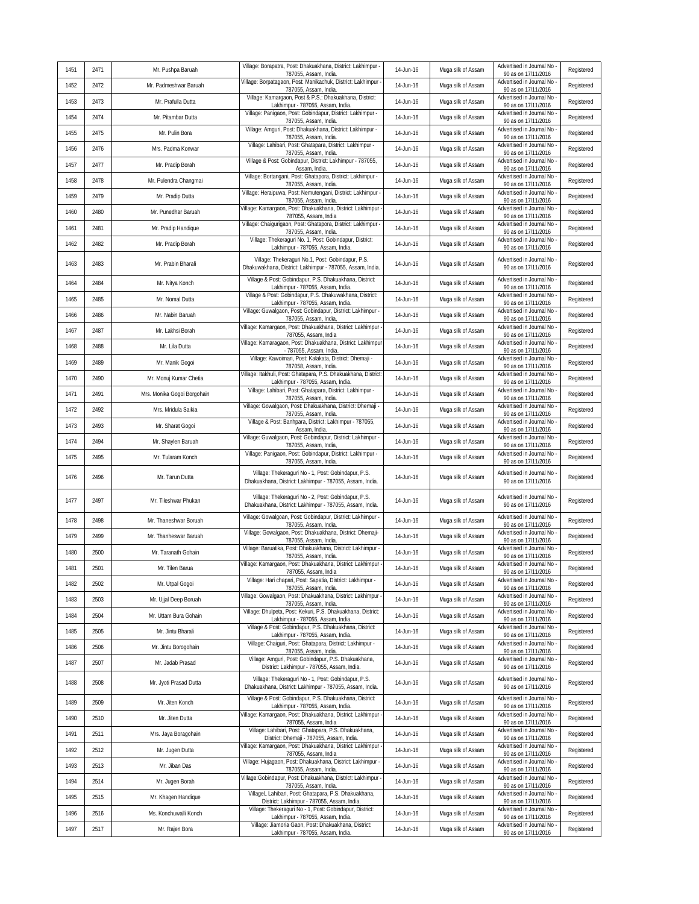| 1451 | 2471 | Mr. Pushpa Baruah           | Village: Borapatra, Post: Dhakuakhana, District: Lakhimpur -<br>787055, Assam, India.                           | 14-Jun-16 | Muga silk of Assam | Advertised in Journal No<br>90 as on 17/11/2016   | Registered |
|------|------|-----------------------------|-----------------------------------------------------------------------------------------------------------------|-----------|--------------------|---------------------------------------------------|------------|
| 1452 | 2472 | Mr. Padmeshwar Baruah       | Village: Borpatagaon, Post: Manikachuk, District: Lakhimpur<br>787055, Assam, India.                            | 14-Jun-16 | Muga silk of Assam | Advertised in Journal No<br>90 as on 17/11/2016   | Registered |
| 1453 | 2473 | Mr. Prafulla Dutta          | Village: Kamargaon, Post & P.S.: Dhakuakhana, District:<br>Lakhimpur - 787055, Assam, India.                    | 14-Jun-16 | Muga silk of Assam | Advertised in Journal No<br>90 as on 17/11/2016   | Registered |
| 1454 | 2474 | Mr. Pitambar Dutta          | Village: Panigaon, Post: Gobindapur, District: Lakhimpur -<br>787055, Assam, India.                             | 14-Jun-16 | Muga silk of Assam | Advertised in Journal No<br>90 as on 17/11/2016   | Registered |
| 1455 | 2475 | Mr. Pulin Bora              | Village: Amguri, Post: Dhakuakhana, District: Lakhimpur -<br>787055, Assam, India.                              | 14-Jun-16 | Muga silk of Assam | Advertised in Journal No<br>90 as on 17/11/2016   | Registered |
| 1456 | 2476 | Mrs. Padma Konwar           | Village: Lahibari, Post: Ghatapara, District: Lakhimpur -<br>787055, Assam, India.                              | 14-Jun-16 | Muga silk of Assam | Advertised in Journal No<br>90 as on 17/11/2016   | Registered |
| 1457 | 2477 | Mr. Pradip Borah            | Village & Post: Gobindapur, District: Lakhimpur - 787055,<br>Assam, India.                                      | 14-Jun-16 | Muga silk of Assam | Advertised in Journal No<br>90 as on 17/11/2016   | Registered |
| 1458 | 2478 | Mr. Pulendra Changmai       | Village: Bortangani, Post: Ghatapora, District: Lakhimpur -<br>787055, Assam, India.                            | 14-Jun-16 | Muga silk of Assam | Advertised in Journal No<br>90 as on 17/11/2016   | Registered |
| 1459 | 2479 | Mr. Pradip Dutta            | Village: Heraipuwa, Post: Nemutengani, District: Lakhimpur -<br>787055, Assam, India.                           | 14-Jun-16 | Muga silk of Assam | Advertised in Journal No<br>90 as on 17/11/2016   | Registered |
| 1460 | 2480 | Mr. Punedhar Baruah         | Village: Kamargaon, Post: Dhakuakhana, District: Lakhimpur<br>787055, Assam, India                              | 14-Jun-16 | Muga silk of Assam | Advertised in Journal No<br>90 as on 17/11/2016   | Registered |
| 1461 | 2481 | Mr. Pradip Handique         | Village: Chaigurigaon, Post: Ghatapora, District: Lakhimpur -<br>787055, Assam, India.                          | 14-Jun-16 | Muga silk of Assam | Advertised in Journal No<br>90 as on 17/11/2016   | Registered |
| 1462 | 2482 | Mr. Pradip Borah            | Village: Thekeraguri No. 1, Post: Gobindapur, District:<br>Lakhimpur - 787055, Assam, India.                    | 14-Jun-16 | Muga silk of Assam | Advertised in Journal No<br>90 as on 17/11/2016   | Registered |
| 1463 | 2483 | Mr. Prabin Bharali          | Village: Thekeraguri No.1, Post: Gobindapur, P.S.<br>Dhakuwakhana, District: Lakhimpur - 787055, Assam, India.  | 14-Jun-16 | Muga silk of Assam | Advertised in Journal No<br>90 as on 17/11/2016   | Registered |
| 1464 | 2484 | Mr. Nitya Konch             | Village & Post: Gobindapur, P.S. Dhakuakhana, District:<br>Lakhimpur - 787055, Assam, India.                    | 14-Jun-16 | Muga silk of Assam | Advertised in Journal No -<br>90 as on 17/11/2016 | Registered |
| 1465 | 2485 | Mr. Nomal Dutta             | Village & Post: Gobindapur, P.S. Dhakuwakhana, District:<br>Lakhimpur - 787055, Assam, India.                   | 14-Jun-16 | Muga silk of Assam | Advertised in Journal No<br>90 as on 17/11/2016   | Registered |
| 1466 | 2486 | Mr. Nabin Baruah            | Village: Guwalgaon, Post: Gobindapur, District: Lakhimpur -<br>787055, Assam, India,                            | 14-Jun-16 | Muga silk of Assam | Advertised in Journal No<br>90 as on 17/11/2016   | Registered |
| 1467 | 2487 | Mr. Lakhsi Borah            | Village: Kamargaon, Post: Dhakuakhana, District: Lakhimpur<br>787055, Assam, India                              | 14-Jun-16 | Muga silk of Assam | Advertised in Journal No<br>90 as on 17/11/2016   | Registered |
| 1468 | 2488 | Mr. Lila Dutta              | Village: Kamaragaon, Post: Dhakuakhana, District: Lakhimpur<br>- 787055, Assam, India.                          | 14-Jun-16 | Muga silk of Assam | Advertised in Journal No<br>90 as on 17/11/2016   | Registered |
| 1469 | 2489 | Mr. Manik Gogoi             | Village: Kawoimari, Post: Kalakata, District: Dhemaji -<br>787058, Assam, India.                                | 14-Jun-16 | Muga silk of Assam | Advertised in Journal No<br>90 as on 17/11/2016   | Registered |
| 1470 | 2490 | Mr. Monuj Kumar Chetia      | Village: Itakhuli, Post: Ghatapara, P.S. Dhakuakhana, District:<br>Lakhimpur - 787055, Assam, India.            | 14-Jun-16 | Muga silk of Assam | Advertised in Journal No<br>90 as on 17/11/2016   | Registered |
| 1471 | 2491 | Mrs. Monika Gogoi Borgohain | Village: Lahibari, Post: Ghatapara, District: Lakhimpur -<br>787055, Assam, India.                              | 14-Jun-16 | Muga silk of Assam | Advertised in Journal No<br>90 as on 17/11/2016   | Registered |
| 1472 | 2492 | Mrs. Mridula Saikia         | Village: Gowalgaon, Post: Dhakuakhana, District: Dhemaji -<br>787055, Assam, India.                             | 14-Jun-16 | Muga silk of Assam | Advertised in Journal No<br>90 as on 17/11/2016   | Registered |
| 1473 | 2493 | Mr. Sharat Gogoi            | Village & Post: Banhpara, District: Lakhimpur - 787055,<br>Assam, India.                                        | 14-Jun-16 | Muga silk of Assam | Advertised in Journal No<br>90 as on 17/11/2016   | Registered |
| 1474 | 2494 | Mr. Shaylen Baruah          | Village: Guwalgaon, Post: Gobindapur, District: Lakhimpur -<br>787055, Assam, India,                            | 14-Jun-16 | Muga silk of Assam | Advertised in Journal No<br>90 as on 17/11/2016   | Registered |
| 1475 | 2495 | Mr. Tularam Konch           | Village: Panigaon, Post: Gobindapur, District: Lakhimpur -<br>787055, Assam, India.                             | 14-Jun-16 | Muga silk of Assam | Advertised in Journal No<br>90 as on 17/11/2016   | Registered |
| 1476 | 2496 | Mr. Tarun Dutta             | Village: Thekeraguri No - 1, Post: Gobindapur, P.S.<br>Dhakuakhana, District: Lakhimpur - 787055, Assam, India. | 14-Jun-16 | Muga silk of Assam | Advertised in Journal No<br>90 as on 17/11/2016   | Registered |
| 1477 | 2497 | Mr. Tileshwar Phukan        | Village: Thekeraguri No - 2, Post: Gobindapur, P.S.<br>Dhakuakhana, District: Lakhimpur - 787055, Assam, India. | 14-Jun-16 | Muga silk of Assam | Advertised in Journal No<br>90 as on 17/11/2016   | Registered |
| 1478 | 2498 | Mr. Thaneshwar Boruah       | Village: Gowalgoan, Post: Gobindapur, District: Lakhimpur -<br>787055, Assam, India.                            | 14-Jun-16 | Muga silk of Assam | Advertised in Journal No<br>90 as on 17/11/2016   | Registered |
| 1479 | 2499 | Mr. Thanheswar Baruah       | Village: Gowalgaon, Post: Dhakuakhana, District: Dhemaji-<br>787055, Assam, India.                              | 14-Jun-16 | Muga silk of Assam | Advertised in Journal No<br>90 as on 17/11/2016   | Registered |
| 1480 | 2500 | Mr. Taranath Gohain         | Village: Baruatika, Post: Dhakuakhana, District: Lakhimpur -<br>787055, Assam, India.                           | 14-Jun-16 | Muga silk of Assam | Advertised in Journal No<br>90 as on 17/11/2016   | Registered |
| 1481 | 2501 | Mr. Tilen Barua             | Village: Kamargaon, Post: Dhakuakhana, District: Lakhimpur<br>787055, Assam, India                              | 14-Jun-16 | Muga silk of Assam | Advertised in Journal No<br>90 as on 17/11/2016   | Registered |
| 1482 | 2502 | Mr. Utpal Gogoi             | Village: Hari chapari, Post: Sapatia, District: Lakhimpur -<br>787055, Assam, India.                            | 14-Jun-16 | Muga silk of Assam | Advertised in Journal No<br>90 as on 17/11/2016   | Registered |
| 1483 | 2503 | Mr. Ujjal Deep Boruah       | Village: Gowalgaon, Post: Dhakuakhana, District: Lakhimpur<br>787055, Assam, India.                             | 14-Jun-16 | Muga silk of Assam | Advertised in Journal No<br>90 as on 17/11/2016   | Registered |
| 1484 | 2504 | Mr. Uttam Bura Gohain       | Village: Dhulpeta, Post: Kekuri, P.S. Dhakuakhana, District:<br>Lakhimpur - 787055, Assam, India.               | 14-Jun-16 | Muga silk of Assam | Advertised in Journal No -<br>90 as on 17/11/2016 | Registered |
| 1485 | 2505 | Mr. Jintu Bharali           | Village & Post: Gobindapur, P.S. Dhakuakhana, District:<br>Lakhimpur - 787055, Assam, India.                    | 14-Jun-16 | Muga silk of Assam | Advertised in Journal No<br>90 as on 17/11/2016   | Registered |
| 1486 | 2506 | Mr. Jintu Borogohain        | Village: Chaiguri, Post: Ghatapara, District: Lakhimpur -<br>787055, Assam, India.                              | 14-Jun-16 | Muga silk of Assam | Advertised in Journal No<br>90 as on 17/11/2016   | Registered |
| 1487 | 2507 | Mr. Jadab Prasad            | Village: Amguri, Post: Gobindapur, P.S. Dhakuakhana,<br>District: Lakhimpur - 787055, Assam, India.             | 14-Jun-16 | Muga silk of Assam | Advertised in Journal No<br>90 as on 17/11/2016   | Registered |
| 1488 | 2508 | Mr. Jyoti Prasad Dutta      | Village: Thekeraguri No - 1, Post: Gobindapur, P.S.<br>Dhakuakhana, District: Lakhimpur - 787055, Assam, India. | 14-Jun-16 | Muga silk of Assam | Advertised in Journal No<br>90 as on 17/11/2016   | Registered |
| 1489 | 2509 | Mr. Jiten Konch             | Village & Post: Gobindapur, P.S. Dhakuakhana, District:<br>Lakhimpur - 787055, Assam, India.                    | 14-Jun-16 | Muga silk of Assam | Advertised in Journal No<br>90 as on 17/11/2016   | Registered |
| 1490 | 2510 | Mr. Jiten Dutta             | Village: Kamargaon, Post: Dhakuakhana, District: Lakhimpur<br>787055, Assam, India                              | 14-Jun-16 | Muga silk of Assam | Advertised in Journal No<br>90 as on 17/11/2016   | Registered |
| 1491 | 2511 | Mrs. Jaya Boragohain        | Village: Lahibari, Post: Ghatapara, P.S. Dhakuakhana,<br>District: Dhemaji - 787055, Assam, India.              | 14-Jun-16 | Muga silk of Assam | Advertised in Journal No<br>90 as on 17/11/2016   | Registered |
| 1492 | 2512 | Mr. Jugen Dutta             | Village: Kamargaon, Post: Dhakuakhana, District: Lakhimpur<br>787055, Assam, India                              | 14-Jun-16 | Muga silk of Assam | Advertised in Journal No<br>90 as on 17/11/2016   | Registered |
| 1493 | 2513 | Mr. Jiban Das               | Village: Hujagaon, Post: Dhakuakhana, District: Lakhimpur -<br>787055, Assam, India.                            | 14-Jun-16 | Muga silk of Assam | Advertised in Journal No<br>90 as on 17/11/2016   | Registered |
| 1494 | 2514 | Mr. Jugen Borah             | Village:Gobindapur, Post: Dhakuakhana, District: Lakhimpur<br>787055, Assam, India.                             | 14-Jun-16 | Muga silk of Assam | Advertised in Journal No<br>90 as on 17/11/2016   | Registered |
| 1495 | 2515 | Mr. Khagen Handique         | VillageL Lahibari, Post: Ghatapara, P.S. Dhakuakhana,<br>District: Lakhimpur - 787055, Assam, India.            | 14-Jun-16 | Muga silk of Assam | Advertised in Journal No<br>90 as on 17/11/2016   | Registered |
| 1496 | 2516 | Ms. Konchuwalli Konch       | Village: Thekeraguri No - 1, Post: Gobindapur, District:<br>Lakhimpur - 787055, Assam, India.                   | 14-Jun-16 | Muga silk of Assam | Advertised in Journal No<br>90 as on 17/11/2016   | Registered |
| 1497 | 2517 | Mr. Rajen Bora              | Village: Jiamoria Gaon, Post: Dhakuakhana, District:<br>Lakhimpur - 787055, Assam, India.                       | 14-Jun-16 | Muga silk of Assam | Advertised in Journal No<br>90 as on 17/11/2016   | Registered |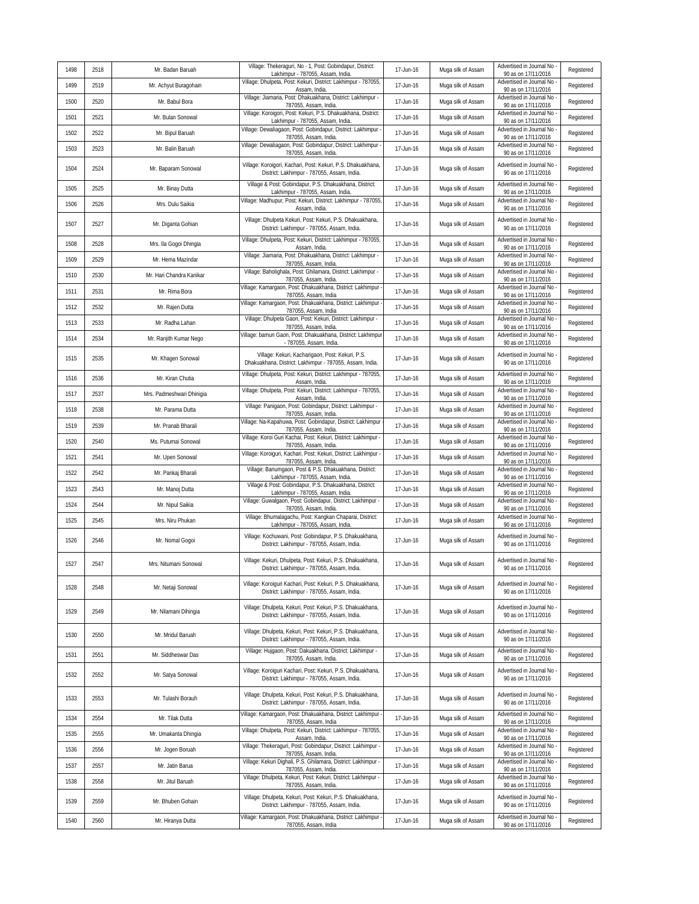| 1498 | 2518 | Mr. Badan Baruah          | Village: Thekeraguri, No - 1, Post: Gobindapur, District:<br>Lakhimpur - 787055, Assam, India                | 17-Jun-16 | Muga silk of Assam | Advertised in Journal No<br>90 as on 17/11/2016 | Registered |
|------|------|---------------------------|--------------------------------------------------------------------------------------------------------------|-----------|--------------------|-------------------------------------------------|------------|
| 1499 | 2519 | Mr. Achyut Buragohain     | Village: Dhulpeta, Post: Kekuri, District: Lakhimpur - 787055,<br>Assam, India.                              | 17-Jun-16 | Muga silk of Assam | Advertised in Journal No<br>90 as on 17/11/2016 | Registered |
| 1500 | 2520 | Mr. Babul Bora            | Village: Jiamaria, Post: Dhakuakhana, District: Lakhimpur -<br>787055, Assam, India.                         | 17-Jun-16 | Muga silk of Assam | Advertised in Journal No<br>90 as on 17/11/2016 | Registered |
| 1501 | 2521 | Mr. Bulan Sonowal         | Village: Koroigori, Post: Kekuri, P.S. Dhakuakhana, District:<br>Lakhimpur - 787055, Assam, India            | 17-Jun-16 | Muga silk of Assam | Advertised in Journal No<br>90 as on 17/11/2016 | Registered |
| 1502 | 2522 | Mr. Bipul Baruah          | Village: Dewaliagaon, Post: Gobindapur, District: Lakhimpur<br>787055, Assam, India.                         | 17-Jun-16 | Muga silk of Assam | Advertised in Journal No<br>90 as on 17/11/2016 | Registered |
| 1503 | 2523 | Mr. Balin Baruah          | Village: Dewaliagaon, Post: Gobindapur, District: Lakhimpur<br>787055, Assam, India.                         | 17-Jun-16 | Muga silk of Assam | Advertised in Journal No<br>90 as on 17/11/2016 | Registered |
| 1504 | 2524 | Mr. Baparam Sonowal       | Village: Koroigori, Kachari, Post: Kekuri, P.S. Dhakuakhana,<br>District: Lakhimpur - 787055, Assam, India.  | 17-Jun-16 | Muga silk of Assam | Advertised in Journal No<br>90 as on 17/11/2016 | Registered |
| 1505 | 2525 | Mr. Binay Dutta           | Village & Post: Gobindapur, P.S. Dhakuakhana, District:<br>Lakhimpur - 787055, Assam, India                  | 17-Jun-16 | Muga silk of Assam | Advertised in Journal No<br>90 as on 17/11/2016 | Registered |
| 1506 | 2526 | Mrs. Dulu Saikia          | Village: Madhupur, Post: Kekuri, District: Lakhimpur - 787055<br>Assam, India.                               | 17-Jun-16 | Muga silk of Assam | Advertised in Journal No<br>90 as on 17/11/2016 | Registered |
| 1507 | 2527 | Mr. Diganta Gohian        | Village: Dhulpeta Kekuri, Post: Kekuri, P.S. Dhakuakhana,<br>District: Lakhimpur - 787055, Assam, India.     | 17-Jun-16 | Muga silk of Assam | Advertised in Journal No<br>90 as on 17/11/2016 | Registered |
| 1508 | 2528 | Mrs. Ila Gogoi Dhingia    | Village: Dhulpeta, Post: Kekuri, District: Lakhimpur - 787055,<br>Assam, India.                              | 17-Jun-16 | Muga silk of Assam | Advertised in Journal No<br>90 as on 17/11/2016 | Registered |
| 1509 | 2529 | Mr. Hema Mazindar         | Village: Jiamaria, Post: Dhakuakhana, District: Lakhimpur -<br>787055, Assam, India.                         | 17-Jun-16 | Muga silk of Assam | Advertised in Journal No<br>90 as on 17/11/2016 | Registered |
| 1510 | 2530 | Mr. Hari Chandra Kanikar  | Village: Baholighala, Post: Ghilamara, District: Lakhimpur -<br>787055, Assam, India.                        | 17-Jun-16 | Muga silk of Assam | Advertised in Journal No<br>90 as on 17/11/2016 | Registered |
| 1511 | 2531 | Mr. Rima Bora             | Village: Kamargaon, Post: Dhakuakhana, District: Lakhimpur<br>787055, Assam, India                           | 17-Jun-16 | Muga silk of Assam | Advertised in Journal No<br>90 as on 17/11/2016 | Registered |
| 1512 | 2532 | Mr. Rajen Dutta           | Village: Kamargaon, Post: Dhakuakhana, District: Lakhimpur<br>787055, Assam, India                           | 17-Jun-16 | Muga silk of Assam | Advertised in Journal No<br>90 as on 17/11/2016 | Registered |
| 1513 | 2533 | Mr. Radha Lahan           | Village: Dhulpeta Gaon, Post: Kekuri, District: Lakhimpur -<br>787055, Assam, India                          | 17-Jun-16 | Muga silk of Assam | Advertised in Journal No<br>90 as on 17/11/2016 | Registered |
| 1514 | 2534 | Mr. Ranjith Kumar Nego    | Village: bamun Gaon, Post: Dhakuakhana, District: Lakhimpur<br>- 787055, Assam, India                        | 17-Jun-16 | Muga silk of Assam | Advertised in Journal No<br>90 as on 17/11/2016 | Registered |
| 1515 | 2535 | Mr. Khagen Sonowal        | Village: Kekuri, Kacharigaon, Post: Kekuri, P.S.<br>Dhakuakhana, District: Lakhimpur - 787055, Assam, India. | 17-Jun-16 | Muga silk of Assam | Advertised in Journal No<br>90 as on 17/11/2016 | Registered |
| 1516 | 2536 | Mr. Kiran Chutia          | Village: Dhulpeta, Post: Kekuri, District: Lakhimpur - 787055,<br>Assam, India.                              | 17-Jun-16 | Muga silk of Assam | Advertised in Journal No<br>90 as on 17/11/2016 | Registered |
| 1517 | 2537 | Mrs. Padmeshwari Dhinigia | Village: Dhulpeta, Post: Kekuri, District: Lakhimpur - 787055,<br>Assam, India                               | 17-Jun-16 | Muga silk of Assam | Advertised in Journal No<br>90 as on 17/11/2016 | Registered |
| 1518 | 2538 | Mr. Parama Dutta          | Village: Panigaon, Post: Gobindapur, District: Lakhimpur -<br>787055, Assam, India.                          | 17-Jun-16 | Muga silk of Assam | Advertised in Journal No<br>90 as on 17/11/2016 | Registered |
| 1519 | 2539 | Mr. Pranab Bharali        | Village: Na-Kapahuwa, Post: Gobindapur, District: Lakhimpur<br>787055, Assam, India                          | 17-Jun-16 | Muga silk of Assam | Advertised in Journal No<br>90 as on 17/11/2016 | Registered |
| 1520 | 2540 | Ms. Putumai Sonowal       | Village: Koroi Guri Kachai, Post: Kekuri, District: Lakhimpur -<br>787055, Assam, India.                     | 17-Jun-16 | Muga silk of Assam | Advertised in Journal No<br>90 as on 17/11/2016 | Registered |
| 1521 | 2541 | Mr. Upen Sonowal          | Village: Koroiguri, Kachari, Post: Kekuri, District: Lakhimpur<br>787055, Assam, India.                      | 17-Jun-16 | Muga silk of Assam | Advertised in Journal No<br>90 as on 17/11/2016 | Registered |
| 1522 | 2542 | Mr. Pankaj Bharali        | Village: Banumgaon, Post & P.S. Dhakuakhana, District:<br>Lakhimpur - 787055, Assam, India                   | 17-Jun-16 | Muga silk of Assam | Advertised in Journal No<br>90 as on 17/11/2016 | Registered |
| 1523 | 2543 | Mr. Manoj Dutta           | Village & Post: Gobindapur, P.S. Dhakuakhana, District:<br>Lakhimpur - 787055, Assam, India.                 | 17-Jun-16 | Muga silk of Assam | Advertised in Journal No<br>90 as on 17/11/2016 | Registered |
| 1524 | 2544 | Mr. Nipul Saikia          | Village: Guwalgaon, Post: Gobindapur, District: Lakhimpur<br>787055, Assam, India                            | 17-Jun-16 | Muga silk of Assam | Advertised in Journal No<br>90 as on 17/11/2016 | Registered |
| 1525 | 2545 | Mrs. Niru Phukan          | Village: Bhumalagachu, Post: Kangkan Chaparai, District:<br>Lakhimpur - 787055, Assam, India                 | 17-Jun-16 | Muga silk of Assam | Advertised in Journal No<br>90 as on 17/11/2016 | Registered |
| 1526 | 2546 | Mr. Nomal Gogoi           | Village: Kochuwani, Post: Gobindapur, P.S. Dhakuakhana,<br>District: Lakhimpur - 787055, Assam, India.       | 17-Jun-16 | Muga silk of Assam | Advertised in Journal No<br>90 as on 17/11/2016 | Registered |
| 1527 | 2547 | Mrs. Nitumani Sonowal     | Village: Kekuri, Dhulpeta, Post: Kekuri, P.S. Dhakuakhana,<br>District: Lakhimpur - 787055, Assam, India.    | 17-Jun-16 | Muga silk of Assam | Advertised in Journal No<br>90 as on 17/11/2016 | Registered |
| 1528 | 2548 | Mr. Netaji Sonowal        | Village: Koroiguri Kachari, Post: Kekuri, P.S. Dhakuakhana,<br>District: Lakhimpur - 787055, Assam, India.   | 17-Jun-16 | Muga silk of Assam | Advertised in Journal No<br>90 as on 17/11/2016 | Registered |
| 1529 | 2549 | Mr. Nilamani Dihingia     | Village: Dhulpeta, Kekuri, Post: Kekuri, P.S. Dhakuakhana,<br>District: Lakhimpur - 787055, Assam, India.    | 17-Jun-16 | Muga silk of Assam | Advertised in Journal No<br>90 as on 17/11/2016 | Registered |
| 1530 | 2550 | Mr. Mridul Baruah         | Village: Dhulpeta, Kekuri, Post: Kekuri, P.S. Dhakuakhana,<br>District: Lakhimpur - 787055, Assam, India.    | 17-Jun-16 | Muga silk of Assam | Advertised in Journal No<br>90 as on 17/11/2016 | Registered |
| 1531 | 2551 | Mr. Siddheswar Das        | Village: Hujgaon, Post: Dakuakhana, District: Lakhimpur -<br>787055, Assam, India.                           | 17-Jun-16 | Muga silk of Assam | Advertised in Journal No<br>90 as on 17/11/2016 | Registered |
| 1532 | 2552 | Mr. Satya Sonowal         | Village: Koroiguri Kachari, Post: Kekuri, P.S. Dhakuakhana,<br>District: Lakhimpur - 787055, Assam, India.   | 17-Jun-16 | Muga silk of Assam | Advertised in Journal No<br>90 as on 17/11/2016 | Registered |
| 1533 | 2553 | Mr. Tulashi Borauh        | Village: Dhulpeta, Kekuri, Post: Kekuri, P.S. Dhakuakhana,<br>District: Lakhimpur - 787055, Assam, India.    | 17-Jun-16 | Muga silk of Assam | Advertised in Journal No<br>90 as on 17/11/2016 | Registered |
| 1534 | 2554 | Mr. Tilak Dutta           | Village: Kamargaon, Post: Dhakuakhana, District: Lakhimpur<br>787055, Assam, India                           | 17-Jun-16 | Muga silk of Assam | Advertised in Journal No<br>90 as on 17/11/2016 | Registered |
| 1535 | 2555 | Mr. Umakanta Dhingia      | Village: Dhulpeta, Post: Kekuri, District: Lakhimpur - 787055,<br>Assam, India.                              | 17-Jun-16 | Muga silk of Assam | Advertised in Journal No<br>90 as on 17/11/2016 | Registered |
| 1536 | 2556 | Mr. Jogen Boruah          | Village: Thekeraguri, Post: Gobindapur, District: Lakhimpur -<br>787055, Assam, India.                       | 17-Jun-16 | Muga silk of Assam | Advertised in Journal No<br>90 as on 17/11/2016 | Registered |
| 1537 | 2557 | Mr. Jatin Barua           | Village: Kekuri Dighali, P.S. Ghilamara, District: Lakhimpur -<br>787055, Assam, India.                      | 17-Jun-16 | Muga silk of Assam | Advertised in Journal No<br>90 as on 17/11/2016 | Registered |
| 1538 | 2558 | Mr. Jitul Baruah          | Village: Dhulpeta, Kekuri, Post: Kekuri, District: Lakhimpur -<br>787055, Assam, India.                      | 17-Jun-16 | Muga silk of Assam | Advertised in Journal No<br>90 as on 17/11/2016 | Registered |
| 1539 | 2559 | Mr. Bhuben Gohain         | Village: Dhulpeta, Kekuri, Post: Kekuri, P.S. Dhakuakhana,<br>District: Lakhimpur - 787055, Assam, India.    | 17-Jun-16 | Muga silk of Assam | Advertised in Journal No<br>90 as on 17/11/2016 | Registered |
| 1540 | 2560 | Mr. Hiranya Dutta         | Village: Kamargaon, Post: Dhakuakhana, District: Lakhimpur<br>787055, Assam, India                           | 17-Jun-16 | Muga silk of Assam | Advertised in Journal No<br>90 as on 17/11/2016 | Registered |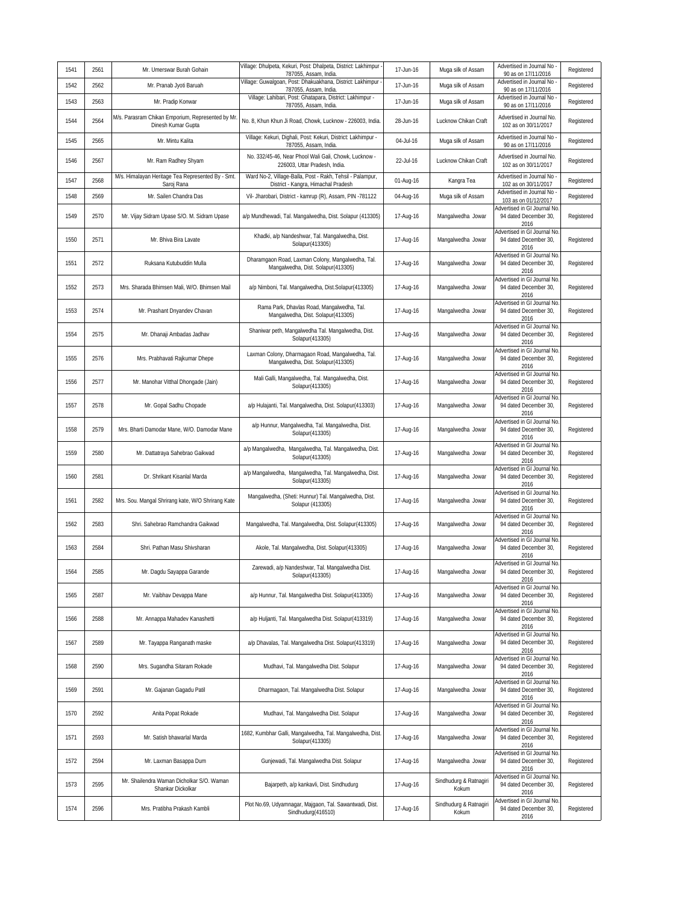| 1541 | 2561 | Mr. Umerswar Burah Gohain                                               | Village: Dhulpeta, Kekuri, Post: Dhalpeta, District: Lakhimpur -<br>787055, Assam, India.        | 17-Jun-16 | Muga silk of Assam              | Advertised in Journal No<br>90 as on 17/11/2016                     | Registered |
|------|------|-------------------------------------------------------------------------|--------------------------------------------------------------------------------------------------|-----------|---------------------------------|---------------------------------------------------------------------|------------|
| 1542 | 2562 | Mr. Pranab Jyoti Baruah                                                 | Village: Guwalgoan, Post: Dhakuakhana, District: Lakhimpur<br>787055, Assam, India.              | 17-Jun-16 | Muga silk of Assam              | Advertised in Journal No<br>90 as on 17/11/2016                     | Registered |
| 1543 | 2563 | Mr. Pradip Konwar                                                       | Village: Lahibari, Post: Ghatapara, District: Lakhimpur -<br>787055, Assam, India.               | 17-Jun-16 | Muga silk of Assam              | Advertised in Journal No<br>90 as on 17/11/2016                     | Registered |
| 1544 | 2564 | M/s. Parasram Chikan Emporium, Represented by Mr.<br>Dinesh Kumar Gupta | No. 8, Khun Khun Ji Road, Chowk, Lucknow - 226003, India.                                        | 28-Jun-16 | Lucknow Chikan Craft            | Advertised in Journal No.<br>102 as on 30/11/2017                   | Registered |
| 1545 | 2565 | Mr. Mintu Kalita                                                        | Village: Kekuri, Dighali, Post: Kekuri, District: Lakhimpur -<br>787055, Assam, India            | 04-Jul-16 | Muga silk of Assam              | Advertised in Journal No<br>90 as on 17/11/2016                     | Registered |
| 1546 | 2567 | Mr. Ram Radhey Shyam                                                    | No. 332/45-46, Near Phool Wali Gali, Chowk, Lucknow -<br>226003, Uttar Pradesh, India.           | 22-Jul-16 | Lucknow Chikan Craft            | Advertised in Journal No<br>102 as on 30/11/2017                    | Registered |
| 1547 | 2568 | M/s. Himalayan Heritage Tea Represented By - Smt.<br>Saroj Rana         | Ward No-2, Village-Balla, Post - Rakh, Tehsil - Palampur,<br>District - Kangra, Himachal Pradesh | 01-Aug-16 | Kangra Tea                      | Advertised in Journal No<br>102 as on 30/11/2017                    | Registered |
| 1548 | 2569 | Mr. Sailen Chandra Das                                                  | Vil- Jharobari, District - kamrup (R), Assam, PIN -781122                                        | 04-Aug-16 | Muga silk of Assam              | Advertised in Journal No<br>103 as on 01/12/2017                    | Registered |
| 1549 | 2570 | Mr. Vijay Sidram Upase S/O. M. Sidram Upase                             | a/p Mundhewadi, Tal. Mangalwedha, Dist. Solapur (413305)                                         | 17-Aug-16 | Mangalwedha Jowar               | Advertised in GI Journal No<br>94 dated December 30,<br>2016        | Registered |
| 1550 | 2571 | Mr. Bhiva Bira Lavate                                                   | Khadki, a/p Nandeshwar, Tal. Mangalwedha, Dist.<br>Solapur(413305)                               | 17-Aug-16 | Mangalwedha Jowar               | Advertised in GI Journal No<br>94 dated December 30,<br>2016        | Registered |
| 1551 | 2572 | Ruksana Kutubuddin Mulla                                                | Dharamgaon Road, Laxman Colony, Mangalwedha, Tal.<br>Mangalwedha, Dist. Solapur(413305)          | 17-Aug-16 | Mangalwedha Jowar               | Advertised in GI Journal No<br>94 dated December 30,<br>2016        | Registered |
| 1552 | 2573 | Mrs. Sharada Bhimsen Mali, W/O. Bhimsen Mail                            | a/p Nimboni, Tal. Mangalwedha, Dist.Solapur(413305)                                              | 17-Aug-16 | Mangalwedha Jowar               | dvertised in GI Journal No<br>94 dated December 30,<br>2016         | Registered |
| 1553 | 2574 | Mr. Prashant Dnyandev Chavan                                            | Rama Park, Dhavlas Road, Mangalwedha, Tal.<br>Mangalwedha, Dist. Solapur(413305)                 | 17-Aug-16 | Mangalwedha Jowar               | Advertised in GI Journal No<br>94 dated December 30,<br>2016        | Registered |
| 1554 | 2575 | Mr. Dhanaji Ambadas Jadhav                                              | Shaniwar peth, Mangalwedha Tal. Mangalwedha, Dist.<br>Solapur(413305)                            | 17-Aug-16 | Mangalwedha Jowar               | Advertised in GI Journal No<br>94 dated December 30,<br>2016        | Registered |
| 1555 | 2576 | Mrs. Prabhavati Rajkumar Dhepe                                          | Laxman Colony, Dharmagaon Road, Mangalwedha, Tal.<br>Mangalwedha, Dist. Solapur(413305)          | 17-Aug-16 | Mangalwedha Jowar               | dvertised in GI Journal No<br>94 dated December 30,<br>2016         | Registered |
| 1556 | 2577 | Mr. Manohar Vitthal Dhongade (Jain)                                     | Mali Galli, Mangalwedha, Tal. Mangalwedha, Dist.<br>Solapur(413305)                              | 17-Aug-16 | Mangalwedha Jowar               | Advertised in GI Journal No<br>94 dated December 30,<br>2016        | Registered |
| 1557 | 2578 | Mr. Gopal Sadhu Chopade                                                 | a/p Hulajanti, Tal. Mangalwedha, Dist. Solapur(413303)                                           | 17-Aug-16 | Mangalwedha Jowar               | Advertised in GI Journal No<br>94 dated December 30,<br>2016        | Registered |
| 1558 | 2579 | Mrs. Bharti Damodar Mane, W/O. Damodar Mane                             | a/p Hunnur, Mangalwedha, Tal. Mangalwedha, Dist.<br>Solapur(413305)                              | 17-Aug-16 | Mangalwedha Jowar               | Advertised in GI Journal No<br>94 dated December 30,<br>2016        | Registered |
| 1559 | 2580 | Mr. Dattatraya Sahebrao Gaikwad                                         | a/p Mangalwedha, Mangalwedha, Tal. Mangalwedha, Dist.<br>Solapur(413305)                         | 17-Aug-16 | Mangalwedha Jowar               | <b>Advertised in GI Journal No</b><br>94 dated December 30,<br>2016 | Registered |
| 1560 | 2581 | Dr. Shrikant Kisanlal Marda                                             | a/p Mangalwedha, Mangalwedha, Tal. Mangalwedha, Dist.<br>Solapur(413305)                         | 17-Aug-16 | Mangalwedha Jowar               | Advertised in GI Journal No<br>94 dated December 30,<br>2016        | Registered |
| 1561 | 2582 | Mrs. Sou. Mangal Shrirang kate, W/O Shrirang Kate                       | Mangalwedha, (Sheti: Hunnur) Tal. Mangalwedha, Dist.<br>Solapur (413305)                         | 17-Aug-16 | Mangalwedha Jowar               | dvertised in GI Journal No<br>94 dated December 30,<br>2016         | Registered |
| 1562 | 2583 | Shri. Sahebrao Ramchandra Gaikwad                                       | Mangalwedha, Tal. Mangalwedha, Dist. Solapur(413305)                                             | 17-Aug-16 | Mangalwedha Jowar               | Advertised in GI Journal No<br>94 dated December 30,<br>2016        | Registered |
| 1563 | 2584 | Shri. Pathan Masu Shivsharan                                            | Akole, Tal. Mangalwedha, Dist. Solapur(413305)                                                   | 17-Aug-16 | Mangalwedha Jowar               | Advertised in GI Journal No<br>94 dated December 30,<br>2016        | Registered |
| 1564 | 2585 | Mr. Dagdu Sayappa Garande                                               | Zarewadi, a/p Nandeshwar, Tal. Mangalwedha Dist.<br>Solapur(413305)                              | 17-Aug-16 | Mangalwedha Jowar               | Advertised in GI Journal No<br>94 dated December 30,<br>2016        | Registered |
| 1565 | 2587 | Mr. Vaibhav Devappa Mane                                                | a/p Hunnur, Tal. Mangalwedha Dist. Solapur(413305)                                               | 17-Aug-16 | Mangalwedha Jowar               | Advertised in GI Journal No<br>94 dated December 30,<br>2016        | Registered |
| 1566 | 2588 | Mr. Annappa Mahadev Kanashetti                                          | a/p Huljanti, Tal. Mangalwedha Dist. Solapur(413319)                                             | 17-Aug-16 | Mangalwedha Jowar               | dvertised in GI Journal No<br>94 dated December 30,<br>2016         | Registered |
| 1567 | 2589 | Mr. Tayappa Ranganath maske                                             | a/p Dhavalas, Tal. Mangalwedha Dist. Solapur(413319)                                             | 17-Aug-16 | Mangalwedha Jowar               | Advertised in GI Journal No<br>94 dated December 30,<br>2016        | Registered |
| 1568 | 2590 | Mrs. Sugandha Sitaram Rokade                                            | Mudhavi, Tal. Mangalwedha Dist. Solapur                                                          | 17-Aug-16 | Mangalwedha Jowar               | Advertised in GI Journal No<br>94 dated December 30,<br>2016        | Registered |
| 1569 | 2591 | Mr. Gajanan Gagadu Patil                                                | Dharmagaon, Tal. Mangalwedha Dist. Solapur                                                       | 17-Aug-16 | Mangalwedha Jowar               | Advertised in GI Journal No<br>94 dated December 30,<br>2016        | Registered |
| 1570 | 2592 | Anita Popat Rokade                                                      | Mudhavi, Tal. Mangalwedha Dist. Solapur                                                          | 17-Aug-16 | Mangalwedha Jowar               | Advertised in GI Journal No<br>94 dated December 30,<br>2016        | Registered |
| 1571 | 2593 | Mr. Satish bhawarlal Marda                                              | 1682, Kumbhar Galli, Mangalwedha, Tal. Mangalwedha, Dist.<br>Solapur(413305)                     | 17-Aug-16 | Mangalwedha Jowar               | dvertised in GI Journal No<br>94 dated December 30,<br>2016         | Registered |
| 1572 | 2594 | Mr. Laxman Basappa Dum                                                  | Gunjewadi, Tal. Mangalwedha Dist. Solapur                                                        | 17-Aug-16 | Mangalwedha Jowar               | dvertised in GI Journal No<br>94 dated December 30,<br>2016         | Registered |
| 1573 | 2595 | Mr. Shailendra Waman Dicholkar S/O. Waman<br>Shankar Dickolkar          | Bajarpeth, a/p kankavli, Dist. Sindhudurg                                                        | 17-Aug-16 | Sindhudurg & Ratnagiri<br>Kokum | Advertised in GI Journal No<br>94 dated December 30,<br>2016        | Registered |
| 1574 | 2596 | Mrs. Pratibha Prakash Kambli                                            | Plot No.69, Udyamnagar, Majgaon, Tal. Sawantwadi, Dist.<br>Sindhudurg(416510)                    | 17-Aug-16 | Sindhudurg & Ratnagiri<br>Kokum | dvertised in GI Journal No<br>94 dated December 30,<br>2016         | Registered |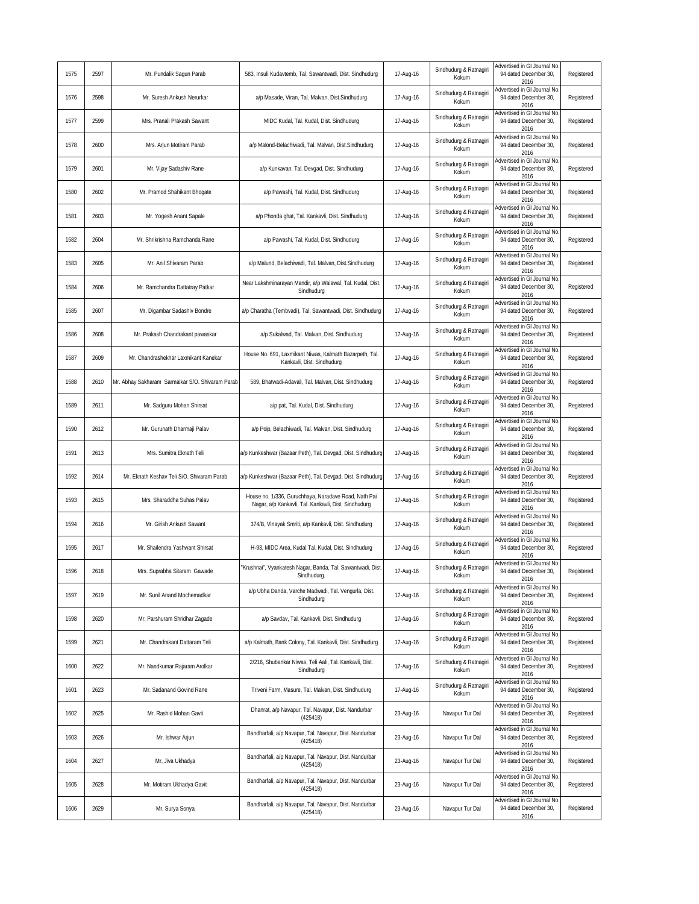| 1575 | 2597 | Mr. Pundalik Sagun Parab                         | 583, Insuli Kudavtemb, Tal. Sawantwadi, Dist. Sindhudurg                                                     | 17-Aug-16 | Sindhudurg & Ratnagiri<br>Kokum | Advertised in GI Journal No.<br>94 dated December 30,<br>2016       | Registered |
|------|------|--------------------------------------------------|--------------------------------------------------------------------------------------------------------------|-----------|---------------------------------|---------------------------------------------------------------------|------------|
| 1576 | 2598 | Mr. Suresh Ankush Nerurkar                       | a/p Masade, Viran, Tal. Malvan, Dist.Sindhudurg                                                              | 17-Aug-16 | Sindhudurg & Ratnagiri<br>Kokum | Advertised in GI Journal No<br>94 dated December 30,<br>2016        | Registered |
| 1577 | 2599 | Mrs. Pranali Prakash Sawant                      | MIDC Kudal, Tal. Kudal, Dist. Sindhudurg                                                                     | 17-Aug-16 | Sindhudurg & Ratnagiri<br>Kokum | dvertised in GI Journal No<br>94 dated December 30,<br>2016         | Registered |
| 1578 | 2600 | Mrs. Arjun Motiram Parab                         | a/p Malond-Belachiwadi, Tal. Malvan, Dist.Sindhudurg                                                         | 17-Aug-16 | Sindhudurg & Ratnagiri<br>Kokum | Advertised in GI Journal No<br>94 dated December 30,<br>2016        | Registered |
| 1579 | 2601 | Mr. Vijay Sadashiv Rane                          | a/p Kunkavan, Tal. Devgad, Dist. Sindhudurg                                                                  | 17-Aug-16 | Sindhudurg & Ratnagiri<br>Kokum | dvertised in GI Journal No<br>94 dated December 30,<br>2016         | Registered |
| 1580 | 2602 | Mr. Pramod Shahikant Bhogate                     | a/p Pawashi, Tal. Kudal, Dist. Sindhudurg                                                                    | 17-Aug-16 | Sindhudurg & Ratnagiri<br>Kokum | dvertised in GI Journal No<br>94 dated December 30,<br>2016         | Registered |
| 1581 | 2603 | Mr. Yogesh Anant Sapale                          | a/p Phonda ghat, Tal. Kankavli, Dist. Sindhudurg                                                             | 17-Aug-16 | Sindhudurg & Ratnagiri<br>Kokum | Advertised in GI Journal No<br>94 dated December 30,<br>2016        | Registered |
| 1582 | 2604 | Mr. Shrikrishna Ramchanda Rane                   | a/p Pawashi, Tal. Kudal, Dist. Sindhudurg                                                                    | 17-Aug-16 | Sindhudurg & Ratnagiri<br>Kokum | Advertised in GI Journal No<br>94 dated December 30,<br>2016        | Registered |
| 1583 | 2605 | Mr. Anil Shivaram Parab                          | a/p Malund, Belachiwadi, Tal. Malvan, Dist.Sindhudurg                                                        | 17-Aug-16 | Sindhudurg & Ratnagiri<br>Kokum | Advertised in GI Journal No<br>94 dated December 30,<br>2016        | Registered |
| 1584 | 2606 | Mr. Ramchandra Dattatray Patkar                  | Near Lakshminarayan Mandir, a/p Walawal, Tal. Kudal, Dist.<br>Sindhudurg                                     | 17-Aug-16 | Sindhudurg & Ratnagiri<br>Kokum | Advertised in GI Journal No<br>94 dated December 30,<br>2016        | Registered |
| 1585 | 2607 | Mr. Digambar Sadashiv Bondre                     | a/p Charatha (Tembvadi), Tal. Sawantwadi, Dist. Sindhudurg                                                   | 17-Aug-16 | Sindhudurg & Ratnagiri<br>Kokum | Advertised in GI Journal No<br>94 dated December 30,<br>2016        | Registered |
| 1586 | 2608 | Mr. Prakash Chandrakant pawaskar                 | a/p Sukalwad, Tal. Malvan, Dist. Sindhudurg                                                                  | 17-Aug-16 | Sindhudurg & Ratnagiri<br>Kokum | Advertised in GI Journal No<br>94 dated December 30,<br>2016        | Registered |
| 1587 | 2609 | Mr. Chandrashekhar Laxmikant Kanekar             | House No. 691, Laxmikant Niwas, Kalmath Bazarpeth, Tal.<br>Kankavli, Dist. Sindhudurg                        | 17-Aug-16 | Sindhudurg & Ratnagiri<br>Kokum | Advertised in GI Journal No<br>94 dated December 30,<br>2016        | Registered |
| 1588 | 2610 | Mr. Abhay Sakharam Sarmalkar S/O. Shivaram Parab | 589, Bhatwadi-Adavali, Tal. Malvan, Dist. Sindhudurg                                                         | 17-Aug-16 | Sindhudurg & Ratnagiri<br>Kokum | Advertised in GI Journal No<br>94 dated December 30,<br>2016        | Registered |
| 1589 | 2611 | Mr. Sadguru Mohan Shirsat                        | a/p pat, Tal. Kudal, Dist. Sindhudurg                                                                        | 17-Aug-16 | Sindhudurg & Ratnagiri<br>Kokum | Advertised in GI Journal No<br>94 dated December 30,<br>2016        | Registered |
| 1590 | 2612 | Mr. Gurunath Dharmaji Palav                      | a/p Poip, Belachiwadi, Tal. Malvan, Dist. Sindhudurg                                                         | 17-Aug-16 | Sindhudurg & Ratnagiri<br>Kokum | dvertised in GI Journal No.<br>94 dated December 30,<br>2016        | Registered |
| 1591 | 2613 | Mrs. Sumitra Eknath Teli                         | a/p Kunkeshwar (Bazaar Peth), Tal. Devgad, Dist. Sindhudurg                                                  | 17-Aug-16 | Sindhudurg & Ratnagiri<br>Kokum | Advertised in GI Journal No<br>94 dated December 30,<br>2016        | Registered |
| 1592 | 2614 | Mr. Eknath Keshav Teli S/O. Shivaram Parab       | a/p Kunkeshwar (Bazaar Peth), Tal. Devgad, Dist. Sindhudurg                                                  | 17-Aug-16 | Sindhudurg & Ratnagiri<br>Kokum | Advertised in GI Journal No<br>94 dated December 30,<br>2016        | Registered |
| 1593 | 2615 | Mrs. Sharaddha Suhas Palav                       | House no. 1/336, Guruchhaya, Naradave Road, Nath Pai<br>Nagar, a/p Kankavli, Tal. Kankavli, Dist. Sindhudurg | 17-Aug-16 | Sindhudurg & Ratnagiri<br>Kokum | dvertised in GI Journal No<br>94 dated December 30,<br>2016         | Registered |
| 1594 | 2616 | Mr. Girish Ankush Sawant                         | 374/B, Vinayak Smriti, a/p Kankavli, Dist. Sindhudurg                                                        | 17-Aug-16 | Sindhudurg & Ratnagiri<br>Kokum | dvertised in GI Journal No<br>94 dated December 30,<br>2016         | Registered |
| 1595 | 2617 | Mr. Shailendra Yashwant Shirsat                  | H-93, MIDC Area, Kudal Tal. Kudal, Dist. Sindhudurg                                                          | 17-Aug-16 | Sindhudurg & Ratnagiri<br>Kokum | Advertised in GI Journal No<br>94 dated December 30,<br>2016        | Registered |
| 1596 | 2618 | Mrs. Suprabha Sitaram Gawade                     | 'Krushnai", Vyankatesh Nagar, Banda, Tal. Sawantwadi, Dist.<br>Sinanuaurg                                    | 17-Aug-16 | Sindhudurg & Ratnagiri<br>KOKUM | Advertised in GI Journal No.<br>94 dated December 30,<br>2016       | Registered |
| 1597 | 2619 | Mr. Sunil Anand Mochemadkar                      | a/p Ubha Danda, Varche Madwadi, Tal. Vengurla, Dist.<br>Sindhudurg                                           | 17-Aug-16 | Sindhudurg & Ratnagiri<br>Kokum | Advertised in GI Journal No.<br>94 dated December 30,<br>2016       | Registered |
| 1598 | 2620 | Mr. Parshuram Shridhar Zagade                    | a/p Savdav, Tal. Kankavli, Dist. Sindhudurg                                                                  | 17-Aug-16 | Sindhudurg & Ratnagiri<br>Kokum | <b>Advertised in GI Journal No</b><br>94 dated December 30,<br>2016 | Registered |
| 1599 | 2621 | Mr. Chandrakant Dattaram Teli                    | a/p Kalmath, Bank Colony, Tal. Kankavli, Dist. Sindhudurg                                                    | 17-Aug-16 | Sindhudurg & Ratnagiri<br>Kokum | dvertised in GI Journal No<br>94 dated December 30,<br>2016         | Registered |
| 1600 | 2622 | Mr. Nandkumar Rajaram Arolkar                    | 2/216, Shubankar Niwas, Teli Aali, Tal. Kankavli, Dist.<br>Sindhudurg                                        | 17-Aug-16 | Sindhudurg & Ratnagiri<br>Kokum | Advertised in GI Journal No<br>94 dated December 30,<br>2016        | Registered |
| 1601 | 2623 | Mr. Sadanand Govind Rane                         | Triveni Farm, Masure, Tal. Malvan, Dist. Sindhudurg                                                          | 17-Aug-16 | Sindhudurg & Ratnagiri<br>Kokum | dvertised in GI Journal No<br>94 dated December 30,<br>2016         | Registered |
| 1602 | 2625 | Mr. Rashid Mohan Gavit                           | Dhanrat, a/p Navapur, Tal. Navapur, Dist. Nandurbar<br>(425418)                                              | 23-Aug-16 | Navapur Tur Dal                 | Advertised in GI Journal No<br>94 dated December 30,<br>2016        | Registered |
| 1603 | 2626 | Mr. Ishwar Arjun                                 | Bandharfali, a/p Navapur, Tal. Navapur, Dist. Nandurbar<br>(425418)                                          | 23-Aug-16 | Navapur Tur Dal                 | Advertised in GI Journal No.<br>94 dated December 30,<br>2016       | Registered |
| 1604 | 2627 | Mr, Jiva Ukhadya                                 | Bandharfali, a/p Navapur, Tal. Navapur, Dist. Nandurbar<br>(425418)                                          | 23-Aug-16 | Navapur Tur Dal                 | Advertised in GI Journal No<br>94 dated December 30,<br>2016        | Registered |
| 1605 | 2628 | Mr. Motiram Ukhadya Gavit                        | Bandharfali, a/p Navapur, Tal. Navapur, Dist. Nandurbar<br>(425418)                                          | 23-Aug-16 | Navapur Tur Dal                 | Advertised in GI Journal No<br>94 dated December 30,<br>2016        | Registered |
| 1606 | 2629 | Mr. Surya Sonya                                  | Bandharfali, a/p Navapur, Tal. Navapur, Dist. Nandurbar<br>(425418)                                          | 23-Aug-16 | Navapur Tur Dal                 | Advertised in GI Journal No<br>94 dated December 30,<br>2016        | Registered |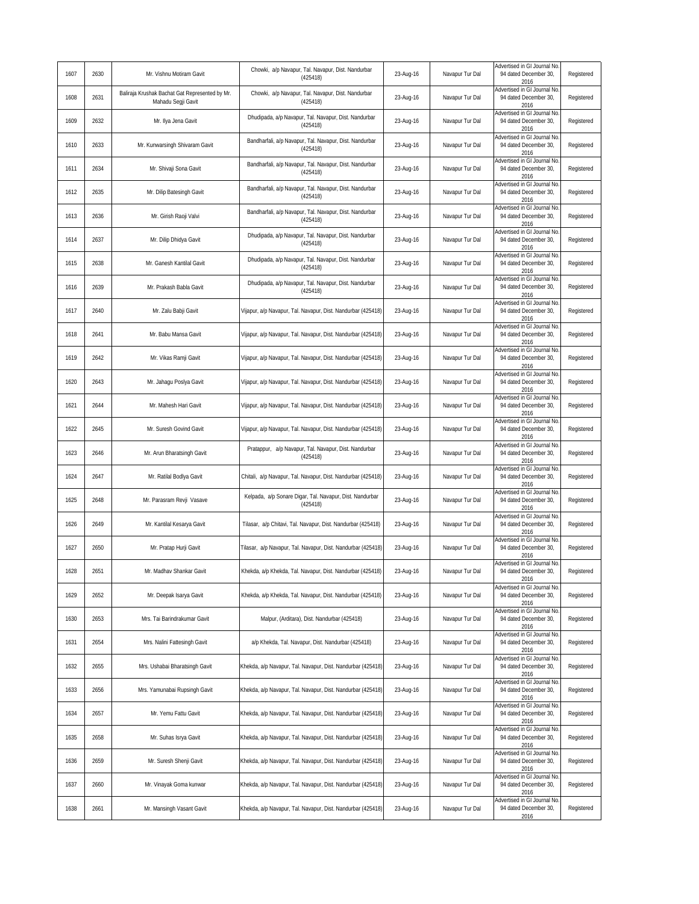| 1607 | 2630 | Mr. Vishnu Motiram Gavit                                             | Chowki, a/p Navapur, Tal. Navapur, Dist. Nandurbar<br>(425418)       | 23-Aug-16 | Navapur Tur Dal | Advertised in GI Journal No<br>94 dated December 30,<br>2016  | Registered |
|------|------|----------------------------------------------------------------------|----------------------------------------------------------------------|-----------|-----------------|---------------------------------------------------------------|------------|
| 1608 | 2631 | Baliraja Krushak Bachat Gat Represented by Mr.<br>Mahadu Segji Gavit | Chowki, a/p Navapur, Tal. Navapur, Dist. Nandurbar<br>(425418)       | 23-Aug-16 | Navapur Tur Dal | Advertised in GI Journal No<br>94 dated December 30,<br>2016  | Registered |
| 1609 | 2632 | Mr. Ilya Jena Gavit                                                  | Dhudipada, a/p Navapur, Tal. Navapur, Dist. Nandurbar<br>(425418)    | 23-Aug-16 | Navapur Tur Dal | Advertised in GI Journal No<br>94 dated December 30.<br>2016  | Registered |
| 1610 | 2633 | Mr. Kunwarsingh Shivaram Gavit                                       | Bandharfali, a/p Navapur, Tal. Navapur, Dist. Nandurbar<br>(425418)  | 23-Aug-16 | Navapur Tur Dal | Advertised in GI Journal No<br>94 dated December 30,<br>2016  | Registered |
| 1611 | 2634 | Mr. Shivaji Sona Gavit                                               | Bandharfali, a/p Navapur, Tal. Navapur, Dist. Nandurbar<br>(425418)  | 23-Aug-16 | Navapur Tur Dal | Advertised in GI Journal No<br>94 dated December 30,<br>2016  | Registered |
| 1612 | 2635 | Mr. Dilip Batesingh Gavit                                            | Bandharfali, a/p Navapur, Tal. Navapur, Dist. Nandurbar<br>(425418)  | 23-Aug-16 | Navapur Tur Dal | Advertised in GI Journal No<br>94 dated December 30,<br>2016  | Registered |
| 1613 | 2636 | Mr. Girish Raoji Valvi                                               | Bandharfali, a/p Navapur, Tal. Navapur, Dist. Nandurbar<br>(425418)  | 23-Aug-16 | Navapur Tur Dal | Advertised in GI Journal No<br>94 dated December 30,<br>2016  | Registered |
| 1614 | 2637 | Mr. Dilip Dhidya Gavit                                               | Dhudipada, a/p Navapur, Tal. Navapur, Dist. Nandurbar<br>(425418)    | 23-Aug-16 | Navapur Tur Dal | Advertised in GI Journal No<br>94 dated December 30,<br>2016  | Registered |
| 1615 | 2638 | Mr. Ganesh Kantilal Gavit                                            | Dhudipada, a/p Navapur, Tal. Navapur, Dist. Nandurbar<br>(425418)    | 23-Aug-16 | Navapur Tur Dal | dvertised in GI Journal No<br>94 dated December 30,<br>2016   | Registered |
| 1616 | 2639 | Mr. Prakash Babla Gavit                                              | Dhudipada, a/p Navapur, Tal. Navapur, Dist. Nandurbar<br>(425418)    | 23-Aug-16 | Navapur Tur Dal | Advertised in GI Journal No<br>94 dated December 30,<br>2016  | Registered |
| 1617 | 2640 | Mr. Zalu Babji Gavit                                                 | Vijapur, a/p Navapur, Tal. Navapur, Dist. Nandurbar (425418)         | 23-Aug-16 | Navapur Tur Dal | Advertised in GI Journal No<br>94 dated December 30,<br>2016  | Registered |
| 1618 | 2641 | Mr. Babu Mansa Gavit                                                 | Vijapur, a/p Navapur, Tal. Navapur, Dist. Nandurbar (425418)         | 23-Aug-16 | Navapur Tur Dal | Advertised in GI Journal No<br>94 dated December 30,<br>2016  | Registered |
| 1619 | 2642 | Mr. Vikas Ramji Gavit                                                | Vijapur, a/p Navapur, Tal. Navapur, Dist. Nandurbar (425418)         | 23-Aug-16 | Navapur Tur Dal | Advertised in GI Journal No<br>94 dated December 30,<br>2016  | Registered |
| 1620 | 2643 | Mr. Jahagu Poslya Gavit                                              | Vijapur, a/p Navapur, Tal. Navapur, Dist. Nandurbar (425418)         | 23-Aug-16 | Navapur Tur Dal | Advertised in GI Journal No<br>94 dated December 30,<br>2016  | Registered |
| 1621 | 2644 | Mr. Mahesh Hari Gavit                                                | Vijapur, a/p Navapur, Tal. Navapur, Dist. Nandurbar (425418)         | 23-Aug-16 | Navapur Tur Dal | Advertised in GI Journal No<br>94 dated December 30,<br>2016  | Registered |
| 1622 | 2645 | Mr. Suresh Govind Gavit                                              | Vijapur, a/p Navapur, Tal. Navapur, Dist. Nandurbar (425418)         | 23-Aug-16 | Navapur Tur Dal | Advertised in GI Journal No.<br>94 dated December 30,<br>2016 | Registered |
| 1623 | 2646 | Mr. Arun Bharatsingh Gavit                                           | Pratappur, a/p Navapur, Tal. Navapur, Dist. Nandurbar<br>(425418)    | 23-Aug-16 | Navapur Tur Dal | Advertised in GI Journal No<br>94 dated December 30,<br>2016  | Registered |
| 1624 | 2647 | Mr. Ratilal Bodlya Gavit                                             | Chitali, a/p Navapur, Tal. Navapur, Dist. Nandurbar (425418)         | 23-Aug-16 | Navapur Tur Dal | Advertised in GI Journal No<br>94 dated December 30,<br>2016  | Registered |
| 1625 | 2648 | Mr. Parasram Revji Vasave                                            | Kelpada, a/p Sonare Digar, Tal. Navapur, Dist. Nandurbar<br>(425418) | 23-Aug-16 | Navapur Tur Dal | Advertised in GI Journal No<br>94 dated December 30,<br>2016  | Registered |
| 1626 | 2649 | Mr. Kantilal Kesarya Gavit                                           | Tilasar, a/p Chitavi, Tal. Navapur, Dist. Nandurbar (425418)         | 23-Aug-16 | Navapur Tur Dal | dvertised in GI Journal No<br>94 dated December 30,<br>2016   | Registered |
| 1627 | 2650 | Mr. Pratap Hurji Gavit                                               | Tilasar, a/p Navapur, Tal. Navapur, Dist. Nandurbar (425418)         | 23-Aug-16 | Navapur Tur Dal | Advertised in GI Journal No<br>94 dated December 30,<br>2016  | Registered |
| 1628 | 2651 | Mr. Madhav Shankar Gavit                                             | Khekda, a/p Khekda, Tal. Navapur, Dist. Nandurbar (425418)           | 23-Aug-16 | Navapur Tur Dal | Advertised in GI Journal No<br>94 dated December 30,<br>2016  | Registered |
| 1629 | 2652 | Mr. Deepak Isarya Gavit                                              | Khekda, a/p Khekda, Tal. Navapur, Dist. Nandurbar (425418)           | 23-Aug-16 | Navapur Tur Dal | Advertised in GI Journal No<br>94 dated December 30,<br>2016  | Registered |
| 1630 | 2653 | Mrs. Tai Barindrakumar Gavit                                         | Malpur, (Arditara), Dist. Nandurbar (425418)                         | 23-Aug-16 | Navapur Tur Dal | Advertised in GI Journal No<br>94 dated December 30,<br>2016  | Registered |
| 1631 | 2654 | Mrs. Nalini Fattesingh Gavit                                         | a/p Khekda, Tal. Navapur, Dist. Nandurbar (425418)                   | 23-Aug-16 | Navapur Tur Dal | dvertised in GI Journal No<br>94 dated December 30,<br>2016   | Registered |
| 1632 | 2655 | Mrs. Ushabai Bharatsingh Gavit                                       | Khekda, a/p Navapur, Tal. Navapur, Dist. Nandurbar (425418)          | 23-Aug-16 | Navapur Tur Dal | Advertised in GI Journal No<br>94 dated December 30,<br>2016  | Registered |
| 1633 | 2656 | Mrs. Yamunabai Rupsingh Gavit                                        | Khekda, a/p Navapur, Tal. Navapur, Dist. Nandurbar (425418)          | 23-Aug-16 | Navapur Tur Dal | Advertised in GI Journal No<br>94 dated December 30,<br>2016  | Registered |
| 1634 | 2657 | Mr. Yemu Fattu Gavit                                                 | Khekda, a/p Navapur, Tal. Navapur, Dist. Nandurbar (425418)          | 23-Aug-16 | Navapur Tur Dal | dvertised in GI Journal No<br>94 dated December 30,<br>2016   | Registered |
| 1635 | 2658 | Mr. Suhas Isrya Gavit                                                | Khekda, a/p Navapur, Tal. Navapur, Dist. Nandurbar (425418)          | 23-Aug-16 | Navapur Tur Dal | Advertised in GI Journal No.<br>94 dated December 30,<br>2016 | Registered |
| 1636 | 2659 | Mr. Suresh Shenji Gavit                                              | Khekda, a/p Navapur, Tal. Navapur, Dist. Nandurbar (425418)          | 23-Aug-16 | Navapur Tur Dal | Advertised in GI Journal No<br>94 dated December 30,<br>2016  | Registered |
| 1637 | 2660 | Mr. Vinayak Goma kunwar                                              | Khekda, a/p Navapur, Tal. Navapur, Dist. Nandurbar (425418)          | 23-Aug-16 | Navapur Tur Dal | dvertised in GI Journal No<br>94 dated December 30,<br>2016   | Registered |
| 1638 | 2661 | Mr. Mansingh Vasant Gavit                                            | Khekda, a/p Navapur, Tal. Navapur, Dist. Nandurbar (425418)          | 23-Aug-16 | Navapur Tur Dal | Advertised in GI Journal No<br>94 dated December 30,<br>2016  | Registered |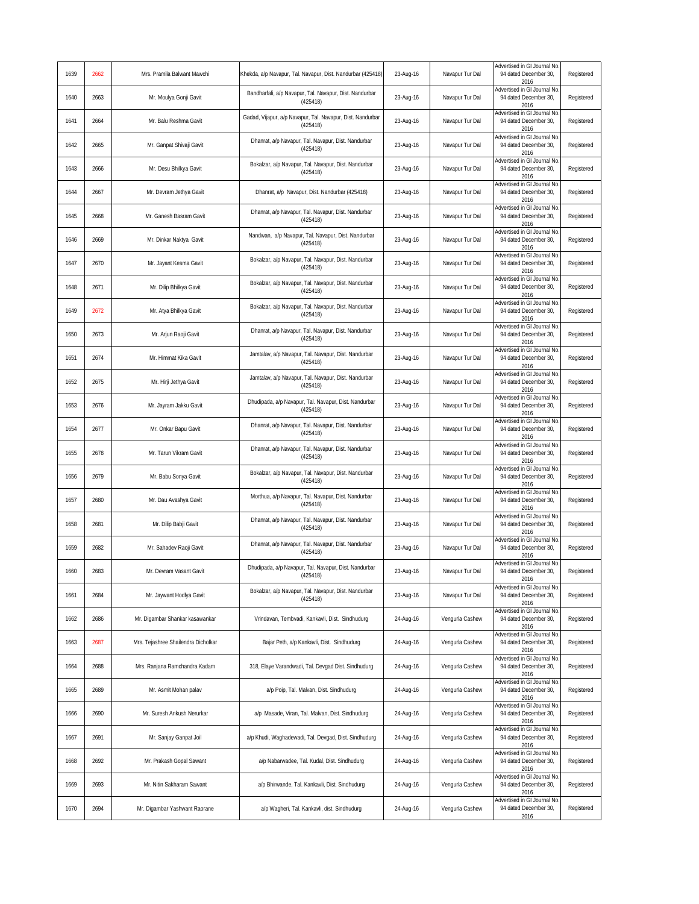| 1639 | 2662 | Mrs. Pramila Balwant Mawchi         | Khekda, a/p Navapur, Tal. Navapur, Dist. Nandurbar (425418)            | 23-Aug-16 | Navapur Tur Dal | Advertised in GI Journal No.<br>94 dated December 30,<br>2016 | Registered |
|------|------|-------------------------------------|------------------------------------------------------------------------|-----------|-----------------|---------------------------------------------------------------|------------|
| 1640 | 2663 | Mr. Moulya Gonji Gavit              | Bandharfali, a/p Navapur, Tal. Navapur, Dist. Nandurbar<br>(425418)    | 23-Aug-16 | Navapur Tur Dal | Advertised in GI Journal No<br>94 dated December 30,<br>2016  | Registered |
| 1641 | 2664 | Mr. Balu Reshma Gavit               | Gadad, Vijapur, a/p Navapur, Tal. Navapur, Dist. Nandurbar<br>(425418) | 23-Aug-16 | Navapur Tur Dal | Advertised in GI Journal No<br>94 dated December 30,<br>2016  | Registered |
| 1642 | 2665 | Mr. Ganpat Shivaji Gavit            | Dhanrat, a/p Navapur, Tal. Navapur, Dist. Nandurbar<br>(425418)        | 23-Aug-16 | Navapur Tur Dal | Advertised in GI Journal No<br>94 dated December 30,<br>2016  | Registered |
| 1643 | 2666 | Mr. Desu Bhilkya Gavit              | Bokalzar, a/p Navapur, Tal. Navapur, Dist. Nandurbar<br>(425418)       | 23-Aug-16 | Navapur Tur Dal | Advertised in GI Journal No<br>94 dated December 30,<br>2016  | Registered |
| 1644 | 2667 | Mr. Devram Jethya Gavit             | Dhanrat, a/p Navapur, Dist. Nandurbar (425418)                         | 23-Aug-16 | Navapur Tur Dal | Advertised in GI Journal No<br>94 dated December 30,<br>2016  | Registered |
| 1645 | 2668 | Mr. Ganesh Basram Gavit             | Dhanrat, a/p Navapur, Tal. Navapur, Dist. Nandurbar<br>(425418)        | 23-Aug-16 | Navapur Tur Dal | Advertised in GI Journal No<br>94 dated December 30,<br>2016  | Registered |
| 1646 | 2669 | Mr. Dinkar Naktya Gavit             | Nandwan, a/p Navapur, Tal. Navapur, Dist. Nandurbar<br>(425418)        | 23-Aug-16 | Navapur Tur Dal | Advertised in GI Journal No<br>94 dated December 30,<br>2016  | Registered |
| 1647 | 2670 | Mr. Jayant Kesma Gavit              | Bokalzar, a/p Navapur, Tal. Navapur, Dist. Nandurbar<br>(425418)       | 23-Aug-16 | Navapur Tur Dal | Advertised in GI Journal No<br>94 dated December 30,<br>2016  | Registered |
| 1648 | 2671 | Mr. Dilip Bhilkya Gavit             | Bokalzar, a/p Navapur, Tal. Navapur, Dist. Nandurbar<br>(425418)       | 23-Aug-16 | Navapur Tur Dal | Advertised in GI Journal No<br>94 dated December 30,<br>2016  | Registered |
| 1649 | 2672 | Mr. Atya Bhilkya Gavit              | Bokalzar, a/p Navapur, Tal. Navapur, Dist. Nandurbar<br>(425418)       | 23-Aug-16 | Navapur Tur Dal | Advertised in GI Journal No<br>94 dated December 30,<br>2016  | Registered |
| 1650 | 2673 | Mr. Arjun Raoji Gavit               | Dhanrat, a/p Navapur, Tal. Navapur, Dist. Nandurbar<br>(425418)        | 23-Aug-16 | Navapur Tur Dal | Advertised in GI Journal No<br>94 dated December 30,<br>2016  | Registered |
| 1651 | 2674 | Mr. Himmat Kika Gavit               | Jamtalav, a/p Navapur, Tal. Navapur, Dist. Nandurbar<br>(425418)       | 23-Aug-16 | Navapur Tur Dal | Advertised in GI Journal No<br>94 dated December 30,<br>2016  | Registered |
| 1652 | 2675 | Mr. Hirji Jethya Gavit              | Jamtalav, a/p Navapur, Tal. Navapur, Dist. Nandurbar<br>(425418)       | 23-Aug-16 | Navapur Tur Dal | Advertised in GI Journal No<br>94 dated December 30,<br>2016  | Registered |
| 1653 | 2676 | Mr. Jayram Jakku Gavit              | Dhudipada, a/p Navapur, Tal. Navapur, Dist. Nandurbar<br>(425418)      | 23-Aug-16 | Navapur Tur Dal | Advertised in GI Journal No<br>94 dated December 30,<br>2016  | Registered |
| 1654 | 2677 | Mr. Onkar Bapu Gavit                | Dhanrat, a/p Navapur, Tal. Navapur, Dist. Nandurbar<br>(425418)        | 23-Aug-16 | Navapur Tur Dal | Advertised in GI Journal No<br>94 dated December 30,<br>2016  | Registered |
| 1655 | 2678 | Mr. Tarun Vikram Gavit              | Dhanrat, a/p Navapur, Tal. Navapur, Dist. Nandurbar<br>(425418)        | 23-Aug-16 | Navapur Tur Dal | Advertised in GI Journal No<br>94 dated December 30,<br>2016  | Registered |
| 1656 | 2679 | Mr. Babu Sonya Gavit                | Bokalzar, a/p Navapur, Tal. Navapur, Dist. Nandurbar<br>(425418)       | 23-Aug-16 | Navapur Tur Dal | Advertised in GI Journal No<br>94 dated December 30,<br>2016  | Registered |
| 1657 | 2680 | Mr. Dau Avashya Gavit               | Morthua, a/p Navapur, Tal. Navapur, Dist. Nandurbar<br>(425418)        | 23-Aug-16 | Navapur Tur Dal | Advertised in GI Journal No<br>94 dated December 30,<br>2016  | Registered |
| 1658 | 2681 | Mr. Dilip Babji Gavit               | Dhanrat, a/p Navapur, Tal. Navapur, Dist. Nandurbar<br>(425418)        | 23-Aug-16 | Navapur Tur Dal | Advertised in GI Journal No<br>94 dated December 30,<br>2016  | Registered |
| 1659 | 2682 | Mr. Sahadev Raoji Gavit             | Dhanrat, a/p Navapur, Tal. Navapur, Dist. Nandurbar<br>(425418)        | 23-Aug-16 | Navapur Tur Dal | Advertised in GI Journal No<br>94 dated December 30,<br>2016  | Registered |
| 1660 | 2683 | Mr. Devram Vasant Gavit             | Dhudipada, a/p Navapur, Tal. Navapur, Dist. Nandurbar<br>(425418)      | 23-Aug-16 | Navapur Tur Dal | Advertised in GI Journal No<br>94 dated December 30,<br>2016  | Registered |
| 1661 | 2684 | Mr. Jaywant Hodlya Gavit            | Bokalzar, a/p Navapur, Tal. Navapur, Dist. Nandurbar<br>(425418)       | 23-Aug-16 | Navapur Tur Dal | Advertised in GI Journal No.<br>94 dated December 30,<br>2016 | Registered |
| 1662 | 2686 | Mr. Digambar Shankar kasawankar     | Vrindavan, Tembvadi, Kankavli, Dist. Sindhudurg                        | 24-Aug-16 | Vengurla Cashew | Advertised in GI Journal No<br>94 dated December 30,<br>2016  | Registered |
| 1663 | 2687 | Mrs. Tejashree Shailendra Dicholkar | Bajar Peth, a/p Kankavli, Dist. Sindhudurg                             | 24-Aug-16 | Vengurla Cashew | Advertised in GI Journal No<br>94 dated December 30,<br>2016  | Registered |
| 1664 | 2688 | Mrs. Ranjana Ramchandra Kadam       | 318, Elaye Varandwadi, Tal. Devgad Dist. Sindhudurg                    | 24-Aug-16 | Vengurla Cashew | Advertised in GI Journal No<br>94 dated December 30,<br>2016  | Registered |
| 1665 | 2689 | Mr. Asmit Mohan palav               | a/p Poip, Tal. Malvan, Dist. Sindhudurg                                | 24-Aug-16 | Vengurla Cashew | Advertised in GI Journal No<br>94 dated December 30,<br>2016  | Registered |
| 1666 | 2690 | Mr. Suresh Ankush Nerurkar          | a/p Masade, Viran, Tal. Malvan, Dist. Sindhudurg                       | 24-Aug-16 | Vengurla Cashew | Advertised in GI Journal No<br>94 dated December 30,<br>2016  | Registered |
| 1667 | 2691 | Mr. Sanjay Ganpat Joil              | a/p Khudi, Waghadewadi, Tal. Devgad, Dist. Sindhudurg                  | 24-Aug-16 | Vengurla Cashew | Advertised in GI Journal No.<br>94 dated December 30,<br>2016 | Registered |
| 1668 | 2692 | Mr. Prakash Gopal Sawant            | a/p Nabarwadee, Tal. Kudal, Dist. Sindhudurg                           | 24-Aug-16 | Vengurla Cashew | Advertised in GI Journal No<br>94 dated December 30,<br>2016  | Registered |
| 1669 | 2693 | Mr. Nitin Sakharam Sawant           | a/p Bhirwande, Tal. Kankavli, Dist. Sindhudurg                         | 24-Aug-16 | Vengurla Cashew | Advertised in GI Journal No<br>94 dated December 30,<br>2016  | Registered |
| 1670 | 2694 | Mr. Digambar Yashwant Raorane       | a/p Wagheri, Tal. Kankavli, dist. Sindhudurg                           | 24-Aug-16 | Vengurla Cashew | Advertised in GI Journal No<br>94 dated December 30,<br>2016  | Registered |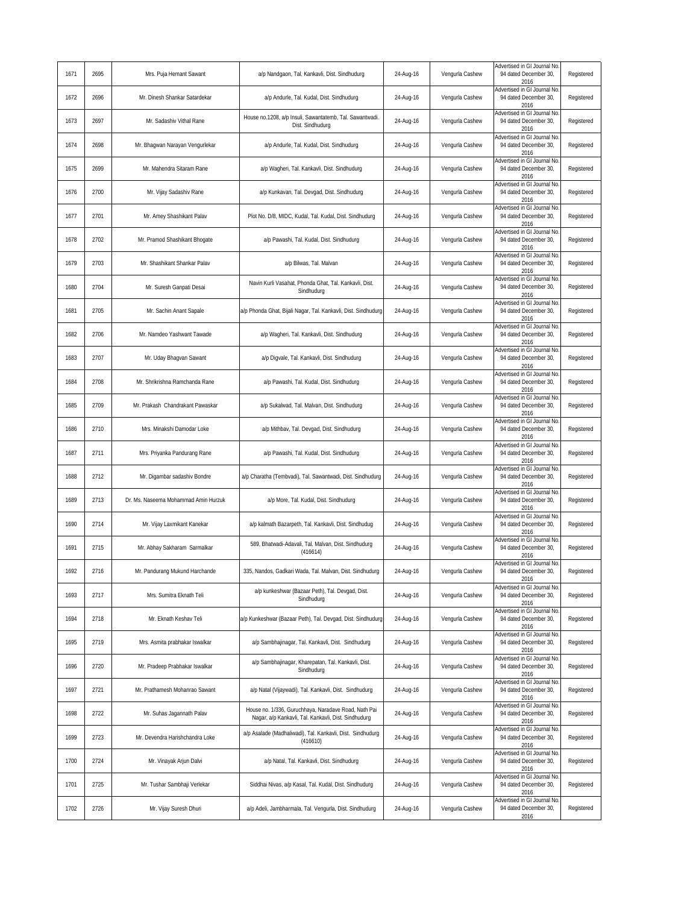| 1671 | 2695 | Mrs. Puja Hemant Sawant              | a/p Nandgaon, Tal. Kankavli, Dist. Sindhudurg                                                                | 24-Aug-16 | Vengurla Cashew | Advertised in GI Journal No.<br>94 dated December 30,<br>2016 | Registered |
|------|------|--------------------------------------|--------------------------------------------------------------------------------------------------------------|-----------|-----------------|---------------------------------------------------------------|------------|
| 1672 | 2696 | Mr. Dinesh Shankar Satardekar        | a/p Andurle, Tal. Kudal, Dist. Sindhudurg                                                                    | 24-Aug-16 | Vengurla Cashew | Advertised in GI Journal No<br>94 dated December 30,<br>2016  | Registered |
| 1673 | 2697 | Mr. Sadashiv Vithal Rane             | House no.1208, a/p Insuli, Sawantatemb, Tal. Sawantwadi.<br>Dist. Sindhudurg                                 | 24-Aug-16 | Vengurla Cashew | Advertised in GI Journal No<br>94 dated December 30.<br>2016  | Registered |
| 1674 | 2698 | Mr. Bhagwan Narayan Vengurlekar      | a/p Andurle, Tal. Kudal, Dist. Sindhudurg                                                                    | 24-Aug-16 | Vengurla Cashew | Advertised in GI Journal No<br>94 dated December 30,<br>2016  | Registered |
| 1675 | 2699 | Mr. Mahendra Sitaram Rane            | a/p Wagheri, Tal. Kankavli, Dist. Sindhudurg                                                                 | 24-Aug-16 | Vengurla Cashew | Advertised in GI Journal No<br>94 dated December 30,<br>2016  | Registered |
| 1676 | 2700 | Mr. Vijay Sadashiv Rane              | a/p Kunkavan, Tal. Devgad, Dist. Sindhudurg                                                                  | 24-Aug-16 | Vengurla Cashew | Advertised in GI Journal No<br>94 dated December 30,<br>2016  | Registered |
| 1677 | 2701 | Mr. Amey Shashikant Palav            | Plot No. D/8, MIDC, Kudal, Tal. Kudal, Dist. Sindhudurg                                                      | 24-Aug-16 | Vengurla Cashew | Advertised in GI Journal No<br>94 dated December 30,<br>2016  | Registered |
| 1678 | 2702 | Mr. Pramod Shashikant Bhogate        | a/p Pawashi, Tal. Kudal, Dist. Sindhudurg                                                                    | 24-Aug-16 | Vengurla Cashew | Advertised in GI Journal No<br>94 dated December 30,<br>2016  | Registered |
| 1679 | 2703 | Mr. Shashikant Shankar Palav         | a/p Bilwas, Tal. Malvan                                                                                      | 24-Aug-16 | Vengurla Cashew | Advertised in GI Journal No<br>94 dated December 30,<br>2016  | Registered |
| 1680 | 2704 | Mr. Suresh Ganpati Desai             | Navin Kurli Vasahat, Phonda Ghat, Tal. Kankavli, Dist.<br>Sindhudurg                                         | 24-Aug-16 | Vengurla Cashew | Advertised in GI Journal No<br>94 dated December 30,<br>2016  | Registered |
| 1681 | 2705 | Mr. Sachin Anant Sapale              | a/p Phonda Ghat, Bijali Nagar, Tal. Kankavli, Dist. Sindhudurg                                               | 24-Aug-16 | Vengurla Cashew | Advertised in GI Journal No<br>94 dated December 30,<br>2016  | Registered |
| 1682 | 2706 | Mr. Namdeo Yashwant Tawade           | a/p Wagheri, Tal. Kankavli, Dist. Sindhudurg                                                                 | 24-Aug-16 | Vengurla Cashew | Advertised in GI Journal No<br>94 dated December 30,<br>2016  | Registered |
| 1683 | 2707 | Mr. Uday Bhagvan Sawant              | a/p Digvale, Tal. Kankavli, Dist. Sindhudurg                                                                 | 24-Aug-16 | Vengurla Cashew | Advertised in GI Journal No<br>94 dated December 30,<br>2016  | Registered |
| 1684 | 2708 | Mr. Shrikrishna Ramchanda Rane       | a/p Pawashi, Tal. Kudal, Dist. Sindhudurg                                                                    | 24-Aug-16 | Vengurla Cashew | Advertised in GI Journal No<br>94 dated December 30,<br>2016  | Registered |
| 1685 | 2709 | Mr. Prakash Chandrakant Pawaskar     | a/p Sukalwad, Tal. Malvan, Dist. Sindhudurg                                                                  | 24-Aug-16 | Vengurla Cashew | Advertised in GI Journal No<br>94 dated December 30,<br>2016  | Registered |
| 1686 | 2710 | Mrs. Minakshi Damodar Loke           | a/p Mithbav, Tal. Devgad, Dist. Sindhudurg                                                                   | 24-Aug-16 | Vengurla Cashew | Advertised in GI Journal No<br>94 dated December 30,<br>2016  | Registered |
| 1687 | 2711 | Mrs. Priyanka Pandurang Rane         | a/p Pawashi, Tal. Kudal, Dist. Sindhudurg                                                                    | 24-Aug-16 | Vengurla Cashew | Advertised in GI Journal No<br>94 dated December 30,<br>2016  | Registered |
| 1688 | 2712 | Mr. Digambar sadashiv Bondre         | a/p Charatha (Tembvadi), Tal. Sawantwadi, Dist. Sindhudurg                                                   | 24-Aug-16 | Vengurla Cashew | Advertised in GI Journal No<br>94 dated December 30,<br>2016  | Registered |
| 1689 | 2713 | Dr. Ms. Naseema Mohammad Amin Hurzuk | a/p More, Tal. Kudal, Dist. Sindhudurg                                                                       | 24-Aug-16 | Vengurla Cashew | Advertised in GI Journal No<br>94 dated December 30,<br>2016  | Registered |
| 1690 | 2714 | Mr. Vijay Laxmikant Kanekar          | a/p kalmath Bazarpeth, Tal. Kankavli, Dist. Sindhudug                                                        | 24-Aug-16 | Vengurla Cashew | Advertised in GI Journal No<br>94 dated December 30,<br>2016  | Registered |
| 1691 | 2715 | Mr. Abhay Sakharam Sarmalkar         | 589, Bhatwadi-Adavali, Tal. Malvan, Dist. Sindhudurg<br>(416614)                                             | 24-Aug-16 | Vengurla Cashew | Advertised in GI Journal No<br>94 dated December 30,<br>2016  | Registered |
| 1692 | 2716 | Mr. Pandurang Mukund Harchande       | 335, Nandos, Gadkari Wada, Tal. Malvan, Dist. Sindhudurg                                                     | 24-Aug-16 | Vengurla Cashew | Advertised in GI Journal No.<br>94 dated December 30.<br>2016 | Registered |
| 1693 | 2717 | Mrs. Sumitra Eknath Teli             | a/p kunkeshwar (Bazaar Peth), Tal. Devgad, Dist.<br>Sindhudurg                                               | 24-Aug-16 | Vengurla Cashew | Advertised in GI Journal No.<br>94 dated December 30,<br>2016 | Registered |
| 1694 | 2718 | Mr. Eknath Keshav Teli               | a/p Kunkeshwar (Bazaar Peth), Tal. Devgad, Dist. Sindhudurg                                                  | 24-Aug-16 | Vengurla Cashew | Advertised in GI Journal No<br>94 dated December 30,<br>2016  | Registered |
| 1695 | 2719 | Mrs. Asmita prabhakar Iswalkar       | a/p Sambhajinagar, Tal. Kankavli, Dist. Sindhudurg                                                           | 24-Aug-16 | Vengurla Cashew | Advertised in GI Journal No.<br>94 dated December 30,<br>2016 | Registered |
| 1696 | 2720 | Mr. Pradeep Prabhakar Iswalkar       | a/p Sambhajinagar, Kharepatan, Tal. Kankavli, Dist.<br>Sindhudurg                                            | 24-Aug-16 | Vengurla Cashew | Advertised in GI Journal No<br>94 dated December 30,<br>2016  | Registered |
| 1697 | 2721 | Mr. Prathamesh Mohanrao Sawant       | a/p Natal (Vijaywadi), Tal. Kankavli, Dist. Sindhudurg                                                       | 24-Aug-16 | Vengurla Cashew | Advertised in GI Journal No<br>94 dated December 30,<br>2016  | Registered |
| 1698 | 2722 | Mr. Suhas Jagannath Palav            | House no. 1/336, Guruchhaya, Naradave Road, Nath Pai<br>Nagar, a/p Kankavli, Tal. Kankavli, Dist. Sindhudurg | 24-Aug-16 | Vengurla Cashew | Advertised in GI Journal No<br>94 dated December 30,<br>2016  | Registered |
| 1699 | 2723 | Mr. Devendra Harishchandra Loke      | a/p Asalade (Madhaliwadi), Tal. Kankavli, Dist. Sindhudurg<br>(416610)                                       | 24-Aug-16 | Vengurla Cashew | Advertised in GI Journal No.<br>94 dated December 30,<br>2016 | Registered |
| 1700 | 2724 | Mr. Vinayak Arjun Dalvi              | a/p Natal, Tal. Kankavli, Dist. Sindhudurg                                                                   | 24-Aug-16 | Vengurla Cashew | Advertised in GI Journal No<br>94 dated December 30,<br>2016  | Registered |
| 1701 | 2725 | Mr. Tushar Sambhaji Verlekar         | Siddhai Nivas, a/p Kasal, Tal. Kudal, Dist. Sindhudurg                                                       | 24-Aug-16 | Vengurla Cashew | Advertised in GI Journal No<br>94 dated December 30,<br>2016  | Registered |
| 1702 | 2726 | Mr. Vijay Suresh Dhuri               | a/p Adeli, Jambharmala, Tal. Vengurla, Dist. Sindhudurg                                                      | 24-Aug-16 | Vengurla Cashew | Advertised in GI Journal No<br>94 dated December 30,<br>2016  | Registered |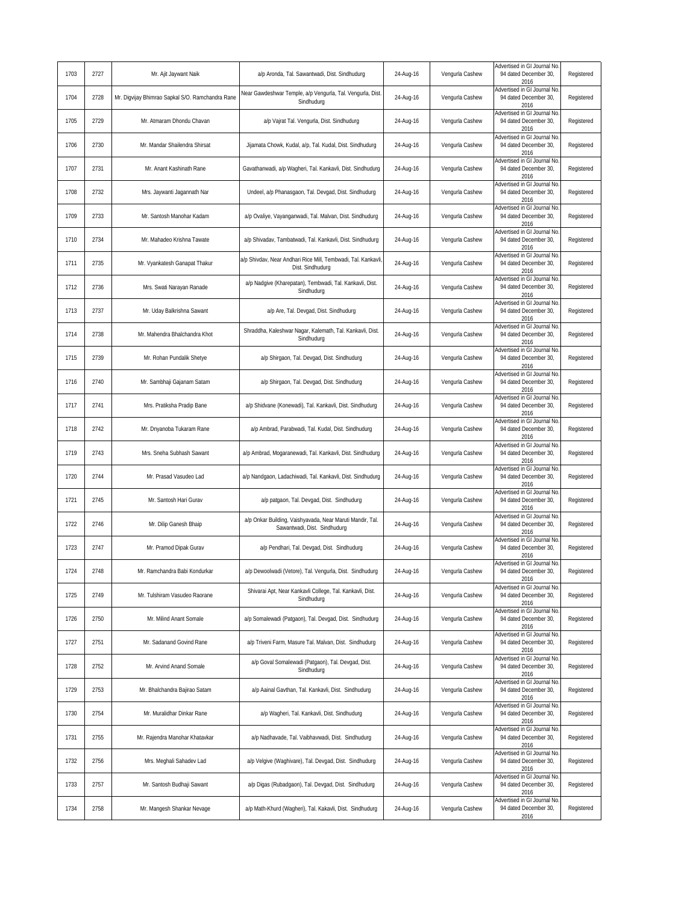| 1703 | 2727 | Mr. Ajit Jaywant Naik                            | a/p Aronda, Tal. Sawantwadi, Dist. Sindhudurg                                             | 24-Aug-16 | Vengurla Cashew | Advertised in GI Journal No<br>94 dated December 30,<br>2016        | Registered |
|------|------|--------------------------------------------------|-------------------------------------------------------------------------------------------|-----------|-----------------|---------------------------------------------------------------------|------------|
| 1704 | 2728 | Mr. Digvijay Bhimrao Sapkal S/O. Ramchandra Rane | Near Gawdeshwar Temple, a/p Vengurla, Tal. Vengurla, Dist.<br>Sindhudurg                  | 24-Aug-16 | Vengurla Cashew | <b>Advertised in GI Journal No</b><br>94 dated December 30,<br>2016 | Registered |
| 1705 | 2729 | Mr. Atmaram Dhondu Chavan                        | a/p Vajrat Tal. Vengurla, Dist. Sindhudurg                                                | 24-Aug-16 | Vengurla Cashew | Advertised in GI Journal No<br>94 dated December 30,<br>2016        | Registered |
| 1706 | 2730 | Mr. Mandar Shailendra Shirsat                    | Jijamata Chowk, Kudal, a/p, Tal. Kudal, Dist. Sindhudurg                                  | 24-Aug-16 | Vengurla Cashew | Advertised in GI Journal No<br>94 dated December 30.<br>2016        | Registered |
| 1707 | 2731 | Mr. Anant Kashinath Rane                         | Gavathanwadi, a/p Wagheri, Tal. Kankavli, Dist. Sindhudurg                                | 24-Aug-16 | Vengurla Cashew | Advertised in GI Journal No<br>94 dated December 30,<br>2016        | Registered |
| 1708 | 2732 | Mrs. Jaywanti Jagannath Nar                      | Undeel, a/p Phanasgaon, Tal. Devgad, Dist. Sindhudurg                                     | 24-Aug-16 | Vengurla Cashew | Advertised in GI Journal No<br>94 dated December 30,<br>2016        | Registered |
| 1709 | 2733 | Mr. Santosh Manohar Kadam                        | a/p Ovaliye, Vayanganwadi, Tal. Malvan, Dist. Sindhudurg                                  | 24-Aug-16 | Vengurla Cashew | Advertised in GI Journal No<br>94 dated December 30,<br>2016        | Registered |
| 1710 | 2734 | Mr. Mahadeo Krishna Tawate                       | a/p Shivadav, Tambatwadi, Tal. Kankavli, Dist. Sindhudurg                                 | 24-Aug-16 | Vengurla Cashew | <b>Advertised in GI Journal No</b><br>94 dated December 30,<br>2016 | Registered |
| 1711 | 2735 | Mr. Vyankatesh Ganapat Thakur                    | a/p Shivdav, Near Andhari Rice Mill, Tembwadi, Tal. Kankavli<br>Dist. Sindhudurg          | 24-Aug-16 | Vengurla Cashew | Advertised in GI Journal No<br>94 dated December 30,<br>2016        | Registered |
| 1712 | 2736 | Mrs. Swati Narayan Ranade                        | a/p Nadgive (Kharepatan), Tembwadi, Tal. Kankavli, Dist.<br>Sindhudurg                    | 24-Aug-16 | Vengurla Cashew | Advertised in GI Journal No<br>94 dated December 30,<br>2016        | Registered |
| 1713 | 2737 | Mr. Uday Balkrishna Sawant                       | a/p Are, Tal. Devgad, Dist. Sindhudurg                                                    | 24-Aug-16 | Vengurla Cashew | Advertised in GI Journal No<br>94 dated December 30,<br>2016        | Registered |
| 1714 | 2738 | Mr. Mahendra Bhalchandra Khot                    | Shraddha, Kaleshwar Nagar, Kalemath, Tal. Kankavli, Dist.<br>Sindhudurg                   | 24-Aug-16 | Vengurla Cashew | Advertised in GI Journal No<br>94 dated December 30,<br>2016        | Registered |
| 1715 | 2739 | Mr. Rohan Pundalik Shetye                        | a/p Shirgaon, Tal. Devgad, Dist. Sindhudurg                                               | 24-Aug-16 | Vengurla Cashew | dvertised in GI Journal No<br>94 dated December 30,<br>2016         | Registered |
| 1716 | 2740 | Mr. Sambhaji Gajanam Satam                       | a/p Shirgaon, Tal. Devgad, Dist. Sindhudurg                                               | 24-Aug-16 | Vengurla Cashew | Advertised in GI Journal No<br>94 dated December 30,<br>2016        | Registered |
| 1717 | 2741 | Mrs. Pratiksha Pradip Bane                       | a/p Shidvane (Konewadi), Tal. Kankavli, Dist. Sindhudurg                                  | 24-Aug-16 | Vengurla Cashew | Advertised in GI Journal No<br>94 dated December 30,<br>2016        | Registered |
| 1718 | 2742 | Mr. Dnyanoba Tukaram Rane                        | a/p Ambrad, Parabwadi, Tal. Kudal, Dist. Sindhudurg                                       | 24-Aug-16 | Vengurla Cashew | Advertised in GI Journal No<br>94 dated December 30,<br>2016        | Registered |
| 1719 | 2743 | Mrs. Sneha Subhash Sawant                        | a/p Ambrad, Mogaranewadi, Tal. Kankavli, Dist. Sindhudurg                                 | 24-Aug-16 | Vengurla Cashew | Advertised in GI Journal No<br>94 dated December 30,<br>2016        | Registered |
| 1720 | 2744 | Mr. Prasad Vasudeo Lad                           | a/p Nandgaon, Ladachiwadi, Tal. Kankavli, Dist. Sindhudurg                                | 24-Aug-16 | Vengurla Cashew | Advertised in GI Journal No<br>94 dated December 30,<br>2016        | Registered |
| 1721 | 2745 | Mr. Santosh Hari Gurav                           | a/p patgaon, Tal. Devgad, Dist. Sindhudurg                                                | 24-Aug-16 | Vengurla Cashew | Advertised in GI Journal No<br>94 dated December 30,<br>2016        | Registered |
| 1722 | 2746 | Mr. Dilip Ganesh Bhaip                           | a/p Onkar Building, Vaishyavada, Near Maruti Mandir, Tal.<br>Sawantwadi, Dist. Sindhudurg | 24-Aug-16 | Vengurla Cashew | Advertised in GI Journal No<br>94 dated December 30,<br>2016        | Registered |
| 1723 | 2747 | Mr. Pramod Dipak Gurav                           | a/p Pendhari, Tal. Devgad, Dist. Sindhudurg                                               | 24-Aug-16 | Vengurla Cashew | Advertised in GI Journal No<br>94 dated December 30,<br>2016        | Registered |
| 1724 | 2748 | Mr. Ramchandra Babi Kondurkar                    | a/p Dewoolwadi (Vetore), Tal. Vengurla, Dist. Sindhudurg                                  | 24-Aug-16 | Vengurla Cashew | Advertised in GI Journal No<br>94 dated December 30.<br>2016        | Registered |
| 1725 | 2749 | Mr. Tulshiram Vasudeo Raorane                    | Shivarai Apt, Near Kankavli College, Tal. Kankavli, Dist.<br>Sindhudurg                   | 24-Aug-16 | Vengurla Cashew | Advertised in GI Journal No<br>94 dated December 30,<br>2016        | Registered |
| 1726 | 2750 | Mr. Milind Anant Somale                          | a/p Somalewadi (Patgaon), Tal. Devgad, Dist. Sindhudurg                                   | 24-Aug-16 | Vengurla Cashew | <b>Advertised in GI Journal No</b><br>94 dated December 30,<br>2016 | Registered |
| 1727 | 2751 | Mr. Sadanand Govind Rane                         | a/p Triveni Farm, Masure Tal. Malvan, Dist. Sindhudurg                                    | 24-Aug-16 | Vengurla Cashew | dvertised in GI Journal No<br>94 dated December 30,<br>2016         | Registered |
| 1728 | 2752 | Mr. Arvind Anand Somale                          | a/p Goval Somalewadi (Patgaon), Tal. Devgad, Dist.<br>Sindhudurg                          | 24-Aug-16 | Vengurla Cashew | Advertised in GI Journal No<br>94 dated December 30,<br>2016        | Registered |
| 1729 | 2753 | Mr. Bhalchandra Bajirao Satam                    | a/p Aainal Gavthan, Tal. Kankavli, Dist. Sindhudurg                                       | 24-Aug-16 | Vengurla Cashew | Advertised in GI Journal No<br>94 dated December 30,<br>2016        | Registered |
| 1730 | 2754 | Mr. Muralidhar Dinkar Rane                       | a/p Wagheri, Tal. Kankavli, Dist. Sindhudurg                                              | 24-Aug-16 | Vengurla Cashew | Advertised in GI Journal No<br>94 dated December 30,<br>2016        | Registered |
| 1731 | 2755 | Mr. Rajendra Manohar Khatavkar                   | a/p Nadhavade, Tal. Vaibhavwadi, Dist. Sindhudurg                                         | 24-Aug-16 | Vengurla Cashew | Advertised in GI Journal No.<br>94 dated December 30,<br>2016       | Registered |
| 1732 | 2756 | Mrs. Meghali Sahadev Lad                         | a/p Velgive (Waghivare), Tal. Devgad, Dist. Sindhudurg                                    | 24-Aug-16 | Vengurla Cashew | Advertised in GI Journal No<br>94 dated December 30,<br>2016        | Registered |
| 1733 | 2757 | Mr. Santosh Budhaji Sawant                       | a/p Digas (Rubadgaon), Tal. Devgad, Dist. Sindhudurg                                      | 24-Aug-16 | Vengurla Cashew | Advertised in GI Journal No<br>94 dated December 30,<br>2016        | Registered |
| 1734 | 2758 | Mr. Mangesh Shankar Nevage                       | a/p Math-Khurd (Wagheri), Tal. Kakavli, Dist. Sindhudurg                                  | 24-Aug-16 | Vengurla Cashew | Advertised in GI Journal No<br>94 dated December 30,<br>2016        | Registered |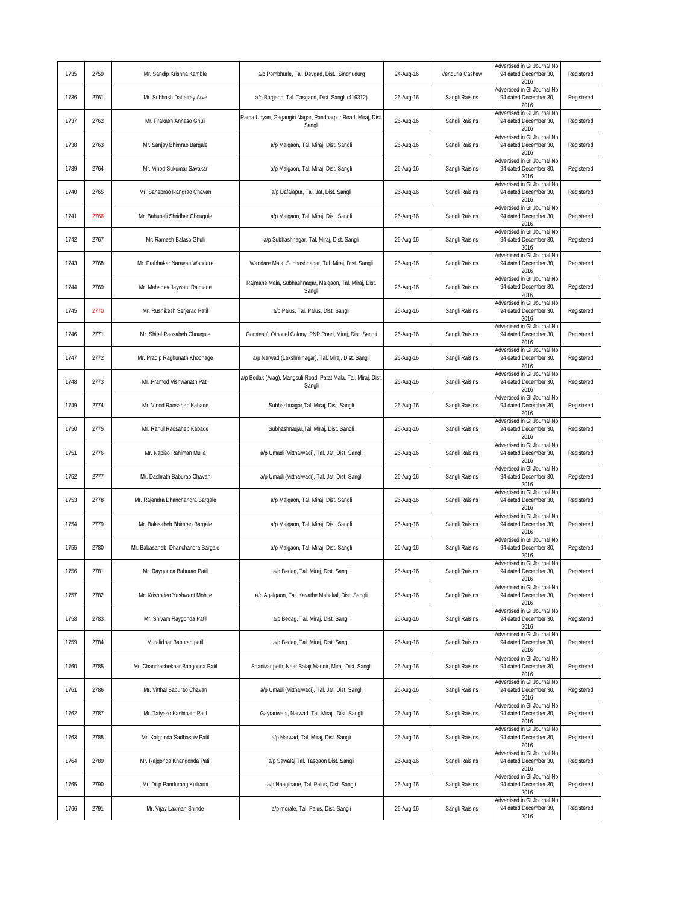| 1735 | 2759 | Mr. Sandip Krishna Kamble         | a/p Pombhurle, Tal. Devgad, Dist. Sindhudurg                             | 24-Aug-16 | Vengurla Cashew | Advertised in GI Journal No<br>94 dated December 30,<br>2016  | Registered |
|------|------|-----------------------------------|--------------------------------------------------------------------------|-----------|-----------------|---------------------------------------------------------------|------------|
| 1736 | 2761 | Mr. Subhash Dattatray Arve        | a/p Borgaon, Tal. Tasgaon, Dist. Sangli (416312)                         | 26-Aug-16 | Sangli Raisins  | Advertised in GI Journal No<br>94 dated December 30,<br>2016  | Registered |
| 1737 | 2762 | Mr. Prakash Annaso Ghuli          | Rama Udyan, Gagangiri Nagar, Pandharpur Road, Miraj, Dist.<br>Sangli     | 26-Aug-16 | Sangli Raisins  | Advertised in GI Journal No<br>94 dated December 30,<br>2016  | Registered |
| 1738 | 2763 | Mr. Sanjay Bhimrao Bargale        | a/p Malgaon, Tal. Miraj, Dist. Sangli                                    | 26-Aug-16 | Sangli Raisins  | Advertised in GI Journal No<br>94 dated December 30,<br>2016  | Registered |
| 1739 | 2764 | Mr. Vinod Sukumar Savakar         | a/p Malgaon, Tal. Miraj, Dist. Sangli                                    | 26-Aug-16 | Sangli Raisins  | Advertised in GI Journal No<br>94 dated December 30,<br>2016  | Registered |
| 1740 | 2765 | Mr. Sahebrao Rangrao Chavan       | a/p Dafalapur, Tal. Jat, Dist. Sangli                                    | 26-Aug-16 | Sangli Raisins  | Advertised in GI Journal No<br>94 dated December 30,<br>2016  | Registered |
| 1741 | 2766 | Mr. Bahubali Shridhar Chougule    | a/p Malgaon, Tal. Miraj, Dist. Sangli                                    | 26-Aug-16 | Sangli Raisins  | Advertised in GI Journal No<br>94 dated December 30,<br>2016  | Registered |
| 1742 | 2767 | Mr. Ramesh Balaso Ghuli           | a/p Subhashnagar, Tal. Miraj, Dist. Sangli                               | 26-Aug-16 | Sangli Raisins  | Advertised in GI Journal No<br>94 dated December 30,<br>2016  | Registered |
| 1743 | 2768 | Mr. Prabhakar Narayan Wandare     | Wandare Mala, Subhashnagar, Tal. Miraj, Dist. Sangli                     | 26-Aug-16 | Sangli Raisins  | Advertised in GI Journal No<br>94 dated December 30,<br>2016  | Registered |
| 1744 | 2769 | Mr. Mahadev Jaywant Rajmane       | Rajmane Mala, Subhashnagar, Malgaon, Tal. Miraj, Dist.<br>Sangli         | 26-Aug-16 | Sangli Raisins  | Advertised in GI Journal No<br>94 dated December 30,<br>2016  | Registered |
| 1745 | 2770 | Mr. Rushikesh Serjerao Patil      | a/p Palus, Tal. Palus, Dist. Sangli                                      | 26-Aug-16 | Sangli Raisins  | Advertised in GI Journal No<br>94 dated December 30,<br>2016  | Registered |
| 1746 | 2771 | Mr. Shital Raosaheb Chougule      | Gomtesh', Othonel Colony, PNP Road, Miraj, Dist. Sangli                  | 26-Aug-16 | Sangli Raisins  | Advertised in GI Journal No<br>94 dated December 30,<br>2016  | Registered |
| 1747 | 2772 | Mr. Pradip Raghunath Khochage     | a/p Narwad (Lakshminagar), Tal. Miraj, Dist. Sangli                      | 26-Aug-16 | Sangli Raisins  | Advertised in GI Journal No<br>94 dated December 30,<br>2016  | Registered |
| 1748 | 2773 | Mr. Pramod Vishwanath Patil       | a/p Bedak (Arag), Mangsuli Road, Patat Mala, Tal. Miraj, Dist.<br>Sangli | 26-Aug-16 | Sangli Raisins  | Advertised in GI Journal No<br>94 dated December 30,<br>2016  | Registered |
| 1749 | 2774 | Mr. Vinod Raosaheb Kabade         | Subhashnagar, Tal. Miraj, Dist. Sangli                                   | 26-Aug-16 | Sangli Raisins  | Advertised in GI Journal No<br>94 dated December 30,<br>2016  | Registered |
| 1750 | 2775 | Mr. Rahul Raosaheb Kabade         | Subhashnagar, Tal. Miraj, Dist. Sangli                                   | 26-Aug-16 | Sangli Raisins  | Advertised in GI Journal No<br>94 dated December 30,<br>2016  | Registered |
| 1751 | 2776 | Mr. Nabiso Rahiman Mulla          | a/p Umadi (Vitthalwadi), Tal. Jat, Dist. Sangli                          | 26-Aug-16 | Sangli Raisins  | Advertised in GI Journal No<br>94 dated December 30,<br>2016  | Registered |
| 1752 | 2777 | Mr. Dashrath Baburao Chavan       | a/p Umadi (Vitthalwadi), Tal. Jat, Dist. Sangli                          | 26-Aug-16 | Sangli Raisins  | Advertised in GI Journal No<br>94 dated December 30,<br>2016  | Registered |
| 1753 | 2778 | Mr. Rajendra Dhanchandra Bargale  | a/p Malgaon, Tal. Miraj, Dist. Sangli                                    | 26-Aug-16 | Sangli Raisins  | Advertised in GI Journal No<br>94 dated December 30,<br>2016  | Registered |
| 1754 | 2779 | Mr. Balasaheb Bhimrao Bargale     | a/p Malgaon, Tal. Miraj, Dist. Sangli                                    | 26-Aug-16 | Sangli Raisins  | Advertised in GI Journal No<br>94 dated December 30,<br>2016  | Registered |
| 1755 | 2780 | Mr. Babasaheb Dhanchandra Barqale | a/p Malgaon, Tal. Miraj, Dist. Sangli                                    | 26-Aug-16 | Sangli Raisins  | Advertised in GI Journal No<br>94 dated December 30,<br>2016  | Registered |
| 1756 | 2781 | Mr. Raygonda Baburao Patil        | a/p Bedag, Tal. Miraj, Dist. Sangli                                      | 26-Aug-16 | Sangli Raisins  | Advertised in GI Journal No<br>94 dated December 30.<br>2016  | Registered |
| 1757 | 2782 | Mr. Krishndeo Yashwant Mohite     | a/p Agalgaon, Tal. Kavathe Mahakal, Dist. Sangli                         | 26-Aug-16 | Sangli Raisins  | Advertised in GI Journal No<br>94 dated December 30,<br>2016  | Registered |
| 1758 | 2783 | Mr. Shivam Raygonda Patil         | a/p Bedag, Tal. Miraj, Dist. Sangli                                      | 26-Aug-16 | Sangli Raisins  | Advertised in GI Journal No<br>94 dated December 30,<br>2016  | Registered |
| 1759 | 2784 | Muralidhar Baburao patil          | a/p Bedag, Tal. Miraj, Dist. Sangli                                      | 26-Aug-16 | Sangli Raisins  | Advertised in GI Journal No<br>94 dated December 30,<br>2016  | Registered |
| 1760 | 2785 | Mr. Chandrashekhar Babgonda Patil | Shanivar peth, Near Balaji Mandir, Miraj, Dist. Sangli                   | 26-Aug-16 | Sangli Raisins  | Advertised in GI Journal No<br>94 dated December 30,<br>2016  | Registered |
| 1761 | 2786 | Mr. Vitthal Baburao Chavan        | a/p Umadi (Vitthalwadi), Tal. Jat, Dist. Sangli                          | 26-Aug-16 | Sangli Raisins  | Advertised in GI Journal No.<br>94 dated December 30,<br>2016 | Registered |
| 1762 | 2787 | Mr. Tatyaso Kashinath Patil       | Gayranwadi, Narwad, Tal. Miraj, Dist. Sangli                             | 26-Aug-16 | Sangli Raisins  | Advertised in GI Journal No<br>94 dated December 30,<br>2016  | Registered |
| 1763 | 2788 | Mr. Kalgonda Sadhashiv Patil      | a/p Narwad, Tal. Miraj, Dist. Sangli                                     | 26-Aug-16 | Sangli Raisins  | Advertised in GI Journal No<br>94 dated December 30,<br>2016  | Registered |
| 1764 | 2789 | Mr. Rajgonda Khangonda Patil      | a/p Sawalaj Tal. Tasgaon Dist. Sangli                                    | 26-Aug-16 | Sangli Raisins  | dvertised in GI Journal No<br>94 dated December 30,<br>2016   | Registered |
| 1765 | 2790 | Mr. Dilip Pandurang Kulkarni      | a/p Naagthane, Tal. Palus, Dist. Sangli                                  | 26-Aug-16 | Sangli Raisins  | dvertised in GI Journal No<br>94 dated December 30,<br>2016   | Registered |
| 1766 | 2791 | Mr. Vijay Laxman Shinde           | a/p morale, Tal. Palus, Dist. Sangli                                     | 26-Aug-16 | Sangli Raisins  | Advertised in GI Journal No<br>94 dated December 30,<br>2016  | Registered |
|      |      |                                   |                                                                          |           |                 |                                                               |            |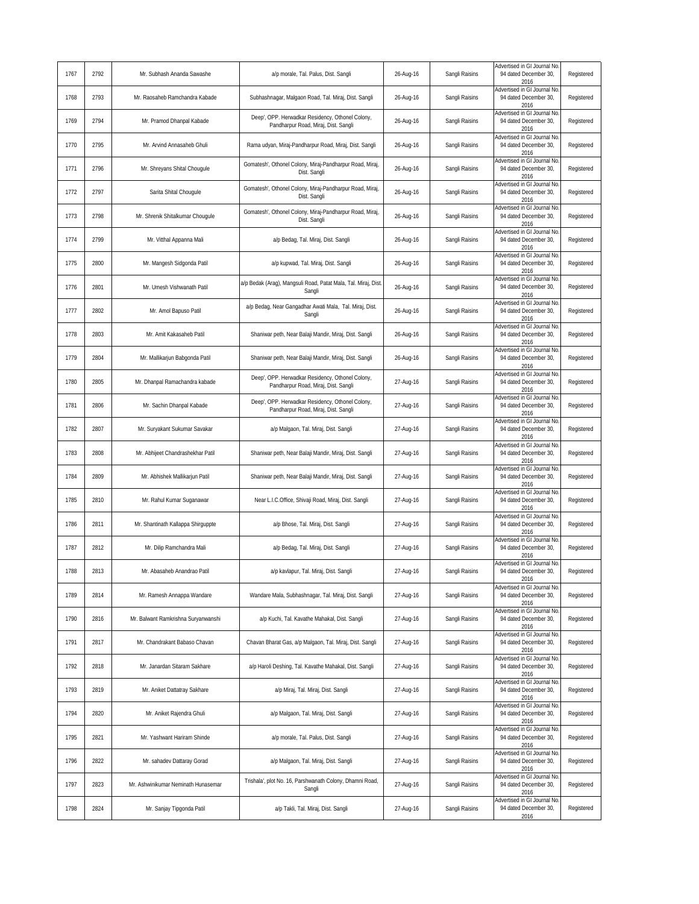| 1767 | 2792 | Mr. Subhash Ananda Sawashe          | a/p morale, Tal. Palus, Dist. Sangli                                                     | 26-Aug-16 | Sangli Raisins | Advertised in GI Journal No<br>94 dated December 30,<br>2016        | Registered |
|------|------|-------------------------------------|------------------------------------------------------------------------------------------|-----------|----------------|---------------------------------------------------------------------|------------|
| 1768 | 2793 | Mr. Raosaheb Ramchandra Kabade      | Subhashnagar, Malgaon Road, Tal. Miraj, Dist. Sangli                                     | 26-Aug-16 | Sangli Raisins | Advertised in GI Journal No<br>94 dated December 30,<br>2016        | Registered |
| 1769 | 2794 | Mr. Pramod Dhanpal Kabade           | Deep', OPP. Herwadkar Residency, Othonel Colony,<br>Pandharpur Road, Miraj, Dist. Sangli | 26-Aug-16 | Sangli Raisins | Advertised in GI Journal No<br>94 dated December 30.<br>2016        | Registered |
| 1770 | 2795 | Mr. Arvind Annasaheb Ghuli          | Rama udyan, Miraj-Pandharpur Road, Miraj, Dist. Sangli                                   | 26-Aug-16 | Sangli Raisins | Advertised in GI Journal No<br>94 dated December 30.<br>2016        | Registered |
| 1771 | 2796 | Mr. Shreyans Shital Chougule        | Gomatesh', Othonel Colony, Miraj-Pandharpur Road, Miraj,<br>Dist. Sangli                 | 26-Aug-16 | Sangli Raisins | Advertised in GI Journal No<br>94 dated December 30,<br>2016        | Registered |
| 1772 | 2797 | Sarita Shital Chougule              | Gomatesh', Othonel Colony, Miraj-Pandharpur Road, Miraj,<br>Dist. Sangli                 | 26-Aug-16 | Sangli Raisins | Advertised in GI Journal No<br>94 dated December 30,<br>2016        | Registered |
| 1773 | 2798 | Mr. Shrenik Shitalkumar Chougule    | Gomatesh', Othonel Colony, Miraj-Pandharpur Road, Miraj,<br>Dist. Sangli                 | 26-Aug-16 | Sangli Raisins | Advertised in GI Journal No<br>94 dated December 30,<br>2016        | Registered |
| 1774 | 2799 | Mr. Vitthal Appanna Mali            | a/p Bedag, Tal. Miraj, Dist. Sangli                                                      | 26-Aug-16 | Sangli Raisins | Advertised in GI Journal No<br>94 dated December 30,<br>2016        | Registered |
| 1775 | 2800 | Mr. Mangesh Sidgonda Patil          | a/p kupwad, Tal. Miraj, Dist. Sangli                                                     | 26-Aug-16 | Sangli Raisins | Advertised in GI Journal No<br>94 dated December 30,<br>2016        | Registered |
| 1776 | 2801 | Mr. Umesh Vishwanath Patil          | a/p Bedak (Arag), Mangsuli Road, Patat Mala, Tal. Miraj, Dist<br>Sangli                  | 26-Aug-16 | Sangli Raisins | Advertised in GI Journal No<br>94 dated December 30,<br>2016        | Registered |
| 1777 | 2802 | Mr. Amol Bapuso Patil               | a/p Bedag, Near Gangadhar Awati Mala, Tal. Miraj, Dist.<br>Sangli                        | 26-Aug-16 | Sangli Raisins | Advertised in GI Journal No<br>94 dated December 30,<br>2016        | Registered |
| 1778 | 2803 | Mr. Amit Kakasaheb Patil            | Shaniwar peth, Near Balaji Mandir, Miraj, Dist. Sangli                                   | 26-Aug-16 | Sangli Raisins | Advertised in GI Journal No<br>94 dated December 30,<br>2016        | Registered |
| 1779 | 2804 | Mr. Mallikarjun Babgonda Patil      | Shaniwar peth, Near Balaji Mandir, Miraj, Dist. Sangli                                   | 26-Aug-16 | Sangli Raisins | Advertised in GI Journal No<br>94 dated December 30,<br>2016        | Registered |
| 1780 | 2805 | Mr. Dhanpal Ramachandra kabade      | Deep', OPP. Herwadkar Residency, Othonel Colony,<br>Pandharpur Road, Miraj, Dist. Sangli | 27-Aug-16 | Sangli Raisins | Advertised in GI Journal No<br>94 dated December 30,<br>2016        | Registered |
| 1781 | 2806 | Mr. Sachin Dhanpal Kabade           | Deep', OPP. Herwadkar Residency, Othonel Colony,<br>Pandharpur Road, Miraj, Dist. Sangli | 27-Aug-16 | Sangli Raisins | Advertised in GI Journal No<br>94 dated December 30,<br>2016        | Registered |
| 1782 | 2807 | Mr. Suryakant Sukumar Savakar       | a/p Malgaon, Tal. Miraj, Dist. Sangli                                                    | 27-Aug-16 | Sangli Raisins | Advertised in GI Journal No.<br>94 dated December 30,<br>2016       | Registered |
| 1783 | 2808 | Mr. Abhijeet Chandrashekhar Patil   | Shaniwar peth, Near Balaji Mandir, Miraj, Dist. Sangli                                   | 27-Aug-16 | Sangli Raisins | Advertised in GI Journal No<br>94 dated December 30,<br>2016        | Registered |
| 1784 | 2809 | Mr. Abhishek Mallikarjun Patil      | Shaniwar peth, Near Balaji Mandir, Miraj, Dist. Sangli                                   | 27-Aug-16 | Sangli Raisins | Advertised in GI Journal No<br>94 dated December 30,<br>2016        | Registered |
| 1785 | 2810 | Mr. Rahul Kumar Suganawar           | Near L.I.C.Office, Shivaji Road, Miraj, Dist. Sangli                                     | 27-Aug-16 | Sangli Raisins | Advertised in GI Journal No<br>94 dated December 30,<br>2016        | Registered |
| 1786 | 2811 | Mr. Shantinath Kallappa Shirguppte  | a/p Bhose, Tal. Miraj, Dist. Sangli                                                      | 27-Aug-16 | Sangli Raisins | <b>Advertised in GI Journal No</b><br>94 dated December 30,<br>2016 | Registered |
| 1787 | 2812 | Mr. Dilip Ramchandra Mali           | a/p Bedag, Tal. Miraj, Dist. Sangli                                                      | 27-Aug-16 | Sangli Raisins | Advertised in GI Journal No<br>94 dated December 30,<br>2016        | Registered |
| 1788 | 2813 | Mr. Abasaheb Anandrao Patil         | a/p kaylapur, Tal, Mirai, Dist, Sangli                                                   | 27-Aug-16 | Sangli Raisins | Advertised in GI Journal No<br>94 dated December 30,<br>2016        | Registered |
| 1789 | 2814 | Mr. Ramesh Annappa Wandare          | Wandare Mala, Subhashnagar, Tal. Miraj, Dist. Sangli                                     | 27-Aug-16 | Sangli Raisins | Advertised in GI Journal No<br>94 dated December 30,<br>2016        | Registered |
| 1790 | 2816 | Mr. Balwant Ramkrishna Suryanwanshi | a/p Kuchi, Tal. Kavathe Mahakal, Dist. Sangli                                            | 27-Aug-16 | Sangli Raisins | Advertised in GI Journal No<br>94 dated December 30,<br>2016        | Registered |
| 1791 | 2817 | Mr. Chandrakant Babaso Chavan       | Chavan Bharat Gas, a/p Malgaon, Tal. Miraj, Dist. Sangli                                 | 27-Aug-16 | Sangli Raisins | Advertised in GI Journal No<br>94 dated December 30,<br>2016        | Registered |
| 1792 | 2818 | Mr. Janardan Sitaram Sakhare        | a/p Haroli Deshing, Tal. Kavathe Mahakal, Dist. Sangli                                   | 27-Aug-16 | Sangli Raisins | Advertised in GI Journal No<br>94 dated December 30,<br>2016        | Registered |
| 1793 | 2819 | Mr. Aniket Dattatray Sakhare        | a/p Miraj, Tal. Miraj, Dist. Sangli                                                      | 27-Aug-16 | Sangli Raisins | Advertised in GI Journal No<br>94 dated December 30,<br>2016        | Registered |
| 1794 | 2820 | Mr. Aniket Rajendra Ghuli           | a/p Malgaon, Tal. Miraj, Dist. Sangli                                                    | 27-Aug-16 | Sangli Raisins | dvertised in GI Journal No<br>94 dated December 30,<br>2016         | Registered |
| 1795 | 2821 | Mr. Yashwant Hariram Shinde         | a/p morale, Tal. Palus, Dist. Sangli                                                     | 27-Aug-16 | Sangli Raisins | Advertised in GI Journal No<br>94 dated December 30,<br>2016        | Registered |
| 1796 | 2822 | Mr. sahadev Dattaray Gorad          | a/p Malgaon, Tal. Miraj, Dist. Sangli                                                    | 27-Aug-16 | Sangli Raisins | Advertised in GI Journal No<br>94 dated December 30,<br>2016        | Registered |
| 1797 | 2823 | Mr. Ashwinikumar Neminath Hunasemar | Trishala', plot No. 16, Parshwanath Colony, Dhamni Road,<br>Sangli                       | 27-Aug-16 | Sangli Raisins | Advertised in GI Journal No<br>94 dated December 30,<br>2016        | Registered |
| 1798 | 2824 | Mr. Sanjay Tipgonda Patil           | a/p Takli, Tal. Miraj, Dist. Sangli                                                      | 27-Aug-16 | Sangli Raisins | Advertised in GI Journal No<br>94 dated December 30,<br>2016        | Registered |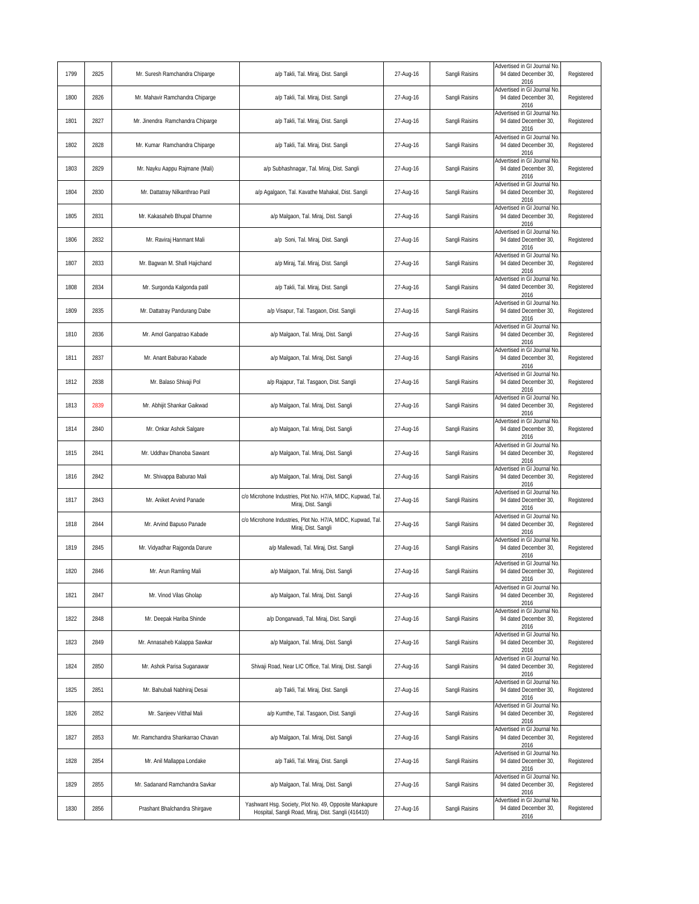| Advertised in GI Journal No<br>a/p Takli, Tal. Miraj, Dist. Sangli<br>Sangli Raisins<br>94 dated December 30,<br>1800<br>2826<br>Mr. Mahavir Ramchandra Chiparge<br>27-Aug-16<br>2016<br>Advertised in GI Journal No<br>1801<br>2827<br>Mr. Jinendra Ramchandra Chiparge<br>a/p Takli, Tal. Miraj, Dist. Sangli<br>27-Aug-16<br>Sangli Raisins<br>94 dated December 30,<br>2016<br>Advertised in GI Journal No<br>1802<br>2828<br>Mr. Kumar Ramchandra Chiparge<br>a/p Takli, Tal. Miraj, Dist. Sangli<br>27-Aug-16<br>Sangli Raisins<br>94 dated December 30,<br>2016<br>Advertised in GI Journal No<br>Sangli Raisins<br>94 dated December 30,<br>1803<br>2829<br>Mr. Nayku Aappu Rajmane (Mali)<br>a/p Subhashnagar, Tal. Miraj, Dist. Sangli<br>27-Aug-16<br>2016<br>Advertised in GI Journal No<br>1804<br>2830<br>Sangli Raisins<br>94 dated December 30,<br>Mr. Dattatray Nilkanthrao Patil<br>a/p Agalgaon, Tal. Kavathe Mahakal, Dist. Sangli<br>27-Aug-16<br>2016<br>Advertised in GI Journal No<br>2831<br>94 dated December 30,<br>1805<br>Mr. Kakasaheb Bhupal Dhamne<br>a/p Malgaon, Tal. Miraj, Dist. Sangli<br>27-Aug-16<br>Sangli Raisins<br>2016<br>Advertised in GI Journal No<br>2832<br>Sangli Raisins<br>94 dated December 30,<br>1806<br>Mr. Raviraj Hanmant Mali<br>a/p Soni, Tal. Miraj, Dist. Sangli<br>27-Aug-16<br>2016<br>Advertised in GI Journal No<br>Sangli Raisins<br>1807<br>2833<br>Mr. Bagwan M. Shafi Hajichand<br>a/p Miraj, Tal. Miraj, Dist. Sangli<br>27-Aug-16<br>94 dated December 30,<br>2016<br>Advertised in GI Journal No<br>1808<br>2834<br>Mr. Surgonda Kalgonda patil<br>a/p Takli, Tal. Miraj, Dist. Sangli<br>27-Aug-16<br>Sangli Raisins<br>94 dated December 30,<br>2016<br>Advertised in GI Journal No<br>1809<br>2835<br>Mr. Dattatray Pandurang Dabe<br>a/p Visapur, Tal. Tasgaon, Dist. Sangli<br>27-Aug-16<br>Sangli Raisins<br>94 dated December 30,<br>2016<br>Advertised in GI Journal No<br>2836<br>Sangli Raisins<br>94 dated December 30,<br>1810<br>Mr. Amol Ganpatrao Kabade<br>a/p Malgaon, Tal. Miraj, Dist. Sangli<br>27-Aug-16<br>2016<br>Advertised in GI Journal No<br>2837<br>Sangli Raisins<br>94 dated December 30,<br>1811<br>Mr. Anant Baburao Kabade<br>a/p Malgaon, Tal. Miraj, Dist. Sangli<br>27-Aug-16<br>2016<br>Advertised in GI Journal No<br>2838<br>Sangli Raisins<br>94 dated December 30,<br>1812<br>Mr. Balaso Shivaji Pol<br>a/p Rajapur, Tal. Tasgaon, Dist. Sangli<br>27-Aug-16<br>2016<br>Advertised in GI Journal No<br>2839<br>Sangli Raisins<br>94 dated December 30,<br>1813<br>Mr. Abhijit Shankar Gaikwad<br>a/p Malgaon, Tal. Miraj, Dist. Sangli<br>27-Aug-16<br>2016<br>Advertised in GI Journal No<br>Sangli Raisins<br>94 dated December 30,<br>1814<br>2840<br>Mr. Onkar Ashok Salgare<br>a/p Malgaon, Tal. Miraj, Dist. Sangli<br>27-Aug-16<br>2016<br>Advertised in GI Journal No<br>Sangli Raisins<br>94 dated December 30,<br>1815<br>2841<br>Mr. Uddhav Dhanoba Sawant<br>a/p Malgaon, Tal. Miraj, Dist. Sangli<br>27-Aug-16<br>2016<br>Advertised in GI Journal No<br>2842<br>Sangli Raisins<br>94 dated December 30,<br>1816<br>Mr. Shivappa Baburao Mali<br>a/p Malgaon, Tal. Miraj, Dist. Sangli<br>27-Aug-16<br>2016<br>Advertised in GI Journal No<br>c/o Microhone Industries, Plot No. H7/A, MIDC, Kupwad, Tal.<br>1817<br>2843<br>Mr. Aniket Arvind Panade<br>27-Aug-16<br>Sangli Raisins<br>94 dated December 30,<br>Miraj, Dist. Sangli<br>2016<br>Advertised in GI Journal No<br>c/o Microhone Industries, Plot No. H7/A, MIDC, Kupwad, Tal.<br>Mr. Arvind Bapuso Panade<br>27-Aug-16<br>Sangli Raisins<br>94 dated December 30,<br>1818<br>2844<br>Miraj, Dist. Sangli<br>2016<br>Advertised in GI Journal No<br>1819<br>Mr. Vidyadhar Rajgonda Darure<br>Sangli Raisins<br>94 dated December 30,<br>2845<br>a/p Mallewadi, Tal. Miraj, Dist. Sangli<br>27-Aug-16<br>2016<br>Advertised in GI Journal No.<br>Sangli Raisins<br>1820<br>2846<br>Mr. Arun Ramling Mali<br>a/p Malgaon, Tal. Miraj, Dist. Sangli<br>27-Aug-16<br>94 dated December 30,<br>2016<br>Advertised in GI Journal No.<br>2847<br>Mr. Vinod Vilas Gholap<br>Sangli Raisins<br>94 dated December 30,<br>1821<br>a/p Malgaon, Tal. Miraj, Dist. Sangli<br>27-Aug-16<br>2016<br>Advertised in GI Journal No<br>1822<br>a/p Dongarwadi, Tal. Miraj, Dist. Sangli<br>Sangli Raisins<br>94 dated December 30,<br>2848<br>Mr. Deepak Hariba Shinde<br>27-Aug-16<br>2016<br>Advertised in GI Journal No<br>1823<br>2849<br>a/p Malgaon, Tal. Miraj, Dist. Sangli<br>27-Aug-16<br>Sangli Raisins<br>94 dated December 30,<br>Mr. Annasaheb Kalappa Sawkar<br>2016<br>Advertised in GI Journal No<br>1824<br>2850<br>Mr. Ashok Parisa Suganawar<br>Shivaji Road, Near LIC Office, Tal. Miraj, Dist. Sangli<br>Sangli Raisins<br>94 dated December 30,<br>27-Aug-16<br>2016<br>Advertised in GI Journal No<br>1825<br>2851<br>a/p Takli, Tal. Miraj, Dist. Sangli<br>Sangli Raisins<br>94 dated December 30,<br>Mr. Bahubali Nabhiraj Desai<br>27-Aug-16<br>2016<br>Advertised in GI Journal No<br>94 dated December 30,<br>1826<br>2852<br>Mr. Sanjeev Vitthal Mali<br>a/p Kumthe, Tal. Tasgaon, Dist. Sangli<br>27-Aug-16<br>Sangli Raisins<br>2016 | 1799 | 2825<br>Mr. Suresh Ramchandra Chiparge | a/p Takli, Tal. Miraj, Dist. Sangli | 27-Aug-16 | Sangli Raisins | Advertised in GI Journal No.<br>94 dated December 30,<br>2016 | Registered |
|-----------------------------------------------------------------------------------------------------------------------------------------------------------------------------------------------------------------------------------------------------------------------------------------------------------------------------------------------------------------------------------------------------------------------------------------------------------------------------------------------------------------------------------------------------------------------------------------------------------------------------------------------------------------------------------------------------------------------------------------------------------------------------------------------------------------------------------------------------------------------------------------------------------------------------------------------------------------------------------------------------------------------------------------------------------------------------------------------------------------------------------------------------------------------------------------------------------------------------------------------------------------------------------------------------------------------------------------------------------------------------------------------------------------------------------------------------------------------------------------------------------------------------------------------------------------------------------------------------------------------------------------------------------------------------------------------------------------------------------------------------------------------------------------------------------------------------------------------------------------------------------------------------------------------------------------------------------------------------------------------------------------------------------------------------------------------------------------------------------------------------------------------------------------------------------------------------------------------------------------------------------------------------------------------------------------------------------------------------------------------------------------------------------------------------------------------------------------------------------------------------------------------------------------------------------------------------------------------------------------------------------------------------------------------------------------------------------------------------------------------------------------------------------------------------------------------------------------------------------------------------------------------------------------------------------------------------------------------------------------------------------------------------------------------------------------------------------------------------------------------------------------------------------------------------------------------------------------------------------------------------------------------------------------------------------------------------------------------------------------------------------------------------------------------------------------------------------------------------------------------------------------------------------------------------------------------------------------------------------------------------------------------------------------------------------------------------------------------------------------------------------------------------------------------------------------------------------------------------------------------------------------------------------------------------------------------------------------------------------------------------------------------------------------------------------------------------------------------------------------------------------------------------------------------------------------------------------------------------------------------------------------------------------------------------------------------------------------------------------------------------------------------------------------------------------------------------------------------------------------------------------------------------------------------------------------------------------------------------------------------------------------------------------------------------------------------------------------------------------------------------------------------------------------------------------------------------------------------------------------------------------------------------------------------------------------------------------------------------------------------------------------------------------------------------------------------------------------------------------------------------------------------------------------------------------------------------------------------------------------------|------|----------------------------------------|-------------------------------------|-----------|----------------|---------------------------------------------------------------|------------|
|                                                                                                                                                                                                                                                                                                                                                                                                                                                                                                                                                                                                                                                                                                                                                                                                                                                                                                                                                                                                                                                                                                                                                                                                                                                                                                                                                                                                                                                                                                                                                                                                                                                                                                                                                                                                                                                                                                                                                                                                                                                                                                                                                                                                                                                                                                                                                                                                                                                                                                                                                                                                                                                                                                                                                                                                                                                                                                                                                                                                                                                                                                                                                                                                                                                                                                                                                                                                                                                                                                                                                                                                                                                                                                                                                                                                                                                                                                                                                                                                                                                                                                                                                                                                                                                                                                                                                                                                                                                                                                                                                                                                                                                                                                                                                                                                                                                                                                                                                                                                                                                                                                                                                                                                                                               |      |                                        |                                     |           |                |                                                               | Registered |
|                                                                                                                                                                                                                                                                                                                                                                                                                                                                                                                                                                                                                                                                                                                                                                                                                                                                                                                                                                                                                                                                                                                                                                                                                                                                                                                                                                                                                                                                                                                                                                                                                                                                                                                                                                                                                                                                                                                                                                                                                                                                                                                                                                                                                                                                                                                                                                                                                                                                                                                                                                                                                                                                                                                                                                                                                                                                                                                                                                                                                                                                                                                                                                                                                                                                                                                                                                                                                                                                                                                                                                                                                                                                                                                                                                                                                                                                                                                                                                                                                                                                                                                                                                                                                                                                                                                                                                                                                                                                                                                                                                                                                                                                                                                                                                                                                                                                                                                                                                                                                                                                                                                                                                                                                                               |      |                                        |                                     |           |                |                                                               | Registered |
|                                                                                                                                                                                                                                                                                                                                                                                                                                                                                                                                                                                                                                                                                                                                                                                                                                                                                                                                                                                                                                                                                                                                                                                                                                                                                                                                                                                                                                                                                                                                                                                                                                                                                                                                                                                                                                                                                                                                                                                                                                                                                                                                                                                                                                                                                                                                                                                                                                                                                                                                                                                                                                                                                                                                                                                                                                                                                                                                                                                                                                                                                                                                                                                                                                                                                                                                                                                                                                                                                                                                                                                                                                                                                                                                                                                                                                                                                                                                                                                                                                                                                                                                                                                                                                                                                                                                                                                                                                                                                                                                                                                                                                                                                                                                                                                                                                                                                                                                                                                                                                                                                                                                                                                                                                               |      |                                        |                                     |           |                |                                                               | Registered |
|                                                                                                                                                                                                                                                                                                                                                                                                                                                                                                                                                                                                                                                                                                                                                                                                                                                                                                                                                                                                                                                                                                                                                                                                                                                                                                                                                                                                                                                                                                                                                                                                                                                                                                                                                                                                                                                                                                                                                                                                                                                                                                                                                                                                                                                                                                                                                                                                                                                                                                                                                                                                                                                                                                                                                                                                                                                                                                                                                                                                                                                                                                                                                                                                                                                                                                                                                                                                                                                                                                                                                                                                                                                                                                                                                                                                                                                                                                                                                                                                                                                                                                                                                                                                                                                                                                                                                                                                                                                                                                                                                                                                                                                                                                                                                                                                                                                                                                                                                                                                                                                                                                                                                                                                                                               |      |                                        |                                     |           |                |                                                               | Registered |
|                                                                                                                                                                                                                                                                                                                                                                                                                                                                                                                                                                                                                                                                                                                                                                                                                                                                                                                                                                                                                                                                                                                                                                                                                                                                                                                                                                                                                                                                                                                                                                                                                                                                                                                                                                                                                                                                                                                                                                                                                                                                                                                                                                                                                                                                                                                                                                                                                                                                                                                                                                                                                                                                                                                                                                                                                                                                                                                                                                                                                                                                                                                                                                                                                                                                                                                                                                                                                                                                                                                                                                                                                                                                                                                                                                                                                                                                                                                                                                                                                                                                                                                                                                                                                                                                                                                                                                                                                                                                                                                                                                                                                                                                                                                                                                                                                                                                                                                                                                                                                                                                                                                                                                                                                                               |      |                                        |                                     |           |                |                                                               | Registered |
|                                                                                                                                                                                                                                                                                                                                                                                                                                                                                                                                                                                                                                                                                                                                                                                                                                                                                                                                                                                                                                                                                                                                                                                                                                                                                                                                                                                                                                                                                                                                                                                                                                                                                                                                                                                                                                                                                                                                                                                                                                                                                                                                                                                                                                                                                                                                                                                                                                                                                                                                                                                                                                                                                                                                                                                                                                                                                                                                                                                                                                                                                                                                                                                                                                                                                                                                                                                                                                                                                                                                                                                                                                                                                                                                                                                                                                                                                                                                                                                                                                                                                                                                                                                                                                                                                                                                                                                                                                                                                                                                                                                                                                                                                                                                                                                                                                                                                                                                                                                                                                                                                                                                                                                                                                               |      |                                        |                                     |           |                |                                                               | Registered |
|                                                                                                                                                                                                                                                                                                                                                                                                                                                                                                                                                                                                                                                                                                                                                                                                                                                                                                                                                                                                                                                                                                                                                                                                                                                                                                                                                                                                                                                                                                                                                                                                                                                                                                                                                                                                                                                                                                                                                                                                                                                                                                                                                                                                                                                                                                                                                                                                                                                                                                                                                                                                                                                                                                                                                                                                                                                                                                                                                                                                                                                                                                                                                                                                                                                                                                                                                                                                                                                                                                                                                                                                                                                                                                                                                                                                                                                                                                                                                                                                                                                                                                                                                                                                                                                                                                                                                                                                                                                                                                                                                                                                                                                                                                                                                                                                                                                                                                                                                                                                                                                                                                                                                                                                                                               |      |                                        |                                     |           |                |                                                               | Registered |
|                                                                                                                                                                                                                                                                                                                                                                                                                                                                                                                                                                                                                                                                                                                                                                                                                                                                                                                                                                                                                                                                                                                                                                                                                                                                                                                                                                                                                                                                                                                                                                                                                                                                                                                                                                                                                                                                                                                                                                                                                                                                                                                                                                                                                                                                                                                                                                                                                                                                                                                                                                                                                                                                                                                                                                                                                                                                                                                                                                                                                                                                                                                                                                                                                                                                                                                                                                                                                                                                                                                                                                                                                                                                                                                                                                                                                                                                                                                                                                                                                                                                                                                                                                                                                                                                                                                                                                                                                                                                                                                                                                                                                                                                                                                                                                                                                                                                                                                                                                                                                                                                                                                                                                                                                                               |      |                                        |                                     |           |                |                                                               | Registered |
|                                                                                                                                                                                                                                                                                                                                                                                                                                                                                                                                                                                                                                                                                                                                                                                                                                                                                                                                                                                                                                                                                                                                                                                                                                                                                                                                                                                                                                                                                                                                                                                                                                                                                                                                                                                                                                                                                                                                                                                                                                                                                                                                                                                                                                                                                                                                                                                                                                                                                                                                                                                                                                                                                                                                                                                                                                                                                                                                                                                                                                                                                                                                                                                                                                                                                                                                                                                                                                                                                                                                                                                                                                                                                                                                                                                                                                                                                                                                                                                                                                                                                                                                                                                                                                                                                                                                                                                                                                                                                                                                                                                                                                                                                                                                                                                                                                                                                                                                                                                                                                                                                                                                                                                                                                               |      |                                        |                                     |           |                |                                                               | Registered |
|                                                                                                                                                                                                                                                                                                                                                                                                                                                                                                                                                                                                                                                                                                                                                                                                                                                                                                                                                                                                                                                                                                                                                                                                                                                                                                                                                                                                                                                                                                                                                                                                                                                                                                                                                                                                                                                                                                                                                                                                                                                                                                                                                                                                                                                                                                                                                                                                                                                                                                                                                                                                                                                                                                                                                                                                                                                                                                                                                                                                                                                                                                                                                                                                                                                                                                                                                                                                                                                                                                                                                                                                                                                                                                                                                                                                                                                                                                                                                                                                                                                                                                                                                                                                                                                                                                                                                                                                                                                                                                                                                                                                                                                                                                                                                                                                                                                                                                                                                                                                                                                                                                                                                                                                                                               |      |                                        |                                     |           |                |                                                               | Registered |
|                                                                                                                                                                                                                                                                                                                                                                                                                                                                                                                                                                                                                                                                                                                                                                                                                                                                                                                                                                                                                                                                                                                                                                                                                                                                                                                                                                                                                                                                                                                                                                                                                                                                                                                                                                                                                                                                                                                                                                                                                                                                                                                                                                                                                                                                                                                                                                                                                                                                                                                                                                                                                                                                                                                                                                                                                                                                                                                                                                                                                                                                                                                                                                                                                                                                                                                                                                                                                                                                                                                                                                                                                                                                                                                                                                                                                                                                                                                                                                                                                                                                                                                                                                                                                                                                                                                                                                                                                                                                                                                                                                                                                                                                                                                                                                                                                                                                                                                                                                                                                                                                                                                                                                                                                                               |      |                                        |                                     |           |                |                                                               | Registered |
|                                                                                                                                                                                                                                                                                                                                                                                                                                                                                                                                                                                                                                                                                                                                                                                                                                                                                                                                                                                                                                                                                                                                                                                                                                                                                                                                                                                                                                                                                                                                                                                                                                                                                                                                                                                                                                                                                                                                                                                                                                                                                                                                                                                                                                                                                                                                                                                                                                                                                                                                                                                                                                                                                                                                                                                                                                                                                                                                                                                                                                                                                                                                                                                                                                                                                                                                                                                                                                                                                                                                                                                                                                                                                                                                                                                                                                                                                                                                                                                                                                                                                                                                                                                                                                                                                                                                                                                                                                                                                                                                                                                                                                                                                                                                                                                                                                                                                                                                                                                                                                                                                                                                                                                                                                               |      |                                        |                                     |           |                |                                                               | Registered |
|                                                                                                                                                                                                                                                                                                                                                                                                                                                                                                                                                                                                                                                                                                                                                                                                                                                                                                                                                                                                                                                                                                                                                                                                                                                                                                                                                                                                                                                                                                                                                                                                                                                                                                                                                                                                                                                                                                                                                                                                                                                                                                                                                                                                                                                                                                                                                                                                                                                                                                                                                                                                                                                                                                                                                                                                                                                                                                                                                                                                                                                                                                                                                                                                                                                                                                                                                                                                                                                                                                                                                                                                                                                                                                                                                                                                                                                                                                                                                                                                                                                                                                                                                                                                                                                                                                                                                                                                                                                                                                                                                                                                                                                                                                                                                                                                                                                                                                                                                                                                                                                                                                                                                                                                                                               |      |                                        |                                     |           |                |                                                               | Registered |
|                                                                                                                                                                                                                                                                                                                                                                                                                                                                                                                                                                                                                                                                                                                                                                                                                                                                                                                                                                                                                                                                                                                                                                                                                                                                                                                                                                                                                                                                                                                                                                                                                                                                                                                                                                                                                                                                                                                                                                                                                                                                                                                                                                                                                                                                                                                                                                                                                                                                                                                                                                                                                                                                                                                                                                                                                                                                                                                                                                                                                                                                                                                                                                                                                                                                                                                                                                                                                                                                                                                                                                                                                                                                                                                                                                                                                                                                                                                                                                                                                                                                                                                                                                                                                                                                                                                                                                                                                                                                                                                                                                                                                                                                                                                                                                                                                                                                                                                                                                                                                                                                                                                                                                                                                                               |      |                                        |                                     |           |                |                                                               | Registered |
|                                                                                                                                                                                                                                                                                                                                                                                                                                                                                                                                                                                                                                                                                                                                                                                                                                                                                                                                                                                                                                                                                                                                                                                                                                                                                                                                                                                                                                                                                                                                                                                                                                                                                                                                                                                                                                                                                                                                                                                                                                                                                                                                                                                                                                                                                                                                                                                                                                                                                                                                                                                                                                                                                                                                                                                                                                                                                                                                                                                                                                                                                                                                                                                                                                                                                                                                                                                                                                                                                                                                                                                                                                                                                                                                                                                                                                                                                                                                                                                                                                                                                                                                                                                                                                                                                                                                                                                                                                                                                                                                                                                                                                                                                                                                                                                                                                                                                                                                                                                                                                                                                                                                                                                                                                               |      |                                        |                                     |           |                |                                                               | Registered |
|                                                                                                                                                                                                                                                                                                                                                                                                                                                                                                                                                                                                                                                                                                                                                                                                                                                                                                                                                                                                                                                                                                                                                                                                                                                                                                                                                                                                                                                                                                                                                                                                                                                                                                                                                                                                                                                                                                                                                                                                                                                                                                                                                                                                                                                                                                                                                                                                                                                                                                                                                                                                                                                                                                                                                                                                                                                                                                                                                                                                                                                                                                                                                                                                                                                                                                                                                                                                                                                                                                                                                                                                                                                                                                                                                                                                                                                                                                                                                                                                                                                                                                                                                                                                                                                                                                                                                                                                                                                                                                                                                                                                                                                                                                                                                                                                                                                                                                                                                                                                                                                                                                                                                                                                                                               |      |                                        |                                     |           |                |                                                               | Registered |
|                                                                                                                                                                                                                                                                                                                                                                                                                                                                                                                                                                                                                                                                                                                                                                                                                                                                                                                                                                                                                                                                                                                                                                                                                                                                                                                                                                                                                                                                                                                                                                                                                                                                                                                                                                                                                                                                                                                                                                                                                                                                                                                                                                                                                                                                                                                                                                                                                                                                                                                                                                                                                                                                                                                                                                                                                                                                                                                                                                                                                                                                                                                                                                                                                                                                                                                                                                                                                                                                                                                                                                                                                                                                                                                                                                                                                                                                                                                                                                                                                                                                                                                                                                                                                                                                                                                                                                                                                                                                                                                                                                                                                                                                                                                                                                                                                                                                                                                                                                                                                                                                                                                                                                                                                                               |      |                                        |                                     |           |                |                                                               | Registered |
|                                                                                                                                                                                                                                                                                                                                                                                                                                                                                                                                                                                                                                                                                                                                                                                                                                                                                                                                                                                                                                                                                                                                                                                                                                                                                                                                                                                                                                                                                                                                                                                                                                                                                                                                                                                                                                                                                                                                                                                                                                                                                                                                                                                                                                                                                                                                                                                                                                                                                                                                                                                                                                                                                                                                                                                                                                                                                                                                                                                                                                                                                                                                                                                                                                                                                                                                                                                                                                                                                                                                                                                                                                                                                                                                                                                                                                                                                                                                                                                                                                                                                                                                                                                                                                                                                                                                                                                                                                                                                                                                                                                                                                                                                                                                                                                                                                                                                                                                                                                                                                                                                                                                                                                                                                               |      |                                        |                                     |           |                |                                                               | Registered |
|                                                                                                                                                                                                                                                                                                                                                                                                                                                                                                                                                                                                                                                                                                                                                                                                                                                                                                                                                                                                                                                                                                                                                                                                                                                                                                                                                                                                                                                                                                                                                                                                                                                                                                                                                                                                                                                                                                                                                                                                                                                                                                                                                                                                                                                                                                                                                                                                                                                                                                                                                                                                                                                                                                                                                                                                                                                                                                                                                                                                                                                                                                                                                                                                                                                                                                                                                                                                                                                                                                                                                                                                                                                                                                                                                                                                                                                                                                                                                                                                                                                                                                                                                                                                                                                                                                                                                                                                                                                                                                                                                                                                                                                                                                                                                                                                                                                                                                                                                                                                                                                                                                                                                                                                                                               |      |                                        |                                     |           |                |                                                               | Registered |
|                                                                                                                                                                                                                                                                                                                                                                                                                                                                                                                                                                                                                                                                                                                                                                                                                                                                                                                                                                                                                                                                                                                                                                                                                                                                                                                                                                                                                                                                                                                                                                                                                                                                                                                                                                                                                                                                                                                                                                                                                                                                                                                                                                                                                                                                                                                                                                                                                                                                                                                                                                                                                                                                                                                                                                                                                                                                                                                                                                                                                                                                                                                                                                                                                                                                                                                                                                                                                                                                                                                                                                                                                                                                                                                                                                                                                                                                                                                                                                                                                                                                                                                                                                                                                                                                                                                                                                                                                                                                                                                                                                                                                                                                                                                                                                                                                                                                                                                                                                                                                                                                                                                                                                                                                                               |      |                                        |                                     |           |                |                                                               | Registered |
|                                                                                                                                                                                                                                                                                                                                                                                                                                                                                                                                                                                                                                                                                                                                                                                                                                                                                                                                                                                                                                                                                                                                                                                                                                                                                                                                                                                                                                                                                                                                                                                                                                                                                                                                                                                                                                                                                                                                                                                                                                                                                                                                                                                                                                                                                                                                                                                                                                                                                                                                                                                                                                                                                                                                                                                                                                                                                                                                                                                                                                                                                                                                                                                                                                                                                                                                                                                                                                                                                                                                                                                                                                                                                                                                                                                                                                                                                                                                                                                                                                                                                                                                                                                                                                                                                                                                                                                                                                                                                                                                                                                                                                                                                                                                                                                                                                                                                                                                                                                                                                                                                                                                                                                                                                               |      |                                        |                                     |           |                |                                                               | Registered |
|                                                                                                                                                                                                                                                                                                                                                                                                                                                                                                                                                                                                                                                                                                                                                                                                                                                                                                                                                                                                                                                                                                                                                                                                                                                                                                                                                                                                                                                                                                                                                                                                                                                                                                                                                                                                                                                                                                                                                                                                                                                                                                                                                                                                                                                                                                                                                                                                                                                                                                                                                                                                                                                                                                                                                                                                                                                                                                                                                                                                                                                                                                                                                                                                                                                                                                                                                                                                                                                                                                                                                                                                                                                                                                                                                                                                                                                                                                                                                                                                                                                                                                                                                                                                                                                                                                                                                                                                                                                                                                                                                                                                                                                                                                                                                                                                                                                                                                                                                                                                                                                                                                                                                                                                                                               |      |                                        |                                     |           |                |                                                               | Registered |
|                                                                                                                                                                                                                                                                                                                                                                                                                                                                                                                                                                                                                                                                                                                                                                                                                                                                                                                                                                                                                                                                                                                                                                                                                                                                                                                                                                                                                                                                                                                                                                                                                                                                                                                                                                                                                                                                                                                                                                                                                                                                                                                                                                                                                                                                                                                                                                                                                                                                                                                                                                                                                                                                                                                                                                                                                                                                                                                                                                                                                                                                                                                                                                                                                                                                                                                                                                                                                                                                                                                                                                                                                                                                                                                                                                                                                                                                                                                                                                                                                                                                                                                                                                                                                                                                                                                                                                                                                                                                                                                                                                                                                                                                                                                                                                                                                                                                                                                                                                                                                                                                                                                                                                                                                                               |      |                                        |                                     |           |                |                                                               | Registered |
|                                                                                                                                                                                                                                                                                                                                                                                                                                                                                                                                                                                                                                                                                                                                                                                                                                                                                                                                                                                                                                                                                                                                                                                                                                                                                                                                                                                                                                                                                                                                                                                                                                                                                                                                                                                                                                                                                                                                                                                                                                                                                                                                                                                                                                                                                                                                                                                                                                                                                                                                                                                                                                                                                                                                                                                                                                                                                                                                                                                                                                                                                                                                                                                                                                                                                                                                                                                                                                                                                                                                                                                                                                                                                                                                                                                                                                                                                                                                                                                                                                                                                                                                                                                                                                                                                                                                                                                                                                                                                                                                                                                                                                                                                                                                                                                                                                                                                                                                                                                                                                                                                                                                                                                                                                               |      |                                        |                                     |           |                |                                                               | Registered |
|                                                                                                                                                                                                                                                                                                                                                                                                                                                                                                                                                                                                                                                                                                                                                                                                                                                                                                                                                                                                                                                                                                                                                                                                                                                                                                                                                                                                                                                                                                                                                                                                                                                                                                                                                                                                                                                                                                                                                                                                                                                                                                                                                                                                                                                                                                                                                                                                                                                                                                                                                                                                                                                                                                                                                                                                                                                                                                                                                                                                                                                                                                                                                                                                                                                                                                                                                                                                                                                                                                                                                                                                                                                                                                                                                                                                                                                                                                                                                                                                                                                                                                                                                                                                                                                                                                                                                                                                                                                                                                                                                                                                                                                                                                                                                                                                                                                                                                                                                                                                                                                                                                                                                                                                                                               |      |                                        |                                     |           |                |                                                               | Registered |
|                                                                                                                                                                                                                                                                                                                                                                                                                                                                                                                                                                                                                                                                                                                                                                                                                                                                                                                                                                                                                                                                                                                                                                                                                                                                                                                                                                                                                                                                                                                                                                                                                                                                                                                                                                                                                                                                                                                                                                                                                                                                                                                                                                                                                                                                                                                                                                                                                                                                                                                                                                                                                                                                                                                                                                                                                                                                                                                                                                                                                                                                                                                                                                                                                                                                                                                                                                                                                                                                                                                                                                                                                                                                                                                                                                                                                                                                                                                                                                                                                                                                                                                                                                                                                                                                                                                                                                                                                                                                                                                                                                                                                                                                                                                                                                                                                                                                                                                                                                                                                                                                                                                                                                                                                                               |      |                                        |                                     |           |                |                                                               | Registered |
|                                                                                                                                                                                                                                                                                                                                                                                                                                                                                                                                                                                                                                                                                                                                                                                                                                                                                                                                                                                                                                                                                                                                                                                                                                                                                                                                                                                                                                                                                                                                                                                                                                                                                                                                                                                                                                                                                                                                                                                                                                                                                                                                                                                                                                                                                                                                                                                                                                                                                                                                                                                                                                                                                                                                                                                                                                                                                                                                                                                                                                                                                                                                                                                                                                                                                                                                                                                                                                                                                                                                                                                                                                                                                                                                                                                                                                                                                                                                                                                                                                                                                                                                                                                                                                                                                                                                                                                                                                                                                                                                                                                                                                                                                                                                                                                                                                                                                                                                                                                                                                                                                                                                                                                                                                               |      |                                        |                                     |           |                |                                                               | Registered |
| Sangli Raisins<br>94 dated December 30,<br>1827<br>2853<br>Mr. Ramchandra Shankarrao Chavan<br>a/p Malgaon, Tal. Miraj, Dist. Sangli<br>27-Aug-16<br>2016                                                                                                                                                                                                                                                                                                                                                                                                                                                                                                                                                                                                                                                                                                                                                                                                                                                                                                                                                                                                                                                                                                                                                                                                                                                                                                                                                                                                                                                                                                                                                                                                                                                                                                                                                                                                                                                                                                                                                                                                                                                                                                                                                                                                                                                                                                                                                                                                                                                                                                                                                                                                                                                                                                                                                                                                                                                                                                                                                                                                                                                                                                                                                                                                                                                                                                                                                                                                                                                                                                                                                                                                                                                                                                                                                                                                                                                                                                                                                                                                                                                                                                                                                                                                                                                                                                                                                                                                                                                                                                                                                                                                                                                                                                                                                                                                                                                                                                                                                                                                                                                                                     |      |                                        |                                     |           |                | Advertised in GI Journal No.                                  | Registered |
| Advertised in GI Journal No<br>2854<br>a/p Takli, Tal. Miraj, Dist. Sangli<br>Sangli Raisins<br>94 dated December 30,<br>1828<br>Mr. Anil Mallappa Londake<br>27-Aug-16<br>2016                                                                                                                                                                                                                                                                                                                                                                                                                                                                                                                                                                                                                                                                                                                                                                                                                                                                                                                                                                                                                                                                                                                                                                                                                                                                                                                                                                                                                                                                                                                                                                                                                                                                                                                                                                                                                                                                                                                                                                                                                                                                                                                                                                                                                                                                                                                                                                                                                                                                                                                                                                                                                                                                                                                                                                                                                                                                                                                                                                                                                                                                                                                                                                                                                                                                                                                                                                                                                                                                                                                                                                                                                                                                                                                                                                                                                                                                                                                                                                                                                                                                                                                                                                                                                                                                                                                                                                                                                                                                                                                                                                                                                                                                                                                                                                                                                                                                                                                                                                                                                                                               |      |                                        |                                     |           |                |                                                               | Registered |
| Advertised in GI Journal No<br>1829<br>2855<br>Mr. Sadanand Ramchandra Savkar<br>a/p Malgaon, Tal. Miraj, Dist. Sangli<br>27-Aug-16<br>Sangli Raisins<br>94 dated December 30,<br>2016                                                                                                                                                                                                                                                                                                                                                                                                                                                                                                                                                                                                                                                                                                                                                                                                                                                                                                                                                                                                                                                                                                                                                                                                                                                                                                                                                                                                                                                                                                                                                                                                                                                                                                                                                                                                                                                                                                                                                                                                                                                                                                                                                                                                                                                                                                                                                                                                                                                                                                                                                                                                                                                                                                                                                                                                                                                                                                                                                                                                                                                                                                                                                                                                                                                                                                                                                                                                                                                                                                                                                                                                                                                                                                                                                                                                                                                                                                                                                                                                                                                                                                                                                                                                                                                                                                                                                                                                                                                                                                                                                                                                                                                                                                                                                                                                                                                                                                                                                                                                                                                        |      |                                        |                                     |           |                |                                                               | Registered |
| Advertised in GI Journal No<br>Yashwant Hsg. Society, Plot No. 49, Opposite Mankapure<br>1830<br>2856<br>Prashant Bhalchandra Shirgave<br>27-Aug-16<br>Sangli Raisins<br>94 dated December 30,<br>Hospital, Sangli Road, Miraj, Dist. Sangli (416410)<br>2016                                                                                                                                                                                                                                                                                                                                                                                                                                                                                                                                                                                                                                                                                                                                                                                                                                                                                                                                                                                                                                                                                                                                                                                                                                                                                                                                                                                                                                                                                                                                                                                                                                                                                                                                                                                                                                                                                                                                                                                                                                                                                                                                                                                                                                                                                                                                                                                                                                                                                                                                                                                                                                                                                                                                                                                                                                                                                                                                                                                                                                                                                                                                                                                                                                                                                                                                                                                                                                                                                                                                                                                                                                                                                                                                                                                                                                                                                                                                                                                                                                                                                                                                                                                                                                                                                                                                                                                                                                                                                                                                                                                                                                                                                                                                                                                                                                                                                                                                                                                 |      |                                        |                                     |           |                |                                                               | Registered |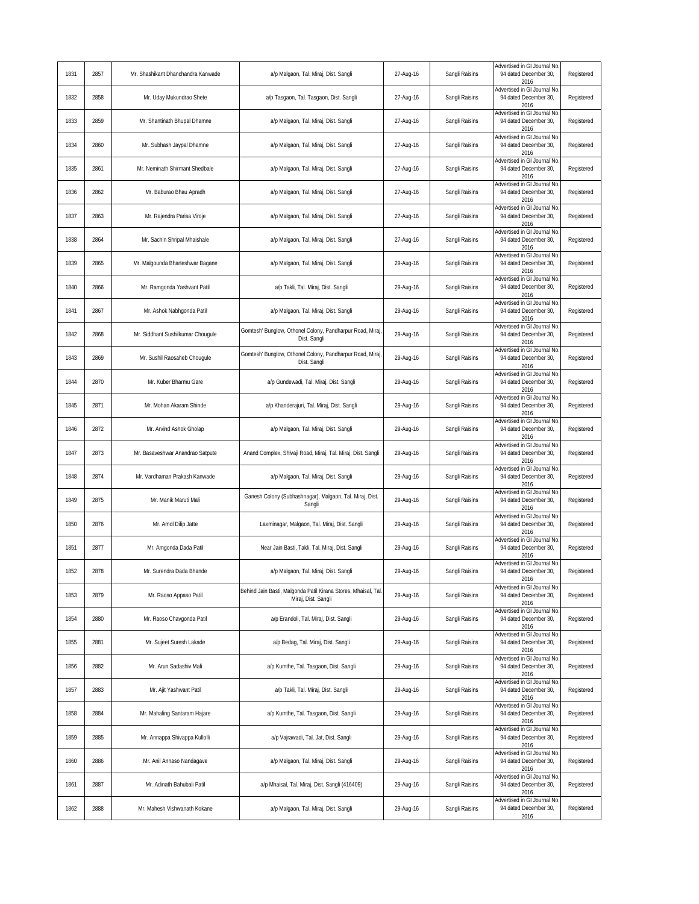| 1831 | 2857 | Mr. Shashikant Dhanchandra Kanwade | a/p Malgaon, Tal. Miraj, Dist. Sangli                                                 | 27-Aug-16 | Sangli Raisins | Advertised in GI Journal No.<br>94 dated December 30,<br>2016 | Registered |
|------|------|------------------------------------|---------------------------------------------------------------------------------------|-----------|----------------|---------------------------------------------------------------|------------|
| 1832 | 2858 | Mr. Uday Mukundrao Shete           | a/p Tasgaon, Tal. Tasgaon, Dist. Sangli                                               | 27-Aug-16 | Sangli Raisins | Advertised in GI Journal No<br>94 dated December 30,<br>2016  | Registered |
| 1833 | 2859 | Mr. Shantinath Bhupal Dhamne       | a/p Malgaon, Tal. Miraj, Dist. Sangli                                                 | 27-Aug-16 | Sangli Raisins | Advertised in GI Journal No<br>94 dated December 30,<br>2016  | Registered |
| 1834 | 2860 | Mr. Subhash Jaypal Dhamne          | a/p Malgaon, Tal. Miraj, Dist. Sangli                                                 | 27-Aug-16 | Sangli Raisins | Advertised in GI Journal No<br>94 dated December 30.<br>2016  | Registered |
| 1835 | 2861 | Mr. Neminath Shirmant Shedbale     | a/p Malgaon, Tal. Miraj, Dist. Sangli                                                 | 27-Aug-16 | Sangli Raisins | Advertised in GI Journal No<br>94 dated December 30,<br>2016  | Registered |
| 1836 | 2862 | Mr. Baburao Bhau Apradh            | a/p Malgaon, Tal. Miraj, Dist. Sangli                                                 | 27-Aug-16 | Sangli Raisins | Advertised in GI Journal No<br>94 dated December 30,<br>2016  | Registered |
| 1837 | 2863 | Mr. Rajendra Parisa Viroje         | a/p Malgaon, Tal. Miraj, Dist. Sangli                                                 | 27-Aug-16 | Sangli Raisins | Advertised in GI Journal No<br>94 dated December 30,<br>2016  | Registered |
| 1838 | 2864 | Mr. Sachin Shripal Mhaishale       | a/p Malgaon, Tal. Miraj, Dist. Sangli                                                 | 27-Aug-16 | Sangli Raisins | Advertised in GI Journal No<br>94 dated December 30,<br>2016  | Registered |
| 1839 | 2865 | Mr. Malgounda Bharteshwar Bagane   | a/p Malgaon, Tal. Miraj, Dist. Sangli                                                 | 29-Aug-16 | Sangli Raisins | Advertised in GI Journal No<br>94 dated December 30,<br>2016  | Registered |
| 1840 | 2866 | Mr. Ramgonda Yashvant Patil        | a/p Takli, Tal. Miraj, Dist. Sangli                                                   | 29-Aug-16 | Sangli Raisins | Advertised in GI Journal No<br>94 dated December 30,<br>2016  | Registered |
| 1841 | 2867 | Mr. Ashok Nabhgonda Patil          | a/p Malgaon, Tal. Miraj, Dist. Sangli                                                 | 29-Aug-16 | Sangli Raisins | Advertised in GI Journal No<br>94 dated December 30,<br>2016  | Registered |
| 1842 | 2868 | Mr. Siddhant Sushilkumar Chougule  | Gomtesh' Bunglow, Othonel Colony, Pandharpur Road, Miraj,<br>Dist. Sangli             | 29-Aug-16 | Sangli Raisins | Advertised in GI Journal No<br>94 dated December 30,<br>2016  | Registered |
| 1843 | 2869 | Mr. Sushil Raosaheb Chougule       | Gomtesh' Bunglow, Othonel Colony, Pandharpur Road, Miraj<br>Dist. Sangli              | 29-Aug-16 | Sangli Raisins | Advertised in GI Journal No<br>94 dated December 30,<br>2016  | Registered |
| 1844 | 2870 | Mr. Kuber Bharmu Gare              | a/p Gundewadi, Tal. Miraj, Dist. Sangli                                               | 29-Aug-16 | Sangli Raisins | Advertised in GI Journal No<br>94 dated December 30,<br>2016  | Registered |
| 1845 | 2871 | Mr. Mohan Akaram Shinde            | a/p Khanderajuri, Tal. Miraj, Dist. Sangli                                            | 29-Aug-16 | Sangli Raisins | Advertised in GI Journal No<br>94 dated December 30,<br>2016  | Registered |
| 1846 | 2872 | Mr. Arvind Ashok Gholap            | a/p Malgaon, Tal. Miraj, Dist. Sangli                                                 | 29-Aug-16 | Sangli Raisins | Advertised in GI Journal No<br>94 dated December 30,<br>2016  | Registered |
| 1847 | 2873 | Mr. Basaveshwar Anandrao Satpute   | Anand Complex, Shivaji Road, Miraj, Tal. Miraj, Dist. Sangli                          | 29-Aug-16 | Sangli Raisins | Advertised in GI Journal No<br>94 dated December 30,<br>2016  | Registered |
| 1848 | 2874 | Mr. Vardhaman Prakash Kanwade      | a/p Malgaon, Tal. Miraj, Dist. Sangli                                                 | 29-Aug-16 | Sangli Raisins | Advertised in GI Journal No<br>94 dated December 30,<br>2016  | Registered |
| 1849 | 2875 | Mr. Manik Maruti Mali              | Ganesh Colony (Subhashnagar), Malgaon, Tal. Miraj, Dist.<br>Sangli                    | 29-Aug-16 | Sangli Raisins | Advertised in GI Journal No<br>94 dated December 30,<br>2016  | Registered |
| 1850 | 2876 | Mr. Amol Dilip Jatte               | Laxminagar, Malgaon, Tal. Miraj, Dist. Sangli                                         | 29-Aug-16 | Sangli Raisins | Advertised in GI Journal No<br>94 dated December 30,<br>2016  | Registered |
| 1851 | 2877 | Mr. Amgonda Dada Patil             | Near Jain Basti, Takli, Tal. Miraj, Dist. Sangli                                      | 29-Aug-16 | Sangli Raisins | Advertised in GI Journal No<br>94 dated December 30,<br>2016  | Registered |
| 1852 | 2878 | Mr. Surendra Dada Bhande           | a/p Malgaon, Tal. Miraj, Dist. Sangli                                                 | 29-Aug-16 | Sangli Raisins | Advertised in GI Journal No.<br>94 dated December 30.<br>2016 | Registered |
| 1853 | 2879 | Mr. Raoso Appaso Patil             | Behind Jain Basti, Malgonda Patil Kirana Stores, Mhaisal, Tal.<br>Miraj, Dist. Sangli | 29-Aug-16 | Sangli Raisins | Advertised in GI Journal No.<br>94 dated December 30,<br>2016 | Registered |
| 1854 | 2880 | Mr. Raoso Chavgonda Patil          | a/p Erandoli, Tal. Miraj, Dist. Sangli                                                | 29-Aug-16 | Sangli Raisins | Advertised in GI Journal No<br>94 dated December 30,<br>2016  | Registered |
| 1855 | 2881 | Mr. Sujeet Suresh Lakade           | a/p Bedag, Tal. Miraj, Dist. Sangli                                                   | 29-Aug-16 | Sangli Raisins | Advertised in GI Journal No<br>94 dated December 30,<br>2016  | Registered |
| 1856 | 2882 | Mr. Arun Sadashiv Mali             | a/p Kumthe, Tal. Tasgaon, Dist. Sangli                                                | 29-Aug-16 | Sangli Raisins | Advertised in GI Journal No<br>94 dated December 30,<br>2016  | Registered |
| 1857 | 2883 | Mr. Ajit Yashwant Patil            | a/p Takli, Tal. Miraj, Dist. Sangli                                                   | 29-Aug-16 | Sangli Raisins | Advertised in GI Journal No<br>94 dated December 30,<br>2016  | Registered |
| 1858 | 2884 | Mr. Mahaling Santaram Hajare       | a/p Kumthe, Tal. Tasgaon, Dist. Sangli                                                | 29-Aug-16 | Sangli Raisins | Advertised in GI Journal No<br>94 dated December 30,<br>2016  | Registered |
| 1859 | 2885 | Mr. Annappa Shivappa Kullolli      | a/p Vajrawadi, Tal. Jat, Dist. Sangli                                                 | 29-Aug-16 | Sangli Raisins | Advertised in GI Journal No.<br>94 dated December 30,<br>2016 | Registered |
| 1860 | 2886 | Mr. Anil Annaso Nandagave          | a/p Malgaon, Tal. Miraj, Dist. Sangli                                                 | 29-Aug-16 | Sangli Raisins | Advertised in GI Journal No<br>94 dated December 30,<br>2016  | Registered |
| 1861 | 2887 | Mr. Adinath Bahubali Patil         | a/p Mhaisal, Tal. Miraj, Dist. Sangli (416409)                                        | 29-Aug-16 | Sangli Raisins | Advertised in GI Journal No<br>94 dated December 30,<br>2016  | Registered |
| 1862 | 2888 | Mr. Mahesh Vishwanath Kokane       | a/p Malgaon, Tal. Miraj, Dist. Sangli                                                 | 29-Aug-16 | Sangli Raisins | Advertised in GI Journal No<br>94 dated December 30,<br>2016  | Registered |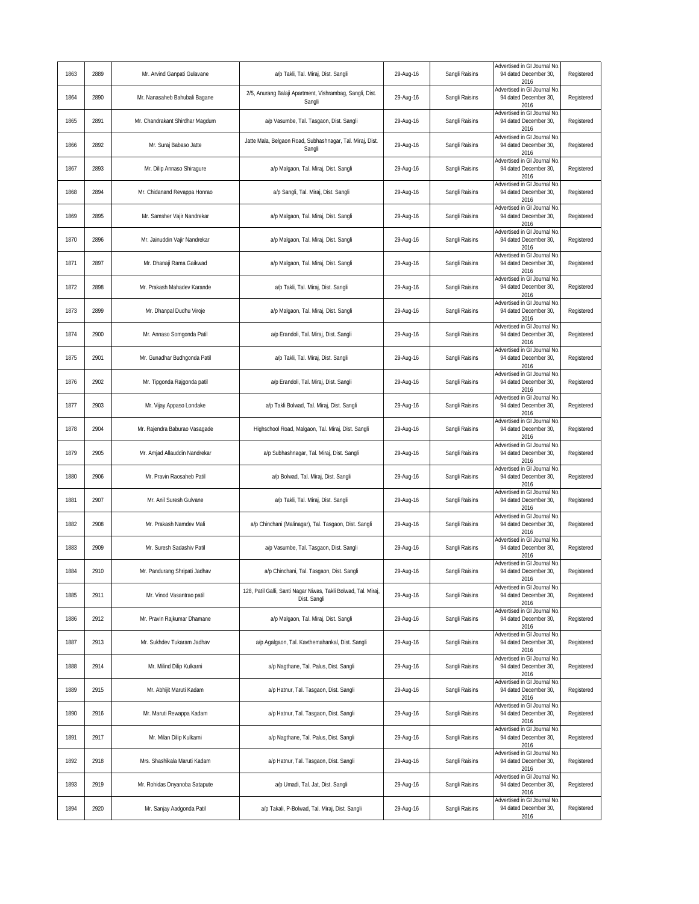| 1863 | 2889 | Mr. Arvind Ganpati Gulavane     | a/p Takli, Tal. Miraj, Dist. Sangli                                            | 29-Aug-16 | Sangli Raisins | Advertised in GI Journal No.<br>94 dated December 30,<br>2016 | Registered |
|------|------|---------------------------------|--------------------------------------------------------------------------------|-----------|----------------|---------------------------------------------------------------|------------|
| 1864 | 2890 | Mr. Nanasaheb Bahubali Bagane   | 2/5, Anurang Balaji Apartment, Vishrambag, Sangli, Dist.<br>Sangli             | 29-Aug-16 | Sangli Raisins | Advertised in GI Journal No<br>94 dated December 30,<br>2016  | Registered |
| 1865 | 2891 | Mr. Chandrakant Shirdhar Magdum | a/p Vasumbe, Tal. Tasgaon, Dist. Sangli                                        | 29-Aug-16 | Sangli Raisins | Advertised in GI Journal No<br>94 dated December 30,<br>2016  | Registered |
| 1866 | 2892 | Mr. Suraj Babaso Jatte          | Jatte Mala, Belgaon Road, Subhashnagar, Tal. Miraj, Dist.<br>Sangli            | 29-Aug-16 | Sangli Raisins | Advertised in GI Journal No<br>94 dated December 30,<br>2016  | Registered |
| 1867 | 2893 | Mr. Dilip Annaso Shiragure      | a/p Malgaon, Tal. Miraj, Dist. Sangli                                          | 29-Aug-16 | Sangli Raisins | Advertised in GI Journal No<br>94 dated December 30,<br>2016  | Registered |
| 1868 | 2894 | Mr. Chidanand Revappa Honrao    | a/p Sangli, Tal. Miraj, Dist. Sangli                                           | 29-Aug-16 | Sangli Raisins | Advertised in GI Journal No<br>94 dated December 30,<br>2016  | Registered |
| 1869 | 2895 | Mr. Samsher Vajir Nandrekar     | a/p Malgaon, Tal. Miraj, Dist. Sangli                                          | 29-Aug-16 | Sangli Raisins | Advertised in GI Journal No<br>94 dated December 30,<br>2016  | Registered |
| 1870 | 2896 | Mr. Jainuddin Vajir Nandrekar   | a/p Malgaon, Tal. Miraj, Dist. Sangli                                          | 29-Aug-16 | Sangli Raisins | Advertised in GI Journal No<br>94 dated December 30,<br>2016  | Registered |
| 1871 | 2897 | Mr. Dhanaji Rama Gaikwad        | a/p Malgaon, Tal. Miraj, Dist. Sangli                                          | 29-Aug-16 | Sangli Raisins | Advertised in GI Journal No<br>94 dated December 30,<br>2016  | Registered |
| 1872 | 2898 | Mr. Prakash Mahadev Karande     | a/p Takli, Tal. Miraj, Dist. Sangli                                            | 29-Aug-16 | Sangli Raisins | Advertised in GI Journal No<br>94 dated December 30,<br>2016  | Registered |
| 1873 | 2899 | Mr. Dhanpal Dudhu Viroje        | a/p Malgaon, Tal. Miraj, Dist. Sangli                                          | 29-Aug-16 | Sangli Raisins | Advertised in GI Journal No<br>94 dated December 30,<br>2016  | Registered |
| 1874 | 2900 | Mr. Annaso Somgonda Patil       | a/p Erandoli, Tal. Miraj, Dist. Sangli                                         | 29-Aug-16 | Sangli Raisins | Advertised in GI Journal No<br>94 dated December 30,<br>2016  | Registered |
| 1875 | 2901 | Mr. Gunadhar Budhgonda Patil    | a/p Takli, Tal. Miraj, Dist. Sangli                                            | 29-Aug-16 | Sangli Raisins | Advertised in GI Journal No<br>94 dated December 30,<br>2016  | Registered |
| 1876 | 2902 | Mr. Tipgonda Rajgonda patil     | a/p Erandoli, Tal. Miraj, Dist. Sangli                                         | 29-Aug-16 | Sangli Raisins | Advertised in GI Journal No<br>94 dated December 30,<br>2016  | Registered |
| 1877 | 2903 | Mr. Vijay Appaso Londake        | a/p Takli Bolwad, Tal. Miraj, Dist. Sangli                                     | 29-Aug-16 | Sangli Raisins | Advertised in GI Journal No<br>94 dated December 30,<br>2016  | Registered |
| 1878 | 2904 | Mr. Rajendra Baburao Vasagade   | Highschool Road, Malgaon, Tal. Miraj, Dist. Sangli                             | 29-Aug-16 | Sangli Raisins | Advertised in GI Journal No.<br>94 dated December 30,<br>2016 | Registered |
| 1879 | 2905 | Mr. Amjad Allauddin Nandrekar   | a/p Subhashnagar, Tal. Miraj, Dist. Sangli                                     | 29-Aug-16 | Sangli Raisins | Advertised in GI Journal No<br>94 dated December 30,<br>2016  | Registered |
| 1880 | 2906 | Mr. Pravin Raosaheb Patil       | a/p Bolwad, Tal. Miraj, Dist. Sangli                                           | 29-Aug-16 | Sangli Raisins | Advertised in GI Journal No<br>94 dated December 30,<br>2016  | Registered |
| 1881 | 2907 | Mr. Anil Suresh Gulvane         | a/p Takli, Tal. Miraj, Dist. Sangli                                            | 29-Aug-16 | Sangli Raisins | Advertised in GI Journal No<br>94 dated December 30,<br>2016  | Registered |
| 1882 | 2908 | Mr. Prakash Namdev Mali         | a/p Chinchani (Malinagar), Tal. Tasgaon, Dist. Sangli                          | 29-Aug-16 | Sangli Raisins | Advertised in GI Journal No<br>94 dated December 30,<br>2016  | Registered |
| 1883 | 2909 | Mr. Suresh Sadashiv Patil       | a/p Vasumbe, Tal. Tasgaon, Dist. Sangli                                        | 29-Aug-16 | Sangli Raisins | Advertised in GI Journal No<br>94 dated December 30,<br>2016  | Registered |
| 1884 | 2910 | Mr. Pandurang Shripati Jadhav   | a/p Chinchani, Tal. Tasgaon, Dist. Sangli                                      | 29-Aug-16 | Sangli Raisins | Advertised in GI Journal No.<br>94 dated December 30,<br>2016 | Registered |
| 1885 | 2911 | Mr. Vinod Vasantrao patil       | 128, Patil Galli, Santi Nagar Niwas, Takli Bolwad, Tal. Miraj,<br>Dist. Sangli | 29-Aug-16 | Sangli Raisins | Advertised in GI Journal No.<br>94 dated December 30,<br>2016 | Registered |
| 1886 | 2912 | Mr. Pravin Rajkumar Dhamane     | a/p Malgaon, Tal. Miraj, Dist. Sangli                                          | 29-Aug-16 | Sangli Raisins | Advertised in GI Journal No<br>94 dated December 30,<br>2016  | Registered |
| 1887 | 2913 | Mr. Sukhdev Tukaram Jadhav      | a/p Agalgaon, Tal. Kavthemahankal, Dist. Sangli                                | 29-Aug-16 | Sangli Raisins | Advertised in GI Journal No<br>94 dated December 30,<br>2016  | Registered |
| 1888 | 2914 | Mr. Milind Dilip Kulkarni       | a/p Nagthane, Tal. Palus, Dist. Sangli                                         | 29-Aug-16 | Sangli Raisins | Advertised in GI Journal No<br>94 dated December 30,<br>2016  | Registered |
| 1889 | 2915 | Mr. Abhijit Maruti Kadam        | a/p Hatnur, Tal. Tasgaon, Dist. Sangli                                         | 29-Aug-16 | Sangli Raisins | Advertised in GI Journal No<br>94 dated December 30,<br>2016  | Registered |
| 1890 | 2916 | Mr. Maruti Rewappa Kadam        | a/p Hatnur, Tal. Tasgaon, Dist. Sangli                                         | 29-Aug-16 | Sangli Raisins | Advertised in GI Journal No<br>94 dated December 30,<br>2016  | Registered |
| 1891 | 2917 | Mr. Milan Dilip Kulkarni        | a/p Nagthane, Tal. Palus, Dist. Sangli                                         | 29-Aug-16 | Sangli Raisins | Advertised in GI Journal No<br>94 dated December 30,<br>2016  | Registered |
| 1892 | 2918 | Mrs. Shashikala Maruti Kadam    | a/p Hatnur, Tal. Tasgaon, Dist. Sangli                                         | 29-Aug-16 | Sangli Raisins | Advertised in GI Journal No<br>94 dated December 30,<br>2016  | Registered |
| 1893 | 2919 | Mr. Rohidas Dnyanoba Satapute   | a/p Umadi, Tal. Jat, Dist. Sangli                                              | 29-Aug-16 | Sangli Raisins | Advertised in GI Journal No<br>94 dated December 30,<br>2016  | Registered |
| 1894 | 2920 | Mr. Sanjay Aadgonda Patil       | a/p Takali, P-Bolwad, Tal. Miraj, Dist. Sangli                                 | 29-Aug-16 | Sangli Raisins | Advertised in GI Journal No<br>94 dated December 30,<br>2016  | Registered |
|      |      |                                 |                                                                                |           |                |                                                               |            |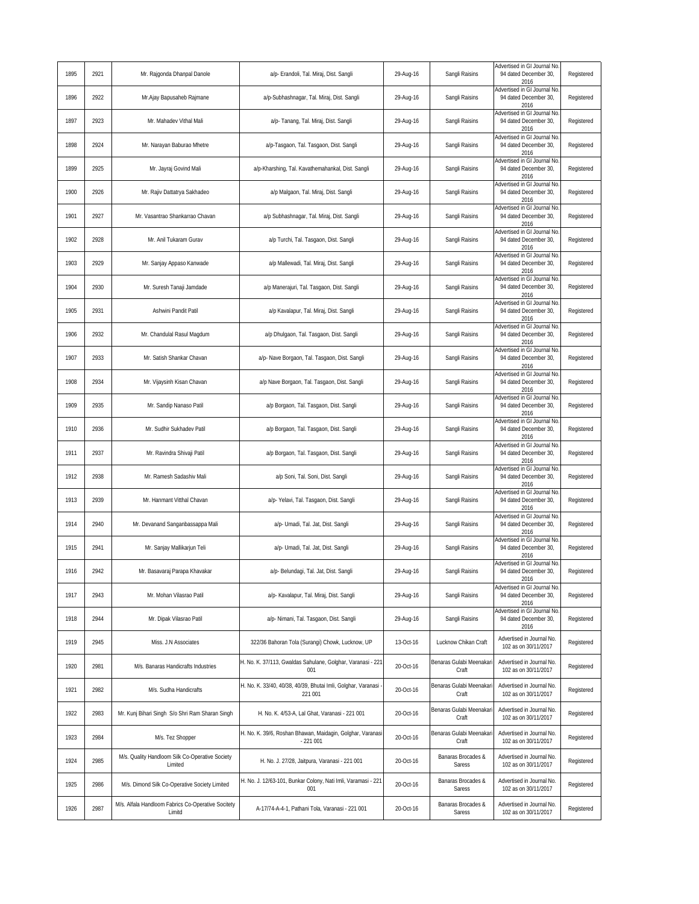| 1895 | 2921 | Mr. Rajgonda Dhanpal Danole                                  | a/p- Erandoli, Tal. Miraj, Dist. Sangli                                  | 29-Aug-16 | Sangli Raisins                   | Advertised in GI Journal No.<br>94 dated December 30,<br>2016 | Registered |
|------|------|--------------------------------------------------------------|--------------------------------------------------------------------------|-----------|----------------------------------|---------------------------------------------------------------|------------|
| 1896 | 2922 | Mr.Ajay Bapusaheb Rajmane                                    | a/p-Subhashnagar, Tal. Miraj, Dist. Sangli                               | 29-Aug-16 | Sangli Raisins                   | Advertised in GI Journal No<br>94 dated December 30,<br>2016  | Registered |
| 1897 | 2923 | Mr. Mahadev Vithal Mali                                      | a/p- Tanang, Tal. Miraj, Dist. Sangli                                    | 29-Aug-16 | Sangli Raisins                   | Advertised in GI Journal No<br>94 dated December 30,<br>2016  | Registered |
| 1898 | 2924 | Mr. Narayan Baburao Mhetre                                   | a/p-Tasgaon, Tal. Tasgaon, Dist. Sangli                                  | 29-Aug-16 | Sangli Raisins                   | Advertised in GI Journal No<br>94 dated December 30.<br>2016  | Registered |
| 1899 | 2925 | Mr. Jayraj Govind Mali                                       | a/p-Kharshing, Tal. Kavathemahankal, Dist. Sangli                        | 29-Aug-16 | Sangli Raisins                   | Advertised in GI Journal No<br>94 dated December 30,<br>2016  | Registered |
| 1900 | 2926 | Mr. Rajiv Dattatrya Sakhadeo                                 | a/p Malgaon, Tal. Miraj, Dist. Sangli                                    | 29-Aug-16 | Sangli Raisins                   | Advertised in GI Journal No<br>94 dated December 30,<br>2016  | Registered |
| 1901 | 2927 | Mr. Vasantrao Shankarrao Chavan                              | a/p Subhashnagar, Tal. Miraj, Dist. Sangli                               | 29-Aug-16 | Sangli Raisins                   | Advertised in GI Journal No<br>94 dated December 30,<br>2016  | Registered |
| 1902 | 2928 | Mr. Anil Tukaram Gurav                                       | a/p Turchi, Tal. Tasgaon, Dist. Sangli                                   | 29-Aug-16 | Sangli Raisins                   | Advertised in GI Journal No<br>94 dated December 30,<br>2016  | Registered |
| 1903 | 2929 | Mr. Sanjay Appaso Kanwade                                    | a/p Mallewadi, Tal. Miraj, Dist. Sangli                                  | 29-Aug-16 | Sangli Raisins                   | Advertised in GI Journal No<br>94 dated December 30,<br>2016  | Registered |
| 1904 | 2930 | Mr. Suresh Tanaji Jamdade                                    | a/p Manerajuri, Tal. Tasgaon, Dist. Sangli                               | 29-Aug-16 | Sangli Raisins                   | Advertised in GI Journal No<br>94 dated December 30,<br>2016  | Registered |
| 1905 | 2931 | Ashwini Pandit Patil                                         | a/p Kavalapur, Tal. Miraj, Dist. Sangli                                  | 29-Aug-16 | Sangli Raisins                   | Advertised in GI Journal No<br>94 dated December 30,<br>2016  | Registered |
| 1906 | 2932 | Mr. Chandulal Rasul Magdum                                   | a/p Dhulgaon, Tal. Tasgaon, Dist. Sangli                                 | 29-Aug-16 | Sangli Raisins                   | Advertised in GI Journal No<br>94 dated December 30,<br>2016  | Registered |
| 1907 | 2933 | Mr. Satish Shankar Chavan                                    | a/p- Nave Borgaon, Tal. Tasgaon, Dist. Sangli                            | 29-Aug-16 | Sangli Raisins                   | Advertised in GI Journal No<br>94 dated December 30,<br>2016  | Registered |
| 1908 | 2934 | Mr. Vijaysinh Kisan Chavan                                   | a/p Nave Borgaon, Tal. Tasgaon, Dist. Sangli                             | 29-Aug-16 | Sangli Raisins                   | Advertised in GI Journal No<br>94 dated December 30,<br>2016  | Registered |
| 1909 | 2935 | Mr. Sandip Nanaso Patil                                      | a/p Borgaon, Tal. Tasgaon, Dist. Sangli                                  | 29-Aug-16 | Sangli Raisins                   | Advertised in GI Journal No<br>94 dated December 30,<br>2016  | Registered |
| 1910 | 2936 | Mr. Sudhir Sukhadev Patil                                    | a/p Borgaon, Tal. Tasgaon, Dist. Sangli                                  | 29-Aug-16 | Sangli Raisins                   | Advertised in GI Journal No<br>94 dated December 30,<br>2016  | Registered |
| 1911 | 2937 | Mr. Ravindra Shivaji Patil                                   | a/p Borgaon, Tal. Tasgaon, Dist. Sangli                                  | 29-Aug-16 | Sangli Raisins                   | Advertised in GI Journal No<br>94 dated December 30,<br>2016  | Registered |
| 1912 | 2938 | Mr. Ramesh Sadashiv Mali                                     | a/p Soni, Tal. Soni, Dist. Sangli                                        | 29-Aug-16 | Sangli Raisins                   | Advertised in GI Journal No<br>94 dated December 30,<br>2016  | Registered |
| 1913 | 2939 | Mr. Hanmant Vitthal Chavan                                   | a/p- Yelavi, Tal. Tasgaon, Dist. Sangli                                  | 29-Aug-16 | Sangli Raisins                   | Advertised in GI Journal No<br>94 dated December 30,<br>2016  | Registered |
| 1914 | 2940 | Mr. Devanand Sanganbassappa Mali                             | a/p- Umadi, Tal. Jat, Dist. Sangli                                       | 29-Aug-16 | Sangli Raisins                   | Advertised in GI Journal No<br>94 dated December 30,<br>2016  | Registered |
| 1915 | 2941 | Mr. Sanjay Mallikarjun Teli                                  | a/p- Umadi, Tal. Jat, Dist. Sangli                                       | 29-Aug-16 | Sangli Raisins                   | Advertised in GI Journal No<br>94 dated December 30.<br>2016  | Registered |
| 1916 | 2942 | Mr. Basavarai Parapa Khavakar                                | a/p- Belundagi, Tal, Jat, Dist, Sangli                                   | 29-Aug-16 | Sangli Raisins                   | Advertised in GI Journal No.<br>94 dated December 30,<br>2016 | Registered |
| 1917 | 2943 | Mr. Mohan Vilasrao Patil                                     | a/p- Kavalapur, Tal. Miraj, Dist. Sangli                                 | 29-Aug-16 | Sangli Raisins                   | Advertised in GI Journal No.<br>94 dated December 30.<br>2016 | Registered |
| 1918 | 2944 | Mr. Dipak Vilasrao Patil                                     | a/p- Nimani, Tal. Tasgaon, Dist. Sangli                                  | 29-Aug-16 | Sangli Raisins                   | Advertised in GI Journal No<br>94 dated December 30,<br>2016  | Registered |
| 1919 | 2945 | Miss. J.N Associates                                         | 322/36 Bahoran Tola (Surangi) Chowk, Lucknow, UP                         | 13-Oct-16 | Lucknow Chikan Craft             | Advertised in Journal No<br>102 as on 30/11/2017              | Registered |
| 1920 | 2981 | M/s. Banaras Handicrafts Industries                          | H. No. K. 37/113, Gwaldas Sahulane, Golghar, Varanasi - 221<br>001       | 20-Oct-16 | Benaras Gulabi Meenakar<br>Craft | Advertised in Journal No.<br>102 as on 30/11/2017             | Registered |
| 1921 | 2982 | M/s. Sudha Handicrafts                                       | H. No. K. 33/40, 40/38, 40/39, Bhutai Imli, Golghar, Varanasi<br>221 001 | 20-Oct-16 | Benaras Gulabi Meenakar<br>Craft | Advertised in Journal No.<br>102 as on 30/11/2017             | Registered |
| 1922 | 2983 | Mr. Kunj Bihari Singh S/o Shri Ram Sharan Singh              | H. No. K. 4/53-A, Lal Ghat, Varanasi - 221 001                           | 20-Oct-16 | Benaras Gulabi Meenakar<br>Craft | Advertised in Journal No.<br>102 as on 30/11/2017             | Registered |
| 1923 | 2984 | M/s. Tez Shopper                                             | H. No. K. 39/6, Roshan Bhawan, Maidagin, Golghar, Varanasi<br>$-221001$  | 20-Oct-16 | Benaras Gulabi Meenakar<br>Craft | Advertised in Journal No.<br>102 as on 30/11/2017             | Registered |
| 1924 | 2985 | M/s. Quality Handloom Silk Co-Operative Society<br>Limited   | H. No. J. 27/28, Jaitpura, Varanasi - 221 001                            | 20-Oct-16 | Banaras Brocades &<br>Saress     | Advertised in Journal No.<br>102 as on 30/11/2017             | Registered |
| 1925 | 2986 | M/s. Dimond Silk Co-Operative Society Limited                | H. No. J. 12/63-101, Bunkar Colony, Nati Imli, Varamasi - 221<br>001     | 20-Oct-16 | Banaras Brocades &<br>Saress     | Advertised in Journal No.<br>102 as on 30/11/2017             | Registered |
| 1926 | 2987 | M/s. Alfala Handloom Fabrics Co-Operative Socitety<br>Limitd | A-17/74-A-4-1, Pathani Tola, Varanasi - 221 001                          | 20-Oct-16 | Banaras Brocades &<br>Saress     | Advertised in Journal No.<br>102 as on 30/11/2017             | Registered |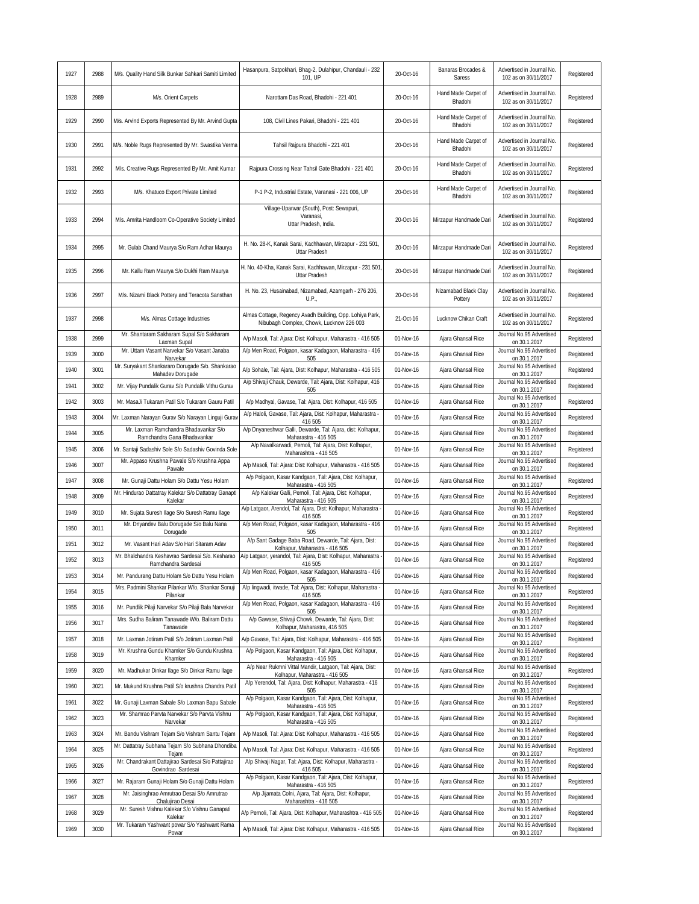| 1927 | 2988 | M/s. Quality Hand Silk Bunkar Sahkari Samiti Limited                                              | Hasanpura, Satpokhari, Bhag-2, Dulahipur, Chandauli - 232<br>101. UP                                 | 20-Oct-16 | Banaras Brocades &<br>Saress    | Advertised in Journal No<br>102 as on 30/11/2017  | Registered |
|------|------|---------------------------------------------------------------------------------------------------|------------------------------------------------------------------------------------------------------|-----------|---------------------------------|---------------------------------------------------|------------|
| 1928 | 2989 | M/s. Orient Carpets                                                                               | Narottam Das Road, Bhadohi - 221 401                                                                 | 20-Oct-16 | Hand Made Carpet of<br>Bhadohi  | Advertised in Journal No.<br>102 as on 30/11/2017 | Registered |
| 1929 | 2990 | M/s. Arvind Exports Represented By Mr. Arvind Gupta                                               | 108, Civil Lines Pakari, Bhadohi - 221 401                                                           | 20-Oct-16 | Hand Made Carpet of<br>Bhadohi  | Advertised in Journal No.<br>102 as on 30/11/2017 | Registered |
| 1930 | 2991 | M/s. Noble Rugs Represented By Mr. Swastika Verma                                                 | Tahsil Rajpura Bhadohi - 221 401                                                                     | 20-Oct-16 | Hand Made Carpet of<br>Bhadohi  | Advertised in Journal No.<br>102 as on 30/11/2017 | Registered |
| 1931 | 2992 | M/s. Creative Rugs Represented By Mr. Amit Kumar                                                  | Rajpura Crossing Near Tahsil Gate Bhadohi - 221 401                                                  | 20-Oct-16 | Hand Made Carpet of<br>Bhadohi  | Advertised in Journal No.<br>102 as on 30/11/2017 | Registered |
| 1932 | 2993 | M/s. Khatuco Export Private Limited                                                               | P-1 P-2, Industrial Estate, Varanasi - 221 006, UP                                                   | 20-Oct-16 | Hand Made Carpet of<br>Bhadohi  | Advertised in Journal No.<br>102 as on 30/11/2017 | Registered |
| 1933 | 2994 | M/s. Amrita Handloom Co-Operative Society Limited                                                 | Village-Uparwar (South), Post: Sewapuri,<br>Varanasi,<br>Uttar Pradesh, India.                       | 20-Oct-16 | Mirzapur Handmade Dari          | Advertised in Journal No.<br>102 as on 30/11/2017 | Registered |
| 1934 | 2995 | Mr. Gulab Chand Maurya S/o Ram Adhar Maurya                                                       | H. No. 28-K, Kanak Sarai, Kachhawan, Mirzapur - 231 501,<br>Uttar Pradesh                            | 20-Oct-16 | Mirzapur Handmade Dari          | Advertised in Journal No.<br>102 as on 30/11/2017 | Registered |
| 1935 | 2996 | Mr. Kallu Ram Maurya S/o Dukhi Ram Maurya                                                         | H. No. 40-Kha, Kanak Sarai, Kachhawan, Mirzapur - 231 501<br>Uttar Pradesh                           | 20-Oct-16 | Mirzapur Handmade Dari          | Advertised in Journal No.<br>102 as on 30/11/2017 | Registered |
| 1936 | 2997 | M/s. Nizami Black Pottery and Teracota Sansthan                                                   | H. No. 23, Husainabad, Nizamabad, Azamgarh - 276 206,<br>U.P.,                                       | 20-Oct-16 | Nizamabad Black Clay<br>Pottery | Advertised in Journal No.<br>102 as on 30/11/2017 | Registered |
| 1937 | 2998 | M/s. Almas Cottage Industries                                                                     | Almas Cottage, Regency Avadh Building, Opp. Lohiya Park,<br>Nibubagh Complex, Chowk, Lucknow 226 003 | 21-Oct-16 | Lucknow Chikan Craft            | Advertised in Journal No.<br>102 as on 30/11/2017 | Registered |
| 1938 | 2999 | Mr. Shantaram Sakharam Supal S/o Sakharam<br>Laxman Supal                                         | A/p Masoli, Tal: Ajara: Dist: Kolhapur, Maharastra - 416 505                                         | 01-Nov-16 | Ajara Ghansal Rice              | Journal No.95 Advertised<br>on 30.1.2017          | Registered |
| 1939 | 3000 | Mr. Uttam Vasant Narvekar S/o Vasant Janaba<br>Narvekar                                           | A/p Men Road, Polgaon, kasar Kadagaon, Maharastra - 416<br>505                                       | 01-Nov-16 | Ajara Ghansal Rice              | Journal No.95 Advertised<br>on 30.1.2017          | Registered |
| 1940 | 3001 | Mr. Suryakant Shankararo Dorugade S/o. Shankarao<br>Mahadev Dorugade                              | A/p Sohale, Tal: Ajara, Dist: Kolhapur, Maharastra - 416 505                                         | 01-Nov-16 | Ajara Ghansal Rice              | Journal No.95 Advertised<br>on 30.1.2017          | Registered |
| 1941 | 3002 | Mr. Vijay Pundalik Gurav S/o Pundalik Vithu Gurav                                                 | A/p Shivaji Chauk, Dewarde, Tal: Ajara, Dist: Kolhapur, 416                                          | 01-Nov-16 | Ajara Ghansal Rice              | Journal No.95 Advertised                          | Registered |
| 1942 | 3003 | Mr. MasaJi Tukaram Patil S/o Tukaram Gauru Patil                                                  | 505<br>A/p Madhyal, Gavase, Tal: Ajara, Dist: Kolhapur, 416 505                                      | 01-Nov-16 | Ajara Ghansal Rice              | on 30.1.2017<br>Journal No.95 Advertised          | Registered |
|      |      |                                                                                                   | A/p Haloli, Gavase, Tal: Ajara, Dist: Kolhapur, Maharastra -                                         |           |                                 | on 30.1.2017<br>Journal No.95 Advertised          |            |
| 1943 | 3004 | Mr. Laxman Narayan Gurav S/o Narayan Linguji Gurav<br>Mr. Laxman Ramchandra Bhadavankar S/o       | 416 505<br>A/p Dnyaneshwar Galli, Dewarde, Tal: Ajara, dist: Kolhapur,                               | 01-Nov-16 | Ajara Ghansal Rice              | on 30.1.2017<br>Journal No.95 Advertised          | Registered |
| 1944 | 3005 | Ramchandra Gana Bhadavankar                                                                       | Maharastra - 416 505<br>A/p Navalkarwadi, Pernoli, Tal: Ajara, Dist: Kolhapur,                       | 01-Nov-16 | Ajara Ghansal Rice              | on 30.1.2017<br>Journal No.95 Advertised          | Registered |
| 1945 | 3006 | Mr. Santaji Sadashiv Sole S/o Sadashiv Govinda Sole<br>Mr. Appaso Krushna Pawale S/o Krushna Appa | Maharashtra - 416 505                                                                                | 01-Nov-16 | Ajara Ghansal Rice              | on 30.1.2017<br>Journal No.95 Advertised          | Registered |
| 1946 | 3007 | Pawale                                                                                            | A/p Masoli, Tal: Ajara: Dist: Kolhapur, Maharastra - 416 505                                         | 01-Nov-16 | Ajara Ghansal Rice              | on 30.1.2017                                      | Registered |
| 1947 | 3008 | Mr. Gunaji Dattu Holam S/o Dattu Yesu Holam                                                       | A/p Polgaon, Kasar Kandgaon, Tal: Ajara, Dist: Kolhapur,<br>Maharastra - 416 505                     | 01-Nov-16 | Ajara Ghansal Rice              | Journal No.95 Advertised<br>on 30.1.2017          | Registered |
| 1948 | 3009 | Mr. Hindurao Dattatray Kalekar S/o Dattatray Ganapti<br>Kalekar                                   | A/p Kalekar Galli, Pernoli, Tal: Ajara, Dist: Kolhapur,<br>Maharastra - 416 505                      | 01-Nov-16 | Ajara Ghansal Rice              | Journal No.95 Advertised<br>on 30.1.2017          | Registered |
| 1949 | 3010 | Mr. Sujata Suresh Ilage S/o Suresh Ramu Ilage                                                     | A/p Latgaor, Arendol, Tal: Ajara, Dist: Kolhapur, Maharastra<br>416 505                              | 01-Nov-16 | Ajara Ghansal Rice              | Journal No.95 Advertised<br>on 30.1.2017          | Registered |
| 1950 | 3011 | Mr. Dnyandev Balu Dorugade S/o Balu Nana<br>Dorugade                                              | A/p Men Road, Polgaon, kasar Kadagaon, Maharastra - 416<br>505                                       | 01-Nov-16 | Ajara Ghansal Rice              | Journal No.95 Advertised<br>on 30.1.2017          | Registered |
| 1951 | 3012 | Mr. Vasant Hari Adav S/o Hari Sitaram Adav                                                        | A/p Sant Gadage Baba Road, Dewarde, Tal: Ajara, Dist:<br>Kolhapur, Maharastra - 416 505              | 01-Nov-16 | Ajara Ghansal Rice              | Journal No.95 Advertised<br>on 30.1.2017          | Registered |
| 1952 | 3013 | Mr. Bhalchandra Keshavrao Sardesai S/o. Kesharao<br>Ramchandra Sardesai                           | A/p Latgaor, yerandol, Tal: Ajara, Dist: Kolhapur, Maharastra<br>416 505                             | 01-Nov-16 | Ajara Ghansal Rice              | Journal No.95 Advertised<br>on 30.1.2017          | Registered |
| 1953 | 3014 | Mr. Pandurang Dattu Holam S/o Dattu Yesu Holam                                                    | A/p Men Road, Polgaon, kasar Kadagaon, Maharastra - 416<br>505                                       | 01-Nov-16 | Ajara Ghansal Rice              | Journal No.95 Advertised<br>on 30.1.2017          | Registered |
| 1954 | 3015 | Mrs. Padmini Shankar Pilankar W/o. Shankar Sonuji                                                 | A/p lingwadi, itwade, Tal: Ajara, Dist: Kolhapur, Maharastra -                                       | 01-Nov-16 | Ajara Ghansal Rice              | Journal No.95 Advertised                          | Registered |
| 1955 | 3016 | Pilankar<br>Mr. Pundlik Pilaji Narvekar S/o Pilaji Bala Narvekar                                  | 416 505<br>A/p Men Road, Polgaon, kasar Kadagaon, Maharastra - 416                                   | 01-Nov-16 | Ajara Ghansal Rice              | on 30.1.2017<br>Journal No.95 Advertised          | Registered |
| 1956 | 3017 | Mrs. Sudha Baliram Tanawade W/o. Baliram Dattu                                                    | 505<br>A/p Gawase, Shivaji Chowk, Dewarde, Tal: Ajara, Dist:                                         | 01-Nov-16 | Ajara Ghansal Rice              | on 30.1.2017<br>Journal No.95 Advertised          | Registered |
| 1957 | 3018 | Tanawade<br>Mr. Laxman Jotiram Patil S/o Jotiram Laxman Patil                                     | Kolhapur, Maharastra, 416 505<br>A/p Gavase, Tal: Ajara, Dist: Kolhapur, Maharastra - 416 505        | 01-Nov-16 | Ajara Ghansal Rice              | on 30.1.2017<br>Journal No.95 Advertised          | Registered |
|      |      | Mr. Krushna Gundu Khamker S/o Gundu Krushna                                                       | A/p Polgaon, Kasar Kandgaon, Tal: Ajara, Dist: Kolhapur,                                             |           |                                 | on 30.1.2017<br>Journal No.95 Advertised          |            |
| 1958 | 3019 | Khamker                                                                                           | Maharastra - 416 505<br>A/p Near Rukmni Vittal Mandir, Latgaon, Tal: Ajara, Dist:                    | 01-Nov-16 | Ajara Ghansal Rice              | on 30.1.2017<br>Journal No.95 Advertised          | Registered |
| 1959 | 3020 | Mr. Madhukar Dinkar Ilage S/o Dinkar Ramu Ilage                                                   | Kolhapur, Maharastra - 416 505<br>A/p Yerendol, Tal: Ajara, Dist: Kolhapur, Maharastra - 416         | 01-Nov-16 | Ajara Ghansal Rice              | on 30.1.2017<br>Journal No.95 Advertised          | Registered |
| 1960 | 3021 | Mr. Mukund Krushna Patil S/o krushna Chandra Patil                                                | 505<br>A/p Polgaon, Kasar Kandgaon, Tal: Ajara, Dist: Kolhapur,                                      | 01-Nov-16 | Ajara Ghansal Rice              | on 30.1.2017<br>Journal No.95 Advertised          | Registered |
| 1961 | 3022 | Mr. Gunaji Laxman Sabale S/o Laxman Bapu Sabale                                                   | Maharastra - 416 505                                                                                 | 01-Nov-16 | Ajara Ghansal Rice              | on 30.1.2017                                      | Registered |
| 1962 | 3023 | Mr. Shamrao Parvta Narvekar S/o Parvta Vishnu<br>Narvekar                                         | A/p Polgaon, Kasar Kandgaon, Tal: Ajara, Dist: Kolhapur,<br>Maharastra - 416 505                     | 01-Nov-16 | Ajara Ghansal Rice              | Journal No.95 Advertised<br>on 30.1.2017          | Registered |
| 1963 | 3024 | Mr. Bandu Vishram Tejam S/o Vishram Santu Tejam                                                   | A/p Masoli, Tal: Ajara: Dist: Kolhapur, Maharastra - 416 505                                         | 01-Nov-16 | Ajara Ghansal Rice              | Journal No.95 Advertised<br>on 30.1.2017          | Registered |
| 1964 | 3025 | Mr. Dattatray Subhana Tejam S/o Subhana Dhondiba<br>Tejam                                         | A/p Masoli, Tal: Ajara: Dist: Kolhapur, Maharastra - 416 505                                         | 01-Nov-16 | Ajara Ghansal Rice              | Journal No.95 Advertised<br>on 30.1.2017          | Registered |
| 1965 | 3026 | Mr. Chandrakant Dattajirao Sardesai S/o Pattajirao<br>Govindrao Sardesai                          | A/p Shivaji Nagar, Tal: Ajara, Dist: Kolhapur, Maharastra -<br>416 505                               | 01-Nov-16 | Ajara Ghansal Rice              | Journal No.95 Advertised<br>on 30.1.2017          | Registered |
| 1966 | 3027 | Mr. Rajaram Gunaji Holam S/o Gunaji Dattu Holam                                                   | A/p Polgaon, Kasar Kandgaon, Tal: Ajara, Dist: Kolhapur,<br>Maharastra - 416 505                     | 01-Nov-16 | Ajara Ghansal Rice              | Journal No.95 Advertised<br>on 30.1.2017          | Registered |
| 1967 | 3028 | Mr. Jaisinghrao Amrutrao Desai S/o Amrutrao<br>Chalujirao Desai                                   | A/p Jijamata Colni, Ajara, Tal: Ajara, Dist: Kolhapur,<br>Maharashtra - 416 505                      | 01-Nov-16 | Ajara Ghansal Rice              | Journal No.95 Advertised<br>on 30.1.2017          | Registered |
| 1968 | 3029 | Mr. Suresh Vishnu Kalekar S/o Vishnu Ganapati<br>Kalekar                                          | A/p Pernoli, Tal: Ajara, Dist: Kolhapur, Maharashtra - 416 505                                       | 01-Nov-16 | Ajara Ghansal Rice              | Journal No.95 Advertised<br>on 30.1.2017          | Registered |
| 1969 | 3030 | Mr. Tukaram Yashwant powar S/o Yashwant Rama<br>Powar                                             | A/p Masoli, Tal: Ajara: Dist: Kolhapur, Maharastra - 416 505                                         | 01-Nov-16 | Ajara Ghansal Rice              | Journal No.95 Advertised<br>on 30.1.2017          | Registered |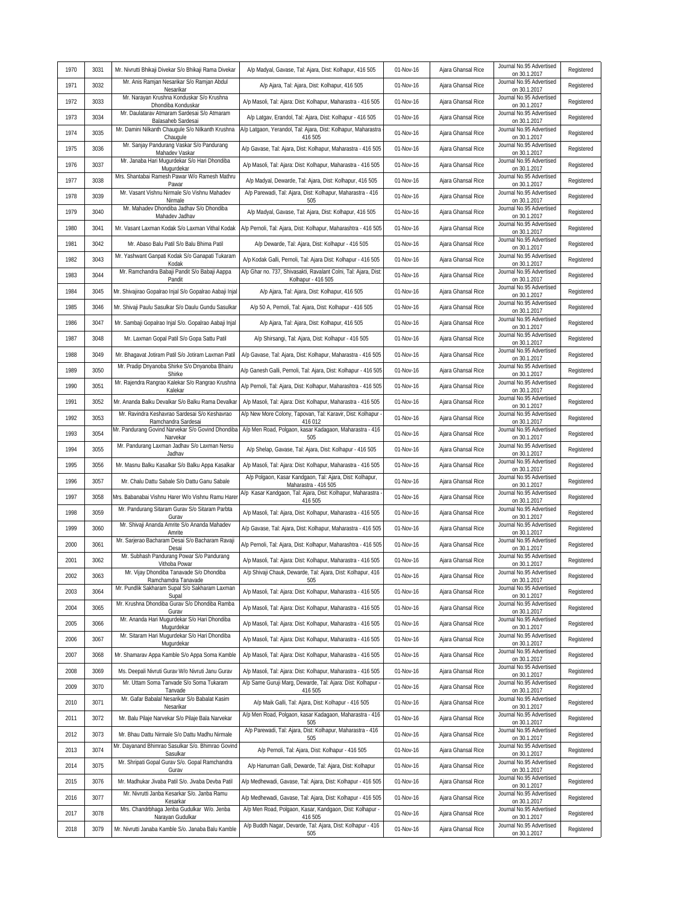| Mr. Anis Ramjan Nesarikar S/o Ramjan Abdul<br>Journal No.95 Advertised<br>1971<br>3032<br>Registered<br>A/p Ajara, Tal: Ajara, Dist: Kolhapur, 416 505<br>01-Nov-16<br>Ajara Ghansal Rice<br>on 30.1.2017<br>Nesarikar<br>Mr. Narayan Krushna Konduskar S/o Krushna<br>Journal No.95 Advertised<br>1972<br>3033<br>A/p Masoli, Tal: Ajara: Dist: Kolhapur, Maharastra - 416 505<br>01-Nov-16<br>Ajara Ghansal Rice<br>Registered<br>Dhondiba Konduskar<br>on 30.1.2017<br>Mr. Daulatarav Atmaram Sardesai S/o Atmaram<br>Journal No.95 Advertised<br>1973<br>3034<br>A/p Latgav, Erandol, Tal: Ajara, Dist: Kolhapur - 416 505<br>01-Nov-16<br>Registered<br>Ajara Ghansal Rice<br>Balasaheb Sardesai<br>on 30.1.2017<br>A/p Latgaon, Yerandol, Tal: Ajara, Dist: Kolhapur, Maharastra<br>Mr. Damini Nilkanth Chaugule S/o Nilkanth Krushna<br>Journal No.95 Advertised<br>3035<br>01-Nov-16<br>Registered<br>1974<br>Ajara Ghansal Rice<br>Chaugule<br>416 505<br>on 30.1.2017<br>Mr. Sanjay Pandurang Vaskar S/o Pandurang<br>Journal No.95 Advertised<br>1975<br>3036<br>A/p Gavase, Tal: Ajara, Dist: Kolhapur, Maharastra - 416 505<br>01-Nov-16<br>Ajara Ghansal Rice<br>Registered<br>on 30.1.2017<br>Mahadev Vaskar<br>Mr. Janaba Hari Mugurdekar S/o Hari Dhondiba<br>Journal No.95 Advertised<br>1976<br>3037<br>A/p Masoli, Tal: Ajara: Dist: Kolhapur, Maharastra - 416 505<br>01-Nov-16<br>Ajara Ghansal Rice<br>Registered<br>on 30.1.2017<br>Mugurdekar<br>Mrs. Shantabai Ramesh Pawar W/o Ramesh Mathru<br>Journal No.95 Advertised<br>3038<br>1977<br>A/p Madyal, Dewarde, Tal: Ajara, Dist: Kolhapur, 416 505<br>01-Nov-16<br>Ajara Ghansal Rice<br>Registered<br>on 30.1.2017<br>Pawar<br>Mr. Vasant Vishnu Nirmale S/o Vishnu Mahadev<br>A/p Parewadi, Tal: Ajara, Dist: Kolhapur, Maharastra - 416<br>Journal No.95 Advertised<br>1978<br>3039<br>01-Nov-16<br>Ajara Ghansal Rice<br>Registered<br>Nirmale<br>505<br>on 30.1.2017<br>Mr. Mahadev Dhondiba Jadhav S/o Dhondiba<br>Journal No.95 Advertised<br>1979<br>3040<br>A/p Madyal, Gavase, Tal: Ajara, Dist: Kolhapur, 416 505<br>01-Nov-16<br>Ajara Ghansal Rice<br>Registered<br>Mahadev Jadhav<br>on 30.1.2017<br>Journal No.95 Advertised<br>A/p Pernoli, Tal: Ajara, Dist: Kolhapur, Maharashtra - 416 505<br>1980<br>3041<br>Mr. Vasant Laxman Kodak S/o Laxman Vithal Kodak<br>01-Nov-16<br>Ajara Ghansal Rice<br>Registered<br>on 30.1.2017<br>Journal No.95 Advertised<br>3042<br>1981<br>Mr. Abaso Balu Patil S/o Balu Bhima Patil<br>A/p Dewarde, Tal: Ajara, Dist: Kolhapur - 416 505<br>01-Nov-16<br>Registered<br>Ajara Ghansal Rice<br>on 30.1.2017<br>Mr. Yashwant Ganpati Kodak S/o Ganapati Tukaram<br>Journal No.95 Advertised<br>3043<br>A/p Kodak Galli, Pernoli, Tal: Ajara Dist: Kolhapur - 416 505<br>1982<br>01-Nov-16<br>Ajara Ghansal Rice<br>Registered<br>on 30.1.2017<br>Kodak<br>A/p Ghar no. 737, Shivasakti, Ravalant Colni, Tal: Ajara, Dist:<br>Mr. Ramchandra Babaji Pandit S/o Babaji Aappa<br>Journal No.95 Advertised<br>3044<br>01-Nov-16<br>1983<br>Ajara Ghansal Rice<br>Registered<br>Kolhapur - 416 505<br>on 30.1.2017<br>Pandit<br>Journal No.95 Advertised<br>1984<br>3045<br>Registered<br>Mr. Shivajirao Gopalrao Injal S/o Gopalrao Aabaji Injal<br>A/p Ajara, Tal: Ajara, Dist: Kolhapur, 416 505<br>01-Nov-16<br>Ajara Ghansal Rice<br>on 30.1.2017<br>Journal No.95 Advertised<br>1985<br>3046<br>A/p 50 A, Pernoli, Tal: Ajara, Dist: Kolhapur - 416 505<br>Registered<br>Mr. Shivaji Paulu Sasulkar S/o Daulu Gundu Sasulkar<br>01-Nov-16<br>Ajara Ghansal Rice<br>on 30.1.2017<br>Journal No.95 Advertised<br>1986<br>3047<br>Mr. Sambaji Gopalrao Injal S/o. Gopalrao Aabaji Injal<br>A/p Ajara, Tal: Ajara, Dist: Kolhapur, 416 505<br>01-Nov-16<br>Ajara Ghansal Rice<br>Registered<br>on 30.1.2017<br>Journal No.95 Advertised<br>1987<br>3048<br>Mr. Laxman Gopal Patil S/o Gopa Sattu Patil<br>A/p Shirsangi, Tal: Ajara, Dist: Kolhapur - 416 505<br>01-Nov-16<br>Ajara Ghansal Rice<br>Registered<br>on 30.1.2017<br>Journal No.95 Advertised<br>1988<br>3049<br>Mr. Bhagavat Jotiram Patil S/o Jotiram Laxman Patil<br>A/p Gavase, Tal: Ajara, Dist: Kolhapur, Maharastra - 416 505<br>01-Nov-16<br>Registered<br>Ajara Ghansal Rice<br>on 30.1.2017<br>Mr. Pradip Dnyanoba Shirke S/o Dnyanoba Bhairu<br>Journal No.95 Advertised<br>1989<br>3050<br>A/p Ganesh Galli, Pernoli, Tal: Ajara, Dist: Kolhapur - 416 505<br>01-Nov-16<br>Registered<br>Ajara Ghansal Rice<br>on 30.1.2017<br>Shirke<br>Mr. Rajendra Rangrao Kalekar S/o Rangrao Krushna<br>Journal No.95 Advertised<br>Registered<br>1990<br>3051<br>A/p Pernoli, Tal: Ajara, Dist: Kolhapur, Maharashtra - 416 505<br>01-Nov-16<br>Ajara Ghansal Rice<br>Kalekar<br>on 30.1.2017<br>Journal No.95 Advertised<br>1991<br>3052<br>A/p Masoli, Tal: Ajara: Dist: Kolhapur, Maharastra - 416 505<br>Mr. Ananda Balku Devalkar S/o Balku Rama Devalkar<br>01-Nov-16<br>Ajara Ghansal Rice<br>Registered<br>on 30.1.2017<br>A/p New More Colony, Tapovan, Tal: Karavir, Dist: Kolhapur<br>Mr. Ravindra Keshavrao Sardesai S/o Keshavrao<br>Journal No.95 Advertised<br>1992<br>3053<br>01-Nov-16<br>Ajara Ghansal Rice<br>Registered<br>Ramchandra Sardesai<br>on 30.1.2017<br>416 012<br>Mr. Pandurang Govind Narvekar S/o Govind Dhondiba<br>A/p Men Road, Polgaon, kasar Kadagaon, Maharastra - 416<br>Journal No.95 Advertised<br>1993<br>3054<br>01-Nov-16<br>Ajara Ghansal Rice<br>Registered<br>on 30.1.2017<br>Narvekar<br>505<br>Mr. Pandurang Laxman Jadhav S/o Laxman Nersu<br>Journal No.95 Advertised<br>1994<br>3055<br>A/p Shelap, Gavase, Tal: Ajara, Dist: Kolhapur - 416 505<br>01-Nov-16<br>Ajara Ghansal Rice<br>Registered<br>Jadhav<br>on 30.1.2017<br>Journal No.95 Advertised<br>1995<br>3056<br>Mr. Masnu Balku Kasalkar S/o Balku Appa Kasalkar<br>A/p Masoli, Tal: Ajara: Dist: Kolhapur, Maharastra - 416 505<br>01-Nov-16<br>Ajara Ghansal Rice<br>Registered<br>on 30.1.2017<br>A/p Polgaon, Kasar Kandgaon, Tal: Ajara, Dist: Kolhapur,<br>Journal No.95 Advertised<br>01-Nov-16<br>1996<br>3057<br>Mr. Chalu Dattu Sabale S/o Dattu Ganu Sabale<br>Ajara Ghansal Rice<br>Registered<br>Maharastra - 416 505<br>on 30.1.2017<br>A/p Kasar Kandgaon, Tal: Ajara, Dist: Kolhapur, Maharastra<br>Journal No.95 Advertised<br>1997<br>01-Nov-16<br>Registered<br>3058<br>Mrs. Babanabai Vishnu Harer W/o Vishnu Ramu Harer<br>Ajara Ghansal Rice<br>416 505<br>on 30.1.2017<br>Mr. Pandurang Sitaram Gurav S/o Sitaram Parbta<br>Journal No.95 Advertised<br>1998<br>3059<br>A/p Masoli, Tal: Ajara, Dist: Kolhapur, Maharastra - 416 505<br>01-Nov-16<br>Ajara Ghansal Rice<br>Registered<br>on 30.1.2017<br>Gurav<br>Mr. Shivaji Ananda Amrite S/o Ananda Mahadev<br>Journal No.95 Advertised<br>1999<br>3060<br>A/p Gavase, Tal: Ajara, Dist: Kolhapur, Maharastra - 416 505<br>01-Nov-16<br>Ajara Ghansal Rice<br>Registered<br>Amrite<br>on 30.1.2017<br>Mr. Sarjerao Bacharam Desai S/o Bacharam Ravaji<br>Journal No.95 Advertised<br>2000<br>A/p Pernoli, Tal: Ajara, Dist: Kolhapur, Maharashtra - 416 505<br>01-Nov-16<br>Registered<br>3061<br>Ajara Ghansal Rice<br>on 30.1.2017<br>Desai<br>Mr. Subhash Pandurang Powar S/o Pandurang<br>Journal No.95 Advertised<br>2001<br>3062<br>A/p Masoli, Tal: Ajara: Dist: Kolhapur, Maharastra - 416 505<br>01-Nov-16<br>Ajara Ghansal Rice<br>Registered<br>on 30.1.2017<br>Vithoba Powar<br>Mr. Vijay Dhondiba Tanavade S/o Dhondiba<br>A/p Shivaji Chauk, Dewarde, Tal: Ajara, Dist: Kolhapur, 416<br>Journal No.95 Advertised<br>Ajara Ghansal Rice<br>Registered<br>01-Nov-16<br>2002<br>3063<br>Ramchamdra Tanavade<br>on 30.1.2017<br>505<br>Mr. Pundlik Sakharam Supal S/o Sakharam Laxman<br>Journal No.95 Advertised<br>2003<br>Ajara Ghansal Rice<br>Registered<br>3064<br>A/p Masoli, Tal: Ajara: Dist: Kolhapur, Maharastra - 416 505<br>01-Nov-16<br>on 30.1.2017<br>Supal<br>Mr. Krushna Dhondiba Gurav S/o Dhondiba Ramba<br>Journal No.95 Advertised<br>2004<br>3065<br>A/p Masoli, Tal: Ajara: Dist: Kolhapur, Maharastra - 416 505<br>01-Nov-16<br>Ajara Ghansal Rice<br>Registered<br>on 30.1.2017<br>Gurav<br>Mr. Ananda Hari Mugurdekar S/o Hari Dhondiba<br>Journal No.95 Advertised<br>2005<br>A/p Masoli, Tal: Ajara: Dist: Kolhapur, Maharastra - 416 505<br>01-Nov-16<br>Registered<br>3066<br>Ajara Ghansal Rice<br>Mugurdekar<br>on 30.1.2017<br>Mr. Sitaram Hari Mugurdekar S/o Hari Dhondiba<br>Journal No.95 Advertised<br>A/p Masoli, Tal: Ajara: Dist: Kolhapur, Maharastra - 416 505<br>01-Nov-16<br>Registered<br>2006<br>3067<br>Ajara Ghansal Rice<br>Mugurdekar<br>on 30.1.2017<br>Journal No.95 Advertised<br>Registered<br>2007<br>3068<br>Mr. Shamarav Appa Kamble S/o Appa Soma Kamble<br>A/p Masoli, Tal: Ajara: Dist: Kolhapur, Maharastra - 416 505<br>01-Nov-16<br>Ajara Ghansal Rice<br>on 30.1.2017<br>Journal No.95 Advertised<br>2008<br>3069<br>Ms. Deepali Nivruti Gurav W/o Nivruti Janu Gurav<br>A/p Masoli, Tal: Ajara: Dist: Kolhapur, Maharastra - 416 505<br>01-Nov-16<br>Registered<br>Ajara Ghansal Rice<br>on 30.1.2017<br>A/p Same Guruji Marg, Dewarde, Tal: Ajara: Dist: Kolhapur -<br>Mr. Uttam Soma Tanvade S/o Soma Tukaram<br>Journal No.95 Advertised<br>2009<br>3070<br>01-Nov-16<br>Ajara Ghansal Rice<br>Registered<br>416 505<br>on 30.1.2017<br>Tanvade<br>Mr. Gafar Babalal Nesarikar S/o Babalat Kasim<br>Journal No.95 Advertised<br>A/p Maik Galli, Tal: Ajara, Dist: Kolhapur - 416 505<br>2010<br>3071<br>01-Nov-16<br>Ajara Ghansal Rice<br>Registered<br>Nesarikar<br>on 30.1.2017<br>A/p Men Road, Polgaon, kasar Kadagaon, Maharastra - 416<br>Journal No.95 Advertised<br>Registered<br>2011<br>3072<br>Mr. Balu Pilaje Narvekar S/o Pilaje Bala Narvekar<br>01-Nov-16<br>Ajara Ghansal Rice<br>on 30.1.2017<br>505<br>A/p Parewadi, Tal: Ajara, Dist: Kolhapur, Maharastra - 416<br>Journal No.95 Advertised<br>Mr. Bhau Dattu Nirmale S/o Dattu Madhu Nirmale<br>01-Nov-16<br>Registered<br>2012<br>3073<br>Ajara Ghansal Rice<br>on 30.1.2017<br>505<br>Mr. Dayanand Bhimrao Sasulkar S/o. Bhimrao Govind<br>Journal No.95 Advertised<br>2013<br>3074<br>A/p Pernoli, Tal: Ajara, Dist: Kolhapur - 416 505<br>01-Nov-16<br>Registered<br>Ajara Ghansal Rice<br>Sasulkar<br>on 30.1.2017<br>Mr. Shripati Gopal Gurav S/o. Gopal Ramchandra<br>Journal No.95 Advertised<br>3075<br>A/p Hanuman Galli, Dewarde, Tal: Ajara, Dist: Kolhapur<br>Registered<br>2014<br>01-Nov-16<br>Ajara Ghansal Rice<br>on 30.1.2017<br>Gurav<br>Journal No.95 Advertised<br>A/p Medhewadi, Gavase, Tal: Ajara, Dist: Kolhapur - 416 505<br>2015<br>3076<br>Mr. Madhukar Jivaba Patil S/o. Jivaba Devba Patil<br>01-Nov-16<br>Ajara Ghansal Rice<br>Registered<br>on 30.1.2017<br>Mr. Nivrutti Janba Kesarkar S/o. Janba Ramu<br>Journal No.95 Advertised<br>2016<br>3077<br>A/p Medhewadi, Gavase, Tal: Ajara, Dist: Kolhapur - 416 505<br>01-Nov-16<br>Registered<br>Ajara Ghansal Rice<br>Kesarkar<br>on 30.1.2017<br>A/p Men Road, Polgaon, Kasar, Kandgaon, Dist: Kolhapur -<br>Mrs. Chandrbhaga Jenba Gudulkar W/o. Jenba<br>Journal No.95 Advertised<br>2017<br>3078<br>Registered<br>01-Nov-16<br>Ajara Ghansal Rice<br>on 30.1.2017<br>Narayan Gudulkar<br>416 505 | 1970 | 3031 | Mr. Nivrutti Bhikaji Divekar S/o Bhikaji Rama Divekar | A/p Madyal, Gavase, Tal: Ajara, Dist: Kolhapur, 416 505    | 01-Nov-16 | Ajara Ghansal Rice | Journal No.95 Advertised<br>on 30.1.2017 | Registered |
|---------------------------------------------------------------------------------------------------------------------------------------------------------------------------------------------------------------------------------------------------------------------------------------------------------------------------------------------------------------------------------------------------------------------------------------------------------------------------------------------------------------------------------------------------------------------------------------------------------------------------------------------------------------------------------------------------------------------------------------------------------------------------------------------------------------------------------------------------------------------------------------------------------------------------------------------------------------------------------------------------------------------------------------------------------------------------------------------------------------------------------------------------------------------------------------------------------------------------------------------------------------------------------------------------------------------------------------------------------------------------------------------------------------------------------------------------------------------------------------------------------------------------------------------------------------------------------------------------------------------------------------------------------------------------------------------------------------------------------------------------------------------------------------------------------------------------------------------------------------------------------------------------------------------------------------------------------------------------------------------------------------------------------------------------------------------------------------------------------------------------------------------------------------------------------------------------------------------------------------------------------------------------------------------------------------------------------------------------------------------------------------------------------------------------------------------------------------------------------------------------------------------------------------------------------------------------------------------------------------------------------------------------------------------------------------------------------------------------------------------------------------------------------------------------------------------------------------------------------------------------------------------------------------------------------------------------------------------------------------------------------------------------------------------------------------------------------------------------------------------------------------------------------------------------------------------------------------------------------------------------------------------------------------------------------------------------------------------------------------------------------------------------------------------------------------------------------------------------------------------------------------------------------------------------------------------------------------------------------------------------------------------------------------------------------------------------------------------------------------------------------------------------------------------------------------------------------------------------------------------------------------------------------------------------------------------------------------------------------------------------------------------------------------------------------------------------------------------------------------------------------------------------------------------------------------------------------------------------------------------------------------------------------------------------------------------------------------------------------------------------------------------------------------------------------------------------------------------------------------------------------------------------------------------------------------------------------------------------------------------------------------------------------------------------------------------------------------------------------------------------------------------------------------------------------------------------------------------------------------------------------------------------------------------------------------------------------------------------------------------------------------------------------------------------------------------------------------------------------------------------------------------------------------------------------------------------------------------------------------------------------------------------------------------------------------------------------------------------------------------------------------------------------------------------------------------------------------------------------------------------------------------------------------------------------------------------------------------------------------------------------------------------------------------------------------------------------------------------------------------------------------------------------------------------------------------------------------------------------------------------------------------------------------------------------------------------------------------------------------------------------------------------------------------------------------------------------------------------------------------------------------------------------------------------------------------------------------------------------------------------------------------------------------------------------------------------------------------------------------------------------------------------------------------------------------------------------------------------------------------------------------------------------------------------------------------------------------------------------------------------------------------------------------------------------------------------------------------------------------------------------------------------------------------------------------------------------------------------------------------------------------------------------------------------------------------------------------------------------------------------------------------------------------------------------------------------------------------------------------------------------------------------------------------------------------------------------------------------------------------------------------------------------------------------------------------------------------------------------------------------------------------------------------------------------------------------------------------------------------------------------------------------------------------------------------------------------------------------------------------------------------------------------------------------------------------------------------------------------------------------------------------------------------------------------------------------------------------------------------------------------------------------------------------------------------------------------------------------------------------------------------------------------------------------------------------------------------------------------------------------------------------------------------------------------------------------------------------------------------------------------------------------------------------------------------------------------------------------------------------------------------------------------------------------------------------------------------------------------------------------------------------------------------------------------------------------------------------------------------------------------------------------------------------------------------------------------------------------------------------------------------------------------------------------------------------------------------------------------------------------------------------------------------------------------------------------------------------------------------------------------------------------------------------------------------------------------------------------------------------------------------------------------------------------------------------------------------------------------------------------------------------------------------------------------------------------------------------------------------------------------------------------------------------------------------------------------------------------------------------------------------------------------------------------------------------------------------------------------------------------------------------------------------------------------------------------------------------------------------------------------------------------------------------------------------------------------------------------------------------------------------------------------------------------------------------------------------------------------------------------------------------------------------------------------------------------------------------------------------------------------------------------------------------------------------------------------------------------------------------------------------------------------------------------------------------------------------------------------------------------------------------------------------------------------------------------------------------------------------------------------------------------------------------------------------------------------------------------------------------------------------------------------------------------------------------------------------------------------------------------------------------------------------------------------------------------------------------------------------------------------------------------------------------------------------------------------------------------------------------------------------------------------------------------------------------------------------------------------------------------------------------------------------------------------------------------------------------------------------------------------------------------------------------------------------------------------------|------|------|-------------------------------------------------------|------------------------------------------------------------|-----------|--------------------|------------------------------------------|------------|
|                                                                                                                                                                                                                                                                                                                                                                                                                                                                                                                                                                                                                                                                                                                                                                                                                                                                                                                                                                                                                                                                                                                                                                                                                                                                                                                                                                                                                                                                                                                                                                                                                                                                                                                                                                                                                                                                                                                                                                                                                                                                                                                                                                                                                                                                                                                                                                                                                                                                                                                                                                                                                                                                                                                                                                                                                                                                                                                                                                                                                                                                                                                                                                                                                                                                                                                                                                                                                                                                                                                                                                                                                                                                                                                                                                                                                                                                                                                                                                                                                                                                                                                                                                                                                                                                                                                                                                                                                                                                                                                                                                                                                                                                                                                                                                                                                                                                                                                                                                                                                                                                                                                                                                                                                                                                                                                                                                                                                                                                                                                                                                                                                                                                                                                                                                                                                                                                                                                                                                                                                                                                                                                                                                                                                                                                                                                                                                                                                                                                                                                                                                                                                                                                                                                                                                                                                                                                                                                                                                                                                                                                                                                                                                                                                                                                                                                                                                                                                                                                                                                                                                                                                                                                                                                                                                                                                                                                                                                                                                                                                                                                                                                                                                                                                                                                                                                                                                                                                                                                                                                                                                                                                                                                                                                                                                                                                                                                                                                                                                                                                                                                                                                                                                                                                                                                                                                                                                                                                                                                                                                                                                                                                                                                                                                                                                                                                                                                                                                                                                                                                                                                                                                                                                                                                                                                                                                                                                                                                                                                                                                                                                                                                                                                                                                                                                                                                                                                                                                                                                                                                                                                                                                                                                                                                                                                                                                                       |      |      |                                                       |                                                            |           |                    |                                          |            |
|                                                                                                                                                                                                                                                                                                                                                                                                                                                                                                                                                                                                                                                                                                                                                                                                                                                                                                                                                                                                                                                                                                                                                                                                                                                                                                                                                                                                                                                                                                                                                                                                                                                                                                                                                                                                                                                                                                                                                                                                                                                                                                                                                                                                                                                                                                                                                                                                                                                                                                                                                                                                                                                                                                                                                                                                                                                                                                                                                                                                                                                                                                                                                                                                                                                                                                                                                                                                                                                                                                                                                                                                                                                                                                                                                                                                                                                                                                                                                                                                                                                                                                                                                                                                                                                                                                                                                                                                                                                                                                                                                                                                                                                                                                                                                                                                                                                                                                                                                                                                                                                                                                                                                                                                                                                                                                                                                                                                                                                                                                                                                                                                                                                                                                                                                                                                                                                                                                                                                                                                                                                                                                                                                                                                                                                                                                                                                                                                                                                                                                                                                                                                                                                                                                                                                                                                                                                                                                                                                                                                                                                                                                                                                                                                                                                                                                                                                                                                                                                                                                                                                                                                                                                                                                                                                                                                                                                                                                                                                                                                                                                                                                                                                                                                                                                                                                                                                                                                                                                                                                                                                                                                                                                                                                                                                                                                                                                                                                                                                                                                                                                                                                                                                                                                                                                                                                                                                                                                                                                                                                                                                                                                                                                                                                                                                                                                                                                                                                                                                                                                                                                                                                                                                                                                                                                                                                                                                                                                                                                                                                                                                                                                                                                                                                                                                                                                                                                                                                                                                                                                                                                                                                                                                                                                                                                                                                                                       |      |      |                                                       |                                                            |           |                    |                                          |            |
|                                                                                                                                                                                                                                                                                                                                                                                                                                                                                                                                                                                                                                                                                                                                                                                                                                                                                                                                                                                                                                                                                                                                                                                                                                                                                                                                                                                                                                                                                                                                                                                                                                                                                                                                                                                                                                                                                                                                                                                                                                                                                                                                                                                                                                                                                                                                                                                                                                                                                                                                                                                                                                                                                                                                                                                                                                                                                                                                                                                                                                                                                                                                                                                                                                                                                                                                                                                                                                                                                                                                                                                                                                                                                                                                                                                                                                                                                                                                                                                                                                                                                                                                                                                                                                                                                                                                                                                                                                                                                                                                                                                                                                                                                                                                                                                                                                                                                                                                                                                                                                                                                                                                                                                                                                                                                                                                                                                                                                                                                                                                                                                                                                                                                                                                                                                                                                                                                                                                                                                                                                                                                                                                                                                                                                                                                                                                                                                                                                                                                                                                                                                                                                                                                                                                                                                                                                                                                                                                                                                                                                                                                                                                                                                                                                                                                                                                                                                                                                                                                                                                                                                                                                                                                                                                                                                                                                                                                                                                                                                                                                                                                                                                                                                                                                                                                                                                                                                                                                                                                                                                                                                                                                                                                                                                                                                                                                                                                                                                                                                                                                                                                                                                                                                                                                                                                                                                                                                                                                                                                                                                                                                                                                                                                                                                                                                                                                                                                                                                                                                                                                                                                                                                                                                                                                                                                                                                                                                                                                                                                                                                                                                                                                                                                                                                                                                                                                                                                                                                                                                                                                                                                                                                                                                                                                                                                                                                       |      |      |                                                       |                                                            |           |                    |                                          |            |
|                                                                                                                                                                                                                                                                                                                                                                                                                                                                                                                                                                                                                                                                                                                                                                                                                                                                                                                                                                                                                                                                                                                                                                                                                                                                                                                                                                                                                                                                                                                                                                                                                                                                                                                                                                                                                                                                                                                                                                                                                                                                                                                                                                                                                                                                                                                                                                                                                                                                                                                                                                                                                                                                                                                                                                                                                                                                                                                                                                                                                                                                                                                                                                                                                                                                                                                                                                                                                                                                                                                                                                                                                                                                                                                                                                                                                                                                                                                                                                                                                                                                                                                                                                                                                                                                                                                                                                                                                                                                                                                                                                                                                                                                                                                                                                                                                                                                                                                                                                                                                                                                                                                                                                                                                                                                                                                                                                                                                                                                                                                                                                                                                                                                                                                                                                                                                                                                                                                                                                                                                                                                                                                                                                                                                                                                                                                                                                                                                                                                                                                                                                                                                                                                                                                                                                                                                                                                                                                                                                                                                                                                                                                                                                                                                                                                                                                                                                                                                                                                                                                                                                                                                                                                                                                                                                                                                                                                                                                                                                                                                                                                                                                                                                                                                                                                                                                                                                                                                                                                                                                                                                                                                                                                                                                                                                                                                                                                                                                                                                                                                                                                                                                                                                                                                                                                                                                                                                                                                                                                                                                                                                                                                                                                                                                                                                                                                                                                                                                                                                                                                                                                                                                                                                                                                                                                                                                                                                                                                                                                                                                                                                                                                                                                                                                                                                                                                                                                                                                                                                                                                                                                                                                                                                                                                                                                                                                                       |      |      |                                                       |                                                            |           |                    |                                          |            |
|                                                                                                                                                                                                                                                                                                                                                                                                                                                                                                                                                                                                                                                                                                                                                                                                                                                                                                                                                                                                                                                                                                                                                                                                                                                                                                                                                                                                                                                                                                                                                                                                                                                                                                                                                                                                                                                                                                                                                                                                                                                                                                                                                                                                                                                                                                                                                                                                                                                                                                                                                                                                                                                                                                                                                                                                                                                                                                                                                                                                                                                                                                                                                                                                                                                                                                                                                                                                                                                                                                                                                                                                                                                                                                                                                                                                                                                                                                                                                                                                                                                                                                                                                                                                                                                                                                                                                                                                                                                                                                                                                                                                                                                                                                                                                                                                                                                                                                                                                                                                                                                                                                                                                                                                                                                                                                                                                                                                                                                                                                                                                                                                                                                                                                                                                                                                                                                                                                                                                                                                                                                                                                                                                                                                                                                                                                                                                                                                                                                                                                                                                                                                                                                                                                                                                                                                                                                                                                                                                                                                                                                                                                                                                                                                                                                                                                                                                                                                                                                                                                                                                                                                                                                                                                                                                                                                                                                                                                                                                                                                                                                                                                                                                                                                                                                                                                                                                                                                                                                                                                                                                                                                                                                                                                                                                                                                                                                                                                                                                                                                                                                                                                                                                                                                                                                                                                                                                                                                                                                                                                                                                                                                                                                                                                                                                                                                                                                                                                                                                                                                                                                                                                                                                                                                                                                                                                                                                                                                                                                                                                                                                                                                                                                                                                                                                                                                                                                                                                                                                                                                                                                                                                                                                                                                                                                                                                                                       |      |      |                                                       |                                                            |           |                    |                                          |            |
|                                                                                                                                                                                                                                                                                                                                                                                                                                                                                                                                                                                                                                                                                                                                                                                                                                                                                                                                                                                                                                                                                                                                                                                                                                                                                                                                                                                                                                                                                                                                                                                                                                                                                                                                                                                                                                                                                                                                                                                                                                                                                                                                                                                                                                                                                                                                                                                                                                                                                                                                                                                                                                                                                                                                                                                                                                                                                                                                                                                                                                                                                                                                                                                                                                                                                                                                                                                                                                                                                                                                                                                                                                                                                                                                                                                                                                                                                                                                                                                                                                                                                                                                                                                                                                                                                                                                                                                                                                                                                                                                                                                                                                                                                                                                                                                                                                                                                                                                                                                                                                                                                                                                                                                                                                                                                                                                                                                                                                                                                                                                                                                                                                                                                                                                                                                                                                                                                                                                                                                                                                                                                                                                                                                                                                                                                                                                                                                                                                                                                                                                                                                                                                                                                                                                                                                                                                                                                                                                                                                                                                                                                                                                                                                                                                                                                                                                                                                                                                                                                                                                                                                                                                                                                                                                                                                                                                                                                                                                                                                                                                                                                                                                                                                                                                                                                                                                                                                                                                                                                                                                                                                                                                                                                                                                                                                                                                                                                                                                                                                                                                                                                                                                                                                                                                                                                                                                                                                                                                                                                                                                                                                                                                                                                                                                                                                                                                                                                                                                                                                                                                                                                                                                                                                                                                                                                                                                                                                                                                                                                                                                                                                                                                                                                                                                                                                                                                                                                                                                                                                                                                                                                                                                                                                                                                                                                                                                       |      |      |                                                       |                                                            |           |                    |                                          |            |
|                                                                                                                                                                                                                                                                                                                                                                                                                                                                                                                                                                                                                                                                                                                                                                                                                                                                                                                                                                                                                                                                                                                                                                                                                                                                                                                                                                                                                                                                                                                                                                                                                                                                                                                                                                                                                                                                                                                                                                                                                                                                                                                                                                                                                                                                                                                                                                                                                                                                                                                                                                                                                                                                                                                                                                                                                                                                                                                                                                                                                                                                                                                                                                                                                                                                                                                                                                                                                                                                                                                                                                                                                                                                                                                                                                                                                                                                                                                                                                                                                                                                                                                                                                                                                                                                                                                                                                                                                                                                                                                                                                                                                                                                                                                                                                                                                                                                                                                                                                                                                                                                                                                                                                                                                                                                                                                                                                                                                                                                                                                                                                                                                                                                                                                                                                                                                                                                                                                                                                                                                                                                                                                                                                                                                                                                                                                                                                                                                                                                                                                                                                                                                                                                                                                                                                                                                                                                                                                                                                                                                                                                                                                                                                                                                                                                                                                                                                                                                                                                                                                                                                                                                                                                                                                                                                                                                                                                                                                                                                                                                                                                                                                                                                                                                                                                                                                                                                                                                                                                                                                                                                                                                                                                                                                                                                                                                                                                                                                                                                                                                                                                                                                                                                                                                                                                                                                                                                                                                                                                                                                                                                                                                                                                                                                                                                                                                                                                                                                                                                                                                                                                                                                                                                                                                                                                                                                                                                                                                                                                                                                                                                                                                                                                                                                                                                                                                                                                                                                                                                                                                                                                                                                                                                                                                                                                                                                                       |      |      |                                                       |                                                            |           |                    |                                          |            |
|                                                                                                                                                                                                                                                                                                                                                                                                                                                                                                                                                                                                                                                                                                                                                                                                                                                                                                                                                                                                                                                                                                                                                                                                                                                                                                                                                                                                                                                                                                                                                                                                                                                                                                                                                                                                                                                                                                                                                                                                                                                                                                                                                                                                                                                                                                                                                                                                                                                                                                                                                                                                                                                                                                                                                                                                                                                                                                                                                                                                                                                                                                                                                                                                                                                                                                                                                                                                                                                                                                                                                                                                                                                                                                                                                                                                                                                                                                                                                                                                                                                                                                                                                                                                                                                                                                                                                                                                                                                                                                                                                                                                                                                                                                                                                                                                                                                                                                                                                                                                                                                                                                                                                                                                                                                                                                                                                                                                                                                                                                                                                                                                                                                                                                                                                                                                                                                                                                                                                                                                                                                                                                                                                                                                                                                                                                                                                                                                                                                                                                                                                                                                                                                                                                                                                                                                                                                                                                                                                                                                                                                                                                                                                                                                                                                                                                                                                                                                                                                                                                                                                                                                                                                                                                                                                                                                                                                                                                                                                                                                                                                                                                                                                                                                                                                                                                                                                                                                                                                                                                                                                                                                                                                                                                                                                                                                                                                                                                                                                                                                                                                                                                                                                                                                                                                                                                                                                                                                                                                                                                                                                                                                                                                                                                                                                                                                                                                                                                                                                                                                                                                                                                                                                                                                                                                                                                                                                                                                                                                                                                                                                                                                                                                                                                                                                                                                                                                                                                                                                                                                                                                                                                                                                                                                                                                                                                                                       |      |      |                                                       |                                                            |           |                    |                                          |            |
|                                                                                                                                                                                                                                                                                                                                                                                                                                                                                                                                                                                                                                                                                                                                                                                                                                                                                                                                                                                                                                                                                                                                                                                                                                                                                                                                                                                                                                                                                                                                                                                                                                                                                                                                                                                                                                                                                                                                                                                                                                                                                                                                                                                                                                                                                                                                                                                                                                                                                                                                                                                                                                                                                                                                                                                                                                                                                                                                                                                                                                                                                                                                                                                                                                                                                                                                                                                                                                                                                                                                                                                                                                                                                                                                                                                                                                                                                                                                                                                                                                                                                                                                                                                                                                                                                                                                                                                                                                                                                                                                                                                                                                                                                                                                                                                                                                                                                                                                                                                                                                                                                                                                                                                                                                                                                                                                                                                                                                                                                                                                                                                                                                                                                                                                                                                                                                                                                                                                                                                                                                                                                                                                                                                                                                                                                                                                                                                                                                                                                                                                                                                                                                                                                                                                                                                                                                                                                                                                                                                                                                                                                                                                                                                                                                                                                                                                                                                                                                                                                                                                                                                                                                                                                                                                                                                                                                                                                                                                                                                                                                                                                                                                                                                                                                                                                                                                                                                                                                                                                                                                                                                                                                                                                                                                                                                                                                                                                                                                                                                                                                                                                                                                                                                                                                                                                                                                                                                                                                                                                                                                                                                                                                                                                                                                                                                                                                                                                                                                                                                                                                                                                                                                                                                                                                                                                                                                                                                                                                                                                                                                                                                                                                                                                                                                                                                                                                                                                                                                                                                                                                                                                                                                                                                                                                                                                                                                       |      |      |                                                       |                                                            |           |                    |                                          |            |
|                                                                                                                                                                                                                                                                                                                                                                                                                                                                                                                                                                                                                                                                                                                                                                                                                                                                                                                                                                                                                                                                                                                                                                                                                                                                                                                                                                                                                                                                                                                                                                                                                                                                                                                                                                                                                                                                                                                                                                                                                                                                                                                                                                                                                                                                                                                                                                                                                                                                                                                                                                                                                                                                                                                                                                                                                                                                                                                                                                                                                                                                                                                                                                                                                                                                                                                                                                                                                                                                                                                                                                                                                                                                                                                                                                                                                                                                                                                                                                                                                                                                                                                                                                                                                                                                                                                                                                                                                                                                                                                                                                                                                                                                                                                                                                                                                                                                                                                                                                                                                                                                                                                                                                                                                                                                                                                                                                                                                                                                                                                                                                                                                                                                                                                                                                                                                                                                                                                                                                                                                                                                                                                                                                                                                                                                                                                                                                                                                                                                                                                                                                                                                                                                                                                                                                                                                                                                                                                                                                                                                                                                                                                                                                                                                                                                                                                                                                                                                                                                                                                                                                                                                                                                                                                                                                                                                                                                                                                                                                                                                                                                                                                                                                                                                                                                                                                                                                                                                                                                                                                                                                                                                                                                                                                                                                                                                                                                                                                                                                                                                                                                                                                                                                                                                                                                                                                                                                                                                                                                                                                                                                                                                                                                                                                                                                                                                                                                                                                                                                                                                                                                                                                                                                                                                                                                                                                                                                                                                                                                                                                                                                                                                                                                                                                                                                                                                                                                                                                                                                                                                                                                                                                                                                                                                                                                                                                                       |      |      |                                                       |                                                            |           |                    |                                          |            |
|                                                                                                                                                                                                                                                                                                                                                                                                                                                                                                                                                                                                                                                                                                                                                                                                                                                                                                                                                                                                                                                                                                                                                                                                                                                                                                                                                                                                                                                                                                                                                                                                                                                                                                                                                                                                                                                                                                                                                                                                                                                                                                                                                                                                                                                                                                                                                                                                                                                                                                                                                                                                                                                                                                                                                                                                                                                                                                                                                                                                                                                                                                                                                                                                                                                                                                                                                                                                                                                                                                                                                                                                                                                                                                                                                                                                                                                                                                                                                                                                                                                                                                                                                                                                                                                                                                                                                                                                                                                                                                                                                                                                                                                                                                                                                                                                                                                                                                                                                                                                                                                                                                                                                                                                                                                                                                                                                                                                                                                                                                                                                                                                                                                                                                                                                                                                                                                                                                                                                                                                                                                                                                                                                                                                                                                                                                                                                                                                                                                                                                                                                                                                                                                                                                                                                                                                                                                                                                                                                                                                                                                                                                                                                                                                                                                                                                                                                                                                                                                                                                                                                                                                                                                                                                                                                                                                                                                                                                                                                                                                                                                                                                                                                                                                                                                                                                                                                                                                                                                                                                                                                                                                                                                                                                                                                                                                                                                                                                                                                                                                                                                                                                                                                                                                                                                                                                                                                                                                                                                                                                                                                                                                                                                                                                                                                                                                                                                                                                                                                                                                                                                                                                                                                                                                                                                                                                                                                                                                                                                                                                                                                                                                                                                                                                                                                                                                                                                                                                                                                                                                                                                                                                                                                                                                                                                                                                                                       |      |      |                                                       |                                                            |           |                    |                                          |            |
|                                                                                                                                                                                                                                                                                                                                                                                                                                                                                                                                                                                                                                                                                                                                                                                                                                                                                                                                                                                                                                                                                                                                                                                                                                                                                                                                                                                                                                                                                                                                                                                                                                                                                                                                                                                                                                                                                                                                                                                                                                                                                                                                                                                                                                                                                                                                                                                                                                                                                                                                                                                                                                                                                                                                                                                                                                                                                                                                                                                                                                                                                                                                                                                                                                                                                                                                                                                                                                                                                                                                                                                                                                                                                                                                                                                                                                                                                                                                                                                                                                                                                                                                                                                                                                                                                                                                                                                                                                                                                                                                                                                                                                                                                                                                                                                                                                                                                                                                                                                                                                                                                                                                                                                                                                                                                                                                                                                                                                                                                                                                                                                                                                                                                                                                                                                                                                                                                                                                                                                                                                                                                                                                                                                                                                                                                                                                                                                                                                                                                                                                                                                                                                                                                                                                                                                                                                                                                                                                                                                                                                                                                                                                                                                                                                                                                                                                                                                                                                                                                                                                                                                                                                                                                                                                                                                                                                                                                                                                                                                                                                                                                                                                                                                                                                                                                                                                                                                                                                                                                                                                                                                                                                                                                                                                                                                                                                                                                                                                                                                                                                                                                                                                                                                                                                                                                                                                                                                                                                                                                                                                                                                                                                                                                                                                                                                                                                                                                                                                                                                                                                                                                                                                                                                                                                                                                                                                                                                                                                                                                                                                                                                                                                                                                                                                                                                                                                                                                                                                                                                                                                                                                                                                                                                                                                                                                                                                       |      |      |                                                       |                                                            |           |                    |                                          |            |
|                                                                                                                                                                                                                                                                                                                                                                                                                                                                                                                                                                                                                                                                                                                                                                                                                                                                                                                                                                                                                                                                                                                                                                                                                                                                                                                                                                                                                                                                                                                                                                                                                                                                                                                                                                                                                                                                                                                                                                                                                                                                                                                                                                                                                                                                                                                                                                                                                                                                                                                                                                                                                                                                                                                                                                                                                                                                                                                                                                                                                                                                                                                                                                                                                                                                                                                                                                                                                                                                                                                                                                                                                                                                                                                                                                                                                                                                                                                                                                                                                                                                                                                                                                                                                                                                                                                                                                                                                                                                                                                                                                                                                                                                                                                                                                                                                                                                                                                                                                                                                                                                                                                                                                                                                                                                                                                                                                                                                                                                                                                                                                                                                                                                                                                                                                                                                                                                                                                                                                                                                                                                                                                                                                                                                                                                                                                                                                                                                                                                                                                                                                                                                                                                                                                                                                                                                                                                                                                                                                                                                                                                                                                                                                                                                                                                                                                                                                                                                                                                                                                                                                                                                                                                                                                                                                                                                                                                                                                                                                                                                                                                                                                                                                                                                                                                                                                                                                                                                                                                                                                                                                                                                                                                                                                                                                                                                                                                                                                                                                                                                                                                                                                                                                                                                                                                                                                                                                                                                                                                                                                                                                                                                                                                                                                                                                                                                                                                                                                                                                                                                                                                                                                                                                                                                                                                                                                                                                                                                                                                                                                                                                                                                                                                                                                                                                                                                                                                                                                                                                                                                                                                                                                                                                                                                                                                                                                                       |      |      |                                                       |                                                            |           |                    |                                          |            |
|                                                                                                                                                                                                                                                                                                                                                                                                                                                                                                                                                                                                                                                                                                                                                                                                                                                                                                                                                                                                                                                                                                                                                                                                                                                                                                                                                                                                                                                                                                                                                                                                                                                                                                                                                                                                                                                                                                                                                                                                                                                                                                                                                                                                                                                                                                                                                                                                                                                                                                                                                                                                                                                                                                                                                                                                                                                                                                                                                                                                                                                                                                                                                                                                                                                                                                                                                                                                                                                                                                                                                                                                                                                                                                                                                                                                                                                                                                                                                                                                                                                                                                                                                                                                                                                                                                                                                                                                                                                                                                                                                                                                                                                                                                                                                                                                                                                                                                                                                                                                                                                                                                                                                                                                                                                                                                                                                                                                                                                                                                                                                                                                                                                                                                                                                                                                                                                                                                                                                                                                                                                                                                                                                                                                                                                                                                                                                                                                                                                                                                                                                                                                                                                                                                                                                                                                                                                                                                                                                                                                                                                                                                                                                                                                                                                                                                                                                                                                                                                                                                                                                                                                                                                                                                                                                                                                                                                                                                                                                                                                                                                                                                                                                                                                                                                                                                                                                                                                                                                                                                                                                                                                                                                                                                                                                                                                                                                                                                                                                                                                                                                                                                                                                                                                                                                                                                                                                                                                                                                                                                                                                                                                                                                                                                                                                                                                                                                                                                                                                                                                                                                                                                                                                                                                                                                                                                                                                                                                                                                                                                                                                                                                                                                                                                                                                                                                                                                                                                                                                                                                                                                                                                                                                                                                                                                                                                                                       |      |      |                                                       |                                                            |           |                    |                                          |            |
|                                                                                                                                                                                                                                                                                                                                                                                                                                                                                                                                                                                                                                                                                                                                                                                                                                                                                                                                                                                                                                                                                                                                                                                                                                                                                                                                                                                                                                                                                                                                                                                                                                                                                                                                                                                                                                                                                                                                                                                                                                                                                                                                                                                                                                                                                                                                                                                                                                                                                                                                                                                                                                                                                                                                                                                                                                                                                                                                                                                                                                                                                                                                                                                                                                                                                                                                                                                                                                                                                                                                                                                                                                                                                                                                                                                                                                                                                                                                                                                                                                                                                                                                                                                                                                                                                                                                                                                                                                                                                                                                                                                                                                                                                                                                                                                                                                                                                                                                                                                                                                                                                                                                                                                                                                                                                                                                                                                                                                                                                                                                                                                                                                                                                                                                                                                                                                                                                                                                                                                                                                                                                                                                                                                                                                                                                                                                                                                                                                                                                                                                                                                                                                                                                                                                                                                                                                                                                                                                                                                                                                                                                                                                                                                                                                                                                                                                                                                                                                                                                                                                                                                                                                                                                                                                                                                                                                                                                                                                                                                                                                                                                                                                                                                                                                                                                                                                                                                                                                                                                                                                                                                                                                                                                                                                                                                                                                                                                                                                                                                                                                                                                                                                                                                                                                                                                                                                                                                                                                                                                                                                                                                                                                                                                                                                                                                                                                                                                                                                                                                                                                                                                                                                                                                                                                                                                                                                                                                                                                                                                                                                                                                                                                                                                                                                                                                                                                                                                                                                                                                                                                                                                                                                                                                                                                                                                                                                       |      |      |                                                       |                                                            |           |                    |                                          |            |
|                                                                                                                                                                                                                                                                                                                                                                                                                                                                                                                                                                                                                                                                                                                                                                                                                                                                                                                                                                                                                                                                                                                                                                                                                                                                                                                                                                                                                                                                                                                                                                                                                                                                                                                                                                                                                                                                                                                                                                                                                                                                                                                                                                                                                                                                                                                                                                                                                                                                                                                                                                                                                                                                                                                                                                                                                                                                                                                                                                                                                                                                                                                                                                                                                                                                                                                                                                                                                                                                                                                                                                                                                                                                                                                                                                                                                                                                                                                                                                                                                                                                                                                                                                                                                                                                                                                                                                                                                                                                                                                                                                                                                                                                                                                                                                                                                                                                                                                                                                                                                                                                                                                                                                                                                                                                                                                                                                                                                                                                                                                                                                                                                                                                                                                                                                                                                                                                                                                                                                                                                                                                                                                                                                                                                                                                                                                                                                                                                                                                                                                                                                                                                                                                                                                                                                                                                                                                                                                                                                                                                                                                                                                                                                                                                                                                                                                                                                                                                                                                                                                                                                                                                                                                                                                                                                                                                                                                                                                                                                                                                                                                                                                                                                                                                                                                                                                                                                                                                                                                                                                                                                                                                                                                                                                                                                                                                                                                                                                                                                                                                                                                                                                                                                                                                                                                                                                                                                                                                                                                                                                                                                                                                                                                                                                                                                                                                                                                                                                                                                                                                                                                                                                                                                                                                                                                                                                                                                                                                                                                                                                                                                                                                                                                                                                                                                                                                                                                                                                                                                                                                                                                                                                                                                                                                                                                                                                                       |      |      |                                                       |                                                            |           |                    |                                          |            |
|                                                                                                                                                                                                                                                                                                                                                                                                                                                                                                                                                                                                                                                                                                                                                                                                                                                                                                                                                                                                                                                                                                                                                                                                                                                                                                                                                                                                                                                                                                                                                                                                                                                                                                                                                                                                                                                                                                                                                                                                                                                                                                                                                                                                                                                                                                                                                                                                                                                                                                                                                                                                                                                                                                                                                                                                                                                                                                                                                                                                                                                                                                                                                                                                                                                                                                                                                                                                                                                                                                                                                                                                                                                                                                                                                                                                                                                                                                                                                                                                                                                                                                                                                                                                                                                                                                                                                                                                                                                                                                                                                                                                                                                                                                                                                                                                                                                                                                                                                                                                                                                                                                                                                                                                                                                                                                                                                                                                                                                                                                                                                                                                                                                                                                                                                                                                                                                                                                                                                                                                                                                                                                                                                                                                                                                                                                                                                                                                                                                                                                                                                                                                                                                                                                                                                                                                                                                                                                                                                                                                                                                                                                                                                                                                                                                                                                                                                                                                                                                                                                                                                                                                                                                                                                                                                                                                                                                                                                                                                                                                                                                                                                                                                                                                                                                                                                                                                                                                                                                                                                                                                                                                                                                                                                                                                                                                                                                                                                                                                                                                                                                                                                                                                                                                                                                                                                                                                                                                                                                                                                                                                                                                                                                                                                                                                                                                                                                                                                                                                                                                                                                                                                                                                                                                                                                                                                                                                                                                                                                                                                                                                                                                                                                                                                                                                                                                                                                                                                                                                                                                                                                                                                                                                                                                                                                                                                                                       |      |      |                                                       |                                                            |           |                    |                                          |            |
|                                                                                                                                                                                                                                                                                                                                                                                                                                                                                                                                                                                                                                                                                                                                                                                                                                                                                                                                                                                                                                                                                                                                                                                                                                                                                                                                                                                                                                                                                                                                                                                                                                                                                                                                                                                                                                                                                                                                                                                                                                                                                                                                                                                                                                                                                                                                                                                                                                                                                                                                                                                                                                                                                                                                                                                                                                                                                                                                                                                                                                                                                                                                                                                                                                                                                                                                                                                                                                                                                                                                                                                                                                                                                                                                                                                                                                                                                                                                                                                                                                                                                                                                                                                                                                                                                                                                                                                                                                                                                                                                                                                                                                                                                                                                                                                                                                                                                                                                                                                                                                                                                                                                                                                                                                                                                                                                                                                                                                                                                                                                                                                                                                                                                                                                                                                                                                                                                                                                                                                                                                                                                                                                                                                                                                                                                                                                                                                                                                                                                                                                                                                                                                                                                                                                                                                                                                                                                                                                                                                                                                                                                                                                                                                                                                                                                                                                                                                                                                                                                                                                                                                                                                                                                                                                                                                                                                                                                                                                                                                                                                                                                                                                                                                                                                                                                                                                                                                                                                                                                                                                                                                                                                                                                                                                                                                                                                                                                                                                                                                                                                                                                                                                                                                                                                                                                                                                                                                                                                                                                                                                                                                                                                                                                                                                                                                                                                                                                                                                                                                                                                                                                                                                                                                                                                                                                                                                                                                                                                                                                                                                                                                                                                                                                                                                                                                                                                                                                                                                                                                                                                                                                                                                                                                                                                                                                                                                       |      |      |                                                       |                                                            |           |                    |                                          |            |
|                                                                                                                                                                                                                                                                                                                                                                                                                                                                                                                                                                                                                                                                                                                                                                                                                                                                                                                                                                                                                                                                                                                                                                                                                                                                                                                                                                                                                                                                                                                                                                                                                                                                                                                                                                                                                                                                                                                                                                                                                                                                                                                                                                                                                                                                                                                                                                                                                                                                                                                                                                                                                                                                                                                                                                                                                                                                                                                                                                                                                                                                                                                                                                                                                                                                                                                                                                                                                                                                                                                                                                                                                                                                                                                                                                                                                                                                                                                                                                                                                                                                                                                                                                                                                                                                                                                                                                                                                                                                                                                                                                                                                                                                                                                                                                                                                                                                                                                                                                                                                                                                                                                                                                                                                                                                                                                                                                                                                                                                                                                                                                                                                                                                                                                                                                                                                                                                                                                                                                                                                                                                                                                                                                                                                                                                                                                                                                                                                                                                                                                                                                                                                                                                                                                                                                                                                                                                                                                                                                                                                                                                                                                                                                                                                                                                                                                                                                                                                                                                                                                                                                                                                                                                                                                                                                                                                                                                                                                                                                                                                                                                                                                                                                                                                                                                                                                                                                                                                                                                                                                                                                                                                                                                                                                                                                                                                                                                                                                                                                                                                                                                                                                                                                                                                                                                                                                                                                                                                                                                                                                                                                                                                                                                                                                                                                                                                                                                                                                                                                                                                                                                                                                                                                                                                                                                                                                                                                                                                                                                                                                                                                                                                                                                                                                                                                                                                                                                                                                                                                                                                                                                                                                                                                                                                                                                                                                                       |      |      |                                                       |                                                            |           |                    |                                          |            |
|                                                                                                                                                                                                                                                                                                                                                                                                                                                                                                                                                                                                                                                                                                                                                                                                                                                                                                                                                                                                                                                                                                                                                                                                                                                                                                                                                                                                                                                                                                                                                                                                                                                                                                                                                                                                                                                                                                                                                                                                                                                                                                                                                                                                                                                                                                                                                                                                                                                                                                                                                                                                                                                                                                                                                                                                                                                                                                                                                                                                                                                                                                                                                                                                                                                                                                                                                                                                                                                                                                                                                                                                                                                                                                                                                                                                                                                                                                                                                                                                                                                                                                                                                                                                                                                                                                                                                                                                                                                                                                                                                                                                                                                                                                                                                                                                                                                                                                                                                                                                                                                                                                                                                                                                                                                                                                                                                                                                                                                                                                                                                                                                                                                                                                                                                                                                                                                                                                                                                                                                                                                                                                                                                                                                                                                                                                                                                                                                                                                                                                                                                                                                                                                                                                                                                                                                                                                                                                                                                                                                                                                                                                                                                                                                                                                                                                                                                                                                                                                                                                                                                                                                                                                                                                                                                                                                                                                                                                                                                                                                                                                                                                                                                                                                                                                                                                                                                                                                                                                                                                                                                                                                                                                                                                                                                                                                                                                                                                                                                                                                                                                                                                                                                                                                                                                                                                                                                                                                                                                                                                                                                                                                                                                                                                                                                                                                                                                                                                                                                                                                                                                                                                                                                                                                                                                                                                                                                                                                                                                                                                                                                                                                                                                                                                                                                                                                                                                                                                                                                                                                                                                                                                                                                                                                                                                                                                                                       |      |      |                                                       |                                                            |           |                    |                                          |            |
|                                                                                                                                                                                                                                                                                                                                                                                                                                                                                                                                                                                                                                                                                                                                                                                                                                                                                                                                                                                                                                                                                                                                                                                                                                                                                                                                                                                                                                                                                                                                                                                                                                                                                                                                                                                                                                                                                                                                                                                                                                                                                                                                                                                                                                                                                                                                                                                                                                                                                                                                                                                                                                                                                                                                                                                                                                                                                                                                                                                                                                                                                                                                                                                                                                                                                                                                                                                                                                                                                                                                                                                                                                                                                                                                                                                                                                                                                                                                                                                                                                                                                                                                                                                                                                                                                                                                                                                                                                                                                                                                                                                                                                                                                                                                                                                                                                                                                                                                                                                                                                                                                                                                                                                                                                                                                                                                                                                                                                                                                                                                                                                                                                                                                                                                                                                                                                                                                                                                                                                                                                                                                                                                                                                                                                                                                                                                                                                                                                                                                                                                                                                                                                                                                                                                                                                                                                                                                                                                                                                                                                                                                                                                                                                                                                                                                                                                                                                                                                                                                                                                                                                                                                                                                                                                                                                                                                                                                                                                                                                                                                                                                                                                                                                                                                                                                                                                                                                                                                                                                                                                                                                                                                                                                                                                                                                                                                                                                                                                                                                                                                                                                                                                                                                                                                                                                                                                                                                                                                                                                                                                                                                                                                                                                                                                                                                                                                                                                                                                                                                                                                                                                                                                                                                                                                                                                                                                                                                                                                                                                                                                                                                                                                                                                                                                                                                                                                                                                                                                                                                                                                                                                                                                                                                                                                                                                                                                       |      |      |                                                       |                                                            |           |                    |                                          |            |
|                                                                                                                                                                                                                                                                                                                                                                                                                                                                                                                                                                                                                                                                                                                                                                                                                                                                                                                                                                                                                                                                                                                                                                                                                                                                                                                                                                                                                                                                                                                                                                                                                                                                                                                                                                                                                                                                                                                                                                                                                                                                                                                                                                                                                                                                                                                                                                                                                                                                                                                                                                                                                                                                                                                                                                                                                                                                                                                                                                                                                                                                                                                                                                                                                                                                                                                                                                                                                                                                                                                                                                                                                                                                                                                                                                                                                                                                                                                                                                                                                                                                                                                                                                                                                                                                                                                                                                                                                                                                                                                                                                                                                                                                                                                                                                                                                                                                                                                                                                                                                                                                                                                                                                                                                                                                                                                                                                                                                                                                                                                                                                                                                                                                                                                                                                                                                                                                                                                                                                                                                                                                                                                                                                                                                                                                                                                                                                                                                                                                                                                                                                                                                                                                                                                                                                                                                                                                                                                                                                                                                                                                                                                                                                                                                                                                                                                                                                                                                                                                                                                                                                                                                                                                                                                                                                                                                                                                                                                                                                                                                                                                                                                                                                                                                                                                                                                                                                                                                                                                                                                                                                                                                                                                                                                                                                                                                                                                                                                                                                                                                                                                                                                                                                                                                                                                                                                                                                                                                                                                                                                                                                                                                                                                                                                                                                                                                                                                                                                                                                                                                                                                                                                                                                                                                                                                                                                                                                                                                                                                                                                                                                                                                                                                                                                                                                                                                                                                                                                                                                                                                                                                                                                                                                                                                                                                                                                                       |      |      |                                                       |                                                            |           |                    |                                          |            |
|                                                                                                                                                                                                                                                                                                                                                                                                                                                                                                                                                                                                                                                                                                                                                                                                                                                                                                                                                                                                                                                                                                                                                                                                                                                                                                                                                                                                                                                                                                                                                                                                                                                                                                                                                                                                                                                                                                                                                                                                                                                                                                                                                                                                                                                                                                                                                                                                                                                                                                                                                                                                                                                                                                                                                                                                                                                                                                                                                                                                                                                                                                                                                                                                                                                                                                                                                                                                                                                                                                                                                                                                                                                                                                                                                                                                                                                                                                                                                                                                                                                                                                                                                                                                                                                                                                                                                                                                                                                                                                                                                                                                                                                                                                                                                                                                                                                                                                                                                                                                                                                                                                                                                                                                                                                                                                                                                                                                                                                                                                                                                                                                                                                                                                                                                                                                                                                                                                                                                                                                                                                                                                                                                                                                                                                                                                                                                                                                                                                                                                                                                                                                                                                                                                                                                                                                                                                                                                                                                                                                                                                                                                                                                                                                                                                                                                                                                                                                                                                                                                                                                                                                                                                                                                                                                                                                                                                                                                                                                                                                                                                                                                                                                                                                                                                                                                                                                                                                                                                                                                                                                                                                                                                                                                                                                                                                                                                                                                                                                                                                                                                                                                                                                                                                                                                                                                                                                                                                                                                                                                                                                                                                                                                                                                                                                                                                                                                                                                                                                                                                                                                                                                                                                                                                                                                                                                                                                                                                                                                                                                                                                                                                                                                                                                                                                                                                                                                                                                                                                                                                                                                                                                                                                                                                                                                                                                                                       |      |      |                                                       |                                                            |           |                    |                                          |            |
|                                                                                                                                                                                                                                                                                                                                                                                                                                                                                                                                                                                                                                                                                                                                                                                                                                                                                                                                                                                                                                                                                                                                                                                                                                                                                                                                                                                                                                                                                                                                                                                                                                                                                                                                                                                                                                                                                                                                                                                                                                                                                                                                                                                                                                                                                                                                                                                                                                                                                                                                                                                                                                                                                                                                                                                                                                                                                                                                                                                                                                                                                                                                                                                                                                                                                                                                                                                                                                                                                                                                                                                                                                                                                                                                                                                                                                                                                                                                                                                                                                                                                                                                                                                                                                                                                                                                                                                                                                                                                                                                                                                                                                                                                                                                                                                                                                                                                                                                                                                                                                                                                                                                                                                                                                                                                                                                                                                                                                                                                                                                                                                                                                                                                                                                                                                                                                                                                                                                                                                                                                                                                                                                                                                                                                                                                                                                                                                                                                                                                                                                                                                                                                                                                                                                                                                                                                                                                                                                                                                                                                                                                                                                                                                                                                                                                                                                                                                                                                                                                                                                                                                                                                                                                                                                                                                                                                                                                                                                                                                                                                                                                                                                                                                                                                                                                                                                                                                                                                                                                                                                                                                                                                                                                                                                                                                                                                                                                                                                                                                                                                                                                                                                                                                                                                                                                                                                                                                                                                                                                                                                                                                                                                                                                                                                                                                                                                                                                                                                                                                                                                                                                                                                                                                                                                                                                                                                                                                                                                                                                                                                                                                                                                                                                                                                                                                                                                                                                                                                                                                                                                                                                                                                                                                                                                                                                                                                       |      |      |                                                       |                                                            |           |                    |                                          |            |
|                                                                                                                                                                                                                                                                                                                                                                                                                                                                                                                                                                                                                                                                                                                                                                                                                                                                                                                                                                                                                                                                                                                                                                                                                                                                                                                                                                                                                                                                                                                                                                                                                                                                                                                                                                                                                                                                                                                                                                                                                                                                                                                                                                                                                                                                                                                                                                                                                                                                                                                                                                                                                                                                                                                                                                                                                                                                                                                                                                                                                                                                                                                                                                                                                                                                                                                                                                                                                                                                                                                                                                                                                                                                                                                                                                                                                                                                                                                                                                                                                                                                                                                                                                                                                                                                                                                                                                                                                                                                                                                                                                                                                                                                                                                                                                                                                                                                                                                                                                                                                                                                                                                                                                                                                                                                                                                                                                                                                                                                                                                                                                                                                                                                                                                                                                                                                                                                                                                                                                                                                                                                                                                                                                                                                                                                                                                                                                                                                                                                                                                                                                                                                                                                                                                                                                                                                                                                                                                                                                                                                                                                                                                                                                                                                                                                                                                                                                                                                                                                                                                                                                                                                                                                                                                                                                                                                                                                                                                                                                                                                                                                                                                                                                                                                                                                                                                                                                                                                                                                                                                                                                                                                                                                                                                                                                                                                                                                                                                                                                                                                                                                                                                                                                                                                                                                                                                                                                                                                                                                                                                                                                                                                                                                                                                                                                                                                                                                                                                                                                                                                                                                                                                                                                                                                                                                                                                                                                                                                                                                                                                                                                                                                                                                                                                                                                                                                                                                                                                                                                                                                                                                                                                                                                                                                                                                                                                                       |      |      |                                                       |                                                            |           |                    |                                          |            |
|                                                                                                                                                                                                                                                                                                                                                                                                                                                                                                                                                                                                                                                                                                                                                                                                                                                                                                                                                                                                                                                                                                                                                                                                                                                                                                                                                                                                                                                                                                                                                                                                                                                                                                                                                                                                                                                                                                                                                                                                                                                                                                                                                                                                                                                                                                                                                                                                                                                                                                                                                                                                                                                                                                                                                                                                                                                                                                                                                                                                                                                                                                                                                                                                                                                                                                                                                                                                                                                                                                                                                                                                                                                                                                                                                                                                                                                                                                                                                                                                                                                                                                                                                                                                                                                                                                                                                                                                                                                                                                                                                                                                                                                                                                                                                                                                                                                                                                                                                                                                                                                                                                                                                                                                                                                                                                                                                                                                                                                                                                                                                                                                                                                                                                                                                                                                                                                                                                                                                                                                                                                                                                                                                                                                                                                                                                                                                                                                                                                                                                                                                                                                                                                                                                                                                                                                                                                                                                                                                                                                                                                                                                                                                                                                                                                                                                                                                                                                                                                                                                                                                                                                                                                                                                                                                                                                                                                                                                                                                                                                                                                                                                                                                                                                                                                                                                                                                                                                                                                                                                                                                                                                                                                                                                                                                                                                                                                                                                                                                                                                                                                                                                                                                                                                                                                                                                                                                                                                                                                                                                                                                                                                                                                                                                                                                                                                                                                                                                                                                                                                                                                                                                                                                                                                                                                                                                                                                                                                                                                                                                                                                                                                                                                                                                                                                                                                                                                                                                                                                                                                                                                                                                                                                                                                                                                                                                                                       |      |      |                                                       |                                                            |           |                    |                                          |            |
|                                                                                                                                                                                                                                                                                                                                                                                                                                                                                                                                                                                                                                                                                                                                                                                                                                                                                                                                                                                                                                                                                                                                                                                                                                                                                                                                                                                                                                                                                                                                                                                                                                                                                                                                                                                                                                                                                                                                                                                                                                                                                                                                                                                                                                                                                                                                                                                                                                                                                                                                                                                                                                                                                                                                                                                                                                                                                                                                                                                                                                                                                                                                                                                                                                                                                                                                                                                                                                                                                                                                                                                                                                                                                                                                                                                                                                                                                                                                                                                                                                                                                                                                                                                                                                                                                                                                                                                                                                                                                                                                                                                                                                                                                                                                                                                                                                                                                                                                                                                                                                                                                                                                                                                                                                                                                                                                                                                                                                                                                                                                                                                                                                                                                                                                                                                                                                                                                                                                                                                                                                                                                                                                                                                                                                                                                                                                                                                                                                                                                                                                                                                                                                                                                                                                                                                                                                                                                                                                                                                                                                                                                                                                                                                                                                                                                                                                                                                                                                                                                                                                                                                                                                                                                                                                                                                                                                                                                                                                                                                                                                                                                                                                                                                                                                                                                                                                                                                                                                                                                                                                                                                                                                                                                                                                                                                                                                                                                                                                                                                                                                                                                                                                                                                                                                                                                                                                                                                                                                                                                                                                                                                                                                                                                                                                                                                                                                                                                                                                                                                                                                                                                                                                                                                                                                                                                                                                                                                                                                                                                                                                                                                                                                                                                                                                                                                                                                                                                                                                                                                                                                                                                                                                                                                                                                                                                                                                       |      |      |                                                       |                                                            |           |                    |                                          |            |
|                                                                                                                                                                                                                                                                                                                                                                                                                                                                                                                                                                                                                                                                                                                                                                                                                                                                                                                                                                                                                                                                                                                                                                                                                                                                                                                                                                                                                                                                                                                                                                                                                                                                                                                                                                                                                                                                                                                                                                                                                                                                                                                                                                                                                                                                                                                                                                                                                                                                                                                                                                                                                                                                                                                                                                                                                                                                                                                                                                                                                                                                                                                                                                                                                                                                                                                                                                                                                                                                                                                                                                                                                                                                                                                                                                                                                                                                                                                                                                                                                                                                                                                                                                                                                                                                                                                                                                                                                                                                                                                                                                                                                                                                                                                                                                                                                                                                                                                                                                                                                                                                                                                                                                                                                                                                                                                                                                                                                                                                                                                                                                                                                                                                                                                                                                                                                                                                                                                                                                                                                                                                                                                                                                                                                                                                                                                                                                                                                                                                                                                                                                                                                                                                                                                                                                                                                                                                                                                                                                                                                                                                                                                                                                                                                                                                                                                                                                                                                                                                                                                                                                                                                                                                                                                                                                                                                                                                                                                                                                                                                                                                                                                                                                                                                                                                                                                                                                                                                                                                                                                                                                                                                                                                                                                                                                                                                                                                                                                                                                                                                                                                                                                                                                                                                                                                                                                                                                                                                                                                                                                                                                                                                                                                                                                                                                                                                                                                                                                                                                                                                                                                                                                                                                                                                                                                                                                                                                                                                                                                                                                                                                                                                                                                                                                                                                                                                                                                                                                                                                                                                                                                                                                                                                                                                                                                                                                                       |      |      |                                                       |                                                            |           |                    |                                          |            |
|                                                                                                                                                                                                                                                                                                                                                                                                                                                                                                                                                                                                                                                                                                                                                                                                                                                                                                                                                                                                                                                                                                                                                                                                                                                                                                                                                                                                                                                                                                                                                                                                                                                                                                                                                                                                                                                                                                                                                                                                                                                                                                                                                                                                                                                                                                                                                                                                                                                                                                                                                                                                                                                                                                                                                                                                                                                                                                                                                                                                                                                                                                                                                                                                                                                                                                                                                                                                                                                                                                                                                                                                                                                                                                                                                                                                                                                                                                                                                                                                                                                                                                                                                                                                                                                                                                                                                                                                                                                                                                                                                                                                                                                                                                                                                                                                                                                                                                                                                                                                                                                                                                                                                                                                                                                                                                                                                                                                                                                                                                                                                                                                                                                                                                                                                                                                                                                                                                                                                                                                                                                                                                                                                                                                                                                                                                                                                                                                                                                                                                                                                                                                                                                                                                                                                                                                                                                                                                                                                                                                                                                                                                                                                                                                                                                                                                                                                                                                                                                                                                                                                                                                                                                                                                                                                                                                                                                                                                                                                                                                                                                                                                                                                                                                                                                                                                                                                                                                                                                                                                                                                                                                                                                                                                                                                                                                                                                                                                                                                                                                                                                                                                                                                                                                                                                                                                                                                                                                                                                                                                                                                                                                                                                                                                                                                                                                                                                                                                                                                                                                                                                                                                                                                                                                                                                                                                                                                                                                                                                                                                                                                                                                                                                                                                                                                                                                                                                                                                                                                                                                                                                                                                                                                                                                                                                                                                                                       |      |      |                                                       |                                                            |           |                    |                                          |            |
|                                                                                                                                                                                                                                                                                                                                                                                                                                                                                                                                                                                                                                                                                                                                                                                                                                                                                                                                                                                                                                                                                                                                                                                                                                                                                                                                                                                                                                                                                                                                                                                                                                                                                                                                                                                                                                                                                                                                                                                                                                                                                                                                                                                                                                                                                                                                                                                                                                                                                                                                                                                                                                                                                                                                                                                                                                                                                                                                                                                                                                                                                                                                                                                                                                                                                                                                                                                                                                                                                                                                                                                                                                                                                                                                                                                                                                                                                                                                                                                                                                                                                                                                                                                                                                                                                                                                                                                                                                                                                                                                                                                                                                                                                                                                                                                                                                                                                                                                                                                                                                                                                                                                                                                                                                                                                                                                                                                                                                                                                                                                                                                                                                                                                                                                                                                                                                                                                                                                                                                                                                                                                                                                                                                                                                                                                                                                                                                                                                                                                                                                                                                                                                                                                                                                                                                                                                                                                                                                                                                                                                                                                                                                                                                                                                                                                                                                                                                                                                                                                                                                                                                                                                                                                                                                                                                                                                                                                                                                                                                                                                                                                                                                                                                                                                                                                                                                                                                                                                                                                                                                                                                                                                                                                                                                                                                                                                                                                                                                                                                                                                                                                                                                                                                                                                                                                                                                                                                                                                                                                                                                                                                                                                                                                                                                                                                                                                                                                                                                                                                                                                                                                                                                                                                                                                                                                                                                                                                                                                                                                                                                                                                                                                                                                                                                                                                                                                                                                                                                                                                                                                                                                                                                                                                                                                                                                                                                       |      |      |                                                       |                                                            |           |                    |                                          |            |
|                                                                                                                                                                                                                                                                                                                                                                                                                                                                                                                                                                                                                                                                                                                                                                                                                                                                                                                                                                                                                                                                                                                                                                                                                                                                                                                                                                                                                                                                                                                                                                                                                                                                                                                                                                                                                                                                                                                                                                                                                                                                                                                                                                                                                                                                                                                                                                                                                                                                                                                                                                                                                                                                                                                                                                                                                                                                                                                                                                                                                                                                                                                                                                                                                                                                                                                                                                                                                                                                                                                                                                                                                                                                                                                                                                                                                                                                                                                                                                                                                                                                                                                                                                                                                                                                                                                                                                                                                                                                                                                                                                                                                                                                                                                                                                                                                                                                                                                                                                                                                                                                                                                                                                                                                                                                                                                                                                                                                                                                                                                                                                                                                                                                                                                                                                                                                                                                                                                                                                                                                                                                                                                                                                                                                                                                                                                                                                                                                                                                                                                                                                                                                                                                                                                                                                                                                                                                                                                                                                                                                                                                                                                                                                                                                                                                                                                                                                                                                                                                                                                                                                                                                                                                                                                                                                                                                                                                                                                                                                                                                                                                                                                                                                                                                                                                                                                                                                                                                                                                                                                                                                                                                                                                                                                                                                                                                                                                                                                                                                                                                                                                                                                                                                                                                                                                                                                                                                                                                                                                                                                                                                                                                                                                                                                                                                                                                                                                                                                                                                                                                                                                                                                                                                                                                                                                                                                                                                                                                                                                                                                                                                                                                                                                                                                                                                                                                                                                                                                                                                                                                                                                                                                                                                                                                                                                                                                                       |      |      |                                                       |                                                            |           |                    |                                          |            |
|                                                                                                                                                                                                                                                                                                                                                                                                                                                                                                                                                                                                                                                                                                                                                                                                                                                                                                                                                                                                                                                                                                                                                                                                                                                                                                                                                                                                                                                                                                                                                                                                                                                                                                                                                                                                                                                                                                                                                                                                                                                                                                                                                                                                                                                                                                                                                                                                                                                                                                                                                                                                                                                                                                                                                                                                                                                                                                                                                                                                                                                                                                                                                                                                                                                                                                                                                                                                                                                                                                                                                                                                                                                                                                                                                                                                                                                                                                                                                                                                                                                                                                                                                                                                                                                                                                                                                                                                                                                                                                                                                                                                                                                                                                                                                                                                                                                                                                                                                                                                                                                                                                                                                                                                                                                                                                                                                                                                                                                                                                                                                                                                                                                                                                                                                                                                                                                                                                                                                                                                                                                                                                                                                                                                                                                                                                                                                                                                                                                                                                                                                                                                                                                                                                                                                                                                                                                                                                                                                                                                                                                                                                                                                                                                                                                                                                                                                                                                                                                                                                                                                                                                                                                                                                                                                                                                                                                                                                                                                                                                                                                                                                                                                                                                                                                                                                                                                                                                                                                                                                                                                                                                                                                                                                                                                                                                                                                                                                                                                                                                                                                                                                                                                                                                                                                                                                                                                                                                                                                                                                                                                                                                                                                                                                                                                                                                                                                                                                                                                                                                                                                                                                                                                                                                                                                                                                                                                                                                                                                                                                                                                                                                                                                                                                                                                                                                                                                                                                                                                                                                                                                                                                                                                                                                                                                                                                                                       |      |      |                                                       |                                                            |           |                    |                                          |            |
|                                                                                                                                                                                                                                                                                                                                                                                                                                                                                                                                                                                                                                                                                                                                                                                                                                                                                                                                                                                                                                                                                                                                                                                                                                                                                                                                                                                                                                                                                                                                                                                                                                                                                                                                                                                                                                                                                                                                                                                                                                                                                                                                                                                                                                                                                                                                                                                                                                                                                                                                                                                                                                                                                                                                                                                                                                                                                                                                                                                                                                                                                                                                                                                                                                                                                                                                                                                                                                                                                                                                                                                                                                                                                                                                                                                                                                                                                                                                                                                                                                                                                                                                                                                                                                                                                                                                                                                                                                                                                                                                                                                                                                                                                                                                                                                                                                                                                                                                                                                                                                                                                                                                                                                                                                                                                                                                                                                                                                                                                                                                                                                                                                                                                                                                                                                                                                                                                                                                                                                                                                                                                                                                                                                                                                                                                                                                                                                                                                                                                                                                                                                                                                                                                                                                                                                                                                                                                                                                                                                                                                                                                                                                                                                                                                                                                                                                                                                                                                                                                                                                                                                                                                                                                                                                                                                                                                                                                                                                                                                                                                                                                                                                                                                                                                                                                                                                                                                                                                                                                                                                                                                                                                                                                                                                                                                                                                                                                                                                                                                                                                                                                                                                                                                                                                                                                                                                                                                                                                                                                                                                                                                                                                                                                                                                                                                                                                                                                                                                                                                                                                                                                                                                                                                                                                                                                                                                                                                                                                                                                                                                                                                                                                                                                                                                                                                                                                                                                                                                                                                                                                                                                                                                                                                                                                                                                                                                       |      |      |                                                       |                                                            |           |                    |                                          |            |
|                                                                                                                                                                                                                                                                                                                                                                                                                                                                                                                                                                                                                                                                                                                                                                                                                                                                                                                                                                                                                                                                                                                                                                                                                                                                                                                                                                                                                                                                                                                                                                                                                                                                                                                                                                                                                                                                                                                                                                                                                                                                                                                                                                                                                                                                                                                                                                                                                                                                                                                                                                                                                                                                                                                                                                                                                                                                                                                                                                                                                                                                                                                                                                                                                                                                                                                                                                                                                                                                                                                                                                                                                                                                                                                                                                                                                                                                                                                                                                                                                                                                                                                                                                                                                                                                                                                                                                                                                                                                                                                                                                                                                                                                                                                                                                                                                                                                                                                                                                                                                                                                                                                                                                                                                                                                                                                                                                                                                                                                                                                                                                                                                                                                                                                                                                                                                                                                                                                                                                                                                                                                                                                                                                                                                                                                                                                                                                                                                                                                                                                                                                                                                                                                                                                                                                                                                                                                                                                                                                                                                                                                                                                                                                                                                                                                                                                                                                                                                                                                                                                                                                                                                                                                                                                                                                                                                                                                                                                                                                                                                                                                                                                                                                                                                                                                                                                                                                                                                                                                                                                                                                                                                                                                                                                                                                                                                                                                                                                                                                                                                                                                                                                                                                                                                                                                                                                                                                                                                                                                                                                                                                                                                                                                                                                                                                                                                                                                                                                                                                                                                                                                                                                                                                                                                                                                                                                                                                                                                                                                                                                                                                                                                                                                                                                                                                                                                                                                                                                                                                                                                                                                                                                                                                                                                                                                                                                                       |      |      |                                                       |                                                            |           |                    |                                          |            |
|                                                                                                                                                                                                                                                                                                                                                                                                                                                                                                                                                                                                                                                                                                                                                                                                                                                                                                                                                                                                                                                                                                                                                                                                                                                                                                                                                                                                                                                                                                                                                                                                                                                                                                                                                                                                                                                                                                                                                                                                                                                                                                                                                                                                                                                                                                                                                                                                                                                                                                                                                                                                                                                                                                                                                                                                                                                                                                                                                                                                                                                                                                                                                                                                                                                                                                                                                                                                                                                                                                                                                                                                                                                                                                                                                                                                                                                                                                                                                                                                                                                                                                                                                                                                                                                                                                                                                                                                                                                                                                                                                                                                                                                                                                                                                                                                                                                                                                                                                                                                                                                                                                                                                                                                                                                                                                                                                                                                                                                                                                                                                                                                                                                                                                                                                                                                                                                                                                                                                                                                                                                                                                                                                                                                                                                                                                                                                                                                                                                                                                                                                                                                                                                                                                                                                                                                                                                                                                                                                                                                                                                                                                                                                                                                                                                                                                                                                                                                                                                                                                                                                                                                                                                                                                                                                                                                                                                                                                                                                                                                                                                                                                                                                                                                                                                                                                                                                                                                                                                                                                                                                                                                                                                                                                                                                                                                                                                                                                                                                                                                                                                                                                                                                                                                                                                                                                                                                                                                                                                                                                                                                                                                                                                                                                                                                                                                                                                                                                                                                                                                                                                                                                                                                                                                                                                                                                                                                                                                                                                                                                                                                                                                                                                                                                                                                                                                                                                                                                                                                                                                                                                                                                                                                                                                                                                                                                                                       |      |      |                                                       |                                                            |           |                    |                                          |            |
|                                                                                                                                                                                                                                                                                                                                                                                                                                                                                                                                                                                                                                                                                                                                                                                                                                                                                                                                                                                                                                                                                                                                                                                                                                                                                                                                                                                                                                                                                                                                                                                                                                                                                                                                                                                                                                                                                                                                                                                                                                                                                                                                                                                                                                                                                                                                                                                                                                                                                                                                                                                                                                                                                                                                                                                                                                                                                                                                                                                                                                                                                                                                                                                                                                                                                                                                                                                                                                                                                                                                                                                                                                                                                                                                                                                                                                                                                                                                                                                                                                                                                                                                                                                                                                                                                                                                                                                                                                                                                                                                                                                                                                                                                                                                                                                                                                                                                                                                                                                                                                                                                                                                                                                                                                                                                                                                                                                                                                                                                                                                                                                                                                                                                                                                                                                                                                                                                                                                                                                                                                                                                                                                                                                                                                                                                                                                                                                                                                                                                                                                                                                                                                                                                                                                                                                                                                                                                                                                                                                                                                                                                                                                                                                                                                                                                                                                                                                                                                                                                                                                                                                                                                                                                                                                                                                                                                                                                                                                                                                                                                                                                                                                                                                                                                                                                                                                                                                                                                                                                                                                                                                                                                                                                                                                                                                                                                                                                                                                                                                                                                                                                                                                                                                                                                                                                                                                                                                                                                                                                                                                                                                                                                                                                                                                                                                                                                                                                                                                                                                                                                                                                                                                                                                                                                                                                                                                                                                                                                                                                                                                                                                                                                                                                                                                                                                                                                                                                                                                                                                                                                                                                                                                                                                                                                                                                                                                       |      |      |                                                       |                                                            |           |                    |                                          |            |
|                                                                                                                                                                                                                                                                                                                                                                                                                                                                                                                                                                                                                                                                                                                                                                                                                                                                                                                                                                                                                                                                                                                                                                                                                                                                                                                                                                                                                                                                                                                                                                                                                                                                                                                                                                                                                                                                                                                                                                                                                                                                                                                                                                                                                                                                                                                                                                                                                                                                                                                                                                                                                                                                                                                                                                                                                                                                                                                                                                                                                                                                                                                                                                                                                                                                                                                                                                                                                                                                                                                                                                                                                                                                                                                                                                                                                                                                                                                                                                                                                                                                                                                                                                                                                                                                                                                                                                                                                                                                                                                                                                                                                                                                                                                                                                                                                                                                                                                                                                                                                                                                                                                                                                                                                                                                                                                                                                                                                                                                                                                                                                                                                                                                                                                                                                                                                                                                                                                                                                                                                                                                                                                                                                                                                                                                                                                                                                                                                                                                                                                                                                                                                                                                                                                                                                                                                                                                                                                                                                                                                                                                                                                                                                                                                                                                                                                                                                                                                                                                                                                                                                                                                                                                                                                                                                                                                                                                                                                                                                                                                                                                                                                                                                                                                                                                                                                                                                                                                                                                                                                                                                                                                                                                                                                                                                                                                                                                                                                                                                                                                                                                                                                                                                                                                                                                                                                                                                                                                                                                                                                                                                                                                                                                                                                                                                                                                                                                                                                                                                                                                                                                                                                                                                                                                                                                                                                                                                                                                                                                                                                                                                                                                                                                                                                                                                                                                                                                                                                                                                                                                                                                                                                                                                                                                                                                                                                                       |      |      |                                                       |                                                            |           |                    |                                          |            |
|                                                                                                                                                                                                                                                                                                                                                                                                                                                                                                                                                                                                                                                                                                                                                                                                                                                                                                                                                                                                                                                                                                                                                                                                                                                                                                                                                                                                                                                                                                                                                                                                                                                                                                                                                                                                                                                                                                                                                                                                                                                                                                                                                                                                                                                                                                                                                                                                                                                                                                                                                                                                                                                                                                                                                                                                                                                                                                                                                                                                                                                                                                                                                                                                                                                                                                                                                                                                                                                                                                                                                                                                                                                                                                                                                                                                                                                                                                                                                                                                                                                                                                                                                                                                                                                                                                                                                                                                                                                                                                                                                                                                                                                                                                                                                                                                                                                                                                                                                                                                                                                                                                                                                                                                                                                                                                                                                                                                                                                                                                                                                                                                                                                                                                                                                                                                                                                                                                                                                                                                                                                                                                                                                                                                                                                                                                                                                                                                                                                                                                                                                                                                                                                                                                                                                                                                                                                                                                                                                                                                                                                                                                                                                                                                                                                                                                                                                                                                                                                                                                                                                                                                                                                                                                                                                                                                                                                                                                                                                                                                                                                                                                                                                                                                                                                                                                                                                                                                                                                                                                                                                                                                                                                                                                                                                                                                                                                                                                                                                                                                                                                                                                                                                                                                                                                                                                                                                                                                                                                                                                                                                                                                                                                                                                                                                                                                                                                                                                                                                                                                                                                                                                                                                                                                                                                                                                                                                                                                                                                                                                                                                                                                                                                                                                                                                                                                                                                                                                                                                                                                                                                                                                                                                                                                                                                                                                                                       |      |      |                                                       |                                                            |           |                    |                                          |            |
|                                                                                                                                                                                                                                                                                                                                                                                                                                                                                                                                                                                                                                                                                                                                                                                                                                                                                                                                                                                                                                                                                                                                                                                                                                                                                                                                                                                                                                                                                                                                                                                                                                                                                                                                                                                                                                                                                                                                                                                                                                                                                                                                                                                                                                                                                                                                                                                                                                                                                                                                                                                                                                                                                                                                                                                                                                                                                                                                                                                                                                                                                                                                                                                                                                                                                                                                                                                                                                                                                                                                                                                                                                                                                                                                                                                                                                                                                                                                                                                                                                                                                                                                                                                                                                                                                                                                                                                                                                                                                                                                                                                                                                                                                                                                                                                                                                                                                                                                                                                                                                                                                                                                                                                                                                                                                                                                                                                                                                                                                                                                                                                                                                                                                                                                                                                                                                                                                                                                                                                                                                                                                                                                                                                                                                                                                                                                                                                                                                                                                                                                                                                                                                                                                                                                                                                                                                                                                                                                                                                                                                                                                                                                                                                                                                                                                                                                                                                                                                                                                                                                                                                                                                                                                                                                                                                                                                                                                                                                                                                                                                                                                                                                                                                                                                                                                                                                                                                                                                                                                                                                                                                                                                                                                                                                                                                                                                                                                                                                                                                                                                                                                                                                                                                                                                                                                                                                                                                                                                                                                                                                                                                                                                                                                                                                                                                                                                                                                                                                                                                                                                                                                                                                                                                                                                                                                                                                                                                                                                                                                                                                                                                                                                                                                                                                                                                                                                                                                                                                                                                                                                                                                                                                                                                                                                                                                                                                       |      |      |                                                       |                                                            |           |                    |                                          |            |
|                                                                                                                                                                                                                                                                                                                                                                                                                                                                                                                                                                                                                                                                                                                                                                                                                                                                                                                                                                                                                                                                                                                                                                                                                                                                                                                                                                                                                                                                                                                                                                                                                                                                                                                                                                                                                                                                                                                                                                                                                                                                                                                                                                                                                                                                                                                                                                                                                                                                                                                                                                                                                                                                                                                                                                                                                                                                                                                                                                                                                                                                                                                                                                                                                                                                                                                                                                                                                                                                                                                                                                                                                                                                                                                                                                                                                                                                                                                                                                                                                                                                                                                                                                                                                                                                                                                                                                                                                                                                                                                                                                                                                                                                                                                                                                                                                                                                                                                                                                                                                                                                                                                                                                                                                                                                                                                                                                                                                                                                                                                                                                                                                                                                                                                                                                                                                                                                                                                                                                                                                                                                                                                                                                                                                                                                                                                                                                                                                                                                                                                                                                                                                                                                                                                                                                                                                                                                                                                                                                                                                                                                                                                                                                                                                                                                                                                                                                                                                                                                                                                                                                                                                                                                                                                                                                                                                                                                                                                                                                                                                                                                                                                                                                                                                                                                                                                                                                                                                                                                                                                                                                                                                                                                                                                                                                                                                                                                                                                                                                                                                                                                                                                                                                                                                                                                                                                                                                                                                                                                                                                                                                                                                                                                                                                                                                                                                                                                                                                                                                                                                                                                                                                                                                                                                                                                                                                                                                                                                                                                                                                                                                                                                                                                                                                                                                                                                                                                                                                                                                                                                                                                                                                                                                                                                                                                                                                                       |      |      |                                                       |                                                            |           |                    |                                          |            |
|                                                                                                                                                                                                                                                                                                                                                                                                                                                                                                                                                                                                                                                                                                                                                                                                                                                                                                                                                                                                                                                                                                                                                                                                                                                                                                                                                                                                                                                                                                                                                                                                                                                                                                                                                                                                                                                                                                                                                                                                                                                                                                                                                                                                                                                                                                                                                                                                                                                                                                                                                                                                                                                                                                                                                                                                                                                                                                                                                                                                                                                                                                                                                                                                                                                                                                                                                                                                                                                                                                                                                                                                                                                                                                                                                                                                                                                                                                                                                                                                                                                                                                                                                                                                                                                                                                                                                                                                                                                                                                                                                                                                                                                                                                                                                                                                                                                                                                                                                                                                                                                                                                                                                                                                                                                                                                                                                                                                                                                                                                                                                                                                                                                                                                                                                                                                                                                                                                                                                                                                                                                                                                                                                                                                                                                                                                                                                                                                                                                                                                                                                                                                                                                                                                                                                                                                                                                                                                                                                                                                                                                                                                                                                                                                                                                                                                                                                                                                                                                                                                                                                                                                                                                                                                                                                                                                                                                                                                                                                                                                                                                                                                                                                                                                                                                                                                                                                                                                                                                                                                                                                                                                                                                                                                                                                                                                                                                                                                                                                                                                                                                                                                                                                                                                                                                                                                                                                                                                                                                                                                                                                                                                                                                                                                                                                                                                                                                                                                                                                                                                                                                                                                                                                                                                                                                                                                                                                                                                                                                                                                                                                                                                                                                                                                                                                                                                                                                                                                                                                                                                                                                                                                                                                                                                                                                                                                                                       |      |      |                                                       |                                                            |           |                    |                                          |            |
|                                                                                                                                                                                                                                                                                                                                                                                                                                                                                                                                                                                                                                                                                                                                                                                                                                                                                                                                                                                                                                                                                                                                                                                                                                                                                                                                                                                                                                                                                                                                                                                                                                                                                                                                                                                                                                                                                                                                                                                                                                                                                                                                                                                                                                                                                                                                                                                                                                                                                                                                                                                                                                                                                                                                                                                                                                                                                                                                                                                                                                                                                                                                                                                                                                                                                                                                                                                                                                                                                                                                                                                                                                                                                                                                                                                                                                                                                                                                                                                                                                                                                                                                                                                                                                                                                                                                                                                                                                                                                                                                                                                                                                                                                                                                                                                                                                                                                                                                                                                                                                                                                                                                                                                                                                                                                                                                                                                                                                                                                                                                                                                                                                                                                                                                                                                                                                                                                                                                                                                                                                                                                                                                                                                                                                                                                                                                                                                                                                                                                                                                                                                                                                                                                                                                                                                                                                                                                                                                                                                                                                                                                                                                                                                                                                                                                                                                                                                                                                                                                                                                                                                                                                                                                                                                                                                                                                                                                                                                                                                                                                                                                                                                                                                                                                                                                                                                                                                                                                                                                                                                                                                                                                                                                                                                                                                                                                                                                                                                                                                                                                                                                                                                                                                                                                                                                                                                                                                                                                                                                                                                                                                                                                                                                                                                                                                                                                                                                                                                                                                                                                                                                                                                                                                                                                                                                                                                                                                                                                                                                                                                                                                                                                                                                                                                                                                                                                                                                                                                                                                                                                                                                                                                                                                                                                                                                                                                       |      |      |                                                       |                                                            |           |                    |                                          |            |
|                                                                                                                                                                                                                                                                                                                                                                                                                                                                                                                                                                                                                                                                                                                                                                                                                                                                                                                                                                                                                                                                                                                                                                                                                                                                                                                                                                                                                                                                                                                                                                                                                                                                                                                                                                                                                                                                                                                                                                                                                                                                                                                                                                                                                                                                                                                                                                                                                                                                                                                                                                                                                                                                                                                                                                                                                                                                                                                                                                                                                                                                                                                                                                                                                                                                                                                                                                                                                                                                                                                                                                                                                                                                                                                                                                                                                                                                                                                                                                                                                                                                                                                                                                                                                                                                                                                                                                                                                                                                                                                                                                                                                                                                                                                                                                                                                                                                                                                                                                                                                                                                                                                                                                                                                                                                                                                                                                                                                                                                                                                                                                                                                                                                                                                                                                                                                                                                                                                                                                                                                                                                                                                                                                                                                                                                                                                                                                                                                                                                                                                                                                                                                                                                                                                                                                                                                                                                                                                                                                                                                                                                                                                                                                                                                                                                                                                                                                                                                                                                                                                                                                                                                                                                                                                                                                                                                                                                                                                                                                                                                                                                                                                                                                                                                                                                                                                                                                                                                                                                                                                                                                                                                                                                                                                                                                                                                                                                                                                                                                                                                                                                                                                                                                                                                                                                                                                                                                                                                                                                                                                                                                                                                                                                                                                                                                                                                                                                                                                                                                                                                                                                                                                                                                                                                                                                                                                                                                                                                                                                                                                                                                                                                                                                                                                                                                                                                                                                                                                                                                                                                                                                                                                                                                                                                                                                                                                                       |      |      |                                                       |                                                            |           |                    |                                          |            |
|                                                                                                                                                                                                                                                                                                                                                                                                                                                                                                                                                                                                                                                                                                                                                                                                                                                                                                                                                                                                                                                                                                                                                                                                                                                                                                                                                                                                                                                                                                                                                                                                                                                                                                                                                                                                                                                                                                                                                                                                                                                                                                                                                                                                                                                                                                                                                                                                                                                                                                                                                                                                                                                                                                                                                                                                                                                                                                                                                                                                                                                                                                                                                                                                                                                                                                                                                                                                                                                                                                                                                                                                                                                                                                                                                                                                                                                                                                                                                                                                                                                                                                                                                                                                                                                                                                                                                                                                                                                                                                                                                                                                                                                                                                                                                                                                                                                                                                                                                                                                                                                                                                                                                                                                                                                                                                                                                                                                                                                                                                                                                                                                                                                                                                                                                                                                                                                                                                                                                                                                                                                                                                                                                                                                                                                                                                                                                                                                                                                                                                                                                                                                                                                                                                                                                                                                                                                                                                                                                                                                                                                                                                                                                                                                                                                                                                                                                                                                                                                                                                                                                                                                                                                                                                                                                                                                                                                                                                                                                                                                                                                                                                                                                                                                                                                                                                                                                                                                                                                                                                                                                                                                                                                                                                                                                                                                                                                                                                                                                                                                                                                                                                                                                                                                                                                                                                                                                                                                                                                                                                                                                                                                                                                                                                                                                                                                                                                                                                                                                                                                                                                                                                                                                                                                                                                                                                                                                                                                                                                                                                                                                                                                                                                                                                                                                                                                                                                                                                                                                                                                                                                                                                                                                                                                                                                                                                                                       |      |      |                                                       |                                                            |           |                    |                                          |            |
|                                                                                                                                                                                                                                                                                                                                                                                                                                                                                                                                                                                                                                                                                                                                                                                                                                                                                                                                                                                                                                                                                                                                                                                                                                                                                                                                                                                                                                                                                                                                                                                                                                                                                                                                                                                                                                                                                                                                                                                                                                                                                                                                                                                                                                                                                                                                                                                                                                                                                                                                                                                                                                                                                                                                                                                                                                                                                                                                                                                                                                                                                                                                                                                                                                                                                                                                                                                                                                                                                                                                                                                                                                                                                                                                                                                                                                                                                                                                                                                                                                                                                                                                                                                                                                                                                                                                                                                                                                                                                                                                                                                                                                                                                                                                                                                                                                                                                                                                                                                                                                                                                                                                                                                                                                                                                                                                                                                                                                                                                                                                                                                                                                                                                                                                                                                                                                                                                                                                                                                                                                                                                                                                                                                                                                                                                                                                                                                                                                                                                                                                                                                                                                                                                                                                                                                                                                                                                                                                                                                                                                                                                                                                                                                                                                                                                                                                                                                                                                                                                                                                                                                                                                                                                                                                                                                                                                                                                                                                                                                                                                                                                                                                                                                                                                                                                                                                                                                                                                                                                                                                                                                                                                                                                                                                                                                                                                                                                                                                                                                                                                                                                                                                                                                                                                                                                                                                                                                                                                                                                                                                                                                                                                                                                                                                                                                                                                                                                                                                                                                                                                                                                                                                                                                                                                                                                                                                                                                                                                                                                                                                                                                                                                                                                                                                                                                                                                                                                                                                                                                                                                                                                                                                                                                                                                                                                                                                       |      |      |                                                       |                                                            |           |                    |                                          |            |
|                                                                                                                                                                                                                                                                                                                                                                                                                                                                                                                                                                                                                                                                                                                                                                                                                                                                                                                                                                                                                                                                                                                                                                                                                                                                                                                                                                                                                                                                                                                                                                                                                                                                                                                                                                                                                                                                                                                                                                                                                                                                                                                                                                                                                                                                                                                                                                                                                                                                                                                                                                                                                                                                                                                                                                                                                                                                                                                                                                                                                                                                                                                                                                                                                                                                                                                                                                                                                                                                                                                                                                                                                                                                                                                                                                                                                                                                                                                                                                                                                                                                                                                                                                                                                                                                                                                                                                                                                                                                                                                                                                                                                                                                                                                                                                                                                                                                                                                                                                                                                                                                                                                                                                                                                                                                                                                                                                                                                                                                                                                                                                                                                                                                                                                                                                                                                                                                                                                                                                                                                                                                                                                                                                                                                                                                                                                                                                                                                                                                                                                                                                                                                                                                                                                                                                                                                                                                                                                                                                                                                                                                                                                                                                                                                                                                                                                                                                                                                                                                                                                                                                                                                                                                                                                                                                                                                                                                                                                                                                                                                                                                                                                                                                                                                                                                                                                                                                                                                                                                                                                                                                                                                                                                                                                                                                                                                                                                                                                                                                                                                                                                                                                                                                                                                                                                                                                                                                                                                                                                                                                                                                                                                                                                                                                                                                                                                                                                                                                                                                                                                                                                                                                                                                                                                                                                                                                                                                                                                                                                                                                                                                                                                                                                                                                                                                                                                                                                                                                                                                                                                                                                                                                                                                                                                                                                                                                                       |      |      |                                                       |                                                            |           |                    |                                          |            |
|                                                                                                                                                                                                                                                                                                                                                                                                                                                                                                                                                                                                                                                                                                                                                                                                                                                                                                                                                                                                                                                                                                                                                                                                                                                                                                                                                                                                                                                                                                                                                                                                                                                                                                                                                                                                                                                                                                                                                                                                                                                                                                                                                                                                                                                                                                                                                                                                                                                                                                                                                                                                                                                                                                                                                                                                                                                                                                                                                                                                                                                                                                                                                                                                                                                                                                                                                                                                                                                                                                                                                                                                                                                                                                                                                                                                                                                                                                                                                                                                                                                                                                                                                                                                                                                                                                                                                                                                                                                                                                                                                                                                                                                                                                                                                                                                                                                                                                                                                                                                                                                                                                                                                                                                                                                                                                                                                                                                                                                                                                                                                                                                                                                                                                                                                                                                                                                                                                                                                                                                                                                                                                                                                                                                                                                                                                                                                                                                                                                                                                                                                                                                                                                                                                                                                                                                                                                                                                                                                                                                                                                                                                                                                                                                                                                                                                                                                                                                                                                                                                                                                                                                                                                                                                                                                                                                                                                                                                                                                                                                                                                                                                                                                                                                                                                                                                                                                                                                                                                                                                                                                                                                                                                                                                                                                                                                                                                                                                                                                                                                                                                                                                                                                                                                                                                                                                                                                                                                                                                                                                                                                                                                                                                                                                                                                                                                                                                                                                                                                                                                                                                                                                                                                                                                                                                                                                                                                                                                                                                                                                                                                                                                                                                                                                                                                                                                                                                                                                                                                                                                                                                                                                                                                                                                                                                                                                                                       |      |      |                                                       |                                                            |           |                    |                                          |            |
| 2018<br>3079<br>01-Nov-16<br>Ajara Ghansal Rice<br>Registered<br>505<br>on 30.1.2017                                                                                                                                                                                                                                                                                                                                                                                                                                                                                                                                                                                                                                                                                                                                                                                                                                                                                                                                                                                                                                                                                                                                                                                                                                                                                                                                                                                                                                                                                                                                                                                                                                                                                                                                                                                                                                                                                                                                                                                                                                                                                                                                                                                                                                                                                                                                                                                                                                                                                                                                                                                                                                                                                                                                                                                                                                                                                                                                                                                                                                                                                                                                                                                                                                                                                                                                                                                                                                                                                                                                                                                                                                                                                                                                                                                                                                                                                                                                                                                                                                                                                                                                                                                                                                                                                                                                                                                                                                                                                                                                                                                                                                                                                                                                                                                                                                                                                                                                                                                                                                                                                                                                                                                                                                                                                                                                                                                                                                                                                                                                                                                                                                                                                                                                                                                                                                                                                                                                                                                                                                                                                                                                                                                                                                                                                                                                                                                                                                                                                                                                                                                                                                                                                                                                                                                                                                                                                                                                                                                                                                                                                                                                                                                                                                                                                                                                                                                                                                                                                                                                                                                                                                                                                                                                                                                                                                                                                                                                                                                                                                                                                                                                                                                                                                                                                                                                                                                                                                                                                                                                                                                                                                                                                                                                                                                                                                                                                                                                                                                                                                                                                                                                                                                                                                                                                                                                                                                                                                                                                                                                                                                                                                                                                                                                                                                                                                                                                                                                                                                                                                                                                                                                                                                                                                                                                                                                                                                                                                                                                                                                                                                                                                                                                                                                                                                                                                                                                                                                                                                                                                                                                                                                                                                                                                                  |      |      | Mr. Nivrutti Janaba Kamble S/o. Janaba Balu Kamble    | A/p Buddh Nagar, Devarde, Tal: Ajara, Dist: Kolhapur - 416 |           |                    | Journal No.95 Advertised                 |            |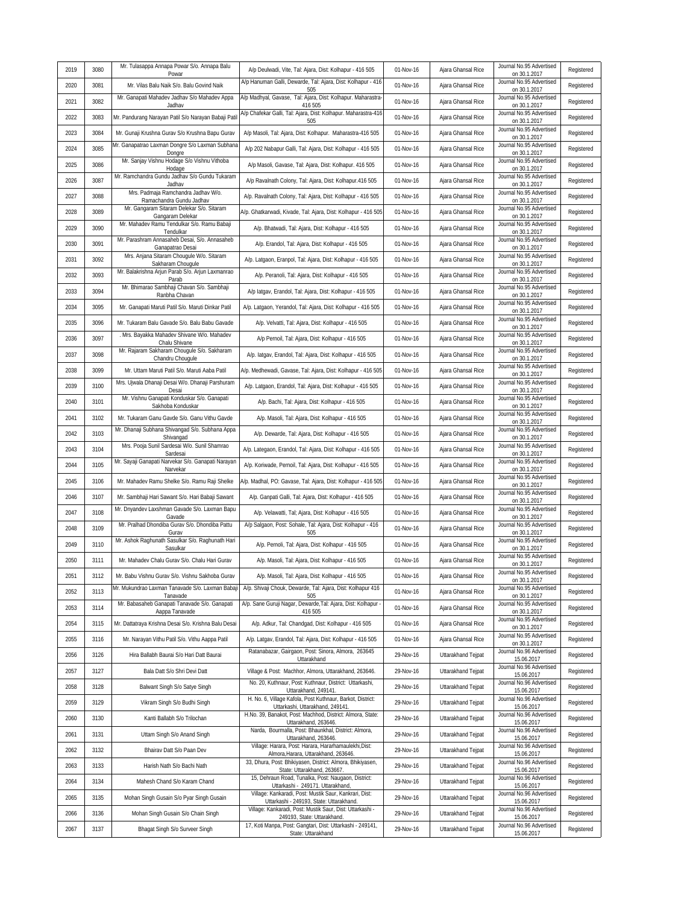|      |      | Mr. Tulasappa Annapa Powar S/o. Annapa Balu                                                        |                                                                                                                          |           |                    | Journal No.95 Advertised                 |            |
|------|------|----------------------------------------------------------------------------------------------------|--------------------------------------------------------------------------------------------------------------------------|-----------|--------------------|------------------------------------------|------------|
| 2019 | 3080 | Powar                                                                                              | A/p Deulwadi, Vite, Tal: Ajara, Dist: Kolhapur - 416 505<br>A/p Hanuman Galli, Dewarde, Tal: Ajara, Dist: Kolhapur - 416 | 01-Nov-16 | Ajara Ghansal Rice | on 30.1.2017<br>Journal No.95 Advertised | Registered |
| 2020 | 3081 | Mr. Vilas Balu Naik S/o. Balu Govind Naik<br>Mr. Ganapati Mahadev Jadhav S/o Mahadev Appa          | 505<br>A/p Madhyal, Gavase, Tal: Ajara, Dist: Kolhapur. Maharastra-                                                      | 01-Nov-16 | Ajara Ghansal Rice | on 30.1.2017<br>Journal No.95 Advertised | Registered |
| 2021 | 3082 | Jadhav                                                                                             | 416 505<br>A/p Chafekar Galli, Tal: Ajara, Dist: Kolhapur. Maharastra-416                                                | 01-Nov-16 | Ajara Ghansal Rice | on 30.1.2017<br>Journal No.95 Advertised | Registered |
| 2022 | 3083 | Mr. Pandurang Narayan Patil S/o Narayan Babaji Pati                                                | 505                                                                                                                      | 01-Nov-16 | Ajara Ghansal Rice | on 30.1.2017<br>Journal No.95 Advertised | Registered |
| 2023 | 3084 | Mr. Gunaji Krushna Gurav S/o Krushna Bapu Gurav<br>Mr. Ganapatrao Laxman Dongre S/o Laxman Subhana | A/p Masoli, Tal: Ajara, Dist: Kolhapur. Maharastra-416 505                                                               | 01-Nov-16 | Ajara Ghansal Rice | on 30.1.2017<br>Journal No.95 Advertised | Registered |
| 2024 | 3085 | Dongre<br>Mr. Sanjay Vishnu Hodage S/o Vishnu Vithoba                                              | A/p 202 Nabapur Galli, Tal: Ajara, Dist: Kolhapur - 416 505                                                              | 01-Nov-16 | Ajara Ghansal Rice | on 30.1.2017<br>Journal No.95 Advertised | Registered |
| 2025 | 3086 | Hodage<br>Mr. Ramchandra Gundu Jadhav S/o Gundu Tukaram                                            | A/p Masoli, Gavase, Tal: Ajara, Dist: Kolhapur. 416 505                                                                  | 01-Nov-16 | Ajara Ghansal Rice | on 30.1.2017<br>Journal No.95 Advertised | Registered |
| 2026 | 3087 | Jadhav                                                                                             | A/p Ravalnath Colony, Tal: Ajara, Dist: Kolhapur.416 505                                                                 | 01-Nov-16 | Ajara Ghansal Rice | on 30.1.2017                             | Registered |
| 2027 | 3088 | Mrs. Padmaja Ramchandra Jadhav W/o.<br>Ramachandra Gundu Jadhav                                    | A/p. Ravalnath Colony, Tal: Ajara, Dist: Kolhapur - 416 505                                                              | 01-Nov-16 | Ajara Ghansal Rice | Journal No.95 Advertised<br>on 30.1.2017 | Registered |
| 2028 | 3089 | Mr. Gangaram Sitaram Delekar S/o. Sitaram<br>Gangaram Delekar                                      | A/p. Ghatkarwadi, Kivade, Tal: Ajara, Dist: Kolhapur - 416 505                                                           | 01-Nov-16 | Ajara Ghansal Rice | Journal No.95 Advertised<br>on 30.1.2017 | Registered |
| 2029 | 3090 | Mr. Mahadev Ramu Tendulkar S/o. Ramu Babaji<br>Tendulkar                                           | A/p. Bhatwadi, Tal: Ajara, Dist: Kolhapur - 416 505                                                                      | 01-Nov-16 | Ajara Ghansal Rice | Journal No.95 Advertised<br>on 30.1.2017 | Registered |
| 2030 | 3091 | Mr. Parashram Annasaheb Desai, S/o. Annasaheb<br>Ganapatrao Desai                                  | A/p. Erandol, Tal: Ajara, Dist: Kolhapur - 416 505                                                                       | 01-Nov-16 | Ajara Ghansal Rice | Journal No.95 Advertised<br>on 30.1.2017 | Registered |
| 2031 | 3092 | Mrs. Anjana Sitaram Chougule W/o. Sitaram<br>Sakharam Chougule                                     | A/p. Latgaon, Eranpol, Tal: Ajara, Dist: Kolhapur - 416 505                                                              | 01-Nov-16 | Ajara Ghansal Rice | Journal No.95 Advertised<br>on 30.1.2017 | Registered |
| 2032 | 3093 | Mr. Balakrishna Arjun Parab S/o. Arjun Laxmanrao<br>Parab                                          | A/p. Peranoli, Tal: Ajara, Dist: Kolhapur - 416 505                                                                      | 01-Nov-16 | Ajara Ghansal Rice | Journal No.95 Advertised<br>on 30.1.2017 | Registered |
| 2033 | 3094 | Mr. Bhimarao Sambhaji Chavan S/o. Sambhaji<br>Ranbha Chavan                                        | A/p latgav, Erandol, Tal: Ajara, Dist: Kolhapur - 416 505                                                                | 01-Nov-16 | Ajara Ghansal Rice | Journal No.95 Advertised<br>on 30.1.2017 | Registered |
| 2034 | 3095 | Mr. Ganapati Maruti Patil S/o. Maruti Dinkar Patil                                                 | A/p. Latgaon, Yerandol, Tal: Ajara, Dist: Kolhapur - 416 505                                                             | 01-Nov-16 | Ajara Ghansal Rice | Journal No.95 Advertised<br>on 30.1.2017 | Registered |
| 2035 | 3096 | Mr. Tukaram Balu Gavade S/o. Balu Babu Gavade                                                      | A/p. Velvatti, Tal: Ajara, Dist: Kolhapur - 416 505                                                                      | 01-Nov-16 | Ajara Ghansal Rice | Journal No.95 Advertised<br>on 30.1.2017 | Registered |
| 2036 | 3097 | Mrs. Bayakka Mahadev Shivane W/o. Mahadev<br>Chalu Shivane                                         | A/p Pernoil, Tal: Ajara, Dist: Kolhapur - 416 505                                                                        | 01-Nov-16 | Ajara Ghansal Rice | Journal No.95 Advertised<br>on 30.1.2017 | Registered |
| 2037 | 3098 | Mr. Rajaram Sakharam Chougule S/o. Sakharam<br>Chandru Chougule                                    | A/p. latgav, Erandol, Tal: Ajara, Dist: Kolhapur - 416 505                                                               | 01-Nov-16 | Ajara Ghansal Rice | Journal No.95 Advertised<br>on 30.1.2017 | Registered |
| 2038 | 3099 | Mr. Uttam Maruti Patil S/o. Maruti Aaba Patil                                                      | A/p. Medhewadi, Gavase, Tal: Ajara, Dist: Kolhapur - 416 505                                                             | 01-Nov-16 | Ajara Ghansal Rice | Journal No.95 Advertised<br>on 30.1.2017 | Registered |
| 2039 | 3100 | Mrs. Ujwala Dhanaji Desai W/o. Dhanaji Parshuram<br>Desai                                          | A/p. Latgaon, Erandol, Tal: Ajara, Dist: Kolhapur - 416 505                                                              | 01-Nov-16 | Ajara Ghansal Rice | Journal No.95 Advertised<br>on 30.1.2017 | Registered |
| 2040 | 3101 | Mr. Vishnu Ganapati Konduskar S/o. Ganapati<br>Sakhoba Konduskar                                   | A/p. Bachi, Tal: Ajara, Dist: Kolhapur - 416 505                                                                         | 01-Nov-16 | Ajara Ghansal Rice | Journal No.95 Advertised<br>on 30.1.2017 | Registered |
| 2041 | 3102 | Mr. Tukaram Ganu Gavde S/o. Ganu Vithu Gavde                                                       | A/p. Masoli, Tal: Ajara, Dist: Kolhapur - 416 505                                                                        | 01-Nov-16 | Ajara Ghansal Rice | Journal No.95 Advertised<br>on 30.1.2017 | Registered |
| 2042 | 3103 | Mr. Dhanaji Subhana Shivangad S/o. Subhana Appa<br>Shivangad                                       | A/p. Dewarde, Tal: Ajara, Dist: Kolhapur - 416 505                                                                       | 01-Nov-16 | Ajara Ghansal Rice | Journal No.95 Advertised<br>on 30.1.2017 | Registered |
| 2043 | 3104 | Mrs. Pooja Sunil Sardesai W/o. Sunil Shamrao<br>Sardesai                                           | A/p. Lategaon, Erandol, Tal: Ajara, Dist: Kolhapur - 416 505                                                             | 01-Nov-16 | Ajara Ghansal Rice | Journal No.95 Advertised<br>on 30.1.2017 | Registered |
| 2044 | 3105 | Mr. Sayaji Ganapati Narvekar S/o. Ganapati Narayan<br>Narvekar                                     | A/p. Koriwade, Pernoil, Tal: Ajara, Dist: Kolhapur - 416 505                                                             | 01-Nov-16 | Ajara Ghansal Rice | Journal No.95 Advertised<br>on 30.1.2017 | Registered |
| 2045 | 3106 | Mr. Mahadev Ramu Shelke S/o. Ramu Raji Shelke                                                      | A/p. Madhal, PO: Gavase, Tal: Ajara, Dist: Kolhapur - 416 505                                                            | 01-Nov-16 | Ajara Ghansal Rice | Journal No.95 Advertised<br>on 30.1.2017 | Registered |
| 2046 | 3107 | Mr. Sambhaji Hari Sawant S/o. Hari Babaji Sawant                                                   | A/p. Ganpati Galli, Tal: Ajara, Dist: Kolhapur - 416 505                                                                 | 01-Nov-16 | Ajara Ghansal Rice | Journal No.95 Advertised<br>on 30.1.2017 | Registered |
| 2047 | 3108 | Mr. Dnyandev Laxshman Gavade S/o. Laxman Bapu<br>Gavade                                            | A/p. Velawatti, Tal; Ajara, Dist: Kolhapur - 416 505                                                                     | 01-Nov-16 | Ajara Ghansal Rice | Journal No.95 Advertised<br>on 30.1.2017 | Registered |
| 2048 | 3109 | Mr. Pralhad Dhondiba Gurav S/o. Dhondiba Pattu<br>Gurav                                            | A/p Salgaon, Post: Sohale, Tal: Ajara, Dist: Kolhapur - 416<br>505                                                       | 01-Nov-16 | Ajara Ghansal Rice | Journal No.95 Advertised<br>on 30.1.2017 | Registered |
| 2049 | 3110 | Mr. Ashok Raghunath Sasulkar S/o. Raghunath Hari<br>Sasulkar                                       | A/p. Pernoli, Tal: Ajara, Dist: Kolhapur - 416 505                                                                       | 01-Nov-16 | Ajara Ghansal Rice | Journal No.95 Advertised                 | Registered |
| 2050 | 3111 | Mr. Mahadev Chalu Gurav S/o. Chalu Hari Gurav                                                      | A/p. Masoli, Tal: Ajara, Dist: Kolhapur - 416 505                                                                        | 01-Nov-16 | Ajara Ghansal Rice | on 30.1.2017<br>Journal No.95 Advertised | Registered |
| 2051 | 3112 | Mr. Babu Vishnu Gurav S/o. Vishnu Sakhoba Gurav                                                    | A/p. Masoli, Tal: Ajara, Dist: Kolhapur - 416 505                                                                        | 01-Nov-16 | Ajara Ghansal Rice | on 30.1.2017<br>Journal No.95 Advertised | Registered |
| 2052 | 3113 | Mr. Mukundrao Laxman Tanavade S/o. Laxman Babaji                                                   | A/p. Shivaji Chouk, Dewarde, Tal: Ajara, Dist: Kolhapur 416                                                              | 01-Nov-16 | Ajara Ghansal Rice | on 30.1.2017<br>Journal No.95 Advertised | Registered |
| 2053 | 3114 | Tanavade<br>Mr. Babasaheb Ganapati Tanavade S/o. Ganapati                                          | 505<br>A/p. Sane Guruji Nagar, Dewarde, Tal: Ajara, Dist: Kolhapur -                                                     | 01-Nov-16 | Ajara Ghansal Rice | on 30.1.2017<br>Journal No.95 Advertised | Registered |
| 2054 | 3115 | Aappa Tanavade<br>Mr. Dattatraya Krishna Desai S/o. Krishna Balu Desai                             | 416 505<br>A/p. Adkur, Tal: Chandgad, Dist: Kolhapur - 416 505                                                           | 01-Nov-16 | Ajara Ghansal Rice | on 30.1.2017<br>Journal No.95 Advertised | Registered |
| 2055 | 3116 | Mr. Narayan Vithu Patil S/o. Vithu Aappa Patil                                                     | A/p. Latgav, Erandol, Tal: Ajara, Dist: Kolhapur - 416 505                                                               | 01-Nov-16 | Ajara Ghansal Rice | on 30.1.2017<br>Journal No.95 Advertised | Registered |
| 2056 | 3126 | Hira Ballabh Baurai S/o Hari Datt Baurai                                                           | Ratanabazar, Gairgaon, Post: Sinora, Almora, 263645                                                                      | 29-Nov-16 | Uttarakhand Tejpat | on 30.1.2017<br>Journal No.96 Advertised | Registered |
| 2057 | 3127 | Bala Datt S/o Shri Devi Datt                                                                       | Uttarakhand<br>Village & Post: Machhor, Almora, Uttarakhand, 263646.                                                     | 29-Nov-16 | Uttarakhand Tejpat | 15.06.2017<br>Journal No.96 Advertised   | Registered |
| 2058 | 3128 | Balwant Singh S/o Satye Singh                                                                      | No. 20, Kuthnaur, Post: Kuthnaur, District: Uttarkashi,                                                                  | 29-Nov-16 | Uttarakhand Tejpat | 15.06.2017<br>Journal No.96 Advertised   | Registered |
| 2059 | 3129 | Vikram Singh S/o Budhi Singh                                                                       | Uttarakhand, 249141.<br>H. No. 6, Village Kafola, Post Kuthnaur, Barkot, District:                                       | 29-Nov-16 | Uttarakhand Tejpat | 15.06.2017<br>Journal No.96 Advertised   | Registered |
| 2060 | 3130 | Kanti Ballabh S/o Trilochan                                                                        | Uttarkashi, Uttarakhand, 249141.<br>H.No. 39, Banakot, Post: Machhod, District: Almora, State:                           | 29-Nov-16 | Uttarakhand Tejpat | 15.06.2017<br>Journal No.96 Advertised   | Registered |
| 2061 | 3131 | Uttam Singh S/o Anand Singh                                                                        | Uttarakhand, 263646.<br>Narda, Bourmalla, Post: Bhaunkhal, District: Almora,                                             | 29-Nov-16 | Uttarakhand Tejpat | 15.06.2017<br>Journal No.96 Advertised   | Registered |
| 2062 | 3132 | Bhairav Datt S/o Paan Dev                                                                          | Uttarakhand, 263646.<br>Village: Harara, Post: Harara, Hararhamaulekhi, Dist:                                            | 29-Nov-16 | Uttarakhand Tejpat | 15.06.2017<br>Journal No.96 Advertised   | Registered |
| 2063 | 3133 | Harish Nath S/o Bachi Nath                                                                         | Almora, Harara, Uttarakhand, 263646.<br>33, Dhura, Post: Bhikiyasen, District: Almora, Bhikiyasen,                       | 29-Nov-16 | Uttarakhand Tejpat | 15.06.2017<br>Journal No.96 Advertised   | Registered |
| 2064 | 3134 | Mahesh Chand S/o Karam Chand                                                                       | State: Uttarakhand, 263667.<br>15, Dehraun Road, Tunalka, Post: Naugaon, District:                                       | 29-Nov-16 | Uttarakhand Tejpat | 15.06.2017<br>Journal No.96 Advertised   | Registered |
| 2065 | 3135 |                                                                                                    | Uttarkashi - 249171. Uttarakhand,<br>Village: Kankaradi, Post: Mustik Saur, Kankrari, Dist:                              | 29-Nov-16 | Uttarakhand Tejpat | 15.06.2017<br>Journal No.96 Advertised   | Registered |
|      |      | Mohan Singh Gusain S/o Pyar Singh Gusain                                                           | Uttarkashi - 249193, State: Uttarakhand.<br>Village: Kankaradi, Post: Mustik Saur, Dist: Uttarkashi -                    |           | Uttarakhand Tejpat | 15.06.2017<br>Journal No.96 Advertised   | Registered |
| 2066 | 3136 | Mohan Singh Gusain S/o Chain Singh                                                                 | 249193, State: Uttarakhand.<br>17, Koti Manpa, Post: Gangtari, Dist: Uttarkashi - 249141,                                | 29-Nov-16 |                    | 15.06.2017<br>Journal No.96 Advertised   |            |
| 2067 | 3137 | Bhagat Singh S/o Surveer Singh                                                                     | State: Uttarakhand                                                                                                       | 29-Nov-16 | Uttarakhand Tejpat | 15.06.2017                               | Registered |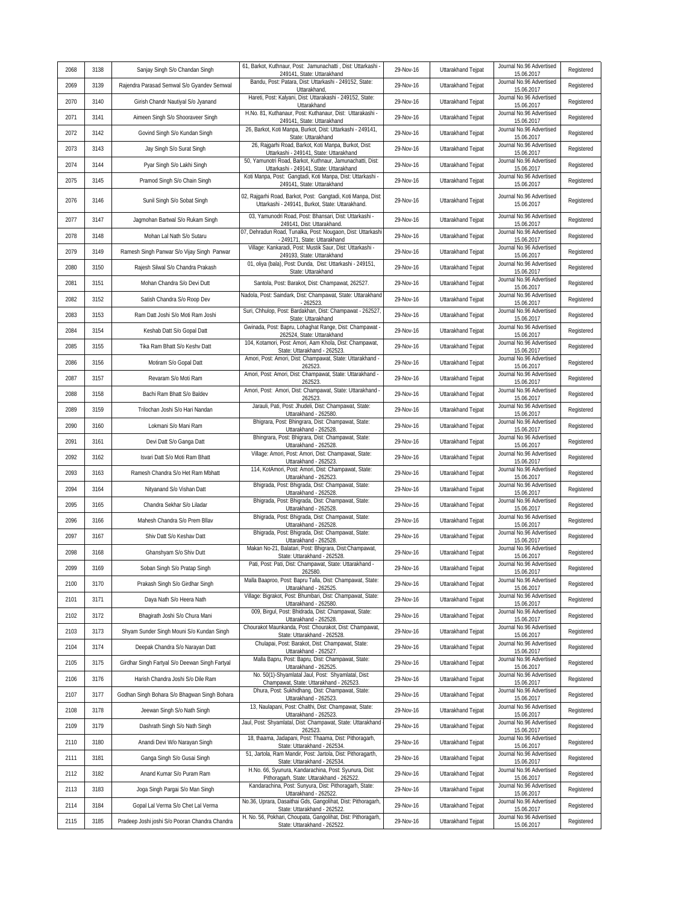| 2068 | 3138 | Sanjay Singh S/o Chandan Singh                 | 61, Barkot, Kuthnaur, Post: Jamunachatti, Dist: Uttarkashi -<br>249141, State: Uttarakhand                       | 29-Nov-16 | Uttarakhand Tejpat | Journal No.96 Advertised<br>15.06.2017 | Registered |
|------|------|------------------------------------------------|------------------------------------------------------------------------------------------------------------------|-----------|--------------------|----------------------------------------|------------|
| 2069 | 3139 | Rajendra Parasad Semwal S/o Gyandev Semwal     | Bandu, Post: Patara, Dist: Uttarkashi - 249152, State:<br>Uttarakhand                                            | 29-Nov-16 | Uttarakhand Tejpat | Journal No.96 Advertised<br>15.06.2017 | Registered |
| 2070 | 3140 | Girish Chandr Nautiyal S/o Jyanand             | Hareti, Post: Kalyani, Dist: Uttarakashi - 249152, State:<br>Uttarakhand                                         | 29-Nov-16 | Uttarakhand Tejpat | Journal No.96 Advertised<br>15.06.2017 | Registered |
| 2071 | 3141 | Aimeen Singh S/o Shooraveer Singh              | H.No. 81, Kuthanaur, Post: Kuthanaur, Dist: Uttarakashi<br>249141, State: Uttarakhand                            | 29-Nov-16 | Uttarakhand Tejpat | Journal No.96 Advertised<br>15.06.2017 | Registered |
| 2072 | 3142 | Govind Singh S/o Kundan Singh                  | 26, Barkot, Koti Manpa, Burkot, Dist: Uttarkashi - 249141,<br>State: Uttarakhand                                 | 29-Nov-16 | Uttarakhand Tejpat | Journal No.96 Advertised<br>15.06.2017 | Registered |
| 2073 | 3143 | Jay Singh S/o Surat Singh                      | 26, Rajgarhi Road, Barkot, Koti Manpa, Burkot, Dist:<br>Uttarkashi - 249141, State: Uttarakhand                  | 29-Nov-16 | Uttarakhand Tejpat | Journal No.96 Advertised<br>15.06.2017 | Registered |
| 2074 | 3144 | Pyar Singh S/o Lakhi Singh                     | 50, Yamunotri Road, Barkot, Kuthnaur, Jamunachatti, Dist:<br>Uttarkashi - 249141, State: Uttarakhand             | 29-Nov-16 | Uttarakhand Tejpat | Journal No.96 Advertised<br>15.06.2017 | Registered |
| 2075 | 3145 | Pramod Singh S/o Chain Singh                   | Koti Manpa, Post: Gangtadi, Koti Manpa, Dist: Uttarkashi -<br>249141, State: Uttarakhand                         | 29-Nov-16 | Uttarakhand Tejpat | Journal No.96 Advertised<br>15.06.2017 | Registered |
| 2076 | 3146 | Sunil Singh S/o Sobat Singh                    | 02, Rajgarhi Road, Barkot, Post: Gangtadi, Koti Manpa, Dist:<br>Uttarkashi - 249141, Burkot, State: Uttarakhand. | 29-Nov-16 | Uttarakhand Tejpat | Journal No.96 Advertised<br>15.06.2017 | Registered |
| 2077 | 3147 | Jagmohan Bartwal S/o Rukam Singh               | 03, Yamunodri Road, Post: Bhansari, Dist: Uttarkashi -<br>249141, Dist: Uttarakhand                              | 29-Nov-16 | Uttarakhand Tejpat | Journal No.96 Advertised<br>15.06.2017 | Registered |
| 2078 | 3148 | Mohan Lal Nath S/o Sutaru                      | 07, Dehradun Road, Tunalka, Post: Nougaon, Dist: Uttarkashi<br>- 249171, State: Uttarakhand                      | 29-Nov-16 | Uttarakhand Tejpat | Journal No.96 Advertised<br>15.06.2017 | Registered |
| 2079 | 3149 | Ramesh Singh Panwar S/o Vijay Singh Panwar     | Village: Kankaradi, Post: Mustik Saur, Dist: Uttarkashi -<br>249193, State: Uttarakhand                          | 29-Nov-16 | Uttarakhand Tejpat | Journal No.96 Advertised<br>15.06.2017 | Registered |
| 2080 | 3150 | Rajesh Silwal S/o Chandra Prakash              | 01, oliya (bala), Post: Dunda, Dist: Uttarkashi - 249151,<br>State: Uttarakhand                                  | 29-Nov-16 | Uttarakhand Tejpat | Journal No.96 Advertised<br>15.06.2017 | Registered |
| 2081 | 3151 | Mohan Chandra S/o Devi Dutt                    | Santola, Post: Barakot, Dist: Champawat, 262527.                                                                 | 29-Nov-16 | Uttarakhand Tejpat | Journal No.96 Advertised<br>15.06.2017 | Registered |
| 2082 | 3152 | Satish Chandra S/o Roop Dev                    | Nadola, Post: Saindark, Dist: Champawat, State: Uttarakhand<br>$-262523$                                         | 29-Nov-16 | Uttarakhand Tejpat | Journal No.96 Advertised<br>15.06.2017 | Registered |
| 2083 | 3153 | Ram Datt Joshi S/o Moti Ram Joshi              | Suri, Chhulop, Post: Bardakhan, Dist: Champawat - 262527<br>State: Uttarakhand                                   | 29-Nov-16 | Uttarakhand Tejpat | Journal No.96 Advertised<br>15.06.2017 | Registered |
| 2084 | 3154 | Keshab Datt S/o Gopal Datt                     | Gwinada, Post: Bapru, Lohaghat Range, Dist: Champawat -<br>262524, State: Uttarakhand                            | 29-Nov-16 | Uttarakhand Tejpat | Journal No.96 Advertised<br>15.06.2017 | Registered |
| 2085 | 3155 | Tika Ram Bhatt S/o Keshv Datt                  | 104, Kotamori, Post: Amori, Aam Khola, Dist: Champawat,<br>State: Uttarakhand - 262523                           | 29-Nov-16 | Uttarakhand Tejpat | Journal No.96 Advertised<br>15.06.2017 | Registered |
| 2086 | 3156 | Motiram S/o Gopal Datt                         | Amori, Post: Amori, Dist: Champawat, State: Uttarakhand -<br>262523                                              | 29-Nov-16 | Uttarakhand Tejpat | Journal No.96 Advertised<br>15.06.2017 | Registered |
| 2087 | 3157 | Revaram S/o Moti Ram                           | Amori, Post: Amori, Dist: Champawat, State: Uttarakhand -<br>262523                                              | 29-Nov-16 | Uttarakhand Tejpat | Journal No.96 Advertised<br>15.06.2017 | Registered |
| 2088 | 3158 | Bachi Ram Bhatt S/o Baldev                     | Amori, Post: Amori, Dist: Champawat, State: Uttarakhand -<br>262523                                              | 29-Nov-16 | Uttarakhand Tejpat | Journal No.96 Advertised<br>15.06.2017 | Registered |
| 2089 | 3159 | Trilochan Joshi S/o Hari Nandan                | Jarauli, Pati, Post: Jhudeli, Dist: Champawat, State:<br>Uttarakhand - 262580.                                   | 29-Nov-16 | Uttarakhand Tejpat | Journal No.96 Advertised<br>15.06.2017 | Registered |
| 2090 | 3160 | Lokmani S/o Mani Ram                           | Bhigrara, Post: Bhingrara, Dist: Champawat, State:<br>Uttarakhand - 262528.                                      | 29-Nov-16 | Uttarakhand Tejpat | Journal No.96 Advertised<br>15.06.2017 | Registered |
| 2091 | 3161 | Devi Datt S/o Ganga Datt                       | Bhingrara, Post: Bhigrara, Dist: Champawat, State:<br>Uttarakhand - 262528.                                      | 29-Nov-16 | Uttarakhand Tejpat | Journal No.96 Advertised<br>15.06.2017 | Registered |
| 2092 | 3162 | Isvari Datt S/o Moti Ram Bhatt                 | Village: Amori, Post: Amori, Dist: Champawat, State:<br>Uttarakhand - 262523.                                    | 29-Nov-16 | Uttarakhand Tejpat | Journal No.96 Advertised<br>15.06.2017 | Registered |
| 2093 | 3163 | Ramesh Chandra S/o Het Ram Mbhatt              | 114, KotAmori, Post: Amori, Dist: Champawat, State:<br>Uttarakhand - 262523.                                     | 29-Nov-16 | Uttarakhand Tejpat | Journal No.96 Advertised<br>15.06.2017 | Registered |
| 2094 | 3164 | Nityanand S/o Vishan Datt                      | Bhigrada, Post: Bhigrada, Dist: Champawat, State:<br>Uttarakhand - 262528.                                       | 29-Nov-16 | Uttarakhand Tejpat | Journal No.96 Advertised<br>15.06.2017 | Registered |
| 2095 | 3165 | Chandra Sekhar S/o Liladar                     | Bhigrada, Post: Bhigrada, Dist: Champawat, State:<br>Uttarakhand - 262528.                                       | 29-Nov-16 | Uttarakhand Tejpat | Journal No.96 Advertised<br>15.06.2017 | Registered |
| 2096 | 3166 | Mahesh Chandra S/o Prem Bllav                  | Bhigrada, Post: Bhigrada, Dist: Champawat, State:<br>Uttarakhand - 262528.                                       | 29-Nov-16 | Uttarakhand Tejpat | Journal No.96 Advertised<br>15.06.2017 | Registered |
| 2097 | 3167 | Shiv Datt S/o Keshav Datt                      | Bhigrada, Post: Bhigrada, Dist: Champawat, State:<br>Uttarakhand - 262528.                                       | 29-Nov-16 | Uttarakhand Tejpat | Journal No.96 Advertised<br>15.06.2017 | Registered |
| 2098 | 3168 | Ghanshyam S/o Shiv Dutt                        | Makan No-21, Balatari, Post: Bhigrara, Dist:Champawat,<br>State: Uttarakhand - 262528.                           | 29-Nov-16 | Uttarakhand Tejpat | Journal No.96 Advertised<br>15.06.2017 | Registered |
| 2099 | 3169 | Soban Singh S/o Pratap Singh                   | Pati, Post: Pati, Dist: Champawat, State: Uttarakhand -<br>262580                                                | 29-Nov-16 | Uttarakhand Tejpat | Journal No.96 Advertised<br>15.06.2017 | Registered |
| 2100 | 3170 | Prakash Singh S/o Girdhar Singh                | Malla Baaproo, Post: Bapru Talla, Dist: Champawat, State:<br>Uttarakhand - 262525.                               | 29-Nov-16 | Uttarakhand Tejpat | Journal No.96 Advertised<br>15.06.2017 | Registered |
| 2101 | 3171 | Daya Nath S/o Heera Nath                       | Village: Bigrakot, Post: Bhumbari, Dist: Champawat, State:<br>Uttarakhand - 262580.                              | 29-Nov-16 | Uttarakhand Tejpat | Journal No.96 Advertised<br>15.06.2017 | Registered |
| 2102 | 3172 | Bhagirath Joshi S/o Chura Mani                 | 009, Birgul, Post: Bhidrada, Dist: Champawat, State:<br>Uttarakhand - 262528.                                    | 29-Nov-16 | Uttarakhand Tejpat | Journal No.96 Advertised<br>15.06.2017 | Registered |
| 2103 | 3173 | Shyam Sunder Singh Mouni S/o Kundan Singh      | Chourakot Maunkanda, Post: Chourakot, Dist: Champawat,<br>State: Uttarakhand - 262528.                           | 29-Nov-16 | Uttarakhand Tejpat | Journal No.96 Advertised<br>15.06.2017 | Registered |
| 2104 | 3174 | Deepak Chandra S/o Narayan Datt                | Chulapai, Post: Barakot, Dist: Champawat, State:<br>Uttarakhand - 262527.                                        | 29-Nov-16 | Uttarakhand Tejpat | Journal No.96 Advertised<br>15.06.2017 | Registered |
| 2105 | 3175 | Girdhar Singh Fartyal S/o Deewan Singh Fartyal | Malla Bapru, Post: Bapru, Dist: Champawat, State:<br>Uttarakhand - 262525                                        | 29-Nov-16 | Uttarakhand Tejpat | Journal No.96 Advertised<br>15.06.2017 | Registered |
| 2106 | 3176 | Harish Chandra Joshi S/o Dile Ram              | No. 50(1)-Shyamlatal Jaul, Post: Shyamlatal, Dist:<br>Champawat, State: Uttarakhand - 262523                     | 29-Nov-16 | Uttarakhand Tejpat | Journal No.96 Advertised<br>15.06.2017 | Registered |
| 2107 | 3177 | Godhan Singh Bohara S/o Bhagwan Singh Bohara   | Dhura, Post: Sukhidhang, Dist: Champawat, State:<br>Uttarakhand - 262523.                                        | 29-Nov-16 | Uttarakhand Tejpat | Journal No.96 Advertised<br>15.06.2017 | Registered |
| 2108 | 3178 | Jeewan Singh S/o Nath Singh                    | 13, Naulapani, Post: Chalthi, Dist: Champawat, State:<br>Uttarakhand - 262523                                    | 29-Nov-16 | Uttarakhand Tejpat | Journal No.96 Advertised<br>15.06.2017 | Registered |
| 2109 | 3179 | Dashrath Singh S/o Nath Singh                  | Jaul, Post: Shyamlatal, Dist: Champawat, State: Uttarakhand<br>262523                                            | 29-Nov-16 | Uttarakhand Tejpat | Journal No.96 Advertised<br>15.06.2017 | Registered |
| 2110 | 3180 | Anandi Devi W/o Narayan Singh                  | 18, thaama, Jadapani, Post: Thaama, Dist: Pithoragarh,<br>State: Uttarakhand - 262534.                           | 29-Nov-16 | Uttarakhand Tejpat | Journal No.96 Advertised<br>15.06.2017 | Registered |
| 2111 | 3181 | Ganga Singh S/o Gusai Singh                    | 51, Jartola, Ram Mandir, Post: Jartola, Dist: Pithoragarth,<br>State: Uttarakhand - 262534.                      | 29-Nov-16 | Uttarakhand Tejpat | Journal No.96 Advertised<br>15.06.2017 | Registered |
| 2112 | 3182 | Anand Kumar S/o Puram Ram                      | H.No. 66, Syunura, Kandarachina, Post: Syunura, Dist:<br>Pithoragarh, State: Uttarakhand - 262522.               | 29-Nov-16 | Uttarakhand Tejpat | Journal No.96 Advertised<br>15.06.2017 | Registered |
| 2113 | 3183 | Joga Singh Pargai S/o Man Singh                | Kandarachina, Post: Sunyura, Dist: Pithoragarh, State:<br>Uttarakhand - 262522.                                  | 29-Nov-16 | Uttarakhand Tejpat | Journal No.96 Advertised<br>15.06.2017 | Registered |
| 2114 | 3184 | Gopal Lal Verma S/o Chet Lal Verma             | No.36, Uprara, Dasaithai Gds, Gangolihat, Dist: Pithoragarh,<br>State: Uttarakhand - 262522.                     | 29-Nov-16 | Uttarakhand Tejpat | Journal No.96 Advertised<br>15.06.2017 | Registered |
| 2115 | 3185 | Pradeep Joshi joshi S/o Pooran Chandra Chandra | H. No. 56, Pokhari, Choupata, Gangolihat, Dist: Pithoragarh,<br>State: Uttarakhand - 262522.                     | 29-Nov-16 | Uttarakhand Tejpat | Journal No.96 Advertised<br>15.06.2017 | Registered |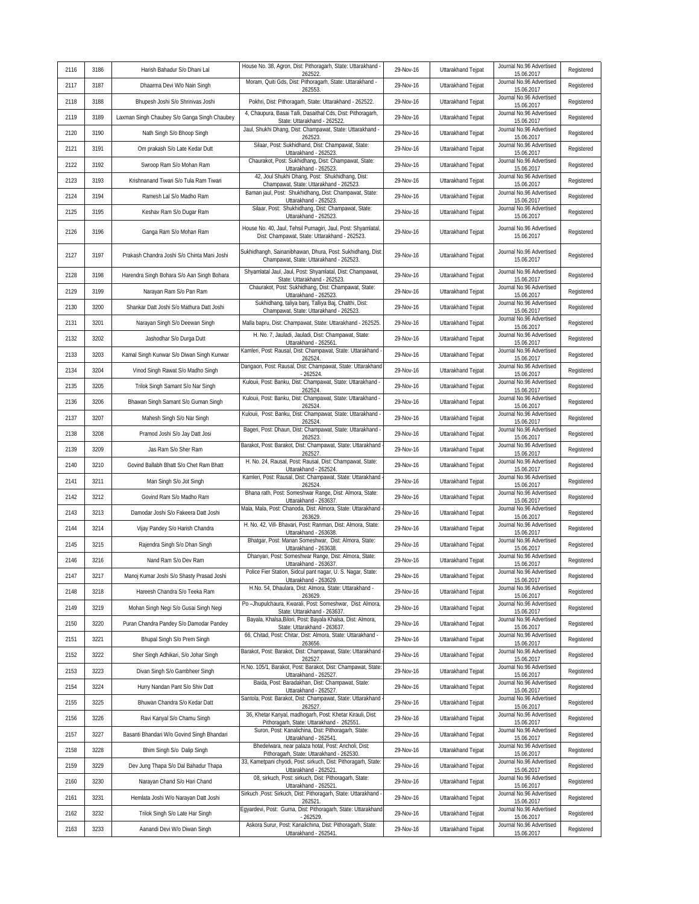| 2116 | 3186 | Harish Bahadur S/o Dhani Lal                 | House No. 38, Agron, Dist: Pithoragarh, State: Uttarakhand -<br>262522                                         | 29-Nov-16 | Uttarakhand Tejpat | Journal No.96 Advertised<br>15.06.2017 | Registered |
|------|------|----------------------------------------------|----------------------------------------------------------------------------------------------------------------|-----------|--------------------|----------------------------------------|------------|
| 2117 | 3187 | Dhaarma Devi W/o Nain Singh                  | Moram, Quiti Gds, Dist: Pithoragarh, State: Uttarakhand -<br>262553                                            | 29-Nov-16 | Uttarakhand Tejpat | Journal No.96 Advertised<br>15.06.2017 | Registered |
| 2118 | 3188 | Bhupesh Joshi S/o Shrinivas Joshi            | Pokhri, Dist: Pithoragarh, State: Uttarakhand - 262522.                                                        | 29-Nov-16 | Uttarakhand Tejpat | Journal No.96 Advertised<br>15.06.2017 | Registered |
| 2119 | 3189 | Laxman Singh Chaubey S/o Ganga Singh Chaubey | 4, Chaupura, Basai Talli, Dasaithal Cds, Dist: Pithoragarh,<br>State: Uttarakhand - 262522.                    | 29-Nov-16 | Uttarakhand Tejpat | Journal No.96 Advertised<br>15.06.2017 | Registered |
| 2120 | 3190 | Nath Singh S/o Bhoop Singh                   | Jaul, Shukhi Dhang, Dist: Champawat, State: Uttarakhand -<br>262523                                            | 29-Nov-16 | Uttarakhand Tejpat | Journal No.96 Advertised<br>15.06.2017 | Registered |
| 2121 | 3191 | Om prakash S/o Late Kedar Dutt               | Silaar, Post: Sukhidhand, Dist: Champawat, State:<br>Uttarakhand - 262523.                                     | 29-Nov-16 | Uttarakhand Tejpat | Journal No.96 Advertised<br>15.06.2017 | Registered |
| 2122 | 3192 | Swroop Ram S/o Mohan Ram                     | Chaurakot, Post: Sukhidhang, Dist: Champawat, State:<br>Uttarakhand - 262523.                                  | 29-Nov-16 | Uttarakhand Tejpat | Journal No.96 Advertised<br>15.06.2017 | Registered |
| 2123 | 3193 | Krishnanand Tiwari S/o Tula Ram Tiwari       | 42, Joul Shukhi Dhang, Post: Shukhidhang, Dist:<br>Champawat, State: Uttarakhand - 262523.                     | 29-Nov-16 | Uttarakhand Tejpat | Journal No.96 Advertised<br>15.06.2017 | Registered |
| 2124 | 3194 | Ramesh Lal S/o Madho Ram                     | Baman jaul, Post: Shukhidhang, Dist: Champawat, State:<br>Uttarakhand - 262523                                 | 29-Nov-16 | Uttarakhand Tejpat | Journal No.96 Advertised<br>15.06.2017 | Registered |
| 2125 | 3195 | Keshav Ram S/o Dugar Ram                     | Silaar, Post: Shukhidhang, Dist: Champawat, State:<br>Uttarakhand - 262523                                     | 29-Nov-16 | Uttarakhand Tejpat | Journal No.96 Advertised<br>15.06.2017 | Registered |
| 2126 | 3196 | Ganga Ram S/o Mohan Ram                      | House No. 40, Jaul, Tehsil Purnagiri, Jaul, Post: Shyamlatal,<br>Dist: Champawat, State: Uttarakhand - 262523. | 29-Nov-16 | Uttarakhand Tejpat | Journal No.96 Advertised<br>15.06.2017 | Registered |
| 2127 | 3197 | Prakash Chandra Joshi S/o Chinta Mani Joshi  | Sukhidhangh, Sainanibhawan, Dhura, Post: Sukhidhang, Dist:<br>Champawat, State: Uttarakhand - 262523.          | 29-Nov-16 | Uttarakhand Tejpat | Journal No.96 Advertised<br>15.06.2017 | Registered |
| 2128 | 3198 | Harendra Singh Bohara S/o Aan Singh Bohara   | Shyamlatal Jaul, Jaul, Post: Shyamlatal, Dist: Champawat,<br>State: Uttarakhand - 262523.                      | 29-Nov-16 | Uttarakhand Tejpat | Journal No.96 Advertised<br>15.06.2017 | Registered |
| 2129 | 3199 | Narayan Ram S/o Pan Ram                      | Chaurakot, Post: Sukhidhang, Dist: Champawat, State:<br>Uttarakhand - 262523.                                  | 29-Nov-16 | Uttarakhand Tejpat | Journal No.96 Advertised<br>15.06.2017 | Registered |
| 2130 | 3200 | Shankar Datt Joshi S/o Mathura Datt Joshi    | Sukhidhang, taliya banj, Talliya Baj, Chalthi, Dist:<br>Champawat, State: Uttarakhand - 262523.                | 29-Nov-16 | Uttarakhand Tejpat | Journal No.96 Advertised<br>15.06.2017 | Registered |
| 2131 | 3201 | Narayan Singh S/o Deewan Singh               | Malla bapru, Dist: Champawat, State: Uttarakhand - 262525                                                      | 29-Nov-16 | Uttarakhand Tejpat | Journal No.96 Advertised<br>15.06.2017 | Registered |
| 2132 | 3202 | Jashodhar S/o Durga Dutt                     | H. No. 7, Jauladi, Jauladi, Dist: Champawat, State:<br>Uttarakhand - 262561.                                   | 29-Nov-16 | Uttarakhand Tejpat | Journal No.96 Advertised<br>15.06.2017 | Registered |
| 2133 | 3203 | Kamal Singh Kunwar S/o Diwan Singh Kunwar    | Kamleri, Post: Rausal, Dist: Champawat, State: Uttarakhand<br>262524                                           | 29-Nov-16 | Uttarakhand Tejpat | Journal No.96 Advertised<br>15.06.2017 | Registered |
| 2134 | 3204 | Vinod Singh Rawat S/o Madho Singh            | Dangaon, Post: Rausal, Dist: Champawat, State: Uttarakhand<br>262524                                           | 29-Nov-16 | Uttarakhand Tejpat | Journal No.96 Advertised<br>15.06.2017 | Registered |
| 2135 | 3205 | Trilok Singh Samant S/o Nar Singh            | Kulouii, Post: Banku, Dist: Champawat, State: Uttarakhand -<br>262524                                          | 29-Nov-16 | Uttarakhand Tejpat | Journal No.96 Advertised<br>15.06.2017 | Registered |
| 2136 | 3206 | Bhawan Singh Samant S/o Guman Singh          | Kulouii, Post: Banku, Dist: Champawat, State: Uttarakhand -<br>262524                                          | 29-Nov-16 | Uttarakhand Tejpat | Journal No.96 Advertised<br>15.06.2017 | Registered |
| 2137 | 3207 | Mahesh Singh S/o Nar Singh                   | Kulouii, Post: Banku, Dist: Champawat, State: Uttarakhand -<br>262524                                          | 29-Nov-16 | Uttarakhand Tejpat | Journal No.96 Advertised<br>15.06.2017 | Registered |
| 2138 | 3208 | Pramod Joshi S/o Jay Datt Josi               | Bageri, Post: Dhaun, Dist: Champawat, State: Uttarakhand<br>262523                                             | 29-Nov-16 | Uttarakhand Tejpat | Journal No.96 Advertised<br>15.06.2017 | Registered |
| 2139 | 3209 | Jas Ram S/o Sher Ram                         | Barakot, Post: Barakot, Dist: Champawat, State: Uttarakhand<br>262527                                          | 29-Nov-16 | Uttarakhand Tejpat | Journal No.96 Advertised<br>15.06.2017 | Registered |
| 2140 | 3210 | Govind Ballabh Bhatt S/o Chet Ram Bhatt      | H. No. 24, Rausal, Post: Rausal, Dist: Champawat, State:<br>Uttarakhand - 262524.                              | 29-Nov-16 | Uttarakhand Tejpat | Journal No.96 Advertised<br>15.06.2017 | Registered |
| 2141 | 3211 | Man Singh S/o Jot Singh                      | Kamleri, Post: Rausal, Dist: Champawat, State: Uttarakhand<br>262524                                           | 29-Nov-16 | Uttarakhand Tejpat | Journal No.96 Advertised<br>15.06.2017 | Registered |
| 2142 | 3212 | Govind Ram S/o Madho Ram                     | Bhana rath, Post: Someshwar Range, Dist: Almora, State:<br>Uttarakhand - 263637.                               | 29-Nov-16 | Uttarakhand Tejpat | Journal No.96 Advertised<br>15.06.2017 | Registered |
| 2143 | 3213 | Damodar Joshi S/o Fakeera Datt Joshi         | Mala, Mala, Post: Chanoda, Dist: Almora, State: Uttarakhand<br>263629                                          | 29-Nov-16 | Uttarakhand Tejpat | Journal No.96 Advertised<br>15.06.2017 | Registered |
| 2144 | 3214 | Vijay Pandey S/o Harish Chandra              | H. No. 42, Vill- Bhavari, Post: Ranman, Dist: Almora, State:<br>Uttarakhand - 263638                           | 29-Nov-16 | Uttarakhand Tejpat | Journal No.96 Advertised<br>15.06.2017 | Registered |
| 2145 | 3215 | Rajendra Singh S/o Dhan Singh                | Bhatgar, Post: Manan Someshwar, Dist: Almora, State:<br>Uttarakhand - 263638.                                  | 29-Nov-16 | Uttarakhand Tejpat | Journal No.96 Advertised<br>15.06.2017 | Registered |
| 2146 | 3216 | Nand Ram S/o Dev Ram                         | Dhanyari, Post: Someshwar Range, Dist: Almora, State:<br>Uttarakhand - 263637.                                 | 29-Nov-16 | Uttarakhand Tejpat | Journal No.96 Advertised<br>15.06.2017 | Registered |
| 2147 | 3217 | Manoj Kumar Joshi S/o Shasty Prasad Joshi    | Police Fier Station, Sidcul pant nagar, U. S. Nagar, State:<br>Uttarakhand - 263629.                           | 29-Nov-16 | Uttarakhand Tejpat | Journal No.96 Advertised<br>15.06.2017 | Registered |
| 2148 | 3218 | Hareesh Chandra S/o Teeka Ram                | H.No. 54, Dhaulara, Dist: Almora, State: Uttarakhand -<br>263629                                               | 29-Nov-16 | Uttarakhand Tejpat | Journal No.96 Advertised<br>15.06.2017 | Registered |
| 2149 | 3219 | Mohan Singh Negi S/o Gusai Singh Negi        | Po-Jhupulchaura, Kwarali, Post: Someshwar, Dist: Almora,<br>State: Uttarakhand - 263637.                       | 29-Nov-16 | Uttarakhand Tejpat | Journal No.96 Advertised<br>15.06.2017 | Registered |
| 2150 | 3220 | Puran Chandra Pandey S/o Damodar Pandey      | Bayala, Khalsa, Bilori, Post: Bayala Khalsa, Dist: Almora,<br>State: Uttarakhand - 263637.                     | 29-Nov-16 | Uttarakhand Tejpat | Journal No.96 Advertised<br>15.06.2017 | Registered |
| 2151 | 3221 | Bhupal Singh S/o Prem Singh                  | 66, Chitad, Post: Chitar, Dist: Almora, State: Uttarakhand<br>263656.                                          | 29-Nov-16 | Uttarakhand Tejpat | Journal No.96 Advertised<br>15.06.2017 | Registered |
| 2152 | 3222 | Sher Singh Adhikari, S/o Johar Singh         | Barakot, Post: Barakot, Dist: Champawat, State: Uttarakhand<br>262527                                          | 29-Nov-16 | Uttarakhand Teipat | Journal No.96 Advertised<br>15.06.2017 | Registered |
| 2153 | 3223 | Divan Singh S/o Gambheer Singh               | H.No. 105/1, Barakot, Post: Barakot, Dist: Champawat, State:<br>Uttarakhand - 262527.                          | 29-Nov-16 | Uttarakhand Tejpat | Journal No.96 Advertised<br>15.06.2017 | Registered |
| 2154 | 3224 | Hurry Nandan Pant S/o Shiv Datt              | Baida, Post: Baradakhan, Dist: Champawat, State:<br>Uttarakhand - 262527.                                      | 29-Nov-16 | Uttarakhand Tejpat | Journal No.96 Advertised<br>15.06.2017 | Registered |
| 2155 | 3225 | Bhuwan Chandra S/o Kedar Datt                | Santola, Post: Barakot, Dist: Champawat, State: Uttarakhand<br>262527.                                         | 29-Nov-16 | Uttarakhand Tejpat | Journal No.96 Advertised<br>15.06.2017 | Registered |
| 2156 | 3226 | Ravi Kanyal S/o Chamu Singh                  | 36, Khetar Kanyal, madhogarh, Post: Khetar Kirauli, Dist:<br>Pithoragarh, State: Uttarakhand - 262551          | 29-Nov-16 | Uttarakhand Tejpat | Journal No.96 Advertised<br>15.06.2017 | Registered |
| 2157 | 3227 | Basanti Bhandari W/o Govind Singh Bhandari   | Suron, Post: Kanalichina, Dist: Pithoragarh, State:<br>Uttarakhand - 262541.                                   | 29-Nov-16 | Uttarakhand Tejpat | Journal No.96 Advertised<br>15.06.2017 | Registered |
| 2158 | 3228 | Bhim Singh S/o Dalip Singh                   | Bhedelwara, near palaza hotal, Post: Ancholi, Dist:<br>Pithoragarh, State: Uttarakhand - 262530.               | 29-Nov-16 | Uttarakhand Tejpat | Journal No.96 Advertised<br>15.06.2017 | Registered |
| 2159 | 3229 | Dev Jung Thapa S/o Dal Bahadur Thapa         | 33, Kametpani chyodi, Post: sirkuch, Dist: Pithoragarh, State:<br>Uttarakhand - 262521.                        | 29-Nov-16 | Uttarakhand Tejpat | Journal No.96 Advertised<br>15.06.2017 | Registered |
| 2160 | 3230 | Narayan Chand S/o Hari Chand                 | 08, sirkuch, Post: sirkuch, Dist: Pithoragarh, State:<br>Uttarakhand - 262521.                                 | 29-Nov-16 | Uttarakhand Tejpat | Journal No.96 Advertised<br>15.06.2017 | Registered |
| 2161 | 3231 | Hemlata Joshi W/o Narayan Datt Joshi         | Sirkuch , Post: Sirkuch, Dist: Pithoragarh, State: Uttarakhand -<br>262521.                                    | 29-Nov-16 | Uttarakhand Tejpat | Journal No.96 Advertised<br>15.06.2017 | Registered |
| 2162 | 3232 | Trilok Singh S/o Late Har Singh              | Egyardevi, Post: Gurna, Dist: Pithoragarh, State: Uttarakhand<br>- 262529.                                     | 29-Nov-16 | Uttarakhand Tejpat | Journal No.96 Advertised<br>15.06.2017 | Registered |
| 2163 | 3233 | Aanandi Devi W/o Diwan Singh                 | Askora Surur, Post: Kanalichina, Dist: Pithoragarh, State:<br>Uttarakhand - 262541.                            | 29-Nov-16 | Uttarakhand Tejpat | Journal No.96 Advertised<br>15.06.2017 | Registered |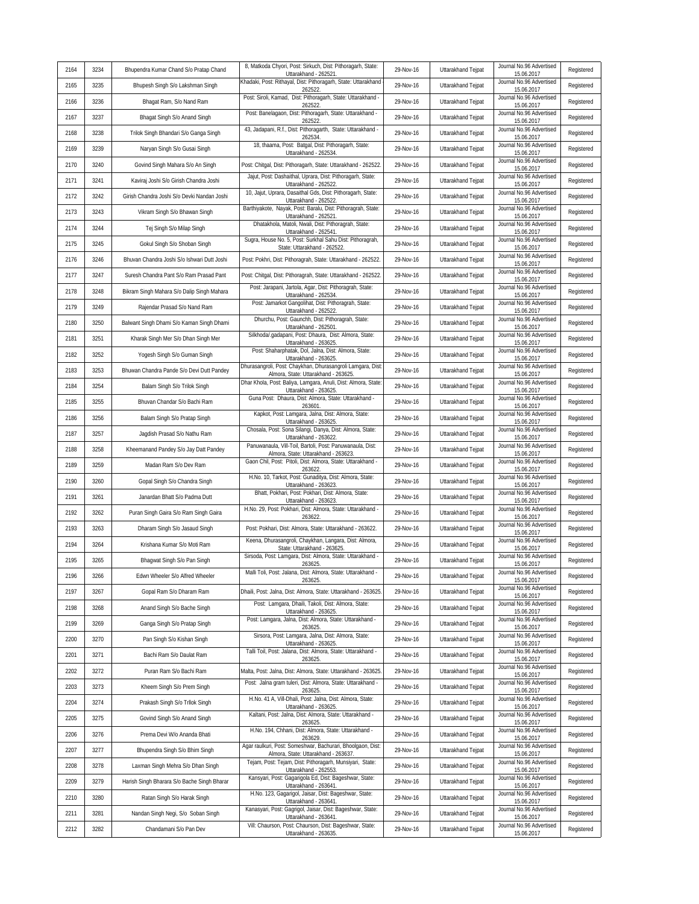| 2164 | 3234 | Bhupendra Kumar Chand S/o Pratap Chand      | 8, Matkoda Chyori, Post: Sirkuch, Dist: Pithoragarh, State:<br>Uttarakhand - 262521.                | 29-Nov-16 | Uttarakhand Tejpat | Journal No.96 Advertised<br>15.06.2017 | Registered |
|------|------|---------------------------------------------|-----------------------------------------------------------------------------------------------------|-----------|--------------------|----------------------------------------|------------|
| 2165 | 3235 | Bhupesh Singh S/o Lakshman Singh            | Khadaki, Post: Rithayal, Dist: Pithoragarh, State: Uttarakhand<br>262522                            | 29-Nov-16 | Uttarakhand Tejpat | Journal No.96 Advertised<br>15.06.2017 | Registered |
| 2166 | 3236 | Bhagat Ram, S/o Nand Ram                    | Post: Siroli, Kamad, Dist: Pithoragarh, State: Uttarakhand -<br>262522                              | 29-Nov-16 | Uttarakhand Tejpat | Journal No.96 Advertised<br>15.06.2017 | Registered |
| 2167 | 3237 | Bhagat Singh S/o Anand Singh                | Post: Banelagaon, Dist: Pithoragarh, State: Uttarakhand -<br>262522                                 | 29-Nov-16 | Uttarakhand Tejpat | Journal No.96 Advertised<br>15.06.2017 | Registered |
| 2168 | 3238 | Trilok Singh Bhandari S/o Ganga Singh       | 43, Jadapani, R.f., Dist: Pithoragarth, State: Uttarakhand -<br>262534                              | 29-Nov-16 | Uttarakhand Tejpat | Journal No.96 Advertised<br>15.06.2017 | Registered |
| 2169 | 3239 | Naryan Singh S/o Gusai Singh                | 18, thaama, Post: Batgal, Dist: Pithoragarh, State:<br>Uttarakhand - 262534.                        | 29-Nov-16 | Uttarakhand Tejpat | Journal No.96 Advertised<br>15.06.2017 | Registered |
| 2170 | 3240 | Govind Singh Mahara S/o An Singh            | Post: Chitgal, Dist: Pithoragarh, State: Uttarakhand - 262522                                       | 29-Nov-16 | Uttarakhand Tejpat | Journal No.96 Advertised<br>15.06.2017 | Registered |
| 2171 | 3241 | Kaviraj Joshi S/o Girish Chandra Joshi      | Jajut, Post: Dashaithal, Uprara, Dist: Pithoragarh, State:<br>Uttarakhand - 262522.                 | 29-Nov-16 | Uttarakhand Tejpat | Journal No.96 Advertised<br>15.06.2017 | Registered |
| 2172 | 3242 | Girish Chandra Joshi S/o Devki Nandan Joshi | 10, Jajut, Uprara, Dasaithal Gds, Dist: Pithoragarh, State:<br>Uttarakhand - 262522                 | 29-Nov-16 | Uttarakhand Tejpat | Journal No.96 Advertised<br>15.06.2017 | Registered |
| 2173 | 3243 | Vikram Singh S/o Bhawan Singh               | Barthiyakote, Nayak, Post: Baralu, Dist: Pithoragrah, State:<br>Uttarakhand - 262521.               | 29-Nov-16 | Uttarakhand Teipat | Journal No.96 Advertised<br>15.06.2017 | Registered |
| 2174 | 3244 | Tej Singh S/o Milap Singh                   | Dhatakhola, Matoli, Nwali, Dist: Pithoragrah, State:<br>Uttarakhand - 262541.                       | 29-Nov-16 | Uttarakhand Tejpat | Journal No.96 Advertised<br>15.06.2017 | Registered |
| 2175 | 3245 | Gokul Singh S/o Shoban Singh                | Sugra, House No. 5, Post: Surkhal Sahu Dist: Pithoragrah,<br>State: Uttarakhand - 262522.           | 29-Nov-16 | Uttarakhand Tejpat | Journal No.96 Advertised<br>15.06.2017 | Registered |
| 2176 | 3246 | Bhuvan Chandra Joshi S/o Ishwari Dutt Joshi | Post: Pokhri, Dist: Pithoragrah, State: Uttarakhand - 262522.                                       | 29-Nov-16 | Uttarakhand Tejpat | Journal No.96 Advertised<br>15.06.2017 | Registered |
| 2177 | 3247 | Suresh Chandra Pant S/o Ram Prasad Pant     | Post: Chitgal, Dist: Pithoragrah, State: Uttarakhand - 262522                                       | 29-Nov-16 | Uttarakhand Tejpat | Journal No.96 Advertised<br>15.06.2017 | Registered |
| 2178 | 3248 | Bikram Singh Mahara S/o Dalip Singh Mahara  | Post: Jarapani, Jartola, Agar, Dist: Pithoragrah, State:<br>Uttarakhand - 262534.                   | 29-Nov-16 | Uttarakhand Tejpat | Journal No.96 Advertised<br>15.06.2017 | Registered |
| 2179 | 3249 | Rajendar Prasad S/o Nand Ram                | Post: Jamarkot Gangolihat, Dist: Pithoragrah, State:<br>Uttarakhand - 262522.                       | 29-Nov-16 | Uttarakhand Tejpat | Journal No.96 Advertised<br>15.06.2017 | Registered |
| 2180 | 3250 | Balwant Singh Dhami S/o Kaman Singh Dhami   | Dhurchu, Post: Gaunchh, Dist: Pithoragrah, State:<br>Uttarakhand - 262501.                          | 29-Nov-16 | Uttarakhand Tejpat | Journal No.96 Advertised<br>15.06.2017 | Registered |
| 2181 | 3251 | Kharak Singh Mer S/o Dhan Singh Mer         | Silkhoda/.qadapani, Post: Dhaura, Dist: Almora, State:<br>Uttarakhand - 263625.                     | 29-Nov-16 | Uttarakhand Teipat | Journal No.96 Advertised<br>15.06.2017 | Registered |
| 2182 | 3252 | Yogesh Singh S/o Guman Singh                | Post: Shaharphatak, Dol, Jalna, Dist: Almora, State:<br>Uttarakhand - 263625.                       | 29-Nov-16 | Uttarakhand Teipat | Journal No.96 Advertised<br>15.06.2017 | Registered |
| 2183 | 3253 | Bhuwan Chandra Pande S/o Devi Dutt Pandey   | Dhurasangroli, Post: Chaykhan, Dhurasangroli Lamgara, Dist<br>Almora, State: Uttarakhand - 263625.  | 29-Nov-16 | Uttarakhand Tejpat | Journal No.96 Advertised<br>15.06.2017 | Registered |
| 2184 | 3254 | Balam Singh S/o Trilok Singh                | Dhar Khola, Post: Baliya, Lamgara, Anuli, Dist: Almora, State<br>Uttarakhand - 263625.              | 29-Nov-16 | Uttarakhand Tejpat | Journal No.96 Advertised<br>15.06.2017 | Registered |
| 2185 | 3255 | Bhuvan Chandar S/o Bachi Ram                | Guna Post: Dhaura, Dist: Almora, State: Uttarakhand -<br>263601                                     | 29-Nov-16 | Uttarakhand Tejpat | Journal No.96 Advertised<br>15.06.2017 | Registered |
| 2186 | 3256 | Balam Singh S/o Pratap Singh                | Kapkot, Post: Lamgara, Jalna, Dist: Almora, State:<br>Uttarakhand - 263625.                         | 29-Nov-16 | Uttarakhand Tejpat | Journal No.96 Advertised<br>15.06.2017 | Registered |
| 2187 | 3257 | Jagdish Prasad S/o Nathu Ram                | Chosala, Post: Sona Silangi, Danya, Dist: Almora, State:<br>Uttarakhand - 263622.                   | 29-Nov-16 | Uttarakhand Tejpat | Journal No.96 Advertised<br>15.06.2017 | Registered |
| 2188 | 3258 | Kheemanand Pandey S/o Jay Datt Pandey       | Panuwanaula, Vill-Toil, Bartoli, Post: Panuwanaula, Dist:<br>Almora, State: Uttarakhand - 263623    | 29-Nov-16 | Uttarakhand Tejpat | Journal No.96 Advertised<br>15.06.2017 | Registered |
| 2189 | 3259 | Madan Ram S/o Dev Ram                       | Gaon Chil, Post: Pitoli, Dist: Almora, State: Uttarakhand -<br>263622                               | 29-Nov-16 | Uttarakhand Tejpat | Journal No.96 Advertised<br>15.06.2017 | Registered |
| 2190 | 3260 | Gopal Singh S/o Chandra Singh               | H.No. 10, Tarkot, Post: Gunaditya, Dist: Almora, State:<br>Uttarakhand - 263623                     | 29-Nov-16 | Uttarakhand Tejpat | Journal No.96 Advertised<br>15.06.2017 | Registered |
| 2191 | 3261 | Janardan Bhatt S/o Padma Dutt               | Bhatt, Pokhari, Post: Pokhari, Dist: Almora, State:<br>Uttarakhand - 263623                         | 29-Nov-16 | Uttarakhand Tejpat | Journal No.96 Advertised<br>15.06.2017 | Registered |
| 2192 | 3262 | Puran Singh Gaira S/o Ram Singh Gaira       | H.No. 29, Post: Pokhari, Dist: Almora, State: Uttarakhand -<br>263622                               | 29-Nov-16 | Uttarakhand Tejpat | Journal No.96 Advertised<br>15.06.2017 | Registered |
| 2193 | 3263 | Dharam Singh S/o Jasaud Singh               | Post: Pokhari, Dist: Almora, State: Uttarakhand - 263622.                                           | 29-Nov-16 | Uttarakhand Tejpat | Journal No.96 Advertised<br>15.06.2017 | Registered |
| 2194 | 3264 | Krishana Kumar S/o Moti Ram                 | Keena, Dhurasangroli, Chaykhan, Langara, Dist: Almora,<br>State: Uttarakhand - 263625.              | 29-Nov-16 | Uttarakhand Tejpat | Journal No.96 Advertised<br>15.06.2017 | Registered |
| 2195 | 3265 | Bhagwat Singh S/o Pan Singh                 | Sirsoda, Post: Lamgara, Dist: Almora, State: Uttarakhand -<br>263625.                               | 29-Nov-16 | Uttarakhand Tejpat | Journal No.96 Advertised<br>15.06.2017 | Registered |
| 2196 | 3266 | Edwn Wheeler S/o Alfred Wheeler             | Malli Toli, Post: Jalana, Dist: Almora, State: Uttarakhand -<br>263625.                             | 29-Nov-16 | Uttarakhand Tejpat | Journal No.96 Advertised<br>15.06.2017 | Registered |
| 2197 | 3267 | Gopal Ram S/o Dharam Ram                    | Dhaili, Post: Jalna, Dist: Almora, State: Uttarakhand - 263625                                      | 29-Nov-16 | Uttarakhand Tejpat | Journal No.96 Advertised<br>15.06.2017 | Registered |
| 2198 | 3268 | Anand Singh S/o Bache Singh                 | Post: Lamgara, Dhaili, Takoli, Dist: Almora, State:<br>Uttarakhand - 263625.                        | 29-Nov-16 | Uttarakhand Tejpat | Journal No.96 Advertised<br>15.06.2017 | Registered |
| 2199 | 3269 | Ganga Singh S/o Pratap Singh                | Post: Lamgara, Jalna, Dist: Almora, State: Uttarakhand -<br>263625                                  | 29-Nov-16 | Uttarakhand Tejpat | Journal No.96 Advertised<br>15.06.2017 | Registered |
| 2200 | 3270 | Pan Singh S/o Kishan Singh                  | Sirsora, Post: Lamgara, Jalna, Dist: Almora, State:<br>Uttarakhand - 263625.                        | 29-Nov-16 | Uttarakhand Tejpat | Journal No.96 Advertised<br>15.06.2017 | Registered |
| 2201 | 3271 | Bachi Ram S/o Daulat Ram                    | Talli Toil, Post: Jalana, Dist: Almora, State: Uttarakhand -<br>263625                              | 29-Nov-16 | Uttarakhand Tejpat | Journal No.96 Advertised<br>15.06.2017 | Registered |
| 2202 | 3272 | Puran Ram S/o Bachi Ram                     | Malta, Post: Jalna, Dist: Almora, State: Uttarakhand - 263625.                                      | 29-Nov-16 | Uttarakhand Tejpat | Journal No.96 Advertised<br>15.06.2017 | Registered |
| 2203 | 3273 | Kheem Singh S/o Prem Singh                  | Post: Jalna gram tuleri, Dist: Almora, State: Uttarakhand -<br>263625                               | 29-Nov-16 | Uttarakhand Tejpat | Journal No.96 Advertised<br>15.06.2017 | Registered |
| 2204 | 3274 | Prakash Singh S/o Trllok Singh              | H.No. 41 A, Vill-Dhali, Post: Jalna, Dist: Almora, State:<br>Uttarakhand - 263625.                  | 29-Nov-16 | Uttarakhand Tejpat | Journal No.96 Advertised<br>15.06.2017 | Registered |
| 2205 | 3275 | Govind Singh S/o Anand Singh                | Kaltani, Post: Jalna, Dist: Almora, State: Uttarakhand -<br>263625                                  | 29-Nov-16 | Uttarakhand Tejpat | Journal No.96 Advertised<br>15.06.2017 | Registered |
| 2206 | 3276 | Prema Devi W/o Ananda Bhati                 | H.No. 194, Chhani, Dist: Almora, State: Uttarakhand -<br>263629                                     | 29-Nov-16 | Uttarakhand Tejpat | Journal No.96 Advertised<br>15.06.2017 | Registered |
| 2207 | 3277 | Bhupendra Singh S/o Bhim Singh              | Agar raulkuri, Post: Someshwar, Bachurari, Bhoolgaon, Dist:<br>Almora, State: Uttarakhand - 263637. | 29-Nov-16 | Uttarakhand Tejpat | Journal No.96 Advertised<br>15.06.2017 | Registered |
| 2208 | 3278 | Laxman Singh Mehra S/o Dhan Singh           | Tejam, Post: Tejam, Dist: Pithoragarh, Munsiyari, State:<br>Uttarakhand - 262553                    | 29-Nov-16 | Uttarakhand Tejpat | Journal No.96 Advertised<br>15.06.2017 | Registered |
| 2209 | 3279 | Harish Singh Bharara S/o Bache Singh Bharar | Kansyari, Post: Gagarigola Ed, Dist: Bageshwar, State:<br>Uttarakhand - 263641.                     | 29-Nov-16 | Uttarakhand Tejpat | Journal No.96 Advertised<br>15.06.2017 | Registered |
| 2210 | 3280 | Ratan Singh S/o Harak Singh                 | H.No. 123, Gagarigol, Jaisar, Dist: Bageshwar, State:<br>Uttarakhand - 263641.                      | 29-Nov-16 | Uttarakhand Tejpat | Journal No.96 Advertised<br>15.06.2017 | Registered |
| 2211 | 3281 | Nandan Singh Negi, S/o Soban Singh          | Kanasyari, Post: Gagrigol, Jaisar, Dist: Bageshwar, State:<br>Uttarakhand - 263641.                 | 29-Nov-16 | Uttarakhand Tejpat | Journal No.96 Advertised<br>15.06.2017 | Registered |
| 2212 | 3282 | Chandamani S/o Pan Dev                      | Vill: Chaurson, Post: Chaurson, Dist: Bageshwar, State:<br>Uttarakhand - 263635.                    | 29-Nov-16 | Uttarakhand Tejpat | Journal No.96 Advertised<br>15.06.2017 | Registered |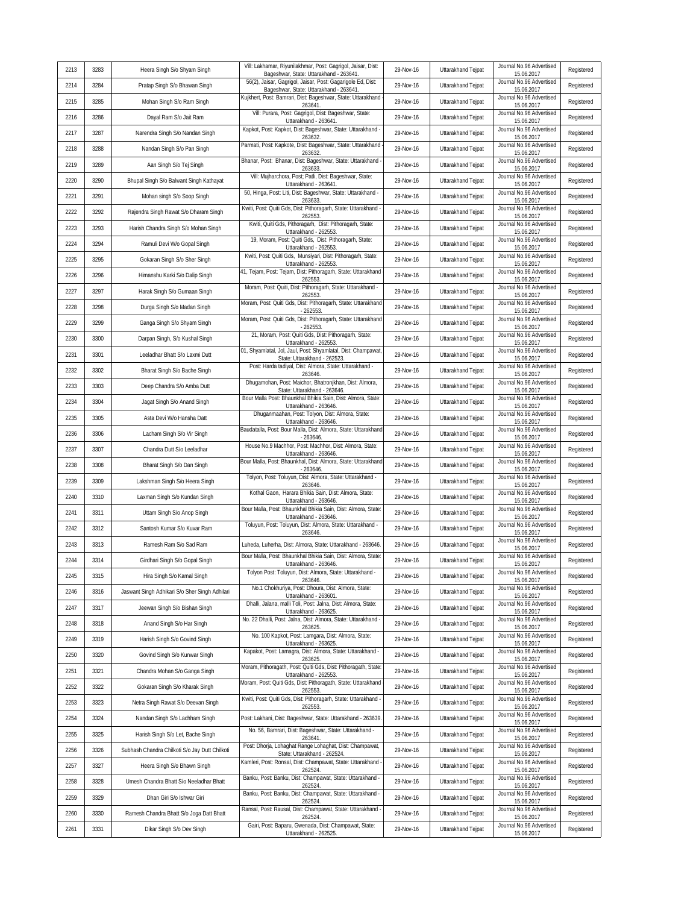| 2213 | 3283 | Heera Singh S/o Shyam Singh                    | Vill: Lakhamar, Riyunilakhmar, Post: Gagrigol, Jaisar, Dist:<br>Bageshwar, State: Uttarakhand - 263641. | 29-Nov-16 | Uttarakhand Tejpat | Journal No.96 Advertised<br>15.06.2017 | Registered |
|------|------|------------------------------------------------|---------------------------------------------------------------------------------------------------------|-----------|--------------------|----------------------------------------|------------|
| 2214 | 3284 | Pratap Singh S/o Bhawan Singh                  | 56(2), Jaisar, Gagrigol, Jaisar, Post: Gagarigole Ed, Dist:<br>Bageshwar, State: Uttarakhand - 263641.  | 29-Nov-16 | Uttarakhand Tejpat | Journal No.96 Advertised<br>15.06.2017 | Registered |
| 2215 | 3285 | Mohan Singh S/o Ram Singh                      | Kujkhert, Post: Bamrari, Dist: Bageshwar, State: Uttarakhand<br>263641                                  | 29-Nov-16 | Uttarakhand Tejpat | Journal No.96 Advertised<br>15.06.2017 | Registered |
| 2216 | 3286 | Dayal Ram S/o Jait Ram                         | Vill: Purara, Post: Gagrigol, Dist: Bageshwar, State:<br>Uttarakhand - 263641                           | 29-Nov-16 | Uttarakhand Tejpat | Journal No.96 Advertised<br>15.06.2017 | Registered |
| 2217 | 3287 | Narendra Singh S/o Nandan Singh                | Kapkot, Post: Kapkot, Dist: Bageshwar, State: Uttarakhand -<br>263632                                   | 29-Nov-16 | Uttarakhand Tejpat | Journal No.96 Advertised<br>15.06.2017 | Registered |
| 2218 | 3288 | Nandan Singh S/o Pan Singh                     | Parmati, Post: Kapkote, Dist: Bageshwar, State: Uttarakhand<br>263632                                   | 29-Nov-16 | Uttarakhand Tejpat | Journal No.96 Advertised<br>15.06.2017 | Registered |
| 2219 | 3289 | Aan Singh S/o Tej Singh                        | Bhanar, Post: Bhanar, Dist: Bageshwar, State: Uttarakhand<br>263633                                     | 29-Nov-16 | Uttarakhand Tejpat | Journal No.96 Advertised<br>15.06.2017 | Registered |
| 2220 | 3290 | Bhupal Singh S/o Balwant Singh Kathayat        | Vill: Mujharchora, Post; Patli, Dist: Bageshwar, State:<br>Uttarakhand - 263641.                        | 29-Nov-16 | Uttarakhand Tejpat | Journal No.96 Advertised<br>15.06.2017 | Registered |
| 2221 | 3291 | Mohan singh S/o Soop Singh                     | 50, Hinga, Post: Liti, Dist: Bageshwar, State: Uttarakhand -<br>263633.                                 | 29-Nov-16 | Uttarakhand Tejpat | Journal No.96 Advertised<br>15.06.2017 | Registered |
| 2222 | 3292 | Rajendra Singh Rawat S/o Dharam Singh          | Kwiti, Post: Quiti Gds, Dist: Pithoragarh, State: Uttarakhand<br>262553                                 | 29-Nov-16 | Uttarakhand Tejpat | Journal No.96 Advertised<br>15.06.2017 | Registered |
| 2223 | 3293 | Harish Chandra Singh S/o Mohan Singh           | Kwiti, Quiti Gds, Pithoragarh, Dist: Pithoragarh, State:<br>Uttarakhand - 262553.                       | 29-Nov-16 | Uttarakhand Tejpat | Journal No.96 Advertised<br>15.06.2017 | Registered |
| 2224 | 3294 | Ramuli Devi W/o Gopal Singh                    | 19, Moram, Post: Quiti Gds, Dist: Pithoragarh, State:<br>Uttarakhand - 262553.                          | 29-Nov-16 | Uttarakhand Tejpat | Journal No.96 Advertised<br>15.06.2017 | Registered |
| 2225 | 3295 | Gokaran Singh S/o Sher Singh                   | Kwiti, Post: Quiti Gds, Munsiyari, Dist: Pithoragarh, State:<br>Uttarakhand - 262553.                   | 29-Nov-16 | Uttarakhand Tejpat | Journal No.96 Advertised<br>15.06.2017 | Registered |
| 2226 | 3296 | Himanshu Karki S/o Dalip Singh                 | 41, Tejam, Post: Tejam, Dist: Pithoragarh, State: Uttarakhand<br>262553                                 | 29-Nov-16 | Uttarakhand Tejpat | Journal No.96 Advertised<br>15.06.2017 | Registered |
| 2227 | 3297 | Harak Singh S/o Gumaan Singh                   | Moram, Post: Quiti, Dist: Pithoragarh, State: Uttarakhand -<br>262553                                   | 29-Nov-16 | Uttarakhand Tejpat | Journal No.96 Advertised<br>15.06.2017 | Registered |
| 2228 | 3298 | Durga Singh S/o Madan Singh                    | Moram, Post: Quiti Gds, Dist: Pithoragarh, State: Uttarakhand<br>$-262553$                              | 29-Nov-16 | Uttarakhand Tejpat | Journal No.96 Advertised<br>15.06.2017 | Registered |
| 2229 | 3299 | Ganga Singh S/o Shyam Singh                    | Moram, Post: Quiti Gds, Dist: Pithoragarh, State: Uttarakhand<br>$-262553$                              | 29-Nov-16 | Uttarakhand Tejpat | Journal No.96 Advertised<br>15.06.2017 | Registered |
| 2230 | 3300 | Darpan Singh, S/o Kushal Singh                 | 21, Moram, Post: Quiti Gds, Dist: Pithoragarh, State:<br>Uttarakhand - 262553.                          | 29-Nov-16 | Uttarakhand Tejpat | Journal No.96 Advertised<br>15.06.2017 | Registered |
| 2231 | 3301 | Leeladhar Bhatt S/o Laxmi Dutt                 | 01, Shyamlatal, Jol, Jaul, Post: Shyamlatal, Dist: Champawat<br>State: Uttarakhand - 262523.            | 29-Nov-16 | Uttarakhand Tejpat | Journal No.96 Advertised<br>15.06.2017 | Registered |
| 2232 | 3302 | Bharat Singh S/o Bache Singh                   | Post: Harda tadiyal, Dist: Almora, State: Uttarakhand -<br>263646.                                      | 29-Nov-16 | Uttarakhand Tejpat | Journal No.96 Advertised<br>15.06.2017 | Registered |
| 2233 | 3303 | Deep Chandra S/o Amba Dutt                     | Dhugamohan, Post: Maichor, Bhatronjkhan, Dist: Almora,<br>State: Uttarakhand - 263646.                  | 29-Nov-16 | Uttarakhand Tejpat | Journal No.96 Advertised<br>15.06.2017 | Registered |
| 2234 | 3304 | Jagat Singh S/o Anand Singh                    | Bour Malla Post: Bhaunkhal Bhikia Sain, Dist: Almora, State:<br>Uttarakhand - 263646.                   | 29-Nov-16 | Uttarakhand Tejpat | Journal No.96 Advertised<br>15.06.2017 | Registered |
| 2235 | 3305 | Asta Devi W/o Hansha Datt                      | Dhuganmaahan, Post: Tolyon, Dist: Almora, State:<br>Uttarakhand - 263646.                               | 29-Nov-16 | Uttarakhand Tejpat | Journal No.96 Advertised<br>15.06.2017 | Registered |
| 2236 | 3306 | Lacham Singh S/o Vir Singh                     | Baudatalla, Post: Bour Malla, Dist: Almora, State: Uttarakhand<br>$-263646.$                            | 29-Nov-16 | Uttarakhand Tejpat | Journal No.96 Advertised<br>15.06.2017 | Registered |
| 2237 | 3307 | Chandra Dutt S/o Leeladhar                     | House No.9 Machhor, Post: Machhor, Dist: Almora, State:<br>Uttarakhand - 263646.                        | 29-Nov-16 | Uttarakhand Tejpat | Journal No.96 Advertised<br>15.06.2017 | Registered |
| 2238 | 3308 | Bharat Singh S/o Dan Singh                     | Bour Malla, Post: Bhaunkhal, Dist: Almora, State: Uttarakhand<br>$-263646.$                             | 29-Nov-16 | Uttarakhand Tejpat | Journal No.96 Advertised<br>15.06.2017 | Registered |
| 2239 | 3309 | Lakshman Singh S/o Heera Singh                 | Tolyon, Post: Toluyun, Dist: Almora, State: Uttarakhand -<br>263646.                                    | 29-Nov-16 | Uttarakhand Tejpat | Journal No.96 Advertised<br>15.06.2017 | Registered |
| 2240 | 3310 | Laxman Singh S/o Kundan Singh                  | Kothal Gaon, Harara Bhikia Sain, Dist: Almora, State:<br>Uttarakhand - 263646.                          | 29-Nov-16 | Uttarakhand Tejpat | Journal No.96 Advertised<br>15.06.2017 | Registered |
| 2241 | 3311 | Uttam Singh S/o Anop Singh                     | Bour Malla, Post: Bhaunkhal Bhikia Sain, Dist: Almora, State:<br>Uttarakhand - 263646.                  | 29-Nov-16 | Uttarakhand Tejpat | Journal No.96 Advertised<br>15.06.2017 | Registered |
| 2242 | 3312 | Santosh Kumar S/o Kuvar Ram                    | Toluyun, Post: Toluyun, Dist: Almora, State: Uttarakhand -<br>263646                                    | 29-Nov-16 | Uttarakhand Tejpat | Journal No.96 Advertised<br>15.06.2017 | Registered |
| 2243 | 3313 | Ramesh Ram S/o Sad Ram                         | Luheda, Luherha, Dist: Almora, State: Uttarakhand - 263646                                              | 29-Nov-16 | Uttarakhand Tejpat | Journal No.96 Advertised<br>15.06.2017 | Registered |
| 2244 | 3314 | Girdhari Singh S/o Gopal Singh                 | Bour Malla, Post: Bhaunkhal Bhikia Sain, Dist: Almora, State:<br>Uttarakhand - 263646.                  | 29-Nov-16 | Uttarakhand Tejpat | Journal No.96 Advertised<br>15.06.2017 | Registered |
| 2245 | 3315 | Hira Singh S/o Kamal Singh                     | Tolyon Post: Toluyun, Dist: Almora, State: Uttarakhand -<br>263646.                                     | 29-Nov-16 | Uttarakhand Tejpat | Journal No.96 Advertised<br>15.06.2017 | Registered |
| 2246 | 3316 | Jaswant Singh Adhikari S/o Sher Singh Adhilari | No.1 Chokhuriya, Post: Dhoura, Dist: Almora, State:<br>Uttarakhand - 263601.                            | 29-Nov-16 | Uttarakhand Tejpat | Journal No.96 Advertised<br>15.06.2017 | Registered |
| 2247 | 3317 | Jeewan Singh S/o Bishan Singh                  | Dhalli, Jalana, malli Toli, Post: Jalna, Dist: Almora, State:<br>Uttarakhand - 263625.                  | 29-Nov-16 | Uttarakhand Tejpat | Journal No.96 Advertised<br>15.06.2017 | Registered |
| 2248 | 3318 | Anand Singh S/o Har Singh                      | No. 22 Dhalli, Post: Jalna, Dist: Almora, State: Uttarakhand -<br>263625                                | 29-Nov-16 | Uttarakhand Tejpat | Journal No.96 Advertised<br>15.06.2017 | Registered |
| 2249 | 3319 | Harish Singh S/o Govind Singh                  | No. 100 Kapkot, Post: Lamgara, Dist: Almora, State:<br>Uttarakhand - 263625.                            | 29-Nov-16 | Uttarakhand Tejpat | Journal No.96 Advertised<br>15.06.2017 | Registered |
| 2250 | 3320 | Govind Singh S/o Kunwar Singh                  | Kapakot, Post: Lamagra, Dist: Almora, State: Uttarakhand -<br>263625                                    | 29-Nov-16 | Uttarakhand Tejpat | Journal No.96 Advertised<br>15.06.2017 | Registered |
| 2251 | 3321 | Chandra Mohan S/o Ganga Singh                  | Moram, Pithoragath, Post: Quiti Gds, Dist: Pithoragath, State:<br>Uttarakhand - 262553.                 | 29-Nov-16 | Uttarakhand Tejpat | Journal No.96 Advertised<br>15.06.2017 | Registered |
| 2252 | 3322 | Gokaran Singh S/o Kharak Singh                 | Moram, Post: Quiti Gds, Dist: Pithoragath, State: Uttarakhand<br>262553.                                | 29-Nov-16 | Uttarakhand Tejpat | Journal No.96 Advertised<br>15.06.2017 | Registered |
| 2253 | 3323 | Netra Singh Rawat S/o Deevan Singh             | Kwiti, Post: Quiti Gds, Dist: Pithoragarh, State: Uttarakhand -<br>262553                               | 29-Nov-16 | Uttarakhand Tejpat | Journal No.96 Advertised<br>15.06.2017 | Registered |
| 2254 | 3324 | Nandan Singh S/o Lachham Singh                 | Post: Lakhani, Dist: Bageshwar, State: Uttarakhand - 263639                                             | 29-Nov-16 | Uttarakhand Tejpat | Journal No.96 Advertised<br>15.06.2017 | Registered |
| 2255 | 3325 | Harish Singh S/o Let, Bache Singh              | No. 56, Bamrari, Dist: Bageshwar, State: Uttarakhand -<br>263641                                        | 29-Nov-16 | Uttarakhand Tejpat | Journal No.96 Advertised<br>15.06.2017 | Registered |
| 2256 | 3326 | Subhash Chandra Chilkoti S/o Jay Dutt Chilkoti | Post: Dhorja, Lohaghat Range Lohaghat, Dist: Champawat,<br>State: Uttarakhand - 262524.                 | 29-Nov-16 | Uttarakhand Tejpat | Journal No.96 Advertised<br>15.06.2017 | Registered |
| 2257 | 3327 | Heera Singh S/o Bhawn Singh                    | Kamleri, Post: Ronsal, Dist: Champawat, State: Uttarakhand -<br>262524                                  | 29-Nov-16 | Uttarakhand Tejpat | Journal No.96 Advertised<br>15.06.2017 | Registered |
| 2258 | 3328 | Umesh Chandra Bhatt S/o Neeladhar Bhatt        | Banku, Post: Banku, Dist: Champawat, State: Uttarakhand -<br>262524                                     | 29-Nov-16 | Uttarakhand Tejpat | Journal No.96 Advertised<br>15.06.2017 | Registered |
| 2259 | 3329 | Dhan Giri S/o Ishwar Giri                      | Banku, Post: Banku, Dist: Champawat, State: Uttarakhand -<br>262524.                                    | 29-Nov-16 | Uttarakhand Tejpat | Journal No.96 Advertised<br>15.06.2017 | Registered |
| 2260 | 3330 | Ramesh Chandra Bhatt S/o Joga Datt Bhatt       | Ransal, Post: Rausal, Dist: Champawat, State: Uttarakhand -<br>262524                                   | 29-Nov-16 | Uttarakhand Tejpat | Journal No.96 Advertised<br>15.06.2017 | Registered |
| 2261 | 3331 | Dikar Singh S/o Dev Singh                      | Gairi, Post: Baparu, Gwenada, Dist: Champawat, State:<br>Uttarakhand - 262525.                          | 29-Nov-16 | Uttarakhand Tejpat | Journal No.96 Advertised<br>15.06.2017 | Registered |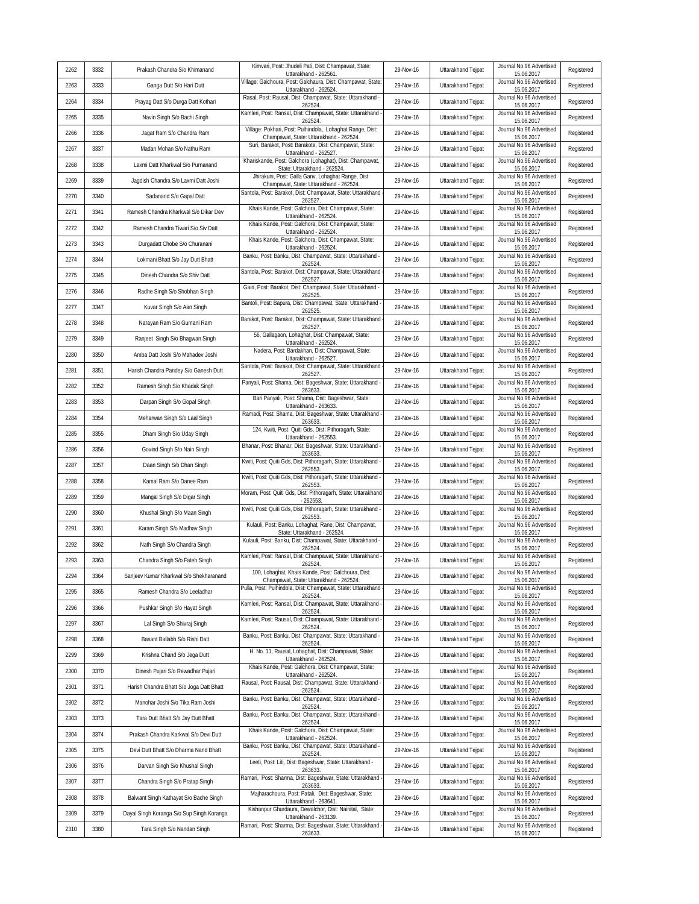| 2262 | 3332 | Prakash Chandra S/o Khimanand             | Kimvari, Post: Jhudeli Pati, Dist: Champawat, State:<br>Uttarakhand - 262561.                       | 29-Nov-16 | Uttarakhand Tejpat | Journal No.96 Advertised<br>15.06.2017 | Registered |
|------|------|-------------------------------------------|-----------------------------------------------------------------------------------------------------|-----------|--------------------|----------------------------------------|------------|
| 2263 | 3333 | Ganga Dutt S/o Hari Dutt                  | Village: Gaichoura, Post: Galchaura, Dist: Champawat, State<br>Uttarakhand - 262524                 | 29-Nov-16 | Uttarakhand Tejpat | Journal No.96 Advertised<br>15.06.2017 | Registered |
| 2264 | 3334 | Prayag Datt S/o Durga Datt Kothari        | Rasal, Post: Rausal, Dist: Champawat, State: Uttarakhand -<br>262524                                | 29-Nov-16 | Uttarakhand Teipat | Journal No.96 Advertised<br>15.06.2017 | Registered |
| 2265 | 3335 | Navin Singh S/o Bachi Singh               | Kamleri, Post: Ransal, Dist: Champawat, State: Uttarakhand<br>262524                                | 29-Nov-16 | Uttarakhand Tejpat | Journal No.96 Advertised<br>15.06.2017 | Registered |
| 2266 | 3336 | Jagat Ram S/o Chandra Ram                 | Village: Pokhari, Post: Pulhindola, Lohaghat Range, Dist:<br>Champawat, State: Uttarakhand - 262524 | 29-Nov-16 | Uttarakhand Tejpat | Journal No.96 Advertised<br>15.06.2017 | Registered |
| 2267 | 3337 | Madan Mohan S/o Nathu Ram                 | Suri, Barakot, Post: Barakote, Dist: Champawat, State:<br>Uttarakhand - 262527.                     | 29-Nov-16 | Uttarakhand Tejpat | Journal No.96 Advertised<br>15.06.2017 | Registered |
| 2268 | 3338 | Laxmi Datt Kharkwal S/o Purnanand         | Khariskande, Post: Galchora (Lohaghat), Dist: Champawat,<br>State: Uttarakhand - 262524.            | 29-Nov-16 | Uttarakhand Tejpat | Journal No.96 Advertised<br>15.06.2017 | Registered |
| 2269 | 3339 | Jagdish Chandra S/o Laxmi Datt Joshi      | Jhirakuni, Post: Galla Ganv, Lohaghat Range, Dist:<br>Champawat, State: Uttarakhand - 262524.       | 29-Nov-16 | Uttarakhand Tejpat | Journal No.96 Advertised<br>15.06.2017 | Registered |
| 2270 | 3340 | Sadanand S/o Gapal Datt                   | Santola, Post: Barakot, Dist: Champawat, State: Uttarakhand<br>262527                               | 29-Nov-16 | Uttarakhand Tejpat | Journal No.96 Advertised<br>15.06.2017 | Registered |
| 2271 | 3341 | Ramesh Chandra Kharkwal S/o Dikar Dev     | Khais Kande, Post: Galchora, Dist: Champawat, State:<br>Uttarakhand - 262524.                       | 29-Nov-16 | Uttarakhand Tejpat | Journal No.96 Advertised<br>15.06.2017 | Registered |
| 2272 | 3342 | Ramesh Chandra Tiwari S/o Siv Datt        | Khais Kande, Post: Galchora, Dist: Champawat, State:<br>Uttarakhand - 262524.                       | 29-Nov-16 | Uttarakhand Tejpat | Journal No.96 Advertised<br>15.06.2017 | Registered |
| 2273 | 3343 | Durgadatt Chobe S/o Churanani             | Khais Kande, Post: Galchora, Dist: Champawat, State:<br>Uttarakhand - 262524.                       | 29-Nov-16 | Uttarakhand Tejpat | Journal No.96 Advertised<br>15.06.2017 | Registered |
| 2274 | 3344 | Lokmani Bhatt S/o Jay Dutt Bhatt          | Banku, Post: Banku, Dist: Champawat, State: Uttarakhand -<br>262524                                 | 29-Nov-16 | Uttarakhand Tejpat | Journal No.96 Advertised<br>15.06.2017 | Registered |
| 2275 | 3345 | Dinesh Chandra S/o Shiv Datt              | Santola, Post: Barakot, Dist: Champawat, State: Uttarakhand<br>262527                               | 29-Nov-16 | Uttarakhand Tejpat | Journal No.96 Advertised<br>15.06.2017 | Registered |
| 2276 | 3346 | Radhe Singh S/o Shobhan Singh             | Gairi, Post: Barakot, Dist: Champawat, State: Uttarakhand -<br>262525                               | 29-Nov-16 | Uttarakhand Tejpat | Journal No.96 Advertised<br>15.06.2017 | Registered |
| 2277 | 3347 | Kuvar Singh S/o Aan Singh                 | Bantoli, Post: Bapura, Dist: Champawat, State: Uttarakhand -<br>262525                              | 29-Nov-16 | Uttarakhand Tejpat | Journal No.96 Advertised<br>15.06.2017 | Registered |
| 2278 | 3348 | Narayan Ram S/o Gumani Ram                | Barakot, Post: Barakot, Dist: Champawat, State: Uttarakhand<br>262527                               | 29-Nov-16 | Uttarakhand Tejpat | Journal No.96 Advertised<br>15.06.2017 | Registered |
| 2279 | 3349 | Ranjeet Singh S/o Bhagwan Singh           | 56, Gallagaon, Lohaghat, Dist: Champawat, State:<br>Uttarakhand - 262524.                           | 29-Nov-16 | Uttarakhand Tejpat | Journal No.96 Advertised<br>15.06.2017 | Registered |
| 2280 | 3350 | Amba Datt Joshi S/o Mahadev Joshi         | Nadera, Post: Bardakhan, Dist: Champawat, State:<br>Uttarakhand - 262527                            | 29-Nov-16 | Uttarakhand Tejpat | Journal No.96 Advertised<br>15.06.2017 | Registered |
| 2281 | 3351 | Harish Chandra Pandey S/o Ganesh Dutt     | Santola, Post: Barakot, Dist: Champawat, State: Uttarakhand<br>262527                               | 29-Nov-16 | Uttarakhand Tejpat | Journal No.96 Advertised<br>15.06.2017 | Registered |
| 2282 | 3352 | Ramesh Singh S/o Khadak Singh             | Panyali, Post: Shama, Dist: Bageshwar, State: Uttarakhand<br>263633                                 | 29-Nov-16 | Uttarakhand Tejpat | Journal No.96 Advertised<br>15.06.2017 | Registered |
| 2283 | 3353 | Darpan Singh S/o Gopal Singh              | Bari Panyali, Post: Shama, Dist: Bageshwar, State:<br>Uttarakhand - 263633                          | 29-Nov-16 | Uttarakhand Tejpat | Journal No.96 Advertised<br>15.06.2017 | Registered |
| 2284 | 3354 | Meharwan Singh S/o Laal Singh             | Ramadi, Post: Shama, Dist: Bageshwar, State: Uttarakhand<br>263633.                                 | 29-Nov-16 | Uttarakhand Tejpat | Journal No.96 Advertised<br>15.06.2017 | Registered |
| 2285 | 3355 | Dham Singh S/o Uday Singh                 | 124, Kwiti, Post: Quiti Gds, Dist: Pithoragarh, State:<br>Uttarakhand - 262553.                     | 29-Nov-16 | Uttarakhand Tejpat | Journal No.96 Advertised<br>15.06.2017 | Registered |
| 2286 | 3356 | Govind Singh S/o Nain Singh               | Bhanar, Post: Bhanar, Dist: Bageshwar, State: Uttarakhand<br>263633.                                | 29-Nov-16 | Uttarakhand Tejpat | Journal No.96 Advertised<br>15.06.2017 | Registered |
| 2287 | 3357 | Daan Singh S/o Dhan Singh                 | Kwiti, Post: Quiti Gds, Dist: Pithoragarh, State: Uttarakhand -<br>262553                           | 29-Nov-16 | Uttarakhand Tejpat | Journal No.96 Advertised<br>15.06.2017 | Registered |
| 2288 | 3358 | Kamal Ram S/o Danee Ram                   | Kwiti, Post: Quiti Gds, Dist: Pithoragarh, State: Uttarakhand<br>262553                             | 29-Nov-16 | Uttarakhand Tejpat | Journal No.96 Advertised<br>15.06.2017 | Registered |
| 2289 | 3359 | Mangal Singh S/o Digar Singh              | Moram, Post: Quiti Gds, Dist: Pithoragarh, State: Uttarakhand<br>262553                             | 29-Nov-16 | Uttarakhand Tejpat | Journal No.96 Advertised<br>15.06.2017 | Registered |
| 2290 | 3360 | Khushal Singh S/o Maan Singh              | Kwiti, Post: Quiti Gds, Dist: Pithoragarh, State: Uttarakhand<br>262553                             | 29-Nov-16 | Uttarakhand Tejpat | Journal No.96 Advertised<br>15.06.2017 | Registered |
| 2291 | 3361 | Karam Singh S/o Madhav Singh              | Kulauli, Post: Banku, Lohaghat, Rane, Dist: Champawat,<br>State: Uttarakhand - 262524               | 29-Nov-16 | Uttarakhand Tejpat | Journal No.96 Advertised<br>15.06.2017 | Registered |
| 2292 | 3362 | Nath Singh S/o Chandra Singh              | Kulauli, Post: Banku, Dist: Champawat, State: Uttarakhand -<br>262524                               | 29-Nov-16 | Uttarakhand Tejpat | Journal No.96 Advertised<br>15.06.2017 | Registered |
| 2293 | 3363 | Chandra Singh S/o Fateh Singh             | Kamleri, Post: Ransal, Dist: Champawat, State: Uttarakhand<br>262524.                               | 29-Nov-16 | Uttarakhand Tejpat | Journal No.96 Advertised<br>15.06.2017 | Registered |
| 2294 | 3364 | Sanjeev Kumar Kharkwal S/o Shekharanand   | 100. Lohaghat, Khais Kande, Post: Galchoura, Dist:<br>Champawat, State: Uttarakhand - 262524.       | 29-Nov-16 | Uttarakhand Tejpat | Journal No.96 Advertised<br>15.06.2017 | Registered |
| 2295 | 3365 | Ramesh Chandra S/o Leeladhar              | Pulla, Post: Pulhindola, Dist: Champawat, State: Uttarakhand<br>262524.                             | 29-Nov-16 | Uttarakhand Tejpat | Journal No.96 Advertised<br>15.06.2017 | Registered |
| 2296 | 3366 | Pushkar Singh S/o Hayat Singh             | Kamleri, Post: Ransal, Dist: Champawat, State: Uttarakhand<br>262524                                | 29-Nov-16 | Uttarakhand Tejpat | Journal No.96 Advertised<br>15.06.2017 | Registered |
| 2297 | 3367 | Lal Singh S/o Shivraj Singh               | Kamleri, Post: Rausal, Dist: Champawat, State: Uttarakhand<br>262524                                | 29-Nov-16 | Uttarakhand Tejpat | Journal No.96 Advertised<br>15.06.2017 | Registered |
| 2298 | 3368 | Basant Ballabh S/o Rishi Datt             | Banku, Post: Banku, Dist: Champawat, State: Uttarakhand -<br>262524                                 | 29-Nov-16 | Uttarakhand Tejpat | Journal No.96 Advertised<br>15.06.2017 | Registered |
| 2299 | 3369 | Krishna Chand S/o Jega Dutt               | H. No. 11, Rausal, Lohaghat, Dist: Champawat, State:<br>Uttarakhand - 262524.                       | 29-Nov-16 | Uttarakhand Tejpat | Journal No.96 Advertised<br>15.06.2017 | Registered |
| 2300 | 3370 | Dinesh Pujari S/o Rewadhar Pujari         | Khais Kande, Post: Galchora, Dist: Champawat, State:<br>Uttarakhand - 262524.                       | 29-Nov-16 | Uttarakhand Tejpat | Journal No.96 Advertised<br>15.06.2017 | Registered |
| 2301 | 3371 | Harish Chandra Bhatt S/o Joga Datt Bhatt  | Rausal, Post: Rausal, Dist: Champawat, State: Uttarakhand -<br>262524.                              | 29-Nov-16 | Uttarakhand Tejpat | Journal No.96 Advertised<br>15.06.2017 | Registered |
| 2302 | 3372 | Manohar Joshi S/o Tika Ram Joshi          | Banku, Post: Banku, Dist: Champawat, State: Uttarakhand -<br>262524                                 | 29-Nov-16 | Uttarakhand Tejpat | Journal No.96 Advertised<br>15.06.2017 | Registered |
| 2303 | 3373 | Tara Dutt Bhatt S/o Jay Dutt Bhatt        | Banku, Post: Banku, Dist: Champawat, State: Uttarakhand -<br>262524                                 | 29-Nov-16 | Uttarakhand Tejpat | Journal No.96 Advertised<br>15.06.2017 | Registered |
| 2304 | 3374 | Prakash Chandra Karkwal S/o Devi Dutt     | Khais Kande, Post: Galchora, Dist: Champawat, State:<br>Uttarakhand - 262524.                       | 29-Nov-16 | Uttarakhand Tejpat | Journal No.96 Advertised<br>15.06.2017 | Registered |
| 2305 | 3375 | Devi Dutt Bhatt S/o Dharma Nand Bhatt     | Banku, Post: Banku, Dist: Champawat, State: Uttarakhand -<br>262524                                 | 29-Nov-16 | Uttarakhand Tejpat | Journal No.96 Advertised<br>15.06.2017 | Registered |
| 2306 | 3376 | Darvan Singh S/o Khushal Singh            | Leeti, Post: Liti, Dist: Bageshwar, State: Uttarakhand -<br>263633                                  | 29-Nov-16 | Uttarakhand Tejpat | Journal No.96 Advertised<br>15.06.2017 | Registered |
| 2307 | 3377 | Chandra Singh S/o Pratap Singh            | Ramari, Post: Sharma, Dist: Bageshwar, State: Uttarakhand<br>263633.                                | 29-Nov-16 | Uttarakhand Tejpat | Journal No.96 Advertised<br>15.06.2017 | Registered |
| 2308 | 3378 | Balwant Singh Kathayat S/o Bache Singh    | Majharachoura, Post: Patali, Dist: Bageshwar, State:<br>Uttarakhand - 263641.                       | 29-Nov-16 | Uttarakhand Tejpat | Journal No.96 Advertised<br>15.06.2017 | Registered |
| 2309 | 3379 | Dayal Singh Koranga S/o Sup Singh Koranga | Kishanpur Ghurdaura, Dewalchor, Dist: Nainital, State:<br>Uttarakhand - 263139.                     | 29-Nov-16 | Uttarakhand Tejpat | Journal No.96 Advertised<br>15.06.2017 | Registered |
| 2310 | 3380 | Tara Singh S/o Nandan Singh               | Ramari, Post: Sharma, Dist: Bageshwar, State: Uttarakhand<br>263633.                                | 29-Nov-16 | Uttarakhand Tejpat | Journal No.96 Advertised<br>15.06.2017 | Registered |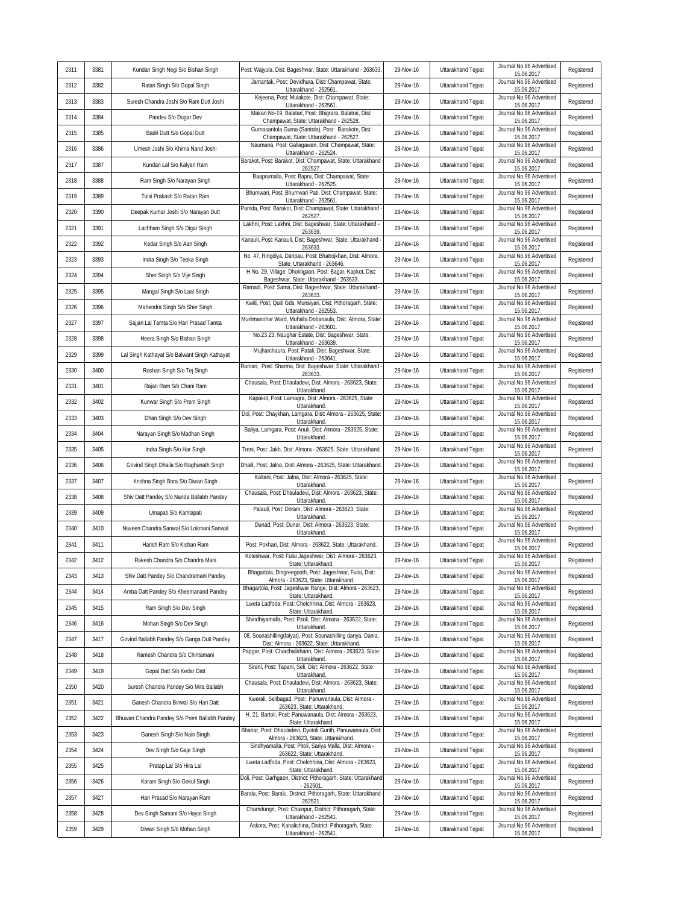| 2311 | 3381 | Kundan Singh Negi S/o Bishan Singh            | Post: Wajyula, Dist: Bageshwar, State: Uttarakhand - 263633.                                               | 29-Nov-16 | Uttarakhand Tejpat | Journal No.96 Advertised<br>15.06.2017 | Registered |
|------|------|-----------------------------------------------|------------------------------------------------------------------------------------------------------------|-----------|--------------------|----------------------------------------|------------|
| 2312 | 3382 | Ratan Singh S/o Gopal Singh                   | Jamantak, Post: Devidhura, Dist: Champawat, State:<br>Uttarakhand - 262561.                                | 29-Nov-16 | Uttarakhand Tejpat | Journal No.96 Advertised<br>15.06.2017 | Registered |
| 2313 | 3383 | Suresh Chandra Joshi S/o Ram Dutt Joshi       | Kejeena, Post: Mulakote, Dist: Champawat, State:<br>Uttarakhand - 262561                                   | 29-Nov-16 | Uttarakhand Teipat | Journal No.96 Advertised<br>15.06.2017 | Registered |
| 2314 | 3384 | Pandev S/o Dugar Dev                          | Makan No-19, Balatari, Post: Bhigrara, Balatrai, Dist:<br>Champawat, State: Uttarakhand - 262528           | 29-Nov-16 | Uttarakhand Tejpat | Journal No.96 Advertised<br>15.06.2017 | Registered |
| 2315 | 3385 | Badri Dutt S/o Gopal Dutt                     | Gurnasantola Gurna (Santola), Post: Barakote, Dist:<br>Champawat, State: Uttarakhand - 262527              | 29-Nov-16 | Uttarakhand Tejpat | Journal No.96 Advertised<br>15.06.2017 | Registered |
| 2316 | 3386 | Umesh Joshi S/o Khima Nand Joshi              | Naumana, Post: Gallagawan, Dist: Champawat, State:<br>Uttarakhand - 262524.                                | 29-Nov-16 | Uttarakhand Tejpat | Journal No.96 Advertised<br>15.06.2017 | Registered |
| 2317 | 3387 | Kundan Lal S/o Kalyan Ram                     | Barakot, Post: Barakot, Dist: Champawat, State: Uttarakhand<br>262527                                      | 29-Nov-16 | Uttarakhand Tejpat | Journal No.96 Advertised<br>15.06.2017 | Registered |
| 2318 | 3388 | Ram Singh S/o Narayan Singh                   | Baaprumalla, Post: Bapru, Dist: Champawat, State:<br>Uttarakhand - 262525.                                 | 29-Nov-16 | Uttarakhand Tejpat | Journal No.96 Advertised<br>15.06.2017 | Registered |
| 2319 | 3389 | Tulsi Prakash S/o Ratan Ram                   | Bhumwari, Post: Bhumwari Pati, Dist: Champawat, State:<br>Uttarakhand - 262561.                            | 29-Nov-16 | Uttarakhand Tejpat | Journal No.96 Advertised<br>15.06.2017 | Registered |
| 2320 | 3390 | Deepak Kumar Joshi S/o Narayan Dutt           | Pamda, Post: Barakot, Dist: Champawat, State: Uttarakhand<br>262527                                        | 29-Nov-16 | Uttarakhand Tejpat | Journal No.96 Advertised<br>15.06.2017 | Registered |
| 2321 | 3391 | Lachham Singh S/o Digar Singh                 | Lakhni, Post: Lakhni, Dist: Bageshwar, State: Uttarakhand -<br>263639.                                     | 29-Nov-16 | Uttarakhand Tejpat | Journal No.96 Advertised<br>15.06.2017 | Registered |
| 2322 | 3392 | Kedar Singh S/o Aan Singh                     | Kanauli, Post: Kanauli, Dist: Bageshwar, State: Uttarakhand<br>263633                                      | 29-Nov-16 | Uttarakhand Tejpat | Journal No.96 Advertised<br>15.06.2017 | Registered |
| 2323 | 3393 | Indra Singh S/o Teeka Singh                   | No. 47, Ringdiya, Danpau, Post: Bhatrojkhan, Dist: Almora,<br>State: Uttarakhand - 263646.                 | 29-Nov-16 | Uttarakhand Tejpat | Journal No.96 Advertised<br>15.06.2017 | Registered |
| 2324 | 3394 | Sher Singh S/o Vije Singh                     | H.No. 29, Village: Dhoktigaon, Post: Bagar, Kapkot, Dist:<br>Bageshwar, State: Uttarakhand - 263633.       | 29-Nov-16 | Uttarakhand Tejpat | Journal No.96 Advertised<br>15.06.2017 | Registered |
| 2325 | 3395 | Mangal Singh S/o Laal Singh                   | Ramadi, Post: Sama, Dist: Bageshwar, State: Uttarakhand -<br>263633.                                       | 29-Nov-16 | Uttarakhand Tejpat | Journal No.96 Advertised<br>15.06.2017 | Registered |
| 2326 | 3396 | Mahendra Singh S/o Sher Singh                 | Kwiti, Post: Quiti Gds, Munsiyari, Dist: Pithoragarh, State:<br>Uttarakhand - 262553.                      | 29-Nov-16 | Uttarakhand Tejpat | Journal No.96 Advertised<br>15.06.2017 | Registered |
| 2327 | 3397 | Sajjan Lal Tamta S/o Hari Prasad Tamta        | Murlimanohar Ward, Muhalla Dobanaula, Dist: Almora, State<br>Uttarakhand - 263601                          | 29-Nov-16 | Uttarakhand Teipat | Journal No.96 Advertised<br>15.06.2017 | Registered |
| 2328 | 3398 | Heera Singh S/o Bishan Singh                  | No.23 23, Naughar Estate, Dist: Bageshwar, State:<br>Uttarakhand - 263639.                                 | 29-Nov-16 | Uttarakhand Tejpat | Journal No.96 Advertised<br>15.06.2017 | Registered |
| 2329 | 3399 | Lal Singh Kathayat S/o Balwant Singh Kathayat | Mujharchaura, Post: Patali, Dist: Bageshwar, State:<br>Uttarakhand - 263641.                               | 29-Nov-16 | Uttarakhand Tejpat | Journal No.96 Advertised<br>15.06.2017 | Registered |
| 2330 | 3400 | Roshan Singh S/o Tej Singh                    | Ramari, Post: Sharma, Dist: Bageshwar, State: Uttarakhand<br>263633                                        | 29-Nov-16 | Uttarakhand Tejpat | Journal No.96 Advertised<br>15.06.2017 | Registered |
| 2331 | 3401 | Rajan Ram S/o Chani Ram                       | Chausala, Post: Dhauladevi, Dist: Almora - 263623, State:<br>Uttarakhand.                                  | 29-Nov-16 | Uttarakhand Tejpat | Journal No.96 Advertised<br>15.06.2017 | Registered |
| 2332 | 3402 | Kunwar Singh S/o Prem Singh                   | Kapakot, Post: Lamagra, Dist: Almora - 263625, State:<br>Uttarakhand.                                      | 29-Nov-16 | Uttarakhand Tejpat | Journal No.96 Advertised<br>15.06.2017 | Registered |
| 2333 | 3403 | Dhan Singh S/o Dev Singh                      | Dol, Post: Chaykhan, Lamgara, Dist: Almora - 263625, State:<br>Uttarakhand                                 | 29-Nov-16 | Uttarakhand Tejpat | Journal No.96 Advertised<br>15.06.2017 | Registered |
| 2334 | 3404 | Narayan Singh S/o Madhan Singh                | Baliya, Lamgara, Post: Anuli, Dist: Almora - 263625, State:<br>Uttarakhand.                                | 29-Nov-16 | Uttarakhand Tejpat | Journal No.96 Advertised<br>15.06.2017 | Registered |
| 2335 | 3405 | Indra Singh S/o Har Singh                     | Treni, Post: Jakh, Dist: Almora - 263625, State: Uttarakhand.                                              | 29-Nov-16 | Uttarakhand Tejpat | Journal No.96 Advertised<br>15.06.2017 | Registered |
| 2336 | 3406 | Govind Singh Dhaila S/o Raghunath Singh       | Dhaili, Post: Jalna, Dist: Almora - 263625, State: Uttarakhand                                             | 29-Nov-16 | Uttarakhand Tejpat | Journal No.96 Advertised<br>15.06.2017 | Registered |
| 2337 | 3407 | Krishna Singh Bora S/o Diwan Singh            | Kaltani, Post: Jalna, Dist: Almora - 263625, State:<br>Uttarakhand.                                        | 29-Nov-16 | Uttarakhand Tejpat | Journal No.96 Advertised<br>15.06.2017 | Registered |
| 2338 | 3408 | Shiv Datt Pandey S/o Nanda Ballabh Pandey     | Chausala, Post: Dhauladevi, Dist: Almora - 263623, State:<br>Uttarakhand                                   | 29-Nov-16 | Uttarakhand Tejpat | Journal No.96 Advertised<br>15.06.2017 | Registered |
| 2339 | 3409 | Umapati S/o Kamlapati                         | Palauli, Post: Doram, Dist: Almora - 263623, State:<br>Uttarakhand.                                        | 29-Nov-16 | Uttarakhand Tejpat | Journal No.96 Advertised<br>15.06.2017 | Registered |
| 2340 | 3410 | Naveen Chandra Sanwal S/o Lokmani Sanwal      | Dunad, Post: Dunar, Dist: Almora - 263623, State:<br>Uttarakhand                                           | 29-Nov-16 | Uttarakhand Tejpat | Journal No.96 Advertised<br>15.06.2017 | Registered |
| 2341 | 3411 | Harish Ram S/o Kishan Ram                     | Post: Pokhari, Dist: Almora - 263622, State: Uttarakhand.                                                  | 29-Nov-16 | Uttarakhand Tejpat | Journal No.96 Advertised<br>15.06.2017 | Registered |
| 2342 | 3412 | Rakesh Chandra S/o Chandra Mani               | Koteshwar, Post: Fulai Jageshwar, Dist: Almora - 263623,<br>State: Uttarakhand.                            | 29-Nov-16 | Uttarakhand Tejpat | Journal No.96 Advertised<br>15.06.2017 | Registered |
| 2343 | 3413 | Shiv Datt Pandey S/o Chandramani Pandey       | Bhagartola, Dingreegooth, Post: Jageshwar, Fulai, Dist:<br>Almora - 263623, State: Uttarakhand.            | 29-Nov-16 | Uttarakhand Tejpat | Journal No.96 Advertised<br>15.06.2017 | Registered |
| 2344 | 3414 | Amba Datt Pandey S/o Kheemanand Pandey        | Bhagartola, Post: Jageshwar Range, Dist: Almora - 263623,<br>State: Uttarakhand.                           | 29-Nov-16 | Uttarakhand Tejpat | Journal No.96 Advertised<br>15.06.2017 | Registered |
| 2345 | 3415 | Ram Singh S/o Dev Singh                       | Lweta Ladfoda, Post: Chelchhina, Dist: Almora - 263623,<br>State: Uttarakhand.                             | 29-Nov-16 | Uttarakhand Tejpat | Journal No.96 Advertised<br>15.06.2017 | Registered |
| 2346 | 3416 | Mohan Singh S/o Dev Singh                     | Shindhiyamalla, Post: Pitoli, Dist: Almora - 263622, State:<br>Uttarakhand.                                | 29-Nov-16 | Uttarakhand Tejpat | Journal No.96 Advertised<br>15.06.2017 | Registered |
| 2347 | 3417 | Govind Ballabh Pandey S/o Ganga Dult Pandey   | 08, Sounashilling(falyat), Post: Sounashilling danya, Dania,<br>Dist: Almora - 263622, State: Uttarakhand. | 29-Nov-16 | Uttarakhand Tejpat | Journal No.96 Advertised<br>15.06.2017 | Registered |
| 2348 | 3418 | Ramesh Chandra S/o Chintamani                 | Papgar, Post: Charchalikhann, Dist: Almora - 263623, State:<br>Uttarakhand.                                | 29-Nov-16 | Uttarakhand Tejpat | Journal No.96 Advertised<br>15.06.2017 | Registered |
| 2349 | 3419 | Gopal Datt S/o Kedar Datt                     | Sirani, Post: Tapani, Seli, Dist: Almora - 263622, State:<br>Uttarakhand.                                  | 29-Nov-16 | Uttarakhand Tejpat | Journal No.96 Advertised<br>15.06.2017 | Registered |
| 2350 | 3420 | Suresh Chandra Pandey S/o Mira Ballabh        | Chausala, Post: Dhauladevi, Dist: Almora - 263623, State:<br>Uttarakhand.                                  | 29-Nov-16 | Uttarakhand Tejpat | Journal No.96 Advertised<br>15.06.2017 | Registered |
| 2351 | 3421 | Ganesh Chandra Binwal S/o Hari Datt           | Kwerali, Selibagad, Post: Panuwanaula, Dist: Almora -<br>263623, State: Uttarakhand.                       | 29-Nov-16 | Uttarakhand Teipat | Journal No.96 Advertised<br>15.06.2017 | Registered |
| 2352 | 3422 | Bhuwan Chandra Pandey S/o Prem Ballabh Pandey | H. 21, Bartoli, Post: Panuwanaula, Dist: Almora - 263623,<br>State: Uttarakhand.                           | 29-Nov-16 | Uttarakhand Tejpat | Journal No.96 Advertised<br>15.06.2017 | Registered |
| 2353 | 3423 | Ganesh Singh S/o Nain Singh                   | Bhanar, Post: Dhauladevi, Dyotoli Gunth, Panuwanaula, Dist:<br>Almora - 263623, State: Uttarakhand.        | 29-Nov-16 | Uttarakhand Tejpat | Journal No.96 Advertised<br>15.06.2017 | Registered |
| 2354 | 3424 | Dev Singh S/o Gaje Singh                      | Sindhyamalla, Post: Pitoli, Sariya Malla, Dist: Almora -<br>263622, State: Uttarakhand.                    | 29-Nov-16 | Uttarakhand Tejpat | Journal No.96 Advertised<br>15.06.2017 | Registered |
| 2355 | 3425 | Pratap Lal S/o Hira Lal                       | Lweta Ladfoda, Post: Chelchhina, Dist: Almora - 263623,<br>State: Uttarakhand.                             | 29-Nov-16 | Uttarakhand Tejpat | Journal No.96 Advertised<br>15.06.2017 | Registered |
| 2356 | 3426 | Karam Singh S/o Gokul Singh                   | Doli, Post: Garhgaon, District: Pithoragarh, State: Uttarakhand<br>$-262501$                               | 29-Nov-16 | Uttarakhand Tejpat | Journal No.96 Advertised<br>15.06.2017 | Registered |
| 2357 | 3427 | Hari Prasad S/o Narayan Ram                   | Baralu, Post: Baralu, District: Pithoragarh, State: Uttarakhand<br>262521                                  | 29-Nov-16 | Uttarakhand Tejpat | Journal No.96 Advertised<br>15.06.2017 | Registered |
| 2358 | 3428 | Dev Singh Samant S/o Hayat Singh              | Chamdungri, Post: Chainpur, District: Pithoragarh, State:<br>Uttarakhand - 262541.                         | 29-Nov-16 | Uttarakhand Tejpat | Journal No.96 Advertised<br>15.06.2017 | Registered |
| 2359 | 3429 | Diwan Singh S/o Mohan Singh                   | Askora, Post: Kanalichina, District: Pithoragarh, State:<br>Uttarakhand - 262541.                          | 29-Nov-16 | Uttarakhand Tejpat | Journal No.96 Advertised<br>15.06.2017 | Registered |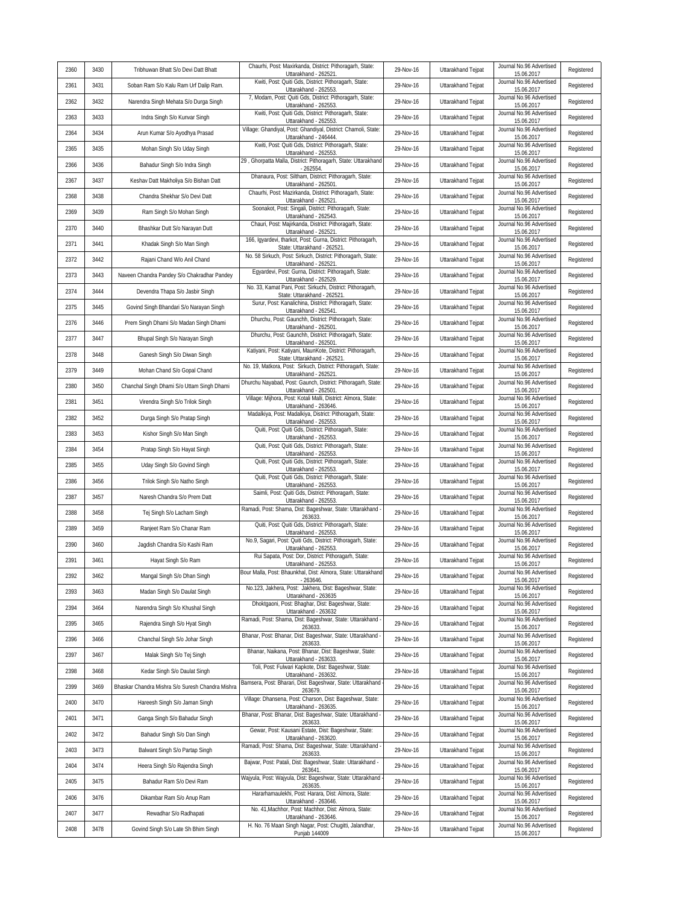| 2360 | 3430 | Tribhuwan Bhatt S/o Devi Datt Bhatt              | Chaurhi, Post: Maxirkanda, District: Pithoragarh, State:                                                | 29-Nov-16 | Uttarakhand Tejpat | Journal No.96 Advertised<br>15.06.2017 | Registered |
|------|------|--------------------------------------------------|---------------------------------------------------------------------------------------------------------|-----------|--------------------|----------------------------------------|------------|
| 2361 | 3431 | Soban Ram S/o Kalu Ram Urf Dalip Ram.            | Uttarakhand - 262521.<br>Kwiti, Post: Quiti Gds, District: Pithoragarh, State:<br>Uttarakhand - 262553. | 29-Nov-16 | Uttarakhand Tejpat | Journal No.96 Advertised<br>15.06.2017 | Registered |
| 2362 | 3432 | Narendra Singh Mehata S/o Durga Singh            | 7, Modam, Post: Quiti Gds, District: Pithoragarh, State:<br>Uttarakhand - 262553.                       | 29-Nov-16 | Uttarakhand Tejpat | Journal No.96 Advertised<br>15.06.2017 | Registered |
| 2363 | 3433 | Indra Singh S/o Kunvar Singh                     | Kwiti, Post: Quiti Gds, District: Pithoragarh, State:<br>Uttarakhand - 262553.                          | 29-Nov-16 | Uttarakhand Tejpat | Journal No.96 Advertised<br>15.06.2017 | Registered |
| 2364 | 3434 | Arun Kumar S/o Ayodhya Prasad                    | Village: Ghandiyal, Post: Ghandiyal, District: Chamoli, State:<br>Uttarakhand - 246444.                 | 29-Nov-16 | Uttarakhand Tejpat | Journal No.96 Advertised<br>15.06.2017 | Registered |
| 2365 | 3435 | Mohan Singh S/o Uday Singh                       | Kwiti, Post: Quiti Gds, District: Pithoragarh, State:<br>Uttarakhand - 262553.                          | 29-Nov-16 | Uttarakhand Tejpat | Journal No.96 Advertised<br>15.06.2017 | Registered |
| 2366 | 3436 | Bahadur Singh S/o Indra Singh                    | 29, Ghorpatta Malla, District: Pithoragarh, State: Uttarakhand<br>$-262554$                             | 29-Nov-16 | Uttarakhand Tejpat | Journal No.96 Advertised<br>15.06.2017 | Registered |
| 2367 | 3437 | Keshav Datt Makholiya S/o Bishan Datt            | Dhanaura, Post: Siltham, District: Pithoragarh, State:<br>Uttarakhand - 262501.                         | 29-Nov-16 | Uttarakhand Tejpat | Journal No.96 Advertised<br>15.06.2017 | Registered |
| 2368 | 3438 | Chandra Shekhar S/o Devi Datt                    | Chaurhi, Post: Mazirkanda, District: Pithoragarh, State:<br>Uttarakhand - 262521                        | 29-Nov-16 | Uttarakhand Tejpat | Journal No.96 Advertised<br>15.06.2017 | Registered |
| 2369 | 3439 | Ram Singh S/o Mohan Singh                        | Soonakot, Post: Singali, District: Pithoragarh, State:<br>Uttarakhand - 262543.                         | 29-Nov-16 | Uttarakhand Teipat | Journal No.96 Advertised<br>15.06.2017 | Registered |
| 2370 | 3440 | Bhashkar Dutt S/o Narayan Dutt                   | Chauri, Post: Majirkanda, District: Pithoragarh, State:<br>Uttarakhand - 262521.                        | 29-Nov-16 | Uttarakhand Tejpat | Journal No.96 Advertised<br>15.06.2017 | Registered |
| 2371 | 3441 | Khadak Singh S/o Man Singh                       | 166, Igyardevi, tharkot, Post: Gurna, District: Pithoragarh,<br>State: Uttarakhand - 262521.            | 29-Nov-16 | Uttarakhand Tejpat | Journal No.96 Advertised<br>15.06.2017 | Registered |
| 2372 | 3442 | Rajani Chand W/o Anil Chand                      | No. 58 Sirkuch, Post: Sirkuch, District: Pithoragarh, State:<br>Uttarakhand - 262521                    | 29-Nov-16 | Uttarakhand Tejpat | Journal No.96 Advertised<br>15.06.2017 | Registered |
| 2373 | 3443 | Naveen Chandra Pandey S/o Chakradhar Pandey      | Egyardevi, Post: Gurna, District: Pithoragarh, State:<br>Uttarakhand - 262529.                          | 29-Nov-16 | Uttarakhand Tejpat | Journal No.96 Advertised<br>15.06.2017 | Registered |
| 2374 | 3444 | Devendra Thapa S/o Jasbir Singh                  | No. 33, Kamat Pani, Post: Sirkuchi, District: Pithoragarh,<br>State: Uttarakhand - 262521               | 29-Nov-16 | Uttarakhand Tejpat | Journal No.96 Advertised<br>15.06.2017 | Registered |
| 2375 | 3445 | Govind Singh Bhandari S/o Narayan Singh          | Surur, Post: Kanalichina, District: Pithoragarh, State:<br>Uttarakhand - 262541.                        | 29-Nov-16 | Uttarakhand Tejpat | Journal No.96 Advertised<br>15.06.2017 | Registered |
| 2376 | 3446 | Prem Singh Dhami S/o Madan Singh Dhami           | Dhurchu, Post: Gaunchh, District: Pithoragarh, State:<br>Uttarakhand - 262501.                          | 29-Nov-16 | Uttarakhand Tejpat | Journal No.96 Advertised<br>15.06.2017 | Registered |
| 2377 | 3447 | Bhupal Singh S/o Narayan Singh                   | Dhurchu, Post: Gaunchh, District: Pithoragarh, State:<br>Uttarakhand - 262501.                          | 29-Nov-16 | Uttarakhand Tejpat | Journal No.96 Advertised<br>15.06.2017 | Registered |
| 2378 | 3448 | Ganesh Singh S/o Diwan Singh                     | Katiyani, Post: Katiyani, MaunKote, District: Pithoragarh,<br>State: Uttarakhand - 262521               | 29-Nov-16 | Uttarakhand Tejpat | Journal No.96 Advertised<br>15.06.2017 | Registered |
| 2379 | 3449 | Mohan Chand S/o Gopal Chand                      | No. 19, Matkora, Post: Sirkuch, District: Pithoragarh, State:<br>Uttarakhand - 262521                   | 29-Nov-16 | Uttarakhand Tejpat | Journal No.96 Advertised<br>15.06.2017 | Registered |
| 2380 | 3450 | Chanchal Singh Dhami S/o Uttam Singh Dhami       | Dhurchu Nayabad, Post: Gaunch, District: Pithoragarh, State:<br>Uttarakhand - 262501.                   | 29-Nov-16 | Uttarakhand Tejpat | Journal No.96 Advertised<br>15.06.2017 | Registered |
| 2381 | 3451 | Virendra Singh S/o Trilok Singh                  | Village: Mijhora, Post: Kotali Malli, District: Almora, State:<br>Uttarakhand - 263646.                 | 29-Nov-16 | Uttarakhand Tejpat | Journal No.96 Advertised<br>15.06.2017 | Registered |
| 2382 | 3452 | Durga Singh S/o Pratap Singh                     | Madalkiya, Post: Madalkiya, District: Pithoragarh, State:<br>Uttarakhand - 262553.                      | 29-Nov-16 | Uttarakhand Tejpat | Journal No.96 Advertised<br>15.06.2017 | Registered |
| 2383 | 3453 | Kishor Singh S/o Man Singh                       | Quiti, Post: Quiti Gds, District: Pithoragarh, State:<br>Uttarakhand - 262553.                          | 29-Nov-16 | Uttarakhand Tejpat | Journal No.96 Advertised<br>15.06.2017 | Registered |
| 2384 | 3454 | Pratap Singh S/o Hayat Singh                     | Quiti, Post: Quiti Gds, District: Pithoragarh, State:<br>Uttarakhand - 262553.                          | 29-Nov-16 | Uttarakhand Tejpat | Journal No.96 Advertised<br>15.06.2017 | Registered |
| 2385 | 3455 | Uday Singh S/o Govind Singh                      | Quiti, Post: Quiti Gds, District: Pithoragarh, State:<br>Uttarakhand - 262553.                          | 29-Nov-16 | Uttarakhand Tejpat | Journal No.96 Advertised<br>15.06.2017 | Registered |
| 2386 | 3456 | Trilok Singh S/o Natho Singh                     | Quiti, Post: Quiti Gds, District: Pithoragarh, State:<br>Uttarakhand - 262553.                          | 29-Nov-16 | Uttarakhand Tejpat | Journal No.96 Advertised<br>15.06.2017 | Registered |
| 2387 | 3457 | Naresh Chandra S/o Prem Datt                     | Saimli, Post: Quiti Gds, District: Pithoragarh, State:<br>Uttarakhand - 262553.                         | 29-Nov-16 | Uttarakhand Tejpat | Journal No.96 Advertised<br>15.06.2017 | Registered |
| 2388 | 3458 | Tej Singh S/o Lacham Singh                       | Ramadi, Post: Shama, Dist: Bageshwar, State: Uttarakhand<br>263633                                      | 29-Nov-16 | Uttarakhand Tejpat | Journal No.96 Advertised<br>15.06.2017 | Registered |
| 2389 | 3459 | Ranjeet Ram S/o Chanar Ram                       | Quiti, Post: Quiti Gds, District: Pithoragarh, State:<br>Uttarakhand - 262553.                          | 29-Nov-16 | Uttarakhand Tejpat | Journal No.96 Advertised<br>15.06.2017 | Registered |
| 2390 | 3460 | Jagdish Chandra S/o Kashi Ram                    | No.9, Sagari, Post: Quiti Gds, District: Pithoragarh, State:<br>Uttarakhand - 262553.                   | 29-Nov-16 | Uttarakhand Tejpat | Journal No.96 Advertised<br>15.06.2017 | Registered |
| 2391 | 3461 | Hayat Singh S/o Ram                              | Rui Sapata, Post: Dor, District: Pithoragarh, State:<br>Uttarakhand - 262553.                           | 29-Nov-16 | Uttarakhand Tejpat | Journal No.96 Advertised<br>15.06.2017 | Registered |
| 2392 | 3462 | Mangal Singh S/o Dhan Singh                      | Bour Malla, Post: Bhaunkhal, Dist: Almora, State: Uttarakhand<br>$-263646.$                             | 29-Nov-16 | Uttarakhand Tejpat | Journal No.96 Advertised<br>15.06.2017 | Registered |
| 2393 | 3463 | Madan Singh S/o Daulat Singh                     | No.123, Jakhera, Post: Jakhera, Dist: Bageshwar, State:<br>Uttarakhand - 263635                         | 29-Nov-16 | Uttarakhand Tejpat | Journal No.96 Advertised<br>15.06.2017 | Registered |
| 2394 | 3464 | Narendra Singh S/o Khushal Singh                 | Dhoktgaoni, Post: Bhaghar, Dist: Bageshwar, State:<br>Uttarakhand - 263632                              | 29-Nov-16 | Uttarakhand Tejpat | Journal No.96 Advertised<br>15.06.2017 | Registered |
| 2395 | 3465 | Rajendra Singh S/o Hyat Singh                    | Ramadi, Post: Shama, Dist: Bageshwar, State: Uttarakhand -<br>263633.                                   | 29-Nov-16 | Uttarakhand Tejpat | Journal No.96 Advertised<br>15.06.2017 | Registered |
| 2396 | 3466 | Chanchal Singh S/o Johar Singh                   | Bhanar, Post: Bhanar, Dist: Bageshwar, State: Uttarakhand -<br>263633                                   | 29-Nov-16 | Uttarakhand Tejpat | Journal No.96 Advertised<br>15.06.2017 | Registered |
| 2397 | 3467 | Malak Singh S/o Tej Singh                        | Bhanar, Naikana, Post: Bhanar, Dist: Bageshwar, State:<br>Uttarakhand - 263633.                         | 29-Nov-16 | Uttarakhand Tejpat | Journal No.96 Advertised<br>15.06.2017 | Registered |
| 2398 | 3468 | Kedar Singh S/o Daulat Singh                     | Toli, Post: Fulwari Kapkote, Dist: Bageshwar, State:<br>Uttarakhand - 263632.                           | 29-Nov-16 | Uttarakhand Teipat | Journal No.96 Advertised<br>15.06.2017 | Registered |
| 2399 | 3469 | Bhaskar Chandra Mishra S/o Suresh Chandra Mishra | Bamsera, Post: Bharari, Dist: Bageshwar, State: Uttarakhand<br>263679.                                  | 29-Nov-16 | Uttarakhand Teipat | Journal No.96 Advertised<br>15.06.2017 | Registered |
| 2400 | 3470 | Hareesh Singh S/o Jaman Singh                    | Village: Dhansena, Post: Charson, Dist: Bageshwar, State:<br>Uttarakhand - 263635.                      | 29-Nov-16 | Uttarakhand Tejpat | Journal No.96 Advertised<br>15.06.2017 | Registered |
| 2401 | 3471 | Ganga Singh S/o Bahadur Singh                    | Bhanar, Post: Bhanar, Dist: Bageshwar, State: Uttarakhand -<br>263633                                   | 29-Nov-16 | Uttarakhand Tejpat | Journal No.96 Advertised<br>15.06.2017 | Registered |
| 2402 | 3472 | Bahadur Singh S/o Dan Singh                      | Gewar, Post: Kausani Estate, Dist: Bageshwar, State:<br>Uttarakhand - 263620.                           | 29-Nov-16 | Uttarakhand Tejpat | Journal No.96 Advertised<br>15.06.2017 | Registered |
| 2403 | 3473 | Balwant Singh S/o Partap Singh                   | Ramadi, Post: Shama, Dist: Bageshwar, State: Uttarakhand -<br>263633                                    | 29-Nov-16 | Uttarakhand Tejpat | Journal No.96 Advertised<br>15.06.2017 | Registered |
| 2404 | 3474 | Heera Singh S/o Rajendra Singh                   | Bajwar, Post: Patali, Dist: Bageshwar, State: Uttarakhand -<br>263641                                   | 29-Nov-16 | Uttarakhand Tejpat | Journal No.96 Advertised<br>15.06.2017 | Registered |
| 2405 | 3475 | Bahadur Ram S/o Devi Ram                         | Wajyula, Post: Wajyula, Dist: Bageshwar, State: Uttarakhand<br>263635.                                  | 29-Nov-16 | Uttarakhand Tejpat | Journal No.96 Advertised<br>15.06.2017 | Registered |
| 2406 | 3476 | Dikambar Ram S/o Anup Ram                        | Hararhamaulekhi, Post: Harara, Dist: Almora, State:<br>Uttarakhand - 263646.                            | 29-Nov-16 | Uttarakhand Tejpat | Journal No.96 Advertised<br>15.06.2017 | Registered |
| 2407 | 3477 | Rewadhar S/o Radhapati                           | No. 41, Machhor, Post: Machhor, Dist: Almora, State:<br>Uttarakhand - 263646.                           | 29-Nov-16 | Uttarakhand Tejpat | Journal No.96 Advertised<br>15.06.2017 | Registered |
| 2408 | 3478 | Govind Singh S/o Late Sh Bhim Singh              | H. No. 76 Maan Singh Nagar, Post: Chugitti, Jalandhar,<br>Punjab 144009                                 | 29-Nov-16 | Uttarakhand Tejpat | Journal No.96 Advertised<br>15.06.2017 | Registered |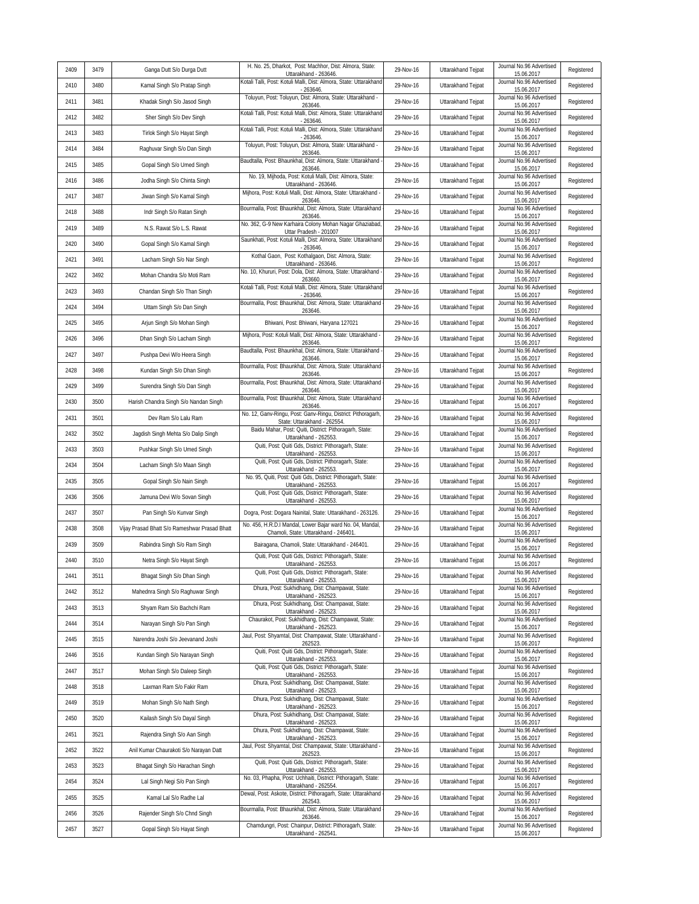| 2409 | 3479 | Ganga Dutt S/o Durga Dutt                     | H. No. 25, Dharkot, Post: Machhor, Dist: Almora, State:<br>Uttarakhand - 263646.                 | 29-Nov-16 | Uttarakhand Tejpat | Journal No.96 Advertised<br>15.06.2017 | Registered |
|------|------|-----------------------------------------------|--------------------------------------------------------------------------------------------------|-----------|--------------------|----------------------------------------|------------|
| 2410 | 3480 | Kamal Singh S/o Pratap Singh                  | Kotali Talli, Post: Kotuli Malli, Dist: Almora, State: Uttarakhand<br>$-263646$                  | 29-Nov-16 | Uttarakhand Tejpat | Journal No.96 Advertised<br>15.06.2017 | Registered |
| 2411 | 3481 | Khadak Singh S/o Jasod Singh                  | Toluyun, Post: Toluyun, Dist: Almora, State: Uttarakhand -<br>263646                             | 29-Nov-16 | Uttarakhand Tejpat | Journal No.96 Advertised<br>15.06.2017 | Registered |
| 2412 | 3482 | Sher Singh S/o Dev Singh                      | Kotali Talli, Post: Kotuli Malli, Dist: Almora, State: Uttarakhand<br>$-263646$                  | 29-Nov-16 | Uttarakhand Tejpat | Journal No.96 Advertised<br>15.06.2017 | Registered |
| 2413 | 3483 | Tirlok Singh S/o Hayat Singh                  | Kotali Talli, Post: Kotuli Malli, Dist: Almora, State: Uttarakhand<br>$-263646$                  | 29-Nov-16 | Uttarakhand Tejpat | Journal No.96 Advertised<br>15.06.2017 | Registered |
| 2414 | 3484 | Raghuvar Singh S/o Dan Singh                  | Toluyun, Post: Toluyun, Dist: Almora, State: Uttarakhand -<br>263646.                            | 29-Nov-16 | Uttarakhand Tejpat | Journal No.96 Advertised<br>15.06.2017 | Registered |
| 2415 | 3485 | Gopal Singh S/o Umed Singh                    | Baudtalla, Post: Bhaunkhal, Dist: Almora, State: Uttarakhand<br>263646.                          | 29-Nov-16 | Uttarakhand Tejpat | Journal No.96 Advertised<br>15.06.2017 | Registered |
| 2416 | 3486 | Jodha Singh S/o Chinta Singh                  | No. 19, Mijhoda, Post: Kotuli Malli, Dist: Almora, State:<br>Uttarakhand - 263646.               | 29-Nov-16 | Uttarakhand Tejpat | Journal No.96 Advertised<br>15.06.2017 | Registered |
| 2417 | 3487 | Jiwan Singh S/o Kamal Singh                   | Mijhora, Post: Kotuli Malli, Dist: Almora, State: Uttarakhand -<br>263646                        | 29-Nov-16 | Uttarakhand Tejpat | Journal No.96 Advertised<br>15.06.2017 | Registered |
| 2418 | 3488 | Indr Singh S/o Ratan Singh                    | Bourmalla, Post: Bhaunkhal, Dist: Almora, State: Uttarakhand<br>263646.                          | 29-Nov-16 | Uttarakhand Tejpat | Journal No.96 Advertised<br>15.06.2017 | Registered |
| 2419 | 3489 | N.S. Rawat S/o L.S. Rawat                     | No. 362, G-9 New Karhaira Colony Mohan Nagar Ghaziabad,<br>Uttar Pradesh - 201007                | 29-Nov-16 | Uttarakhand Tejpat | Journal No.96 Advertised<br>15.06.2017 | Registered |
| 2420 | 3490 | Gopal Singh S/o Kamal Singh                   | Saunkhati, Post: Kotuli Malli, Dist: Almora, State: Uttarakhand<br>$-263646.$                    | 29-Nov-16 | Uttarakhand Tejpat | Journal No.96 Advertised<br>15.06.2017 | Registered |
| 2421 | 3491 | Lacham Singh S/o Nar Singh                    | Kothal Gaon, Post: Kothalgaon, Dist: Almora, State:<br>Uttarakhand - 263646.                     | 29-Nov-16 | Uttarakhand Tejpat | Journal No.96 Advertised<br>15.06.2017 | Registered |
| 2422 | 3492 | Mohan Chandra S/o Moti Ram                    | No. 10, Khururi, Post: Dola, Dist: Almora, State: Uttarakhand<br>263660                          | 29-Nov-16 | Uttarakhand Tejpat | Journal No.96 Advertised<br>15.06.2017 | Registered |
| 2423 | 3493 | Chandan Singh S/o Than Singh                  | Kotali Talli, Post: Kotuli Malli, Dist: Almora, State: Uttarakhand<br>$-263646.$                 | 29-Nov-16 | Uttarakhand Tejpat | Journal No.96 Advertised<br>15.06.2017 | Registered |
| 2424 | 3494 | Uttam Singh S/o Dan Singh                     | Bourmalla, Post: Bhaunkhal, Dist: Almora, State: Uttarakhand<br>263646                           | 29-Nov-16 | Uttarakhand Tejpat | Journal No.96 Advertised<br>15.06.2017 | Registered |
| 2425 | 3495 | Arjun Singh S/o Mohan Singh                   | Bhiwani, Post: Bhiwani, Haryana 127021                                                           | 29-Nov-16 | Uttarakhand Tejpat | Journal No.96 Advertised<br>15.06.2017 | Registered |
| 2426 | 3496 | Dhan Singh S/o Lacham Singh                   | Mijhora, Post: Kotuli Malli, Dist: Almora, State: Uttarakhand -<br>263646.                       | 29-Nov-16 | Uttarakhand Teipat | Journal No.96 Advertised<br>15.06.2017 | Registered |
| 2427 | 3497 | Pushpa Devi W/o Heera Singh                   | Baudtalla, Post: Bhaunkhal, Dist: Almora, State: Uttarakhand<br>263646                           | 29-Nov-16 | Uttarakhand Tejpat | Journal No.96 Advertised<br>15.06.2017 | Registered |
| 2428 | 3498 | Kundan Singh S/o Dhan Singh                   | Bourmalla, Post: Bhaunkhal, Dist: Almora, State: Uttarakhand<br>263646                           | 29-Nov-16 | Uttarakhand Tejpat | Journal No.96 Advertised<br>15.06.2017 | Registered |
| 2429 | 3499 | Surendra Singh S/o Dan Singh                  | Bourmalla, Post: Bhaunkhal, Dist: Almora, State: Uttarakhand<br>263646                           | 29-Nov-16 | Uttarakhand Tejpat | Journal No.96 Advertised<br>15.06.2017 | Registered |
| 2430 | 3500 | Harish Chandra Singh S/o Nandan Singh         | Bourmalla, Post: Bhaunkhal, Dist: Almora, State: Uttarakhand<br>263646.                          | 29-Nov-16 | Uttarakhand Tejpat | Journal No.96 Advertised<br>15.06.2017 | Registered |
| 2431 | 3501 | Dev Ram S/o Lalu Ram                          | No. 12, Ganv-Ringu, Post: Ganv-Ringu, District: Pithoragarh,<br>State: Uttarakhand - 262554.     | 29-Nov-16 | Uttarakhand Tejpat | Journal No.96 Advertised<br>15.06.2017 | Registered |
| 2432 | 3502 | Jagdish Singh Mehta S/o Dalip Singh           | Baidu Mahar, Post: Quiti, District: Pithoragarh, State:<br>Uttarakhand - 262553.                 | 29-Nov-16 | Uttarakhand Tejpat | Journal No.96 Advertised<br>15.06.2017 | Registered |
| 2433 | 3503 | Pushkar Singh S/o Umed Singh                  | Quiti, Post: Quiti Gds, District: Pithoragarh, State:<br>Uttarakhand - 262553.                   | 29-Nov-16 | Uttarakhand Tejpat | Journal No.96 Advertised<br>15.06.2017 | Registered |
| 2434 | 3504 | Lacham Singh S/o Maan Singh                   | Quiti, Post: Quiti Gds, District: Pithoragarh, State:<br>Uttarakhand - 262553.                   | 29-Nov-16 | Uttarakhand Tejpat | Journal No.96 Advertised<br>15.06.2017 | Registered |
| 2435 | 3505 | Gopal Singh S/o Nain Singh                    | No. 95, Quiti, Post: Quiti Gds, District: Pithoragarh, State:<br>Uttarakhand - 262553.           | 29-Nov-16 | Uttarakhand Tejpat | Journal No.96 Advertised<br>15.06.2017 | Registered |
| 2436 | 3506 | Jamuna Devi W/o Sovan Singh                   | Quiti, Post: Quiti Gds, District: Pithoragarh, State:<br>Uttarakhand - 262553                    | 29-Nov-16 | Uttarakhand Tejpat | Journal No.96 Advertised<br>15.06.2017 | Registered |
| 2437 | 3507 | Pan Singh S/o Kunvar Singh                    | Dogra, Post: Dogara Nainital, State: Uttarakhand - 263126.                                       | 29-Nov-16 | Uttarakhand Tejpat | Journal No.96 Advertised<br>15.06.2017 | Registered |
| 2438 | 3508 | Vijay Prasad Bhatt S/o Rameshwar Prasad Bhatt | No. 456, H.R.D.I Mandal, Lower Bajar ward No. 04, Mandal<br>Chamoli, State: Uttarakhand - 246401 | 29-Nov-16 | Uttarakhand Tejpat | Journal No.96 Advertised<br>15.06.2017 | Registered |
| 2439 | 3509 | Rabindra Singh S/o Ram Singh                  | Bairagana, Chamoli, State: Uttarakhand - 246401                                                  | 29-Nov-16 | Uttarakhand Tejpat | Journal No.96 Advertised<br>15.06.2017 | Registered |
| 2440 | 3510 | Netra Singh S/o Hayat Singh                   | Quiti, Post: Quiti Gds, District: Pithoragarh, State:<br>Uttarakhand - 262553.                   | 29-Nov-16 | Uttarakhand Tejpat | Journal No.96 Advertised<br>15.06.2017 | Registered |
| 2441 | 3511 | Bhagat Singh S/o Dhan Singh                   | Quiti, Post: Quiti Gds, District: Pithoragarh, State:<br>Uttarakhand - 262553.                   | 29-Nov-16 | Uttarakhand Tejpat | Journal No.96 Advertised<br>15.06.2017 | Registered |
| 2442 | 3512 | Mahednra Singh S/o Raghuwar Singh             | Dhura, Post: Sukhidhang, Dist: Champawat, State:<br>Uttarakhand - 262523.                        | 29-Nov-16 | Uttarakhand Tejpat | Journal No.96 Advertised<br>15.06.2017 | Registered |
| 2443 | 3513 | Shyam Ram S/o Bachchi Ram                     | Dhura, Post: Sukhidhang, Dist: Champawat, State:<br>Uttarakhand - 262523.                        | 29-Nov-16 | Uttarakhand Tejpat | Journal No.96 Advertised<br>15.06.2017 | Registered |
| 2444 | 3514 | Narayan Singh S/o Pan Singh                   | Chaurakot, Post: Sukhidhang, Dist: Champawat, State:<br>Uttarakhand - 262523                     | 29-Nov-16 | Uttarakhand Tejpat | Journal No.96 Advertised<br>15.06.2017 | Registered |
| 2445 | 3515 | Narendra Joshi S/o Jeevanand Joshi            | Jaul, Post: Shyamtal, Dist: Champawat, State: Uttarakhand -<br>262523                            | 29-Nov-16 | Uttarakhand Tejpat | Journal No.96 Advertised<br>15.06.2017 | Registered |
| 2446 | 3516 | Kundan Singh S/o Narayan Singh                | Quiti, Post: Quiti Gds, District: Pithoragarh, State:<br>Uttarakhand - 262553.                   | 29-Nov-16 | Uttarakhand Tejpat | Journal No.96 Advertised<br>15.06.2017 | Registered |
| 2447 | 3517 | Mohan Singh S/o Daleep Singh                  | Quiti, Post: Quiti Gds, District: Pithoragarh, State:<br>Uttarakhand - 262553.                   | 29-Nov-16 | Uttarakhand Tejpat | Journal No.96 Advertised<br>15.06.2017 | Registered |
| 2448 | 3518 | Laxman Ram S/o Fakir Ram                      | Dhura, Post: Sukhidhang, Dist: Champawat, State:<br>Uttarakhand - 262523.                        | 29-Nov-16 | Uttarakhand Tejpat | Journal No.96 Advertised<br>15.06.2017 | Registered |
| 2449 | 3519 | Mohan Singh S/o Nath Singh                    | Dhura, Post: Sukhidhang, Dist: Champawat, State:<br>Uttarakhand - 262523.                        | 29-Nov-16 | Uttarakhand Tejpat | Journal No.96 Advertised<br>15.06.2017 | Registered |
| 2450 | 3520 | Kailash Singh S/o Dayal Singh                 | Dhura, Post: Sukhidhang, Dist: Champawat, State:<br>Uttarakhand - 262523.                        | 29-Nov-16 | Uttarakhand Tejpat | Journal No.96 Advertised<br>15.06.2017 | Registered |
| 2451 | 3521 | Rajendra Singh S/o Aan Singh                  | Dhura, Post: Sukhidhang, Dist: Champawat, State:<br>Uttarakhand - 262523.                        | 29-Nov-16 | Uttarakhand Tejpat | Journal No.96 Advertised<br>15.06.2017 | Registered |
| 2452 | 3522 | Anil Kumar Chaurakoti S/o Narayan Datt        | Jaul, Post: Shyamtal, Dist: Champawat, State: Uttarakhand<br>262523                              | 29-Nov-16 | Uttarakhand Tejpat | Journal No.96 Advertised<br>15.06.2017 | Registered |
| 2453 | 3523 | Bhagat Singh S/o Harachan Singh               | Quiti, Post: Quiti Gds, District: Pithoragarh, State:<br>Uttarakhand - 262553.                   | 29-Nov-16 | Uttarakhand Tejpat | Journal No.96 Advertised<br>15.06.2017 | Registered |
| 2454 | 3524 | Lal Singh Negi S/o Pan Singh                  | No. 03, Phapha, Post: Uchhaiti, District: Pithoragarh, State:<br>Uttarakhand - 262554.           | 29-Nov-16 | Uttarakhand Tejpat | Journal No.96 Advertised<br>15.06.2017 | Registered |
| 2455 | 3525 | Kamal Lal S/o Radhe Lal                       | Dewal, Post: Askote, District: Pithoragarh, State: Uttarakhand<br>262543.                        | 29-Nov-16 | Uttarakhand Tejpat | Journal No.96 Advertised<br>15.06.2017 | Registered |
| 2456 | 3526 | Rajender Singh S/o Chnd Singh                 | Bourmalla, Post: Bhaunkhal, Dist: Almora, State: Uttarakhand<br>263646.                          | 29-Nov-16 | Uttarakhand Tejpat | Journal No.96 Advertised<br>15.06.2017 | Registered |
| 2457 | 3527 | Gopal Singh S/o Hayat Singh                   | Chamdungri, Post: Chainpur, District: Pithoragarh, State:<br>Uttarakhand - 262541.               | 29-Nov-16 | Uttarakhand Teipat | Journal No.96 Advertised<br>15.06.2017 | Registered |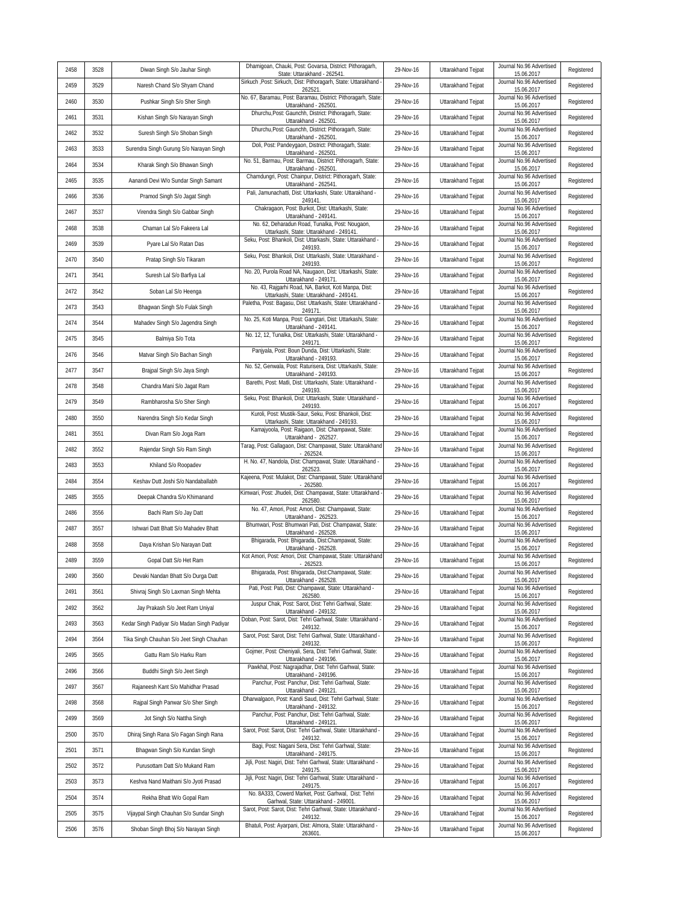| 2458 | 3528 | Diwan Singh S/o Jauhar Singh                | Dhamigoan, Chauki, Post: Govarsa, District: Pithoragarh,<br>State: Uttarakhand - 262541           | 29-Nov-16 | Uttarakhand Tejpat        | Journal No.96 Advertised<br>15.06.2017 | Registered |
|------|------|---------------------------------------------|---------------------------------------------------------------------------------------------------|-----------|---------------------------|----------------------------------------|------------|
| 2459 | 3529 | Naresh Chand S/o Shyam Chand                | Sirkuch , Post: Sirkuch, Dist: Pithoragarh, State: Uttarakhand -<br>262521                        | 29-Nov-16 | Uttarakhand Tejpat        | Journal No.96 Advertised<br>15.06.2017 | Registered |
| 2460 | 3530 | Pushkar Singh S/o Sher Singh                | No. 67, Baramau, Post: Baramau, District: Pithoragarh, State:<br>Uttarakhand - 262501             | 29-Nov-16 | Uttarakhand Tejpat        | Journal No.96 Advertised<br>15.06.2017 | Registered |
| 2461 | 3531 | Kishan Singh S/o Narayan Singh              | Dhurchu, Post: Gaunchh, District: Pithoragarh, State:<br>Uttarakhand - 262501                     | 29-Nov-16 | Uttarakhand Tejpat        | Journal No.96 Advertised<br>15.06.2017 | Registered |
| 2462 | 3532 | Suresh Singh S/o Shoban Singh               | Dhurchu, Post: Gaunchh, District: Pithoragarh, State:<br>Uttarakhand - 262501.                    | 29-Nov-16 | Uttarakhand Tejpat        | Journal No.96 Advertised<br>15.06.2017 | Registered |
| 2463 | 3533 | Surendra Singh Gurung S/o Narayan Singh     | Doli, Post: Pandeygaon, District: Pithoragarh, State:<br>Uttarakhand - 262501                     | 29-Nov-16 | Uttarakhand Tejpat        | Journal No.96 Advertised<br>15.06.2017 | Registered |
| 2464 | 3534 | Kharak Singh S/o Bhawan Singh               | No. 51, Barmau, Post: Barmau, District: Pithoragarh, State:<br>Uttarakhand - 262501               | 29-Nov-16 | Uttarakhand Tejpat        | Journal No.96 Advertised<br>15.06.2017 | Registered |
| 2465 | 3535 | Aanandi Devi W/o Sundar Singh Samant        | Chamdungri, Post: Chainpur, District: Pithoragarh, State:<br>Uttarakhand - 262541.                | 29-Nov-16 | Uttarakhand Tejpat        | Journal No.96 Advertised<br>15.06.2017 | Registered |
| 2466 | 3536 | Pramod Singh S/o Jagat Singh                | Pali, Jamunachatti, Dist: Uttarkashi, State: Uttarakhand -<br>249141                              | 29-Nov-16 | Uttarakhand Tejpat        | Journal No.96 Advertised<br>15.06.2017 | Registered |
| 2467 | 3537 | Virendra Singh S/o Gabbar Singh             | Chakragaon, Post: Burkot, Dist: Uttarkashi, State:<br>Uttarakhand - 249141                        | 29-Nov-16 | Uttarakhand Tejpat        | Journal No.96 Advertised<br>15.06.2017 | Registered |
| 2468 | 3538 | Chaman Lal S/o Fakeera Lal                  | No. 62, Deharadun Road, Tunalka, Post: Nougaon,<br>Uttarkashi, State: Uttarakhand - 249141.       | 29-Nov-16 | Uttarakhand Tejpat        | Journal No.96 Advertised<br>15.06.2017 | Registered |
| 2469 | 3539 | Pyare Lal S/o Ratan Das                     | Seku, Post: Bhankoli, Dist: Uttarkashi, State: Uttarakhand -<br>249193                            | 29-Nov-16 | Uttarakhand Tejpat        | Journal No.96 Advertised<br>15.06.2017 | Registered |
| 2470 | 3540 | Pratap Singh S/o Tikaram                    | Seku, Post: Bhankoli, Dist: Uttarkashi, State: Uttarakhand -<br>249193                            | 29-Nov-16 | Uttarakhand Tejpat        | Journal No.96 Advertised<br>15.06.2017 | Registered |
| 2471 | 3541 | Suresh Lal S/o Barfiya Lal                  | No. 20, Purola Road NA, Naugaon, Dist: Uttarkashi, State:<br>Uttarakhand - 249171                 | 29-Nov-16 | Uttarakhand Tejpat        | Journal No.96 Advertised<br>15.06.2017 | Registered |
| 2472 | 3542 | Soban Lal S/o Heenga                        | No. 43, Rajgarhi Road, NA, Barkot, Koti Manpa, Dist:<br>Uttarkashi, State: Uttarakhand - 249141.  | 29-Nov-16 | Uttarakhand Tejpat        | Journal No.96 Advertised<br>15.06.2017 | Registered |
| 2473 | 3543 | Bhagwan Singh S/o Fulak Singh               | Paletha, Post: Bagasu, Dist: Uttarkashi, State: Uttarakhand -<br>249171                           | 29-Nov-16 | Uttarakhand Tejpat        | Journal No.96 Advertised<br>15.06.2017 | Registered |
| 2474 | 3544 | Mahadev Singh S/o Jagendra Singh            | No. 25, Koti Manpa, Post: Gangtari, Dist: Uttarkashi, State:<br>Uttarakhand - 249141              | 29-Nov-16 | Uttarakhand Tejpat        | Journal No.96 Advertised<br>15.06.2017 | Registered |
| 2475 | 3545 | Balmiya S/o Tota                            | No. 12, 12, Tunalka, Dist: Uttarkashi, State: Uttarakhand -<br>249171                             | 29-Nov-16 | Uttarakhand Tejpat        | Journal No.96 Advertised<br>15.06.2017 | Registered |
| 2476 | 3546 | Matvar Singh S/o Bachan Singh               | Panjyala, Post: Boun Dunda, Dist: Uttarkashi, State:<br>Uttarakhand - 249193.                     | 29-Nov-16 | Uttarakhand Tejpat        | Journal No.96 Advertised<br>15.06.2017 | Registered |
| 2477 | 3547 | Brajpal Singh S/o Jaya Singh                | No. 52, Genwala, Post: Raturisera, Dist: Uttarkashi, State:<br>Uttarakhand - 249193.              | 29-Nov-16 | Uttarakhand Tejpat        | Journal No.96 Advertised<br>15.06.2017 | Registered |
| 2478 | 3548 | Chandra Mani S/o Jagat Ram                  | Barethi, Post: Matli, Dist: Uttarkashi, State: Uttarakhand -<br>249193                            | 29-Nov-16 | Uttarakhand Tejpat        | Journal No.96 Advertised<br>15.06.2017 | Registered |
| 2479 | 3549 | Rambharosha S/o Sher Singh                  | Seku, Post: Bhankoli, Dist: Uttarkashi, State: Uttarakhand -<br>249193                            | 29-Nov-16 | Uttarakhand Tejpat        | Journal No.96 Advertised<br>15.06.2017 | Registered |
| 2480 | 3550 | Narendra Singh S/o Kedar Singh              | Kuroli, Post: Mustik-Saur, Seku, Post: Bhankoli, Dist:<br>Uttarkashi, State: Uttarakhand - 249193 | 29-Nov-16 | Uttarakhand Tejpat        | Journal No.96 Advertised<br>15.06.2017 | Registered |
| 2481 | 3551 | Divan Ram S/o Joga Ram                      | Kamajyoola, Post: Raigaon, Dist: Champawat, State:<br>Uttarakhand - 262527.                       | 29-Nov-16 | Uttarakhand Tejpat        | Journal No.96 Advertised<br>15.06.2017 | Registered |
| 2482 | 3552 | Rajendar Singh S/o Ram Singh                | Tarag, Post: Gallagaon, Dist: Champawat, State: Uttarakhand<br>$-262524$                          | 29-Nov-16 | Uttarakhand Tejpat        | Journal No.96 Advertised<br>15.06.2017 | Registered |
| 2483 | 3553 | Khiland S/o Roopadev                        | H. No. 47, Nandola, Dist: Champawat, State: Uttarakhand -<br>262523                               | 29-Nov-16 | Uttarakhand Tejpat        | Journal No.96 Advertised<br>15.06.2017 | Registered |
| 2484 | 3554 | Keshav Dutt Joshi S/o Nandaballabh          | Kajeena, Post: Mulakot, Dist: Champawat, State: Uttarakhand<br>$-262580$                          | 29-Nov-16 | Uttarakhand Tejpat        | Journal No.96 Advertised<br>15.06.2017 | Registered |
| 2485 | 3555 | Deepak Chandra S/o Khimanand                | Kimwari, Post: Jhudeli, Dist: Champawat, State: Uttarakhand<br>262580                             | 29-Nov-16 | Uttarakhand Tejpat        | Journal No.96 Advertised<br>15.06.2017 | Registered |
| 2486 | 3556 | Bachi Ram S/o Jay Datt                      | No. 47, Amori, Post: Amori, Dist: Champawat, State:<br>Uttarakhand - 262523                       | 29-Nov-16 | Uttarakhand Tejpat        | Journal No.96 Advertised<br>15.06.2017 | Registered |
| 2487 | 3557 | Ishwari Datt Bhatt S/o Mahadev Bhatt        | Bhumwari, Post: Bhumwari Pati, Dist: Champawat, State:<br>Uttarakhand - 262528.                   | 29-Nov-16 | Uttarakhand Tejpat        | Journal No.96 Advertised<br>15.06.2017 | Registered |
| 2488 | 3558 | Daya Krishan S/o Narayan Datt               | Bhigarada, Post: Bhigarada, Dist:Champawat, State:<br>Uttarakhand - 262528.                       | 29-Nov-16 | Uttarakhand Tejpat        | Journal No.96 Advertised<br>15.06.2017 | Registered |
| 2489 | 3559 | Gopal Datt S/o Het Ram                      | Kot Amori, Post: Amori, Dist: Champawat, State: Uttarakhand<br>$-262523.$                         | 29-Nov-16 | <b>Uttarakhand Teipat</b> | Journal No.96 Advertised<br>15.06.2017 | Registered |
| 2490 | 3560 | Devaki Nandan Bhatt S/o Durga Datt          | Bhigarada, Post: Bhigarada, Dist:Champawat, State:<br>Uttarakhand - 262528.                       | 29-Nov-16 | Uttarakhand Tejpat        | Journal No.96 Advertised<br>15.06.2017 | Registered |
| 2491 | 3561 | Shivraj Singh S/o Laxman Singh Mehta        | Pati, Post: Pati, Dist: Champawat, State: Uttarakhand -<br>262580.                                | 29-Nov-16 | Uttarakhand Tejpat        | Journal No.96 Advertised<br>15.06.2017 | Registered |
| 2492 | 3562 | Jay Prakash S/o Jeet Ram Uniyal             | Juspur Chak, Post: Sarot, Dist: Tehri Garhwal, State:<br>Uttarakhand - 249132.                    | 29-Nov-16 | Uttarakhand Tejpat        | Journal No.96 Advertised<br>15.06.2017 | Registered |
| 2493 | 3563 | Kedar Singh Padiyar S/o Madan Singh Padiyar | Doban, Post: Sarot, Dist: Tehri Garhwal, State: Uttarakhand -<br>249132                           | 29-Nov-16 | Uttarakhand Tejpat        | Journal No.96 Advertised<br>15.06.2017 | Registered |
| 2494 | 3564 | Tika Singh Chauhan S/o Jeet Singh Chauhan   | Sarot, Post: Sarot, Dist: Tehri Garhwal, State: Uttarakhand -<br>249132                           | 29-Nov-16 | Uttarakhand Tejpat        | Journal No.96 Advertised<br>15.06.2017 | Registered |
| 2495 | 3565 | Gattu Ram S/o Harku Ram                     | Gojmer, Post: Cheniyali, Sera, Dist: Tehri Garhwal, State:<br>Uttarakhand - 249196.               | 29-Nov-16 | Uttarakhand Tejpat        | Journal No.96 Advertised<br>15.06.2017 | Registered |
| 2496 | 3566 | Buddhi Singh S/o Jeet Singh                 | Pawkhal, Post: Nagrajadhar, Dist: Tehri Garhwal, State:<br>Uttarakhand - 249196.                  | 29-Nov-16 | Uttarakhand Tejpat        | Journal No.96 Advertised<br>15.06.2017 | Registered |
| 2497 | 3567 | Rajaneesh Kant S/o Mahidhar Prasad          | Panchur, Post: Panchur, Dist: Tehri Garhwal, State:<br>Uttarakhand - 249121                       | 29-Nov-16 | Uttarakhand Tejpat        | Journal No.96 Advertised<br>15.06.2017 | Registered |
| 2498 | 3568 | Rajpal Singh Panwar S/o Sher Singh          | Dharwalgaon, Post: Kandi Saud, Dist: Tehri Garhwal, State:<br>Uttarakhand - 249132.               | 29-Nov-16 | Uttarakhand Tejpat        | Journal No.96 Advertised<br>15.06.2017 | Registered |
| 2499 | 3569 | Jot Singh S/o Nattha Singh                  | Panchur, Post: Panchur, Dist: Tehri Garhwal, State:<br>Uttarakhand - 249121                       | 29-Nov-16 | Uttarakhand Teipat        | Journal No.96 Advertised<br>15.06.2017 | Registered |
| 2500 | 3570 | Dhiraj Singh Rana S/o Fagan Singh Rana      | Sarot, Post: Sarot, Dist: Tehri Garhwal, State: Uttarakhand -<br>249132                           | 29-Nov-16 | Uttarakhand Tejpat        | Journal No.96 Advertised<br>15.06.2017 | Registered |
| 2501 | 3571 | Bhagwan Singh S/o Kundan Singh              | Bagi, Post: Nagani Sera, Dist: Tehri Garhwal, State:<br>Uttarakhand - 249175.                     | 29-Nov-16 | Uttarakhand Tejpat        | Journal No.96 Advertised<br>15.06.2017 | Registered |
| 2502 | 3572 | Purusottam Datt S/o Mukand Ram              | Jijli, Post: Nagiri, Dist: Tehri Garhwal, State: Uttarakhand -<br>249175.                         | 29-Nov-16 | Uttarakhand Tejpat        | Journal No.96 Advertised<br>15.06.2017 | Registered |
| 2503 | 3573 | Keshva Nand Maithani S/o Jyoti Prasad       | Jijli, Post: Nagiri, Dist: Tehri Garhwal, State: Uttarakhand -<br>249175                          | 29-Nov-16 | <b>Uttarakhand Teipat</b> | Journal No.96 Advertised<br>15.06.2017 | Registered |
| 2504 | 3574 | Rekha Bhatt W/o Gopal Ram                   | No. 8A333, Cowerd Market, Post: Garhwal, Dist: Tehri<br>Garhwal, State: Uttarakhand - 249001.     | 29-Nov-16 | Uttarakhand Tejpat        | Journal No.96 Advertised<br>15.06.2017 | Registered |
| 2505 | 3575 | Vijaypal Singh Chauhan S/o Sundar Singh     | Sarot, Post: Sarot, Dist: Tehri Garhwal, State: Uttarakhand -<br>249132.                          | 29-Nov-16 | Uttarakhand Tejpat        | Journal No.96 Advertised<br>15.06.2017 | Registered |
| 2506 | 3576 | Shoban Singh Bhoj S/o Narayan Singh         | Bhatuli, Post: Ayarpani, Dist: Almora, State: Uttarakhand -<br>263601                             | 29-Nov-16 | Uttarakhand Tejpat        | Journal No.96 Advertised<br>15.06.2017 | Registered |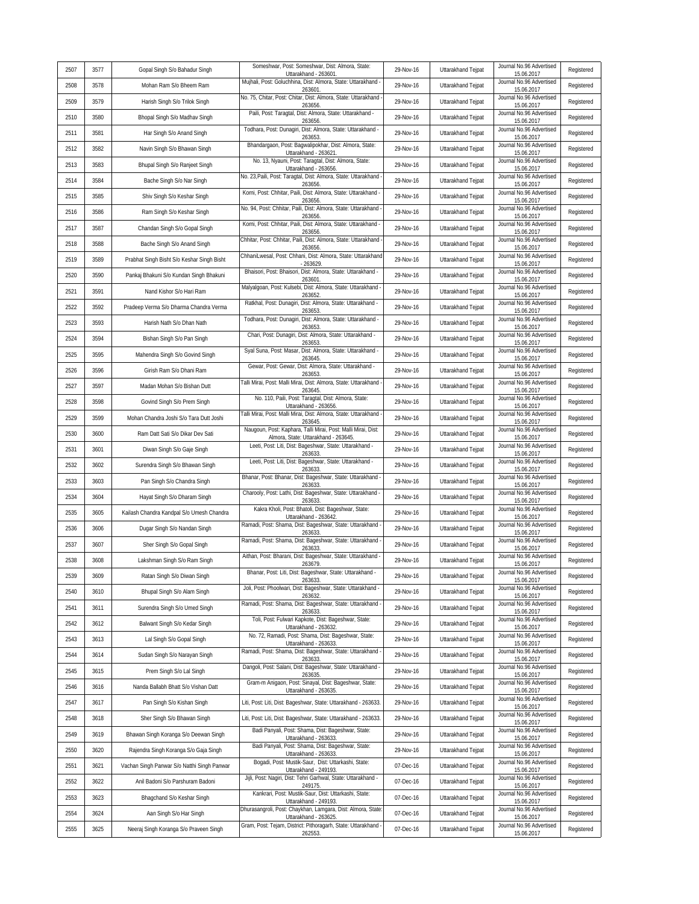| 2507 | 3577 | Gopal Singh S/o Bahadur Singh               | Someshwar, Post: Someshwar, Dist: Almora, State:                                                 | 29-Nov-16 | Uttarakhand Tejpat | Journal No.96 Advertised               | Registered |
|------|------|---------------------------------------------|--------------------------------------------------------------------------------------------------|-----------|--------------------|----------------------------------------|------------|
| 2508 | 3578 | Mohan Ram S/o Bheem Ram                     | Uttarakhand - 263601<br>Mujhali, Post: Goluchhina, Dist: Almora, State: Uttarakhand -            | 29-Nov-16 | Uttarakhand Tejpat | 15.06.2017<br>Journal No.96 Advertised | Registered |
| 2509 | 3579 | Harish Singh S/o Trilok Singh               | 263601<br>No. 75, Chitar, Post: Chitar, Dist: Almora, State: Uttarakhand                         | 29-Nov-16 | Uttarakhand Tejpat | 15.06.2017<br>Journal No.96 Advertised | Registered |
| 2510 | 3580 | Bhopal Singh S/o Madhav Singh               | 263656<br>Paili, Post: Taragtal, Dist: Almora, State: Uttarakhand -                              | 29-Nov-16 | Uttarakhand Tejpat | 15.06.2017<br>Journal No.96 Advertised | Registered |
| 2511 | 3581 | Har Singh S/o Anand Singh                   | 263656<br>Todhara, Post: Dunaqiri, Dist: Almora, State: Uttarakhand -                            | 29-Nov-16 | Uttarakhand Tejpat | 15.06.2017<br>Journal No.96 Advertised | Registered |
| 2512 | 3582 | Navin Singh S/o Bhawan Singh                | 263653<br>Bhandargaon, Post: Bagwalipokhar, Dist: Almora, State:                                 | 29-Nov-16 | Uttarakhand Tejpat | 15.06.2017<br>Journal No.96 Advertised | Registered |
| 2513 | 3583 | Bhupal Singh S/o Ranjeet Singh              | Uttarakhand - 263621<br>No. 13, Nyauni, Post: Taragtal, Dist: Almora, State:                     | 29-Nov-16 | Uttarakhand Tejpat | 15.06.2017<br>Journal No.96 Advertised | Registered |
| 2514 | 3584 | Bache Singh S/o Nar Singh                   | Uttarakhand - 263656.<br>No. 23, Paili, Post: Taragtal, Dist: Almora, State: Uttarakhand         | 29-Nov-16 | Uttarakhand Tejpat | 15.06.2017<br>Journal No.96 Advertised | Registered |
| 2515 | 3585 | Shiv Singh S/o Keshar Singh                 | 263656.<br>Korni, Post: Chhitar, Paili, Dist: Almora, State: Uttarakhand -                       | 29-Nov-16 | Uttarakhand Tejpat | 15.06.2017<br>Journal No.96 Advertised | Registered |
| 2516 | 3586 | Ram Singh S/o Keshar Singh                  | 263656<br>No. 94, Post: Chhitar, Paili, Dist: Almora, State: Uttarakhand                         | 29-Nov-16 | Uttarakhand Tejpat | 15.06.2017<br>Journal No.96 Advertised | Registered |
| 2517 | 3587 | Chandan Singh S/o Gopal Singh               | 263656<br>Korni, Post: Chhitar, Paili, Dist: Almora, State: Uttarakhand -                        | 29-Nov-16 | Uttarakhand Tejpat | 15.06.2017<br>Journal No.96 Advertised | Registered |
| 2518 | 3588 | Bache Singh S/o Anand Singh                 | 263656.<br>Chhitar, Post: Chhitar, Paili, Dist: Almora, State: Uttarakhand                       | 29-Nov-16 | Uttarakhand Tejpat | 15.06.2017<br>Journal No.96 Advertised | Registered |
| 2519 | 3589 | Prabhat Singh Bisht S/o Keshar Singh Bisht  | 263656<br>ChhaniLwesal, Post: Chhani, Dist: Almora, State: Uttarakhand                           | 29-Nov-16 | Uttarakhand Tejpat | 15.06.2017<br>Journal No.96 Advertised | Registered |
| 2520 | 3590 | Pankaj Bhakuni S/o Kundan Singh Bhakuni     | - 263629<br>Bhaisori, Post: Bhaisori, Dist: Almora, State: Uttarakhand -                         | 29-Nov-16 | Uttarakhand Tejpat | 15.06.2017<br>Journal No.96 Advertised | Registered |
| 2521 | 3591 | Nand Kishor S/o Hari Ram                    | 263601<br>Malyalgoan, Post: Kulsebi, Dist: Almora, State: Uttarakhand                            | 29-Nov-16 |                    | 15.06.2017<br>Journal No.96 Advertised | Registered |
|      |      |                                             | 263652<br>Ratkhal, Post: Dunaqiri, Dist: Almora, State: Uttarakhand -                            |           | Uttarakhand Tejpat | 15.06.2017<br>Journal No.96 Advertised |            |
| 2522 | 3592 | Pradeep Verma S/o Dharma Chandra Verma      | 263653<br>Todhara, Post: Dunagiri, Dist: Almora, State: Uttarakhand -                            | 29-Nov-16 | Uttarakhand Tejpat | 15.06.2017<br>Journal No.96 Advertised | Registered |
| 2523 | 3593 | Harish Nath S/o Dhan Nath                   | 263653<br>Chari, Post: Dunagiri, Dist: Almora, State: Uttarakhand -                              | 29-Nov-16 | Uttarakhand Teipat | 15.06.2017<br>Journal No.96 Advertised | Registered |
| 2524 | 3594 | Bishan Singh S/o Pan Singh                  | 263653<br>Syal Suna, Post: Masar, Dist: Almora, State: Uttarakhand -                             | 29-Nov-16 | Uttarakhand Tejpat | 15.06.2017<br>Journal No.96 Advertised | Registered |
| 2525 | 3595 | Mahendra Singh S/o Govind Singh             | 263645.<br>Gewar, Post: Gewar, Dist: Almora, State: Uttarakhand -                                | 29-Nov-16 | Uttarakhand Tejpat | 15.06.2017<br>Journal No.96 Advertised | Registered |
| 2526 | 3596 | Girish Ram S/o Dhani Ram                    | 263653<br>Talli Mirai, Post: Malli Mirai, Dist: Almora, State: Uttarakhand                       | 29-Nov-16 | Uttarakhand Tejpat | 15.06.2017<br>Journal No.96 Advertised | Registered |
| 2527 | 3597 | Madan Mohan S/o Bishan Dutt                 | 263645<br>No. 110, Paili, Post: Taragtal, Dist: Almora, State:                                   | 29-Nov-16 | Uttarakhand Tejpat | 15.06.2017<br>Journal No.96 Advertised | Registered |
| 2528 | 3598 | Govind Singh S/o Prem Singh                 | Uttarakhand - 263656.<br>Falli Mirai, Post: Malli Mirai, Dist: Almora, State: Uttarakhand        | 29-Nov-16 | Uttarakhand Tejpat | 15.06.2017<br>Journal No.96 Advertised | Registered |
| 2529 | 3599 | Mohan Chandra Joshi S/o Tara Dutt Joshi     | 263645<br>Naugoun, Post: Kaphara, Talli Mirai, Post: Malli Mirai, Dist:                          | 29-Nov-16 | Uttarakhand Tejpat | 15.06.2017<br>Journal No.96 Advertised | Registered |
| 2530 | 3600 | Ram Datt Sati S/o Dikar Dev Sati            | Almora, State: Uttarakhand - 263645.<br>Leeti, Post: Liti, Dist: Bageshwar, State: Uttarakhand - | 29-Nov-16 | Uttarakhand Tejpat | 15.06.2017<br>Journal No.96 Advertised | Registered |
| 2531 | 3601 | Diwan Singh S/o Gaje Singh                  | 263633.<br>Leeti, Post: Liti, Dist: Bageshwar, State: Uttarakhand -                              | 29-Nov-16 | Uttarakhand Tejpat | 15.06.2017<br>Journal No.96 Advertised | Registered |
| 2532 | 3602 | Surendra Singh S/o Bhawan Singh             | 263633<br>Bhanar, Post: Bhanar, Dist: Bageshwar, State: Uttarakhand                              | 29-Nov-16 | Uttarakhand Tejpat | 15.06.2017<br>Journal No.96 Advertised | Registered |
| 2533 | 3603 | Pan Singh S/o Chandra Singh                 | 263633<br>Charooly, Post: Lathi, Dist: Bageshwar, State: Uttarakhand -                           | 29-Nov-16 | Uttarakhand Tejpat | 15.06.2017<br>Journal No.96 Advertised | Registered |
| 2534 | 3604 | Hayat Singh S/o Dharam Singh                | 263633<br>Kakra Kholi, Post: Bhatoli, Dist: Bageshwar, State:                                    | 29-Nov-16 | Uttarakhand Tejpat | 15.06.2017<br>Journal No.96 Advertised | Registered |
| 2535 | 3605 | Kailash Chandra Kandpal S/o Umesh Chandra   | Uttarakhand - 263642.                                                                            | 29-Nov-16 | Uttarakhand Tejpat | 15.06.2017                             | Registered |
| 2536 | 3606 | Dugar Singh S/o Nandan Singh                | Ramadi, Post: Shama, Dist: Bageshwar, State: Uttarakhand<br>263633.                              | 29-Nov-16 | Uttarakhand Tejpat | Journal No.96 Advertised<br>15.06.2017 | Registered |
| 2537 | 3607 | Sher Singh S/o Gopal Singh                  | Ramadi, Post: Shama, Dist: Bageshwar, State: Uttarakhand<br>263633                               | 29-Nov-16 | Uttarakhand Tejpat | Journal No.96 Advertised<br>15.06.2017 | Registered |
| 2538 | 3608 | Lakshman Singh S/o Ram Singh                | Aithan, Post: Bharani, Dist: Bageshwar, State: Uttarakhand -<br>263679.                          | 29-Nov-16 | Uttarakhand Tejpat | Journal No.96 Advertised<br>15.06.2017 | Registered |
| 2539 | 3609 | Ratan Singh S/o Diwan Singh                 | Bhanar, Post: Liti, Dist: Bageshwar, State: Uttarakhand -<br>263633.                             | 29-Nov-16 | Uttarakhand Tejpat | Journal No.96 Advertised<br>15.06.2017 | Registered |
| 2540 | 3610 | Bhupal Singh S/o Alam Singh                 | Joli, Post: Phoolwari, Dist: Bageshwar, State: Uttarakhand -<br>263632.                          | 29-Nov-16 | Uttarakhand Tejpat | Journal No.96 Advertised<br>15.06.2017 | Registered |
| 2541 | 3611 | Surendra Singh S/o Umed Singh               | Ramadi, Post: Shama, Dist: Bageshwar, State: Uttarakhand -<br>263633.                            | 29-Nov-16 | Uttarakhand Tejpat | Journal No.96 Advertised<br>15.06.2017 | Registered |
| 2542 | 3612 | Balwant Singh S/o Kedar Singh               | Toli, Post: Fulwari Kapkote, Dist: Bageshwar, State:<br>Uttarakhand - 263632.                    | 29-Nov-16 | Uttarakhand Tejpat | Journal No.96 Advertised<br>15.06.2017 | Registered |
| 2543 | 3613 | Lal Singh S/o Gopal Singh                   | No. 72, Ramadi, Post: Shama, Dist: Bageshwar, State:<br>Uttarakhand - 263633.                    | 29-Nov-16 | Uttarakhand Tejpat | Journal No.96 Advertised<br>15.06.2017 | Registered |
| 2544 | 3614 | Sudan Singh S/o Narayan Singh               | Ramadi, Post: Shama, Dist: Bageshwar, State: Uttarakhand -<br>263633.                            | 29-Nov-16 | Uttarakhand Tejpat | Journal No.96 Advertised<br>15.06.2017 | Registered |
| 2545 | 3615 | Prem Singh S/o Lal Singh                    | Dangoli, Post: Salani, Dist: Bageshwar, State: Uttarakhand -<br>263635.                          | 29-Nov-16 | Uttarakhand Tejpat | Journal No.96 Advertised<br>15.06.2017 | Registered |
| 2546 | 3616 | Nanda Ballabh Bhatt S/o Vishan Datt         | Gram-m Anigaon, Post: Sinayal, Dist: Bageshwar, State:<br>Uttarakhand - 263635.                  | 29-Nov-16 | Uttarakhand Tejpat | Journal No.96 Advertised<br>15.06.2017 | Registered |
| 2547 | 3617 | Pan Singh S/o Kishan Singh                  | Liti, Post: Liti, Dist: Bageshwar, State: Uttarakhand - 263633.                                  | 29-Nov-16 | Uttarakhand Tejpat | Journal No.96 Advertised<br>15.06.2017 | Registered |
| 2548 | 3618 | Sher Singh S/o Bhawan Singh                 | Liti, Post: Liti, Dist: Bageshwar, State: Uttarakhand - 263633.                                  | 29-Nov-16 | Uttarakhand Tejpat | Journal No.96 Advertised<br>15.06.2017 | Registered |
| 2549 | 3619 | Bhawan Singh Koranga S/o Deewan Singh       | Badi Panyali, Post: Shama, Dist: Bageshwar, State:<br>Uttarakhand - 263633.                      | 29-Nov-16 | Uttarakhand Tejpat | Journal No.96 Advertised<br>15.06.2017 | Registered |
| 2550 | 3620 | Rajendra Singh Koranga S/o Gaja Singh       | Badi Panyali, Post: Shama, Dist: Bageshwar, State:<br>Uttarakhand - 263633.                      | 29-Nov-16 | Uttarakhand Tejpat | Journal No.96 Advertised<br>15.06.2017 | Registered |
| 2551 | 3621 | Vachan Singh Panwar S/o Natthi Singh Panwar | Bogadi, Post: Mustik-Saur, Dist: Uttarkashi, State:<br>Uttarakhand - 249193.                     | 07-Dec-16 | Uttarakhand Tejpat | Journal No.96 Advertised<br>15.06.2017 | Registered |
| 2552 | 3622 | Anil Badoni S/o Parshuram Badoni            | Jijli, Post: Nagiri, Dist: Tehri Garhwal, State: Uttarakhand -<br>249175.                        | 07-Dec-16 | Uttarakhand Tejpat | Journal No.96 Advertised<br>15.06.2017 | Registered |
| 2553 | 3623 | Bhagchand S/o Keshar Singh                  | Kankrari, Post: Mustik-Saur, Dist: Uttarkashi, State:<br>Uttarakhand - 249193.                   | 07-Dec-16 | Uttarakhand Tejpat | Journal No.96 Advertised<br>15.06.2017 | Registered |
| 2554 | 3624 | Aan Singh S/o Har Singh                     | Dhurasangroli, Post: Chaykhan, Lamgara, Dist: Almora, State<br>Uttarakhand - 263625.             | 07-Dec-16 | Uttarakhand Tejpat | Journal No.96 Advertised<br>15.06.2017 | Registered |
| 2555 | 3625 | Neeraj Singh Koranga S/o Praveen Singh      | Gram, Post: Tejam, District: Pithoragarh, State: Uttarakhand<br>262553                           | 07-Dec-16 | Uttarakhand Tejpat | Journal No.96 Advertised<br>15.06.2017 | Registered |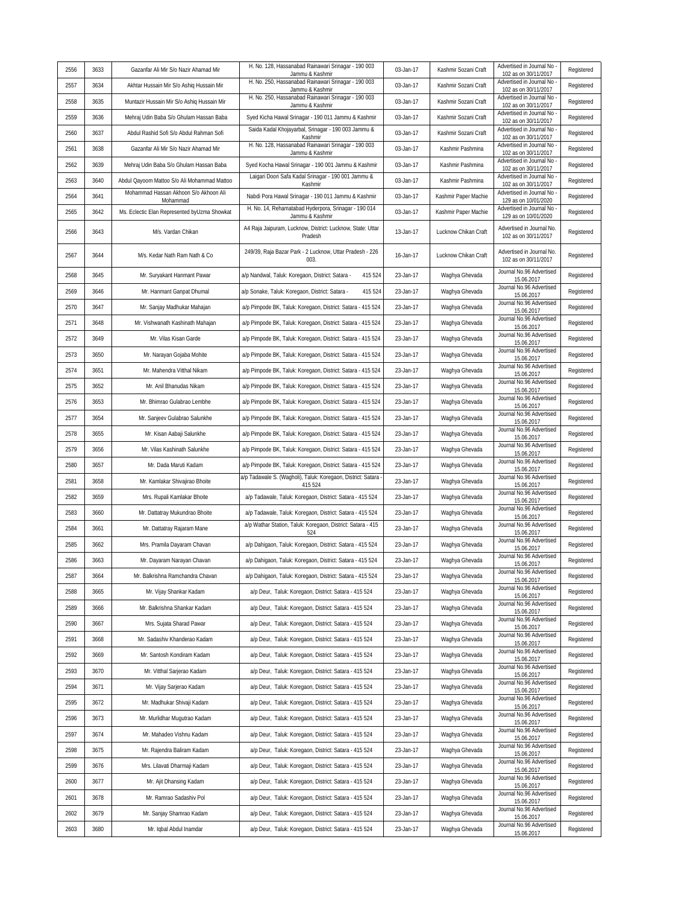|      |      |                                                   | H. No. 128, Hassanabad Rainawari Srinagar - 190 003                     |           |                      | Advertised in Journal No                          |            |
|------|------|---------------------------------------------------|-------------------------------------------------------------------------|-----------|----------------------|---------------------------------------------------|------------|
| 2556 | 3633 | Gazanfar Ali Mir S/o Nazir Ahamad Mir             | Jammu & Kashmir<br>H. No. 250, Hassanabad Rainawari Srinagar - 190 003  | 03-Jan-17 | Kashmir Sozani Craft | 102 as on 30/11/2017<br>Advertised in Journal No  | Registered |
| 2557 | 3634 | Akhtar Hussain Mir S/o Ashiq Hussain Mir          | Jammu & Kashmir                                                         | 03-Jan-17 | Kashmir Sozani Craft | 102 as on 30/11/2017                              | Registered |
| 2558 | 3635 | Muntazir Hussain Mir S/o Ashiq Hussain Mir        | H. No. 250, Hassanabad Rainawari Srinagar - 190 003<br>Jammu & Kashmir  | 03-Jan-17 | Kashmir Sozani Craft | Advertised in Journal No<br>102 as on 30/11/2017  | Registered |
| 2559 | 3636 | Mehraj Udin Baba S/o Ghulam Hassan Baba           | Syed Kicha Hawal Srinagar - 190 011 Jammu & Kashmir                     | 03-Jan-17 | Kashmir Sozani Craft | Advertised in Journal No<br>102 as on 30/11/2017  | Registered |
| 2560 | 3637 | Abdul Rashid Sofi S/o Abdul Rahman Sofi           | Saida Kadal Khojayarbal, Srinagar - 190 003 Jammu &<br>Kashmir          | 03-Jan-17 | Kashmir Sozani Craft | Advertised in Journal No<br>102 as on 30/11/2017  | Registered |
| 2561 | 3638 | Gazanfar Ali Mir S/o Nazir Ahamad Mir             | H. No. 128, Hassanabad Rainawari Srinagar - 190 003<br>Jammu & Kashmir  | 03-Jan-17 | Kashmir Pashmina     | Advertised in Journal No<br>102 as on 30/11/2017  | Registered |
| 2562 | 3639 | Mehraj Udin Baba S/o Ghulam Hassan Baba           | Syed Kocha Hawal Srinagar - 190 001 Jammu & Kashmir                     | 03-Jan-17 | Kashmir Pashmina     | Advertised in Journal No<br>102 as on 30/11/2017  | Registered |
| 2563 | 3640 | Abdul Qayoom Mattoo S/o Ali Mohammad Mattoo       | Laigari Doori Safa Kadal Srinagar - 190 001 Jammu &<br>Kashmir          | 03-Jan-17 | Kashmir Pashmina     | Advertised in Journal No<br>102 as on 30/11/2017  | Registered |
| 2564 | 3641 | Mohammad Hassan Akhoon S/o Akhoon Ali<br>Mohammad | Nabdi Pora Hawal Srinagar - 190 011 Jammu & Kashmir                     | 03-Jan-17 | Kashmir Paper Machie | Advertised in Journal No<br>129 as on 10/01/2020  | Registered |
| 2565 | 3642 | Ms. Eclectic Elan Represented byUzma Showkat      | H. No. 14, Rehamatabad Hyderpora, Srinagar - 190 014<br>Jammu & Kashmir | 03-Jan-17 | Kashmir Paper Machie | Advertised in Journal No<br>129 as on 10/01/2020  | Registered |
| 2566 | 3643 | M/s. Vardan Chikan                                | A4 Raja Jaipuram, Lucknow, District: Lucknow, State: Uttar<br>Pradesh   | 13-Jan-17 | Lucknow Chikan Craft | Advertised in Journal No.<br>102 as on 30/11/2017 | Registered |
| 2567 | 3644 | M/s. Kedar Nath Ram Nath & Co                     | 249/39, Raja Bazar Park - 2 Lucknow, Uttar Pradesh - 226<br>003.        | 16-Jan-17 | Lucknow Chikan Craft | Advertised in Journal No.<br>102 as on 30/11/2017 | Registered |
| 2568 | 3645 | Mr. Suryakant Hanmant Pawar                       | a/p Nandwal, Taluk: Koregaon, District: Satara -<br>415 524             | 23-Jan-17 | Waghya Ghevada       | Journal No.96 Advertised<br>15.06.2017            | Registered |
| 2569 | 3646 | Mr. Hanmant Ganpat Dhumal                         | 415 524<br>a/p Sonake, Taluk: Koregaon, District: Satara -              | 23-Jan-17 | Waghya Ghevada       | Journal No.96 Advertised<br>15.06.2017            | Registered |
| 2570 | 3647 | Mr. Sanjay Madhukar Mahajan                       | a/p Pimpode BK, Taluk: Koregaon, District: Satara - 415 524             | 23-Jan-17 | Waghya Ghevada       | Journal No.96 Advertised<br>15.06.2017            | Registered |
| 2571 | 3648 | Mr. Vishwanath Kashinath Mahajan                  | a/p Pimpode BK, Taluk: Koregaon, District: Satara - 415 524             | 23-Jan-17 | Waghya Ghevada       | Journal No.96 Advertised<br>15.06.2017            | Registered |
| 2572 | 3649 | Mr. Vilas Kisan Garde                             | a/p Pimpode BK, Taluk: Koregaon, District: Satara - 415 524             | 23-Jan-17 | Waghya Ghevada       | Journal No.96 Advertised<br>15.06.2017            | Registered |
| 2573 | 3650 | Mr. Narayan Gojaba Mohite                         | a/p Pimpode BK, Taluk: Koregaon, District: Satara - 415 524             | 23-Jan-17 | Waghya Ghevada       | Journal No.96 Advertised<br>15.06.2017            | Registered |
| 2574 | 3651 | Mr. Mahendra Vitthal Nikam                        | a/p Pimpode BK, Taluk: Koregaon, District: Satara - 415 524             | 23-Jan-17 | Waghya Ghevada       | Journal No.96 Advertised<br>15.06.2017            | Registered |
| 2575 | 3652 | Mr. Anil Bhanudas Nikam                           | a/p Pimpode BK, Taluk: Koregaon, District: Satara - 415 524             | 23-Jan-17 | Waghya Ghevada       | Journal No.96 Advertised<br>15.06.2017            | Registered |
| 2576 | 3653 | Mr. Bhimrao Gulabrao Lembhe                       | a/p Pimpode BK, Taluk: Koregaon, District: Satara - 415 524             | 23-Jan-17 | Waghya Ghevada       | Journal No.96 Advertised<br>15.06.2017            | Registered |
| 2577 | 3654 | Mr. Sanjeev Gulabrao Salunkhe                     | a/p Pimpode BK, Taluk: Koregaon, District: Satara - 415 524             | 23-Jan-17 | Waghya Ghevada       | Journal No.96 Advertised<br>15.06.2017            | Registered |
| 2578 | 3655 | Mr. Kisan Aabaji Salunkhe                         | a/p Pimpode BK, Taluk: Koregaon, District: Satara - 415 524             | 23-Jan-17 | Waghya Ghevada       | Journal No.96 Advertised<br>15.06.2017            | Registered |
| 2579 | 3656 | Mr. Vilas Kashinath Salunkhe                      | a/p Pimpode BK, Taluk: Koregaon, District: Satara - 415 524             | 23-Jan-17 | Waghya Ghevada       | Journal No.96 Advertised<br>15.06.2017            | Registered |
| 2580 | 3657 | Mr. Dada Maruti Kadam                             | a/p Pimpode BK, Taluk: Koregaon, District: Satara - 415 524             | 23-Jan-17 | Waghya Ghevada       | Journal No.96 Advertised<br>15.06.2017            | Registered |
| 2581 | 3658 | Mr. Kamlakar Shivajirao Bhoite                    | a/p Tadawale S. (Wagholi), Taluk: Koregaon, District: Satara<br>415 524 | 23-Jan-17 | Waghya Ghevada       | Journal No.96 Advertised<br>15.06.2017            | Registered |
| 2582 | 3659 | Mrs. Rupali Kamlakar Bhoite                       | a/p Tadawale, Taluk: Koregaon, District: Satara - 415 524               | 23-Jan-17 | Waghya Ghevada       | Journal No.96 Advertised<br>15.06.2017            | Registered |
| 2583 | 3660 | Mr. Dattatray Mukundrao Bhoite                    | a/p Tadawale, Taluk: Koregaon, District: Satara - 415 524               | 23-Jan-17 | Waghya Ghevada       | Journal No.96 Advertised<br>15.06.2017            | Registered |
| 2584 | 3661 | Mr. Dattatray Rajaram Mane                        | a/p Wathar Station, Taluk: Koregaon, District: Satara - 415<br>524      | 23-Jan-17 | Waghya Ghevada       | Journal No.96 Advertised<br>15.06.2017            | Registered |
| 2585 | 3662 | Mrs. Pramila Dayaram Chavan                       | a/p Dahigaon, Taluk: Koregaon, District: Satara - 415 524               | 23-Jan-17 | Waghya Ghevada       | Journal No.96 Advertised<br>15.06.2017            | Registered |
| 2586 | 3663 | Mr. Dayaram Narayan Chavan                        | a/p Dahigaon, Taluk: Koregaon, District: Satara - 415 524               | 23-Jan-17 | Waghya Ghevada       | Journal No.96 Advertised<br>15.06.2017            | Registered |
| 2587 | 3664 | Mr. Balkrishna Ramchandra Chavan                  | a/p Dahigaon, Taluk: Koregaon, District: Satara - 415 524               | 23-Jan-17 | Waghya Ghevada       | Journal No.96 Advertised<br>15.06.2017            | Registered |
| 2588 | 3665 | Mr. Vijay Shankar Kadam                           | a/p Deur, Taluk: Koregaon, District: Satara - 415 524                   | 23-Jan-17 | Waghya Ghevada       | Journal No.96 Advertised<br>15.06.2017            | Registered |
| 2589 | 3666 | Mr. Balkrishna Shankar Kadam                      | a/p Deur, Taluk: Koregaon, District: Satara - 415 524                   | 23-Jan-17 | Waghya Ghevada       | Journal No.96 Advertised<br>15.06.2017            | Registered |
| 2590 | 3667 | Mrs. Sujata Sharad Pawar                          | a/p Deur, Taluk: Koregaon, District: Satara - 415 524                   | 23-Jan-17 | Waghya Ghevada       | Journal No.96 Advertised<br>15.06.2017            | Registered |
| 2591 | 3668 | Mr. Sadashiv Khanderao Kadam                      | a/p Deur, Taluk: Koregaon, District: Satara - 415 524                   | 23-Jan-17 | Waghya Ghevada       | Journal No.96 Advertised                          | Registered |
| 2592 | 3669 | Mr. Santosh Kondiram Kadam                        | a/p Deur, Taluk: Koregaon, District: Satara - 415 524                   | 23-Jan-17 | Waqhya Ghevada       | 15.06.2017<br>Journal No.96 Advertised            | Registered |
| 2593 | 3670 | Mr. Vitthal Sarjerao Kadam                        | a/p Deur, Taluk: Koregaon, District: Satara - 415 524                   | 23-Jan-17 | Waghya Ghevada       | 15.06.2017<br>Journal No.96 Advertised            | Registered |
| 2594 | 3671 | Mr. Vijay Sarjerao Kadam                          | a/p Deur, Taluk: Koregaon, District: Satara - 415 524                   | 23-Jan-17 | Waghya Ghevada       | 15.06.2017<br>Journal No.96 Advertised            | Registered |
| 2595 | 3672 | Mr. Madhukar Shivaji Kadam                        | a/p Deur, Taluk: Koregaon, District: Satara - 415 524                   | 23-Jan-17 | Waghya Ghevada       | 15.06.2017<br>Journal No.96 Advertised            | Registered |
| 2596 | 3673 | Mr. Murlidhar Mugutrao Kadam                      | a/p Deur, Taluk: Koregaon, District: Satara - 415 524                   | 23-Jan-17 | Waghya Ghevada       | 15.06.2017<br>Journal No.96 Advertised            | Registered |
| 2597 | 3674 | Mr. Mahadeo Vishnu Kadam                          | a/p Deur, Taluk: Koregaon, District: Satara - 415 524                   | 23-Jan-17 | Waghya Ghevada       | 15.06.2017<br>Journal No.96 Advertised            | Registered |
| 2598 | 3675 | Mr. Rajendra Baliram Kadam                        | a/p Deur, Taluk: Koregaon, District: Satara - 415 524                   | 23-Jan-17 | Waghya Ghevada       | 15.06.2017<br>Journal No.96 Advertised            | Registered |
| 2599 | 3676 | Mrs. Lilavati Dharmaji Kadam                      | a/p Deur, Taluk: Koregaon, District: Satara - 415 524                   | 23-Jan-17 | Waghya Ghevada       | 15.06.2017<br>Journal No.96 Advertised            | Registered |
| 2600 | 3677 | Mr. Ajit Dhansing Kadam                           | a/p Deur, Taluk: Koregaon, District: Satara - 415 524                   | 23-Jan-17 | Waghya Ghevada       | 15.06.2017<br>Journal No.96 Advertised            | Registered |
| 2601 | 3678 | Mr. Ramrao Sadashiv Pol                           | a/p Deur, Taluk: Koregaon, District: Satara - 415 524                   | 23-Jan-17 | Waghya Ghevada       | 15.06.2017<br>Journal No.96 Advertised            | Registered |
| 2602 | 3679 | Mr. Sanjay Shamrao Kadam                          | a/p Deur, Taluk: Koregaon, District: Satara - 415 524                   | 23-Jan-17 | Waghya Ghevada       | 15.06.2017<br>Journal No.96 Advertised            | Registered |
|      | 3680 |                                                   |                                                                         | 23-Jan-17 | Waghya Ghevada       | 15.06.2017<br>Journal No.96 Advertised            | Registered |
| 2603 |      | Mr. Iqbal Abdul Inamdar                           | a/p Deur, Taluk: Koregaon, District: Satara - 415 524                   |           |                      | 15.06.2017                                        |            |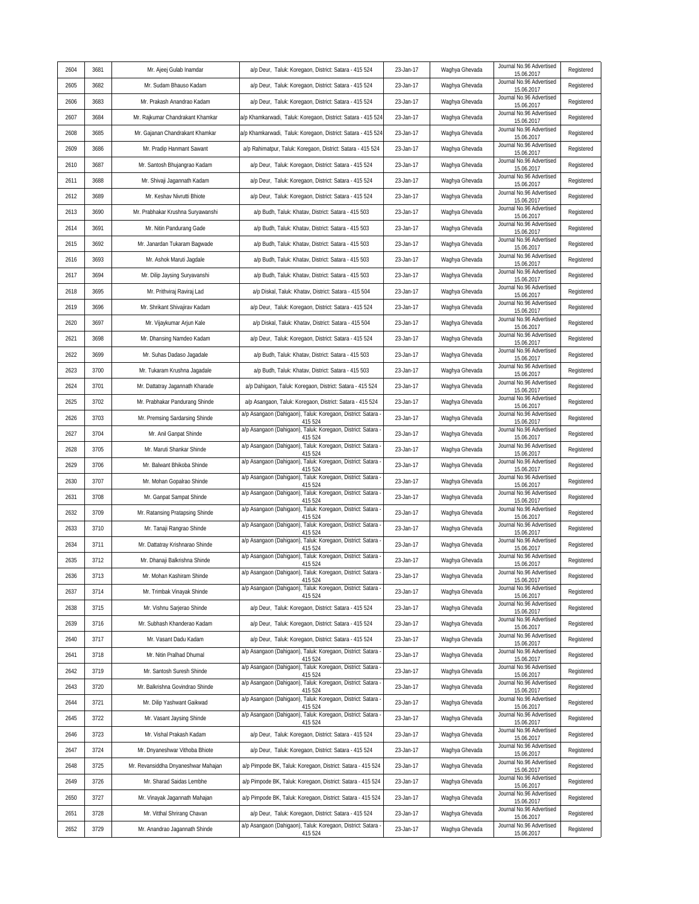| 2604 | 3681 | Mr. Ajeej Gulab Inamdar             | a/p Deur, Taluk: Koregaon, District: Satara - 415 524                   | 23-Jan-17 | Waghya Ghevada | Journal No.96 Advertised<br>15.06.2017 | Registered |
|------|------|-------------------------------------|-------------------------------------------------------------------------|-----------|----------------|----------------------------------------|------------|
| 2605 | 3682 | Mr. Sudam Bhauso Kadam              | a/p Deur, Taluk: Koregaon, District: Satara - 415 524                   | 23-Jan-17 | Waghya Ghevada | Journal No.96 Advertised<br>15.06.2017 | Registered |
| 2606 | 3683 | Mr. Prakash Anandrao Kadam          | a/p Deur, Taluk: Koregaon, District: Satara - 415 524                   | 23-Jan-17 | Waghya Ghevada | Journal No.96 Advertised<br>15.06.2017 | Registered |
| 2607 | 3684 | Mr. Rajkumar Chandrakant Khamkar    | a/p Khamkarwadi, Taluk: Koregaon, District: Satara - 415 524            | 23-Jan-17 | Waghya Ghevada | Journal No.96 Advertised<br>15.06.2017 | Registered |
| 2608 | 3685 | Mr. Gajanan Chandrakant Khamkar     | a/p Khamkarwadi, Taluk: Koregaon, District: Satara - 415 524            | 23-Jan-17 | Waghya Ghevada | Journal No.96 Advertised<br>15.06.2017 | Registered |
| 2609 | 3686 | Mr. Pradip Hanmant Sawant           | a/p Rahimatpur, Taluk: Koregaon, District: Satara - 415 524             | 23-Jan-17 | Waghya Ghevada | Journal No.96 Advertised<br>15.06.2017 | Registered |
| 2610 | 3687 | Mr. Santosh Bhujangrao Kadam        | a/p Deur, Taluk: Koregaon, District: Satara - 415 524                   | 23-Jan-17 | Waghya Ghevada | Journal No.96 Advertised<br>15.06.2017 | Registered |
| 2611 | 3688 | Mr. Shivaji Jagannath Kadam         | a/p Deur, Taluk: Koregaon, District: Satara - 415 524                   | 23-Jan-17 | Waghya Ghevada | Journal No.96 Advertised<br>15.06.2017 | Registered |
| 2612 | 3689 | Mr. Keshav Nivrutti Bhiote          | a/p Deur, Taluk: Koregaon, District: Satara - 415 524                   | 23-Jan-17 | Waghya Ghevada | Journal No.96 Advertised<br>15.06.2017 | Registered |
| 2613 | 3690 | Mr. Prabhakar Krushna Suryawanshi   | a/p Budh, Taluk: Khatav, District: Satara - 415 503                     | 23-Jan-17 | Waghya Ghevada | Journal No.96 Advertised<br>15.06.2017 | Registered |
| 2614 | 3691 | Mr. Nitin Pandurang Gade            | a/p Budh, Taluk: Khatav, District: Satara - 415 503                     | 23-Jan-17 | Waghya Ghevada | Journal No.96 Advertised<br>15.06.2017 | Registered |
| 2615 | 3692 | Mr. Janardan Tukaram Bagwade        | a/p Budh, Taluk: Khatav, District: Satara - 415 503                     | 23-Jan-17 | Waghya Ghevada | Journal No.96 Advertised<br>15.06.2017 | Registered |
| 2616 | 3693 | Mr. Ashok Maruti Jagdale            | a/p Budh, Taluk: Khatav, District: Satara - 415 503                     | 23-Jan-17 | Waghya Ghevada | Journal No.96 Advertised<br>15.06.2017 | Registered |
| 2617 | 3694 | Mr. Dilip Jaysing Suryavanshi       | a/p Budh, Taluk: Khatav, District: Satara - 415 503                     | 23-Jan-17 | Waghya Ghevada | Journal No.96 Advertised<br>15.06.2017 | Registered |
| 2618 | 3695 | Mr. Prithviraj Raviraj Lad          | a/p Diskal, Taluk: Khatav, District: Satara - 415 504                   | 23-Jan-17 | Waghya Ghevada | Journal No.96 Advertised<br>15.06.2017 | Registered |
| 2619 | 3696 | Mr. Shrikant Shivajirav Kadam       | a/p Deur, Taluk: Koregaon, District: Satara - 415 524                   | 23-Jan-17 | Waghya Ghevada | Journal No.96 Advertised<br>15.06.2017 | Registered |
| 2620 | 3697 | Mr. Vijaykumar Arjun Kale           | a/p Diskal, Taluk: Khatav, District: Satara - 415 504                   | 23-Jan-17 | Waghya Ghevada | Journal No.96 Advertised<br>15.06.2017 | Registered |
| 2621 | 3698 | Mr. Dhansing Namdeo Kadam           | a/p Deur, Taluk: Koregaon, District: Satara - 415 524                   | 23-Jan-17 | Waghya Ghevada | Journal No.96 Advertised<br>15.06.2017 | Registered |
| 2622 | 3699 | Mr. Suhas Dadaso Jagadale           | a/p Budh, Taluk: Khatav, District: Satara - 415 503                     | 23-Jan-17 | Waghya Ghevada | Journal No.96 Advertised<br>15.06.2017 | Registered |
| 2623 | 3700 | Mr. Tukaram Krushna Jagadale        | a/p Budh, Taluk: Khatav, District: Satara - 415 503                     | 23-Jan-17 | Waghya Ghevada | Journal No.96 Advertised<br>15.06.2017 | Registered |
| 2624 | 3701 | Mr. Dattatray Jagannath Kharade     | a/p Dahigaon, Taluk: Koregaon, District: Satara - 415 524               | 23-Jan-17 | Waghya Ghevada | Journal No.96 Advertised<br>15.06.2017 | Registered |
| 2625 | 3702 | Mr. Prabhakar Pandurang Shinde      | a/p Asangaon, Taluk: Koregaon, District: Satara - 415 524               | 23-Jan-17 | Waghya Ghevada | Journal No.96 Advertised<br>15.06.2017 | Registered |
| 2626 | 3703 | Mr. Premsing Sardarsing Shinde      | a/p Asangaon (Dahigaon), Taluk: Koregaon, District: Satara<br>415 524   | 23-Jan-17 | Waghya Ghevada | Journal No.96 Advertised<br>15.06.2017 | Registered |
| 2627 | 3704 | Mr. Anil Ganpat Shinde              | a/p Asangaon (Dahigaon), Taluk: Koregaon, District: Satara<br>415 524   | 23-Jan-17 | Waghya Ghevada | Journal No.96 Advertised<br>15.06.2017 | Registered |
| 2628 | 3705 | Mr. Maruti Shankar Shinde           | a/p Asangaon (Dahigaon), Taluk: Koregaon, District: Satara<br>415 524   | 23-Jan-17 | Waghya Ghevada | Journal No.96 Advertised<br>15.06.2017 | Registered |
| 2629 | 3706 | Mr. Balwant Bhikoba Shinde          | a/p Asangaon (Dahigaon), Taluk: Koregaon, District: Satara -<br>415 524 | 23-Jan-17 | Waghya Ghevada | Journal No.96 Advertised<br>15.06.2017 | Registered |
| 2630 | 3707 | Mr. Mohan Gopalrao Shinde           | a/p Asangaon (Dahigaon), Taluk: Koregaon, District: Satara<br>415 524   | 23-Jan-17 | Waghya Ghevada | Journal No.96 Advertised<br>15.06.2017 | Registered |
| 2631 | 3708 | Mr. Ganpat Sampat Shinde            | a/p Asangaon (Dahigaon), Taluk: Koregaon, District: Satara<br>415 524   | 23-Jan-17 | Waghya Ghevada | Journal No.96 Advertised<br>15.06.2017 | Registered |
| 2632 | 3709 | Mr. Ratansing Pratapsing Shinde     | a/p Asangaon (Dahigaon), Taluk: Koregaon, District: Satara<br>415 524   | 23-Jan-17 | Waghya Ghevada | Journal No.96 Advertised<br>15.06.2017 | Registered |
| 2633 | 3710 | Mr. Tanaji Rangrao Shinde           | a/p Asangaon (Dahigaon), Taluk: Koregaon, District: Satara<br>415 524   | 23-Jan-17 | Waghya Ghevada | Journal No.96 Advertised<br>15.06.2017 | Registered |
| 2634 | 3711 | Mr. Dattatray Krishnarao Shinde     | a/p Asangaon (Dahigaon), Taluk: Koregaon, District: Satara<br>415 524   | 23-Jan-17 | Waghya Ghevada | Journal No.96 Advertised<br>15.06.2017 | Registered |
| 2635 | 3712 | Mr. Dhanaji Balkrishna Shinde       | a/p Asangaon (Dahigaon), Taluk: Koregaon, District: Satara -<br>415 524 | 23-Jan-17 | Waghya Ghevada | Journal No.96 Advertised<br>15.06.2017 | Registered |
| 2636 | 3713 | Mr. Mohan Kashiram Shinde           | a/p Asangaon (Dahigaon), Taluk: Koregaon, District: Satara -<br>415 524 | 23-Jan-17 | Waghya Ghevada | Journal No.96 Advertised<br>15.06.2017 | Registered |
| 2637 | 3714 | Mr. Trimbak Vinayak Shinde          | a/p Asangaon (Dahigaon), Taluk: Koregaon, District: Satara -<br>415 524 | 23-Jan-17 | Waghya Ghevada | Journal No.96 Advertised<br>15.06.2017 | Registered |
| 2638 | 3715 | Mr. Vishnu Sarjerao Shinde          | a/p Deur, Taluk: Koregaon, District: Satara - 415 524                   | 23-Jan-17 | Waghya Ghevada | Journal No.96 Advertised<br>15.06.2017 | Registered |
| 2639 | 3716 | Mr. Subhash Khanderao Kadam         | a/p Deur, Taluk: Koregaon, District: Satara - 415 524                   | 23-Jan-17 | Waghya Ghevada | Journal No.96 Advertised<br>15.06.2017 | Registered |
| 2640 | 3717 | Mr. Vasant Dadu Kadam               | a/p Deur, Taluk: Koregaon, District: Satara - 415 524                   | 23-Jan-17 | Waghya Ghevada | Journal No.96 Advertised<br>15.06.2017 | Registered |
| 2641 | 3718 | Mr. Nitin Pralhad Dhumal            | a/p Asangaon (Dahigaon), Taluk: Koregaon, District: Satara -<br>415 524 | 23-Jan-17 | Waghya Ghevada | Journal No.96 Advertised<br>15.06.2017 | Registered |
| 2642 | 3719 | Mr. Santosh Suresh Shinde           | a/p Asangaon (Dahigaon), Taluk: Koregaon, District: Satara -<br>415 524 | 23-Jan-17 | Waghya Ghevada | Journal No.96 Advertised<br>15.06.2017 | Registered |
| 2643 | 3720 | Mr. Balkrishna Govindrao Shinde     | a/p Asangaon (Dahigaon), Taluk: Koregaon, District: Satara -<br>415 524 | 23-Jan-17 | Waghya Ghevada | Journal No.96 Advertised<br>15.06.2017 | Registered |
| 2644 | 3721 | Mr. Dilip Yashwant Gaikwad          | a/p Asangaon (Dahigaon), Taluk: Koregaon, District: Satara -<br>415 524 | 23-Jan-17 | Waghya Ghevada | Journal No.96 Advertised<br>15.06.2017 | Registered |
| 2645 | 3722 | Mr. Vasant Jaysing Shinde           | a/p Asangaon (Dahigaon), Taluk: Koregaon, District: Satara -<br>415 524 | 23-Jan-17 | Waghya Ghevada | Journal No.96 Advertised<br>15.06.2017 | Registered |
| 2646 | 3723 | Mr. Vishal Prakash Kadam            | a/p Deur, Taluk: Koregaon, District: Satara - 415 524                   | 23-Jan-17 | Waghya Ghevada | Journal No.96 Advertised<br>15.06.2017 | Registered |
| 2647 | 3724 | Mr. Dnyaneshwar Vithoba Bhiote      | a/p Deur, Taluk: Koregaon, District: Satara - 415 524                   | 23-Jan-17 | Waghya Ghevada | Journal No.96 Advertised<br>15.06.2017 | Registered |
| 2648 | 3725 | Mr. Revansiddha Dnyaneshwar Mahajan | a/p Pimpode BK, Taluk: Koregaon, District: Satara - 415 524             | 23-Jan-17 | Waghya Ghevada | Journal No.96 Advertised<br>15.06.2017 | Registered |
| 2649 | 3726 | Mr. Sharad Saidas Lembhe            | a/p Pimpode BK, Taluk: Koregaon, District: Satara - 415 524             | 23-Jan-17 | Waghya Ghevada | Journal No.96 Advertised<br>15.06.2017 | Registered |
| 2650 | 3727 | Mr. Vinayak Jagannath Mahajan       | a/p Pimpode BK, Taluk: Koregaon, District: Satara - 415 524             | 23-Jan-17 | Waghya Ghevada | Journal No.96 Advertised<br>15.06.2017 | Registered |
| 2651 | 3728 | Mr. Vitthal Shrirang Chavan         | a/p Deur, Taluk: Koregaon, District: Satara - 415 524                   | 23-Jan-17 | Waghya Ghevada | Journal No.96 Advertised<br>15.06.2017 | Registered |
| 2652 | 3729 | Mr. Anandrao Jagannath Shinde       | a/p Asangaon (Dahigaon), Taluk: Koregaon, District: Satara -<br>415 524 | 23-Jan-17 | Waghya Ghevada | Journal No.96 Advertised<br>15.06.2017 | Registered |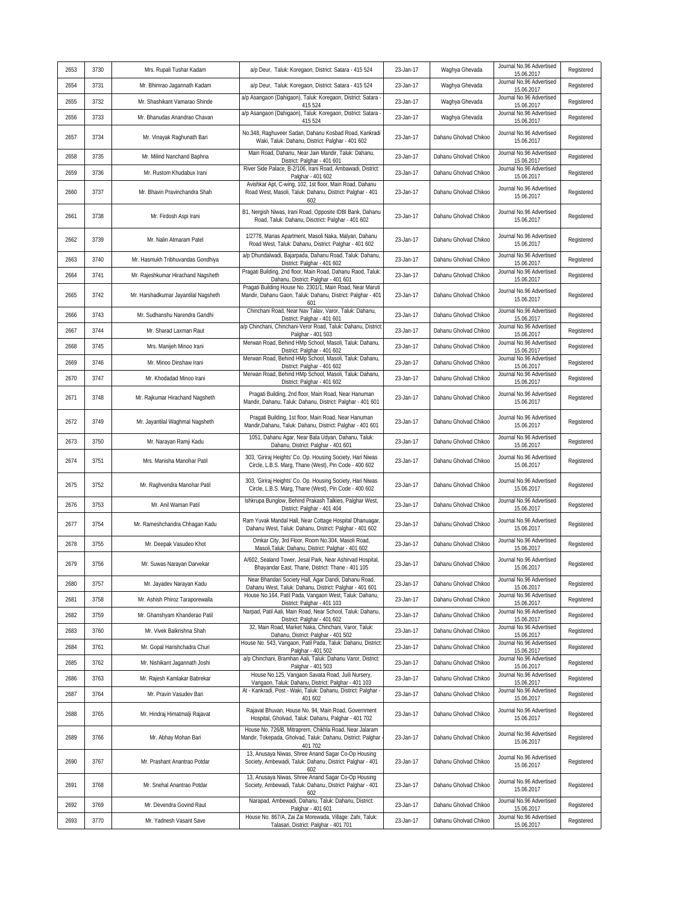| 2653 | 3730 | Mrs. Rupali Tushar Kadam             | a/p Deur, Taluk: Koregaon, District: Satara - 415 524                                                                            | 23-Jan-17 | Waghya Ghevada        | Journal No.96 Advertised<br>15.06.2017 | Registered |
|------|------|--------------------------------------|----------------------------------------------------------------------------------------------------------------------------------|-----------|-----------------------|----------------------------------------|------------|
| 2654 | 3731 | Mr. Bhimrao Jagannath Kadam          | a/p Deur, Taluk: Koregaon, District: Satara - 415 524                                                                            | 23-Jan-17 | Waghya Ghevada        | Journal No.96 Advertised<br>15.06.2017 | Registered |
| 2655 | 3732 | Mr. Shashikant Vamarao Shinde        | a/p Asangaon (Dahigaon), Taluk: Koregaon, District: Satara<br>415 524                                                            | 23-Jan-17 | Waghya Ghevada        | Journal No.96 Advertised<br>15.06.2017 | Registered |
| 2656 | 3733 | Mr. Bhanudas Anandrao Chavan         | a/p Asangaon (Dahigaon), Taluk: Koregaon, District: Satara -<br>415 524                                                          | 23-Jan-17 | Waghya Ghevada        | Journal No.96 Advertised<br>15.06.2017 | Registered |
| 2657 | 3734 | Mr. Vinayak Raghunath Bari           | No.348, Raghuveer Sadan, Dahanu Kosbad Road, Kankradi<br>Waki, Taluk: Dahanu, District: Palghar - 401 602                        | 23-Jan-17 | Dahanu Gholvad Chikoo | Journal No.96 Advertised<br>15.06.2017 | Registered |
| 2658 | 3735 | Mr. Milind Nanchand Baphna           | Main Road, Dahanu, Near Jain Mandir, Taluk: Dahanu,<br>District: Palghar - 401 601                                               | 23-Jan-17 | Dahanu Gholvad Chikoo | Journal No.96 Advertised<br>15.06.2017 | Registered |
| 2659 | 3736 | Mr. Rustom Khudabux Irani            | River Side Palace, B-2/106, Irani Road, Ambawadi, District:<br>Palghar - 401 602                                                 | 23-Jan-17 | Dahanu Gholvad Chikoo | Journal No.96 Advertised<br>15.06.2017 | Registered |
| 2660 | 3737 | Mr. Bhavin Pravinchandra Shah        | Avishkar Apt, C-wing, 102, 1st floor, Main Road, Dahanu<br>Road West, Masoli, Taluk: Dahanu, District: Palghar - 401<br>602      | 23-Jan-17 | Dahanu Gholvad Chikoo | Journal No.96 Advertised<br>15.06.2017 | Registered |
| 2661 | 3738 | Mr. Firdosh Aspi Irani               | B1, Nergish Niwas, Irani Road, Opposite IDBI Bank, Dahanu<br>Road, Taluk: Dahanu, Disctrict: Palghar - 401 602                   | 23-Jan-17 | Dahanu Gholvad Chikoo | Journal No.96 Advertised<br>15.06.2017 | Registered |
| 2662 | 3739 | Mr. Nalin Atmaram Patel              | 1/2778, Manas Apartment, Masoli Naka, Malyan, Dahanu<br>Road West, Taluk: Dahanu, District: Palghar - 401 602                    | 23-Jan-17 | Dahanu Gholvad Chikoo | Journal No.96 Advertised<br>15.06.2017 | Registered |
| 2663 | 3740 | Mr. Hasmukh Tribhuvandas Gondhiya    | a/p Dhundalwadi, Bajarpada, Dahanu Road, Taluk: Dahanu,<br>District: Palghar - 401 602                                           | 23-Jan-17 | Dahanu Gholvad Chikoo | Journal No.96 Advertised<br>15.06.2017 | Registered |
| 2664 | 3741 | Mr. Rajeshkumar Hirachand Nagsheth   | Pragati Building, 2nd floor, Main Road, Dahanu Raod, Taluk:<br>Dahanu, District: Palghar - 401 601                               | 23-Jan-17 | Dahanu Gholvad Chikoo | Journal No.96 Advertised<br>15.06.2017 | Registered |
| 2665 | 3742 | Mr. Harshadkumar Jayantilal Nagsheth | Pragati Building House No. 2301/1, Main Road, Near Maruti<br>Mandir, Dahanu Gaon, Taluk: Dahanu, District: Palghar - 401<br>601  | 23-Jan-17 | Dahanu Gholvad Chikoo | Journal No.96 Advertised<br>15.06.2017 | Registered |
| 2666 | 3743 | Mr. Sudhanshu Narendra Gandhi        | Chinchani Road, Near Nav Talav, Varor, Taluk: Dahanu,<br>District: Palghar - 401 601                                             | 23-Jan-17 | Dahanu Gholvad Chikoo | Journal No.96 Advertised<br>15.06.2017 | Registered |
| 2667 | 3744 | Mr. Sharad Laxman Raut               | a/p Chinchani, Chinchani-Veror Road, Taluk: Dahanu, District<br>Palghar - 401 503                                                | 23-Jan-17 | Dahanu Gholvad Chikoo | Journal No.96 Advertised<br>15.06.2017 | Registered |
| 2668 | 3745 | Mrs. Manijeh Minoo Irani             | Merwan Road, Behind HMp School, Masoli, Taluk: Dahanu,<br>District: Palghar - 401 602                                            | 23-Jan-17 | Dahanu Gholvad Chikoo | Journal No.96 Advertised<br>15.06.2017 | Registered |
| 2669 | 3746 | Mr. Minoo Dinshaw Irani              | Merwan Road, Behind HMp School, Masoli, Taluk: Dahanu,<br>District: Palghar - 401 602                                            | 23-Jan-17 | Dahanu Gholvad Chikoo | Journal No.96 Advertised<br>15.06.2017 | Registered |
| 2670 | 3747 | Mr. Khodadad Minoo Irani             | Merwan Road, Behind HMp School, Masoli, Taluk: Dahanu,<br>District: Palghar - 401 602                                            | 23-Jan-17 | Dahanu Gholvad Chikoo | Journal No.96 Advertised<br>15.06.2017 | Registered |
| 2671 | 3748 | Mr. Rajkumar Hirachand Nagsheth      | Pragati Building, 2nd floor, Main Road, Near Hanuman<br>Mandir, Dahanu, Taluk: Dahanu, District: Palghar - 401 601               | 23-Jan-17 | Dahanu Gholvad Chikoo | Journal No.96 Advertised<br>15.06.2017 | Registered |
| 2672 | 3749 | Mr. Jayantilal Waghmal Nagsheth      | Pragati Building, 1st floor, Main Road, Near Hanuman<br>Mandir, Dahanu, Taluk: Dahanu, District: Palghar - 401 601               | 23-Jan-17 | Dahanu Gholvad Chikoo | Journal No.96 Advertised<br>15.06.2017 | Registered |
| 2673 | 3750 | Mr. Narayan Ramji Kadu               | 1051, Dahanu Agar, Near Bala Udyan, Dahanu, Taluk:<br>Dahanu, District: Palghar - 401 601                                        | 23-Jan-17 | Dahanu Gholvad Chikoo | Journal No.96 Advertised<br>15.06.2017 | Registered |
| 2674 | 3751 | Mrs. Manisha Manohar Patil           | 303, 'Giriraj Heights' Co. Op. Housing Society, Hari Niwas<br>Circle, L.B.S. Marg, Thane (West), Pin Code - 400 602              | 23-Jan-17 | Dahanu Gholvad Chikoo | Journal No.96 Advertised<br>15.06.2017 | Registered |
| 2675 | 3752 | Mr. Raghvendra Manohar Patil         | 303, 'Giriraj Heights' Co. Op. Housing Society, Hari Niwas<br>Circle, L.B.S. Marg, Thane (West), Pin Code - 400 602              | 23-Jan-17 | Dahanu Gholvad Chikoo | Journal No.96 Advertised<br>15.06.2017 | Registered |
| 2676 | 3753 | Mr. Anil Waman Patil                 | Ishkrupa Bunglow, Behind Prakash Talkies, Palghar West,<br>District: Palghar - 401 404                                           | 23-Jan-17 | Dahanu Gholvad Chikoo | Journal No.96 Advertised<br>15.06.2017 | Registered |
| 2677 | 3754 | Mr. Rameshchandra Chhagan Kadu       | Ram Yuvak Mandal Hall, Near Cottage Hospital Dhanuagar,<br>Dahanu West, Taluk: Dahanu, District: Palghar - 401 602               | 23-Jan-17 | Dahanu Gholvad Chikoo | Journal No.96 Advertised<br>15.06.2017 | Registered |
| 2678 | 3755 | Mr. Deepak Vasudeo Khot              | Omkar City, 3rd Floor, Room No.304, Masoli Road,<br>Masoli, Taluk: Dahanu, District: Palghar - 401 602                           | 23-Jan-17 | Dahanu Gholvad Chikoo | Journal No.96 Advertised<br>15.06.2017 | Registered |
| 2679 | 3756 | Mr. Suwas Narayan Darvekar           | A/602, Sealand Tower, Jesal Park, Near Ashirvad Hospital,<br>Bhayandar East, Thane, District: Thane - 401 105                    | 23-Jan-17 | Dahanu Gholvad Chikoo | Journal No.96 Advertised<br>15.06.2017 | Registered |
| 2680 | 3757 | Mr. Jayadev Narayan Kadu             | Near Bhandari Society Hall, Agar Dandi, Dahanu Road,<br>Dahanu West, Taluk: Dahanu, District: Palghar - 401 601                  | 23-Jan-17 | Dahanu Gholvad Chikoo | Journal No.96 Advertised<br>15.06.2017 | Registered |
| 2681 | 3758 | Mr. Ashish Phiroz Taraporewalla      | House No.164, Patil Pada, Vangaon West, Taluk: Dahanu,<br>District: Palghar - 401 103                                            | 23-Jan-17 | Dahanu Gholvad Chikoo | Journal No.96 Advertised<br>15.06.2017 | Registered |
| 2682 | 3759 | Mr. Ghanshyam Khanderao Patil        | Narpad, Patil Aali, Main Road, Near School, Taluk: Dahanu,<br>District: Palghar - 401 602                                        | 23-Jan-17 | Dahanu Gholvad Chikoo | Journal No.96 Advertised<br>15.06.2017 | Registered |
| 2683 | 3760 | Mr. Vivek Balkrishna Shah            | 32, Main Road, Market Naka, Chinchani, Varor, Taluk:<br>Dahanu, District: Palghar - 401 502                                      | 23-Jan-17 | Dahanu Gholvad Chikoo | Journal No.96 Advertised<br>15.06.2017 | Registered |
| 2684 | 3761 | Mr. Gopal Harishchadra Churi         | House No. 543, Vangaon, Patil Pada, Taluk: Dahanu, District:<br>Palghar - 401 502                                                | 23-Jan-17 | Dahanu Gholvad Chikoo | Journal No.96 Advertised<br>15.06.2017 | Registered |
| 2685 | 3762 | Mr. Nishikant Jagannath Joshi        | a/p Chinchani, Bramhan Aali, Taluk: Dahanu Varor, District:<br>Palghar - 401 503                                                 | 23-Jan-17 | Dahanu Gholvad Chikoo | Journal No.96 Advertised<br>15.06.2017 | Registered |
| 2686 | 3763 | Mr. Rajesh Kamlakar Babrekar         | House No.125, Vangaon Savata Road, Juili Nursery,<br>Vangaon, Taluk: Dahanu, District: Palghar - 401 103                         | 23-Jan-17 | Dahanu Gholvad Chikoo | Journal No.96 Advertised<br>15.06.2017 | Registered |
| 2687 | 3764 | Mr. Pravin Vasudev Bari              | At - Kankradi, Post - Waki, Taluk: Dahanu, District: Palghar -<br>401 602                                                        | 23-Jan-17 | Dahanu Gholvad Chikoo | Journal No.96 Advertised<br>15.06.2017 | Registered |
| 2688 | 3765 | Mr. Hindraj Himatmalji Rajavat       | Rajavat Bhuvan, House No. 94, Main Road, Government<br>Hospital, Gholvad, Taluk: Dahanu, Palghar - 401 702                       | 23-Jan-17 | Dahanu Gholvad Chikoo | Journal No.96 Advertised<br>15.06.2017 | Registered |
| 2689 | 3766 | Mr. Abhay Mohan Bari                 | House No. 726/B, Mitraprem, Chikhla Road, Near Jalaram<br>Mandir, Tokepada, Gholvad, Taluk: Dahanu, District: Palghar<br>401 702 | 23-Jan-17 | Dahanu Gholvad Chikoo | Journal No.96 Advertised<br>15.06.2017 | Registered |
| 2690 | 3767 | Mr. Prashant Anantrao Potdar         | 13, Anusaya Niwas, Shree Anand Sagar Co-Op Housing<br>Society, Ambewadi, Taluk: Dahanu, District: Palghar - 401<br>602           | 23-Jan-17 | Dahanu Gholvad Chikoo | Journal No.96 Advertised<br>15.06.2017 | Registered |
| 2691 | 3768 | Mr. Snehal Anantrao Potdar           | 13, Anusaya Niwas, Shree Anand Sagar Co-Op Housing<br>Society, Ambewadi, Taluk: Dahanu, District: Palghar - 401<br>602           | 23-Jan-17 | Dahanu Gholvad Chikoo | Journal No.96 Advertised<br>15.06.2017 | Registered |
| 2692 | 3769 | Mr. Devendra Govind Raut             | Narapad, Ambewadi, Dahanu, Taluk: Dahanu, District:<br>Palghar - 401 601                                                         | 23-Jan-17 | Dahanu Gholvad Chikoo | Journal No.96 Advertised<br>15.06.2017 | Registered |
| 2693 | 3770 | Mr. Yadnesh Vasant Save              | House No. 867/A, Zai Zai Morewada, Village: Zahi, Taluk:<br>Talasari, District: Palghar - 401 701                                | 23-Jan-17 | Dahanu Gholvad Chikoo | Journal No.96 Advertised<br>15.06.2017 | Registered |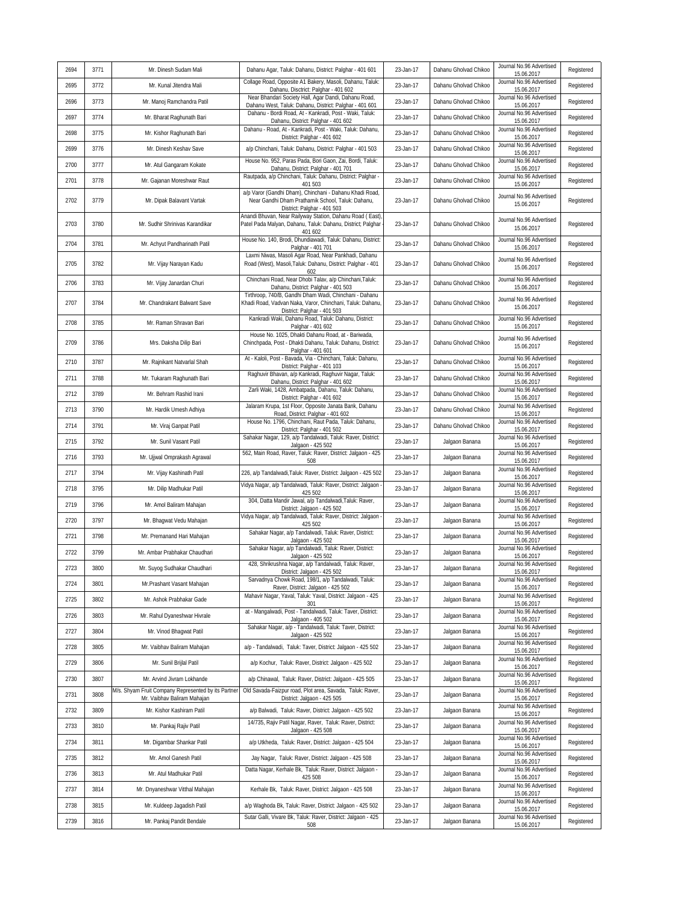| 2694 | 3771 | Mr. Dinesh Sudam Mali                                                             | Dahanu Agar, Taluk: Dahanu, District: Palghar - 401 601                                                                                            | 23-Jan-17 | Dahanu Gholvad Chikoo | Journal No.96 Advertised<br>15.06.2017                             | Registered |
|------|------|-----------------------------------------------------------------------------------|----------------------------------------------------------------------------------------------------------------------------------------------------|-----------|-----------------------|--------------------------------------------------------------------|------------|
| 2695 | 3772 | Mr. Kunal Jitendra Mali                                                           | Collage Road, Opposite A1 Bakery, Masoli, Dahanu, Taluk:<br>Dahanu, Disctrict: Palghar - 401 602                                                   | 23-Jan-17 | Dahanu Gholvad Chikoo | Journal No.96 Advertised<br>15.06.2017                             | Registered |
| 2696 | 3773 | Mr. Manoj Ramchandra Patil                                                        | Near Bhandari Society Hall, Agar Dandi, Dahanu Road,<br>Dahanu West, Taluk: Dahanu, District: Palghar - 401 601                                    | 23-Jan-17 | Dahanu Gholvad Chikoo | Journal No.96 Advertised<br>15.06.2017                             | Registered |
| 2697 | 3774 | Mr. Bharat Raghunath Bari                                                         | Dahanu - Bordi Road, At - Kankradi, Post - Waki, Taluk:<br>Dahanu, District: Palghar - 401 602                                                     | 23-Jan-17 | Dahanu Gholvad Chikoo | Journal No.96 Advertised<br>15.06.2017                             | Registered |
| 2698 | 3775 | Mr. Kishor Raghunath Bari                                                         | Dahanu - Road, At - Kankradi, Post - Waki, Taluk: Dahanu,<br>District: Palghar - 401 602                                                           | 23-Jan-17 | Dahanu Gholvad Chikoo | Journal No.96 Advertised<br>15.06.2017                             | Registered |
| 2699 | 3776 | Mr. Dinesh Keshav Save                                                            | a/p Chinchani, Taluk: Dahanu, District: Palghar - 401 503                                                                                          | 23-Jan-17 | Dahanu Gholvad Chikoo | Journal No.96 Advertised<br>15.06.2017                             | Registered |
| 2700 | 3777 | Mr. Atul Gangaram Kokate                                                          | House No. 952, Paras Pada, Bori Gaon, Zai, Bordi, Taluk:<br>Dahanu, District: Palghar - 401 701                                                    | 23-Jan-17 | Dahanu Gholvad Chikoo | Journal No.96 Advertised<br>15.06.2017                             | Registered |
| 2701 | 3778 | Mr. Gajanan Moreshwar Raut                                                        | Rautpada, a/p Chinchani, Taluk: Dahanu, District: Palghar -<br>401 503                                                                             | 23-Jan-17 | Dahanu Gholvad Chikoo | Journal No.96 Advertised<br>15.06.2017                             | Registered |
| 2702 | 3779 | Mr. Dipak Balavant Vartak                                                         | a/p Varor (Gandhi Dham), Chinchani - Dahanu Khadi Road,<br>Near Gandhi Dham Prathamik School, Taluk: Dahanu,<br>District: Palghar - 401 503        | 23-Jan-17 | Dahanu Gholvad Chikoo | Journal No.96 Advertised<br>15.06.2017                             | Registered |
| 2703 | 3780 | Mr. Sudhir Shrinivas Karandikar                                                   | Anandi Bhuvan, Near Railyway Station, Dahanu Road (East)<br>Patel Pada Malyan, Dahanu, Taluk: Dahanu, District; Palghar<br>401 602                 | 23-Jan-17 | Dahanu Gholvad Chikoo | Journal No.96 Advertised<br>15.06.2017                             | Registered |
| 2704 | 3781 | Mr. Achyut Pandharinath Patil                                                     | House No. 140, Brodi, Dhundiawadi, Taluk: Dahanu, District:<br>Palghar - 401 701                                                                   | 23-Jan-17 | Dahanu Gholvad Chikoo | Journal No.96 Advertised<br>15.06.2017                             | Registered |
| 2705 | 3782 | Mr. Vijay Narayan Kadu                                                            | Laxmi Niwas, Masoli Agar Road, Near Pankhadi, Dahanu<br>Road (West), Masoli, Taluk: Dahanu, District: Palghar - 401<br>602                         | 23-Jan-17 | Dahanu Gholvad Chikoo | Journal No.96 Advertised<br>15.06.2017                             | Registered |
| 2706 | 3783 | Mr. Vijay Janardan Churi                                                          | Chinchani Road, Near Dhobi Talav, a/p Chinchani, Taluk:<br>Dahanu, District: Palghar - 401 503                                                     | 23-Jan-17 | Dahanu Gholvad Chikoo | Journal No.96 Advertised<br>15.06.2017                             | Registered |
| 2707 | 3784 | Mr. Chandrakant Balwant Save                                                      | Tirthroop, 740/B, Gandhi Dham Wadi, Chinchani - Dahanu<br>Khadi Road, Vadvan Naka, Varor, Chinchani, Taluk: Dahanu,<br>District: Palghar - 401 503 | 23-Jan-17 | Dahanu Gholvad Chikoo | Journal No.96 Advertised<br>15.06.2017                             | Registered |
| 2708 | 3785 | Mr. Raman Shravan Bari                                                            | Kankradi Waki, Dahanu Road, Taluk: Dahanu, District:<br>Palghar - 401 602                                                                          | 23-Jan-17 | Dahanu Gholvad Chikoo | Journal No.96 Advertised<br>15.06.2017                             | Registered |
| 2709 | 3786 | Mrs. Daksha Dilip Bari                                                            | House No. 1025, Dhakti Dahanu Road, at - Bariwada,<br>Chinchpada, Post - Dhakti Dahanu, Taluk: Dahanu, District:<br>Palghar - 401 601              | 23-Jan-17 | Dahanu Gholvad Chikoo | Journal No.96 Advertised<br>15.06.2017                             | Registered |
| 2710 | 3787 | Mr. Rajnikant Natvarlal Shah                                                      | At - Kaloli, Post - Bavada, Via - Chinchani, Taluk: Dahanu,<br>District: Palghar - 401 103                                                         | 23-Jan-17 | Dahanu Gholvad Chikoo | Journal No.96 Advertised<br>15.06.2017                             | Registered |
| 2711 | 3788 | Mr. Tukaram Raghunath Bari                                                        | Raghuvir Bhavan, a/p Kankradi, Raghuvir Nagar, Taluk:<br>Dahanu, District: Palghar - 401 602                                                       | 23-Jan-17 | Dahanu Gholvad Chikoo | Journal No.96 Advertised<br>15.06.2017                             | Registered |
| 2712 | 3789 | Mr. Behram Rashid Irani                                                           | Zarli Waki, 1428, Ambatpada, Dahanu, Taluk: Dahanu,<br>District: Palghar - 401 602                                                                 | 23-Jan-17 | Dahanu Gholvad Chikoo | Journal No.96 Advertised<br>15.06.2017                             | Registered |
| 2713 | 3790 | Mr. Hardik Umesh Adhiya                                                           | Jalaram Krupa, 1st Floor, Opposite Janata Bank, Dahanu<br>Road, District: Palghar - 401 602                                                        | 23-Jan-17 | Dahanu Gholvad Chikoo | Journal No.96 Advertised<br>15.06.2017                             | Registered |
| 2714 | 3791 | Mr. Viraj Ganpat Patil                                                            | House No. 1796, Chinchani, Raut Pada, Taluk: Dahanu,<br>District: Palghar - 401 502<br>Sahakar Nagar, 129, a/p Tandalwadi, Taluk: Raver, District: | 23-Jan-17 | Dahanu Gholvad Chikoo | Journal No.96 Advertised<br>15.06.2017                             | Registered |
| 2715 | 3792 | Mr. Sunil Vasant Patil                                                            | Jalgaon - 425 502<br>562, Main Road, Raver, Taluk: Raver, District: Jalgaon - 425                                                                  | 23-Jan-17 | Jalgaon Banana        | Journal No.96 Advertised<br>15.06.2017<br>Journal No.96 Advertised | Registered |
| 2716 | 3793 | Mr. Ujjwal Omprakash Agrawal                                                      | 508                                                                                                                                                | 23-Jan-17 | Jalgaon Banana        | 15.06.2017<br>Journal No.96 Advertised                             | Registered |
| 2717 | 3794 | Mr. Vijay Kashinath Patil                                                         | 226, a/p Tandalwadi, Taluk: Raver, District: Jalgaon - 425 502<br>Vidya Nagar, a/p Tandalwadi, Taluk: Raver, District: Jalgaon -                   | 23-Jan-17 | Jalgaon Banana        | 15.06.2017<br>Journal No.96 Advertised                             | Registered |
| 2718 | 3795 | Mr. Dilip Madhukar Patil                                                          | 425 502<br>304, Datta Mandir Jawal, a/p Tandalwadi, Taluk: Raver,                                                                                  | 23-Jan-17 | Jalgaon Banana        | 15.06.2017<br>Journal No.96 Advertised                             | Registered |
| 2719 | 3796 | Mr. Amol Baliram Mahajan                                                          | District: Jalgaon - 425 502<br>Vidya Nagar, a/p Tandalwadi, Taluk: Raver, District: Jalgaon -                                                      | 23-Jan-17 | Jalgaon Banana        | 15.06.2017<br>Journal No.96 Advertised                             | Registered |
| 2720 | 3797 | Mr. Bhagwat Vedu Mahajan                                                          | 425 502<br>Sahakar Nagar, a/p Tandalwadi, Taluk: Raver, District:                                                                                  | 23-Jan-17 | Jalgaon Banana        | 15.06.2017<br>Journal No.96 Advertised                             | Registered |
| 2721 | 3798 | Mr. Premanand Hari Mahajan                                                        | Jalgaon - 425 502<br>Sahakar Nagar, a/p Tandalwadi, Taluk: Raver, District:                                                                        | 23-Jan-17 | Jalgaon Banana        | 15.06.2017<br>Journal No.96 Advertised                             | Registered |
| 2722 | 3799 | Mr. Ambar Prabhakar Chaudhari                                                     | Jalgaon - 425 502<br>428, Shrikrushna Nagar, a/p Tandalwadi, Taluk: Raver,                                                                         | 23-Jan-17 | Jalgaon Banana        | 15.06.2017<br>Journal No.96 Advertised                             | Registered |
| 2723 | 3800 | Mr. Suyog Sudhakar Chaudhari                                                      | District: Jalgaon - 425 502<br>Sarvadnya Chowk Road, 198/1, a/p Tandalwadi, Taluk:                                                                 | 23-Jan-17 | Jalgaon Banana        | 15.06.2017<br>Journal No.96 Advertised                             | Registered |
| 2724 | 3801 | Mr.Prashant Vasant Mahajan                                                        | Raver, District: Jalgaon - 425 502<br>Mahavir Nagar, Yaval, Taluk: Yaval, District: Jalgaon - 425                                                  | 23-Jan-17 | Jalgaon Banana        | 15.06.2017<br>Journal No.96 Advertised                             | Registered |
| 2725 | 3802 | Mr. Ashok Prabhakar Gade                                                          | 301<br>at - Mangalwadi, Post - Tandalwadi, Taluk: Taver, District:                                                                                 | 23-Jan-17 | Jalgaon Banana        | 15.06.2017<br>Journal No.96 Advertised                             | Registered |
| 2726 | 3803 | Mr. Rahul Dyaneshwar Hivrale                                                      | Jalgaon - 405 502<br>Sahakar Nagar, a/p - Tandalwadi, Taluk: Taver, District:                                                                      | 23-Jan-17 | Jalgaon Banana        | 15.06.2017<br>Journal No.96 Advertised                             | Registered |
| 2727 | 3804 | Mr. Vinod Bhagwat Patil                                                           | Jalqaon - 425 502                                                                                                                                  | 23-Jan-17 | Jalgaon Banana        | 15.06.2017<br>Journal No.96 Advertised                             | Registered |
| 2728 | 3805 | Mr. Vaibhav Baliram Mahajan                                                       | a/p - Tandalwadi, Taluk: Taver, District: Jalgaon - 425 502                                                                                        | 23-Jan-17 | Jalgaon Banana        | 15.06.2017<br>Journal No.96 Advertised                             | Registered |
| 2729 | 3806 | Mr. Sunil Brijlal Patil                                                           | a/p Kochur, Taluk: Raver, District: Jalqaon - 425 502                                                                                              | 23-Jan-17 | Jalgaon Banana        | 15.06.2017<br>Journal No.96 Advertised                             | Registered |
| 2730 | 3807 | Mr. Arvind Jivram Lokhande<br>M/s. Shyam Fruit Company Represented by its Partner | a/p Chinawal, Taluk: Raver, District: Jalgaon - 425 505<br>Old Savada-Faizpur road, Plot area, Savada, Taluk: Raver,                               | 23-Jan-17 | Jalgaon Banana        | 15.06.2017<br>Journal No.96 Advertised                             | Registered |
| 2731 | 3808 | Mr. Vaibhav Baliram Mahajan                                                       | District: Jalgaon - 425 505                                                                                                                        | 23-Jan-17 | Jalgaon Banana        | 15.06.2017<br>Journal No.96 Advertised                             | Registered |
| 2732 | 3809 | Mr. Kishor Kashiram Patil                                                         | a/p Balwadi, Taluk: Raver, District: Jalgaon - 425 502<br>14/735, Rajiv Patil Nagar, Raver, Taluk: Raver, District:                                | 23-Jan-17 | Jalgaon Banana        | 15.06.2017<br>Journal No.96 Advertised                             | Registered |
| 2733 | 3810 | Mr. Pankaj Rajiv Patil                                                            | Jalgaon - 425 508                                                                                                                                  | 23-Jan-17 | Jalgaon Banana        | 15.06.2017<br>Journal No.96 Advertised                             | Registered |
| 2734 | 3811 | Mr. Digambar Shankar Patil                                                        | a/p Utkheda, Taluk: Raver, District: Jalgaon - 425 504                                                                                             | 23-Jan-17 | Jalgaon Banana        | 15.06.2017<br>Journal No.96 Advertised                             | Registered |
| 2735 | 3812 | Mr. Amol Ganesh Patil                                                             | Jay Nagar, Taluk: Raver, District: Jalgaon - 425 508<br>Datta Nagar, Kerhale Bk, Taluk: Raver, District: Jalgaon -                                 | 23-Jan-17 | Jalgaon Banana        | 15.06.2017<br>Journal No.96 Advertised                             | Registered |
| 2736 | 3813 | Mr. Atul Madhukar Patil                                                           | 425 508                                                                                                                                            | 23-Jan-17 | Jalgaon Banana        | 15.06.2017<br>Journal No.96 Advertised                             | Registered |
| 2737 | 3814 | Mr. Dnyaneshwar Vitthal Mahajan                                                   | Kerhale Bk, Taluk: Raver, District: Jalgaon - 425 508                                                                                              | 23-Jan-17 | Jalgaon Banana        | 15.06.2017<br>Journal No.96 Advertised                             | Registered |
| 2738 | 3815 | Mr. Kuldeep Jagadish Patil                                                        | a/p Waghoda Bk, Taluk: Raver, District: Jalgaon - 425 502<br>Sutar Galli, Vivare Bk, Taluk: Raver, District: Jalgaon - 425                         | 23-Jan-17 | Jalgaon Banana        | 15.06.2017<br>Journal No.96 Advertised                             | Registered |
| 2739 | 3816 | Mr. Pankaj Pandit Bendale                                                         | 508                                                                                                                                                | 23-Jan-17 | Jalgaon Banana        | 15.06.2017                                                         | Registered |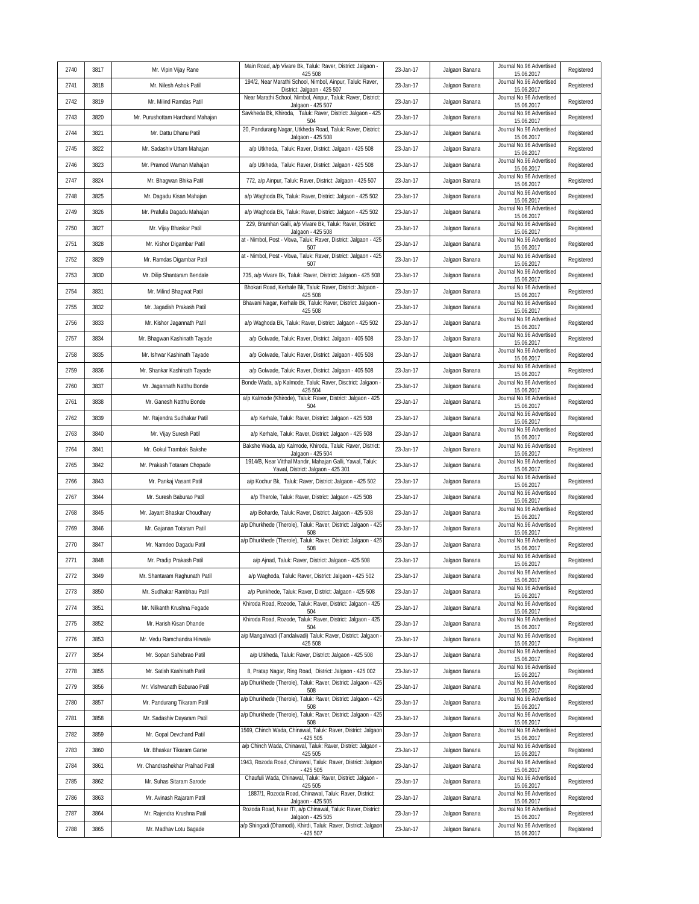| 2740 | 3817 | Mr. Vipin Vijay Rane             | Main Road, a/p Vivare Bk, Taluk: Raver, District: Jalgaon -                                                                             | 23-Jan-17 | Jalgaon Banana | Journal No.96 Advertised                             | Registered |
|------|------|----------------------------------|-----------------------------------------------------------------------------------------------------------------------------------------|-----------|----------------|------------------------------------------------------|------------|
| 2741 | 3818 | Mr. Nilesh Ashok Patil           | 425 508<br>194/2, Near Marathi School, Nimbol, Ainpur, Taluk: Raver,<br>District: Jalgaon - 425 507                                     | 23-Jan-17 | Jalgaon Banana | 15.06.2017<br>Journal No.96 Advertised<br>15.06.2017 | Registered |
| 2742 | 3819 | Mr. Milind Ramdas Patil          | Near Marathi School, Nimbol, Ainpur, Taluk: Raver, District:                                                                            | 23-Jan-17 | Jalgaon Banana | Journal No.96 Advertised                             | Registered |
| 2743 | 3820 | Mr. Purushottam Harchand Mahajan | Jalgaon - 425 507<br>Savkheda Bk, Khiroda, Taluk: Raver, District: Jalgaon - 425<br>504                                                 | 23-Jan-17 | Jalgaon Banana | 15.06.2017<br>Journal No.96 Advertised<br>15.06.2017 | Registered |
| 2744 | 3821 | Mr. Dattu Dhanu Patil            | 20, Pandurang Nagar, Utkheda Road, Taluk: Raver, District:<br>Jalgaon - 425 508                                                         | 23-Jan-17 | Jalgaon Banana | Journal No.96 Advertised<br>15.06.2017               | Registered |
| 2745 | 3822 | Mr. Sadashiv Uttam Mahajan       | a/p Utkheda, Taluk: Raver, District: Jalgaon - 425 508                                                                                  | 23-Jan-17 | Jalgaon Banana | Journal No.96 Advertised<br>15.06.2017               | Registered |
| 2746 | 3823 | Mr. Pramod Waman Mahajan         | a/p Utkheda, Taluk: Raver, District: Jalgaon - 425 508                                                                                  | 23-Jan-17 | Jalgaon Banana | Journal No.96 Advertised<br>15.06.2017               | Registered |
| 2747 | 3824 | Mr. Bhagwan Bhika Patil          | 772, a/p Ainpur, Taluk: Raver, District: Jalgaon - 425 507                                                                              | 23-Jan-17 | Jalgaon Banana | Journal No.96 Advertised<br>15.06.2017               | Registered |
| 2748 | 3825 | Mr. Dagadu Kisan Mahajan         | a/p Waghoda Bk, Taluk: Raver, District: Jalgaon - 425 502                                                                               | 23-Jan-17 | Jalgaon Banana | Journal No.96 Advertised<br>15.06.2017               | Registered |
| 2749 | 3826 | Mr. Prafulla Dagadu Mahajan      | a/p Waghoda Bk, Taluk: Raver, District: Jalgaon - 425 502                                                                               | 23-Jan-17 | Jalgaon Banana | Journal No.96 Advertised<br>15.06.2017               | Registered |
| 2750 | 3827 | Mr. Vijay Bhaskar Patil          | 229, Bramhan Galli, a/p Vivare Bk, Taluk: Raver, District:<br>Jalgaon - 425 508                                                         | 23-Jan-17 | Jalgaon Banana | Journal No.96 Advertised<br>15.06.2017               | Registered |
| 2751 | 3828 | Mr. Kishor Digambar Patil        | at - Nimbol, Post - Vitwa, Taluk: Raver, District: Jalgaon - 425<br>507                                                                 | 23-Jan-17 | Jalgaon Banana | Journal No.96 Advertised<br>15.06.2017               | Registered |
| 2752 | 3829 | Mr. Ramdas Digambar Patil        | at - Nimbol, Post - Vitwa, Taluk: Raver, District: Jalgaon - 425<br>507                                                                 | 23-Jan-17 | Jalgaon Banana | Journal No.96 Advertised<br>15.06.2017               | Registered |
| 2753 | 3830 | Mr. Dilip Shantaram Bendale      | 735, a/p Vivare Bk, Taluk: Raver, District: Jalgaon - 425 508                                                                           | 23-Jan-17 | Jalgaon Banana | Journal No.96 Advertised<br>15.06.2017               | Registered |
| 2754 | 3831 | Mr. Milind Bhagwat Patil         | Bhokari Road, Kerhale Bk, Taluk: Raver, District: Jalgaon -<br>425 508                                                                  | 23-Jan-17 | Jalgaon Banana | Journal No.96 Advertised<br>15.06.2017               | Registered |
| 2755 | 3832 | Mr. Jagadish Prakash Patil       | Bhavani Nagar, Kerhale Bk, Taluk: Raver, District: Jalgaon<br>425 508                                                                   | 23-Jan-17 | Jalgaon Banana | Journal No.96 Advertised<br>15.06.2017               | Registered |
| 2756 | 3833 | Mr. Kishor Jagannath Patil       | a/p Waghoda Bk, Taluk: Raver, District: Jalgaon - 425 502                                                                               | 23-Jan-17 | Jalgaon Banana | Journal No.96 Advertised<br>15.06.2017               | Registered |
| 2757 | 3834 | Mr. Bhagwan Kashinath Tayade     | a/p Golwade, Taluk: Raver, District: Jalgaon - 405 508                                                                                  | 23-Jan-17 | Jalgaon Banana | Journal No.96 Advertised<br>15.06.2017               | Registered |
| 2758 | 3835 | Mr. Ishwar Kashinath Tayade      | a/p Golwade, Taluk: Raver, District: Jalgaon - 405 508                                                                                  | 23-Jan-17 | Jalgaon Banana | Journal No.96 Advertised<br>15.06.2017               | Registered |
| 2759 | 3836 | Mr. Shankar Kashinath Tayade     | a/p Golwade, Taluk: Raver, District: Jalgaon - 405 508                                                                                  | 23-Jan-17 | Jalgaon Banana | Journal No.96 Advertised<br>15.06.2017               | Registered |
| 2760 | 3837 | Mr. Jagannath Natthu Bonde       | Bonde Wada, a/p Kalmode, Taluk: Raver, Disctrict: Jalgaon<br>425 504                                                                    | 23-Jan-17 | Jalgaon Banana | Journal No.96 Advertised<br>15.06.2017               | Registered |
| 2761 | 3838 | Mr. Ganesh Natthu Bonde          | a/p Kalmode (Khirode), Taluk: Raver, District: Jalgaon - 425<br>504                                                                     | 23-Jan-17 | Jalgaon Banana | Journal No.96 Advertised<br>15.06.2017               | Registered |
| 2762 | 3839 | Mr. Rajendra Sudhakar Patil      | a/p Kerhale, Taluk: Raver, District: Jalgaon - 425 508                                                                                  | 23-Jan-17 | Jalgaon Banana | Journal No.96 Advertised<br>15.06.2017               | Registered |
| 2763 | 3840 | Mr. Vijay Suresh Patil           | a/p Kerhale, Taluk: Raver, District: Jalgaon - 425 508                                                                                  | 23-Jan-17 | Jalgaon Banana | Journal No.96 Advertised<br>15.06.2017               | Registered |
| 2764 | 3841 | Mr. Gokul Trambak Bakshe         | Bakshe Wada, a/p Kalmode, Khiroda, Taluk: Raver, District:<br>Jalgaon - 425 504                                                         | 23-Jan-17 | Jalgaon Banana | Journal No.96 Advertised<br>15.06.2017               | Registered |
| 2765 | 3842 | Mr. Prakash Totaram Chopade      | 1914/B, Near Vitthal Mandir, Mahajan Galli, Yawal, Taluk:<br>Yawal, District: Jalgaon - 425 301                                         | 23-Jan-17 | Jalgaon Banana | Journal No.96 Advertised<br>15.06.2017               | Registered |
| 2766 | 3843 | Mr. Pankaj Vasant Patil          | a/p Kochur Bk, Taluk: Raver, District: Jalgaon - 425 502                                                                                | 23-Jan-17 | Jalgaon Banana | Journal No.96 Advertised<br>15.06.2017               | Registered |
| 2767 | 3844 | Mr. Suresh Baburao Patil         | a/p Therole, Taluk: Raver, District: Jalgaon - 425 508                                                                                  | 23-Jan-17 | Jalgaon Banana | Journal No.96 Advertised<br>15.06.2017               | Registered |
| 2768 | 3845 | Mr. Jayant Bhaskar Choudhary     | a/p Boharde, Taluk: Raver, District: Jalgaon - 425 508                                                                                  | 23-Jan-17 | Jalgaon Banana | Journal No.96 Advertised<br>15.06.2017               | Registered |
| 2769 | 3846 | Mr. Gajanan Totaram Patil        | a/p Dhurkhede (Therole), Taluk: Raver, District: Jalgaon - 425<br>508                                                                   | 23-Jan-17 | Jalgaon Banana | Journal No.96 Advertised<br>15.06.2017               | Registered |
| 2770 | 3847 | Mr. Namdeo Dagadu Patil          | a/p Dhurkhede (Therole), Taluk: Raver, District: Jalgaon - 425<br>508                                                                   | 23-Jan-17 | Jalgaon Banana | Journal No.96 Advertised<br>15.06.2017               | Registered |
| 2771 | 3848 | Mr. Pradip Prakash Patil         | a/p Ajnad, Taluk: Raver, District: Jalgaon - 425 508                                                                                    | 23-Jan-17 | Jalgaon Banana | Journal No.96 Advertised<br>15.06.2017               | Registered |
| 2772 | 3849 | Mr. Shantaram Raghunath Patil    | a/p Waghoda, Taluk: Raver, District: Jalgaon - 425 502                                                                                  | 23-Jan-17 | Jalgaon Banana | Journal No.96 Advertised<br>15.06.2017               | Registered |
| 2773 | 3850 | Mr. Sudhakar Rambhau Patil       | a/p Punkhede, Taluk: Raver, District: Jalgaon - 425 508                                                                                 | 23-Jan-17 | Jalgaon Banana | Journal No.96 Advertised<br>15.06.2017               | Registered |
| 2774 | 3851 | Mr. Nilkanth Krushna Fegade      | Khiroda Road, Rozode, Taluk: Raver, District: Jalgaon - 425<br>504                                                                      | 23-Jan-17 | Jalgaon Banana | Journal No.96 Advertised<br>15.06.2017               | Registered |
| 2775 | 3852 | Mr. Harish Kisan Dhande          | Khiroda Road, Rozode, Taluk: Raver, District: Jalgaon - 425<br>504                                                                      | 23-Jan-17 | Jalgaon Banana | Journal No.96 Advertised<br>15.06.2017               | Registered |
| 2776 | 3853 | Mr. Vedu Ramchandra Hirwale      | a/p Mangalwadi (Tandalwadi) Taluk: Raver, District: Jalgaon -<br>425 508                                                                | 23-Jan-17 | Jalgaon Banana | Journal No.96 Advertised<br>15.06.2017               | Registered |
| 2777 | 3854 | Mr. Sopan Sahebrao Patil         | a/p Utkheda, Taluk: Raver, District: Jalgaon - 425 508                                                                                  | 23-Jan-17 | Jalgaon Banana | Journal No.96 Advertised<br>15.06.2017               | Registered |
| 2778 | 3855 | Mr. Satish Kashinath Patil       | 8, Pratap Nagar, Ring Road, District: Jalgaon - 425 002                                                                                 | 23-Jan-17 | Jalgaon Banana | Journal No.96 Advertised<br>15.06.2017               | Registered |
| 2779 | 3856 | Mr. Vishwanath Baburao Patil     | a/p Dhurkhede (Therole), Taluk: Raver, District: Jalqaon - 425<br>508                                                                   | 23-Jan-17 | Jalgaon Banana | Journal No.96 Advertised<br>15.06.2017               | Registered |
| 2780 | 3857 | Mr. Pandurang Tikaram Patil      | a/p Dhurkhede (Therole), Taluk: Raver, District: Jalqaon - 425<br>508                                                                   | 23-Jan-17 | Jalgaon Banana | Journal No.96 Advertised<br>15.06.2017               | Registered |
| 2781 | 3858 | Mr. Sadashiv Dayaram Patil       | a/p Dhurkhede (Therole), Taluk: Raver, District: Jalgaon - 425<br>508                                                                   | 23-Jan-17 | Jalgaon Banana | Journal No.96 Advertised<br>15.06.2017               | Registered |
| 2782 | 3859 | Mr. Gopal Devchand Patil         | 1569, Chinch Wada, Chinawal, Taluk: Raver, District: Jalgaon<br>- 425 505                                                               | 23-Jan-17 | Jalgaon Banana | Journal No.96 Advertised<br>15.06.2017               | Registered |
| 2783 | 3860 | Mr. Bhaskar Tikaram Garse        | a/p Chinch Wada, Chinawal, Taluk: Raver, District: Jalgaon -<br>425 505                                                                 | 23-Jan-17 | Jalgaon Banana | Journal No.96 Advertised<br>15.06.2017               | Registered |
| 2784 | 3861 | Mr. Chandrashekhar Pralhad Patil | 1943, Rozoda Road, Chinawal, Taluk: Raver, District: Jalgaon<br>- 425 505<br>Chaufuli Wada, Chinawal, Taluk: Raver, District: Jalgaon - | 23-Jan-17 | Jalgaon Banana | Journal No.96 Advertised<br>15.06.2017               | Registered |
| 2785 | 3862 | Mr. Suhas Sitaram Sarode         | 425 505<br>1887/1, Rozoda Road, Chinawal, Taluk: Raver, District:                                                                       | 23-Jan-17 | Jalgaon Banana | Journal No.96 Advertised<br>15.06.2017               | Registered |
| 2786 | 3863 | Mr. Avinash Rajaram Patil        | Jalgaon - 425 505                                                                                                                       | 23-Jan-17 | Jalgaon Banana | Journal No.96 Advertised<br>15.06.2017               | Registered |
| 2787 | 3864 | Mr. Rajendra Krushna Patil       | Rozoda Road, Near ITI, a/p Chinawal, Taluk: Raver, District:<br>Jalgaon - 425 505                                                       | 23-Jan-17 | Jalgaon Banana | Journal No.96 Advertised<br>15.06.2017               | Registered |
| 2788 | 3865 | Mr. Madhav Lotu Bagade           | a/p Shingadi (Dhamodi), Khirdi, Taluk: Raver, District: Jalgaon<br>- 425 507                                                            | 23-Jan-17 | Jalgaon Banana | Journal No.96 Advertised<br>15.06.2017               | Registered |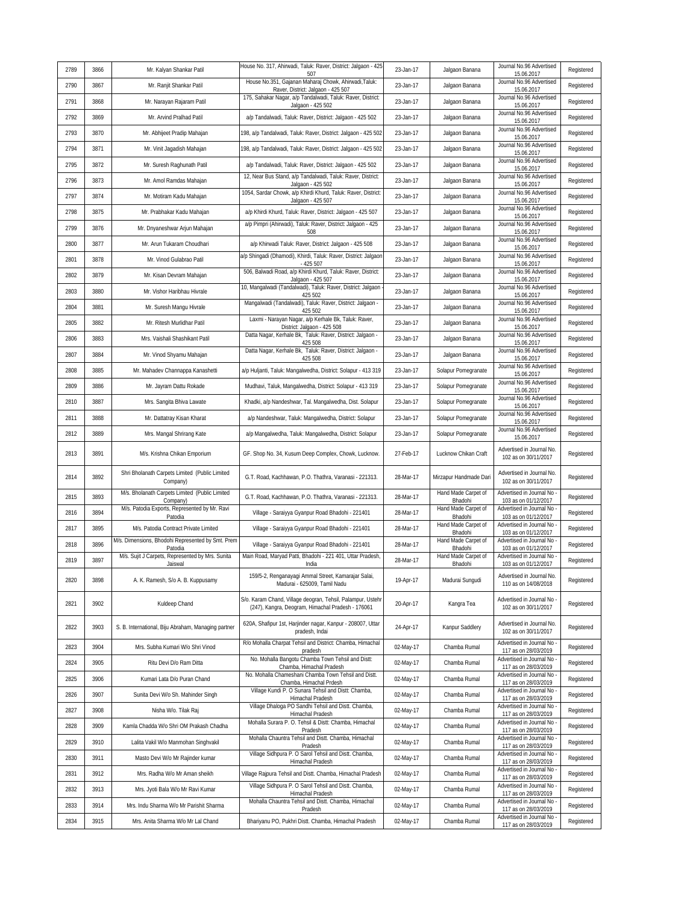| 2789 | 3866 | Mr. Kalyan Shankar Patil                                     | House No. 317, Ahirwadi, Taluk: Raver, District: Jalgaon - 425<br>507                                            | 23-Jan-17 | Jalgaon Banana                 | Journal No.96 Advertised<br>15.06.2017             | Registered |
|------|------|--------------------------------------------------------------|------------------------------------------------------------------------------------------------------------------|-----------|--------------------------------|----------------------------------------------------|------------|
| 2790 | 3867 | Mr. Ranjit Shankar Patil                                     | House No.351, Gajanan Maharaj Chowk, Ahirwadi, Taluk:<br>Raver, District: Jalgaon - 425 507                      | 23-Jan-17 | Jalgaon Banana                 | Journal No.96 Advertised<br>15.06.2017             | Registered |
| 2791 | 3868 | Mr. Narayan Rajaram Patil                                    | 175, Sahakar Nagar, a/p Tandalwadi, Taluk: Raver, District:<br>Jalgaon - 425 502                                 | 23-Jan-17 | Jalgaon Banana                 | Journal No.96 Advertised<br>15.06.2017             | Registered |
| 2792 | 3869 | Mr. Arvind Pralhad Patil                                     | a/p Tandalwadi, Taluk: Raver, District: Jalgaon - 425 502                                                        | 23-Jan-17 | Jalgaon Banana                 | Journal No.96 Advertised<br>15.06.2017             | Registered |
| 2793 | 3870 | Mr. Abhijeet Pradip Mahajan                                  | 198, a/p Tandalwadi, Taluk: Raver, District: Jalgaon - 425 502                                                   | 23-Jan-17 | Jalgaon Banana                 | Journal No.96 Advertised<br>15.06.2017             | Registered |
| 2794 | 3871 | Mr. Vinit Jagadish Mahajan                                   | 198, a/p Tandalwadi, Taluk: Raver, District: Jalgaon - 425 502                                                   | 23-Jan-17 | Jalgaon Banana                 | Journal No.96 Advertised<br>15.06.2017             | Registered |
| 2795 | 3872 | Mr. Suresh Raghunath Patil                                   | a/p Tandalwadi, Taluk: Raver, District: Jalgaon - 425 502                                                        | 23-Jan-17 | Jalgaon Banana                 | Journal No.96 Advertised<br>15.06.2017             | Registered |
| 2796 | 3873 | Mr. Amol Ramdas Mahajan                                      | 12, Near Bus Stand, a/p Tandalwadi, Taluk: Raver, District:<br>Jalqaon - 425 502                                 | 23-Jan-17 | Jalgaon Banana                 | Journal No.96 Advertised<br>15.06.2017             | Registered |
| 2797 | 3874 | Mr. Motiram Kadu Mahajan                                     | 1054, Sardar Chowk, a/p Khirdi Khurd, Taluk: Raver, District:<br>Jalgaon - 425 507                               | 23-Jan-17 | Jalgaon Banana                 | Journal No.96 Advertised<br>15.06.2017             | Registered |
| 2798 | 3875 | Mr. Prabhakar Kadu Mahajan                                   | a/p Khirdi Khurd, Taluk: Raver, District: Jalgaon - 425 507                                                      | 23-Jan-17 | Jalgaon Banana                 | Journal No.96 Advertised<br>15.06.2017             | Registered |
| 2799 | 3876 | Mr. Dnyaneshwar Arjun Mahajan                                | a/p Pimpri (Ahirwadi), Taluk: Raver, District: Jalqaon - 425<br>508                                              | 23-Jan-17 | Jalgaon Banana                 | Journal No.96 Advertised<br>15.06.2017             | Registered |
| 2800 | 3877 | Mr. Arun Tukaram Choudhari                                   | a/p Khirwadi Taluk: Raver, District: Jalgaon - 425 508                                                           | 23-Jan-17 | Jalgaon Banana                 | Journal No.96 Advertised<br>15.06.2017             | Registered |
| 2801 | 3878 | Mr. Vinod Gulabrao Patil                                     | a/p Shingadi (Dhamodi), Khirdi, Taluk: Raver, District: Jalgaon<br>- 425 507                                     | 23-Jan-17 | Jalgaon Banana                 | Journal No.96 Advertised<br>15.06.2017             | Registered |
| 2802 | 3879 | Mr. Kisan Devram Mahajan                                     | 506, Balwadi Road, a/p Khirdi Khurd, Taluk: Raver, District:<br>Jalgaon - 425 507                                | 23-Jan-17 | Jalgaon Banana                 | Journal No.96 Advertised<br>15.06.2017             | Registered |
| 2803 | 3880 | Mr. Vishor Haribhau Hivrale                                  | 10, Mangalwadi (Tandalwadi), Taluk: Raver, District: Jalgaon<br>425 502                                          | 23-Jan-17 | Jalgaon Banana                 | Journal No.96 Advertised<br>15.06.2017             | Registered |
| 2804 | 3881 | Mr. Suresh Mangu Hivrale                                     | Mangalwadi (Tandalwadi), Taluk: Raver, District: Jalgaon -<br>425 502                                            | 23-Jan-17 | Jalgaon Banana                 | Journal No.96 Advertised<br>15.06.2017             | Registered |
| 2805 | 3882 | Mr. Ritesh Murlidhar Patil                                   | Laxmi - Narayan Nagar, a/p Kerhale Bk, Taluk: Raver,<br>District: Jalgaon - 425 508                              | 23-Jan-17 | Jalgaon Banana                 | Journal No.96 Advertised<br>15.06.2017             | Registered |
| 2806 | 3883 | Mrs. Vaishali Shashikant Patil                               | Datta Nagar, Kerhale Bk, Taluk: Raver, District: Jalgaon -<br>425 508                                            | 23-Jan-17 | Jalgaon Banana                 | Journal No.96 Advertised<br>15.06.2017             | Registered |
| 2807 | 3884 | Mr. Vinod Shyamu Mahajan                                     | Datta Nagar, Kerhale Bk, Taluk: Raver, District: Jalgaon -                                                       | 23-Jan-17 | Jalgaon Banana                 | Journal No.96 Advertised<br>15.06.2017             | Registered |
| 2808 | 3885 | Mr. Mahadev Channappa Kanashetti                             | 425 508<br>a/p Huljanti, Taluk: Mangalwedha, District: Solapur - 413 319                                         | 23-Jan-17 | Solapur Pomegranate            | Journal No.96 Advertised                           | Registered |
| 2809 | 3886 | Mr. Jayram Dattu Rokade                                      | Mudhavi, Taluk, Mangalwedha, District: Solapur - 413 319                                                         | 23-Jan-17 | Solapur Pomegranate            | 15.06.2017<br>Journal No.96 Advertised             | Registered |
| 2810 | 3887 | Mrs. Sangita Bhiva Lawate                                    | Khadki, a/p Nandeshwar, Tal. Mangalwedha, Dist. Solapur                                                          | 23-Jan-17 | Solapur Pomegranate            | 15.06.2017<br>Journal No.96 Advertised             | Registered |
| 2811 | 3888 | Mr. Dattatray Kisan Kharat                                   | a/p Nandeshwar, Taluk: Mangalwedha, District: Solapur                                                            | 23-Jan-17 | Solapur Pomegranate            | 15.06.2017<br>Journal No.96 Advertised             | Registered |
| 2812 | 3889 | Mrs. Mangal Shrirang Kate                                    | a/p Mangalwedha, Taluk: Mangalwedha, District: Solapur                                                           | 23-Jan-17 | Solapur Pomegranate            | 15.06.2017<br>Journal No.96 Advertised             | Registered |
|      |      |                                                              |                                                                                                                  |           |                                | 15.06.2017<br>Advertised in Journal No.            |            |
| 2813 | 3891 | M/s. Krishna Chikan Emporium                                 | GF. Shop No. 34, Kusum Deep Complex, Chowk, Lucknow.                                                             | 27-Feb-17 | Lucknow Chikan Craft           | 102 as on 30/11/2017                               | Registered |
| 2814 | 3892 | Shri Bholanath Carpets Limited (Public Limited<br>Company)   | G.T. Road, Kachhawan, P.O. Thathra, Varanasi - 221313.                                                           | 28-Mar-17 | Mirzapur Handmade Dari         | Advertised in Journal No.<br>102 as on 30/11/2017  | Registered |
| 2815 | 3893 | M/s. Bholanath Carpets Limited (Public Limited<br>Company)   | G.T. Road, Kachhawan, P.O. Thathra, Varanasi - 221313.                                                           | 28-Mar-17 | Hand Made Carpet of<br>Bhadohi | Advertised in Journal No<br>103 as on 01/12/2017   | Registered |
| 2816 | 3894 | M/s. Patodia Exports, Represented by Mr. Ravi<br>Patodia     | Village - Saraiyya Gyanpur Road Bhadohi - 221401                                                                 | 28-Mar-17 | Hand Made Carpet of<br>Bhadohi | Advertised in Journal No<br>103 as on 01/12/2017   | Registered |
| 2817 | 3895 | M/s. Patodia Contract Private Limited                        | Village - Saraiyya Gyanpur Road Bhadohi - 221401                                                                 | 28-Mar-17 | Hand Made Carpet of<br>Bhadohi | Advertised in Journal No<br>103 as on 01/12/2017   | Registered |
| 2818 | 3896 | M/s. Dimensions, Bhodohi Represented by Smt. Prem<br>Patodia | Village - Saraiyya Gyanpur Road Bhadohi - 221401                                                                 | 28-Mar-17 | Hand Made Carpet of<br>Bhadohi | Advertised in Journal No<br>103 as on 01/12/2017   | Registered |
| 2819 | 3897 | M/s. Sujit J Carpets, Represented by Mrs. Sunita<br>Jaiswal  | Main Road, Maryad Patti, Bhadohi - 221 401, Uttar Pradesh,<br>India                                              | 28-Mar-17 | Hand Made Carpet of<br>Bhadohi | Advertised in Journal No<br>103 as on 01/12/2017   | Registered |
| 2820 | 3898 | A. K. Ramesh, S/o A. B. Kuppusamy                            | 159/5-2, Renganayagi Ammal Street, Kamarajar Salai,<br>Madurai - 625009, Tamil Nadu                              | 19-Apr-17 | Madurai Sungudi                | Advertised in Journal No.<br>110 as on 14/08/2018  | Registered |
| 2821 | 3902 | Kuldeep Chand                                                | S/o. Karam Chand, Village deogran, Tehsil, Palampur, Ustehr<br>(247), Kangra, Deogram, Himachal Pradesh - 176061 | 20-Apr-17 | Kangra Tea                     | Advertised in Journal No<br>102 as on 30/11/2017   | Registered |
| 2822 | 3903 | S. B. International, Biju Abraham, Managing partner          | 620A, Shafipur 1st, Harjinder nagar, Kanpur - 208007, Uttar<br>pradesh, Indai                                    | 24-Apr-17 | Kanpur Saddlery                | Advertised in Journal No.<br>102 as on 30/11/2017  | Registered |
| 2823 | 3904 | Mrs. Subha Kumari W/o Shri Vinod                             | R/o Mohalla Charpat Tehsil and District: Chamba, Himachal<br>pradesh                                             | 02-May-17 | Chamba Rumal                   | Advertised in Journal No -<br>117 as on 28/03/2019 | Registered |
| 2824 | 3905 | Ritu Devi D/o Ram Ditta                                      | No. Mohalla Bangotu Chamba Town Tehsil and Distt:<br>Chamba, Himachal Pradesh                                    | 02-May-17 | Chamba Rumal                   | Advertised in Journal No<br>117 as on 28/03/2019   | Registered |
| 2825 | 3906 | Kumari Lata D/o Puran Chand                                  | No. Mohalla Chameshani Chamba Town Tehsil and Distt.<br>Chamba, Himachal Prdesh                                  | 02-May-17 | Chamba Rumal                   | Advertised in Journal No<br>117 as on 28/03/2019   | Registered |
| 2826 | 3907 | Sunita Devi W/o Sh. Mahinder Singh                           | Village Kundi P. O Sunara Tehsil and Distt: Chamba,<br>Himachal Pradesh                                          | 02-May-17 | Chamba Rumal                   | Advertised in Journal No -<br>117 as on 28/03/2019 | Registered |
| 2827 | 3908 | Nisha W/o. Tilak Raj                                         | Village Dhaloga PO Sandhi Tehsil and Distt. Chamba,<br>Himachal Pradesh                                          | 02-May-17 | Chamba Rumal                   | Advertised in Journal No<br>117 as on 28/03/2019   | Registered |
| 2828 | 3909 | Kamla Chadda W/o Shri OM Prakash Chadha                      | Mohalla Surara P. O. Tehsil & Distt: Chamba, Himachal<br>Pradesh                                                 | 02-May-17 | Chamba Rumal                   | Advertised in Journal No -<br>117 as on 28/03/2019 | Registered |
| 2829 | 3910 | Lalita Vakil W/o Manmohan Singhvakil                         | Mohalla Chauntra Tehsil and Distt. Chamba, Himachal<br>Pradesh                                                   | 02-May-17 | Chamba Rumal                   | Advertised in Journal No<br>117 as on 28/03/2019   | Registered |
| 2830 | 3911 | Masto Devi W/o Mr Rajinder kumar                             | Village Sidhpura P. O Sarol Tehsil and Distt. Chamba,<br>Himachal Pradesh                                        | 02-May-17 | Chamba Rumal                   | Advertised in Journal No<br>117 as on 28/03/2019   | Registered |
| 2831 | 3912 | Mrs. Radha W/o Mr Aman sheikh                                | Village Rajpura Tehsil and Distt. Chamba, Himachal Pradesh                                                       | 02-May-17 | Chamba Rumal                   | Advertised in Journal No<br>117 as on 28/03/2019   | Registered |
| 2832 | 3913 | Mrs. Jyoti Bala W/o Mr Ravi Kumar                            | Village Sidhpura P. O Sarol Tehsil and Distt. Chamba,                                                            | 02-May-17 | Chamba Rumal                   | Advertised in Journal No                           | Registered |
| 2833 | 3914 | Mrs. Indu Sharma W/o Mr Parishit Sharma                      | Himachal Pradesh<br>Mohalla Chauntra Tehsil and Distt. Chamba, Himachal                                          | 02-May-17 | Chamba Rumal                   | 117 as on 28/03/2019<br>Advertised in Journal No - | Registered |
| 2834 | 3915 | Mrs. Anita Sharma W/o Mr Lal Chand                           | Pradesh<br>Bhariyanu PO, Pukhri Distt. Chamba, Himachal Pradesh                                                  | 02-May-17 | Chamba Rumal                   | 117 as on 28/03/2019<br>Advertised in Journal No - | Registered |
|      |      |                                                              |                                                                                                                  |           |                                | 117 as on 28/03/2019                               |            |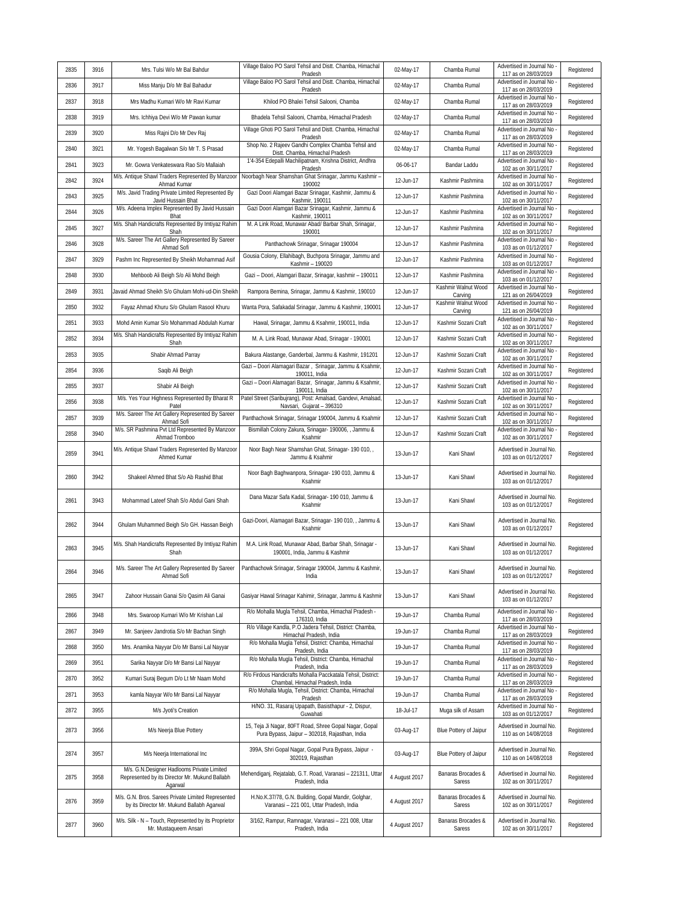| 2835 | 3916 | Mrs. Tulsi W/o Mr Bal Bahdur                                                                            | Village Baloo PO Sarol Tehsil and Distt. Chamba, Himachal<br>Pradesh                                     | 02-May-17     | Chamba Rumal                    | Advertised in Journal No<br>117 as on 28/03/2019  | Registered |
|------|------|---------------------------------------------------------------------------------------------------------|----------------------------------------------------------------------------------------------------------|---------------|---------------------------------|---------------------------------------------------|------------|
| 2836 | 3917 | Miss Manju D/o Mr Bal Bahadur                                                                           | Village Baloo PO Sarol Tehsil and Distt. Chamba, Himachal<br>Pradesh                                     | 02-May-17     | Chamba Rumal                    | Advertised in Journal No<br>117 as on 28/03/2019  | Registered |
| 2837 | 3918 | Mrs Madhu Kumari W/o Mr Ravi Kumar                                                                      | Khilod PO Bhalei Tehsil Salooni, Chamba                                                                  | 02-May-17     | Chamba Rumal                    | Advertised in Journal No<br>117 as on 28/03/2019  | Registered |
| 2838 | 3919 | Mrs. Ichhiya Devi W/o Mr Pawan kumar                                                                    | Bhadela Tehsil Salooni, Chamba, Himachal Pradesh                                                         | 02-May-17     | Chamba Rumal                    | Advertised in Journal No<br>117 as on 28/03/2019  | Registered |
| 2839 | 3920 | Miss Rajni D/o Mr Dev Raj                                                                               | Village Ghoti PO Sarol Tehsil and Distt. Chamba, Himachal<br>Pradesh                                     | 02-May-17     | Chamba Rumal                    | Advertised in Journal No<br>117 as on 28/03/2019  | Registered |
| 2840 | 3921 | Mr. Yogesh Bagalwan S/o Mr T. S Prasad                                                                  | Shop No. 2 Rajeev Gandhi Complex Chamba Tehsil and<br>Distt. Chamba, Himachal Pradesh                    | 02-May-17     | Chamba Rumal                    | Advertised in Journal No<br>117 as on 28/03/2019  | Registered |
| 2841 | 3923 | Mr. Gowra Venkateswara Rao S/o Mallaiah                                                                 | 1'4-354 Edepalli Machilipatnam, Krishna District, Andhra<br>Pradesh                                      | 06-06-17      | Bandar Laddu                    | Advertised in Journal No<br>102 as on 30/11/2017  | Registered |
| 2842 | 3924 | M/s. Antique Shawl Traders Represented By Manzoor<br>Ahmad Kumar                                        | Noorbagh Near Shamshan Ghat Srinagar, Jammu Kashmir -<br>190002                                          | 12-Jun-17     | Kashmir Pashmina                | Advertised in Journal No<br>102 as on 30/11/2017  | Registered |
| 2843 | 3925 | M/s. Javid Trading Private Limited Represented By<br>Javid Hussain Bhat                                 | Gazi Doori Alamgari Bazar Srinagar, Kashmir, Jammu &<br>Kashmir, 190011                                  | 12-Jun-17     | Kashmir Pashmina                | Advertised in Journal No<br>102 as on 30/11/2017  | Registered |
| 2844 | 3926 | M/s. Adeena Implex Represented By Javid Hussain<br><b>Bhat</b>                                          | Gazi Doori Alamgari Bazar Srinagar, Kashmir, Jammu &<br>Kashmir, 190011                                  | 12-Jun-17     | Kashmir Pashmina                | Advertised in Journal No<br>102 as on 30/11/2017  | Registered |
| 2845 | 3927 | M/s. Shah Handicrafts Represented By Imtiyaz Rahim<br>Shah                                              | M. A Link Road, Munawar Abad/ Barbar Shah, Srinagar,<br>190001                                           | 12-Jun-17     | Kashmir Pashmina                | Advertised in Journal No<br>102 as on 30/11/2017  | Registered |
| 2846 | 3928 | M/s. Sareer The Art Gallery Represented By Sareer<br>Ahmad Sofi                                         | Panthachowk Srinagar, Srinagar 190004                                                                    | 12-Jun-17     | Kashmir Pashmina                | Advertised in Journal No<br>103 as on 01/12/2017  | Registered |
| 2847 | 3929 | Pashm Inc Represented By Sheikh Mohammad Asif                                                           | Gousia Colony, Ellahibagh, Buchpora Srinagar, Jammu and<br>Kashmir - 190020                              | 12-Jun-17     | Kashmir Pashmina                | Advertised in Journal No<br>103 as on 01/12/2017  | Registered |
| 2848 | 3930 | Mehboob Ali Beigh S/o Ali Mohd Beigh                                                                    | Gazi - Doori, Alamgari Bazar, Srinagar, kashmir - 190011                                                 | 12-Jun-17     | Kashmir Pashmina                | Advertised in Journal No<br>103 as on 01/12/2017  | Registered |
| 2849 | 3931 | Javaid Ahmad Sheikh S/o Ghulam Mohi-ud-Din Sheikh                                                       | Rampora Bemina, Srinagar, Jammu & Kashmir, 190010                                                        | 12-Jun-17     | Kashmir Walnut Wood<br>Carving  | Advertised in Journal No<br>121 as on 26/04/2019  | Registered |
| 2850 | 3932 | Fayaz Ahmad Khuru S/o Ghulam Rasool Khuru                                                               | Wanta Pora, Safakadal Srinagar, Jammu & Kashmir, 190001                                                  | 12-Jun-17     | Kashmir Walnut Wood             | Advertised in Journal No<br>121 as on 26/04/2019  | Registered |
| 2851 | 3933 | Mohd Amin Kumar S/o Mohammad Abdulah Kumar                                                              | Hawal, Srinagar, Jammu & Ksahmir, 190011, India                                                          | 12-Jun-17     | Carving<br>Kashmir Sozani Craft | Advertised in Journal No                          | Registered |
| 2852 | 3934 | M/s. Shah Handicrafts Represented By Imtiyaz Rahim                                                      | M. A. Link Road, Munawar Abad, Srinagar - 190001                                                         | 12-Jun-17     | Kashmir Sozani Craft            | 102 as on 30/11/2017<br>Advertised in Journal No  | Registered |
| 2853 | 3935 | Shah<br>Shabir Ahmad Parray                                                                             | Bakura Alastange, Ganderbal, Jammu & Kashmir, 191201                                                     | 12-Jun-17     | Kashmir Sozani Craft            | 102 as on 30/11/2017<br>Advertised in Journal No  | Registered |
| 2854 | 3936 | Saqib Ali Beigh                                                                                         | Gazi - Doori Alamagari Bazar, Srinagar, Jammu & Ksahmir                                                  | 12-Jun-17     | Kashmir Sozani Craft            | 102 as on 30/11/2017<br>Advertised in Journal No  | Registered |
| 2855 | 3937 | Shabir Ali Beigh                                                                                        | 190011, India<br>Gazi - Doori Alamagari Bazar, Srinagar, Jammu & Ksahmir,                                | 12-Jun-17     | Kashmir Sozani Craft            | 102 as on 30/11/2017<br>Advertised in Journal No  | Registered |
| 2856 | 3938 | M/s. Yes Your Highness Represented By Bharat R                                                          | 190011, India<br>Patel Street (Saribujrang), Post: Amalsad, Gandevi, Amalsad                             | 12-Jun-17     | Kashmir Sozani Craft            | 102 as on 30/11/2017<br>Advertised in Journal No  | Registered |
| 2857 | 3939 | Patel<br>M/s. Sareer The Art Gallery Represented By Sareer                                              | Navsari, Gujarat - 396310<br>Panthachowk Srinagar, Srinagar 190004, Jammu & Ksahmir                      | 12-Jun-17     | Kashmir Sozani Craft            | 102 as on 30/11/2017<br>Advertised in Journal No  | Registered |
| 2858 | 3940 | Ahmad Sofi<br>M/s. SR Pashmina Pvt Ltd Represented By Manzoor                                           | Bismillah Colony Zakura, Srinagar- 190006, , Jammu &                                                     | 12-Jun-17     | Kashmir Sozani Craft            | 102 as on 30/11/2017<br>Advertised in Journal No  | Registered |
|      | 3941 | Ahmad Tromboo<br>M/s. Antique Shawl Traders Represented By Manzoor                                      | Ksahmir<br>Noor Bagh Near Shamshan Ghat, Srinagar- 190 010, ,                                            |               |                                 | 102 as on 30/11/2017<br>Advertised in Journal No. |            |
| 2859 |      | Ahmed Kumar                                                                                             | Jammu & Ksahmir                                                                                          | 13-Jun-17     | Kani Shawl                      | 103 as on 01/12/2017                              | Registered |
| 2860 | 3942 | Shakeel Ahmed Bhat S/o Ab Rashid Bhat                                                                   | Noor Bagh Baghwanpora, Srinagar- 190 010, Jammu &<br>Ksahmir                                             | 13-Jun-17     | Kani Shawl                      | Advertised in Journal No.<br>103 as on 01/12/2017 | Registered |
| 2861 | 3943 | Mohammad Lateef Shah S/o Abdul Gani Shah                                                                | Dana Mazar Safa Kadal, Srinagar- 190 010, Jammu &<br>Ksahmir                                             | 13-Jun-17     | Kani Shawl                      | Advertised in Journal No.<br>103 as on 01/12/2017 | Registered |
| 2862 | 3944 | Ghulam Muhammed Beigh S/o GH. Hassan Beigh                                                              | Gazi-Doori, Alamagari Bazar, Srinagar- 190 010, , Jammu &<br>Ksahmir                                     | 13-Jun-17     | Kani Shawl                      | Advertised in Journal No.<br>103 as on 01/12/2017 | Registered |
| 2863 | 3945 | M/s. Shah Handicrafts Represented By Imtiyaz Rahim<br>Shah                                              | M.A. Link Road, Munawar Abad, Barbar Shah, Srinagar -<br>190001, India, Jammu & Kashmir                  | 13-Jun-17     | Kani Shawl                      | Advertised in Journal No.<br>103 as on 01/12/2017 | Registered |
| 2864 | 3946 | M/s. Sareer The Art Gallery Represented By Sareer<br>Ahmad Sofi                                         | Panthachowk Srinagar, Srinagar 190004, Jammu & Kashmir,<br>India                                         | 13-Jun-17     | Kani Shawl                      | Advertised in Journal No.<br>103 as on 01/12/2017 | Registered |
| 2865 | 3947 | Zahoor Hussain Ganai S/o Qasim Ali Ganai                                                                | Gasiyar Hawal Srinagar Kahimir, Srinagar, Jammu & Kashmir                                                | 13-Jun-17     | Kani Shawl                      | Advertised in Journal No.<br>103 as on 01/12/2017 | Registered |
| 2866 | 3948 | Mrs. Swaroop Kumari W/o Mr Krishan Lal                                                                  | R/o Mohalla Muqla Tehsil, Chamba, Himachal Pradesh -<br>176310, India                                    | 19-Jun-17     | Chamba Rumal                    | Advertised in Journal No<br>117 as on 28/03/2019  | Registered |
| 2867 | 3949 | Mr. Sanjeev Jandrotia S/o Mr Bachan Singh                                                               | R/o Village Kandla, P.O Jadera Tehsil, District: Chamba,<br>Himachal Pradesh, India                      | 19-Jun-17     | Chamba Rumal                    | Advertised in Journal No<br>117 as on 28/03/2019  | Registered |
| 2868 | 3950 | Mrs. Anamika Nayyar D/o Mr Bansi Lal Nayyar                                                             | R/o Mohalla Mugla Tehsil, District: Chamba, Himachal<br>Pradesh, India                                   | 19-Jun-17     | Chamba Rumal                    | Advertised in Journal No<br>117 as on 28/03/2019  | Registered |
| 2869 | 3951 | Sarika Nayyar D/o Mr Bansi Lal Nayyar                                                                   | R/o Mohalla Mugla Tehsil, District: Chamba, Himachal<br>Pradesh, India                                   | 19-Jun-17     | Chamba Rumal                    | Advertised in Journal No<br>117 as on 28/03/2019  | Registered |
| 2870 | 3952 | Kumari Suraj Begum D/o Lt Mr Naam Mohd                                                                  | R/o Firdous Handicrafts Mohalla Pacckatala Tehsil, District:<br>Chambal, Himachal Pradesh, India         | 19-Jun-17     | Chamba Rumal                    | Advertised in Journal No<br>117 as on 28/03/2019  | Registered |
| 2871 | 3953 | kamla Nayyar W/o Mr Bansi Lal Nayyar                                                                    | R/o Mohalla Mugla, Tehsil, District: Chamba, Himachal<br>Pradesh                                         | 19-Jun-17     | Chamba Rumal                    | Advertised in Journal No<br>117 as on 28/03/2019  | Registered |
| 2872 | 3955 | M/s Jyoti's Creation                                                                                    | H/NO. 31, Rasaraj Upapath, Basisthapur - 2, Dispur,<br>Guwahati                                          | 18-Jul-17     | Muga silk of Assam              | Advertised in Journal No<br>103 as on 01/12/2017  | Registered |
| 2873 | 3956 | M/s Neerja Blue Pottery                                                                                 | 15, Teja Ji Nagar, 80FT Road, Shree Gopal Nagar, Gopal<br>Pura Bypass, Jaipur - 302018, Rajasthan, India | 03-Aug-17     | Blue Pottery of Jaipur          | Advertised in Journal No.<br>110 as on 14/08/2018 | Registered |
| 2874 | 3957 | M/s Neerja International Inc.                                                                           | 399A, Shri Gopal Nagar, Gopal Pura Bypass, Jaipur -<br>302019, Rajasthan                                 | 03-Aug-17     | Blue Pottery of Jaipur          | Advertised in Journal No.<br>110 as on 14/08/2018 | Registered |
| 2875 | 3958 | M/s. G.N.Designer Hadlooms Private Limited<br>Represented by its Director Mr. Mukund Ballabh<br>Agarwal | Mehendiganj, Rejatalab, G.T. Road, Varanasi - 221311, Uttar<br>Pradesh, India                            | 4 August 2017 | Banaras Brocades &<br>Saress    | Advertised in Journal No.<br>102 as on 30/11/2017 | Registered |
| 2876 | 3959 | M/s. G.N. Bros. Sarees Private Limited Represented<br>by its Director Mr. Mukund Ballabh Agarwal        | H.No.K.37/78, G.N. Building, Gopal Mandir, Golghar,<br>Varanasi - 221 001, Uttar Pradesh, India          | 4 August 2017 | Banaras Brocades &<br>Saress    | Advertised in Journal No.<br>102 as on 30/11/2017 | Registered |
| 2877 | 3960 | M/s. Silk - N - Touch, Represented by its Proprietor<br>Mr. Mustaqueem Ansari                           | 3/162, Rampur, Ramnagar, Varanasi - 221 008, Uttar<br>Pradesh, India                                     | 4 August 2017 | Banaras Brocades &<br>Saress    | Advertised in Journal No.<br>102 as on 30/11/2017 | Registered |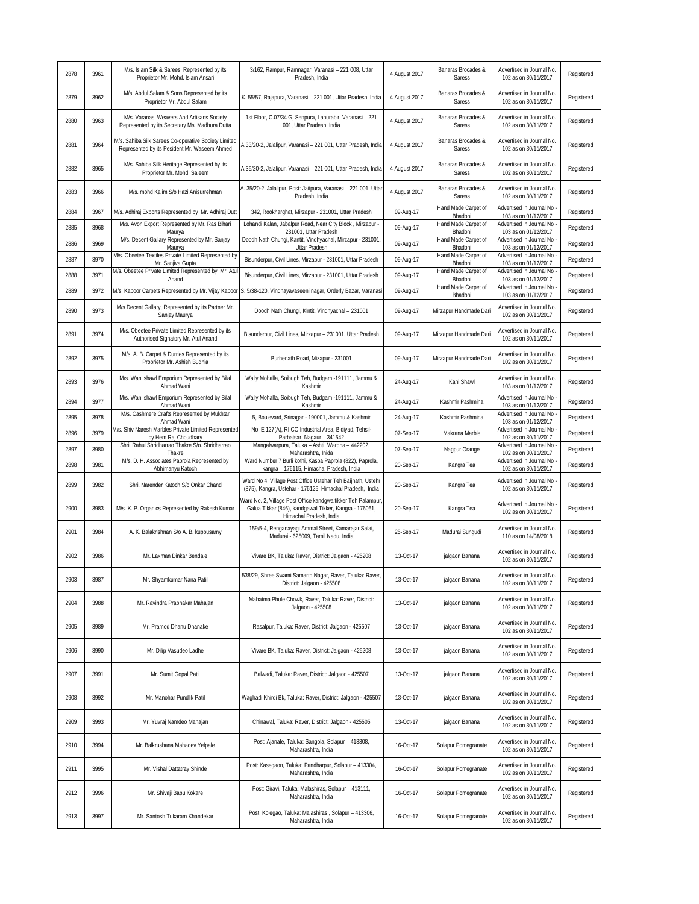| 2878 | 3961 | M/s. Islam Silk & Sarees, Represented by its<br>Proprietor Mr. Mohd. Islam Ansari                    | 3/162, Rampur, Ramnagar, Varanasi - 221 008, Uttar<br>Pradesh, India                                                                              | 4 August 2017 | Banaras Brocades &<br>Saress   | Advertised in Journal No.<br>102 as on 30/11/2017 | Registered |
|------|------|------------------------------------------------------------------------------------------------------|---------------------------------------------------------------------------------------------------------------------------------------------------|---------------|--------------------------------|---------------------------------------------------|------------|
| 2879 | 3962 | M/s. Abdul Salam & Sons Represented by its<br>Proprietor Mr. Abdul Salam                             | K. 55/57, Rajapura, Varanasi - 221 001, Uttar Pradesh, India                                                                                      | 4 August 2017 | Banaras Brocades &<br>Saress   | Advertised in Journal No.<br>102 as on 30/11/2017 | Registered |
| 2880 | 3963 | M/s. Varanasi Weavers And Artisans Society<br>Represented by its Secretary Ms. Madhura Dutta         | 1st Floor, C.07/34 G, Senpura, Lahurabir, Varanasi - 221<br>001, Uttar Pradesh, India                                                             | 4 August 2017 | Banaras Brocades &<br>Saress   | Advertised in Journal No.<br>102 as on 30/11/2017 | Registered |
| 2881 | 3964 | M/s. Sahiba Silk Sarees Co-operative Society Limited<br>Represented by its Pesident Mr. Waseem Ahmed | A 33/20-2, Jalalipur, Varanasi - 221 001, Uttar Pradesh, India                                                                                    | 4 August 2017 | Banaras Brocades &<br>Saress   | Advertised in Journal No.<br>102 as on 30/11/2017 | Registered |
| 2882 | 3965 | M/s. Sahiba Silk Heritage Represented by its<br>Proprietor Mr. Mohd. Saleem                          | A 35/20-2, Jalalipur, Varanasi - 221 001, Uttar Pradesh, India                                                                                    | 4 August 2017 | Banaras Brocades &<br>Saress   | Advertised in Journal No.<br>102 as on 30/11/2017 | Registered |
| 2883 | 3966 | M/s. mohd Kalim S/o Hazi Anisurrehman                                                                | A. 35/20-2, Jalalipur, Post: Jaitpura, Varanasi - 221 001, Uttar<br>Pradesh, India                                                                | 4 August 2017 | Banaras Brocades &<br>Saress   | Advertised in Journal No.<br>102 as on 30/11/2017 | Registered |
| 2884 | 3967 | M/s. Adhiraj Exports Represented by Mr. Adhiraj Dutt                                                 | 342, Rookharghat, Mirzapur - 231001, Uttar Pradesh                                                                                                | 09-Aug-17     | Hand Made Carpet of<br>Bhadohi | Advertised in Journal No<br>103 as on 01/12/2017  | Registered |
| 2885 | 3968 | M/s. Avon Export Represented by Mr. Ras Bihari<br>Maurya                                             | Lohandi Kalan, Jabalpur Road, Near City Block, Mirzapur -<br>231001, Uttar Pradesh                                                                | 09-Aug-17     | Hand Made Carpet of<br>Bhadohi | Advertised in Journal No<br>103 as on 01/12/2017  | Registered |
| 2886 | 3969 | M/s. Decent Gallary Represented by Mr. Sanjay                                                        | Doodh Nath Chungi, Kantit, Vindhyachal, Mirzapur - 231001,                                                                                        | 09-Aug-17     | Hand Made Carpet of<br>Bhadohi | Advertised in Journal No<br>103 as on 01/12/2017  | Registered |
| 2887 | 3970 | Maurya<br>M/s. Obeetee Textiles Private Limited Represented by                                       | Uttar Pradesh<br>Bisunderpur, Civil Lines, Mirzapur - 231001, Uttar Pradesh                                                                       | 09-Aug-17     | Hand Made Carpet of            | Advertised in Journal No                          | Registered |
| 2888 | 3971 | Mr. Sanjiva Gupta<br>M/s. Obeetee Private Limited Represented by Mr. Atu                             | Bisunderpur, Civil Lines, Mirzapur - 231001, Uttar Pradesh                                                                                        | 09-Aug-17     | Bhadohi<br>Hand Made Carpet of | 103 as on 01/12/2017<br>Advertised in Journal No  | Registered |
| 2889 | 3972 | Anand<br>M/s. Kapoor Carpets Represented by Mr. Vijay Kapoor                                         | S. 5/38-120, Vindhayavaseeni nagar, Orderly Bazar, Varanasi                                                                                       | 09-Aug-17     | Bhadohi<br>Hand Made Carpet of | 103 as on 01/12/2017<br>Advertised in Journal No  | Registered |
|      |      | M/s Decent Gallary, Represented by its Partner Mr.                                                   |                                                                                                                                                   |               | Bhadohi                        | 103 as on 01/12/2017<br>Advertised in Journal No. |            |
| 2890 | 3973 | Sanjay Maurya                                                                                        | Doodh Nath Chungi, Klntit, Vindhyachal - 231001                                                                                                   | 09-Aug-17     | Mirzapur Handmade Dari         | 102 as on 30/11/2017                              | Registered |
| 2891 | 3974 | M/s. Obeetee Private Limited Represented by its<br>Authorised Signatory Mr. Atul Anand               | Bisunderpur, Civil Lines, Mirzapur - 231001, Uttar Pradesh                                                                                        | 09-Aug-17     | Mirzapur Handmade Dari         | Advertised in Journal No.<br>102 as on 30/11/2017 | Registered |
| 2892 | 3975 | M/s. A. B. Carpet & Durries Represented by its<br>Proprietor Mr. Ashish Budhia                       | Burhenath Road, Mizapur - 231001                                                                                                                  | 09-Aug-17     | Mirzapur Handmade Dari         | Advertised in Journal No.<br>102 as on 30/11/2017 | Registered |
| 2893 | 3976 | M/s. Wani shawl Emporium Represented by Bilal<br>Ahmad Wani                                          | Wally Mohalla, Soibugh Teh, Budgam -191111, Jammu &<br>Kashmir                                                                                    | 24-Aug-17     | Kani Shawl                     | Advertised in Journal No.<br>103 as on 01/12/2017 | Registered |
| 2894 | 3977 | M/s. Wani shawl Emporium Represented by Bilal<br>Ahmad Wani                                          | Wally Mohalla, Soibugh Teh, Budgam -191111, Jammu &<br>Kashmir                                                                                    | 24-Aug-17     | Kashmir Pashmina               | Advertised in Journal No<br>103 as on 01/12/2017  | Registered |
| 2895 | 3978 | M/s. Cashmere Crafts Represented by Mukhtar<br>Ahmad Wani                                            | 5, Boulevard, Srinagar - 190001, Jammu & Kashmir                                                                                                  | 24-Aug-17     | Kashmir Pashmina               | Advertised in Journal No<br>103 as on 01/12/2017  | Registered |
| 2896 | 3979 | M/s. Shiv Naresh Marbles Private Limited Represented<br>by Hem Raj Choudhary                         | No. E 127(A), RIICO Industrial Area, Bidiyad, Tehsil-<br>Parbatsar, Nagaur - 341542                                                               | 07-Sep-17     | Makrana Marble                 | Advertised in Journal No<br>102 as on 30/11/2017  | Registered |
| 2897 | 3980 | Shri. Rahul Shridharrao Thakre S/o. Shridharrao<br>Thakre                                            | Mangalwarpura, Taluka - Ashti, Wardha - 442202,<br>Maharashtra, Inida                                                                             | 07-Sep-17     | Nagpur Orange                  | Advertised in Journal No<br>102 as on 30/11/2017  | Registered |
| 2898 | 3981 | M/s. D. H. Associates Paprola Represented by<br>Abhimanyu Katoch                                     | Ward Number 7 Burli kothi, Kasba Paprola (822), Paprola,<br>kangra - 176115, Himachal Pradesh, India                                              | 20-Sep-17     | Kangra Tea                     | Advertised in Journal No<br>102 as on 30/11/2017  | Registered |
| 2899 | 3982 | Shri. Narender Katoch S/o Onkar Chand                                                                | Ward No 4, Village Post Office Ustehar Teh Baijnath, Ustehr<br>(875), Kangra, Ustehar - 176125, Himachal Pradesh, India                           | 20-Sep-17     | Kangra Tea                     | Advertised in Journal No<br>102 as on 30/11/2017  | Registered |
| 2900 | 3983 | M/s. K. P. Organics Represented by Rakesh Kumar                                                      | Ward No. 2, Village Post Office kandgwaltikker Teh Palampur,<br>Galua Tikkar (846), kandgawal Tikker, Kangra - 176061,<br>Himachal Pradesh, India | 20-Sep-17     | Kangra Tea                     | Advertised in Journal No<br>102 as on 30/11/2017  | Registered |
| 2901 | 3984 | A. K. Balakrishnan S/o A. B. kuppusamy                                                               | 159/5-4, Renganayagi Ammal Street, Kamarajar Salai,<br>Madurai - 625009, Tamil Nadu, India                                                        | 25-Sep-17     | Madurai Sungudi                | Advertised in Journal No.<br>110 as on 14/08/2018 | Registered |
| 2902 | 3986 | Mr. Laxman Dinkar Bendale                                                                            | Vivare BK, Taluka: Raver, District: Jalgaon - 425208                                                                                              | 13-Oct-17     | jalgaon Banana                 | Advertised in Journal No.<br>102 as on 30/11/2017 | Registered |
| 2903 | 3987 | Mr. Shyamkumar Nana Patil                                                                            | 538/29, Shree Swami Samarth Nagar, Raver, Taluka: Raver,<br>District: Jalgaon - 425508                                                            | 13-Oct-17     | jalgaon Banana                 | Advertised in Journal No.<br>102 as on 30/11/2017 | Registered |
| 2904 | 3988 | Mr. Ravindra Prabhakar Mahajan                                                                       | Mahatma Phule Chowk, Raver, Taluka: Raver, District:<br>Jalgaon - 425508                                                                          | 13-Oct-17     | jalgaon Banana                 | Advertised in Journal No.<br>102 as on 30/11/2017 | Registered |
| 2905 | 3989 | Mr. Pramod Dhanu Dhanake                                                                             | Rasalpur, Taluka: Raver, District: Jalgaon - 425507                                                                                               | 13-Oct-17     | jalgaon Banana                 | Advertised in Journal No.<br>102 as on 30/11/2017 | Registered |
| 2906 | 3990 | Mr. Dilip Vasudeo Ladhe                                                                              | Vivare BK, Taluka: Raver, District: Jalgaon - 425208                                                                                              | 13-Oct-17     | jalgaon Banana                 | Advertised in Journal No.<br>102 as on 30/11/2017 | Registered |
| 2907 | 3991 | Mr. Sumit Gopal Patil                                                                                | Balwadi, Taluka: Raver, District: Jalgaon - 425507                                                                                                | 13-Oct-17     | jalgaon Banana                 | Advertised in Journal No.<br>102 as on 30/11/2017 | Registered |
| 2908 | 3992 | Mr. Manohar Pundlik Patil                                                                            | Waghadi Khirdi Bk, Taluka: Raver, District: Jalgaon - 425507                                                                                      | 13-Oct-17     | jalgaon Banana                 | Advertised in Journal No.<br>102 as on 30/11/2017 | Registered |
| 2909 | 3993 | Mr. Yuvraj Namdeo Mahajan                                                                            | Chinawal, Taluka: Raver, District: Jalgaon - 425505                                                                                               | 13-Oct-17     | jalgaon Banana                 | Advertised in Journal No.<br>102 as on 30/11/2017 | Registered |
| 2910 | 3994 | Mr. Balkrushana Mahadev Yelpale                                                                      | Post: Ajanale, Taluka: Sangola, Solapur - 413308,<br>Maharashtra, India                                                                           | 16-Oct-17     | Solapur Pomegranate            | Advertised in Journal No.<br>102 as on 30/11/2017 | Registered |
| 2911 | 3995 | Mr. Vishal Dattatray Shinde                                                                          | Post: Kasegaon, Taluka: Pandharpur, Solapur - 413304,<br>Maharashtra, India                                                                       | 16-Oct-17     | Solapur Pomegranate            | Advertised in Journal No.<br>102 as on 30/11/2017 | Registered |
| 2912 | 3996 | Mr. Shivaji Bapu Kokare                                                                              | Post: Giravi, Taluka: Malashiras, Solapur - 413111,<br>Maharashtra, India                                                                         | 16-Oct-17     | Solapur Pomegranate            | Advertised in Journal No.<br>102 as on 30/11/2017 | Registered |
| 2913 | 3997 | Mr. Santosh Tukaram Khandekar                                                                        | Post: Kolegao, Taluka: Malashiras, Solapur - 413306,<br>Maharashtra, India                                                                        | 16-Oct-17     | Solapur Pomegranate            | Advertised in Journal No.<br>102 as on 30/11/2017 | Registered |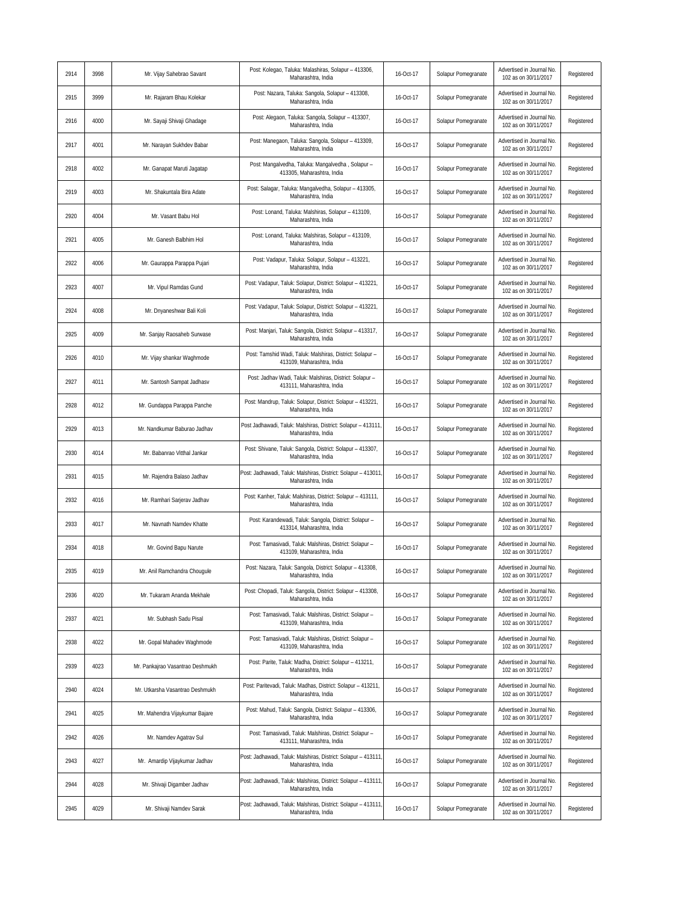| 2914 | 3998 | Mr. Vijay Sahebrao Savant        | Post: Kolegao, Taluka: Malashiras, Solapur - 413306,<br>Maharashtra, India              | 16-Oct-17 | Solapur Pomegranate | Advertised in Journal No.<br>102 as on 30/11/2017 | Registered |
|------|------|----------------------------------|-----------------------------------------------------------------------------------------|-----------|---------------------|---------------------------------------------------|------------|
| 2915 | 3999 | Mr. Rajaram Bhau Kolekar         | Post: Nazara, Taluka: Sangola, Solapur - 413308,<br>Maharashtra, India                  | 16-Oct-17 | Solapur Pomegranate | Advertised in Journal No.<br>102 as on 30/11/2017 | Registered |
| 2916 | 4000 | Mr. Sayaji Shivaji Ghadage       | Post: Alegaon, Taluka: Sangola, Solapur - 413307,<br>Maharashtra, India                 | 16-Oct-17 | Solapur Pomegranate | Advertised in Journal No.<br>102 as on 30/11/2017 | Registered |
| 2917 | 4001 | Mr. Narayan Sukhdev Babar        | Post: Manegaon, Taluka: Sangola, Solapur - 413309,<br>Maharashtra, India                | 16-Oct-17 | Solapur Pomegranate | Advertised in Journal No.<br>102 as on 30/11/2017 | Registered |
| 2918 | 4002 | Mr. Ganapat Maruti Jagatap       | Post: Mangalvedha, Taluka: Mangalvedha, Solapur -<br>413305, Maharashtra, India         | 16-Oct-17 | Solapur Pomegranate | Advertised in Journal No.<br>102 as on 30/11/2017 | Registered |
| 2919 | 4003 | Mr. Shakuntala Bira Adate        | Post: Salagar, Taluka: Mangalvedha, Solapur - 413305,<br>Maharashtra, India             | 16-Oct-17 | Solapur Pomegranate | Advertised in Journal No.<br>102 as on 30/11/2017 | Registered |
| 2920 | 4004 | Mr. Vasant Babu Hol              | Post: Lonand, Taluka: Malshiras, Solapur - 413109,<br>Maharashtra, India                | 16-Oct-17 | Solapur Pomegranate | Advertised in Journal No.<br>102 as on 30/11/2017 | Registered |
| 2921 | 4005 | Mr. Ganesh Balbhim Hol           | Post: Lonand, Taluka: Malshiras, Solapur - 413109,<br>Maharashtra, India                | 16-Oct-17 | Solapur Pomegranate | Advertised in Journal No.<br>102 as on 30/11/2017 | Registered |
| 2922 | 4006 | Mr. Gaurappa Parappa Pujari      | Post: Vadapur, Taluka: Solapur, Solapur - 413221,<br>Maharashtra, India                 | 16-Oct-17 | Solapur Pomegranate | Advertised in Journal No.<br>102 as on 30/11/2017 | Registered |
| 2923 | 4007 | Mr. Vipul Ramdas Gund            | Post: Vadapur, Taluk: Solapur, District: Solapur - 413221,<br>Maharashtra, India        | 16-Oct-17 | Solapur Pomegranate | Advertised in Journal No.<br>102 as on 30/11/2017 | Registered |
| 2924 | 4008 | Mr. Dnyaneshwar Bali Koli        | Post: Vadapur, Taluk: Solapur, District: Solapur - 413221,<br>Maharashtra, India        | 16-Oct-17 | Solapur Pomegranate | Advertised in Journal No.<br>102 as on 30/11/2017 | Registered |
| 2925 | 4009 | Mr. Sanjay Raosaheb Surwase      | Post: Manjari, Taluk: Sangola, District: Solapur - 413317,<br>Maharashtra, India        | 16-Oct-17 | Solapur Pomegranate | Advertised in Journal No.<br>102 as on 30/11/2017 | Registered |
| 2926 | 4010 | Mr. Vijay shankar Waghmode       | Post: Tamshid Wadi, Taluk: Malshiras, District: Solapur -<br>413109, Maharashtra, India | 16-Oct-17 | Solapur Pomegranate | Advertised in Journal No.<br>102 as on 30/11/2017 | Registered |
| 2927 | 4011 | Mr. Santosh Sampat Jadhasv       | Post: Jadhav Wadi, Taluk: Malshiras, District: Solapur -<br>413111, Maharashtra, India  | 16-Oct-17 | Solapur Pomegranate | Advertised in Journal No.<br>102 as on 30/11/2017 | Registered |
| 2928 | 4012 | Mr. Gundappa Parappa Panche      | Post: Mandrup, Taluk: Solapur, District: Solapur - 413221,<br>Maharashtra, India        | 16-Oct-17 | Solapur Pomegranate | Advertised in Journal No.<br>102 as on 30/11/2017 | Registered |
| 2929 | 4013 | Mr. Nandkumar Baburao Jadhav     | Post Jadhawadi, Taluk: Malshiras, District: Solapur - 413111<br>Maharashtra, India      | 16-Oct-17 | Solapur Pomegranate | Advertised in Journal No.<br>102 as on 30/11/2017 | Registered |
| 2930 | 4014 | Mr. Babanrao Vitthal Jankar      | Post: Shivane, Taluk: Sangola, District: Solapur - 413307,<br>Maharashtra, India        | 16-Oct-17 | Solapur Pomegranate | Advertised in Journal No.<br>102 as on 30/11/2017 | Registered |
| 2931 | 4015 | Mr. Rajendra Balaso Jadhav       | Post: Jadhawadi, Taluk: Malshiras, District: Solapur - 413011<br>Maharashtra, India     | 16-Oct-17 | Solapur Pomegranate | Advertised in Journal No.<br>102 as on 30/11/2017 | Registered |
| 2932 | 4016 | Mr. Ramhari Sarjerav Jadhav      | Post: Kanher, Taluk: Malshiras, District: Solapur - 413111,<br>Maharashtra, India       | 16-Oct-17 | Solapur Pomegranate | Advertised in Journal No.<br>102 as on 30/11/2017 | Registered |
| 2933 | 4017 | Mr. Navnath Namdev Khatte        | Post: Karandewadi, Taluk: Sangola, District: Solapur -<br>413314, Maharashtra, India    | 16-Oct-17 | Solapur Pomegranate | Advertised in Journal No.<br>102 as on 30/11/2017 | Registered |
| 2934 | 4018 | Mr. Govind Bapu Narute           | Post: Tamasivadi, Taluk: Malshiras, District: Solapur -<br>413109, Maharashtra, India   | 16-Oct-17 | Solapur Pomegranate | Advertised in Journal No.<br>102 as on 30/11/2017 | Registered |
| 2935 | 4019 | Mr. Anil Ramchandra Chouqule     | Post: Nazara, Taluk: Sangola, District: Solapur - 413308,<br>Maharashtra, India         | 16-Oct-17 | Solapur Pomegranate | Advertised in Journal No.<br>102 as on 30/11/2017 | Registered |
| 2936 | 4020 | Mr. Tukaram Ananda Mekhale       | Post: Chopadi, Taluk: Sangola, District: Solapur - 413308,<br>Maharashtra, India        | 16-Oct-17 | Solapur Pomegranate | Advertised in Journal No.<br>102 as on 30/11/2017 | Registered |
| 2937 | 4021 | Mr. Subhash Sadu Pisal           | Post: Tamasivadi, Taluk: Malshiras, District: Solapur -<br>413109, Maharashtra, India   | 16-Oct-17 | Solapur Pomegranate | Advertised in Journal No.<br>102 as on 30/11/2017 | Registered |
| 2938 | 4022 | Mr. Gopal Mahadev Waghmode       | Post: Tamasivadi, Taluk: Malshiras, District: Solapur -<br>413109, Maharashtra, India   | 16-Oct-17 | Solapur Pomegranate | Advertised in Journal No.<br>102 as on 30/11/2017 | Registered |
| 2939 | 4023 | Mr. Pankajrao Vasantrao Deshmukh | Post: Parite, Taluk: Madha, District: Solapur - 413211,<br>Maharashtra, India           | 16-Oct-17 | Solapur Pomegranate | Advertised in Journal No.<br>102 as on 30/11/2017 | Registered |
| 2940 | 4024 | Mr. Utkarsha Vasantrao Deshmukh  | Post: Paritevadi, Taluk: Madhas, District: Solapur - 413211,<br>Maharashtra, India      | 16-Oct-17 | Solapur Pomegranate | Advertised in Journal No.<br>102 as on 30/11/2017 | Registered |
| 2941 | 4025 | Mr. Mahendra Vijaykumar Bajare   | Post: Mahud, Taluk: Sangola, District: Solapur - 413306,<br>Maharashtra, India          | 16-Oct-17 | Solapur Pomegranate | Advertised in Journal No.<br>102 as on 30/11/2017 | Registered |
| 2942 | 4026 | Mr. Namdev Agatrav Sul           | Post: Tamasivadi, Taluk: Malshiras, District: Solapur -<br>413111, Maharashtra, India   | 16-Oct-17 | Solapur Pomegranate | Advertised in Journal No.<br>102 as on 30/11/2017 | Registered |
| 2943 | 4027 | Mr. Amardip Vijaykumar Jadhav    | Post: Jadhawadi, Taluk: Malshiras, District: Solapur - 413111,<br>Maharashtra, India    | 16-Oct-17 | Solapur Pomegranate | Advertised in Journal No.<br>102 as on 30/11/2017 | Registered |
| 2944 | 4028 | Mr. Shivaji Digamber Jadhav      | Post: Jadhawadi, Taluk: Malshiras, District: Solapur - 413111,<br>Maharashtra, India    | 16-Oct-17 | Solapur Pomegranate | Advertised in Journal No.<br>102 as on 30/11/2017 | Registered |
| 2945 | 4029 | Mr. Shivaji Namdev Sarak         | Post: Jadhawadi, Taluk: Malshiras, District: Solapur - 413111,<br>Maharashtra, India    | 16-Oct-17 | Solapur Pomegranate | Advertised in Journal No.<br>102 as on 30/11/2017 | Registered |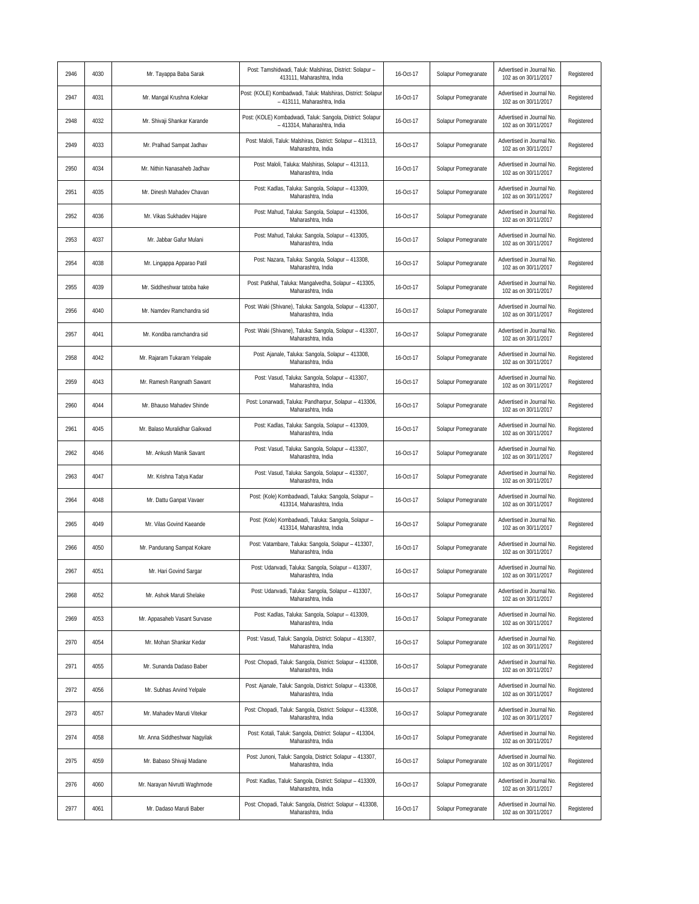| 2946 | 4030 | Mr. Tayappa Baba Sarak        | Post: Tamshidwadi, Taluk: Malshiras, District: Solapur -<br>413111, Maharashtra, India       | 16-Oct-17 | Solapur Pomegranate | Advertised in Journal No.<br>102 as on 30/11/2017 | Registered |
|------|------|-------------------------------|----------------------------------------------------------------------------------------------|-----------|---------------------|---------------------------------------------------|------------|
| 2947 | 4031 | Mr. Mangal Krushna Kolekar    | Post: (KOLE) Kombadwadi, Taluk: Malshiras, District: Solapur<br>- 413111, Maharashtra, India | 16-Oct-17 | Solapur Pomegranate | Advertised in Journal No.<br>102 as on 30/11/2017 | Registered |
| 2948 | 4032 | Mr. Shivaji Shankar Karande   | Post: (KOLE) Kombadwadi, Taluk: Sangola, District: Solapur<br>- 413314, Maharashtra, India   | 16-Oct-17 | Solapur Pomegranate | Advertised in Journal No.<br>102 as on 30/11/2017 | Registered |
| 2949 | 4033 | Mr. Pralhad Sampat Jadhav     | Post: Maloli, Taluk: Malshiras, District: Solapur - 413113,<br>Maharashtra, India            | 16-Oct-17 | Solapur Pomegranate | Advertised in Journal No.<br>102 as on 30/11/2017 | Registered |
| 2950 | 4034 | Mr. Nithin Nanasaheb Jadhav   | Post: Maloli, Taluka: Malshiras, Solapur - 413113,<br>Maharashtra, India                     | 16-Oct-17 | Solapur Pomegranate | Advertised in Journal No<br>102 as on 30/11/2017  | Registered |
| 2951 | 4035 | Mr. Dinesh Mahadev Chavan     | Post: Kadlas, Taluka: Sangola, Solapur - 413309,<br>Maharashtra, India                       | 16-Oct-17 | Solapur Pomegranate | Advertised in Journal No.<br>102 as on 30/11/2017 | Registered |
| 2952 | 4036 | Mr. Vikas Sukhadev Hajare     | Post: Mahud, Taluka: Sangola, Solapur - 413306,<br>Maharashtra, India                        | 16-Oct-17 | Solapur Pomegranate | Advertised in Journal No.<br>102 as on 30/11/2017 | Registered |
| 2953 | 4037 | Mr. Jabbar Gafur Mulani       | Post: Mahud, Taluka: Sangola, Solapur - 413305,<br>Maharashtra, India                        | 16-Oct-17 | Solapur Pomegranate | Advertised in Journal No.<br>102 as on 30/11/2017 | Registered |
| 2954 | 4038 | Mr. Lingappa Apparao Patil    | Post: Nazara, Taluka: Sangola, Solapur - 413308,<br>Maharashtra, India                       | 16-Oct-17 | Solapur Pomegranate | Advertised in Journal No.<br>102 as on 30/11/2017 | Registered |
| 2955 | 4039 | Mr. Siddheshwar tatoba hake   | Post: Patkhal, Taluka: Mangalvedha, Solapur - 413305,<br>Maharashtra, India                  | 16-Oct-17 | Solapur Pomegranate | Advertised in Journal No.<br>102 as on 30/11/2017 | Registered |
| 2956 | 4040 | Mr. Namdev Ramchandra sid     | Post: Waki (Shivane), Taluka: Sangola, Solapur - 413307,<br>Maharashtra, India               | 16-Oct-17 | Solapur Pomegranate | Advertised in Journal No.<br>102 as on 30/11/2017 | Registered |
| 2957 | 4041 | Mr. Kondiba ramchandra sid    | Post: Waki (Shivane), Taluka: Sangola, Solapur - 413307,<br>Maharashtra, India               | 16-Oct-17 | Solapur Pomegranate | Advertised in Journal No.<br>102 as on 30/11/2017 | Registered |
| 2958 | 4042 | Mr. Rajaram Tukaram Yelapale  | Post: Ajanale, Taluka: Sangola, Solapur - 413308,<br>Maharashtra, India                      | 16-Oct-17 | Solapur Pomegranate | Advertised in Journal No.<br>102 as on 30/11/2017 | Registered |
| 2959 | 4043 | Mr. Ramesh Rangnath Sawant    | Post: Vasud, Taluka: Sangola, Solapur - 413307,<br>Maharashtra, India                        | 16-Oct-17 | Solapur Pomegranate | Advertised in Journal No.<br>102 as on 30/11/2017 | Registered |
| 2960 | 4044 | Mr. Bhauso Mahadev Shinde     | Post: Lonarwadi, Taluka: Pandharpur, Solapur - 413306,<br>Maharashtra, India                 | 16-Oct-17 | Solapur Pomegranate | Advertised in Journal No.<br>102 as on 30/11/2017 | Registered |
| 2961 | 4045 | Mr. Balaso Muralidhar Gaikwad | Post: Kadlas, Taluka: Sangola, Solapur - 413309,<br>Maharashtra, India                       | 16-Oct-17 | Solapur Pomegranate | Advertised in Journal No.<br>102 as on 30/11/2017 | Registered |
| 2962 | 4046 | Mr. Ankush Manik Savant       | Post: Vasud, Taluka: Sangola, Solapur - 413307,<br>Maharashtra, India                        | 16-Oct-17 | Solapur Pomegranate | Advertised in Journal No.<br>102 as on 30/11/2017 | Registered |
| 2963 | 4047 | Mr. Krishna Tatya Kadar       | Post: Vasud, Taluka: Sangola, Solapur - 413307,<br>Maharashtra, India                        | 16-Oct-17 | Solapur Pomegranate | Advertised in Journal No.<br>102 as on 30/11/2017 | Registered |
| 2964 | 4048 | Mr. Dattu Ganpat Vavaer       | Post: (Kole) Kombadwadi, Taluka: Sangola, Solapur -<br>413314, Maharashtra, India            | 16-Oct-17 | Solapur Pomegranate | Advertised in Journal No.<br>102 as on 30/11/2017 | Registered |
| 2965 | 4049 | Mr. Vilas Govind Kaeande      | Post: (Kole) Kombadwadi, Taluka: Sangola, Solapur -<br>413314, Maharashtra, India            | 16-Oct-17 | Solapur Pomegranate | Advertised in Journal No.<br>102 as on 30/11/2017 | Registered |
| 2966 | 4050 | Mr. Pandurang Sampat Kokare   | Post: Vatambare, Taluka: Sangola, Solapur - 413307,<br>Maharashtra, India                    | 16-Oct-17 | Solapur Pomegranate | Advertised in Journal No.<br>102 as on 30/11/2017 | Registered |
| 2967 | 4051 | Mr. Hari Govind Sargar        | Post: Udanvadi, Taluka: Sangola, Solapur - 413307,<br>Maharashtra, India                     | 16-Oct-17 | Solapur Pomegranate | Advertised in Journal No.<br>102 as on 30/11/2017 | Registered |
| 2968 | 4052 | Mr. Ashok Maruti Shelake      | Post: Udanvadi, Taluka: Sangola, Solapur - 413307,<br>Maharashtra, India                     | 16-Oct-17 | Solapur Pomegranate | Advertised in Journal No.<br>102 as on 30/11/2017 | Registered |
| 2969 | 4053 | Mr. Appasaheb Vasant Survase  | Post: Kadlas, Taluka: Sangola, Solapur - 413309,<br>Maharashtra, India                       | 16-Oct-17 | Solapur Pomegranate | Advertised in Journal No.<br>102 as on 30/11/2017 | Registered |
| 2970 | 4054 | Mr. Mohan Shankar Kedar       | Post: Vasud, Taluk: Sangola, District: Solapur - 413307,<br>Maharashtra, India               | 16-Oct-17 | Solapur Pomegranate | Advertised in Journal No.<br>102 as on 30/11/2017 | Registered |
| 2971 | 4055 | Mr. Sunanda Dadaso Baber      | Post: Chopadi, Taluk: Sangola, District: Solapur - 413308,<br>Maharashtra, India             | 16-Oct-17 | Solapur Pomegranate | Advertised in Journal No.<br>102 as on 30/11/2017 | Registered |
| 2972 | 4056 | Mr. Subhas Arvind Yelpale     | Post: Ajanale, Taluk: Sangola, District: Solapur - 413308,<br>Maharashtra, India             | 16-Oct-17 | Solapur Pomegranate | Advertised in Journal No.<br>102 as on 30/11/2017 | Registered |
| 2973 | 4057 | Mr. Mahadev Maruti Vitekar    | Post: Chopadi, Taluk: Sangola, District: Solapur - 413308,<br>Maharashtra, India             | 16-Oct-17 | Solapur Pomegranate | Advertised in Journal No.<br>102 as on 30/11/2017 | Registered |
| 2974 | 4058 | Mr. Anna Siddheshwar Nagyilak | Post: Kotali, Taluk: Sangola, District: Solapur - 413304,<br>Maharashtra, India              | 16-Oct-17 | Solapur Pomegranate | Advertised in Journal No.<br>102 as on 30/11/2017 | Registered |
| 2975 | 4059 | Mr. Babaso Shivaji Madane     | Post: Junoni, Taluk: Sangola, District: Solapur - 413307,<br>Maharashtra, India              | 16-Oct-17 | Solapur Pomegranate | Advertised in Journal No.<br>102 as on 30/11/2017 | Registered |
| 2976 | 4060 | Mr. Narayan Nivrutti Waghmode | Post: Kadlas, Taluk: Sangola, District: Solapur - 413309,<br>Maharashtra, India              | 16-Oct-17 | Solapur Pomegranate | Advertised in Journal No.<br>102 as on 30/11/2017 | Registered |
| 2977 | 4061 | Mr. Dadaso Maruti Baber       | Post: Chopadi, Taluk: Sangola, District: Solapur - 413308,<br>Maharashtra, India             | 16-Oct-17 | Solapur Pomegranate | Advertised in Journal No.<br>102 as on 30/11/2017 | Registered |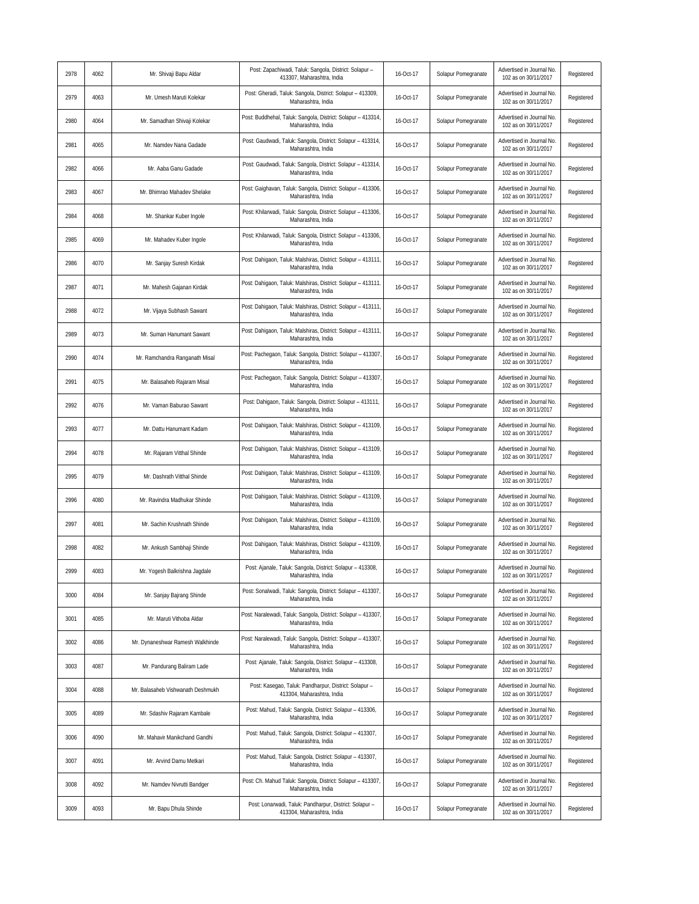| 2978 | 4062 | Mr. Shivaji Bapu Aldar            | Post: Zapachiwadi, Taluk: Sangola, District: Solapur -<br>413307, Maharashtra, India  | 16-Oct-17 | Solapur Pomegranate | Advertised in Journal No.<br>102 as on 30/11/2017 | Registered |
|------|------|-----------------------------------|---------------------------------------------------------------------------------------|-----------|---------------------|---------------------------------------------------|------------|
| 2979 | 4063 | Mr. Umesh Maruti Kolekar          | Post: Gheradi, Taluk: Sangola, District: Solapur - 413309,<br>Maharashtra, India      | 16-Oct-17 | Solapur Pomegranate | Advertised in Journal No.<br>102 as on 30/11/2017 | Registered |
| 2980 | 4064 | Mr. Samadhan Shivaji Kolekar      | Post: Buddhehal, Taluk: Sangola, District: Solapur - 413314,<br>Maharashtra, India    | 16-Oct-17 | Solapur Pomegranate | Advertised in Journal No.<br>102 as on 30/11/2017 | Registered |
| 2981 | 4065 | Mr. Namdev Nana Gadade            | Post: Gaudwadi, Taluk: Sangola, District: Solapur - 413314,<br>Maharashtra, India     | 16-Oct-17 | Solapur Pomegranate | Advertised in Journal No.<br>102 as on 30/11/2017 | Registered |
| 2982 | 4066 | Mr. Aaba Ganu Gadade              | Post: Gaudwadi, Taluk: Sangola, District: Solapur - 413314,<br>Maharashtra, India     | 16-Oct-17 | Solapur Pomegranate | Advertised in Journal No<br>102 as on 30/11/2017  | Registered |
| 2983 | 4067 | Mr. Bhimrao Mahadev Shelake       | Post: Gaighavan, Taluk: Sangola, District: Solapur - 413306,<br>Maharashtra, India    | 16-Oct-17 | Solapur Pomegranate | Advertised in Journal No.<br>102 as on 30/11/2017 | Registered |
| 2984 | 4068 | Mr. Shankar Kuber Ingole          | Post: Khilarwadi, Taluk: Sangola, District: Solapur - 413306,<br>Maharashtra, India   | 16-Oct-17 | Solapur Pomegranate | Advertised in Journal No.<br>102 as on 30/11/2017 | Registered |
| 2985 | 4069 | Mr. Mahadev Kuber Ingole          | Post: Khilarwadi, Taluk: Sangola, District: Solapur - 413306,<br>Maharashtra, India   | 16-Oct-17 | Solapur Pomegranate | Advertised in Journal No.<br>102 as on 30/11/2017 | Registered |
| 2986 | 4070 | Mr. Sanjay Suresh Kirdak          | Post: Dahigaon, Taluk: Malshiras, District: Solapur - 413111,<br>Maharashtra, India   | 16-Oct-17 | Solapur Pomegranate | Advertised in Journal No.<br>102 as on 30/11/2017 | Registered |
| 2987 | 4071 | Mr. Mahesh Gajanan Kirdak         | Post: Dahigaon, Taluk: Malshiras, District: Solapur - 413111.<br>Maharashtra, India   | 16-Oct-17 | Solapur Pomegranate | Advertised in Journal No.<br>102 as on 30/11/2017 | Registered |
| 2988 | 4072 | Mr. Vijaya Subhash Sawant         | Post: Dahigaon, Taluk: Malshiras, District: Solapur - 413111,<br>Maharashtra, India   | 16-Oct-17 | Solapur Pomegranate | Advertised in Journal No.<br>102 as on 30/11/2017 | Registered |
| 2989 | 4073 | Mr. Suman Hanumant Sawant         | Post: Dahigaon, Taluk: Malshiras, District: Solapur - 413111,<br>Maharashtra, India   | 16-Oct-17 | Solapur Pomegranate | Advertised in Journal No.<br>102 as on 30/11/2017 | Registered |
| 2990 | 4074 | Mr. Ramchandra Ranganath Misal    | Post: Pachegaon, Taluk: Sangola, District: Solapur - 413307,<br>Maharashtra, India    | 16-Oct-17 | Solapur Pomegranate | Advertised in Journal No.<br>102 as on 30/11/2017 | Registered |
| 2991 | 4075 | Mr. Balasaheb Rajaram Misal       | Post: Pachegaon, Taluk: Sangola, District: Solapur - 413307,<br>Maharashtra, India    | 16-Oct-17 | Solapur Pomegranate | Advertised in Journal No.<br>102 as on 30/11/2017 | Registered |
| 2992 | 4076 | Mr. Vaman Baburao Sawant          | Post: Dahigaon, Taluk: Sangola, District: Solapur - 413111,<br>Maharashtra, India     | 16-Oct-17 | Solapur Pomegranate | Advertised in Journal No.<br>102 as on 30/11/2017 | Registered |
| 2993 | 4077 | Mr. Dattu Hanumant Kadam          | Post: Dahigaon, Taluk: Malshiras, District: Solapur - 413109,<br>Maharashtra, India   | 16-Oct-17 | Solapur Pomegranate | Advertised in Journal No.<br>102 as on 30/11/2017 | Registered |
| 2994 | 4078 | Mr. Rajaram Vitthal Shinde        | Post: Dahigaon, Taluk: Malshiras, District: Solapur - 413109,<br>Maharashtra, India   | 16-Oct-17 | Solapur Pomegranate | Advertised in Journal No.<br>102 as on 30/11/2017 | Registered |
| 2995 | 4079 | Mr. Dashrath Vitthal Shinde       | Post: Dahigaon, Taluk: Malshiras, District: Solapur - 413109,<br>Maharashtra, India   | 16-Oct-17 | Solapur Pomegranate | Advertised in Journal No.<br>102 as on 30/11/2017 | Registered |
| 2996 | 4080 | Mr. Ravindra Madhukar Shinde      | Post: Dahigaon, Taluk: Malshiras, District: Solapur - 413109,<br>Maharashtra, India   | 16-Oct-17 | Solapur Pomegranate | Advertised in Journal No.<br>102 as on 30/11/2017 | Registered |
| 2997 | 4081 | Mr. Sachin Krushnath Shinde       | Post: Dahigaon, Taluk: Malshiras, District: Solapur - 413109,<br>Maharashtra, India   | 16-Oct-17 | Solapur Pomegranate | Advertised in Journal No.<br>102 as on 30/11/2017 | Registered |
| 2998 | 4082 | Mr. Ankush Sambhaji Shinde        | Post: Dahigaon, Taluk: Malshiras, District: Solapur - 413109,<br>Maharashtra, India   | 16-Oct-17 | Solapur Pomegranate | Advertised in Journal No.<br>102 as on 30/11/2017 | Registered |
| 2999 | 4083 | Mr. Yogesh Balkrishna Jagdale     | Post: Ajanale, Taluk: Sangola, District: Solapur - 413308,<br>Maharashtra, India      | 16-Oct-17 | Solapur Pomegranate | Advertised in Journal No.<br>102 as on 30/11/2017 | Registered |
| 3000 | 4084 | Mr. Sanjay Bajrang Shinde         | Post: Sonalwadi, Taluk: Sangola, District: Solapur - 413307,<br>Maharashtra, India    | 16-Oct-17 | Solapur Pomegranate | Advertised in Journal No.<br>102 as on 30/11/2017 | Registered |
| 3001 | 4085 | Mr. Maruti Vithoba Aldar          | Post: Naralewadi, Taluk: Sangola, District: Solapur - 413307,<br>Maharashtra, India   | 16-Oct-17 | Solapur Pomegranate | Advertised in Journal No.<br>102 as on 30/11/2017 | Registered |
| 3002 | 4086 | Mr. Dynaneshwar Ramesh Walkhinde  | Post: Naralewadi, Taluk: Sangola, District: Solapur - 413307,<br>Maharashtra, India   | 16-Oct-17 | Solapur Pomegranate | Advertised in Journal No.<br>102 as on 30/11/2017 | Registered |
| 3003 | 4087 | Mr. Pandurang Baliram Lade        | Post: Ajanale, Taluk: Sangola, District: Solapur - 413308,<br>Maharashtra, India      | 16-Oct-17 | Solapur Pomegranate | Advertised in Journal No.<br>102 as on 30/11/2017 | Registered |
| 3004 | 4088 | Mr. Balasaheb Vishwanath Deshmukh | Post: Kasegao, Taluk: Pandharpur, District: Solapur -<br>413304, Maharashtra, India   | 16-Oct-17 | Solapur Pomegranate | Advertised in Journal No.<br>102 as on 30/11/2017 | Registered |
| 3005 | 4089 | Mr. Sdashiv Rajaram Kambale       | Post: Mahud, Taluk: Sangola, District: Solapur - 413306,<br>Maharashtra, India        | 16-Oct-17 | Solapur Pomegranate | Advertised in Journal No.<br>102 as on 30/11/2017 | Registered |
| 3006 | 4090 | Mr. Mahavir Manikchand Gandhi     | Post: Mahud, Taluk: Sangola, District: Solapur - 413307,<br>Maharashtra, India        | 16-Oct-17 | Solapur Pomegranate | Advertised in Journal No.<br>102 as on 30/11/2017 | Registered |
| 3007 | 4091 | Mr. Arvind Damu Metkari           | Post: Mahud, Taluk: Sangola, District: Solapur - 413307,<br>Maharashtra, India        | 16-Oct-17 | Solapur Pomegranate | Advertised in Journal No.<br>102 as on 30/11/2017 | Registered |
| 3008 | 4092 | Mr. Namdev Nivrutti Bandger       | Post: Ch. Mahud Taluk: Sangola, District: Solapur - 413307,<br>Maharashtra, India     | 16-Oct-17 | Solapur Pomegranate | Advertised in Journal No.<br>102 as on 30/11/2017 | Registered |
| 3009 | 4093 | Mr. Bapu Dhula Shinde             | Post: Lonarwadi, Taluk: Pandharpur, District: Solapur -<br>413304, Maharashtra, India | 16-Oct-17 | Solapur Pomegranate | Advertised in Journal No.<br>102 as on 30/11/2017 | Registered |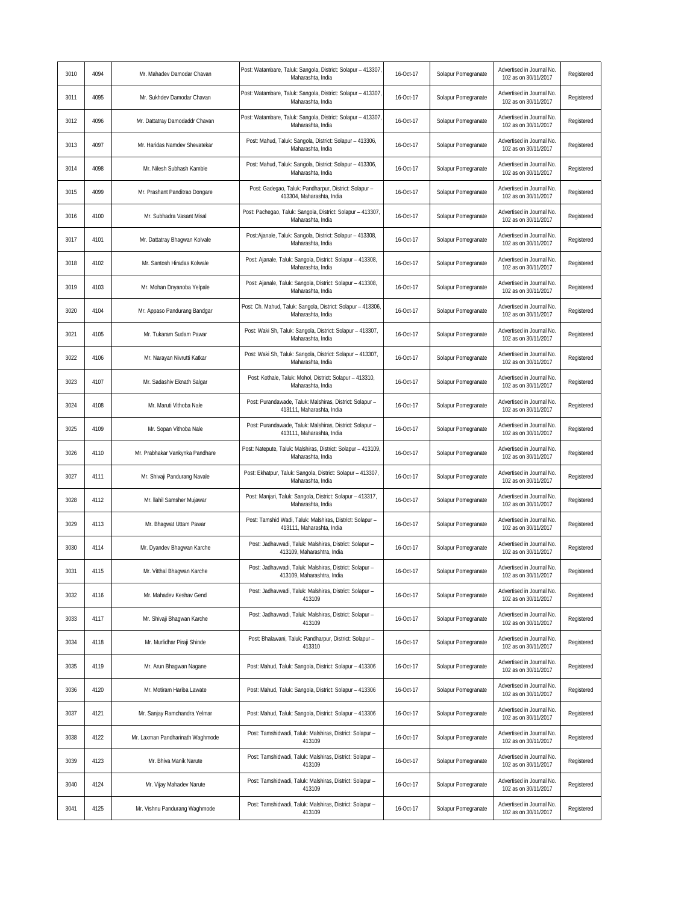| 3010 | 4094 | Mr. Mahadev Damodar Chavan       | Post: Watambare, Taluk: Sangola, District: Solapur - 413307,<br>Maharashta, India      | 16-Oct-17 | Solapur Pomegranate | Advertised in Journal No.<br>102 as on 30/11/2017 | Registered |
|------|------|----------------------------------|----------------------------------------------------------------------------------------|-----------|---------------------|---------------------------------------------------|------------|
| 3011 | 4095 | Mr. Sukhdev Damodar Chavan       | Post: Watambare, Taluk: Sangola, District: Solapur - 413307,<br>Maharashta, India      | 16-Oct-17 | Solapur Pomegranate | Advertised in Journal No.<br>102 as on 30/11/2017 | Registered |
| 3012 | 4096 | Mr. Dattatray Damodaddr Chavan   | Post: Watambare, Taluk: Sangola, District: Solapur - 413307<br>Maharashta, India       | 16-Oct-17 | Solapur Pomegranate | Advertised in Journal No.<br>102 as on 30/11/2017 | Registered |
| 3013 | 4097 | Mr. Haridas Namdev Shevatekar    | Post: Mahud, Taluk: Sangola, District: Solapur - 413306,<br>Maharashta, India          | 16-Oct-17 | Solapur Pomegranate | Advertised in Journal No.<br>102 as on 30/11/2017 | Registered |
| 3014 | 4098 | Mr. Nilesh Subhash Kamble        | Post: Mahud, Taluk: Sangola, District: Solapur - 413306,<br>Maharashta, India          | 16-Oct-17 | Solapur Pomegranate | Advertised in Journal No.<br>102 as on 30/11/2017 | Registered |
| 3015 | 4099 | Mr. Prashant Panditrao Dongare   | Post: Gadegao, Taluk: Pandharpur, District: Solapur -<br>413304. Maharashta. India     | 16-Oct-17 | Solapur Pomegranate | Advertised in Journal No.<br>102 as on 30/11/2017 | Registered |
| 3016 | 4100 | Mr. Subhadra Vasant Misal        | Post: Pachegao, Taluk: Sangola, District: Solapur - 413307,<br>Maharashta, India       | 16-Oct-17 | Solapur Pomegranate | Advertised in Journal No.<br>102 as on 30/11/2017 | Registered |
| 3017 | 4101 | Mr. Dattatray Bhagwan Kolvale    | Post:Ajanale, Taluk: Sangola, District: Solapur - 413308,<br>Maharashta, India         | 16-Oct-17 | Solapur Pomegranate | Advertised in Journal No.<br>102 as on 30/11/2017 | Registered |
| 3018 | 4102 | Mr. Santosh Hiradas Kolwale      | Post: Ajanale, Taluk: Sangola, District: Solapur - 413308,<br>Maharashta, India        | 16-Oct-17 | Solapur Pomegranate | Advertised in Journal No.<br>102 as on 30/11/2017 | Registered |
| 3019 | 4103 | Mr. Mohan Dnyanoba Yelpale       | Post: Ajanale, Taluk: Sangola, District: Solapur - 413308,<br>Maharashta, India        | 16-Oct-17 | Solapur Pomegranate | Advertised in Journal No.<br>102 as on 30/11/2017 | Registered |
| 3020 | 4104 | Mr. Appaso Pandurang Bandgar     | Post: Ch. Mahud, Taluk: Sangola, District: Solapur - 413306,<br>Maharashta, India      | 16-Oct-17 | Solapur Pomegranate | Advertised in Journal No.<br>102 as on 30/11/2017 | Registered |
| 3021 | 4105 | Mr. Tukaram Sudam Pawar          | Post: Waki Sh, Taluk: Sangola, District: Solapur - 413307,<br>Maharashta, India        | 16-Oct-17 | Solapur Pomegranate | Advertised in Journal No.<br>102 as on 30/11/2017 | Registered |
| 3022 | 4106 | Mr. Narayan Nivrutti Katkar      | Post: Waki Sh, Taluk: Sangola, District: Solapur - 413307,<br>Maharashta, India        | 16-Oct-17 | Solapur Pomegranate | Advertised in Journal No.<br>102 as on 30/11/2017 | Registered |
| 3023 | 4107 | Mr. Sadashiv Eknath Salgar       | Post: Kothale, Taluk: Mohol, District: Solapur - 413310,<br>Maharashta, India          | 16-Oct-17 | Solapur Pomegranate | Advertised in Journal No.<br>102 as on 30/11/2017 | Registered |
| 3024 | 4108 | Mr. Maruti Vithoba Nale          | Post: Purandawade, Taluk: Malshiras, District: Solapur -<br>413111, Maharashta, India  | 16-Oct-17 | Solapur Pomegranate | Advertised in Journal No.<br>102 as on 30/11/2017 | Registered |
| 3025 | 4109 | Mr. Sopan Vithoba Nale           | Post: Purandawade, Taluk: Malshiras, District: Solapur -<br>413111, Maharashta, India  | 16-Oct-17 | Solapur Pomegranate | Advertised in Journal No.<br>102 as on 30/11/2017 | Registered |
| 3026 | 4110 | Mr. Prabhakar Vankynka Pandhare  | Post: Natepute, Taluk: Malshiras, District: Solapur - 413109,<br>Maharashta, India     | 16-Oct-17 | Solapur Pomegranate | Advertised in Journal No.<br>102 as on 30/11/2017 | Registered |
| 3027 | 4111 | Mr. Shivaji Pandurang Navale     | Post: Ekhatpur, Taluk: Sangola, District: Solapur - 413307,<br>Maharashta, India       | 16-Oct-17 | Solapur Pomegranate | Advertised in Journal No.<br>102 as on 30/11/2017 | Registered |
| 3028 | 4112 | Mr. Ilahil Samsher Mujawar       | Post: Manjari, Taluk: Sangola, District: Solapur - 413317,<br>Maharashta, India        | 16-Oct-17 | Solapur Pomegranate | Advertised in Journal No.<br>102 as on 30/11/2017 | Registered |
| 3029 | 4113 | Mr. Bhagwat Uttam Pawar          | Post: Tamshid Wadi, Taluk: Malshiras, District: Solapur -<br>413111, Maharashta, India | 16-Oct-17 | Solapur Pomegranate | Advertised in Journal No.<br>102 as on 30/11/2017 | Registered |
| 3030 | 4114 | Mr. Dyandev Bhagwan Karche       | Post: Jadhavwadi, Taluk: Malshiras, District: Solapur -<br>413109, Maharashtra, India  | 16-Oct-17 | Solapur Pomegranate | Advertised in Journal No.<br>102 as on 30/11/2017 | Registered |
| 3031 | 4115 | Mr. Vitthal Bhagwan Karche       | Post: Jadhavwadi, Taluk: Malshiras, District: Solapur -<br>413109, Maharashtra, India  | 16-Oct-17 | Solapur Pomegranate | Advertised in Journal No.<br>102 as on 30/11/2017 | Registered |
| 3032 | 4116 | Mr. Mahadev Keshav Gend          | Post: Jadhavwadi, Taluk: Malshiras, District: Solapur -<br>413109                      | 16-Oct-17 | Solapur Pomegranate | Advertised in Journal No.<br>102 as on 30/11/2017 | Registered |
| 3033 | 4117 | Mr. Shivaji Bhagwan Karche       | Post: Jadhavwadi, Taluk: Malshiras, District: Solapur -<br>413109                      | 16-Oct-17 | Solapur Pomegranate | Advertised in Journal No.<br>102 as on 30/11/2017 | Registered |
| 3034 | 4118 | Mr. Murlidhar Piraji Shinde      | Post: Bhalawani, Taluk: Pandharpur, District: Solapur -<br>413310                      | 16-Oct-17 | Solapur Pomegranate | Advertised in Journal No.<br>102 as on 30/11/2017 | Registered |
| 3035 | 4119 | Mr. Arun Bhagwan Nagane          | Post: Mahud, Taluk: Sangola, District: Solapur - 413306                                | 16-Oct-17 | Solapur Pomegranate | Advertised in Journal No.<br>102 as on 30/11/2017 | Registered |
| 3036 | 4120 | Mr. Motiram Hariba Lawate        | Post: Mahud, Taluk: Sangola, District: Solapur - 413306                                | 16-Oct-17 | Solapur Pomegranate | Advertised in Journal No.<br>102 as on 30/11/2017 | Registered |
| 3037 | 4121 | Mr. Sanjay Ramchandra Yelmar     | Post: Mahud, Taluk: Sangola, District: Solapur - 413306                                | 16-Oct-17 | Solapur Pomegranate | Advertised in Journal No.<br>102 as on 30/11/2017 | Registered |
| 3038 | 4122 | Mr. Laxman Pandharinath Waghmode | Post: Tamshidwadi, Taluk: Malshiras, District: Solapur -<br>413109                     | 16-Oct-17 | Solapur Pomegranate | Advertised in Journal No.<br>102 as on 30/11/2017 | Registered |
| 3039 | 4123 | Mr. Bhiva Manik Narute           | Post: Tamshidwadi, Taluk: Malshiras, District: Solapur -<br>413109                     | 16-Oct-17 | Solapur Pomegranate | Advertised in Journal No.<br>102 as on 30/11/2017 | Registered |
| 3040 | 4124 | Mr. Vijay Mahadev Narute         | Post: Tamshidwadi, Taluk: Malshiras, District: Solapur -<br>413109                     | 16-Oct-17 | Solapur Pomegranate | Advertised in Journal No.<br>102 as on 30/11/2017 | Registered |
| 3041 | 4125 | Mr. Vishnu Pandurang Waghmode    | Post: Tamshidwadi, Taluk: Malshiras, District: Solapur -<br>413109                     | 16-Oct-17 | Solapur Pomegranate | Advertised in Journal No.<br>102 as on 30/11/2017 | Registered |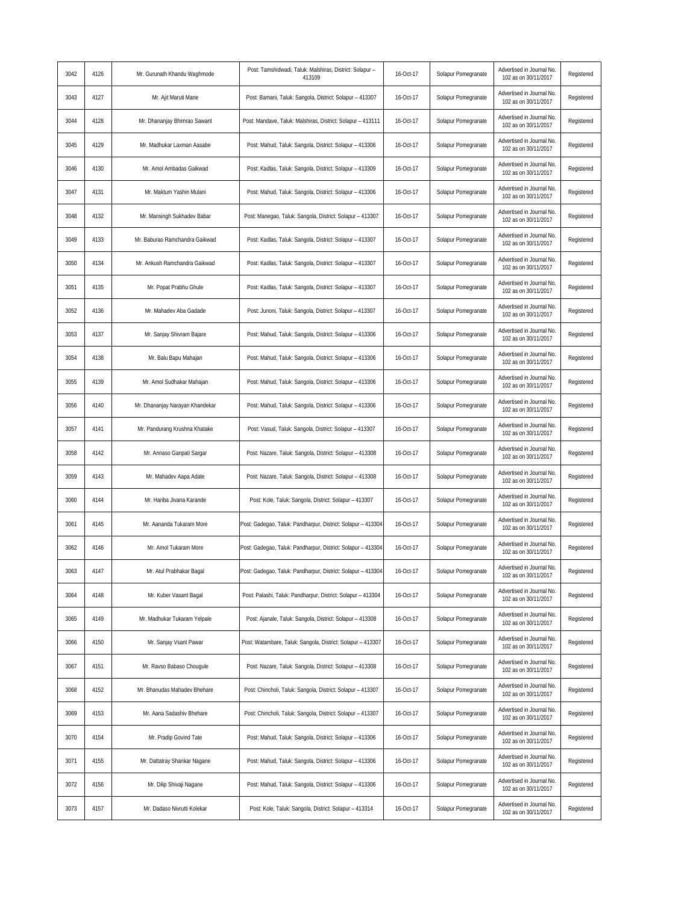| 3042 | 4126 | Mr. Gurunath Khandu Waghmode    | Post: Tamshidwadi, Taluk: Malshiras, District: Solapur -<br>413109 | 16-Oct-17 | Solapur Pomegranate | Advertised in Journal No.<br>102 as on 30/11/2017 | Registered |
|------|------|---------------------------------|--------------------------------------------------------------------|-----------|---------------------|---------------------------------------------------|------------|
| 3043 | 4127 | Mr. Ajit Maruti Mane            | Post: Bamani, Taluk: Sangola, District: Solapur - 413307           | 16-Oct-17 | Solapur Pomegranate | Advertised in Journal No.<br>102 as on 30/11/2017 | Registered |
| 3044 | 4128 | Mr. Dhananjay Bhimrao Sawant    | Post: Mandave, Taluk: Malshiras, District: Solapur - 413111        | 16-Oct-17 | Solapur Pomegranate | Advertised in Journal No<br>102 as on 30/11/2017  | Registered |
| 3045 | 4129 | Mr. Madhukar Laxman Aasabe      | Post: Mahud, Taluk: Sangola, District: Solapur - 413306            | 16-Oct-17 | Solapur Pomegranate | Advertised in Journal No.<br>102 as on 30/11/2017 | Registered |
| 3046 | 4130 | Mr. Amol Ambadas Gaikwad        | Post: Kadlas, Taluk: Sangola, District: Solapur - 413309           | 16-Oct-17 | Solapur Pomegranate | Advertised in Journal No.<br>102 as on 30/11/2017 | Registered |
| 3047 | 4131 | Mr. Maktum Yashin Mulani        | Post: Mahud, Taluk: Sangola, District: Solapur - 413306            | 16-Oct-17 | Solapur Pomegranate | Advertised in Journal No.<br>102 as on 30/11/2017 | Registered |
| 3048 | 4132 | Mr. Mansingh Sukhadev Babar     | Post: Manegao, Taluk: Sangola, District: Solapur - 413307          | 16-Oct-17 | Solapur Pomegranate | Advertised in Journal No.<br>102 as on 30/11/2017 | Registered |
| 3049 | 4133 | Mr. Baburao Ramchandra Gaikwad  | Post: Kadlas, Taluk: Sangola, District: Solapur - 413307           | 16-Oct-17 | Solapur Pomegranate | Advertised in Journal No.<br>102 as on 30/11/2017 | Registered |
| 3050 | 4134 | Mr. Ankush Ramchandra Gaikwad   | Post: Kadlas, Taluk: Sangola, District: Solapur - 413307           | 16-Oct-17 | Solapur Pomegranate | Advertised in Journal No<br>102 as on 30/11/2017  | Registered |
| 3051 | 4135 | Mr. Popat Prabhu Ghule          | Post: Kadlas, Taluk: Sangola, District: Solapur - 413307           | 16-Oct-17 | Solapur Pomegranate | Advertised in Journal No.<br>102 as on 30/11/2017 | Registered |
| 3052 | 4136 | Mr. Mahadev Aba Gadade          | Post: Junoni, Taluk: Sangola, District: Solapur - 413307           | 16-Oct-17 | Solapur Pomegranate | Advertised in Journal No.<br>102 as on 30/11/2017 | Registered |
| 3053 | 4137 | Mr. Sanjay Shivram Bajare       | Post: Mahud, Taluk: Sangola, District: Solapur - 413306            | 16-Oct-17 | Solapur Pomegranate | Advertised in Journal No.<br>102 as on 30/11/2017 | Registered |
| 3054 | 4138 | Mr. Balu Bapu Mahajan           | Post: Mahud, Taluk: Sangola, District: Solapur - 413306            | 16-Oct-17 | Solapur Pomegranate | Advertised in Journal No.<br>102 as on 30/11/2017 | Registered |
| 3055 | 4139 | Mr. Amol Sudhakar Mahajan       | Post: Mahud, Taluk: Sangola, District: Solapur - 413306            | 16-Oct-17 | Solapur Pomegranate | Advertised in Journal No.<br>102 as on 30/11/2017 | Registered |
| 3056 | 4140 | Mr. Dhananjay Narayan Khandekar | Post: Mahud, Taluk: Sangola, District: Solapur - 413306            | 16-Oct-17 | Solapur Pomegranate | Advertised in Journal No.<br>102 as on 30/11/2017 | Registered |
| 3057 | 4141 | Mr. Pandurang Krushna Khatake   | Post: Vasud, Taluk: Sangola, District: Solapur - 413307            | 16-Oct-17 | Solapur Pomegranate | Advertised in Journal No.<br>102 as on 30/11/2017 | Registered |
| 3058 | 4142 | Mr. Annaso Ganpati Sargar       | Post: Nazare, Taluk: Sangola, District: Solapur - 413308           | 16-Oct-17 | Solapur Pomegranate | Advertised in Journal No.<br>102 as on 30/11/2017 | Registered |
| 3059 | 4143 | Mr. Mahadev Aapa Adate          | Post: Nazare, Taluk: Sangola, District: Solapur - 413308           | 16-Oct-17 | Solapur Pomegranate | Advertised in Journal No.<br>102 as on 30/11/2017 | Registered |
| 3060 | 4144 | Mr. Hariba Jivana Karande       | Post: Kole, Taluk: Sangola, District: Solapur - 413307             | 16-Oct-17 | Solapur Pomegranate | Advertised in Journal No.<br>102 as on 30/11/2017 | Registered |
| 3061 | 4145 | Mr. Aananda Tukaram More        | Post: Gadegao, Taluk: Pandharpur, District: Solapur - 413304       | 16-Oct-17 | Solapur Pomegranate | Advertised in Journal No.<br>102 as on 30/11/2017 | Registered |
| 3062 | 4146 | Mr. Amol Tukaram More           | Post: Gadegao, Taluk: Pandharpur, District: Solapur - 413304       | 16-Oct-17 | Solapur Pomegranate | Advertised in Journal No.<br>102 as on 30/11/2017 | Registered |
| 3063 | 4147 | Mr. Atul Prabhakar Bagal        | Post: Gadegao, Taluk: Pandharpur, District: Solapur - 413304       | 16-Oct-17 | Solapur Pomegranate | Advertised in Journal No.<br>102 as on 30/11/2017 | Registered |
| 3064 | 4148 | Mr. Kuber Vasant Bagal          | Post: Palashi, Taluk: Pandharpur, District: Solapur - 413304       | 16-Oct-17 | Solapur Pomegranate | Advertised in Journal No.<br>102 as on 30/11/2017 | Registered |
| 3065 | 4149 | Mr. Madhukar Tukaram Yelpale    | Post: Ajanale, Taluk: Sangola, District: Solapur - 413308          | 16-Oct-17 | Solapur Pomegranate | Advertised in Journal No.<br>102 as on 30/11/2017 | Registered |
| 3066 | 4150 | Mr. Sanjay Vsant Pawar          | Post: Watambare, Taluk: Sangola, District: Solapur - 413307        | 16-Oct-17 | Solapur Pomegranate | Advertised in Journal No.<br>102 as on 30/11/2017 | Registered |
| 3067 | 4151 | Mr. Ravso Babaso Chougule       | Post: Nazare, Taluk: Sangola, District: Solapur - 413308           | 16-Oct-17 | Solapur Pomegranate | Advertised in Journal No.<br>102 as on 30/11/2017 | Registered |
| 3068 | 4152 | Mr. Bhanudas Mahadev Bhehare    | Post: Chincholi, Taluk: Sangola, District: Solapur - 413307        | 16-Oct-17 | Solapur Pomegranate | Advertised in Journal No.<br>102 as on 30/11/2017 | Registered |
| 3069 | 4153 | Mr. Aana Sadashiv Bhehare       | Post: Chincholi, Taluk: Sangola, District: Solapur - 413307        | 16-Oct-17 | Solapur Pomegranate | Advertised in Journal No.<br>102 as on 30/11/2017 | Registered |
| 3070 | 4154 | Mr. Pradip Govind Tate          | Post: Mahud, Taluk: Sangola, District: Solapur - 413306            | 16-Oct-17 | Solapur Pomegranate | Advertised in Journal No.<br>102 as on 30/11/2017 | Registered |
| 3071 | 4155 | Mr. Dattatray Shankar Nagane    | Post: Mahud, Taluk: Sangola, District: Solapur - 413306            | 16-Oct-17 | Solapur Pomegranate | Advertised in Journal No.<br>102 as on 30/11/2017 | Registered |
| 3072 | 4156 | Mr. Dilip Shivaji Nagane        | Post: Mahud, Taluk: Sangola, District: Solapur - 413306            | 16-Oct-17 | Solapur Pomegranate | Advertised in Journal No.<br>102 as on 30/11/2017 | Registered |
| 3073 | 4157 | Mr. Dadaso Nivrutti Kolekar     | Post: Kole, Taluk: Sangola, District: Solapur - 413314             | 16-Oct-17 | Solapur Pomegranate | Advertised in Journal No.<br>102 as on 30/11/2017 | Registered |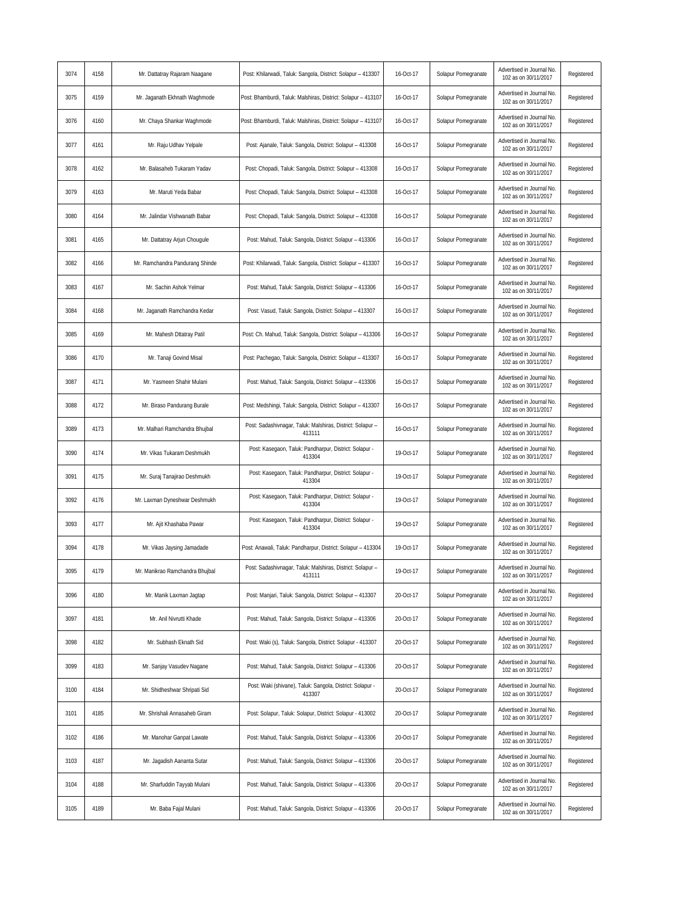| 3074 | 4158 | Mr. Dattatray Rajaram Naagane   | Post: Khilarwadi, Taluk: Sangola, District: Solapur - 413307         | 16-Oct-17 | Solapur Pomegranate | Advertised in Journal No<br>102 as on 30/11/2017  | Registered |
|------|------|---------------------------------|----------------------------------------------------------------------|-----------|---------------------|---------------------------------------------------|------------|
| 3075 | 4159 | Mr. Jaganath Ekhnath Waghmode   | Post: Bhamburdi, Taluk: Malshiras, District: Solapur - 413107        | 16-Oct-17 | Solapur Pomegranate | Advertised in Journal No.<br>102 as on 30/11/2017 | Registered |
| 3076 | 4160 | Mr. Chaya Shankar Waghmode      | Post: Bhamburdi, Taluk: Malshiras, District: Solapur - 413107        | 16-Oct-17 | Solapur Pomegranate | Advertised in Journal No.<br>102 as on 30/11/2017 | Registered |
| 3077 | 4161 | Mr. Raju Udhav Yelpale          | Post: Ajanale, Taluk: Sangola, District: Solapur - 413308            | 16-Oct-17 | Solapur Pomegranate | Advertised in Journal No.<br>102 as on 30/11/2017 | Registered |
| 3078 | 4162 | Mr. Balasaheb Tukaram Yadav     | Post: Chopadi, Taluk: Sangola, District: Solapur - 413308            | 16-Oct-17 | Solapur Pomegranate | Advertised in Journal No.<br>102 as on 30/11/2017 | Registered |
| 3079 | 4163 | Mr. Maruti Yeda Babar           | Post: Chopadi, Taluk: Sangola, District: Solapur - 413308            | 16-Oct-17 | Solapur Pomegranate | Advertised in Journal No.<br>102 as on 30/11/2017 | Registered |
| 3080 | 4164 | Mr. Jalindar Vishwanath Babar   | Post: Chopadi, Taluk: Sangola, District: Solapur - 413308            | 16-Oct-17 | Solapur Pomegranate | Advertised in Journal No.<br>102 as on 30/11/2017 | Registered |
| 3081 | 4165 | Mr. Dattatray Arjun Chougule    | Post: Mahud, Taluk: Sangola, District: Solapur - 413306              | 16-Oct-17 | Solapur Pomegranate | Advertised in Journal No.<br>102 as on 30/11/2017 | Registered |
| 3082 | 4166 | Mr. Ramchandra Pandurang Shinde | Post: Khilarwadi, Taluk: Sangola, District: Solapur - 413307         | 16-Oct-17 | Solapur Pomegranate | Advertised in Journal No.<br>102 as on 30/11/2017 | Registered |
| 3083 | 4167 | Mr. Sachin Ashok Yelmar         | Post: Mahud, Taluk: Sangola, District: Solapur - 413306              | 16-Oct-17 | Solapur Pomegranate | Advertised in Journal No.<br>102 as on 30/11/2017 | Registered |
| 3084 | 4168 | Mr. Jaganath Ramchandra Kedar   | Post: Vasud, Taluk: Sangola, District: Solapur - 413307              | 16-Oct-17 | Solapur Pomegranate | Advertised in Journal No.<br>102 as on 30/11/2017 | Registered |
| 3085 | 4169 | Mr. Mahesh Dttatray Patil       | Post: Ch. Mahud, Taluk: Sangola, District: Solapur - 413306          | 16-Oct-17 | Solapur Pomegranate | Advertised in Journal No.<br>102 as on 30/11/2017 | Registered |
| 3086 | 4170 | Mr. Tanaji Govind Misal         | Post: Pachegao, Taluk: Sangola, District: Solapur - 413307           | 16-Oct-17 | Solapur Pomegranate | Advertised in Journal No.<br>102 as on 30/11/2017 | Registered |
| 3087 | 4171 | Mr. Yasmeen Shahir Mulani       | Post: Mahud, Taluk: Sangola, District: Solapur - 413306              | 16-Oct-17 | Solapur Pomegranate | Advertised in Journal No.<br>102 as on 30/11/2017 | Registered |
| 3088 | 4172 | Mr. Biraso Pandurang Burale     | Post: Medshingi, Taluk: Sangola, District: Solapur - 413307          | 16-Oct-17 | Solapur Pomegranate | Advertised in Journal No.<br>102 as on 30/11/2017 | Registered |
| 3089 | 4173 | Mr. Malhari Ramchandra Bhujbal  | Post: Sadashivnagar, Taluk: Malshiras, District: Solapur -<br>413111 | 16-Oct-17 | Solapur Pomegranate | Advertised in Journal No.<br>102 as on 30/11/2017 | Registered |
| 3090 | 4174 | Mr. Vikas Tukaram Deshmukh      | Post: Kasegaon, Taluk: Pandharpur, District: Solapur -<br>413304     | 19-Oct-17 | Solapur Pomegranate | Advertised in Journal No.<br>102 as on 30/11/2017 | Registered |
| 3091 | 4175 | Mr. Suraj Tanajirao Deshmukh    | Post: Kasegaon, Taluk: Pandharpur, District: Solapur -<br>413304     | 19-Oct-17 | Solapur Pomegranate | Advertised in Journal No.<br>102 as on 30/11/2017 | Registered |
| 3092 | 4176 | Mr. Laxman Dyneshwar Deshmukh   | Post: Kasegaon, Taluk: Pandharpur, District: Solapur -<br>413304     | 19-Oct-17 | Solapur Pomegranate | Advertised in Journal No.<br>102 as on 30/11/2017 | Registered |
| 3093 | 4177 | Mr. Ajit Khashaba Pawar         | Post: Kasegaon, Taluk: Pandharpur, District: Solapur -<br>413304     | 19-Oct-17 | Solapur Pomegranate | Advertised in Journal No<br>102 as on 30/11/2017  | Registered |
| 3094 | 4178 | Mr. Vikas Jaysing Jamadade      | Post: Anawali, Taluk: Pandharpur, District: Solapur - 413304         | 19-Oct-17 | Solapur Pomegranate | Advertised in Journal No.<br>102 as on 30/11/2017 | Registered |
| 3095 | 4179 | Mr. Manikrao Ramchandra Bhujbal | Post: Sadashivnagar, Taluk: Malshiras, District: Solapur -<br>413111 | 19-Oct-17 | Solapur Pomegranate | Advertised in Journal No.<br>102 as on 30/11/2017 | Registered |
| 3096 | 4180 | Mr. Manik Laxman Jagtap         | Post: Manjari, Taluk: Sangola, District: Solapur - 413307            | 20-Oct-17 | Solapur Pomegranate | Advertised in Journal No<br>102 as on 30/11/2017  | Registered |
| 3097 | 4181 | Mr. Anil Nivrutti Khade         | Post: Mahud, Taluk: Sangola, District: Solapur - 413306              | 20-Oct-17 | Solapur Pomegranate | Advertised in Journal No.<br>102 as on 30/11/2017 | Registered |
| 3098 | 4182 | Mr. Subhash Eknath Sid          | Post: Waki (s), Taluk: Sangola, District: Solapur - 413307           | 20-Oct-17 | Solapur Pomegranate | Advertised in Journal No.<br>102 as on 30/11/2017 | Registered |
| 3099 | 4183 | Mr. Sanjay Vasudev Nagane       | Post: Mahud, Taluk: Sangola, District: Solapur - 413306              | 20-Oct-17 | Solapur Pomegranate | Advertised in Journal No.<br>102 as on 30/11/2017 | Registered |
| 3100 | 4184 | Mr. Shidheshwar Shripati Sid    | Post: Waki (shivane), Taluk: Sangola, District: Solapur -<br>413307  | 20-Oct-17 | Solapur Pomegranate | Advertised in Journal No.<br>102 as on 30/11/2017 | Registered |
| 3101 | 4185 | Mr. Shrishali Annasaheb Giram   | Post: Solapur, Taluk: Solapur, District: Solapur - 413002            | 20-Oct-17 | Solapur Pomegranate | Advertised in Journal No.<br>102 as on 30/11/2017 | Registered |
| 3102 | 4186 | Mr. Manohar Ganpat Lawate       | Post: Mahud, Taluk: Sangola, District: Solapur - 413306              | 20-Oct-17 | Solapur Pomegranate | Advertised in Journal No.<br>102 as on 30/11/2017 | Registered |
| 3103 | 4187 | Mr. Jagadish Aananta Sutar      | Post: Mahud, Taluk: Sangola, District: Solapur - 413306              | 20-Oct-17 | Solapur Pomegranate | Advertised in Journal No.<br>102 as on 30/11/2017 | Registered |
| 3104 | 4188 | Mr. Sharfuddin Tayyab Mulani    | Post: Mahud, Taluk: Sangola, District: Solapur - 413306              | 20-Oct-17 | Solapur Pomegranate | Advertised in Journal No.<br>102 as on 30/11/2017 | Registered |
| 3105 | 4189 | Mr. Baba Fajal Mulani           | Post: Mahud, Taluk: Sangola, District: Solapur - 413306              | 20-Oct-17 | Solapur Pomegranate | Advertised in Journal No.<br>102 as on 30/11/2017 | Registered |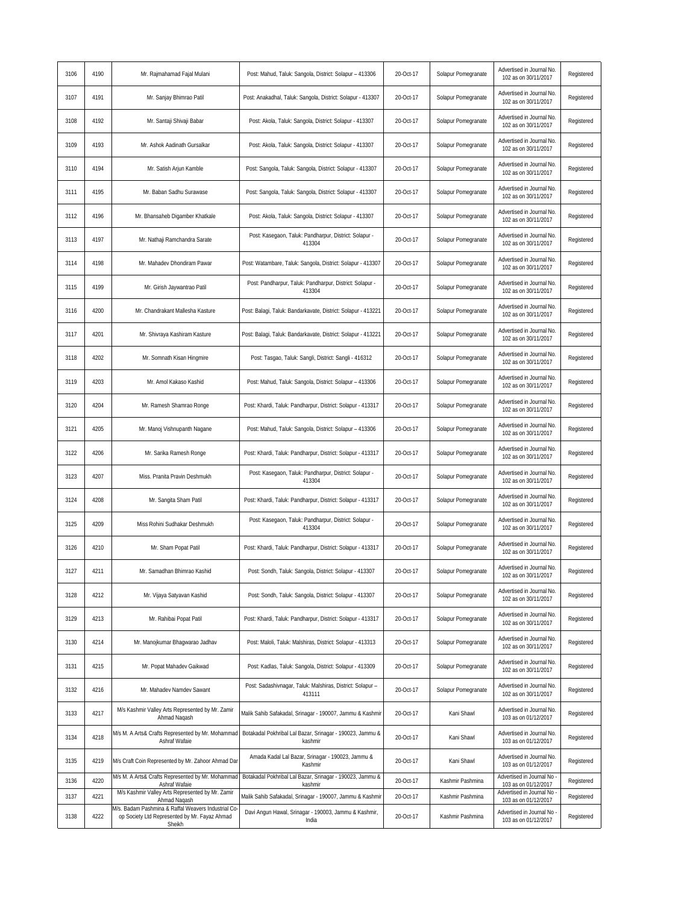| 3106 | 4190 | Mr. Rajmahamad Fajal Mulani                                                                                   | Post: Mahud, Taluk: Sangola, District: Solapur - 413306              | 20-Oct-17 | Solapur Pomegranate | Advertised in Journal No.<br>102 as on 30/11/2017  | Registered |
|------|------|---------------------------------------------------------------------------------------------------------------|----------------------------------------------------------------------|-----------|---------------------|----------------------------------------------------|------------|
| 3107 | 4191 | Mr. Sanjay Bhimrao Patil                                                                                      | Post: Anakadhal, Taluk: Sangola, District: Solapur - 413307          | 20-Oct-17 | Solapur Pomegranate | Advertised in Journal No.<br>102 as on 30/11/2017  | Registered |
| 3108 | 4192 | Mr. Santaji Shivaji Babar                                                                                     | Post: Akola, Taluk: Sangola, District: Solapur - 413307              | 20-Oct-17 | Solapur Pomegranate | Advertised in Journal No.<br>102 as on 30/11/2017  | Registered |
| 3109 | 4193 | Mr. Ashok Aadinath Gursalkar                                                                                  | Post: Akola, Taluk: Sangola, District: Solapur - 413307              | 20-Oct-17 | Solapur Pomegranate | Advertised in Journal No.<br>102 as on 30/11/2017  | Registered |
| 3110 | 4194 | Mr. Satish Arjun Kamble                                                                                       | Post: Sangola, Taluk: Sangola, District: Solapur - 413307            | 20-Oct-17 | Solapur Pomegranate | Advertised in Journal No.<br>102 as on 30/11/2017  | Registered |
| 3111 | 4195 | Mr. Baban Sadhu Surawase                                                                                      | Post: Sangola, Taluk: Sangola, District: Solapur - 413307            | 20-Oct-17 | Solapur Pomegranate | Advertised in Journal No.<br>102 as on 30/11/2017  | Registered |
| 3112 | 4196 | Mr. Bhansaheb Digamber Khatkale                                                                               | Post: Akola, Taluk: Sangola, District: Solapur - 413307              | 20-Oct-17 | Solapur Pomegranate | Advertised in Journal No.<br>102 as on 30/11/2017  | Registered |
| 3113 | 4197 | Mr. Nathaji Ramchandra Sarate                                                                                 | Post: Kasegaon, Taluk: Pandharpur, District: Solapur -<br>413304     | 20-Oct-17 | Solapur Pomegranate | Advertised in Journal No.<br>102 as on 30/11/2017  | Registered |
| 3114 | 4198 | Mr. Mahadev Dhondiram Pawar                                                                                   | Post: Watambare, Taluk: Sangola, District: Solapur - 413307          | 20-Oct-17 | Solapur Pomegranate | Advertised in Journal No<br>102 as on 30/11/2017   | Registered |
| 3115 | 4199 | Mr. Girish Jaywantrao Patil                                                                                   | Post: Pandharpur, Taluk: Pandharpur, District: Solapur -<br>413304   | 20-Oct-17 | Solapur Pomegranate | Advertised in Journal No.<br>102 as on 30/11/2017  | Registered |
| 3116 | 4200 | Mr. Chandrakant Mallesha Kasture                                                                              | Post: Balagi, Taluk: Bandarkavate, District: Solapur - 413221        | 20-Oct-17 | Solapur Pomegranate | Advertised in Journal No.<br>102 as on 30/11/2017  | Registered |
| 3117 | 4201 | Mr. Shivraya Kashiram Kasture                                                                                 | Post: Balagi, Taluk: Bandarkavate, District: Solapur - 413221        | 20-Oct-17 | Solapur Pomegranate | Advertised in Journal No.<br>102 as on 30/11/2017  | Registered |
| 3118 | 4202 | Mr. Somnath Kisan Hingmire                                                                                    | Post: Tasgao, Taluk: Sangli, District: Sangli - 416312               | 20-Oct-17 | Solapur Pomegranate | Advertised in Journal No.<br>102 as on 30/11/2017  | Registered |
| 3119 | 4203 | Mr. Amol Kakaso Kashid                                                                                        | Post: Mahud, Taluk: Sangola, District: Solapur - 413306              | 20-Oct-17 | Solapur Pomegranate | Advertised in Journal No.<br>102 as on 30/11/2017  | Registered |
| 3120 | 4204 | Mr. Ramesh Shamrao Ronge                                                                                      | Post: Khardi, Taluk: Pandharpur, District: Solapur - 413317          | 20-Oct-17 | Solapur Pomegranate | Advertised in Journal No.<br>102 as on 30/11/2017  | Registered |
| 3121 | 4205 | Mr. Manoj Vishnupanth Nagane                                                                                  | Post: Mahud, Taluk: Sangola, District: Solapur - 413306              | 20-Oct-17 | Solapur Pomegranate | Advertised in Journal No.<br>102 as on 30/11/2017  | Registered |
| 3122 | 4206 | Mr. Sarika Ramesh Ronge                                                                                       | Post: Khardi, Taluk: Pandharpur, District: Solapur - 413317          | 20-Oct-17 | Solapur Pomegranate | Advertised in Journal No.<br>102 as on 30/11/2017  | Registered |
| 3123 | 4207 | Miss. Pranita Pravin Deshmukh                                                                                 | Post: Kasegaon, Taluk: Pandharpur, District: Solapur -<br>413304     | 20-Oct-17 | Solapur Pomegranate | Advertised in Journal No.<br>102 as on 30/11/2017  | Registered |
| 3124 | 4208 | Mr. Sangita Sham Patil                                                                                        | Post: Khardi, Taluk: Pandharpur, District: Solapur - 413317          | 20-Oct-17 | Solapur Pomegranate | Advertised in Journal No.<br>102 as on 30/11/2017  | Registered |
| 3125 | 4209 | Miss Rohini Sudhakar Deshmukh                                                                                 | Post: Kasegaon, Taluk: Pandharpur, District: Solapur -<br>413304     | 20-Oct-17 | Solapur Pomegranate | Advertised in Journal No.<br>102 as on 30/11/2017  | Registered |
| 3126 | 4210 | Mr. Sham Popat Patil                                                                                          | Post: Khardi, Taluk: Pandharpur, District: Solapur - 413317          | 20-Oct-17 | Solapur Pomegranate | Advertised in Journal No.<br>102 as on 30/11/2017  | Registered |
| 3127 | 4211 | Mr. Samadhan Bhimrao Kashid                                                                                   | Post: Sondh, Taluk: Sangola, District: Solapur - 413307              | 20-Oct-17 | Solapur Pomegranate | Advertised in Journal No.<br>102 as on 30/11/2017  | Registered |
| 3128 | 4212 | Mr. Vijaya Satyavan Kashid                                                                                    | Post: Sondh, Taluk: Sangola, District: Solapur - 413307              | 20-Oct-17 | Solapur Pomegranate | Advertised in Journal No.<br>102 as on 30/11/2017  | Registered |
| 3129 | 4213 | Mr. Rahibai Popat Patil                                                                                       | Post: Khardi, Taluk: Pandharpur, District: Solapur - 413317          | 20-Oct-17 | Solapur Pomegranate | Advertised in Journal No.<br>102 as on 30/11/2017  | Registered |
| 3130 | 4214 | Mr. Manojkumar Bhagwarao Jadhav                                                                               | Post: Maloli, Taluk: Malshiras, District: Solapur - 413313           | 20-Oct-17 | Solapur Pomegranate | Advertised in Journal No.<br>102 as on 30/11/2017  | Registered |
| 3131 | 4215 | Mr. Popat Mahadev Gaikwad                                                                                     | Post: Kadlas, Taluk: Sangola, District: Solapur - 413309             | 20-Oct-17 | Solapur Pomegranate | Advertised in Journal No.<br>102 as on 30/11/2017  | Registered |
| 3132 | 4216 | Mr. Mahadev Namdev Sawant                                                                                     | Post: Sadashivnagar, Taluk: Malshiras, District: Solapur -<br>413111 | 20-Oct-17 | Solapur Pomegranate | Advertised in Journal No.<br>102 as on 30/11/2017  | Registered |
| 3133 | 4217 | M/s Kashmir Valley Arts Represented by Mr. Zamir<br>Ahmad Naqash                                              | Malik Sahib Safakadal, Srinagar - 190007, Jammu & Kashmir            | 20-Oct-17 | Kani Shawl          | Advertised in Journal No.<br>103 as on 01/12/2017  | Registered |
| 3134 | 4218 | M/s M. A Arts& Crafts Represented by Mr. Mohammad<br>Ashraf Wafaie                                            | Botakadal Pokhribal Lal Bazar, Srinagar - 190023, Jammu &<br>kashmir | 20-Oct-17 | Kani Shawl          | Advertised in Journal No.<br>103 as on 01/12/2017  | Registered |
| 3135 | 4219 | M/s Craft Coin Represented by Mr. Zahoor Ahmad Dar                                                            | Amada Kadal Lal Bazar, Srinagar - 190023, Jammu &<br>Kashmir         | 20-Oct-17 | Kani Shawl          | Advertised in Journal No.<br>103 as on 01/12/2017  | Registered |
| 3136 | 4220 | M/s M. A Arts& Crafts Represented by Mr. Mohammad<br>Ashraf Wafaie                                            | Botakadal Pokhribal Lal Bazar, Srinagar - 190023, Jammu &<br>kashmir | 20-Oct-17 | Kashmir Pashmina    | Advertised in Journal No<br>103 as on 01/12/2017   | Registered |
| 3137 | 4221 | M/s Kashmir Valley Arts Represented by Mr. Zamir<br>Ahmad Nagash                                              | Malik Sahib Safakadal, Srinagar - 190007, Jammu & Kashmir            | 20-Oct-17 | Kashmir Pashmina    | Advertised in Journal No<br>103 as on 01/12/2017   | Registered |
| 3138 | 4222 | M/s. Badam Pashmina & Raffal Weavers Industrial Co<br>op Society Ltd Represented by Mr. Fayaz Ahmad<br>Sheikh | Davi Angun Hawal, Srinagar - 190003, Jammu & Kashmir,<br>India       | 20-Oct-17 | Kashmir Pashmina    | Advertised in Journal No -<br>103 as on 01/12/2017 | Registered |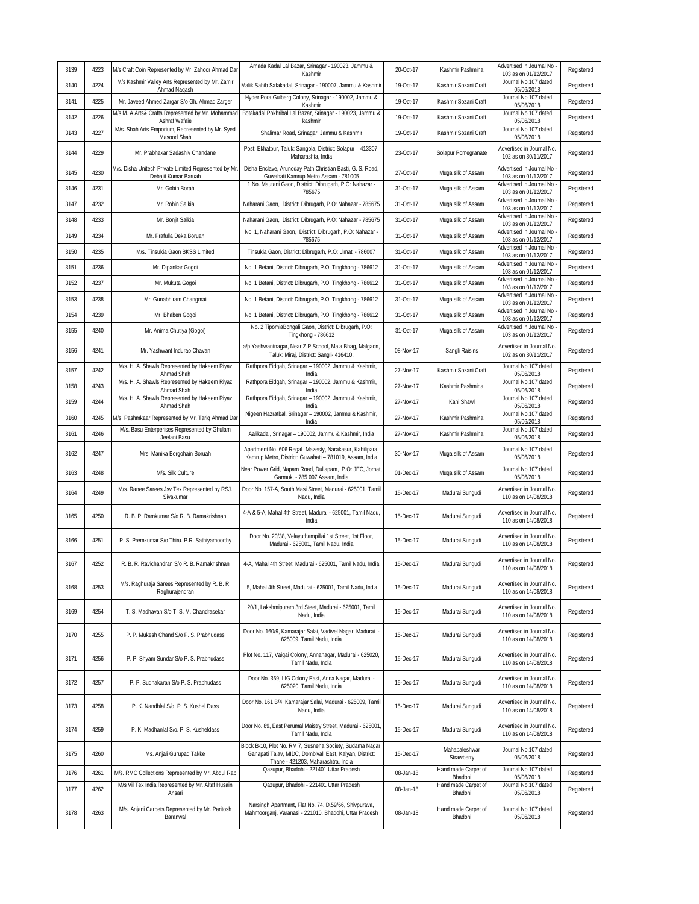| 3139 | 4223 | M/s Craft Coin Represented by Mr. Zahoor Ahmad Daı                           | Amada Kadal Lal Bazar, Srinagar - 190023, Jammu &<br>Kashmir                                                                                              | 20-Oct-17 | Kashmir Pashmina               | Advertised in Journal No<br>103 as on 01/12/2017  | Registered |
|------|------|------------------------------------------------------------------------------|-----------------------------------------------------------------------------------------------------------------------------------------------------------|-----------|--------------------------------|---------------------------------------------------|------------|
| 3140 | 4224 | M/s Kashmir Valley Arts Represented by Mr. Zamir<br>Ahmad Naqash             | Malik Sahib Safakadal, Srinagar - 190007, Jammu & Kashmir                                                                                                 | 19-Oct-17 | Kashmir Sozani Craft           | Journal No.107 dated<br>05/06/2018                | Registered |
| 3141 | 4225 | Mr. Javeed Ahmed Zargar S/o Gh. Ahmad Zarger                                 | Hyder Pora Gulberg Colony, Srinagar - 190002, Jammu &<br>Kashmir                                                                                          | 19-Oct-17 | Kashmir Sozani Craft           | Journal No.107 dated<br>05/06/2018                | Registered |
| 3142 | 4226 | M/s M. A Arts& Crafts Represented by Mr. Mohammad<br>Ashraf Wafaie           | Botakadal Pokhribal Lal Bazar, Srinagar - 190023, Jammu &<br>kashmir                                                                                      | 19-Oct-17 | Kashmir Sozani Craft           | Journal No.107 dated<br>05/06/2018                | Registered |
| 3143 | 4227 | M/s. Shah Arts Emporium, Represented by Mr. Syed<br>Masood Shah              | Shalimar Road, Srinagar, Jammu & Kashmir                                                                                                                  | 19-Oct-17 | Kashmir Sozani Craft           | Journal No.107 dated<br>05/06/2018                | Registered |
| 3144 | 4229 | Mr. Prabhakar Sadashiv Chandane                                              | Post: Ekhatpur, Taluk: Sangola, District: Solapur - 413307,<br>Maharashta, India                                                                          | 23-Oct-17 | Solapur Pomegranate            | Advertised in Journal No.<br>102 as on 30/11/2017 | Registered |
| 3145 | 4230 | M/s. Disha Unitech Private Limited Represented by Mr<br>Debajit Kumar Baruah | Disha Enclave, Arunoday Path Christian Basti, G. S. Road,<br>Guwahati Kamrup Metro Assam - 781005                                                         | 27-Oct-17 | Muga silk of Assam             | Advertised in Journal No<br>103 as on 01/12/2017  | Registered |
| 3146 | 4231 | Mr. Gobin Borah                                                              | 1 No. Mautani Gaon, District: Dibrugarh, P.O: Nahazar -<br>785675                                                                                         | 31-Oct-17 | Muga silk of Assam             | Advertised in Journal No<br>103 as on 01/12/2017  | Registered |
| 3147 | 4232 | Mr. Robin Saikia                                                             | Naharani Gaon, District: Dibrugarh, P.O: Nahazar - 785675                                                                                                 | 31-Oct-17 | Muga silk of Assam             | Advertised in Journal No<br>103 as on 01/12/2017  | Registered |
| 3148 | 4233 | Mr. Bonjit Saikia                                                            | Naharani Gaon, District: Dibrugarh, P.O: Nahazar - 785675                                                                                                 | 31-Oct-17 | Muga silk of Assam             | Advertised in Journal No<br>103 as on 01/12/2017  | Registered |
| 3149 | 4234 | Mr. Prafulla Deka Boruah                                                     | No. 1, Naharani Gaon, District: Dibrugarh, P.O: Nahazar -<br>785675                                                                                       | 31-Oct-17 | Muga silk of Assam             | Advertised in Journal No<br>103 as on 01/12/2017  | Registered |
| 3150 | 4235 | M/s. Tinsukia Gaon BKSS Limited                                              | Tinsukia Gaon, District: Dibrugarh, P.O: Llmati - 786007                                                                                                  | 31-Oct-17 | Muga silk of Assam             | Advertised in Journal No<br>103 as on 01/12/2017  | Registered |
| 3151 | 4236 | Mr. Dipankar Gogoi                                                           | No. 1 Betani, District: Dibrugarh, P.O: Tingkhong - 786612                                                                                                | 31-Oct-17 | Muga silk of Assam             | Advertised in Journal No<br>103 as on 01/12/2017  | Registered |
| 3152 | 4237 | Mr. Mukuta Gogoi                                                             | No. 1 Betani, District: Dibrugarh, P.O: Tingkhong - 786612                                                                                                | 31-Oct-17 | Muga silk of Assam             | Advertised in Journal No<br>103 as on 01/12/2017  | Registered |
| 3153 | 4238 | Mr. Gunabhiram Changmai                                                      | No. 1 Betani, District: Dibrugarh, P.O: Tingkhong - 786612                                                                                                | 31-Oct-17 | Muga silk of Assam             | Advertised in Journal No<br>103 as on 01/12/2017  | Registered |
| 3154 | 4239 | Mr. Bhaben Gogoi                                                             | No. 1 Betani, District: Dibrugarh, P.O: Tingkhong - 786612                                                                                                | 31-Oct-17 | Muga silk of Assam             | Advertised in Journal No<br>103 as on 01/12/2017  | Registered |
| 3155 | 4240 | Mr. Anima Chutiya (Gogoi)                                                    | No. 2 TipomiaBongali Gaon, District: Dibrugarh, P.O:<br>Tingkhong - 786612                                                                                | 31-Oct-17 | Muga silk of Assam             | Advertised in Journal No<br>103 as on 01/12/2017  | Registered |
| 3156 | 4241 | Mr. Yashwant Indurao Chavan                                                  | a/p Yashwantnagar, Near Z.P School, Mala Bhag, Malgaon,<br>Taluk: Miraj, District: Sangli- 416410.                                                        | 08-Nov-17 | Sangli Raisins                 | Advertised in Journal No.<br>102 as on 30/11/2017 | Registered |
| 3157 | 4242 | M/s. H. A. Shawls Represented by Hakeem Riyaz<br>Ahmad Shah                  | Rathpora Eidgah, Srinagar - 190002, Jammu & Kashmir,<br>India                                                                                             | 27-Nov-17 | Kashmir Sozani Craft           | Journal No.107 dated<br>05/06/2018                | Registered |
| 3158 | 4243 | M/s. H. A. Shawls Represented by Hakeem Riyaz<br>Ahmad Shah                  | Rathpora Eidgah, Srinagar - 190002, Jammu & Kashmir,<br>India                                                                                             | 27-Nov-17 | Kashmir Pashmina               | Journal No.107 dated<br>05/06/2018                | Registered |
| 3159 | 4244 | M/s. H. A. Shawls Represented by Hakeem Riyaz<br>Ahmad Shah                  | Rathpora Eidgah, Srinagar - 190002, Jammu & Kashmir,<br>India                                                                                             | 27-Nov-17 | Kani Shawl                     | Journal No.107 dated<br>05/06/2018                | Registered |
| 3160 | 4245 | M/s. Pashmkaar Represented by Mr. Tariq Ahmad Dar                            | Nigeen Hazratbal, Srinagar - 190002, Jammu & Kashmir,<br>India                                                                                            | 27-Nov-17 | Kashmir Pashmina               | Journal No.107 dated<br>05/06/2018                | Registered |
| 3161 | 4246 | M/s. Basu Enterperises Represented by Ghulam<br>Jeelani Basu                 | Aalikadal, Srinagar - 190002, Jammu & Kashmir, India                                                                                                      | 27-Nov-17 | Kashmir Pashmina               | Journal No.107 dated<br>05/06/2018                | Registered |
| 3162 | 4247 | Mrs. Manika Borgohain Boruah                                                 | Apartment No. 606 RegaL Mazesty, Narakasur, Kahilipara,<br>Kamrup Metro, District: Guwahati - 781019, Assam, India                                        | 30-Nov-17 | Muga silk of Assam             | Journal No.107 dated<br>05/06/2018                | Registered |
| 3163 | 4248 | M/s. Silk Culture                                                            | Near Power Grid, Napam Road, Duliapam, P.O: JEC, Jorhat<br>Garmuk, - 785 007 Assam, India                                                                 | 01-Dec-17 | Muga silk of Assam             | Journal No.107 dated<br>05/06/2018                | Registered |
| 3164 | 4249 | M/s. Ranee Sarees Jsv Tex Represented by RSJ.<br>Sivakumar                   | Door No. 157-A, South Masi Street, Madurai - 625001, Tamil<br>Nadu, India                                                                                 | 15-Dec-17 | Madurai Sungudi                | Advertised in Journal No.<br>110 as on 14/08/2018 | Registered |
| 3165 | 4250 | R. B. P. Ramkumar S/o R. B. Ramakrishnan                                     | 4-A & 5-A, Mahal 4th Street, Madurai - 625001, Tamil Nadu,<br>India                                                                                       | 15-Dec-17 | Madurai Sungudi                | Advertised in Journal No.<br>110 as on 14/08/2018 | Registered |
| 3166 | 4251 | P. S. Premkumar S/o Thiru. P.R. Sathiyamoorthy                               | Door No. 20/38, Velayuthampillai 1st Street, 1st Floor,<br>Madurai - 625001, Tamil Nadu, India                                                            | 15-Dec-17 | Madurai Sungudi                | Advertised in Journal No.<br>110 as on 14/08/2018 | Registered |
| 3167 | 4252 | R. B. R. Ravichandran S/o R. B. Ramakrishnan                                 | 4-A, Mahal 4th Street, Madurai - 625001, Tamil Nadu, India                                                                                                | 15-Dec-17 | Madurai Sungudi                | Advertised in Journal No.<br>110 as on 14/08/2018 | Registered |
| 3168 | 4253 | M/s. Raghuraja Sarees Represented by R. B. R.<br>Raghurajendran              | 5, Mahal 4th Street, Madurai - 625001, Tamil Nadu, India                                                                                                  | 15-Dec-17 | Madurai Sungudi                | Advertised in Journal No.<br>110 as on 14/08/2018 | Registered |
| 3169 |      |                                                                              |                                                                                                                                                           |           |                                |                                                   |            |
|      | 4254 | T. S. Madhavan S/o T. S. M. Chandrasekar                                     | 20/1, Lakshmipuram 3rd Steet, Madurai - 625001, Tamil<br>Nadu, India                                                                                      | 15-Dec-17 | Madurai Sungudi                | Advertised in Journal No.<br>110 as on 14/08/2018 | Registered |
| 3170 | 4255 | P. P. Mukesh Chand S/o P. S. Prabhudass                                      | Door No. 160/9, Kamarajar Salai, Vadivel Nagar, Madurai -<br>625009, Tamil Nadu, India                                                                    | 15-Dec-17 | Madurai Sungudi                | Advertised in Journal No.<br>110 as on 14/08/2018 | Registered |
| 3171 | 4256 | P. P. Shyam Sundar S/o P. S. Prabhudass                                      | Plot No. 117, Vaigai Colony, Annanagar, Madurai - 625020,<br>Tamil Nadu, India                                                                            | 15-Dec-17 | Madurai Sungudi                | Advertised in Journal No.<br>110 as on 14/08/2018 | Registered |
| 3172 | 4257 | P. P. Sudhakaran S/o P. S. Prabhudass                                        | Door No. 369, LIG Colony East, Anna Nagar, Madurai -<br>625020, Tamil Nadu, India                                                                         | 15-Dec-17 | Madurai Sungudi                | Advertised in Journal No.<br>110 as on 14/08/2018 | Registered |
| 3173 | 4258 | P. K. Nandhlal S/o. P. S. Kushel Dass                                        | Door No. 161 B/4, Kamarajar Salai, Madurai - 625009, Tamil<br>Nadu, India                                                                                 | 15-Dec-17 | Madurai Sungudi                | Advertised in Journal No.<br>110 as on 14/08/2018 | Registered |
| 3174 | 4259 | P. K. Madhanlal S/o. P. S. Kusheldass                                        | Door No. 89, East Perumal Maistry Street, Madurai - 625001<br>Tamil Nadu, India                                                                           | 15-Dec-17 | Madurai Sungudi                | Advertised in Journal No.<br>110 as on 14/08/2018 | Registered |
| 3175 | 4260 | Ms. Anjali Gurupad Takke                                                     | Block B-10, Plot No. RM 7, Susneha Society, Sudama Nagar<br>Ganapati Talav, MIDC, Dombivali East, Kalyan, District:<br>Thane - 421203, Maharashtra, India | 15-Dec-17 | Mahabaleshwar<br>Strawberry    | Journal No.107 dated<br>05/06/2018                | Registered |
| 3176 | 4261 | M/s. RMC Collections Represented by Mr. Abdul Rab                            | Qazupur, Bhadohi - 221401 Uttar Pradesh                                                                                                                   | 08-Jan-18 | Hand made Carpet of<br>Bhadohi | Journal No.107 dated<br>05/06/2018                | Registered |
| 3177 | 4262 | M/s Vil Tex India Represented by Mr. Altaf Husain<br>Ansari                  | Qazupur, Bhadohi - 221401 Uttar Pradesh                                                                                                                   | 08-Jan-18 | Hand made Carpet of<br>Bhadohi | Journal No.107 dated<br>05/06/2018                | Registered |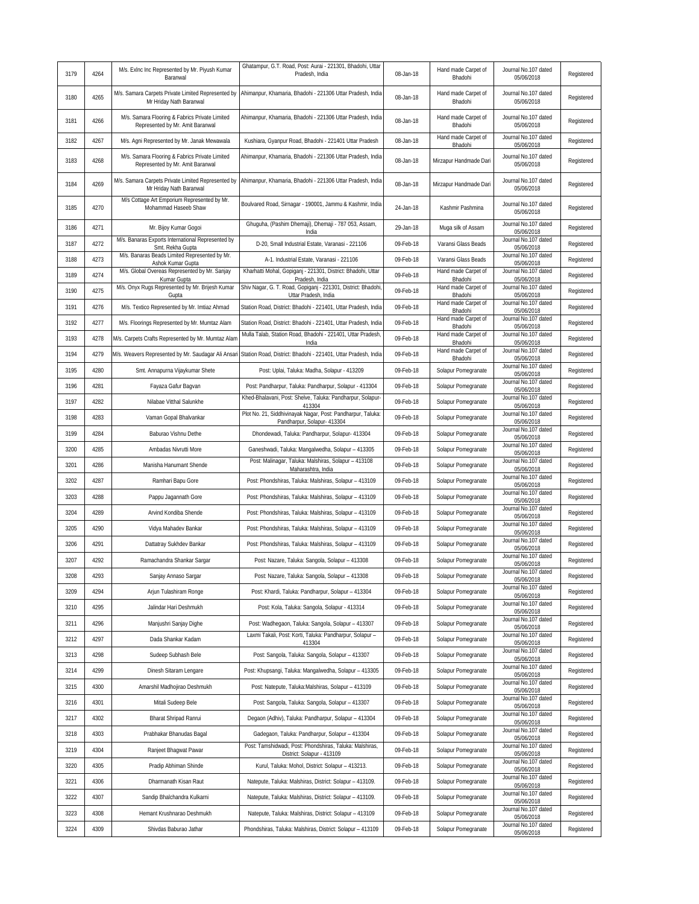| Ghatampur, G.T. Road, Post: Aurai - 221301, Bhadohi, Uttar<br>M/s. Exinc Inc Represented by Mr. Piyush Kumar<br>Hand made Carpet of<br>Journal No.107 dated<br>3179<br>4264<br>Pradesh, India<br>08-Jan-18<br>Registered<br>Bhadohi<br>05/06/2018<br>Baranwal<br>M/s. Samara Carpets Private Limited Represented by<br>Ahimanpur, Khamaria, Bhadohi - 221306 Uttar Pradesh, India<br>Hand made Carpet of<br>Journal No.107 dated<br>4265<br>08-Jan-18<br>Registered<br>3180<br>Bhadohi<br>05/06/2018<br>Mr Hriday Nath Baranwal<br>M/s. Samara Flooring & Fabrics Private Limited<br>Ahimanpur, Khamaria, Bhadohi - 221306 Uttar Pradesh, India<br>Hand made Carpet of<br>Journal No.107 dated<br>3181<br>4266<br>08-Jan-18<br>Registered<br>Represented by Mr. Amit Baranwal<br>Bhadohi<br>05/06/2018<br>Hand made Carpet of<br>Journal No.107 dated<br>3182<br>4267<br>M/s. Agni Represented by Mr. Janak Mewawala<br>08-Jan-18<br>Registered<br>Kushiara, Gyanpur Road, Bhadohi - 221401 Uttar Pradesh<br>Bhadohi<br>05/06/2018<br>Journal No.107 dated<br>M/s. Samara Flooring & Fabrics Private Limited<br>Ahimanpur, Khamaria, Bhadohi - 221306 Uttar Pradesh, India<br>4268<br>3183<br>08-Jan-18<br>Mirzapur Handmade Dari<br>Registered<br>Represented by Mr. Amit Baranwal<br>05/06/2018<br>M/s. Samara Carpets Private Limited Represented by<br>Journal No.107 dated<br>Ahimanpur, Khamaria, Bhadohi - 221306 Uttar Pradesh, India<br>3184<br>4269<br>08-Jan-18<br>Mirzapur Handmade Dari<br>Registered<br>Mr Hriday Nath Baranwal<br>05/06/2018<br>M/s Cottage Art Emporium Represented by Mr.<br>Boulvared Road, Sirnagar - 190001, Jammu & Kashmir, India<br>Journal No.107 dated<br>4270<br>Mohammad Haseeb Shaw<br>24-Jan-18<br>Kashmir Pashmina<br>Registered<br>3185<br>05/06/2018<br>Ghuguha, (Pashim Dhemaji), Dhemaji - 787 053, Assam,<br>Journal No.107 dated<br>29-Jan-18<br>Registered<br>3186<br>4271<br>Mr. Bijoy Kumar Gogoi<br>Muga silk of Assam<br>05/06/2018<br>India<br>M/s. Banaras Exports International Represented by<br>Journal No.107 dated<br>4272<br>09-Feb-18<br>Registered<br>3187<br>D-20, Small Industrial Estate, Varanasi - 221106<br>Varansi Glass Beads<br>Smt. Rekha Gupta<br>05/06/2018<br>M/s. Banaras Beads Limited Represented by Mr.<br>Journal No.107 dated<br>4273<br>3188<br>A-1. Industrial Estate, Varanasi - 221106<br>09-Feb-18<br>Varansi Glass Beads<br>Registered<br>Ashok Kumar Gupta<br>05/06/2018<br>M/s. Global Overeas Represented by Mr. Sanjay<br>Kharhatti Mohal, Gopiganj - 221301, District: Bhadohi, Uttar<br>Hand made Carpet of<br>Journal No.107 dated<br>3189<br>4274<br>09-Feb-18<br>Registered<br>Kumar Gupta<br>Pradesh, India<br>Bhadohi<br>05/06/2018<br>M/s. Onyx Rugs Represented by Mr. Brijesh Kumar<br>Shiv Nagar, G. T. Road, Gopiganj - 221301, District: Bhadohi<br>Hand made Carpet of<br>Journal No.107 dated<br>4275<br>3190<br>09-Feb-18<br>Registered<br>Uttar Pradesh, India<br>Bhadohi<br>05/06/2018<br>Gupta<br>Hand made Carpet of<br>Journal No.107 dated<br>4276<br>09-Feb-18<br>3191<br>M/s. Textico Represented by Mr. Imtiaz Ahmad<br>Station Road, District: Bhadohi - 221401, Uttar Pradesh, India<br>Registered<br>05/06/2018<br>Bhadohi<br>Journal No.107 dated<br>Hand made Carpet of<br>3192<br>4277<br>09-Feb-18<br>Registered<br>M/s. Floorings Represented by Mr. Mumtaz Alam<br>Station Road, District: Bhadohi - 221401, Uttar Pradesh, India<br>05/06/2018<br>Bhadohi<br>Journal No.107 dated<br>Mulla Talab, Station Road, Bhadohi - 221401, Uttar Pradesh,<br>Hand made Carpet of<br>09-Feb-18<br>3193<br>4278<br>M/s. Carpets Crafts Represented by Mr. Mumtaz Alam<br>Registered<br>05/06/2018<br>Bhadohi<br>India<br>Hand made Carpet of<br>Journal No.107 dated<br>3194<br>4279<br>M/s. Weavers Represented by Mr. Saudagar Ali Ansari<br>Station Road, District: Bhadohi - 221401, Uttar Pradesh, India<br>09-Feb-18<br>Registered<br>Bhadohi<br>05/06/2018<br>Journal No.107 dated<br>4280<br>3195<br>Smt. Annapurna Vijaykumar Shete<br>Post: Uplai, Taluka: Madha, Solapur - 413209<br>09-Feb-18<br>Solapur Pomegranate<br>Registered<br>05/06/2018<br>Journal No.107 dated<br>3196<br>4281<br>09-Feb-18<br>Solapur Pomegranate<br>Registered<br>Fayaza Gafur Bagvan<br>Post: Pandharpur, Taluka: Pandharpur, Solapur - 413304<br>05/06/2018<br>Khed-Bhalavani, Post: Shelve, Taluka: Pandharpur, Solapur-<br>Journal No.107 dated<br>3197<br>4282<br>09-Feb-18<br>Registered<br>Nilabae Vitthal Salunkhe<br>Solapur Pomegranate<br>05/06/2018<br>413304<br>Plot No. 21, Siddhivinayak Nagar, Post: Pandharpur, Taluka:<br>Journal No.107 dated<br>3198<br>4283<br>Vaman Gopal Bhalvankar<br>09-Feb-18<br>Solapur Pomegranate<br>Registered<br>Pandharpur, Solapur- 413304<br>05/06/2018<br>Journal No.107 dated<br>09-Feb-18<br>Solapur Pomegranate<br>Registered<br>3199<br>4284<br>Baburao Vishnu Dethe<br>Dhondewadi, Taluka: Pandharpur, Solapur- 413304<br>05/06/2018<br>Journal No.107 dated<br>3200<br>4285<br>Ganeshwadi, Taluka: Mangalwedha, Solapur - 413305<br>09-Feb-18<br>Solapur Pomegranate<br>Registered<br>Ambadas Nivrutti More<br>05/06/2018<br>Post: Malinagar, Taluka: Malshiras, Solapur - 413108<br>Journal No.107 dated<br>3201<br>4286<br>09-Feb-18<br>Manisha Hanumant Shende<br>Solapur Pomegranate<br>Registered<br>05/06/2018<br>Maharashtra, India<br>Journal No.107 dated<br>Registered<br>3202<br>4287<br>Ramhari Bapu Gore<br>Post: Phondshiras, Taluka: Malshiras, Solapur - 413109<br>09-Feb-18<br>Solapur Pomegranate<br>05/06/2018<br>Journal No.107 dated<br>3203<br>4288<br>Pappu Jagannath Gore<br>Post: Phondshiras, Taluka: Malshiras, Solapur - 413109<br>09-Feb-18<br>Solapur Pomegranate<br>Registered<br>05/06/2018<br>Journal No.107 dated<br>3204<br>4289<br>Post: Phondshiras, Taluka: Malshiras, Solapur - 413109<br>09-Feb-18<br>Solapur Pomegranate<br>Registered<br>Arvind Kondiba Shende<br>05/06/2018<br>Journal No.107 dated<br>3205<br>4290<br>09-Feb-18<br>Solapur Pomegranate<br>Registered<br>Vidya Mahadev Bankar<br>Post: Phondshiras, Taluka: Malshiras, Solapur - 413109<br>05/06/2018<br>Journal No.107 dated<br>3206<br>4291<br>Registered<br>Dattatray Sukhdev Bankar<br>Post: Phondshiras, Taluka: Malshiras, Solapur - 413109<br>09-Feb-18<br>Solapur Pomegranate<br>05/06/2018<br>Journal No.107 dated<br>4292<br>Registered<br>3207<br>Ramachandra Shankar Sargar<br>Post: Nazare, Taluka: Sangola, Solapur - 413308<br>09-Feb-18<br>Solapur Pomegranate<br>05/06/2018<br>Journal No.107 dated<br>3208<br>4293<br>Sanjay Annaso Sargar<br>Post: Nazare, Taluka: Sangola, Solapur - 413308<br>09-Feb-18<br>Solapur Pomegranate<br>Registered<br>05/06/2018<br>Journal No.107 dated<br>3209<br>4294<br>09-Feb-18<br>Solapur Pomegranate<br>Registered<br>Arjun Tulashiram Ronge<br>Post: Khardi, Taluka: Pandharpur, Solapur - 413304<br>05/06/2018<br>Journal No.107 dated<br>4295<br>3210<br>09-Feb-18<br>Solapur Pomegranate<br>Registered<br>Jalindar Hari Deshmukh<br>Post: Kola, Taluka: Sangola, Solapur - 413314<br>05/06/2018<br>Journal No.107 dated<br>3211<br>4296<br>Manjushri Sanjay Dighe<br>Post: Wadhegaon, Taluka: Sangola, Solapur - 413307<br>09-Feb-18<br>Solapur Pomegranate<br>Registered<br>05/06/2018<br>Laxmi Takali, Post: Korti, Taluka: Pandharpur, Solapur -<br>Journal No.107 dated<br>3212<br>4297<br>09-Feb-18<br>Solapur Pomegranate<br>Registered<br>Dada Shankar Kadam<br>05/06/2018<br>413304<br>Journal No.107 dated<br>3213<br>4298<br>Post: Sangola, Taluka: Sangola, Solapur - 413307<br>09-Feb-18<br>Solapur Pomegranate<br>Registered<br>Sudeep Subhash Bele<br>05/06/2018<br>Journal No.107 dated<br>4299<br>Registered<br>3214<br>Dinesh Sitaram Lengare<br>Post: Khupsangi, Taluka: Mangalwedha, Solapur - 413305<br>09-Feb-18<br>Solapur Pomegranate<br>05/06/2018<br>Journal No.107 dated<br>3215<br>4300<br>Post: Natepute, Taluka:Malshiras, Solapur - 413109<br>09-Feb-18<br>Solapur Pomegranate<br>Registered<br>Amarshil Madhojirao Deshmukh<br>05/06/2018<br>Journal No.107 dated<br>Registered<br>3216<br>4301<br>Mitali Sudeep Bele<br>Post: Sangola, Taluka: Sangola, Solapur - 413307<br>09-Feb-18<br>Solapur Pomegranate<br>05/06/2018<br>Journal No.107 dated<br>3217<br>4302<br>Degaon (Adhiv), Taluka: Pandharpur, Solapur - 413304<br>09-Feb-18<br>Solapur Pomegranate<br>Registered<br>Bharat Shripad Ranrui<br>05/06/2018<br>Journal No.107 dated<br>3218<br>4303<br>Gadegaon, Taluka: Pandharpur, Solapur - 413304<br>09-Feb-18<br>Solapur Pomegranate<br>Registered<br>Prabhakar Bhanudas Bagal<br>05/06/2018<br>Post: Tamshidwadi, Post: Phondshiras, Taluka: Malshiras,<br>Journal No.107 dated<br>Registered<br>3219<br>4304<br>Ranjeet Bhagwat Pawar<br>09-Feb-18<br>Solapur Pomegranate<br>District: Solapur - 413109<br>05/06/2018<br>Journal No.107 dated<br>4305<br>Solapur Pomegranate<br>Registered<br>3220<br>Pradip Abhiman Shinde<br>Kurul, Taluka: Mohol, District: Solapur - 413213.<br>09-Feb-18<br>05/06/2018<br>Journal No.107 dated<br>3221<br>4306<br>Natepute, Taluka: Malshiras, District: Solapur - 413109.<br>09-Feb-18<br>Solapur Pomegranate<br>Registered<br>Dharmanath Kisan Raut<br>05/06/2018<br>Journal No.107 dated<br>3222<br>4307<br>Natepute, Taluka: Malshiras, District: Solapur - 413109.<br>09-Feb-18<br>Solapur Pomegranate<br>Registered<br>Sandip Bhalchandra Kulkarni<br>05/06/2018<br>Journal No.107 dated<br>3223<br>4308<br>Solapur Pomegranate<br>Registered<br>Hemant Krushnarao Deshmukh<br>Natepute, Taluka: Malshiras, District: Solapur - 413109<br>09-Feb-18<br>05/06/2018<br>Journal No.107 dated<br>Registered<br>3224<br>4309<br>Shivdas Baburao Jathar<br>Phondshiras, Taluka: Malshiras, District: Solapur - 413109<br>09-Feb-18<br>Solapur Pomegranate<br>05/06/2018 |  |  |  |  |
|------------------------------------------------------------------------------------------------------------------------------------------------------------------------------------------------------------------------------------------------------------------------------------------------------------------------------------------------------------------------------------------------------------------------------------------------------------------------------------------------------------------------------------------------------------------------------------------------------------------------------------------------------------------------------------------------------------------------------------------------------------------------------------------------------------------------------------------------------------------------------------------------------------------------------------------------------------------------------------------------------------------------------------------------------------------------------------------------------------------------------------------------------------------------------------------------------------------------------------------------------------------------------------------------------------------------------------------------------------------------------------------------------------------------------------------------------------------------------------------------------------------------------------------------------------------------------------------------------------------------------------------------------------------------------------------------------------------------------------------------------------------------------------------------------------------------------------------------------------------------------------------------------------------------------------------------------------------------------------------------------------------------------------------------------------------------------------------------------------------------------------------------------------------------------------------------------------------------------------------------------------------------------------------------------------------------------------------------------------------------------------------------------------------------------------------------------------------------------------------------------------------------------------------------------------------------------------------------------------------------------------------------------------------------------------------------------------------------------------------------------------------------------------------------------------------------------------------------------------------------------------------------------------------------------------------------------------------------------------------------------------------------------------------------------------------------------------------------------------------------------------------------------------------------------------------------------------------------------------------------------------------------------------------------------------------------------------------------------------------------------------------------------------------------------------------------------------------------------------------------------------------------------------------------------------------------------------------------------------------------------------------------------------------------------------------------------------------------------------------------------------------------------------------------------------------------------------------------------------------------------------------------------------------------------------------------------------------------------------------------------------------------------------------------------------------------------------------------------------------------------------------------------------------------------------------------------------------------------------------------------------------------------------------------------------------------------------------------------------------------------------------------------------------------------------------------------------------------------------------------------------------------------------------------------------------------------------------------------------------------------------------------------------------------------------------------------------------------------------------------------------------------------------------------------------------------------------------------------------------------------------------------------------------------------------------------------------------------------------------------------------------------------------------------------------------------------------------------------------------------------------------------------------------------------------------------------------------------------------------------------------------------------------------------------------------------------------------------------------------------------------------------------------------------------------------------------------------------------------------------------------------------------------------------------------------------------------------------------------------------------------------------------------------------------------------------------------------------------------------------------------------------------------------------------------------------------------------------------------------------------------------------------------------------------------------------------------------------------------------------------------------------------------------------------------------------------------------------------------------------------------------------------------------------------------------------------------------------------------------------------------------------------------------------------------------------------------------------------------------------------------------------------------------------------------------------------------------------------------------------------------------------------------------------------------------------------------------------------------------------------------------------------------------------------------------------------------------------------------------------------------------------------------------------------------------------------------------------------------------------------------------------------------------------------------------------------------------------------------------------------------------------------------------------------------------------------------------------------------------------------------------------------------------------------------------------------------------------------------------------------------------------------------------------------------------------------------------------------------------------------------------------------------------------------------------------------------------------------------------------------------------------------------------------------------------------------------------------------------------------------------------------------------------------------------------------------------------------------------------------------------------------------------------------------------------------------------------------------------------------------------------------------------------------------------------------------------------------------------------------------------------------------------------------------------------------------------------------------------------------------------------------------------------------------------------------------------------------------------------------------------------------------------------------------------------------------------------------------------------------------------------------------------------------------------------------------------------------------------------------------------------------------------------------------------------------------------------------------------------------------------------------------------------------------------------------------------------------------------------------------------------------------------------------------------------------------------------------------------------------------------------------------------------------------------------------------------------------------------------------------------------------------------------------------------------------------------------------------------------------------------------------------------------------------------------------------------------------------------------------------------------------------------------------------------------------------------------------------------------------------------------------------------------------------------------------------------------------------------------------------------------------------------------------------------------------------------------------------------------------------------------------------------------------------------------------------------------------------------------------------------------------------------------------------------------------------------------------------------------------------------------------------------|--|--|--|--|
|                                                                                                                                                                                                                                                                                                                                                                                                                                                                                                                                                                                                                                                                                                                                                                                                                                                                                                                                                                                                                                                                                                                                                                                                                                                                                                                                                                                                                                                                                                                                                                                                                                                                                                                                                                                                                                                                                                                                                                                                                                                                                                                                                                                                                                                                                                                                                                                                                                                                                                                                                                                                                                                                                                                                                                                                                                                                                                                                                                                                                                                                                                                                                                                                                                                                                                                                                                                                                                                                                                                                                                                                                                                                                                                                                                                                                                                                                                                                                                                                                                                                                                                                                                                                                                                                                                                                                                                                                                                                                                                                                                                                                                                                                                                                                                                                                                                                                                                                                                                                                                                                                                                                                                                                                                                                                                                                                                                                                                                                                                                                                                                                                                                                                                                                                                                                                                                                                                                                                                                                                                                                                                                                                                                                                                                                                                                                                                                                                                                                                                                                                                                                                                                                                                                                                                                                                                                                                                                                                                                                                                                                                                                                                                                                                                                                                                                                                                                                                                                                                                                                                                                                                                                                                                                                                                                                                                                                                                                                                                                                                                                                                                                                                                                                                                                                                                                                                                                                                                                                                                                                                                                                                                                                                                                                                                                                                                                                                                                                                                                                                                                                                                                                                                                                                                                                                                                                                                                                                                                                                                                                                                                                                                                                                                                                                                                                                                                                                                            |  |  |  |  |
|                                                                                                                                                                                                                                                                                                                                                                                                                                                                                                                                                                                                                                                                                                                                                                                                                                                                                                                                                                                                                                                                                                                                                                                                                                                                                                                                                                                                                                                                                                                                                                                                                                                                                                                                                                                                                                                                                                                                                                                                                                                                                                                                                                                                                                                                                                                                                                                                                                                                                                                                                                                                                                                                                                                                                                                                                                                                                                                                                                                                                                                                                                                                                                                                                                                                                                                                                                                                                                                                                                                                                                                                                                                                                                                                                                                                                                                                                                                                                                                                                                                                                                                                                                                                                                                                                                                                                                                                                                                                                                                                                                                                                                                                                                                                                                                                                                                                                                                                                                                                                                                                                                                                                                                                                                                                                                                                                                                                                                                                                                                                                                                                                                                                                                                                                                                                                                                                                                                                                                                                                                                                                                                                                                                                                                                                                                                                                                                                                                                                                                                                                                                                                                                                                                                                                                                                                                                                                                                                                                                                                                                                                                                                                                                                                                                                                                                                                                                                                                                                                                                                                                                                                                                                                                                                                                                                                                                                                                                                                                                                                                                                                                                                                                                                                                                                                                                                                                                                                                                                                                                                                                                                                                                                                                                                                                                                                                                                                                                                                                                                                                                                                                                                                                                                                                                                                                                                                                                                                                                                                                                                                                                                                                                                                                                                                                                                                                                                                                            |  |  |  |  |
|                                                                                                                                                                                                                                                                                                                                                                                                                                                                                                                                                                                                                                                                                                                                                                                                                                                                                                                                                                                                                                                                                                                                                                                                                                                                                                                                                                                                                                                                                                                                                                                                                                                                                                                                                                                                                                                                                                                                                                                                                                                                                                                                                                                                                                                                                                                                                                                                                                                                                                                                                                                                                                                                                                                                                                                                                                                                                                                                                                                                                                                                                                                                                                                                                                                                                                                                                                                                                                                                                                                                                                                                                                                                                                                                                                                                                                                                                                                                                                                                                                                                                                                                                                                                                                                                                                                                                                                                                                                                                                                                                                                                                                                                                                                                                                                                                                                                                                                                                                                                                                                                                                                                                                                                                                                                                                                                                                                                                                                                                                                                                                                                                                                                                                                                                                                                                                                                                                                                                                                                                                                                                                                                                                                                                                                                                                                                                                                                                                                                                                                                                                                                                                                                                                                                                                                                                                                                                                                                                                                                                                                                                                                                                                                                                                                                                                                                                                                                                                                                                                                                                                                                                                                                                                                                                                                                                                                                                                                                                                                                                                                                                                                                                                                                                                                                                                                                                                                                                                                                                                                                                                                                                                                                                                                                                                                                                                                                                                                                                                                                                                                                                                                                                                                                                                                                                                                                                                                                                                                                                                                                                                                                                                                                                                                                                                                                                                                                                                            |  |  |  |  |
|                                                                                                                                                                                                                                                                                                                                                                                                                                                                                                                                                                                                                                                                                                                                                                                                                                                                                                                                                                                                                                                                                                                                                                                                                                                                                                                                                                                                                                                                                                                                                                                                                                                                                                                                                                                                                                                                                                                                                                                                                                                                                                                                                                                                                                                                                                                                                                                                                                                                                                                                                                                                                                                                                                                                                                                                                                                                                                                                                                                                                                                                                                                                                                                                                                                                                                                                                                                                                                                                                                                                                                                                                                                                                                                                                                                                                                                                                                                                                                                                                                                                                                                                                                                                                                                                                                                                                                                                                                                                                                                                                                                                                                                                                                                                                                                                                                                                                                                                                                                                                                                                                                                                                                                                                                                                                                                                                                                                                                                                                                                                                                                                                                                                                                                                                                                                                                                                                                                                                                                                                                                                                                                                                                                                                                                                                                                                                                                                                                                                                                                                                                                                                                                                                                                                                                                                                                                                                                                                                                                                                                                                                                                                                                                                                                                                                                                                                                                                                                                                                                                                                                                                                                                                                                                                                                                                                                                                                                                                                                                                                                                                                                                                                                                                                                                                                                                                                                                                                                                                                                                                                                                                                                                                                                                                                                                                                                                                                                                                                                                                                                                                                                                                                                                                                                                                                                                                                                                                                                                                                                                                                                                                                                                                                                                                                                                                                                                                                                            |  |  |  |  |
|                                                                                                                                                                                                                                                                                                                                                                                                                                                                                                                                                                                                                                                                                                                                                                                                                                                                                                                                                                                                                                                                                                                                                                                                                                                                                                                                                                                                                                                                                                                                                                                                                                                                                                                                                                                                                                                                                                                                                                                                                                                                                                                                                                                                                                                                                                                                                                                                                                                                                                                                                                                                                                                                                                                                                                                                                                                                                                                                                                                                                                                                                                                                                                                                                                                                                                                                                                                                                                                                                                                                                                                                                                                                                                                                                                                                                                                                                                                                                                                                                                                                                                                                                                                                                                                                                                                                                                                                                                                                                                                                                                                                                                                                                                                                                                                                                                                                                                                                                                                                                                                                                                                                                                                                                                                                                                                                                                                                                                                                                                                                                                                                                                                                                                                                                                                                                                                                                                                                                                                                                                                                                                                                                                                                                                                                                                                                                                                                                                                                                                                                                                                                                                                                                                                                                                                                                                                                                                                                                                                                                                                                                                                                                                                                                                                                                                                                                                                                                                                                                                                                                                                                                                                                                                                                                                                                                                                                                                                                                                                                                                                                                                                                                                                                                                                                                                                                                                                                                                                                                                                                                                                                                                                                                                                                                                                                                                                                                                                                                                                                                                                                                                                                                                                                                                                                                                                                                                                                                                                                                                                                                                                                                                                                                                                                                                                                                                                                                                            |  |  |  |  |
|                                                                                                                                                                                                                                                                                                                                                                                                                                                                                                                                                                                                                                                                                                                                                                                                                                                                                                                                                                                                                                                                                                                                                                                                                                                                                                                                                                                                                                                                                                                                                                                                                                                                                                                                                                                                                                                                                                                                                                                                                                                                                                                                                                                                                                                                                                                                                                                                                                                                                                                                                                                                                                                                                                                                                                                                                                                                                                                                                                                                                                                                                                                                                                                                                                                                                                                                                                                                                                                                                                                                                                                                                                                                                                                                                                                                                                                                                                                                                                                                                                                                                                                                                                                                                                                                                                                                                                                                                                                                                                                                                                                                                                                                                                                                                                                                                                                                                                                                                                                                                                                                                                                                                                                                                                                                                                                                                                                                                                                                                                                                                                                                                                                                                                                                                                                                                                                                                                                                                                                                                                                                                                                                                                                                                                                                                                                                                                                                                                                                                                                                                                                                                                                                                                                                                                                                                                                                                                                                                                                                                                                                                                                                                                                                                                                                                                                                                                                                                                                                                                                                                                                                                                                                                                                                                                                                                                                                                                                                                                                                                                                                                                                                                                                                                                                                                                                                                                                                                                                                                                                                                                                                                                                                                                                                                                                                                                                                                                                                                                                                                                                                                                                                                                                                                                                                                                                                                                                                                                                                                                                                                                                                                                                                                                                                                                                                                                                                                                            |  |  |  |  |
|                                                                                                                                                                                                                                                                                                                                                                                                                                                                                                                                                                                                                                                                                                                                                                                                                                                                                                                                                                                                                                                                                                                                                                                                                                                                                                                                                                                                                                                                                                                                                                                                                                                                                                                                                                                                                                                                                                                                                                                                                                                                                                                                                                                                                                                                                                                                                                                                                                                                                                                                                                                                                                                                                                                                                                                                                                                                                                                                                                                                                                                                                                                                                                                                                                                                                                                                                                                                                                                                                                                                                                                                                                                                                                                                                                                                                                                                                                                                                                                                                                                                                                                                                                                                                                                                                                                                                                                                                                                                                                                                                                                                                                                                                                                                                                                                                                                                                                                                                                                                                                                                                                                                                                                                                                                                                                                                                                                                                                                                                                                                                                                                                                                                                                                                                                                                                                                                                                                                                                                                                                                                                                                                                                                                                                                                                                                                                                                                                                                                                                                                                                                                                                                                                                                                                                                                                                                                                                                                                                                                                                                                                                                                                                                                                                                                                                                                                                                                                                                                                                                                                                                                                                                                                                                                                                                                                                                                                                                                                                                                                                                                                                                                                                                                                                                                                                                                                                                                                                                                                                                                                                                                                                                                                                                                                                                                                                                                                                                                                                                                                                                                                                                                                                                                                                                                                                                                                                                                                                                                                                                                                                                                                                                                                                                                                                                                                                                                                                            |  |  |  |  |
|                                                                                                                                                                                                                                                                                                                                                                                                                                                                                                                                                                                                                                                                                                                                                                                                                                                                                                                                                                                                                                                                                                                                                                                                                                                                                                                                                                                                                                                                                                                                                                                                                                                                                                                                                                                                                                                                                                                                                                                                                                                                                                                                                                                                                                                                                                                                                                                                                                                                                                                                                                                                                                                                                                                                                                                                                                                                                                                                                                                                                                                                                                                                                                                                                                                                                                                                                                                                                                                                                                                                                                                                                                                                                                                                                                                                                                                                                                                                                                                                                                                                                                                                                                                                                                                                                                                                                                                                                                                                                                                                                                                                                                                                                                                                                                                                                                                                                                                                                                                                                                                                                                                                                                                                                                                                                                                                                                                                                                                                                                                                                                                                                                                                                                                                                                                                                                                                                                                                                                                                                                                                                                                                                                                                                                                                                                                                                                                                                                                                                                                                                                                                                                                                                                                                                                                                                                                                                                                                                                                                                                                                                                                                                                                                                                                                                                                                                                                                                                                                                                                                                                                                                                                                                                                                                                                                                                                                                                                                                                                                                                                                                                                                                                                                                                                                                                                                                                                                                                                                                                                                                                                                                                                                                                                                                                                                                                                                                                                                                                                                                                                                                                                                                                                                                                                                                                                                                                                                                                                                                                                                                                                                                                                                                                                                                                                                                                                                                                            |  |  |  |  |
|                                                                                                                                                                                                                                                                                                                                                                                                                                                                                                                                                                                                                                                                                                                                                                                                                                                                                                                                                                                                                                                                                                                                                                                                                                                                                                                                                                                                                                                                                                                                                                                                                                                                                                                                                                                                                                                                                                                                                                                                                                                                                                                                                                                                                                                                                                                                                                                                                                                                                                                                                                                                                                                                                                                                                                                                                                                                                                                                                                                                                                                                                                                                                                                                                                                                                                                                                                                                                                                                                                                                                                                                                                                                                                                                                                                                                                                                                                                                                                                                                                                                                                                                                                                                                                                                                                                                                                                                                                                                                                                                                                                                                                                                                                                                                                                                                                                                                                                                                                                                                                                                                                                                                                                                                                                                                                                                                                                                                                                                                                                                                                                                                                                                                                                                                                                                                                                                                                                                                                                                                                                                                                                                                                                                                                                                                                                                                                                                                                                                                                                                                                                                                                                                                                                                                                                                                                                                                                                                                                                                                                                                                                                                                                                                                                                                                                                                                                                                                                                                                                                                                                                                                                                                                                                                                                                                                                                                                                                                                                                                                                                                                                                                                                                                                                                                                                                                                                                                                                                                                                                                                                                                                                                                                                                                                                                                                                                                                                                                                                                                                                                                                                                                                                                                                                                                                                                                                                                                                                                                                                                                                                                                                                                                                                                                                                                                                                                                                                            |  |  |  |  |
|                                                                                                                                                                                                                                                                                                                                                                                                                                                                                                                                                                                                                                                                                                                                                                                                                                                                                                                                                                                                                                                                                                                                                                                                                                                                                                                                                                                                                                                                                                                                                                                                                                                                                                                                                                                                                                                                                                                                                                                                                                                                                                                                                                                                                                                                                                                                                                                                                                                                                                                                                                                                                                                                                                                                                                                                                                                                                                                                                                                                                                                                                                                                                                                                                                                                                                                                                                                                                                                                                                                                                                                                                                                                                                                                                                                                                                                                                                                                                                                                                                                                                                                                                                                                                                                                                                                                                                                                                                                                                                                                                                                                                                                                                                                                                                                                                                                                                                                                                                                                                                                                                                                                                                                                                                                                                                                                                                                                                                                                                                                                                                                                                                                                                                                                                                                                                                                                                                                                                                                                                                                                                                                                                                                                                                                                                                                                                                                                                                                                                                                                                                                                                                                                                                                                                                                                                                                                                                                                                                                                                                                                                                                                                                                                                                                                                                                                                                                                                                                                                                                                                                                                                                                                                                                                                                                                                                                                                                                                                                                                                                                                                                                                                                                                                                                                                                                                                                                                                                                                                                                                                                                                                                                                                                                                                                                                                                                                                                                                                                                                                                                                                                                                                                                                                                                                                                                                                                                                                                                                                                                                                                                                                                                                                                                                                                                                                                                                                                            |  |  |  |  |
|                                                                                                                                                                                                                                                                                                                                                                                                                                                                                                                                                                                                                                                                                                                                                                                                                                                                                                                                                                                                                                                                                                                                                                                                                                                                                                                                                                                                                                                                                                                                                                                                                                                                                                                                                                                                                                                                                                                                                                                                                                                                                                                                                                                                                                                                                                                                                                                                                                                                                                                                                                                                                                                                                                                                                                                                                                                                                                                                                                                                                                                                                                                                                                                                                                                                                                                                                                                                                                                                                                                                                                                                                                                                                                                                                                                                                                                                                                                                                                                                                                                                                                                                                                                                                                                                                                                                                                                                                                                                                                                                                                                                                                                                                                                                                                                                                                                                                                                                                                                                                                                                                                                                                                                                                                                                                                                                                                                                                                                                                                                                                                                                                                                                                                                                                                                                                                                                                                                                                                                                                                                                                                                                                                                                                                                                                                                                                                                                                                                                                                                                                                                                                                                                                                                                                                                                                                                                                                                                                                                                                                                                                                                                                                                                                                                                                                                                                                                                                                                                                                                                                                                                                                                                                                                                                                                                                                                                                                                                                                                                                                                                                                                                                                                                                                                                                                                                                                                                                                                                                                                                                                                                                                                                                                                                                                                                                                                                                                                                                                                                                                                                                                                                                                                                                                                                                                                                                                                                                                                                                                                                                                                                                                                                                                                                                                                                                                                                                                            |  |  |  |  |
|                                                                                                                                                                                                                                                                                                                                                                                                                                                                                                                                                                                                                                                                                                                                                                                                                                                                                                                                                                                                                                                                                                                                                                                                                                                                                                                                                                                                                                                                                                                                                                                                                                                                                                                                                                                                                                                                                                                                                                                                                                                                                                                                                                                                                                                                                                                                                                                                                                                                                                                                                                                                                                                                                                                                                                                                                                                                                                                                                                                                                                                                                                                                                                                                                                                                                                                                                                                                                                                                                                                                                                                                                                                                                                                                                                                                                                                                                                                                                                                                                                                                                                                                                                                                                                                                                                                                                                                                                                                                                                                                                                                                                                                                                                                                                                                                                                                                                                                                                                                                                                                                                                                                                                                                                                                                                                                                                                                                                                                                                                                                                                                                                                                                                                                                                                                                                                                                                                                                                                                                                                                                                                                                                                                                                                                                                                                                                                                                                                                                                                                                                                                                                                                                                                                                                                                                                                                                                                                                                                                                                                                                                                                                                                                                                                                                                                                                                                                                                                                                                                                                                                                                                                                                                                                                                                                                                                                                                                                                                                                                                                                                                                                                                                                                                                                                                                                                                                                                                                                                                                                                                                                                                                                                                                                                                                                                                                                                                                                                                                                                                                                                                                                                                                                                                                                                                                                                                                                                                                                                                                                                                                                                                                                                                                                                                                                                                                                                                                            |  |  |  |  |
|                                                                                                                                                                                                                                                                                                                                                                                                                                                                                                                                                                                                                                                                                                                                                                                                                                                                                                                                                                                                                                                                                                                                                                                                                                                                                                                                                                                                                                                                                                                                                                                                                                                                                                                                                                                                                                                                                                                                                                                                                                                                                                                                                                                                                                                                                                                                                                                                                                                                                                                                                                                                                                                                                                                                                                                                                                                                                                                                                                                                                                                                                                                                                                                                                                                                                                                                                                                                                                                                                                                                                                                                                                                                                                                                                                                                                                                                                                                                                                                                                                                                                                                                                                                                                                                                                                                                                                                                                                                                                                                                                                                                                                                                                                                                                                                                                                                                                                                                                                                                                                                                                                                                                                                                                                                                                                                                                                                                                                                                                                                                                                                                                                                                                                                                                                                                                                                                                                                                                                                                                                                                                                                                                                                                                                                                                                                                                                                                                                                                                                                                                                                                                                                                                                                                                                                                                                                                                                                                                                                                                                                                                                                                                                                                                                                                                                                                                                                                                                                                                                                                                                                                                                                                                                                                                                                                                                                                                                                                                                                                                                                                                                                                                                                                                                                                                                                                                                                                                                                                                                                                                                                                                                                                                                                                                                                                                                                                                                                                                                                                                                                                                                                                                                                                                                                                                                                                                                                                                                                                                                                                                                                                                                                                                                                                                                                                                                                                                                            |  |  |  |  |
|                                                                                                                                                                                                                                                                                                                                                                                                                                                                                                                                                                                                                                                                                                                                                                                                                                                                                                                                                                                                                                                                                                                                                                                                                                                                                                                                                                                                                                                                                                                                                                                                                                                                                                                                                                                                                                                                                                                                                                                                                                                                                                                                                                                                                                                                                                                                                                                                                                                                                                                                                                                                                                                                                                                                                                                                                                                                                                                                                                                                                                                                                                                                                                                                                                                                                                                                                                                                                                                                                                                                                                                                                                                                                                                                                                                                                                                                                                                                                                                                                                                                                                                                                                                                                                                                                                                                                                                                                                                                                                                                                                                                                                                                                                                                                                                                                                                                                                                                                                                                                                                                                                                                                                                                                                                                                                                                                                                                                                                                                                                                                                                                                                                                                                                                                                                                                                                                                                                                                                                                                                                                                                                                                                                                                                                                                                                                                                                                                                                                                                                                                                                                                                                                                                                                                                                                                                                                                                                                                                                                                                                                                                                                                                                                                                                                                                                                                                                                                                                                                                                                                                                                                                                                                                                                                                                                                                                                                                                                                                                                                                                                                                                                                                                                                                                                                                                                                                                                                                                                                                                                                                                                                                                                                                                                                                                                                                                                                                                                                                                                                                                                                                                                                                                                                                                                                                                                                                                                                                                                                                                                                                                                                                                                                                                                                                                                                                                                                                            |  |  |  |  |
|                                                                                                                                                                                                                                                                                                                                                                                                                                                                                                                                                                                                                                                                                                                                                                                                                                                                                                                                                                                                                                                                                                                                                                                                                                                                                                                                                                                                                                                                                                                                                                                                                                                                                                                                                                                                                                                                                                                                                                                                                                                                                                                                                                                                                                                                                                                                                                                                                                                                                                                                                                                                                                                                                                                                                                                                                                                                                                                                                                                                                                                                                                                                                                                                                                                                                                                                                                                                                                                                                                                                                                                                                                                                                                                                                                                                                                                                                                                                                                                                                                                                                                                                                                                                                                                                                                                                                                                                                                                                                                                                                                                                                                                                                                                                                                                                                                                                                                                                                                                                                                                                                                                                                                                                                                                                                                                                                                                                                                                                                                                                                                                                                                                                                                                                                                                                                                                                                                                                                                                                                                                                                                                                                                                                                                                                                                                                                                                                                                                                                                                                                                                                                                                                                                                                                                                                                                                                                                                                                                                                                                                                                                                                                                                                                                                                                                                                                                                                                                                                                                                                                                                                                                                                                                                                                                                                                                                                                                                                                                                                                                                                                                                                                                                                                                                                                                                                                                                                                                                                                                                                                                                                                                                                                                                                                                                                                                                                                                                                                                                                                                                                                                                                                                                                                                                                                                                                                                                                                                                                                                                                                                                                                                                                                                                                                                                                                                                                                                            |  |  |  |  |
|                                                                                                                                                                                                                                                                                                                                                                                                                                                                                                                                                                                                                                                                                                                                                                                                                                                                                                                                                                                                                                                                                                                                                                                                                                                                                                                                                                                                                                                                                                                                                                                                                                                                                                                                                                                                                                                                                                                                                                                                                                                                                                                                                                                                                                                                                                                                                                                                                                                                                                                                                                                                                                                                                                                                                                                                                                                                                                                                                                                                                                                                                                                                                                                                                                                                                                                                                                                                                                                                                                                                                                                                                                                                                                                                                                                                                                                                                                                                                                                                                                                                                                                                                                                                                                                                                                                                                                                                                                                                                                                                                                                                                                                                                                                                                                                                                                                                                                                                                                                                                                                                                                                                                                                                                                                                                                                                                                                                                                                                                                                                                                                                                                                                                                                                                                                                                                                                                                                                                                                                                                                                                                                                                                                                                                                                                                                                                                                                                                                                                                                                                                                                                                                                                                                                                                                                                                                                                                                                                                                                                                                                                                                                                                                                                                                                                                                                                                                                                                                                                                                                                                                                                                                                                                                                                                                                                                                                                                                                                                                                                                                                                                                                                                                                                                                                                                                                                                                                                                                                                                                                                                                                                                                                                                                                                                                                                                                                                                                                                                                                                                                                                                                                                                                                                                                                                                                                                                                                                                                                                                                                                                                                                                                                                                                                                                                                                                                                                                            |  |  |  |  |
|                                                                                                                                                                                                                                                                                                                                                                                                                                                                                                                                                                                                                                                                                                                                                                                                                                                                                                                                                                                                                                                                                                                                                                                                                                                                                                                                                                                                                                                                                                                                                                                                                                                                                                                                                                                                                                                                                                                                                                                                                                                                                                                                                                                                                                                                                                                                                                                                                                                                                                                                                                                                                                                                                                                                                                                                                                                                                                                                                                                                                                                                                                                                                                                                                                                                                                                                                                                                                                                                                                                                                                                                                                                                                                                                                                                                                                                                                                                                                                                                                                                                                                                                                                                                                                                                                                                                                                                                                                                                                                                                                                                                                                                                                                                                                                                                                                                                                                                                                                                                                                                                                                                                                                                                                                                                                                                                                                                                                                                                                                                                                                                                                                                                                                                                                                                                                                                                                                                                                                                                                                                                                                                                                                                                                                                                                                                                                                                                                                                                                                                                                                                                                                                                                                                                                                                                                                                                                                                                                                                                                                                                                                                                                                                                                                                                                                                                                                                                                                                                                                                                                                                                                                                                                                                                                                                                                                                                                                                                                                                                                                                                                                                                                                                                                                                                                                                                                                                                                                                                                                                                                                                                                                                                                                                                                                                                                                                                                                                                                                                                                                                                                                                                                                                                                                                                                                                                                                                                                                                                                                                                                                                                                                                                                                                                                                                                                                                                                                            |  |  |  |  |
|                                                                                                                                                                                                                                                                                                                                                                                                                                                                                                                                                                                                                                                                                                                                                                                                                                                                                                                                                                                                                                                                                                                                                                                                                                                                                                                                                                                                                                                                                                                                                                                                                                                                                                                                                                                                                                                                                                                                                                                                                                                                                                                                                                                                                                                                                                                                                                                                                                                                                                                                                                                                                                                                                                                                                                                                                                                                                                                                                                                                                                                                                                                                                                                                                                                                                                                                                                                                                                                                                                                                                                                                                                                                                                                                                                                                                                                                                                                                                                                                                                                                                                                                                                                                                                                                                                                                                                                                                                                                                                                                                                                                                                                                                                                                                                                                                                                                                                                                                                                                                                                                                                                                                                                                                                                                                                                                                                                                                                                                                                                                                                                                                                                                                                                                                                                                                                                                                                                                                                                                                                                                                                                                                                                                                                                                                                                                                                                                                                                                                                                                                                                                                                                                                                                                                                                                                                                                                                                                                                                                                                                                                                                                                                                                                                                                                                                                                                                                                                                                                                                                                                                                                                                                                                                                                                                                                                                                                                                                                                                                                                                                                                                                                                                                                                                                                                                                                                                                                                                                                                                                                                                                                                                                                                                                                                                                                                                                                                                                                                                                                                                                                                                                                                                                                                                                                                                                                                                                                                                                                                                                                                                                                                                                                                                                                                                                                                                                                                            |  |  |  |  |
|                                                                                                                                                                                                                                                                                                                                                                                                                                                                                                                                                                                                                                                                                                                                                                                                                                                                                                                                                                                                                                                                                                                                                                                                                                                                                                                                                                                                                                                                                                                                                                                                                                                                                                                                                                                                                                                                                                                                                                                                                                                                                                                                                                                                                                                                                                                                                                                                                                                                                                                                                                                                                                                                                                                                                                                                                                                                                                                                                                                                                                                                                                                                                                                                                                                                                                                                                                                                                                                                                                                                                                                                                                                                                                                                                                                                                                                                                                                                                                                                                                                                                                                                                                                                                                                                                                                                                                                                                                                                                                                                                                                                                                                                                                                                                                                                                                                                                                                                                                                                                                                                                                                                                                                                                                                                                                                                                                                                                                                                                                                                                                                                                                                                                                                                                                                                                                                                                                                                                                                                                                                                                                                                                                                                                                                                                                                                                                                                                                                                                                                                                                                                                                                                                                                                                                                                                                                                                                                                                                                                                                                                                                                                                                                                                                                                                                                                                                                                                                                                                                                                                                                                                                                                                                                                                                                                                                                                                                                                                                                                                                                                                                                                                                                                                                                                                                                                                                                                                                                                                                                                                                                                                                                                                                                                                                                                                                                                                                                                                                                                                                                                                                                                                                                                                                                                                                                                                                                                                                                                                                                                                                                                                                                                                                                                                                                                                                                                                                            |  |  |  |  |
|                                                                                                                                                                                                                                                                                                                                                                                                                                                                                                                                                                                                                                                                                                                                                                                                                                                                                                                                                                                                                                                                                                                                                                                                                                                                                                                                                                                                                                                                                                                                                                                                                                                                                                                                                                                                                                                                                                                                                                                                                                                                                                                                                                                                                                                                                                                                                                                                                                                                                                                                                                                                                                                                                                                                                                                                                                                                                                                                                                                                                                                                                                                                                                                                                                                                                                                                                                                                                                                                                                                                                                                                                                                                                                                                                                                                                                                                                                                                                                                                                                                                                                                                                                                                                                                                                                                                                                                                                                                                                                                                                                                                                                                                                                                                                                                                                                                                                                                                                                                                                                                                                                                                                                                                                                                                                                                                                                                                                                                                                                                                                                                                                                                                                                                                                                                                                                                                                                                                                                                                                                                                                                                                                                                                                                                                                                                                                                                                                                                                                                                                                                                                                                                                                                                                                                                                                                                                                                                                                                                                                                                                                                                                                                                                                                                                                                                                                                                                                                                                                                                                                                                                                                                                                                                                                                                                                                                                                                                                                                                                                                                                                                                                                                                                                                                                                                                                                                                                                                                                                                                                                                                                                                                                                                                                                                                                                                                                                                                                                                                                                                                                                                                                                                                                                                                                                                                                                                                                                                                                                                                                                                                                                                                                                                                                                                                                                                                                                                            |  |  |  |  |
|                                                                                                                                                                                                                                                                                                                                                                                                                                                                                                                                                                                                                                                                                                                                                                                                                                                                                                                                                                                                                                                                                                                                                                                                                                                                                                                                                                                                                                                                                                                                                                                                                                                                                                                                                                                                                                                                                                                                                                                                                                                                                                                                                                                                                                                                                                                                                                                                                                                                                                                                                                                                                                                                                                                                                                                                                                                                                                                                                                                                                                                                                                                                                                                                                                                                                                                                                                                                                                                                                                                                                                                                                                                                                                                                                                                                                                                                                                                                                                                                                                                                                                                                                                                                                                                                                                                                                                                                                                                                                                                                                                                                                                                                                                                                                                                                                                                                                                                                                                                                                                                                                                                                                                                                                                                                                                                                                                                                                                                                                                                                                                                                                                                                                                                                                                                                                                                                                                                                                                                                                                                                                                                                                                                                                                                                                                                                                                                                                                                                                                                                                                                                                                                                                                                                                                                                                                                                                                                                                                                                                                                                                                                                                                                                                                                                                                                                                                                                                                                                                                                                                                                                                                                                                                                                                                                                                                                                                                                                                                                                                                                                                                                                                                                                                                                                                                                                                                                                                                                                                                                                                                                                                                                                                                                                                                                                                                                                                                                                                                                                                                                                                                                                                                                                                                                                                                                                                                                                                                                                                                                                                                                                                                                                                                                                                                                                                                                                                                            |  |  |  |  |
|                                                                                                                                                                                                                                                                                                                                                                                                                                                                                                                                                                                                                                                                                                                                                                                                                                                                                                                                                                                                                                                                                                                                                                                                                                                                                                                                                                                                                                                                                                                                                                                                                                                                                                                                                                                                                                                                                                                                                                                                                                                                                                                                                                                                                                                                                                                                                                                                                                                                                                                                                                                                                                                                                                                                                                                                                                                                                                                                                                                                                                                                                                                                                                                                                                                                                                                                                                                                                                                                                                                                                                                                                                                                                                                                                                                                                                                                                                                                                                                                                                                                                                                                                                                                                                                                                                                                                                                                                                                                                                                                                                                                                                                                                                                                                                                                                                                                                                                                                                                                                                                                                                                                                                                                                                                                                                                                                                                                                                                                                                                                                                                                                                                                                                                                                                                                                                                                                                                                                                                                                                                                                                                                                                                                                                                                                                                                                                                                                                                                                                                                                                                                                                                                                                                                                                                                                                                                                                                                                                                                                                                                                                                                                                                                                                                                                                                                                                                                                                                                                                                                                                                                                                                                                                                                                                                                                                                                                                                                                                                                                                                                                                                                                                                                                                                                                                                                                                                                                                                                                                                                                                                                                                                                                                                                                                                                                                                                                                                                                                                                                                                                                                                                                                                                                                                                                                                                                                                                                                                                                                                                                                                                                                                                                                                                                                                                                                                                                                            |  |  |  |  |
|                                                                                                                                                                                                                                                                                                                                                                                                                                                                                                                                                                                                                                                                                                                                                                                                                                                                                                                                                                                                                                                                                                                                                                                                                                                                                                                                                                                                                                                                                                                                                                                                                                                                                                                                                                                                                                                                                                                                                                                                                                                                                                                                                                                                                                                                                                                                                                                                                                                                                                                                                                                                                                                                                                                                                                                                                                                                                                                                                                                                                                                                                                                                                                                                                                                                                                                                                                                                                                                                                                                                                                                                                                                                                                                                                                                                                                                                                                                                                                                                                                                                                                                                                                                                                                                                                                                                                                                                                                                                                                                                                                                                                                                                                                                                                                                                                                                                                                                                                                                                                                                                                                                                                                                                                                                                                                                                                                                                                                                                                                                                                                                                                                                                                                                                                                                                                                                                                                                                                                                                                                                                                                                                                                                                                                                                                                                                                                                                                                                                                                                                                                                                                                                                                                                                                                                                                                                                                                                                                                                                                                                                                                                                                                                                                                                                                                                                                                                                                                                                                                                                                                                                                                                                                                                                                                                                                                                                                                                                                                                                                                                                                                                                                                                                                                                                                                                                                                                                                                                                                                                                                                                                                                                                                                                                                                                                                                                                                                                                                                                                                                                                                                                                                                                                                                                                                                                                                                                                                                                                                                                                                                                                                                                                                                                                                                                                                                                                                                            |  |  |  |  |
|                                                                                                                                                                                                                                                                                                                                                                                                                                                                                                                                                                                                                                                                                                                                                                                                                                                                                                                                                                                                                                                                                                                                                                                                                                                                                                                                                                                                                                                                                                                                                                                                                                                                                                                                                                                                                                                                                                                                                                                                                                                                                                                                                                                                                                                                                                                                                                                                                                                                                                                                                                                                                                                                                                                                                                                                                                                                                                                                                                                                                                                                                                                                                                                                                                                                                                                                                                                                                                                                                                                                                                                                                                                                                                                                                                                                                                                                                                                                                                                                                                                                                                                                                                                                                                                                                                                                                                                                                                                                                                                                                                                                                                                                                                                                                                                                                                                                                                                                                                                                                                                                                                                                                                                                                                                                                                                                                                                                                                                                                                                                                                                                                                                                                                                                                                                                                                                                                                                                                                                                                                                                                                                                                                                                                                                                                                                                                                                                                                                                                                                                                                                                                                                                                                                                                                                                                                                                                                                                                                                                                                                                                                                                                                                                                                                                                                                                                                                                                                                                                                                                                                                                                                                                                                                                                                                                                                                                                                                                                                                                                                                                                                                                                                                                                                                                                                                                                                                                                                                                                                                                                                                                                                                                                                                                                                                                                                                                                                                                                                                                                                                                                                                                                                                                                                                                                                                                                                                                                                                                                                                                                                                                                                                                                                                                                                                                                                                                                                            |  |  |  |  |
|                                                                                                                                                                                                                                                                                                                                                                                                                                                                                                                                                                                                                                                                                                                                                                                                                                                                                                                                                                                                                                                                                                                                                                                                                                                                                                                                                                                                                                                                                                                                                                                                                                                                                                                                                                                                                                                                                                                                                                                                                                                                                                                                                                                                                                                                                                                                                                                                                                                                                                                                                                                                                                                                                                                                                                                                                                                                                                                                                                                                                                                                                                                                                                                                                                                                                                                                                                                                                                                                                                                                                                                                                                                                                                                                                                                                                                                                                                                                                                                                                                                                                                                                                                                                                                                                                                                                                                                                                                                                                                                                                                                                                                                                                                                                                                                                                                                                                                                                                                                                                                                                                                                                                                                                                                                                                                                                                                                                                                                                                                                                                                                                                                                                                                                                                                                                                                                                                                                                                                                                                                                                                                                                                                                                                                                                                                                                                                                                                                                                                                                                                                                                                                                                                                                                                                                                                                                                                                                                                                                                                                                                                                                                                                                                                                                                                                                                                                                                                                                                                                                                                                                                                                                                                                                                                                                                                                                                                                                                                                                                                                                                                                                                                                                                                                                                                                                                                                                                                                                                                                                                                                                                                                                                                                                                                                                                                                                                                                                                                                                                                                                                                                                                                                                                                                                                                                                                                                                                                                                                                                                                                                                                                                                                                                                                                                                                                                                                                                            |  |  |  |  |
|                                                                                                                                                                                                                                                                                                                                                                                                                                                                                                                                                                                                                                                                                                                                                                                                                                                                                                                                                                                                                                                                                                                                                                                                                                                                                                                                                                                                                                                                                                                                                                                                                                                                                                                                                                                                                                                                                                                                                                                                                                                                                                                                                                                                                                                                                                                                                                                                                                                                                                                                                                                                                                                                                                                                                                                                                                                                                                                                                                                                                                                                                                                                                                                                                                                                                                                                                                                                                                                                                                                                                                                                                                                                                                                                                                                                                                                                                                                                                                                                                                                                                                                                                                                                                                                                                                                                                                                                                                                                                                                                                                                                                                                                                                                                                                                                                                                                                                                                                                                                                                                                                                                                                                                                                                                                                                                                                                                                                                                                                                                                                                                                                                                                                                                                                                                                                                                                                                                                                                                                                                                                                                                                                                                                                                                                                                                                                                                                                                                                                                                                                                                                                                                                                                                                                                                                                                                                                                                                                                                                                                                                                                                                                                                                                                                                                                                                                                                                                                                                                                                                                                                                                                                                                                                                                                                                                                                                                                                                                                                                                                                                                                                                                                                                                                                                                                                                                                                                                                                                                                                                                                                                                                                                                                                                                                                                                                                                                                                                                                                                                                                                                                                                                                                                                                                                                                                                                                                                                                                                                                                                                                                                                                                                                                                                                                                                                                                                                                            |  |  |  |  |
|                                                                                                                                                                                                                                                                                                                                                                                                                                                                                                                                                                                                                                                                                                                                                                                                                                                                                                                                                                                                                                                                                                                                                                                                                                                                                                                                                                                                                                                                                                                                                                                                                                                                                                                                                                                                                                                                                                                                                                                                                                                                                                                                                                                                                                                                                                                                                                                                                                                                                                                                                                                                                                                                                                                                                                                                                                                                                                                                                                                                                                                                                                                                                                                                                                                                                                                                                                                                                                                                                                                                                                                                                                                                                                                                                                                                                                                                                                                                                                                                                                                                                                                                                                                                                                                                                                                                                                                                                                                                                                                                                                                                                                                                                                                                                                                                                                                                                                                                                                                                                                                                                                                                                                                                                                                                                                                                                                                                                                                                                                                                                                                                                                                                                                                                                                                                                                                                                                                                                                                                                                                                                                                                                                                                                                                                                                                                                                                                                                                                                                                                                                                                                                                                                                                                                                                                                                                                                                                                                                                                                                                                                                                                                                                                                                                                                                                                                                                                                                                                                                                                                                                                                                                                                                                                                                                                                                                                                                                                                                                                                                                                                                                                                                                                                                                                                                                                                                                                                                                                                                                                                                                                                                                                                                                                                                                                                                                                                                                                                                                                                                                                                                                                                                                                                                                                                                                                                                                                                                                                                                                                                                                                                                                                                                                                                                                                                                                                                                            |  |  |  |  |
|                                                                                                                                                                                                                                                                                                                                                                                                                                                                                                                                                                                                                                                                                                                                                                                                                                                                                                                                                                                                                                                                                                                                                                                                                                                                                                                                                                                                                                                                                                                                                                                                                                                                                                                                                                                                                                                                                                                                                                                                                                                                                                                                                                                                                                                                                                                                                                                                                                                                                                                                                                                                                                                                                                                                                                                                                                                                                                                                                                                                                                                                                                                                                                                                                                                                                                                                                                                                                                                                                                                                                                                                                                                                                                                                                                                                                                                                                                                                                                                                                                                                                                                                                                                                                                                                                                                                                                                                                                                                                                                                                                                                                                                                                                                                                                                                                                                                                                                                                                                                                                                                                                                                                                                                                                                                                                                                                                                                                                                                                                                                                                                                                                                                                                                                                                                                                                                                                                                                                                                                                                                                                                                                                                                                                                                                                                                                                                                                                                                                                                                                                                                                                                                                                                                                                                                                                                                                                                                                                                                                                                                                                                                                                                                                                                                                                                                                                                                                                                                                                                                                                                                                                                                                                                                                                                                                                                                                                                                                                                                                                                                                                                                                                                                                                                                                                                                                                                                                                                                                                                                                                                                                                                                                                                                                                                                                                                                                                                                                                                                                                                                                                                                                                                                                                                                                                                                                                                                                                                                                                                                                                                                                                                                                                                                                                                                                                                                                                                            |  |  |  |  |
|                                                                                                                                                                                                                                                                                                                                                                                                                                                                                                                                                                                                                                                                                                                                                                                                                                                                                                                                                                                                                                                                                                                                                                                                                                                                                                                                                                                                                                                                                                                                                                                                                                                                                                                                                                                                                                                                                                                                                                                                                                                                                                                                                                                                                                                                                                                                                                                                                                                                                                                                                                                                                                                                                                                                                                                                                                                                                                                                                                                                                                                                                                                                                                                                                                                                                                                                                                                                                                                                                                                                                                                                                                                                                                                                                                                                                                                                                                                                                                                                                                                                                                                                                                                                                                                                                                                                                                                                                                                                                                                                                                                                                                                                                                                                                                                                                                                                                                                                                                                                                                                                                                                                                                                                                                                                                                                                                                                                                                                                                                                                                                                                                                                                                                                                                                                                                                                                                                                                                                                                                                                                                                                                                                                                                                                                                                                                                                                                                                                                                                                                                                                                                                                                                                                                                                                                                                                                                                                                                                                                                                                                                                                                                                                                                                                                                                                                                                                                                                                                                                                                                                                                                                                                                                                                                                                                                                                                                                                                                                                                                                                                                                                                                                                                                                                                                                                                                                                                                                                                                                                                                                                                                                                                                                                                                                                                                                                                                                                                                                                                                                                                                                                                                                                                                                                                                                                                                                                                                                                                                                                                                                                                                                                                                                                                                                                                                                                                                                            |  |  |  |  |
|                                                                                                                                                                                                                                                                                                                                                                                                                                                                                                                                                                                                                                                                                                                                                                                                                                                                                                                                                                                                                                                                                                                                                                                                                                                                                                                                                                                                                                                                                                                                                                                                                                                                                                                                                                                                                                                                                                                                                                                                                                                                                                                                                                                                                                                                                                                                                                                                                                                                                                                                                                                                                                                                                                                                                                                                                                                                                                                                                                                                                                                                                                                                                                                                                                                                                                                                                                                                                                                                                                                                                                                                                                                                                                                                                                                                                                                                                                                                                                                                                                                                                                                                                                                                                                                                                                                                                                                                                                                                                                                                                                                                                                                                                                                                                                                                                                                                                                                                                                                                                                                                                                                                                                                                                                                                                                                                                                                                                                                                                                                                                                                                                                                                                                                                                                                                                                                                                                                                                                                                                                                                                                                                                                                                                                                                                                                                                                                                                                                                                                                                                                                                                                                                                                                                                                                                                                                                                                                                                                                                                                                                                                                                                                                                                                                                                                                                                                                                                                                                                                                                                                                                                                                                                                                                                                                                                                                                                                                                                                                                                                                                                                                                                                                                                                                                                                                                                                                                                                                                                                                                                                                                                                                                                                                                                                                                                                                                                                                                                                                                                                                                                                                                                                                                                                                                                                                                                                                                                                                                                                                                                                                                                                                                                                                                                                                                                                                                                                            |  |  |  |  |
|                                                                                                                                                                                                                                                                                                                                                                                                                                                                                                                                                                                                                                                                                                                                                                                                                                                                                                                                                                                                                                                                                                                                                                                                                                                                                                                                                                                                                                                                                                                                                                                                                                                                                                                                                                                                                                                                                                                                                                                                                                                                                                                                                                                                                                                                                                                                                                                                                                                                                                                                                                                                                                                                                                                                                                                                                                                                                                                                                                                                                                                                                                                                                                                                                                                                                                                                                                                                                                                                                                                                                                                                                                                                                                                                                                                                                                                                                                                                                                                                                                                                                                                                                                                                                                                                                                                                                                                                                                                                                                                                                                                                                                                                                                                                                                                                                                                                                                                                                                                                                                                                                                                                                                                                                                                                                                                                                                                                                                                                                                                                                                                                                                                                                                                                                                                                                                                                                                                                                                                                                                                                                                                                                                                                                                                                                                                                                                                                                                                                                                                                                                                                                                                                                                                                                                                                                                                                                                                                                                                                                                                                                                                                                                                                                                                                                                                                                                                                                                                                                                                                                                                                                                                                                                                                                                                                                                                                                                                                                                                                                                                                                                                                                                                                                                                                                                                                                                                                                                                                                                                                                                                                                                                                                                                                                                                                                                                                                                                                                                                                                                                                                                                                                                                                                                                                                                                                                                                                                                                                                                                                                                                                                                                                                                                                                                                                                                                                                                            |  |  |  |  |
|                                                                                                                                                                                                                                                                                                                                                                                                                                                                                                                                                                                                                                                                                                                                                                                                                                                                                                                                                                                                                                                                                                                                                                                                                                                                                                                                                                                                                                                                                                                                                                                                                                                                                                                                                                                                                                                                                                                                                                                                                                                                                                                                                                                                                                                                                                                                                                                                                                                                                                                                                                                                                                                                                                                                                                                                                                                                                                                                                                                                                                                                                                                                                                                                                                                                                                                                                                                                                                                                                                                                                                                                                                                                                                                                                                                                                                                                                                                                                                                                                                                                                                                                                                                                                                                                                                                                                                                                                                                                                                                                                                                                                                                                                                                                                                                                                                                                                                                                                                                                                                                                                                                                                                                                                                                                                                                                                                                                                                                                                                                                                                                                                                                                                                                                                                                                                                                                                                                                                                                                                                                                                                                                                                                                                                                                                                                                                                                                                                                                                                                                                                                                                                                                                                                                                                                                                                                                                                                                                                                                                                                                                                                                                                                                                                                                                                                                                                                                                                                                                                                                                                                                                                                                                                                                                                                                                                                                                                                                                                                                                                                                                                                                                                                                                                                                                                                                                                                                                                                                                                                                                                                                                                                                                                                                                                                                                                                                                                                                                                                                                                                                                                                                                                                                                                                                                                                                                                                                                                                                                                                                                                                                                                                                                                                                                                                                                                                                                                            |  |  |  |  |
|                                                                                                                                                                                                                                                                                                                                                                                                                                                                                                                                                                                                                                                                                                                                                                                                                                                                                                                                                                                                                                                                                                                                                                                                                                                                                                                                                                                                                                                                                                                                                                                                                                                                                                                                                                                                                                                                                                                                                                                                                                                                                                                                                                                                                                                                                                                                                                                                                                                                                                                                                                                                                                                                                                                                                                                                                                                                                                                                                                                                                                                                                                                                                                                                                                                                                                                                                                                                                                                                                                                                                                                                                                                                                                                                                                                                                                                                                                                                                                                                                                                                                                                                                                                                                                                                                                                                                                                                                                                                                                                                                                                                                                                                                                                                                                                                                                                                                                                                                                                                                                                                                                                                                                                                                                                                                                                                                                                                                                                                                                                                                                                                                                                                                                                                                                                                                                                                                                                                                                                                                                                                                                                                                                                                                                                                                                                                                                                                                                                                                                                                                                                                                                                                                                                                                                                                                                                                                                                                                                                                                                                                                                                                                                                                                                                                                                                                                                                                                                                                                                                                                                                                                                                                                                                                                                                                                                                                                                                                                                                                                                                                                                                                                                                                                                                                                                                                                                                                                                                                                                                                                                                                                                                                                                                                                                                                                                                                                                                                                                                                                                                                                                                                                                                                                                                                                                                                                                                                                                                                                                                                                                                                                                                                                                                                                                                                                                                                                                            |  |  |  |  |
|                                                                                                                                                                                                                                                                                                                                                                                                                                                                                                                                                                                                                                                                                                                                                                                                                                                                                                                                                                                                                                                                                                                                                                                                                                                                                                                                                                                                                                                                                                                                                                                                                                                                                                                                                                                                                                                                                                                                                                                                                                                                                                                                                                                                                                                                                                                                                                                                                                                                                                                                                                                                                                                                                                                                                                                                                                                                                                                                                                                                                                                                                                                                                                                                                                                                                                                                                                                                                                                                                                                                                                                                                                                                                                                                                                                                                                                                                                                                                                                                                                                                                                                                                                                                                                                                                                                                                                                                                                                                                                                                                                                                                                                                                                                                                                                                                                                                                                                                                                                                                                                                                                                                                                                                                                                                                                                                                                                                                                                                                                                                                                                                                                                                                                                                                                                                                                                                                                                                                                                                                                                                                                                                                                                                                                                                                                                                                                                                                                                                                                                                                                                                                                                                                                                                                                                                                                                                                                                                                                                                                                                                                                                                                                                                                                                                                                                                                                                                                                                                                                                                                                                                                                                                                                                                                                                                                                                                                                                                                                                                                                                                                                                                                                                                                                                                                                                                                                                                                                                                                                                                                                                                                                                                                                                                                                                                                                                                                                                                                                                                                                                                                                                                                                                                                                                                                                                                                                                                                                                                                                                                                                                                                                                                                                                                                                                                                                                                                                            |  |  |  |  |
|                                                                                                                                                                                                                                                                                                                                                                                                                                                                                                                                                                                                                                                                                                                                                                                                                                                                                                                                                                                                                                                                                                                                                                                                                                                                                                                                                                                                                                                                                                                                                                                                                                                                                                                                                                                                                                                                                                                                                                                                                                                                                                                                                                                                                                                                                                                                                                                                                                                                                                                                                                                                                                                                                                                                                                                                                                                                                                                                                                                                                                                                                                                                                                                                                                                                                                                                                                                                                                                                                                                                                                                                                                                                                                                                                                                                                                                                                                                                                                                                                                                                                                                                                                                                                                                                                                                                                                                                                                                                                                                                                                                                                                                                                                                                                                                                                                                                                                                                                                                                                                                                                                                                                                                                                                                                                                                                                                                                                                                                                                                                                                                                                                                                                                                                                                                                                                                                                                                                                                                                                                                                                                                                                                                                                                                                                                                                                                                                                                                                                                                                                                                                                                                                                                                                                                                                                                                                                                                                                                                                                                                                                                                                                                                                                                                                                                                                                                                                                                                                                                                                                                                                                                                                                                                                                                                                                                                                                                                                                                                                                                                                                                                                                                                                                                                                                                                                                                                                                                                                                                                                                                                                                                                                                                                                                                                                                                                                                                                                                                                                                                                                                                                                                                                                                                                                                                                                                                                                                                                                                                                                                                                                                                                                                                                                                                                                                                                                                                            |  |  |  |  |
|                                                                                                                                                                                                                                                                                                                                                                                                                                                                                                                                                                                                                                                                                                                                                                                                                                                                                                                                                                                                                                                                                                                                                                                                                                                                                                                                                                                                                                                                                                                                                                                                                                                                                                                                                                                                                                                                                                                                                                                                                                                                                                                                                                                                                                                                                                                                                                                                                                                                                                                                                                                                                                                                                                                                                                                                                                                                                                                                                                                                                                                                                                                                                                                                                                                                                                                                                                                                                                                                                                                                                                                                                                                                                                                                                                                                                                                                                                                                                                                                                                                                                                                                                                                                                                                                                                                                                                                                                                                                                                                                                                                                                                                                                                                                                                                                                                                                                                                                                                                                                                                                                                                                                                                                                                                                                                                                                                                                                                                                                                                                                                                                                                                                                                                                                                                                                                                                                                                                                                                                                                                                                                                                                                                                                                                                                                                                                                                                                                                                                                                                                                                                                                                                                                                                                                                                                                                                                                                                                                                                                                                                                                                                                                                                                                                                                                                                                                                                                                                                                                                                                                                                                                                                                                                                                                                                                                                                                                                                                                                                                                                                                                                                                                                                                                                                                                                                                                                                                                                                                                                                                                                                                                                                                                                                                                                                                                                                                                                                                                                                                                                                                                                                                                                                                                                                                                                                                                                                                                                                                                                                                                                                                                                                                                                                                                                                                                                                                                            |  |  |  |  |
|                                                                                                                                                                                                                                                                                                                                                                                                                                                                                                                                                                                                                                                                                                                                                                                                                                                                                                                                                                                                                                                                                                                                                                                                                                                                                                                                                                                                                                                                                                                                                                                                                                                                                                                                                                                                                                                                                                                                                                                                                                                                                                                                                                                                                                                                                                                                                                                                                                                                                                                                                                                                                                                                                                                                                                                                                                                                                                                                                                                                                                                                                                                                                                                                                                                                                                                                                                                                                                                                                                                                                                                                                                                                                                                                                                                                                                                                                                                                                                                                                                                                                                                                                                                                                                                                                                                                                                                                                                                                                                                                                                                                                                                                                                                                                                                                                                                                                                                                                                                                                                                                                                                                                                                                                                                                                                                                                                                                                                                                                                                                                                                                                                                                                                                                                                                                                                                                                                                                                                                                                                                                                                                                                                                                                                                                                                                                                                                                                                                                                                                                                                                                                                                                                                                                                                                                                                                                                                                                                                                                                                                                                                                                                                                                                                                                                                                                                                                                                                                                                                                                                                                                                                                                                                                                                                                                                                                                                                                                                                                                                                                                                                                                                                                                                                                                                                                                                                                                                                                                                                                                                                                                                                                                                                                                                                                                                                                                                                                                                                                                                                                                                                                                                                                                                                                                                                                                                                                                                                                                                                                                                                                                                                                                                                                                                                                                                                                                                                            |  |  |  |  |
|                                                                                                                                                                                                                                                                                                                                                                                                                                                                                                                                                                                                                                                                                                                                                                                                                                                                                                                                                                                                                                                                                                                                                                                                                                                                                                                                                                                                                                                                                                                                                                                                                                                                                                                                                                                                                                                                                                                                                                                                                                                                                                                                                                                                                                                                                                                                                                                                                                                                                                                                                                                                                                                                                                                                                                                                                                                                                                                                                                                                                                                                                                                                                                                                                                                                                                                                                                                                                                                                                                                                                                                                                                                                                                                                                                                                                                                                                                                                                                                                                                                                                                                                                                                                                                                                                                                                                                                                                                                                                                                                                                                                                                                                                                                                                                                                                                                                                                                                                                                                                                                                                                                                                                                                                                                                                                                                                                                                                                                                                                                                                                                                                                                                                                                                                                                                                                                                                                                                                                                                                                                                                                                                                                                                                                                                                                                                                                                                                                                                                                                                                                                                                                                                                                                                                                                                                                                                                                                                                                                                                                                                                                                                                                                                                                                                                                                                                                                                                                                                                                                                                                                                                                                                                                                                                                                                                                                                                                                                                                                                                                                                                                                                                                                                                                                                                                                                                                                                                                                                                                                                                                                                                                                                                                                                                                                                                                                                                                                                                                                                                                                                                                                                                                                                                                                                                                                                                                                                                                                                                                                                                                                                                                                                                                                                                                                                                                                                                                            |  |  |  |  |
|                                                                                                                                                                                                                                                                                                                                                                                                                                                                                                                                                                                                                                                                                                                                                                                                                                                                                                                                                                                                                                                                                                                                                                                                                                                                                                                                                                                                                                                                                                                                                                                                                                                                                                                                                                                                                                                                                                                                                                                                                                                                                                                                                                                                                                                                                                                                                                                                                                                                                                                                                                                                                                                                                                                                                                                                                                                                                                                                                                                                                                                                                                                                                                                                                                                                                                                                                                                                                                                                                                                                                                                                                                                                                                                                                                                                                                                                                                                                                                                                                                                                                                                                                                                                                                                                                                                                                                                                                                                                                                                                                                                                                                                                                                                                                                                                                                                                                                                                                                                                                                                                                                                                                                                                                                                                                                                                                                                                                                                                                                                                                                                                                                                                                                                                                                                                                                                                                                                                                                                                                                                                                                                                                                                                                                                                                                                                                                                                                                                                                                                                                                                                                                                                                                                                                                                                                                                                                                                                                                                                                                                                                                                                                                                                                                                                                                                                                                                                                                                                                                                                                                                                                                                                                                                                                                                                                                                                                                                                                                                                                                                                                                                                                                                                                                                                                                                                                                                                                                                                                                                                                                                                                                                                                                                                                                                                                                                                                                                                                                                                                                                                                                                                                                                                                                                                                                                                                                                                                                                                                                                                                                                                                                                                                                                                                                                                                                                                                                            |  |  |  |  |
|                                                                                                                                                                                                                                                                                                                                                                                                                                                                                                                                                                                                                                                                                                                                                                                                                                                                                                                                                                                                                                                                                                                                                                                                                                                                                                                                                                                                                                                                                                                                                                                                                                                                                                                                                                                                                                                                                                                                                                                                                                                                                                                                                                                                                                                                                                                                                                                                                                                                                                                                                                                                                                                                                                                                                                                                                                                                                                                                                                                                                                                                                                                                                                                                                                                                                                                                                                                                                                                                                                                                                                                                                                                                                                                                                                                                                                                                                                                                                                                                                                                                                                                                                                                                                                                                                                                                                                                                                                                                                                                                                                                                                                                                                                                                                                                                                                                                                                                                                                                                                                                                                                                                                                                                                                                                                                                                                                                                                                                                                                                                                                                                                                                                                                                                                                                                                                                                                                                                                                                                                                                                                                                                                                                                                                                                                                                                                                                                                                                                                                                                                                                                                                                                                                                                                                                                                                                                                                                                                                                                                                                                                                                                                                                                                                                                                                                                                                                                                                                                                                                                                                                                                                                                                                                                                                                                                                                                                                                                                                                                                                                                                                                                                                                                                                                                                                                                                                                                                                                                                                                                                                                                                                                                                                                                                                                                                                                                                                                                                                                                                                                                                                                                                                                                                                                                                                                                                                                                                                                                                                                                                                                                                                                                                                                                                                                                                                                                                                            |  |  |  |  |
|                                                                                                                                                                                                                                                                                                                                                                                                                                                                                                                                                                                                                                                                                                                                                                                                                                                                                                                                                                                                                                                                                                                                                                                                                                                                                                                                                                                                                                                                                                                                                                                                                                                                                                                                                                                                                                                                                                                                                                                                                                                                                                                                                                                                                                                                                                                                                                                                                                                                                                                                                                                                                                                                                                                                                                                                                                                                                                                                                                                                                                                                                                                                                                                                                                                                                                                                                                                                                                                                                                                                                                                                                                                                                                                                                                                                                                                                                                                                                                                                                                                                                                                                                                                                                                                                                                                                                                                                                                                                                                                                                                                                                                                                                                                                                                                                                                                                                                                                                                                                                                                                                                                                                                                                                                                                                                                                                                                                                                                                                                                                                                                                                                                                                                                                                                                                                                                                                                                                                                                                                                                                                                                                                                                                                                                                                                                                                                                                                                                                                                                                                                                                                                                                                                                                                                                                                                                                                                                                                                                                                                                                                                                                                                                                                                                                                                                                                                                                                                                                                                                                                                                                                                                                                                                                                                                                                                                                                                                                                                                                                                                                                                                                                                                                                                                                                                                                                                                                                                                                                                                                                                                                                                                                                                                                                                                                                                                                                                                                                                                                                                                                                                                                                                                                                                                                                                                                                                                                                                                                                                                                                                                                                                                                                                                                                                                                                                                                                                            |  |  |  |  |
|                                                                                                                                                                                                                                                                                                                                                                                                                                                                                                                                                                                                                                                                                                                                                                                                                                                                                                                                                                                                                                                                                                                                                                                                                                                                                                                                                                                                                                                                                                                                                                                                                                                                                                                                                                                                                                                                                                                                                                                                                                                                                                                                                                                                                                                                                                                                                                                                                                                                                                                                                                                                                                                                                                                                                                                                                                                                                                                                                                                                                                                                                                                                                                                                                                                                                                                                                                                                                                                                                                                                                                                                                                                                                                                                                                                                                                                                                                                                                                                                                                                                                                                                                                                                                                                                                                                                                                                                                                                                                                                                                                                                                                                                                                                                                                                                                                                                                                                                                                                                                                                                                                                                                                                                                                                                                                                                                                                                                                                                                                                                                                                                                                                                                                                                                                                                                                                                                                                                                                                                                                                                                                                                                                                                                                                                                                                                                                                                                                                                                                                                                                                                                                                                                                                                                                                                                                                                                                                                                                                                                                                                                                                                                                                                                                                                                                                                                                                                                                                                                                                                                                                                                                                                                                                                                                                                                                                                                                                                                                                                                                                                                                                                                                                                                                                                                                                                                                                                                                                                                                                                                                                                                                                                                                                                                                                                                                                                                                                                                                                                                                                                                                                                                                                                                                                                                                                                                                                                                                                                                                                                                                                                                                                                                                                                                                                                                                                                                                            |  |  |  |  |
|                                                                                                                                                                                                                                                                                                                                                                                                                                                                                                                                                                                                                                                                                                                                                                                                                                                                                                                                                                                                                                                                                                                                                                                                                                                                                                                                                                                                                                                                                                                                                                                                                                                                                                                                                                                                                                                                                                                                                                                                                                                                                                                                                                                                                                                                                                                                                                                                                                                                                                                                                                                                                                                                                                                                                                                                                                                                                                                                                                                                                                                                                                                                                                                                                                                                                                                                                                                                                                                                                                                                                                                                                                                                                                                                                                                                                                                                                                                                                                                                                                                                                                                                                                                                                                                                                                                                                                                                                                                                                                                                                                                                                                                                                                                                                                                                                                                                                                                                                                                                                                                                                                                                                                                                                                                                                                                                                                                                                                                                                                                                                                                                                                                                                                                                                                                                                                                                                                                                                                                                                                                                                                                                                                                                                                                                                                                                                                                                                                                                                                                                                                                                                                                                                                                                                                                                                                                                                                                                                                                                                                                                                                                                                                                                                                                                                                                                                                                                                                                                                                                                                                                                                                                                                                                                                                                                                                                                                                                                                                                                                                                                                                                                                                                                                                                                                                                                                                                                                                                                                                                                                                                                                                                                                                                                                                                                                                                                                                                                                                                                                                                                                                                                                                                                                                                                                                                                                                                                                                                                                                                                                                                                                                                                                                                                                                                                                                                                                                            |  |  |  |  |
|                                                                                                                                                                                                                                                                                                                                                                                                                                                                                                                                                                                                                                                                                                                                                                                                                                                                                                                                                                                                                                                                                                                                                                                                                                                                                                                                                                                                                                                                                                                                                                                                                                                                                                                                                                                                                                                                                                                                                                                                                                                                                                                                                                                                                                                                                                                                                                                                                                                                                                                                                                                                                                                                                                                                                                                                                                                                                                                                                                                                                                                                                                                                                                                                                                                                                                                                                                                                                                                                                                                                                                                                                                                                                                                                                                                                                                                                                                                                                                                                                                                                                                                                                                                                                                                                                                                                                                                                                                                                                                                                                                                                                                                                                                                                                                                                                                                                                                                                                                                                                                                                                                                                                                                                                                                                                                                                                                                                                                                                                                                                                                                                                                                                                                                                                                                                                                                                                                                                                                                                                                                                                                                                                                                                                                                                                                                                                                                                                                                                                                                                                                                                                                                                                                                                                                                                                                                                                                                                                                                                                                                                                                                                                                                                                                                                                                                                                                                                                                                                                                                                                                                                                                                                                                                                                                                                                                                                                                                                                                                                                                                                                                                                                                                                                                                                                                                                                                                                                                                                                                                                                                                                                                                                                                                                                                                                                                                                                                                                                                                                                                                                                                                                                                                                                                                                                                                                                                                                                                                                                                                                                                                                                                                                                                                                                                                                                                                                                                            |  |  |  |  |
|                                                                                                                                                                                                                                                                                                                                                                                                                                                                                                                                                                                                                                                                                                                                                                                                                                                                                                                                                                                                                                                                                                                                                                                                                                                                                                                                                                                                                                                                                                                                                                                                                                                                                                                                                                                                                                                                                                                                                                                                                                                                                                                                                                                                                                                                                                                                                                                                                                                                                                                                                                                                                                                                                                                                                                                                                                                                                                                                                                                                                                                                                                                                                                                                                                                                                                                                                                                                                                                                                                                                                                                                                                                                                                                                                                                                                                                                                                                                                                                                                                                                                                                                                                                                                                                                                                                                                                                                                                                                                                                                                                                                                                                                                                                                                                                                                                                                                                                                                                                                                                                                                                                                                                                                                                                                                                                                                                                                                                                                                                                                                                                                                                                                                                                                                                                                                                                                                                                                                                                                                                                                                                                                                                                                                                                                                                                                                                                                                                                                                                                                                                                                                                                                                                                                                                                                                                                                                                                                                                                                                                                                                                                                                                                                                                                                                                                                                                                                                                                                                                                                                                                                                                                                                                                                                                                                                                                                                                                                                                                                                                                                                                                                                                                                                                                                                                                                                                                                                                                                                                                                                                                                                                                                                                                                                                                                                                                                                                                                                                                                                                                                                                                                                                                                                                                                                                                                                                                                                                                                                                                                                                                                                                                                                                                                                                                                                                                                                                            |  |  |  |  |
|                                                                                                                                                                                                                                                                                                                                                                                                                                                                                                                                                                                                                                                                                                                                                                                                                                                                                                                                                                                                                                                                                                                                                                                                                                                                                                                                                                                                                                                                                                                                                                                                                                                                                                                                                                                                                                                                                                                                                                                                                                                                                                                                                                                                                                                                                                                                                                                                                                                                                                                                                                                                                                                                                                                                                                                                                                                                                                                                                                                                                                                                                                                                                                                                                                                                                                                                                                                                                                                                                                                                                                                                                                                                                                                                                                                                                                                                                                                                                                                                                                                                                                                                                                                                                                                                                                                                                                                                                                                                                                                                                                                                                                                                                                                                                                                                                                                                                                                                                                                                                                                                                                                                                                                                                                                                                                                                                                                                                                                                                                                                                                                                                                                                                                                                                                                                                                                                                                                                                                                                                                                                                                                                                                                                                                                                                                                                                                                                                                                                                                                                                                                                                                                                                                                                                                                                                                                                                                                                                                                                                                                                                                                                                                                                                                                                                                                                                                                                                                                                                                                                                                                                                                                                                                                                                                                                                                                                                                                                                                                                                                                                                                                                                                                                                                                                                                                                                                                                                                                                                                                                                                                                                                                                                                                                                                                                                                                                                                                                                                                                                                                                                                                                                                                                                                                                                                                                                                                                                                                                                                                                                                                                                                                                                                                                                                                                                                                                                                            |  |  |  |  |
|                                                                                                                                                                                                                                                                                                                                                                                                                                                                                                                                                                                                                                                                                                                                                                                                                                                                                                                                                                                                                                                                                                                                                                                                                                                                                                                                                                                                                                                                                                                                                                                                                                                                                                                                                                                                                                                                                                                                                                                                                                                                                                                                                                                                                                                                                                                                                                                                                                                                                                                                                                                                                                                                                                                                                                                                                                                                                                                                                                                                                                                                                                                                                                                                                                                                                                                                                                                                                                                                                                                                                                                                                                                                                                                                                                                                                                                                                                                                                                                                                                                                                                                                                                                                                                                                                                                                                                                                                                                                                                                                                                                                                                                                                                                                                                                                                                                                                                                                                                                                                                                                                                                                                                                                                                                                                                                                                                                                                                                                                                                                                                                                                                                                                                                                                                                                                                                                                                                                                                                                                                                                                                                                                                                                                                                                                                                                                                                                                                                                                                                                                                                                                                                                                                                                                                                                                                                                                                                                                                                                                                                                                                                                                                                                                                                                                                                                                                                                                                                                                                                                                                                                                                                                                                                                                                                                                                                                                                                                                                                                                                                                                                                                                                                                                                                                                                                                                                                                                                                                                                                                                                                                                                                                                                                                                                                                                                                                                                                                                                                                                                                                                                                                                                                                                                                                                                                                                                                                                                                                                                                                                                                                                                                                                                                                                                                                                                                                                                            |  |  |  |  |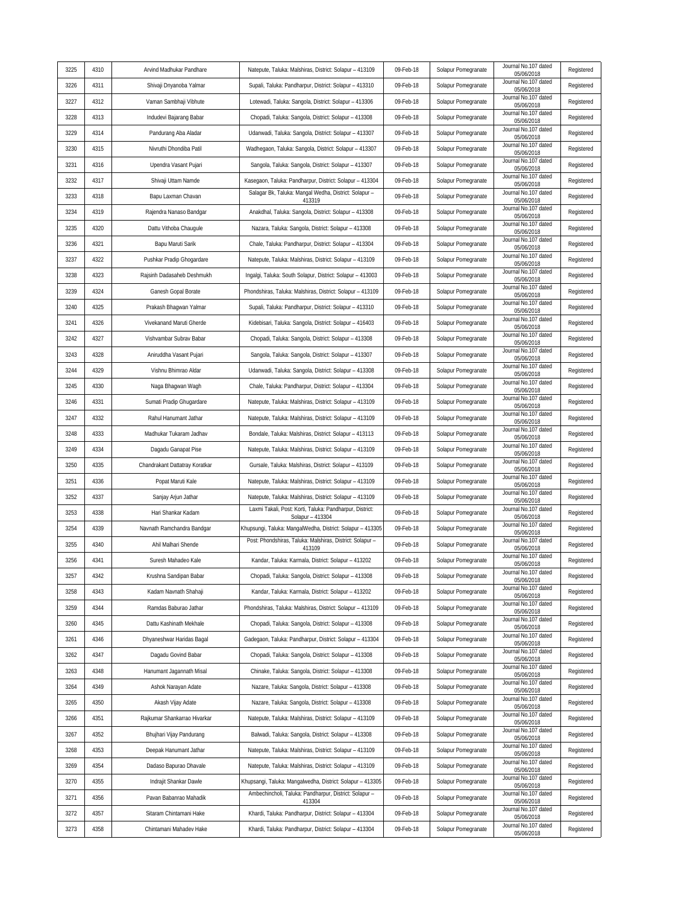| 3225         | 4310         | Arvind Madhukar Pandhare                            | Natepute, Taluka: Malshiras, District: Solapur - 413109                                                           | 09-Feb-18              | Solapur Pomegranate                        | Journal No.107 dated               | Registered               |
|--------------|--------------|-----------------------------------------------------|-------------------------------------------------------------------------------------------------------------------|------------------------|--------------------------------------------|------------------------------------|--------------------------|
| 3226         | 4311         | Shivaji Dnyanoba Yalmar                             | Supali, Taluka: Pandharpur, District: Solapur - 413310                                                            | 09-Feb-18              | Solapur Pomegranate                        | 05/06/2018<br>Journal No.107 dated | Registered               |
| 3227         | 4312         | Vaman Sambhaji Vibhute                              | Lotewadi, Taluka: Sangola, District: Solapur - 413306                                                             | 09-Feb-18              | Solapur Pomegranate                        | 05/06/2018<br>Journal No.107 dated | Registered               |
| 3228         | 4313         | Indudevi Bajarang Babar                             | Chopadi, Taluka: Sangola, District: Solapur - 413308                                                              | 09-Feb-18              | Solapur Pomegranate                        | 05/06/2018<br>Journal No.107 dated | Registered               |
| 3229         | 4314         | Pandurang Aba Aladar                                | Udanwadi, Taluka: Sangola, District: Solapur - 413307                                                             | 09-Feb-18              | Solapur Pomegranate                        | 05/06/2018<br>Journal No.107 dated | Registered               |
| 3230         | 4315         | Nivruthi Dhondiba Patil                             | Wadhegaon, Taluka: Sangola, District: Solapur - 413307                                                            | 09-Feb-18              | Solapur Pomegranate                        | 05/06/2018<br>Journal No.107 dated | Registered               |
| 3231         | 4316         | Upendra Vasant Pujari                               | Sangola, Taluka: Sangola, District: Solapur - 413307                                                              | 09-Feb-18              | Solapur Pomegranate                        | 05/06/2018<br>Journal No.107 dated | Registered               |
| 3232         | 4317         | Shivaji Uttam Namde                                 | Kasegaon, Taluka: Pandharpur, District: Solapur - 413304                                                          | 09-Feb-18              | Solapur Pomegranate                        | 05/06/2018<br>Journal No.107 dated | Registered               |
| 3233         | 4318         | Bapu Laxman Chavan                                  | Salagar Bk, Taluka: Mangal Wedha, District: Solapur -                                                             | 09-Feb-18              | Solapur Pomegranate                        | 05/06/2018<br>Journal No.107 dated | Registered               |
| 3234         | 4319         | Rajendra Nanaso Bandgar                             | 413319<br>Anakdhal, Taluka: Sangola, District: Solapur - 413308                                                   | 09-Feb-18              | Solapur Pomegranate                        | 05/06/2018<br>Journal No.107 dated | Registered               |
| 3235         | 4320         | Dattu Vithoba Chaugule                              | Nazara, Taluka: Sangola, District: Solapur - 413308                                                               | 09-Feb-18              | Solapur Pomegranate                        | 05/06/2018<br>Journal No.107 dated | Registered               |
| 3236         | 4321         | Bapu Maruti Sarik                                   | Chale, Taluka: Pandharpur, District: Solapur - 413304                                                             | 09-Feb-18              | Solapur Pomegranate                        | 05/06/2018<br>Journal No.107 dated | Registered               |
| 3237         | 4322         | Pushkar Pradip Ghogardare                           | Natepute, Taluka: Malshiras, District: Solapur - 413109                                                           | 09-Feb-18              | Solapur Pomegranate                        | 05/06/2018<br>Journal No.107 dated | Registered               |
| 3238         | 4323         | Rajsinh Dadasaheb Deshmukh                          | Ingalgi, Taluka: South Solapur, District: Solapur - 413003                                                        | 09-Feb-18              | Solapur Pomegranate                        | 05/06/2018<br>Journal No.107 dated | Registered               |
| 3239         | 4324         | Ganesh Gopal Borate                                 | Phondshiras, Taluka: Malshiras, District: Solapur - 413109                                                        | 09-Feb-18              | Solapur Pomegranate                        | 05/06/2018<br>Journal No.107 dated | Registered               |
| 3240         | 4325         | Prakash Bhagwan Yalmar                              | Supali, Taluka: Pandharpur, District: Solapur - 413310                                                            | 09-Feb-18              | Solapur Pomegranate                        | 05/06/2018<br>Journal No.107 dated | Registered               |
| 3241         | 4326         | Vivekanand Maruti Gherde                            | Kidebisari, Taluka: Sangola, District: Solapur - 416403                                                           | 09-Feb-18              | Solapur Pomegranate                        | 05/06/2018<br>Journal No.107 dated | Registered               |
| 3242         | 4327         | Vishvambar Subrav Babar                             | Chopadi, Taluka: Sangola, District: Solapur - 413308                                                              | 09-Feb-18              | Solapur Pomegranate                        | 05/06/2018<br>Journal No.107 dated | Registered               |
| 3243         | 4328         | Aniruddha Vasant Pujari                             |                                                                                                                   | 09-Feb-18              | Solapur Pomegranate                        | 05/06/2018<br>Journal No.107 dated |                          |
|              | 4329         |                                                     | Sangola, Taluka: Sangola, District: Solapur - 413307                                                              | 09-Feb-18              |                                            | 05/06/2018<br>Journal No.107 dated | Registered<br>Registered |
| 3244         | 4330         | Vishnu Bhimrao Aldar                                | Udanwadi, Taluka: Sangola, District: Solapur - 413308                                                             |                        | Solapur Pomegranate                        | 05/06/2018<br>Journal No.107 dated |                          |
| 3245         |              | Naga Bhagwan Wagh                                   | Chale, Taluka: Pandharpur, District: Solapur - 413304                                                             | 09-Feb-18              | Solapur Pomegranate                        | 05/06/2018<br>Journal No.107 dated | Registered               |
| 3246         | 4331         | Sumati Pradip Ghugardare                            | Natepute, Taluka: Malshiras, District: Solapur - 413109                                                           | 09-Feb-18              | Solapur Pomegranate                        | 05/06/2018<br>Journal No.107 dated | Registered               |
| 3247<br>3248 | 4332<br>4333 | Rahul Hanumant Jathar                               | Natepute, Taluka: Malshiras, District: Solapur - 413109                                                           | 09-Feb-18<br>09-Feb-18 | Solapur Pomegranate                        | 05/06/2018<br>Journal No.107 dated | Registered               |
| 3249         | 4334         | Madhukar Tukaram Jadhav                             | Bondale, Taluka: Malshiras, District: Solapur - 413113                                                            |                        | Solapur Pomegranate                        | 05/06/2018<br>Journal No.107 dated | Registered               |
| 3250         | 4335         | Dagadu Ganapat Pise                                 | Natepute, Taluka: Malshiras, District: Solapur - 413109<br>Gursale, Taluka: Malshiras, District: Solapur - 413109 | 09-Feb-18<br>09-Feb-18 | Solapur Pomegranate                        | 05/06/2018<br>Journal No.107 dated | Registered<br>Registered |
| 3251         | 4336         | Chandrakant Dattatray Koratkar<br>Popat Maruti Kale | Natepute, Taluka: Malshiras, District: Solapur - 413109                                                           | 09-Feb-18              | Solapur Pomegranate<br>Solapur Pomegranate | 05/06/2018<br>Journal No.107 dated | Registered               |
| 3252         | 4337         | Sanjay Arjun Jathar                                 | Natepute, Taluka: Malshiras, District: Solapur - 413109                                                           | 09-Feb-18              | Solapur Pomegranate                        | 05/06/2018<br>Journal No.107 dated | Registered               |
| 3253         | 4338         | Hari Shankar Kadam                                  | Laxmi Takali, Post: Korti, Taluka: Pandharpur, District:                                                          | 09-Feb-18              | Solapur Pomegranate                        | 05/06/2018<br>Journal No.107 dated | Registered               |
| 3254         | 4339         | Navnath Ramchandra Bandgar                          | Solapur - 413304<br>Khupsungi, Taluka: MangalWedha, District: Solapur - 413305                                    | 09-Feb-18              | Solapur Pomegranate                        | 05/06/2018<br>Journal No.107 dated | Registered               |
| 3255         | 4340         | Ahil Malhari Shende                                 | Post: Phondshiras, Taluka: Malshiras, District: Solapur -                                                         | 09-Feb-18              | Solapur Pomegranate                        | 05/06/2018<br>Journal No.107 dated | Registered               |
| 3256         | 4341         | Suresh Mahadeo Kale                                 | 413109<br>Kandar, Taluka: Karmala, District: Solapur - 413202                                                     | 09-Feb-18              | Solapur Pomegranate                        | 05/06/2018<br>Journal No.107 dated | Registered               |
| 3257         | 4342         | Krushna Sandipan Babar                              | Chopadi, Taluka: Sangola, District: Solapur - 413308                                                              | 09-Feb-18              | Solapur Pomegranate                        | 05/06/2018<br>Journal No.107 dated | Registered               |
| 3258         | 4343         | Kadam Navnath Shahaji                               | Kandar, Taluka: Karmala, District: Solapur - 413202                                                               | 09-Feb-18              | Solapur Pomegranate                        | 05/06/2018<br>Journal No.107 dated | Registered               |
| 3259         | 4344         | Ramdas Baburao Jathar                               | Phondshiras, Taluka: Malshiras, District: Solapur - 413109                                                        | 09-Feb-18              | Solapur Pomegranate                        | 05/06/2018<br>Journal No.107 dated | Registered               |
| 3260         | 4345         | Dattu Kashinath Mekhale                             | Chopadi, Taluka: Sangola, District: Solapur - 413308                                                              | 09-Feb-18              | Solapur Pomegranate                        | 05/06/2018<br>Journal No.107 dated | Registered               |
| 3261         | 4346         | Dhyaneshwar Haridas Bagal                           | Gadegaon, Taluka: Pandharpur, District: Solapur - 413304                                                          | 09-Feb-18              | Solapur Pomegranate                        | 05/06/2018<br>Journal No.107 dated | Registered               |
| 3262         | 4347         | Dagadu Govind Babar                                 | Chopadi, Taluka: Sangola, District: Solapur - 413308                                                              | 09-Feb-18              | Solapur Pomegranate                        | 05/06/2018<br>Journal No.107 dated | Registered               |
| 3263         | 4348         | Hanumant Jagannath Misal                            | Chinake, Taluka: Sangola, District: Solapur - 413308                                                              | 09-Feb-18              | Solapur Pomegranate                        | 05/06/2018<br>Journal No.107 dated | Registered               |
| 3264         | 4349         | Ashok Narayan Adate                                 | Nazare, Taluka: Sangola, District: Solapur - 413308                                                               | 09-Feb-18              | Solapur Pomegranate                        | 05/06/2018<br>Journal No.107 dated | Registered               |
| 3265         | 4350         | Akash Vijay Adate                                   | Nazare, Taluka: Sangola, District: Solapur - 413308                                                               | 09-Feb-18              | Solapur Pomegranate                        | 05/06/2018<br>Journal No.107 dated | Registered               |
| 3266         | 4351         | Rajkumar Shankarrao Hivarkar                        | Natepute, Taluka: Malshiras, District: Solapur - 413109                                                           | 09-Feb-18              | Solapur Pomegranate                        | 05/06/2018<br>Journal No.107 dated | Registered               |
| 3267         | 4352         | Bhujhari Vijay Pandurang                            | Balwadi, Taluka: Sangola, District: Solapur - 413308                                                              | 09-Feb-18              | Solapur Pomegranate                        | 05/06/2018<br>Journal No.107 dated | Registered               |
| 3268         | 4353         | Deepak Hanumant Jathar                              | Natepute, Taluka: Malshiras, District: Solapur - 413109                                                           | 09-Feb-18              | Solapur Pomegranate                        | 05/06/2018<br>Journal No.107 dated | Registered               |
| 3269         | 4354         | Dadaso Bapurao Dhavale                              | Natepute, Taluka: Malshiras, District: Solapur - 413109                                                           | 09-Feb-18              | Solapur Pomegranate                        | 05/06/2018<br>Journal No.107 dated | Registered               |
| 3270         | 4355         | Indrajit Shankar Dawle                              | Khupsangi, Taluka: Mangalwedha, District: Solapur - 413305                                                        | 09-Feb-18              | Solapur Pomegranate                        | 05/06/2018<br>Journal No.107 dated | Registered               |
| 3271         | 4356         | Pavan Babanrao Mahadik                              | Ambechincholi, Taluka: Pandharpur, District: Solapur -                                                            | 09-Feb-18              | Solapur Pomegranate                        | 05/06/2018<br>Journal No.107 dated | Registered               |
| 3272         | 4357         | Sitaram Chintamani Hake                             | 413304<br>Khardi, Taluka: Pandharpur, District: Solapur - 413304                                                  | 09-Feb-18              | Solapur Pomegranate                        | 05/06/2018<br>Journal No.107 dated | Registered               |
| 3273         | 4358         | Chintamani Mahadev Hake                             | Khardi, Taluka: Pandharpur, District: Solapur - 413304                                                            | 09-Feb-18              | Solapur Pomegranate                        | 05/06/2018<br>Journal No.107 dated | Registered               |
|              |              |                                                     |                                                                                                                   |                        |                                            | 05/06/2018                         |                          |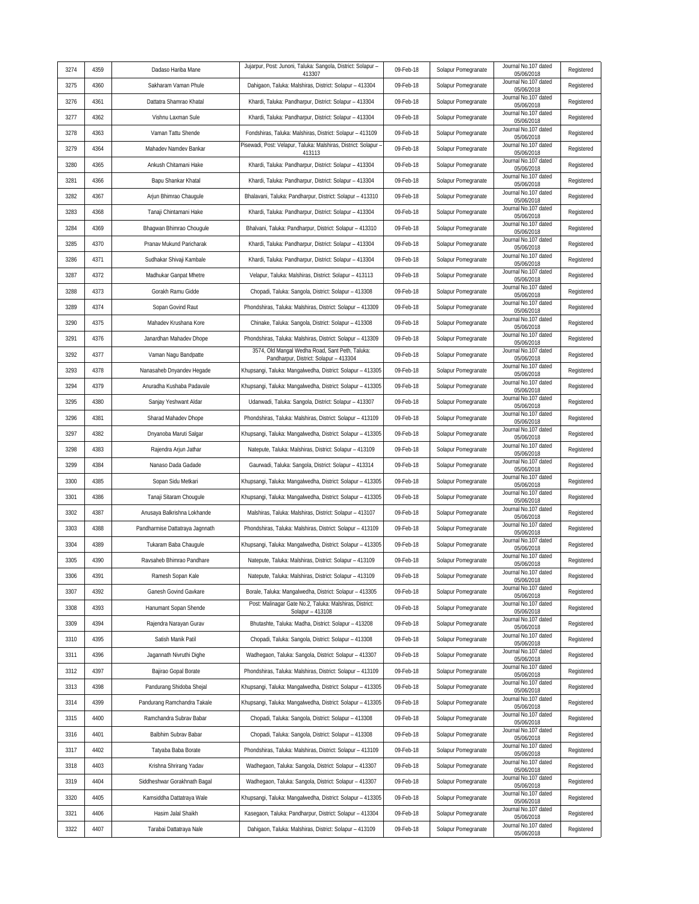|      |      |                                 | Jujarpur, Post: Junoni, Taluka: Sangola, District: Solapur -                                                                 |           |                     | Journal No.107 dated               |            |
|------|------|---------------------------------|------------------------------------------------------------------------------------------------------------------------------|-----------|---------------------|------------------------------------|------------|
| 3274 | 4359 | Dadaso Hariba Mane              | 413307                                                                                                                       | 09-Feb-18 | Solapur Pomegranate | 05/06/2018<br>Journal No.107 dated | Registered |
| 3275 | 4360 | Sakharam Vaman Phule            | Dahigaon, Taluka: Malshiras, District: Solapur - 413304                                                                      | 09-Feb-18 | Solapur Pomegranate | 05/06/2018<br>Journal No.107 dated | Registered |
| 3276 | 4361 | Dattatra Shamrao Khatal         | Khardi, Taluka: Pandharpur, District: Solapur - 413304                                                                       | 09-Feb-18 | Solapur Pomegranate | 05/06/2018<br>Journal No.107 dated | Registered |
| 3277 | 4362 | Vishnu Laxman Sule              | Khardi, Taluka: Pandharpur, District: Solapur - 413304                                                                       | 09-Feb-18 | Solapur Pomegranate | 05/06/2018<br>Journal No.107 dated | Registered |
| 3278 | 4363 | Vaman Tattu Shende              | Fondshiras, Taluka: Malshiras, District: Solapur - 413109<br>Pisewadi, Post: Velapur, Taluka: Malshiras, District: Solapur - | 09-Feb-18 | Solapur Pomegranate | 05/06/2018<br>Journal No.107 dated | Registered |
| 3279 | 4364 | Mahadev Namdev Bankar           | 413113                                                                                                                       | 09-Feb-18 | Solapur Pomegranate | 05/06/2018                         | Registered |
| 3280 | 4365 | Ankush Chitamani Hake           | Khardi, Taluka: Pandharpur, District: Solapur - 413304                                                                       | 09-Feb-18 | Solapur Pomegranate | Journal No.107 dated<br>05/06/2018 | Registered |
| 3281 | 4366 | Bapu Shankar Khatal             | Khardi, Taluka: Pandharpur, District: Solapur - 413304                                                                       | 09-Feb-18 | Solapur Pomegranate | Journal No.107 dated<br>05/06/2018 | Registered |
| 3282 | 4367 | Arjun Bhimrao Chaugule          | Bhalavani, Taluka: Pandharpur, District: Solapur - 413310                                                                    | 09-Feb-18 | Solapur Pomegranate | Journal No.107 dated<br>05/06/2018 | Registered |
| 3283 | 4368 | Tanaji Chintamani Hake          | Khardi, Taluka: Pandharpur, District: Solapur - 413304                                                                       | 09-Feb-18 | Solapur Pomegranate | Journal No.107 dated<br>05/06/2018 | Registered |
| 3284 | 4369 | Bhagwan Bhimrao Chougule        | Bhalvani, Taluka: Pandharpur, District: Solapur - 413310                                                                     | 09-Feb-18 | Solapur Pomegranate | Journal No.107 dated<br>05/06/2018 | Registered |
| 3285 | 4370 | Pranav Mukund Paricharak        | Khardi, Taluka: Pandharpur, District: Solapur - 413304                                                                       | 09-Feb-18 | Solapur Pomegranate | Journal No.107 dated<br>05/06/2018 | Registered |
| 3286 | 4371 | Sudhakar Shivaji Kambale        | Khardi, Taluka: Pandharpur, District: Solapur - 413304                                                                       | 09-Feb-18 | Solapur Pomegranate | Journal No.107 dated<br>05/06/2018 | Registered |
| 3287 | 4372 | Madhukar Ganpat Mhetre          | Velapur, Taluka: Malshiras, District: Solapur - 413113                                                                       | 09-Feb-18 | Solapur Pomegranate | Journal No.107 dated<br>05/06/2018 | Registered |
| 3288 | 4373 | Gorakh Ramu Gidde               | Chopadi, Taluka: Sangola, District: Solapur - 413308                                                                         | 09-Feb-18 | Solapur Pomegranate | Journal No.107 dated<br>05/06/2018 | Registered |
| 3289 | 4374 | Sopan Govind Raut               | Phondshiras, Taluka: Malshiras, District: Solapur - 413309                                                                   | 09-Feb-18 | Solapur Pomegranate | Journal No.107 dated<br>05/06/2018 | Registered |
| 3290 | 4375 | Mahadev Krushana Kore           | Chinake, Taluka: Sangola, District: Solapur - 413308                                                                         | 09-Feb-18 | Solapur Pomegranate | Journal No.107 dated<br>05/06/2018 | Registered |
| 3291 | 4376 | Janardhan Mahadev Dhope         | Phondshiras, Taluka: Malshiras, District: Solapur - 413309                                                                   | 09-Feb-18 | Solapur Pomegranate | Journal No.107 dated<br>05/06/2018 | Registered |
| 3292 | 4377 | Vaman Nagu Bandpatte            | 3574, Old Mangal Wedha Road, Sant Peth, Taluka:<br>Pandharpur, District: Solapur - 413304                                    | 09-Feb-18 | Solapur Pomegranate | Journal No.107 dated<br>05/06/2018 | Registered |
| 3293 | 4378 | Nanasaheb Dnyandev Hegade       | Khupsangi, Taluka: Mangalwedha, District: Solapur - 413305                                                                   | 09-Feb-18 | Solapur Pomegranate | Journal No.107 dated<br>05/06/2018 | Registered |
| 3294 | 4379 | Anuradha Kushaba Padavale       | Khupsangi, Taluka: Mangalwedha, District: Solapur - 413305                                                                   | 09-Feb-18 | Solapur Pomegranate | Journal No.107 dated<br>05/06/2018 | Registered |
| 3295 | 4380 | Sanjay Yeshwant Aldar           | Udanwadi, Taluka: Sangola, District: Solapur - 413307                                                                        | 09-Feb-18 | Solapur Pomegranate | Journal No.107 dated               | Registered |
| 3296 | 4381 | Sharad Mahadev Dhope            | Phondshiras, Taluka: Malshiras, District: Solapur - 413109                                                                   | 09-Feb-18 | Solapur Pomegranate | 05/06/2018<br>Journal No.107 dated | Registered |
| 3297 | 4382 | Dnyanoba Maruti Salgar          | Khupsangi, Taluka: Mangalwedha, District: Solapur - 413305                                                                   | 09-Feb-18 | Solapur Pomegranate | 05/06/2018<br>Journal No.107 dated | Registered |
| 3298 | 4383 | Rajendra Arjun Jathar           | Natepute, Taluka: Malshiras, District: Solapur - 413109                                                                      | 09-Feb-18 | Solapur Pomegranate | 05/06/2018<br>Journal No.107 dated | Registered |
| 3299 | 4384 | Nanaso Dada Gadade              | Gaurwadi, Taluka: Sangola, District: Solapur - 413314                                                                        | 09-Feb-18 | Solapur Pomegranate | 05/06/2018<br>Journal No.107 dated | Registered |
| 3300 | 4385 | Sopan Sidu Metkari              | Khupsangi, Taluka: Mangalwedha, District: Solapur - 413305                                                                   | 09-Feb-18 | Solapur Pomegranate | 05/06/2018<br>Journal No.107 dated | Registered |
| 3301 | 4386 | Tanaji Sitaram Chougule         | Khupsangi, Taluka: Mangalwedha, District: Solapur - 413305                                                                   | 09-Feb-18 | Solapur Pomegranate | 05/06/2018<br>Journal No.107 dated | Registered |
| 3302 | 4387 | Anusaya Balkrishna Lokhande     | Malshiras, Taluka: Malshiras, District: Solapur - 413107                                                                     | 09-Feb-18 | Solapur Pomegranate | 05/06/2018<br>Journal No.107 dated | Registered |
| 3303 | 4388 | Pandharmise Dattatraya Jagnnath | Phondshiras, Taluka: Malshiras, District: Solapur - 413109                                                                   | 09-Feb-18 | Solapur Pomegranate | 05/06/2018<br>Journal No.107 dated | Registered |
| 3304 | 4389 | Tukaram Baba Chaugule           |                                                                                                                              | 09-Feb-18 |                     | 05/06/2018<br>Journal No.107 dated |            |
|      |      |                                 | Khupsangi, Taluka: Mangalwedha, District: Solapur - 413305                                                                   |           | Solapur Pomegranate | 05/06/2018<br>Journal No.107 dated | Registered |
| 3305 | 4390 | Ravsaheb Bhimrao Pandhare       | Natepute, Taluka: Malshiras, District: Solapur - 413109                                                                      | 09-Feb-18 | Solapur Pomegranate | 05/06/2018<br>Journal No.107 dated | Registered |
| 3306 | 4391 | Ramesh Sopan Kale               | Natepute, Taluka: Malshiras, District: Solapur - 413109                                                                      | 09-Feb-18 | Solapur Pomegranate | 05/06/2018<br>Journal No.107 dated | Registered |
| 3307 | 4392 | Ganesh Govind Gavkare           | Borale, Taluka: Mangalwedha, District: Solapur - 413305<br>Post: Malinagar Gate No.2, Taluka: Malshiras, District:           | 09-Feb-18 | Solapur Pomegranate | 05/06/2018<br>Journal No.107 dated | Registered |
| 3308 | 4393 | Hanumant Sopan Shende           | Solapur - 413108                                                                                                             | 09-Feb-18 | Solapur Pomegranate | 05/06/2018<br>Journal No.107 dated | Registered |
| 3309 | 4394 | Rajendra Narayan Gurav          | Bhutashte, Taluka: Madha, District: Solapur - 413208                                                                         | 09-Feb-18 | Solapur Pomegranate | 05/06/2018<br>Journal No.107 dated | Registered |
| 3310 | 4395 | Satish Manik Patil              | Chopadi, Taluka: Sangola, District: Solapur - 413308                                                                         | 09-Feb-18 | Solapur Pomegranate | 05/06/2018<br>Journal No.107 dated | Registered |
| 3311 | 4396 | Jagannath Nivruthi Dighe        | Wadhegaon, Taluka: Sangola, District: Solapur - 413307                                                                       | 09-Feb-18 | Solapur Pomegranate | 05/06/2018<br>Journal No.107 dated | Registered |
| 3312 | 4397 | Bajirao Gopal Borate            | Phondshiras, Taluka: Malshiras, District: Solapur - 413109                                                                   | 09-Feb-18 | Solapur Pomegranate | 05/06/2018                         | Registered |
| 3313 | 4398 | Pandurang Shidoba Shejal        | Khupsangi, Taluka: Mangalwedha, District: Solapur - 413305                                                                   | 09-Feb-18 | Solapur Pomegranate | Journal No.107 dated<br>05/06/2018 | Registered |
| 3314 | 4399 | Pandurang Ramchandra Takale     | Khupsangi, Taluka: Mangalwedha, District: Solapur - 413305                                                                   | 09-Feb-18 | Solapur Pomegranate | Journal No.107 dated<br>05/06/2018 | Registered |
| 3315 | 4400 | Ramchandra Subrav Babar         | Chopadi, Taluka: Sangola, District: Solapur - 413308                                                                         | 09-Feb-18 | Solapur Pomegranate | Journal No.107 dated<br>05/06/2018 | Registered |
| 3316 | 4401 | Balbhim Subrav Babar            | Chopadi, Taluka: Sangola, District: Solapur - 413308                                                                         | 09-Feb-18 | Solapur Pomegranate | Journal No.107 dated<br>05/06/2018 | Registered |
| 3317 | 4402 | Tatyaba Baba Borate             | Phondshiras, Taluka: Malshiras, District: Solapur - 413109                                                                   | 09-Feb-18 | Solapur Pomegranate | Journal No.107 dated<br>05/06/2018 | Registered |
| 3318 | 4403 | Krishna Shrirang Yadav          | Wadhegaon, Taluka: Sangola, District: Solapur - 413307                                                                       | 09-Feb-18 | Solapur Pomegranate | Journal No.107 dated<br>05/06/2018 | Registered |
| 3319 | 4404 | Siddheshwar Gorakhnath Bagal    | Wadhegaon, Taluka: Sangola, District: Solapur - 413307                                                                       | 09-Feb-18 | Solapur Pomegranate | Journal No.107 dated<br>05/06/2018 | Registered |
| 3320 | 4405 | Kamsiddha Dattatraya Wale       | Khupsangi, Taluka: Mangalwedha, District: Solapur - 413305                                                                   | 09-Feb-18 | Solapur Pomegranate | Journal No.107 dated<br>05/06/2018 | Registered |
| 3321 | 4406 | Hasim Jalal Shaikh              | Kasegaon, Taluka: Pandharpur, District: Solapur - 413304                                                                     | 09-Feb-18 | Solapur Pomegranate | Journal No.107 dated<br>05/06/2018 | Registered |
| 3322 | 4407 | Tarabai Dattatraya Nale         | Dahigaon, Taluka: Malshiras, District: Solapur - 413109                                                                      | 09-Feb-18 | Solapur Pomegranate | Journal No.107 dated<br>05/06/2018 | Registered |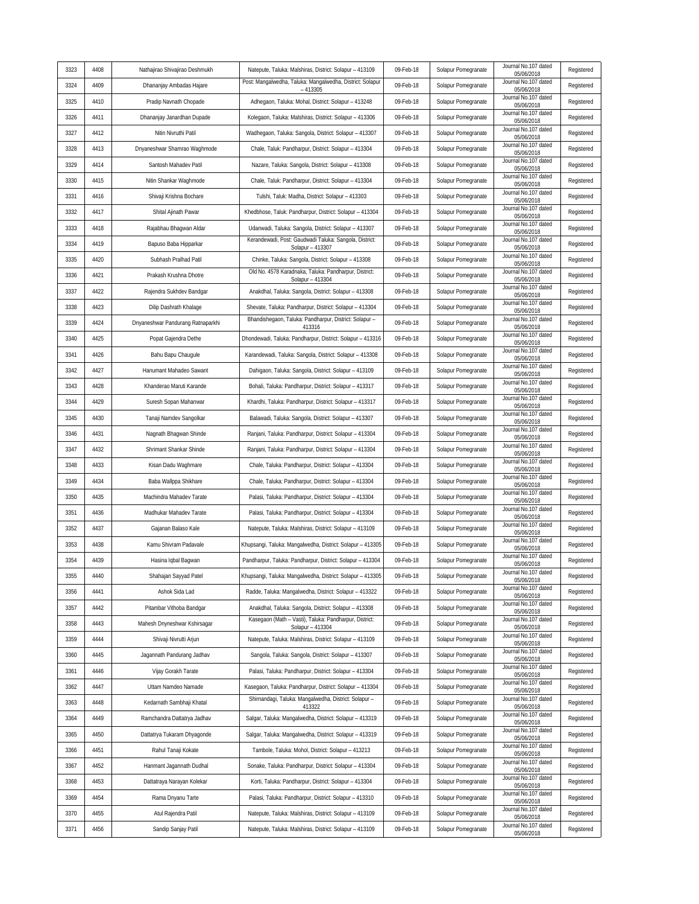| 3323 | 4408 | Nathajirao Shivajirao Deshmukh    | Natepute, Taluka: Malshiras, District: Solapur - 413109                    | 09-Feb-18 | Solapur Pomegranate | Journal No.107 dated<br>05/06/2018 | Registered |
|------|------|-----------------------------------|----------------------------------------------------------------------------|-----------|---------------------|------------------------------------|------------|
| 3324 | 4409 | Dhananjay Ambadas Hajare          | Post: Mangalwedha, Taluka: Mangalwedha, District: Solapur<br>$-413305$     | 09-Feb-18 | Solapur Pomegranate | Journal No.107 dated<br>05/06/2018 | Registered |
| 3325 | 4410 | Pradip Navnath Chopade            | Adhegaon, Taluka: Mohal, District: Solapur - 413248                        | 09-Feb-18 | Solapur Pomegranate | Journal No.107 dated<br>05/06/2018 | Registered |
| 3326 | 4411 | Dhananjay Janardhan Dupade        | Kolegaon, Taluka: Malshiras, District: Solapur - 413306                    | 09-Feb-18 | Solapur Pomegranate | Journal No.107 dated<br>05/06/2018 | Registered |
| 3327 | 4412 | Nitin Nivruthi Patil              | Wadhegaon, Taluka: Sangola, District: Solapur - 413307                     | 09-Feb-18 | Solapur Pomegranate | Journal No.107 dated<br>05/06/2018 | Registered |
| 3328 | 4413 | Dnyaneshwar Shamrao Waghmode      | Chale, Taluk: Pandharpur, District: Solapur - 413304                       | 09-Feb-18 | Solapur Pomegranate | Journal No.107 dated<br>05/06/2018 | Registered |
| 3329 | 4414 | Santosh Mahadev Patil             | Nazare, Taluka: Sangola, District: Solapur - 413308                        | 09-Feb-18 | Solapur Pomegranate | Journal No.107 dated<br>05/06/2018 | Registered |
| 3330 | 4415 | Nitin Shankar Waghmode            | Chale, Taluk: Pandharpur, District: Solapur - 413304                       | 09-Feb-18 | Solapur Pomegranate | Journal No.107 dated<br>05/06/2018 | Registered |
| 3331 | 4416 | Shivaji Krishna Bochare           | Tulshi, Taluk: Madha, District: Solapur - 413303                           | 09-Feb-18 | Solapur Pomegranate | Journal No.107 dated<br>05/06/2018 | Registered |
| 3332 | 4417 | Shital Ajinath Pawar              | Khedbhose, Taluk: Pandharpur, District: Solapur - 413304                   | 09-Feb-18 | Solapur Pomegranate | Journal No.107 dated<br>05/06/2018 | Registered |
| 3333 | 4418 | Rajabhau Bhagwan Aldar            | Udanwadi, Taluka: Sangola, District: Solapur - 413307                      | 09-Feb-18 | Solapur Pomegranate | Journal No.107 dated<br>05/06/2018 | Registered |
| 3334 | 4419 | Bapuso Baba Hipparkar             | Kerandewadi, Post: Gaudwadi Taluka: Sangola, District:<br>Solapur - 413307 | 09-Feb-18 | Solapur Pomegranate | Journal No.107 dated<br>05/06/2018 | Registered |
| 3335 | 4420 | Subhash Pralhad Patil             | Chinke, Taluka: Sangola, District: Solapur - 413308                        | 09-Feb-18 | Solapur Pomegranate | Journal No.107 dated<br>05/06/2018 | Registered |
| 3336 | 4421 | Prakash Krushna Dhotre            | Old No. 4578 Karadnaka, Taluka: Pandharpur, District:<br>Solapur - 413304  | 09-Feb-18 | Solapur Pomegranate | Journal No.107 dated<br>05/06/2018 | Registered |
| 3337 | 4422 | Rajendra Sukhdev Bandgar          | Anakdhal, Taluka: Sangola, District: Solapur - 413308                      | 09-Feb-18 | Solapur Pomegranate | Journal No.107 dated<br>05/06/2018 | Registered |
| 3338 | 4423 | Dilip Dashrath Khalage            | Shevate, Taluka: Pandharpur, District: Solapur - 413304                    | 09-Feb-18 | Solapur Pomegranate | Journal No.107 dated<br>05/06/2018 | Registered |
| 3339 | 4424 | Dnyaneshwar Pandurang Ratnaparkhi | Bhandishegaon, Taluka: Pandharpur, District: Solapur -<br>413316           | 09-Feb-18 | Solapur Pomegranate | Journal No.107 dated<br>05/06/2018 | Registered |
| 3340 | 4425 | Popat Gajendra Dethe              | Dhondewadi, Taluka: Pandharpur, District: Solapur - 413316                 | 09-Feb-18 | Solapur Pomegranate | Journal No.107 dated<br>05/06/2018 | Registered |
| 3341 | 4426 | Bahu Bapu Chaugule                | Karandewadi, Taluka: Sangola, District: Solapur - 413308                   | 09-Feb-18 | Solapur Pomegranate | Journal No.107 dated<br>05/06/2018 | Registered |
| 3342 | 4427 | Hanumant Mahadeo Sawant           | Dahigaon, Taluka: Sangola, District: Solapur - 413109                      | 09-Feb-18 | Solapur Pomegranate | Journal No.107 dated<br>05/06/2018 | Registered |
| 3343 | 4428 | Khanderao Maruti Karande          | Bohali, Taluka: Pandharpur, District: Solapur - 413317                     | 09-Feb-18 | Solapur Pomegranate | Journal No.107 dated<br>05/06/2018 | Registered |
| 3344 | 4429 | Suresh Sopan Mahanwar             | Khardhi, Taluka: Pandharpur, District: Solapur - 413317                    | 09-Feb-18 | Solapur Pomegranate | Journal No.107 dated<br>05/06/2018 | Registered |
| 3345 | 4430 | Tanaji Namdev Sangolkar           | Balawadi, Taluka: Sangola, District: Solapur - 413307                      | 09-Feb-18 | Solapur Pomegranate | Journal No.107 dated<br>05/06/2018 | Registered |
| 3346 | 4431 | Nagnath Bhagwan Shinde            | Ranjani, Taluka: Pandharpur, District: Solapur - 413304                    | 09-Feb-18 | Solapur Pomegranate | Journal No.107 dated<br>05/06/2018 | Registered |
| 3347 | 4432 | Shrimant Shankar Shinde           | Ranjani, Taluka: Pandharpur, District: Solapur - 413304                    | 09-Feb-18 | Solapur Pomegranate | Journal No.107 dated<br>05/06/2018 | Registered |
| 3348 | 4433 | Kisan Dadu Waghmare               | Chale, Taluka: Pandharpur, District: Solapur - 413304                      | 09-Feb-18 | Solapur Pomegranate | Journal No.107 dated<br>05/06/2018 | Registered |
| 3349 | 4434 | Baba Wallppa Shikhare             | Chale, Taluka: Pandharpur, District: Solapur - 413304                      | 09-Feb-18 | Solapur Pomegranate | Journal No.107 dated<br>05/06/2018 | Registered |
| 3350 | 4435 | Machindra Mahadev Tarate          | Palasi, Taluka: Pandharpur, District: Solapur - 413304                     | 09-Feb-18 | Solapur Pomegranate | Journal No.107 dated<br>05/06/2018 | Registered |
| 3351 | 4436 | Madhukar Mahadev Tarate           | Palasi, Taluka: Pandharpur, District: Solapur - 413304                     | 09-Feb-18 | Solapur Pomegranate | Journal No.107 dated<br>05/06/2018 | Registered |
| 3352 | 4437 | Gajanan Balaso Kale               | Natepute, Taluka: Malshiras, District: Solapur - 413109                    | 09-Feb-18 | Solapur Pomegranate | Journal No.107 dated<br>05/06/2018 | Registered |
| 3353 | 4438 | Kamu Shivram Padavale             | Khupsangi, Taluka: Mangalwedha, District: Solapur - 413305                 | 09-Feb-18 | Solapur Pomegranate | Journal No.107 dated<br>05/06/2018 | Registered |
| 3354 | 4439 | Hasina Iqbal Bagwan               | Pandharpur, Taluka: Pandharpur, District: Solapur - 413304                 | 09-Feb-18 | Solapur Pomegranate | Journal No.107 dated<br>05/06/2018 | Registered |
| 3355 | 4440 | Shahajan Sayyad Patel             | Khupsangi, Taluka: Mangalwedha, District: Solapur – 413305                 | 09-Feb-18 | Solapur Pomegranate | Journal No.107 dated<br>05/06/2018 | Registered |
| 3356 | 4441 | Ashok Sida Lad                    | Radde, Taluka: Mangalwedha, District: Solapur - 413322                     | 09-Feb-18 | Solapur Pomegranate | Journal No.107 dated<br>05/06/2018 | Registered |
| 3357 | 4442 | Pitambar Vithoba Bandgar          | Anakdhal, Taluka: Sangola, District: Solapur - 413308                      | 09-Feb-18 | Solapur Pomegranate | Journal No.107 dated<br>05/06/2018 | Registered |
| 3358 | 4443 | Mahesh Dnyneshwar Kshirsagar      | Kasegaon (Math - Vasti), Taluka: Pandharpur, District:<br>Solapur - 413304 | 09-Feb-18 | Solapur Pomegranate | Journal No.107 dated<br>05/06/2018 | Registered |
| 3359 | 4444 | Shivaji Nivrutti Arjun            | Natepute, Taluka: Malshiras, District: Solapur - 413109                    | 09-Feb-18 | Solapur Pomegranate | Journal No.107 dated<br>05/06/2018 | Registered |
| 3360 | 4445 | Jagannath Pandurang Jadhav        | Sangola, Taluka: Sangola, District: Solapur - 413307                       | 09-Feb-18 | Solapur Pomegranate | Journal No.107 dated<br>05/06/2018 | Registered |
| 3361 | 4446 | Vijay Gorakh Tarate               | Palasi, Taluka: Pandharpur, District: Solapur - 413304                     | 09-Feb-18 | Solapur Pomegranate | Journal No.107 dated<br>05/06/2018 | Registered |
| 3362 | 4447 | Uttam Namdeo Namade               | Kasegaon, Taluka: Pandharpur, District: Solapur - 413304                   | 09-Feb-18 | Solapur Pomegranate | Journal No.107 dated<br>05/06/2018 | Registered |
| 3363 | 4448 | Kedarnath Sambhaji Khatal         | Shirnandagi, Taluka: Mangalwedha, District: Solapur -<br>413322            | 09-Feb-18 | Solapur Pomegranate | Journal No.107 dated<br>05/06/2018 | Registered |
| 3364 | 4449 | Ramchandra Dattatrya Jadhav       | Salgar, Taluka: Mangalwedha, District: Solapur - 413319                    | 09-Feb-18 | Solapur Pomegranate | Journal No.107 dated<br>05/06/2018 | Registered |
| 3365 | 4450 | Dattatrya Tukaram Dhyagonde       | Salgar, Taluka: Mangalwedha, District: Solapur - 413319                    | 09-Feb-18 | Solapur Pomegranate | Journal No.107 dated<br>05/06/2018 | Registered |
| 3366 | 4451 | Rahul Tanaji Kokate               | Tambole, Taluka: Mohol, District: Solapur - 413213                         | 09-Feb-18 | Solapur Pomegranate | Journal No.107 dated<br>05/06/2018 | Registered |
| 3367 | 4452 | Hanmant Jagannath Dudhal          | Sonake, Taluka: Pandharpur, District: Solapur - 413304                     | 09-Feb-18 | Solapur Pomegranate | Journal No.107 dated<br>05/06/2018 | Registered |
| 3368 | 4453 | Dattatraya Narayan Kolekar        | Korti, Taluka: Pandharpur, District: Solapur - 413304                      | 09-Feb-18 | Solapur Pomegranate | Journal No.107 dated<br>05/06/2018 | Registered |
| 3369 | 4454 | Rama Dnyanu Tarte                 | Palasi, Taluka: Pandharpur, District: Solapur - 413310                     | 09-Feb-18 | Solapur Pomegranate | Journal No.107 dated<br>05/06/2018 | Registered |
| 3370 | 4455 | Atul Rajendra Patil               | Natepute, Taluka: Malshiras, District: Solapur - 413109                    | 09-Feb-18 | Solapur Pomegranate | Journal No.107 dated<br>05/06/2018 | Registered |
| 3371 | 4456 | Sandip Sanjay Patil               | Natepute, Taluka: Malshiras, District: Solapur - 413109                    | 09-Feb-18 | Solapur Pomegranate | Journal No.107 dated<br>05/06/2018 | Registered |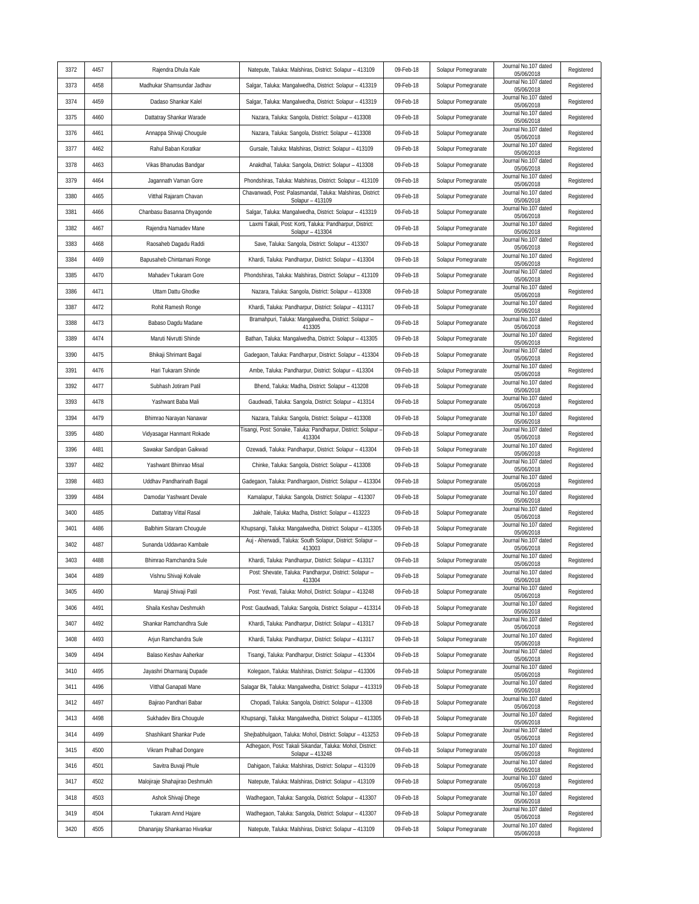| 3372 | 4457 | Rajendra Dhula Kale            | Natepute, Taluka: Malshiras, District: Solapur - 413109                         | 09-Feb-18 | Solapur Pomegranate | Journal No.107 dated<br>05/06/2018 | Registered |
|------|------|--------------------------------|---------------------------------------------------------------------------------|-----------|---------------------|------------------------------------|------------|
| 3373 | 4458 | Madhukar Shamsundar Jadhav     | Salgar, Taluka: Mangalwedha, District: Solapur - 413319                         | 09-Feb-18 | Solapur Pomegranate | Journal No.107 dated<br>05/06/2018 | Registered |
| 3374 | 4459 | Dadaso Shankar Kalel           | Salgar, Taluka: Mangalwedha, District: Solapur - 413319                         | 09-Feb-18 | Solapur Pomegranate | Journal No.107 dated<br>05/06/2018 | Registered |
| 3375 | 4460 | Dattatray Shankar Warade       | Nazara, Taluka: Sangola, District: Solapur - 413308                             | 09-Feb-18 | Solapur Pomegranate | Journal No.107 dated<br>05/06/2018 | Registered |
| 3376 | 4461 | Annappa Shivaji Chougule       | Nazara, Taluka: Sangola, District: Solapur - 413308                             | 09-Feb-18 | Solapur Pomegranate | Journal No.107 dated<br>05/06/2018 | Registered |
| 3377 | 4462 | Rahul Baban Koratkar           | Gursale, Taluka: Malshiras, District: Solapur - 413109                          | 09-Feb-18 | Solapur Pomegranate | Journal No.107 dated<br>05/06/2018 | Registered |
| 3378 | 4463 | Vikas Bhanudas Bandgar         | Anakdhal, Taluka: Sangola, District: Solapur - 413308                           | 09-Feb-18 | Solapur Pomegranate | Journal No.107 dated<br>05/06/2018 | Registered |
| 3379 | 4464 | Jagannath Vaman Gore           | Phondshiras, Taluka: Malshiras, District: Solapur - 413109                      | 09-Feb-18 | Solapur Pomegranate | Journal No.107 dated<br>05/06/2018 | Registered |
| 3380 | 4465 | Vitthal Rajaram Chavan         | Chavanwadi, Post: Palasmandal, Taluka: Malshiras, District:<br>Solapur - 413109 | 09-Feb-18 | Solapur Pomegranate | Journal No.107 dated<br>05/06/2018 | Registered |
| 3381 | 4466 | Chanbasu Basanna Dhyagonde     | Salgar, Taluka: Mangalwedha, District: Solapur - 413319                         | 09-Feb-18 | Solapur Pomegranate | Journal No.107 dated<br>05/06/2018 | Registered |
| 3382 | 4467 | Rajendra Namadev Mane          | Laxmi Takali, Post: Korti, Taluka: Pandharpur, District:<br>Solapur - 413304    | 09-Feb-18 | Solapur Pomegranate | Journal No.107 dated<br>05/06/2018 | Registered |
| 3383 | 4468 | Raosaheb Dagadu Raddi          | Save, Taluka: Sangola, District: Solapur - 413307                               | 09-Feb-18 | Solapur Pomegranate | Journal No.107 dated<br>05/06/2018 | Registered |
| 3384 | 4469 | Bapusaheb Chintamani Ronge     | Khardi, Taluka: Pandharpur, District: Solapur - 413304                          | 09-Feb-18 | Solapur Pomegranate | Journal No.107 dated<br>05/06/2018 | Registered |
| 3385 | 4470 | Mahadev Tukaram Gore           | Phondshiras, Taluka: Malshiras, District: Solapur - 413109                      | 09-Feb-18 | Solapur Pomegranate | Journal No.107 dated<br>05/06/2018 | Registered |
| 3386 | 4471 | Uttam Dattu Ghodke             | Nazara, Taluka: Sangola, District: Solapur - 413308                             | 09-Feb-18 | Solapur Pomegranate | Journal No.107 dated<br>05/06/2018 | Registered |
| 3387 | 4472 | Rohit Ramesh Ronge             | Khardi, Taluka: Pandharpur, District: Solapur - 413317                          | 09-Feb-18 | Solapur Pomegranate | Journal No.107 dated<br>05/06/2018 | Registered |
| 3388 | 4473 | Babaso Dagdu Madane            | Bramahpuri, Taluka: Mangalwedha, District: Solapur -<br>413305                  | 09-Feb-18 | Solapur Pomegranate | Journal No.107 dated<br>05/06/2018 | Registered |
| 3389 | 4474 | Maruti Nivrutti Shinde         | Bathan, Taluka: Mangalwedha, District: Solapur - 413305                         | 09-Feb-18 | Solapur Pomegranate | Journal No.107 dated<br>05/06/2018 | Registered |
| 3390 | 4475 | Bhikaji Shrimant Bagal         | Gadegaon, Taluka: Pandharpur, District: Solapur - 413304                        | 09-Feb-18 | Solapur Pomegranate | Journal No.107 dated<br>05/06/2018 | Registered |
| 3391 | 4476 | Hari Tukaram Shinde            | Ambe, Taluka: Pandharpur, District: Solapur - 413304                            | 09-Feb-18 | Solapur Pomegranate | Journal No.107 dated<br>05/06/2018 | Registered |
| 3392 | 4477 | Subhash Jotiram Patil          | Bhend, Taluka: Madha, District: Solapur - 413208                                | 09-Feb-18 | Solapur Pomegranate | Journal No.107 dated<br>05/06/2018 | Registered |
| 3393 | 4478 | Yashwant Baba Mali             | Gaudwadi, Taluka: Sangola, District: Solapur - 413314                           | 09-Feb-18 | Solapur Pomegranate | Journal No.107 dated<br>05/06/2018 | Registered |
| 3394 | 4479 | Bhimrao Narayan Nanawar        | Nazara, Taluka: Sangola, District: Solapur - 413308                             | 09-Feb-18 | Solapur Pomegranate | Journal No.107 dated<br>05/06/2018 | Registered |
| 3395 | 4480 | Vidyasagar Hanmant Rokade      | Tisangi, Post: Sonake, Taluka: Pandharpur, District: Solapur -<br>413304        | 09-Feb-18 | Solapur Pomegranate | Journal No.107 dated<br>05/06/2018 | Registered |
| 3396 | 4481 | Sawakar Sandipan Gaikwad       | Ozewadi, Taluka: Pandharpur, District: Solapur - 413304                         | 09-Feb-18 | Solapur Pomegranate | Journal No.107 dated<br>05/06/2018 | Registered |
| 3397 | 4482 | Yashwant Bhimrao Misal         | Chinke, Taluka: Sangola, District: Solapur - 413308                             | 09-Feb-18 | Solapur Pomegranate | Journal No.107 dated<br>05/06/2018 | Registered |
| 3398 | 4483 | Uddhav Pandharinath Bagal      | Gadegaon, Taluka: Pandhargaon, District: Solapur - 413304                       | 09-Feb-18 | Solapur Pomegranate | Journal No.107 dated<br>05/06/2018 | Registered |
| 3399 | 4484 | Damodar Yashwant Devale        | Kamalapur, Taluka: Sangola, District: Solapur - 413307                          | 09-Feb-18 | Solapur Pomegranate | Journal No.107 dated<br>05/06/2018 | Registered |
| 3400 | 4485 | Dattatray Vittal Rasal         | Jakhale, Taluka: Madha, District: Solapur - 413223                              | 09-Feb-18 | Solapur Pomegranate | Journal No.107 dated<br>05/06/2018 | Registered |
| 3401 | 4486 | Balbhim Sitaram Chougule       | Khupsangi, Taluka: Mangalwedha, District: Solapur - 413305                      | 09-Feb-18 | Solapur Pomegranate | Journal No.107 dated<br>05/06/2018 | Registered |
| 3402 | 4487 | Sunanda Uddavrao Kambale       | Auj - Aherwadi, Taluka: South Solapur, District: Solapur -<br>413003            | 09-Feb-18 | Solapur Pomegranate | Journal No.107 dated<br>05/06/2018 | Registered |
| 3403 | 4488 | Bhimrao Ramchandra Sule        | Khardi, Taluka: Pandharpur, District: Solapur - 413317                          | 09-Feb-18 | Solapur Pomegranate | Journal No.107 dated<br>05/06/2018 | Registered |
| 3404 | 4489 | Vishnu Shivaji Kolvale         | Post: Shevate, Taluka: Pandharpur, District: Solapur -<br>413304                | 09-Feb-18 | Solapur Pomegranate | Journal No.107 dated<br>05/06/2018 | Registered |
| 3405 | 4490 | Manaji Shivaji Patil           | Post: Yevati, Taluka: Mohol, District: Solapur - 413248                         | 09-Feb-18 | Solapur Pomegranate | Journal No.107 dated<br>05/06/2018 | Registered |
| 3406 | 4491 | Shaila Keshav Deshmukh         | Post: Gaudwadi, Taluka: Sangola, District: Solapur - 413314                     | 09-Feb-18 | Solapur Pomegranate | Journal No.107 dated<br>05/06/2018 | Registered |
| 3407 | 4492 | Shankar Ramchandhra Sule       | Khardi, Taluka: Pandharpur, District: Solapur - 413317                          | 09-Feb-18 | Solapur Pomegranate | Journal No.107 dated<br>05/06/2018 | Registered |
| 3408 | 4493 | Arjun Ramchandra Sule          | Khardi, Taluka: Pandharpur, District: Solapur - 413317                          | 09-Feb-18 | Solapur Pomegranate | Journal No.107 dated<br>05/06/2018 | Registered |
| 3409 | 4494 | Balaso Keshav Aaherkar         | Tisangi, Taluka: Pandharpur, District: Solapur - 413304                         | 09-Feb-18 | Solapur Pomegranate | Journal No.107 dated<br>05/06/2018 | Registered |
| 3410 | 4495 | Jayashri Dharmaraj Dupade      | Kolegaon, Taluka: Malshiras, District: Solapur - 413306                         | 09-Feb-18 | Solapur Pomegranate | Journal No.107 dated<br>05/06/2018 | Registered |
| 3411 | 4496 | Vitthal Ganapati Mane          | Salagar Bk, Taluka: Mangalwedha, District: Solapur - 413319                     | 09-Feb-18 | Solapur Pomegranate | Journal No.107 dated<br>05/06/2018 | Registered |
| 3412 | 4497 | Bajirao Pandhari Babar         | Chopadi, Taluka: Sangola, District: Solapur - 413308                            | 09-Feb-18 | Solapur Pomegranate | Journal No.107 dated<br>05/06/2018 | Registered |
| 3413 | 4498 | Sukhadev Bira Chougule         | Khupsangi, Taluka: Mangalwedha, District: Solapur - 413305                      | 09-Feb-18 | Solapur Pomegranate | Journal No.107 dated<br>05/06/2018 | Registered |
| 3414 | 4499 | Shashikant Shankar Pude        | Shejbabhulgaon, Taluka: Mohol, District: Solapur - 413253                       | 09-Feb-18 | Solapur Pomegranate | Journal No.107 dated<br>05/06/2018 | Registered |
| 3415 | 4500 | Vikram Pralhad Dongare         | Adhegaon, Post: Takali Sikandar, Taluka: Mohol, District:<br>Solapur - 413248   | 09-Feb-18 | Solapur Pomegranate | Journal No.107 dated<br>05/06/2018 | Registered |
| 3416 | 4501 | Savitra Buvaji Phule           | Dahigaon, Taluka: Malshiras, District: Solapur - 413109                         | 09-Feb-18 | Solapur Pomegranate | Journal No.107 dated<br>05/06/2018 | Registered |
| 3417 | 4502 | Malojiraje Shahajirao Deshmukh | Natepute, Taluka: Malshiras, District: Solapur - 413109                         | 09-Feb-18 | Solapur Pomegranate | Journal No.107 dated<br>05/06/2018 | Registered |
| 3418 | 4503 | Ashok Shivaji Dhege            | Wadhegaon, Taluka: Sangola, District: Solapur - 413307                          | 09-Feb-18 | Solapur Pomegranate | Journal No.107 dated<br>05/06/2018 | Registered |
| 3419 | 4504 | Tukaram Annd Hajare            | Wadhegaon, Taluka: Sangola, District: Solapur - 413307                          | 09-Feb-18 | Solapur Pomegranate | Journal No.107 dated<br>05/06/2018 | Registered |
| 3420 | 4505 | Dhananjay Shankarrao Hivarkar  | Natepute, Taluka: Malshiras, District: Solapur - 413109                         | 09-Feb-18 | Solapur Pomegranate | Journal No.107 dated<br>05/06/2018 | Registered |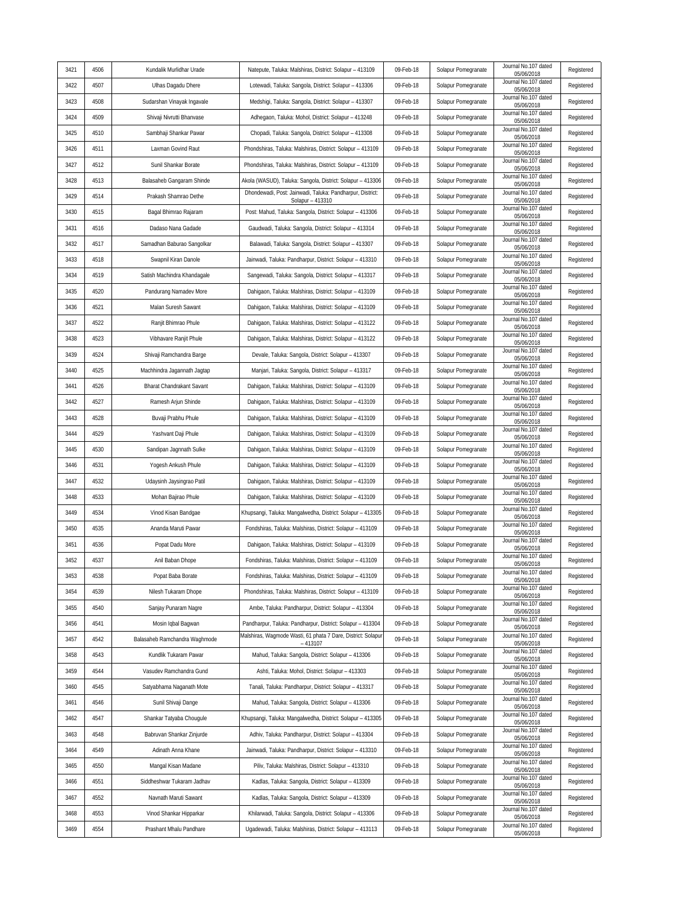| 3421 | 4506 | Kundalik Murlidhar Urade      | Natepute, Taluka: Malshiras, District: Solapur - 413109                       | 09-Feb-18 | Solapur Pomegranate | Journal No.107 dated<br>05/06/2018 | Registered |
|------|------|-------------------------------|-------------------------------------------------------------------------------|-----------|---------------------|------------------------------------|------------|
| 3422 | 4507 | Ulhas Dagadu Dhere            | Lotewadi, Taluka: Sangola, District: Solapur - 413306                         | 09-Feb-18 | Solapur Pomegranate | Journal No.107 dated<br>05/06/2018 | Registered |
| 3423 | 4508 | Sudarshan Vinayak Ingavale    | Medshigi, Taluka: Sangola, District: Solapur - 413307                         | 09-Feb-18 | Solapur Pomegranate | Journal No.107 dated<br>05/06/2018 | Registered |
| 3424 | 4509 | Shivaji Nivrutti Bhanvase     | Adhegaon, Taluka: Mohol, District: Solapur - 413248                           | 09-Feb-18 | Solapur Pomegranate | Journal No.107 dated<br>05/06/2018 | Registered |
| 3425 | 4510 | Sambhaji Shankar Pawar        | Chopadi, Taluka: Sangola, District: Solapur - 413308                          | 09-Feb-18 | Solapur Pomegranate | Journal No.107 dated<br>05/06/2018 | Registered |
| 3426 | 4511 | Laxman Govind Raut            | Phondshiras, Taluka: Malshiras, District: Solapur - 413109                    | 09-Feb-18 | Solapur Pomegranate | Journal No.107 dated<br>05/06/2018 | Registered |
| 3427 | 4512 | Sunil Shankar Borate          | Phondshiras, Taluka: Malshiras, District: Solapur - 413109                    | 09-Feb-18 | Solapur Pomegranate | Journal No.107 dated<br>05/06/2018 | Registered |
| 3428 | 4513 | Balasaheb Gangaram Shinde     | Akola (WASUD), Taluka: Sangola, District: Solapur - 413306                    | 09-Feb-18 | Solapur Pomegranate | Journal No.107 dated<br>05/06/2018 | Registered |
| 3429 | 4514 | Prakash Shamrao Dethe         | Dhondewadi, Post: Jainwadi, Taluka: Pandharpur, District:<br>Solapur - 413310 | 09-Feb-18 | Solapur Pomegranate | Journal No.107 dated<br>05/06/2018 | Registered |
| 3430 | 4515 | Bagal Bhimrao Rajaram         | Post: Mahud, Taluka: Sangola, District: Solapur - 413306                      | 09-Feb-18 | Solapur Pomegranate | Journal No.107 dated<br>05/06/2018 | Registered |
| 3431 | 4516 | Dadaso Nana Gadade            | Gaudwadi, Taluka: Sangola, District: Solapur - 413314                         | 09-Feb-18 | Solapur Pomegranate | Journal No.107 dated<br>05/06/2018 | Registered |
| 3432 | 4517 | Samadhan Baburao Sangolkar    | Balawadi, Taluka: Sangola, District: Solapur - 413307                         | 09-Feb-18 | Solapur Pomegranate | Journal No.107 dated<br>05/06/2018 | Registered |
| 3433 | 4518 | Swapnil Kiran Danole          | Jainwadi, Taluka: Pandharpur, District: Solapur - 413310                      | 09-Feb-18 | Solapur Pomegranate | Journal No.107 dated<br>05/06/2018 | Registered |
| 3434 | 4519 | Satish Machindra Khandagale   | Sangewadi, Taluka: Sangola, District: Solapur - 413317                        | 09-Feb-18 | Solapur Pomegranate | Journal No.107 dated<br>05/06/2018 | Registered |
| 3435 | 4520 | Pandurang Namadev More        | Dahigaon, Taluka: Malshiras, District: Solapur - 413109                       | 09-Feb-18 | Solapur Pomegranate | Journal No.107 dated<br>05/06/2018 | Registered |
| 3436 | 4521 | Malan Suresh Sawant           | Dahigaon, Taluka: Malshiras, District: Solapur - 413109                       | 09-Feb-18 | Solapur Pomegranate | Journal No.107 dated<br>05/06/2018 | Registered |
| 3437 | 4522 | Ranjit Bhimrao Phule          | Dahigaon, Taluka: Malshiras, District: Solapur - 413122                       | 09-Feb-18 | Solapur Pomegranate | Journal No.107 dated<br>05/06/2018 | Registered |
| 3438 | 4523 | Vibhavare Ranjit Phule        | Dahigaon, Taluka: Malshiras, District: Solapur - 413122                       | 09-Feb-18 | Solapur Pomegranate | Journal No.107 dated<br>05/06/2018 | Registered |
| 3439 | 4524 | Shivaji Ramchandra Barge      | Devale, Taluka: Sangola, District: Solapur - 413307                           | 09-Feb-18 | Solapur Pomegranate | Journal No.107 dated<br>05/06/2018 | Registered |
| 3440 | 4525 | Machhindra Jagannath Jagtap   | Manjari, Taluka: Sangola, District: Solapur - 413317                          | 09-Feb-18 | Solapur Pomegranate | Journal No.107 dated<br>05/06/2018 | Registered |
| 3441 | 4526 | Bharat Chandrakant Savant     | Dahigaon, Taluka: Malshiras, District: Solapur - 413109                       | 09-Feb-18 | Solapur Pomegranate | Journal No.107 dated<br>05/06/2018 | Registered |
| 3442 | 4527 | Ramesh Arjun Shinde           | Dahigaon, Taluka: Malshiras, District: Solapur - 413109                       | 09-Feb-18 | Solapur Pomegranate | Journal No.107 dated<br>05/06/2018 | Registered |
| 3443 | 4528 | Buvaji Prabhu Phule           | Dahigaon, Taluka: Malshiras, District: Solapur - 413109                       | 09-Feb-18 | Solapur Pomegranate | Journal No.107 dated<br>05/06/2018 | Registered |
| 3444 | 4529 | Yashvant Daji Phule           | Dahigaon, Taluka: Malshiras, District: Solapur - 413109                       | 09-Feb-18 | Solapur Pomegranate | Journal No.107 dated<br>05/06/2018 | Registered |
| 3445 | 4530 | Sandipan Jagnnath Sulke       | Dahigaon, Taluka: Malshiras, District: Solapur - 413109                       | 09-Feb-18 | Solapur Pomegranate | Journal No.107 dated<br>05/06/2018 | Registered |
| 3446 | 4531 | Yogesh Ankush Phule           | Dahigaon, Taluka: Malshiras, District: Solapur - 413109                       | 09-Feb-18 | Solapur Pomegranate | Journal No.107 dated<br>05/06/2018 | Registered |
| 3447 | 4532 | Udaysinh Jaysingrao Patil     | Dahigaon, Taluka: Malshiras, District: Solapur - 413109                       | 09-Feb-18 | Solapur Pomegranate | Journal No.107 dated<br>05/06/2018 | Registered |
| 3448 | 4533 | Mohan Bajirao Phule           | Dahigaon, Taluka: Malshiras, District: Solapur - 413109                       | 09-Feb-18 | Solapur Pomegranate | Journal No.107 dated<br>05/06/2018 | Registered |
| 3449 | 4534 | Vinod Kisan Bandgae           | Khupsangi, Taluka: Mangalwedha, District: Solapur - 413305                    | 09-Feb-18 | Solapur Pomegranate | Journal No.107 dated<br>05/06/2018 | Registered |
| 3450 | 4535 | Ananda Maruti Pawar           | Fondshiras, Taluka: Malshiras, District: Solapur - 413109                     | 09-Feb-18 | Solapur Pomegranate | Journal No.107 dated<br>05/06/2018 | Registered |
| 3451 | 4536 | Popat Dadu More               | Dahigaon, Taluka: Malshiras, District: Solapur - 413109                       | 09-Feb-18 | Solapur Pomegranate | Journal No.107 dated<br>05/06/2018 | Registered |
| 3452 | 4537 | Anil Baban Dhope              | Fondshiras, Taluka: Malshiras, District: Solapur - 413109                     | 09-Feb-18 | Solapur Pomegranate | Journal No.107 dated<br>05/06/2018 | Registered |
| 3453 | 4538 | Popat Baba Borate             | Fondshiras, Taluka: Malshiras, District: Solapur - 413109                     | 09-Feb-18 | Solapur Pomegranate | Journal No.107 dated<br>05/06/2018 | Registered |
| 3454 | 4539 | Nilesh Tukaram Dhope          | Phondshiras, Taluka: Malshiras, District: Solapur - 413109                    | 09-Feb-18 | Solapur Pomegranate | Journal No.107 dated<br>05/06/2018 | Registered |
| 3455 | 4540 | Sanjay Punaram Nagre          | Ambe, Taluka: Pandharpur, District: Solapur - 413304                          | 09-Feb-18 | Solapur Pomegranate | Journal No.107 dated<br>05/06/2018 | Registered |
| 3456 | 4541 | Mosin Iqbal Bagwan            | Pandharpur, Taluka: Pandharpur, District: Solapur - 413304                    | 09-Feb-18 | Solapur Pomegranate | Journal No.107 dated<br>05/06/2018 | Registered |
| 3457 | 4542 | Balasaheb Ramchandra Waghmode | Malshiras, Wagmode Wasti, 61 phata 7 Dare, District: Solapur<br>$-413107$     | 09-Feb-18 | Solapur Pomegranate | Journal No.107 dated<br>05/06/2018 | Registered |
| 3458 | 4543 | Kundlik Tukaram Pawar         | Mahud, Taluka: Sangola, District: Solapur - 413306                            | 09-Feb-18 | Solapur Pomegranate | Journal No.107 dated<br>05/06/2018 | Registered |
| 3459 | 4544 | Vasudev Ramchandra Gund       | Ashti, Taluka: Mohol, District: Solapur - 413303                              | 09-Feb-18 | Solapur Pomegranate | Journal No.107 dated<br>05/06/2018 | Registered |
| 3460 | 4545 | Satyabhama Naganath Mote      | Tanali, Taluka: Pandharpur, District: Solapur - 413317                        | 09-Feb-18 | Solapur Pomegranate | Journal No.107 dated<br>05/06/2018 | Registered |
| 3461 | 4546 | Sunil Shivaji Dange           | Mahud, Taluka: Sangola, District: Solapur - 413306                            | 09-Feb-18 | Solapur Pomegranate | Journal No.107 dated<br>05/06/2018 | Registered |
| 3462 | 4547 | Shankar Tatyaba Chougule      | Khupsangi, Taluka: Mangalwedha, District: Solapur - 413305                    | 09-Feb-18 | Solapur Pomegranate | Journal No.107 dated<br>05/06/2018 | Registered |
| 3463 | 4548 | Babruvan Shankar Zinjurde     | Adhiv, Taluka: Pandharpur, District: Solapur - 413304                         | 09-Feb-18 | Solapur Pomegranate | Journal No.107 dated<br>05/06/2018 | Registered |
| 3464 | 4549 | Adinath Anna Khane            | Jainwadi, Taluka: Pandharpur, District: Solapur - 413310                      | 09-Feb-18 | Solapur Pomegranate | Journal No.107 dated<br>05/06/2018 | Registered |
| 3465 | 4550 | Mangal Kisan Madane           | Piliv, Taluka: Malshiras, District: Solapur - 413310                          | 09-Feb-18 | Solapur Pomegranate | Journal No.107 dated<br>05/06/2018 | Registered |
| 3466 | 4551 | Siddheshwar Tukaram Jadhav    | Kadlas, Taluka: Sangola, District: Solapur - 413309                           | 09-Feb-18 | Solapur Pomegranate | Journal No.107 dated<br>05/06/2018 | Registered |
| 3467 | 4552 | Navnath Maruti Sawant         | Kadlas, Taluka: Sangola, District: Solapur - 413309                           | 09-Feb-18 | Solapur Pomegranate | Journal No.107 dated<br>05/06/2018 | Registered |
| 3468 | 4553 | Vinod Shankar Hipparkar       | Khilarwadi, Taluka: Sangola, District: Solapur - 413306                       | 09-Feb-18 | Solapur Pomegranate | Journal No.107 dated<br>05/06/2018 | Registered |
| 3469 | 4554 | Prashant Mhalu Pandhare       | Ugadewadi, Taluka: Malshiras, District: Solapur - 413113                      | 09-Feb-18 | Solapur Pomegranate | Journal No.107 dated<br>05/06/2018 | Registered |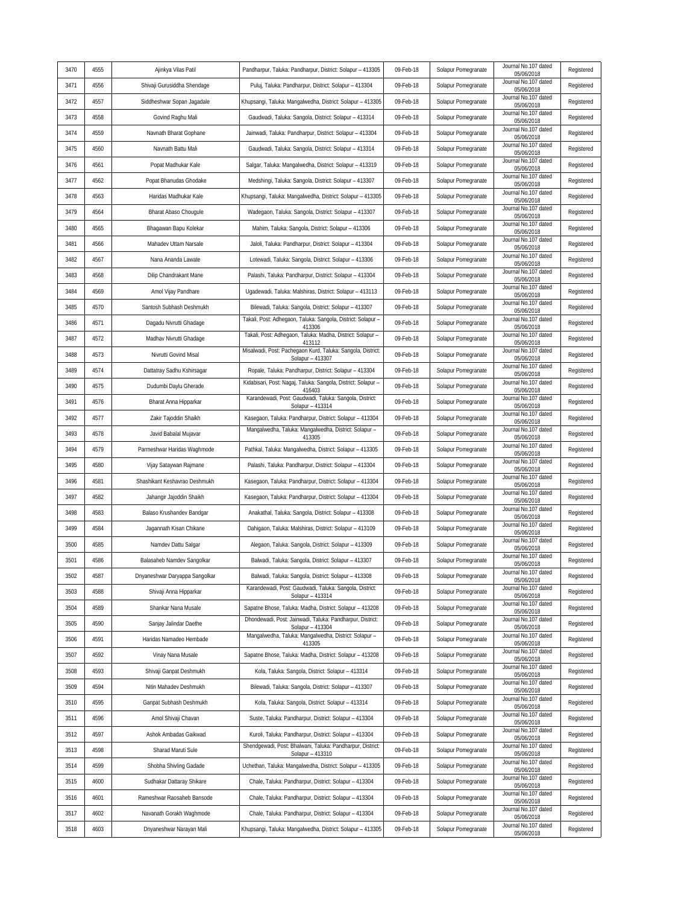| 3470 | 4555 | Ajinkya Vilas Patil            | Pandharpur, Taluka: Pandharpur, District: Solapur - 413305                      | 09-Feb-18 | Solapur Pomegranate | Journal No.107 dated<br>05/06/2018 | Registered |
|------|------|--------------------------------|---------------------------------------------------------------------------------|-----------|---------------------|------------------------------------|------------|
| 3471 | 4556 | Shivaji Gurusiddha Shendage    | Puluj, Taluka: Pandharpur, District: Solapur - 413304                           | 09-Feb-18 | Solapur Pomegranate | Journal No.107 dated<br>05/06/2018 | Registered |
| 3472 | 4557 | Siddheshwar Sopan Jagadale     | Khupsangi, Taluka: Mangalwedha, District: Solapur - 413305                      | 09-Feb-18 | Solapur Pomegranate | Journal No.107 dated<br>05/06/2018 | Registered |
| 3473 | 4558 | Govind Raghu Mali              | Gaudwadi, Taluka: Sangola, District: Solapur - 413314                           | 09-Feb-18 | Solapur Pomegranate | Journal No.107 dated<br>05/06/2018 | Registered |
| 3474 | 4559 | Navnath Bharat Gophane         | Jainwadi, Taluka: Pandharpur, District: Solapur - 413304                        | 09-Feb-18 | Solapur Pomegranate | Journal No.107 dated<br>05/06/2018 | Registered |
| 3475 | 4560 | Navnath Battu Mali             | Gaudwadi, Taluka: Sangola, District: Solapur - 413314                           | 09-Feb-18 | Solapur Pomegranate | Journal No.107 dated<br>05/06/2018 | Registered |
| 3476 | 4561 | Popat Madhukar Kale            | Salgar, Taluka: Mangalwedha, District: Solapur - 413319                         | 09-Feb-18 | Solapur Pomegranate | Journal No.107 dated<br>05/06/2018 | Registered |
| 3477 | 4562 | Popat Bhanudas Ghodake         | Medshingi, Taluka: Sangola, District: Solapur - 413307                          | 09-Feb-18 | Solapur Pomegranate | Journal No.107 dated<br>05/06/2018 | Registered |
| 3478 | 4563 | Haridas Madhukar Kale          | Khupsangi, Taluka: Mangalwedha, District: Solapur - 413305                      | 09-Feb-18 | Solapur Pomegranate | Journal No.107 dated<br>05/06/2018 | Registered |
| 3479 | 4564 | Bharat Abaso Chougule          | Wadegaon, Taluka: Sangola, District: Solapur - 413307                           | 09-Feb-18 | Solapur Pomegranate | Journal No.107 dated<br>05/06/2018 | Registered |
| 3480 | 4565 | Bhagawan Bapu Kolekar          | Mahim, Taluka: Sangola, District: Solapur - 413306                              | 09-Feb-18 | Solapur Pomegranate | Journal No.107 dated<br>05/06/2018 | Registered |
| 3481 | 4566 | Mahadev Uttam Narsale          | Jaloli, Taluka: Pandharpur, District: Solapur - 413304                          | 09-Feb-18 | Solapur Pomegranate | Journal No.107 dated<br>05/06/2018 | Registered |
| 3482 | 4567 | Nana Ananda Lawate             | Lotewadi, Taluka: Sangola, District: Solapur - 413306                           | 09-Feb-18 | Solapur Pomegranate | Journal No.107 dated<br>05/06/2018 | Registered |
| 3483 | 4568 | Dilip Chandrakant Mane         | Palashi, Taluka: Pandharpur, District: Solapur - 413304                         | 09-Feb-18 | Solapur Pomegranate | Journal No.107 dated<br>05/06/2018 | Registered |
| 3484 | 4569 | Amol Vijay Pandhare            | Ugadewadi, Taluka: Malshiras, District: Solapur - 413113                        | 09-Feb-18 | Solapur Pomegranate | Journal No.107 dated<br>05/06/2018 | Registered |
| 3485 | 4570 | Santosh Subhash Deshmukh       | Bilewadi, Taluka: Sangola, District: Solapur - 413307                           | 09-Feb-18 | Solapur Pomegranate | Journal No.107 dated<br>05/06/2018 | Registered |
| 3486 | 4571 | Dagadu Nivrutti Ghadage        | Takali, Post: Adhegaon, Taluka: Sangola, District: Solapur -<br>413306          | 09-Feb-18 | Solapur Pomegranate | Journal No.107 dated<br>05/06/2018 | Registered |
| 3487 | 4572 | Madhav Nivrutti Ghadage        | Takali, Post: Adhegaon, Taluka: Madha, District: Solapur -<br>413112            | 09-Feb-18 | Solapur Pomegranate | Journal No.107 dated<br>05/06/2018 | Registered |
| 3488 | 4573 | Nivrutti Govind Misal          | Misalwadi, Post: Pachegaon Kurd, Taluka: Sangola, District:<br>Solapur - 413307 | 09-Feb-18 | Solapur Pomegranate | Journal No.107 dated<br>05/06/2018 | Registered |
| 3489 | 4574 | Dattatray Sadhu Kshirsagar     | Ropale, Taluka: Pandharpur, District: Solapur - 413304                          | 09-Feb-18 | Solapur Pomegranate | Journal No.107 dated<br>05/06/2018 | Registered |
| 3490 | 4575 | Dudumbi Daylu Gherade          | Kidabisari, Post: Nagaj, Taluka: Sangola, District: Solapur -<br>416403         | 09-Feb-18 | Solapur Pomegranate | Journal No.107 dated<br>05/06/2018 | Registered |
| 3491 | 4576 | Bharat Anna Hipparkar          | Karandewadi, Post: Gaudwadi, Taluka: Sangola, District:<br>Solapur - 413314     | 09-Feb-18 | Solapur Pomegranate | Journal No.107 dated<br>05/06/2018 | Registered |
| 3492 | 4577 | Zakir Tajoddin Shaikh          | Kasegaon, Taluka: Pandharpur, District: Solapur - 413304                        | 09-Feb-18 | Solapur Pomegranate | Journal No.107 dated<br>05/06/2018 | Registered |
| 3493 | 4578 | Javid Babalal Mujavar          | Mangalwedha, Taluka: Mangalwedha, District: Solapur -<br>413305                 | 09-Feb-18 | Solapur Pomegranate | Journal No.107 dated<br>05/06/2018 | Registered |
| 3494 | 4579 | Parmeshwar Haridas Waghmode    | Pathkal, Taluka: Mangalwedha, District: Solapur - 413305                        | 09-Feb-18 | Solapur Pomegranate | Journal No.107 dated<br>05/06/2018 | Registered |
| 3495 | 4580 | Vijay Sataywan Rajmane         | Palashi, Taluka: Pandharpur, District: Solapur - 413304                         | 09-Feb-18 | Solapur Pomegranate | Journal No.107 dated<br>05/06/2018 | Registered |
| 3496 | 4581 | Shashikant Keshavrao Deshmukh  | Kasegaon, Taluka: Pandharpur, District: Solapur - 413304                        | 09-Feb-18 | Solapur Pomegranate | Journal No.107 dated<br>05/06/2018 | Registered |
| 3497 | 4582 | Jahangir Jajoddin Shaikh       | Kasegaon, Taluka: Pandharpur, District: Solapur - 413304                        | 09-Feb-18 | Solapur Pomegranate | Journal No.107 dated<br>05/06/2018 | Registered |
| 3498 | 4583 | Balaso Krushandev Bandgar      | Anakathal, Taluka: Sangola, District: Solapur - 413308                          | 09-Feb-18 | Solapur Pomegranate | Journal No.107 dated<br>05/06/2018 | Registered |
| 3499 | 4584 | Jagannath Kisan Chikane        | Dahigaon, Taluka: Malshiras, District: Solapur - 413109                         | 09-Feb-18 | Solapur Pomegranate | Journal No.107 dated<br>05/06/2018 | Registered |
| 3500 | 4585 | Namdev Dattu Salgar            | Alegaon, Taluka: Sangola, District: Solapur - 413309                            | 09-Feb-18 | Solapur Pomegranate | Journal No.107 dated<br>05/06/2018 | Registered |
| 3501 | 4586 | Balasaheb Namdev Sangolkar     | Balwadi, Taluka: Sangola, District: Solapur - 413307                            | 09-Feb-18 | Solapur Pomegranate | Journal No.107 dated<br>05/06/2018 | Registered |
| 3502 | 4587 | Dnyaneshwar Daryappa Sangolkar | Balwadi, Taluka: Sangola, District: Solapur - 413308                            | 09-Feb-18 | Solapur Pomegranate | Journal No.107 dated<br>05/06/2018 | Registered |
| 3503 | 4588 | Shivaji Anna Hipparkar         | Karandewadi, Post: Gaudwadi, Taluka: Sangola, District:<br>Solapur - 413314     | 09-Feb-18 | Solapur Pomegranate | Journal No.107 dated<br>05/06/2018 | Registered |
| 3504 | 4589 | Shankar Nana Musale            | Sapatne Bhose, Taluka: Madha, District: Solapur - 413208                        | 09-Feb-18 | Solapur Pomegranate | Journal No.107 dated<br>05/06/2018 | Registered |
| 3505 | 4590 | Sanjay Jalindar Daethe         | Dhondewadi, Post: Jainwadi, Taluka: Pandharpur, District:<br>Solapur - 413304   | 09-Feb-18 | Solapur Pomegranate | Journal No.107 dated<br>05/06/2018 | Registered |
| 3506 | 4591 | Haridas Namadeo Hembade        | Mangalwedha, Taluka: Mangalwedha, District: Solapur -<br>413305                 | 09-Feb-18 | Solapur Pomegranate | Journal No.107 dated<br>05/06/2018 | Registered |
| 3507 | 4592 | Vinay Nana Musale              | Sapatne Bhose, Taluka: Madha, District: Solapur - 413208                        | 09-Feb-18 | Solapur Pomegranate | Journal No.107 dated<br>05/06/2018 | Registered |
| 3508 | 4593 | Shivaji Ganpat Deshmukh        | Kola, Taluka: Sangola, District: Solapur - 413314                               | 09-Feb-18 | Solapur Pomegranate | Journal No.107 dated<br>05/06/2018 | Registered |
| 3509 | 4594 | Nitin Mahadev Deshmukh         | Bilewadi, Taluka: Sangola, District: Solapur - 413307                           | 09-Feb-18 | Solapur Pomegranate | Journal No.107 dated<br>05/06/2018 | Registered |
| 3510 | 4595 | Ganpat Subhash Deshmukh        | Kola, Taluka: Sangola, District: Solapur - 413314                               | 09-Feb-18 | Solapur Pomegranate | Journal No.107 dated<br>05/06/2018 | Registered |
| 3511 | 4596 | Amol Shivaji Chavan            | Suste, Taluka: Pandharpur, District: Solapur - 413304                           | 09-Feb-18 | Solapur Pomegranate | Journal No.107 dated<br>05/06/2018 | Registered |
| 3512 | 4597 | Ashok Ambadas Gaikwad          | Kuroli, Taluka: Pandharpur, District: Solapur - 413304                          | 09-Feb-18 | Solapur Pomegranate | Journal No.107 dated<br>05/06/2018 | Registered |
| 3513 | 4598 | Sharad Maruti Sule             | Shendgewadi, Post: Bhalwani, Taluka: Pandharpur, District:<br>Solapur - 413310  | 09-Feb-18 | Solapur Pomegranate | Journal No.107 dated<br>05/06/2018 | Registered |
| 3514 | 4599 | Shobha Shivling Gadade         | Uchethan, Taluka: Mangalwedha, District: Solapur - 413305                       | 09-Feb-18 | Solapur Pomegranate | Journal No.107 dated<br>05/06/2018 | Registered |
| 3515 | 4600 | Sudhakar Dattaray Shikare      | Chale, Taluka: Pandharpur, District: Solapur - 413304                           | 09-Feb-18 | Solapur Pomegranate | Journal No.107 dated<br>05/06/2018 | Registered |
| 3516 | 4601 | Rameshwar Raosaheb Bansode     | Chale, Taluka: Pandharpur, District: Solapur - 413304                           | 09-Feb-18 | Solapur Pomegranate | Journal No.107 dated<br>05/06/2018 | Registered |
| 3517 | 4602 | Navanath Gorakh Waghmode       | Chale, Taluka: Pandharpur, District: Solapur - 413304                           | 09-Feb-18 | Solapur Pomegranate | Journal No.107 dated<br>05/06/2018 | Registered |
| 3518 | 4603 | Dnyaneshwar Narayan Mali       | Khupsangi, Taluka: Mangalwedha, District: Solapur - 413305                      | 09-Feb-18 | Solapur Pomegranate | Journal No.107 dated<br>05/06/2018 | Registered |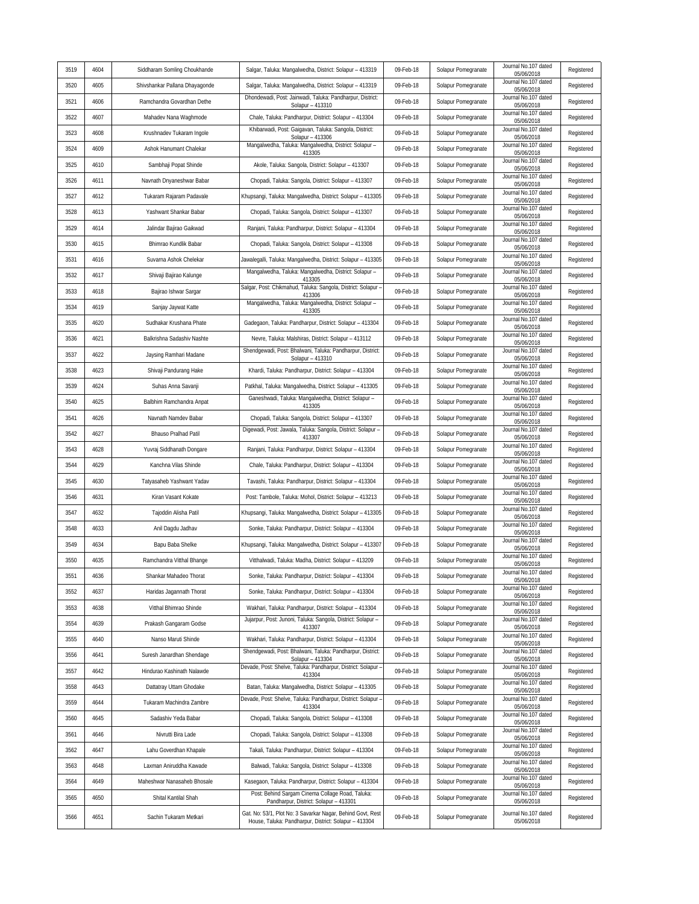| 3519 | 4604 | Siddharam Somling Choukhande   | Salgar, Taluka: Mangalwedha, District: Solapur - 413319                                                              | 09-Feb-18 | Solapur Pomegranate | Journal No.107 dated<br>05/06/2018 | Registered |
|------|------|--------------------------------|----------------------------------------------------------------------------------------------------------------------|-----------|---------------------|------------------------------------|------------|
| 3520 | 4605 | Shivshankar Pallana Dhayagonde | Salgar, Taluka: Mangalwedha, District: Solapur - 413319                                                              | 09-Feb-18 | Solapur Pomegranate | Journal No.107 dated<br>05/06/2018 | Registered |
| 3521 | 4606 | Ramchandra Govardhan Dethe     | Dhondewadi, Post: Jainwadi, Taluka: Pandharpur, District:<br>Solapur - 413310                                        | 09-Feb-18 | Solapur Pomegranate | Journal No.107 dated<br>05/06/2018 | Registered |
| 3522 | 4607 | Mahadev Nana Waghmode          | Chale, Taluka: Pandharpur, District: Solapur - 413304                                                                | 09-Feb-18 | Solapur Pomegranate | Journal No.107 dated<br>05/06/2018 | Registered |
| 3523 | 4608 | Krushnadev Tukaram Ingole      | Khibarwadi, Post: Gaigavan, Taluka: Sangola, District:<br>Solapur - 413306                                           | 09-Feb-18 | Solapur Pomegranate | Journal No.107 dated<br>05/06/2018 | Registered |
| 3524 | 4609 | Ashok Hanumant Chalekar        | Mangalwedha, Taluka: Mangalwedha, District: Solapur -<br>413305                                                      | 09-Feb-18 | Solapur Pomegranate | Journal No.107 dated<br>05/06/2018 | Registered |
| 3525 | 4610 | Sambhaji Popat Shinde          | Akole, Taluka: Sangola, District: Solapur - 413307                                                                   | 09-Feb-18 | Solapur Pomegranate | Journal No.107 dated<br>05/06/2018 | Registered |
| 3526 | 4611 | Navnath Dnyaneshwar Babar      | Chopadi, Taluka: Sangola, District: Solapur - 413307                                                                 | 09-Feb-18 | Solapur Pomegranate | Journal No.107 dated<br>05/06/2018 | Registered |
| 3527 | 4612 | Tukaram Rajaram Padavale       | Khupsangi, Taluka: Mangalwedha, District: Solapur - 413305                                                           | 09-Feb-18 | Solapur Pomegranate | Journal No.107 dated<br>05/06/2018 | Registered |
| 3528 | 4613 | Yashwant Shankar Babar         | Chopadi, Taluka: Sangola, District: Solapur - 413307                                                                 | 09-Feb-18 | Solapur Pomegranate | Journal No.107 dated<br>05/06/2018 | Registered |
| 3529 | 4614 | Jalindar Bajirao Gaikwad       | Ranjani, Taluka: Pandharpur, District: Solapur - 413304                                                              | 09-Feb-18 | Solapur Pomegranate | Journal No.107 dated<br>05/06/2018 | Registered |
| 3530 | 4615 | Bhimrao Kundlik Babar          | Chopadi, Taluka: Sangola, District: Solapur - 413308                                                                 | 09-Feb-18 | Solapur Pomegranate | Journal No.107 dated<br>05/06/2018 | Registered |
| 3531 | 4616 | Suvarna Ashok Chelekar         | Jawalegalli, Taluka: Mangalwedha, District: Solapur - 413305                                                         | 09-Feb-18 | Solapur Pomegranate | Journal No.107 dated<br>05/06/2018 | Registered |
| 3532 | 4617 | Shivaji Bajirao Kalunge        | Mangalwedha, Taluka: Mangalwedha, District: Solapur -<br>413305                                                      | 09-Feb-18 | Solapur Pomegranate | Journal No.107 dated<br>05/06/2018 | Registered |
| 3533 | 4618 | Bajirao Ishwar Sargar          | Salgar, Post: Chikmahud, Taluka: Sangola, District: Solapur -<br>413306                                              | 09-Feb-18 | Solapur Pomegranate | Journal No.107 dated<br>05/06/2018 | Registered |
| 3534 | 4619 | Sanjay Jaywat Katte            | Mangalwedha, Taluka: Mangalwedha, District: Solapur -<br>413305                                                      | 09-Feb-18 | Solapur Pomegranate | Journal No.107 dated<br>05/06/2018 | Registered |
| 3535 | 4620 | Sudhakar Krushana Phate        | Gadegaon, Taluka: Pandharpur, District: Solapur - 413304                                                             | 09-Feb-18 | Solapur Pomegranate | Journal No.107 dated<br>05/06/2018 | Registered |
| 3536 | 4621 | Balkrishna Sadashiv Nashte     | Nevre, Taluka: Malshiras, District: Solapur - 413112                                                                 | 09-Feb-18 | Solapur Pomegranate | Journal No.107 dated<br>05/06/2018 | Registered |
| 3537 | 4622 | Jaysing Ramhari Madane         | Shendqewadi, Post: Bhalwani, Taluka: Pandharpur, District:<br>Solapur - 413310                                       | 09-Feb-18 | Solapur Pomegranate | Journal No.107 dated<br>05/06/2018 | Registered |
| 3538 | 4623 | Shivaji Pandurang Hake         | Khardi, Taluka: Pandharpur, District: Solapur - 413304                                                               | 09-Feb-18 | Solapur Pomegranate | Journal No.107 dated<br>05/06/2018 | Registered |
| 3539 | 4624 | Suhas Anna Savanji             | Patkhal, Taluka: Mangalwedha, District: Solapur - 413305                                                             | 09-Feb-18 | Solapur Pomegranate | Journal No.107 dated<br>05/06/2018 | Registered |
| 3540 | 4625 | Balbhim Ramchandra Anpat       | Ganeshwadi, Taluka: Mangalwedha, District: Solapur -<br>413305                                                       | 09-Feb-18 | Solapur Pomegranate | Journal No.107 dated<br>05/06/2018 | Registered |
| 3541 | 4626 | Navnath Namdev Babar           | Chopadi, Taluka: Sangola, District: Solapur - 413307                                                                 | 09-Feb-18 | Solapur Pomegranate | Journal No.107 dated<br>05/06/2018 | Registered |
| 3542 | 4627 | Bhauso Pralhad Patil           | Digewadi, Post: Jawala, Taluka: Sangola, District: Solapur -<br>413307                                               | 09-Feb-18 | Solapur Pomegranate | Journal No.107 dated<br>05/06/2018 | Registered |
| 3543 | 4628 | Yuvraj Siddhanath Dongare      | Ranjani, Taluka: Pandharpur, District: Solapur - 413304                                                              | 09-Feb-18 | Solapur Pomegranate | Journal No.107 dated<br>05/06/2018 | Registered |
| 3544 | 4629 | Kanchna Vilas Shinde           | Chale, Taluka: Pandharpur, District: Solapur - 413304                                                                | 09-Feb-18 | Solapur Pomegranate | Journal No.107 dated<br>05/06/2018 | Registered |
| 3545 | 4630 | Tatyasaheb Yashwant Yadav      | Tavashi, Taluka: Pandharpur, District: Solapur - 413304                                                              | 09-Feb-18 | Solapur Pomegranate | Journal No.107 dated<br>05/06/2018 | Registered |
| 3546 | 4631 | Kiran Vasant Kokate            | Post: Tambole, Taluka: Mohol, District: Solapur - 413213                                                             | 09-Feb-18 | Solapur Pomegranate | Journal No.107 dated<br>05/06/2018 | Registered |
| 3547 | 4632 | Tajoddin Alisha Patil          | Khupsangi, Taluka: Mangalwedha, District: Solapur - 413305                                                           | 09-Feb-18 | Solapur Pomegranate | Journal No.107 dated<br>05/06/2018 | Registered |
| 3548 | 4633 | Anil Dagdu Jadhav              | Sonke, Taluka: Pandharpur, District: Solapur - 413304                                                                | 09-Feb-18 | Solapur Pomegranate | Journal No.107 dated<br>05/06/2018 | Registered |
| 3549 | 4634 | Bapu Baba Shelke               | Khupsangi, Taluka: Mangalwedha, District: Solapur - 413307                                                           | 09-Feb-18 | Solapur Pomegranate | Journal No.107 dated<br>05/06/2018 | Registered |
| 3550 | 4635 | Ramchandra Vitthal Bhange      | Vitthalwadi, Taluka: Madha, District: Solapur - 413209                                                               | 09-Feb-18 | Solapur Pomegranate | Journal No.107 dated<br>05/06/2018 | Registered |
| 3551 | 4636 | Shankar Mahadeo Thorat         | Sonke, Taluka: Pandharpur, District: Solapur - 413304                                                                | 09-Feb-18 | Solapur Pomegranate | Journal No.107 dated<br>05/06/2018 | Registered |
| 3552 | 4637 | Haridas Jagannath Thorat       | Sonke, Taluka: Pandharpur, District: Solapur - 413304                                                                | 09-Feb-18 | Solapur Pomegranate | Journal No.107 dated<br>05/06/2018 | Registered |
| 3553 | 4638 | Vitthal Bhimrao Shinde         | Wakhari, Taluka: Pandharpur, District: Solapur - 413304                                                              | 09-Feb-18 | Solapur Pomegranate | Journal No.107 dated<br>05/06/2018 | Registered |
| 3554 | 4639 | Prakash Gangaram Godse         | Jujarpur, Post: Junoni, Taluka: Sangola, District: Solapur -<br>413307                                               | 09-Feb-18 | Solapur Pomegranate | Journal No.107 dated<br>05/06/2018 | Registered |
| 3555 | 4640 | Nanso Maruti Shinde            | Wakhari, Taluka: Pandharpur, District: Solapur - 413304                                                              | 09-Feb-18 | Solapur Pomegranate | Journal No.107 dated<br>05/06/2018 | Registered |
| 3556 | 4641 | Suresh Janardhan Shendage      | Shendgewadi, Post: Bhalwani, Taluka: Pandharpur, District:<br>Solapur - 413304                                       | 09-Feb-18 | Solapur Pomegranate | Journal No.107 dated<br>05/06/2018 | Registered |
| 3557 | 4642 | Hindurao Kashinath Nalawde     | Devade, Post: Shelve, Taluka: Pandharpur, District: Solapur -<br>413304                                              | 09-Feb-18 | Solapur Pomegranate | Journal No.107 dated<br>05/06/2018 | Registered |
| 3558 | 4643 | Dattatray Uttam Ghodake        | Batan, Taluka: Mangalwedha, District: Solapur - 413305                                                               | 09-Feb-18 | Solapur Pomegranate | Journal No.107 dated<br>05/06/2018 | Registered |
| 3559 | 4644 | Tukaram Machindra Zambre       | Devade, Post: Shelve, Taluka: Pandharpur, District: Solapur -<br>413304                                              | 09-Feb-18 | Solapur Pomegranate | Journal No.107 dated<br>05/06/2018 | Registered |
| 3560 | 4645 | Sadashiv Yeda Babar            | Chopadi, Taluka: Sangola, District: Solapur - 413308                                                                 | 09-Feb-18 | Solapur Pomegranate | Journal No.107 dated<br>05/06/2018 | Registered |
| 3561 | 4646 | Nivrutti Bira Lade             | Chopadi, Taluka: Sangola, District: Solapur - 413308                                                                 | 09-Feb-18 | Solapur Pomegranate | Journal No.107 dated<br>05/06/2018 | Registered |
| 3562 | 4647 | Lahu Goverdhan Khapale         | Takali, Taluka: Pandharpur, District: Solapur - 413304                                                               | 09-Feb-18 | Solapur Pomegranate | Journal No.107 dated<br>05/06/2018 | Registered |
| 3563 | 4648 | Laxman Aniruddha Kawade        | Balwadi, Taluka: Sangola, District: Solapur - 413308                                                                 | 09-Feb-18 | Solapur Pomegranate | Journal No.107 dated<br>05/06/2018 | Registered |
| 3564 | 4649 | Maheshwar Nanasaheb Bhosale    | Kasegaon, Taluka: Pandharpur, District: Solapur - 413304                                                             | 09-Feb-18 | Solapur Pomegranate | Journal No.107 dated<br>05/06/2018 | Registered |
| 3565 | 4650 | Shital Kantilal Shah           | Post: Behind Sargam Cinema Collage Road, Taluka:<br>Pandharpur, District: Solapur - 413301                           | 09-Feb-18 | Solapur Pomegranate | Journal No.107 dated<br>05/06/2018 | Registered |
| 3566 | 4651 | Sachin Tukaram Metkari         | Gat. No: 53/1, Plot No: 3 Savarkar Nagar, Behind Govt, Rest<br>House, Taluka: Pandharpur, District: Solapur - 413304 | 09-Feb-18 | Solapur Pomegranate | Journal No.107 dated<br>05/06/2018 | Registered |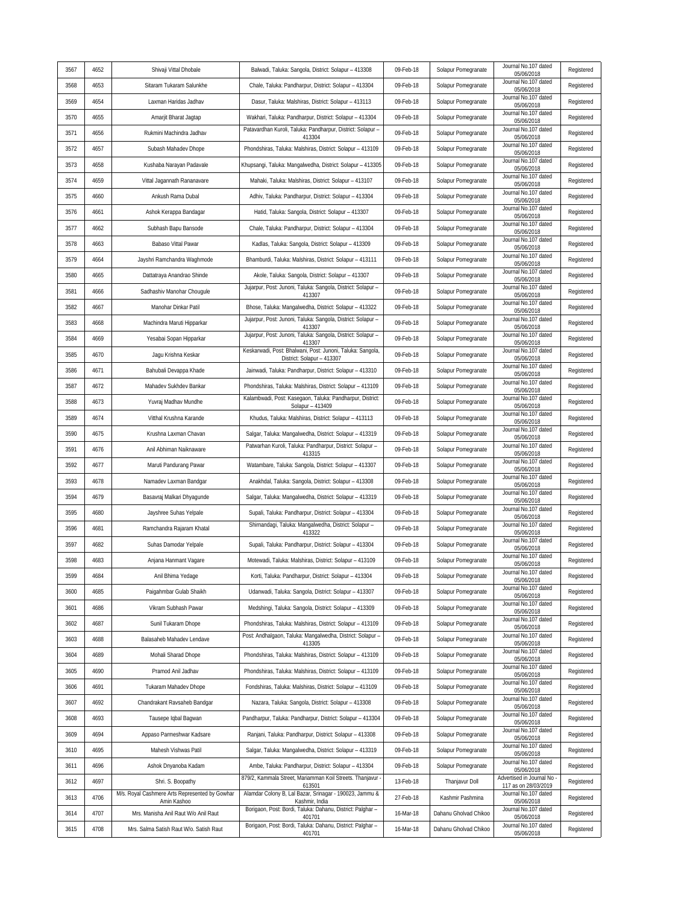| 3567 | 4652 | Shivaji Vittal Dhobale                                              | Balwadi, Taluka: Sangola, District: Solapur - 413308                                                               | 09-Feb-18 | Solapur Pomegranate   | Journal No.107 dated<br>05/06/2018                         | Registered |
|------|------|---------------------------------------------------------------------|--------------------------------------------------------------------------------------------------------------------|-----------|-----------------------|------------------------------------------------------------|------------|
| 3568 | 4653 | Sitaram Tukaram Salunkhe                                            | Chale, Taluka: Pandharpur, District: Solapur - 413304                                                              | 09-Feb-18 | Solapur Pomegranate   | Journal No.107 dated<br>05/06/2018                         | Registered |
| 3569 | 4654 | Laxman Haridas Jadhav                                               | Dasur, Taluka: Malshiras, District: Solapur - 413113                                                               | 09-Feb-18 | Solapur Pomegranate   | Journal No.107 dated<br>05/06/2018                         | Registered |
| 3570 | 4655 | Amarjit Bharat Jagtap                                               | Wakhari, Taluka: Pandharpur, District: Solapur - 413304                                                            | 09-Feb-18 | Solapur Pomegranate   | Journal No.107 dated<br>05/06/2018                         | Registered |
| 3571 | 4656 | Rukmini Machindra Jadhav                                            | Patavardhan Kuroli, Taluka: Pandharpur, District: Solapur -<br>413304                                              | 09-Feb-18 | Solapur Pomegranate   | Journal No.107 dated<br>05/06/2018                         | Registered |
| 3572 | 4657 | Subash Mahadev Dhope                                                | Phondshiras, Taluka: Malshiras, District: Solapur - 413109                                                         | 09-Feb-18 | Solapur Pomegranate   | Journal No.107 dated<br>05/06/2018                         | Registered |
| 3573 | 4658 | Kushaba Narayan Padavale                                            | Khupsangi, Taluka: Mangalwedha, District: Solapur - 413305                                                         | 09-Feb-18 | Solapur Pomegranate   | Journal No.107 dated<br>05/06/2018                         | Registered |
| 3574 | 4659 | Vittal Jagannath Rananavare                                         | Mahaki, Taluka: Malshiras, District: Solapur - 413107                                                              | 09-Feb-18 | Solapur Pomegranate   | Journal No.107 dated<br>05/06/2018                         | Registered |
| 3575 | 4660 | Ankush Rama Dubal                                                   | Adhiv, Taluka: Pandharpur, District: Solapur - 413304                                                              | 09-Feb-18 | Solapur Pomegranate   | Journal No.107 dated<br>05/06/2018                         | Registered |
| 3576 | 4661 | Ashok Kerappa Bandagar                                              | Hatid, Taluka: Sangola, District: Solapur - 413307                                                                 | 09-Feb-18 | Solapur Pomegranate   | Journal No.107 dated<br>05/06/2018                         | Registered |
| 3577 | 4662 | Subhash Bapu Bansode                                                | Chale, Taluka: Pandharpur, District: Solapur - 413304                                                              | 09-Feb-18 | Solapur Pomegranate   | Journal No.107 dated<br>05/06/2018                         | Registered |
| 3578 | 4663 | Babaso Vittal Pawar                                                 | Kadlas, Taluka: Sangola, District: Solapur - 413309                                                                | 09-Feb-18 | Solapur Pomegranate   | Journal No.107 dated<br>05/06/2018                         | Registered |
| 3579 | 4664 | Jayshri Ramchandra Waghmode                                         | Bhamburdi, Taluka: Malshiras, District: Solapur - 413111                                                           | 09-Feb-18 | Solapur Pomegranate   | Journal No.107 dated<br>05/06/2018                         | Registered |
| 3580 | 4665 | Dattatraya Anandrao Shinde                                          | Akole, Taluka: Sangola, District: Solapur - 413307                                                                 | 09-Feb-18 | Solapur Pomegranate   | Journal No.107 dated<br>05/06/2018                         | Registered |
| 3581 | 4666 | Sadhashiv Manohar Chouqule                                          | Jujarpur, Post: Junoni, Taluka: Sangola, District: Solapur -<br>413307                                             | 09-Feb-18 | Solapur Pomegranate   | Journal No.107 dated<br>05/06/2018                         | Registered |
| 3582 | 4667 | Manohar Dinkar Patil                                                | Bhose, Taluka: Mangalwedha, District: Solapur - 413322                                                             | 09-Feb-18 | Solapur Pomegranate   | Journal No.107 dated<br>05/06/2018                         | Registered |
| 3583 | 4668 | Machindra Maruti Hipparkar                                          | Jujarpur, Post: Junoni, Taluka: Sangola, District: Solapur -<br>413307                                             | 09-Feb-18 | Solapur Pomegranate   | Journal No.107 dated<br>05/06/2018                         | Registered |
| 3584 | 4669 | Yesabai Sopan Hipparkar                                             | Jujarpur, Post: Junoni, Taluka: Sangola, District: Solapur -<br>413307                                             | 09-Feb-18 | Solapur Pomegranate   | Journal No.107 dated<br>05/06/2018                         | Registered |
| 3585 | 4670 | Jagu Krishna Keskar                                                 | Keskarwadi, Post: Bhalwani, Post: Junoni, Taluka: Sangola,<br>District: Solapur - 413307                           | 09-Feb-18 | Solapur Pomegranate   | Journal No.107 dated<br>05/06/2018                         | Registered |
| 3586 | 4671 | Bahubali Devappa Khade                                              | Jainwadi, Taluka: Pandharpur, District: Solapur - 413310                                                           | 09-Feb-18 | Solapur Pomegranate   | Journal No.107 dated<br>05/06/2018                         | Registered |
| 3587 | 4672 | Mahadev Sukhdev Bankar                                              | Phondshiras, Taluka: Malshiras, District: Solapur - 413109                                                         | 09-Feb-18 | Solapur Pomegranate   | Journal No.107 dated<br>05/06/2018                         | Registered |
| 3588 | 4673 | Yuvraj Madhav Mundhe                                                | Kalambwadi, Post: Kasegaon, Taluka: Pandharpur, District:<br>Solapur - 413409                                      | 09-Feb-18 | Solapur Pomegranate   | Journal No.107 dated<br>05/06/2018                         | Registered |
| 3589 | 4674 | Vitthal Krushna Karande                                             | Khudus, Taluka: Malshiras, District: Solapur - 413113                                                              | 09-Feb-18 | Solapur Pomegranate   | Journal No.107 dated<br>05/06/2018                         | Registered |
| 3590 | 4675 | Krushna Laxman Chavan                                               | Salgar, Taluka: Mangalwedha, District: Solapur - 413319                                                            | 09-Feb-18 | Solapur Pomegranate   | Journal No.107 dated<br>05/06/2018                         | Registered |
| 3591 | 4676 | Anil Abhiman Naiknaware                                             | Patwarhan Kuroli, Taluka: Pandharpur, District: Solapur -<br>413315                                                | 09-Feb-18 | Solapur Pomegranate   | Journal No.107 dated<br>05/06/2018                         | Registered |
| 3592 | 4677 | Maruti Pandurang Pawar                                              | Watambare, Taluka: Sangola, District: Solapur - 413307                                                             | 09-Feb-18 | Solapur Pomegranate   | Journal No.107 dated<br>05/06/2018                         | Registered |
| 3593 | 4678 | Namadev Laxman Bandgar                                              | Anakhdal, Taluka: Sangola, District: Solapur - 413308                                                              | 09-Feb-18 | Solapur Pomegranate   | Journal No.107 dated<br>05/06/2018                         | Registered |
| 3594 | 4679 | Basavraj Malkari Dhyagunde                                          | Salgar, Taluka: Mangalwedha, District: Solapur - 413319                                                            | 09-Feb-18 | Solapur Pomegranate   | Journal No.107 dated<br>05/06/2018                         | Registered |
| 3595 | 4680 | Jayshree Suhas Yelpale                                              | Supali, Taluka: Pandharpur, District: Solapur - 413304                                                             | 09-Feb-18 | Solapur Pomegranate   | Journal No.107 dated<br>05/06/2018                         | Registered |
| 3596 | 4681 | Ramchandra Rajaram Khatal                                           | Shirnandagi, Taluka: Mangalwedha, District: Solapur -<br>413322                                                    | 09-Feb-18 | Solapur Pomegranate   | Journal No.107 dated<br>05/06/2018                         | Registered |
| 3597 | 4682 | Suhas Damodar Yelpale                                               | Supali, Taluka: Pandharpur, District: Solapur - 413304                                                             | 09-Feb-18 | Solapur Pomegranate   | Journal No.107 dated<br>05/06/2018                         | Registered |
| 3598 | 4683 | Anjana Hanmant Vagare                                               | Motewadi, Taluka: Malshiras, District: Solapur - 413109                                                            | 09-Feb-18 | Solapur Pomegranate   | Journal No.107 dated<br>05/06/2018                         | Registered |
| 3599 | 4684 | Anil Bhima Yedage                                                   | Korti, Taluka: Pandharpur, District: Solapur - 413304                                                              | 09-Feb-18 | Solapur Pomegranate   | Journal No.107 dated<br>05/06/2018                         | Registered |
| 3600 | 4685 | Paigahmbar Gulab Shaikh                                             | Udanwadi, Taluka: Sangola, District: Solapur - 413307                                                              | 09-Feb-18 | Solapur Pomegranate   | Journal No.107 dated<br>05/06/2018                         | Registered |
| 3601 | 4686 | Vikram Subhash Pawar                                                | Medshingi, Taluka: Sangola, District: Solapur - 413309                                                             | 09-Feb-18 | Solapur Pomegranate   | Journal No.107 dated<br>05/06/2018                         | Registered |
| 3602 | 4687 | Sunil Tukaram Dhope                                                 | Phondshiras, Taluka: Malshiras, District: Solapur - 413109                                                         | 09-Feb-18 | Solapur Pomegranate   | Journal No.107 dated<br>05/06/2018                         | Registered |
| 3603 | 4688 | Balasaheb Mahadev Lendave                                           | Post: Andhalgaon, Taluka: Mangalwedha, District: Solapur -<br>413305                                               | 09-Feb-18 | Solapur Pomegranate   | Journal No.107 dated<br>05/06/2018                         | Registered |
| 3604 | 4689 | Mohali Sharad Dhope                                                 | Phondshiras, Taluka: Malshiras, District: Solapur - 413109                                                         | 09-Feb-18 | Solapur Pomegranate   | Journal No.107 dated<br>05/06/2018                         | Registered |
| 3605 | 4690 | Pramod Anil Jadhav                                                  | Phondshiras, Taluka: Malshiras, District: Solapur - 413109                                                         | 09-Feb-18 | Solapur Pomegranate   | Journal No.107 dated<br>05/06/2018                         | Registered |
| 3606 | 4691 | Tukaram Mahadev Dhope                                               | Fondshiras, Taluka: Malshiras, District: Solapur - 413109                                                          | 09-Feb-18 | Solapur Pomegranate   | Journal No.107 dated<br>05/06/2018<br>Journal No.107 dated | Registered |
| 3607 | 4692 | Chandrakant Ravsaheb Bandgar                                        | Nazara, Taluka: Sangola, District: Solapur - 413308                                                                | 09-Feb-18 | Solapur Pomegranate   | 05/06/2018                                                 | Registered |
| 3608 | 4693 | Tausepe Iqbal Bagwan                                                | Pandharpur, Taluka: Pandharpur, District: Solapur - 413304                                                         | 09-Feb-18 | Solapur Pomegranate   | Journal No.107 dated<br>05/06/2018<br>Journal No.107 dated | Registered |
| 3609 | 4694 | Appaso Parmeshwar Kadsare                                           | Ranjani, Taluka: Pandharpur, District: Solapur - 413308                                                            | 09-Feb-18 | Solapur Pomegranate   | 05/06/2018<br>Journal No.107 dated                         | Registered |
| 3610 | 4695 | Mahesh Vishwas Patil                                                | Salgar, Taluka: Mangalwedha, District: Solapur - 413319                                                            | 09-Feb-18 | Solapur Pomegranate   | 05/06/2018<br>Journal No.107 dated                         | Registered |
| 3611 | 4696 | Ashok Dnyanoba Kadam                                                | Ambe, Taluka: Pandharpur, District: Solapur - 413304<br>879/2, Kammala Street, Mariamman Koil Streets. Thanjavur - | 09-Feb-18 | Solapur Pomegranate   | 05/06/2018<br>Advertised in Journal No                     | Registered |
| 3612 | 4697 | Shri. S. Boopathy<br>M/s. Royal Cashmere Arts Represented by Gowhar | 613501<br>Alamdar Colony B, Lal Bazar, Srinagar - 190023, Jammu &                                                  | 13-Feb-18 | Thanjavur Doll        | 117 as on 28/03/2019<br>Journal No.107 dated               | Registered |
| 3613 | 4706 | Amin Kashoo                                                         | Kashmir, India<br>Borigaon, Post: Bordi, Taluka: Dahanu, District: Palghar -                                       | 27-Feb-18 | Kashmir Pashmina      | 05/06/2018<br>Journal No.107 dated                         | Registered |
| 3614 | 4707 | Mrs. Manisha Anil Raut W/o Anil Raut                                | 401701<br>Borigaon, Post: Bordi, Taluka: Dahanu, District: Palghar -                                               | 16-Mar-18 | Dahanu Gholvad Chikoo | 05/06/2018<br>Journal No.107 dated                         | Registered |
| 3615 | 4708 | Mrs. Salma Satish Raut W/o. Satish Raut                             | 401701                                                                                                             | 16-Mar-18 | Dahanu Gholvad Chikoo | 05/06/2018                                                 | Registered |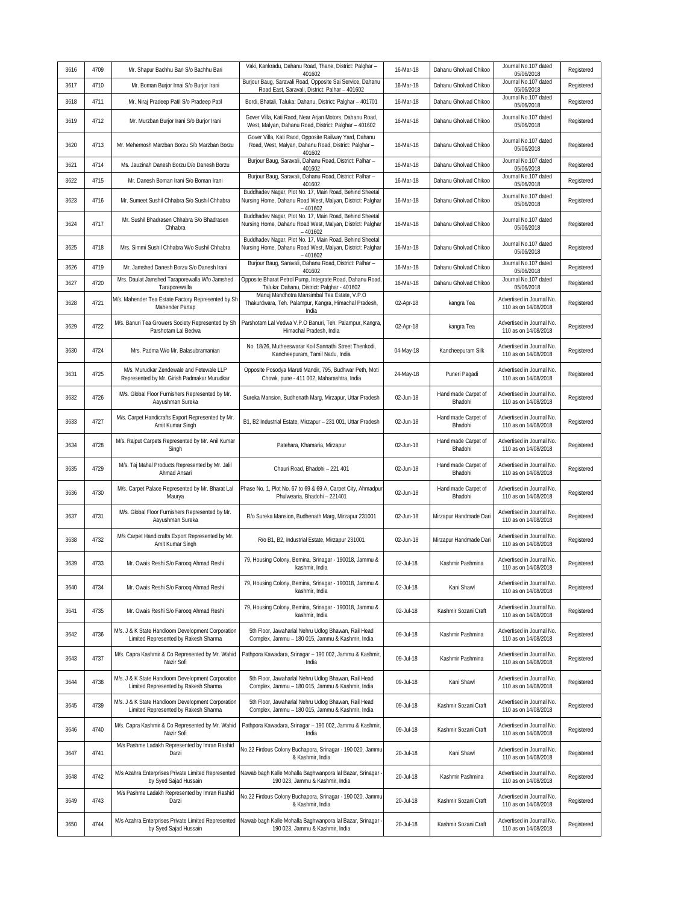| 3616 | 4709 | Mr. Shapur Bachhu Bari S/o Bachhu Bari                                                    | Vaki, Kankradu, Dahanu Road, Thane, District: Palghar -<br>401602                                                                 | 16-Mar-18 | Dahanu Gholvad Chikoo          | Journal No.107 dated<br>05/06/2018                | Registered |
|------|------|-------------------------------------------------------------------------------------------|-----------------------------------------------------------------------------------------------------------------------------------|-----------|--------------------------------|---------------------------------------------------|------------|
| 3617 | 4710 | Mr. Boman Burjor Irnai S/o Burjor Irani                                                   | Burjour Baug, Saravali Road, Opposite Sai Service, Dahanu<br>Road East, Saravali, District: Palhar - 401602                       | 16-Mar-18 | Dahanu Gholvad Chikoo          | Journal No.107 dated<br>05/06/2018                | Registered |
| 3618 | 4711 | Mr. Niraj Pradeep Patil S/o Pradeep Patil                                                 | Bordi, Bhatali, Taluka: Dahanu, District: Palghar - 401701                                                                        | 16-Mar-18 | Dahanu Gholvad Chikoo          | Journal No.107 dated<br>05/06/2018                | Registered |
| 3619 | 4712 | Mr. Murzban Burjor Irani S/o Burjor Irani                                                 | Gover Villa, Kati Raod, Near Arjan Motors, Dahanu Road,<br>West, Malyan, Dahanu Road, District: Palghar - 401602                  | 16-Mar-18 | Dahanu Gholvad Chikoo          | Journal No.107 dated<br>05/06/2018                | Registered |
| 3620 | 4713 | Mr. Mehernosh Marzban Borzu S/o Marzban Borzu                                             | Gover Villa, Kati Raod, Opposite Railway Yard, Dahanu<br>Road, West, Malyan, Dahanu Road, District: Palghar -<br>401602           | 16-Mar-18 | Dahanu Gholvad Chikoo          | Journal No.107 dated<br>05/06/2018                | Registered |
| 3621 | 4714 | Ms. Jauzinah Danesh Borzu D/o Danesh Borzu                                                | Burjour Baug, Saravali, Dahanu Road, District: Palhar -<br>401602                                                                 | 16-Mar-18 | Dahanu Gholvad Chikoo          | Journal No.107 dated<br>05/06/2018                | Registered |
| 3622 | 4715 | Mr. Danesh Boman Irani S/o Boman Irani                                                    | Burjour Baug, Saravali, Dahanu Road, District: Palhar -<br>401602                                                                 | 16-Mar-18 | Dahanu Gholvad Chikoo          | Journal No.107 dated<br>05/06/2018                | Registered |
| 3623 | 4716 | Mr. Sumeet Sushil Chhabra S/o Sushil Chhabra                                              | Buddhadev Nagar, Plot No. 17, Main Road, Behind Sheetal<br>Nursing Home, Dahanu Road West, Malyan, District: Palghar<br>$-401602$ | 16-Mar-18 | Dahanu Gholvad Chikoo          | Journal No.107 dated<br>05/06/2018                | Registered |
| 3624 | 4717 | Mr. Sushil Bhadrasen Chhabra S/o Bhadrasen<br>Chhabra                                     | Buddhadev Nagar, Plot No. 17, Main Road, Behind Sheetal<br>Nursing Home, Dahanu Road West, Malyan, District: Palghar<br>$-401602$ | 16-Mar-18 | Dahanu Gholvad Chikoo          | Journal No.107 dated<br>05/06/2018                | Registered |
| 3625 | 4718 | Mrs. Simmi Sushil Chhabra W/o Sushil Chhabra                                              | Buddhadev Nagar, Plot No. 17, Main Road, Behind Sheetal<br>Nursing Home, Dahanu Road West, Malyan, District: Palghar<br>$-401602$ | 16-Mar-18 | Dahanu Gholvad Chikoo          | Journal No.107 dated<br>05/06/2018                | Registered |
| 3626 | 4719 | Mr. Jamshed Danesh Borzu S/o Danesh Irani                                                 | Burjour Baug, Saravali, Dahanu Road, District: Palhar -<br>401602                                                                 | 16-Mar-18 | Dahanu Gholvad Chikoo          | Journal No.107 dated<br>05/06/2018                | Registered |
| 3627 | 4720 | Mrs. Daulat Jamshed Taraporewalla W/o Jamshed<br>Taraporewalla                            | Opposite Bharat Petrol Pump, Integrate Road, Dahanu Road,<br>Taluka: Dahanu, District: Palghar - 401602                           | 16-Mar-18 | Dahanu Gholvad Chikoo          | Journal No.107 dated<br>05/06/2018                | Registered |
| 3628 | 4721 | M/s. Mahender Tea Estate Factory Represented by Sh<br>Mahender Partap                     | Manuj Mandhotra Mansimbal Tea Estate, V.P.O<br>Thakurdwara, Teh. Palampur, Kangra, Himachal Pradesh,<br>India                     | 02-Apr-18 | kangra Tea                     | Advertised in Journal No.<br>110 as on 14/08/2018 | Registered |
| 3629 | 4722 | M/s. Banuri Tea Growers Society Represented by Sh<br>Parshotam Lal Bedwa                  | Parshotam Lal Vedwa V.P.O Banuri, Teh. Palampur, Kangra,<br>Himachal Pradesh. India                                               | 02-Apr-18 | kangra Tea                     | Advertised in Journal No.<br>110 as on 14/08/2018 | Registered |
| 3630 | 4724 | Mrs. Padma W/o Mr. Balasubramanian                                                        | No. 18/26, Mutheeswarar Koil Sannathi Street Thenkodi,<br>Kancheepuram, Tamil Nadu, India                                         | 04-May-18 | Kancheepuram Silk              | Advertised in Journal No.<br>110 as on 14/08/2018 | Registered |
| 3631 | 4725 | M/s. Murudkar Zendewale and Fetewale LLP<br>Represented by Mr. Girish Padmakar Murudkar   | Opposite Posodya Maruti Mandir, 795, Budhwar Peth, Moti<br>Chowk, pune - 411 002, Maharashtra, India                              | 24-May-18 | Puneri Pagadi                  | Advertised in Journal No.<br>110 as on 14/08/2018 | Registered |
| 3632 | 4726 | M/s. Global Floor Furnishers Represented by Mr.<br>Aayushman Sureka                       | Sureka Mansion, Budhenath Marg, Mirzapur, Uttar Pradesh                                                                           | 02-Jun-18 | Hand made Carpet of<br>Bhadohi | Advertised in Journal No.<br>110 as on 14/08/2018 | Registered |
| 3633 | 4727 | M/s. Carpet Handicrafts Export Represented by Mr.<br>Amit Kumar Singh                     | B1, B2 Industrial Estate, Mirzapur - 231 001, Uttar Pradesh                                                                       | 02-Jun-18 | Hand made Carpet of<br>Bhadohi | Advertised in Journal No.<br>110 as on 14/08/2018 | Registered |
| 3634 | 4728 | M/s. Rajput Carpets Represented by Mr. Anil Kumar<br>Singh                                | Patehara, Khamaria, Mirzapur                                                                                                      | 02-Jun-18 | Hand made Carpet of<br>Bhadohi | Advertised in Journal No.<br>110 as on 14/08/2018 | Registered |
| 3635 | 4729 | M/s. Taj Mahal Products Represented by Mr. Jalil<br>Ahmad Ansari                          | Chauri Road, Bhadohi - 221 401                                                                                                    | 02-Jun-18 | Hand made Carpet of<br>Bhadohi | Advertised in Journal No.<br>110 as on 14/08/2018 | Registered |
| 3636 | 4730 | M/s. Carpet Palace Represented by Mr. Bharat Lal<br>Maurya                                | Phase No. 1, Plot No. 67 to 69 & 69 A, Carpet City, Ahmadpur<br>Phulwearia, Bhadohi - 221401                                      | 02-Jun-18 | Hand made Carpet of<br>Bhadohi | Advertised in Journal No.<br>110 as on 14/08/2018 | Registered |
| 3637 | 4731 | M/s. Global Floor Furnishers Represented by Mr.<br>Aayushman Sureka                       | R/o Sureka Mansion, Budhenath Marg, Mirzapur 231001                                                                               | 02-Jun-18 | Mirzapur Handmade Dari         | Advertised in Journal No.<br>110 as on 14/08/2018 | Registered |
| 3638 | 4732 | M/s Carpet Handicrafts Export Represented by Mr.<br>Amit Kumar Singh                      | R/o B1, B2, Industrial Estate, Mirzapur 231001                                                                                    | 02-Jun-18 | Mirzapur Handmade Dari         | Advertised in Journal No.<br>110 as on 14/08/2018 | Registered |
| 3639 | 4733 | Mr. Owais Reshi S/o Farooq Ahmad Reshi                                                    | 79, Housing Colony, Bemina, Srinagar - 190018, Jammu &<br>kashmir, India                                                          | 02-Jul-18 | Kashmir Pashmina               | Advertised in Journal No.<br>110 as on 14/08/2018 | Registered |
| 3640 | 4734 | Mr. Owais Reshi S/o Farooq Ahmad Reshi                                                    | 79, Housing Colony, Bemina, Srinagar - 190018, Jammu &<br>kashmir, India                                                          | 02-Jul-18 | Kani Shawl                     | Advertised in Journal No.<br>110 as on 14/08/2018 | Registered |
| 3641 | 4735 | Mr. Owais Reshi S/o Farooq Ahmad Reshi                                                    | 79, Housing Colony, Bemina, Srinagar - 190018, Jammu &<br>kashmir, India                                                          | 02-Jul-18 | Kashmir Sozani Craft           | Advertised in Journal No.<br>110 as on 14/08/2018 | Registered |
| 3642 | 4736 | M/s. J & K State Handloom Development Corporation<br>Limited Represented by Rakesh Sharma | 5th Floor, Jawaharlal Nehru Udlog Bhawan, Rail Head<br>Complex, Jammu - 180 015, Jammu & Kashmir, India                           | 09-Jul-18 | Kashmir Pashmina               | Advertised in Journal No.<br>110 as on 14/08/2018 | Registered |
| 3643 | 4737 | M/s. Capra Kashmir & Co Represented by Mr. Wahid<br>Nazir Sofi                            | Pathpora Kawadara, Srinagar - 190 002, Jammu & Kashmir,<br>India                                                                  | 09-Jul-18 | Kashmir Pashmina               | Advertised in Journal No.<br>110 as on 14/08/2018 | Registered |
| 3644 | 4738 | M/s. J & K State Handloom Development Corporation<br>Limited Represented by Rakesh Sharma | 5th Floor, Jawaharlal Nehru Udlog Bhawan, Rail Head<br>Complex, Jammu - 180 015, Jammu & Kashmir, India                           | 09-Jul-18 | Kani Shawl                     | Advertised in Journal No.<br>110 as on 14/08/2018 | Registered |
| 3645 | 4739 | M/s. J & K State Handloom Development Corporation<br>Limited Represented by Rakesh Sharma | 5th Floor, Jawaharlal Nehru Udlog Bhawan, Rail Head<br>Complex, Jammu - 180 015, Jammu & Kashmir, India                           | 09-Jul-18 | Kashmir Sozani Craft           | Advertised in Journal No.<br>110 as on 14/08/2018 | Registered |
| 3646 | 4740 | M/s. Capra Kashmir & Co Represented by Mr. Wahid<br>Nazir Sofi                            | Pathpora Kawadara, Srinagar - 190 002, Jammu & Kashmir,<br>India                                                                  | 09-Jul-18 | Kashmir Sozani Craft           | Advertised in Journal No.<br>110 as on 14/08/2018 | Registered |
| 3647 | 4741 | M/s Pashme Ladakh Represented by Imran Rashid<br>Darzi                                    | No.22 Firdous Colony Buchapora, Srinagar - 190 020, Jammu<br>& Kashmir, India                                                     | 20-Jul-18 | Kani Shawl                     | Advertised in Journal No.<br>110 as on 14/08/2018 | Registered |
| 3648 | 4742 | M/s Azahra Enterprises Private Limited Represented<br>by Syed Sajad Hussain               | Nawab bagh Kalle Mohalla Baghwanpora lal Bazar, Srinagar<br>190 023, Jammu & Kashmir, India                                       | 20-Jul-18 | Kashmir Pashmina               | Advertised in Journal No.<br>110 as on 14/08/2018 | Registered |
| 3649 | 4743 | M/s Pashme Ladakh Represented by Imran Rashid<br>Darzi                                    | No.22 Firdous Colony Buchapora, Srinagar - 190 020, Jammu<br>& Kashmir, India                                                     | 20-Jul-18 | Kashmir Sozani Craft           | Advertised in Journal No.<br>110 as on 14/08/2018 | Registered |
| 3650 | 4744 | M/s Azahra Enterprises Private Limited Represented<br>by Syed Sajad Hussain               | Nawab bagh Kalle Mohalla Baghwanpora lal Bazar, Srinagar<br>190 023, Jammu & Kashmir, India                                       | 20-Jul-18 | Kashmir Sozani Craft           | Advertised in Journal No.<br>110 as on 14/08/2018 | Registered |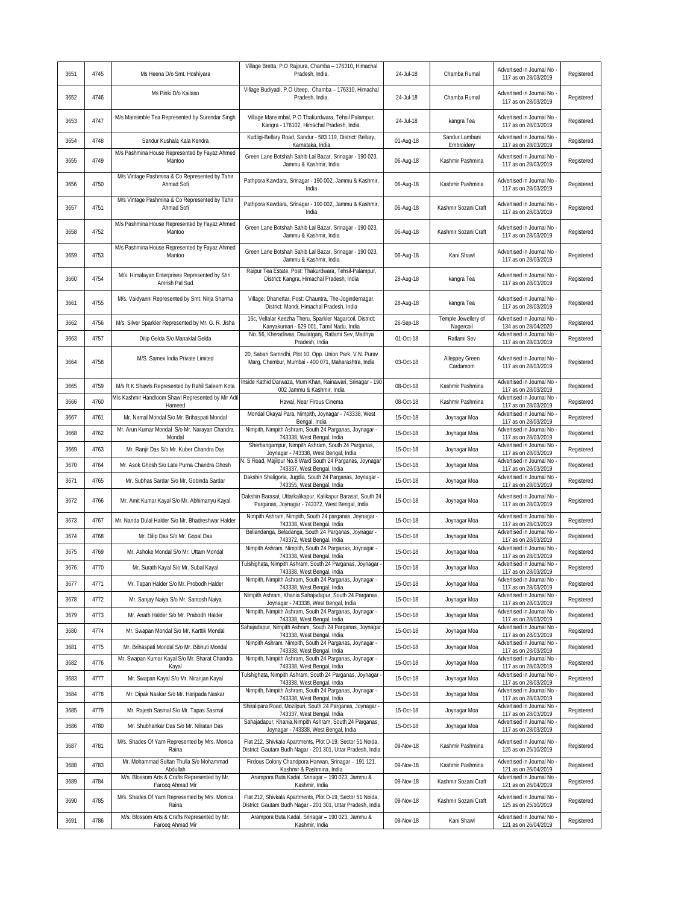| 3651 | 4745 | Ms Heena D/o Smt. Hoshiyara                                                 | Village Bretta, P.O Rajpura, Chamba - 176310, Himachal<br>Pradesh, India.                                                                                          | 24-Jul-18 | Chamba Rumal                 | Advertised in Journal No<br>117 as on 28/03/2019                           | Registered |
|------|------|-----------------------------------------------------------------------------|--------------------------------------------------------------------------------------------------------------------------------------------------------------------|-----------|------------------------------|----------------------------------------------------------------------------|------------|
| 3652 | 4746 | Ms Pinki D/o Kailaso                                                        | Village Budiyadi, P.O Uteep, Chamba - 176310, Himachal<br>Pradesh, India.                                                                                          | 24-Jul-18 | Chamba Rumal                 | Advertised in Journal No<br>117 as on 28/03/2019                           | Registered |
| 3653 | 4747 | M/s Mansimble Tea Represented by Surendar Singh                             | Village Mansimbal, P.O Thakurdwara, Tehsil Palampur,<br>Kangra - 176102, Himachal Pradesh, India.                                                                  | 24-Jul-18 | kangra Tea                   | Advertised in Journal No<br>117 as on 28/03/2019                           | Registered |
| 3654 | 4748 | Sandur Kushala Kala Kendra                                                  | Kudligi-Bellary Road, Sandur - 583 119, District: Bellary,<br>Karnataka, India                                                                                     | 01-Aug-18 | Sandur Lambani<br>Embroidery | Advertised in Journal No<br>117 as on 28/03/2019                           | Registered |
| 3655 | 4749 | M/s Pashmina House Represented by Fayaz Ahmed<br>Mantoo                     | Green Lane Botshah Sahib Lal Bazar, Srinagar - 190 023,                                                                                                            | 06-Aug-18 | Kashmir Pashmina             | Advertised in Journal No                                                   | Registered |
| 3656 | 4750 | M/s Vintage Pashmina & Co Represented by Tahir<br>Ahmad Sofi                | Jammu & Kashmir, India<br>Pathpora Kawdara, Srinagar - 190 002, Jammu & Kashmir,<br>India                                                                          | 06-Aug-18 | Kashmir Pashmina             | 117 as on 28/03/2019<br>Advertised in Journal No<br>117 as on 28/03/2019   | Registered |
| 3657 | 4751 | M/s Vintage Pashmina & Co Represented by Tahir<br>Ahmad Sofi                | Pathpora Kawdara, Srinagar - 190 002, Jammu & Kashmir,<br>India                                                                                                    | 06-Aug-18 | Kashmir Sozani Craft         | Advertised in Journal No<br>117 as on 28/03/2019                           | Registered |
| 3658 | 4752 | M/s Pashmina House Represented by Fayaz Ahmed<br>Mantoo                     | Green Lane Botshah Sahib Lal Bazar, Srinagar - 190 023,<br>Jammu & Kashmir, India                                                                                  | 06-Aug-18 | Kashmir Sozani Craft         | Advertised in Journal No<br>117 as on 28/03/2019                           | Registered |
| 3659 | 4753 | M/s Pashmina House Represented by Fayaz Ahmed<br>Mantoo                     | Green Lane Botshah Sahib Lal Bazar, Srinagar - 190 023,<br>Jammu & Kashmir, India                                                                                  | 06-Aug-18 | Kani Shawl                   | Advertised in Journal No<br>117 as on 28/03/2019                           | Registered |
| 3660 | 4754 | M/s. Himalayan Enterprises Represented by Shri.<br>Amrish Pal Sud           | Raipur Tea Estate, Post: Thakurdwara, Tehsil-Palampur,<br>District: Kangra, Himachal Pradesh, India                                                                | 28-Aug-18 | kangra Tea                   | Advertised in Journal No<br>117 as on 28/03/2019                           | Registered |
| 3661 | 4755 | M/s. Vaidyanni Represented by Smt. Nirja Sharma                             | Village: Dhanettar, Post: Chauntra, The-Jogindernagar,<br>District: Mandi, Himachal Pradesh, India                                                                 | 28-Aug-18 | kangra Tea                   | Advertised in Journal No<br>117 as on 28/03/2019                           | Registered |
| 3662 | 4756 | M/s. Silver Sparkler Represented by Mr. G. R. Jisha                         | 16c, Vellalar Keezha Theru, Sparkler Nagarcoil, District:                                                                                                          | 26-Sep-18 | Temple Jewellery of          | Advertised in Journal No                                                   | Registered |
| 3663 | 4757 | Dilip Gelda S/o Manaklal Gelda                                              | Kanyakumari - 629 001, Tamil Nadu, India<br>No. 56, Kheradiwas, Daulatganj, Ratlami Sev, Madhya                                                                    | 01-Oct-18 | Nagercoil<br>Ratlami Sev     | 134 as on 28/04/2020<br>Advertised in Journal No                           | Registered |
|      |      |                                                                             | Pradesh, India                                                                                                                                                     |           |                              | 117 as on 28/03/2019                                                       |            |
| 3664 | 4758 | M/S. Samex India Private Limited                                            | 20, Sabari Samridhi, Plot 10, Opp. Union Park, V.N. Purav<br>Marg, Chembur, Mumbai - 400 071, Maharashtra, India                                                   | 03-Oct-18 | Alleppey Green<br>Cardamom   | Advertised in Journal No<br>117 as on 28/03/2019                           | Registered |
| 3665 | 4759 | M/s R K Shawls Represented by Rahil Saleem Kota                             | Inside Kathid Darwaza, Mum Khan, Rainawari, Srinagar - 190<br>002 Jammu & Kashmir, India                                                                           | 08-Oct-18 | Kashmir Pashmina             | Advertised in Journal No<br>117 as on 28/03/2019                           | Registered |
| 3666 | 4760 | M/s Kashmir Handloom Shawl Represented by Mir Adil<br>Hameed                | Hawal, Near Firous Cinema                                                                                                                                          | 08-Oct-18 | Kashmir Pashmina             | Advertised in Journal No<br>117 as on 28/03/2019                           | Registered |
| 3667 | 4761 | Mr. Nirmal Mondal S/o Mr. Brihaspati Mondal                                 | Mondal Okayal Para, Nimpith, Joynagar - 743338, West<br>Bengal, India                                                                                              | 15-Oct-18 | Joynagar Moa                 | Advertised in Journal No<br>117 as on 28/03/2019                           | Registered |
| 3668 | 4762 | Mr. Arun Kumar Mondal S/o Mr. Narayan Chandra<br>Mondal                     | Nimpith, Nimpith Ashram, South 24 Parganas, Joynagar -<br>743338, West Bengal, India                                                                               | 15-Oct-18 | Joynagar Moa                 | Advertised in Journal No<br>117 as on 28/03/2019                           | Registered |
| 3669 | 4763 | Mr. Ranjit Das S/o Mr. Kuber Chandra Das                                    | Sherhangampur, Nimpith Ashram, South 24 Parganas,<br>Joynagar - 743338, West Bengal, India                                                                         | 15-Oct-18 | Joynagar Moa                 | Advertised in Journal No<br>117 as on 28/03/2019                           | Registered |
| 3670 | 4764 | Mr. Asok Ghosh S/o Late Purna Chandra Ghosh                                 | N. S Road, Majilpur No.8 Ward South 24 Parganas, Joynagar<br>743337, West Bengal, India                                                                            | 15-Oct-18 | Joynagar Moa                 | Advertised in Journal No<br>117 as on 28/03/2019                           | Registered |
| 3671 | 4765 | Mr. Subhas Sardar S/o Mr. Gobinda Sardar                                    | Dakshin Shaligoria, Jugdia, South 24 Parganas, Joynagar -<br>743355, West Bengal, India                                                                            | 15-Oct-18 | Joynagar Moa                 | Advertised in Journal No<br>117 as on 28/03/2019                           | Registered |
| 3672 | 4766 | Mr. Amit Kumar Kayal S/o Mr. Abhimanyu Kayal                                | Dakshin Barasat, Uttarkalikapur, Kalikapur Barasat, South 24<br>Parganas, Joynagar - 743372, West Bengal, India                                                    | 15-Oct-18 | Joynagar Moa                 | Advertised in Journal No.<br>117 as on 28/03/2019                          | Registered |
| 3673 | 4767 | Mr. Nanda Dulal Halder S/o Mr. Bhadreshwar Halder                           | Nimpith Ashram, Nimpith, South 24 parganas, Joynagar -<br>743338, West Bengal, India                                                                               | 15-Oct-18 | Joynagar Moa                 | Advertised in Journal No<br>117 as on 28/03/2019                           | Registered |
| 3674 | 4768 | Mr. Dilip Das S/o Mr. Gopal Das                                             | Beliandanga, Beladanga, South 24 Parganas, Joynagar -<br>743372, West Bengal, India                                                                                | 15-Oct-18 | Joynagar Moa                 | Advertised in Journal No<br>117 as on 28/03/2019                           | Registered |
| 3675 | 4769 | Mr. Ashoke Mondal S/o Mr. Uttam Mondal                                      | Nimpith Ashram, Nimpith, South 24 Parganas, Joynagar -<br>743338, West Bengal, India                                                                               | 15-Oct-18 | Joynagar Moa                 | Advertised in Journal No<br>117 as on 28/03/2019                           | Registered |
| 3676 | 4770 | Mr. Surath Kayal S/o Mr. Subal Kayal                                        | Tulshighata, Nimpith Ashram, South 24 Parganas, Joynagar -<br>743338, West Bengal, India                                                                           | 15-Oct-18 | Joynagar Moa                 | Advertised in Journal No<br>117 as on 28/03/2019                           | Registered |
| 3677 | 4771 | Mr. Tapan Halder S/o Mr. Probodh Halder                                     | Nimpith, Nimpith Ashram, South 24 Parganas, Joynagar -<br>743338, West Bengal, India                                                                               | 15-Oct-18 | Joynagar Moa                 | Advertised in Journal No<br>117 as on 28/03/2019                           | Registered |
| 3678 | 4772 | Mr. Sanjay Naiya S/o Mr. Santosh Naiya                                      | Nimpith Ashram, Khania Sahajadapur, South 24 Parganas,<br>Joynagar - 743338, West Bengal, India                                                                    | 15-Oct-18 | Joynagar Moa                 | Advertised in Journal No<br>117 as on 28/03/2019                           | Registered |
| 3679 | 4773 | Mr. Anath Halder S/o Mr. Prabodh Halder                                     | Nimpith, Nimpith Ashram, South 24 Parganas, Joynagar -<br>743338, West Bengal, India                                                                               | 15-Oct-18 | Joynagar Moa                 | Advertised in Journal No                                                   | Registered |
| 3680 | 4774 | Mr. Swapan Mondal S/o Mr. Karttik Mondal                                    | Sahajadapur, Nimpith Ashram, South 24 Parganas, Joynagar                                                                                                           | 15-Oct-18 | Joynagar Moa                 | 117 as on 28/03/2019<br>Advertised in Journal No                           | Registered |
| 3681 | 4775 | Mr. Brihaspati Mondal S/o Mr. Bibhuti Mondal                                | 743338, West Bengal, India<br>Nimpith Ashram, Nimpith, South 24 Parganas, Joynagar -                                                                               | 15-Oct-18 | Joynagar Moa                 | 117 as on 28/03/2019<br>Advertised in Journal No                           | Registered |
| 3682 | 4776 | Mr. Swapan Kumar Kayal S/o Mr. Sharat Chandra                               | 743338, West Bengal, India<br>Nimpith, Nimpith Ashram, South 24 Parganas, Joynagar -                                                                               | 15-Oct-18 | Joynagar Moa                 | 117 as on 28/03/2019<br>Advertised in Journal No                           | Registered |
| 3683 | 4777 | Kayal<br>Mr. Swapan Kayal S/o Mr. Niranjan Kayal                            | 743338, West Bengal, India<br>Tulshighata, Nimpith Ashram, South 24 Parganas, Joynagar                                                                             | 15-Oct-18 | Joynagar Moa                 | 117 as on 28/03/2019<br>Advertised in Journal No                           | Registered |
| 3684 | 4778 | Mr. Dipak Naskar S/o Mr. Haripada Naskar                                    | 743338, West Bengal, India<br>Nimpith, Nimpith Ashram, South 24 Parganas, Joynagar -                                                                               | 15-Oct-18 | Joynagar Moa                 | 117 as on 28/03/2019<br>Advertised in Journal No                           | Registered |
| 3685 | 4779 | Mr. Rajesh Sasmal S/o Mr. Tapas Sasmal                                      | 743338, West Bengal, India<br>Shiralipara Road, Mozilpuri, South 24 Parganas, Joynagar -                                                                           | 15-Oct-18 | Joynagar Moa                 | 117 as on 28/03/2019<br>Advertised in Journal No                           | Registered |
| 3686 | 4780 | Mr. Shubhankar Das S/o Mr. Nilratan Das                                     | 743337, West Bengal, India<br>Sahajadapur, Khania, Nimpith Ashram, South 24 Parganas,                                                                              | 15-Oct-18 | Joynagar Moa                 | 117 as on 28/03/2019<br>Advertised in Journal No -                         | Registered |
| 3687 | 4781 | M/s. Shades Of Yarn Represented by Mrs. Monica<br>Raina                     | Joynagar - 743338, West Bengal, India<br>Flat 212, Shivkala Apartments, Plot D-19, Sector 51 Noida,<br>District: Gautam Budh Nagar - 201 301, Uttar Pradesh, India | 09-Nov-18 | Kashmir Pashmina             | 117 as on 28/03/2019<br>Advertised in Journal No.<br>125 as on 25/10/2019  | Registered |
| 3688 | 4783 | Mr. Mohammad Sultan Thulla S/o Mohammad                                     | Firdous Colony Chandpora Harwan, Srinagar - 191 121,                                                                                                               | 09-Nov-18 | Kashmir Pashmina             | Advertised in Journal No                                                   | Registered |
| 3689 | 4784 | Abdullah<br>M/s. Blossom Arts & Crafts Represented by Mr.                   | Kashmir & Pashmina, India<br>Arampora Buta Kadal, Srinagar - 190 023, Jammu &                                                                                      | 09-Nov-18 | Kashmir Sozani Craft         | 121 as on 26/04/2019<br>Advertised in Journal No                           | Registered |
| 3690 | 4785 | Farooq Ahmad Mir<br>M/s. Shades Of Yarn Represented by Mrs. Monica<br>Raina | Kashmir, India<br>Flat 212, Shivkala Apartments, Plot D-19, Sector 51 Noida,<br>District: Gautam Budh Nagar - 201 301, Uttar Pradesh, India                        | 09-Nov-18 | Kashmir Sozani Craft         | 121 as on 26/04/2019<br>Advertised in Journal No -<br>125 as on 25/10/2019 | Registered |
| 3691 | 4786 | M/s. Blossom Arts & Crafts Represented by Mr.                               | Arampora Buta Kadal, Srinagar - 190 023, Jammu &                                                                                                                   | 09-Nov-18 | Kani Shawl                   | Advertised in Journal No                                                   | Registered |
|      |      | Farooq Ahmad Mir                                                            | Kashmir, India                                                                                                                                                     |           |                              | 121 as on 26/04/2019                                                       |            |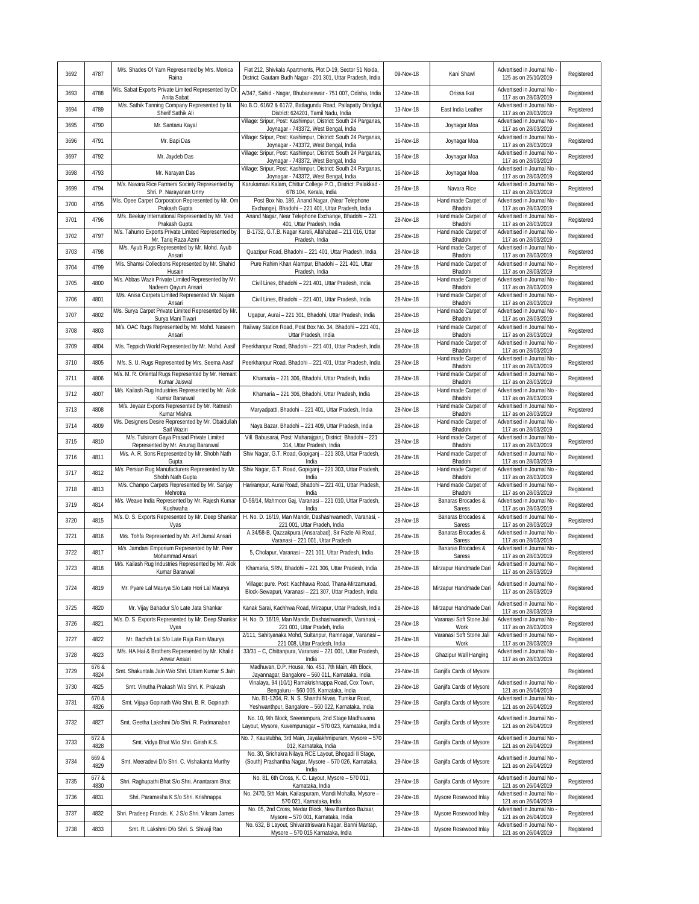| 3692 | 4787          | M/s. Shades Of Yarn Represented by Mrs. Monica<br>Raina                         | Flat 212, Shivkala Apartments, Plot D-19, Sector 51 Noida,<br>District: Gautam Budh Nagar - 201 301, Uttar Pradesh, India | 09-Nov-18 | Kani Shawl                       | Advertised in Journal No<br>125 as on 25/10/2019   | Registered |
|------|---------------|---------------------------------------------------------------------------------|---------------------------------------------------------------------------------------------------------------------------|-----------|----------------------------------|----------------------------------------------------|------------|
| 3693 | 4788          | M/s. Sabat Exports Private Limited Represented by Dr<br>Anita Sabat             | A/347, Sahid - Nagar, Bhubaneswar - 751 007, Odisha, India                                                                | 12-Nov-18 | Orissa Ikat                      | Advertised in Journal No<br>117 as on 28/03/2019   | Registered |
| 3694 | 4789          | M/s. Sathik Tanning Company Represented by M.<br>Sherif Sathik Ali              | No.B.O. 616/2 & 617/2, Batlagundu Road, Pallapatty Dindigul<br>District: 624201, Tamil Nadu, India                        | 13-Nov-18 | East India Leather               | Advertised in Journal No<br>117 as on 28/03/2019   | Registered |
| 3695 | 4790          | Mr. Santanu Kayal                                                               | Village: Sripur, Post: Kashimpur, District: South 24 Parganas<br>Joynagar - 743372, West Bengal, India                    | 16-Nov-18 | Joynagar Moa                     | Advertised in Journal No<br>117 as on 28/03/2019   | Registered |
| 3696 | 4791          | Mr. Bapi Das                                                                    | Village: Sripur, Post: Kashimpur, District: South 24 Parganas<br>Joynagar - 743372, West Bengal, India                    | 16-Nov-18 | Joynagar Moa                     | Advertised in Journal No<br>117 as on 28/03/2019   | Registered |
| 3697 | 4792          | Mr. Jaydeb Das                                                                  | Village: Sripur, Post: Kashimpur, District: South 24 Parganas<br>Joynagar - 743372, West Bengal, India                    | 16-Nov-18 | Joynagar Moa                     | Advertised in Journal No<br>117 as on 28/03/2019   | Registered |
| 3698 | 4793          | Mr. Narayan Das                                                                 | Village: Sripur, Post: Kashimpur, District: South 24 Parganas<br>Joynagar - 743372, West Bengal, India                    | 16-Nov-18 | Joynagar Moa                     | Advertised in Journal No<br>117 as on 28/03/2019   | Registered |
| 3699 | 4794          | M/s. Navara Rice Farmers Society Represented by<br>Shri. P. Narayanan Unny      | Karukamani Kalam, Chittur College P.O., District: Palakkad<br>678 104, Kerala, India                                      | 26-Nov-18 | Navara Rice                      | Advertised in Journal No<br>117 as on 28/03/2019   | Registered |
| 3700 | 4795          | M/s. Opee Carpet Corporation Represented by Mr. Om<br>Prakash Gupta             | Post Box No. 186, Anand Nagar, (Near Telephone<br>Exchange), Bhadohi - 221 401, Uttar Pradesh, India                      | 28-Nov-18 | Hand made Carpet of<br>Bhadohi   | Advertised in Journal No<br>117 as on 28/03/2019   | Registered |
| 3701 | 4796          | M/s. Beekay International Represented by Mr. Ved                                | Anand Nagar, Near Telephone Exchange, Bhadohi - 221                                                                       | 28-Nov-18 | Hand made Carpet of              | Advertised in Journal No                           | Registered |
| 3702 | 4797          | Prakash Gupta<br>M/s. Tahumo Exports Private Limited Represented by             | 401, Uttar Pradesh, India<br>B-1732, G.T.B. Nagar Kareli, Allahabad - 211 016, Uttar                                      | 28-Nov-18 | Bhadohi<br>Hand made Carpet of   | 117 as on 28/03/2019<br>Advertised in Journal No   | Registered |
| 3703 | 4798          | Mr. Tariq Raza Azmi<br>M/s. Ayub Rugs Represented by Mr. Mohd. Ayub             | Pradesh, India<br>Quazipur Road, Bhadohi - 221 401, Uttar Pradesh, India                                                  | 28-Nov-18 | Bhadohi<br>Hand made Carpet of   | 117 as on 28/03/2019<br>Advertised in Journal No   | Registered |
| 3704 | 4799          | Ansari<br>M/s. Shamsi Collections Represented by Mr. Shahid                     | Pure Rahim Khan Alampur, Bhadohi - 221 401, Uttar                                                                         | 28-Nov-18 | Bhadohi<br>Hand made Carpet of   | 117 as on 28/03/2019<br>Advertised in Journal No   | Registered |
|      |               | Husain<br>M/s. Abbas Wazir Private Limited Represented by Mr.                   | Pradesh, India                                                                                                            |           | Bhadohi<br>Hand made Carpet of   | 117 as on 28/03/2019<br>Advertised in Journal No   |            |
| 3705 | 4800          | Nadeem Qayum Ansari<br>M/s. Anisa Carpets Limited Represented Mr. Najam         | Civil Lines, Bhadohi - 221 401, Uttar Pradesh, India                                                                      | 28-Nov-18 | Bhadohi<br>Hand made Carpet of   | 117 as on 28/03/2019<br>Advertised in Journal No   | Registered |
| 3706 | 4801          | Ansari<br>M/s. Surya Carpet Private Limited Represented by Mr                   | Civil Lines, Bhadohi - 221 401, Uttar Pradesh, India                                                                      | 28-Nov-18 | Bhadohi<br>Hand made Carpet of   | 117 as on 28/03/2019<br>Advertised in Journal No   | Registered |
| 3707 | 4802          | Surya Mani Tiwari                                                               | Ugapur, Aurai - 221 301, Bhadohi, Uttar Pradesh, India                                                                    | 28-Nov-18 | Bhadohi                          | 117 as on 28/03/2019                               | Registered |
| 3708 | 4803          | M/s. OAC Rugs Represented by Mr. Mohd. Naseem<br>Ansari                         | Railway Station Road, Post Box No. 34, Bhadohi - 221 401<br>Uttar Pradesh, India                                          | 28-Nov-18 | Hand made Carpet of<br>Bhadohi   | Advertised in Journal No<br>117 as on 28/03/2019   | Registered |
| 3709 | 4804          | M/s. Teppich World Represented by Mr. Mohd. Aasif                               | Peerkhanpur Road, Bhadohi - 221 401, Uttar Pradesh, India                                                                 | 28-Nov-18 | Hand made Carpet of<br>Bhadohi   | Advertised in Journal No<br>117 as on 28/03/2019   | Registered |
| 3710 | 4805          | M/s. S. U. Rugs Represented by Mrs. Seema Aasif                                 | Peerkhanpur Road, Bhadohi - 221 401, Uttar Pradesh, India                                                                 | 28-Nov-18 | Hand made Carpet of<br>Bhadohi   | Advertised in Journal No<br>117 as on 28/03/2019   | Registered |
| 3711 | 4806          | M/s. M. R. Oriental Rugs Represented by Mr. Hemant<br>Kumar Jaiswal             | Khamaria - 221 306, Bhadohi, Uttar Pradesh, India                                                                         | 28-Nov-18 | Hand made Carpet of<br>Bhadohi   | Advertised in Journal No<br>117 as on 28/03/2019   | Registered |
| 3712 | 4807          | M/s. Kailash Rug Industries Represented by Mr. Alok<br>Kumar Baranwal           | Khamaria - 221 306, Bhadohi, Uttar Pradesh, India                                                                         | 28-Nov-18 | Hand made Carpet of<br>Bhadohi   | Advertised in Journal No<br>117 as on 28/03/2019   | Registered |
| 3713 | 4808          | M/s. Jeyaar Exports Represented by Mr. Ratnesh<br>Kumar Mishra                  | Maryadpatti, Bhadohi - 221 401, Uttar Pradesh, India                                                                      | 28-Nov-18 | Hand made Carpet of<br>Bhadohi   | Advertised in Journal No<br>117 as on 28/03/2019   | Registered |
| 3714 | 4809          | M/s. Designers Desire Represented by Mr. Obaidullah<br>Saif Waziri              | Naya Bazar, Bhadohi - 221 409, Uttar Pradesh, India                                                                       | 28-Nov-18 | Hand made Carpet of<br>Bhadohi   | Advertised in Journal No<br>117 as on 28/03/2019   | Registered |
| 3715 | 4810          | M/s. Tulsiram Gaya Prasad Private Limited<br>Represented by Mr. Anurag Baranwal | Vill. Babusarai, Post: Maharajganj, District: Bhadohi - 221<br>314, Uttar Pradesh, India                                  | 28-Nov-18 | Hand made Carpet of<br>Bhadohi   | Advertised in Journal No<br>117 as on 28/03/2019   | Registered |
| 3716 | 4811          | M/s. A. R. Sons Represented by Mr. Shobh Nath<br>Gupta                          | Shiv Nagar, G.T. Road, Gopiganj - 221 303, Uttar Pradesh,<br>India                                                        | 28-Nov-18 | Hand made Carpet of<br>Bhadohi   | Advertised in Journal No<br>117 as on 28/03/2019   | Registered |
| 3717 | 4812          | M/s. Persian Rug Manufacturers Represented by Mr.<br>Shobh Nath Gupta           | Shiv Nagar, G.T. Road, Gopiganj - 221 303, Uttar Pradesh<br>India                                                         | 28-Nov-18 | Hand made Carpet of<br>Bhadohi   | Advertised in Journal No<br>117 as on 28/03/2019   | Registered |
| 3718 | 4813          | M/s. Champo Carpets Represented by Mr. Sanjay<br>Mehrotra                       | Harirampur, Aurai Road, Bhadohi - 221 401, Uttar Pradesh,<br>India                                                        | 28-Nov-18 | Hand made Carpet of<br>Bhadohi   | Advertised in Journal No<br>117 as on 28/03/2019   | Registered |
| 3719 | 4814          | M/s. Weave India Represented by Mr. Rajesh Kumar<br>Kushwaha                    | D-59/14, Mahmoor Gaj, Varanasi - 221 010, Uttar Pradesh<br>India                                                          | 28-Nov-18 | Banaras Brocades &<br>Saress     | Advertised in Journal No<br>117 as on 28/03/2019   | Registered |
| 3720 | 4815          | M/s. D. S. Exports Represented by Mr. Deep Shankar<br>Vyas                      | H. No. D. 16/19, Man Mandir, Dashashwamedh, Varanasi,<br>221 001, Uttar Pradeh, India                                     | 28-Nov-18 | Banaras Brocades &<br>Saress     | Advertised in Journal No<br>117 as on 28/03/2019   | Registered |
| 3721 | 4816          | M/s. Tohfa Represented by Mr. Arif Jamal Ansari                                 | A.34/58-B, Qazzakpura (Ansarabad), Sir Fazle Ali Road,<br>Varanasi - 221 001, Uttar Pradesh                               | 28-Nov-18 | Banaras Brocades &<br>Saress     | Advertised in Journal No<br>117 as on 28/03/2019   | Registered |
| 3722 | 4817          | M/s. Jamdani Emporium Represented by Mr. Peer<br>Mohammad Ansari                | 5, Cholapur, Varanasi - 221 101, Uttar Pradesh, India                                                                     | 28-Nov-18 | Banaras Brocades &<br>Saress     | Advertised in Journal No<br>117 as on 28/03/2019   | Registered |
| 3723 | 4818          | M/s. Kailash Rug Industries Represented by Mr. Alok<br>Kumar Baranwal           | Khamaria, SRN, Bhadohi - 221 306, Uttar Pradesh, India                                                                    | 28-Nov-18 | Mirzapur Handmade Dari           | Advertised in Journal No<br>117 as on 28/03/2019   | Registered |
|      |               |                                                                                 | Village: pure. Post: Kachhawa Road, Thana-Mirzamurad,                                                                     |           |                                  | Advertised in Journal No                           |            |
| 3724 | 4819          | Mr. Pyare Lal Maurya S/o Late Hori Lal Maurya                                   | Block-Sewapuri, Varanasi - 221 307, Uttar Pradesh, India                                                                  | 28-Nov-18 | Mirzapur Handmade Dari           | 117 as on 28/03/2019                               | Registered |
| 3725 | 4820          | Mr. Vijay Bahadur S/o Late Jata Shankar                                         | Kanak Sarai, Kachhwa Road, Mirzapur, Uttar Pradesh, India                                                                 | 28-Nov-18 | Mirzapur Handmade Dari           | Advertised in Journal No<br>117 as on 28/03/2019   | Registered |
| 3726 | 4821          | M/s. D. S. Exports Represented by Mr. Deep Shankar<br>Vyas                      | H. No. D. 16/19, Man Mandir, Dashashwamedh, Varanasi, -<br>221 001, Uttar Pradeh, India                                   | 28-Nov-18 | Varanasi Soft Stone Jali<br>Work | Advertised in Journal No<br>117 as on 28/03/2019   | Registered |
| 3727 | 4822          | Mr. Bachch Lal S/o Late Raja Ram Maurya                                         | 2/111, Sahityanaka Mohd, Sultanpur, Ramnagar, Varanasi -<br>221 008, Uttar Pradesh, India                                 | 28-Nov-18 | Varanasi Soft Stone Jali<br>Work | Advertised in Journal No<br>117 as on 28/03/2019   | Registered |
| 3728 | 4823          | M/s. HA Hai & Brothers Represented by Mr. Khalid<br>Anwar Ansari                | 33/31 - C, Chittanpura, Varanasi - 221 001, Uttar Pradesh,<br>India                                                       | 28-Nov-18 | Ghazipur Wall Hanging            | Advertised in Journal No<br>117 as on 28/03/2019   | Registered |
| 3729 | 676 &<br>4824 | Smt. Shakuntala Jain W/o Shri. Uttam Kumar S Jain                               | Madhuvan, D.P. House, No. 451, 7th Main, 4th Block,<br>Jayannagar, Bangalore - 560 011, Karnataka, India                  | 29-Nov-18 | Ganjifa Cards of Mysore          |                                                    | Registered |
| 3730 | 4825          | Smt. Vinutha Prakash W/o Shri. K. Prakash                                       | Vinalaya, 94 (10/1) Ramakrishnappa Road, Cox Town,<br>Bengaluru - 560 005, Karnataka, India                               | 29-Nov-18 | Ganjifa Cards of Mysore          | Advertised in Journal No<br>121 as on 26/04/2019   | Registered |
| 3731 | 670 &<br>4826 | Smt. Vijaya Gopinath W/o Shri. B. R. Gopinath                                   | No. B1-1204, R. N. S. Shanthi Nivas, Tumkur Road,<br>Yeshwanthpur, Bangalore - 560 022, Karnataka, India                  | 29-Nov-18 | Ganjifa Cards of Mysore          | Advertised in Journal No -<br>121 as on 26/04/2019 | Registered |
| 3732 | 4827          | Smt. Geetha Lakshmi D/o Shri. R. Padmanaban                                     | No. 10, 9th Block, Sreerampura, 2nd Stage Madhuvana<br>Layout, Mysore, Kuvempunagar - 570 023, Karnataka, India           | 29-Nov-18 | Ganjifa Cards of Mysore          | Advertised in Journal No -<br>121 as on 26/04/2019 | Registered |
| 3733 | 672 &<br>4828 | Smt. Vidya Bhat W/o Shri. Girish K.S.                                           | No. 7, Kaustubha, 3rd Main, Jayalakhmipuram, Mysore - 570<br>012, Karnataka, India                                        | 29-Nov-18 | Ganjifa Cards of Mysore          | Advertised in Journal No<br>121 as on 26/04/2019   | Registered |
| 3734 | 669 &<br>4829 | Smt. Meeradevi D/o Shri. C. Vishakanta Murthy                                   | No. 30, Srichakra Nilaya RCE Layout, Bhogadi II Stage,<br>(South) Prashantha Nagar, Mysore - 570 026, Karnataka,<br>India | 29-Nov-18 | Ganjifa Cards of Mysore          | Advertised in Journal No<br>121 as on 26/04/2019   | Registered |
| 3735 | 677 &<br>4830 | Shri. Raghupathi Bhat S/o Shri. Anantaram Bhat                                  | No. 81, 6th Cross, K. C. Layout, Mysore - 570 011,<br>Karnataka, India                                                    | 29-Nov-18 | Ganjifa Cards of Mysore          | Advertised in Journal No<br>121 as on 26/04/2019   | Registered |
| 3736 | 4831          | Shri. Paramesha K S/o Shri. Krishnappa                                          | No. 2470, 5th Main, Kailaspuram, Mandi Mohalla, Mysore -<br>570 021, Karnataka, India                                     | 29-Nov-18 | Mysore Rosewood Inlay            | Advertised in Journal No<br>121 as on 26/04/2019   | Registered |
| 3737 | 4832          | Shri. Pradeep Francis. K. J S/o Shri. Vikram James                              | No. 05, 2nd Cross, Medar Block, New Bamboo Bazaar,<br>Mysore - 570 001, Karnataka, India                                  | 29-Nov-18 | Mysore Rosewood Inlay            | Advertised in Journal No<br>121 as on 26/04/2019   | Registered |
| 3738 | 4833          | Smt. R. Lakshmi D/o Shri. S. Shivaji Rao                                        | No. 632, B Layout, Shivaratriswara Nagar, Banni Mantap,<br>Mysore - 570 015 Karnataka, India                              | 29-Nov-18 | Mysore Rosewood Inlay            | Advertised in Journal No<br>121 as on 26/04/2019   | Registered |
|      |               |                                                                                 |                                                                                                                           |           |                                  |                                                    |            |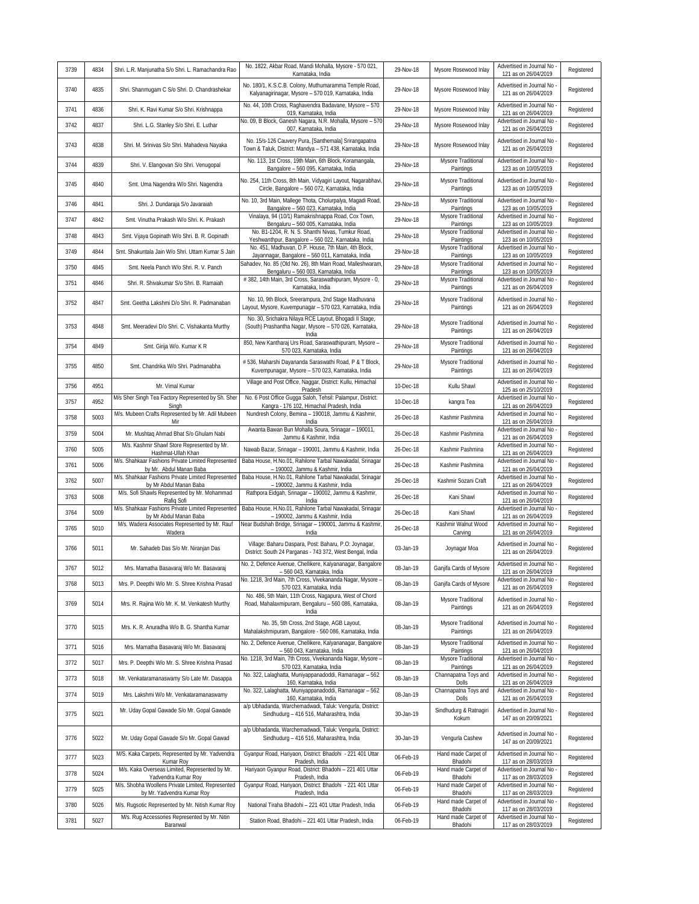| 3739 | 4834 | Shri. L.R. Manjunatha S/o Shri. L. Ramachandra Rao                              | No. 1822, Akbar Road, Mandi Mohalla, Mysore - 570 021,<br>Karnataka, India                                                | 29-Nov-18 | Mysore Rosewood Inlay           | Advertised in Journal No<br>121 as on 26/04/2019   | Registered |
|------|------|---------------------------------------------------------------------------------|---------------------------------------------------------------------------------------------------------------------------|-----------|---------------------------------|----------------------------------------------------|------------|
| 3740 | 4835 | Shri. Shanmugam C S/o Shri. D. Chandrashekar                                    | No. 180/1, K.S.C.B. Colony, Muthumaramma Temple Road,<br>Kalyanagirinagar, Mysore - 570 019, Karnataka, India             | 29-Nov-18 | Mysore Rosewood Inlay           | Advertised in Journal No<br>121 as on 26/04/2019   | Registered |
| 3741 | 4836 | Shri. K. Ravi Kumar S/o Shri. Krishnappa                                        | No. 44, 10th Cross, Raghavendra Badavane, Mysore - 570<br>019, Karnataka, India                                           | 29-Nov-18 | Mysore Rosewood Inlay           | Advertised in Journal No<br>121 as on 26/04/2019   | Registered |
| 3742 | 4837 | Shri. L.G. Stanley S/o Shri. E. Luthar                                          | No. 09, B Block, Ganesh Nagara, N.R. Mohalla, Mysore - 570<br>007, Karnataka, India                                       | 29-Nov-18 | Mysore Rosewood Inlay           | Advertised in Journal No<br>121 as on 26/04/2019   | Registered |
| 3743 | 4838 | Shri. M. Srinivas S/o Shri. Mahadeva Nayaka                                     | No. 15/s-126 Cauvery Pura, [Santhemala] Srirangapatna<br>Town & Taluk, District: Mandya - 571 438, Karnataka, India       | 29-Nov-18 | Mysore Rosewood Inlay           | Advertised in Journal No<br>121 as on 26/04/2019   | Registered |
| 3744 | 4839 | Shri. V. Elangovan S/o Shri. Venugopal                                          | No. 113, 1st Cross, 19th Main, 6th Block, Koramangala,<br>Bangalore - 560 095, Karnataka, India                           | 29-Nov-18 | Mysore Traditional<br>Paintings | Advertised in Journal No<br>123 as on 10/05/2019   | Registered |
| 3745 | 4840 | Smt. Uma Nagendra W/o Shri. Nagendra                                            | No. 254, 11th Cross, 8th Main, Vidyagiri Layout, Nagarabhavi,<br>Circle, Bangalore - 560 072, Karnataka, India            | 29-Nov-18 | Mysore Traditional<br>Paintings | Advertised in Journal No<br>123 as on 10/05/2019   | Registered |
| 3746 | 4841 | Shri. J. Dundaraja S/o Javaraiah                                                | No. 10, 3rd Main, Mallege Thota, Cholurpalya, Magadi Road,<br>Bangalore - 560 023, Karnataka, India                       | 29-Nov-18 | Mysore Traditional<br>Paintings | Advertised in Journal No<br>123 as on 10/05/2019   | Registered |
| 3747 | 4842 | Smt. Vinutha Prakash W/o Shri. K. Prakash                                       | Vinalaya, 94 (10/1) Ramakrishnappa Road, Cox Town,<br>Bengaluru - 560 005, Karnataka, India                               | 29-Nov-18 | Mysore Traditional<br>Paintings | Advertised in Journal No<br>123 as on 10/05/2019   | Registered |
| 3748 | 4843 | Smt. Vijaya Gopinath W/o Shri. B. R. Gopinath                                   | No. B1-1204, R. N. S. Shanthi Nivas, Tumkur Road,<br>Yeshwanthpur, Bangalore - 560 022, Karnataka, India                  | 29-Nov-18 | Mysore Traditional<br>Paintings | Advertised in Journal No<br>123 as on 10/05/2019   | Registered |
| 3749 | 4844 | Smt. Shakuntala Jain W/o Shri. Uttam Kumar S Jain                               | No. 451, Madhuvan, D.P. House, 7th Main, 4th Block,<br>Jayannagar, Bangalore - 560 011, Karnataka, India                  | 29-Nov-18 | Mysore Traditional<br>Paintings | Advertised in Journal No<br>123 as on 10/05/2019   | Registered |
| 3750 | 4845 | Smt. Neela Panch W/o Shri. R. V. Panch                                          | Sahadev, No. 85 (Old No. 26), 8th Main Road, Malleshwaram<br>Bengaluru - 560 003, Karnataka, India                        | 29-Nov-18 | Mysore Traditional<br>Paintings | Advertised in Journal No<br>123 as on 10/05/2019   | Registered |
| 3751 | 4846 | Shri. R. Shivakumar S/o Shri. B. Ramaiah                                        | # 382, 14th Main, 3rd Cross, Saraswathipuram, Mysore - 0,<br>Karnataka, India                                             | 29-Nov-18 | Mysore Traditional<br>Paintings | Advertised in Journal No<br>121 as on 26/04/2019   | Registered |
| 3752 | 4847 | Smt. Geetha Lakshmi D/o Shri. R. Padmanaban                                     | No. 10, 9th Block, Sreerampura, 2nd Stage Madhuvana<br>Layout, Mysore, Kuvempunagar - 570 023, Karnataka, India           | 29-Nov-18 | Mysore Traditional<br>Paintings | Advertised in Journal No<br>121 as on 26/04/2019   | Registered |
| 3753 | 4848 | Smt. Meeradevi D/o Shri. C. Vishakanta Murthy                                   | No. 30, Srichakra Nilaya RCE Layout, Bhogadi II Stage,<br>(South) Prashantha Nagar, Mysore - 570 026, Karnataka,<br>India | 29-Nov-18 | Mysore Traditional<br>Paintings | Advertised in Journal No<br>121 as on 26/04/2019   | Registered |
| 3754 | 4849 | Smt. Girija W/o. Kumar K R                                                      | 850, New Kantharaj Urs Road, Saraswathipuram, Mysore -<br>570 023, Karnataka, India                                       | 29-Nov-18 | Mysore Traditional<br>Paintings | Advertised in Journal No<br>121 as on 26/04/2019   | Registered |
| 3755 | 4850 | Smt. Chandrika W/o Shri. Padmanabha                                             | # 536, Maharshi Dayananda Saraswathi Road, P & T Block,<br>Kuvempunagar, Mysore - 570 023, Karnataka, India               | 29-Nov-18 | Mysore Traditional<br>Paintings | Advertised in Journal No<br>121 as on 26/04/2019   | Registered |
| 3756 | 4951 | Mr. Vimal Kumar                                                                 | Village and Post Office, Naggar, District: Kullu, Himachal<br>Pradesh                                                     | 10-Dec-18 | Kullu Shawl                     | Advertised in Journal No<br>125 as on 25/10/2019   | Registered |
| 3757 | 4952 | M/s Sher Singh Tea Factory Represented by Sh. Sher<br>Singh                     | No. 6 Post Office Gugga Saloh, Tehsil: Palampur, District:<br>Kangra - 176 102, Himachal Pradesh, India                   | 10-Dec-18 | kangra Tea                      | Advertised in Journal No<br>121 as on 26/04/2019   | Registered |
| 3758 | 5003 | M/s. Mubeen Crafts Represented by Mr. Adil Mubeen<br>Mir                        | Nundresh Colony, Bemina - 190018, Jammu & Kashmir,<br>India                                                               | 26-Dec-18 | Kashmir Pashmina                | Advertised in Journal No<br>121 as on 26/04/2019   | Registered |
| 3759 | 5004 | Mr. Mushtaq Ahmad Bhat S/o Ghulam Nabi                                          | Awanta Bawan Bun Mohalla Soura, Srinagar - 190011,<br>Jammu & Kashmir, India                                              | 26-Dec-18 | Kashmir Pashmina                | Advertised in Journal No<br>121 as on 26/04/2019   | Registered |
| 3760 | 5005 | M/s. Kashmir Shawl Store Represented by Mr.<br>Hashmat-Ullah Khan               | Nawab Bazar, Srinagar - 190001, Jammu & Kashmir, India                                                                    | 26-Dec-18 | Kashmir Pashmina                | Advertised in Journal No<br>121 as on 26/04/2019   | Registered |
| 3761 | 5006 | M/s. Shahkaar Fashions Private Limited Represented<br>by Mr. Abdul Manan Baba   | Baba House, H.No.01, Rahilone Tarbal Nawakadal, Srinagar<br>- 190002, Jammu & Kashmir, India                              | 26-Dec-18 | Kashmir Pashmina                | Advertised in Journal No<br>121 as on 26/04/2019   | Registered |
| 3762 | 5007 | M/s. Shahkaar Fashions Private Limited Represented                              | Baba House, H.No.01, Rahilone Tarbal Nawakadal, Srinagar                                                                  | 26-Dec-18 | Kashmir Sozani Craft            | Advertised in Journal No                           | Registered |
| 3763 | 5008 | by Mr Abdul Manan Baba<br>M/s. Sofi Shawls Represented by Mr. Mohammad          | - 190002, Jammu & Kashmir, India<br>Rathpora Eidgah, Srinagar - 190002, Jammu & Kashmir,                                  | 26-Dec-18 | Kani Shawl                      | 121 as on 26/04/2019<br>Advertised in Journal No   | Registered |
| 3764 | 5009 | Rafiq Sofi<br>M/s. Shahkaar Fashions Private Limited Represented                | India<br>Baba House, H.No.01, Rahilone Tarbal Nawakadal, Srinagar                                                         | 26-Dec-18 | Kani Shawl                      | 121 as on 26/04/2019<br>Advertised in Journal No   | Registered |
| 3765 | 5010 | by Mr Abdul Manan Baba<br>M/s. Wadera Associates Represented by Mr. Rauf        | - 190002, Jammu & Kashmir, India<br>Near Budshah Bridge, Srinagar - 190001, Jammu & Kashmir,                              | 26-Dec-18 | Kashmir Walnut Wood             | 121 as on 26/04/2019<br>Advertised in Journal No   | Registered |
|      |      | Wadera                                                                          | India<br>Village: Baharu Daspara, Post: Baharu, P.O: Joynagar,                                                            |           | Carving                         | 121 as on 26/04/2019<br>Advertised in Journal No   |            |
| 3766 | 5011 | Mr. Sahadeb Das S/o Mr. Niranjan Das                                            | District: South 24 Parganas - 743 372, West Bengal, India<br>No. 2, Defence Avenue, Chellikere, Kalyananagar, Bangalore   | 03-Jan-19 | Joynagar Moa                    | 121 as on 26/04/2019<br>Advertised in Journal No   | Registered |
| 3767 | 5012 | Mrs. Mamatha Basavaraj W/o Mr. Basavaraj                                        | - 560 043, Karnataka, India<br>No. 1218, 3rd Main, 7th Cross, Vivekananda Nagar, Mysore -                                 | 08-Jan-19 | Ganjifa Cards of Mysore         | 121 as on 26/04/2019<br>Advertised in Journal No   | Registered |
| 3768 | 5013 | Mrs. P. Deepthi W/o Mr. S. Shree Krishna Prasad                                 | 570 023, Karnataka, India<br>No. 486, 5th Main, 11th Cross, Nagapura, West of Chord                                       | 08-Jan-19 | Ganjifa Cards of Mysore         | 121 as on 26/04/2019                               | Registered |
| 3769 | 5014 | Mrs. R. Rajina W/o Mr. K. M. Venkatesh Murthy                                   | Road, Mahalaxmipuram, Bengaluru - 560 086, Karnataka,<br>India                                                            | 08-Jan-19 | Mysore Traditional<br>Paintings | Advertised in Journal No<br>121 as on 26/04/2019   | Registered |
| 3770 | 5015 | Mrs. K. R. Anuradha W/o B. G. Shantha Kumar                                     | No. 35, 5th Cross, 2nd Stage, AGB Layout,<br>Mahalakshmipuram, Bangalore - 560 086, Karnataka, India                      | 08-Jan-19 | Mysore Traditional<br>Paintings | Advertised in Journal No<br>121 as on 26/04/2019   | Registered |
| 3771 | 5016 | Mrs. Mamatha Basavaraj W/o Mr. Basavaraj                                        | No. 2, Defence Avenue, Chellikere, Kalyananagar, Bangalore<br>- 560 043, Karnataka, India                                 | 08-Jan-19 | Mysore Traditional<br>Paintings | Advertised in Journal No<br>121 as on 26/04/2019   | Registered |
| 3772 | 5017 | Mrs. P. Deepthi W/o Mr. S. Shree Krishna Prasad                                 | No. 1218, 3rd Main, 7th Cross, Vivekananda Nagar, Mysore -<br>570 023, Karnataka, India                                   | 08-Jan-19 | Mysore Traditional<br>Paintings | Advertised in Journal No<br>121 as on 26/04/2019   | Registered |
| 3773 | 5018 | Mr. Venkataramanaswamy S/o Late Mr. Dasappa                                     | No. 322, Lalaghatta, Muniyappanadoddi, Ramanagar - 562<br>160, Karnataka, India                                           | 08-Jan-19 | Channapatna Toys and<br>Dolls   | Advertised in Journal No<br>121 as on 26/04/2019   | Registered |
| 3774 | 5019 | Mrs. Lakshmi W/o Mr. Venkataramanaswamy                                         | No. 322, Lalaghatta, Muniyappanadoddi, Ramanagar - 562<br>160, Karnataka, India                                           | 08-Jan-19 | Channapatna Toys and<br>Dolls   | Advertised in Journal No<br>121 as on 26/04/2019   | Registered |
| 3775 | 5021 | Mr. Uday Gopal Gawade S/o Mr. Gopal Gawade                                      | a/p Ubhadanda, Warchemadwadi, Taluk: Vengurla, District:<br>Sindhudurg - 416 516, Maharashtra, India                      | 30-Jan-19 | Sindhudurg & Ratnagiri<br>Kokum | Advertised in Journal No<br>147 as on 20/09/2021   | Registered |
| 3776 | 5022 | Mr. Uday Gopal Gawade S/o Mr. Gopal Gawad                                       | a/p Ubhadanda, Warchemadwadi, Taluk: Vengurla, District:<br>Sindhudurg - 416 516, Maharashtra, India                      | 30-Jan-19 | Vengurla Cashew                 | Advertised in Journal No<br>147 as on 20/09/2021   | Registered |
| 3777 | 5023 | M/S. Kaka Carpets, Represented by Mr. Yadvendra<br>Kumar Roy                    | Gyanpur Road, Hariyaon, District: Bhadohi - 221 401 Uttar<br>Pradesh, India                                               | 06-Feb-19 | Hand made Carpet of<br>Bhadohi  | Advertised in Journal No -<br>117 as on 28/03/2019 | Registered |
| 3778 | 5024 | M/s. Kaka Overseas Limited, Represented by Mr.<br>Yadvendra Kumar Roy           | Hariyaon Gyanpur Road, District: Bhadohi - 221 401 Uttar<br>Pradesh, India                                                | 06-Feb-19 | Hand made Carpet of<br>Bhadohi  | Advertised in Journal No<br>117 as on 28/03/2019   | Registered |
| 3779 | 5025 | M/s. Shobha Woollens Private Limited, Represented<br>by Mr. Yadvendra Kumar Roy | Gyanpur Road, Hariyaon, District: Bhadohi - 221 401 Uttar<br>Pradesh, India                                               | 06-Feb-19 | Hand made Carpet of<br>Bhadohi  | Advertised in Journal No<br>117 as on 28/03/2019   | Registered |
| 3780 | 5026 | M/s. Rugsotic Represented by Mr. Nitish Kumar Roy                               | National Tiraha Bhadohi - 221 401 Uttar Pradesh, India                                                                    | 06-Feb-19 | Hand made Carpet of<br>Bhadohi  | Advertised in Journal No<br>117 as on 28/03/2019   | Registered |
| 3781 | 5027 | M/s. Rug Accessories Represented by Mr. Nitin<br>Baranwal                       | Station Road, Bhadohi - 221 401 Uttar Pradesh, India                                                                      | 06-Feb-19 | Hand made Carpet of<br>Bhadohi  | Advertised in Journal No<br>117 as on 28/03/2019   | Registered |
|      |      |                                                                                 |                                                                                                                           |           |                                 |                                                    |            |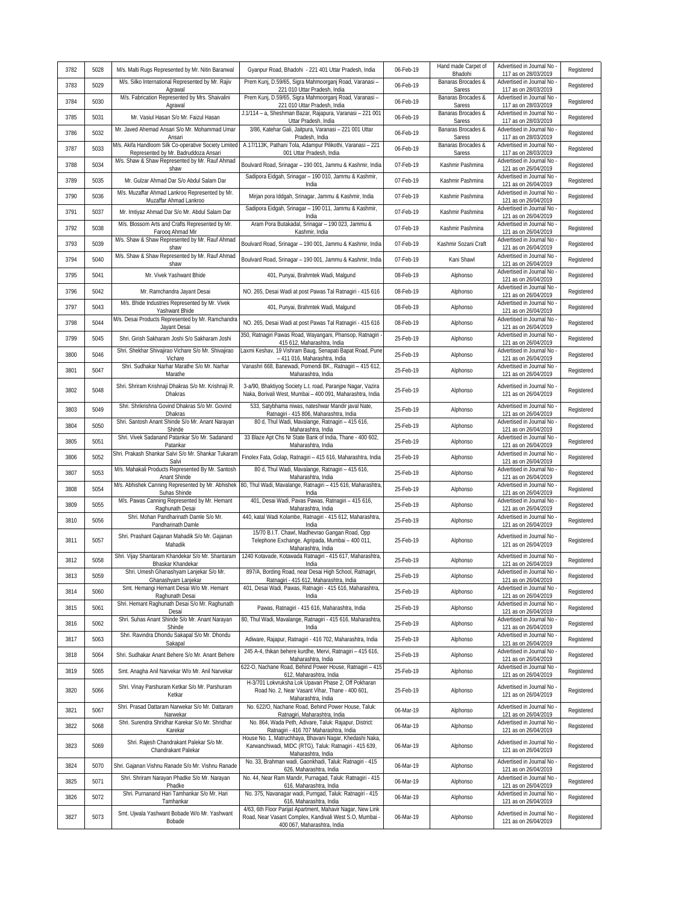|      |      |                                                                                                   |                                                                                                                                                    |           | Hand made Carpet of          | Advertised in Journal No                                                 |            |
|------|------|---------------------------------------------------------------------------------------------------|----------------------------------------------------------------------------------------------------------------------------------------------------|-----------|------------------------------|--------------------------------------------------------------------------|------------|
| 3782 | 5028 | M/s. Malti Rugs Represented by Mr. Nitin Baranwal                                                 | Gyanpur Road, Bhadohi - 221 401 Uttar Pradesh, India                                                                                               | 06-Feb-19 | Bhadohi                      | 117 as on 28/03/2019                                                     | Registered |
| 3783 | 5029 | M/s. Silko International Represented by Mr. Rajiv<br>Agrawal                                      | Prem Kunj, D.59/65, Sigra Mahmoorganj Road, Varanasi -<br>221 010 Uttar Pradesh, India                                                             | 06-Feb-19 | Banaras Brocades &<br>Saress | Advertised in Journal No<br>117 as on 28/03/2019                         | Registered |
| 3784 | 5030 | M/s. Fabrication Represented by Mrs. Shaivalini<br>Agrawal                                        | Prem Kunj, D.59/65, Sigra Mahmoorganj Road, Varanasi -<br>221 010 Uttar Pradesh, India                                                             | 06-Feb-19 | Banaras Brocades &<br>Saress | Advertised in Journal No<br>117 as on 28/03/2019                         | Registered |
| 3785 | 5031 | Mr. Vasiul Hasan S/o Mr. Faizul Hasan                                                             | J.1/114 - a, Sheshman Bazar, Rajapura, Varanasi - 221 001<br>Uttar Pradesh, India                                                                  | 06-Feb-19 | Banaras Brocades &<br>Saress | Advertised in Journal No<br>117 as on 28/03/2019                         | Registered |
| 3786 | 5032 | Mr. Javed Ahemad Ansari S/o Mr. Mohammad Umar<br>Ansari                                           | 3/86, Katehar Gali, Jaitpura, Varanasi - 221 001 Uttar<br>Pradesh, India                                                                           | 06-Feb-19 | Banaras Brocades &<br>Saress | Advertised in Journal No<br>117 as on 28/03/2019                         | Registered |
| 3787 | 5033 | M/s. Akifa Handloom Silk Co-operative Society Limited<br>Represented by Mr. Badruddoza Ansari     | A.17/113K, Pathani Tola, Adampur Pilikothi, Varanasi - 221<br>001 Uttar Pradesh, India                                                             | 06-Feb-19 | Banaras Brocades &<br>Saress | Advertised in Journal No<br>117 as on 28/03/2019                         | Registered |
| 3788 | 5034 | M/s. Shaw & Shaw Represented by Mr. Rauf Ahmad<br>shaw                                            | Boulvard Road, Srinagar - 190 001, Jammu & Kashmir, India                                                                                          | 07-Feb-19 | Kashmir Pashmina             | Advertised in Journal No<br>121 as on 26/04/2019                         | Registered |
| 3789 | 5035 | Mr. Gulzar Ahmad Dar S/o Abdul Salam Dar                                                          | Sadipora Eidgah, Srinagar - 190 010, Jammu & Kashmir,<br>India                                                                                     | 07-Feb-19 | Kashmir Pashmina             | Advertised in Journal No<br>121 as on 26/04/2019                         | Registered |
| 3790 | 5036 | M/s. Muzaffar Ahmad Lankroo Represented by Mr.<br>Muzaffar Ahmad Lankroo                          | Mirjan pora Iddgah, Srinagar, Jammu & Kashmir, India                                                                                               | 07-Feb-19 | Kashmir Pashmina             | Advertised in Journal No<br>121 as on 26/04/2019                         | Registered |
| 3791 | 5037 | Mr. Imtiyaz Ahmad Dar S/o Mr. Abdul Salam Dar                                                     | Sadipora Eidgah, Srinagar - 190 011, Jammu & Kashmir,<br>India                                                                                     | 07-Feb-19 | Kashmir Pashmina             | Advertised in Journal No<br>121 as on 26/04/2019                         | Registered |
| 3792 | 5038 | M/s. Blossom Arts and Crafts Represented by Mr.<br>Farooq Ahmad Mir                               | Aram Pora Butakadal, Srinagar - 190 023, Jammu &<br>Kashmir, India                                                                                 | 07-Feb-19 | Kashmir Pashmina             | Advertised in Journal No<br>121 as on 26/04/2019                         | Registered |
| 3793 | 5039 | M/s. Shaw & Shaw Represented by Mr. Rauf Ahmad<br>shaw                                            | Boulvard Road, Srinagar - 190 001, Jammu & Kashmir, India                                                                                          | 07-Feb-19 | Kashmir Sozani Craft         | Advertised in Journal No<br>121 as on 26/04/2019                         | Registered |
| 3794 | 5040 | M/s. Shaw & Shaw Represented by Mr. Rauf Ahmad                                                    | Boulvard Road, Srinagar - 190 001, Jammu & Kashmir, India                                                                                          | 07-Feb-19 | Kani Shawl                   | Advertised in Journal No -                                               | Registered |
| 3795 | 5041 | shaw<br>Mr. Vivek Yashwant Bhide                                                                  | 401, Punyai, Brahmtek Wadi, Malgund                                                                                                                | 08-Feb-19 | Alphonso                     | 121 as on 26/04/2019<br>Advertised in Journal No                         | Registered |
| 3796 | 5042 | Mr. Ramchandra Jayant Desai                                                                       | NO. 265, Desai Wadi at post Pawas Tal Ratnagiri - 415 616                                                                                          | 08-Feb-19 | Alphonso                     | 121 as on 26/04/2019<br>Advertised in Journal No                         | Registered |
| 3797 | 5043 | M/s. Bhide Industries Represented by Mr. Vivek                                                    | 401, Punyai, Brahmtek Wadi, Malgund                                                                                                                | 08-Feb-19 | Alphonso                     | 121 as on 26/04/2019<br>Advertised in Journal No                         | Registered |
| 3798 | 5044 | Yashwant Bhide<br>M/s. Desai Products Represented by Mr. Ramchandra                               | NO. 265, Desai Wadi at post Pawas Tal Ratnagiri - 415 616                                                                                          | 08-Feb-19 | Alphonso                     | 121 as on 26/04/2019<br>Advertised in Journal No                         | Registered |
| 3799 | 5045 | Jayant Desai<br>Shri. Girish Sakharam Joshi S/o Sakharam Joshi                                    | 350, Ratnagiri Pawas Road, Wayangani, Phansop, Ratnagiri                                                                                           | 25-Feb-19 |                              | 121 as on 26/04/2019<br>Advertised in Journal No                         | Registered |
|      |      | Shri. Shekhar Shivajirao Vichare S/o Mr. Shivajirao                                               | 415 612, Maharashtra, India<br>axmi Keshav, 19 Vishram Baug, Senapati Bapat Road, Pune                                                             |           | Alphonso                     | 121 as on 26/04/2019<br>Advertised in Journal No                         |            |
| 3800 | 5046 | Vichare<br>Shri. Sudhakar Narhar Marathe S/o Mr. Narhar                                           | - 411 016, Maharashtra, India<br>Vanashri 668, Banewadi, Pomendi BK., Ratnagiri - 415 612,                                                         | 25-Feb-19 | Alphonso                     | 121 as on 26/04/2019<br>Advertised in Journal No                         | Registered |
| 3801 | 5047 | Marathe                                                                                           | Maharashtra, India                                                                                                                                 | 25-Feb-19 | Alphonso                     | 121 as on 26/04/2019                                                     | Registered |
| 3802 | 5048 | Shri. Shriram Krishnaji Dhakras S/o Mr. Krishnaji R.<br>Dhakras                                   | 3-a/90, Bhaktiyog Society L.t. road, Paranjpe Nagar, Vazira<br>Naka, Borivali West, Mumbai - 400 091, Maharashtra, India                           | 25-Feb-19 | Alphonso                     | Advertised in Journal No -<br>121 as on 26/04/2019                       | Registered |
| 3803 | 5049 | Shri. Shrikrishna Govind Dhakras S/o Mr. Govind<br>Dhakras                                        | 533, Satybhama niwas, nateshwar Mandir javal Nate,<br>Ratnagiri - 415 806, Maharashtra, India                                                      | 25-Feb-19 | Alphonso                     | Advertised in Journal No<br>121 as on 26/04/2019                         | Registered |
| 3804 | 5050 | Shri. Santosh Anant Shinde S/o Mr. Anant Narayan<br>Shinde                                        | 80 d, Thul Wadi, Mavalange, Ratnagiri - 415 616,<br>Maharashtra, India                                                                             | 25-Feb-19 | Alphonso                     | Advertised in Journal No<br>121 as on 26/04/2019                         | Registered |
| 3805 | 5051 | Shri. Vivek Sadanand Patankar S/o Mr. Sadanand<br>Patankar                                        | 33 Blaze Apt Chs Nr State Bank of India, Thane - 400 602,<br>Maharashtra, India                                                                    | 25-Feb-19 | Alphonso                     | Advertised in Journal No<br>121 as on 26/04/2019                         | Registered |
| 3806 | 5052 | Shri. Prakash Shankar Salvi S/o Mr. Shankar Tukaram<br>Salvi                                      | Finolex Fata, Golap, Ratnagiri - 415 616, Maharashtra, India                                                                                       | 25-Feb-19 | Alphonso                     | Advertised in Journal No<br>121 as on 26/04/2019                         | Registered |
| 3807 | 5053 | M/s. Mahakali Products Represented By Mr. Santosh<br>Anant Shinde                                 | 80 d, Thul Wadi, Mavalange, Ratnagiri - 415 616,<br>Maharashtra, India                                                                             | 25-Feb-19 | Alphonso                     | Advertised in Journal No<br>121 as on 26/04/2019                         | Registered |
| 3808 | 5054 | Suhas Shinde                                                                                      | M/s. Abhishek Canning Represented by Mr. Abhishek 80, Thul Wadi, Mavalange, Ratnagiri - 415 616, Maharashtra<br>India                              | 25-Feb-19 | Alphonso                     | Advertised in Journal No<br>121 as on 26/04/2019                         | Registered |
| 3809 | 5055 | M/s. Pawas Canning Represented by Mr. Hemant<br>Raghunath Desai                                   | 401, Desai Wadi, Pavas Pawas, Ratnagiri - 415 616,<br>Maharashtra, India                                                                           | 25-Feb-19 | Alphonso                     | Advertised in Journal No<br>121 as on 26/04/2019                         | Registered |
| 3810 | 5056 | Shri. Mohan Pandharinath Damle S/o Mr.<br>Pandharinath Damle                                      | 440, katal Wadi Kolambe, Ratnagiri - 415 612, Maharashtra,<br>India                                                                                | 25-Feb-19 | Alphonso                     | Advertised in Journal No<br>121 as on 26/04/2019                         | Registered |
| 3811 | 5057 | Shri. Prashant Gajanan Mahadik S/o Mr. Gajanan<br>Mahadik                                         | 15/70 B.I.T. Chawl, Madhevrao Gangan Road, Opp<br>Telephone Exchange, Agripada, Mumbai - 400 011,<br>Maharashtra, India                            | 25-Feb-19 | Alphonso                     | Advertised in Journal No -<br>121 as on 26/04/2019                       | Registered |
| 3812 | 5058 | Shri. Vijay Shantaram Khandekar S/o Mr. Shantaram<br>Bhaskar Khandekar                            | 1240 Kotavade, Kotawada Ratnagiri - 415 617, Maharashtra,<br>India                                                                                 | 25-Feb-19 | Alphonso                     | Advertised in Journal No<br>121 as on 26/04/2019                         | Registered |
| 3813 | 5059 | Shri. Umesh Ghanashyam Lanjekar S/o Mr.<br>Ghanashyam Lanjekar                                    | 897/A, Bording Road, near Desai High School, Ratnagiri,<br>Ratnagiri - 415 612, Maharashtra, India                                                 | 25-Feb-19 | Alphonso                     | Advertised in Journal No -<br>121 as on 26/04/2019                       | Registered |
| 3814 | 5060 | Smt. Hemangi Hemant Desai W/o Mr. Hemant<br>Raghunath Desai                                       | 401, Desai Wadi, Pawas, Ratnagiri - 415 616, Maharashtra,<br>India                                                                                 | 25-Feb-19 | Alphonso                     | Advertised in Journal No<br>121 as on 26/04/2019                         | Registered |
| 3815 | 5061 | Shri. Hemant Raghunath Desai S/o Mr. Raghunath<br>Desai                                           | Pawas, Ratnagiri - 415 616, Maharashtra, India                                                                                                     | 25-Feb-19 | Alphonso                     | Advertised in Journal No<br>121 as on 26/04/2019                         | Registered |
| 3816 | 5062 | Shri. Suhas Anant Shinde S/o Mr. Anant Narayan<br>Shinde                                          | 80, Thul Wadi, Mavalange, Ratnagiri - 415 616, Maharashtra,<br>India                                                                               | 25-Feb-19 | Alphonso                     | Advertised in Journal No<br>121 as on 26/04/2019                         | Registered |
| 3817 | 5063 | Shri. Ravindra Dhondu Sakapal S/o Mr. Dhondu                                                      | Adiware, Rajapur, Ratnagiri - 416 702, Maharashtra, India                                                                                          | 25-Feb-19 | Alphonso                     | Advertised in Journal No                                                 | Registered |
| 3818 | 5064 | Sakapal<br>Shri. Sudhakar Anant Behere S/o Mr. Anant Behere                                       | 245 A-4, thikan behere kurdhe, Mervi, Ratnagiri - 415 616,                                                                                         | 25-Feb-19 | Alphonso                     | 121 as on 26/04/2019<br>Advertised in Journal No                         | Registered |
| 3819 | 5065 | Smt. Anagha Anil Narvekar W/o Mr. Anil Narvekar                                                   | Maharashtra, India<br>622-O, Nachane Road, Behind Power House, Ratnagiri - 415                                                                     | 25-Feb-19 | Alphonso                     | 121 as on 26/04/2019<br>Advertised in Journal No                         | Registered |
| 3820 | 5066 | Shri. Vinay Parshuram Ketkar S/o Mr. Parshuram<br>Ketkar                                          | 612, Maharashtra, India<br>H-3/701 Lokvruksha Lok Upavan Phase 2, Off Pokharan<br>Road No. 2, Near Vasant Vihar, Thane - 400 601,                  | 25-Feb-19 | Alphonso                     | 121 as on 26/04/2019<br>Advertised in Journal No<br>121 as on 26/04/2019 | Registered |
| 3821 | 5067 | Shri. Prasad Dattaram Narwekar S/o Mr. Dattaram                                                   | Maharashtra, India<br>No. 622/O, Nachane Road, Behind Power House, Taluk:                                                                          | 06-Mar-19 | Alphonso                     | Advertised in Journal No                                                 | Registered |
| 3822 | 5068 | Narwekar<br>Shri. Surendra Shridhar Karekar S/o Mr. Shridhar                                      | Ratnagiri, Maharashtra, India<br>No. 864, Wada Peth, Adivare, Taluk: Rajapur, District:                                                            | 06-Mar-19 | Alphonso                     | 121 as on 26/04/2019<br>Advertised in Journal No                         | Registered |
|      |      | Karekar<br>Shri. Rajesh Chandrakant Palekar S/o Mr.                                               | Ratnagiri - 416 707 Maharashtra, India<br>House No. 1, Matruchhaya, Bhavani Nagar, Khedashi Naka,                                                  |           |                              | 121 as on 26/04/2019<br>Advertised in Journal No -                       |            |
| 3823 | 5069 | Chandrakant Palekar                                                                               | Karwanchiwadi, MIDC (RTG), Taluk: Ratnagiri - 415 639,<br>Maharashtra, India<br>No. 33, Brahman wadi, Gaonkhadi, Taluk: Ratnagiri - 415            | 06-Mar-19 | Alphonso                     | 121 as on 26/04/2019<br>Advertised in Journal No                         | Registered |
| 3824 | 5070 | Shri. Gajanan Vishnu Ranade S/o Mr. Vishnu Ranade<br>Shri. Shriram Narayan Phadke S/o Mr. Narayan | 626, Maharashtra, India<br>No. 44, Near Ram Mandir, Purnagad, Taluk: Ratnagiri - 415                                                               | 06-Mar-19 | Alphonso                     | 121 as on 26/04/2019<br>Advertised in Journal No                         | Registered |
| 3825 | 5071 | Phadke<br>Shri. Purnanand Hari Tamhankar S/o Mr. Hari                                             | 616, Maharashtra, India<br>No. 375, Navanagar wadi, Purngad, Taluk: Ratnagiri - 415                                                                | 06-Mar-19 | Alphonso                     | 121 as on 26/04/2019<br>Advertised in Journal No                         | Registered |
| 3826 | 5072 | Tamhankar                                                                                         | 616, Maharashtra, India                                                                                                                            | 06-Mar-19 | Alphonso                     | 121 as on 26/04/2019                                                     | Registered |
| 3827 | 5073 | Smt. Ujwala Yashwant Bobade W/o Mr. Yashwant<br>Bobade                                            | 4/63, 6th Floor Parijat Apartment, Mahavir Nagar, New Link<br>Road, Near Vasant Complex, Kandivali West S.O, Mumbai<br>400 067, Maharashtra, India | 06-Mar-19 | Alphonso                     | Advertised in Journal No<br>121 as on 26/04/2019                         | Registered |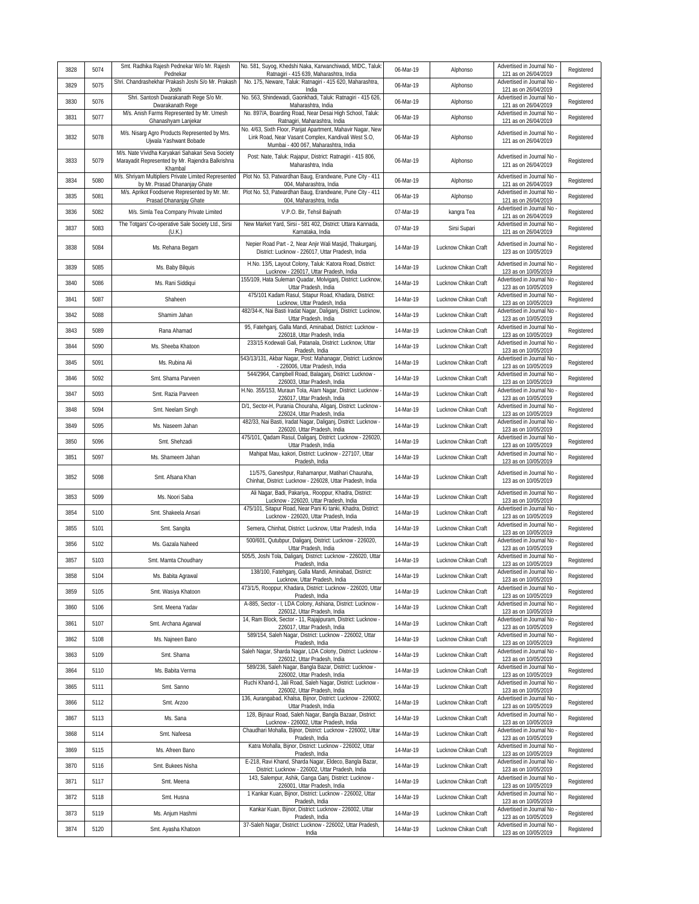| 3828 | 5074 | Smt. Radhika Rajesh Pednekar W/o Mr. Rajesh<br>Pednekar                                                          | No. 581, Suyog, Khedshi Naka, Karwanchiwadi, MIDC, Taluk:<br>Ratnagiri - 415 639, Maharashtra, India                                                        | 06-Mar-19 | Alphonso             | Advertised in Journal No -<br>121 as on 26/04/2019 | Registered |
|------|------|------------------------------------------------------------------------------------------------------------------|-------------------------------------------------------------------------------------------------------------------------------------------------------------|-----------|----------------------|----------------------------------------------------|------------|
| 3829 | 5075 | Shri. Chandrashekhar Prakash Joshi S/o Mr. Prakash<br>Joshi                                                      | No. 175, Neware, Taluk: Ratnagiri - 415 620, Maharashtra,<br>India                                                                                          | 06-Mar-19 | Alphonso             | Advertised in Journal No -<br>121 as on 26/04/2019 | Registered |
| 3830 | 5076 | Shri. Santosh Dwarakanath Rege S/o Mr.<br>Dwarakanath Rege                                                       | No. 563, Shindewadi, Gaonkhadi, Taluk: Ratnagiri - 415 626,<br>Maharashtra, India                                                                           | 06-Mar-19 | Alphonso             | Advertised in Journal No -<br>121 as on 26/04/2019 | Registered |
| 3831 | 5077 | M/s. Anish Farms Represented by Mr. Umesh<br>Ghanashyam Lanjekar                                                 | No. 897/A, Boarding Road, Near Desai High School, Taluk:<br>Ratnagiri, Maharashtra, India                                                                   | 06-Mar-19 | Alphonso             | Advertised in Journal No<br>121 as on 26/04/2019   | Registered |
| 3832 | 5078 | M/s. Nisarg Agro Products Represented by Mrs.<br>Ujwala Yashwant Bobade                                          | No. 4/63, Sixth Floor, Parijat Apartment, Mahavir Nagar, New<br>Link Road, Near Vasant Complex, Kandivali West S.O,<br>Mumbai - 400 067, Maharashtra, India | 06-Mar-19 | Alphonso             | Advertised in Journal No -<br>121 as on 26/04/2019 | Registered |
| 3833 | 5079 | M/s. Nate Vividha Karyakari Sahakari Seva Society<br>Marayadit Represented by Mr. Rajendra Balkrishna<br>Khambal | Post: Nate, Taluk: Rajapur, District: Ratnagiri - 415 806,<br>Maharashtra, India                                                                            | 06-Mar-19 | Alphonso             | Advertised in Journal No -<br>121 as on 26/04/2019 | Registered |
| 3834 | 5080 | M/s. Shriyam Multipliers Private Limited Represented<br>by Mr. Prasad Dhananjay Ghate                            | Plot No. 53, Patwardhan Baug, Erandwane, Pune City - 411<br>004, Maharashtra, India                                                                         | 06-Mar-19 | Alphonso             | Advertised in Journal No -<br>121 as on 26/04/2019 | Registered |
| 3835 | 5081 | M/s. Aprikot Foodserve Represented by Mr. Mr.<br>Prasad Dhananjay Ghate                                          | Plot No. 53, Patwardhan Baug, Erandwane, Pune City - 411<br>004, Maharashtra, India                                                                         | 06-Mar-19 | Alphonso             | Advertised in Journal No<br>121 as on 26/04/2019   | Registered |
| 3836 | 5082 | M/s. Simla Tea Company Private Limited                                                                           | V.P.O. Bir, Tehsil Baijnath                                                                                                                                 | 07-Mar-19 | kangra Tea           | Advertised in Journal No -<br>121 as on 26/04/2019 | Registered |
| 3837 | 5083 | The Totgars' Co-operative Sale Society Ltd., Sirsi<br>(U.K.)                                                     | New Market Yard, Sirsi - 581 402, District: Uttara Kannada,<br>Karnataka, India                                                                             | 07-Mar-19 | Sirsi Supari         | Advertised in Journal No -<br>121 as on 26/04/2019 | Registered |
| 3838 | 5084 | Ms. Rehana Begam                                                                                                 | Nepier Road Part - 2, Near Anjir Wali Masjid, Thakurganj,<br>District: Lucknow - 226017, Uttar Pradesh, India                                               | 14-Mar-19 | Lucknow Chikan Craft | Advertised in Journal No -<br>123 as on 10/05/2019 | Registered |
| 3839 | 5085 | Ms. Baby Bilquis                                                                                                 | H.No. 13/5, Layout Colony, Taluk: Katora Road, District:<br>Lucknow - 226017, Uttar Pradesh, India                                                          | 14-Mar-19 | Lucknow Chikan Craft | Advertised in Journal No -<br>123 as on 10/05/2019 | Registered |
| 3840 | 5086 | Ms. Rani Siddiqui                                                                                                | 155/109, Hata Suleman Quadar, Molviganj, District: Lucknow,<br>Uttar Pradesh, India                                                                         | 14-Mar-19 | Lucknow Chikan Craft | Advertised in Journal No -<br>123 as on 10/05/2019 | Registered |
| 3841 | 5087 | Shaheen                                                                                                          | 475/101 Kadam Rasul, Sitapur Road, Khadara, District:<br>Lucknow, Uttar Pradesh, India                                                                      | 14-Mar-19 | Lucknow Chikan Craft | Advertised in Journal No<br>123 as on 10/05/2019   | Registered |
| 3842 | 5088 | Shamim Jahan                                                                                                     | 482/34-K, Nai Basti Iradat Nagar, Daliganj, District: Lucknow,<br>Uttar Pradesh, India                                                                      | 14-Mar-19 | Lucknow Chikan Craft | Advertised in Journal No -<br>123 as on 10/05/2019 | Registered |
| 3843 | 5089 | Rana Ahamad                                                                                                      | 95, Fatehgani, Galla Mandi, Aminabad, District: Lucknow -<br>226018, Uttar Pradesh, India                                                                   | 14-Mar-19 | Lucknow Chikan Craft | Advertised in Journal No<br>123 as on 10/05/2019   | Registered |
| 3844 | 5090 | Ms. Sheeba Khatoon                                                                                               | 233/15 Kodewali Gali, Patanala, District: Lucknow, Uttar<br>Pradesh, India                                                                                  | 14-Mar-19 | Lucknow Chikan Craft | Advertised in Journal No -<br>123 as on 10/05/2019 | Registered |
| 3845 | 5091 | Ms. Rubina Ali                                                                                                   | 543/13/131, Akbar Nagar, Post: Mahanagar, District: Lucknow<br>- 226006, Uttar Pradesh, India                                                               | 14-Mar-19 | Lucknow Chikan Craft | Advertised in Journal No -<br>123 as on 10/05/2019 | Registered |
| 3846 | 5092 | Smt. Shama Parveen                                                                                               | 544/2964, Campbell Road, Balaganj, District: Lucknow -<br>226003, Uttar Pradesh, India                                                                      | 14-Mar-19 | Lucknow Chikan Craft | Advertised in Journal No<br>123 as on 10/05/2019   | Registered |
| 3847 | 5093 | Smt. Razia Parveen                                                                                               | H.No. 355/153, Muraun Tola, Alam Nagar, District: Lucknow -<br>226017, Uttar Pradesh, India                                                                 | 14-Mar-19 | Lucknow Chikan Craft | Advertised in Journal No -<br>123 as on 10/05/2019 | Registered |
| 3848 | 5094 | Smt. Neelam Singh                                                                                                | D/1, Sector-H, Purania Chouraha, Aliganj, District: Lucknow -<br>226024, Uttar Pradesh, India                                                               | 14-Mar-19 | Lucknow Chikan Craft | Advertised in Journal No -<br>123 as on 10/05/2019 | Registered |
| 3849 | 5095 | Ms. Naseem Jahan                                                                                                 | 482/33, Nai Basti, Iradat Nagar, Daliganj, District: Lucknow<br>226020, Uttar Pradesh, India                                                                | 14-Mar-19 | Lucknow Chikan Craft | Advertised in Journal No<br>123 as on 10/05/2019   | Registered |
| 3850 | 5096 | Smt. Shehzadi                                                                                                    | 475/101, Qadam Rasul, Daliganj, District: Lucknow - 226020,<br>Uttar Pradesh, India                                                                         | 14-Mar-19 | Lucknow Chikan Craft | Advertised in Journal No -<br>123 as on 10/05/2019 | Registered |
| 3851 | 5097 | Ms. Shameem Jahan                                                                                                | Mahipat Mau, kakori, District: Lucknow - 227107, Uttar<br>Pradesh, India                                                                                    | 14-Mar-19 | Lucknow Chikan Craft | Advertised in Journal No -<br>123 as on 10/05/2019 | Registered |
| 3852 | 5098 | Smt. Afsana Khan                                                                                                 | 11/575, Ganeshpur, Rahamanpur, Matihari Chauraha,<br>Chinhat, District: Lucknow - 226028, Uttar Pradesh, India                                              | 14-Mar-19 | Lucknow Chikan Craft | Advertised in Journal No -<br>123 as on 10/05/2019 | Registered |
| 3853 | 5099 | Ms. Noori Saba                                                                                                   | Ali Nagar, Badi, Pakariya,. Rooppur, Khadra, District:<br>Lucknow - 226020, Uttar Pradesh, India                                                            | 14-Mar-19 | Lucknow Chikan Craft | Advertised in Journal No -<br>123 as on 10/05/2019 | Registered |
| 3854 | 5100 | Smt. Shakeela Ansari                                                                                             | 475/101, Sitapur Road, Near Pani Ki tanki, Khadra, District:<br>Lucknow - 226020, Uttar Pradesh, India                                                      | 14-Mar-19 | Lucknow Chikan Craft | Advertised in Journal No -<br>123 as on 10/05/2019 | Registered |
| 3855 | 5101 | Smt. Sangita                                                                                                     | Semera, Chinhat, District: Lucknow, Uttar Pradesh, India                                                                                                    | 14-Mar-19 | Lucknow Chikan Craft | Advertised in Journal No<br>123 as on 10/05/2019   | Registered |
| 3856 | 5102 | Ms. Gazala Naheed                                                                                                | 500/601, Qutubpur, Daliganj, District: Lucknow - 226020,<br>Uttar Pradesh, India                                                                            | 14-Mar-19 | Lucknow Chikan Craft | Advertised in Journal No -<br>123 as on 10/05/2019 | Registered |
| 3857 | 5103 | Smt. Mamta Choudhary                                                                                             | 505/5, Joshi Tola, Daliganj, District: Lucknow - 226020, Uttar<br>Pradesh, India                                                                            | 14-Mar-19 | Lucknow Chikan Craft | Advertised in Journal No -<br>123 as on 10/05/2019 | Registered |
| 3858 | 5104 | Ms. Babita Agrawal                                                                                               | 138/100, Fatehganj, Galla Mandi, Aminabad, District:<br>Lucknow, Uttar Pradesh, India                                                                       | 14-Mar-19 | Lucknow Chikan Craft | Advertised in Journal No -<br>123 as on 10/05/2019 | Registered |
| 3859 | 5105 | Smt. Wasiya Khatoon                                                                                              | 473/1/5, Rooppur, Khadara, District: Lucknow - 226020, Uttar<br>Pradesh, India                                                                              | 14-Mar-19 | Lucknow Chikan Craft | Advertised in Journal No -<br>123 as on 10/05/2019 | Registered |
| 3860 | 5106 | Smt. Meena Yadav                                                                                                 | A-885, Sector - I, LDA Colony, Ashiana, District: Lucknow -<br>226012, Uttar Pradesh, India                                                                 | 14-Mar-19 | Lucknow Chikan Craft | Advertised in Journal No -<br>123 as on 10/05/2019 | Registered |
| 3861 | 5107 | Smt. Archana Agarwal                                                                                             | 14, Ram Block, Sector - 11, Rajajipuram, District: Lucknow -<br>226017, Uttar Pradesh, India                                                                | 14-Mar-19 | Lucknow Chikan Craft | Advertised in Journal No -<br>123 as on 10/05/2019 | Registered |
| 3862 | 5108 | Ms. Najneen Bano                                                                                                 | 589/154, Saleh Nagar, District: Lucknow - 226002, Uttar<br>Pradesh, India                                                                                   | 14-Mar-19 | Lucknow Chikan Craft | Advertised in Journal No -<br>123 as on 10/05/2019 | Registered |
| 3863 | 5109 | Smt. Shama                                                                                                       | Saleh Nagar, Sharda Nagar, LDA Colony, District: Lucknow -<br>226012, Uttar Pradesh, India                                                                  | 14-Mar-19 | Lucknow Chikan Craft | Advertised in Journal No -<br>123 as on 10/05/2019 | Registered |
| 3864 | 5110 | Ms. Babita Verma                                                                                                 | 589/236, Saleh Nagar, Bangla Bazar, District: Lucknow -<br>226002, Uttar Pradesh, India                                                                     | 14-Mar-19 | Lucknow Chikan Craft | Advertised in Journal No -<br>123 as on 10/05/2019 | Registered |
| 3865 | 5111 | Smt. Sanno                                                                                                       | Ruchi Khand-1, Jali Road, Saleh Nagar, District: Lucknow -<br>226002, Uttar Pradesh, India                                                                  | 14-Mar-19 | Lucknow Chikan Craft | Advertised in Journal No -<br>123 as on 10/05/2019 | Registered |
| 3866 | 5112 | Smt. Arzoo                                                                                                       | 136, Aurangabad, Khalsa, Bijnor, District: Lucknow - 226002,<br>Uttar Pradesh, India                                                                        | 14-Mar-19 | Lucknow Chikan Craft | Advertised in Journal No -<br>123 as on 10/05/2019 | Registered |
| 3867 | 5113 | Ms. Sana                                                                                                         | 128, Bijnaur Road, Saleh Nagar, Bangla Bazaar, District:<br>Lucknow - 226002, Uttar Pradesh, India                                                          | 14-Mar-19 | Lucknow Chikan Craft | Advertised in Journal No -<br>123 as on 10/05/2019 | Registered |
| 3868 | 5114 | Smt. Nafeesa                                                                                                     | Chaudhari Mohalla, Bijnor, District: Lucknow - 226002, Uttar<br>Pradesh, India                                                                              | 14-Mar-19 | Lucknow Chikan Craft | Advertised in Journal No<br>123 as on 10/05/2019   | Registered |
| 3869 | 5115 | Ms. Afreen Bano                                                                                                  | Katra Mohalla, Bijnor, District: Lucknow - 226002, Uttar<br>Pradesh, India                                                                                  | 14-Mar-19 | Lucknow Chikan Craft | Advertised in Journal No -<br>123 as on 10/05/2019 | Registered |
| 3870 | 5116 | Smt. Bukees Nisha                                                                                                | E-218, Ravi Khand, Sharda Nagar, Eldeco, Bangla Bazar,<br>District: Lucknow - 226002, Uttar Pradesh, India                                                  | 14-Mar-19 | Lucknow Chikan Craft | Advertised in Journal No -<br>123 as on 10/05/2019 | Registered |
| 3871 | 5117 | Smt. Meena                                                                                                       | 143, Salempur, Ashik, Ganga Ganj, District: Lucknow -<br>226001, Uttar Pradesh, India                                                                       | 14-Mar-19 | Lucknow Chikan Craft | Advertised in Journal No -<br>123 as on 10/05/2019 | Registered |
| 3872 | 5118 | Smt. Husna                                                                                                       | 1 Kankar Kuan, Bijnor, District: Lucknow - 226002, Uttar<br>Pradesh, India                                                                                  | 14-Mar-19 | Lucknow Chikan Craft | Advertised in Journal No -<br>123 as on 10/05/2019 | Registered |
| 3873 | 5119 | Ms. Anjum Hashmi                                                                                                 | Kankar Kuan, Bijnor, District: Lucknow - 226002, Uttar<br>Pradesh, India                                                                                    | 14-Mar-19 | Lucknow Chikan Craft | Advertised in Journal No -<br>123 as on 10/05/2019 | Registered |
| 3874 | 5120 | Smt. Ayasha Khatoon                                                                                              | 37-Saleh Nagar, District: Lucknow - 226002, Uttar Pradesh,<br>India                                                                                         | 14-Mar-19 | Lucknow Chikan Craft | Advertised in Journal No -<br>123 as on 10/05/2019 | Registered |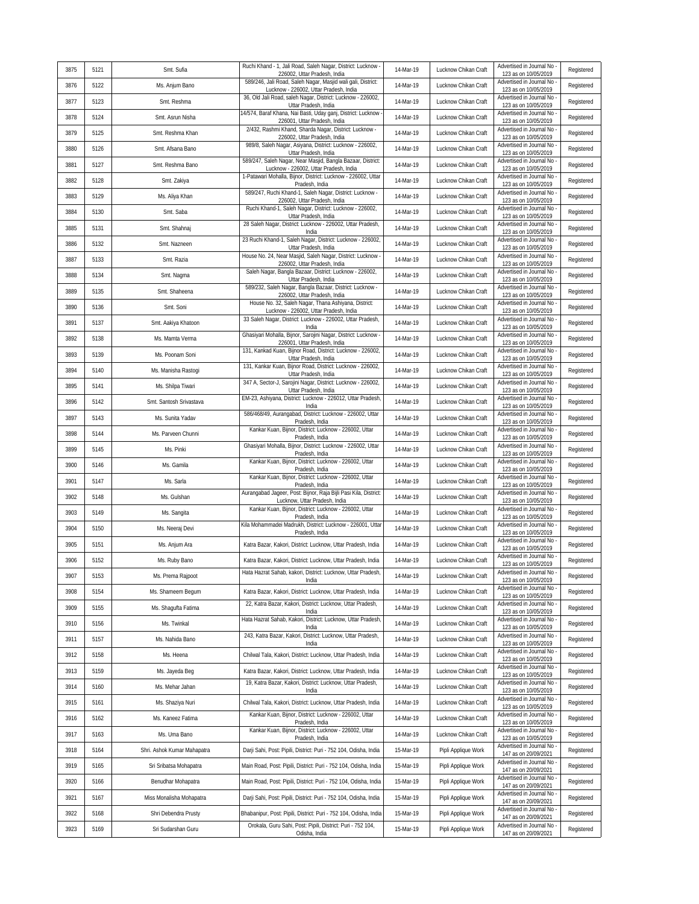| 3875 | 5121 | Smt. Sufia                  | Ruchi Khand - 1, Jali Road, Saleh Nagar, District: Lucknow -<br>226002, Uttar Pradesh, India           | 14-Mar-19 | Lucknow Chikan Craft | Advertised in Journal No<br>123 as on 10/05/2019   | Registered |
|------|------|-----------------------------|--------------------------------------------------------------------------------------------------------|-----------|----------------------|----------------------------------------------------|------------|
| 3876 | 5122 | Ms. Anjum Bano              | 589/246, Jali Road, Saleh Nagar, Masjid wali gali, District:<br>Lucknow - 226002, Uttar Pradesh, India | 14-Mar-19 | Lucknow Chikan Craft | Advertised in Journal No<br>123 as on 10/05/2019   | Registered |
| 3877 | 5123 | Smt. Reshma                 | 36, Old Jali Road, saleh Nagar, District: Lucknow - 226002,<br>Uttar Pradesh, India                    | 14-Mar-19 | Lucknow Chikan Craft | Advertised in Journal No<br>123 as on 10/05/2019   | Registered |
| 3878 | 5124 | Smt. Asrun Nisha            | 14/574, Baraf Khana, Nai Basti, Uday ganj, District: Lucknow<br>226001, Uttar Pradesh, India           | 14-Mar-19 | Lucknow Chikan Craft | Advertised in Journal No<br>123 as on 10/05/2019   | Registered |
| 3879 | 5125 | Smt. Reshma Khan            | 2/432, Rashmi Khand, Sharda Nagar, District: Lucknow -<br>226002, Uttar Pradesh, India                 | 14-Mar-19 | Lucknow Chikan Craft | Advertised in Journal No<br>123 as on 10/05/2019   | Registered |
| 3880 | 5126 | Smt. Afsana Bano            | 989/8, Saleh Nagar, Asiyana, District: Lucknow - 226002,<br>Uttar Pradesh, India                       | 14-Mar-19 | Lucknow Chikan Craft | Advertised in Journal No<br>123 as on 10/05/2019   | Registered |
| 3881 | 5127 | Smt. Reshma Bano            | 589/247, Saleh Nagar, Near Masjid, Bangla Bazaar, District:<br>Lucknow - 226002, Uttar Pradesh, India  | 14-Mar-19 | Lucknow Chikan Craft | Advertised in Journal No<br>123 as on 10/05/2019   | Registered |
| 3882 | 5128 | Smt. Zakiya                 | 1-Patawari Mohalla, Bijnor, District: Lucknow - 226002, Uttar<br>Pradesh, India                        | 14-Mar-19 | Lucknow Chikan Craft | Advertised in Journal No<br>123 as on 10/05/2019   | Registered |
| 3883 | 5129 | Ms. Aliya Khan              | 589/247, Ruchi Khand-1, Saleh Nagar, District: Lucknow -<br>226002, Uttar Pradesh, India               | 14-Mar-19 | Lucknow Chikan Craft | Advertised in Journal No<br>123 as on 10/05/2019   | Registered |
| 3884 | 5130 | Smt. Saba                   | Ruchi Khand-1, Saleh Nagar, District: Lucknow - 226002,<br>Uttar Pradesh, India                        | 14-Mar-19 | Lucknow Chikan Craft | Advertised in Journal No<br>123 as on 10/05/2019   | Registered |
| 3885 | 5131 | Smt. Shahnaj                | 28 Saleh Nagar, District: Lucknow - 226002, Uttar Pradesh,<br>India                                    | 14-Mar-19 | Lucknow Chikan Craft | Advertised in Journal No<br>123 as on 10/05/2019   | Registered |
| 3886 | 5132 | Smt. Nazneen                | 23 Ruchi Khand-1, Saleh Nagar, District: Lucknow - 226002,<br>Uttar Pradesh, India                     | 14-Mar-19 | Lucknow Chikan Craft | Advertised in Journal No<br>123 as on 10/05/2019   | Registered |
| 3887 | 5133 | Smt. Razia                  | House No. 24, Near Masjid, Saleh Nagar, District: Lucknow -<br>226002, Uttar Pradesh, India            | 14-Mar-19 | Lucknow Chikan Craft | Advertised in Journal No<br>123 as on 10/05/2019   | Registered |
| 3888 | 5134 | Smt. Nagma                  | Saleh Nagar, Bangla Bazaar, District: Lucknow - 226002,<br>Uttar Pradesh, India                        | 14-Mar-19 | Lucknow Chikan Craft | Advertised in Journal No<br>123 as on 10/05/2019   | Registered |
| 3889 | 5135 | Smt. Shaheena               | 589/232, Saleh Nagar, Bangla Bazaar, District: Lucknow -<br>226002, Uttar Pradesh, India               | 14-Mar-19 | Lucknow Chikan Craft | Advertised in Journal No<br>123 as on 10/05/2019   | Registered |
| 3890 | 5136 | Smt. Soni                   | House No. 32, Saleh Nagar, Thana Ashiyana, District:<br>Lucknow - 226002, Uttar Pradesh, India         | 14-Mar-19 | Lucknow Chikan Craft | Advertised in Journal No<br>123 as on 10/05/2019   | Registered |
| 3891 | 5137 | Smt. Aakiya Khatoon         | 33 Saleh Nagar, District: Lucknow - 226002, Uttar Pradesh,<br>India                                    | 14-Mar-19 | Lucknow Chikan Craft | Advertised in Journal No<br>123 as on 10/05/2019   | Registered |
| 3892 | 5138 | Ms. Mamta Verma             | Ghasiyari Mohalla, Bijnor, Sarojini Nagar, District: Lucknow -<br>226001, Uttar Pradesh, India         | 14-Mar-19 | Lucknow Chikan Craft | Advertised in Journal No<br>123 as on 10/05/2019   | Registered |
| 3893 | 5139 | Ms. Poonam Soni             | 131, Kankad Kuan, Bijnor Road, District: Lucknow - 226002,<br>Uttar Pradesh, India                     | 14-Mar-19 | Lucknow Chikan Craft | Advertised in Journal No<br>123 as on 10/05/2019   | Registered |
| 3894 | 5140 | Ms. Manisha Rastogi         | 131, Kankar Kuan, Bijnor Road, District: Lucknow - 226002,<br>Uttar Pradesh, India                     | 14-Mar-19 | Lucknow Chikan Craft | Advertised in Journal No<br>123 as on 10/05/2019   | Registered |
| 3895 | 5141 | Ms. Shilpa Tiwari           | 347 A, Sector-J, Sarojini Nagar, District: Lucknow - 226002,<br>Uttar Pradesh, India                   | 14-Mar-19 | Lucknow Chikan Craft | Advertised in Journal No<br>123 as on 10/05/2019   | Registered |
| 3896 | 5142 | Smt. Santosh Srivastava     | EM-23, Ashiyana, District: Lucknow - 226012, Uttar Pradesh,<br>India                                   | 14-Mar-19 | Lucknow Chikan Craft | Advertised in Journal No<br>123 as on 10/05/2019   | Registered |
| 3897 | 5143 | Ms. Sunita Yadav            | 586/468/49, Aurangabad, District: Lucknow - 226002, Uttar<br>Pradesh, India                            | 14-Mar-19 | Lucknow Chikan Craft | Advertised in Journal No -<br>123 as on 10/05/2019 | Registered |
| 3898 | 5144 | Ms. Parveen Chunni          | Kankar Kuan, Bijnor, District: Lucknow - 226002, Uttar<br>Pradesh, India                               | 14-Mar-19 | Lucknow Chikan Craft | Advertised in Journal No<br>123 as on 10/05/2019   | Registered |
| 3899 | 5145 | Ms. Pinki                   | Ghasiyari Mohalla, Bijnor, District: Lucknow - 226002, Uttar<br>Pradesh, India                         | 14-Mar-19 | Lucknow Chikan Craft | Advertised in Journal No<br>123 as on 10/05/2019   | Registered |
| 3900 | 5146 | Ms. Gamila                  | Kankar Kuan, Bijnor, District: Lucknow - 226002, Uttar<br>Pradesh, India                               | 14-Mar-19 | Lucknow Chikan Craft | Advertised in Journal No<br>123 as on 10/05/2019   | Registered |
| 3901 | 5147 | Ms. Sarla                   | Kankar Kuan, Bijnor, District: Lucknow - 226002, Uttar<br>Pradesh, India                               | 14-Mar-19 | Lucknow Chikan Craft | Advertised in Journal No<br>123 as on 10/05/2019   | Registered |
| 3902 | 5148 | Ms. Gulshan                 | Aurangabad Jageer, Post: Bijnor, Raja Bijli Pasi Kila, District:<br>Lucknow, Uttar Pradesh, India      | 14-Mar-19 | Lucknow Chikan Craft | Advertised in Journal No<br>123 as on 10/05/2019   | Registered |
| 3903 | 5149 | Ms. Sangita                 | Kankar Kuan, Bijnor, District: Lucknow - 226002, Uttar<br>Pradesh, India                               | 14-Mar-19 | Lucknow Chikan Craft | Advertised in Journal No -<br>123 as on 10/05/2019 | Registered |
| 3904 | 5150 | Ms. Neeraj Devi             | Kila Mohammadei Madrukh, District: Lucknow - 226001, Uttar<br>Pradesh, India                           | 14-Mar-19 | Lucknow Chikan Craft | Advertised in Journal No<br>123 as on 10/05/2019   | Registered |
| 3905 | 5151 | Ms. Anjum Ara               | Katra Bazar, Kakori, District: Lucknow, Uttar Pradesh, India                                           | 14-Mar-19 | Lucknow Chikan Craft | Advertised in Journal No<br>123 as on 10/05/2019   | Registered |
| 3906 | 5152 | Ms. Ruby Bano               | Katra Bazar, Kakori, District: Lucknow, Uttar Pradesh, India                                           | 14-Mar-19 | Lucknow Chikan Craft | Advertised in Journal No<br>123 as on 10/05/2019   | Registered |
| 3907 | 5153 | Ms. Prema Rajpoot           | Hata Hazrat Sahab, kakori, District: Lucknow, Uttar Pradesh<br>India                                   | 14-Mar-19 | Lucknow Chikan Craft | Advertised in Journal No<br>123 as on 10/05/2019   | Registered |
| 3908 | 5154 | Ms. Shameem Begum           | Katra Bazar, Kakori, District: Lucknow, Uttar Pradesh, India                                           | 14-Mar-19 | Lucknow Chikan Craft | Advertised in Journal No<br>123 as on 10/05/2019   | Registered |
| 3909 | 5155 | Ms. Shaqufta Fatima         | 22, Katra Bazar, Kakori, District: Lucknow, Uttar Pradesh,<br>India                                    | 14-Mar-19 | Lucknow Chikan Craft | Advertised in Journal No<br>123 as on 10/05/2019   | Registered |
| 3910 | 5156 | Ms. Twinkal                 | Hata Hazrat Sahab, Kakori, District: Lucknow, Uttar Pradesh,<br>India                                  | 14-Mar-19 | Lucknow Chikan Craft | Advertised in Journal No<br>123 as on 10/05/2019   | Registered |
| 3911 | 5157 | Ms. Nahida Bano             | 243, Katra Bazar, Kakori, District: Lucknow, Uttar Pradesh,<br>India                                   | 14-Mar-19 | Lucknow Chikan Craft | Advertised in Journal No<br>123 as on 10/05/2019   | Registered |
| 3912 | 5158 | Ms. Heena                   | Chilwal Tala, Kakori, District: Lucknow, Uttar Pradesh, India                                          | 14-Mar-19 | Lucknow Chikan Craft | Advertised in Journal No<br>123 as on 10/05/2019   | Registered |
| 3913 | 5159 | Ms. Jayeda Beg              | Katra Bazar, Kakori, District: Lucknow, Uttar Pradesh, India                                           | 14-Mar-19 | Lucknow Chikan Craft | Advertised in Journal No -<br>123 as on 10/05/2019 | Registered |
| 3914 | 5160 | Ms. Mehar Jahan             | 19, Katra Bazar, Kakori, District: Lucknow, Uttar Pradesh,<br>India                                    | 14-Mar-19 | Lucknow Chikan Craft | Advertised in Journal No<br>123 as on 10/05/2019   | Registered |
| 3915 | 5161 | Ms. Shaziya Nuri            | Chilwal Tala, Kakori, District: Lucknow, Uttar Pradesh, India                                          | 14-Mar-19 | Lucknow Chikan Craft | Advertised in Journal No<br>123 as on 10/05/2019   | Registered |
| 3916 | 5162 | Ms. Kaneez Fatima           | Kankar Kuan, Bijnor, District: Lucknow - 226002, Uttar<br>Pradesh, India                               | 14-Mar-19 | Lucknow Chikan Craft | Advertised in Journal No<br>123 as on 10/05/2019   | Registered |
| 3917 | 5163 | Ms. Uma Bano                | Kankar Kuan, Bijnor, District: Lucknow - 226002, Uttar<br>Pradesh, India                               | 14-Mar-19 | Lucknow Chikan Craft | Advertised in Journal No<br>123 as on 10/05/2019   | Registered |
| 3918 | 5164 | Shri. Ashok Kumar Mahapatra | Darji Sahi, Post: Pipili, District: Puri - 752 104, Odisha, India                                      | 15-Mar-19 | Pipli Applique Work  | Advertised in Journal No -<br>147 as on 20/09/2021 | Registered |
| 3919 | 5165 | Sri Sribatsa Mohapatra      | Main Road, Post: Pipili, District: Puri - 752 104, Odisha, India                                       | 15-Mar-19 | Pipli Applique Work  | Advertised in Journal No -<br>147 as on 20/09/2021 | Registered |
| 3920 | 5166 | Benudhar Mohapatra          | Main Road, Post: Pipili, District: Puri - 752 104, Odisha, India                                       | 15-Mar-19 | Pipli Applique Work  | Advertised in Journal No<br>147 as on 20/09/2021   | Registered |
| 3921 | 5167 | Miss Monalisha Mohapatra    | Darji Sahi, Post: Pipili, District: Puri - 752 104, Odisha, India                                      | 15-Mar-19 | Pipli Applique Work  | Advertised in Journal No -<br>147 as on 20/09/2021 | Registered |
| 3922 | 5168 | Shri Debendra Prusty        | Bhabanipur, Post: Pipili, District: Puri - 752 104, Odisha, India                                      | 15-Mar-19 | Pipli Applique Work  | Advertised in Journal No<br>147 as on 20/09/2021   | Registered |
| 3923 | 5169 | Sri Sudarshan Guru          | Orokala, Guru Sahi, Post: Pipili, District: Puri - 752 104,<br>Odisha, India                           | 15-Mar-19 | Pipli Applique Work  | Advertised in Journal No<br>147 as on 20/09/2021   | Registered |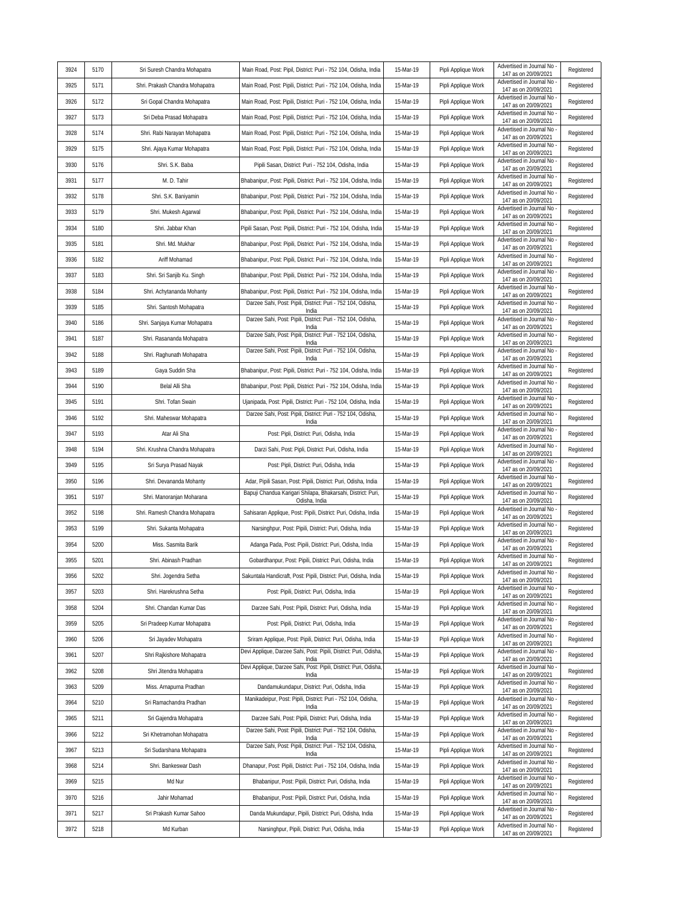| 3924 | 5170 | Sri Suresh Chandra Mohapatra    | Main Road, Post: Pipil, District: Puri - 752 104, Odisha, India                                                          | 15-Mar-19 | Pipli Applique Work | Advertised in Journal No                                                 | Registered |
|------|------|---------------------------------|--------------------------------------------------------------------------------------------------------------------------|-----------|---------------------|--------------------------------------------------------------------------|------------|
| 3925 | 5171 | Shri. Prakash Chandra Mohapatra | Main Road, Post: Pipili, District: Puri - 752 104, Odisha, India                                                         | 15-Mar-19 | Pipli Applique Work | 147 as on 20/09/2021<br>Advertised in Journal No                         | Registered |
| 3926 | 5172 | Sri Gopal Chandra Mohapatra     | Main Road, Post: Pipili, District: Puri - 752 104, Odisha, India                                                         | 15-Mar-19 | Pipli Applique Work | 147 as on 20/09/2021<br>Advertised in Journal No                         | Registered |
| 3927 | 5173 | Sri Deba Prasad Mohapatra       | Main Road, Post: Pipili, District: Puri - 752 104, Odisha, India                                                         | 15-Mar-19 | Pipli Applique Work | 147 as on 20/09/2021<br>Advertised in Journal No                         | Registered |
| 3928 | 5174 | Shri. Rabi Narayan Mohapatra    | Main Road, Post: Pipili, District: Puri - 752 104, Odisha, India                                                         | 15-Mar-19 | Pipli Applique Work | 147 as on 20/09/2021<br>Advertised in Journal No                         | Registered |
| 3929 | 5175 |                                 |                                                                                                                          |           |                     | 147 as on 20/09/2021<br>Advertised in Journal No                         |            |
|      |      | Shri. Ajaya Kumar Mohapatra     | Main Road, Post: Pipili, District: Puri - 752 104, Odisha, India                                                         | 15-Mar-19 | Pipli Applique Work | 147 as on 20/09/2021<br>Advertised in Journal No                         | Registered |
| 3930 | 5176 | Shri. S.K. Baba                 | Pipili Sasan, District: Puri - 752 104, Odisha, India                                                                    | 15-Mar-19 | Pipli Applique Work | 147 as on 20/09/2021<br>Advertised in Journal No                         | Registered |
| 3931 | 5177 | M. D. Tahir                     | Bhabanipur, Post: Pipili, District: Puri - 752 104, Odisha, India                                                        | 15-Mar-19 | Pipli Applique Work | 147 as on 20/09/2021<br>Advertised in Journal No                         | Registered |
| 3932 | 5178 | Shri. S.K. Baniyamin            | Bhabanipur, Post: Pipili, District: Puri - 752 104, Odisha, India                                                        | 15-Mar-19 | Pipli Applique Work | 147 as on 20/09/2021<br>Advertised in Journal No                         | Registered |
| 3933 | 5179 | Shri. Mukesh Agarwal            | Bhabanipur, Post: Pipili, District: Puri - 752 104, Odisha, India                                                        | 15-Mar-19 | Pipli Applique Work | 147 as on 20/09/2021<br>Advertised in Journal No                         | Registered |
| 3934 | 5180 | Shri. Jabbar Khan               | Pipili Sasan, Post: Pipili, District: Puri - 752 104, Odisha, India                                                      | 15-Mar-19 | Pipli Applique Work | 147 as on 20/09/2021<br>Advertised in Journal No                         | Registered |
| 3935 | 5181 | Shri. Md. Mukhar                | Bhabanipur, Post: Pipili, District: Puri - 752 104, Odisha, India                                                        | 15-Mar-19 | Pipli Applique Work | 147 as on 20/09/2021<br>Advertised in Journal No                         | Registered |
| 3936 | 5182 | Ariff Mohamad                   | Bhabanipur, Post: Pipili, District: Puri - 752 104, Odisha, India                                                        | 15-Mar-19 | Pipli Applique Work | 147 as on 20/09/2021                                                     | Registered |
| 3937 | 5183 | Shri. Sri Sanjib Ku. Singh      | Bhabanipur, Post: Pipili, District: Puri - 752 104, Odisha, India                                                        | 15-Mar-19 | Pipli Applique Work | Advertised in Journal No<br>147 as on 20/09/2021                         | Registered |
| 3938 | 5184 | Shri. Achytananda Mohanty       | Bhabanipur, Post: Pipili, District: Puri - 752 104, Odisha, India                                                        | 15-Mar-19 | Pipli Applique Work | Advertised in Journal No<br>147 as on 20/09/2021                         | Registered |
| 3939 | 5185 | Shri. Santosh Mohapatra         | Darzee Sahi, Post: Pipili, District: Puri - 752 104, Odisha,<br>India                                                    | 15-Mar-19 | Pipli Applique Work | Advertised in Journal No<br>147 as on 20/09/2021                         | Registered |
| 3940 | 5186 | Shri. Sanjaya Kumar Mohapatra   | Darzee Sahi, Post: Pipili, District: Puri - 752 104, Odisha,<br>India                                                    | 15-Mar-19 | Pipli Applique Work | Advertised in Journal No<br>147 as on 20/09/2021                         | Registered |
| 3941 | 5187 | Shri. Rasananda Mohapatra       | Darzee Sahi, Post: Pipili, District: Puri - 752 104, Odisha,<br>India                                                    | 15-Mar-19 | Pipli Applique Work | Advertised in Journal No<br>147 as on 20/09/2021                         | Registered |
| 3942 | 5188 | Shri. Raghunath Mohapatra       | Darzee Sahi, Post: Pipili, District: Puri - 752 104, Odisha,<br>India                                                    | 15-Mar-19 | Pipli Applique Work | Advertised in Journal No<br>147 as on 20/09/2021                         | Registered |
| 3943 | 5189 | Gaya Suddin Sha                 | Bhabanipur, Post: Pipili, District: Puri - 752 104, Odisha, India                                                        | 15-Mar-19 | Pipli Applique Work | Advertised in Journal No<br>147 as on 20/09/2021                         | Registered |
| 3944 | 5190 | Belal Alli Sha                  | Bhabanipur, Post: Pipili, District: Puri - 752 104, Odisha, India                                                        | 15-Mar-19 | Pipli Applique Work | Advertised in Journal No<br>147 as on 20/09/2021                         | Registered |
| 3945 | 5191 | Shri. Tofan Swain               | Ujanipada, Post: Pipili, District: Puri - 752 104, Odisha, India                                                         | 15-Mar-19 | Pipli Applique Work | Advertised in Journal No<br>147 as on 20/09/2021                         | Registered |
| 3946 | 5192 | Shri. Maheswar Mohapatra        | Darzee Sahi, Post: Pipili, District: Puri - 752 104, Odisha,<br>India                                                    | 15-Mar-19 | Pipli Applique Work | Advertised in Journal No<br>147 as on 20/09/2021                         | Registered |
| 3947 | 5193 | Atar Ali Sha                    | Post: Pipli, District: Puri, Odisha, India                                                                               | 15-Mar-19 | Pipli Applique Work | Advertised in Journal No<br>147 as on 20/09/2021                         | Registered |
| 3948 | 5194 | Shri. Krushna Chandra Mohapatra | Darzi Sahi, Post: Pipli, District: Puri, Odisha, India                                                                   | 15-Mar-19 | Pipli Applique Work | Advertised in Journal No<br>147 as on 20/09/2021                         | Registered |
| 3949 | 5195 | Sri Surya Prasad Nayak          | Post: Pipli, District: Puri, Odisha, India                                                                               | 15-Mar-19 | Pipli Applique Work | Advertised in Journal No<br>147 as on 20/09/2021                         | Registered |
| 3950 | 5196 | Shri. Devananda Mohanty         | Adar, Pipili Sasan, Post: Pipili, District: Puri, Odisha, India                                                          | 15-Mar-19 | Pipli Applique Work | Advertised in Journal No<br>147 as on 20/09/2021                         | Registered |
| 3951 | 5197 | Shri. Manoranjan Moharana       | Bapuji Chandua Karigari Shilapa, Bhakarsahi, District: Puri,<br>Odisha, India                                            | 15-Mar-19 | Pipli Applique Work | Advertised in Journal No<br>147 as on 20/09/2021                         | Registered |
| 3952 | 5198 | Shri. Ramesh Chandra Mohapatra  | Sahisaran Applique, Post: Pipili, District: Puri, Odisha, India                                                          | 15-Mar-19 | Pipli Applique Work | Advertised in Journal No<br>147 as on 20/09/2021                         | Registered |
| 3953 | 5199 | Shri. Sukanta Mohapatra         | Narsinghpur, Post: Pipili, District: Puri, Odisha, India                                                                 | 15-Mar-19 | Pipli Applique Work | Advertised in Journal No<br>147 as on 20/09/2021                         | Registered |
| 3954 | 5200 | Miss. Sasmita Barik             | Adanga Pada, Post: Pipili, District: Puri, Odisha, India                                                                 | 15-Mar-19 | Pipli Applique Work | Advertised in Journal No                                                 | Registered |
| 3955 | 5201 | Shri. Abinash Pradhan           | Gobardhanpur, Post: Pipili, District: Puri, Odisha, India                                                                | 15-Mar-19 | Pipli Applique Work | 147 as on 20/09/2021<br>Advertised in Journal No<br>147 as on 20/09/2021 | Registered |
| 3956 | 5202 | Shri. Jogendra Setha            | Sakuntala Handicraft, Post: Pipili, District: Puri, Odisha, India                                                        | 15-Mar-19 | Pipli Applique Work | Advertised in Journal No -                                               | Registered |
| 3957 | 5203 | Shri. Harekrushna Setha         | Post: Pipili, District: Puri, Odisha, India                                                                              | 15-Mar-19 | Pipli Applique Work | 147 as on 20/09/2021<br>Advertised in Journal No                         | Registered |
| 3958 | 5204 | Shri. Chandan Kumar Das         | Darzee Sahi, Post: Pipili, District: Puri, Odisha, India                                                                 | 15-Mar-19 | Pipli Applique Work | 147 as on 20/09/2021<br>Advertised in Journal No                         | Registered |
| 3959 | 5205 | Sri Pradeep Kumar Mohapatra     | Post: Pipili, District: Puri, Odisha, India                                                                              | 15-Mar-19 | Pipli Applique Work | 147 as on 20/09/2021<br>Advertised in Journal No                         | Registered |
| 3960 | 5206 | Sri Jayadev Mohapatra           | Sriram Applique, Post: Pipili, District: Puri, Odisha, India                                                             | 15-Mar-19 | Pipli Applique Work | 147 as on 20/09/2021<br>Advertised in Journal No                         | Registered |
| 3961 | 5207 | Shri Rajkishore Mohapatra       | Devi Applique, Darzee Sahi, Post: Pipili, District: Puri, Odisha,                                                        | 15-Mar-19 | Pipli Applique Work | 147 as on 20/09/2021<br>Advertised in Journal No                         | Registered |
| 3962 | 5208 | Shri Jitendra Mohapatra         | India<br>Devi Applique, Darzee Sahi, Post: Pipili, District: Puri, Odisha,                                               | 15-Mar-19 | Pipli Applique Work | 147 as on 20/09/2021<br>Advertised in Journal No -                       | Registered |
| 3963 | 5209 | Miss. Arnapurna Pradhan         | India<br>Dandamukundapur, District: Puri, Odisha, India                                                                  | 15-Mar-19 | Pipli Applique Work | 147 as on 20/09/2021<br>Advertised in Journal No                         | Registered |
| 3964 | 5210 | Sri Ramachandra Pradhan         | Manikadeipur, Post: Pipili, District: Puri - 752 104, Odisha,                                                            | 15-Mar-19 | Pipli Applique Work | 147 as on 20/09/2021<br>Advertised in Journal No                         | Registered |
| 3965 |      | Sri Gajendra Mohapatra          | India                                                                                                                    |           |                     | 147 as on 20/09/2021<br>Advertised in Journal No -                       |            |
|      | 5211 |                                 | Darzee Sahi, Post: Pipili, District: Puri, Odisha, India<br>Darzee Sahi, Post: Pipili, District: Puri - 752 104, Odisha, | 15-Mar-19 | Pipli Applique Work | 147 as on 20/09/2021<br>Advertised in Journal No                         | Registered |
| 3966 | 5212 | Sri Khetramohan Mohapatra       | India<br>Darzee Sahi, Post: Pipili, District: Puri - 752 104, Odisha,                                                    | 15-Mar-19 | Pipli Applique Work | 147 as on 20/09/2021<br>Advertised in Journal No                         | Registered |
| 3967 | 5213 | Sri Sudarshana Mohapatra        | India                                                                                                                    | 15-Mar-19 | Pipli Applique Work | 147 as on 20/09/2021<br>Advertised in Journal No                         | Registered |
| 3968 | 5214 | Shri. Bankeswar Dash            | Dhanapur, Post: Pipili, District: Puri - 752 104, Odisha, India                                                          | 15-Mar-19 | Pipli Applique Work | 147 as on 20/09/2021<br>Advertised in Journal No                         | Registered |
| 3969 | 5215 | Md Nur                          | Bhabanipur, Post: Pipili, District: Puri, Odisha, India                                                                  | 15-Mar-19 | Pipli Applique Work | 147 as on 20/09/2021<br>Advertised in Journal No                         | Registered |
| 3970 | 5216 | Jahir Mohamad                   | Bhabanipur, Post: Pipili, District: Puri, Odisha, India                                                                  | 15-Mar-19 | Pipli Applique Work | 147 as on 20/09/2021<br>Advertised in Journal No                         | Registered |
| 3971 | 5217 | Sri Prakash Kumar Sahoo         | Danda Mukundapur, Pipili, District: Puri, Odisha, India                                                                  | 15-Mar-19 | Pipli Applique Work | 147 as on 20/09/2021<br>Advertised in Journal No                         | Registered |
| 3972 | 5218 | Md Kurban                       | Narsinghpur, Pipili, District: Puri, Odisha, India                                                                       | 15-Mar-19 | Pipli Applique Work | 147 as on 20/09/2021                                                     | Registered |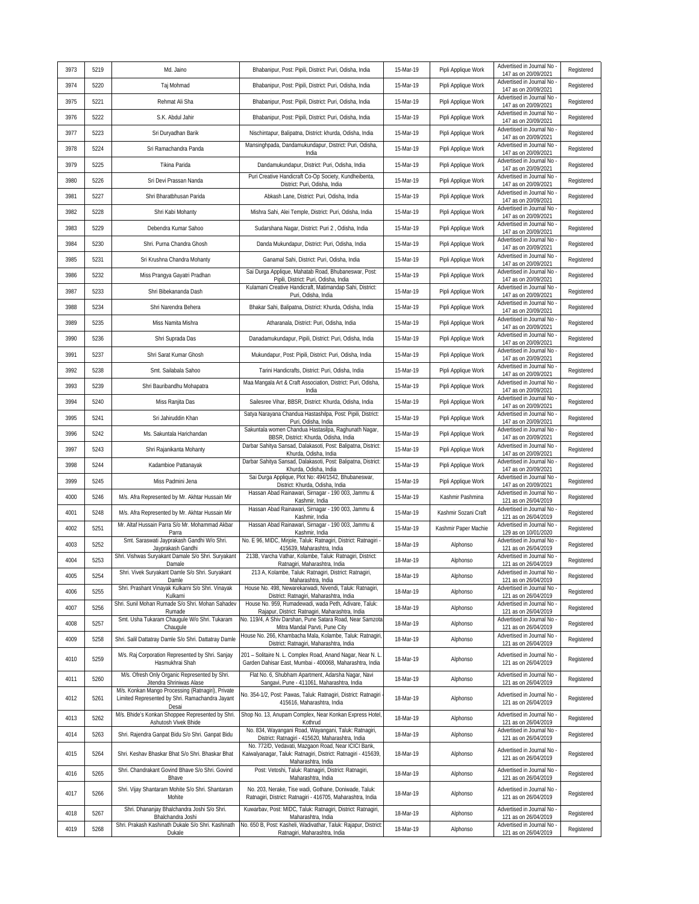| 3973 | 5219 | Md. Jaino                                                                                            | Bhabanipur, Post: Pipili, District: Puri, Odisha, India                                                                 | 15-Mar-19 | Pipli Applique Work  | Advertised in Journal No<br>147 as on 20/09/2021   | Registered |
|------|------|------------------------------------------------------------------------------------------------------|-------------------------------------------------------------------------------------------------------------------------|-----------|----------------------|----------------------------------------------------|------------|
| 3974 | 5220 | Taj Mohmad                                                                                           | Bhabanipur, Post: Pipili, District: Puri, Odisha, India                                                                 | 15-Mar-19 | Pipli Applique Work  | Advertised in Journal No<br>147 as on 20/09/2021   | Registered |
| 3975 | 5221 | Rehmat Ali Sha                                                                                       | Bhabanipur, Post: Pipili, District: Puri, Odisha, India                                                                 | 15-Mar-19 | Pipli Applique Work  | Advertised in Journal No<br>147 as on 20/09/2021   | Registered |
| 3976 | 5222 | S.K. Abdul Jahir                                                                                     | Bhabanipur, Post: Pipili, District: Puri, Odisha, India                                                                 | 15-Mar-19 | Pipli Applique Work  | Advertised in Journal No<br>147 as on 20/09/2021   | Registered |
| 3977 | 5223 | Sri Duryadhan Barik                                                                                  | Nischintapur, Balipatna, District: khurda, Odisha, India                                                                | 15-Mar-19 | Pipli Applique Work  | Advertised in Journal No<br>147 as on 20/09/2021   | Registered |
| 3978 | 5224 | Sri Ramachandra Panda                                                                                | Mansinghpada, Dandamukundapur, District: Puri, Odisha,<br>India                                                         | 15-Mar-19 | Pipli Applique Work  | Advertised in Journal No<br>147 as on 20/09/2021   | Registered |
| 3979 | 5225 | Tikina Parida                                                                                        | Dandamukundapur, District: Puri, Odisha, India                                                                          | 15-Mar-19 | Pipli Applique Work  | Advertised in Journal No<br>147 as on 20/09/2021   | Registered |
| 3980 | 5226 | Sri Devi Prassan Nanda                                                                               | Puri Creative Handicraft Co-Op Society, Kundheibenta,<br>District: Puri, Odisha, India                                  | 15-Mar-19 | Pipli Applique Work  | Advertised in Journal No<br>147 as on 20/09/2021   | Registered |
| 3981 | 5227 | Shri Bharatbhusan Parida                                                                             | Abkash Lane, District: Puri, Odisha, India                                                                              | 15-Mar-19 | Pipli Applique Work  | Advertised in Journal No<br>147 as on 20/09/2021   | Registered |
| 3982 | 5228 | Shri Kabi Mohanty                                                                                    | Mishra Sahi, Alei Temple, District: Puri, Odisha, India                                                                 | 15-Mar-19 | Pipli Applique Work  | Advertised in Journal No<br>147 as on 20/09/2021   | Registered |
| 3983 | 5229 | Debendra Kumar Sahoo                                                                                 | Sudarshana Nagar, District: Puri 2, Odisha, India                                                                       | 15-Mar-19 | Pipli Applique Work  | Advertised in Journal No<br>147 as on 20/09/2021   | Registered |
| 3984 | 5230 | Shri. Purna Chandra Ghosh                                                                            | Danda Mukundapur, District: Puri, Odisha, India                                                                         | 15-Mar-19 | Pipli Applique Work  | Advertised in Journal No<br>147 as on 20/09/2021   | Registered |
| 3985 | 5231 | Sri Krushna Chandra Mohanty                                                                          | Ganamal Sahi, District: Puri, Odisha, India                                                                             | 15-Mar-19 | Pipli Applique Work  | Advertised in Journal No<br>147 as on 20/09/2021   | Registered |
| 3986 | 5232 | Miss Prangya Gayatri Pradhan                                                                         | Sai Durga Applique, Mahatab Road, Bhubaneswar, Post:<br>Pipili, District: Puri, Odisha, India                           | 15-Mar-19 | Pipli Applique Work  | Advertised in Journal No<br>147 as on 20/09/2021   | Registered |
| 3987 | 5233 | Shri Bibekananda Dash                                                                                | Kulamani Creative Handicraft, Matimandap Sahi, District:<br>Puri, Odisha, India                                         | 15-Mar-19 | Pipli Applique Work  | Advertised in Journal No<br>147 as on 20/09/2021   | Registered |
| 3988 | 5234 | Shri Narendra Behera                                                                                 | Bhakar Sahi, Balipatna, District: Khurda, Odisha, India                                                                 | 15-Mar-19 | Pipli Applique Work  | Advertised in Journal No<br>147 as on 20/09/2021   | Registered |
| 3989 | 5235 | Miss Namita Mishra                                                                                   | Atharanala, District: Puri, Odisha, India                                                                               | 15-Mar-19 | Pipli Applique Work  | Advertised in Journal No<br>147 as on 20/09/2021   | Registered |
| 3990 | 5236 | Shri Suprada Das                                                                                     | Danadamukundapur, Pipili, District: Puri, Odisha, India                                                                 | 15-Mar-19 | Pipli Applique Work  | Advertised in Journal No<br>147 as on 20/09/2021   | Registered |
| 3991 | 5237 | Shri Sarat Kumar Ghosh                                                                               | Mukundapur, Post: Pipili, District: Puri, Odisha, India                                                                 | 15-Mar-19 | Pipli Applique Work  | Advertised in Journal No<br>147 as on 20/09/2021   | Registered |
| 3992 | 5238 | Smt. Sailabala Sahoo                                                                                 | Tarini Handicrafts, District: Puri, Odisha, India                                                                       | 15-Mar-19 | Pipli Applique Work  | Advertised in Journal No<br>147 as on 20/09/2021   | Registered |
| 3993 | 5239 | Shri Bauribandhu Mohapatra                                                                           | Maa Mangala Art & Craft Association, District: Puri, Odisha,<br>India                                                   | 15-Mar-19 | Pipli Applique Work  | Advertised in Journal No<br>147 as on 20/09/2021   | Registered |
| 3994 | 5240 | Miss Ranjita Das                                                                                     | Sailesree Vihar, BBSR, District: Khurda, Odisha, India                                                                  | 15-Mar-19 | Pipli Applique Work  | Advertised in Journal No<br>147 as on 20/09/2021   | Registered |
| 3995 | 5241 | Sri Jahiruddin Khan                                                                                  | Satya Narayana Chandua Hastashilpa, Post: Pipili, District:<br>Puri, Odisha, India                                      | 15-Mar-19 | Pipli Applique Work  | Advertised in Journal No<br>147 as on 20/09/2021   | Registered |
| 3996 | 5242 | Ms. Sakuntala Harichandan                                                                            | Sakuntala women Chandua Hastasilpa, Raghunath Nagar,<br>BBSR, District: Khurda, Odisha, India                           | 15-Mar-19 | Pipli Applique Work  | Advertised in Journal No<br>147 as on 20/09/2021   | Registered |
| 3997 | 5243 | Shri Rajanikanta Mohanty                                                                             | Darbar Sahitya Sansad, Dalakasoti, Post: Balipatna, District:<br>Khurda, Odisha, India                                  | 15-Mar-19 | Pipli Applique Work  | Advertised in Journal No<br>147 as on 20/09/2021   | Registered |
| 3998 | 5244 | Kadambioe Pattanayak                                                                                 | Darbar Sahitya Sansad, Dalakasoti, Post: Balipatna, District:<br>Khurda, Odisha, India                                  | 15-Mar-19 | Pipli Applique Work  | Advertised in Journal No<br>147 as on 20/09/2021   | Registered |
| 3999 | 5245 | Miss Padmini Jena                                                                                    | Sai Durga Applique, Plot No: 494/1542, Bhubaneswar,<br>District: Khurda, Odisha, India                                  | 15-Mar-19 | Pipli Applique Work  | Advertised in Journal No<br>147 as on 20/09/2021   | Registered |
| 4000 | 5246 | M/s. Afra Represented by Mr. Akhtar Hussain Mir                                                      | Hassan Abad Rainawari, Sirnagar - 190 003, Jammu &<br>Kashmir, India                                                    | 15-Mar-19 | Kashmir Pashmina     | Advertised in Journal No<br>121 as on 26/04/2019   | Registered |
| 4001 | 5248 | M/s. Afra Represented by Mr. Akhtar Hussain Mir                                                      | Hassan Abad Rainawari, Sirnagar - 190 003, Jammu &<br>Kashmir, India                                                    | 15-Mar-19 | Kashmir Sozani Craft | Advertised in Journal No<br>121 as on 26/04/2019   | Registered |
| 4002 | 5251 | Mr. Altaf Hussain Parra S/o Mr. Mohammad Akbar<br>Parra                                              | Hassan Abad Rainawari, Sirnagar - 190 003, Jammu &<br>Kashmir, India                                                    | 15-Mar-19 | Kashmir Paper Machie | Advertised in Journal No<br>129 as on 10/01/2020   | Registered |
| 4003 | 5252 | Smt. Saraswati Jayprakash Gandhi W/o Shri.<br>Jayprakash Gandhi                                      | No. E 96, MIDC, Mirjole, Taluk: Ratnagiri, District: Ratnagiri<br>415639, Maharashtra, India                            | 18-Mar-19 | Alphonso             | Advertised in Journal No<br>121 as on 26/04/2019   | Registered |
| 4004 | 5253 | Shri. Vishwas Suryakant Damale S/o Shri. Suryakant<br>Damale                                         | 213B, Varcha Vathar, Kolambe, Taluk: Ratnagiri, District:<br>Ratnagiri, Maharashtra, India                              | 18-Mar-19 | Alphonso             | Advertised in Journal No<br>121 as on 26/04/2019   | Registered |
| 4005 | 5254 | Shri. Vivek Suryakant Damle S/o Shri. Suryakant<br>Damle                                             | 213 A, Kolambe, Taluk: Ratnagiri, District: Ratnagiri,<br>Maharashtra, India                                            | 18-Mar-19 | Alphonso             | Advertised in Journal No -<br>121 as on 26/04/2019 | Registered |
| 4006 | 5255 | Shri. Prashant Vinayak Kulkarni S/o Shri. Vinayak<br>Kulkarni                                        | House No. 498, Newarekarwadi, Nivendi, Taluk: Ratnagiri,<br>District: Ratnagiri, Maharashtra, India                     | 18-Mar-19 | Alphonso             | Advertised in Journal No<br>121 as on 26/04/2019   | Registered |
| 4007 | 5256 | Shri. Sunil Mohan Rumade S/o Shri. Mohan Sahadev<br>Rumade                                           | House No. 959, Rumadewadi, wada Peth, Adivare, Taluk:<br>Rajapur, District: Ratnagiri, Maharashtra, India               | 18-Mar-19 | Alphonso             | Advertised in Journal No<br>121 as on 26/04/2019   | Registered |
| 4008 | 5257 | Smt. Usha Tukaram Chaugule W/o Shri. Tukaram<br>Chaugule                                             | No. 119/4, A Shiv Darshan, Pune Satara Road, Near Samzota<br>Mitra Mandal Parvti, Pune City                             | 18-Mar-19 | Alphonso             | Advertised in Journal No<br>121 as on 26/04/2019   | Registered |
| 4009 | 5258 | Shri. Salil Dattatray Damle S/o Shri. Dattatray Damle                                                | House No. 266, Khambacha Mala, Kolambe, Taluk: Ratnagiri,<br>District: Ratnagiri, Maharashtra, India                    | 18-Mar-19 | Alphonso             | Advertised in Journal No<br>121 as on 26/04/2019   | Registered |
| 4010 | 5259 | M/s. Raj Corporation Represented by Shri. Sanjay<br>Hasmukhrai Shah                                  | 201 - Solitaire N. L. Complex Road, Anand Nagar, Near N. L.<br>Garden Dahisar East, Mumbai - 400068, Maharashtra, India | 18-Mar-19 | Alphonso             | Advertised in Journal No<br>121 as on 26/04/2019   | Registered |
| 4011 | 5260 | M/s. Ofresh Only Organic Represented by Shri.<br>Jitendra Shriniwas Alase                            | Flat No. 6, Shubham Apartment, Adarsha Nagar, Navi<br>Sangavi, Pune - 411061, Maharashtra, India                        | 18-Mar-19 | Alphonso             | Advertised in Journal No -<br>121 as on 26/04/2019 | Registered |
| 4012 | 5261 | M/s. Konkan Mango Processing (Ratnagiri), Private<br>Limited Represented by Shri. Ramachandra Jayant | No. 354-1/2, Post: Pawas, Taluk: Ratnagiri, District: Ratnagiri<br>415616, Maharashtra, India                           | 18-Mar-19 | Alphonso             | Advertised in Journal No<br>121 as on 26/04/2019   | Registered |
| 4013 | 5262 | Desai<br>M/s. Bhide's Konkan Shoppee Represented by Shri.<br>Ashutosh Vivek Bhide                    | Shop No. 13, Anupam Complex, Near Konkan Express Hotel,<br>Kothrud                                                      | 18-Mar-19 | Alphonso             | Advertised in Journal No<br>121 as on 26/04/2019   | Registered |
| 4014 | 5263 | Shri. Rajendra Ganpat Bidu S/o Shri. Ganpat Bidu                                                     | No. 834, Wayangani Road, Wayangani, Taluk: Ratnagiri,<br>District: Ratnagiri - 415620, Maharashtra, India               | 18-Mar-19 | Alphonso             | Advertised in Journal No<br>121 as on 26/04/2019   | Registered |
| 4015 | 5264 | Shri. Keshav Bhaskar Bhat S/o Shri. Bhaskar Bhat                                                     | No. 772/D, Vedavati, Mazgaon Road, Near ICICI Bank,<br>Kaiwalyanagar, Taluk: Ratnagiri, District: Ratnagiri - 415639,   | 18-Mar-19 | Alphonso             | Advertised in Journal No -<br>121 as on 26/04/2019 | Registered |
| 4016 | 5265 | Shri. Chandrakant Govind Bhave S/o Shri. Govind                                                      | Maharashtra, India<br>Post: Vetoshi, Taluk: Ratnagiri, District: Ratnagiri,<br>Maharashtra, India                       | 18-Mar-19 | Alphonso             | Advertised in Journal No -<br>121 as on 26/04/2019 | Registered |
| 4017 | 5266 | Bhave<br>Shri. Vijay Shantaram Mohite S/o Shri. Shantaram<br>Mohite                                  | No. 203, Nerake, Tise wadi, Gothane, Doniwade, Taluk:<br>Ratnagiri, District: Ratnagiri - 416705, Maharashtra, India    | 18-Mar-19 | Alphonso             | Advertised in Journal No<br>121 as on 26/04/2019   | Registered |
| 4018 | 5267 | Shri. Dhananjay Bhalchandra Joshi S/o Shri.<br>Bhalchandra Joshi                                     | Kuwarbav, Post: MIDC, Taluk: Ratnagiri, District: Ratnagiri,<br>Maharashtra, India                                      | 18-Mar-19 | Alphonso             | Advertised in Journal No<br>121 as on 26/04/2019   | Registered |
| 4019 | 5268 | Shri. Prakash Kashinath Dukale S/o Shri. Kashinath<br>Dukale                                         | No. 650 B, Post: Kasheli, Wadivathar, Taluk: Rajapur, District:<br>Ratnagiri, Maharashtra, India                        | 18-Mar-19 | Alphonso             | Advertised in Journal No<br>121 as on 26/04/2019   | Registered |
|      |      |                                                                                                      |                                                                                                                         |           |                      |                                                    |            |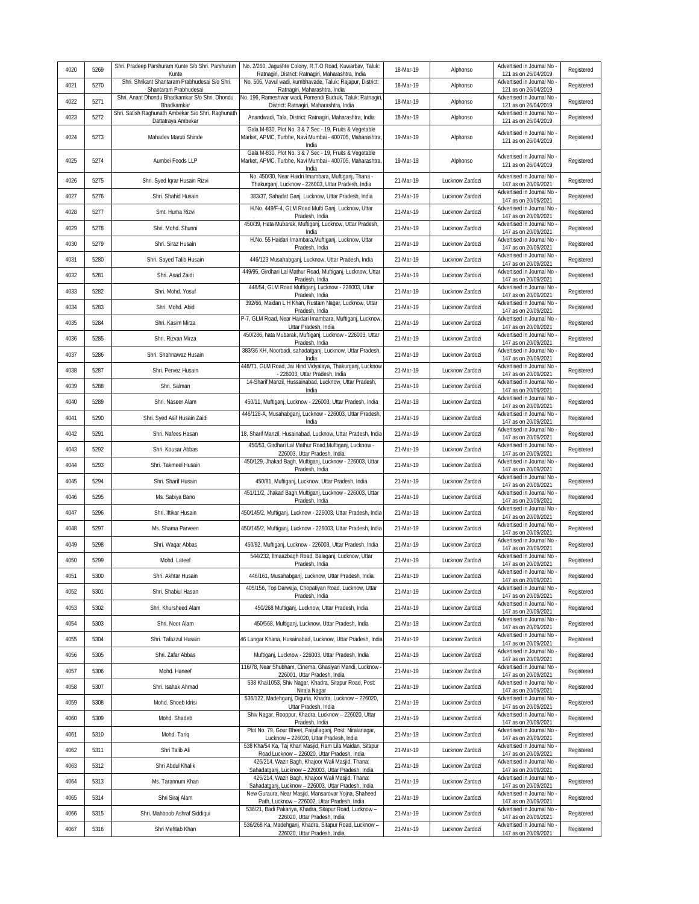| 4020         | 5269         | Shri. Pradeep Parshuram Kunte S/o Shri. Parshuram<br>Kunte               | No. 2/260, Jagushte Colony, R.T.O Road, Kuwarbav, Taluk:<br>Ratnagiri, District: Ratnagiri, Maharashtra, India               | 18-Mar-19              | Alphonso                           | Advertised in Journal No -<br>121 as on 26/04/2019                           | Registered               |
|--------------|--------------|--------------------------------------------------------------------------|------------------------------------------------------------------------------------------------------------------------------|------------------------|------------------------------------|------------------------------------------------------------------------------|--------------------------|
| 4021         | 5270         | Shri. Shrikant Shantaram Prabhudesai S/o Shri.<br>Shantaram Prabhudesai  | No. 506, Vavul wadi, kumbhavade, Taluk: Rajapur, District:<br>Ratnagiri, Maharashtra, India                                  | 18-Mar-19              | Alphonso                           | Advertised in Journal No<br>121 as on 26/04/2019                             | Registered               |
| 4022         | 5271         | Shri. Anant Dhondu Bhadkamkar S/o Shri. Dhondu<br>Bhadkamkar             | No. 196, Rameshwar wadi, Pomendi Budruk, Taluk: Ratnagiri<br>District: Ratnagiri, Maharashtra, India                         | 18-Mar-19              | Alphonso                           | Advertised in Journal No -<br>121 as on 26/04/2019                           | Registered               |
| 4023         | 5272         | Shri. Satish Raghunath Ambekar S/o Shri. Raghunath<br>Dattatraya Ambekar | Anandwadi, Tala, District: Ratnagiri, Maharashtra, India                                                                     | 18-Mar-19              | Alphonso                           | Advertised in Journal No<br>121 as on 26/04/2019                             | Registered               |
| 4024         | 5273         | Mahadev Maruti Shinde                                                    | Gala M-830, Plot No. 3 & 7 Sec - 19, Fruits & Vegetable<br>Market, APMC, Turbhe, Navi Mumbai - 400705, Maharashtra,<br>India | 19-Mar-19              | Alphonso                           | Advertised in Journal No<br>121 as on 26/04/2019                             | Registered               |
| 4025         | 5274         | Aumbei Foods LLP                                                         | Gala M-830, Plot No. 3 & 7 Sec - 19, Fruits & Vegetable<br>Market, APMC, Turbhe, Navi Mumbai - 400705, Maharashtra,<br>India | 19-Mar-19              | Alphonso                           | Advertised in Journal No<br>121 as on 26/04/2019                             | Registered               |
| 4026         | 5275         | Shri. Syed Igrar Husain Rizvi                                            | No. 450/30, Near Haidri Imambara, Muftiganj, Thana -<br>Thakurganj, Lucknow - 226003, Uttar Pradesh, India                   | 21-Mar-19              | Lucknow Zardozi                    | Advertised in Journal No<br>147 as on 20/09/2021                             | Registered               |
| 4027         | 5276         | Shri. Shahid Husain                                                      | 383/37, Sahadat Ganj, Lucknow, Uttar Pradesh, India                                                                          | 21-Mar-19              | Lucknow Zardozi                    | Advertised in Journal No<br>147 as on 20/09/2021                             | Registered               |
| 4028         | 5277         | Smt. Huma Rizvi                                                          | H.No. 449/F-4, GLM Road Mufti Ganj, Lucknow, Uttar<br>Pradesh, India                                                         | 21-Mar-19              | Lucknow Zardozi                    | Advertised in Journal No<br>147 as on 20/09/2021                             | Registered               |
| 4029         | 5278         | Shri. Mohd. Shunni                                                       | 450/39, Hata Mubarak, Muftiganj, Lucknow, Uttar Pradesh,<br>India                                                            | 21-Mar-19              | Lucknow Zardozi                    | Advertised in Journal No<br>147 as on 20/09/2021                             | Registered               |
| 4030         | 5279         | Shri. Siraz Husain                                                       | H.No. 55 Haidari Imambara, Muftiganj, Lucknow, Uttar<br>Pradesh, India                                                       | 21-Mar-19              | Lucknow Zardozi                    | Advertised in Journal No<br>147 as on 20/09/2021                             | Registered               |
| 4031         | 5280         | Shri. Sayed Talib Husain                                                 | 446/123 Musahabganj, Lucknow, Uttar Pradesh, India                                                                           | 21-Mar-19              | Lucknow Zardozi                    | Advertised in Journal No<br>147 as on 20/09/2021                             | Registered               |
| 4032         | 5281         | Shri. Asad Zaidi                                                         | 449/95, Girdhari Lal Mathur Road, Muftiganj, Lucknow, Uttar<br>Pradesh, India                                                | 21-Mar-19              | Lucknow Zardozi                    | Advertised in Journal No<br>147 as on 20/09/2021                             | Registered               |
| 4033         | 5282         | Shri. Mohd. Yosuf                                                        | 448/54, GLM Road Muftiganj, Lucknow - 226003, Uttar<br>Pradesh, India                                                        | 21-Mar-19              | Lucknow Zardozi                    | Advertised in Journal No<br>147 as on 20/09/2021                             | Registered               |
| 4034         | 5283         | Shri. Mohd. Abid                                                         | 392/66, Maidan L H Khan, Rustam Nagar, Lucknow, Uttar<br>Pradesh, India                                                      | 21-Mar-19              | Lucknow Zardozi                    | Advertised in Journal No<br>147 as on 20/09/2021                             | Registered               |
| 4035         | 5284         | Shri. Kasim Mirza                                                        | P-7, GLM Road, Near Haidari Imambara, Muftiganj, Lucknow,<br>Uttar Pradesh, India                                            | 21-Mar-19              | Lucknow Zardozi                    | Advertised in Journal No<br>147 as on 20/09/2021                             | Registered               |
| 4036         | 5285         | Shri. Rizvan Mirza                                                       | 450/286, hata Mubarak, Muftiganj, Lucknow - 226003, Uttar<br>Pradesh, India                                                  | 21-Mar-19              | Lucknow Zardozi                    | Advertised in Journal No<br>147 as on 20/09/2021                             | Registered               |
| 4037         | 5286         | Shri. Shahnawaz Husain                                                   | 383/36 KH, Noorbadi, sahadatganj, Lucknow, Uttar Pradesh,<br>India                                                           | 21-Mar-19              | Lucknow Zardozi                    | Advertised in Journal No<br>147 as on 20/09/2021                             | Registered               |
| 4038         | 5287         | Shri. Pervez Husain                                                      | 448/71, GLM Road, Jai Hind Vidyalaya, Thakurganj, Lucknow<br>- 226003, Uttar Pradesh, India                                  | 21-Mar-19              | Lucknow Zardozi                    | Advertised in Journal No<br>147 as on 20/09/2021                             | Registered               |
| 4039         | 5288         | Shri. Salman                                                             | 14-Sharif Manzil, Hussainabad, Lucknow, Uttar Pradesh,<br>India                                                              | 21-Mar-19              | Lucknow Zardozi                    | Advertised in Journal No<br>147 as on 20/09/2021                             | Registered               |
| 4040         | 5289         | Shri. Naseer Alam                                                        | 450/11, Muftiganj, Lucknow - 226003, Uttar Pradesh, India                                                                    | 21-Mar-19              | Lucknow Zardozi                    | Advertised in Journal No<br>147 as on 20/09/2021                             | Registered               |
| 4041         | 5290         | Shri. Syed Asif Husain Zaidi                                             | 446/128-A, Musahabganj, Lucknow - 226003, Uttar Pradesh,<br>India                                                            | 21-Mar-19              | Lucknow Zardozi                    | Advertised in Journal No<br>147 as on 20/09/2021<br>Advertised in Journal No | Registered               |
| 4042         | 5291         | Shri. Nafees Hasan                                                       | 18, Sharif Manzil, Husainabad, Lucknow, Uttar Pradesh, India<br>450/53, Girdhari Lal Mathur Road, Muftiganj, Lucknow -       | 21-Mar-19              | Lucknow Zardozi                    | 147 as on 20/09/2021<br>Advertised in Journal No                             | Registered               |
| 4043         | 5292         | Shri. Kousar Abbas                                                       | 226003, Uttar Pradesh, India<br>450/129, Jhakad Bagh, Muftiganj, Lucknow - 226003, Uttar                                     | 21-Mar-19              | Lucknow Zardozi                    | 147 as on 20/09/2021<br>Advertised in Journal No                             | Registered               |
| 4044         | 5293         | Shri. Takmeel Husain                                                     | Pradesh, India                                                                                                               | 21-Mar-19              | Lucknow Zardozi                    | 147 as on 20/09/2021<br>Advertised in Journal No                             | Registered               |
| 4045         | 5294         | Shri. Sharif Husain                                                      | 450/81, Muftiganj, Lucknow, Uttar Pradesh, India<br>451/11/2, Jhakad Bagh,Muftiganj, Lucknow - 226003, Uttar                 | 21-Mar-19              | Lucknow Zardozi                    | 147 as on 20/09/2021<br>Advertised in Journal No                             | Registered               |
| 4046         | 5295         | Ms. Sabiya Bano                                                          | Pradesh, India                                                                                                               | 21-Mar-19              | Lucknow Zardozi                    | 147 as on 20/09/2021<br>Advertised in Journal No                             | Registered               |
| 4047         | 5296         | Shri. Iftikar Husain                                                     | 450/145/2, Muftiganj, Lucknow - 226003, Uttar Pradesh, India                                                                 | 21-Mar-19              | Lucknow Zardozi                    | 147 as on 20/09/2021<br>Advertised in Journal No                             | Registered               |
| 4048         | 5297         | Ms. Shama Parveen                                                        | 450/145/2, Muftiganj, Lucknow - 226003, Uttar Pradesh, India                                                                 | 21-Mar-19              | Lucknow Zardozi                    | 147 as on 20/09/2021<br>Advertised in Journal No                             | Registered               |
| 4049         | 5298         | Shri. Waqar Abbas                                                        | 450/92, Muftiganj, Lucknow - 226003, Uttar Pradesh, India<br>544/232, Ilmaazbagh Road, Balaganj, Lucknow, Uttar              | 21-Mar-19              | Lucknow Zardozi                    | 147 as on 20/09/2021<br>Advertised in Journal No                             | Registered               |
| 4050         | 5299         | Mohd. Lateef                                                             | Pradesh, India                                                                                                               | 21-Mar-19              | Lucknow Zardozi                    | 147 as on 20/09/2021<br>Advertised in Journal No                             | Registered               |
| 4051         | 5300         | Shri. Akhtar Husain                                                      | 446/161, Musahabganj, Lucknow, Uttar Pradesh, India<br>405/156, Top Darwaja, Chopatiyan Road, Lucknow, Uttar                 | 21-Mar-19              | Lucknow Zardozi                    | 147 as on 20/09/2021<br>Advertised in Journal No -                           | Registered               |
| 4052         | 5301         | Shri, Shabiul Hasan                                                      | Pradesh, India                                                                                                               | 21-Mar-19              | Lucknow Zardozi                    | 147 as on 20/09/2021<br>Advertised in Journal No -                           | Registered               |
| 4053         | 5302         | Shri. Khursheed Alam                                                     | 450/268 Muftiganj, Lucknow, Uttar Pradesh, India                                                                             | 21-Mar-19              | Lucknow Zardozi                    | 147 as on 20/09/2021<br>Advertised in Journal No                             | Registered               |
| 4054         | 5303         | Shri. Noor Alam                                                          | 450/568, Muftiganj, Lucknow, Uttar Pradesh, India                                                                            | 21-Mar-19              | Lucknow Zardozi                    | 147 as on 20/09/2021<br>Advertised in Journal No                             | Registered               |
| 4055         | 5304         | Shri. Tafazzul Husain                                                    | 46 Langar Khana, Husainabad, Lucknow, Uttar Pradesh, India                                                                   | 21-Mar-19              | Lucknow Zardozi                    | 147 as on 20/09/2021<br>Advertised in Journal No                             | Registered               |
| 4056         | 5305         | Shri. Zafar Abbas                                                        | Muftiganj, Lucknow - 226003, Uttar Pradesh, India<br>116/78, Near Shubham, Cinema, Ghasiyari Mandi, Lucknow -                | 21-Mar-19              | Lucknow Zardozi                    | 147 as on 20/09/2021<br>Advertised in Journal No                             | Registered               |
| 4057         | 5306         | Mohd. Haneef                                                             | 226001, Uttar Pradesh, India<br>538 Kha/1053, Shiv Nagar, Khadra, Sitapur Road, Post:                                        | 21-Mar-19              | Lucknow Zardozi                    | 147 as on 20/09/2021<br>Advertised in Journal No                             | Registered               |
| 4058         | 5307         | Shri. Isahak Ahmad                                                       | Nirala Nagar<br>536/122, Madehganj, Diguria, Khadra, Lucknow - 226020,                                                       | 21-Mar-19              | Lucknow Zardozi                    | 147 as on 20/09/2021<br>Advertised in Journal No                             | Registered               |
| 4059         | 5308         | Mohd. Shoeb Idrisi                                                       | Uttar Pradesh, India<br>Shiv Nagar, Rooppur, Khadra, Lucknow - 226020, Uttar                                                 | 21-Mar-19              | Lucknow Zardozi                    | 147 as on 20/09/2021<br>Advertised in Journal No -                           | Registered               |
| 4060         | 5309         | Mohd. Shadeb                                                             | Pradesh, India<br>Plot No. 79, Gour Bheet, Faijullaganj, Post: Niralanagar,                                                  | 21-Mar-19              | Lucknow Zardozi                    | 147 as on 20/09/2021<br>Advertised in Journal No                             | Registered               |
| 4061         | 5310         | Mohd. Tariq                                                              | Lucknow - 226020, Uttar Pradesh, India<br>538 Kha/54 Ka, Taj Khan Masjid, Ram Lila Maidan, Sitapur                           | 21-Mar-19              | Lucknow Zardozi                    | 147 as on 20/09/2021<br>Advertised in Journal No -                           | Registered               |
| 4062         | 5311         | Shri Talib Ali                                                           | Road Lucknow - 226020, Uttar Pradesh, India<br>426/214, Wazir Bagh, Khajoor Wali Masjid, Thana:                              | 21-Mar-19              | Lucknow Zardozi                    | 147 as on 20/09/2021<br>Advertised in Journal No -                           | Registered               |
| 4063         | 5312         | Shri Abdul Khalik                                                        | Sahadatganj, Lucknow - 226003, Uttar Pradesh, India<br>426/214, Wazir Bagh, Khajoor Wali Masjid, Thana:                      | 21-Mar-19              | Lucknow Zardozi                    | 147 as on 20/09/2021<br>Advertised in Journal No                             | Registered               |
| 4064<br>4065 | 5313<br>5314 | Ms. Tarannum Khan<br>Shri Siraj Alam                                     | Sahadatganj, Lucknow - 226003, Uttar Pradesh, India<br>New Guraura, Near Masjid, Mansarovar Yojna, Shaheed                   | 21-Mar-19<br>21-Mar-19 | Lucknow Zardozi<br>Lucknow Zardozi | 147 as on 20/09/2021<br>Advertised in Journal No -                           | Registered<br>Registered |
| 4066         | 5315         | Shri. Mahboob Ashraf Siddiqui                                            | Path, Lucknow - 226002, Uttar Pradesh, India<br>536/21, Badi Pakariya, Khadra, Sitapur Road, Lucknow -                       | 21-Mar-19              | Lucknow Zardozi                    | 147 as on 20/09/2021<br>Advertised in Journal No                             | Registered               |
| 4067         | 5316         | Shri Mehtab Khan                                                         | 226020, Uttar Pradesh, India<br>536/268 Ka, Madehganj, Khadra, Sitapur Road, Lucknow -                                       | 21-Mar-19              | Lucknow Zardozi                    | 147 as on 20/09/2021<br>Advertised in Journal No                             | Registered               |
|              |              |                                                                          | 226020, Uttar Pradesh, India                                                                                                 |                        |                                    | 147 as on 20/09/2021                                                         |                          |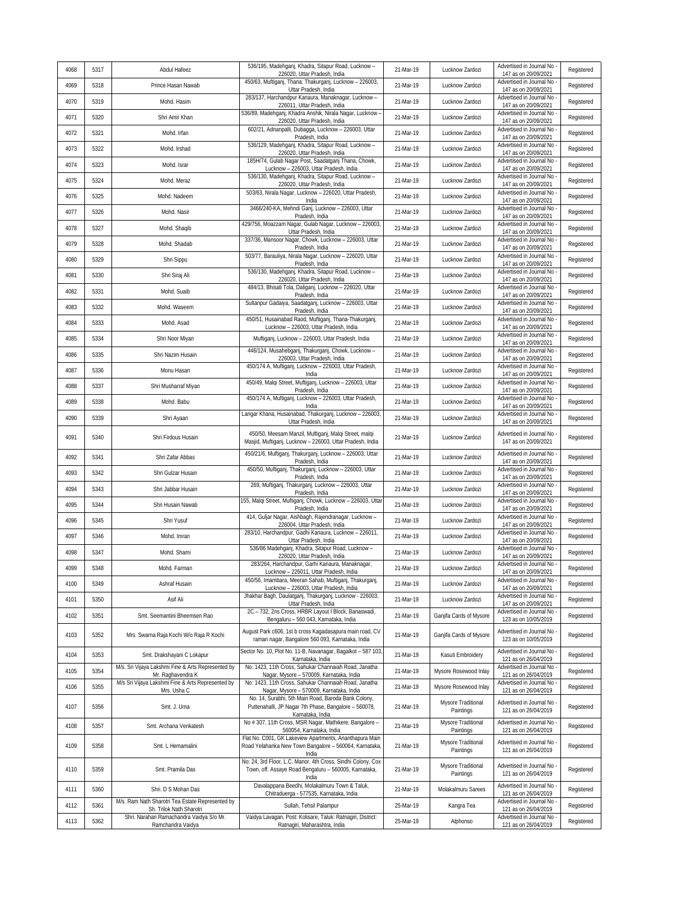| 4068 | 5317 | Abdul Hafeez                                                            | 536/195, Madehganj, Khadra, Sitapur Road, Lucknow -<br>226020, Uttar Pradesh, India                                                           | 21-Mar-19 | Lucknow Zardozi                              | Advertised in Journal No<br>147 as on 20/09/2021                         | Registered |
|------|------|-------------------------------------------------------------------------|-----------------------------------------------------------------------------------------------------------------------------------------------|-----------|----------------------------------------------|--------------------------------------------------------------------------|------------|
| 4069 | 5318 | Prince Hasan Nawab                                                      | 450/63, Muftiganj, Thana: Thakurganj, Lucknow - 226003,<br>Uttar Pradesh, India                                                               | 21-Mar-19 | Lucknow Zardozi                              | Advertised in Journal No<br>147 as on 20/09/2021                         | Registered |
| 4070 | 5319 | Mohd. Hasim                                                             | 283/137, Harchandpur Kanaura, Manaknagar, Lucknow -<br>226011, Uttar Pradesh, India                                                           | 21-Mar-19 | Lucknow Zardozi                              | Advertised in Journal No<br>147 as on 20/09/2021                         | Registered |
| 4071 | 5320 | Shri Amir Khan                                                          | 536/89, Madehganj, Khadra Anshik, Nirala Nagar, Lucknow -<br>226020, Uttar Pradesh, India                                                     | 21-Mar-19 | Lucknow Zardozi                              | Advertised in Journal No<br>147 as on 20/09/2021                         | Registered |
| 4072 | 5321 | Mohd. Irfan                                                             | 602/21, Adnanpalli, Dubaqqa, Lucknow - 226003, Uttar<br>Pradesh, India                                                                        | 21-Mar-19 | Lucknow Zardozi                              | Advertised in Journal No<br>147 as on 20/09/2021                         | Registered |
| 4073 | 5322 | Mohd. Irshad                                                            | 536/129, Madehqanj, Khadra, Sitapur Road, Lucknow -<br>226020, Uttar Pradesh, India                                                           | 21-Mar-19 | Lucknow Zardozi                              | Advertised in Journal No<br>147 as on 20/09/2021                         | Registered |
| 4074 | 5323 | Mohd. Israr                                                             | 185H/74, Gulab Nagar Post, Saadatganj Thana, Chowk,<br>Lucknow - 226003, Uttar Pradesh, India                                                 | 21-Mar-19 | Lucknow Zardozi                              | Advertised in Journal No<br>147 as on 20/09/2021                         | Registered |
| 4075 | 5324 | Mohd. Meraz                                                             | 536/130, Madehganj, Khadra, Sitapur Road, Lucknow -<br>226020, Uttar Pradesh, India                                                           | 21-Mar-19 | Lucknow Zardozi                              | Advertised in Journal No<br>147 as on 20/09/2021                         | Registered |
| 4076 | 5325 | Mohd. Nadeem                                                            | 503/63, Nirala Nagar, Lucknow - 226020, Uttar Pradesh,<br>India                                                                               | 21-Mar-19 | Lucknow Zardozi                              | Advertised in Journal No<br>147 as on 20/09/2021                         | Registered |
| 4077 | 5326 | Mohd. Nasir                                                             | 3466/240-KA, Mehndi Ganj, Lucknow - 226003, Uttar<br>Pradesh, India                                                                           | 21-Mar-19 | Lucknow Zardozi                              | Advertised in Journal No<br>147 as on 20/09/2021                         | Registered |
| 4078 | 5327 | Mohd. Shaqib                                                            | 429/756, Moazzam Nagar, Gulab Nagar, Lucknow - 226003,<br>Uttar Pradesh, India                                                                | 21-Mar-19 | Lucknow Zardozi                              | Advertised in Journal No<br>147 as on 20/09/2021                         | Registered |
| 4079 | 5328 | Mohd. Shadab                                                            | 337/36, Mansoor Nagar, Chowk, Lucknow - 226003, Uttar<br>Pradesh, India                                                                       | 21-Mar-19 | Lucknow Zardozi                              | Advertised in Journal No<br>147 as on 20/09/2021                         | Registered |
| 4080 | 5329 | Shri Sippu                                                              | 503/77, Barauliya, Nirala Nagar, Lucknow - 226020, Uttar<br>Pradesh, India                                                                    | 21-Mar-19 | Lucknow Zardozi                              | Advertised in Journal No<br>147 as on 20/09/2021                         | Registered |
| 4081 | 5330 | Shri Siraj Ali                                                          | 536/130, Madehganj, Khadra, Sitapur Road, Lucknow -<br>226020, Uttar Pradesh, India                                                           | 21-Mar-19 | Lucknow Zardozi                              | Advertised in Journal No<br>147 as on 20/09/2021                         | Registered |
| 4082 | 5331 | Mohd. Suaib                                                             | 484/13, Bhisati Tola, Daliganj, Lucknow - 226020, Uttar<br>Pradesh, India                                                                     | 21-Mar-19 | Lucknow Zardozi                              | Advertised in Journal No<br>147 as on 20/09/2021                         | Registered |
| 4083 | 5332 | Mohd. Waseem                                                            | Sultanpur Gadaiya, Saadatganj, Lucknow - 226003, Uttar<br>Pradesh, India                                                                      | 21-Mar-19 | Lucknow Zardozi                              | Advertised in Journal No                                                 | Registered |
| 4084 | 5333 | Mohd. Asad                                                              | 450/51, Husainabad Raod, Muftiganj, Thana-Thakurganj,                                                                                         | 21-Mar-19 | Lucknow Zardozi                              | 147 as on 20/09/2021<br>Advertised in Journal No<br>147 as on 20/09/2021 | Registered |
| 4085 | 5334 | Shri Noor Miyan                                                         | Lucknow - 226003, Uttar Pradesh, India<br>Muftiganj, Lucknow - 226003, Uttar Pradesh, India                                                   | 21-Mar-19 | Lucknow Zardozi                              | Advertised in Journal No                                                 | Registered |
| 4086 | 5335 | Shri Nazim Husain                                                       | 446/124, Musahebganj, Thakurganj, Chowk, Lucknow -                                                                                            | 21-Mar-19 | Lucknow Zardozi                              | 147 as on 20/09/2021<br>Advertised in Journal No                         | Registered |
| 4087 | 5336 | Monu Hasan                                                              | 226003, Uttar Pradesh, India<br>450/174 A, Muftiganj, Lucknow - 226003, Uttar Pradesh,                                                        | 21-Mar-19 | Lucknow Zardozi                              | 147 as on 20/09/2021<br>Advertised in Journal No                         | Registered |
| 4088 | 5337 | Shri Musharraf Miyan                                                    | India<br>450/49, Malqi Street, Muftiganj, Lucknow - 226003, Uttar                                                                             | 21-Mar-19 | Lucknow Zardozi                              | 147 as on 20/09/2021<br>Advertised in Journal No                         | Registered |
| 4089 | 5338 | Mohd. Babu                                                              | Pradesh, India<br>450/174 A, Muftiganj, Lucknow - 226003, Uttar Pradesh,                                                                      | 21-Mar-19 | Lucknow Zardozi                              | 147 as on 20/09/2021<br>Advertised in Journal No                         | Registered |
| 4090 | 5339 | Shri Ayaan                                                              | India<br>Langar Khana, Husainabad, Thakurganj, Lucknow - 226003,                                                                              | 21-Mar-19 | Lucknow Zardozi                              | 147 as on 20/09/2021<br>Advertised in Journal No                         | Registered |
|      |      |                                                                         | Uttar Pradesh, India<br>450/50, Meesam Manzil, Muftiganj, Malqi Street, malqi                                                                 |           |                                              | 147 as on 20/09/2021<br>Advertised in Journal No                         |            |
| 4091 | 5340 | Shri Firdous Husain                                                     | Masjid, Muftiganj, Lucknow - 226003, Uttar Pradesh, India                                                                                     | 21-Mar-19 | Lucknow Zardozi                              | 147 as on 20/09/2021                                                     | Registered |
| 4092 | 5341 | Shri Zafar Abbas                                                        | 450/21/6, Muftiganj, Thakurganj, Lucknow - 226003, Uttar<br>Pradesh, India                                                                    | 21-Mar-19 | Lucknow Zardozi                              | Advertised in Journal No<br>147 as on 20/09/2021                         | Registered |
| 4093 | 5342 | Shri Gulzar Husain                                                      | 450/50, Muftiganj, Thakurganj, Lucknow - 226003, Uttar<br>Pradesh, India                                                                      | 21-Mar-19 | Lucknow Zardozi                              | Advertised in Journal No<br>147 as on 20/09/2021                         | Registered |
| 4094 | 5343 | Shri Jabbar Husain                                                      | 269, Muftiganj, Thakurganj, Lucknow - 226003, Uttar<br>Pradesh, India                                                                         | 21-Mar-19 | Lucknow Zardozi                              | Advertised in Journal No<br>147 as on 20/09/2021                         | Registered |
| 4095 | 5344 | Shri Husain Nawab                                                       | 155, Malqi Street, Muftiganj, Chowk, Lucknow - 226003, Uttar<br>Pradesh, India                                                                | 21-Mar-19 | Lucknow Zardozi                              | Advertised in Journal No<br>147 as on 20/09/2021                         | Registered |
| 4096 | 5345 | Shri Yusuf                                                              | 414, Guljar Nagar, Aishbagh, Rajendranagar, Lucknow -<br>226004, Uttar Pradesh, India                                                         | 21-Mar-19 | Lucknow Zardozi                              | Advertised in Journal No<br>147 as on 20/09/2021                         | Registered |
| 4097 | 5346 | Mohd. Imran                                                             | 283/10, Harchandpur, Gadhi Kanaura, Lucknow - 226011,<br>Uttar Pradesh, India                                                                 | 21-Mar-19 | Lucknow Zardozi                              | Advertised in Journal No<br>147 as on 20/09/2021                         | Registered |
| 4098 | 5347 | Mohd. Shami                                                             | 536/86 Madehganj, Khadra, Sitapur Road, Lucknow -<br>226020, Uttar Pradesh, India                                                             | 21-Mar-19 | Lucknow Zardozi                              | Advertised in Journal No<br>147 as on 20/09/2021                         | Registered |
| 4099 | 5348 | Mohd. Farman                                                            | 283/264, Harchandpur, Garhi Kanaura, Manaknagar,<br>Lucknow - 226011. Uttar Pradesh, India                                                    | 21-Mar-19 | Lucknow Zardozi                              | Advertised in Journal No<br>147 as on 20/09/2021                         | Registered |
| 4100 | 5349 | Ashraf Husain                                                           | 450/56, Imambara, Meeran Sahab, Muftiganj, Thakurganj,<br>Lucknow - 226003, Uttar Pradesh, India                                              | 21-Mar-19 | Lucknow Zardozi                              | Advertised in Journal No<br>147 as on 20/09/2021                         | Registered |
| 4101 | 5350 | Asif Ali                                                                | Jhakhar Bagh, Daulatganj, Thakurganj, Lucknow - 226003,<br>Uttar Pradesh, India                                                               | 21-Mar-19 | Lucknow Zardozi                              | Advertised in Journal No<br>147 as on 20/09/2021                         | Registered |
| 4102 | 5351 | Smt. Seemantini Bheemsen Rao                                            | 2C - 732, 2ns Cross, HRBR Layout I Block, Banaswadi,<br>Bengaluru - 560 043, Karnataka, India                                                 | 21-Mar-19 | Ganjifa Cards of Mysore                      | Advertised in Journal No<br>123 as on 10/05/2019                         | Registered |
| 4103 | 5352 | Mrs. Swarna Raja Kochi W/o Raja R Kochi                                 | August Park c606, 1st b cross Kagadasapura main road, CV<br>raman nagar, Bangalore 560 093, Karnataka, India                                  | 21-Mar-19 | Ganjifa Cards of Mysore                      | Advertised in Journal No<br>123 as on 10/05/2019                         | Registered |
| 4104 | 5353 | Smt. Drakshayani C Lokapur                                              | Sector No. 10, Plot No. 11-B, Navanagar, Bagalkot - 587 103,<br>Karnataka, India                                                              | 21-Mar-19 | Kasuti Embroidery                            | Advertised in Journal No<br>121 as on 26/04/2019                         | Registered |
| 4105 | 5354 | M/s. Sri Vijaya Lakshmi Fine & Arts Represented by<br>Mr. Raghavendra K | No: 1423, 11th Cross, Sahukar Channaiah Road, Janatha<br>Nagar, Mysore - 570009, Karnataka, India                                             | 21-Mar-19 | Mysore Rosewood Inlay                        | Advertised in Journal No<br>121 as on 26/04/2019                         | Registered |
| 4106 | 5355 | M/s Sri Vijaya Lakshmi Fine & Arts Represented by<br>Mrs. Usha C        | No: 1423, 11th Cross, Sahukar Channaiah Road, Janatha<br>Nagar, Mysore - 570009, Karnataka, India                                             | 21-Mar-19 | Mysore Rosewood Inlay                        | Advertised in Journal No<br>121 as on 26/04/2019                         | Registered |
| 4107 | 5356 | Smt. J. Uma                                                             | No. 14, Surabhi, 5th Main Road, Baroda Bank Colony,<br>Puttenahalli, JP Nagar 7th Phase, Bangalore - 560078,                                  | 21-Mar-19 | Mysore Traditional                           | Advertised in Journal No                                                 | Registered |
| 4108 | 5357 | Smt. Archana Venkatesh                                                  | Karnataka, India<br>No # 307, 11th Cross, MSR Nagar, Mathikere, Bangalore -                                                                   | 21-Mar-19 | Paintings<br>Mysore Traditional              | 121 as on 26/04/2019<br>Advertised in Journal No                         | Registered |
| 4109 | 5358 | Smt. L Hemamalini                                                       | 560054, Karnataka, India<br>Flat No. C001, GK Lakeview Apartments, Ananthapura Main<br>Road Yelahanka New Town Bangalore - 560064, Karnataka, | 21-Mar-19 | Paintings<br>Mysore Traditional<br>Paintings | 121 as on 26/04/2019<br>Advertised in Journal No<br>121 as on 26/04/2019 | Registered |
| 4110 | 5359 | Smt. Pramila Das                                                        | India<br>No: 24, 3rd Floor, L.C. Manor, 4th Cross, Sindhi Colony, Cox<br>Town, off. Assaye Road Bengaluru - 560005, Karnataka,                | 21-Mar-19 | Mysore Traditional<br>Paintings              | Advertised in Journal No<br>121 as on 26/04/2019                         | Registered |
| 4111 | 5360 | Shri. D S Mohan Das                                                     | India<br>Davalappana Beedhi, Molakalmuru Town & Taluk,                                                                                        | 21-Mar-19 | Molakalmuru Sarees                           | Advertised in Journal No                                                 | Registered |
| 4112 | 5361 | M/s. Ram Nath Sharotri Tea Estate Represented by                        | Chitraduerga - 577535, Karnataka, India<br>Sullah, Tehsil Palampur                                                                            | 25-Mar-19 | Kangra Tea                                   | 121 as on 26/04/2019<br>Advertised in Journal No                         | Registered |
| 4113 | 5362 | Sh. Trilok Nath Sharotri<br>Shri. Narahari Ramachandra Vaidya S/o Mr.   | Vaidya Lavagan, Post: Kolisare, Taluk: Ratnagiri, District:                                                                                   | 25-Mar-19 | Alphonso                                     | 121 as on 26/04/2019<br>Advertised in Journal No                         | Registered |
|      |      | Ramchandra Vaidya                                                       | Ratnagiri, Maharashtra, India                                                                                                                 |           |                                              | 121 as on 26/04/2019                                                     |            |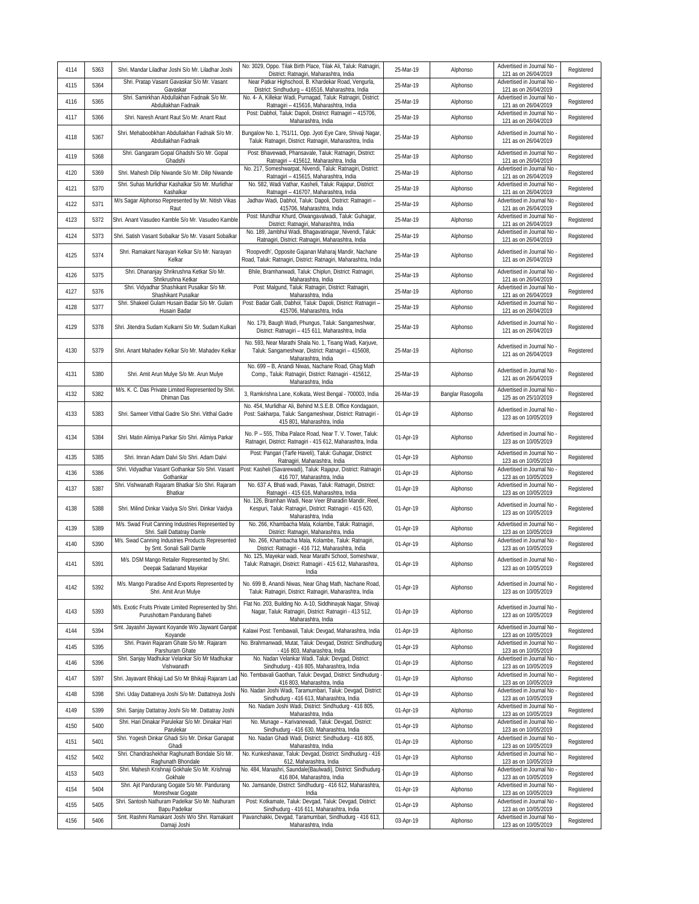| 4114 | 5363 | Shri. Mandar Liladhar Joshi S/o Mr. Liladhar Joshi                                      | No: 3029, Oppo. Tilak Birth Place, Tilak Ali, Taluk: Ratnagiri,<br>District: Ratnagiri, Maharashtra, India                                             | 25-Mar-19 | Alphonso          | Advertised in Journal No<br>121 as on 26/04/2019   | Registered |
|------|------|-----------------------------------------------------------------------------------------|--------------------------------------------------------------------------------------------------------------------------------------------------------|-----------|-------------------|----------------------------------------------------|------------|
| 4115 | 5364 | Shri. Pratap Vasant Gavaskar S/o Mr. Vasant<br>Gavaskar                                 | Near Patkar Highschool, B. Khardekar Road, Vengurla,<br>District: Sindhudurg - 416516, Maharashtra, India                                              | 25-Mar-19 | Alphonso          | Advertised in Journal No<br>121 as on 26/04/2019   | Registered |
| 4116 | 5365 | Shri. Samirkhan Abdullakhan Fadnaik S/o Mr.<br>Abdullakhan Fadnaik                      | No. 4- A, Killekar Wadi, Purnagad, Taluk: Ratnagiri, District:<br>Ratnagiri - 415616, Maharashtra, India                                               | 25-Mar-19 | Alphonso          | Advertised in Journal No<br>121 as on 26/04/2019   | Registered |
| 4117 | 5366 | Shri. Naresh Anant Raut S/o Mr. Anant Raut                                              | Post: Dabhol, Taluk: Dapoli, District: Ratnagiri - 415706,<br>Maharashtra, India                                                                       | 25-Mar-19 | Alphonso          | Advertised in Journal No<br>121 as on 26/04/2019   | Registered |
| 4118 | 5367 | Shri. Mehaboobkhan Abdullakhan Fadnaik S/o Mr.<br>Abdullakhan Fadnaik                   | Bungalow No. 1, 751/11, Opp. Jyoti Eye Care, Shivaji Nagar,<br>Taluk: Ratnagiri, District: Ratnagiri, Maharashtra, India                               | 25-Mar-19 | Alphonso          | Advertised in Journal No<br>121 as on 26/04/2019   | Registered |
| 4119 | 5368 | Shri. Gangaram Gopal Ghadshi S/o Mr. Gopal<br>Ghadshi                                   | Post: Bhavewadi, Phansavale, Taluk: Ratnagiri, District:<br>Ratnagiri - 415612, Maharashtra, India                                                     | 25-Mar-19 | Alphonso          | Advertised in Journal No<br>121 as on 26/04/2019   | Registered |
| 4120 | 5369 | Shri. Mahesh Dilip Niwande S/o Mr. Dilip Niwande                                        | No. 217, Someshwarpat, Nivendi, Taluk: Ratnagiri, District<br>Ratnagiri - 415615, Maharashtra, India                                                   | 25-Mar-19 | Alphonso          | Advertised in Journal No<br>121 as on 26/04/2019   | Registered |
| 4121 | 5370 | Shri, Suhas Murlidhar Kashalkar S/o Mr. Murlidhar<br>Kashalkar                          | No. 582, Wadi Vathar, Kasheli, Taluk: Rajapur, District:<br>Ratnagiri - 416707, Maharashtra, India                                                     | 25-Mar-19 | Alphonso          | Advertised in Journal No<br>121 as on 26/04/2019   | Registered |
| 4122 | 5371 | M/s Sagar Alphonso Represented by Mr. Nitish Vikas<br>Raut                              | Jadhav Wadi, Dabhol, Taluk: Dapoli, District: Ratnagiri -<br>415706, Maharashtra, India                                                                | 25-Mar-19 | Alphonso          | Advertised in Journal No<br>121 as on 26/04/2019   | Registered |
| 4123 | 5372 | Shri. Anant Vasudeo Kamble S/o Mr. Vasudeo Kamble                                       | Post: Mundhar Khurd, Olwangavalwadi, Taluk: Guhagar,<br>District: Ratnagiri, Maharashtra, India                                                        | 25-Mar-19 | Alphonso          | Advertised in Journal No<br>121 as on 26/04/2019   | Registered |
| 4124 | 5373 | Shri. Satish Vasant Sobalkar S/o Mr. Vasant Sobalkar                                    | No. 189, Jambhul Wadi, Bhagavatinagar, Nivendi, Taluk:<br>Ratnagiri, District: Ratnagiri, Maharashtra, India                                           | 25-Mar-19 | Alphonso          | Advertised in Journal No<br>121 as on 26/04/2019   | Registered |
|      | 5374 | Shri. Ramakant Narayan Kelkar S/o Mr. Narayan                                           | 'Roopvedh', Opposite Gajanan Maharaj Mandir, Nachane                                                                                                   |           |                   | Advertised in Journal No                           |            |
| 4125 |      | Kelkar                                                                                  | Road, Taluk: Ratnagiri, District: Ratnagiri, Maharashtra, India                                                                                        | 25-Mar-19 | Alphonso          | 121 as on 26/04/2019                               | Registered |
| 4126 | 5375 | Shri. Dhananjay Shrikrushna Ketkar S/o Mr.<br>Shrikrushna Ketkar                        | Bhile, Bramhanwadi, Taluk: Chiplun, District: Ratnagiri,<br>Maharashtra, India                                                                         | 25-Mar-19 | Alphonso          | Advertised in Journal No<br>121 as on 26/04/2019   | Registered |
| 4127 | 5376 | Shri. Vidyadhar Shashikant Pusalkar S/o Mr.<br>Shashikant Pusalkar                      | Post: Malgund, Taluk: Ratnagiri, District: Ratnagiri,<br>Maharashtra, India                                                                            | 25-Mar-19 | Alphonso          | Advertised in Journal No<br>121 as on 26/04/2019   | Registered |
| 4128 | 5377 | Shri. Shakeel Gulam Husain Badar S/o Mr. Gulam<br>Husain Badar                          | Post: Badar Galli, Dabhol, Taluk: Dapoli, District: Ratnagiri -<br>415706, Maharashtra, India                                                          | 25-Mar-19 | Alphonso          | Advertised in Journal No<br>121 as on 26/04/2019   | Registered |
| 4129 | 5378 | Shri. Jitendra Sudam Kulkarni S/o Mr. Sudam Kulkari                                     | No. 179, Baugh Wadi, Phungus, Taluk: Sangameshwar,<br>District: Ratnagiri - 415 611, Maharashtra, India                                                | 25-Mar-19 | Alphonso          | Advertised in Journal No<br>121 as on 26/04/2019   | Registered |
| 4130 | 5379 | Shri. Anant Mahadev Kelkar S/o Mr. Mahadev Kelkar                                       | No. 593, Near Marathi Shala No. 1, Tisang Wadi, Karjuve,<br>Taluk: Sangameshwar, District: Ratnagiri - 415608,<br>Maharashtra, India                   | 25-Mar-19 | Alphonso          | Advertised in Journal No<br>121 as on 26/04/2019   | Registered |
| 4131 | 5380 | Shri. Amit Arun Mulye S/o Mr. Arun Mulye                                                | No. 699 - B, Anandi Niwas, Nachane Road, Ghag Math<br>Comp., Taluk: Ratnagiri, District: Ratnagiri - 415612,<br>Maharashtra, India                     | 25-Mar-19 | Alphonso          | Advertised in Journal No<br>121 as on 26/04/2019   | Registered |
| 4132 | 5382 | M/s. K. C. Das Private Limited Represented by Shri.<br>Dhiman Das                       | 3, Ramkrishna Lane, Kolkata, West Bengal - 700003, India                                                                                               | 26-Mar-19 | Banglar Rasogolla | Advertised in Journal No<br>125 as on 25/10/2019   | Registered |
| 4133 | 5383 | Shri. Sameer Vitthal Gadre S/o Shri. Vitthal Gadre                                      | No. 454, Murlidhar Ali, Behind M.S.E.B. Office Kondagaon,<br>Post: Sakharpa, Taluk: Sangameshwar, District: Ratnagiri -<br>415 801, Maharashtra, India | 01-Apr-19 | Alphonso          | Advertised in Journal No<br>123 as on 10/05/2019   | Registered |
| 4134 | 5384 | Shri. Matin Alimiya Parkar S/o Shri. Alimiya Parkar                                     | No. P - 555, Thiba Palace Road, Near T. V. Tower, Taluk:<br>Ratnagiri, District: Ratnagiri - 415 612, Maharashtra, India                               | 01-Apr-19 | Alphonso          | Advertised in Journal No<br>123 as on 10/05/2019   | Registered |
| 4135 | 5385 | Shri. Imran Adam Dalvi S/o Shri. Adam Dalvi                                             | Post: Pangari (Tarfe Haveli), Taluk: Guhagar, District:<br>Ratnagiri, Maharashtra, India                                                               | 01-Apr-19 | Alphonso          | Advertised in Journal No<br>123 as on 10/05/2019   | Registered |
| 4136 | 5386 | Shri. Vidyadhar Vasant Gothankar S/o Shri. Vasant<br>Gothankar                          | Post: Kasheli (Savarewadi), Taluk: Rajapur, District: Ratnagiri<br>416 707, Maharashtra, India                                                         | 01-Apr-19 | Alphonso          | Advertised in Journal No<br>123 as on 10/05/2019   | Registered |
| 4137 | 5387 | Shri. Vishwanath Rajaram Bhatkar S/o Shri. Rajaram<br>Bhatkar                           | No. 637 A, Bhati wadi, Pawas, Taluk: Ratnagiri, District:<br>Ratnagiri - 415 616, Maharashtra, India                                                   | 01-Apr-19 | Alphonso          | Advertised in Journal No<br>123 as on 10/05/2019   | Registered |
| 4138 | 5388 | Shri. Milind Dinkar Vaidya S/o Shri. Dinkar Vaidya                                      | No. 126, Bramhan Wadi, Near Veer Bharadin Mandir, Reel<br>Kespuri, Taluk: Ratnagiri, District: Ratnagiri - 415 620,<br>Maharashtra, India              | 01-Apr-19 | Alphonso          | Advertised in Journal No<br>123 as on 10/05/2019   | Registered |
| 4139 | 5389 | M/s. Swad Fruit Canning Industries Represented by<br>Shri. Salil Dattatray Damle        | No. 266, Khambacha Mala, Kolambe, Taluk: Ratnagiri,<br>District: Ratnagiri, Maharashtra, India                                                         | 01-Apr-19 | Alphonso          | Advertised in Journal No<br>123 as on 10/05/2019   | Registered |
| 4140 | 5390 | M/s. Swad Canning Industries Products Represented<br>by Smt. Sonali Salil Damle         | No. 266, Khambacha Mala, Kolambe, Taluk: Ratnagiri,<br>District: Ratnagiri - 416 712, Maharashtra, India                                               | 01-Apr-19 | Alphonso          | Advertised in Journal No<br>123 as on 10/05/2019   | Registered |
| 4141 | 5391 | M/s. DSM Mango Retailer Represented by Shri.<br>Deepak Sadanand Mayekar                 | No. 125, Mayekar wadi, Near Marathi School, Someshwar,<br>Taluk: Ratnagiri, District: Ratnagiri - 415 612, Maharashtra,<br>India                       | 01-Apr-19 | Alphonso          | Advertised in Journal No<br>123 as on 10/05/2019   | Registered |
| 4142 | 5392 | M/s. Mango Paradise And Exports Represented by<br>Shri. Amit Arun Mulye                 | No. 699 B, Anandi Niwas, Near Ghag Math, Nachane Road,<br>Taluk: Ratnagiri, District: Ratnagiri, Maharashtra, India                                    | 01-Apr-19 | Alphonso          | Advertised in Journal No<br>123 as on 10/05/2019   | Registered |
| 4143 | 5393 | M/s. Exotic Fruits Private Limited Represented by Shri.<br>Purushottam Pandurang Baheti | Flat No. 203, Building No. A-10, Siddhinayak Nagar, Shivaji<br>Nagar, Taluk: Ratnagiri, District: Ratnagiri - 413 512,<br>Maharashtra, India           | 01-Apr-19 | Alphonso          | Advertised in Journal No<br>123 as on 10/05/2019   | Registered |
| 4144 | 5394 | Smt. Jayashri Jaywant Koyande W/o Jaywant Ganpat<br>Koyande                             | Kalawi Post: Tembawali, Taluk: Devgad, Maharashtra, India                                                                                              | 01-Apr-19 | Alphonso          | Advertised in Journal No<br>123 as on 10/05/2019   | Registered |
| 4145 | 5395 | Shri. Pravin Rajaram Ghate S/o Mr. Rajaram<br>Parshuram Ghate                           | No. Brahmanwadi, Mutat, Taluk: Devgad, District: Sindhudurg<br>- 416 803, Maharashtra, India                                                           | 01-Apr-19 | Alphonso          | Advertised in Journal No<br>123 as on 10/05/2019   | Registered |
| 4146 | 5396 | Shri. Sanjay Madhukar Velankar S/o Mr Madhukar<br>Vishwanath                            | No. Nadan Velankar Wadi, Taluk: Devgad, District:<br>Sindhudurg - 416 805, Maharashtra, India                                                          | 01-Apr-19 | Alphonso          | Advertised in Journal No<br>123 as on 10/05/2019   | Registered |
| 4147 | 5397 | Shri. Jayavant Bhikaji Lad S/o Mr Bhikaji Rajaram Lad                                   | No. Tembavali Gaothan, Taluk: Devgad, District: Sindhudurg -<br>416 803, Maharashtra, India                                                            | 01-Apr-19 | Alphonso          | Advertised in Journal No<br>123 as on 10/05/2019   | Registered |
| 4148 | 5398 | Shri. Uday Dattatreya Joshi S/o Mr. Dattatreya Joshi                                    | No. Nadan Joshi Wadi, Taramumbari, Taluk: Devgad, District:<br>Sindhudurg - 416 613, Maharashtra, India                                                | 01-Apr-19 | Alphonso          | Advertised in Journal No<br>123 as on 10/05/2019   | Registered |
| 4149 | 5399 | Shri. Sanjay Dattatray Joshi S/o Mr. Dattatray Joshi                                    | No. Nadam Joshi Wadi, District: Sindhudurg - 416 805,<br>Maharashtra, India                                                                            | 01-Apr-19 | Alphonso          | Advertised in Journal No<br>123 as on 10/05/2019   | Registered |
| 4150 | 5400 | Shri. Hari Dinakar Parulekar S/o Mr. Dinakar Hari<br>Parulekar                          | No. Munage - Karivanewadi, Taluk: Devgad, District:<br>Sindhudurg - 416 630, Maharashtra, India                                                        | 01-Apr-19 | Alphonso          | Advertised in Journal No<br>123 as on 10/05/2019   | Registered |
| 4151 | 5401 | Shri. Yogesh Dinkar Ghadi S/o Mr. Dinkar Ganapat<br>Ghadi                               | No. Nadan Ghadi Wadi, District: Sindhudurg - 416 805,<br>Maharashtra, India                                                                            | 01-Apr-19 | Alphonso          | Advertised in Journal No<br>123 as on 10/05/2019   | Registered |
| 4152 | 5402 | Shri. Chandrashekhar Raghunath Bondale S/o Mr.<br>Raghunath Bhondale                    | No. Kunkeshawar, Taluk: Devgad, District: Sindhudurg - 416<br>612, Maharashtra, India                                                                  | 01-Apr-19 | Alphonso          | Advertised in Journal No<br>123 as on 10/05/2019   | Registered |
| 4153 | 5403 | Shri. Mahesh Krishnaji Gokhale S/o Mr. Krishnaji<br>Gokhale                             | No. 484, Manashri, Saundale(Baulwadi), District: Sindhudurg<br>416 804, Maharashtra, India                                                             | 01-Apr-19 | Alphonso          | Advertised in Journal No<br>123 as on 10/05/2019   | Registered |
| 4154 | 5404 | Shri. Ajit Pandurang Gogate S/o Mr. Pandurang                                           | No. Jamsande, District: Sindhudurg - 416 612, Maharashtra,                                                                                             | 01-Apr-19 | Alphonso          | Advertised in Journal No                           | Registered |
| 4155 | 5405 | Moreshwar Gogate<br>Shri. Santosh Nathuram Padelkar S/o Mr. Nathuram                    | India<br>Post: Kotkamate, Taluk: Devgad, Taluk: Devgad, District:                                                                                      | 01-Apr-19 | Alphonso          | 123 as on 10/05/2019<br>Advertised in Journal No   | Registered |
| 4156 | 5406 | Bapu Padelkar<br>Smt. Rashmi Ramakant Joshi W/o Shri. Ramakant                          | Sindhudurg - 416 611, Maharashtra, India<br>Pavanchakki, Devgad, Taramumbari, Sindhudurg - 416 613,                                                    | 03-Apr-19 | Alphonso          | 123 as on 10/05/2019<br>Advertised in Journal No - | Registered |
|      |      | Damaji Joshi                                                                            | Maharashtra, India                                                                                                                                     |           |                   | 123 as on 10/05/2019                               |            |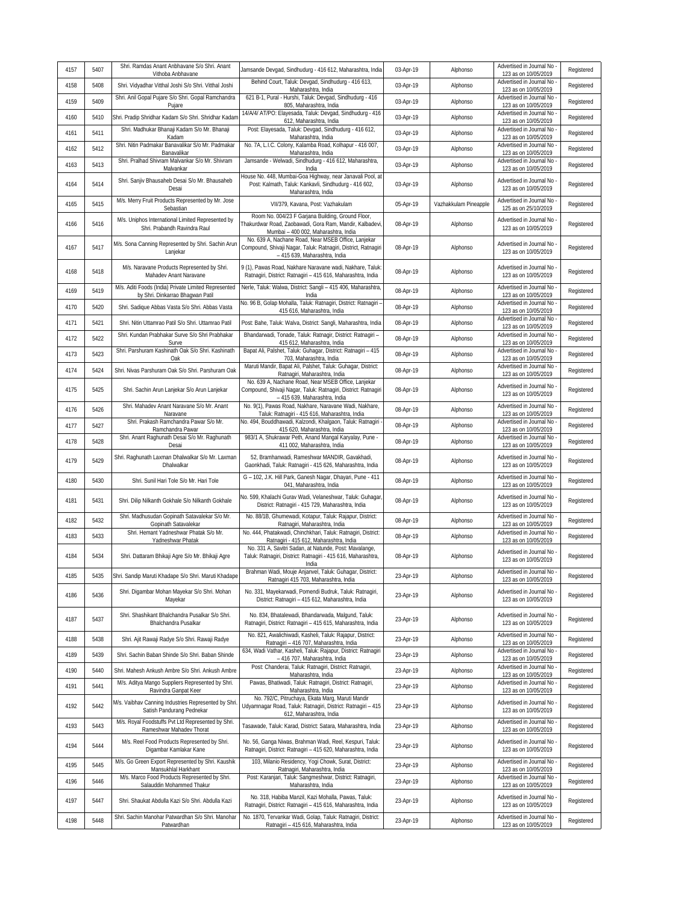| 4157 | 5407 | Shri. Ramdas Anant Anbhavane S/o Shri. Anant<br>Vithoba Anbhavane                        | Jamsande Devgad, Sindhudurg - 416 612, Maharashtra, India                                                                                              | 03-Apr-19 | Alphonso              | Advertised in Journal No<br>123 as on 10/05/2019   | Registered |
|------|------|------------------------------------------------------------------------------------------|--------------------------------------------------------------------------------------------------------------------------------------------------------|-----------|-----------------------|----------------------------------------------------|------------|
| 4158 | 5408 | Shri. Vidyadhar Vitthal Joshi S/o Shri. Vitthal Joshi                                    | Behind Court, Taluk: Devgad, Sindhudurg - 416 613,<br>Maharashtra, India                                                                               | 03-Apr-19 | Alphonso              | Advertised in Journal No<br>123 as on 10/05/2019   | Registered |
| 4159 | 5409 | Shri. Anil Gopal Pujare S/o Shri. Gopal Ramchandra<br>Pujare                             | 621 B-1, Pural - Hurshi, Taluk: Devgad, Sindhudurg - 416<br>805, Maharashtra, India                                                                    | 03-Apr-19 | Alphonso              | Advertised in Journal No<br>123 as on 10/05/2019   | Registered |
| 4160 | 5410 | Shri. Pradip Shridhar Kadam S/o Shri. Shridhar Kadam                                     | 14/A/4/ AT/PO: Elayesada, Taluk: Devgad, Sindhudurg - 416<br>612, Maharashtra, India                                                                   | 03-Apr-19 | Alphonso              | Advertised in Journal No<br>123 as on 10/05/2019   | Registered |
| 4161 | 5411 | Shri. Madhukar Bhanaji Kadam S/o Mr. Bhanaji<br>Kadam                                    | Post: Elayesada, Taluk: Devgad, Sindhudurg - 416 612,<br>Maharashtra, India                                                                            | 03-Apr-19 | Alphonso              | Advertised in Journal No<br>123 as on 10/05/2019   | Registered |
| 4162 | 5412 | Shri. Nitin Padmakar Banavalikar S/o Mr. Padmakar<br>Banavalikar                         | No. 7A, L.I.C. Colony, Kalamba Road, Kolhapur - 416 007,<br>Maharashtra, India                                                                         | 03-Apr-19 | Alphonso              | Advertised in Journal No<br>123 as on 10/05/2019   | Registered |
| 4163 | 5413 | Shri. Pralhad Shivram Malvankar S/o Mr. Shivram<br>Malvankar                             | Jamsande - Welwadi, Sindhudurg - 416 612, Maharashtra,<br>India                                                                                        | 03-Apr-19 | Alphonso              | Advertised in Journal No<br>123 as on 10/05/2019   | Registered |
| 4164 | 5414 | Shri. Sanjiv Bhausaheb Desai S/o Mr. Bhausaheb<br>Desai                                  | House No. 448, Mumbai-Goa Highway, near Janavali Pool, at<br>Post: Kalmath, Taluk: Kankavli, Sindhudurq - 416 602,<br>Maharashtra, India               | 03-Apr-19 | Alphonso              | Advertised in Journal No.<br>123 as on 10/05/2019  | Registered |
| 4165 | 5415 | M/s. Merry Fruit Products Represented by Mr. Jose<br>Sebastian                           | VII/379, Kavana, Post: Vazhakulam                                                                                                                      | 05-Apr-19 | Vazhakkulam Pineapple | Advertised in Journal No<br>125 as on 25/10/2019   | Registered |
| 4166 | 5416 | M/s. Uniphos International Limited Represented by<br>Shri. Prabandh Ravindra Raul        | Room No. 004/23 F Garjana Building, Ground Floor,<br>Thakurdwar Road, Zaobawadi, Gora Ram, Mandir, Kalbadevi,<br>Mumbai - 400 002, Maharashtra, India  | 08-Apr-19 | Alphonso              | Advertised in Journal No<br>123 as on 10/05/2019   | Registered |
| 4167 | 5417 | M/s. Sona Canning Represented by Shri. Sachin Arun<br>Lanjekar                           | No. 639 A, Nachane Road, Near MSEB Office, Lanjekar<br>Compound, Shivaji Nagar, Taluk: Ratnagiri, District, Ratnagiri<br>- 415 639, Maharashtra, India | 08-Apr-19 | Alphonso              | Advertised in Journal No<br>123 as on 10/05/2019   | Registered |
| 4168 | 5418 | M/s. Naravane Products Represented by Shri.<br>Mahadev Anant Naravane                    | 9 (1), Pawas Road, Nakhare Naravane wadi, Nakhare, Taluk:<br>Ratnagiri, District: Ratnagiri - 415 616, Maharashtra, India                              | 08-Apr-19 | Alphonso              | Advertised in Journal No<br>123 as on 10/05/2019   | Registered |
| 4169 | 5419 | M/s. Aditi Foods (India) Private Limited Represented<br>by Shri. Dinkarrao Bhagwan Patil | Nerle, Taluk: Walwa, District: Sangli - 415 406, Maharashtra<br>India                                                                                  | 08-Apr-19 | Alphonso              | Advertised in Journal No<br>123 as on 10/05/2019   | Registered |
| 4170 | 5420 | Shri. Sadique Abbas Vasta S/o Shri. Abbas Vasta                                          | No. 96 B, Golap Mohalla, Taluk: Ratnagiri, District: Ratnagiri -<br>415 616, Maharashtra, India                                                        | 08-Apr-19 | Alphonso              | Advertised in Journal No<br>123 as on 10/05/2019   | Registered |
| 4171 | 5421 | Shri. Nitin Uttamrao Patil S/o Shri. Uttamrao Patil                                      | Post: Bahe, Taluk: Walva, District: Sangli, Maharashtra, India                                                                                         | 08-Apr-19 | Alphonso              | Advertised in Journal No<br>123 as on 10/05/2019   | Registered |
| 4172 | 5422 | Shri. Kundan Prabhakar Surve S/o Shri Prabhakar<br>Surve                                 | Bhandarwadi, Tonade, Taluk: Ratnagir, District: Ratnagiri -<br>415 612, Maharashtra, India                                                             | 08-Apr-19 | Alphonso              | Advertised in Journal No<br>123 as on 10/05/2019   | Registered |
| 4173 | 5423 | Shri. Parshuram Kashinath Oak S/o Shri. Kashinath<br>Oak                                 | Bapat Ali, Palshet, Taluk: Guhagar, District: Ratnagiri - 415<br>703, Maharashtra, India                                                               | 08-Apr-19 | Alphonso              | Advertised in Journal No<br>123 as on 10/05/2019   | Registered |
| 4174 | 5424 | Shri. Nivas Parshuram Oak S/o Shri. Parshuram Oak                                        | Maruti Mandir, Bapat Ali, Palshet, Taluk: Guhagar, District:<br>Ratnagiri, Maharashtra, India                                                          | 08-Apr-19 | Alphonso              | Advertised in Journal No<br>123 as on 10/05/2019   | Registered |
| 4175 | 5425 | Shri. Sachin Arun Lanjekar S/o Arun Lanjekar                                             | No. 639 A, Nachane Road, Near MSEB Office, Lanjekar<br>Compound, Shivaji Nagar, Taluk: Ratnagiri, District: Ratnagiri<br>- 415 639, Maharashtra, India | 08-Apr-19 | Alphonso              | Advertised in Journal No<br>123 as on 10/05/2019   | Registered |
| 4176 | 5426 | Shri. Mahadev Anant Naravane S/o Mr. Anant<br>Naravane                                   | No. 9(1), Pawas Road, Nakhare, Naravane Wadi, Nakhare,<br>Taluk: Ratnagiri - 415 616, Maharashtra, India                                               | 08-Apr-19 | Alphonso              | Advertised in Journal No<br>123 as on 10/05/2019   | Registered |
| 4177 | 5427 | Shri. Prakash Ramchandra Pawar S/o Mr.<br>Ramchandra Pawar                               | No. 494, Bouddhawadi, Kalzondi, Khalgaon, Taluk: Ratnagiri<br>415 620, Maharashtra, India                                                              | 08-Apr-19 | Alphonso              | Advertised in Journal No<br>123 as on 10/05/2019   | Registered |
| 4178 | 5428 | Shri. Anant Raghunath Desai S/o Mr. Raghunath<br>Desai                                   | 983/1 A, Shukrawar Peth, Anand Mangal Karyalay, Pune -<br>411 002, Maharashtra, India                                                                  | 08-Apr-19 | Alphonso              | Advertised in Journal No<br>123 as on 10/05/2019   | Registered |
| 4179 | 5429 | Shri. Raghunath Laxman Dhalwalkar S/o Mr. Laxman<br>Dhalwalkar                           | 52, Bramhanwadi, Rameshwar MANDIR, Gavakhadi,<br>Gaonkhadi, Taluk: Ratnagiri - 415 626, Maharashtra, India                                             | 08-Apr-19 | Alphonso              | Advertised in Journal No<br>123 as on 10/05/2019   | Registered |
| 4180 | 5430 | Shri. Sunil Hari Tole S/o Mr. Hari Tole                                                  | G - 102, J.K. Hill Park, Ganesh Nagar, Dhayari, Pune - 411<br>041, Maharashtra, India                                                                  | 08-Apr-19 | Alphonso              | Advertised in Journal No<br>123 as on 10/05/2019   | Registered |
| 4181 | 5431 | Shri. Dilip Nilkanth Gokhale S/o Nilkanth Gokhale                                        | No. 599, Khalachi Gurav Wadi, Velaneshwar, Taluk: Guhagar<br>District: Ratnagiri - 415 729, Maharashtra, India                                         | 08-Apr-19 | Alphonso              | Advertised in Journal No<br>123 as on 10/05/2019   | Registered |
| 4182 | 5432 | Shri. Madhusudan Gopinath Satavalekar S/o Mr.<br>Gopinath Satavalekar                    | No. 88/1B, Ghumewadi, Kotapur, Taluk: Rajapur, District:<br>Ratnagiri, Maharashtra, India                                                              | 08-Apr-19 | Alphonso              | Advertised in Journal No<br>123 as on 10/05/2019   | Registered |
| 4183 | 5433 | Shri. Hemant Yadneshwar Phatak S/o Mr.<br>Yadneshwar Phatak                              | No. 444, Phatakwadi, Chinchkhari, Taluk: Ratnagiri, District:<br>Ratnagiri - 415 612, Maharashtra, India                                               | 08-Apr-19 | Alphonso              | Advertised in Journal No<br>123 as on 10/05/2019   | Registered |
| 4184 | 5434 | Shri. Dattaram Bhikaji Agre S/o Mr. Bhikaji Agre                                         | No. 331 A, Savitri Sadan, at Natunde, Post: Mavalange,<br>Taluk: Ratnagiri, District: Ratnagiri - 415 616, Maharashtra,<br>India                       | 08-Apr-19 | Alphonso              | Advertised in Journal No<br>123 as on 10/05/2019   | Registered |
| 4185 | 5435 | Shri. Sandip Maruti Khadape S/o Shri. Maruti Khadape                                     | Brahman Wadi, Mouje Anjanvel, Taluk: Guhagar, District:<br>Ratnagiri 415 703, Maharashtra, India                                                       | 23-Apr-19 | Alphonso              | Advertised in Journal No<br>123 as on 10/05/2019   | Registered |
| 4186 | 5436 | Shri. Digambar Mohan Mayekar S/o Shri. Mohan<br>Mayekar                                  | No. 331, Mayekarwadi, Pomendi Budruk, Taluk: Ratnagiri,<br>District: Ratnagiri - 415 612, Maharashtra, India                                           | 23-Apr-19 | Alphonso              | Advertised in Journal No<br>123 as on 10/05/2019   | Registered |
| 4187 | 5437 | Shri. Shashikant Bhalchandra Pusalkar S/o Shri.<br>Bhalchandra Pusalkar                  | No. 834, Bhatalewadi, Bhandarwada, Malgund, Taluk:<br>Ratnagiri, District: Ratnagiri - 415 615, Maharashtra, India                                     | 23-Apr-19 | Alphonso              | Advertised in Journal No -<br>123 as on 10/05/2019 | Registered |
| 4188 | 5438 | Shri. Ajit Rawaji Radye S/o Shri. Rawaji Radye                                           | No. 821, Awalichiwadi, Kasheli, Taluk: Rajapur, District:<br>Ratnagiri - 416 707, Maharashtra, India                                                   | 23-Apr-19 | Alphonso              | Advertised in Journal No -<br>123 as on 10/05/2019 | Registered |
| 4189 | 5439 | Shri. Sachin Baban Shinde S/o Shri. Baban Shinde                                         | 634, Wadi Vathar, Kasheli, Taluk: Rajapur, District: Ratnagiri<br>- 416 707, Maharashtra, India                                                        | 23-Apr-19 | Alphonso              | Advertised in Journal No<br>123 as on 10/05/2019   | Registered |
| 4190 | 5440 | Shri. Mahesh Ankush Ambre S/o Shri. Ankush Ambre                                         | Post: Chanderai, Taluk: Ratnagiri, District: Ratnagiri,<br>Maharashtra, India                                                                          | 23-Apr-19 | Alphonso              | Advertised in Journal No<br>123 as on 10/05/2019   | Registered |
| 4191 | 5441 | M/s. Aditya Mango Suppliers Represented by Shri.<br>Ravindra Ganpat Keer                 | Pawas, Bhatiwadi, Taluk: Ratnagiri, District: Ratnagiri,<br>Maharashtra, India                                                                         | 23-Apr-19 | Alphonso              | Advertised in Journal No<br>123 as on 10/05/2019   | Registered |
| 4192 | 5442 | M/s. Vaibhav Canning Industries Represented by Shri.<br>Satish Pandurang Pednekar        | No. 792/C, Pitruchaya, Ekata Marg, Maruti Mandir<br>Udyamnagar Road, Taluk: Ratnagiri, District: Ratnagiri - 415<br>612, Maharashtra, India            | 23-Apr-19 | Alphonso              | Advertised in Journal No<br>123 as on 10/05/2019   | Registered |
| 4193 | 5443 | M/s. Royal Foodstuffs Pvt Ltd Represented by Shri.<br>Rameshwar Mahadev Thorat           | Tasawade, Taluk: Karad, District: Satara, Maharashtra, India                                                                                           | 23-Apr-19 | Alphonso              | Advertised in Journal No<br>123 as on 10/05/2019   | Registered |
| 4194 | 5444 | M/s. Reel Food Products Represented by Shri.<br>Digambar Kamlakar Kane                   | No. 56, Ganga Niwas, Brahman Wadi, Reel, Kespuri, Taluk:<br>Ratnagiri, District: Ratnagiri - 415 620, Maharashtra, India                               | 23-Apr-19 | Alphonso              | Advertised in Journal No -<br>123 as on 10/05/2019 | Registered |
| 4195 | 5445 | M/s. Go Green Export Represented by Shri. Kaushik<br>Mansukhlal Harkhant                 | 103, Milanio Residency, Yogi Chowk, Surat, District:<br>Ratnagiri, Maharashtra, India                                                                  | 23-Apr-19 | Alphonso              | Advertised in Journal No -<br>123 as on 10/05/2019 | Registered |
| 4196 | 5446 | M/s. Marco Food Products Represented by Shri.<br>Salauddin Mohammed Thakur               | Post: Karanjari, Taluk: Sangmeshwar, District: Ratnagiri,<br>Maharashtra, India                                                                        | 23-Apr-19 | Alphonso              | Advertised in Journal No<br>123 as on 10/05/2019   | Registered |
| 4197 | 5447 | Shri. Shaukat Abdulla Kazi S/o Shri. Abdulla Kazi                                        | No. 318, Habiba Manzil, Kazi Mohalla, Pawas, Taluk:<br>Ratnagiri, District: Ratnagiri - 415 616, Maharashtra, India                                    | 23-Apr-19 | Alphonso              | Advertised in Journal No<br>123 as on 10/05/2019   | Registered |
| 4198 | 5448 | Shri. Sachin Manohar Patwardhan S/o Shri. Manohar<br>Patwardhan                          | No. 1870, Tervankar Wadi, Golap, Taluk: Ratnagiri, District:<br>Ratnagiri - 415 616, Maharashtra, India                                                | 23-Apr-19 | Alphonso              | Advertised in Journal No<br>123 as on 10/05/2019   | Registered |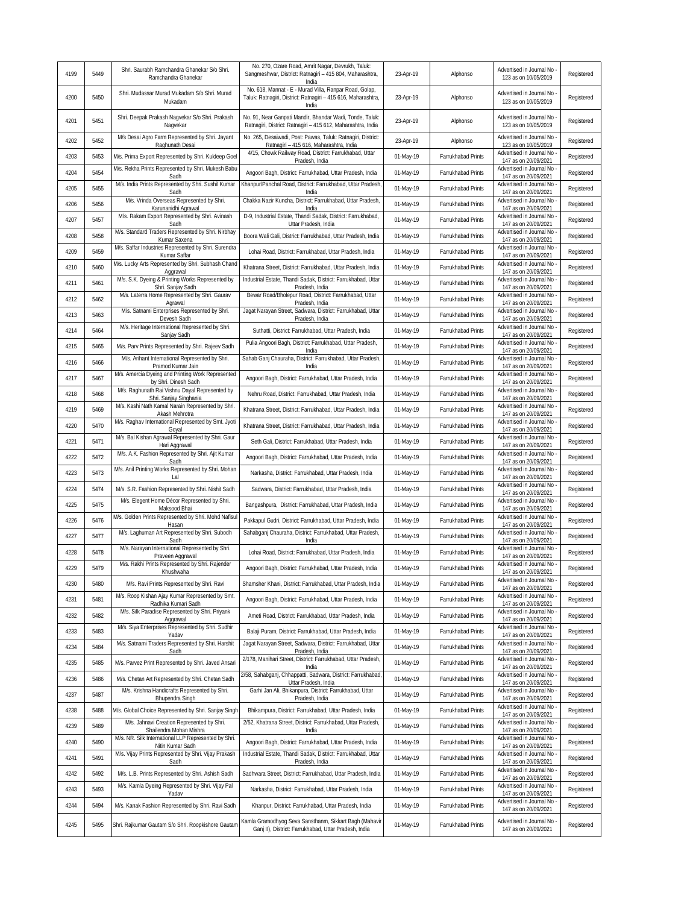| 4199 | 5449 | Shri. Saurabh Ramchandra Ghanekar S/o Shri.<br>Ramchandra Ghanekar                            | No. 270, Ozare Road, Amrit Nagar, Devrukh, Taluk:<br>Sangmeshwar, District: Ratnagiri - 415 804, Maharashtra,<br>India           | 23-Apr-19 | Alphonso           | Advertised in Journal No<br>123 as on 10/05/2019   | Registered |
|------|------|-----------------------------------------------------------------------------------------------|----------------------------------------------------------------------------------------------------------------------------------|-----------|--------------------|----------------------------------------------------|------------|
| 4200 | 5450 | Shri. Mudassar Murad Mukadam S/o Shri. Murad<br>Mukadam                                       | No. 618, Mannat - E - Murad Villa, Ranpar Road, Golap,<br>Taluk: Ratnagiri, District: Ratnagiri - 415 616, Maharashtra,<br>India | 23-Apr-19 | Alphonso           | Advertised in Journal No<br>123 as on 10/05/2019   | Registered |
| 4201 | 5451 | Shri. Deepak Prakash Nagvekar S/o Shri. Prakash<br>Nagvekar                                   | No. 91, Near Ganpati Mandir, Bhandar Wadi, Tonde, Taluk:<br>Ratnagiri, District: Ratnagiri - 415 612, Maharashtra, India         | 23-Apr-19 | Alphonso           | Advertised in Journal No<br>123 as on 10/05/2019   | Registered |
| 4202 | 5452 | M/s Desai Agro Farm Represented by Shri. Jayant<br>Raghunath Desai                            | No. 265, Desaiwadi, Post: Pawas, Taluk: Ratnagiri, District:<br>Ratnagiri - 415 616, Maharashtra, India                          | 23-Apr-19 | Alphonso           | Advertised in Journal No<br>123 as on 10/05/2019   | Registered |
| 4203 | 5453 | M/s. Prima Export Represented by Shri. Kuldeep Goel                                           | 4/15, Chowk Railway Road, District: Farrukhabad, Uttar<br>Pradesh, India                                                         | 01-May-19 | Farrukhabad Prints | Advertised in Journal No<br>147 as on 20/09/2021   | Registered |
| 4204 | 5454 | M/s. Rekha Prints Represented by Shri. Mukesh Babu<br>Sadh                                    | Angoori Bagh, District: Farrukhabad, Uttar Pradesh, India                                                                        | 01-May-19 | Farrukhabad Prints | Advertised in Journal No<br>147 as on 20/09/2021   | Registered |
| 4205 | 5455 | M/s. India Prints Represented by Shri. Sushil Kumar<br>Sadh                                   | Khanpur/Panchal Road, District: Farrukhabad, Uttar Pradesh,<br>India                                                             | 01-May-19 | Farrukhabad Prints | Advertised in Journal No<br>147 as on 20/09/2021   | Registered |
| 4206 | 5456 | M/s. Vrinda Overseas Represented by Shri.<br>Karunanidhi Agrawal                              | Chakka Nazir Kuncha, District: Farrukhabad, Uttar Pradesh,<br>India                                                              | 01-May-19 | Farrukhabad Prints | Advertised in Journal No<br>147 as on 20/09/2021   | Registered |
| 4207 | 5457 | M/s. Rakam Export Represented by Shri. Avinash<br>Sadh                                        | D-9, Industrial Estate, Thandi Sadak, District: Farrukhabad,<br>Uttar Pradesh, India                                             | 01-May-19 | Farrukhabad Prints | Advertised in Journal No<br>147 as on 20/09/2021   | Registered |
| 4208 | 5458 | M/s. Standard Traders Represented by Shri. Nirbhay                                            | Boora Wali Gali, District: Farrukhabad, Uttar Pradesh, India                                                                     | 01-May-19 | Farrukhabad Prints | Advertised in Journal No                           | Registered |
| 4209 | 5459 | Kumar Saxena<br>M/s. Saffar Industries Represented by Shri. Surendra                          | Lohai Road, District: Farrukhabad, Uttar Pradesh, India                                                                          | 01-May-19 | Farrukhabad Prints | 147 as on 20/09/2021<br>Advertised in Journal No   | Registered |
| 4210 | 5460 | Kumar Saffar<br>M/s. Lucky Arts Represented by Shri. Subhash Chand                            | Khatrana Street, District: Farrukhabad, Uttar Pradesh, India                                                                     | 01-May-19 | Farrukhabad Prints | 147 as on 20/09/2021<br>Advertised in Journal No   | Registered |
| 4211 | 5461 | Aggrawal<br>M/s. S.K. Dyeing & Printing Works Represented by                                  | Industrial Estate, Thandi Sadak, District: Farrukhabad, Uttar                                                                    | 01-May-19 | Farrukhabad Prints | 147 as on 20/09/2021<br>Advertised in Journal No   | Registered |
| 4212 | 5462 | Shri. Sanjay Sadh<br>M/s. Laterra Home Represented by Shri. Gaurav                            | Pradesh, India<br>Bewar Road/Bholepur Road, District: Farrukhabad, Uttar                                                         | 01-May-19 | Farrukhabad Prints | 147 as on 20/09/2021<br>Advertised in Journal No   | Registered |
| 4213 | 5463 | Agrawal<br>M/s. Satnami Enterprises Represented by Shri.                                      | Pradesh, India<br>Jagat Narayan Street, Sadwara, District: Farrukhabad, Uttar                                                    | 01-May-19 | Farrukhabad Prints | 147 as on 20/09/2021<br>Advertised in Journal No   | Registered |
| 4214 | 5464 | Devesh Sadh<br>M/s. Heritage International Represented by Shri.                               | Pradesh, India<br>Suthatti, District: Farrukhabad, Uttar Pradesh, India                                                          | 01-May-19 | Farrukhabad Prints | 147 as on 20/09/2021<br>Advertised in Journal No   | Registered |
| 4215 | 5465 | Sanjay Sadh<br>M/s. Parv Prints Represented by Shri. Rajeev Sadh                              | Pulia Angoori Bagh, District: Farrukhabad, Uttar Pradesh,                                                                        | 01-May-19 | Farrukhabad Prints | 147 as on 20/09/2021<br>Advertised in Journal No   | Registered |
| 4216 | 5466 | M/s. Arihant International Represented by Shri.                                               | India<br>Sahab Ganj Chauraha, District: Farrukhabad, Uttar Pradesh,                                                              | 01-May-19 | Farrukhabad Prints | 147 as on 20/09/2021<br>Advertised in Journal No   | Registered |
| 4217 | 5467 | Pramod Kumar Jain<br>M/s. Amercia Dyeing and Printing Work Represented                        | India<br>Angoori Bagh, District: Farrukhabad, Uttar Pradesh, India                                                               | 01-May-19 | Farrukhabad Prints | 147 as on 20/09/2021<br>Advertised in Journal No   | Registered |
| 4218 | 5468 | by Shri. Dinesh Sadh<br>M/s. Raghunath Rai Vishnu Dayal Represented by                        | Nehru Road, District: Farrukhabad, Uttar Pradesh, India                                                                          | 01-May-19 | Farrukhabad Prints | 147 as on 20/09/2021<br>Advertised in Journal No   | Registered |
| 4219 | 5469 | Shri. Sanjay Singhania<br>M/s. Kashi Nath Kamal Narain Represented by Shri.                   | Khatrana Street, District: Farrukhabad, Uttar Pradesh, India                                                                     | 01-May-19 | Farrukhabad Prints | 147 as on 20/09/2021<br>Advertised in Journal No   | Registered |
| 4220 | 5470 | Akash Mehrotra<br>M/s. Raghav International Represented by Smt. Jyoti                         | Khatrana Street, District: Farrukhabad, Uttar Pradesh, India                                                                     | 01-May-19 | Farrukhabad Prints | 147 as on 20/09/2021<br>Advertised in Journal No   | Registered |
| 4221 | 5471 | Goyal<br>M/s. Bal Kishan Agrawal Represented by Shri. Gaur                                    | Seth Gali, District: Farrukhabad, Uttar Pradesh, India                                                                           | 01-May-19 | Farrukhabad Prints | 147 as on 20/09/2021<br>Advertised in Journal No   | Registered |
| 4222 | 5472 | Hari Aggrawal<br>M/s. A.K. Fashion Represented by Shri. Ajit Kumar                            | Angoori Bagh, District: Farrukhabad, Uttar Pradesh, India                                                                        | 01-May-19 | Farrukhabad Prints | 147 as on 20/09/2021<br>Advertised in Journal No   | Registered |
| 4223 | 5473 | Sadh<br>M/s. Anil Printing Works Represented by Shri. Mohan                                   | Narkasha, District: Farrukhabad, Uttar Pradesh, India                                                                            | 01-May-19 | Farrukhabad Prints | 147 as on 20/09/2021<br>Advertised in Journal No   | Registered |
| 4224 | 5474 | Lal<br>M/s. S.R. Fashion Represented by Shri. Nishit Sadh                                     |                                                                                                                                  |           |                    | 147 as on 20/09/2021<br>Advertised in Journal No   |            |
| 4225 | 5475 | M/s. Elegent Home Décor Represented by Shri.                                                  | Sadwara, District: Farrukhabad, Uttar Pradesh, India                                                                             | 01-May-19 | Farrukhabad Prints | 147 as on 20/09/2021<br>Advertised in Journal No   | Registered |
|      |      | Maksood Bhai<br>M/s. Golden Prints Represented by Shri. Mohd Nafisul                          | Bangashpura, District: Farrukhabad, Uttar Pradesh, India                                                                         | 01-May-19 | Farrukhabad Prints | 147 as on 20/09/2021<br>Advertised in Journal No   | Registered |
| 4226 | 5476 | Hasan<br>M/s. Laghuman Art Represented by Shri. Subodh                                        | Pakkapul Gudri, District: Farrukhabad, Uttar Pradesh, India<br>Sahabganj Chauraha, District: Farrukhabad, Uttar Pradesh,         | 01-May-19 | Farrukhabad Prints | 147 as on 20/09/2021<br>Advertised in Journal No   | Registered |
| 4227 | 5477 | Sadh<br>M/s. Narayan International Represented by Shri.                                       | India                                                                                                                            | 01-May-19 | Farrukhabad Prints | 147 as on 20/09/2021<br>Advertised in Journal No   | Registered |
| 4228 | 5478 | Praveen Aggrawal<br>M/s. Rakhi Prints Represented by Shri. Rajender                           | Lohai Road, District: Farrukhabad, Uttar Pradesh, India                                                                          | 01-May-19 | Farrukhabad Prints | 147 as on 20/09/2021<br>Advertised in Journal No   | Registered |
| 4229 | 5479 | Khushwaha                                                                                     | Angoori Bagh, District: Farrukhabad, Uttar Pradesh, India                                                                        | 01-May-19 | Farrukhabad Prints | 147 as on 20/09/2021<br>Advertised in Journal No   | Registered |
| 4230 | 5480 | M/s. Ravi Prints Represented by Shri. Ravi<br>M/s. Roop Kishan Ajay Kumar Represented by Smt. | Shamsher Khani, District: Farrukhabad, Uttar Pradesh, India                                                                      | 01-May-19 | Farrukhabad Prints | 147 as on 20/09/2021<br>Advertised in Journal No   | Registered |
| 4231 | 5481 | Radhika Kumari Sadh<br>M/s. Silk Paradise Represented by Shri. Priyank                        | Angoori Bagh, District: Farrukhabad, Uttar Pradesh, India                                                                        | 01-May-19 | Farrukhabad Prints | 147 as on 20/09/2021<br>Advertised in Journal No - | Registered |
| 4232 | 5482 | Aggrawal                                                                                      | Ameti Road, District: Farrukhabad, Uttar Pradesh, India                                                                          | 01-May-19 | Farrukhabad Prints | 147 as on 20/09/2021                               | Registered |
| 4233 | 5483 | M/s. Siya Enterprises Represented by Shri. Sudhir<br>Yadav                                    | Balaji Puram, District: Farrukhabad, Uttar Pradesh, India                                                                        | 01-May-19 | Farrukhabad Prints | Advertised in Journal No<br>147 as on 20/09/2021   | Registered |
| 4234 | 5484 | M/s. Satnami Traders Represented by Shri. Harshit<br>Sadh                                     | Jagat Narayan Street, Sadwara, District: Farrukhabad, Uttar<br>Pradesh, India                                                    | 01-May-19 | Farrukhabad Prints | Advertised in Journal No -<br>147 as on 20/09/2021 | Registered |
| 4235 | 5485 | M/s. Parvez Print Represented by Shri. Javed Ansari                                           | 2/178, Manihari Street, District: Farrukhabad, Uttar Pradesh,<br>India                                                           | 01-May-19 | Farrukhabad Prints | Advertised in Journal No.<br>147 as on 20/09/2021  | Registered |
| 4236 | 5486 | M/s. Chetan Art Represented by Shri. Chetan Sadh                                              | 2/58, Sahabganj, Chhappatti, Sadwara, District: Farrukhabad<br>Uttar Pradesh, India                                              | 01-May-19 | Farrukhabad Prints | Advertised in Journal No<br>147 as on 20/09/2021   | Registered |
| 4237 | 5487 | M/s. Krishna Handicrafts Represented by Shri.<br>Bhupendra Singh                              | Garhi Jan Ali, Bhikanpura, District: Farrukhabad, Uttar<br>Pradesh, India                                                        | 01-May-19 | Farrukhabad Prints | Advertised in Journal No<br>147 as on 20/09/2021   | Registered |
| 4238 | 5488 | M/s. Global Choice Represented by Shri. Sanjay Singh                                          | Bhikampura, District: Farrukhabad, Uttar Pradesh, India                                                                          | 01-May-19 | Farrukhabad Prints | Advertised in Journal No<br>147 as on 20/09/2021   | Registered |
| 4239 | 5489 | M/s. Jahnavi Creation Represented by Shri.<br>Shailendra Mohan Mishra                         | 2/52, Khatrana Street, District: Farrukhabad, Uttar Pradesh,<br>India                                                            | 01-May-19 | Farrukhabad Prints | Advertised in Journal No<br>147 as on 20/09/2021   | Registered |
| 4240 | 5490 | M/s. NR. Silk International LLP Represented by Shri.<br>Nitin Kumar Sadh                      | Angoori Bagh, District: Farrukhabad, Uttar Pradesh, India                                                                        | 01-May-19 | Farrukhabad Prints | Advertised in Journal No<br>147 as on 20/09/2021   | Registered |
| 4241 | 5491 | M/s. Vijay Prints Represented by Shri. Vijay Prakash<br>Sadh                                  | Industrial Estate, Thandi Sadak, District: Farrukhabad, Uttar<br>Pradesh, India                                                  | 01-May-19 | Farrukhabad Prints | Advertised in Journal No<br>147 as on 20/09/2021   | Registered |
| 4242 | 5492 | M/s. L.B. Prints Represented by Shri. Ashish Sadh                                             | Sadhwara Street, District: Farrukhabad, Uttar Pradesh, India                                                                     | 01-May-19 | Farrukhabad Prints | Advertised in Journal No -<br>147 as on 20/09/2021 | Registered |
| 4243 | 5493 | M/s. Kamla Dyeing Represented by Shri. Vijay Pal<br>Yadav                                     | Narkasha, District: Farrukhabad, Uttar Pradesh, India                                                                            | 01-May-19 | Farrukhabad Prints | Advertised in Journal No<br>147 as on 20/09/2021   | Registered |
| 4244 | 5494 | M/s. Kanak Fashion Represented by Shri. Ravi Sadh                                             | Khanpur, District: Farrukhabad, Uttar Pradesh, India                                                                             | 01-May-19 | Farrukhabad Prints | Advertised in Journal No<br>147 as on 20/09/2021   | Registered |
| 4245 | 5495 | Shri. Rajkumar Gautam S/o Shri. Roopkishore Gautam                                            | Kamla Gramodhyog Seva Sansthanm, Sikkart Bagh (Mahavir<br>Ganj II), District: Farrukhabad, Uttar Pradesh, India                  | 01-May-19 | Farrukhabad Prints | Advertised in Journal No -<br>147 as on 20/09/2021 | Registered |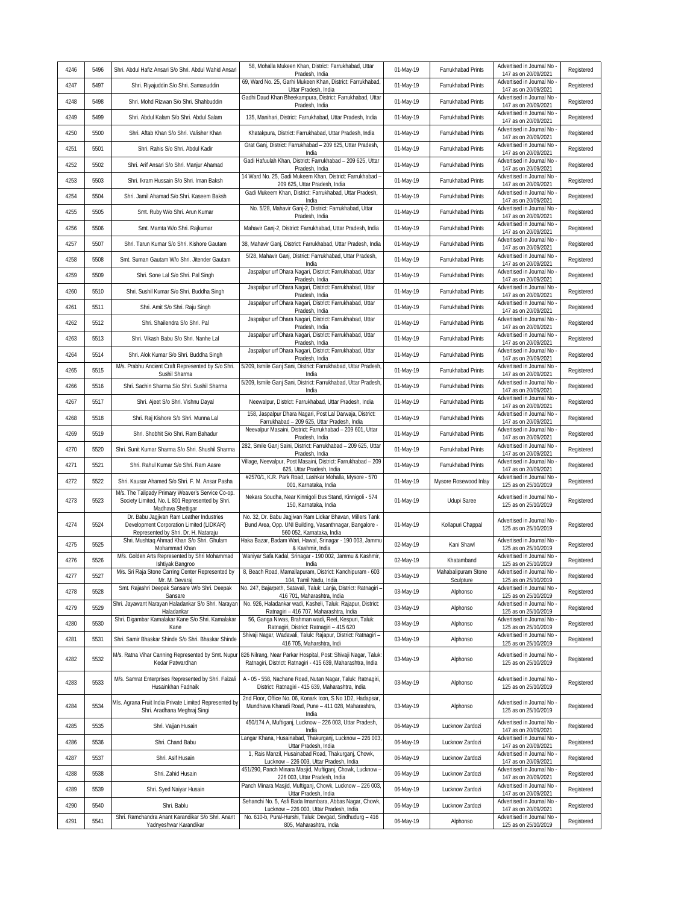|      |      |                                                                                                                              | 58, Mohalla Mukeen Khan, District: Farrukhabad, Uttar                                                                                                       |           |                                  | Advertised in Journal No                                                 |            |
|------|------|------------------------------------------------------------------------------------------------------------------------------|-------------------------------------------------------------------------------------------------------------------------------------------------------------|-----------|----------------------------------|--------------------------------------------------------------------------|------------|
| 4246 | 5496 | Shri. Abdul Hafiz Ansari S/o Shri. Abdul Wahid Ansari                                                                        | Pradesh, India<br>69, Ward No. 25, Garhi Mukeen Khan, District: Farrukhabad,                                                                                | 01-May-19 | Farrukhabad Prints               | 147 as on 20/09/2021<br>Advertised in Journal No                         | Registered |
| 4247 | 5497 | Shri. Riyajuddin S/o Shri. Samasuddin                                                                                        | Uttar Pradesh, India<br>Gadhi Daud Khan Bheekampura, District: Farrukhabad, Uttar                                                                           | 01-May-19 | Farrukhabad Prints               | 147 as on 20/09/2021<br>Advertised in Journal No                         | Registered |
| 4248 | 5498 | Shri. Mohd Rizwan S/o Shri. Shahbuddin                                                                                       | Pradesh, India                                                                                                                                              | 01-May-19 | Farrukhabad Prints               | 147 as on 20/09/2021<br>Advertised in Journal No                         | Registered |
| 4249 | 5499 | Shri. Abdul Kalam S/o Shri. Abdul Salam                                                                                      | 135, Manihari, District: Farrukhabad, Uttar Pradesh, India                                                                                                  | 01-May-19 | Farrukhabad Prints               | 147 as on 20/09/2021<br>Advertised in Journal No                         | Registered |
| 4250 | 5500 | Shri. Aftab Khan S/o Shri. Valisher Khan                                                                                     | Khatakpura, District: Farrukhabad, Uttar Pradesh, India                                                                                                     | 01-May-19 | Farrukhabad Prints               | 147 as on 20/09/2021                                                     | Registered |
| 4251 | 5501 | Shri. Rahis S/o Shri. Abdul Kadir                                                                                            | Grat Ganj, District: Farrukhabad - 209 625, Uttar Pradesh,<br>India                                                                                         | 01-May-19 | Farrukhabad Prints               | Advertised in Journal No<br>147 as on 20/09/2021                         | Registered |
| 4252 | 5502 | Shri. Arif Ansari S/o Shri. Manjur Ahamad                                                                                    | Gadi Hafuulah Khan, District: Farrukhabad - 209 625, Uttar<br>Pradesh, India                                                                                | 01-May-19 | Farrukhabad Prints               | Advertised in Journal No<br>147 as on 20/09/2021                         | Registered |
| 4253 | 5503 | Shri. Ikram Hussain S/o Shri. Iman Baksh                                                                                     | 14 Ward No. 25, Gadi Mukeem Khan, District: Farrukhabad -<br>209 625, Uttar Pradesh, India                                                                  | 01-May-19 | Farrukhabad Prints               | Advertised in Journal No<br>147 as on 20/09/2021                         | Registered |
| 4254 | 5504 | Shri. Jamil Ahamad S/o Shri. Kaseem Baksh                                                                                    | Gadi Mukeem Khan, District: Farrukhabad, Uttar Pradesh,<br>India                                                                                            | 01-May-19 | Farrukhabad Prints               | Advertised in Journal No<br>147 as on 20/09/2021                         | Registered |
| 4255 | 5505 | Smt. Ruby W/o Shri. Arun Kumar                                                                                               | No. 5/28, Mahavir Ganj-2, District: Farrukhabad, Uttar<br>Pradesh, India                                                                                    | 01-May-19 | Farrukhabad Prints               | Advertised in Journal No<br>147 as on 20/09/2021                         | Registered |
| 4256 | 5506 | Smt. Mamta W/o Shri. Rajkumar                                                                                                | Mahavir Ganj-2, District: Farrukhabad, Uttar Pradesh, India                                                                                                 | 01-May-19 | Farrukhabad Prints               | Advertised in Journal No<br>147 as on 20/09/2021                         | Registered |
| 4257 | 5507 | Shri. Tarun Kumar S/o Shri. Kishore Gautam                                                                                   | 38, Mahavir Ganj, District: Farrukhabad, Uttar Pradesh, India                                                                                               | 01-May-19 | Farrukhabad Prints               | Advertised in Journal No<br>147 as on 20/09/2021                         | Registered |
| 4258 | 5508 | Smt. Suman Gautam W/o Shri. Jitender Gautam                                                                                  | 5/28, Mahavir Ganj, District: Farrukhabad, Uttar Pradesh,<br>India                                                                                          | 01-May-19 | Farrukhabad Prints               | Advertised in Journal No -<br>147 as on 20/09/2021                       | Registered |
| 4259 | 5509 | Shri. Sone Lal S/o Shri. Pal Singh                                                                                           | Jaspalpur urf Dhara Nagari, District: Farrukhabad, Uttar<br>Pradesh, India                                                                                  | 01-May-19 | Farrukhabad Prints               | Advertised in Journal No<br>147 as on 20/09/2021                         | Registered |
| 4260 | 5510 | Shri. Sushil Kumar S/o Shri. Buddha Singh                                                                                    | Jaspalpur urf Dhara Nagari, District: Farrukhabad, Uttar<br>Pradesh, India                                                                                  | 01-May-19 | Farrukhabad Prints               | Advertised in Journal No<br>147 as on 20/09/2021                         | Registered |
| 4261 | 5511 | Shri. Amit S/o Shri. Raju Singh                                                                                              | Jaspalpur urf Dhara Nagari, District: Farrukhabad, Uttar<br>Pradesh, India                                                                                  | 01-May-19 | Farrukhabad Prints               | Advertised in Journal No<br>147 as on 20/09/2021                         | Registered |
| 4262 | 5512 | Shri. Shailendra S/o Shri. Pal                                                                                               | Jaspalpur urf Dhara Nagari, District: Farrukhabad, Uttar<br>Pradesh, India                                                                                  | 01-May-19 | Farrukhabad Prints               | Advertised in Journal No<br>147 as on 20/09/2021                         | Registered |
| 4263 | 5513 | Shri. Vikash Babu S/o Shri. Nanhe Lal                                                                                        | Jaspalpur urf Dhara Nagari, District: Farrukhabad, Uttar<br>Pradesh, India                                                                                  | 01-May-19 | Farrukhabad Prints               | Advertised in Journal No<br>147 as on 20/09/2021                         | Registered |
| 4264 | 5514 | Shri. Alok Kumar S/o Shri. Buddha Singh                                                                                      | Jaspalpur urf Dhara Nagari, District: Farrukhabad, Uttar<br>Pradesh, India                                                                                  | 01-May-19 | Farrukhabad Prints               | Advertised in Journal No<br>147 as on 20/09/2021                         | Registered |
| 4265 | 5515 | M/s. Prabhu Ancient Craft Represented by S/o Shri.<br>Sushil Sharma                                                          | 5/209, Ismile Ganj Sani, District: Farrukhabad, Uttar Pradesh<br>India                                                                                      | 01-May-19 | Farrukhabad Prints               | Advertised in Journal No<br>147 as on 20/09/2021                         | Registered |
| 4266 | 5516 | Shri. Sachin Sharma S/o Shri. Sushil Sharma                                                                                  | 5/209, Ismile Ganj Sani, District: Farrukhabad, Uttar Pradesh,<br>India                                                                                     | 01-May-19 | Farrukhabad Prints               | Advertised in Journal No<br>147 as on 20/09/2021                         | Registered |
| 4267 | 5517 | Shri. Ajeet S/o Shri. Vishnu Dayal                                                                                           | Neewalpur, District: Farrukhabad, Uttar Pradesh, India                                                                                                      | 01-May-19 | Farrukhabad Prints               | Advertised in Journal No<br>147 as on 20/09/2021                         | Registered |
| 4268 | 5518 | Shri. Raj Kishore S/o Shri. Munna Lal                                                                                        | 158, Jaspalpur Dhara Nagari, Post Lal Darwaja, District:                                                                                                    | 01-May-19 | Farrukhabad Prints               | Advertised in Journal No                                                 | Registered |
| 4269 | 5519 | Shri. Shobhit S/o Shri. Ram Bahadur                                                                                          | Farrukhabad - 209 625, Uttar Pradesh, India<br>Neevalpur Masaini, District: Farrukhabad - 209 601, Uttar                                                    | 01-May-19 | Farrukhabad Prints               | 147 as on 20/09/2021<br>Advertised in Journal No                         | Registered |
| 4270 | 5520 | Shri. Sunit Kumar Sharma S/o Shri. Shushil Sharma                                                                            | Pradesh, India<br>282, Smile Ganj Saini, District: Farrukhabad - 209 625, Uttar                                                                             | 01-May-19 | Farrukhabad Prints               | 147 as on 20/09/2021<br>Advertised in Journal No                         | Registered |
| 4271 | 5521 | Shri. Rahul Kumar S/o Shri. Ram Aasre                                                                                        | Pradesh, India<br>Village, Neevalpur, Post Masaini, District: Farrukhabad - 209                                                                             | 01-May-19 | Farrukhabad Prints               | 147 as on 20/09/2021<br>Advertised in Journal No                         | Registered |
| 4272 | 5522 | Shri. Kausar Ahamed S/o Shri. F. M. Ansar Pasha                                                                              | 625, Uttar Pradesh, India<br>#2570/1, K.R. Park Road, Lashkar Mohalla, Mysore - 570                                                                         | 01-May-19 | Mysore Rosewood Inlay            | 147 as on 20/09/2021<br>Advertised in Journal No                         | Registered |
| 4273 | 5523 | M/s. The Talipady Primary Weaver's Service Co-op.<br>Society Limited, No. L 801 Represented by Shri.<br>Madhava Shettigar    | 001, Karnataka, India<br>Nekara Soudha, Near Kinnigoli Bus Stand, Kinnigoli - 574<br>150, Karnataka, India                                                  | 01-May-19 | Udupi Saree                      | 125 as on 25/10/2019<br>Advertised in Journal No<br>125 as on 25/10/2019 | Registered |
| 4274 | 5524 | Dr. Babu Jagjivan Ram Leather Industries<br>Development Corporation Limited (LIDKAR)<br>Represented by Shri. Dr. H. Nataraju | No. 32, Dr. Babu Jagjivan Ram Lidkar Bhavan, Millers Tank<br>Bund Area, Opp. UNI Building, Vasanthnagar, Bangalore -<br>560 052, Karnataka, India           | 01-May-19 | Kollapuri Chappal                | Advertised in Journal No<br>125 as on 25/10/2019                         | Registered |
| 4275 | 5525 | Shri. Mushtaq Ahmad Khan S/o Shri. Ghulam<br>Mohammad Khan                                                                   | Haka Bazar, Badam Wari, Hawal, Srinagar - 190 003, Jammu<br>& Kashmir, India                                                                                | 02-May-19 | Kani Shawl                       | Advertised in Journal No<br>125 as on 25/10/2019                         | Registered |
| 4276 | 5526 | M/s. Golden Arts Represented by Shri Mohammad<br>Ishtiyak Bangroo                                                            | Waniyar Safa Kadal, Srinagar - 190 002, Jammu & Kashmir,<br>India                                                                                           | 02-May-19 | Khatamband                       | Advertised in Journal No<br>125 as on 25/10/2019                         | Registered |
| 4277 | 5527 | Mr. M. Devaraj                                                                                                               | M/s. Sri Raja Stone Carring Center Represented by 8, Beach Road, Mamallapuram, District: Kanchipuram - 603<br>104, Tamil Nadu, India                        | 03-May-19 | Mahabalinuram Stone<br>Sculpture | Advertised in Journal No -<br>125 as on 25/10/2019                       | Registered |
| 4278 | 5528 | Smt. Rajashri Deepak Sansare W/o Shri. Deepak<br>Sansare                                                                     | No. 247, Bajarpeth, Satavali, Taluk: Lanja, District: Ratnagiri -<br>416 701, Maharashtra, India                                                            | 03-May-19 | Alphonso                         | Advertised in Journal No<br>125 as on 25/10/2019                         | Registered |
| 4279 | 5529 | Shri. Jayawant Narayan Haladankar S/o Shri. Narayan<br>Haladankar                                                            | No. 926, Haladankar wadi, Kasheli, Taluk: Rajapur, District:<br>Ratnagiri - 416 707, Maharashtra, India                                                     | 03-May-19 | Alphonso                         | Advertised in Journal No<br>125 as on 25/10/2019                         | Registered |
| 4280 | 5530 | Shri. Digambar Kamalakar Kane S/o Shri. Kamalakar<br>Kane                                                                    | 56, Ganga Niwas, Brahman wadi, Reel, Kespuri, Taluk:<br>Ratnagiri, District: Ratnagiri - 415 620                                                            | 03-May-19 | Alphonso                         | Advertised in Journal No<br>125 as on 25/10/2019                         | Registered |
| 4281 | 5531 | Shri. Samir Bhaskar Shinde S/o Shri. Bhaskar Shinde                                                                          | Shivaji Nagar, Wadavali, Taluk: Rajapur, District: Ratnagiri -                                                                                              | 03-May-19 | Alphonso                         | Advertised in Journal No                                                 | Registered |
| 4282 | 5532 | M/s. Ratna Vihar Canning Represented by Smt. Nupur<br>Kedar Patwardhan                                                       | 416 705, Maharshtra, Indi<br>826 Nilrang, Near Parkar Hospital, Post: Shivaji Nagar, Taluk:<br>Ratnagiri, District: Ratnagiri - 415 639, Maharashtra, India | 03-May-19 | Alphonso                         | 125 as on 25/10/2019<br>Advertised in Journal No<br>125 as on 25/10/2019 | Registered |
| 4283 | 5533 | M/s. Samrat Enterprises Represented by Shri. Faizali<br>Husainkhan Fadnaik                                                   | A - 05 - 558, Nachane Road, Nutan Nagar, Taluk: Ratnagiri,<br>District: Ratnagiri - 415 639, Maharashtra, India                                             | 03-May-19 | Alphonso                         | Advertised in Journal No<br>125 as on 25/10/2019                         | Registered |
| 4284 | 5534 | M/s. Agrana Fruit India Private Limited Represented by<br>Shri. Aradhana Meghraj Singi                                       | 2nd Floor, Office No. 06, Konark Icon, S No 1D2, Hadapsar,<br>Mundhava Kharadi Road, Pune - 411 028, Maharashtra,<br>India                                  | 03-May-19 | Alphonso                         | Advertised in Journal No<br>125 as on 25/10/2019                         | Registered |
| 4285 | 5535 | Shri. Vajjan Husain                                                                                                          | 450/174 A, Muftiganj, Lucknow - 226 003, Uttar Pradesh,<br>India                                                                                            | 06-May-19 | Lucknow Zardozi                  | Advertised in Journal No<br>147 as on 20/09/2021                         | Registered |
| 4286 | 5536 | Shri. Chand Babu                                                                                                             | Langar Khana, Husainabad, Thakurganj, Lucknow - 226 003<br>Uttar Pradesh, India                                                                             | 06-May-19 | Lucknow Zardozi                  | Advertised in Journal No<br>147 as on 20/09/2021                         | Registered |
| 4287 | 5537 | Shri. Asif Husain                                                                                                            | 1, Rais Manzil, Husainabad Road, Thakurganj, Chowk,<br>Lucknow - 226 003, Uttar Pradesh, India                                                              | 06-May-19 | Lucknow Zardozi                  | Advertised in Journal No<br>147 as on 20/09/2021                         | Registered |
| 4288 | 5538 | Shri. Zahid Husain                                                                                                           | 451/290, Panch Minara Masjid, Muftiganj, Chowk, Lucknow -<br>226 003, Uttar Pradesh, India                                                                  | 06-May-19 | Lucknow Zardozi                  | Advertised in Journal No<br>147 as on 20/09/2021                         | Registered |
| 4289 | 5539 | Shri. Syed Naiyar Husain                                                                                                     | Panch Minara Masjid, Muftiganj, Chowk, Lucknow - 226 003<br>Uttar Pradesh, India                                                                            | 06-May-19 | Lucknow Zardozi                  | Advertised in Journal No<br>147 as on 20/09/2021                         | Registered |
| 4290 | 5540 | Shri. Bablu                                                                                                                  | Sehanchi No. 5, Asfi Bada Imambara, Abbas Nagar, Chowk,<br>Lucknow - 226 003, Uttar Pradesh, India                                                          | 06-May-19 | Lucknow Zardozi                  | Advertised in Journal No -<br>147 as on 20/09/2021                       | Registered |
| 4291 | 5541 | Shri. Ramchandra Anant Karandikar S/o Shri. Anant<br>Yadnyeshwar Karandikar                                                  | No. 610-b, Pural-Hurshi, Taluk: Devgad, Sindhudurg - 416<br>805, Maharashtra, India                                                                         | 06-May-19 | Alphonso                         | Advertised in Journal No<br>125 as on 25/10/2019                         | Registered |
|      |      |                                                                                                                              |                                                                                                                                                             |           |                                  |                                                                          |            |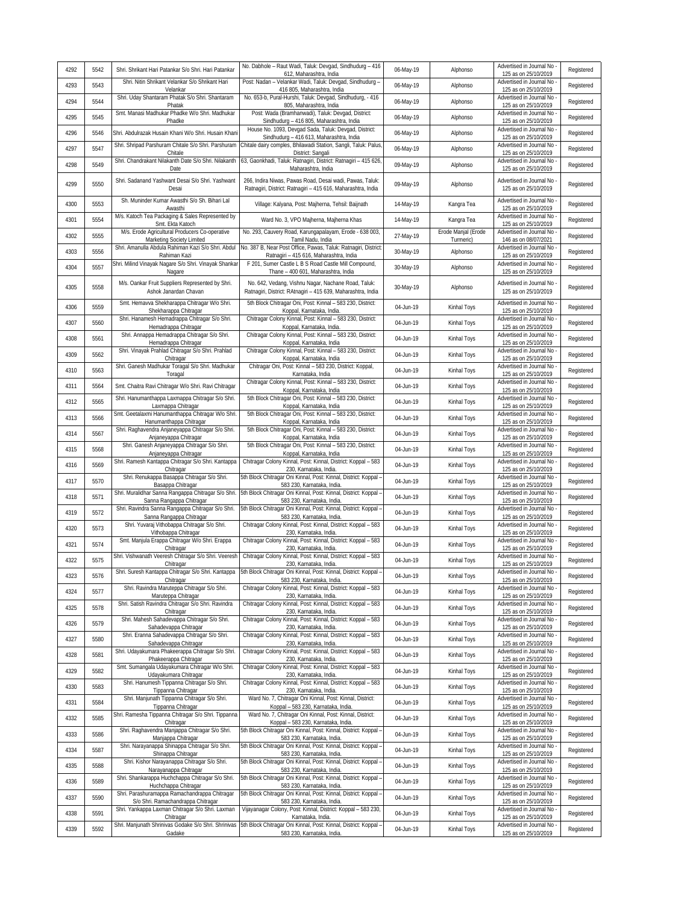| 4292 | 5542 | Shri. Shrikant Hari Patankar S/o Shri. Hari Patankar                                | No. Dabhole - Raut Wadi, Taluk: Devgad, Sindhudurg - 416<br>612, Maharashtra, India                                                               | 06-May-19 | Alphonso                         | Advertised in Journal No<br>125 as on 25/10/2019   | Registered |
|------|------|-------------------------------------------------------------------------------------|---------------------------------------------------------------------------------------------------------------------------------------------------|-----------|----------------------------------|----------------------------------------------------|------------|
| 4293 | 5543 | Shri. Nitin Shrikant Velankar S/o Shrikant Hari<br>Velankar                         | Post: Nadan - Velankar Wadi, Taluk: Devgad, Sindhudurg -<br>416 805, Maharashtra, India                                                           | 06-May-19 | Alphonso                         | Advertised in Journal No<br>125 as on 25/10/2019   | Registered |
| 4294 | 5544 | Shri. Uday Shantaram Phatak S/o Shri. Shantaram<br>Phatak                           | No. 653-b, Pural-Hurshi, Taluk: Devgad, Sindhudurg, - 416<br>805, Maharashtra, India                                                              | 06-May-19 | Alphonso                         | Advertised in Journal No<br>125 as on 25/10/2019   | Registered |
| 4295 | 5545 | Smt. Manasi Madhukar Phadke W/o Shri. Madhukar<br>Phadke                            | Post: Wada (Bramhanwadi), Taluk: Devgad, District:<br>Sindhudurg - 416 805, Maharashtra, India                                                    | 06-May-19 | Alphonso                         | Advertised in Journal No<br>125 as on 25/10/2019   | Registered |
| 4296 | 5546 | Shri. Abdulrazak Husain Khani W/o Shri. Husain Khani                                | House No. 1093, Devgad Sada, Taluk: Devgad, District:<br>Sindhudurg - 416 613, Maharashtra, India                                                 | 06-May-19 | Alphonso                         | Advertised in Journal No<br>125 as on 25/10/2019   | Registered |
| 4297 | 5547 | Shri. Shripad Parshuram Chitale S/o Shri. Parshuram<br>Chitale                      | Chitale dairy comples, Bhilawadi Station, Sangli, Taluk: Palus<br>District: Sangali                                                               | 06-May-19 | Alphonso                         | Advertised in Journal No<br>125 as on 25/10/2019   | Registered |
| 4298 | 5549 | Shri. Chandrakant Nilakanth Date S/o Shri. Nilakanth<br>Date                        | 63, Gaonkhadi, Taluk: Ratnagiri, District: Ratnagiri - 415 626,<br>Maharashtra, India                                                             | 09-May-19 | Alphonso                         | Advertised in Journal No<br>125 as on 25/10/2019   | Registered |
| 4299 | 5550 | Shri. Sadanand Yashwant Desai S/o Shri. Yashwant<br>Desai                           | 266, Indira Niwas, Pawas Road, Desai wadi, Pawas, Taluk:<br>Ratnagiri, District: Ratnagiri - 415 616, Maharashtra, India                          | 09-May-19 | Alphonso                         | Advertised in Journal No -<br>125 as on 25/10/2019 | Registered |
| 4300 | 5553 | Sh. Muninder Kumar Awasthi S/o Sh. Bihari Lal<br>Awasthi                            | Village: Kalyana, Post: Majherna, Tehsil: Baijnath                                                                                                | 14-May-19 | Kangra Tea                       | Advertised in Journal No<br>125 as on 25/10/2019   | Registered |
| 4301 | 5554 | M/s. Katoch Tea Packaging & Sales Represented by<br>Smt. Ekta Katoch                | Ward No. 3, VPO Majherna, Majherna Khas                                                                                                           | 14-May-19 | Kangra Tea                       | Advertised in Journal No<br>125 as on 25/10/2019   | Registered |
| 4302 | 5555 | M/s. Erode Agricultural Producers Co-operative<br>Marketing Society Limited         | No. 293, Cauvery Road, Karungapalayam, Erode - 638 003,<br>Tamil Nadu, India                                                                      | 27-May-19 | Erode Manjal (Erode<br>Turmeric) | Advertised in Journal No<br>146 as on 08/07/2021   | Registered |
| 4303 | 5556 | Shri. Amanulla Abdula Rahiman Kazi S/o Shri. Abdul<br>Rahiman Kazi                  | No. 387 B, Near Post Office, Pawas, Taluk: Ratnagiri, District:<br>Ratnagiri - 415 616, Maharashtra, India                                        | 30-May-19 | Alphonso                         | Advertised in Journal No<br>125 as on 25/10/2019   | Registered |
| 4304 | 5557 | Shri. Milind Vinayak Nagare S/o Shri. Vinayak Shankaı<br>Nagare                     | F 201, Sumer Castle L B S Road Castle Mill Compound,<br>Thane - 400 601, Maharashtra, India                                                       | 30-May-19 | Alphonso                         | Advertised in Journal No<br>125 as on 25/10/2019   | Registered |
| 4305 | 5558 | M/s. Oankar Fruit Suppliers Represented by Shri.<br>Ashok Janardan Chavan           | No. 642, Vedang, Vishnu Nagar, Nachane Road, Taluk:<br>Ratnagiri, District: RAtnagiri - 415 639, Maharashtra, India                               | 30-May-19 | Alphonso                         | Advertised in Journal No<br>125 as on 25/10/2019   | Registered |
| 4306 | 5559 | Smt. Hemavva Shekharappa Chitragar W/o Shri.<br>Shekharappa Chitragar               | 5th Block Chitragar Oni, Post: Kinnal - 583 230, District:<br>Koppal, Karnataka, India.                                                           | 04-Jun-19 | Kinhal Toys                      | Advertised in Journal No<br>125 as on 25/10/2019   | Registered |
| 4307 | 5560 | Shri. Hanamesh Hemadrappa Chitragar S/o Shri.<br>Hemadrappa Chitragar               | Chitragar Colony Kinnal, Post: Kinnal - 583 230, District:<br>Koppal, Karnataka, India.                                                           | 04-Jun-19 | Kinhal Toys                      | Advertised in Journal No<br>125 as on 25/10/2019   | Registered |
| 4308 | 5561 | Shri. Annappa Hemadrappa Chitragar S/o Shri.<br>Hemadrappa Chitragar                | Chitragar Colony Kinnal, Post: Kinnal - 583 230, District:<br>Koppal, Karnataka, India                                                            | 04-Jun-19 | Kinhal Toys                      | Advertised in Journal No<br>125 as on 25/10/2019   | Registered |
| 4309 | 5562 | Shri. Vinayak Prahlad Chitragar S/o Shri. Prahlad<br>Chitragar                      | Chitragar Colony Kinnal, Post: Kinnal - 583 230, District:<br>Koppal, Karnataka, India                                                            | 04-Jun-19 | Kinhal Toys                      | Advertised in Journal No<br>125 as on 25/10/2019   | Registered |
| 4310 | 5563 | Shri. Ganesh Madhukar Toragal S/o Shri. Madhukar<br>Toragal                         | Chitragar Oni, Post: Kinnal - 583 230, District: Koppal,<br>Karnataka, India                                                                      | 04-Jun-19 | Kinhal Toys                      | Advertised in Journal No<br>125 as on 25/10/2019   | Registered |
| 4311 | 5564 | Smt. Chaitra Ravi Chitragar W/o Shri. Ravi Chitragar                                | Chitragar Colony Kinnal, Post: Kinnal - 583 230, District:<br>Koppal, Karnataka, India                                                            | 04-Jun-19 | Kinhal Toys                      | Advertised in Journal No<br>125 as on 25/10/2019   | Registered |
| 4312 | 5565 | Shri. Hanumanthappa Laxmappa Chitragar S/o Shri.<br>Laxmappa Chitragar              | 5th Block Chitragar Oni, Post: Kinnal - 583 230, District:<br>Koppal, Karnataka, India                                                            | 04-Jun-19 | Kinhal Toys                      | Advertised in Journal No<br>125 as on 25/10/2019   | Registered |
| 4313 | 5566 | Smt. Geetalaxmi Hanumanthappa Chitragar W/o Shri.<br>Hanumanthappa Chitragar        | 5th Block Chitragar Oni, Post: Kinnal - 583 230, District:<br>Koppal, Karnataka, India                                                            | 04-Jun-19 | Kinhal Toys                      | Advertised in Journal No<br>125 as on 25/10/2019   | Registered |
| 4314 | 5567 | Shri. Raghavendra Anjaneyappa Chitragar S/o Shri.<br>Anjaneyappa Chitragar          | 5th Block Chitragar Oni, Post: Kinnal - 583 230, District:<br>Koppal, Karnataka, India                                                            | 04-Jun-19 | Kinhal Toys                      | Advertised in Journal No<br>125 as on 25/10/2019   | Registered |
| 4315 | 5568 | Shri. Ganesh Anjaneyappa Chitragar S/o Shri.<br>Anjaneyappa Chitragar               | 5th Block Chitragar Oni, Post: Kinnal - 583 230, District:<br>Koppal, Karnataka, India                                                            | 04-Jun-19 | Kinhal Toys                      | Advertised in Journal No<br>125 as on 25/10/2019   | Registered |
| 4316 | 5569 | Shri. Ramesh Kantappa Chitragar S/o Shri. Kantappa<br>Chitragar                     | Chitragar Colony Kinnal, Post: Kinnal, District: Koppal - 583<br>230, Karnataka, India.                                                           | 04-Jun-19 | Kinhal Toys                      | Advertised in Journal No<br>125 as on 25/10/2019   | Registered |
| 4317 | 5570 | Shri. Renukappa Basappa Chitragar S/o Shri.<br>Basappa Chitragar                    | 5th Block Chitragar Oni Kinnal, Post: Kinnal, District: Koppal -<br>583 230, Karnataka, India.                                                    | 04-Jun-19 | Kinhal Toys                      | Advertised in Journal No<br>125 as on 25/10/2019   | Registered |
| 4318 | 5571 | Shri. Muralidhar Sanna Rangappa Chitragar S/o Shri.<br>Sanna Rangappa Chitragar     | 5th Block Chitragar Oni Kinnal, Post: Kinnal, District: Koppal -<br>583 230, Karnataka, India.                                                    | 04-Jun-19 | Kinhal Toys                      | Advertised in Journal No<br>125 as on 25/10/2019   | Registered |
| 4319 | 5572 | Shri. Ravindra Sanna Rangappa Chitragar S/o Shri.<br>Sanna Rangappa Chitragar       | 5th Block Chitragar Oni Kinnal, Post: Kinnal, District: Koppal -<br>583 230, Karnataka, India.                                                    | 04-Jun-19 | Kinhal Toys                      | Advertised in Journal No<br>125 as on 25/10/2019   | Registered |
| 4320 | 5573 | Shri. Yuvaraj Vithobappa Chitragar S/o Shri.<br>Vithobappa Chitragar                | Chitragar Colony Kinnal, Post: Kinnal, District: Koppal - 583<br>230. Karnataka, India.                                                           | 04-Jun-19 | Kinhal Toys                      | Advertised in Journal No<br>125 as on 25/10/2019   | Registered |
| 4321 | 5574 | Smt. Manjula Erappa Chitragar W/o Shri. Erappa<br>Chitragar                         | Chitragar Colony Kinnal, Post: Kinnal, District: Koppal - 583<br>230, Karnataka, India.                                                           | 04-Jun-19 | Kinhal Toys                      | Advertised in Journal No<br>125 as on 25/10/2019   | Registered |
| 4322 | 5575 | Shri. Vishwanath Veeresh Chitragar S/o Shri. Veeresh<br>Chitragar                   | Chitragar Colony Kinnal, Post: Kinnal, District: Koppal - 583<br>230, Karnataka, India.                                                           | 04-Jun-19 | Kinhal Toys                      | Advertised in Journal No<br>125 as on 25/10/2019   | Registered |
| 4323 | 5576 | Chitragar                                                                           | Shri. Suresh Kantappa Chitragar S/o Shri. Kantappa 5th Block Chitragar Oni Kinnal, Post: Kinnal, District: Koppal -<br>583 230, Karnataka, India. | 04-Jun-19 | Kinhal Toys                      | Advertised in Journal No<br>125 as on 25/10/2019   | Registered |
| 4324 | 5577 | Shri. Ravindra Maruteppa Chitragar S/o Shri.<br>Maruteppa Chitragar                 | Chitragar Colony Kinnal, Post: Kinnal, District: Koppal - 583<br>230, Karnataka, India.                                                           | 04-Jun-19 | Kinhal Toys                      | Advertised in Journal No<br>125 as on 25/10/2019   | Registered |
| 4325 | 5578 | Shri. Satish Ravindra Chitragar S/o Shri. Ravindra<br>Chitragar                     | Chitragar Colony Kinnal, Post: Kinnal, District: Koppal - 583<br>230, Karnataka, India.                                                           | 04-Jun-19 | Kinhal Toys                      | Advertised in Journal No<br>125 as on 25/10/2019   | Registered |
| 4326 | 5579 | Shri. Mahesh Sahadevappa Chitragar S/o Shri.<br>Sahadevappa Chitragar               | Chitragar Colony Kinnal, Post: Kinnal, District: Koppal - 583<br>230, Karnataka, India.                                                           | 04-Jun-19 | Kinhal Toys                      | Advertised in Journal No<br>125 as on 25/10/2019   | Registered |
| 4327 | 5580 | Shri. Eranna Sahadevappa Chitragar S/o Shri.<br>Sahadevappa Chitragar               | Chitragar Colony Kinnal, Post: Kinnal, District: Koppal - 583<br>230, Karnataka, India.                                                           | 04-Jun-19 | Kinhal Toys                      | Advertised in Journal No<br>125 as on 25/10/2019   | Registered |
| 4328 | 5581 | Shri. Udayakumara Phakeerappa Chitragar S/o Shri.<br>Phakeerappa Chitragar          | Chitragar Colony Kinnal, Post: Kinnal, District: Koppal - 583<br>230, Karnataka, India.                                                           | 04-Jun-19 | Kinhal Toys                      | Advertised in Journal No<br>125 as on 25/10/2019   | Registered |
| 4329 | 5582 | Smt. Sumangala Udayakumara Chitragar W/o Shri.<br>Udayakumara Chitragar             | Chitragar Colony Kinnal, Post: Kinnal, District: Koppal - 583<br>230, Karnataka, India.                                                           | 04-Jun-19 | Kinhal Toys                      | Advertised in Journal No<br>125 as on 25/10/2019   | Registered |
| 4330 | 5583 | Shri. Hanumesh Tippanna Chitragar S/o Shri.<br>Tippanna Chitragar                   | Chitragar Colony Kinnal, Post: Kinnal, District: Koppal - 583<br>230, Karnataka, India.                                                           | 04-Jun-19 | Kinhal Toys                      | Advertised in Journal No<br>125 as on 25/10/2019   | Registered |
| 4331 | 5584 | Shri. Manjunath Tippanna Chitragar S/o Shri.<br>Tippanna Chitragar                  | Ward No. 7, Chitragar Oni Kinnal, Post: Kinnal, District:<br>Koppal - 583 230, Karnataka, India.                                                  | 04-Jun-19 | Kinhal Toys                      | Advertised in Journal No<br>125 as on 25/10/2019   | Registered |
| 4332 | 5585 | Shri. Ramesha Tippanna Chitragar S/o Shri. Tippanna<br>Chitragar                    | Ward No. 7, Chitragar Oni Kinnal, Post: Kinnal, District:<br>Koppal - 583 230, Karnataka, India.                                                  | 04-Jun-19 | Kinhal Toys                      | Advertised in Journal No<br>125 as on 25/10/2019   | Registered |
| 4333 | 5586 | Shri. Raghavendra Manjappa Chitragar S/o Shri.<br>Manjappa Chitragar                | 5th Block Chitragar Oni Kinnal, Post: Kinnal, District: Koppal<br>583 230, Karnataka, India.                                                      | 04-Jun-19 | Kinhal Toys                      | Advertised in Journal No<br>125 as on 25/10/2019   | Registered |
| 4334 | 5587 | Shri. Narayanappa Shinappa Chitragar S/o Shri.<br>Shinappa Chitragar                | 5th Block Chitragar Oni Kinnal, Post: Kinnal, District: Koppal -<br>583 230, Karnataka, India.                                                    | 04-Jun-19 | Kinhal Toys                      | Advertised in Journal No<br>125 as on 25/10/2019   | Registered |
| 4335 | 5588 | Shri. Kishor Narayanappa Chitragar S/o Shri.<br>Narayanappa Chitragar               | 5th Block Chitragar Oni Kinnal, Post: Kinnal, District: Koppal -<br>583 230, Karnataka, India.                                                    | 04-Jun-19 | Kinhal Toys                      | Advertised in Journal No<br>125 as on 25/10/2019   | Registered |
| 4336 | 5589 | Shri. Shankarappa Huchchappa Chitragar S/o Shri.<br>Huchchappa Chitragar            | 5th Block Chitragar Oni Kinnal, Post: Kinnal, District: Koppal -<br>583 230, Karnataka, India.                                                    | 04-Jun-19 | Kinhal Toys                      | Advertised in Journal No<br>125 as on 25/10/2019   | Registered |
| 4337 | 5590 | Shri. Parashuramappa Ramachandrappa Chitragar<br>S/o Shri. Ramachandrappa Chitragar | 5th Block Chitragar Oni Kinnal, Post: Kinnal, District: Koppal<br>583 230, Karnataka, India.                                                      | 04-Jun-19 | Kinhal Toys                      | Advertised in Journal No<br>125 as on 25/10/2019   | Registered |
| 4338 | 5591 | Shri. Yankappa Laxman Chitragar S/o Shri. Laxman<br>Chitragar                       | Vijayanagar Colony, Post: Kinnal, District: Koppal - 583 230,<br>Karnataka, India.                                                                | 04-Jun-19 | Kinhal Toys                      | Advertised in Journal No<br>125 as on 25/10/2019   | Registered |
| 4339 | 5592 | Shri. Manjunath Shrinivas Godake S/o Shri. Shrinivas<br>Gadake                      | 5th Block Chitragar Oni Kinnal, Post: Kinnal, District: Koppal<br>583 230, Karnataka, India.                                                      | 04-Jun-19 | Kinhal Toys                      | Advertised in Journal No<br>125 as on 25/10/2019   | Registered |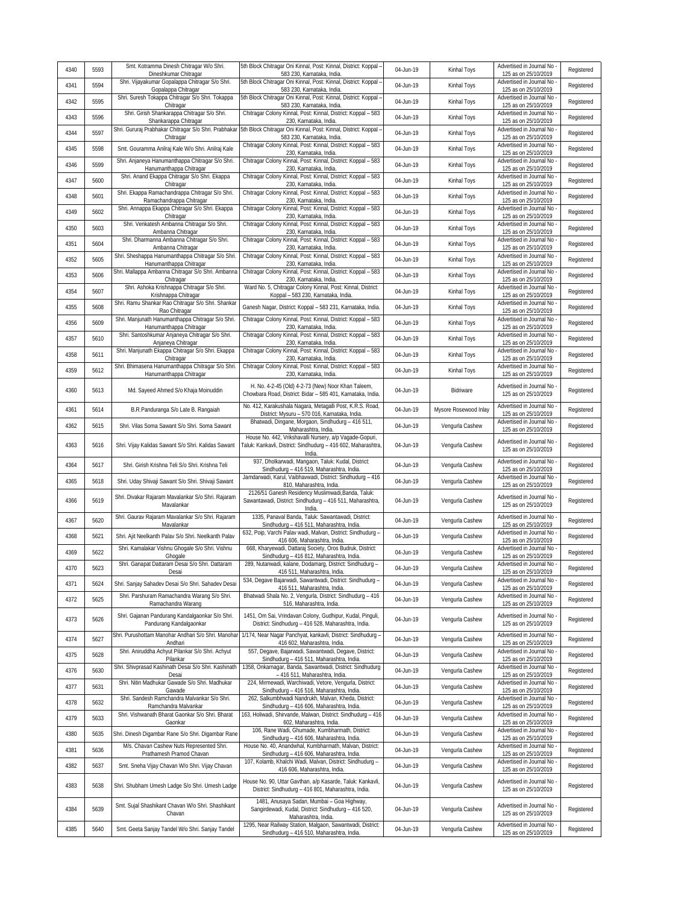| 4340 | 5593 | Smt. Kotramma Dinesh Chitragar W/o Shri.<br>Dineshkumar Chitragar                                                    | 5th Block Chitragar Oni Kinnal, Post: Kinnal, District: Koppal -<br>583 230, Karnataka, India.                                                                     | 04-Jun-19 | Kinhal Toys           | Advertised in Journal No<br>125 as on 25/10/2019                               | Registered |
|------|------|----------------------------------------------------------------------------------------------------------------------|--------------------------------------------------------------------------------------------------------------------------------------------------------------------|-----------|-----------------------|--------------------------------------------------------------------------------|------------|
| 4341 | 5594 | Shri. Vijayakumar Gopalappa Chitragar S/o Shri.<br>Gopalappa Chitragar                                               | 5th Block Chitragar Oni Kinnal, Post: Kinnal, District: Koppal<br>583 230, Karnataka, India.                                                                       | 04-Jun-19 | Kinhal Toys           | Advertised in Journal No<br>125 as on 25/10/2019                               | Registered |
| 4342 | 5595 | Shri. Suresh Tokappa Chitragar S/o Shri. Tokappa<br>Chitragar                                                        | 5th Block Chitragar Oni Kinnal, Post: Kinnal, District: Koppal -<br>583 230, Karnataka, India.                                                                     | 04-Jun-19 | Kinhal Toys           | Advertised in Journal No<br>125 as on 25/10/2019                               | Registered |
| 4343 | 5596 | Shri. Girish Shankarappa Chitragar S/o Shri.<br>Shankarappa Chitragar                                                | Chitragar Colony Kinnal, Post: Kinnal, District: Koppal - 583<br>230, Karnataka, India.                                                                            | 04-Jun-19 | Kinhal Toys           | Advertised in Journal No<br>125 as on 25/10/2019                               | Registered |
| 4344 | 5597 | Shri. Gururaj Prabhakar Chitragar S/o Shri. Prabhakar<br>Chitragar                                                   | 5th Block Chitragar Oni Kinnal, Post: Kinnal, District: Koppal -<br>583 230, Karnataka, India                                                                      | 04-Jun-19 | Kinhal Toys           | Advertised in Journal No<br>125 as on 25/10/2019                               | Registered |
| 4345 | 5598 | Smt. Gouramma Anilraj Kale W/o Shri. Anilraj Kale                                                                    | Chitragar Colony Kinnal, Post: Kinnal, District: Koppal - 583<br>230, Karnataka, India.                                                                            | 04-Jun-19 | Kinhal Toys           | Advertised in Journal No<br>125 as on 25/10/2019                               | Registered |
| 4346 | 5599 | Shri. Anjaneya Hanumanthappa Chitragar S/o Shri.<br>Hanumanthappa Chitragar                                          | Chitragar Colony Kinnal, Post: Kinnal, District: Koppal - 583<br>230, Karnataka, India.                                                                            | 04-Jun-19 | Kinhal Toys           | Advertised in Journal No<br>125 as on 25/10/2019                               | Registered |
| 4347 | 5600 | Shri. Anand Ekappa Chitragar S/o Shri. Ekappa<br>Chitragar                                                           | Chitragar Colony Kinnal, Post: Kinnal, District: Koppal - 583<br>230, Karnataka, India.                                                                            | 04-Jun-19 | Kinhal Toys           | Advertised in Journal No<br>125 as on 25/10/2019                               | Registered |
| 4348 | 5601 | Shri. Ekappa Ramachandrappa Chitragar S/o Shri<br>Ramachandrappa Chitragar                                           | Chitragar Colony Kinnal, Post: Kinnal, District: Koppal - 583<br>230, Karnataka, India.                                                                            | 04-Jun-19 | Kinhal Toys           | Advertised in Journal No<br>125 as on 25/10/2019                               | Registered |
| 4349 | 5602 | Shri. Annappa Ekappa Chitragar S/o Shri. Ekappa<br>Chitragar                                                         | Chitragar Colony Kinnal, Post: Kinnal, District: Koppal - 583<br>230, Karnataka, India.                                                                            | 04-Jun-19 | Kinhal Toys           | Advertised in Journal No<br>125 as on 25/10/2019                               | Registered |
| 4350 | 5603 | Shri. Venkatesh Ambanna Chitragar S/o Shri.<br>Ambanna Chitragar                                                     | Chitragar Colony Kinnal, Post: Kinnal, District: Koppal - 583<br>230, Karnataka, India.                                                                            | 04-Jun-19 | Kinhal Toys           | Advertised in Journal No<br>125 as on 25/10/2019                               | Registered |
| 4351 | 5604 | Shri. Dharmanna Ambanna Chitragar S/o Shri.<br>Ambanna Chitragar                                                     | Chitragar Colony Kinnal, Post: Kinnal, District: Koppal - 583<br>230, Karnataka, India.                                                                            | 04-Jun-19 | Kinhal Toys           | Advertised in Journal No<br>125 as on 25/10/2019                               | Registered |
| 4352 | 5605 | Shri. Sheshappa Hanumanthappa Chitragar S/o Shri.<br>Hanumanthappa Chitragar                                         | Chitragar Colony Kinnal, Post: Kinnal, District: Koppal - 583<br>230, Karnataka, India.                                                                            | 04-Jun-19 | Kinhal Toys           | Advertised in Journal No<br>125 as on 25/10/2019                               | Registered |
| 4353 | 5606 | Shri. Mallappa Ambanna Chitragar S/o Shri. Ambanna<br>Chitragar                                                      | Chitragar Colony Kinnal, Post: Kinnal, District: Koppal - 583<br>230, Karnataka, India.                                                                            | 04-Jun-19 | Kinhal Toys           | Advertised in Journal No<br>125 as on 25/10/2019                               | Registered |
| 4354 | 5607 | Shri. Ashoka Krishnappa Chitragar S/o Shri.<br>Krishnappa Chitragar                                                  | Ward No. 5, Chitragar Colony Kinnal, Post: Kinnal, District:<br>Koppal - 583 230, Karnataka, India.                                                                | 04-Jun-19 | Kinhal Toys           | Advertised in Journal No<br>125 as on 25/10/2019                               | Registered |
| 4355 | 5608 | Shri. Ramu Shankar Rao Chitragar S/o Shri. Shankar<br>Rao Chitragar                                                  | Ganesh Nagar, District: Koppal - 583 231, Karnataka, India.                                                                                                        | 04-Jun-19 | Kinhal Toys           | Advertised in Journal No<br>125 as on 25/10/2019                               | Registered |
| 4356 | 5609 | Shri. Manjunath Hanumanthappa Chitragar S/o Shri.<br>Hanumanthappa Chitragar                                         | Chitragar Colony Kinnal, Post: Kinnal, District: Koppal - 583<br>230, Karnataka, India.                                                                            | 04-Jun-19 | Kinhal Toys           | Advertised in Journal No<br>125 as on 25/10/2019                               | Registered |
| 4357 | 5610 | Shri. Santoshkumar Anjaneya Chitragar S/o Shri.<br>Anjaneya Chitragar                                                | Chitragar Colony Kinnal, Post: Kinnal, District: Koppal - 583<br>230, Karnataka, India.                                                                            | 04-Jun-19 | Kinhal Toys           | Advertised in Journal No<br>125 as on 25/10/2019                               | Registered |
| 4358 | 5611 | Shri. Manjunath Ekappa Chitragar S/o Shri. Ekappa<br>Chitragar                                                       | Chitragar Colony Kinnal, Post: Kinnal, District: Koppal - 583<br>230, Karnataka, India.                                                                            | 04-Jun-19 | Kinhal Toys           | Advertised in Journal No<br>125 as on 25/10/2019                               | Registered |
| 4359 | 5612 | Shri. Bhimasena Hanumanthappa Chitragar S/o Shri.<br>Hanumanthappa Chitragar                                         | Chitragar Colony Kinnal, Post: Kinnal, District: Koppal - 583<br>230, Karnataka, India.                                                                            | 04-Jun-19 | Kinhal Toys           | Advertised in Journal No<br>125 as on 25/10/2019                               | Registered |
| 4360 | 5613 | Md. Sayeed Ahmed S/o Khaja Moinuddin                                                                                 | H. No. 4-2-45 (Old) 4-2-73 (New) Noor Khan Taleem,<br>Chowbara Road, District: Bidar - 585 401, Karnataka, India.                                                  | 04-Jun-19 | Bidriware             | Advertised in Journal No<br>125 as on 25/10/2019                               | Registered |
| 4361 | 5614 | B.R.Panduranga S/o Late B. Rangaiah                                                                                  | No. 412, Karakushala Nagara, Metagalli Post, K.R.S. Road,<br>District: Mysuru - 570 016, Karnataka, India.                                                         | 04-Jun-19 | Mysore Rosewood Inlay | Advertised in Journal No<br>125 as on 25/10/2019                               | Registered |
| 4362 | 5615 | Shri. Vilas Soma Sawant S/o Shri. Soma Sawant                                                                        | Bhatwadi, Dingane, Morgaon, Sindhudurg - 416 511,<br>Maharashtra, India.                                                                                           | 04-Jun-19 | Vengurla Cashew       | Advertised in Journal No<br>125 as on 25/10/2019                               | Registered |
| 4363 | 5616 | Shri. Vijay Kalidas Sawant S/o Shri. Kalidas Sawant                                                                  | House No. 442, Vrikshavalli Nursery, a/p Vagade-Gopuri,<br>Taluk: Kankavli, District: Sindhudurg - 416 602, Maharashtra,<br>India.                                 | 04-Jun-19 | Vengurla Cashew       | Advertised in Journal No<br>125 as on 25/10/2019                               | Registered |
| 4364 | 5617 | Shri. Girish Krishna Teli S/o Shri. Krishna Teli                                                                     | 937, Dholkarwadi, Mangaon, Taluk: Kudal, District:<br>Sindhudurg - 416 519, Maharashtra, India.                                                                    | 04-Jun-19 | Vengurla Cashew       | Advertised in Journal No<br>125 as on 25/10/2019                               | Registered |
| 4365 | 5618 | Shri. Uday Shivaji Sawant S/o Shri. Shivaji Sawant                                                                   | Jamdarwadi, Karul, Vaibhavwadi, District: Sindhudurg - 416<br>810, Maharashtra, India.                                                                             | 04-Jun-19 | Vengurla Cashew       | Advertised in Journal No<br>125 as on 25/10/2019                               | Registered |
| 4366 | 5619 | Shri. Divakar Rajaram Mavalankar S/o Shri. Rajaram<br>Mavalankar                                                     | 2126/51 Ganesh Residency Muslimwadi, Banda, Taluk:<br>Sawantawadi, District: Sindhudurg - 416 511, Maharashtra,<br>India.                                          | 04-Jun-19 | Vengurla Cashew       | Advertised in Journal No<br>125 as on 25/10/2019                               | Registered |
| 4367 | 5620 | Shri. Gaurav Rajaram Mavalankar S/o Shri. Rajaram<br>Mavalankar                                                      | 1335, Panaval Banda, Taluk: Sawantawadi, District:<br>Sindhudurg - 416 511, Maharashtra, India                                                                     | 04-Jun-19 | Vengurla Cashew       | Advertised in Journal No<br>125 as on 25/10/2019<br>Advertised in Journal No   | Registered |
| 4368 | 5621 | Shri. Ajit Neelkanth Palav S/o Shri. Neelkanth Palav<br>Shri. Kamalakar Vishnu Ghogale S/o Shri. Vishnu              | 632, Poip, Varchi Palav wadi, Malvan, District: Sindhudurg -<br>416 606, Maharashtra, India.                                                                       | 04-Jun-19 | Vengurla Cashew       | 125 as on 25/10/2019                                                           | Registered |
| 4369 | 5622 | Ghogale<br>Shri. Ganapat Dattaram Desai S/o Shri. Dattaram                                                           | 668, Kharyewadi, Dattaraj Society, Oros Budruk, District:<br>Sindhudurg - 416 812, Maharashtra, India.<br>289, Nutanwadi, kalane, Dodamarg, District: Sindhudurg - | 04-Jun-19 | Vengurla Cashew       | Advertised in Journal No<br>125 as on 25/10/2019<br>Advertised in Journal No   | Registered |
| 4370 | 5623 | Desai                                                                                                                | 416 511, Maharashtra, India.<br>534, Degave Bajarwadi, Sawantwadi, District: Sindhudurg -                                                                          | 04-Jun-19 | Vengurla Cashew       | 125 as on 25/10/2019<br>Advertised in Journal No                               | Registered |
| 4371 | 5624 | Shri. Sanjay Sahadev Desai S/o Shri. Sahadev Desai<br>Shri. Parshuram Ramachandra Warang S/o Shri.                   | 416 511, Maharashtra, India.<br>Bhatwadi Shala No. 2, Vengurla, District: Sindhudurg - 416                                                                         | 04-Jun-19 | Vengurla Cashew       | 125 as on 25/10/2019                                                           | Registered |
| 4372 | 5625 | Ramachandra Warang                                                                                                   | 516, Maharashtra, India.                                                                                                                                           | 04-Jun-19 | Vengurla Cashew       | Advertised in Journal No<br>125 as on 25/10/2019                               | Registered |
| 4373 | 5626 | Shri. Gajanan Pandurang Kandalgaonkar S/o Shri.<br>Pandurang Kandalgaonkar                                           | 1451, Om Sai, Vrindavan Colony, Gudhipur, Kudal, Pinguli,<br>District: Sindhudurg - 416 528, Maharashtra, India.                                                   | 04-Jun-19 | Vengurla Cashew       | Advertised in Journal No.<br>125 as on 25/10/2019                              | Registered |
| 4374 | 5627 | Shri. Purushottam Manohar Andhari S/o Shri. Manohar<br>Andhari                                                       | 1/174, Near Nagar Panchyat, kankavli, District: Sindhudurg -<br>416 602, Maharashtra, India.                                                                       | 04-Jun-19 | Vengurla Cashew       | Advertised in Journal No<br>125 as on 25/10/2019                               | Registered |
| 4375 | 5628 | Shri. Aniruddha Achyut Pilankar S/o Shri. Achyut<br>Pilankar<br>Shri. Shivprasad Kashinath Desai S/o Shri. Kashinath | 557, Degave, Bajarwadi, Sawantwadi, Degave, District:<br>Sindhudurg - 416 511, Maharashtra, India.<br>1358, Onkarnagar, Banda, Sawantwadi, District: Sindhudurg    | 04-Jun-19 | Vengurla Cashew       | Advertised in Journal No<br>125 as on 25/10/2019                               | Registered |
| 4376 | 5630 | Desai<br>Shri. Nitin Madhukar Gawade S/o Shri. Madhukar                                                              | - 416 511, Maharashtra, India.<br>224, Mirmewadi, Warchiwadi, Vetore, Vengurla, District:                                                                          | 04-Jun-19 | Vengurla Cashew       | Advertised in Journal No -<br>125 as on 25/10/2019<br>Advertised in Journal No | Registered |
| 4377 | 5631 | Gawade<br>Shri. Sandesh Ramchandra Malvankar S/o Shri.                                                               | Sindhudurg - 416 516, Maharashtra, India.<br>262, Salkumbhwadi Nandrukh, Malvan, Kheda, District:                                                                  | 04-Jun-19 | Vengurla Cashew       | 125 as on 25/10/2019<br>Advertised in Journal No                               | Registered |
| 4378 | 5632 | Ramchandra Malvankar<br>Shri. Vishwanath Bharat Gaonkar S/o Shri. Bharat                                             | Sindhudurg - 416 606, Maharashtra, India.<br>163, Holiwadi, Shirvande, Malwan, District: Sindhudurg - 416                                                          | 04-Jun-19 | Vengurla Cashew       | 125 as on 25/10/2019                                                           | Registered |
| 4379 | 5633 | Gaonkar                                                                                                              | 602, Maharashtra, India.<br>106, Rane Wadi, Ghumade, Kumbharmath, District:                                                                                        | 04-Jun-19 | Vengurla Cashew       | Advertised in Journal No<br>125 as on 25/10/2019<br>Advertised in Journal No   | Registered |
| 4380 | 5635 | Shri. Dinesh Digambar Rane S/o Shri. Digambar Rane<br>M/s. Chavan Cashew Nuts Represented Shri.                      | Sindhudurg - 416 606, Maharashtra, India.<br>House No. 40, Anandwhal, Kumbharmath, Malvan, District:                                                               | 04-Jun-19 | Vengurla Cashew       | 125 as on 25/10/2019<br>Advertised in Journal No                               | Registered |
| 4381 | 5636 | Prathamesh Pramod Chavan                                                                                             | Sindhudurg - 416 606, Maharashtra, India.<br>107, Kolamb, Khalchi Wadi, Malvan, District: Sindhudurg -                                                             | 04-Jun-19 | Vengurla Cashew       | 125 as on 25/10/2019<br>Advertised in Journal No                               | Registered |
| 4382 | 5637 | Smt. Sneha Vijay Chavan W/o Shri. Vijay Chavan                                                                       | 416 606, Maharashtra, India.                                                                                                                                       | 04-Jun-19 | Vengurla Cashew       | 125 as on 25/10/2019                                                           | Registered |
| 4383 | 5638 | Shri. Shubham Umesh Ladge S/o Shri. Umesh Ladge                                                                      | House No. 90, Uttar Gavthan, a/p Kasarde, Taluk: Kankavli,<br>District: Sindhudurg - 416 801, Maharashtra, India.<br>1481, Anusaya Sadan, Mumbai - Goa Highway,    | 04-Jun-19 | Vengurla Cashew       | Advertised in Journal No.<br>125 as on 25/10/2019                              | Registered |
| 4384 | 5639 | Smt. Sujal Shashikant Chavan W/o Shri. Shashikant<br>Chavan                                                          | Sangirdewadi, Kudal, District: Sindhudurg - 416 520,<br>Maharashtra, India.                                                                                        | 04-Jun-19 | Vengurla Cashew       | Advertised in Journal No<br>125 as on 25/10/2019                               | Registered |
|      |      |                                                                                                                      | 1295, Near Railway Station, Malgaon, Sawantwadi, District:                                                                                                         | 04-Jun-19 |                       | Advertised in Journal No                                                       |            |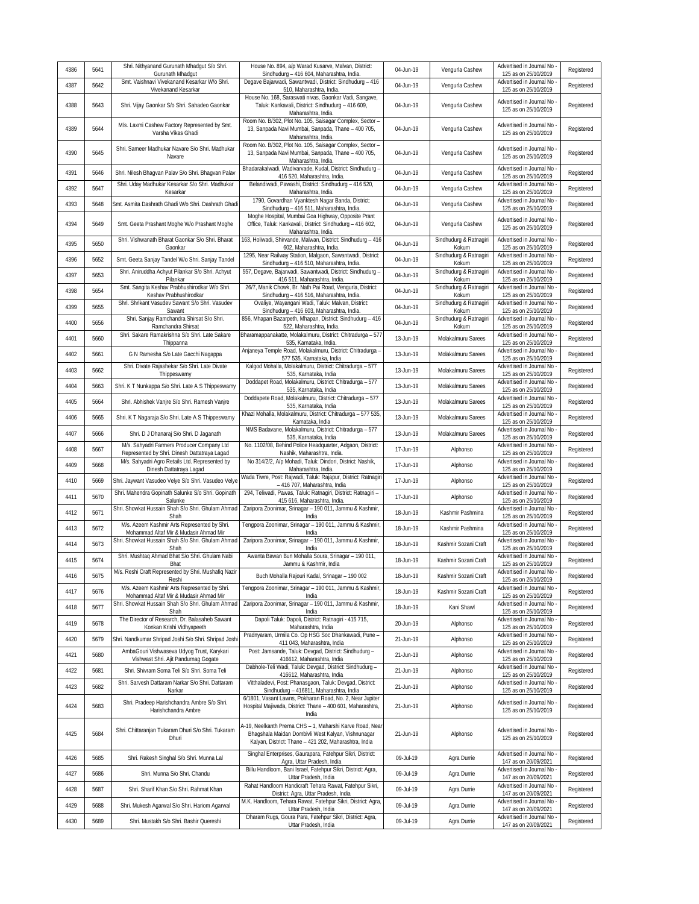| 4386 | 5641 | Shri. Nithyanand Gurunath Mhadqut S/o Shri.<br>Gurunath Mhadgut                             | House No. 894, a/p Warad Kusarve, Malvan, District:<br>Sindhudurg - 416 604, Maharashtra, India.                                                                         | 04-Jun-19 | Vengurla Cashew                 | Advertised in Journal No<br>125 as on 25/10/2019   | Registered |
|------|------|---------------------------------------------------------------------------------------------|--------------------------------------------------------------------------------------------------------------------------------------------------------------------------|-----------|---------------------------------|----------------------------------------------------|------------|
| 4387 | 5642 | Smt. Vaishnavi Vivekanand Kesarkar W/o Shri.<br>Vivekanand Kesarkar                         | Degave Bajarwadi, Sawantwadi, District: Sindhudurg - 416<br>510, Maharashtra, India.                                                                                     | 04-Jun-19 | Vengurla Cashew                 | Advertised in Journal No<br>125 as on 25/10/2019   | Registered |
| 4388 | 5643 | Shri. Vijay Gaonkar S/o Shri. Sahadeo Gaonkar                                               | House No. 168, Saraswati nivas, Gaonkar Vadi, Sangave,<br>Taluk: Kankavali, District: Sindhudurg - 416 609,<br>Maharashtra, India.                                       | 04-Jun-19 | Vengurla Cashew                 | Advertised in Journal No<br>125 as on 25/10/2019   | Registered |
| 4389 | 5644 | M/s. Laxmi Cashew Factory Represented by Smt.<br>Varsha Vikas Ghadi                         | Room No. B/302, Plot No. 105, Saisagar Complex, Sector -<br>13, Sanpada Navi Mumbai, Sanpada, Thane - 400 705,<br>Maharashtra, India.                                    | 04-Jun-19 | Vengurla Cashew                 | Advertised in Journal No<br>125 as on 25/10/2019   | Registered |
| 4390 | 5645 | Shri. Sameer Madhukar Navare S/o Shri. Madhukar<br>Navare                                   | Room No. B/302, Plot No. 105, Saisagar Complex, Sector -<br>13, Sanpada Navi Mumbai, Sanpada, Thane - 400 705,<br>Maharashtra, India.                                    | 04-Jun-19 | Vengurla Cashew                 | Advertised in Journal No<br>125 as on 25/10/2019   | Registered |
| 4391 | 5646 | Shri. Nilesh Bhagvan Palav S/o Shri. Bhagvan Palav                                          | Bhadarakalwadi, Wadivarvade, Kudal, District: Sindhudurg -<br>416 520, Maharashtra, India.                                                                               | 04-Jun-19 | Vengurla Cashew                 | Advertised in Journal No<br>125 as on 25/10/2019   | Registered |
| 4392 | 5647 | Shri. Uday Madhukar Kesarkar S/o Shri. Madhukar<br>Kesarkar                                 | Belandiwadi, Pawashi, District: Sindhudurg - 416 520,<br>Maharashtra, India.                                                                                             | 04-Jun-19 | Vengurla Cashew                 | Advertised in Journal No<br>125 as on 25/10/2019   | Registered |
| 4393 | 5648 | Smt. Asmita Dashrath Ghadi W/o Shri. Dashrath Ghadi                                         | 1790, Govardhan Vyanktesh Nagar Banda, District:<br>Sindhudurg - 416 511, Maharashtra, India.                                                                            | 04-Jun-19 | Vengurla Cashew                 | Advertised in Journal No<br>125 as on 25/10/2019   | Registered |
| 4394 | 5649 | Smt. Geeta Prashant Moghe W/o Prashant Moghe                                                | Moghe Hospital, Mumbai Goa Highway, Opposite Prant<br>Office, Taluk: Kankavali, District: Sindhudurg - 416 602,<br>Maharashtra, India.                                   | 04-Jun-19 | Vengurla Cashew                 | Advertised in Journal No<br>125 as on 25/10/2019   | Registered |
| 4395 | 5650 | Shri. Vishwanath Bharat Gaonkar S/o Shri. Bharat<br>Gaonkar                                 | 163, Holiwadi, Shirvande, Malwan, District: Sindhudurg - 416<br>602, Maharashtra, India.                                                                                 | 04-Jun-19 | Sindhudurg & Ratnagiri<br>Kokum | Advertised in Journal No<br>125 as on 25/10/2019   | Registered |
| 4396 | 5652 | Smt. Geeta Sanjay Tandel W/o Shri. Sanjay Tandel                                            | 1295, Near Railway Station, Malgaon, Sawantwadi, District:<br>Sindhudurg - 416 510, Maharashtra, India.                                                                  | 04-Jun-19 | Sindhudurg & Ratnagiri<br>Kokum | Advertised in Journal No<br>125 as on 25/10/2019   | Registered |
| 4397 | 5653 | Shri. Aniruddha Achyut Pilankar S/o Shri. Achyut<br>Pilankar                                | 557, Degave, Bajarwadi, Sawantwadi, District: Sindhudurg -<br>416 511, Maharashtra, India.                                                                               | 04-Jun-19 | Sindhudurg & Ratnagiri<br>Kokum | Advertised in Journal No<br>125 as on 25/10/2019   | Registered |
| 4398 | 5654 | Smt. Sangita Keshav Prabhushirodkar W/o Shri.                                               | 26/7, Manik Chowk, Br. Nath Pai Road, Vengurla, District:<br>Sindhudurg - 416 516, Maharashtra, India.                                                                   | 04-Jun-19 | Sindhudurg & Ratnagiri          | Advertised in Journal No<br>125 as on 25/10/2019   | Registered |
| 4399 | 5655 | Keshav Prabhushirodkar<br>Shri. Shrikant Vasudev Sawant S/o Shri. Vasudev                   | Ovaliye, Wayangani Wadi, Taluk: Malvan, District:                                                                                                                        | 04-Jun-19 | Kokum<br>Sindhudurg & Ratnagiri | Advertised in Journal No                           | Registered |
| 4400 | 5656 | Sawant<br>Shri. Sanjay Ramchandra Shirsat S/o Shri.                                         | Sindhudurg - 416 603, Maharashtra, India.<br>856, Mhapan Bazarpeth, Mhapan, District: Sindhudurg - 416                                                                   | 04-Jun-19 | Kokum<br>Sindhudurg & Ratnagiri | 125 as on 25/10/2019<br>Advertised in Journal No   | Registered |
| 4401 | 5660 | Ramchandra Shirsat<br>Shri. Sakare Ramakrishna S/o Shri. Late Sakare                        | 522, Maharashtra, India.<br>Bharamappanakatte, Molakalmuru, District: Chitradurga - 577                                                                                  | 13-Jun-19 | Kokum<br>Molakalmuru Sarees     | 125 as on 25/10/2019<br>Advertised in Journal No   | Registered |
|      |      | Thippanna                                                                                   | 535, Karnataka, India.<br>Anjaneya Temple Road, Molakalmuru, District: Chitradurga -                                                                                     |           |                                 | 125 as on 25/10/2019<br>Advertised in Journal No   |            |
| 4402 | 5661 | G N Ramesha S/o Late Gacchi Nagappa<br>Shri. Divate Rajashekar S/o Shri. Late Divate        | 577 535, Karnataka, India<br>Kalgod Mohalla, Molakalmuru, District: Chitradurga - 577                                                                                    | 13-Jun-19 | Molakalmuru Sarees              | 125 as on 25/10/2019<br>Advertised in Journal No   | Registered |
| 4403 | 5662 | Thippeswamy                                                                                 | 535, Karnataka, India                                                                                                                                                    | 13-Jun-19 | Molakalmuru Sarees              | 125 as on 25/10/2019                               | Registered |
| 4404 | 5663 | Shri. K T Nunkappa S/o Shri. Late A S Thippeswamy                                           | Doddapet Road, Molakalmuru, District: Chitradurga - 577<br>535, Karnataka, India                                                                                         | 13-Jun-19 | Molakalmuru Sarees              | Advertised in Journal No<br>125 as on 25/10/2019   | Registered |
| 4405 | 5664 | Shri. Abhishek Vanjre S/o Shri. Ramesh Vanjre                                               | Doddapete Road, Molakalmuru, District: Chitradurga - 577<br>535, Karnataka, India                                                                                        | 13-Jun-19 | Molakalmuru Sarees              | Advertised in Journal No<br>125 as on 25/10/2019   | Registered |
| 4406 | 5665 | Shri. K T Nagaraja S/o Shri. Late A S Thippeswamy                                           | Khazi Mohalla, Molakalmuru, District: Chitradurga - 577 535,<br>Karnataka, India                                                                                         | 13-Jun-19 | Molakalmuru Sarees              | Advertised in Journal No<br>125 as on 25/10/2019   | Registered |
| 4407 | 5666 | Shri. D J Dhanaraj S/o Shri. D Jaganath                                                     | NMS Badavane, Molakalmuru, District: Chitradurga - 577<br>535, Karnataka, India                                                                                          | 13-Jun-19 | Molakalmuru Sarees              | Advertised in Journal No<br>125 as on 25/10/2019   | Registered |
| 4408 | 5667 | M/s. Sahyadri Farmers Producer Company Ltd<br>Represented by Shri. Dinesh Dattatraya Lagad  | No. 1102/08, Behind Police Headquarter, Adgaon, District:<br>Nashik, Maharashtra, India.                                                                                 | 17-Jun-19 | Alphonso                        | Advertised in Journal No<br>125 as on 25/10/2019   | Registered |
| 4409 | 5668 | M/s. Sahyadri Agro Retails Ltd. Represented by<br>Dinesh Dattatraya Lagad                   | No 314/2/2, A/p Mohadi, Taluk: Dindori, District: Nashik,                                                                                                                | 17-Jun-19 | Alphonso                        | Advertised in Journal No<br>125 as on 25/10/2019   | Registered |
| 4410 | 5669 | Shri. Jaywant Vasudeo Velye S/o Shri. Vasudeo Velye                                         | Maharashtra, India.<br>Wada Tiwre, Post: Rajwadi, Taluk: Rajapur, District: Ratnagiri                                                                                    | 17-Jun-19 | Alphonso                        | Advertised in Journal No                           | Registered |
| 4411 | 5670 | Shri. Mahendra Gopinath Salunke S/o Shri. Gopinath                                          | - 416 707, Maharashtra, India<br>294, Teliwadi, Pawas, Taluk: Ratnagiri, District: Ratnagiri -                                                                           | 17-Jun-19 | Alphonso                        | 125 as on 25/10/2019<br>Advertised in Journal No   | Registered |
| 4412 | 5671 | Salunke<br>Shri. Showkat Hussain Shah S/o Shri. Ghulam Ahmad                                | 415 616, Maharashtra, India.<br>Zaripora Zoonimar, Srinagar - 190 011, Jammu & Kashmir,                                                                                  | 18-Jun-19 | Kashmir Pashmina                | 125 as on 25/10/2019<br>Advertised in Journal No   | Registered |
|      |      | Shah<br>M/s. Azeem Kashmir Arts Represented by Shri.                                        | India<br>Tengpora Zoonimar, Srinagar - 190 011, Jammu & Kashmir,                                                                                                         |           |                                 | 125 as on 25/10/2019<br>Advertised in Journal No   |            |
| 4413 | 5672 | Mohammad Altaf Mir & Mudasir Ahmad Mir<br>Shri. Showkat Hussain Shah S/o Shri. Ghulam Ahmad | India<br>Zaripora Zoonimar, Srinagar - 190 011, Jammu & Kashmir,                                                                                                         | 18-Jun-19 | Kashmir Pashmina                | 125 as on 25/10/2019<br>Advertised in Journal No   | Registered |
| 4414 | 5673 | Shah<br>Shri. Mushtaq Ahmad Bhat S/o Shri. Ghulam Nabi                                      | India<br>Awanta Bawan Bun Mohalla Soura, Srinagar - 190 011,                                                                                                             | 18-Jun-19 | Kashmir Sozani Craft            | 125 as on 25/10/2019<br>Advertised in Journal No   | Registered |
| 4415 | 5674 | Bhat                                                                                        | Jammu & Kashmir, India                                                                                                                                                   | 18-Jun-19 | Kashmir Sozani Craft            | 125 as on 25/10/2019                               | Registered |
| 4416 | 5675 | M/s. Reshi Craft Represented by Shri. Mushafiq Nazir<br>Reshi                               | Buch Mohalla Rajouri Kadal, Srinagar - 190 002                                                                                                                           | 18-Jun-19 | Kashmir Sozani Craft            | Advertised in Journal No<br>125 as on 25/10/2019   | Registered |
| 4417 | 5676 | M/s. Azeem Kashmir Arts Represented by Shri.<br>Mohammad Altaf Mir & Mudasir Ahmad Mir      | Tengpora Zoonimar, Srinagar - 190 011, Jammu & Kashmir,<br>India                                                                                                         | 18-Jun-19 | Kashmir Sozani Craft            | Advertised in Journal No<br>125 as on 25/10/2019   | Registered |
| 4418 | 5677 | Shri. Showkat Hussain Shah S/o Shri. Ghulam Ahmad<br>Shah                                   | Zaripora Zoonimar, Srinagar - 190 011, Jammu & Kashmir,<br>India                                                                                                         | 18-Jun-19 | Kani Shawl                      | Advertised in Journal No<br>125 as on 25/10/2019   | Registered |
| 4419 | 5678 | The Director of Research, Dr. Balasaheb Sawant<br>Konkan Krishi Vidhyapeeth                 | Dapoli Taluk: Dapoli, District: Ratnagiri - 415 715,<br>Maharashtra, India                                                                                               | 20-Jun-19 | Alphonso                        | Advertised in Journal No<br>125 as on 25/10/2019   | Registered |
| 4420 | 5679 | Shri. Nandkumar Shripad Joshi S/o Shri. Shripad Joshi                                       | Pradnyaram, Urmila Co. Op HSG Soc Dhankawadi, Pune -<br>411 043, Maharashtra, India                                                                                      | 21-Jun-19 | Alphonso                        | Advertised in Journal No<br>125 as on 25/10/2019   | Registered |
| 4421 | 5680 | AmbaGouri Vishwaseva Udyog Trust, Karykari                                                  | Post: Jamsande, Taluk: Devgad, District: Sindhudurg -                                                                                                                    | 21-Jun-19 | Alphonso                        | Advertised in Journal No                           | Registered |
| 4422 | 5681 | Vishwast Shri. Ajit Pandurnag Gogate<br>Shri. Shivram Soma Teli S/o Shri. Soma Teli         | 416612, Maharashtra, India<br>Dabhole-Teli Wadi, Taluk: Devgad, District: Sindhudurg -                                                                                   | 21-Jun-19 | Alphonso                        | 125 as on 25/10/2019<br>Advertised in Journal No - | Registered |
| 4423 | 5682 | Shri. Sarvesh Dattaram Narkar S/o Shri. Dattaram                                            | 416612, Maharashtra, India<br>Vitthaladevi, Post: Phanasgaon, Taluk: Devgad, District:                                                                                   | 21-Jun-19 | Alphonso                        | 125 as on 25/10/2019<br>Advertised in Journal No - | Registered |
|      |      | Narkar<br>Shri. Pradeep Harishchandra Ambre S/o Shri.                                       | Sindhudurg - 416811, Maharashtra, India<br>6/1801, Vasant Lawns, Pokharan Road, No. 2, Near Jupiter                                                                      |           |                                 | 125 as on 25/10/2019<br>Advertised in Journal No   |            |
| 4424 | 5683 | Harishchandra Ambre                                                                         | Hospital Majiwada, District: Thane - 400 601, Maharashtra,<br>India                                                                                                      | 21-Jun-19 | Alphonso                        | 125 as on 25/10/2019                               | Registered |
| 4425 | 5684 | Shri. Chittaranjan Tukaram Dhuri S/o Shri. Tukaram<br>Dhuri                                 | 4-19, Neelkanth Prerna CHS - 1, Maharshi Karve Road, Near<br>Bhagshala Maidan Dombivli West Kalyan, Vishnunagar<br>Kalyan, District: Thane - 421 202, Maharashtra, India | 21-Jun-19 | Alphonso                        | Advertised in Journal No<br>125 as on 25/10/2019   | Registered |
| 4426 | 5685 | Shri. Rakesh Singhal S/o Shri. Munna Lal                                                    | Singhal Enterprises, Gaurapara, Fatehpur Sikri, District:<br>Agra, Uttar Pradesh, India                                                                                  | 09-Jul-19 | Agra Durrie                     | Advertised in Journal No<br>147 as on 20/09/2021   | Registered |
| 4427 | 5686 | Shri. Munna S/o Shri. Chandu                                                                | Billu Handloom, Bani Israel, Fatehpur Sikri, District: Agra,<br>Uttar Pradesh, India                                                                                     | 09-Jul-19 | Agra Durrie                     | Advertised in Journal No<br>147 as on 20/09/2021   | Registered |
| 4428 | 5687 | Shri. Sharif Khan S/o Shri. Rahmat Khan                                                     | Rahat Handloom Handicraft Tehara Rawat, Fatehpur Sikri,<br>District: Agra, Uttar Pradesh, India                                                                          | 09-Jul-19 | Agra Durrie                     | Advertised in Journal No<br>147 as on 20/09/2021   | Registered |
| 4429 | 5688 | Shri. Mukesh Agarwal S/o Shri. Hariom Agarwal                                               | M.K. Handloom, Tehara Rawat, Fatehpur Sikri, District: Agra,<br>Uttar Pradesh, India                                                                                     | 09-Jul-19 | Agra Durrie                     | Advertised in Journal No<br>147 as on 20/09/2021   | Registered |
| 4430 | 5689 | Shri. Mustakh S/o Shri. Bashir Quereshi                                                     | Dharam Rugs, Goura Para, Fatehpur Sikri, District: Agra,                                                                                                                 | 09-Jul-19 | Agra Durrie                     | Advertised in Journal No -                         | Registered |
|      |      |                                                                                             | Uttar Pradesh, India                                                                                                                                                     |           |                                 | 147 as on 20/09/2021                               |            |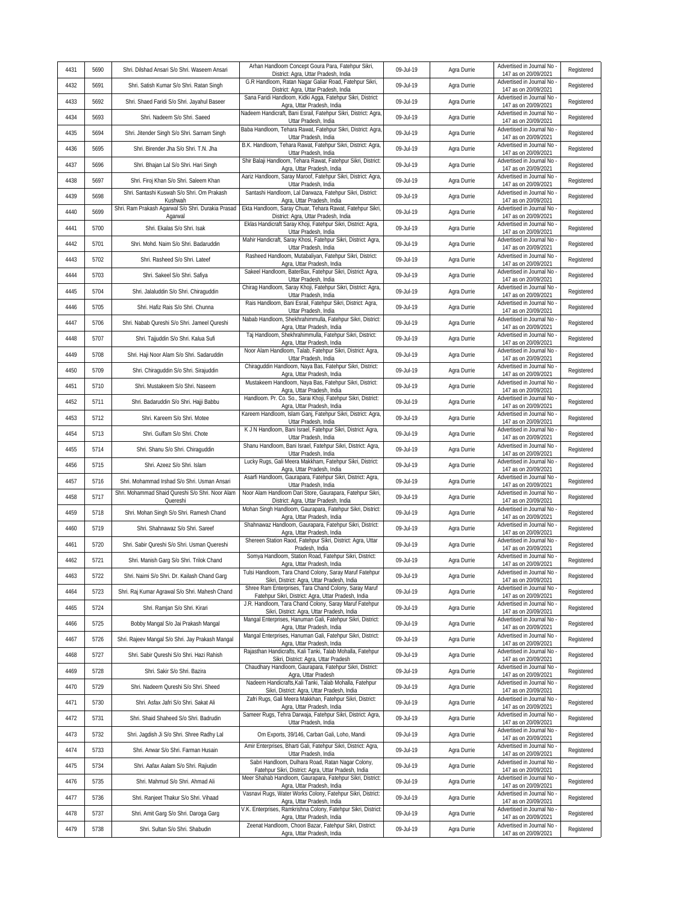| 4431 | 5690 | Shri. Dilshad Ansari S/o Shri. Waseem Ansari                  | Arhan Handloom Concept Goura Para, Fatehpur Sikri,<br>District: Agra, Uttar Pradesh, India                    | 09-Jul-19 | Agra Durrie | Advertised in Journal No<br>147 as on 20/09/2021   | Registered |
|------|------|---------------------------------------------------------------|---------------------------------------------------------------------------------------------------------------|-----------|-------------|----------------------------------------------------|------------|
| 4432 | 5691 | Shri. Satish Kumar S/o Shri. Ratan Singh                      | G.R Handloom, Ratan Nagar Galiar Road, Fatehpur Sikri,<br>District: Agra, Uttar Pradesh, India                | 09-Jul-19 | Agra Durrie | Advertised in Journal No<br>147 as on 20/09/2021   | Registered |
| 4433 | 5692 | Shri. Shaed Faridi S/o Shri. Jayahul Baseer                   | Sana Faridi Handloom, Kidki Agga, Fatehpur Sikri, District:<br>Agra, Uttar Pradesh, India                     | 09-Jul-19 | Agra Durrie | Advertised in Journal No<br>147 as on 20/09/2021   | Registered |
| 4434 | 5693 | Shri. Nadeem S/o Shri. Saeed                                  | Nadeem Handicraft, Bani Esrail, Fatehpur Sikri, District: Agra,<br>Uttar Pradesh, India                       | 09-Jul-19 | Agra Durrie | Advertised in Journal No<br>147 as on 20/09/2021   | Registered |
| 4435 | 5694 | Shri. Jitender Singh S/o Shri. Sarnam Singh                   | Baba Handloom, Tehara Rawat, Fatehpur Sikri, District: Agra,<br>Uttar Pradesh, India                          | 09-Jul-19 | Agra Durrie | Advertised in Journal No<br>147 as on 20/09/2021   | Registered |
| 4436 | 5695 | Shri. Birender Jha S/o Shri. T.N. Jha                         | B.K. Handloom, Tehara Rawat, Fatehpur Sikri, District: Agra,<br>Uttar Pradesh, India                          | 09-Jul-19 | Agra Durrie | Advertised in Journal No<br>147 as on 20/09/2021   | Registered |
| 4437 | 5696 | Shri. Bhajan Lal S/o Shri. Hari Singh                         | Shir Balaji Handloom, Tehara Rawat, Fatehpur Sikri, District:<br>Agra, Uttar Pradesh, India                   | 09-Jul-19 | Agra Durrie | Advertised in Journal No<br>147 as on 20/09/2021   | Registered |
| 4438 | 5697 | Shri. Firoj Khan S/o Shri. Saleem Khan                        | Aariz Handloom, Saray Maroof, Fatehpur Sikri, District: Agra,<br>Uttar Pradesh, India                         | 09-Jul-19 | Agra Durrie | Advertised in Journal No<br>147 as on 20/09/2021   | Registered |
| 4439 | 5698 | Shri. Santashi Kuswah S/o Shri. Om Prakash<br>Kushwah         | Santashi Handloom, Lal Darwaza, Fatehpur Sikri, District:<br>Agra, Uttar Pradesh, India                       | 09-Jul-19 | Agra Durrie | Advertised in Journal No<br>147 as on 20/09/2021   | Registered |
| 4440 | 5699 | Shri. Ram Prakash Agarwal S/o Shri. Durakia Prasad<br>Agarwal | Ekta Handloom, Saray Chuar, Tehara Rawat, Fatehpur Sikri,<br>District: Agra, Uttar Pradesh, India             | 09-Jul-19 | Agra Durrie | Advertised in Journal No<br>147 as on 20/09/2021   | Registered |
| 4441 | 5700 | Shri. Ekalas S/o Shri. Isak                                   | Eklas Handicraft Saray Khoji, Fatehpur Sikri, District: Agra,<br>Uttar Pradesh, India                         | 09-Jul-19 | Agra Durrie | Advertised in Journal No<br>147 as on 20/09/2021   | Registered |
| 4442 | 5701 | Shri. Mohd. Naim S/o Shri. Badaruddin                         | Mahir Handicraft, Saray Khosi, Fatehpur Sikri, District: Agra,<br>Uttar Pradesh, India                        | 09-Jul-19 | Agra Durrie | Advertised in Journal No<br>147 as on 20/09/2021   | Registered |
| 4443 | 5702 | Shri. Rasheed S/o Shri. Lateef                                | Rasheed Handloom, Mutabaliyan, Fatehpur Sikri, District:<br>Agra, Uttar Pradesh, India                        | 09-Jul-19 | Agra Durrie | Advertised in Journal No<br>147 as on 20/09/2021   | Registered |
| 4444 | 5703 | Shri. Sakeel S/o Shri. Safiya                                 | Sakeel Handloom, BaterBax, Fatehpur Sikri, District: Agra,<br>Uttar Pradesh, India                            | 09-Jul-19 | Agra Durrie | Advertised in Journal No<br>147 as on 20/09/2021   | Registered |
| 4445 | 5704 | Shri. Jalaluddin S/o Shri. Chiraguddin                        | Chirag Handloom, Saray Khoji, Fatehpur Sikri, District: Agra,<br>Uttar Pradesh, India                         | 09-Jul-19 | Agra Durrie | Advertised in Journal No<br>147 as on 20/09/2021   | Registered |
| 4446 | 5705 | Shri. Hafiz Rais S/o Shri. Chunna                             | Rais Handloom, Bani Esrail, Fatehpur Sikri, District: Agra,<br>Uttar Pradesh, India                           | 09-Jul-19 | Agra Durrie | Advertised in Journal No -<br>147 as on 20/09/2021 | Registered |
| 4447 | 5706 | Shri. Nabab Qureshi S/o Shri. Jameel Qureshi                  | Nabab Handloom, Shekhrahimmulla, Fatehpur Sikri, District:<br>Agra, Uttar Pradesh, India                      | 09-Jul-19 | Agra Durrie | Advertised in Journal No<br>147 as on 20/09/2021   | Registered |
| 4448 | 5707 | Shri. Tajjuddin S/o Shri. Kalua Sufi                          | Taj Handloom, Shekhrahimmulla, Fatehpur Sikri, District:<br>Agra, Uttar Pradesh, India                        | 09-Jul-19 | Agra Durrie | Advertised in Journal No<br>147 as on 20/09/2021   | Registered |
| 4449 | 5708 | Shri. Haji Noor Alam S/o Shri. Sadaruddin                     | Noor Alam Handloom, Talab, Fatehpur Sikri, District: Agra,<br>Uttar Pradesh, India                            | 09-Jul-19 | Agra Durrie | Advertised in Journal No<br>147 as on 20/09/2021   | Registered |
| 4450 | 5709 | Shri. Chiraguddin S/o Shri. Sirajuddin                        | Chiraguddin Handloom, Naya Bas, Fatehpur Sikri, District:<br>Agra, Uttar Pradesh, India                       | 09-Jul-19 | Agra Durrie | Advertised in Journal No<br>147 as on 20/09/2021   | Registered |
| 4451 | 5710 | Shri. Mustakeem S/o Shri. Naseem                              | Mustakeem Handloom, Naya Bas, Fatehpur Sikri, District:<br>Agra, Uttar Pradesh, India                         | 09-Jul-19 | Agra Durrie | Advertised in Journal No<br>147 as on 20/09/2021   | Registered |
| 4452 | 5711 | Shri. Badaruddin S/o Shri. Hajji Babbu                        | Handloom. Pr. Co. So., Sarai Khoji, Fatehpur Sikri, District:<br>Agra, Uttar Pradesh, India                   | 09-Jul-19 | Agra Durrie | Advertised in Journal No<br>147 as on 20/09/2021   | Registered |
| 4453 | 5712 | Shri. Kareem S/o Shri. Motee                                  | Kareem Handloom, Islam Ganj, Fatehpur Sikri, District: Agra,<br>Uttar Pradesh, India                          | 09-Jul-19 | Agra Durrie | Advertised in Journal No<br>147 as on 20/09/2021   | Registered |
| 4454 | 5713 | Shri. Gulfam S/o Shri. Chote                                  | K J N Handloom, Bani Israel, Fatehpur Sikri, District: Agra,<br>Uttar Pradesh, India                          | 09-Jul-19 | Agra Durrie | Advertised in Journal No<br>147 as on 20/09/2021   | Registered |
| 4455 | 5714 | Shri. Shanu S/o Shri. Chiraguddin                             | Shanu Handloom, Bani Israel, Fatehpur Sikri, District: Agra,<br>Uttar Pradesh, India                          | 09-Jul-19 | Agra Durrie | Advertised in Journal No<br>147 as on 20/09/2021   | Registered |
| 4456 | 5715 | Shri. Azeez S/o Shri. Islam                                   | Lucky Rugs, Gali Meera Makkham, Fatehpur Sikri, District:<br>Agra, Uttar Pradesh, India                       | 09-Jul-19 | Agra Durrie | Advertised in Journal No<br>147 as on 20/09/2021   | Registered |
| 4457 | 5716 | Shri. Mohammad Irshad S/o Shri. Usman Ansari                  | Asarfi Handloom, Gaurapara, Fatehpur Sikri, District: Agra,<br>Uttar Pradesh, India                           | 09-Jul-19 | Agra Durrie | Advertised in Journal No<br>147 as on 20/09/2021   | Registered |
| 4458 | 5717 | Shri. Mohammad Shaid Qureshi S/o Shri. Noor Alam<br>Quereshi  | Noor Alam Handloom Dari Store, Gaurapara, Fatehpur Sikri,<br>District: Agra, Uttar Pradesh, India             | 09-Jul-19 | Agra Durrie | Advertised in Journal No<br>147 as on 20/09/2021   | Registered |
| 4459 | 5718 | Shri. Mohan Singh S/o Shri. Ramesh Chand                      | Mohan Singh Handloom, Gaurapara, Fatehpur Sikri, District:<br>Agra, Uttar Pradesh, India                      | 09-Jul-19 | Agra Durrie | Advertised in Journal No<br>147 as on 20/09/2021   | Registered |
| 4460 | 5719 | Shri. Shahnawaz S/o Shri. Sareef                              | Shahnawaz Handloom, Gaurapara, Fatehpur Sikri, District:<br>Agra, Uttar Pradesh, India                        | 09-Jul-19 | Agra Durrie | Advertised in Journal No<br>147 as on 20/09/2021   | Registered |
| 4461 | 5720 | Shri. Sabir Qureshi S/o Shri. Usman Quereshi                  | Shereen Station Raod, Fatehpur Sikri, District: Agra, Uttar<br>Pradesh, India                                 | 09-Jul-19 | Agra Durrie | Advertised in Journal No<br>147 as on 20/09/2021   | Registered |
| 4462 | 5721 | Shri. Manish Garg S/o Shri. Trilok Chand                      | Somya Handloom, Station Road, Fatehpur Sikri, District:<br>Agra, Uttar Pradesh, India                         | 09-Jul-19 | Agra Durrie | Advertised in Journal No -<br>147 as on 20/09/2021 | Registered |
| 4463 | 5722 | Shri. Naimi S/o Shri. Dr. Kailash Chand Garg                  | Tulsi Handloom, Tara Chand Colony, Saray Maruf Fatehpur<br>Sikri, District: Agra, Uttar Pradesh, India        | 09-Jul-19 | Agra Durrie | Advertised in Journal No<br>147 as on 20/09/2021   | Registered |
| 4464 | 5723 | Shri. Raj Kumar Agrawal S/o Shri. Mahesh Chand                | Shree Ram Enterprises, Tara Chand Colony, Saray Maruf<br>Fatehpur Sikri, District: Agra, Uttar Pradesh, India | 09-Jul-19 | Agra Durrie | Advertised in Journal No<br>147 as on 20/09/2021   | Registered |
| 4465 | 5724 | Shri. Ramjan S/o Shri. Kirari                                 | J.R. Handloom, Tara Chand Colony, Saray Maruf Fatehpur<br>Sikri, District: Agra, Uttar Pradesh, India         | 09-Jul-19 | Agra Durrie | Advertised in Journal No<br>147 as on 20/09/2021   | Registered |
| 4466 | 5725 | Bobby Mangal S/o Jai Prakash Mangal                           | Mangal Enterprises, Hanuman Gali, Fatehpur Sikri, District:<br>Agra, Uttar Pradesh, India                     | 09-Jul-19 | Agra Durrie | Advertised in Journal No<br>147 as on 20/09/2021   | Registered |
| 4467 | 5726 | Shri. Rajeev Mangal S/o Shri. Jay Prakash Mangal              | Mangal Enterprises, Hanuman Gali, Fatehpur Sikri, District:<br>Agra, Uttar Pradesh, India                     | 09-Jul-19 | Agra Durrie | Advertised in Journal No<br>147 as on 20/09/2021   | Registered |
| 4468 | 5727 | Shri. Sabir Qureshi S/o Shri. Hazi Rahish                     | Rajasthan Handicrafts, Kali Tanki, Talab Mohalla, Fatehpur<br>Sikri, District: Agra, Uttar Pradesh            | 09-Jul-19 | Agra Durrie | Advertised in Journal No<br>147 as on 20/09/2021   | Registered |
| 4469 | 5728 | Shri. Sakir S/o Shri. Bazira                                  | Chaudhary Handloom, Gaurapara, Fatehpur Sikri, District:<br>Agra, Uttar Pradesh                               | 09-Jul-19 | Agra Durrie | Advertised in Journal No -<br>147 as on 20/09/2021 | Registered |
| 4470 | 5729 | Shri. Nadeem Qureshi S/o Shri. Sheed                          | Nadeem Handicrafts. Kali Tanki, Talab Mohalla, Fatehpur<br>Sikri, District: Agra, Uttar Pradesh, India        | 09-Jul-19 | Agra Durrie | Advertised in Journal No<br>147 as on 20/09/2021   | Registered |
| 4471 | 5730 | Shri. Asfax Jafri S/o Shri. Sakat Ali                         | Zafri Rugs, Gali Meera Makkhan, Fatehpur Sikri, District:<br>Agra, Uttar Pradesh, India                       | 09-Jul-19 | Agra Durrie | Advertised in Journal No<br>147 as on 20/09/2021   | Registered |
| 4472 | 5731 | Shri. Shaid Shaheed S/o Shri. Badrudin                        | Sameer Rugs, Tehra Darwaja, Fatehpur Sikri, District: Agra,<br>Uttar Pradesh, India                           | 09-Jul-19 | Agra Durrie | Advertised in Journal No -<br>147 as on 20/09/2021 | Registered |
| 4473 | 5732 | Shri. Jagdish Ji S/o Shri. Shree Radhy Lal                    | Om Exports, 39/146, Carban Gali, Loho, Mandi                                                                  | 09-Jul-19 | Agra Durrie | Advertised in Journal No<br>147 as on 20/09/2021   | Registered |
| 4474 | 5733 | Shri. Anwar S/o Shri. Farman Husain                           | Amir Enterprises, Bharti Gali, Fatehpur Sikri, District: Agra,<br>Uttar Pradesh, India                        | 09-Jul-19 | Agra Durrie | Advertised in Journal No -<br>147 as on 20/09/2021 | Registered |
| 4475 | 5734 | Shri. Aafax Aalam S/o Shri. Rajiudin                          | Sabri Handloom, Dulhara Road, Ratan Nagar Colony,<br>Fatehpur Sikri, District: Agra, Uttar Pradesh, India     | 09-Jul-19 | Agra Durrie | Advertised in Journal No<br>147 as on 20/09/2021   | Registered |
| 4476 | 5735 | Shri. Mahmud S/o Shri. Ahmad Ali                              | Meer Shahab Handloom, Gaurapara, Fatehpur Sikri, District:<br>Agra, Uttar Pradesh, India                      | 09-Jul-19 | Agra Durrie | Advertised in Journal No<br>147 as on 20/09/2021   | Registered |
| 4477 | 5736 | Shri. Ranjeet Thakur S/o Shri. Vihaad                         | Vasnavi Rugs, Water Works Colony, Fatehpur Sikri, District:<br>Agra, Uttar Pradesh, India                     | 09-Jul-19 | Agra Durrie | Advertised in Journal No<br>147 as on 20/09/2021   | Registered |
| 4478 | 5737 | Shri. Amit Garg S/o Shri. Daroga Garg                         | V.K. Enterprises, Ramkrishna Colony, Fatehpur Sikri, District:<br>Agra, Uttar Pradesh, India                  | 09-Jul-19 | Agra Durrie | Advertised in Journal No<br>147 as on 20/09/2021   | Registered |
| 4479 | 5738 | Shri. Sultan S/o Shri. Shabudin                               | Zeenat Handloom, Choori Bazar, Fatehpur Sikri, District:<br>Agra, Uttar Pradesh, India                        | 09-Jul-19 | Agra Durrie | Advertised in Journal No<br>147 as on 20/09/2021   | Registered |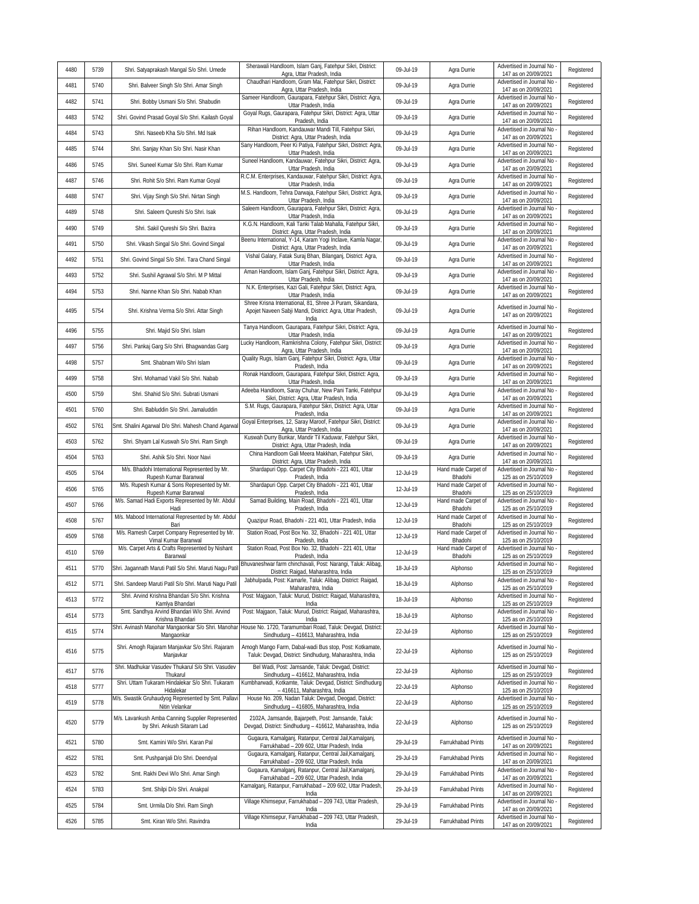| 4480 | 5739 | Shri. Satyaprakash Mangal S/o Shri. Umede                                       | Sherawali Handloom, Islam Ganj, Fatehpur Sikri, District:<br>Agra, Uttar Pradesh, India                            | 09-Jul-19 | Agra Durrie                    | Advertised in Journal No<br>147 as on 20/09/2021   | Registered |
|------|------|---------------------------------------------------------------------------------|--------------------------------------------------------------------------------------------------------------------|-----------|--------------------------------|----------------------------------------------------|------------|
| 4481 | 5740 | Shri. Balveer Singh S/o Shri. Amar Singh                                        | Chaudhari Handloom, Gram Mai, Fatehpur Sikri, District:<br>Agra, Uttar Pradesh, India                              | 09-Jul-19 | Agra Durrie                    | Advertised in Journal No<br>147 as on 20/09/2021   | Registered |
| 4482 | 5741 | Shri. Bobby Usmani S/o Shri. Shabudin                                           | Sameer Handloom, Gaurapara, Fatehpur Sikri, District: Agra,<br>Uttar Pradesh, India                                | 09-Jul-19 | Agra Durrie                    | Advertised in Journal No<br>147 as on 20/09/2021   | Registered |
| 4483 | 5742 | Shri. Govind Prasad Goyal S/o Shri. Kailash Goyal                               | Goyal Rugs, Gaurapara, Fatehpur Sikri, District: Agra, Uttar<br>Pradesh, India                                     | 09-Jul-19 | Agra Durrie                    | Advertised in Journal No<br>147 as on 20/09/2021   | Registered |
| 4484 | 5743 | Shri. Naseeb Kha S/o Shri. Md Isak                                              | Rihan Handloom, Kandauwar Mandi Till, Fatehpur Sikri,<br>District: Agra, Uttar Pradesh, India                      | 09-Jul-19 | Agra Durrie                    | Advertised in Journal No<br>147 as on 20/09/2021   | Registered |
| 4485 | 5744 | Shri. Sanjay Khan S/o Shri. Nasir Khan                                          | Sany Handloom, Peer Ki Patiya, Fatehpur Sikri, District: Agra<br>Uttar Pradesh, India                              | 09-Jul-19 | Agra Durrie                    | Advertised in Journal No<br>147 as on 20/09/2021   | Registered |
| 4486 | 5745 | Shri. Suneel Kumar S/o Shri. Ram Kumar                                          | Suneel Handloom, Kandauwar, Fatehpur Sikri, District: Agra,<br>Uttar Pradesh, India                                | 09-Jul-19 | Agra Durrie                    | Advertised in Journal No<br>147 as on 20/09/2021   | Registered |
| 4487 | 5746 | Shri. Rohit S/o Shri. Ram Kumar Goyal                                           | R.C.M. Enterprises, Kandauwar, Fatehpur Sikri, District: Agra<br>Uttar Pradesh, India                              | 09-Jul-19 | Agra Durrie                    | Advertised in Journal No<br>147 as on 20/09/2021   | Registered |
| 4488 | 5747 | Shri. Vijay Singh S/o Shri. Nirtan Singh                                        | M.S. Handloom, Tehra Darwaja, Fatehpur Sikri, District: Agra<br>Uttar Pradesh, India                               | 09-Jul-19 | Agra Durrie                    | Advertised in Journal No<br>147 as on 20/09/2021   | Registered |
| 4489 | 5748 | Shri. Saleem Qureshi S/o Shri. Isak                                             | Saleem Handloom, Gaurapara, Fatehpur Sikri, District: Agra,<br>Uttar Pradesh, India                                | 09-Jul-19 | Agra Durrie                    | Advertised in Journal No<br>147 as on 20/09/2021   | Registered |
| 4490 | 5749 | Shri. Sakil Qureshi S/o Shri. Bazira                                            | K.G.N. Handloom, Kali Tanki Talab Mahalla, Fatehpur Sikri,<br>District: Agra, Uttar Pradesh, India                 | 09-Jul-19 | Agra Durrie                    | Advertised in Journal No<br>147 as on 20/09/2021   | Registered |
| 4491 | 5750 | Shri. Vikash Singal S/o Shri. Govind Singal                                     | Beenu International, Y-14, Karam Yogi Inclave, Kamla Nagar<br>District: Agra, Uttar Pradesh, India                 | 09-Jul-19 | Agra Durrie                    | Advertised in Journal No<br>147 as on 20/09/2021   | Registered |
| 4492 | 5751 | Shri. Govind Singal S/o Shri. Tara Chand Singal                                 | Vishal Galary, Fatak Suraj Bhan, Bilanganj, District: Agra,<br>Uttar Pradesh, India                                | 09-Jul-19 | Agra Durrie                    | Advertised in Journal No<br>147 as on 20/09/2021   | Registered |
| 4493 | 5752 | Shri. Sushil Agrawal S/o Shri. M P Mittal                                       | Aman Handloom, Islam Ganj, Fatehpur Sikri, District: Agra,<br>Uttar Pradesh, India                                 | 09-Jul-19 | Agra Durrie                    | Advertised in Journal No<br>147 as on 20/09/2021   | Registered |
| 4494 | 5753 | Shri. Nanne Khan S/o Shri. Nabab Khan                                           | N.K. Enterprises, Kazi Gali, Fatehpur Sikri, District: Agra,                                                       | 09-Jul-19 | Agra Durrie                    | Advertised in Journal No                           | Registered |
|      |      |                                                                                 | Uttar Pradesh, India<br>Shree Krisna International, 81, Shree Ji Puram, Sikandara,                                 |           |                                | 147 as on 20/09/2021<br>Advertised in Journal No   |            |
| 4495 | 5754 | Shri. Krishna Verma S/o Shri. Attar Singh                                       | Apojet Naveen Sabji Mandi, District: Agra, Uttar Pradesh,<br>India                                                 | 09-Jul-19 | Agra Durrie                    | 147 as on 20/09/2021                               | Registered |
| 4496 | 5755 | Shri. Majid S/o Shri. Islam                                                     | Tanya Handloom, Gaurapara, Fatehpur Sikri, District: Agra,<br>Uttar Pradesh, India                                 | 09-Jul-19 | Agra Durrie                    | Advertised in Journal No<br>147 as on 20/09/2021   | Registered |
| 4497 | 5756 | Shri. Pankaj Garg S/o Shri. Bhagwandas Garg                                     | Lucky Handloom, Ramkrishna Colony, Fatehpur Sikri, District<br>Agra, Uttar Pradesh, India                          | 09-Jul-19 | Agra Durrie                    | Advertised in Journal No<br>147 as on 20/09/2021   | Registered |
| 4498 | 5757 | Smt. Shabnam W/o Shri Islam                                                     | Quality Rugs, Islam Ganj, Fatehpur Sikri, District: Agra, Uttar<br>Pradesh, India                                  | 09-Jul-19 | Agra Durrie                    | Advertised in Journal No<br>147 as on 20/09/2021   | Registered |
| 4499 | 5758 | Shri. Mohamad Vakil S/o Shri. Nabab                                             | Ronak Handloom, Gaurapara, Fatehpur Sikri, District: Agra,<br>Uttar Pradesh, India                                 | 09-Jul-19 | Agra Durrie                    | Advertised in Journal No<br>147 as on 20/09/2021   | Registered |
| 4500 | 5759 | Shri. Shahid S/o Shri. Subrati Usmani                                           | Adeeba Handloom, Saray Chuhar, New Pani Tanki, Fatehpur<br>Sikri, District: Agra, Uttar Pradesh, India             | 09-Jul-19 | Agra Durrie                    | Advertised in Journal No<br>147 as on 20/09/2021   | Registered |
| 4501 | 5760 | Shri. Babluddin S/o Shri. Jamaluddin                                            | S.M. Rugs, Gaurapara, Fatehpur Sikri, District: Agra, Uttar<br>Pradesh, India                                      | 09-Jul-19 | Agra Durrie                    | Advertised in Journal No<br>147 as on 20/09/2021   | Registered |
| 4502 | 5761 | Smt. Shalini Agarwal D/o Shri. Mahesh Chand Agarwa                              | Goyal Enterprises, 12, Saray Maroof, Fatehpur Sikri, District:<br>Agra, Uttar Pradesh, India                       | 09-Jul-19 | Agra Durrie                    | Advertised in Journal No<br>147 as on 20/09/2021   | Registered |
| 4503 | 5762 | Shri. Shyam Lal Kuswah S/o Shri. Ram Singh                                      | Kuswah Durry Bunkar, Mandir Til Kaduwar, Fatehpur Sikri,<br>District: Agra, Uttar Pradesh, India                   | 09-Jul-19 | Agra Durrie                    | Advertised in Journal No<br>147 as on 20/09/2021   | Registered |
| 4504 | 5763 | Shri. Ashik S/o Shri. Noor Navi                                                 | China Handloom Gali Meera Makkhan, Fatehpur Sikri,<br>District: Agra, Uttar Pradesh, India                         | 09-Jul-19 | Agra Durrie                    | Advertised in Journal No<br>147 as on 20/09/2021   | Registered |
| 4505 | 5764 | M/s. Bhadohi International Represented by Mr.<br>Rupesh Kumar Baranwal          | Shardapuri Opp. Carpet City Bhadohi - 221 401, Uttar<br>Pradesh, India                                             | 12-Jul-19 | Hand made Carpet of<br>Bhadohi | Advertised in Journal No<br>125 as on 25/10/2019   | Registered |
| 4506 | 5765 | M/s. Rupesh Kumar & Sons Represented by Mr.<br>Rupesh Kumar Baranwal            | Shardapuri Opp. Carpet City Bhadohi - 221 401, Uttar<br>Pradesh, India                                             | 12-Jul-19 | Hand made Carpet of<br>Bhadohi | Advertised in Journal No<br>125 as on 25/10/2019   | Registered |
| 4507 | 5766 | M/s. Samad Hadi Exports Represented by Mr. Abdul<br>Hadi                        | Samad Building, Main Road, Bhadohi - 221 401, Uttar<br>Pradesh, India                                              | 12-Jul-19 | Hand made Carpet of<br>Bhadohi | Advertised in Journal No<br>125 as on 25/10/2019   | Registered |
| 4508 | 5767 | M/s. Mabood International Represented by Mr. Abdul<br>Bari                      | Quazipur Road, Bhadohi - 221 401, Uttar Pradesh, India                                                             | 12-Jul-19 | Hand made Carpet of<br>Bhadohi | Advertised in Journal No<br>125 as on 25/10/2019   | Registered |
| 4509 | 5768 | M/s. Ramesh Carpet Company Represented by Mr.<br>Vimal Kumar Baranwal           | Station Road, Post Box No. 32, Bhadohi - 221 401, Uttar<br>Pradesh, India                                          | 12-Jul-19 | Hand made Carpet of<br>Bhadohi | Advertised in Journal No<br>125 as on 25/10/2019   | Registered |
| 4510 | 5769 | M/s. Carpet Arts & Crafts Represented by Nishant<br>Baranwal                    | Station Road, Post Box No. 32, Bhadohi - 221 401, Uttar<br>Pradesh, India                                          | 12-Jul-19 | Hand made Carpet of<br>Bhadohi | Advertised in Journal No<br>125 as on 25/10/2019   | Registered |
| 4511 | 5770 | Shri. Jagannath Maruti Patil S/o Shri. Maruti Nagu Pati                         | Bhuvaneshwar farm chinchavali, Post: Narangi, Taluk: Alibag,<br>District: Raigad, Maharashtra, India               | 18-Jul-19 | Alphonso                       | Advertised in Journal No<br>125 as on 25/10/2019   | Registered |
| 4512 | 5771 | Shri. Sandeep Maruti Patil S/o Shri. Maruti Nagu Patil                          | Jabhulpada, Post: Kamarle, Taluk: Alibag, District: Raigad,<br>Maharashtra, India                                  | 18-Jul-19 | Alphonso                       | Advertised in Journal No<br>125 as on 25/10/2019   | Registered |
| 4513 | 5772 | Shri. Arvind Krishna Bhandari S/o Shri. Krishna<br>Kamlya Bhandari              | Post: Majgaon, Taluk: Murud, District: Raigad, Maharashtra,<br>India                                               | 18-Jul-19 | Alphonso                       | Advertised in Journal No<br>125 as on 25/10/2019   | Registered |
| 4514 | 5773 | Smt. Sandhya Arvind Bhandari W/o Shri. Arvind<br>Krishna Bhandari               | Post: Majgaon, Taluk: Murud, District: Raigad, Maharashtra,<br>India                                               | 18-Jul-19 | Alphonso                       | Advertised in Journal No<br>125 as on 25/10/2019   | Registered |
| 4515 | 5774 | Shri. Avinash Manohar Mangaonkar S/o Shri. Manohar<br>Mangaonkar                | House No. 1720, Taramumbari Road, Taluk: Devgad, District:<br>Sindhudurg - 416613, Maharashtra, India              | 22-Jul-19 | Alphonso                       | Advertised in Journal No<br>125 as on 25/10/2019   | Registered |
| 4516 | 5775 | Shri. Amogh Rajaram Manjavkar S/o Shri. Rajaram<br>Manjavkar                    | Amogh Mango Farm, Dabal-wadi Bus stop, Post: Kotkamate,<br>Taluk: Devgad, District: Sindhudurg, Maharashtra, India | 22-Jul-19 | Alphonso                       | Advertised in Journal No -<br>125 as on 25/10/2019 | Registered |
| 4517 | 5776 | Shri. Madhukar Vasudev Thukarul S/o Shri. Vasudev<br>Thukarul                   | Bel Wadi, Post: Jamsande, Taluk: Devgad, District:<br>Sindhudurg - 416612, Maharashtra, India                      | 22-Jul-19 | Alphonso                       | Advertised in Journal No -<br>125 as on 25/10/2019 | Registered |
| 4518 | 5777 | Shri. Uttam Tukaram Hindalekar S/o Shri. Tukaram<br>Hidalekar                   | Kumbharwadi, Kotkamte, Taluk: Devgad, District: Sindhudurg<br>- 416611, Maharashtra, India                         | 22-Jul-19 | Alphonso                       | Advertised in Journal No<br>125 as on 25/10/2019   | Registered |
| 4519 | 5778 | M/s. Swastik Gruhaudyog Represented by Smt. Pallav<br>Nitin Velankar            | House No. 209, Nadan Taluk: Devgad, Deogad, District:<br>Sindhudurg - 416805, Maharashtra, India                   | 22-Jul-19 | Alphonso                       | Advertised in Journal No<br>125 as on 25/10/2019   | Registered |
| 4520 | 5779 | M/s. Lavankush Amba Canning Supplier Represented<br>by Shri. Ankush Sitaram Lad | 2102A, Jamsande, Bajarpeth, Post: Jamsande, Taluk:<br>Devgad, District: Sindhudurg - 416612, Maharashtra, India    | 22-Jul-19 | Alphonso                       | Advertised in Journal No -<br>125 as on 25/10/2019 | Registered |
| 4521 | 5780 | Smt. Kamini W/o Shri. Karan Pal                                                 | Gugaura, Kamalganj, Ratanpur, Central Jail, Kamalganj,<br>Farrukhabad - 209 602, Uttar Pradesh, India              | 29-Jul-19 | Farrukhabad Prints             | Advertised in Journal No<br>147 as on 20/09/2021   | Registered |
| 4522 | 5781 | Smt. Pushpanjali D/o Shri. Deendyal                                             | Gugaura, Kamalganj, Ratanpur, Central Jail, Kamalganj,<br>Farrukhabad - 209 602, Uttar Pradesh, India              | 29-Jul-19 | Farrukhabad Prints             | Advertised in Journal No<br>147 as on 20/09/2021   | Registered |
| 4523 | 5782 | Smt. Rakhi Devi W/o Shri. Amar Singh                                            | Gugaura, Kamalganj, Ratanpur, Central Jail, Kamalganj,<br>Farrukhabad - 209 602, Uttar Pradesh, India              | 29-Jul-19 | Farrukhabad Prints             | Advertised in Journal No -<br>147 as on 20/09/2021 | Registered |
| 4524 | 5783 | Smt. Shilpi D/o Shri. Anakpal                                                   | Kamalganj, Ratanpur, Farrukhabad - 209 602, Uttar Pradesh,<br>India                                                | 29-Jul-19 | Farrukhabad Prints             | Advertised in Journal No<br>147 as on 20/09/2021   | Registered |
| 4525 | 5784 | Smt. Urmila D/o Shri. Ram Singh                                                 | Village Khimsepur, Farrukhabad - 209 743, Uttar Pradesh,<br>India                                                  | 29-Jul-19 | Farrukhabad Prints             | Advertised in Journal No<br>147 as on 20/09/2021   | Registered |
| 4526 | 5785 | Smt. Kiran W/o Shri. Ravindra                                                   | Village Khimsepur, Farrukhabad - 209 743, Uttar Pradesh,                                                           | 29-Jul-19 | Farrukhabad Prints             | Advertised in Journal No -<br>147 as on 20/09/2021 | Registered |
|      |      |                                                                                 | India                                                                                                              |           |                                |                                                    |            |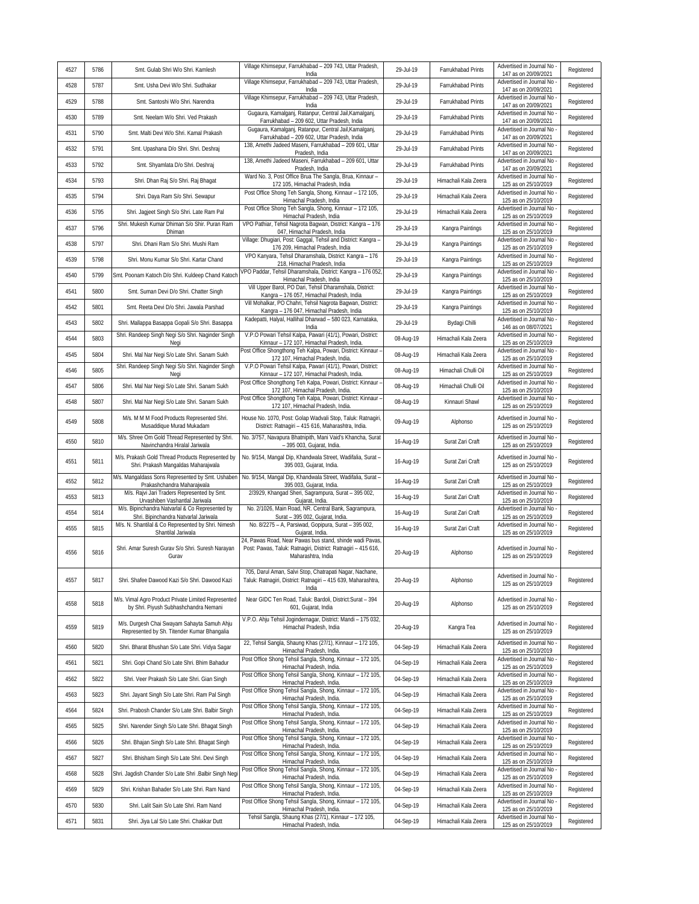| 4527 | 5786 | Smt. Gulab Shri W/o Shri. Kamlesh                                                            | Village Khimsepur, Farrukhabad - 209 743, Uttar Pradesh,<br>India                                                                               | 29-Jul-19 | Farrukhabad Prints   | Advertised in Journal No<br>147 as on 20/09/2021 | Registered |
|------|------|----------------------------------------------------------------------------------------------|-------------------------------------------------------------------------------------------------------------------------------------------------|-----------|----------------------|--------------------------------------------------|------------|
| 4528 | 5787 | Smt. Usha Devi W/o Shri. Sudhakar                                                            | Village Khimsepur, Farrukhabad - 209 743, Uttar Pradesh,<br>India                                                                               | 29-Jul-19 | Farrukhabad Prints   | Advertised in Journal No<br>147 as on 20/09/2021 | Registered |
| 4529 | 5788 | Smt. Santoshi W/o Shri. Narendra                                                             | Village Khimsepur, Farrukhabad - 209 743, Uttar Pradesh,<br>India                                                                               | 29-Jul-19 | Farrukhabad Prints   | Advertised in Journal No<br>147 as on 20/09/2021 | Registered |
| 4530 | 5789 | Smt. Neelam W/o Shri. Ved Prakash                                                            | Gugaura, Kamalganj, Ratanpur, Central Jail, Kamalganj,<br>Farrukhabad - 209 602, Uttar Pradesh, India                                           | 29-Jul-19 | Farrukhabad Prints   | Advertised in Journal No<br>147 as on 20/09/2021 | Registered |
| 4531 | 5790 | Smt. Malti Devi W/o Shri. Kamal Prakash                                                      | Gugaura, Kamalganj, Ratanpur, Central Jail, Kamalganj,<br>Farrukhabad - 209 602, Uttar Pradesh, India                                           | 29-Jul-19 | Farrukhabad Prints   | Advertised in Journal No<br>147 as on 20/09/2021 | Registered |
| 4532 | 5791 | Smt. Upashana D/o Shri. Shri. Deshraj                                                        | 138, Amethi Jadeed Maseni, Farrukhabad - 209 601, Uttar<br>Pradesh, India                                                                       | 29-Jul-19 | Farrukhabad Prints   | Advertised in Journal No<br>147 as on 20/09/2021 | Registered |
| 4533 | 5792 | Smt. Shyamlata D/o Shri. Deshraj                                                             | 138, Amethi Jadeed Maseni, Farrukhabad - 209 601, Uttar<br>Pradesh, India                                                                       | 29-Jul-19 | Farrukhabad Prints   | Advertised in Journal No<br>147 as on 20/09/2021 | Registered |
| 4534 | 5793 | Shri. Dhan Raj S/o Shri. Raj Bhagat                                                          | Ward No. 3, Post Office Brua The Sangla, Brua, Kinnaur -<br>172 105, Himachal Pradesh, India                                                    | 29-Jul-19 | Himachali Kala Zeera | Advertised in Journal No<br>125 as on 25/10/2019 | Registered |
| 4535 | 5794 | Shri. Daya Ram S/o Shri. Sewapur                                                             | Post Office Shong Teh Sangla, Shong, Kinnaur - 172 105,<br>Himachal Pradesh, India                                                              | 29-Jul-19 | Himachali Kala Zeera | Advertised in Journal No<br>125 as on 25/10/2019 | Registered |
| 4536 | 5795 | Shri. Jagjeet Singh S/o Shri. Late Ram Pal                                                   | Post Office Shong Teh Sangla, Shong, Kinnaur - 172 105,<br>Himachal Pradesh, India                                                              | 29-Jul-19 | Himachali Kala Zeera | Advertised in Journal No<br>125 as on 25/10/2019 | Registered |
| 4537 | 5796 | Shri. Mukesh Kumar Dhiman S/o Shir. Puran Ram<br>Dhiman                                      | VPO Pathiar, Tehsil Nagrota Bagwan, District: Kangra - 176<br>047, Himachal Pradesh, India                                                      | 29-Jul-19 | Kangra Paintings     | Advertised in Journal No<br>125 as on 25/10/2019 | Registered |
| 4538 | 5797 | Shri. Dhani Ram S/o Shri. Mushi Ram                                                          | Village: Dhugiari, Post: Gaggal, Tehsil and District: Kangra -<br>176 209, Himachal Pradesh, India                                              | 29-Jul-19 | Kangra Paintings     | Advertised in Journal No<br>125 as on 25/10/2019 | Registered |
| 4539 | 5798 | Shri. Monu Kumar S/o Shri. Kartar Chand                                                      | VPO Kanyara, Tehsil Dharamshala, District: Kangra - 176<br>218, Himachal Pradesh, India                                                         | 29-Jul-19 | Kangra Paintings     | Advertised in Journal No<br>125 as on 25/10/2019 | Registered |
| 4540 | 5799 | Smt. Poonam Katoch D/o Shri. Kuldeep Chand Katoch                                            | VPO Paddar, Tehsil Dharamshala, District: Kangra - 176 052<br>Himachal Pradesh, India                                                           | 29-Jul-19 | Kangra Paintings     | Advertised in Journal No<br>125 as on 25/10/2019 | Registered |
| 4541 | 5800 | Smt. Suman Devi D/o Shri. Chatter Singh                                                      | Vill Upper Barol, PO Dari, Tehsil Dharamshala, District:<br>Kangra - 176 057, Himachal Pradesh, India                                           | 29-Jul-19 | Kangra Paintings     | Advertised in Journal No<br>125 as on 25/10/2019 | Registered |
| 4542 | 5801 | Smt. Reeta Devi D/o Shri. Jawala Parshad                                                     | Vill Mohalkar, PO Chahri, Tehsil Nagrota Bagwan, District:<br>Kangra - 176 047, Himachal Pradesh, India                                         | 29-Jul-19 | Kangra Paintings     | Advertised in Journal No<br>125 as on 25/10/2019 | Registered |
| 4543 | 5802 | Shri. Mallappa Basappa Gopali S/o Shri. Basappa                                              | Kadepatti, Halyal, Hallihal Dharwad - 580 023, Karnataka,<br>India                                                                              | 29-Jul-19 | Bydagi Chilli        | Advertised in Journal No<br>146 as on 08/07/2021 | Registered |
| 4544 | 5803 | Shri. Randeep Singh Negi S/o Shri. Naginder Singh<br>Negi                                    | V.P.O Powari Tehsil Kalpa, Pawari (41/1), Powari, District:<br>Kinnaur - 172 107, Himachal Pradesh, India.                                      | 08-Aug-19 | Himachali Kala Zeera | Advertised in Journal No<br>125 as on 25/10/2019 | Registered |
| 4545 | 5804 | Shri. Mal Nar Negi S/o Late Shri. Sanam Sukh                                                 | Post Office Shongthong Teh Kalpa, Powari, District: Kinnaur -<br>172 107, Himachal Pradesh, India.                                              | 08-Aug-19 | Himachali Kala Zeera | Advertised in Journal No<br>125 as on 25/10/2019 | Registered |
| 4546 | 5805 | Shri. Randeep Singh Negi S/o Shri. Naginder Singh<br>Negi                                    | V.P.O Powari Tehsil Kalpa, Pawari (41/1), Powari, District:<br>Kinnaur - 172 107, Himachal Pradesh, India.                                      | 08-Aug-19 | Himachali Chulli Oil | Advertised in Journal No<br>125 as on 25/10/2019 | Registered |
| 4547 | 5806 | Shri. Mal Nar Negi S/o Late Shri. Sanam Sukh                                                 | Post Office Shongthong Teh Kalpa, Powari, District: Kinnaur -<br>172 107, Himachal Pradesh, India.                                              | 08-Aug-19 | Himachali Chulli Oil | Advertised in Journal No<br>125 as on 25/10/2019 | Registered |
| 4548 | 5807 | Shri. Mal Nar Negi S/o Late Shri. Sanam Sukh                                                 | Post Office Shongthong Teh Kalpa, Powari, District: Kinnaur -<br>172 107, Himachal Pradesh, India                                               | 08-Aug-19 | Kinnauri Shawl       | Advertised in Journal No<br>125 as on 25/10/2019 | Registered |
| 4549 | 5808 | M/s. M M M Food Products Represented Shri.<br>Musaddique Murad Mukadam                       | House No. 1070, Post: Golap Wadvali Stop, Taluk: Ratnagiri,<br>District: Ratnagiri - 415 616, Maharashtra, India.                               | 09-Aug-19 | Alphonso             | Advertised in Journal No<br>125 as on 25/10/2019 | Registered |
| 4550 | 5810 | M/s. Shree Om Gold Thread Represented by Shri.<br>Navinchandra Hiralal Jariwala              | No. 3/757, Navapura Bhatnipith, Mani Vaid's Khancha, Surat<br>- 395 003, Gujarat, India.                                                        | 16-Aug-19 | Surat Zari Craft     | Advertised in Journal No<br>125 as on 25/10/2019 | Registered |
| 4551 | 5811 | M/s. Prakash Gold Thread Products Represented by<br>Shri. Prakash Mangaldas Maharajwala      | No. 9/154, Mangal Dip, Khandwala Street, Wadifalia, Surat -<br>395 003, Gujarat, India.                                                         | 16-Aug-19 | Surat Zari Craft     | Advertised in Journal No<br>125 as on 25/10/2019 | Registered |
| 4552 | 5812 | M/s. Mangaldass Sons Represented by Smt. Ushaben<br>Prakashchandra Maharajwala               | No. 9/154, Mangal Dip, Khandwala Street, Wadifalia, Surat-<br>395 003, Gujarat, India.                                                          | 16-Aug-19 | Surat Zari Craft     | Advertised in Journal No<br>125 as on 25/10/2019 | Registered |
| 4553 | 5813 | M/s. Rajvi Jari Traders Represented by Smt.<br>Urvashiben Vashantlal Jariwala                | 2/3929, Khangad Sheri, Sagrampura, Surat - 395 002,<br>Gujarat, India.                                                                          | 16-Aug-19 | Surat Zari Craft     | Advertised in Journal No<br>125 as on 25/10/2019 | Registered |
| 4554 | 5814 | M/s. Bipinchandra Natvarlal & Co Represented by<br>Shri. Bipinchandra Natvarlal Jariwala     | No. 2/1026, Main Road, NR. Central Bank, Sagrampura,<br>Surat - 395 002, Gujarat, India.                                                        | 16-Aug-19 | Surat Zari Craft     | Advertised in Journal No<br>125 as on 25/10/2019 | Registered |
| 4555 | 5815 | M/s. N. Shantilal & Co Represented by Shri. Nimesh<br>Shantilal Jariwala                     | No. 8/2275 - A, Parsiwad, Gopipura, Surat - 395 002,<br>Gujarat, India.                                                                         | 16-Aug-19 | Surat Zari Craft     | Advertised in Journal No<br>125 as on 25/10/2019 | Registered |
| 4556 | 5816 | Shri. Amar Suresh Gurav S/o Shri. Suresh Narayan<br>Gurav                                    | 24, Pawas Road, Near Pawas bus stand, shinde wadi Pavas,<br>Post: Pawas, Taluk: Ratnagiri, District: Ratnagiri - 415 616,<br>Maharashtra, India | 20-Aug-19 | Alphonso             | Advertised in Journal No<br>125 as on 25/10/2019 | Registered |
| 4557 | 5817 | Shri. Shafee Dawood Kazi S/o Shri. Dawood Kazi                                               | 705, Darul Aman, Salvi Stop, Chatrapati Nagar, Nachane,<br>Taluk: Ratnagiri, District: Ratnagiri - 415 639, Maharashtra,<br>India               | 20-Aug-19 | Alphonso             | Advertised in Journal No<br>125 as on 25/10/2019 | Registered |
| 4558 | 5818 | M/s. Vimal Agro Product Private Limited Represented<br>by Shri. Piyush Subhashchandra Nemani | Near GIDC Ten Road, Taluk: Bardoli, District: Surat - 394<br>601, Gujarat, India                                                                | 20-Aug-19 | Alphonso             | Advertised in Journal No<br>125 as on 25/10/2019 | Registered |
| 4559 | 5819 | M/s. Durgesh Chai Swayam Sahayta Samuh Ahju<br>Represented by Sh. Titender Kumar Bhangalia   | V.P.O. Ahju Tehsil Jogindernagar, District: Mandi - 175 032,<br>Himachal Pradesh, India                                                         | 20-Aug-19 | Kangra Tea           | Advertised in Journal No<br>125 as on 25/10/2019 | Registered |
| 4560 | 5820 | Shri. Bharat Bhushan S/o Late Shri. Vidya Sagar                                              | 22, Tehsil Sangla, Shaung Khas (27/1), Kinnaur - 172 105,<br>Himachal Pradesh, India.                                                           | 04-Sep-19 | Himachali Kala Zeera | Advertised in Journal No<br>125 as on 25/10/2019 | Registered |
| 4561 | 5821 | Shri. Gopi Chand S/o Late Shri. Bhim Bahadur                                                 | Post Office Shong Tehsil Sangla, Shong, Kinnaur - 172 105,<br>Himachal Pradesh, India.                                                          | 04-Sep-19 | Himachali Kala Zeera | Advertised in Journal No<br>125 as on 25/10/2019 | Registered |
| 4562 | 5822 | Shri. Veer Prakash S/o Late Shri. Gian Singh                                                 | Post Office Shong Tehsil Sangla, Shong, Kinnaur - 172 105,<br>Himachal Pradesh, India.                                                          | 04-Sep-19 | Himachali Kala Zeera | Advertised in Journal No<br>125 as on 25/10/2019 | Registered |
| 4563 | 5823 | Shri. Jayant Singh S/o Late Shri. Ram Pal Singh                                              | Post Office Shong Tehsil Sangla, Shong, Kinnaur - 172 105,<br>Himachal Pradesh, India.                                                          | 04-Sep-19 | Himachali Kala Zeera | Advertised in Journal No<br>125 as on 25/10/2019 | Registered |
| 4564 | 5824 | Shri. Prabosh Chander S/o Late Shri. Balbir Singh                                            | Post Office Shong Tehsil Sangla, Shong, Kinnaur - 172 105,<br>Himachal Pradesh, India.                                                          | 04-Sep-19 | Himachali Kala Zeera | Advertised in Journal No<br>125 as on 25/10/2019 | Registered |
| 4565 | 5825 | Shri. Narender Singh S/o Late Shri. Bhagat Singh                                             | Post Office Shong Tehsil Sangla, Shong, Kinnaur - 172 105,<br>Himachal Pradesh, India.                                                          | 04-Sep-19 | Himachali Kala Zeera | Advertised in Journal No<br>125 as on 25/10/2019 | Registered |
| 4566 | 5826 | Shri. Bhajan Singh S/o Late Shri. Bhagat Singh                                               | Post Office Shong Tehsil Sangla, Shong, Kinnaur - 172 105,<br>Himachal Pradesh, India.                                                          | 04-Sep-19 | Himachali Kala Zeera | Advertised in Journal No<br>125 as on 25/10/2019 | Registered |
| 4567 | 5827 | Shri. Bhisham Singh S/o Late Shri. Devi Singh                                                | Post Office Shong Tehsil Sangla, Shong, Kinnaur - 172 105,<br>Himachal Pradesh, India.                                                          | 04-Sep-19 | Himachali Kala Zeera | Advertised in Journal No<br>125 as on 25/10/2019 | Registered |
| 4568 | 5828 | Shri. Jagdish Chander S/o Late Shri .Balbir Singh Negi                                       | Post Office Shong Tehsil Sangla, Shong, Kinnaur - 172 105,<br>Himachal Pradesh, India.                                                          | 04-Sep-19 | Himachali Kala Zeera | Advertised in Journal No<br>125 as on 25/10/2019 | Registered |
| 4569 | 5829 | Shri. Krishan Bahader S/o Late Shri. Ram Nand                                                | Post Office Shong Tehsil Sangla, Shong, Kinnaur - 172 105,<br>Himachal Pradesh, India.                                                          | 04-Sep-19 | Himachali Kala Zeera | Advertised in Journal No<br>125 as on 25/10/2019 | Registered |
| 4570 | 5830 | Shri. Lalit Sain S/o Late Shri. Ram Nand                                                     | Post Office Shong Tehsil Sangla, Shong, Kinnaur - 172 105,<br>Himachal Pradesh, India.                                                          | 04-Sep-19 | Himachali Kala Zeera | Advertised in Journal No<br>125 as on 25/10/2019 | Registered |
| 4571 | 5831 | Shri. Jiya Lal S/o Late Shri. Chakkar Dutt                                                   | Tehsil Sangla, Shaung Khas (27/1), Kinnaur - 172 105,<br>Himachal Pradesh, India.                                                               | 04-Sep-19 | Himachali Kala Zeera | Advertised in Journal No<br>125 as on 25/10/2019 | Registered |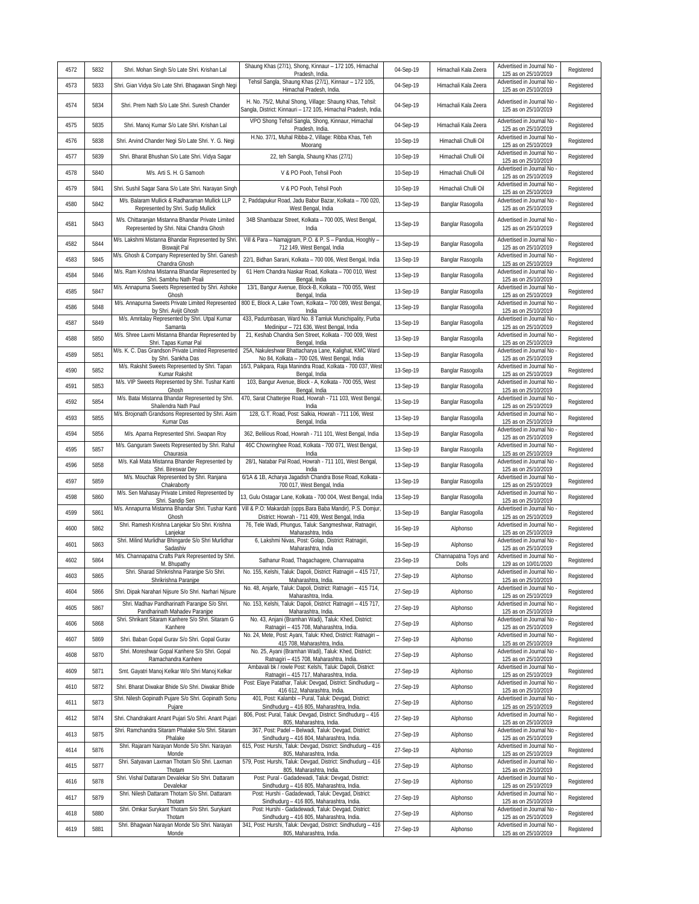| Tehsil Sangla, Shaung Khas (27/1), Kinnaur - 172 105,<br>Advertised in Journal No<br>4573<br>5833<br>04-Sep-19<br>Shri. Gian Vidya S/o Late Shri. Bhagawan Singh Negi<br>Himachali Kala Zeera<br>Himachal Pradesh, India.<br>125 as on 25/10/2019<br>H. No. 75/2, Muhal Shong, Village: Shaung Khas, Tehsil:<br>Advertised in Journal No<br>4574<br>5834<br>Shri. Prem Nath S/o Late Shri. Suresh Chander<br>04-Sep-19<br>Himachali Kala Zeera<br>Sangla, District: Kinnauri - 172 105, Himachal Pradesh, India.<br>125 as on 25/10/2019<br>VPO Shong Tehsil Sangla, Shong, Kinnaur, Himachal<br>Advertised in Journal No<br>5835<br>04-Sep-19<br>4575<br>Shri. Manoj Kumar S/o Late Shri. Krishan Lal<br>Himachali Kala Zeera<br>125 as on 25/10/2019<br>Pradesh, India.<br>H.No. 37/1, Muhal Ribba-2, Village: Ribba Khas, Teh<br>Advertised in Journal No<br>5838<br>Shri. Arvind Chander Negi S/o Late Shri. Y. G. Negi<br>10-Sep-19<br>Himachali Chulli Oil<br>4576<br>125 as on 25/10/2019<br>Moorang<br>Advertised in Journal No<br>4577<br>5839<br>Shri. Bharat Bhushan S/o Late Shri. Vidya Sagar<br>22, teh Sangla, Shaung Khas (27/1)<br>10-Sep-19<br>Himachali Chulli Oil<br>125 as on 25/10/2019<br>Advertised in Journal No<br>4578<br>5840<br>V & PO Pooh, Tehsil Pooh<br>10-Sep-19<br>Himachali Chulli Oil<br>M/s. Arti S. H. G Samooh<br>125 as on 25/10/2019<br>Advertised in Journal No<br>4579<br>Himachali Chulli Oil<br>5841<br>Shri. Sushil Sagar Sana S/o Late Shri. Narayan Singh<br>V & PO Pooh, Tehsil Pooh<br>10-Sep-19<br>125 as on 25/10/2019<br>M/s. Balaram Mullick & Radharaman Mullick LLP<br>2, Paddapukur Road, Jadu Babur Bazar, Kolkata - 700 020,<br>Advertised in Journal No<br>5842<br>4580<br>13-Sep-19<br>Banglar Rasogolla<br>Represented by Shri. Sudip Mullick<br>125 as on 25/10/2019<br>West Bengal, India<br>M/s. Chittaranjan Mistanna Bhandar Private Limited<br>34B Shambazar Street, Kolkata - 700 005, West Bengal,<br>Advertised in Journal No<br>4581<br>5843<br>13-Sep-19<br>Banglar Rasogolla<br>125 as on 25/10/2019<br>Represented by Shri. Nitai Chandra Ghosh<br>India<br>M/s. Lakshmi Mistanna Bhandar Represented by Shri.<br>Vill & Para - Namajgram, P.O. & P. S - Pandua, Hooghly -<br>Advertised in Journal No<br>5844<br>4582<br>13-Sep-19<br>Banglar Rasogolla<br>712 149, West Bengal, India<br>125 as on 25/10/2019<br>Biswajit Pal<br>M/s. Ghosh & Company Represented by Shri. Ganesh<br>Advertised in Journal No<br>4583<br>5845<br>22/1, Bidhan Sarani, Kolkata - 700 006, West Bengal, India<br>13-Sep-19<br>Banglar Rasogolla<br>Chandra Ghosh<br>125 as on 25/10/2019<br>M/s. Ram Krishna Mistanna Bhandar Represented by<br>61 Hem Chandra Naskar Road, Kolkata - 700 010, West<br>Advertised in Journal No<br>5846<br>13-Sep-19<br>4584<br>Banglar Rasogolla<br>125 as on 25/10/2019<br>Shri. Sambhu Nath Poali<br>Bengal, India<br>M/s. Annapurna Sweets Represented by Shri. Ashoke<br>13/1, Bangur Avenue, Block-B, Kolkata - 700 055, West<br>Advertised in Journal No<br>4585<br>5847<br>13-Sep-19<br>Banglar Rasogolla<br>125 as on 25/10/2019<br>Ghosh<br>Bengal, India<br>M/s. Annapurna Sweets Private Limited Represented<br>800 E, Block A, Lake Town, Kolkata - 700 089, West Bengal,<br>Advertised in Journal No<br>5848<br>4586<br>13-Sep-19<br>Banglar Rasogolla<br>125 as on 25/10/2019<br>by Shri. Avijit Ghosh<br>India<br>M/s. Amritalay Represented by Shri. Utpal Kumar<br>433, Padumbasan, Ward No. 8 Tamluk Munichipality, Purba<br>Advertised in Journal No<br>4587<br>5849<br>13-Sep-19<br>Banglar Rasogolla<br>Medinipur - 721 636, West Bengal, India<br>125 as on 25/10/2019<br>Samanta<br>M/s. Shree Laxmi Mistanna Bhandar Represented by<br>21, Keshab Chandra Sen Street, Kolkata - 700 009, West<br>Advertised in Journal No<br>4588<br>5850<br>13-Sep-19<br>Banglar Rasogolla<br>125 as on 25/10/2019<br>Shri. Tapas Kumar Pal<br>Bengal, India<br>M/s. K. C. Das Grandson Private Limited Represented<br>25A, Nakuleshwar Bhattacharya Lane, Kalighat, KMC Ward<br>Advertised in Journal No<br>4589<br>5851<br>13-Sep-19<br>Banglar Rasogolla<br>No 84, Kolkata - 700 026, West Bengal, India<br>125 as on 25/10/2019<br>by Shri. Sankha Das<br>M/s. Rakshit Sweets Represented by Shri. Tapan<br>16/3, Paikpara, Raja Manindra Road, Kolkata - 700 037, West<br>Advertised in Journal No<br>5852<br>4590<br>13-Sep-19<br>Banglar Rasogolla<br>125 as on 25/10/2019<br>Kumar Rakshit<br>Bengal, India<br>103, Bangur Avenue, Block - A, Kolkata - 700 055, West<br>M/s. VIP Sweets Represented by Shri. Tushar Kanti<br>Advertised in Journal No<br>4591<br>5853<br>13-Sep-19<br>Banglar Rasogolla<br>125 as on 25/10/2019<br>Ghosh<br>Bengal, India<br>470, Sarat Chatterjee Road, Howrah - 711 103, West Bengal,<br>M/s. Batai Mistanna Bhandar Represented by Shri.<br>Advertised in Journal No<br>5854<br>4592<br>13-Sep-19<br>Banglar Rasogolla<br>Registered<br>Shailendra Nath Paul<br>125 as on 25/10/2019<br>India<br>M/s. Brojonath Grandsons Represented by Shri. Asim<br>128, G.T. Road, Post: Salkia, Howrah - 711 106, West<br>Advertised in Journal No<br>4593<br>5855<br>13-Sep-19<br>Registered<br>Banglar Rasogolla<br>125 as on 25/10/2019<br>Kumar Das<br>Bengal, India<br>Advertised in Journal No<br>5856<br>Registered<br>4594<br>M/s. Aparna Represented Shri. Swapan Roy<br>362, Belilious Road, Howrah - 711 101, West Bengal, India<br>13-Sep-19<br>Banglar Rasogolla<br>125 as on 25/10/2019<br>46C Chowringhee Road, Kolkata - 700 071, West Bengal,<br>M/s. Ganguram Sweets Represented by Shri. Rahul<br>Advertised in Journal No<br>5857<br>Registered<br>4595<br>13-Sep-19<br>Banglar Rasogolla<br>125 as on 25/10/2019<br>Chaurasia<br>India<br>28/1, Natabar Pal Road, Howrah - 711 101, West Bengal,<br>M/s. Kali Mata Mistanna Bhander Represented by<br>Advertised in Journal No<br>4596<br>5858<br>13-Sep-19<br>Banglar Rasogolla<br>125 as on 25/10/2019<br>Shri. Bireswar Dey<br>India<br>6/1A & 1B, Acharya Jagadish Chandra Bose Road, Kolkata<br>M/s. Mouchak Represented by Shri. Ranjana<br>Advertised in Journal No<br>4597<br>5859<br>13-Sep-19<br>Banglar Rasogolla<br>700 017, West Bengal, India<br>Chakraborty<br>125 as on 25/10/2019<br>Advertised in Journal No<br>M/s. Sen Mahasay Private Limited Represented by<br>4598<br>5860<br>13, Gulu Ostagar Lane, Kolkata - 700 004, West Bengal, India<br>13-Sep-19<br>Banglar Rasogolla<br>Shri. Sandip Sen<br>125 as on 25/10/2019<br>Vill & P.O: Makardah (opps.Bara Baba Mandir), P.S. Domjur,<br>M/s. Annapurna Mistanna Bhandar Shri. Tushar Kanti<br>Advertised in Journal No<br>4599<br>5861<br>13-Sep-19<br>Banglar Rasogolla<br>District: Howrah - 711 409, West Bengal, India<br>125 as on 25/10/2019<br>Ghosh<br>Shri. Ramesh Krishna Lanjekar S/o Shri. Krishna<br>76, Tele Wadi, Phungus, Taluk: Sangmeshwar, Ratnagiri,<br>Advertised in Journal No<br>4600<br>5862<br>16-Sep-19<br>Alphonso<br>125 as on 25/10/2019<br>Lanjekar<br>Maharashtra, India<br>Shri. Milind Murlidhar Bhingarde S/o Shri Murlidhar<br>6, Lakshmi Nivas, Post: Golap, District: Ratnagiri,<br>Advertised in Journal No<br>4601<br>5863<br>16-Sep-19<br>Alphonso<br>Sadashiv<br>Maharashtra, India<br>125 as on 25/10/2019<br>M/s. Channapatna Crafts Park Represented by Shri.<br>Channapatna Toys and<br>Advertised in Journal No<br>5864<br>4602<br>Sathanur Road, Thagachagere, Channapatna<br>23-Sep-19<br>M. Bhupathy<br>Dolls<br>129 as on 10/01/2020<br>No. 155, Kelshi, Taluk: Dapoli, District: Ratnagiri - 415 717,<br>Shri, Sharad Shrikrishna Paranipe S/o Shri,<br>Advertised in Journal No -<br>4603<br>5865<br>27-Sep-19<br>Alphonso<br>Shrikrishna Paranjpe<br>Maharashtra, India.<br>125 as on 25/10/2019<br>No. 48, Anjarle, Taluk: Dapoli, District: Ratnagiri - 415 714,<br>Advertised in Journal No<br>4604<br>5866<br>Shri. Dipak Narahari Nijsure S/o Shri. Narhari Nijsure<br>27-Sep-19<br>Alphonso<br>Maharashtra, India.<br>125 as on 25/10/2019<br>Shri. Madhav Pandharinath Paranipe S/o Shri.<br>No. 153, Kelshi, Taluk: Dapoli, District: Ratnagiri - 415 717,<br>Advertised in Journal No<br>4605<br>5867<br>27-Sep-19<br>Alphonso<br>Pandharinath Mahadev Paranipe<br>Maharashtra, India.<br>125 as on 25/10/2019<br>No. 43, Anjani (Bramhan Wadi), Taluk: Khed, District:<br>Shri. Shrikant Sitaram Kanhere S/o Shri. Sitaram G<br>Advertised in Journal No<br>5868<br>27-Sep-19<br>4606<br>Alphonso<br>Kanhere<br>Ratnagiri - 415 708, Maharashtra, India.<br>125 as on 25/10/2019<br>No. 24, Mete, Post: Ayani, Taluk: Khed, District: Ratnagiri -<br>Advertised in Journal No<br>4607<br>5869<br>Shri. Baban Gopal Gurav S/o Shri. Gopal Gurav<br>27-Sep-19<br>Alphonso<br>415 708, Maharashtra, India.<br>125 as on 25/10/2019<br>Shri. Moreshwar Gopal Kanhere S/o Shri. Gopal<br>No. 25, Ayani (Bramhan Wadi), Taluk: Khed, District:<br>Advertised in Journal No<br>4608<br>5870<br>27-Sep-19<br>Alphonso<br>Ramachandra Kanhere<br>Ratnagiri - 415 708, Maharashtra, India.<br>125 as on 25/10/2019<br>Ambavali bk / rowle Post: Kelshi, Taluk: Dapoli, District:<br>Advertised in Journal No -<br>4609<br>5871<br>Smt. Gayatri Manoj Kelkar W/o Shri Manoj Kelkar<br>27-Sep-19<br>Alphonso<br>Ratnagiri - 415 717, Maharashtra, India.<br>125 as on 25/10/2019<br>Post: Elaye Patathar, Taluk: Devgad, District: Sindhudurg -<br>Advertised in Journal No<br>4610<br>5872<br>27-Sep-19<br>Shri. Bharat Diwakar Bhide S/o Shri. Diwakar Bhide<br>Alphonso<br>125 as on 25/10/2019<br>416 612, Maharashtra, India.<br>Shri. Nilesh Gopinath Pujare S/o Shri. Gopinath Sonu<br>401, Post: Kalambi - Pural, Taluk: Devgad, District:<br>Advertised in Journal No<br>5873<br>4611<br>27-Sep-19<br>Alphonso<br>Sindhudurg - 416 805, Maharashtra, India.<br>125 as on 25/10/2019<br>Pujare<br>806, Post: Pural, Taluk: Devgad, District: Sindhudurg - 416<br>Advertised in Journal No<br>4612<br>5874<br>Shri. Chandrakant Anant Pujari S/o Shri. Anant Pujari<br>27-Sep-19<br>Alphonso<br>805, Maharashtra, India.<br>125 as on 25/10/2019<br>Shri. Ramchandra Sitaram Phalake S/o Shri. Sitaram<br>367, Post: Padel - Belwadi, Taluk: Devgad, District:<br>Advertised in Journal No<br>4613<br>5875<br>27-Sep-19<br>Alphonso<br>Sindhudurg - 416 804, Maharashtra, India.<br>125 as on 25/10/2019<br>Phalake<br>Shri. Rajaram Narayan Monde S/o Shri. Narayan<br>615, Post: Hurshi, Taluk: Devgad, District: Sindhudurg - 416<br>Advertised in Journal No<br>4614<br>5876<br>27-Sep-19<br>Alphonso<br>125 as on 25/10/2019<br>Monde<br>805, Maharashtra, India.<br>Shri. Satyavan Laxman Thotam S/o Shri. Laxman<br>579, Post: Hurshi, Taluk: Devgad, District: Sindhudurg - 416<br>Advertised in Journal No<br>5877<br>4615<br>27-Sep-19<br>Alphonso<br>805, Maharashtra, India.<br>125 as on 25/10/2019<br>Thotam<br>Shri. Vishal Dattaram Devalekar S/o Shri. Dattaram<br>Post: Pural - Gadadewadi, Taluk: Devgad, District:<br>Advertised in Journal No<br>4616<br>5878<br>27-Sep-19<br>Alphonso | 4572 | 5832 | Shri. Mohan Singh S/o Late Shri. Krishan Lal  | Shaung Khas (27/1), Shong, Kinnaur - 172 105, Himachal<br>Pradesh, India. | 04-Sep-19 | Himachali Kala Zeera | Advertised in Journal No<br>125 as on 25/10/2019 | Registered |
|------------------------------------------------------------------------------------------------------------------------------------------------------------------------------------------------------------------------------------------------------------------------------------------------------------------------------------------------------------------------------------------------------------------------------------------------------------------------------------------------------------------------------------------------------------------------------------------------------------------------------------------------------------------------------------------------------------------------------------------------------------------------------------------------------------------------------------------------------------------------------------------------------------------------------------------------------------------------------------------------------------------------------------------------------------------------------------------------------------------------------------------------------------------------------------------------------------------------------------------------------------------------------------------------------------------------------------------------------------------------------------------------------------------------------------------------------------------------------------------------------------------------------------------------------------------------------------------------------------------------------------------------------------------------------------------------------------------------------------------------------------------------------------------------------------------------------------------------------------------------------------------------------------------------------------------------------------------------------------------------------------------------------------------------------------------------------------------------------------------------------------------------------------------------------------------------------------------------------------------------------------------------------------------------------------------------------------------------------------------------------------------------------------------------------------------------------------------------------------------------------------------------------------------------------------------------------------------------------------------------------------------------------------------------------------------------------------------------------------------------------------------------------------------------------------------------------------------------------------------------------------------------------------------------------------------------------------------------------------------------------------------------------------------------------------------------------------------------------------------------------------------------------------------------------------------------------------------------------------------------------------------------------------------------------------------------------------------------------------------------------------------------------------------------------------------------------------------------------------------------------------------------------------------------------------------------------------------------------------------------------------------------------------------------------------------------------------------------------------------------------------------------------------------------------------------------------------------------------------------------------------------------------------------------------------------------------------------------------------------------------------------------------------------------------------------------------------------------------------------------------------------------------------------------------------------------------------------------------------------------------------------------------------------------------------------------------------------------------------------------------------------------------------------------------------------------------------------------------------------------------------------------------------------------------------------------------------------------------------------------------------------------------------------------------------------------------------------------------------------------------------------------------------------------------------------------------------------------------------------------------------------------------------------------------------------------------------------------------------------------------------------------------------------------------------------------------------------------------------------------------------------------------------------------------------------------------------------------------------------------------------------------------------------------------------------------------------------------------------------------------------------------------------------------------------------------------------------------------------------------------------------------------------------------------------------------------------------------------------------------------------------------------------------------------------------------------------------------------------------------------------------------------------------------------------------------------------------------------------------------------------------------------------------------------------------------------------------------------------------------------------------------------------------------------------------------------------------------------------------------------------------------------------------------------------------------------------------------------------------------------------------------------------------------------------------------------------------------------------------------------------------------------------------------------------------------------------------------------------------------------------------------------------------------------------------------------------------------------------------------------------------------------------------------------------------------------------------------------------------------------------------------------------------------------------------------------------------------------------------------------------------------------------------------------------------------------------------------------------------------------------------------------------------------------------------------------------------------------------------------------------------------------------------------------------------------------------------------------------------------------------------------------------------------------------------------------------------------------------------------------------------------------------------------------------------------------------------------------------------------------------------------------------------------------------------------------------------------------------------------------------------------------------------------------------------------------------------------------------------------------------------------------------------------------------------------------------------------------------------------------------------------------------------------------------------------------------------------------------------------------------------------------------------------------------------------------------------------------------------------------------------------------------------------------------------------------------------------------------------------------------------------------------------------------------------------------------------------------------------------------------------------------------------------------------------------------------------------------------------------------------------------------------------------------------------------------------------------------------------------------------------------------------------------------------------------------------------------------------------------------------------------------------------------------------------------------------------------------------------------------------------------------------------------------------------------------------------------------------------------------------------------------------------------------------------------------------------------------------------------------------------------------------------------------------------------------------------------------------------------------------------------------------------------------------------------------------------------------------------------------------------------------------------------------------------------------------------------------------------------------------------------------------------------------------------------------------------------------------------------------------------------------------------------------------------------------------------------------------------------------------------------------------------------------------------------------------------------------------------------------------------------------------------------------------------------------------------------------------------------------------------------------------------------------------------------------------------------------------------------------------------------------------------------------------------------------------------------------------------------------------------------------------------------------------------------------------------------------------------------------------------------------------------------------------------------------------------------------------------------------------------------------------------------------------------------------------------------------------------------------------------------------------------------------------------------------------------------------------------------------------------------------------------------------------------------------------------------------------------------------------------------------------------------------------------------------------------------------------------------------------------------------------------------------------------------------------------------------------------------------------------------------------|------|------|-----------------------------------------------|---------------------------------------------------------------------------|-----------|----------------------|--------------------------------------------------|------------|
|                                                                                                                                                                                                                                                                                                                                                                                                                                                                                                                                                                                                                                                                                                                                                                                                                                                                                                                                                                                                                                                                                                                                                                                                                                                                                                                                                                                                                                                                                                                                                                                                                                                                                                                                                                                                                                                                                                                                                                                                                                                                                                                                                                                                                                                                                                                                                                                                                                                                                                                                                                                                                                                                                                                                                                                                                                                                                                                                                                                                                                                                                                                                                                                                                                                                                                                                                                                                                                                                                                                                                                                                                                                                                                                                                                                                                                                                                                                                                                                                                                                                                                                                                                                                                                                                                                                                                                                                                                                                                                                                                                                                                                                                                                                                                                                                                                                                                                                                                                                                                                                                                                                                                                                                                                                                                                                                                                                                                                                                                                                                                                                                                                                                                                                                                                                                                                                                                                                                                                                                                                                                                                                                                                                                                                                                                                                                                                                                                                                                                                                                                                                                                                                                                                                                                                                                                                                                                                                                                                                                                                                                                                                                                                                                                                                                                                                                                                                                                                                                                                                                                                                                                                                                                                                                                                                                                                                                                                                                                                                                                                                                                                                                                                                                                                                                                                                                                                                                                                                                                                                                                                                                                                                                                                                                                                                                                                                                                                                                                                                                                                                                                                                                                                                                                                                                                                                                                                                                                                                                                                                                                                                                                                                                                                                                                                                                                                                                                                                                                                                                                                                                                                                                                                                                                                                                                                                                                                                                                                                                                                                                                                                                                                                                                                                                                                                                                                                                                                                                                                                                                                                                                                                                                            |      |      |                                               |                                                                           |           |                      |                                                  | Registered |
|                                                                                                                                                                                                                                                                                                                                                                                                                                                                                                                                                                                                                                                                                                                                                                                                                                                                                                                                                                                                                                                                                                                                                                                                                                                                                                                                                                                                                                                                                                                                                                                                                                                                                                                                                                                                                                                                                                                                                                                                                                                                                                                                                                                                                                                                                                                                                                                                                                                                                                                                                                                                                                                                                                                                                                                                                                                                                                                                                                                                                                                                                                                                                                                                                                                                                                                                                                                                                                                                                                                                                                                                                                                                                                                                                                                                                                                                                                                                                                                                                                                                                                                                                                                                                                                                                                                                                                                                                                                                                                                                                                                                                                                                                                                                                                                                                                                                                                                                                                                                                                                                                                                                                                                                                                                                                                                                                                                                                                                                                                                                                                                                                                                                                                                                                                                                                                                                                                                                                                                                                                                                                                                                                                                                                                                                                                                                                                                                                                                                                                                                                                                                                                                                                                                                                                                                                                                                                                                                                                                                                                                                                                                                                                                                                                                                                                                                                                                                                                                                                                                                                                                                                                                                                                                                                                                                                                                                                                                                                                                                                                                                                                                                                                                                                                                                                                                                                                                                                                                                                                                                                                                                                                                                                                                                                                                                                                                                                                                                                                                                                                                                                                                                                                                                                                                                                                                                                                                                                                                                                                                                                                                                                                                                                                                                                                                                                                                                                                                                                                                                                                                                                                                                                                                                                                                                                                                                                                                                                                                                                                                                                                                                                                                                                                                                                                                                                                                                                                                                                                                                                                                                                                                                                            |      |      |                                               |                                                                           |           |                      |                                                  | Registered |
|                                                                                                                                                                                                                                                                                                                                                                                                                                                                                                                                                                                                                                                                                                                                                                                                                                                                                                                                                                                                                                                                                                                                                                                                                                                                                                                                                                                                                                                                                                                                                                                                                                                                                                                                                                                                                                                                                                                                                                                                                                                                                                                                                                                                                                                                                                                                                                                                                                                                                                                                                                                                                                                                                                                                                                                                                                                                                                                                                                                                                                                                                                                                                                                                                                                                                                                                                                                                                                                                                                                                                                                                                                                                                                                                                                                                                                                                                                                                                                                                                                                                                                                                                                                                                                                                                                                                                                                                                                                                                                                                                                                                                                                                                                                                                                                                                                                                                                                                                                                                                                                                                                                                                                                                                                                                                                                                                                                                                                                                                                                                                                                                                                                                                                                                                                                                                                                                                                                                                                                                                                                                                                                                                                                                                                                                                                                                                                                                                                                                                                                                                                                                                                                                                                                                                                                                                                                                                                                                                                                                                                                                                                                                                                                                                                                                                                                                                                                                                                                                                                                                                                                                                                                                                                                                                                                                                                                                                                                                                                                                                                                                                                                                                                                                                                                                                                                                                                                                                                                                                                                                                                                                                                                                                                                                                                                                                                                                                                                                                                                                                                                                                                                                                                                                                                                                                                                                                                                                                                                                                                                                                                                                                                                                                                                                                                                                                                                                                                                                                                                                                                                                                                                                                                                                                                                                                                                                                                                                                                                                                                                                                                                                                                                                                                                                                                                                                                                                                                                                                                                                                                                                                                                                                            |      |      |                                               |                                                                           |           |                      |                                                  | Registered |
|                                                                                                                                                                                                                                                                                                                                                                                                                                                                                                                                                                                                                                                                                                                                                                                                                                                                                                                                                                                                                                                                                                                                                                                                                                                                                                                                                                                                                                                                                                                                                                                                                                                                                                                                                                                                                                                                                                                                                                                                                                                                                                                                                                                                                                                                                                                                                                                                                                                                                                                                                                                                                                                                                                                                                                                                                                                                                                                                                                                                                                                                                                                                                                                                                                                                                                                                                                                                                                                                                                                                                                                                                                                                                                                                                                                                                                                                                                                                                                                                                                                                                                                                                                                                                                                                                                                                                                                                                                                                                                                                                                                                                                                                                                                                                                                                                                                                                                                                                                                                                                                                                                                                                                                                                                                                                                                                                                                                                                                                                                                                                                                                                                                                                                                                                                                                                                                                                                                                                                                                                                                                                                                                                                                                                                                                                                                                                                                                                                                                                                                                                                                                                                                                                                                                                                                                                                                                                                                                                                                                                                                                                                                                                                                                                                                                                                                                                                                                                                                                                                                                                                                                                                                                                                                                                                                                                                                                                                                                                                                                                                                                                                                                                                                                                                                                                                                                                                                                                                                                                                                                                                                                                                                                                                                                                                                                                                                                                                                                                                                                                                                                                                                                                                                                                                                                                                                                                                                                                                                                                                                                                                                                                                                                                                                                                                                                                                                                                                                                                                                                                                                                                                                                                                                                                                                                                                                                                                                                                                                                                                                                                                                                                                                                                                                                                                                                                                                                                                                                                                                                                                                                                                                                                            |      |      |                                               |                                                                           |           |                      |                                                  | Registered |
|                                                                                                                                                                                                                                                                                                                                                                                                                                                                                                                                                                                                                                                                                                                                                                                                                                                                                                                                                                                                                                                                                                                                                                                                                                                                                                                                                                                                                                                                                                                                                                                                                                                                                                                                                                                                                                                                                                                                                                                                                                                                                                                                                                                                                                                                                                                                                                                                                                                                                                                                                                                                                                                                                                                                                                                                                                                                                                                                                                                                                                                                                                                                                                                                                                                                                                                                                                                                                                                                                                                                                                                                                                                                                                                                                                                                                                                                                                                                                                                                                                                                                                                                                                                                                                                                                                                                                                                                                                                                                                                                                                                                                                                                                                                                                                                                                                                                                                                                                                                                                                                                                                                                                                                                                                                                                                                                                                                                                                                                                                                                                                                                                                                                                                                                                                                                                                                                                                                                                                                                                                                                                                                                                                                                                                                                                                                                                                                                                                                                                                                                                                                                                                                                                                                                                                                                                                                                                                                                                                                                                                                                                                                                                                                                                                                                                                                                                                                                                                                                                                                                                                                                                                                                                                                                                                                                                                                                                                                                                                                                                                                                                                                                                                                                                                                                                                                                                                                                                                                                                                                                                                                                                                                                                                                                                                                                                                                                                                                                                                                                                                                                                                                                                                                                                                                                                                                                                                                                                                                                                                                                                                                                                                                                                                                                                                                                                                                                                                                                                                                                                                                                                                                                                                                                                                                                                                                                                                                                                                                                                                                                                                                                                                                                                                                                                                                                                                                                                                                                                                                                                                                                                                                                                            |      |      |                                               |                                                                           |           |                      |                                                  | Registered |
|                                                                                                                                                                                                                                                                                                                                                                                                                                                                                                                                                                                                                                                                                                                                                                                                                                                                                                                                                                                                                                                                                                                                                                                                                                                                                                                                                                                                                                                                                                                                                                                                                                                                                                                                                                                                                                                                                                                                                                                                                                                                                                                                                                                                                                                                                                                                                                                                                                                                                                                                                                                                                                                                                                                                                                                                                                                                                                                                                                                                                                                                                                                                                                                                                                                                                                                                                                                                                                                                                                                                                                                                                                                                                                                                                                                                                                                                                                                                                                                                                                                                                                                                                                                                                                                                                                                                                                                                                                                                                                                                                                                                                                                                                                                                                                                                                                                                                                                                                                                                                                                                                                                                                                                                                                                                                                                                                                                                                                                                                                                                                                                                                                                                                                                                                                                                                                                                                                                                                                                                                                                                                                                                                                                                                                                                                                                                                                                                                                                                                                                                                                                                                                                                                                                                                                                                                                                                                                                                                                                                                                                                                                                                                                                                                                                                                                                                                                                                                                                                                                                                                                                                                                                                                                                                                                                                                                                                                                                                                                                                                                                                                                                                                                                                                                                                                                                                                                                                                                                                                                                                                                                                                                                                                                                                                                                                                                                                                                                                                                                                                                                                                                                                                                                                                                                                                                                                                                                                                                                                                                                                                                                                                                                                                                                                                                                                                                                                                                                                                                                                                                                                                                                                                                                                                                                                                                                                                                                                                                                                                                                                                                                                                                                                                                                                                                                                                                                                                                                                                                                                                                                                                                                                                            |      |      |                                               |                                                                           |           |                      |                                                  | Registered |
|                                                                                                                                                                                                                                                                                                                                                                                                                                                                                                                                                                                                                                                                                                                                                                                                                                                                                                                                                                                                                                                                                                                                                                                                                                                                                                                                                                                                                                                                                                                                                                                                                                                                                                                                                                                                                                                                                                                                                                                                                                                                                                                                                                                                                                                                                                                                                                                                                                                                                                                                                                                                                                                                                                                                                                                                                                                                                                                                                                                                                                                                                                                                                                                                                                                                                                                                                                                                                                                                                                                                                                                                                                                                                                                                                                                                                                                                                                                                                                                                                                                                                                                                                                                                                                                                                                                                                                                                                                                                                                                                                                                                                                                                                                                                                                                                                                                                                                                                                                                                                                                                                                                                                                                                                                                                                                                                                                                                                                                                                                                                                                                                                                                                                                                                                                                                                                                                                                                                                                                                                                                                                                                                                                                                                                                                                                                                                                                                                                                                                                                                                                                                                                                                                                                                                                                                                                                                                                                                                                                                                                                                                                                                                                                                                                                                                                                                                                                                                                                                                                                                                                                                                                                                                                                                                                                                                                                                                                                                                                                                                                                                                                                                                                                                                                                                                                                                                                                                                                                                                                                                                                                                                                                                                                                                                                                                                                                                                                                                                                                                                                                                                                                                                                                                                                                                                                                                                                                                                                                                                                                                                                                                                                                                                                                                                                                                                                                                                                                                                                                                                                                                                                                                                                                                                                                                                                                                                                                                                                                                                                                                                                                                                                                                                                                                                                                                                                                                                                                                                                                                                                                                                                                                                            |      |      |                                               |                                                                           |           |                      |                                                  | Registered |
|                                                                                                                                                                                                                                                                                                                                                                                                                                                                                                                                                                                                                                                                                                                                                                                                                                                                                                                                                                                                                                                                                                                                                                                                                                                                                                                                                                                                                                                                                                                                                                                                                                                                                                                                                                                                                                                                                                                                                                                                                                                                                                                                                                                                                                                                                                                                                                                                                                                                                                                                                                                                                                                                                                                                                                                                                                                                                                                                                                                                                                                                                                                                                                                                                                                                                                                                                                                                                                                                                                                                                                                                                                                                                                                                                                                                                                                                                                                                                                                                                                                                                                                                                                                                                                                                                                                                                                                                                                                                                                                                                                                                                                                                                                                                                                                                                                                                                                                                                                                                                                                                                                                                                                                                                                                                                                                                                                                                                                                                                                                                                                                                                                                                                                                                                                                                                                                                                                                                                                                                                                                                                                                                                                                                                                                                                                                                                                                                                                                                                                                                                                                                                                                                                                                                                                                                                                                                                                                                                                                                                                                                                                                                                                                                                                                                                                                                                                                                                                                                                                                                                                                                                                                                                                                                                                                                                                                                                                                                                                                                                                                                                                                                                                                                                                                                                                                                                                                                                                                                                                                                                                                                                                                                                                                                                                                                                                                                                                                                                                                                                                                                                                                                                                                                                                                                                                                                                                                                                                                                                                                                                                                                                                                                                                                                                                                                                                                                                                                                                                                                                                                                                                                                                                                                                                                                                                                                                                                                                                                                                                                                                                                                                                                                                                                                                                                                                                                                                                                                                                                                                                                                                                                                                            |      |      |                                               |                                                                           |           |                      |                                                  | Registered |
|                                                                                                                                                                                                                                                                                                                                                                                                                                                                                                                                                                                                                                                                                                                                                                                                                                                                                                                                                                                                                                                                                                                                                                                                                                                                                                                                                                                                                                                                                                                                                                                                                                                                                                                                                                                                                                                                                                                                                                                                                                                                                                                                                                                                                                                                                                                                                                                                                                                                                                                                                                                                                                                                                                                                                                                                                                                                                                                                                                                                                                                                                                                                                                                                                                                                                                                                                                                                                                                                                                                                                                                                                                                                                                                                                                                                                                                                                                                                                                                                                                                                                                                                                                                                                                                                                                                                                                                                                                                                                                                                                                                                                                                                                                                                                                                                                                                                                                                                                                                                                                                                                                                                                                                                                                                                                                                                                                                                                                                                                                                                                                                                                                                                                                                                                                                                                                                                                                                                                                                                                                                                                                                                                                                                                                                                                                                                                                                                                                                                                                                                                                                                                                                                                                                                                                                                                                                                                                                                                                                                                                                                                                                                                                                                                                                                                                                                                                                                                                                                                                                                                                                                                                                                                                                                                                                                                                                                                                                                                                                                                                                                                                                                                                                                                                                                                                                                                                                                                                                                                                                                                                                                                                                                                                                                                                                                                                                                                                                                                                                                                                                                                                                                                                                                                                                                                                                                                                                                                                                                                                                                                                                                                                                                                                                                                                                                                                                                                                                                                                                                                                                                                                                                                                                                                                                                                                                                                                                                                                                                                                                                                                                                                                                                                                                                                                                                                                                                                                                                                                                                                                                                                                                                                            |      |      |                                               |                                                                           |           |                      |                                                  | Registered |
|                                                                                                                                                                                                                                                                                                                                                                                                                                                                                                                                                                                                                                                                                                                                                                                                                                                                                                                                                                                                                                                                                                                                                                                                                                                                                                                                                                                                                                                                                                                                                                                                                                                                                                                                                                                                                                                                                                                                                                                                                                                                                                                                                                                                                                                                                                                                                                                                                                                                                                                                                                                                                                                                                                                                                                                                                                                                                                                                                                                                                                                                                                                                                                                                                                                                                                                                                                                                                                                                                                                                                                                                                                                                                                                                                                                                                                                                                                                                                                                                                                                                                                                                                                                                                                                                                                                                                                                                                                                                                                                                                                                                                                                                                                                                                                                                                                                                                                                                                                                                                                                                                                                                                                                                                                                                                                                                                                                                                                                                                                                                                                                                                                                                                                                                                                                                                                                                                                                                                                                                                                                                                                                                                                                                                                                                                                                                                                                                                                                                                                                                                                                                                                                                                                                                                                                                                                                                                                                                                                                                                                                                                                                                                                                                                                                                                                                                                                                                                                                                                                                                                                                                                                                                                                                                                                                                                                                                                                                                                                                                                                                                                                                                                                                                                                                                                                                                                                                                                                                                                                                                                                                                                                                                                                                                                                                                                                                                                                                                                                                                                                                                                                                                                                                                                                                                                                                                                                                                                                                                                                                                                                                                                                                                                                                                                                                                                                                                                                                                                                                                                                                                                                                                                                                                                                                                                                                                                                                                                                                                                                                                                                                                                                                                                                                                                                                                                                                                                                                                                                                                                                                                                                                                                            |      |      |                                               |                                                                           |           |                      |                                                  | Registered |
|                                                                                                                                                                                                                                                                                                                                                                                                                                                                                                                                                                                                                                                                                                                                                                                                                                                                                                                                                                                                                                                                                                                                                                                                                                                                                                                                                                                                                                                                                                                                                                                                                                                                                                                                                                                                                                                                                                                                                                                                                                                                                                                                                                                                                                                                                                                                                                                                                                                                                                                                                                                                                                                                                                                                                                                                                                                                                                                                                                                                                                                                                                                                                                                                                                                                                                                                                                                                                                                                                                                                                                                                                                                                                                                                                                                                                                                                                                                                                                                                                                                                                                                                                                                                                                                                                                                                                                                                                                                                                                                                                                                                                                                                                                                                                                                                                                                                                                                                                                                                                                                                                                                                                                                                                                                                                                                                                                                                                                                                                                                                                                                                                                                                                                                                                                                                                                                                                                                                                                                                                                                                                                                                                                                                                                                                                                                                                                                                                                                                                                                                                                                                                                                                                                                                                                                                                                                                                                                                                                                                                                                                                                                                                                                                                                                                                                                                                                                                                                                                                                                                                                                                                                                                                                                                                                                                                                                                                                                                                                                                                                                                                                                                                                                                                                                                                                                                                                                                                                                                                                                                                                                                                                                                                                                                                                                                                                                                                                                                                                                                                                                                                                                                                                                                                                                                                                                                                                                                                                                                                                                                                                                                                                                                                                                                                                                                                                                                                                                                                                                                                                                                                                                                                                                                                                                                                                                                                                                                                                                                                                                                                                                                                                                                                                                                                                                                                                                                                                                                                                                                                                                                                                                                                            |      |      |                                               |                                                                           |           |                      |                                                  | Registered |
|                                                                                                                                                                                                                                                                                                                                                                                                                                                                                                                                                                                                                                                                                                                                                                                                                                                                                                                                                                                                                                                                                                                                                                                                                                                                                                                                                                                                                                                                                                                                                                                                                                                                                                                                                                                                                                                                                                                                                                                                                                                                                                                                                                                                                                                                                                                                                                                                                                                                                                                                                                                                                                                                                                                                                                                                                                                                                                                                                                                                                                                                                                                                                                                                                                                                                                                                                                                                                                                                                                                                                                                                                                                                                                                                                                                                                                                                                                                                                                                                                                                                                                                                                                                                                                                                                                                                                                                                                                                                                                                                                                                                                                                                                                                                                                                                                                                                                                                                                                                                                                                                                                                                                                                                                                                                                                                                                                                                                                                                                                                                                                                                                                                                                                                                                                                                                                                                                                                                                                                                                                                                                                                                                                                                                                                                                                                                                                                                                                                                                                                                                                                                                                                                                                                                                                                                                                                                                                                                                                                                                                                                                                                                                                                                                                                                                                                                                                                                                                                                                                                                                                                                                                                                                                                                                                                                                                                                                                                                                                                                                                                                                                                                                                                                                                                                                                                                                                                                                                                                                                                                                                                                                                                                                                                                                                                                                                                                                                                                                                                                                                                                                                                                                                                                                                                                                                                                                                                                                                                                                                                                                                                                                                                                                                                                                                                                                                                                                                                                                                                                                                                                                                                                                                                                                                                                                                                                                                                                                                                                                                                                                                                                                                                                                                                                                                                                                                                                                                                                                                                                                                                                                                                                                            |      |      |                                               |                                                                           |           |                      |                                                  | Registered |
|                                                                                                                                                                                                                                                                                                                                                                                                                                                                                                                                                                                                                                                                                                                                                                                                                                                                                                                                                                                                                                                                                                                                                                                                                                                                                                                                                                                                                                                                                                                                                                                                                                                                                                                                                                                                                                                                                                                                                                                                                                                                                                                                                                                                                                                                                                                                                                                                                                                                                                                                                                                                                                                                                                                                                                                                                                                                                                                                                                                                                                                                                                                                                                                                                                                                                                                                                                                                                                                                                                                                                                                                                                                                                                                                                                                                                                                                                                                                                                                                                                                                                                                                                                                                                                                                                                                                                                                                                                                                                                                                                                                                                                                                                                                                                                                                                                                                                                                                                                                                                                                                                                                                                                                                                                                                                                                                                                                                                                                                                                                                                                                                                                                                                                                                                                                                                                                                                                                                                                                                                                                                                                                                                                                                                                                                                                                                                                                                                                                                                                                                                                                                                                                                                                                                                                                                                                                                                                                                                                                                                                                                                                                                                                                                                                                                                                                                                                                                                                                                                                                                                                                                                                                                                                                                                                                                                                                                                                                                                                                                                                                                                                                                                                                                                                                                                                                                                                                                                                                                                                                                                                                                                                                                                                                                                                                                                                                                                                                                                                                                                                                                                                                                                                                                                                                                                                                                                                                                                                                                                                                                                                                                                                                                                                                                                                                                                                                                                                                                                                                                                                                                                                                                                                                                                                                                                                                                                                                                                                                                                                                                                                                                                                                                                                                                                                                                                                                                                                                                                                                                                                                                                                                                                            |      |      |                                               |                                                                           |           |                      |                                                  | Registered |
|                                                                                                                                                                                                                                                                                                                                                                                                                                                                                                                                                                                                                                                                                                                                                                                                                                                                                                                                                                                                                                                                                                                                                                                                                                                                                                                                                                                                                                                                                                                                                                                                                                                                                                                                                                                                                                                                                                                                                                                                                                                                                                                                                                                                                                                                                                                                                                                                                                                                                                                                                                                                                                                                                                                                                                                                                                                                                                                                                                                                                                                                                                                                                                                                                                                                                                                                                                                                                                                                                                                                                                                                                                                                                                                                                                                                                                                                                                                                                                                                                                                                                                                                                                                                                                                                                                                                                                                                                                                                                                                                                                                                                                                                                                                                                                                                                                                                                                                                                                                                                                                                                                                                                                                                                                                                                                                                                                                                                                                                                                                                                                                                                                                                                                                                                                                                                                                                                                                                                                                                                                                                                                                                                                                                                                                                                                                                                                                                                                                                                                                                                                                                                                                                                                                                                                                                                                                                                                                                                                                                                                                                                                                                                                                                                                                                                                                                                                                                                                                                                                                                                                                                                                                                                                                                                                                                                                                                                                                                                                                                                                                                                                                                                                                                                                                                                                                                                                                                                                                                                                                                                                                                                                                                                                                                                                                                                                                                                                                                                                                                                                                                                                                                                                                                                                                                                                                                                                                                                                                                                                                                                                                                                                                                                                                                                                                                                                                                                                                                                                                                                                                                                                                                                                                                                                                                                                                                                                                                                                                                                                                                                                                                                                                                                                                                                                                                                                                                                                                                                                                                                                                                                                                                                            |      |      |                                               |                                                                           |           |                      |                                                  | Registered |
|                                                                                                                                                                                                                                                                                                                                                                                                                                                                                                                                                                                                                                                                                                                                                                                                                                                                                                                                                                                                                                                                                                                                                                                                                                                                                                                                                                                                                                                                                                                                                                                                                                                                                                                                                                                                                                                                                                                                                                                                                                                                                                                                                                                                                                                                                                                                                                                                                                                                                                                                                                                                                                                                                                                                                                                                                                                                                                                                                                                                                                                                                                                                                                                                                                                                                                                                                                                                                                                                                                                                                                                                                                                                                                                                                                                                                                                                                                                                                                                                                                                                                                                                                                                                                                                                                                                                                                                                                                                                                                                                                                                                                                                                                                                                                                                                                                                                                                                                                                                                                                                                                                                                                                                                                                                                                                                                                                                                                                                                                                                                                                                                                                                                                                                                                                                                                                                                                                                                                                                                                                                                                                                                                                                                                                                                                                                                                                                                                                                                                                                                                                                                                                                                                                                                                                                                                                                                                                                                                                                                                                                                                                                                                                                                                                                                                                                                                                                                                                                                                                                                                                                                                                                                                                                                                                                                                                                                                                                                                                                                                                                                                                                                                                                                                                                                                                                                                                                                                                                                                                                                                                                                                                                                                                                                                                                                                                                                                                                                                                                                                                                                                                                                                                                                                                                                                                                                                                                                                                                                                                                                                                                                                                                                                                                                                                                                                                                                                                                                                                                                                                                                                                                                                                                                                                                                                                                                                                                                                                                                                                                                                                                                                                                                                                                                                                                                                                                                                                                                                                                                                                                                                                                                                            |      |      |                                               |                                                                           |           |                      |                                                  | Registered |
|                                                                                                                                                                                                                                                                                                                                                                                                                                                                                                                                                                                                                                                                                                                                                                                                                                                                                                                                                                                                                                                                                                                                                                                                                                                                                                                                                                                                                                                                                                                                                                                                                                                                                                                                                                                                                                                                                                                                                                                                                                                                                                                                                                                                                                                                                                                                                                                                                                                                                                                                                                                                                                                                                                                                                                                                                                                                                                                                                                                                                                                                                                                                                                                                                                                                                                                                                                                                                                                                                                                                                                                                                                                                                                                                                                                                                                                                                                                                                                                                                                                                                                                                                                                                                                                                                                                                                                                                                                                                                                                                                                                                                                                                                                                                                                                                                                                                                                                                                                                                                                                                                                                                                                                                                                                                                                                                                                                                                                                                                                                                                                                                                                                                                                                                                                                                                                                                                                                                                                                                                                                                                                                                                                                                                                                                                                                                                                                                                                                                                                                                                                                                                                                                                                                                                                                                                                                                                                                                                                                                                                                                                                                                                                                                                                                                                                                                                                                                                                                                                                                                                                                                                                                                                                                                                                                                                                                                                                                                                                                                                                                                                                                                                                                                                                                                                                                                                                                                                                                                                                                                                                                                                                                                                                                                                                                                                                                                                                                                                                                                                                                                                                                                                                                                                                                                                                                                                                                                                                                                                                                                                                                                                                                                                                                                                                                                                                                                                                                                                                                                                                                                                                                                                                                                                                                                                                                                                                                                                                                                                                                                                                                                                                                                                                                                                                                                                                                                                                                                                                                                                                                                                                                                                            |      |      |                                               |                                                                           |           |                      |                                                  | Registered |
|                                                                                                                                                                                                                                                                                                                                                                                                                                                                                                                                                                                                                                                                                                                                                                                                                                                                                                                                                                                                                                                                                                                                                                                                                                                                                                                                                                                                                                                                                                                                                                                                                                                                                                                                                                                                                                                                                                                                                                                                                                                                                                                                                                                                                                                                                                                                                                                                                                                                                                                                                                                                                                                                                                                                                                                                                                                                                                                                                                                                                                                                                                                                                                                                                                                                                                                                                                                                                                                                                                                                                                                                                                                                                                                                                                                                                                                                                                                                                                                                                                                                                                                                                                                                                                                                                                                                                                                                                                                                                                                                                                                                                                                                                                                                                                                                                                                                                                                                                                                                                                                                                                                                                                                                                                                                                                                                                                                                                                                                                                                                                                                                                                                                                                                                                                                                                                                                                                                                                                                                                                                                                                                                                                                                                                                                                                                                                                                                                                                                                                                                                                                                                                                                                                                                                                                                                                                                                                                                                                                                                                                                                                                                                                                                                                                                                                                                                                                                                                                                                                                                                                                                                                                                                                                                                                                                                                                                                                                                                                                                                                                                                                                                                                                                                                                                                                                                                                                                                                                                                                                                                                                                                                                                                                                                                                                                                                                                                                                                                                                                                                                                                                                                                                                                                                                                                                                                                                                                                                                                                                                                                                                                                                                                                                                                                                                                                                                                                                                                                                                                                                                                                                                                                                                                                                                                                                                                                                                                                                                                                                                                                                                                                                                                                                                                                                                                                                                                                                                                                                                                                                                                                                                                                            |      |      |                                               |                                                                           |           |                      |                                                  | Registered |
|                                                                                                                                                                                                                                                                                                                                                                                                                                                                                                                                                                                                                                                                                                                                                                                                                                                                                                                                                                                                                                                                                                                                                                                                                                                                                                                                                                                                                                                                                                                                                                                                                                                                                                                                                                                                                                                                                                                                                                                                                                                                                                                                                                                                                                                                                                                                                                                                                                                                                                                                                                                                                                                                                                                                                                                                                                                                                                                                                                                                                                                                                                                                                                                                                                                                                                                                                                                                                                                                                                                                                                                                                                                                                                                                                                                                                                                                                                                                                                                                                                                                                                                                                                                                                                                                                                                                                                                                                                                                                                                                                                                                                                                                                                                                                                                                                                                                                                                                                                                                                                                                                                                                                                                                                                                                                                                                                                                                                                                                                                                                                                                                                                                                                                                                                                                                                                                                                                                                                                                                                                                                                                                                                                                                                                                                                                                                                                                                                                                                                                                                                                                                                                                                                                                                                                                                                                                                                                                                                                                                                                                                                                                                                                                                                                                                                                                                                                                                                                                                                                                                                                                                                                                                                                                                                                                                                                                                                                                                                                                                                                                                                                                                                                                                                                                                                                                                                                                                                                                                                                                                                                                                                                                                                                                                                                                                                                                                                                                                                                                                                                                                                                                                                                                                                                                                                                                                                                                                                                                                                                                                                                                                                                                                                                                                                                                                                                                                                                                                                                                                                                                                                                                                                                                                                                                                                                                                                                                                                                                                                                                                                                                                                                                                                                                                                                                                                                                                                                                                                                                                                                                                                                                                                            |      |      |                                               |                                                                           |           |                      |                                                  | Registered |
|                                                                                                                                                                                                                                                                                                                                                                                                                                                                                                                                                                                                                                                                                                                                                                                                                                                                                                                                                                                                                                                                                                                                                                                                                                                                                                                                                                                                                                                                                                                                                                                                                                                                                                                                                                                                                                                                                                                                                                                                                                                                                                                                                                                                                                                                                                                                                                                                                                                                                                                                                                                                                                                                                                                                                                                                                                                                                                                                                                                                                                                                                                                                                                                                                                                                                                                                                                                                                                                                                                                                                                                                                                                                                                                                                                                                                                                                                                                                                                                                                                                                                                                                                                                                                                                                                                                                                                                                                                                                                                                                                                                                                                                                                                                                                                                                                                                                                                                                                                                                                                                                                                                                                                                                                                                                                                                                                                                                                                                                                                                                                                                                                                                                                                                                                                                                                                                                                                                                                                                                                                                                                                                                                                                                                                                                                                                                                                                                                                                                                                                                                                                                                                                                                                                                                                                                                                                                                                                                                                                                                                                                                                                                                                                                                                                                                                                                                                                                                                                                                                                                                                                                                                                                                                                                                                                                                                                                                                                                                                                                                                                                                                                                                                                                                                                                                                                                                                                                                                                                                                                                                                                                                                                                                                                                                                                                                                                                                                                                                                                                                                                                                                                                                                                                                                                                                                                                                                                                                                                                                                                                                                                                                                                                                                                                                                                                                                                                                                                                                                                                                                                                                                                                                                                                                                                                                                                                                                                                                                                                                                                                                                                                                                                                                                                                                                                                                                                                                                                                                                                                                                                                                                                                                            |      |      |                                               |                                                                           |           |                      |                                                  | Registered |
|                                                                                                                                                                                                                                                                                                                                                                                                                                                                                                                                                                                                                                                                                                                                                                                                                                                                                                                                                                                                                                                                                                                                                                                                                                                                                                                                                                                                                                                                                                                                                                                                                                                                                                                                                                                                                                                                                                                                                                                                                                                                                                                                                                                                                                                                                                                                                                                                                                                                                                                                                                                                                                                                                                                                                                                                                                                                                                                                                                                                                                                                                                                                                                                                                                                                                                                                                                                                                                                                                                                                                                                                                                                                                                                                                                                                                                                                                                                                                                                                                                                                                                                                                                                                                                                                                                                                                                                                                                                                                                                                                                                                                                                                                                                                                                                                                                                                                                                                                                                                                                                                                                                                                                                                                                                                                                                                                                                                                                                                                                                                                                                                                                                                                                                                                                                                                                                                                                                                                                                                                                                                                                                                                                                                                                                                                                                                                                                                                                                                                                                                                                                                                                                                                                                                                                                                                                                                                                                                                                                                                                                                                                                                                                                                                                                                                                                                                                                                                                                                                                                                                                                                                                                                                                                                                                                                                                                                                                                                                                                                                                                                                                                                                                                                                                                                                                                                                                                                                                                                                                                                                                                                                                                                                                                                                                                                                                                                                                                                                                                                                                                                                                                                                                                                                                                                                                                                                                                                                                                                                                                                                                                                                                                                                                                                                                                                                                                                                                                                                                                                                                                                                                                                                                                                                                                                                                                                                                                                                                                                                                                                                                                                                                                                                                                                                                                                                                                                                                                                                                                                                                                                                                                                                            |      |      |                                               |                                                                           |           |                      |                                                  |            |
|                                                                                                                                                                                                                                                                                                                                                                                                                                                                                                                                                                                                                                                                                                                                                                                                                                                                                                                                                                                                                                                                                                                                                                                                                                                                                                                                                                                                                                                                                                                                                                                                                                                                                                                                                                                                                                                                                                                                                                                                                                                                                                                                                                                                                                                                                                                                                                                                                                                                                                                                                                                                                                                                                                                                                                                                                                                                                                                                                                                                                                                                                                                                                                                                                                                                                                                                                                                                                                                                                                                                                                                                                                                                                                                                                                                                                                                                                                                                                                                                                                                                                                                                                                                                                                                                                                                                                                                                                                                                                                                                                                                                                                                                                                                                                                                                                                                                                                                                                                                                                                                                                                                                                                                                                                                                                                                                                                                                                                                                                                                                                                                                                                                                                                                                                                                                                                                                                                                                                                                                                                                                                                                                                                                                                                                                                                                                                                                                                                                                                                                                                                                                                                                                                                                                                                                                                                                                                                                                                                                                                                                                                                                                                                                                                                                                                                                                                                                                                                                                                                                                                                                                                                                                                                                                                                                                                                                                                                                                                                                                                                                                                                                                                                                                                                                                                                                                                                                                                                                                                                                                                                                                                                                                                                                                                                                                                                                                                                                                                                                                                                                                                                                                                                                                                                                                                                                                                                                                                                                                                                                                                                                                                                                                                                                                                                                                                                                                                                                                                                                                                                                                                                                                                                                                                                                                                                                                                                                                                                                                                                                                                                                                                                                                                                                                                                                                                                                                                                                                                                                                                                                                                                                                                            |      |      |                                               |                                                                           |           |                      |                                                  |            |
|                                                                                                                                                                                                                                                                                                                                                                                                                                                                                                                                                                                                                                                                                                                                                                                                                                                                                                                                                                                                                                                                                                                                                                                                                                                                                                                                                                                                                                                                                                                                                                                                                                                                                                                                                                                                                                                                                                                                                                                                                                                                                                                                                                                                                                                                                                                                                                                                                                                                                                                                                                                                                                                                                                                                                                                                                                                                                                                                                                                                                                                                                                                                                                                                                                                                                                                                                                                                                                                                                                                                                                                                                                                                                                                                                                                                                                                                                                                                                                                                                                                                                                                                                                                                                                                                                                                                                                                                                                                                                                                                                                                                                                                                                                                                                                                                                                                                                                                                                                                                                                                                                                                                                                                                                                                                                                                                                                                                                                                                                                                                                                                                                                                                                                                                                                                                                                                                                                                                                                                                                                                                                                                                                                                                                                                                                                                                                                                                                                                                                                                                                                                                                                                                                                                                                                                                                                                                                                                                                                                                                                                                                                                                                                                                                                                                                                                                                                                                                                                                                                                                                                                                                                                                                                                                                                                                                                                                                                                                                                                                                                                                                                                                                                                                                                                                                                                                                                                                                                                                                                                                                                                                                                                                                                                                                                                                                                                                                                                                                                                                                                                                                                                                                                                                                                                                                                                                                                                                                                                                                                                                                                                                                                                                                                                                                                                                                                                                                                                                                                                                                                                                                                                                                                                                                                                                                                                                                                                                                                                                                                                                                                                                                                                                                                                                                                                                                                                                                                                                                                                                                                                                                                                                                            |      |      |                                               |                                                                           |           |                      |                                                  |            |
|                                                                                                                                                                                                                                                                                                                                                                                                                                                                                                                                                                                                                                                                                                                                                                                                                                                                                                                                                                                                                                                                                                                                                                                                                                                                                                                                                                                                                                                                                                                                                                                                                                                                                                                                                                                                                                                                                                                                                                                                                                                                                                                                                                                                                                                                                                                                                                                                                                                                                                                                                                                                                                                                                                                                                                                                                                                                                                                                                                                                                                                                                                                                                                                                                                                                                                                                                                                                                                                                                                                                                                                                                                                                                                                                                                                                                                                                                                                                                                                                                                                                                                                                                                                                                                                                                                                                                                                                                                                                                                                                                                                                                                                                                                                                                                                                                                                                                                                                                                                                                                                                                                                                                                                                                                                                                                                                                                                                                                                                                                                                                                                                                                                                                                                                                                                                                                                                                                                                                                                                                                                                                                                                                                                                                                                                                                                                                                                                                                                                                                                                                                                                                                                                                                                                                                                                                                                                                                                                                                                                                                                                                                                                                                                                                                                                                                                                                                                                                                                                                                                                                                                                                                                                                                                                                                                                                                                                                                                                                                                                                                                                                                                                                                                                                                                                                                                                                                                                                                                                                                                                                                                                                                                                                                                                                                                                                                                                                                                                                                                                                                                                                                                                                                                                                                                                                                                                                                                                                                                                                                                                                                                                                                                                                                                                                                                                                                                                                                                                                                                                                                                                                                                                                                                                                                                                                                                                                                                                                                                                                                                                                                                                                                                                                                                                                                                                                                                                                                                                                                                                                                                                                                                                                            |      |      |                                               |                                                                           |           |                      |                                                  |            |
|                                                                                                                                                                                                                                                                                                                                                                                                                                                                                                                                                                                                                                                                                                                                                                                                                                                                                                                                                                                                                                                                                                                                                                                                                                                                                                                                                                                                                                                                                                                                                                                                                                                                                                                                                                                                                                                                                                                                                                                                                                                                                                                                                                                                                                                                                                                                                                                                                                                                                                                                                                                                                                                                                                                                                                                                                                                                                                                                                                                                                                                                                                                                                                                                                                                                                                                                                                                                                                                                                                                                                                                                                                                                                                                                                                                                                                                                                                                                                                                                                                                                                                                                                                                                                                                                                                                                                                                                                                                                                                                                                                                                                                                                                                                                                                                                                                                                                                                                                                                                                                                                                                                                                                                                                                                                                                                                                                                                                                                                                                                                                                                                                                                                                                                                                                                                                                                                                                                                                                                                                                                                                                                                                                                                                                                                                                                                                                                                                                                                                                                                                                                                                                                                                                                                                                                                                                                                                                                                                                                                                                                                                                                                                                                                                                                                                                                                                                                                                                                                                                                                                                                                                                                                                                                                                                                                                                                                                                                                                                                                                                                                                                                                                                                                                                                                                                                                                                                                                                                                                                                                                                                                                                                                                                                                                                                                                                                                                                                                                                                                                                                                                                                                                                                                                                                                                                                                                                                                                                                                                                                                                                                                                                                                                                                                                                                                                                                                                                                                                                                                                                                                                                                                                                                                                                                                                                                                                                                                                                                                                                                                                                                                                                                                                                                                                                                                                                                                                                                                                                                                                                                                                                                                                            |      |      |                                               |                                                                           |           |                      |                                                  |            |
|                                                                                                                                                                                                                                                                                                                                                                                                                                                                                                                                                                                                                                                                                                                                                                                                                                                                                                                                                                                                                                                                                                                                                                                                                                                                                                                                                                                                                                                                                                                                                                                                                                                                                                                                                                                                                                                                                                                                                                                                                                                                                                                                                                                                                                                                                                                                                                                                                                                                                                                                                                                                                                                                                                                                                                                                                                                                                                                                                                                                                                                                                                                                                                                                                                                                                                                                                                                                                                                                                                                                                                                                                                                                                                                                                                                                                                                                                                                                                                                                                                                                                                                                                                                                                                                                                                                                                                                                                                                                                                                                                                                                                                                                                                                                                                                                                                                                                                                                                                                                                                                                                                                                                                                                                                                                                                                                                                                                                                                                                                                                                                                                                                                                                                                                                                                                                                                                                                                                                                                                                                                                                                                                                                                                                                                                                                                                                                                                                                                                                                                                                                                                                                                                                                                                                                                                                                                                                                                                                                                                                                                                                                                                                                                                                                                                                                                                                                                                                                                                                                                                                                                                                                                                                                                                                                                                                                                                                                                                                                                                                                                                                                                                                                                                                                                                                                                                                                                                                                                                                                                                                                                                                                                                                                                                                                                                                                                                                                                                                                                                                                                                                                                                                                                                                                                                                                                                                                                                                                                                                                                                                                                                                                                                                                                                                                                                                                                                                                                                                                                                                                                                                                                                                                                                                                                                                                                                                                                                                                                                                                                                                                                                                                                                                                                                                                                                                                                                                                                                                                                                                                                                                                                                                            |      |      |                                               |                                                                           |           |                      |                                                  | Registered |
|                                                                                                                                                                                                                                                                                                                                                                                                                                                                                                                                                                                                                                                                                                                                                                                                                                                                                                                                                                                                                                                                                                                                                                                                                                                                                                                                                                                                                                                                                                                                                                                                                                                                                                                                                                                                                                                                                                                                                                                                                                                                                                                                                                                                                                                                                                                                                                                                                                                                                                                                                                                                                                                                                                                                                                                                                                                                                                                                                                                                                                                                                                                                                                                                                                                                                                                                                                                                                                                                                                                                                                                                                                                                                                                                                                                                                                                                                                                                                                                                                                                                                                                                                                                                                                                                                                                                                                                                                                                                                                                                                                                                                                                                                                                                                                                                                                                                                                                                                                                                                                                                                                                                                                                                                                                                                                                                                                                                                                                                                                                                                                                                                                                                                                                                                                                                                                                                                                                                                                                                                                                                                                                                                                                                                                                                                                                                                                                                                                                                                                                                                                                                                                                                                                                                                                                                                                                                                                                                                                                                                                                                                                                                                                                                                                                                                                                                                                                                                                                                                                                                                                                                                                                                                                                                                                                                                                                                                                                                                                                                                                                                                                                                                                                                                                                                                                                                                                                                                                                                                                                                                                                                                                                                                                                                                                                                                                                                                                                                                                                                                                                                                                                                                                                                                                                                                                                                                                                                                                                                                                                                                                                                                                                                                                                                                                                                                                                                                                                                                                                                                                                                                                                                                                                                                                                                                                                                                                                                                                                                                                                                                                                                                                                                                                                                                                                                                                                                                                                                                                                                                                                                                                                                                            |      |      |                                               |                                                                           |           |                      |                                                  | Registered |
|                                                                                                                                                                                                                                                                                                                                                                                                                                                                                                                                                                                                                                                                                                                                                                                                                                                                                                                                                                                                                                                                                                                                                                                                                                                                                                                                                                                                                                                                                                                                                                                                                                                                                                                                                                                                                                                                                                                                                                                                                                                                                                                                                                                                                                                                                                                                                                                                                                                                                                                                                                                                                                                                                                                                                                                                                                                                                                                                                                                                                                                                                                                                                                                                                                                                                                                                                                                                                                                                                                                                                                                                                                                                                                                                                                                                                                                                                                                                                                                                                                                                                                                                                                                                                                                                                                                                                                                                                                                                                                                                                                                                                                                                                                                                                                                                                                                                                                                                                                                                                                                                                                                                                                                                                                                                                                                                                                                                                                                                                                                                                                                                                                                                                                                                                                                                                                                                                                                                                                                                                                                                                                                                                                                                                                                                                                                                                                                                                                                                                                                                                                                                                                                                                                                                                                                                                                                                                                                                                                                                                                                                                                                                                                                                                                                                                                                                                                                                                                                                                                                                                                                                                                                                                                                                                                                                                                                                                                                                                                                                                                                                                                                                                                                                                                                                                                                                                                                                                                                                                                                                                                                                                                                                                                                                                                                                                                                                                                                                                                                                                                                                                                                                                                                                                                                                                                                                                                                                                                                                                                                                                                                                                                                                                                                                                                                                                                                                                                                                                                                                                                                                                                                                                                                                                                                                                                                                                                                                                                                                                                                                                                                                                                                                                                                                                                                                                                                                                                                                                                                                                                                                                                                                                            |      |      |                                               |                                                                           |           |                      |                                                  | Registered |
|                                                                                                                                                                                                                                                                                                                                                                                                                                                                                                                                                                                                                                                                                                                                                                                                                                                                                                                                                                                                                                                                                                                                                                                                                                                                                                                                                                                                                                                                                                                                                                                                                                                                                                                                                                                                                                                                                                                                                                                                                                                                                                                                                                                                                                                                                                                                                                                                                                                                                                                                                                                                                                                                                                                                                                                                                                                                                                                                                                                                                                                                                                                                                                                                                                                                                                                                                                                                                                                                                                                                                                                                                                                                                                                                                                                                                                                                                                                                                                                                                                                                                                                                                                                                                                                                                                                                                                                                                                                                                                                                                                                                                                                                                                                                                                                                                                                                                                                                                                                                                                                                                                                                                                                                                                                                                                                                                                                                                                                                                                                                                                                                                                                                                                                                                                                                                                                                                                                                                                                                                                                                                                                                                                                                                                                                                                                                                                                                                                                                                                                                                                                                                                                                                                                                                                                                                                                                                                                                                                                                                                                                                                                                                                                                                                                                                                                                                                                                                                                                                                                                                                                                                                                                                                                                                                                                                                                                                                                                                                                                                                                                                                                                                                                                                                                                                                                                                                                                                                                                                                                                                                                                                                                                                                                                                                                                                                                                                                                                                                                                                                                                                                                                                                                                                                                                                                                                                                                                                                                                                                                                                                                                                                                                                                                                                                                                                                                                                                                                                                                                                                                                                                                                                                                                                                                                                                                                                                                                                                                                                                                                                                                                                                                                                                                                                                                                                                                                                                                                                                                                                                                                                                                                                            |      |      |                                               |                                                                           |           |                      |                                                  | Registered |
|                                                                                                                                                                                                                                                                                                                                                                                                                                                                                                                                                                                                                                                                                                                                                                                                                                                                                                                                                                                                                                                                                                                                                                                                                                                                                                                                                                                                                                                                                                                                                                                                                                                                                                                                                                                                                                                                                                                                                                                                                                                                                                                                                                                                                                                                                                                                                                                                                                                                                                                                                                                                                                                                                                                                                                                                                                                                                                                                                                                                                                                                                                                                                                                                                                                                                                                                                                                                                                                                                                                                                                                                                                                                                                                                                                                                                                                                                                                                                                                                                                                                                                                                                                                                                                                                                                                                                                                                                                                                                                                                                                                                                                                                                                                                                                                                                                                                                                                                                                                                                                                                                                                                                                                                                                                                                                                                                                                                                                                                                                                                                                                                                                                                                                                                                                                                                                                                                                                                                                                                                                                                                                                                                                                                                                                                                                                                                                                                                                                                                                                                                                                                                                                                                                                                                                                                                                                                                                                                                                                                                                                                                                                                                                                                                                                                                                                                                                                                                                                                                                                                                                                                                                                                                                                                                                                                                                                                                                                                                                                                                                                                                                                                                                                                                                                                                                                                                                                                                                                                                                                                                                                                                                                                                                                                                                                                                                                                                                                                                                                                                                                                                                                                                                                                                                                                                                                                                                                                                                                                                                                                                                                                                                                                                                                                                                                                                                                                                                                                                                                                                                                                                                                                                                                                                                                                                                                                                                                                                                                                                                                                                                                                                                                                                                                                                                                                                                                                                                                                                                                                                                                                                                                                                            |      |      |                                               |                                                                           |           |                      |                                                  | Registered |
|                                                                                                                                                                                                                                                                                                                                                                                                                                                                                                                                                                                                                                                                                                                                                                                                                                                                                                                                                                                                                                                                                                                                                                                                                                                                                                                                                                                                                                                                                                                                                                                                                                                                                                                                                                                                                                                                                                                                                                                                                                                                                                                                                                                                                                                                                                                                                                                                                                                                                                                                                                                                                                                                                                                                                                                                                                                                                                                                                                                                                                                                                                                                                                                                                                                                                                                                                                                                                                                                                                                                                                                                                                                                                                                                                                                                                                                                                                                                                                                                                                                                                                                                                                                                                                                                                                                                                                                                                                                                                                                                                                                                                                                                                                                                                                                                                                                                                                                                                                                                                                                                                                                                                                                                                                                                                                                                                                                                                                                                                                                                                                                                                                                                                                                                                                                                                                                                                                                                                                                                                                                                                                                                                                                                                                                                                                                                                                                                                                                                                                                                                                                                                                                                                                                                                                                                                                                                                                                                                                                                                                                                                                                                                                                                                                                                                                                                                                                                                                                                                                                                                                                                                                                                                                                                                                                                                                                                                                                                                                                                                                                                                                                                                                                                                                                                                                                                                                                                                                                                                                                                                                                                                                                                                                                                                                                                                                                                                                                                                                                                                                                                                                                                                                                                                                                                                                                                                                                                                                                                                                                                                                                                                                                                                                                                                                                                                                                                                                                                                                                                                                                                                                                                                                                                                                                                                                                                                                                                                                                                                                                                                                                                                                                                                                                                                                                                                                                                                                                                                                                                                                                                                                                                                            |      |      |                                               |                                                                           |           |                      |                                                  | Registered |
|                                                                                                                                                                                                                                                                                                                                                                                                                                                                                                                                                                                                                                                                                                                                                                                                                                                                                                                                                                                                                                                                                                                                                                                                                                                                                                                                                                                                                                                                                                                                                                                                                                                                                                                                                                                                                                                                                                                                                                                                                                                                                                                                                                                                                                                                                                                                                                                                                                                                                                                                                                                                                                                                                                                                                                                                                                                                                                                                                                                                                                                                                                                                                                                                                                                                                                                                                                                                                                                                                                                                                                                                                                                                                                                                                                                                                                                                                                                                                                                                                                                                                                                                                                                                                                                                                                                                                                                                                                                                                                                                                                                                                                                                                                                                                                                                                                                                                                                                                                                                                                                                                                                                                                                                                                                                                                                                                                                                                                                                                                                                                                                                                                                                                                                                                                                                                                                                                                                                                                                                                                                                                                                                                                                                                                                                                                                                                                                                                                                                                                                                                                                                                                                                                                                                                                                                                                                                                                                                                                                                                                                                                                                                                                                                                                                                                                                                                                                                                                                                                                                                                                                                                                                                                                                                                                                                                                                                                                                                                                                                                                                                                                                                                                                                                                                                                                                                                                                                                                                                                                                                                                                                                                                                                                                                                                                                                                                                                                                                                                                                                                                                                                                                                                                                                                                                                                                                                                                                                                                                                                                                                                                                                                                                                                                                                                                                                                                                                                                                                                                                                                                                                                                                                                                                                                                                                                                                                                                                                                                                                                                                                                                                                                                                                                                                                                                                                                                                                                                                                                                                                                                                                                                                                            |      |      |                                               |                                                                           |           |                      |                                                  | Registered |
|                                                                                                                                                                                                                                                                                                                                                                                                                                                                                                                                                                                                                                                                                                                                                                                                                                                                                                                                                                                                                                                                                                                                                                                                                                                                                                                                                                                                                                                                                                                                                                                                                                                                                                                                                                                                                                                                                                                                                                                                                                                                                                                                                                                                                                                                                                                                                                                                                                                                                                                                                                                                                                                                                                                                                                                                                                                                                                                                                                                                                                                                                                                                                                                                                                                                                                                                                                                                                                                                                                                                                                                                                                                                                                                                                                                                                                                                                                                                                                                                                                                                                                                                                                                                                                                                                                                                                                                                                                                                                                                                                                                                                                                                                                                                                                                                                                                                                                                                                                                                                                                                                                                                                                                                                                                                                                                                                                                                                                                                                                                                                                                                                                                                                                                                                                                                                                                                                                                                                                                                                                                                                                                                                                                                                                                                                                                                                                                                                                                                                                                                                                                                                                                                                                                                                                                                                                                                                                                                                                                                                                                                                                                                                                                                                                                                                                                                                                                                                                                                                                                                                                                                                                                                                                                                                                                                                                                                                                                                                                                                                                                                                                                                                                                                                                                                                                                                                                                                                                                                                                                                                                                                                                                                                                                                                                                                                                                                                                                                                                                                                                                                                                                                                                                                                                                                                                                                                                                                                                                                                                                                                                                                                                                                                                                                                                                                                                                                                                                                                                                                                                                                                                                                                                                                                                                                                                                                                                                                                                                                                                                                                                                                                                                                                                                                                                                                                                                                                                                                                                                                                                                                                                                                                            |      |      |                                               |                                                                           |           |                      |                                                  | Registered |
|                                                                                                                                                                                                                                                                                                                                                                                                                                                                                                                                                                                                                                                                                                                                                                                                                                                                                                                                                                                                                                                                                                                                                                                                                                                                                                                                                                                                                                                                                                                                                                                                                                                                                                                                                                                                                                                                                                                                                                                                                                                                                                                                                                                                                                                                                                                                                                                                                                                                                                                                                                                                                                                                                                                                                                                                                                                                                                                                                                                                                                                                                                                                                                                                                                                                                                                                                                                                                                                                                                                                                                                                                                                                                                                                                                                                                                                                                                                                                                                                                                                                                                                                                                                                                                                                                                                                                                                                                                                                                                                                                                                                                                                                                                                                                                                                                                                                                                                                                                                                                                                                                                                                                                                                                                                                                                                                                                                                                                                                                                                                                                                                                                                                                                                                                                                                                                                                                                                                                                                                                                                                                                                                                                                                                                                                                                                                                                                                                                                                                                                                                                                                                                                                                                                                                                                                                                                                                                                                                                                                                                                                                                                                                                                                                                                                                                                                                                                                                                                                                                                                                                                                                                                                                                                                                                                                                                                                                                                                                                                                                                                                                                                                                                                                                                                                                                                                                                                                                                                                                                                                                                                                                                                                                                                                                                                                                                                                                                                                                                                                                                                                                                                                                                                                                                                                                                                                                                                                                                                                                                                                                                                                                                                                                                                                                                                                                                                                                                                                                                                                                                                                                                                                                                                                                                                                                                                                                                                                                                                                                                                                                                                                                                                                                                                                                                                                                                                                                                                                                                                                                                                                                                                                                            |      |      |                                               |                                                                           |           |                      |                                                  | Registered |
|                                                                                                                                                                                                                                                                                                                                                                                                                                                                                                                                                                                                                                                                                                                                                                                                                                                                                                                                                                                                                                                                                                                                                                                                                                                                                                                                                                                                                                                                                                                                                                                                                                                                                                                                                                                                                                                                                                                                                                                                                                                                                                                                                                                                                                                                                                                                                                                                                                                                                                                                                                                                                                                                                                                                                                                                                                                                                                                                                                                                                                                                                                                                                                                                                                                                                                                                                                                                                                                                                                                                                                                                                                                                                                                                                                                                                                                                                                                                                                                                                                                                                                                                                                                                                                                                                                                                                                                                                                                                                                                                                                                                                                                                                                                                                                                                                                                                                                                                                                                                                                                                                                                                                                                                                                                                                                                                                                                                                                                                                                                                                                                                                                                                                                                                                                                                                                                                                                                                                                                                                                                                                                                                                                                                                                                                                                                                                                                                                                                                                                                                                                                                                                                                                                                                                                                                                                                                                                                                                                                                                                                                                                                                                                                                                                                                                                                                                                                                                                                                                                                                                                                                                                                                                                                                                                                                                                                                                                                                                                                                                                                                                                                                                                                                                                                                                                                                                                                                                                                                                                                                                                                                                                                                                                                                                                                                                                                                                                                                                                                                                                                                                                                                                                                                                                                                                                                                                                                                                                                                                                                                                                                                                                                                                                                                                                                                                                                                                                                                                                                                                                                                                                                                                                                                                                                                                                                                                                                                                                                                                                                                                                                                                                                                                                                                                                                                                                                                                                                                                                                                                                                                                                                                                            |      |      |                                               |                                                                           |           |                      |                                                  | Registered |
|                                                                                                                                                                                                                                                                                                                                                                                                                                                                                                                                                                                                                                                                                                                                                                                                                                                                                                                                                                                                                                                                                                                                                                                                                                                                                                                                                                                                                                                                                                                                                                                                                                                                                                                                                                                                                                                                                                                                                                                                                                                                                                                                                                                                                                                                                                                                                                                                                                                                                                                                                                                                                                                                                                                                                                                                                                                                                                                                                                                                                                                                                                                                                                                                                                                                                                                                                                                                                                                                                                                                                                                                                                                                                                                                                                                                                                                                                                                                                                                                                                                                                                                                                                                                                                                                                                                                                                                                                                                                                                                                                                                                                                                                                                                                                                                                                                                                                                                                                                                                                                                                                                                                                                                                                                                                                                                                                                                                                                                                                                                                                                                                                                                                                                                                                                                                                                                                                                                                                                                                                                                                                                                                                                                                                                                                                                                                                                                                                                                                                                                                                                                                                                                                                                                                                                                                                                                                                                                                                                                                                                                                                                                                                                                                                                                                                                                                                                                                                                                                                                                                                                                                                                                                                                                                                                                                                                                                                                                                                                                                                                                                                                                                                                                                                                                                                                                                                                                                                                                                                                                                                                                                                                                                                                                                                                                                                                                                                                                                                                                                                                                                                                                                                                                                                                                                                                                                                                                                                                                                                                                                                                                                                                                                                                                                                                                                                                                                                                                                                                                                                                                                                                                                                                                                                                                                                                                                                                                                                                                                                                                                                                                                                                                                                                                                                                                                                                                                                                                                                                                                                                                                                                                                                            |      |      |                                               |                                                                           |           |                      |                                                  | Registered |
|                                                                                                                                                                                                                                                                                                                                                                                                                                                                                                                                                                                                                                                                                                                                                                                                                                                                                                                                                                                                                                                                                                                                                                                                                                                                                                                                                                                                                                                                                                                                                                                                                                                                                                                                                                                                                                                                                                                                                                                                                                                                                                                                                                                                                                                                                                                                                                                                                                                                                                                                                                                                                                                                                                                                                                                                                                                                                                                                                                                                                                                                                                                                                                                                                                                                                                                                                                                                                                                                                                                                                                                                                                                                                                                                                                                                                                                                                                                                                                                                                                                                                                                                                                                                                                                                                                                                                                                                                                                                                                                                                                                                                                                                                                                                                                                                                                                                                                                                                                                                                                                                                                                                                                                                                                                                                                                                                                                                                                                                                                                                                                                                                                                                                                                                                                                                                                                                                                                                                                                                                                                                                                                                                                                                                                                                                                                                                                                                                                                                                                                                                                                                                                                                                                                                                                                                                                                                                                                                                                                                                                                                                                                                                                                                                                                                                                                                                                                                                                                                                                                                                                                                                                                                                                                                                                                                                                                                                                                                                                                                                                                                                                                                                                                                                                                                                                                                                                                                                                                                                                                                                                                                                                                                                                                                                                                                                                                                                                                                                                                                                                                                                                                                                                                                                                                                                                                                                                                                                                                                                                                                                                                                                                                                                                                                                                                                                                                                                                                                                                                                                                                                                                                                                                                                                                                                                                                                                                                                                                                                                                                                                                                                                                                                                                                                                                                                                                                                                                                                                                                                                                                                                                                                                            |      |      |                                               |                                                                           |           |                      |                                                  | Registered |
|                                                                                                                                                                                                                                                                                                                                                                                                                                                                                                                                                                                                                                                                                                                                                                                                                                                                                                                                                                                                                                                                                                                                                                                                                                                                                                                                                                                                                                                                                                                                                                                                                                                                                                                                                                                                                                                                                                                                                                                                                                                                                                                                                                                                                                                                                                                                                                                                                                                                                                                                                                                                                                                                                                                                                                                                                                                                                                                                                                                                                                                                                                                                                                                                                                                                                                                                                                                                                                                                                                                                                                                                                                                                                                                                                                                                                                                                                                                                                                                                                                                                                                                                                                                                                                                                                                                                                                                                                                                                                                                                                                                                                                                                                                                                                                                                                                                                                                                                                                                                                                                                                                                                                                                                                                                                                                                                                                                                                                                                                                                                                                                                                                                                                                                                                                                                                                                                                                                                                                                                                                                                                                                                                                                                                                                                                                                                                                                                                                                                                                                                                                                                                                                                                                                                                                                                                                                                                                                                                                                                                                                                                                                                                                                                                                                                                                                                                                                                                                                                                                                                                                                                                                                                                                                                                                                                                                                                                                                                                                                                                                                                                                                                                                                                                                                                                                                                                                                                                                                                                                                                                                                                                                                                                                                                                                                                                                                                                                                                                                                                                                                                                                                                                                                                                                                                                                                                                                                                                                                                                                                                                                                                                                                                                                                                                                                                                                                                                                                                                                                                                                                                                                                                                                                                                                                                                                                                                                                                                                                                                                                                                                                                                                                                                                                                                                                                                                                                                                                                                                                                                                                                                                                                                            |      |      |                                               |                                                                           |           |                      |                                                  | Registered |
|                                                                                                                                                                                                                                                                                                                                                                                                                                                                                                                                                                                                                                                                                                                                                                                                                                                                                                                                                                                                                                                                                                                                                                                                                                                                                                                                                                                                                                                                                                                                                                                                                                                                                                                                                                                                                                                                                                                                                                                                                                                                                                                                                                                                                                                                                                                                                                                                                                                                                                                                                                                                                                                                                                                                                                                                                                                                                                                                                                                                                                                                                                                                                                                                                                                                                                                                                                                                                                                                                                                                                                                                                                                                                                                                                                                                                                                                                                                                                                                                                                                                                                                                                                                                                                                                                                                                                                                                                                                                                                                                                                                                                                                                                                                                                                                                                                                                                                                                                                                                                                                                                                                                                                                                                                                                                                                                                                                                                                                                                                                                                                                                                                                                                                                                                                                                                                                                                                                                                                                                                                                                                                                                                                                                                                                                                                                                                                                                                                                                                                                                                                                                                                                                                                                                                                                                                                                                                                                                                                                                                                                                                                                                                                                                                                                                                                                                                                                                                                                                                                                                                                                                                                                                                                                                                                                                                                                                                                                                                                                                                                                                                                                                                                                                                                                                                                                                                                                                                                                                                                                                                                                                                                                                                                                                                                                                                                                                                                                                                                                                                                                                                                                                                                                                                                                                                                                                                                                                                                                                                                                                                                                                                                                                                                                                                                                                                                                                                                                                                                                                                                                                                                                                                                                                                                                                                                                                                                                                                                                                                                                                                                                                                                                                                                                                                                                                                                                                                                                                                                                                                                                                                                                                                            |      |      |                                               |                                                                           |           |                      |                                                  | Registered |
|                                                                                                                                                                                                                                                                                                                                                                                                                                                                                                                                                                                                                                                                                                                                                                                                                                                                                                                                                                                                                                                                                                                                                                                                                                                                                                                                                                                                                                                                                                                                                                                                                                                                                                                                                                                                                                                                                                                                                                                                                                                                                                                                                                                                                                                                                                                                                                                                                                                                                                                                                                                                                                                                                                                                                                                                                                                                                                                                                                                                                                                                                                                                                                                                                                                                                                                                                                                                                                                                                                                                                                                                                                                                                                                                                                                                                                                                                                                                                                                                                                                                                                                                                                                                                                                                                                                                                                                                                                                                                                                                                                                                                                                                                                                                                                                                                                                                                                                                                                                                                                                                                                                                                                                                                                                                                                                                                                                                                                                                                                                                                                                                                                                                                                                                                                                                                                                                                                                                                                                                                                                                                                                                                                                                                                                                                                                                                                                                                                                                                                                                                                                                                                                                                                                                                                                                                                                                                                                                                                                                                                                                                                                                                                                                                                                                                                                                                                                                                                                                                                                                                                                                                                                                                                                                                                                                                                                                                                                                                                                                                                                                                                                                                                                                                                                                                                                                                                                                                                                                                                                                                                                                                                                                                                                                                                                                                                                                                                                                                                                                                                                                                                                                                                                                                                                                                                                                                                                                                                                                                                                                                                                                                                                                                                                                                                                                                                                                                                                                                                                                                                                                                                                                                                                                                                                                                                                                                                                                                                                                                                                                                                                                                                                                                                                                                                                                                                                                                                                                                                                                                                                                                                                                                            |      |      |                                               |                                                                           |           |                      |                                                  | Registered |
|                                                                                                                                                                                                                                                                                                                                                                                                                                                                                                                                                                                                                                                                                                                                                                                                                                                                                                                                                                                                                                                                                                                                                                                                                                                                                                                                                                                                                                                                                                                                                                                                                                                                                                                                                                                                                                                                                                                                                                                                                                                                                                                                                                                                                                                                                                                                                                                                                                                                                                                                                                                                                                                                                                                                                                                                                                                                                                                                                                                                                                                                                                                                                                                                                                                                                                                                                                                                                                                                                                                                                                                                                                                                                                                                                                                                                                                                                                                                                                                                                                                                                                                                                                                                                                                                                                                                                                                                                                                                                                                                                                                                                                                                                                                                                                                                                                                                                                                                                                                                                                                                                                                                                                                                                                                                                                                                                                                                                                                                                                                                                                                                                                                                                                                                                                                                                                                                                                                                                                                                                                                                                                                                                                                                                                                                                                                                                                                                                                                                                                                                                                                                                                                                                                                                                                                                                                                                                                                                                                                                                                                                                                                                                                                                                                                                                                                                                                                                                                                                                                                                                                                                                                                                                                                                                                                                                                                                                                                                                                                                                                                                                                                                                                                                                                                                                                                                                                                                                                                                                                                                                                                                                                                                                                                                                                                                                                                                                                                                                                                                                                                                                                                                                                                                                                                                                                                                                                                                                                                                                                                                                                                                                                                                                                                                                                                                                                                                                                                                                                                                                                                                                                                                                                                                                                                                                                                                                                                                                                                                                                                                                                                                                                                                                                                                                                                                                                                                                                                                                                                                                                                                                                                                                            |      |      |                                               |                                                                           |           |                      |                                                  | Registered |
|                                                                                                                                                                                                                                                                                                                                                                                                                                                                                                                                                                                                                                                                                                                                                                                                                                                                                                                                                                                                                                                                                                                                                                                                                                                                                                                                                                                                                                                                                                                                                                                                                                                                                                                                                                                                                                                                                                                                                                                                                                                                                                                                                                                                                                                                                                                                                                                                                                                                                                                                                                                                                                                                                                                                                                                                                                                                                                                                                                                                                                                                                                                                                                                                                                                                                                                                                                                                                                                                                                                                                                                                                                                                                                                                                                                                                                                                                                                                                                                                                                                                                                                                                                                                                                                                                                                                                                                                                                                                                                                                                                                                                                                                                                                                                                                                                                                                                                                                                                                                                                                                                                                                                                                                                                                                                                                                                                                                                                                                                                                                                                                                                                                                                                                                                                                                                                                                                                                                                                                                                                                                                                                                                                                                                                                                                                                                                                                                                                                                                                                                                                                                                                                                                                                                                                                                                                                                                                                                                                                                                                                                                                                                                                                                                                                                                                                                                                                                                                                                                                                                                                                                                                                                                                                                                                                                                                                                                                                                                                                                                                                                                                                                                                                                                                                                                                                                                                                                                                                                                                                                                                                                                                                                                                                                                                                                                                                                                                                                                                                                                                                                                                                                                                                                                                                                                                                                                                                                                                                                                                                                                                                                                                                                                                                                                                                                                                                                                                                                                                                                                                                                                                                                                                                                                                                                                                                                                                                                                                                                                                                                                                                                                                                                                                                                                                                                                                                                                                                                                                                                                                                                                                                                                            |      |      |                                               |                                                                           |           |                      |                                                  | Registered |
|                                                                                                                                                                                                                                                                                                                                                                                                                                                                                                                                                                                                                                                                                                                                                                                                                                                                                                                                                                                                                                                                                                                                                                                                                                                                                                                                                                                                                                                                                                                                                                                                                                                                                                                                                                                                                                                                                                                                                                                                                                                                                                                                                                                                                                                                                                                                                                                                                                                                                                                                                                                                                                                                                                                                                                                                                                                                                                                                                                                                                                                                                                                                                                                                                                                                                                                                                                                                                                                                                                                                                                                                                                                                                                                                                                                                                                                                                                                                                                                                                                                                                                                                                                                                                                                                                                                                                                                                                                                                                                                                                                                                                                                                                                                                                                                                                                                                                                                                                                                                                                                                                                                                                                                                                                                                                                                                                                                                                                                                                                                                                                                                                                                                                                                                                                                                                                                                                                                                                                                                                                                                                                                                                                                                                                                                                                                                                                                                                                                                                                                                                                                                                                                                                                                                                                                                                                                                                                                                                                                                                                                                                                                                                                                                                                                                                                                                                                                                                                                                                                                                                                                                                                                                                                                                                                                                                                                                                                                                                                                                                                                                                                                                                                                                                                                                                                                                                                                                                                                                                                                                                                                                                                                                                                                                                                                                                                                                                                                                                                                                                                                                                                                                                                                                                                                                                                                                                                                                                                                                                                                                                                                                                                                                                                                                                                                                                                                                                                                                                                                                                                                                                                                                                                                                                                                                                                                                                                                                                                                                                                                                                                                                                                                                                                                                                                                                                                                                                                                                                                                                                                                                                                                                                            |      |      |                                               |                                                                           |           |                      |                                                  | Registered |
|                                                                                                                                                                                                                                                                                                                                                                                                                                                                                                                                                                                                                                                                                                                                                                                                                                                                                                                                                                                                                                                                                                                                                                                                                                                                                                                                                                                                                                                                                                                                                                                                                                                                                                                                                                                                                                                                                                                                                                                                                                                                                                                                                                                                                                                                                                                                                                                                                                                                                                                                                                                                                                                                                                                                                                                                                                                                                                                                                                                                                                                                                                                                                                                                                                                                                                                                                                                                                                                                                                                                                                                                                                                                                                                                                                                                                                                                                                                                                                                                                                                                                                                                                                                                                                                                                                                                                                                                                                                                                                                                                                                                                                                                                                                                                                                                                                                                                                                                                                                                                                                                                                                                                                                                                                                                                                                                                                                                                                                                                                                                                                                                                                                                                                                                                                                                                                                                                                                                                                                                                                                                                                                                                                                                                                                                                                                                                                                                                                                                                                                                                                                                                                                                                                                                                                                                                                                                                                                                                                                                                                                                                                                                                                                                                                                                                                                                                                                                                                                                                                                                                                                                                                                                                                                                                                                                                                                                                                                                                                                                                                                                                                                                                                                                                                                                                                                                                                                                                                                                                                                                                                                                                                                                                                                                                                                                                                                                                                                                                                                                                                                                                                                                                                                                                                                                                                                                                                                                                                                                                                                                                                                                                                                                                                                                                                                                                                                                                                                                                                                                                                                                                                                                                                                                                                                                                                                                                                                                                                                                                                                                                                                                                                                                                                                                                                                                                                                                                                                                                                                                                                                                                                                                                            |      |      |                                               |                                                                           |           |                      |                                                  | Registered |
|                                                                                                                                                                                                                                                                                                                                                                                                                                                                                                                                                                                                                                                                                                                                                                                                                                                                                                                                                                                                                                                                                                                                                                                                                                                                                                                                                                                                                                                                                                                                                                                                                                                                                                                                                                                                                                                                                                                                                                                                                                                                                                                                                                                                                                                                                                                                                                                                                                                                                                                                                                                                                                                                                                                                                                                                                                                                                                                                                                                                                                                                                                                                                                                                                                                                                                                                                                                                                                                                                                                                                                                                                                                                                                                                                                                                                                                                                                                                                                                                                                                                                                                                                                                                                                                                                                                                                                                                                                                                                                                                                                                                                                                                                                                                                                                                                                                                                                                                                                                                                                                                                                                                                                                                                                                                                                                                                                                                                                                                                                                                                                                                                                                                                                                                                                                                                                                                                                                                                                                                                                                                                                                                                                                                                                                                                                                                                                                                                                                                                                                                                                                                                                                                                                                                                                                                                                                                                                                                                                                                                                                                                                                                                                                                                                                                                                                                                                                                                                                                                                                                                                                                                                                                                                                                                                                                                                                                                                                                                                                                                                                                                                                                                                                                                                                                                                                                                                                                                                                                                                                                                                                                                                                                                                                                                                                                                                                                                                                                                                                                                                                                                                                                                                                                                                                                                                                                                                                                                                                                                                                                                                                                                                                                                                                                                                                                                                                                                                                                                                                                                                                                                                                                                                                                                                                                                                                                                                                                                                                                                                                                                                                                                                                                                                                                                                                                                                                                                                                                                                                                                                                                                                                                                            |      |      |                                               |                                                                           |           |                      |                                                  | Registered |
|                                                                                                                                                                                                                                                                                                                                                                                                                                                                                                                                                                                                                                                                                                                                                                                                                                                                                                                                                                                                                                                                                                                                                                                                                                                                                                                                                                                                                                                                                                                                                                                                                                                                                                                                                                                                                                                                                                                                                                                                                                                                                                                                                                                                                                                                                                                                                                                                                                                                                                                                                                                                                                                                                                                                                                                                                                                                                                                                                                                                                                                                                                                                                                                                                                                                                                                                                                                                                                                                                                                                                                                                                                                                                                                                                                                                                                                                                                                                                                                                                                                                                                                                                                                                                                                                                                                                                                                                                                                                                                                                                                                                                                                                                                                                                                                                                                                                                                                                                                                                                                                                                                                                                                                                                                                                                                                                                                                                                                                                                                                                                                                                                                                                                                                                                                                                                                                                                                                                                                                                                                                                                                                                                                                                                                                                                                                                                                                                                                                                                                                                                                                                                                                                                                                                                                                                                                                                                                                                                                                                                                                                                                                                                                                                                                                                                                                                                                                                                                                                                                                                                                                                                                                                                                                                                                                                                                                                                                                                                                                                                                                                                                                                                                                                                                                                                                                                                                                                                                                                                                                                                                                                                                                                                                                                                                                                                                                                                                                                                                                                                                                                                                                                                                                                                                                                                                                                                                                                                                                                                                                                                                                                                                                                                                                                                                                                                                                                                                                                                                                                                                                                                                                                                                                                                                                                                                                                                                                                                                                                                                                                                                                                                                                                                                                                                                                                                                                                                                                                                                                                                                                                                                                                                            |      |      | Devalekar                                     | Sindhudurg - 416 805, Maharashtra, India.                                 |           |                      | 125 as on 25/10/2019                             | Registered |
| Shri. Nilesh Dattaram Thotam S/o Shri. Dattaram<br>Post: Hurshi - Gadadewadi, Taluk: Devgad, District:<br>Advertised in Journal No<br>4617<br>5879<br>27-Sep-19<br>Alphonso<br>Sindhudurg - 416 805, Maharashtra, India.<br>125 as on 25/10/2019<br>Thotam                                                                                                                                                                                                                                                                                                                                                                                                                                                                                                                                                                                                                                                                                                                                                                                                                                                                                                                                                                                                                                                                                                                                                                                                                                                                                                                                                                                                                                                                                                                                                                                                                                                                                                                                                                                                                                                                                                                                                                                                                                                                                                                                                                                                                                                                                                                                                                                                                                                                                                                                                                                                                                                                                                                                                                                                                                                                                                                                                                                                                                                                                                                                                                                                                                                                                                                                                                                                                                                                                                                                                                                                                                                                                                                                                                                                                                                                                                                                                                                                                                                                                                                                                                                                                                                                                                                                                                                                                                                                                                                                                                                                                                                                                                                                                                                                                                                                                                                                                                                                                                                                                                                                                                                                                                                                                                                                                                                                                                                                                                                                                                                                                                                                                                                                                                                                                                                                                                                                                                                                                                                                                                                                                                                                                                                                                                                                                                                                                                                                                                                                                                                                                                                                                                                                                                                                                                                                                                                                                                                                                                                                                                                                                                                                                                                                                                                                                                                                                                                                                                                                                                                                                                                                                                                                                                                                                                                                                                                                                                                                                                                                                                                                                                                                                                                                                                                                                                                                                                                                                                                                                                                                                                                                                                                                                                                                                                                                                                                                                                                                                                                                                                                                                                                                                                                                                                                                                                                                                                                                                                                                                                                                                                                                                                                                                                                                                                                                                                                                                                                                                                                                                                                                                                                                                                                                                                                                                                                                                                                                                                                                                                                                                                                                                                                                                                                                                                                                                                 |      |      |                                               |                                                                           |           |                      |                                                  | Registered |
| Shri. Omkar Surykant Thotam S/o Shri. Surykant<br>Post: Hurshi - Gadadewadi, Taluk: Devgad, District:<br>Advertised in Journal No<br>5880<br>4618<br>27-Sep-19<br>Alphonso<br>Sindhudurg - 416 805, Maharashtra, India.<br>125 as on 25/10/2019<br>Thotam                                                                                                                                                                                                                                                                                                                                                                                                                                                                                                                                                                                                                                                                                                                                                                                                                                                                                                                                                                                                                                                                                                                                                                                                                                                                                                                                                                                                                                                                                                                                                                                                                                                                                                                                                                                                                                                                                                                                                                                                                                                                                                                                                                                                                                                                                                                                                                                                                                                                                                                                                                                                                                                                                                                                                                                                                                                                                                                                                                                                                                                                                                                                                                                                                                                                                                                                                                                                                                                                                                                                                                                                                                                                                                                                                                                                                                                                                                                                                                                                                                                                                                                                                                                                                                                                                                                                                                                                                                                                                                                                                                                                                                                                                                                                                                                                                                                                                                                                                                                                                                                                                                                                                                                                                                                                                                                                                                                                                                                                                                                                                                                                                                                                                                                                                                                                                                                                                                                                                                                                                                                                                                                                                                                                                                                                                                                                                                                                                                                                                                                                                                                                                                                                                                                                                                                                                                                                                                                                                                                                                                                                                                                                                                                                                                                                                                                                                                                                                                                                                                                                                                                                                                                                                                                                                                                                                                                                                                                                                                                                                                                                                                                                                                                                                                                                                                                                                                                                                                                                                                                                                                                                                                                                                                                                                                                                                                                                                                                                                                                                                                                                                                                                                                                                                                                                                                                                                                                                                                                                                                                                                                                                                                                                                                                                                                                                                                                                                                                                                                                                                                                                                                                                                                                                                                                                                                                                                                                                                                                                                                                                                                                                                                                                                                                                                                                                                                                                                                  |      |      |                                               |                                                                           |           |                      |                                                  | Registered |
|                                                                                                                                                                                                                                                                                                                                                                                                                                                                                                                                                                                                                                                                                                                                                                                                                                                                                                                                                                                                                                                                                                                                                                                                                                                                                                                                                                                                                                                                                                                                                                                                                                                                                                                                                                                                                                                                                                                                                                                                                                                                                                                                                                                                                                                                                                                                                                                                                                                                                                                                                                                                                                                                                                                                                                                                                                                                                                                                                                                                                                                                                                                                                                                                                                                                                                                                                                                                                                                                                                                                                                                                                                                                                                                                                                                                                                                                                                                                                                                                                                                                                                                                                                                                                                                                                                                                                                                                                                                                                                                                                                                                                                                                                                                                                                                                                                                                                                                                                                                                                                                                                                                                                                                                                                                                                                                                                                                                                                                                                                                                                                                                                                                                                                                                                                                                                                                                                                                                                                                                                                                                                                                                                                                                                                                                                                                                                                                                                                                                                                                                                                                                                                                                                                                                                                                                                                                                                                                                                                                                                                                                                                                                                                                                                                                                                                                                                                                                                                                                                                                                                                                                                                                                                                                                                                                                                                                                                                                                                                                                                                                                                                                                                                                                                                                                                                                                                                                                                                                                                                                                                                                                                                                                                                                                                                                                                                                                                                                                                                                                                                                                                                                                                                                                                                                                                                                                                                                                                                                                                                                                                                                                                                                                                                                                                                                                                                                                                                                                                                                                                                                                                                                                                                                                                                                                                                                                                                                                                                                                                                                                                                                                                                                                                                                                                                                                                                                                                                                                                                                                                                                                                                                                                            | 4619 | 5881 | Shri. Bhagwan Narayan Monde S/o Shri. Narayan | 341, Post: Hurshi, Taluk: Devgad, District: Sindhudurg - 416              | 27-Sep-19 | Alphonso             | Advertised in Journal No                         | Registered |
|                                                                                                                                                                                                                                                                                                                                                                                                                                                                                                                                                                                                                                                                                                                                                                                                                                                                                                                                                                                                                                                                                                                                                                                                                                                                                                                                                                                                                                                                                                                                                                                                                                                                                                                                                                                                                                                                                                                                                                                                                                                                                                                                                                                                                                                                                                                                                                                                                                                                                                                                                                                                                                                                                                                                                                                                                                                                                                                                                                                                                                                                                                                                                                                                                                                                                                                                                                                                                                                                                                                                                                                                                                                                                                                                                                                                                                                                                                                                                                                                                                                                                                                                                                                                                                                                                                                                                                                                                                                                                                                                                                                                                                                                                                                                                                                                                                                                                                                                                                                                                                                                                                                                                                                                                                                                                                                                                                                                                                                                                                                                                                                                                                                                                                                                                                                                                                                                                                                                                                                                                                                                                                                                                                                                                                                                                                                                                                                                                                                                                                                                                                                                                                                                                                                                                                                                                                                                                                                                                                                                                                                                                                                                                                                                                                                                                                                                                                                                                                                                                                                                                                                                                                                                                                                                                                                                                                                                                                                                                                                                                                                                                                                                                                                                                                                                                                                                                                                                                                                                                                                                                                                                                                                                                                                                                                                                                                                                                                                                                                                                                                                                                                                                                                                                                                                                                                                                                                                                                                                                                                                                                                                                                                                                                                                                                                                                                                                                                                                                                                                                                                                                                                                                                                                                                                                                                                                                                                                                                                                                                                                                                                                                                                                                                                                                                                                                                                                                                                                                                                                                                                                                                                                                                            |      |      | Monde                                         | 805, Maharashtra, India.                                                  |           |                      | 125 as on 25/10/2019                             |            |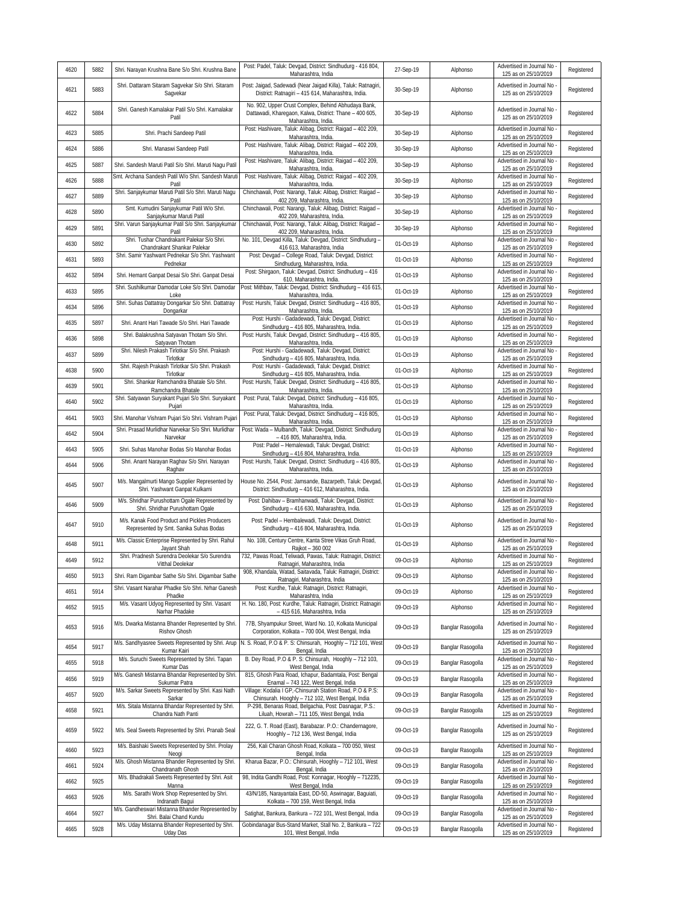| 4620 | 5882 | Shri. Narayan Krushna Bane S/o Shri. Krushna Bane                                            | Post: Padel, Taluk: Devgad, District: Sindhudurg - 416 804,                                                                                   | 27-Sep-19 | Alphonso          | Advertised in Journal No                           | Registered |
|------|------|----------------------------------------------------------------------------------------------|-----------------------------------------------------------------------------------------------------------------------------------------------|-----------|-------------------|----------------------------------------------------|------------|
| 4621 | 5883 | Shri. Dattaram Sitaram Sagvekar S/o Shri. Sitaram                                            | Maharashtra, India<br>Post: Jaigad, Sadewadi (Near Jaigad Killa), Taluk: Ratnagiri,                                                           | 30-Sep-19 | Alphonso          | 125 as on 25/10/2019<br>Advertised in Journal No - | Registered |
|      |      | Sagvekar<br>Shri. Ganesh Kamalakar Patil S/o Shri. Kamalakar                                 | District: Ratnagiri - 415 614, Maharashtra, India.<br>No. 902, Upper Crust Complex, Behind Abhudaya Bank,                                     |           |                   | 125 as on 25/10/2019<br>Advertised in Journal No   |            |
| 4622 | 5884 | Patil                                                                                        | Dattawadi, Kharegaon, Kalwa, District: Thane - 400 605,<br>Maharashtra, India.<br>Post: Hashivare, Taluk: Alibaq, District: Raigad - 402 209, | 30-Sep-19 | Alphonso          | 125 as on 25/10/2019<br>Advertised in Journal No - | Registered |
| 4623 | 5885 | Shri. Prachi Sandeep Patil                                                                   | Maharashtra, India.                                                                                                                           | 30-Sep-19 | Alphonso          | 125 as on 25/10/2019                               | Registered |
| 4624 | 5886 | Shri. Manaswi Sandeep Patil                                                                  | Post: Hashivare, Taluk: Alibag, District: Raigad - 402 209,<br>Maharashtra, India.                                                            | 30-Sep-19 | Alphonso          | Advertised in Journal No<br>125 as on 25/10/2019   | Registered |
| 4625 | 5887 | Shri. Sandesh Maruti Patil S/o Shri. Maruti Nagu Patil                                       | Post: Hashivare, Taluk: Alibag, District: Raigad - 402 209,<br>Maharashtra, India.                                                            | 30-Sep-19 | Alphonso          | Advertised in Journal No<br>125 as on 25/10/2019   | Registered |
| 4626 | 5888 | Smt. Archana Sandesh Patil W/o Shri. Sandesh Maruti<br>Patil                                 | Post: Hashivare, Taluk: Alibaq, District: Raigad - 402 209,<br>Maharashtra, India.                                                            | 30-Sep-19 | Alphonso          | Advertised in Journal No<br>125 as on 25/10/2019   | Registered |
| 4627 | 5889 | Shri. Sanjaykumar Maruti Patil S/o Shri. Maruti Nagu<br>Patil                                | Chinchawali, Post: Narangi, Taluk: Alibag, District: Raigad -<br>402 209, Maharashtra, India.                                                 | 30-Sep-19 | Alphonso          | Advertised in Journal No<br>125 as on 25/10/2019   | Registered |
| 4628 | 5890 | Smt. Kumudini Sanjaykumar Patil W/o Shri.<br>Sanjaykumar Maruti Patil                        | Chinchawali, Post: Narangi, Taluk: Alibag, District: Raigad -<br>402 209, Maharashtra, India.                                                 | 30-Sep-19 | Alphonso          | Advertised in Journal No<br>125 as on 25/10/2019   | Registered |
| 4629 | 5891 | Shri. Varun Sanjaykumar Patil S/o Shri. Sanjaykumar<br>Patil                                 | Chinchawali, Post: Narangi, Taluk: Alibag, District: Raigad -<br>402 209, Maharashtra, India.                                                 | 30-Sep-19 | Alphonso          | Advertised in Journal No<br>125 as on 25/10/2019   | Registered |
| 4630 | 5892 | Shri. Tushar Chandrakant Palekar S/o Shri.<br>Chandrakant Shankar Palekar                    | No. 101, Devgad Killa, Taluk: Devgad, District: Sindhudurg -<br>416 613, Maharashtra, India                                                   | 01-Oct-19 | Alphonso          | Advertised in Journal No<br>125 as on 25/10/2019   | Registered |
| 4631 | 5893 | Shri. Samir Yashwant Pednekar S/o Shri. Yashwant<br>Pednekar                                 | Post: Devgad - College Road, Taluk: Devgad, District:<br>Sindhudurg, Maharashtra, India.                                                      | 01-Oct-19 | Alphonso          | Advertised in Journal No<br>125 as on 25/10/2019   | Registered |
| 4632 | 5894 | Shri. Hemant Ganpat Desai S/o Shri. Ganpat Desai                                             | Post: Shirgaon, Taluk: Devgad, District: Sindhudurg - 416                                                                                     | 01-Oct-19 | Alphonso          | Advertised in Journal No                           | Registered |
| 4633 | 5895 | Shri. Sushilkumar Damodar Loke S/o Shri. Damodar                                             | 610, Maharashtra, India.<br>Post: Mithbav, Taluk: Devgad, District: Sindhudurg - 416 615,                                                     | 01-Oct-19 | Alphonso          | 125 as on 25/10/2019<br>Advertised in Journal No   | Registered |
| 4634 | 5896 | Loke<br>Shri. Suhas Dattatray Dongarkar S/o Shri. Dattatray                                  | Maharashtra, India.<br>Post: Hurshi, Taluk: Devgad, District: Sindhudurg - 416 805,                                                           | 01-Oct-19 | Alphonso          | 125 as on 25/10/2019<br>Advertised in Journal No   | Registered |
|      |      | Dongarkar                                                                                    | Maharashtra, India.<br>Post: Hurshi - Gadadewadi, Taluk: Devgad, District:                                                                    |           |                   | 125 as on 25/10/2019<br>Advertised in Journal No   |            |
| 4635 | 5897 | Shri. Anant Hari Tawade S/o Shri. Hari Tawade<br>Shri. Balakrushna Satyavan Thotam S/o Shri. | Sindhudurg - 416 805, Maharashtra, India.<br>Post: Hurshi, Taluk: Devgad, District: Sindhudurg - 416 805                                      | 01-Oct-19 | Alphonso          | 125 as on 25/10/2019<br>Advertised in Journal No   | Registered |
| 4636 | 5898 | Satyavan Thotam<br>Shri. Nilesh Prakash Tirlotkar S/o Shri. Prakash                          | Maharashtra, India.<br>Post: Hurshi - Gadadewadi, Taluk: Devgad, District:                                                                    | 01-Oct-19 | Alphonso          | 125 as on 25/10/2019<br>Advertised in Journal No   | Registered |
| 4637 | 5899 | Tirlotkar<br>Shri. Rajesh Prakash Tirlotkar S/o Shri. Prakash                                | Sindhudurg - 416 805, Maharashtra, India.<br>Post: Hurshi - Gadadewadi, Taluk: Devgad, District:                                              | 01-Oct-19 | Alphonso          | 125 as on 25/10/2019<br>Advertised in Journal No   | Registered |
| 4638 | 5900 | Tirlotkar                                                                                    | Sindhudurg - 416 805, Maharashtra, India.                                                                                                     | 01-Oct-19 | Alphonso          | 125 as on 25/10/2019                               | Registered |
| 4639 | 5901 | Shri. Shankar Ramchandra Bhatale S/o Shri.<br>Ramchandra Bhatale                             | Post: Hurshi, Taluk: Devgad, District: Sindhudurg - 416 805<br>Maharashtra, India.                                                            | 01-Oct-19 | Alphonso          | Advertised in Journal No<br>125 as on 25/10/2019   | Registered |
| 4640 | 5902 | Shri. Satyawan Suryakant Pujari S/o Shri. Suryakant<br>Pujari                                | Post: Pural, Taluk: Devgad, District: Sindhudurg - 416 805,<br>Maharashtra, India.                                                            | 01-Oct-19 | Alphonso          | Advertised in Journal No<br>125 as on 25/10/2019   | Registered |
| 4641 | 5903 | Shri. Manohar Vishram Pujari S/o Shri. Vishram Pujari                                        | Post: Pural, Taluk: Devgad, District: Sindhudurg - 416 805,<br>Maharashtra, India.                                                            | 01-Oct-19 | Alphonso          | Advertised in Journal No<br>125 as on 25/10/2019   | Registered |
| 4642 | 5904 | Shri. Prasad Murlidhar Narvekar S/o Shri. Murlidhar<br>Narvekar                              | Post: Wada - Mulbandh, Taluk: Devgad, District: Sindhudurg<br>- 416 805, Maharashtra, India.                                                  | 01-Oct-19 | Alphonso          | Advertised in Journal No<br>125 as on 25/10/2019   | Registered |
| 4643 | 5905 | Shri. Suhas Manohar Bodas S/o Manohar Bodas                                                  | Post: Padel - Hemalewadi, Taluk: Devgad, District:<br>Sindhudurg - 416 804, Maharashtra, India.                                               | 01-Oct-19 | Alphonso          | Advertised in Journal No<br>125 as on 25/10/2019   | Registered |
| 4644 | 5906 | Shri. Anant Narayan Raghav S/o Shri. Narayan<br>Raghav                                       | Post: Hurshi, Taluk: Devgad, District: Sindhudurg - 416 805,<br>Maharashtra, India.                                                           | 01-Oct-19 | Alphonso          | Advertised in Journal No<br>125 as on 25/10/2019   | Registered |
| 4645 | 5907 | M/s. Mangalmurti Mango Supplier Represented by<br>Shri. Yashwant Ganpat Kulkarni             | House No. 2544, Post: Jamsande, Bazarpeth, Taluk: Devgad,<br>District: Sindhudurg - 416 612, Maharashtra, India.                              | 01-Oct-19 | Alphonso          | Advertised in Journal No -<br>125 as on 25/10/2019 | Registered |
| 4646 | 5909 | M/s. Shridhar Purushottam Ogale Represented by<br>Shri. Shridhar Purushottam Ogale           | Post: Dahibav - Bramhanwadi, Taluk: Devgad, District:<br>Sindhudurg - 416 630, Maharashtra, India                                             | 01-Oct-19 | Alphonso          | Advertised in Journal No<br>125 as on 25/10/2019   | Registered |
| 4647 | 5910 | M/s. Kanak Food Product and Pickles Producers<br>Represented by Smt. Sanika Suhas Bodas      | Post: Padel - Hembalewadi, Taluk: Devgad, District:<br>Sindhudurg - 416 804, Maharashtra, India.                                              | 01-Oct-19 | Alphonso          | Advertised in Journal No<br>125 as on 25/10/2019   | Registered |
| 4648 | 5911 | M/s. Classic Enterprise Represented by Shri. Rahul<br>Jayant Shah                            | No. 108, Century Centre, Kanta Stree Vikas Gruh Road,<br>Rajkot - 360 002                                                                     | 01-Oct-19 | Alphonso          | Advertised in Journal No<br>125 as on 25/10/2019   | Registered |
| 4649 | 5912 | Shri. Pradnesh Surendra Deolekar S/o Surendra<br>Vitthal Deolekar                            | 732, Pawas Road, Teliwadi, Pawas, Taluk: Ratnagiri, District:<br>Ratnagiri, Maharashtra, India                                                | 09-Oct-19 | Alphonso          | Advertised in Journal No<br>125 as on 25/10/2019   | Registered |
| 4650 | 5913 | Shri. Ram Digambar Sathe S/o Shri. Digambar Sathe                                            | 908, Khandala, Watad, Saitavada, Taluk: Ratnagiri, District:<br>Ratnagiri, Maharashtra, India                                                 | 09-Oct-19 | Alphonso          | Advertised in Journal No -<br>125 as on 25/10/2019 | Registered |
| 4651 | 5914 | Shri. Vasant Narahar Phadke S/o Shri. Nrhar Ganesh                                           | Post: Kurdhe, Taluk: Ratnagiri, District: Ratnagiri,                                                                                          | 09-Oct-19 | Alphonso          | Advertised in Journal No                           | Registered |
| 4652 | 5915 | Phadke<br>M/s. Vasant Udyog Represented by Shri. Vasant                                      | Maharashtra, India<br>H. No. 180, Post: Kurdhe, Taluk: Ratnagiri, District: Ratnagiri                                                         | 09-Oct-19 | Alphonso          | 125 as on 25/10/2019<br>Advertised in Journal No   | Registered |
|      |      | Narhar Phadake<br>M/s. Dwarka Mistanna Bhander Represented by Shri.                          | - 415 616, Maharashtra, India<br>77B, Shyampukur Street, Ward No. 10, Kolkata Municipal                                                       |           |                   | 125 as on 25/10/2019<br>Advertised in Journal No   |            |
| 4653 | 5916 | Rishov Ghosh                                                                                 | Corporation, Kolkata - 700 004, West Bengal, India                                                                                            | 09-Oct-19 | Banglar Rasogolla | 125 as on 25/10/2019                               | Registered |
| 4654 | 5917 | M/s. Sandhyasree Sweets Represented by Shri. Arup<br>Kumar Kairi                             | N. S. Road, P.O & P. S: Chinsurah, Hooghly - 712 101, West<br>Bengal, India                                                                   | 09-Oct-19 | Banglar Rasogolla | Advertised in Journal No<br>125 as on 25/10/2019   | Registered |
| 4655 | 5918 | M/s. Suruchi Sweets Represented by Shri. Tapan<br>Kumar Das                                  | B. Dey Road, P.O & P. S: Chinsurah, Hooghly - 712 103,<br>West Bengal, India                                                                  | 09-Oct-19 | Banglar Rasogolla | Advertised in Journal No<br>125 as on 25/10/2019   | Registered |
| 4656 | 5919 | M/s. Ganesh Mistanna Bhandar Represented by Shri.<br>Sukumar Patra                           | 815, Ghosh Para Road, Ichapur, Badamtala, Post: Bengal<br>Enamal - 743 122, West Bengal, India                                                | 09-Oct-19 | Banglar Rasogolla | Advertised in Journal No<br>125 as on 25/10/2019   | Registered |
| 4657 | 5920 | M/s. Sarkar Sweets Represented by Shri. Kasi Nath<br>Sarkar                                  | Village: Kodalia I GP,-Chinsurah Station Road, P.O & P.S:<br>Chinsurah. Hooghly - 712 102, West Bengal, India                                 | 09-Oct-19 | Banglar Rasogolla | Advertised in Journal No<br>125 as on 25/10/2019   | Registered |
| 4658 | 5921 | M/s. Sitala Mistanna Bhandar Represented by Shri.<br>Chandra Nath Panti                      | P-298, Benaras Road, Belgachia, Post: Dasnagar, P.S.:<br>Liluah, Howrah - 711 105, West Bengal, India                                         | 09-Oct-19 | Banglar Rasogolla | Advertised in Journal No<br>125 as on 25/10/2019   | Registered |
| 4659 | 5922 | M/s. Seal Sweets Represented by Shri. Pranab Seal                                            | 222, G. T. Road (East), Barabazar. P.O.: Chandernagore,<br>Hooghly - 712 136, West Bengal, India                                              | 09-Oct-19 | Banglar Rasogolla | Advertised in Journal No<br>125 as on 25/10/2019   | Registered |
| 4660 | 5923 | M/s. Baishaki Sweets Represented by Shri. Prolay<br>Neogi                                    | 256, Kali Charan Ghosh Road, Kolkata - 700 050, West<br>Bengal, India                                                                         | 09-Oct-19 | Banglar Rasogolla | Advertised in Journal No<br>125 as on 25/10/2019   | Registered |
| 4661 | 5924 | M/s. Ghosh Mistanna Bhander Represented by Shri.<br>Chandranath Ghosh                        | Kharua Bazar, P.O.: Chinsurah, Hooghly - 712 101, West                                                                                        | 09-Oct-19 | Banglar Rasogolla | Advertised in Journal No<br>125 as on 25/10/2019   | Registered |
| 4662 | 5925 | M/s. Bhadrakali Sweets Represented by Shri. Asit                                             | Bengal, India<br>98, Indita Gandhi Road, Post: Konnagar, Hooghly - 712235,                                                                    | 09-Oct-19 | Banglar Rasogolla | Advertised in Journal No                           | Registered |
| 4663 | 5926 | Manna<br>M/s. Sarathi Work Shop Represented by Shri.                                         | West Bengal, India<br>43/N/185, Narayantala East, DD-50, Aswinagar, Baguiati,                                                                 | 09-Oct-19 | Banglar Rasogolla | 125 as on 25/10/2019<br>Advertised in Journal No   | Registered |
| 4664 | 5927 | Indranath Bagui<br>M/s. Gandheswari Mistanna Bhander Represented by                          | Kolkata - 700 159, West Bengal, India<br>Satighat, Bankura, Bankura - 722 101, West Bengal, India                                             | 09-Oct-19 | Banglar Rasogolla | 125 as on 25/10/2019<br>Advertised in Journal No   | Registered |
|      |      | Shri. Balai Chand Kundu<br>M/s. Uday Mistanna Bhander Represented by Shri.                   | Gobindanagar Bus-Stand Market, Stall No. 2, Bankura - 722                                                                                     |           |                   | 125 as on 25/10/2019<br>Advertised in Journal No   |            |
| 4665 | 5928 | <b>Uday Das</b>                                                                              | 101, West Bengal, India                                                                                                                       | 09-Oct-19 | Banglar Rasogolla | 125 as on 25/10/2019                               | Registered |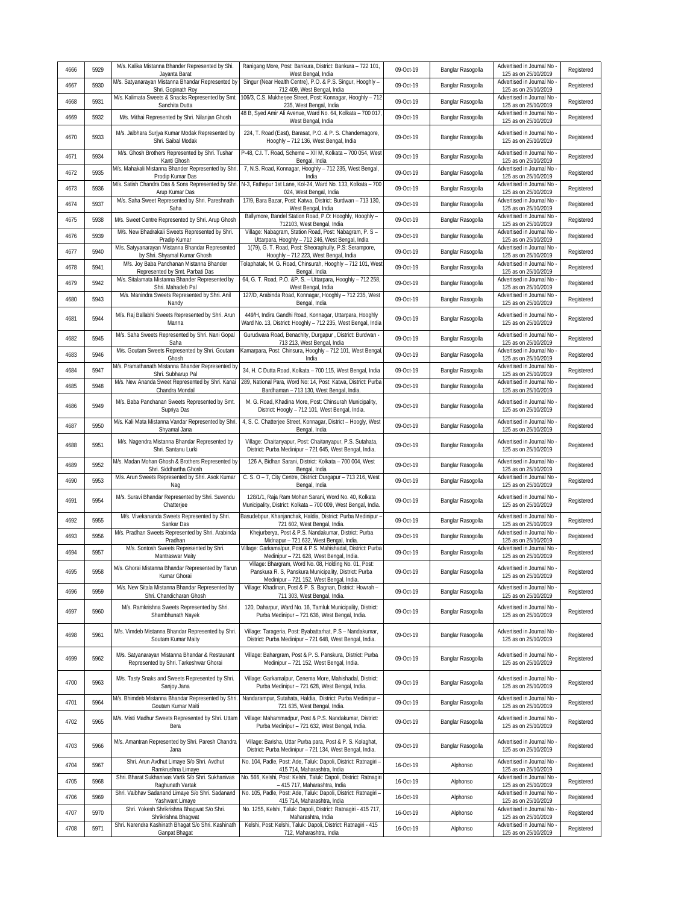| 4666 | 5929 | M/s. Kalika Mistanna Bhander Represented by Shi.<br>Jayanta Barat                         | Ranigang More, Post: Bankura, District: Bankura - 722 101,<br>West Bengal, India                                                                           | 09-Oct-19 | Banglar Rasogolla | Advertised in Journal No<br>125 as on 25/10/2019   | Registered |
|------|------|-------------------------------------------------------------------------------------------|------------------------------------------------------------------------------------------------------------------------------------------------------------|-----------|-------------------|----------------------------------------------------|------------|
| 4667 | 5930 | M/s. Satyanarayan Mistanna Bhandar Represented by<br>Shri. Gopinath Roy                   | Singur (Near Health Centre), P.O. & P.S. Singur, Hooghly -<br>712 409, West Bengal, India                                                                  | 09-Oct-19 | Banglar Rasogolla | Advertised in Journal No<br>125 as on 25/10/2019   | Registered |
| 4668 | 5931 | M/s. Kalimata Sweets & Snacks Represented by Smt<br>Sanchita Dutta                        | 106/3, C.S. Mukherjee Street, Post: Konnagar, Hooghly - 712<br>235, West Bengal, India                                                                     | 09-Oct-19 | Banglar Rasogolla | Advertised in Journal No<br>125 as on 25/10/2019   | Registered |
| 4669 | 5932 | M/s. Mithai Represented by Shri. Nilanjan Ghosh                                           | 48 B, Syed Amir Ali Avenue, Ward No. 64, Kolkata - 700 017<br>West Bengal, India                                                                           | 09-Oct-19 | Banglar Rasogolla | Advertised in Journal No<br>125 as on 25/10/2019   | Registered |
| 4670 | 5933 | M/s. Jalbhara Surjya Kumar Modak Represented by<br>Shri. Saibal Modak                     | 224, T. Road (East), Barasat, P.O. & P. S. Chandernagore,<br>Hooghly - 712 136, West Bengal, India                                                         | 09-Oct-19 | Banglar Rasogolla | Advertised in Journal No<br>125 as on 25/10/2019   | Registered |
| 4671 | 5934 | M/s. Ghosh Brothers Represented by Shri. Tushar<br>Kanti Ghosh                            | P-48, C.I. T. Road, Scheme - XII M, Kolkata - 700 054, West<br>Bengal, India                                                                               | 09-Oct-19 | Banglar Rasogolla | Advertised in Journal No<br>125 as on 25/10/2019   | Registered |
| 4672 | 5935 | M/s. Mahakali Mistanna Bhander Represented by Shri<br>Prodip Kumar Das                    | 7, N.S. Road, Konnagar, Hooghly - 712 235, West Bengal,<br>India                                                                                           | 09-Oct-19 | Banglar Rasogolla | Advertised in Journal No<br>125 as on 25/10/2019   | Registered |
| 4673 | 5936 | M/s. Satish Chandra Das & Sons Represented by Shri<br>Arup Kumar Das                      | N-3, Fathepur 1st Lane, Kol-24, Ward No. 133, Kolkata - 700<br>024, West Bengal, India                                                                     | 09-Oct-19 | Banglar Rasogolla | Advertised in Journal No<br>125 as on 25/10/2019   | Registered |
| 4674 | 5937 | M/s. Saha Sweet Represented by Shri. Pareshnath<br>Saha                                   | 17/9, Bara Bazar, Post: Katwa, District: Burdwan - 713 130,<br>West Bengal, India                                                                          | 09-Oct-19 | Banglar Rasogolla | Advertised in Journal No<br>125 as on 25/10/2019   | Registered |
| 4675 | 5938 | M/s. Sweet Centre Represented by Shri. Arup Ghosh                                         | Ballymore, Bandel Station Road, P.O: Hooghly, Hooghly -<br>712103, West Bengal, India                                                                      | 09-Oct-19 | Banglar Rasogolla | Advertised in Journal No<br>125 as on 25/10/2019   | Registered |
| 4676 | 5939 | M/s. New Bhadrakali Sweets Represented by Shri.<br>Pradip Kumar                           | Village: Nabagram, Station Road, Post: Nabagram, P. S -<br>Uttarpara, Hooghly - 712 246, West Bengal, India                                                | 09-Oct-19 | Banglar Rasogolla | Advertised in Journal No<br>125 as on 25/10/2019   | Registered |
| 4677 | 5940 | M/s. Satyyanarayan Mistanna Bhandar Represented<br>by Shri. Shyamal Kumar Ghosh           | 1(79), G. T. Road, Post: Sheoraphully, P.S: Serampore,<br>Hooghly - 712 223, West Bengal, India                                                            | 09-Oct-19 | Banglar Rasogolla | Advertised in Journal No<br>125 as on 25/10/2019   | Registered |
| 4678 | 5941 | M/s. Joy Baba Panchanan Mistanna Bhander<br>Represented by Smt. Parbati Das               | Tolaphatak, M. G. Road, Chinsurah, Hooghly - 712 101, West<br>Bengal, India                                                                                | 09-Oct-19 | Banglar Rasogolla | Advertised in Journal No<br>125 as on 25/10/2019   | Registered |
| 4679 | 5942 | M/s. Sitalamata Mistanna Bhander Represented by<br>Shri. Mahadeb Pal                      | 64, G. T. Road, P.O. &P. S. - Uttarpara, Hooghly - 712 258,<br>West Bengal, India                                                                          | 09-Oct-19 | Banglar Rasogolla | Advertised in Journal No<br>125 as on 25/10/2019   | Registered |
| 4680 | 5943 | M/s. Manindra Sweets Represented by Shri. Anil<br>Nandy                                   | 127/D, Arabinda Road, Konnagar, Hooghly - 712 235, West<br>Bengal, India                                                                                   | 09-Oct-19 | Banglar Rasogolla | Advertised in Journal No<br>125 as on 25/10/2019   | Registered |
| 4681 | 5944 | M/s. Raj Ballabhi Sweets Represented by Shri. Arun<br>Manna                               | 449/H, Indira Gandhi Road, Konnagar, Uttarpara, Hooghly<br>Ward No. 13, District: Hooghly - 712 235, West Bengal, India                                    | 09-Oct-19 | Banglar Rasogolla | Advertised in Journal No<br>125 as on 25/10/2019   | Registered |
| 4682 | 5945 | M/s. Saha Sweets Represented by Shri. Nani Gopal<br>Saha                                  | Gurudwara Road, Benachity, Durgapur, District: Burdwan -<br>713 213, West Bengal, India                                                                    | 09-Oct-19 | Banglar Rasogolla | Advertised in Journal No<br>125 as on 25/10/2019   | Registered |
| 4683 | 5946 | M/s. Goutam Sweets Represented by Shri. Goutam<br>Ghosh                                   | Camarpara, Post: Chinsura, Hooghly - 712 101, West Bengal<br>India                                                                                         | 09-Oct-19 | Banglar Rasogolla | Advertised in Journal No<br>125 as on 25/10/2019   | Registered |
| 4684 | 5947 | M/s. Pramathanath Mistanna Bhander Represented by<br>Shri. Subharup Pal                   | 34, H. C Dutta Road, Kolkata - 700 115, West Bengal, India                                                                                                 | 09-Oct-19 | Banglar Rasogolla | Advertised in Journal No<br>125 as on 25/10/2019   | Registered |
| 4685 | 5948 | M/s. New Ananda Sweet Represented by Shri. Kanai<br>Chandra Mondal                        | 289, National Para, Word No: 14, Post: Katwa, District: Purba<br>Bardhaman - 713 130, West Bengal, India.                                                  | 09-Oct-19 | Banglar Rasogolla | Advertised in Journal No<br>125 as on 25/10/2019   | Registered |
| 4686 | 5949 | M/s. Baba Panchanan Sweets Represented by Smt.<br>Supriya Das                             | M. G. Road, Khadina More, Post: Chinsurah Municipality,<br>District: Hoogly - 712 101, West Bengal, India.                                                 | 09-Oct-19 | Banglar Rasogolla | Advertised in Journal No<br>125 as on 25/10/2019   | Registered |
| 4687 | 5950 | M/s. Kali Mata Mistanna Vandar Represented by Shri<br>Shyamal Jana                        | 4, S. C. Chatterjee Street, Konnagar, District - Hoogly, West<br>Bengal, India                                                                             | 09-Oct-19 | Banglar Rasogolla | Advertised in Journal No<br>125 as on 25/10/2019   | Registered |
| 4688 | 5951 | M/s. Nagendra Mistanna Bhandar Represented by<br>Shri. Santanu Lurki                      | Village: Chaitanyapur, Post: Chaitanyapur, P.S. Sutahata,<br>District: Purba Medinipur - 721 645, West Bengal, India.                                      | 09-Oct-19 | Banglar Rasogolla | Advertised in Journal No<br>125 as on 25/10/2019   | Registered |
| 4689 | 5952 | M/s. Madan Mohan Ghosh & Brothers Represented by<br>Shri. Siddhartha Ghosh                | 126 A, Bidhan Sarani, District: Kolkata - 700 004, West<br>Bengal, India                                                                                   | 09-Oct-19 | Banglar Rasogolla | Advertised in Journal No<br>125 as on 25/10/2019   | Registered |
| 4690 | 5953 | M/s. Arun Sweets Represented by Shri. Asok Kumar<br>Nag                                   | C. S. O - 7, City Centre, District: Durgapur - 713 216, West<br>Bengal, India                                                                              | 09-Oct-19 | Banglar Rasogolla | Advertised in Journal No<br>125 as on 25/10/2019   | Registered |
| 4691 | 5954 | M/s. Suravi Bhandar Represented by Shri. Suvendu<br>Chatterjee                            | 128/1/1, Raja Ram Mohan Sarani, Word No. 40, Kolkata<br>Municipality, District: Kolkata - 700 009, West Bengal, India.                                     | 09-Oct-19 | Banglar Rasogolla | Advertised in Journal No<br>125 as on 25/10/2019   | Registered |
| 4692 | 5955 | M/s. Vivekananda Sweets Represented by Shri.<br>Sankar Das                                | Basudebpur, Khanjanchak, Haldia, District: Purba Medinipur -<br>721 602, West Bengal, India.                                                               | 09-Oct-19 | Banglar Rasogolla | Advertised in Journal No<br>125 as on 25/10/2019   | Registered |
| 4693 | 5956 | M/s. Pradhan Sweets Represented by Shri. Arabinda<br>Pradhan                              | Khejurberya, Post & P.S. Nandakumar, District: Purba<br>Midnapur - 721 632, West Bengal, India.                                                            | 09-Oct-19 | Banglar Rasogolla | Advertised in Journal No<br>125 as on 25/10/2019   | Registered |
| 4694 | 5957 | M/s. Sontosh Sweets Represented by Shri.<br>Mantraswar Maity                              | Village: Garkamalpur, Post & P.S. Mahishadal, District: Purba<br>Medinipur - 721 628, West Bengal, India.                                                  | 09-Oct-19 | Banglar Rasogolla | Advertised in Journal No<br>125 as on 25/10/2019   | Registered |
| 4695 | 5958 | M/s. Ghorai Mistanna Bhandar Represented by Tarun<br>Kumar Ghorai                         | Village: Bhargram, Word No. 08, Holding No. 01, Post:<br>Panskura R. S, Panskura Municipality, District: Purba<br>Medinipur - 721 152, West Bengal, India. | 09-Oct-19 | Banglar Rasogolla | Advertised in Journal No -<br>125 as on 25/10/2019 | Registered |
| 4696 | 5959 | M/s. New Sitala Mistanna Bhandar Represented by<br>Shri. Chandicharan Ghosh               | Village: Khadinan, Post & P. S. Bagnan, District: Howrah -<br>711 303, West Bengal, India.                                                                 | 09-Oct-19 | Banglar Rasogolla | Advertised in Journal No<br>125 as on 25/10/2019   | Registered |
| 4697 | 5960 | M/s. Ramkrishna Sweets Represented by Shri.<br>Shambhunath Nayek                          | 120, Daharpur, Ward No. 16, Tamluk Municipality, District:<br>Purba Medinipur - 721 636, West Bengal, India.                                               | 09-Oct-19 | Banglar Rasogolla | Advertised in Journal No<br>125 as on 25/10/2019   | Registered |
| 4698 | 5961 | M/s. Vimdeb Mistanna Bhandar Represented by Shri.<br>Soutam Kumar Maity                   | Village: Tarageria, Post: Byabattarhat, P.S - Nandakumar,<br>District: Purba Medinipur - 721 648, West Bengal, India.                                      | 09-Oct-19 | Banglar Rasogolla | Advertised in Journal No<br>125 as on 25/10/2019   | Registered |
| 4699 | 5962 | M/s. Satyanarayan Mistanna Bhandar & Restaurant<br>Represented by Shri. Tarkeshwar Ghorai | Village: Bahargram, Post & P. S. Panskura, District: Purba<br>Medinipur - 721 152, West Bengal, India.                                                     | 09-Oct-19 | Banglar Rasogolla | Advertised in Journal No<br>125 as on 25/10/2019   | Registered |
| 4700 | 5963 | M/s. Tasty Snaks and Sweets Represented by Shri.<br>Sanjoy Jana                           | Village: Garkamalpur, Cenema More, Mahishadal, District:<br>Purba Medinipur - 721 628, West Bengal, India.                                                 | 09-Oct-19 | Banglar Rasogolla | Advertised in Journal No<br>125 as on 25/10/2019   | Registered |
| 4701 | 5964 | M/s. Bhimdeb Mistanna Bhandar Represented by Shri.<br>Goutam Kumar Maiti                  | Nandarampur, Sutahata, Haldia, District: Purba Medinipur -<br>721 635, West Bengal, India.                                                                 | 09-Oct-19 | Banglar Rasogolla | Advertised in Journal No<br>125 as on 25/10/2019   | Registered |
| 4702 | 5965 | M/s. Misti Madhur Sweets Represented by Shri. Uttam<br>Bera                               | Village: Mahammadpur, Post & P.S. Nandakumar, District:<br>Purba Medinipur - 721 632, West Bengal, India.                                                  | 09-Oct-19 | Banglar Rasogolla | Advertised in Journal No<br>125 as on 25/10/2019   | Registered |
| 4703 | 5966 | M/s. Amantran Represented by Shri. Paresh Chandra<br>Jana                                 | Village: Barisha, Uttar Purba para, Post & P. S. Kolaghat,<br>District: Purba Medinipur - 721 134, West Bengal, India.                                     | 09-Oct-19 | Banglar Rasogolla | Advertised in Journal No<br>125 as on 25/10/2019   | Registered |
| 4704 | 5967 | Shri. Arun Avdhut Limaye S/o Shri. Avdhut<br>Ramkrushna Limaye                            | No. 104, Padle, Post: Ade, Taluk: Dapoli, District: Ratnagiri -<br>415 714, Maharashtra, India                                                             | 16-Oct-19 | Alphonso          | Advertised in Journal No<br>125 as on 25/10/2019   | Registered |
| 4705 | 5968 | Shri. Bharat Sukhanivas Vartk S/o Shri. Sukhanivas<br>Raghunath Vartak                    | No. 566, Kelshi, Post: Kelshi, Taluk: Dapoli, District: Ratnagiri<br>- 415 717, Maharashtra, India                                                         | 16-Oct-19 | Alphonso          | Advertised in Journal No<br>125 as on 25/10/2019   | Registered |
| 4706 | 5969 | Shri. Vaibhav Sadanand Limaye S/o Shri. Sadanand<br>Yashwant Limaye                       | No. 105, Padle, Post: Ade, Taluk: Dapoli, District: Ratnagiri -<br>415 714, Maharashtra, India                                                             | 16-Oct-19 | Alphonso          | Advertised in Journal No<br>125 as on 25/10/2019   | Registered |
| 4707 | 5970 | Shri. Yokesh Shrikrishna Bhagwat S/o Shri.<br>Shrikrishna Bhagwat                         | No. 1255, Kelshi, Taluk: Dapoli, District: Ratnagiri - 415 717,<br>Maharashtra, India                                                                      | 16-Oct-19 | Alphonso          | Advertised in Journal No<br>125 as on 25/10/2019   | Registered |
| 4708 | 5971 | Shri. Narendra Kashinath Bhagat S/o Shri. Kashinath<br>Ganpat Bhagat                      | Kelshi, Post: Kelshi, Taluk: Dapoli, District: Ratnagiri - 415<br>712, Maharashtra, India                                                                  | 16-Oct-19 | Alphonso          | Advertised in Journal No<br>125 as on 25/10/2019   | Registered |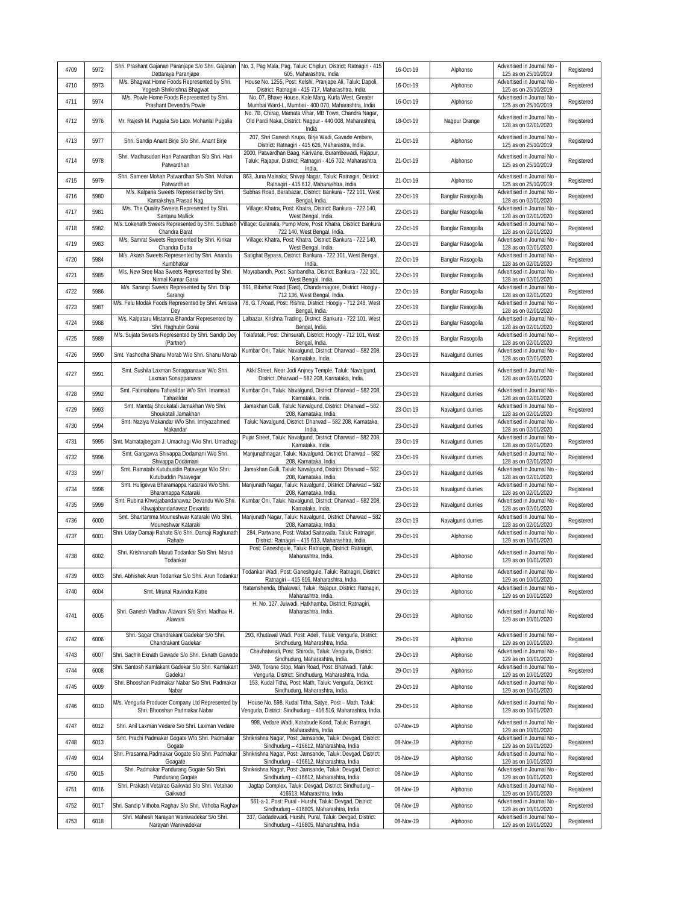| 4709 | 5972 | Shri. Prashant Gajanan Paranjape S/o Shri. Gajanan<br>Dattaraya Paranjape          | No. 3, Pag Mala, Pag, Taluk: Chiplun, District: Ratnagiri - 415<br>605, Maharashtra, India                                      | 16-Oct-19 | Alphonso          | Advertised in Journal No<br>125 as on 25/10/2019   | Registered |
|------|------|------------------------------------------------------------------------------------|---------------------------------------------------------------------------------------------------------------------------------|-----------|-------------------|----------------------------------------------------|------------|
| 4710 | 5973 | M/s. Bhagwat Home Foods Represented by Shri.<br>Yogesh Shrikrishna Bhagwat         | House No. 1255, Post: Kelshi, Pranjape Ali, Taluk: Dapoli,<br>District: Ratnagiri - 415 717, Maharashtra, India                 | 16-Oct-19 | Alphonso          | Advertised in Journal No<br>125 as on 25/10/2019   | Registered |
| 4711 | 5974 | M/s. Powle Home Foods Represented by Shri.<br>Prashant Devendra Powle              | No. 07, Bhave House, Kale Marg, Kurla West, Greater<br>Mumbai Ward-L, Mumbai - 400 070, Maharashtra, India                      | 16-Oct-19 | Alphonso          | Advertised in Journal No<br>125 as on 25/10/2019   | Registered |
| 4712 | 5976 | Mr. Rajesh M. Pugalia S/o Late. Mohanlal Pugalia                                   | No. 7B, Chirag, Mamata Vihar, MB Town, Chandra Nagar,<br>Old Pardi Naka, District: Nagpur - 440 008, Maharashtra,<br>India      | 18-Oct-19 | Nagpur Orange     | Advertised in Journal No<br>128 as on 02/01/2020   | Registered |
| 4713 | 5977 | Shri. Sandip Anant Birje S/o Shri. Anant Birje                                     | 207, Shri Ganesh Krupa, Birje Wadi, Gavade Ambere,<br>District: Ratnagiri - 415 626, Maharastra, India.                         | 21-Oct-19 | Alphonso          | Advertised in Journal No<br>125 as on 25/10/2019   | Registered |
| 4714 | 5978 | Shri. Madhusudan Hari Patwardhan S/o Shri. Hari<br>Patwardhan                      | 2000, Patwardhan Baag, Karivane, Burambewadi, Rajapur,<br>Taluk: Rajapur, District: Ratnagiri - 416 702, Maharashtra,<br>India. | 21-Oct-19 | Alphonso          | Advertised in Journal No<br>125 as on 25/10/2019   | Registered |
| 4715 | 5979 | Shri. Sameer Mohan Patwardhan S/o Shri. Mohan<br>Patwardhan                        | 863, Juna Malnaka, Shivaji Nagar, Taluk: Ratnagiri, District:<br>Ratnagiri - 415 612, Maharashtra, India                        | 21-Oct-19 | Alphonso          | Advertised in Journal No<br>125 as on 25/10/2019   | Registered |
| 4716 | 5980 | M/s. Kalpana Sweets Represented by Shri.<br>Kamakshya Prasad Nag                   | Subhas Road, Barabazar, District: Bankura - 722 101, West<br>Bengal, India.                                                     | 22-Oct-19 | Banglar Rasogolla | Advertised in Journal No<br>128 as on 02/01/2020   | Registered |
| 4717 | 5981 | M/s. The Quality Sweets Represented by Shri.<br>Santanu Mallick                    | Village: Khatra, Post: Khatra, District: Bankura - 722 140,<br>West Bengal, India.                                              | 22-Oct-19 | Banglar Rasogolla | Advertised in Journal No<br>128 as on 02/01/2020   | Registered |
| 4718 | 5982 | M/s. Lokenath Sweets Represented by Shri. Subhash<br>Chandra Barat                 | Village: Guianala, Pump More, Post: Khatra, District: Bankura<br>722 140, West Bengal, India.                                   | 22-Oct-19 | Banglar Rasogolla | Advertised in Journal No<br>128 as on 02/01/2020   | Registered |
| 4719 | 5983 | M/s. Samrat Sweets Represented by Shri. Kinkar<br>Chandra Dutta                    | Village: Khatra, Post: Khatra, District: Bankura - 722 140,<br>West Bengal, India.                                              | 22-Oct-19 | Banglar Rasogolla | Advertised in Journal No<br>128 as on 02/01/2020   | Registered |
| 4720 | 5984 | M/s. Akash Sweets Represented by Shri. Ananda<br>Kumbhakar                         | Satighat Bypass, District: Bankura - 722 101, West Bengal,<br>India.                                                            | 22-Oct-19 | Banglar Rasogolla | Advertised in Journal No<br>128 as on 02/01/2020   | Registered |
| 4721 | 5985 | M/s. New Sree Maa Sweets Represented by Shri.<br>Nirmal Kumar Garai                | Moyrabandh, Post: Sanbandha, District: Bankura - 722 101<br>West Bengal, India.                                                 | 22-Oct-19 | Banglar Rasogolla | Advertised in Journal No<br>128 as on 02/01/2020   | Registered |
| 4722 | 5986 | M/s. Sarangi Sweets Represented by Shri. Dilip<br>Sarangi                          | 591, Bibirhat Road (East), Chandernagore, District: Hoogly<br>712 136, West Bengal, India.                                      | 22-Oct-19 | Banglar Rasogolla | Advertised in Journal No<br>128 as on 02/01/2020   | Registered |
| 4723 | 5987 | M/s. Felu Modak Foods Represented by Shri. Amitava<br>Dey                          | 78, G.T.Road, Post: Rishra, District: Hoogly - 712 248, West<br>Bengal, India.                                                  | 22-Oct-19 | Banglar Rasogolla | Advertised in Journal No<br>128 as on 02/01/2020   | Registered |
| 4724 | 5988 | M/s. Kalpataru Mistanna Bhandar Represented by<br>Shri. Raghubir Gorai             | Lalbazar, Krishna Trading, District: Bankura - 722 101, West<br>Bengal, India.                                                  | 22-Oct-19 | Banglar Rasogolla | Advertised in Journal No<br>128 as on 02/01/2020   | Registered |
| 4725 | 5989 | M/s. Sujata Sweets Represented by Shri. Sandip Dey<br>(Partner)                    | Toiafatak, Post: Chinsurah, District: Hoogly - 712 101, West<br>Bengal, India                                                   | 22-Oct-19 | Banglar Rasogolla | Advertised in Journal No<br>128 as on 02/01/2020   | Registered |
| 4726 | 5990 | Smt. Yashodha Shanu Morab W/o Shri. Shanu Morab                                    | Kumbar Oni, Taluk: Navalgund, District: Dharwad - 582 208,<br>Karnataka, India                                                  | 23-Oct-19 | Navalgund durries | Advertised in Journal No<br>128 as on 02/01/2020   | Registered |
| 4727 | 5991 | Smt. Sushila Laxman Sonappanavar W/o Shri.<br>Laxman Sonappanavar                  | Akki Street, Near Jodi Anjney Temple, Taluk: Navalgund,<br>District: Dharwad - 582 208, Karnataka, India.                       | 23-Oct-19 | Navalgund durries | Advertised in Journal No -<br>128 as on 02/01/2020 | Registered |
| 4728 | 5992 | Smt. Fatimabanu Tahasildar W/o Shri. Imamsab<br>Tahasildar                         | Kumbar Oni, Taluk: Navalgund, District: Dharwad - 582 208,<br>Karnataka, India.                                                 | 23-Oct-19 | Navalgund durries | Advertised in Journal No<br>128 as on 02/01/2020   | Registered |
| 4729 | 5993 | Smt. Mamtaj Shoukatali Jamakhan W/o Shri.<br>Shoukatali Jamakhan                   | Jamakhan Galli, Taluk: Navalgund, District: Dharwad - 582<br>208, Karnataka, India.                                             | 23-Oct-19 | Navalgund durries | Advertised in Journal No<br>128 as on 02/01/2020   | Registered |
| 4730 | 5994 | Smt. Naziya Makandar W/o Shri. Imtiyazahmed<br>Makandar                            | Taluk: Navalgund, District: Dharwad - 582 208, Karnataka,<br>India.                                                             | 23-Oct-19 | Navalgund durries | Advertised in Journal No<br>128 as on 02/01/2020   | Registered |
| 4731 | 5995 | Smt. Mamatajbegam J. Umachagi W/o Shri. Umachagi                                   | Pujar Street, Taluk: Navalgund, District: Dharwad - 582 208,<br>Karnataka, India.                                               | 23-Oct-19 | Navalgund durries | Advertised in Journal No<br>128 as on 02/01/2020   | Registered |
| 4732 | 5996 | Smt. Gangavva Shivappa Dodamani W/o Shri.<br>Shivappa Dodamani                     | Manjunathnagar, Taluk: Navalgund, District: Dharwad - 582<br>208, Karnataka, India.                                             | 23-Oct-19 | Navalgund durries | Advertised in Journal No<br>128 as on 02/01/2020   | Registered |
| 4733 | 5997 | Smt. Ramatabi Kutubuddin Patavegar W/o Shri.<br>Kutubuddin Patavegar               | Jamakhan Galli, Taluk: Navalgund, District: Dharwad - 582<br>208, Karnataka, India.                                             | 23-Oct-19 | Navalgund durries | Advertised in Journal No<br>128 as on 02/01/2020   | Registered |
| 4734 | 5998 | Smt. Huligevva Bharamappa Kataraki W/o Shri.<br>Bharamappa Kataraki                | Manjunath Nagar, Taluk: Navalgund, District: Dharwad - 582<br>208, Karnataka, India.                                            | 23-Oct-19 | Navalgund durries | Advertised in Journal No<br>128 as on 02/01/2020   | Registered |
| 4735 | 5999 | Smt. Rubina Khwajabandanawaz Devaridu W/o Shri.<br>Khwajabandanawaz Devaridu       | Kumbar Oni, Taluk: Navalqund, District: Dharwad - 582 208,<br>Karnataka, India.                                                 | 23-Oct-19 | Navalgund durries | Advertised in Journal No<br>128 as on 02/01/2020   | Registered |
| 4736 | 6000 | Smt. Shantamma Mouneshwar Kataraki W/o Shri.<br>Mouneshwar Kataraki                | Manjunath Nagar, Taluk: Navalgund, District: Dharwad - 582<br>208, Karnataka, India.                                            | 23-Oct-19 | Navalgund durries | Advertised in Journal No<br>128 as on 02/01/2020   | Registered |
| 4737 | 6001 | Shri. Uday Damaji Rahate S/o Shri. Damaji Raghunath<br>Rahate                      | 284, Partwane, Post: Watad Saitavada, Taluk: Ratnagiri,<br>District: Ratnagiri - 415 613, Maharashtra, India.                   | 29-Oct-19 | Alphonso          | Advertised in Journal No<br>129 as on 10/01/2020   | Registered |
| 4738 | 6002 | Shri. Krishnanath Maruti Todankar S/o Shri. Maruti<br>Todankar                     | Post: Ganeshgule, Taluk: Ratnagiri, District: Ratnagiri,<br>Maharashtra, India.                                                 | 29-Oct-19 | Alphonso          | Advertised in Journal No<br>129 as on 10/01/2020   | Registered |
| 4739 | 6003 | Shri. Abhishek Arun Todankar S/o Shri. Arun Todankar                               | Todankar Wadi, Post: Ganeshgule, Taluk: Ratnagiri, District:<br>Ratnagiri - 415 616, Maharashtra, India.                        | 29-Oct-19 | Alphonso          | Advertised in Journal No<br>129 as on 10/01/2020   | Registered |
| 4740 | 6004 | Smt. Mrunal Ravindra Katre                                                         | Ratamshenda, Bhalawali, Taluk: Rajapur, District: Ratnagiri,<br>Maharashtra, India.                                             | 29-Oct-19 | Alphonso          | Advertised in Journal No<br>129 as on 10/01/2020   | Registered |
| 4741 | 6005 | Shri. Ganesh Madhav Alawani S/o Shri. Madhav H.<br>Alawani                         | H. No. 127, Juiwadi, Hatkhamba, District: Ratnagiri,<br>Maharashtra, India.                                                     | 29-Oct-19 | Alphonso          | Advertised in Journal No<br>129 as on 10/01/2020   | Registered |
| 4742 | 6006 | Shri. Sagar Chandrakant Gadekar S/o Shri.<br>Chandrakant Gadekar                   | 293, Khutawal Wadi, Post: Adeli, Taluk: Vengurla, District:<br>Sindhudurg, Maharashtra, India.                                  | 29-Oct-19 | Alphonso          | Advertised in Journal No<br>129 as on 10/01/2020   | Registered |
| 4743 | 6007 | Shri. Sachin Eknath Gawade S/o Shri. Eknath Gawade                                 | Chavhatwadi, Post: Shiroda, Taluk: Vengurla, District:<br>Sindhudurg, Maharashtra, India.                                       | 29-Oct-19 | Alphonso          | Advertised in Journal No<br>129 as on 10/01/2020   | Registered |
| 4744 | 6008 | Shri. Santosh Kamlakant Gadekar S/o Shri. Kamlakant<br>Gadekar                     | 3/49, Torane Stop, Main Road, Post: Bhatwadi, Taluk:<br>Vengurla, District: Sindhudurg, Maharashtra, India.                     | 29-Oct-19 | Alphonso          | Advertised in Journal No<br>129 as on 10/01/2020   | Registered |
| 4745 | 6009 | Shri. Bhooshan Padmakar Nabar S/o Shri. Padmakar<br>Nabar                          | 153, Kudal Titha, Post: Math, Taluk: Vengurla, District:<br>Sindhudurg, Maharashtra, India.                                     | 29-Oct-19 | Alphonso          | Advertised in Journal No<br>129 as on 10/01/2020   | Registered |
| 4746 | 6010 | M/s. Vengurla Producer Company Ltd Represented by<br>Shri. Bhooshan Padmakar Nabar | House No. 598, Kudal Titha, Satye, Post - Math, Taluk:<br>Vengurla, District: Sindhudurg - 416 516, Maharashtra, India.         | 29-Oct-19 | Alphonso          | Advertised in Journal No<br>129 as on 10/01/2020   | Registered |
| 4747 | 6012 | Shri. Anil Laxman Vedare S/o Shri. Laxman Vedare                                   | 998, Vedare Wadi, Karabude Kond, Taluk: Ratnagiri,<br>Maharashtra, India                                                        | 07-Nov-19 | Alphonso          | Advertised in Journal No<br>129 as on 10/01/2020   | Registered |
| 4748 | 6013 | Smt. Prachi Padmakar Gogate W/o Shri. Padmakar<br>Gogate                           | Shrikrishna Nagar, Post: Jamsande, Taluk: Devgad, District:<br>Sindhudurg - 416612, Maharashtra, India                          | 08-Nov-19 | Alphonso          | Advertised in Journal No<br>129 as on 10/01/2020   | Registered |
| 4749 | 6014 | Shri. Prasanna Padmakar Gogate S/o Shri. Padmakar<br>Goagate                       | Shrikrishna Nagar, Post: Jamsande, Taluk: Devgad, District:<br>Sindhudurg - 416612, Maharashtra, India                          | 08-Nov-19 | Alphonso          | Advertised in Journal No<br>129 as on 10/01/2020   | Registered |
| 4750 | 6015 | Shri. Padmakar Pandurang Gogate S/o Shri.<br>Pandurang Gogate                      | Shrikrishna Nagar, Post: Jamsande, Taluk: Devgad, District:<br>Sindhudurg - 416612, Maharashtra, India                          | 08-Nov-19 | Alphonso          | Advertised in Journal No<br>129 as on 10/01/2020   | Registered |
| 4751 | 6016 | Shri. Prakash Vetalrao Gaikwad S/o Shri. Vetalrao<br>Gaikwad                       | Jagtap Complex, Taluk: Devgad, District: Sindhudurg -<br>416613, Maharashtra, India                                             | 08-Nov-19 | Alphonso          | Advertised in Journal No<br>129 as on 10/01/2020   | Registered |
| 4752 | 6017 | Shri. Sandip Vithoba Raghav S/o Shri. Vithoba Raghav                               | 561-a-1, Post: Pural - Hurshi, Taluk: Devgad, District:<br>Sindhudurg - 416805, Maharashtra, India                              | 08-Nov-19 | Alphonso          | Advertised in Journal No<br>129 as on 10/01/2020   | Registered |
| 4753 | 6018 | Shri. Mahesh Narayan Waniwadekar S/o Shri.<br>Narayan Waniwadekar                  | 337, Gadadewadi, Hurshi, Pural, Taluk: Devgad, District:<br>Sindhudurg - 416805, Maharashtra, India                             | 08-Nov-19 | Alphonso          | Advertised in Journal No<br>129 as on 10/01/2020   | Registered |
|      |      |                                                                                    |                                                                                                                                 |           |                   |                                                    |            |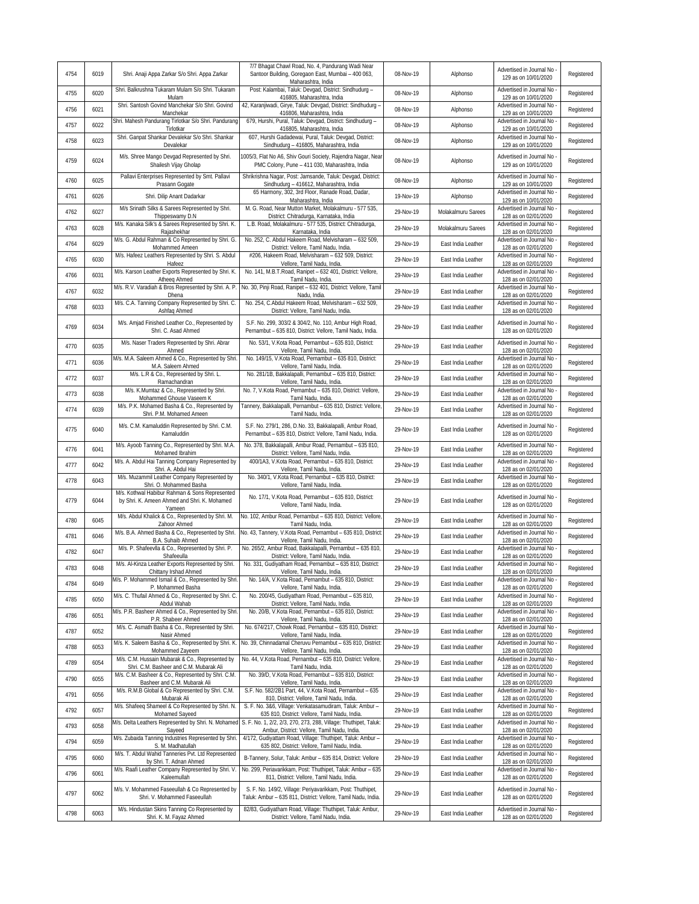| 4754 | 6019 | Shri. Anaji Appa Zarkar S/o Shri. Appa Zarkar                                                            | 7/7 Bhagat Chawl Road, No. 4, Pandurang Wadi Near<br>Santoor Building, Goregaon East, Mumbai - 400 063,<br>Maharashtra, India | 08-Nov-19 | Alphonso           | Advertised in Journal No<br>129 as on 10/01/2020   | Registered |
|------|------|----------------------------------------------------------------------------------------------------------|-------------------------------------------------------------------------------------------------------------------------------|-----------|--------------------|----------------------------------------------------|------------|
| 4755 | 6020 | Shri. Balkrushna Tukaram Mulam S/o Shri. Tukaram<br>Mulam                                                | Post: Kalambai, Taluk: Devgad, District: Sindhudurg -<br>416805, Maharashtra, India                                           | 08-Nov-19 | Alphonso           | Advertised in Journal No<br>129 as on 10/01/2020   | Registered |
| 4756 | 6021 | Shri. Santosh Govind Manchekar S/o Shri. Govind<br>Manchekar                                             | 42, Karanjiwadi, Girye, Taluk: Devgad, District: Sindhudurg -<br>416806, Maharashtra, India                                   | 08-Nov-19 | Alphonso           | Advertised in Journal No<br>129 as on 10/01/2020   | Registered |
| 4757 | 6022 | Shri. Mahesh Pandurang Tirlotkar S/o Shri. Pandurang<br>Tirlotkar                                        | 679, Hurshi, Pural, Taluk: Devgad, District: Sindhudurg -<br>416805, Maharashtra, India                                       | 08-Nov-19 | Alphonso           | Advertised in Journal No<br>129 as on 10/01/2020   | Registered |
| 4758 | 6023 | Shri. Ganpat Shankar Devalekar S/o Shri. Shankar<br>Devalekar                                            | 607, Hurshi Gadadewai, Pural, Taluk: Devgad, District:<br>Sindhudurg - 416805, Maharashtra, India                             | 08-Nov-19 | Alphonso           | Advertised in Journal No<br>129 as on 10/01/2020   | Registered |
| 4759 | 6024 | M/s. Shree Mango Devgad Represented by Shri.<br>Shailesh Vijay Gholap                                    | 1005/3, Flat No A6, Shiv Gouri Society, Rajendra Nagar, Near<br>PMC Colony, Pune - 411 030, Maharashtra, India                | 08-Nov-19 | Alphonso           | Advertised in Journal No<br>129 as on 10/01/2020   | Registered |
| 4760 | 6025 | Pallavi Enterprises Represented by Smt. Pallavi<br>Prasann Gogate                                        | Shrikrishna Nagar, Post: Jamsande, Taluk: Devgad, District:<br>Sindhudurg - 416612, Maharashtra, India                        | 08-Nov-19 | Alphonso           | Advertised in Journal No<br>129 as on 10/01/2020   | Registered |
| 4761 | 6026 | Shri. Dilip Anant Dadarkar                                                                               | 65 Harmony, 302, 3rd Floor, Ranade Road, Dadar,<br>Maharashtra, India                                                         | 19-Nov-19 | Alphonso           | Advertised in Journal No<br>129 as on 10/01/2020   | Registered |
| 4762 | 6027 | M/s Srinath Silks & Sarees Represented by Shri.<br>Thippeswamy D.N                                       | M. G. Road, Near Mutton Market, Molakalmuru - 577 535,<br>District: Chitradurga, Karnataka, India                             | 29-Nov-19 | Molakalmuru Sarees | Advertised in Journal No<br>128 as on 02/01/2020   | Registered |
| 4763 | 6028 | M/s. Kanaka Silk's & Sarees Represented by Shri. K.<br>Rajashekhar                                       | L.B. Road, Molakalmuru - 577 535, District: Chitradurga,<br>Karnataka, India                                                  | 29-Nov-19 | Molakalmuru Sarees | Advertised in Journal No<br>128 as on 02/01/2020   | Registered |
| 4764 | 6029 | M/s. G. Abdul Rahman & Co Represented by Shri. G.<br>Mohammed Ameen                                      | No. 252, C. Abdul Hakeem Road, Melvisharam - 632 509,<br>District: Vellore, Tamil Nadu, India.                                | 29-Nov-19 | East India Leather | Advertised in Journal No<br>128 as on 02/01/2020   | Registered |
| 4765 | 6030 | M/s. Hafeez Leathers Represented by Shri. S. Abdul<br>Hafeez                                             | #206, Hakeem Road, Melvisharam - 632 509, District:<br>Vellore, Tamil Nadu, India.                                            | 29-Nov-19 | East India Leather | Advertised in Journal No<br>128 as on 02/01/2020   | Registered |
| 4766 | 6031 | M/s. Karson Leather Exports Represented by Shri. K.<br>Atheeg Ahmed                                      | No. 141, M.B.T.Road, Ranipet - 632 401, District: Vellore,<br>Tamil Nadu, India.                                              | 29-Nov-19 | East India Leather | Advertised in Journal No<br>128 as on 02/01/2020   | Registered |
| 4767 | 6032 | M/s. R.V. Varadiah & Bros Represented by Shri. A. P.<br>Dhena                                            | No. 30, Pinji Road, Ranipet - 632 401, District: Vellore, Tamil<br>Nadu, India.                                               | 29-Nov-19 | East India Leather | Advertised in Journal No -<br>128 as on 02/01/2020 | Registered |
| 4768 | 6033 | M/s. C.A. Tanning Company Represented by Shri. C.<br>Ashfaq Ahmed                                        | No. 254, C.Abdul Hakeem Road, Melvisharam - 632 509,<br>District: Vellore, Tamil Nadu, India                                  | 29-Nov-19 | East India Leather | Advertised in Journal No<br>128 as on 02/01/2020   | Registered |
| 4769 | 6034 | M/s. Amjad Finished Leather Co., Represented by<br>Shri. C. Asad Ahmed                                   | S.F. No. 299, 303/2 & 304/2, No. 110, Ambur High Road,<br>Pernambut - 635 810, District: Vellore, Tamil Nadu, India.          | 29-Nov-19 | East India Leather | Advertised in Journal No<br>128 as on 02/01/2020   | Registered |
| 4770 | 6035 | M/s. Naser Traders Represented by Shri. Abrar<br>Ahmed                                                   | No. 53/1, V.Kota Road, Pernambut - 635 810, District:<br>Vellore, Tamil Nadu, India.                                          | 29-Nov-19 | East India Leather | Advertised in Journal No<br>128 as on 02/01/2020   | Registered |
| 4771 | 6036 | M/s. M.A. Saleem Ahmed & Co., Represented by Shri.<br>M.A. Saleem Ahmed                                  | No. 149/15, V.Kota Road, Pernambut - 635 810, District:<br>Vellore, Tamil Nadu, India.                                        | 29-Nov-19 | East India Leather | Advertised in Journal No<br>128 as on 02/01/2020   | Registered |
| 4772 | 6037 | M/s. L.R & Co., Represented by Shri. L.<br>Ramachandran                                                  | No. 281/1B, Bakkalapalli, Pernambut - 635 810, District:<br>Vellore, Tamil Nadu, India.                                       | 29-Nov-19 | East India Leather | Advertised in Journal No<br>128 as on 02/01/2020   | Registered |
| 4773 | 6038 | M/s. K.Mumtaz & Co., Represented by Shri.<br>Mohammed Ghouse Vaseem K                                    | No. 7, V.Kota Road, Pernambut - 635 810, District: Vellore,<br>Tamil Nadu, India.                                             | 29-Nov-19 | East India Leather | Advertised in Journal No<br>128 as on 02/01/2020   | Registered |
| 4774 | 6039 | M/s. P.K. Mohamed Basha & Co., Represented by<br>Shri. P.M. Mohamed Ameen                                | Tannery, Bakkalapalli, Pernambut - 635 810, District: Vellore<br>Tamil Nadu, India.                                           | 29-Nov-19 | East India Leather | Advertised in Journal No<br>128 as on 02/01/2020   | Registered |
| 4775 | 6040 | M/s. C.M. Kamaluddin Represented by Shri. C.M.<br>Kamaluddin                                             | S.F. No. 279/1, 286, D.No. 33, Bakkalapalli, Ambur Road,<br>Pernambut - 635 810, District: Vellore, Tamil Nadu, India.        | 29-Nov-19 | East India Leather | Advertised in Journal No<br>128 as on 02/01/2020   | Registered |
| 4776 | 6041 | M/s. Ayoob Tanning Co., Represented by Shri. M.A.<br>Mohamed Ibrahim                                     | No. 378, Bakkalapalli, Ambur Road, Pernambut - 635 810,<br>District: Vellore, Tamil Nadu, India.                              | 29-Nov-19 | East India Leather | Advertised in Journal No<br>128 as on 02/01/2020   | Registered |
| 4777 | 6042 | M/s. A. Abdul Hai Tanning Company Represented by<br>Shri. A. Abdul Hai                                   | 400/1A3, V.Kota Road, Pernambut - 635 810, District:<br>Vellore, Tamil Nadu, India.                                           | 29-Nov-19 | East India Leather | Advertised in Journal No<br>128 as on 02/01/2020   | Registered |
| 4778 | 6043 | M/s. Muzammil Leather Company Represented by<br>Shri. O. Mohammed Basha                                  | No. 340/1, V.Kota Road, Pernambut - 635 810, District:<br>Vellore, Tamil Nadu, India.                                         | 29-Nov-19 | East India Leather | Advertised in Journal No<br>128 as on 02/01/2020   | Registered |
| 4779 | 6044 | M/s. Kothwal Habibur Rahman & Sons Represented<br>by Shri. K. Ameen Ahmed and Shri. K. Mohamed<br>Yameen | No. 17/1, V.Kota Road, Pernambut - 635 810, District:<br>Vellore, Tamil Nadu, India.                                          | 29-Nov-19 | East India Leather | Advertised in Journal No<br>128 as on 02/01/2020   | Registered |
| 4780 | 6045 | M/s. Abdul Khalick & Co., Represented by Shri. M.<br>Zahoor Ahmed                                        | No. 102, Ambur Road, Pernambut - 635 810, District: Vellore<br>Tamil Nadu, India.                                             | 29-Nov-19 | East India Leather | Advertised in Journal No<br>128 as on 02/01/2020   | Registered |
| 4781 | 6046 | M/s. B.A. Ahmed Basha & Co., Represented by Shri.<br>B.A. Suhaib Ahmed                                   | No. 43, Tannery, V.Kota Road, Pernambut - 635 810, District<br>Vellore, Tamil Nadu, India.                                    | 29-Nov-19 | East India Leather | Advertised in Journal No<br>128 as on 02/01/2020   | Registered |
| 4782 | 6047 | M/s. P. Shafeevlla & Co., Represented by Shri. P.<br>Shafeeulla                                          | No. 265/2, Ambur Road, Bakkalapalli, Pernambut - 635 810,<br>District: Vellore, Tamil Nadu, India.                            | 29-Nov-19 | East India Leather | Advertised in Journal No<br>128 as on 02/01/2020   | Registered |
| 4783 | 6048 | M/s. Al-Kinza Leather Exports Represented by Shri.<br>Chittany Irshad Ahmed                              | No. 331, Gudiyatham Road, Pernambut - 635 810, District:<br>Vellore. Tamil Nadu. India.                                       | 29-Nov-19 | East India Leather | Advertised in Journal No<br>128 as on 02/01/2020   | Registered |
| 4784 | 6049 | M/s. P. Mohammed Ismail & Co., Represented by Shri<br>P. Mohammed Basha                                  | No. 14/A, V.Kota Road, Pernambut - 635 810, District:<br>Vellore, Tamil Nadu, India.                                          | 29-Nov-19 | East India Leather | Advertised in Journal No<br>128 as on 02/01/2020   | Registered |
| 4785 | 6050 | M/s. C. Thufail Ahmed & Co., Represented by Shri. C.<br>Abdul Wahab                                      | No. 200/45, Gudiyatham Road, Pernambut - 635 810,<br>District: Vellore, Tamil Nadu, India.                                    | 29-Nov-19 | East India Leather | Advertised in Journal No<br>128 as on 02/01/2020   | Registered |
| 4786 | 6051 | M/s. P.R. Basheer Ahmed & Co., Represented by Shri<br>P.R. Shabeer Ahmed                                 | No. 20/B, V.Kota Road, Pernambut - 635 810, District:<br>Vellore, Tamil Nadu, India.                                          | 29-Nov-19 | East India Leather | Advertised in Journal No -<br>128 as on 02/01/2020 | Registered |
| 4787 | 6052 | M/s. C. Asmath Basha & Co., Represented by Shri.<br>Nasir Ahmed                                          | No. 674/217, Chowk Road, Pernambut - 635 810, District:<br>Vellore, Tamil Nadu, India.                                        | 29-Nov-19 | East India Leather | Advertised in Journal No<br>128 as on 02/01/2020   | Registered |
| 4788 | 6053 | M/s. K. Saleem Basha & Co., Represented by Shri. K.<br>Mohammed Zayeem                                   | No. 39, Chinnadamal Cheruvu Pernambut - 635 810, District:<br>Vellore, Tamil Nadu, India.                                     | 29-Nov-19 | East India Leather | Advertised in Journal No<br>128 as on 02/01/2020   | Registered |
| 4789 | 6054 | M/s. C.M. Hussain Mubarak & Co., Represented by<br>Shri. C.M. Basheer and C.M. Mubarak Ali               | No. 44, V.Kota Road, Pernambut - 635 810, District: Vellore,<br>Tamil Nadu, India.                                            | 29-Nov-19 | East India Leather | Advertised in Journal No<br>128 as on 02/01/2020   | Registered |
| 4790 | 6055 | M/s. C.M. Basheer & Co., Represented by Shri. C.M.<br>Basheer and C.M. Mubarak Ali                       | No. 39/D, V.Kota Road, Pernambut - 635 810, District:<br>Vellore, Tamil Nadu, India.                                          | 29-Nov-19 | East India Leather | Advertised in Journal No<br>128 as on 02/01/2020   | Registered |
| 4791 | 6056 | M/s. R.M.B Global & Co Represented by Shri. C.M.<br>Mubarak Ali                                          | S.F. No. 582/2B1 Part, 44, V.Kota Road, Pernambut - 635<br>810, District: Vellore, Tamil Nadu, India.                         | 29-Nov-19 | East India Leather | Advertised in Journal No<br>128 as on 02/01/2020   | Registered |
| 4792 | 6057 | M/s. Shafeeq Shameel & Co Represented by Shri. N.<br>Mohamed Sayeed                                      | S. F. No. 3&6, Village: Venkatasamudiram, Taluk: Ambur -<br>635 810, District: Vellore, Tamil Nadu, India.                    | 29-Nov-19 | East India Leather | Advertised in Journal No<br>128 as on 02/01/2020   | Registered |
| 4793 | 6058 | M/s. Delta Leathers Represented by Shri. N. Mohamed<br>Sayeed                                            | S. F. No. 1, 2/2, 2/3, 270, 273, 288, Village: Thuthipet, Taluk:<br>Ambur, District: Vellore, Tamil Nadu, India.              | 29-Nov-19 | East India Leather | Advertised in Journal No<br>128 as on 02/01/2020   | Registered |
| 4794 | 6059 | M/s. Zubaida Tanning Industries Represented by Shri.<br>S. M. Madhatullah                                | 4/172, Gudiyattam Road, Village: Thuthipet, Taluk: Ambur -<br>635 802, District: Vellore, Tamil Nadu, India.                  | 29-Nov-19 | East India Leather | Advertised in Journal No<br>128 as on 02/01/2020   | Registered |
| 4795 | 6060 | M/s. T. Abdul Wahid Tanneries Pvt. Ltd Represented<br>by Shri. T. Adnan Ahmed                            | B-Tannery, Solur, Taluk: Ambur - 635 814, District: Vellore                                                                   | 29-Nov-19 | East India Leather | Advertised in Journal No<br>128 as on 02/01/2020   | Registered |
| 4796 | 6061 | M/s. Raafi Leather Company Represented by Shri. V.<br>Kaleemullah                                        | No. 299, Periavarikkam, Post: Thuthipet, Taluk: Ambur - 635<br>811, District: Vellore, Tamil Nadu, India.                     | 29-Nov-19 | East India Leather | Advertised in Journal No -<br>128 as on 02/01/2020 | Registered |
| 4797 | 6062 | M/s. V. Mohammed Faseeullah & Co Represented by<br>Shri. V. Mohammed Faseeullah                          | S. F. No. 149/2, Village: Periyavarikkam, Post: Thuthipet,<br>Taluk: Ambur - 635 811, District: Vellore, Tamil Nadu, India.   | 29-Nov-19 | East India Leather | Advertised in Journal No -<br>128 as on 02/01/2020 | Registered |
| 4798 | 6063 | M/s. Hindustan Skins Tanning Co Represented by<br>Shri. K. M. Fayaz Ahmed                                | 82/83, Gudiyatham Road, Village: Thuthipet, Taluk: Ambur,<br>District: Vellore, Tamil Nadu, India.                            | 29-Nov-19 | East India Leather | Advertised in Journal No<br>128 as on 02/01/2020   | Registered |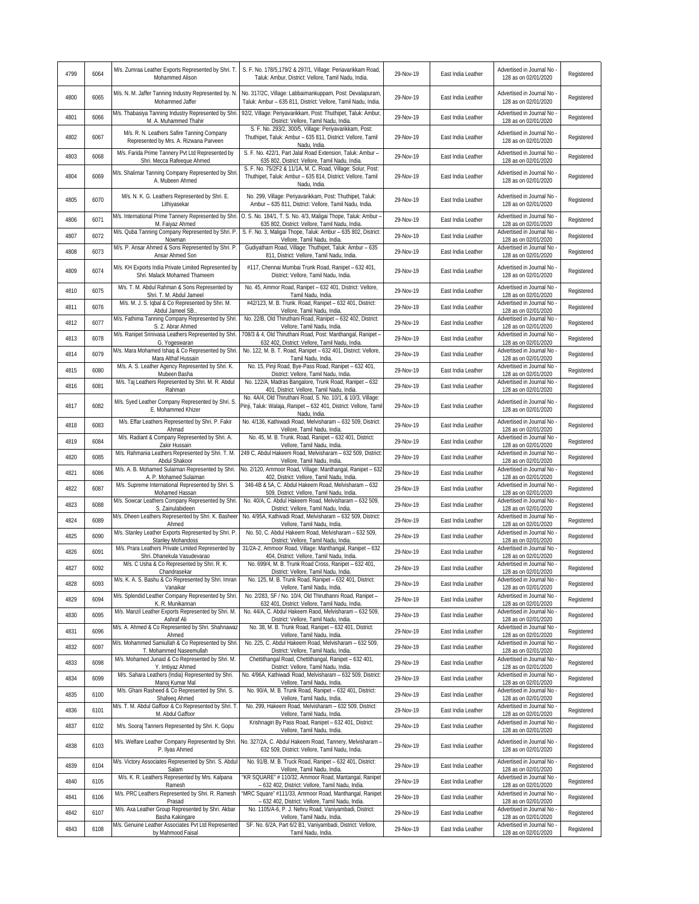| 4799 | 6064 | M/s. Zumraa Leather Exports Represented by Shri. T.<br>Mohammed Alison                                                       | S. F. No. 178/5,179/2 & 297/1, Village: Periavarikkam Road,<br>Taluk: Ambur, District: Vellore, Tamil Nadu, India.                               | 29-Nov-19 | East India Leather | Advertised in Journal No<br>128 as on 02/01/2020                             | Registered |
|------|------|------------------------------------------------------------------------------------------------------------------------------|--------------------------------------------------------------------------------------------------------------------------------------------------|-----------|--------------------|------------------------------------------------------------------------------|------------|
| 4800 | 6065 | M/s. N. M. Jaffer Tanning Industry Represented by. N.<br>Mohammed Jaffer                                                     | No. 317/2C, Village: Labbaimankuppam, Post: Devalapuram,<br>Taluk: Ambur - 635 811, District: Vellore, Tamil Nadu, India.                        | 29-Nov-19 | East India Leather | Advertised in Journal No<br>128 as on 02/01/2020                             | Registered |
| 4801 | 6066 | M/s. Thabasiya Tanning Industry Represented by Shri.<br>M. A. Muhammed Thahir                                                | 92/2, Village: Periyavarikkam, Post: Thuthipet, Taluk: Ambur,<br>District: Vellore, Tamil Nadu, India.                                           | 29-Nov-19 | East India Leather | Advertised in Journal No<br>128 as on 02/01/2020                             | Registered |
| 4802 | 6067 | M/s. R. N. Leathers Safire Tanning Company<br>Represented by Mrs. A. Rizwana Parveen                                         | S. F. No. 293/2, 300/5, Village: Periyavarikkam, Post:<br>Thuthipet, Taluk: Ambur - 635 811, District: Vellore, Tamil<br>Nadu, India.            | 29-Nov-19 | East India Leather | Advertised in Journal No<br>128 as on 02/01/2020                             | Registered |
| 4803 | 6068 | M/s. Farida Prime Tannery Pvt Ltd Represented by<br>Shri. Mecca Rafeeque Ahmed                                               | S. F. No. 422/1, Part Jalal Road Extension, Taluk: Ambur -<br>635 802, District: Vellore, Tamil Nadu, India.                                     | 29-Nov-19 | East India Leather | Advertised in Journal No<br>128 as on 02/01/2020                             | Registered |
| 4804 | 6069 | M/s. Shalimar Tanning Company Represented by Shri<br>A. Mubeen Ahmed                                                         | S. F. No. 75/2F2 & 11/1A, M. C. Road, Village: Solur, Post:<br>Thuthipet, Taluk: Ambur - 635 814, District: Vellore, Tamil<br>Nadu, India.       | 29-Nov-19 | East India Leather | Advertised in Journal No<br>128 as on 02/01/2020                             | Registered |
| 4805 | 6070 | M/s. N. K. G. Leathers Represented by Shri. E.<br>Lithiyasekar                                                               | No. 299, Village: Periyavarikkam, Post: Thuthipet, Taluk:<br>Ambur - 635 811, District: Vellore, Tamil Nadu, India.                              | 29-Nov-19 | East India Leather | Advertised in Journal No<br>128 as on 02/01/2020                             | Registered |
| 4806 | 6071 | M/s. International Prime Tannery Represented by Shri.<br>M. Faiyaz Ahmed                                                     | O. S. No. 184/1, T. S. No. 4/3, Maligai Thope, Taluk: Ambur -<br>635 802, District: Vellore, Tamil Nadu, India.                                  | 29-Nov-19 | East India Leather | Advertised in Journal No<br>128 as on 02/01/2020                             | Registered |
| 4807 | 6072 | M/s. Quba Tanning Company Represented by Shri. P.<br>Nowman                                                                  | S. F. No. 3, Maligai Thope, Taluk: Ambur - 635 802, District:<br>Vellore, Tamil Nadu, India.                                                     | 29-Nov-19 | East India Leather | Advertised in Journal No<br>128 as on 02/01/2020                             | Registered |
| 4808 | 6073 | M/s. P. Ansar Ahmed & Sons Represented by Shri. P.<br>Ansar Ahmed Son                                                        | Gudiyatham Road, Village: Thuthipet, Taluk: Ambur - 635<br>811, District: Vellore, Tamil Nadu, India                                             | 29-Nov-19 | East India Leather | Advertised in Journal No<br>128 as on 02/01/2020                             | Registered |
| 4809 | 6074 | M/s. KH Exports India Private Limited Represented by<br>Shri. Malack Mohamed Thameem                                         | #117, Chennai Mumbai Trunk Road, Ranipet - 632 401,<br>District: Vellore, Tamil Nadu, India.                                                     | 29-Nov-19 | East India Leather | Advertised in Journal No<br>128 as on 02/01/2020                             | Registered |
| 4810 | 6075 | M/s. T. M. Abdul Rahman & Sons Represented by<br>Shri. T. M. Abdul Jameel                                                    | No. 45, Ammor Road, Ranipet - 632 401, District: Vellore,<br>Tamil Nadu, India                                                                   | 29-Nov-19 | East India Leather | Advertised in Journal No<br>128 as on 02/01/2020                             | Registered |
| 4811 | 6076 | M/s. M. J. S. Iqbal & Co Represented by Shri. M.<br>Abdul Jameel SB.                                                         | #42/123, M. B. Trunk. Road, Ranipet - 632 401, District:<br>Vellore, Tamil Nadu, India.                                                          | 29-Nov-19 | East India Leather | Advertised in Journal No<br>128 as on 02/01/2020                             | Registered |
| 4812 | 6077 | M/s. Fathima Tanning Company Represented by Shri.                                                                            | No. 22/B, Old Thiruthani Road, Ranipet - 632 402, District:<br>Vellore, Tamil Nadu, India                                                        | 29-Nov-19 | East India Leather | Advertised in Journal No                                                     | Registered |
| 4813 | 6078 | S. Z. Abrar Ahmed<br>M/s. Ranipet Srinivasa Leathers Represented by Shri.                                                    | 708/3 & 4, Old Thiruthani Road, Post: Manthangal, Ranipet -                                                                                      | 29-Nov-19 | East India Leather | 128 as on 02/01/2020<br>Advertised in Journal No                             | Registered |
| 4814 | 6079 | G. Yogeswaran<br>M/s. Mara Mohamed Ishaq & Co Represented by Shri.                                                           | 632 402, District: Vellore, Tamil Nadu, India.<br>No. 122, M. B. T. Road, Ranipet - 632 401, District: Vellore,                                  | 29-Nov-19 | East India Leather | 128 as on 02/01/2020<br>Advertised in Journal No                             | Registered |
| 4815 | 6080 | Mara Althaf Hussain<br>M/s. A. S. Leather Agency Represented by Shri. K.                                                     | Tamil Nadu, India.<br>No. 15, Pinji Road, Bye-Pass Road, Ranipet - 632 401,                                                                      | 29-Nov-19 | East India Leather | 128 as on 02/01/2020<br>Advertised in Journal No                             | Registered |
|      |      | Mubeen Basha<br>M/s. Taj Leathers Represented by Shri. M. R. Abdul                                                           | District: Vellore, Tamil Nadu, India.<br>No. 122/A, Madras Bangalore, Trunk Road, Ranipet - 632                                                  |           |                    | 128 as on 02/01/2020<br>Advertised in Journal No                             |            |
| 4816 | 6081 | Rahman                                                                                                                       | 401, District: Vellore, Tamil Nadu, India.<br>No. 4A/4, Old Thiruthani Road, S. No. 10/1, & 10/3, Village:                                       | 29-Nov-19 | East India Leather | 128 as on 02/01/2020                                                         | Registered |
| 4817 | 6082 | M/s. Syed Leather Company Represented by Shri. S.<br>E. Mohammed Khizer<br>M/s. Effar Leathers Represented by Shri. P. Fakir | Pinji, Taluk: Walaja, Ranipet - 632 401, District: Vellore, Tamil<br>Nadu, India.<br>No. 4/136, Kathiwadi Road, Melvisharam - 632 509, District: | 29-Nov-19 | East India Leather | Advertised in Journal No<br>128 as on 02/01/2020<br>Advertised in Journal No | Registered |
| 4818 | 6083 | Ahmad                                                                                                                        | Vellore, Tamil Nadu, India                                                                                                                       | 29-Nov-19 | East India Leather | 128 as on 02/01/2020                                                         | Registered |
| 4819 | 6084 | M/s. Radiant & Company Represented by Shri. A.<br>Zakir Hussain                                                              | No. 45, M. B. Trunk. Road, Ranipet - 632 401, District:<br>Vellore, Tamil Nadu, India.                                                           | 29-Nov-19 | East India Leather | Advertised in Journal No<br>128 as on 02/01/2020                             | Registered |
| 4820 | 6085 | M/s. Rahmania Leathers Represented by Shri. T. M.<br>Abdul Shakoor                                                           | 249 C, Abdul Hakeem Road, Melvisharam - 632 509, District:<br>Vellore, Tamil Nadu, India.                                                        | 29-Nov-19 | East India Leather | Advertised in Journal No<br>128 as on 02/01/2020                             | Registered |
| 4821 | 6086 | M/s. A. B. Mohamed Sulaiman Represented by Shri.<br>A. P. Mohamed Sulaiman                                                   | No. 2/120, Ammoor Road, Village: Manthangal, Ranipet - 632<br>402, District: Vellore, Tamil Nadu, India.                                         | 29-Nov-19 | East India Leather | Advertised in Journal No<br>128 as on 02/01/2020                             | Registered |
| 4822 | 6087 | M/s. Supreme International Represented by Shri. S.<br>Mohamed Hassan                                                         | 346-4B & 5A, C. Abdul Hakeem Road, Melvisharam - 632<br>509, District: Vellore, Tamil Nadu, India.                                               | 29-Nov-19 | East India Leather | Advertised in Journal No<br>128 as on 02/01/2020                             | Registered |
| 4823 | 6088 | M/s. Sowcar Leathers Company Represented by Shri.<br>S. Zainulabideen                                                        | No. 40/A, C. Abdul Hakeem Road, Melvisharam - 632 509,<br>District: Vellore, Tamil Nadu, India.                                                  | 29-Nov-19 | East India Leather | Advertised in Journal No<br>128 as on 02/01/2020                             | Registered |
| 4824 | 6089 | M/s. Dheen Leathers Represented by Shri. K. Basheer<br>Ahmed                                                                 | No. 4/95A, Kathivadi Road, Melvisharam - 632 509, District:<br>Vellore, Tamil Nadu, India                                                        | 29-Nov-19 | East India Leather | Advertised in Journal No<br>128 as on 02/01/2020                             | Registered |
| 4825 | 6090 | M/s. Stanley Leather Exports Represented by Shri. P<br><b>Stanley Mohandoss</b>                                              | No. 50, C. Abdul Hakeem Road, Melvisharam - 632 509,<br>District: Vellore, Tamil Nadu, India.                                                    | 29-Nov-19 | East India Leather | Advertised in Journal No<br>128 as on 02/01/2020                             | Registered |
| 4826 | 6091 | M/s. Prara Leathers Private Limited Represented by<br>Shri. Dhanekula Vasudevarao                                            | 31/2A-2, Ammoor Road, Village: Manthangal, Ranipet - 632<br>404, District: Vellore, Tamil Nadu, India.                                           | 29-Nov-19 | East India Leather | Advertised in Journal No<br>128 as on 02/01/2020                             | Registered |
| 4827 | 6092 | M/s. C Usha & Co Represented by Shri. R. K.                                                                                  | No. 699/4, M. B. Trunk Road Cross, Ranipet - 632 401,                                                                                            | 29-Nov-19 | East India Leather | Advertised in Journal No<br>128 as on 02/01/2020                             | Registered |
| 4828 | 6093 | Chandrasekar<br>M/s. K. A. S. Bashu & Co Represented by Shri. Imran                                                          | District: Vellore, Tamil Nadu, India.<br>No. 125, M. B. Trunk Road, Ranipet - 632 401, District:                                                 | 29-Nov-19 | East India Leather | Advertised in Journal No                                                     | Registered |
| 4829 | 6094 | Vanaikar<br>M/s. Splendid Leather Company Represented by Shri.                                                               | Vellore, Tamil Nadu, India.<br>No. 2/283, SF / No. 10/4, Old Thiruthanni Road, Ranipet -                                                         | 29-Nov-19 | East India Leather | 128 as on 02/01/2020<br>Advertised in Journal No                             | Registered |
| 4830 | 6095 | K. R. Munikannan<br>M/s. Manzil Leather Exports Represented by Shri. M.                                                      | 632 401, District: Vellore, Tamil Nadu, India.<br>No. 44/A, C. Abdul Hakeem Raod, Melvisharam - 632 509,                                         | 29-Nov-19 | East India Leather | 128 as on 02/01/2020<br>Advertised in Journal No                             | Registered |
|      |      | Ashraf Ali<br>M/s. A. Ahmed & Co Represented by Shri. Shahnawaz                                                              | District: Vellore, Tamil Nadu, India.<br>No. 38, M. B. Trunk Road, Ranipet - 632 401, District:                                                  |           |                    | 128 as on 02/01/2020<br>Advertised in Journal No                             |            |
| 4831 | 6096 | Ahmed<br>M/s. Mohammed Samiullah & Co Represented by Shri                                                                    | Vellore, Tamil Nadu, India.<br>No. 225, C. Abdul Hakeem Road, Melvisharam - 632 509,                                                             | 29-Nov-19 | East India Leather | 128 as on 02/01/2020<br>Advertised in Journal No                             | Registered |
| 4832 | 6097 | T. Mohammed Naseemullah<br>M/s. Mohamed Junaid & Co Represented by Shri. M.                                                  | District: Vellore, Tamil Nadu, India.<br>Chettithangal Road, Chettithangal, Ranipet - 632 401,                                                   | 29-Nov-19 | East India Leather | 128 as on 02/01/2020<br>Advertised in Journal No                             | Registered |
| 4833 | 6098 | Y. Imtiyaz Ahmed<br>M/s. Sahara Leathers (India) Represented by Shri.                                                        | District: Vellore, Tamil Nadu, India.<br>No. 4/96A, Kathiwadi Road, Melvisharam - 632 509, District:                                             | 29-Nov-19 | East India Leather | 128 as on 02/01/2020<br>Advertised in Journal No                             | Registered |
| 4834 | 6099 | Manoj Kumar Mal                                                                                                              | Vellore, Tamil Nadu, India.                                                                                                                      | 29-Nov-19 | East India Leather | 128 as on 02/01/2020                                                         | Registered |
| 4835 | 6100 | M/s. Ghani Rasheed & Co Represented by Shri. S.<br>Shafeeq Ahmed                                                             | No. 90/A, M. B. Trunk Road, Ranipet - 632 401, District:<br>Vellore, Tamil Nadu, India.                                                          | 29-Nov-19 | East India Leather | Advertised in Journal No<br>128 as on 02/01/2020                             | Registered |
| 4836 | 6101 | M/s. T. M. Abdul Gaffoor & Co Represented by Shri. T<br>M. Abdul Gaffoor                                                     | No. 299, Hakeem Road, Melvisharam - 632 509, District:<br>Vellore, Tamil Nadu, India                                                             | 29-Nov-19 | East India Leather | Advertised in Journal No<br>128 as on 02/01/2020                             | Registered |
| 4837 | 6102 | M/s. Sooraj Tanners Represented by Shri. K. Gopu                                                                             | Krishnagiri By Pass Road, Ranipet - 632 401, District:<br>Vellore, Tamil Nadu, India                                                             | 29-Nov-19 | East India Leather | Advertised in Journal No -<br>128 as on 02/01/2020                           | Registered |
| 4838 | 6103 | M/s. Welfare Leather Company Represented by Shri.<br>P. Ilyas Ahmed                                                          | No. 327/2A, C. Abdul Hakeem Road, Tannery, Melvisharam -<br>632 509, District: Vellore, Tamil Nadu, India.                                       | 29-Nov-19 | East India Leather | Advertised in Journal No -<br>128 as on 02/01/2020                           | Registered |
| 4839 | 6104 | M/s. Victory Associates Represented by Shri. S. Abdul<br>Salam                                                               | No. 91/B, M. B. Truck Road, Ranipet - 632 401, District:<br>Vellore, Tamil Nadu, India.                                                          | 29-Nov-19 | East India Leather | Advertised in Journal No<br>128 as on 02/01/2020                             | Registered |
| 4840 | 6105 | M/s. K. R. Leathers Represented by Mrs. Kalpana<br>Ramesh                                                                    | *KR SQUARE* # 110/32, Ammoor Road, Mantangal, Ranipet<br>- 632 402, District: Vellore, Tamil Nadu, India.                                        | 29-Nov-19 | East India Leather | Advertised in Journal No<br>128 as on 02/01/2020                             | Registered |
| 4841 | 6106 | M/s. PRC Leathers Represented by Shri. R. Ramesh<br>Prasad                                                                   | "MRC Square" #111/33, Ammoor Road, Manthangal, Ranipet<br>- 632 402, District: Vellore, Tamil Nadu, India.                                       | 29-Nov-19 | East India Leather | Advertised in Journal No<br>128 as on 02/01/2020                             | Registered |
| 4842 | 6107 | M/s. Axa Leather Group Represented by Shri. Akbar<br>Basha Kakingare                                                         | No. 1105/A-6, P. J. Nehru Road, Vaniyambadi, District:<br>Vellore, Tamil Nadu, India.                                                            | 29-Nov-19 | East India Leather | Advertised in Journal No<br>128 as on 02/01/2020                             | Registered |
| 4843 | 6108 | M/s. Genuine Leather Associates Pvt Ltd Represented                                                                          | SF. No. 6/2A, Part 6/2 B1, Vaniyambadi, District: Vellore,                                                                                       | 29-Nov-19 | East India Leather | Advertised in Journal No -                                                   | Registered |
|      |      | by Mahmood Faisal                                                                                                            | Tamil Nadu, India.                                                                                                                               |           |                    | 128 as on 02/01/2020                                                         |            |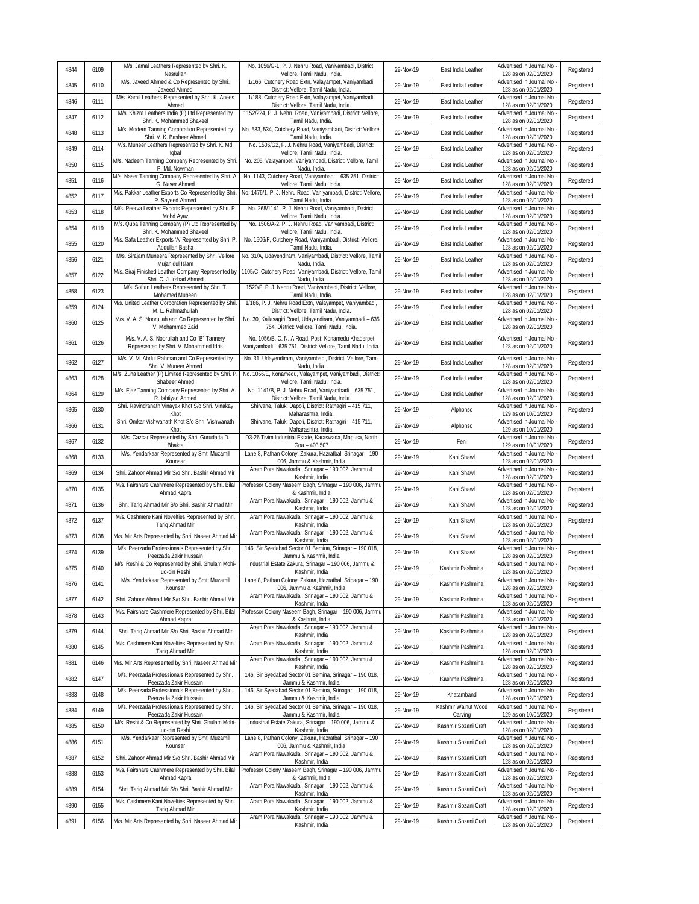| 4844 | 6109 | M/s. Jamal Leathers Represented by Shri. K.<br>Nasrullah                       | No. 1056/G-1, P. J. Nehru Road, Vaniyambadi, District:<br>Vellore, Tamil Nadu, India.                                  | 29-Nov-19 | East India Leather             | Advertised in Journal No<br>128 as on 02/01/2020                             | Registered |
|------|------|--------------------------------------------------------------------------------|------------------------------------------------------------------------------------------------------------------------|-----------|--------------------------------|------------------------------------------------------------------------------|------------|
| 4845 | 6110 | M/s. Javeed Ahmed & Co Represented by Shri.<br>Javeed Ahmed                    | 1/166, Cutchery Road Extn, Valayampet, Vaniyambadi,<br>District: Vellore, Tamil Nadu, India.                           | 29-Nov-19 | East India Leather             | Advertised in Journal No<br>128 as on 02/01/2020                             | Registered |
| 4846 | 6111 | M/s. Kamil Leathers Represented by Shri. K. Anees<br>Ahmed                     | 1/188, Cutchery Road Extn, Valayampet, Vaniyambadi,<br>District: Vellore, Tamil Nadu, India.                           | 29-Nov-19 | East India Leather             | Advertised in Journal No<br>128 as on 02/01/2020                             | Registered |
| 4847 | 6112 | M/s. Khizra Leathers India (P) Ltd Represented by<br>Shri. K. Mohammed Shakeel | 1152/224, P. J. Nehru Road, Vaniyambadi, District: Vellore,<br>Tamil Nadu, India.                                      | 29-Nov-19 | East India Leather             | Advertised in Journal No<br>128 as on 02/01/2020                             | Registered |
| 4848 | 6113 | M/s. Modern Tanning Corporation Represented by<br>Shri. V. K. Basheer Ahmed    | No. 533, 534, Cutchery Road, Vaniyambadi, District: Vellore,<br>Tamil Nadu, India.                                     | 29-Nov-19 | East India Leather             | Advertised in Journal No<br>128 as on 02/01/2020                             | Registered |
| 4849 | 6114 | M/s. Muneer Leathers Represented by Shri. K. Md.<br>lqbal                      | No. 1506/G2, P. J. Nehru Road, Vaniyambadi, District:<br>Vellore, Tamil Nadu, India.                                   | 29-Nov-19 | East India Leather             | Advertised in Journal No<br>128 as on 02/01/2020                             | Registered |
| 4850 | 6115 | M/s. Nadeem Tanning Company Represented by Shri.<br>P. Md. Nowman              | No. 205, Valayampet, Vaniyambadi, District: Vellore, Tamil<br>Nadu, India.                                             | 29-Nov-19 | East India Leather             | Advertised in Journal No<br>128 as on 02/01/2020                             | Registered |
| 4851 | 6116 | M/s. Naser Tanning Company Represented by Shri. A<br>G. Naser Ahmed            | No. 1143, Cutchery Road, Vaniyambadi - 635 751, District:<br>Vellore, Tamil Nadu, India.                               | 29-Nov-19 | East India Leather             | Advertised in Journal No<br>128 as on 02/01/2020                             | Registered |
| 4852 | 6117 | M/s. Pakkar Leather Exports Co Represented by Shri.<br>P. Sayeed Ahmed         | No. 1476/1, P. J. Nehru Road, Vaniyambadi, District: Vellore,<br>Tamil Nadu, India.                                    | 29-Nov-19 | East India Leather             | Advertised in Journal No<br>128 as on 02/01/2020                             | Registered |
| 4853 | 6118 | M/s. Peerva Leather Exports Represented by Shri. P.<br>Mohd Ayaz               | No. 268/1141, P. J. Nehru Road, Vaniyambadi, District:<br>Vellore, Tamil Nadu, India.                                  | 29-Nov-19 | East India Leather             | Advertised in Journal No<br>128 as on 02/01/2020                             | Registered |
| 4854 | 6119 | M/s. Quba Tanning Company (P) Ltd Represented by<br>Shri. K. Mohammed Shakeel  | No. 1506/A-2, P. J. Nehru Road, Vaniyambadi, District:<br>Vellore, Tamil Nadu, India.                                  | 29-Nov-19 | East India Leather             | Advertised in Journal No<br>128 as on 02/01/2020                             | Registered |
| 4855 | 6120 | M/s. Safa Leather Exports 'A' Represented by Shri. P<br>Abdullah Basha         | No. 1506/F, Cutchery Road, Vaniyambadi, District: Vellore,<br>Tamil Nadu, India.                                       | 29-Nov-19 | East India Leather             | Advertised in Journal No<br>128 as on 02/01/2020                             | Registered |
| 4856 | 6121 | M/s. Sirajam Muneera Represented by Shri. Vellore<br>Mujahidul Islam           | No. 31/A, Udayendiram, Vaniyambadi, District: Vellore, Tamil<br>Nadu, India.                                           | 29-Nov-19 | East India Leather             | Advertised in Journal No<br>128 as on 02/01/2020                             | Registered |
| 4857 | 6122 | M/s. Siraj Finished Leather Company Represented by<br>Shri. C. J. Irshad Ahmed | 1105/C, Cutchery Road, Vaniyambadi, District: Vellore, Tamil<br>Nadu, India.                                           | 29-Nov-19 | East India Leather             | Advertised in Journal No<br>128 as on 02/01/2020                             | Registered |
| 4858 | 6123 | M/s. Softan Leathers Represented by Shri. T.                                   | 1520/F, P. J. Nehru Road, Vaniyambadi, District: Vellore,<br>Tamil Nadu, India.                                        | 29-Nov-19 | East India Leather             | Advertised in Journal No                                                     | Registered |
| 4859 | 6124 | Mohamed Mubeen<br>M/s. United Leather Corporation Represented by Shri          | 1/186, P. J. Nehru Road Extn, Valayampet, Vaniyambadi,                                                                 | 29-Nov-19 | East India Leather             | 128 as on 02/01/2020<br>Advertised in Journal No                             | Registered |
| 4860 | 6125 | M. L. Rahmathullah<br>M/s. V. A. S. Noorullah and Co Represented by Shri.      | District: Vellore, Tamil Nadu, India.<br>No. 30, Kailasagiri Road, Udayendiram, Vaniyambadi - 635                      | 29-Nov-19 | East India Leather             | 128 as on 02/01/2020<br>Advertised in Journal No                             | Registered |
|      |      | V. Mohammed Zaid<br>M/s. V. A. S. Noorullah and Co "B" Tannery                 | 754, District: Vellore, Tamil Nadu, India.<br>No. 1056/B, C. N. A Road, Post: Konamedu Khaderpet                       |           |                                | 128 as on 02/01/2020<br>Advertised in Journal No                             |            |
| 4861 | 6126 | Represented by Shri. V. Mohammed Idris                                         | Vaniyambadi - 635 751, District: Vellore, Tamil Nadu, India.                                                           | 29-Nov-19 | East India Leather             | 128 as on 02/01/2020                                                         | Registered |
| 4862 | 6127 | M/s. V. M. Abdul Rahman and Co Represented by<br>Shri. V. Muneer Ahmed         | No. 31, Udayendiram, Vaniyambadi, District: Vellore, Tamil<br>Nadu, India.                                             | 29-Nov-19 | East India Leather             | Advertised in Journal No<br>128 as on 02/01/2020<br>Advertised in Journal No | Registered |
| 4863 | 6128 | M/s. Zuha Leather (P) Limited Represented by Shri. P<br>Shabeer Ahmed          | No. 1056/E, Konamedu, Valayampet, Vaniyambadi, District:<br>Vellore, Tamil Nadu, India.                                | 29-Nov-19 | East India Leather             | 128 as on 02/01/2020                                                         | Registered |
| 4864 | 6129 | M/s. Ejaz Tanning Company Represented by Shri. A.<br>R. Ishtiyaq Ahmed         | No. 1141/B, P. J. Nehru Road, Vaniyambadi - 635 751,<br>District: Vellore, Tamil Nadu, India.                          | 29-Nov-19 | East India Leather             | Advertised in Journal No<br>128 as on 02/01/2020                             | Registered |
| 4865 | 6130 | Shri. Ravindranath Vinayak Khot S/o Shri. Vinakay<br>Khot                      | Shirvane, Taluk: Dapoli, District: Ratnagiri - 415 711,<br>Maharashtra, India.                                         | 29-Nov-19 | Alphonso                       | Advertised in Journal No<br>129 as on 10/01/2020                             | Registered |
| 4866 | 6131 | Shri. Omkar Vishwanath Khot S/o Shri. Vishwanath<br>Khot                       | Shirvane, Taluk: Dapoli, District: Ratnagiri - 415 711,<br>Maharashtra, India.                                         | 29-Nov-19 | Alphonso                       | Advertised in Journal No<br>129 as on 10/01/2020                             | Registered |
| 4867 | 6132 | M/s. Cazcar Represented by Shri. Gurudatta D.<br>Bhakta                        | D3-26 Tivim Industrial Estate, Karaswada, Mapusa, North<br>Goa - 403 507                                               | 29-Nov-19 | Feni                           | Advertised in Journal No<br>129 as on 10/01/2020                             | Registered |
| 4868 | 6133 | M/s. Yendarkaar Represented by Smt. Muzamil<br>Kounsar                         | Lane 8, Pathan Colony, Zakura, Hazratbal, Srinagar - 190<br>006, Jammu & Kashmir, India                                | 29-Nov-19 | Kani Shawl                     | Advertised in Journal No<br>128 as on 02/01/2020                             | Registered |
| 4869 | 6134 | Shri. Zahoor Ahmad Mir S/o Shri. Bashir Ahmad Mir                              | Aram Pora Nawakadal, Srinagar - 190 002, Jammu &<br>Kashmir, India                                                     | 29-Nov-19 | Kani Shawl                     | Advertised in Journal No<br>128 as on 02/01/2020                             | Registered |
| 4870 | 6135 | M/s. Fairshare Cashmere Represented by Shri. Bilal<br>Ahmad Kapra              | Professor Colony Naseem Bagh, Srinagar - 190 006, Jammu<br>& Kashmir, India                                            | 29-Nov-19 | Kani Shawl                     | Advertised in Journal No<br>128 as on 02/01/2020                             | Registered |
| 4871 | 6136 | Shri. Tariq Ahmad Mir S/o Shri. Bashir Ahmad Mir                               | Aram Pora Nawakadal, Srinagar - 190 002, Jammu &<br>Kashmir, India                                                     | 29-Nov-19 | Kani Shawl                     | Advertised in Journal No<br>128 as on 02/01/2020                             | Registered |
| 4872 | 6137 | M/s. Cashmere Kani Novelties Represented by Shri.<br>Tariq Ahmad Mir           | Aram Pora Nawakadal, Srinagar - 190 002, Jammu &<br>Kashmir, India                                                     | 29-Nov-19 | Kani Shawl                     | Advertised in Journal No<br>128 as on 02/01/2020                             | Registered |
| 4873 | 6138 | M/s. Mir Arts Represented by Shri, Naseer Ahmad Mir                            | Aram Pora Nawakadal, Srinagar - 190 002, Jammu &<br>Kashmir, India                                                     | 29-Nov-19 | Kani Shawl                     | Advertised in Journal No<br>128 as on 02/01/2020                             | Registered |
| 4874 | 6139 | M/s. Peerzada Professionals Represented by Shri.<br>Peerzada Zakir Hussain     | 146, Sir Syedabad Sector 01 Bemina, Srinagar - 190 018,<br>Jammu & Kashmir, India                                      | 29-Nov-19 | Kani Shawl                     | Advertised in Journal No<br>128 as on 02/01/2020                             | Registered |
| 4875 | 6140 | M/s. Reshi & Co Represented by Shri. Ghulam Mohi-<br>ud-din Reshi              | Industrial Estate Zakura, Srinagar - 190 006, Jammu &<br>Kashmir, India                                                | 29-Nov-19 | Kashmir Pashmina               | Advertised in Journal No<br>128 as on 02/01/2020                             | Registered |
| 4876 | 6141 | M/s. Yendarkaar Represented by Smt. Muzamil<br>Kounsar                         | Lane 8, Pathan Colony, Zakura, Hazratbal, Srinagar - 190<br>006, Jammu & Kashmir, India                                | 29-Nov-19 | Kashmir Pashmina               | Advertised in Journal No<br>128 as on 02/01/2020                             | Registered |
| 4877 | 6142 | Shri. Zahoor Ahmad Mir S/o Shri. Bashir Ahmad Mir                              | Aram Pora Nawakadal, Srinagar - 190 002, Jammu &<br>Kashmir, India                                                     | 29-Nov-19 | Kashmir Pashmina               | Advertised in Journal No<br>128 as on 02/01/2020                             | Registered |
| 4878 | 6143 | M/s. Fairshare Cashmere Represented by Shri. Bilal<br>Ahmad Kapra              | Professor Colony Naseem Bagh, Srinagar - 190 006, Jammu<br>& Kashmir, India                                            | 29-Nov-19 | Kashmir Pashmina               | Advertised in Journal No<br>128 as on 02/01/2020                             | Registered |
| 4879 | 6144 | Shri. Tariq Ahmad Mir S/o Shri. Bashir Ahmad Mir                               | Aram Pora Nawakadal, Srinagar - 190 002, Jammu &<br>Kashmir, India                                                     | 29-Nov-19 | Kashmir Pashmina               | Advertised in Journal No<br>128 as on 02/01/2020                             | Registered |
| 4880 | 6145 | M/s. Cashmere Kani Novelties Represented by Shri.<br>Tariq Ahmad Mir           | Aram Pora Nawakadal, Srinagar - 190 002, Jammu &<br>Kashmir, India                                                     | 29-Nov-19 | Kashmir Pashmina               | Advertised in Journal No<br>128 as on 02/01/2020                             | Registered |
| 4881 | 6146 | M/s. Mir Arts Represented by Shri, Naseer Ahmad Mir                            | Aram Pora Nawakadal, Srinagar - 190 002, Jammu &<br>Kashmir, India                                                     | 29-Nov-19 | Kashmir Pashmina               | Advertised in Journal No<br>128 as on 02/01/2020                             | Registered |
| 4882 | 6147 | M/s. Peerzada Professionals Represented by Shri.<br>Peerzada Zakir Hussain     | 146, Sir Syedabad Sector 01 Bemina, Srinagar - 190 018,<br>Jammu & Kashmir, India                                      | 29-Nov-19 | Kashmir Pashmina               | Advertised in Journal No<br>128 as on 02/01/2020                             | Registered |
| 4883 | 6148 | M/s. Peerzada Professionals Represented by Shri.<br>Peerzada Zakir Hussain     | 146, Sir Syedabad Sector 01 Bemina, Srinagar - 190 018,<br>Jammu & Kashmir, India                                      | 29-Nov-19 | Khatamband                     | Advertised in Journal No<br>128 as on 02/01/2020                             | Registered |
| 4884 | 6149 | M/s. Peerzada Professionals Represented by Shri.                               | 146, Sir Syedabad Sector 01 Bemina, Srinagar - 190 018,<br>Jammu & Kashmir, India                                      | 29-Nov-19 | Kashmir Walnut Wood<br>Carving | Advertised in Journal No -<br>129 as on 10/01/2020                           | Registered |
|      |      | Peerzada Zakir Hussain                                                         |                                                                                                                        |           |                                |                                                                              |            |
| 4885 | 6150 | M/s. Reshi & Co Represented by Shri. Ghulam Mohi-<br>ud-din Reshi              | Industrial Estate Zakura, Srinagar - 190 006, Jammu &<br>Kashmir, India                                                | 29-Nov-19 | Kashmir Sozani Craft           | Advertised in Journal No<br>128 as on 02/01/2020                             | Registered |
| 4886 | 6151 | M/s. Yendarkaar Represented by Smt. Muzamil<br>Kounsar                         | Lane 8, Pathan Colony, Zakura, Hazratbal, Srinagar - 190<br>006, Jammu & Kashmir, India                                | 29-Nov-19 | Kashmir Sozani Craft           | Advertised in Journal No<br>128 as on 02/01/2020                             | Registered |
| 4887 | 6152 | Shri. Zahoor Ahmad Mir S/o Shri. Bashir Ahmad Mir                              | Aram Pora Nawakadal, Srinagar - 190 002, Jammu &<br>Kashmir, India                                                     | 29-Nov-19 | Kashmir Sozani Craft           | Advertised in Journal No -<br>128 as on 02/01/2020                           | Registered |
| 4888 | 6153 | M/s. Fairshare Cashmere Represented by Shri. Bilal<br>Ahmad Kapra              | Professor Colony Naseem Bagh, Srinagar - 190 006, Jammu<br>& Kashmir, India                                            | 29-Nov-19 | Kashmir Sozani Craft           | Advertised in Journal No<br>128 as on 02/01/2020                             | Registered |
| 4889 | 6154 | Shri. Tariq Ahmad Mir S/o Shri. Bashir Ahmad Mir                               | Aram Pora Nawakadal, Srinagar - 190 002, Jammu &<br>Kashmir, India                                                     | 29-Nov-19 | Kashmir Sozani Craft           | Advertised in Journal No<br>128 as on 02/01/2020                             | Registered |
| 4890 | 6155 | M/s. Cashmere Kani Novelties Represented by Shri.<br>Tariq Ahmad Mir           | Aram Pora Nawakadal, Srinagar - 190 002, Jammu &<br>Kashmir, India<br>Aram Pora Nawakadal, Srinagar - 190 002, Jammu & | 29-Nov-19 | Kashmir Sozani Craft           | Advertised in Journal No<br>128 as on 02/01/2020<br>Advertised in Journal No | Registered |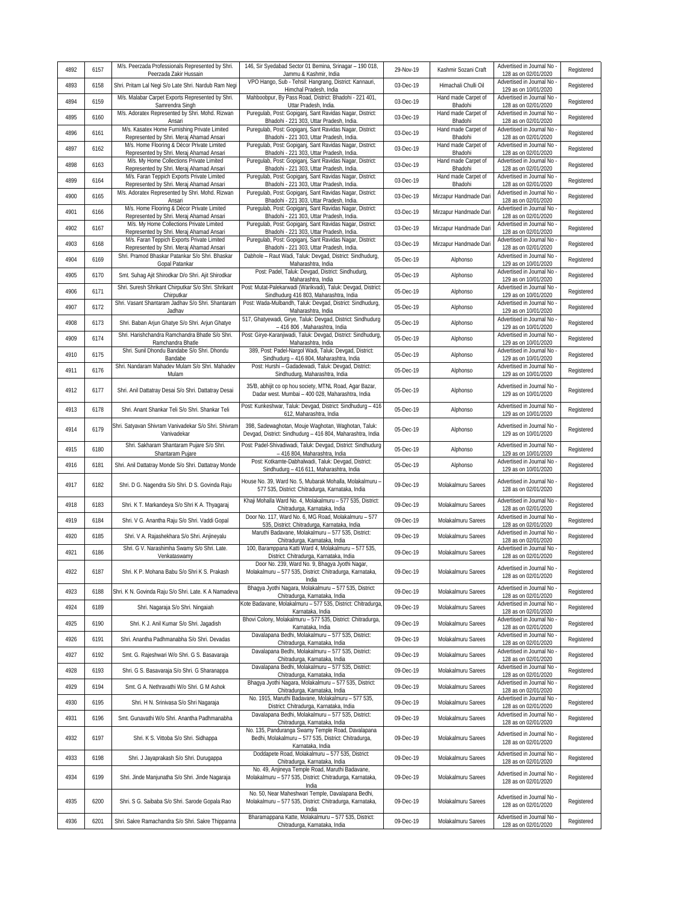| 4892 | 6157 | M/s. Peerzada Professionals Represented by Shri.<br>Peerzada Zakir Hussain               | 146, Sir Syedabad Sector 01 Bemina, Srinagar - 190 018,<br>Jammu & Kashmir, India                                             | 29-Nov-19 | Kashmir Sozani Craft           | Advertised in Journal No<br>128 as on 02/01/2020   | Registered |
|------|------|------------------------------------------------------------------------------------------|-------------------------------------------------------------------------------------------------------------------------------|-----------|--------------------------------|----------------------------------------------------|------------|
| 4893 | 6158 | Shri. Pritam Lal Negi S/o Late Shri. Nardub Ram Negi                                     | VPO Hango, Sub - Tehsil: Hangrang, District: Kannauri,<br>Himchal Pradesh, India                                              | 03-Dec-19 | Himachali Chulli Oil           | Advertised in Journal No<br>129 as on 10/01/2020   | Registered |
| 4894 | 6159 | M/s. Malabar Carpet Exports Represented by Shri.<br>Samrendra Singh                      | Mahboobpur, By Pass Road, District: Bhadohi - 221 401,<br>Uttar Pradesh, India.                                               | 03-Dec-19 | Hand made Carpet of<br>Bhadohi | Advertised in Journal No<br>128 as on 02/01/2020   | Registered |
| 4895 | 6160 | M/s. Adoratex Represented by Shri. Mohd. Rizwan<br>Ansari                                | Puregulab, Post: Gopiganj, Sant Ravidas Nagar, District:<br>Bhadohi - 221 303, Uttar Pradesh, India.                          | 03-Dec-19 | Hand made Carpet of<br>Bhadohi | Advertised in Journal No<br>128 as on 02/01/2020   | Registered |
| 4896 | 6161 | M/s. Kasatex Home Furnishing Private Limited<br>Represented by Shri. Meraj Ahamad Ansari | Puregulab, Post: Gopiganj, Sant Ravidas Nagar, District:<br>Bhadohi - 221 303, Uttar Pradesh, India.                          | 03-Dec-19 | Hand made Carpet of<br>Bhadohi | Advertised in Journal No<br>128 as on 02/01/2020   | Registered |
| 4897 | 6162 | M/s. Home Flooring & Décor Private Limited<br>Represented by Shri. Meraj Ahamad Ansari   | Puregulab, Post: Gopiganj, Sant Ravidas Nagar, District:<br>Bhadohi - 221 303, Uttar Pradesh, India.                          | 03-Dec-19 | Hand made Carpet of<br>Bhadohi | Advertised in Journal No<br>128 as on 02/01/2020   | Registered |
| 4898 | 6163 | M/s. My Home Collections Private Limited<br>Represented by Shri. Meraj Ahamad Ansari     | Puregulab, Post: Gopiganj, Sant Ravidas Nagar, District:<br>Bhadohi - 221 303, Uttar Pradesh, India.                          | 03-Dec-19 | Hand made Carpet of<br>Bhadohi | Advertised in Journal No<br>128 as on 02/01/2020   | Registered |
| 4899 | 6164 | M/s. Faran Teppich Exports Private Limited<br>Represented by Shri. Meraj Ahamad Ansari   | Puregulab, Post: Gopiganj, Sant Ravidas Nagar, District:<br>Bhadohi - 221 303, Uttar Pradesh, India.                          | 03-Dec-19 | Hand made Carpet of<br>Bhadohi | Advertised in Journal No<br>128 as on 02/01/2020   | Registered |
| 4900 | 6165 | M/s. Adoratex Represented by Shri. Mohd. Rizwan<br>Ansari                                | Puregulab, Post: Gopiganj, Sant Ravidas Nagar, District:<br>Bhadohi - 221 303, Uttar Pradesh, India.                          | 03-Dec-19 | Mirzapur Handmade Dari         | Advertised in Journal No<br>128 as on 02/01/2020   | Registered |
| 4901 | 6166 | M/s. Home Flooring & Décor Private Limited<br>Represented by Shri. Meraj Ahamad Ansari   | Puregulab, Post: Gopiganj, Sant Ravidas Nagar, District:<br>Bhadohi - 221 303, Uttar Pradesh, India.                          | 03-Dec-19 | Mirzapur Handmade Dari         | Advertised in Journal No<br>128 as on 02/01/2020   | Registered |
| 4902 | 6167 | M/s. My Home Collections Private Limited<br>Represented by Shri. Meraj Ahamad Ansari     | Puregulab, Post: Gopiganj, Sant Ravidas Nagar, District:<br>Bhadohi - 221 303, Uttar Pradesh, India.                          | 03-Dec-19 | Mirzapur Handmade Dari         | Advertised in Journal No<br>128 as on 02/01/2020   | Registered |
| 4903 | 6168 | M/s. Faran Teppich Exports Private Limited<br>Represented by Shri. Meraj Ahamad Ansari   | Puregulab, Post: Gopiganj, Sant Ravidas Nagar, District:<br>Bhadohi - 221 303, Uttar Pradesh, India.                          | 03-Dec-19 | Mirzapur Handmade Dari         | Advertised in Journal No<br>128 as on 02/01/2020   | Registered |
| 4904 | 6169 | Shri. Pramod Bhaskar Patankar S/o Shri. Bhaskar<br>Gopal Patankar                        | Dabhole - Raut Wadi, Taluk: Devgad, District: Sindhudurg,<br>Maharashtra, India                                               | 05-Dec-19 | Alphonso                       | Advertised in Journal No<br>129 as on 10/01/2020   | Registered |
| 4905 | 6170 | Smt. Suhag Ajit Shirodkar D/o Shri. Ajit Shirodkar                                       | Post: Padel, Taluk: Devgad, District: Sindhudurg,<br>Maharashtra, India                                                       | 05-Dec-19 | Alphonso                       | Advertised in Journal No<br>129 as on 10/01/2020   | Registered |
| 4906 | 6171 | Shri. Suresh Shrikant Chirputkar S/o Shri. Shrikant<br>Chiroutkar                        | Post: Mutat-Palekarwadi (Warikvadi), Taluk: Devgad, District:<br>Sindhudurq 416 803, Maharashtra, India                       | 05-Dec-19 | Alphonso                       | Advertised in Journal No<br>129 as on 10/01/2020   | Registered |
| 4907 | 6172 | Shri. Vasant Shantaram Jadhav S/o Shri. Shantaram<br>Jadhav                              | Post: Wada-Mulbandh, Taluk: Devgad, District: Sindhudurg,<br>Maharashtra, India                                               | 05-Dec-19 | Alphonso                       | Advertised in Journal No<br>129 as on 10/01/2020   | Registered |
| 4908 | 6173 | Shri. Baban Arjun Ghatye S/o Shri. Arjun Ghatye                                          | 517, Ghatyewadi, Girye, Taluk: Devgad, District: Sindhudurg<br>- 416 806, Maharashtra, India                                  | 05-Dec-19 | Alphonso                       | Advertised in Journal No<br>129 as on 10/01/2020   | Registered |
| 4909 | 6174 | Shri, Harishchandra Ramchandra Bhatle S/o Shri,<br>Ramchandra Bhatle                     | Post: Girye-Karanjiwadi, Taluk: Devgad, District: Sindhudurg,<br>Maharashtra, India                                           | 05-Dec-19 | Alphonso                       | Advertised in Journal No<br>129 as on 10/01/2020   | Registered |
| 4910 | 6175 | Shri. Sunil Dhondu Bandabe S/o Shri. Dhondu<br>Bandabe                                   | 389, Post: Padel-Nargol Wadi, Taluk: Devgad, District:<br>Sindhudurg - 416 804, Maharashtra, India                            | 05-Dec-19 | Alphonso                       | Advertised in Journal No<br>129 as on 10/01/2020   | Registered |
| 4911 | 6176 | Shri. Nandaram Mahadev Mulam S/o Shri. Mahadev<br>Mulam                                  | Post: Hurshi - Gadadewadi, Taluk: Devgad, District:<br>Sindhudurg, Maharashtra, India                                         | 05-Dec-19 | Alphonso                       | Advertised in Journal No<br>129 as on 10/01/2020   | Registered |
| 4912 | 6177 | Shri. Anil Dattatray Desai S/o Shri. Dattatray Desai                                     | 35/B, abhijit co op hou society, MTNL Road, Agar Bazar,<br>Dadar west. Mumbai - 400 028, Maharashtra, India                   | 05-Dec-19 | Alphonso                       | Advertised in Journal No<br>129 as on 10/01/2020   | Registered |
| 4913 | 6178 | Shri. Anant Shankar Teli S/o Shri. Shankar Teli                                          | Post: Kunkeshwar, Taluk: Devgad, District: Sindhudurg - 416<br>612, Maharashtra, India                                        | 05-Dec-19 | Alphonso                       | Advertised in Journal No<br>129 as on 10/01/2020   | Registered |
| 4914 | 6179 | Shri. Satyavan Shivram Vanivadekar S/o Shri. Shivram<br>Vanivadekar                      | 398, Sadewaghotan, Mouje Waghotan, Waghotan, Taluk:<br>Devgad, District: Sindhudurg - 416 804, Maharashtra, India             | 05-Dec-19 | Alphonso                       | Advertised in Journal No<br>129 as on 10/01/2020   | Registered |
| 4915 | 6180 | Shri. Sakharam Shantaram Pujare S/o Shri.<br>Shantaram Pujare                            | Post: Padel-Shivadiwadi, Taluk: Devgad, District: Sindhudurg<br>- 416 804, Maharashtra, India                                 | 05-Dec-19 | Alphonso                       | Advertised in Journal No<br>129 as on 10/01/2020   | Registered |
| 4916 | 6181 | Shri. Anil Dattatray Monde S/o Shri. Dattatray Monde                                     | Post: Kotkamte-Dabhalwadi, Taluk: Devgad, District:<br>Sindhudurg - 416 611, Maharashtra, India                               | 05-Dec-19 | Alphonso                       | Advertised in Journal No<br>129 as on 10/01/2020   | Registered |
| 4917 | 6182 | Shri. D G. Nagendra S/o Shri. D S. Govinda Raju                                          | House No. 39, Ward No. 5, Mubarak Mohalla, Molakalmuru -<br>577 535, District: Chitradurga, Karnataka, India                  | 09-Dec-19 | Molakalmuru Sarees             | Advertised in Journal No<br>128 as on 02/01/2020   | Registered |
| 4918 | 6183 | Shri. K T. Markandeya S/o Shri K A. Thyagaraj                                            | Khaji Mohalla Ward No. 4, Molakalmuru - 577 535, District:<br>Chitradurga, Karnataka, India                                   | 09-Dec-19 | Molakalmuru Sarees             | Advertised in Journal No<br>128 as on 02/01/2020   | Registered |
| 4919 | 6184 | Shri. V G. Anantha Raju S/o Shri. Vaddi Gopal                                            | Door No. 117, Ward No. 6, MG Road, Molakalmuru - 577<br>535, District: Chitradurga, Karnataka, India                          | 09-Dec-19 | Molakalmuru Sarees             | Advertised in Journal No<br>128 as on 02/01/2020   | Registered |
| 4920 | 6185 | Shri. V A. Rajashekhara S/o Shri. Anjineyalu                                             | Maruthi Badavane, Molakalmuru - 577 535, District:<br>Chitradurga, Karnataka, India                                           | 09-Dec-19 | Molakalmuru Sarees             | Advertised in Journal No<br>128 as on 02/01/2020   | Registered |
| 4921 | 6186 | Shri. G V. Narashimha Swamy S/o Shri. Late.<br>Venkataswamy                              | 100, Baramppana Katti Ward 4, Molakalmuru - 577 535,<br>District: Chitradurga, Karnataka, India                               | 09-Dec-19 | Molakalmuru Sarees             | Advertised in Journal No<br>128 as on 02/01/2020   | Registered |
| 4922 | 6187 | Shri. K P. Mohana Babu S/o Shri K S. Prakash                                             | Door No. 239, Ward No. 9, Bhagya Jyothi Nagar,<br>Molakalmuru - 577 535, District: Chitradurga, Karnataka,<br>India           | 09-Dec-19 | Molakalmuru Sarees             | Advertised in Journal No -<br>128 as on 02/01/2020 | Registered |
| 4923 | 6188 | Shri. K N. Govinda Raju S/o Shri. Late. K A Namadeva                                     | Bhagya Jyothi Nagara, Molakalmuru - 577 535, District:<br>Chitradurga, Karnataka, India                                       | 09-Dec-19 | Molakalmuru Sarees             | Advertised in Journal No<br>128 as on 02/01/2020   | Registered |
| 4924 | 6189 | Shri. Nagaraja S/o Shri. Ningaiah                                                        | Kote Badavane, Molakalmuru - 577 535, District: Chitradurga,<br>Karnataka, India                                              | 09-Dec-19 | Molakalmuru Sarees             | Advertised in Journal No -<br>128 as on 02/01/2020 | Registered |
| 4925 | 6190 | Shri. K J. Anil Kumar S/o Shri. Jagadish                                                 | Bhovi Colony, Molakalmuru - 577 535, District: Chitradurga,<br>Karnataka, India                                               | 09-Dec-19 | Molakalmuru Sarees             | Advertised in Journal No<br>128 as on 02/01/2020   | Registered |
| 4926 | 6191 | Shri. Anantha Padhmanabha S/o Shri. Devadas                                              | Davalapana Bedhi, Molakalmuru - 577 535, District:<br>Chitradurga, Karnataka, India                                           | 09-Dec-19 | Molakalmuru Sarees             | Advertised in Journal No<br>128 as on 02/01/2020   | Registered |
| 4927 | 6192 | Smt. G. Rajeshwari W/o Shri. G S. Basavaraja                                             | Davalapana Bedhi, Molakalmuru - 577 535, District:<br>Chitradurga, Karnataka, India                                           | 09-Dec-19 | Molakalmuru Sarees             | Advertised in Journal No -<br>128 as on 02/01/2020 | Registered |
| 4928 | 6193 | Shri. G S. Basavaraja S/o Shri. G Sharanappa                                             | Davalapana Bedhi, Molakalmuru - 577 535, District:<br>Chitradurga, Karnataka, India                                           | 09-Dec-19 | Molakalmuru Sarees             | Advertised in Journal No<br>128 as on 02/01/2020   | Registered |
| 4929 | 6194 | Smt. G A. Nethravathi W/o Shri. G M Ashok                                                | Bhagya Jyothi Nagara, Molakalmuru - 577 535, District:<br>Chitradurga, Karnataka, India                                       | 09-Dec-19 | Molakalmuru Sarees             | Advertised in Journal No<br>128 as on 02/01/2020   | Registered |
| 4930 | 6195 | Shri. H N. Srinivasa S/o Shri Nagaraja                                                   | No. 1915, Maruthi Badavane, Molakalmuru - 577 535,<br>District: Chitradurga, Karnataka, India                                 | 09-Dec-19 | Molakalmuru Sarees             | Advertised in Journal No<br>128 as on 02/01/2020   | Registered |
| 4931 | 6196 | Smt. Gunavathi W/o Shri. Anantha Padhmanabha                                             | Davalapana Bedhi, Molakalmuru - 577 535, District:<br>Chitradurga, Karnataka, India                                           | 09-Dec-19 | Molakalmuru Sarees             | Advertised in Journal No -<br>128 as on 02/01/2020 | Registered |
| 4932 | 6197 | Shri. K S. Vittoba S/o Shri. Sidhappa                                                    | No. 135, Panduranga Swamy Temple Road, Davalapana<br>Bedhi, Molakalmuru - 577 535, District: Chitradurga,<br>Karnataka, India | 09-Dec-19 | Molakalmuru Sarees             | Advertised in Journal No -<br>128 as on 02/01/2020 | Registered |
| 4933 | 6198 | Shri. J Jayaprakash S/o Shri. Durugappa                                                  | Doddapete Road, Molakalmuru - 577 535, District:<br>Chitradurga, Karnataka, India                                             | 09-Dec-19 | Molakalmuru Sarees             | Advertised in Journal No -<br>128 as on 02/01/2020 | Registered |
| 4934 | 6199 | Shri. Jinde Manjunatha S/o Shri. Jinde Nagaraja                                          | No. 49, Anjineya Temple Road, Maruthi Badavane,<br>Molakalmuru - 577 535, District: Chitradurga, Karnataka,<br>India          | 09-Dec-19 | Molakalmuru Sarees             | Advertised in Journal No<br>128 as on 02/01/2020   | Registered |
| 4935 | 6200 | Shri. S G. Saibaba S/o Shri. Sarode Gopala Rao                                           | No. 50, Near Maheshwari Temple, Davalapana Bedhi,<br>Molakalmuru - 577 535, District: Chitradurga, Karnataka,<br>India        | 09-Dec-19 | Molakalmuru Sarees             | Advertised in Journal No<br>128 as on 02/01/2020   | Registered |
| 4936 | 6201 | Shri. Sakre Ramachandra S/o Shri. Sakre Thippanna                                        | Bharamappana Katte, Molakalmuru - 577 535, District:<br>Chitradurga, Karnataka, India                                         | 09-Dec-19 | Molakalmuru Sarees             | Advertised in Journal No -<br>128 as on 02/01/2020 | Registered |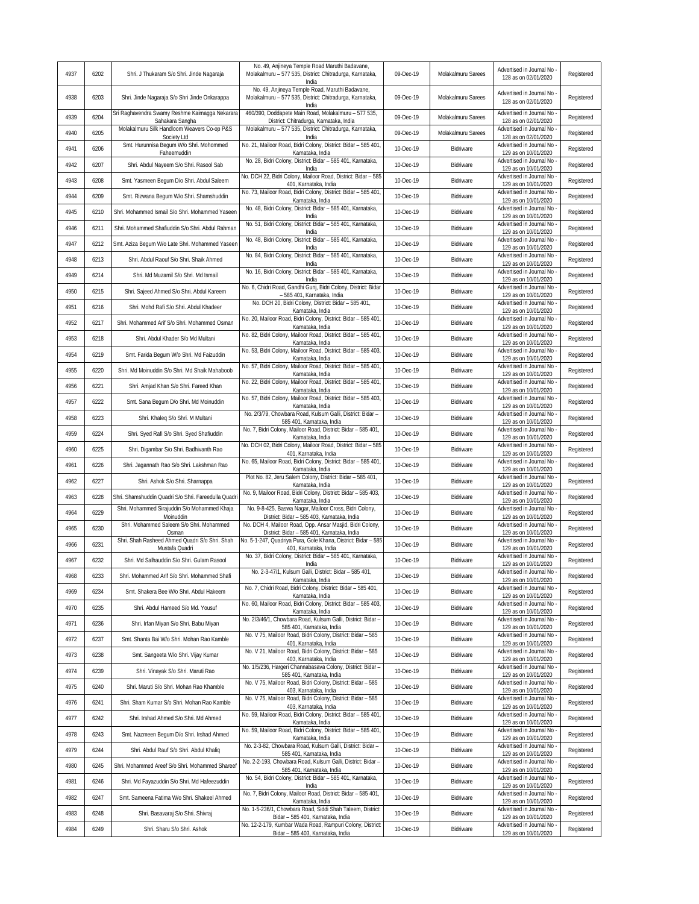| 4937 | 6202 | Shri. J Thukaram S/o Shri. Jinde Nagaraja                         | No. 49, Anjineya Temple Road Maruthi Badavane,<br>Molakalmuru - 577 535, District: Chitradurga, Karnataka,<br>India  | 09-Dec-19 | Molakalmuru Sarees | Advertised in Journal No<br>128 as on 02/01/2020   | Registered |
|------|------|-------------------------------------------------------------------|----------------------------------------------------------------------------------------------------------------------|-----------|--------------------|----------------------------------------------------|------------|
| 4938 | 6203 | Shri. Jinde Nagaraja S/o Shri Jinde Onkarappa                     | No. 49, Anjineya Temple Road, Maruthi Badavane,<br>Molakalmuru - 577 535, District: Chitradurga, Karnataka,<br>India | 09-Dec-19 | Molakalmuru Sarees | Advertised in Journal No<br>128 as on 02/01/2020   | Registered |
| 4939 | 6204 | Sri Raghavendra Swamy Reshme Kaimagga Nekarara<br>Sahakara Sangha | 460/390, Doddapete Main Road, Molakalmuru - 577 535,<br>District: Chitradurga, Karnataka, India                      | 09-Dec-19 | Molakalmuru Sarees | Advertised in Journal No<br>128 as on 02/01/2020   | Registered |
| 4940 | 6205 | Molakalmuru Silk Handloom Weavers Co-op P&S<br>Society Ltd        | Molakalmuru - 577 535, District: Chitradurga, Karnataka,<br>India                                                    | 09-Dec-19 | Molakalmuru Sarees | Advertised in Journal No                           | Registered |
| 4941 | 6206 | Smt. Hurunnisa Begum W/o Shri. Mohommed                           | No. 21, Mailoor Road, Bidri Colony, District: Bidar - 585 401,                                                       | 10-Dec-19 | Bidriware          | 128 as on 02/01/2020<br>Advertised in Journal No   | Registered |
| 4942 | 6207 | Faheemuddin<br>Shri. Abdul Nayeem S/o Shri. Rasool Sab            | Karnataka, India<br>No. 28, Bidri Colony, District: Bidar - 585 401, Karnataka,                                      | 10-Dec-19 | Bidriware          | 129 as on 10/01/2020<br>Advertised in Journal No   | Registered |
| 4943 | 6208 | Smt. Yasmeen Begum D/o Shri. Abdul Saleem                         | India<br>No. DCH 22, Bidri Colony, Mailoor Road, District: Bidar - 585                                               |           |                    | 129 as on 10/01/2020<br>Advertised in Journal No - |            |
|      |      |                                                                   | 401, Karnataka, India<br>No. 73, Mailoor Road, Bidri Colony, District: Bidar - 585 401,                              | 10-Dec-19 | Bidriware          | 129 as on 10/01/2020<br>Advertised in Journal No   | Registered |
| 4944 | 6209 | Smt. Rizwana Begum W/o Shri. Shamshuddin                          | Karnataka, India<br>No. 48, Bidri Colony, District: Bidar - 585 401, Karnataka,                                      | 10-Dec-19 | Bidriware          | 129 as on 10/01/2020<br>Advertised in Journal No   | Registered |
| 4945 | 6210 | Shri. Mohammed Ismail S/o Shri. Mohammed Yaseen                   | India<br>No. 51, Bidri Colony, District: Bidar - 585 401, Karnataka,                                                 | 10-Dec-19 | Bidriware          | 129 as on 10/01/2020<br>Advertised in Journal No   | Registered |
| 4946 | 6211 | Shri. Mohammed Shafiuddin S/o Shri. Abdul Rahman                  | India                                                                                                                | 10-Dec-19 | Bidriware          | 129 as on 10/01/2020                               | Registered |
| 4947 | 6212 | Smt. Aziza Begum W/o Late Shri. Mohammed Yaseen                   | No. 48, Bidri Colony, District: Bidar - 585 401, Karnataka,<br>India                                                 | 10-Dec-19 | Bidriware          | Advertised in Journal No<br>129 as on 10/01/2020   | Registered |
| 4948 | 6213 | Shri. Abdul Raouf S/o Shri. Shaik Ahmed                           | No. 84, Bidri Colony, District: Bidar - 585 401, Karnataka,<br>India                                                 | 10-Dec-19 | Bidriware          | Advertised in Journal No<br>129 as on 10/01/2020   | Registered |
| 4949 | 6214 | Shri. Md Muzamil S/o Shri. Md Ismail                              | No. 16, Bidri Colony, District: Bidar - 585 401, Karnataka,<br>India                                                 | 10-Dec-19 | Bidriware          | Advertised in Journal No<br>129 as on 10/01/2020   | Registered |
| 4950 | 6215 | Shri. Sajeed Ahmed S/o Shri. Abdul Kareem                         | No. 6, Chidri Road, Gandhi Gunj, Bidri Colony, District: Bidar<br>- 585 401, Karnataka, India                        | 10-Dec-19 | Bidriware          | Advertised in Journal No -<br>129 as on 10/01/2020 | Registered |
| 4951 | 6216 | Shri. Mohd Rafi S/o Shri. Abdul Khadeer                           | No. DCH 20, Bidri Colony, District: Bidar - 585 401,<br>Karnataka, India                                             | 10-Dec-19 | Bidriware          | Advertised in Journal No<br>129 as on 10/01/2020   | Registered |
| 4952 | 6217 | Shri. Mohammed Arif S/o Shri. Mohammed Osman                      | No. 20, Mailoor Road, Bidri Colony, District: Bidar - 585 401,<br>Karnataka, India                                   | 10-Dec-19 | Bidriware          | Advertised in Journal No<br>129 as on 10/01/2020   | Registered |
| 4953 | 6218 | Shri. Abdul Khader S/o Md Multani                                 | No. 82, Bidri Colony, Mailoor Road, District: Bidar - 585 401,                                                       | 10-Dec-19 | Bidriware          | Advertised in Journal No                           | Registered |
| 4954 | 6219 | Smt. Farida Begum W/o Shri. Md Faizuddin                          | Karnataka, India<br>No. 53, Bidri Colony, Mailoor Road, District: Bidar - 585 403,                                   | 10-Dec-19 | Bidriware          | 129 as on 10/01/2020<br>Advertised in Journal No   | Registered |
| 4955 | 6220 | Shri. Md Moinuddin S/o Shri. Md Shaik Mahaboob                    | Karnataka, India<br>No. 57, Bidri Colony, Mailoor Road, District: Bidar - 585 401,                                   | 10-Dec-19 | Bidriware          | 129 as on 10/01/2020<br>Advertised in Journal No   | Registered |
| 4956 | 6221 |                                                                   | Karnataka, India<br>No. 22, Bidri Colony, Mailoor Road, District: Bidar - 585 401,                                   |           |                    | 129 as on 10/01/2020<br>Advertised in Journal No   |            |
|      |      | Shri. Amjad Khan S/o Shri. Fareed Khan                            | Karnataka, India<br>No. 57, Bidri Colony, Mailoor Road, District: Bidar - 585 403,                                   | 10-Dec-19 | Bidriware          | 129 as on 10/01/2020<br>Advertised in Journal No   | Registered |
| 4957 | 6222 | Smt. Sana Begum D/o Shri. Md Moinuddin                            | Karnataka, India<br>No. 2/3/79, Chowbara Road, Kulsum Galli, District: Bidar -                                       | 10-Dec-19 | Bidriware          | 129 as on 10/01/2020<br>Advertised in Journal No   | Registered |
| 4958 | 6223 | Shri. Khaleg S/o Shri. M Multani                                  | 585 401, Karnataka, India<br>No. 7, Bidri Colony, Mailoor Road, District: Bidar - 585 401,                           | 10-Dec-19 | Bidriware          | 129 as on 10/01/2020<br>Advertised in Journal No   | Registered |
| 4959 | 6224 | Shri. Syed Rafi S/o Shri. Syed Shafiuddin                         | Karnataka, India<br>No. DCH 02, Bidri Colony, Mailoor Road, District: Bidar - 585                                    | 10-Dec-19 | Bidriware          | 129 as on 10/01/2020<br>Advertised in Journal No   | Registered |
| 4960 | 6225 | Shri. Digambar S/o Shri. Badhivanth Rao                           | 401, Karnataka, India                                                                                                | 10-Dec-19 | Bidriware          | 129 as on 10/01/2020                               | Registered |
| 4961 | 6226 | Shri. Jagannath Rao S/o Shri. Lakshman Rao                        | No. 65, Mailoor Road, Bidri Colony, District: Bidar - 585 401,<br>Karnataka, India                                   | 10-Dec-19 | Bidriware          | Advertised in Journal No<br>129 as on 10/01/2020   | Registered |
| 4962 | 6227 | Shri. Ashok S/o Shri. Sharnappa                                   | Plot No. 82, Jeru Salem Colony, District: Bidar - 585 401,<br>Karnataka, India                                       | 10-Dec-19 | Bidriware          | Advertised in Journal No<br>129 as on 10/01/2020   | Registered |
| 4963 | 6228 | Shri. Shamshuddin Quadri S/o Shri. Fareedulla Quadri              | No. 9, Mailoor Road, Bidri Colony, District: Bidar - 585 403,<br>Karnataka, India                                    | 10-Dec-19 | Bidriware          | Advertised in Journal No<br>129 as on 10/01/2020   | Registered |
| 4964 | 6229 | Shri. Mohammed Sirajuddin S/o Mohammed Khaja<br>Moinuddin         | No. 9-8-425, Baswa Nagar, Mailoor Cross, Bidri Colony,<br>District: Bidar - 585 403, Karnataka, India                | 10-Dec-19 | Bidriware          | Advertised in Journal No -<br>129 as on 10/01/2020 | Registered |
| 4965 | 6230 | Shri. Mohammed Saleem S/o Shri. Mohammed<br>Osman                 | No. DCH 4, Mailoor Road, Opp. Ansar Masjid, Bidri Colony,<br>District: Bidar - 585 401, Karnataka, India             | 10-Dec-19 | Bidriware          | Advertised in Journal No<br>129 as on 10/01/2020   | Registered |
| 4966 | 6231 | Shri. Shah Rasheed Ahmed Quadri S/o Shri. Shah<br>Mustafa Quadri  | No. 5-1-247, Quadriya Pura, Gole Khana, District: Bidar - 585<br>401, Karnataka, India                               | 10-Dec-19 | Bidriware          | Advertised in Journal No<br>129 as on 10/01/2020   | Registered |
| 4967 | 6232 | Shri. Md Salhauddin S/o Shri. Gulam Rasool                        | No. 37, Bidri Colony, District: Bidar - 585 401, Karnataka,                                                          | 10-Dec-19 | Bidriware          | Advertised in Journal No -<br>129 as on 10/01/2020 | Registered |
| 4968 | 6233 | Shri. Mohammed Arif S/o Shri. Mohammed Shafi                      | India<br>No. 2-3-47/1, Kulsum Galli, District: Bidar - 585 401,                                                      | 10-Dec-19 | Bidriware          | Advertised in Journal No -                         | Registered |
| 4969 | 6234 | Smt. Shakera Bee W/o Shri. Abdul Hakeem                           | Karnataka, India<br>No. 7, Chidri Road, Bidri Colony, District: Bidar - 585 401,                                     | 10-Dec-19 | Bidriware          | 129 as on 10/01/2020<br>Advertised in Journal No   | Registered |
| 4970 | 6235 | Shri. Abdul Hameed S/o Md. Yousuf                                 | Karnataka, India<br>No. 60, Mailoor Road, Bidri Colony, District: Bidar - 585 403,                                   | 10-Dec-19 | Bidriware          | 129 as on 10/01/2020<br>Advertised in Journal No   | Registered |
| 4971 |      |                                                                   | Karnataka, India<br>No. 2/3/46/1, Chowbara Road, Kulsum Galli, District: Bidar -                                     |           | Bidriware          | 129 as on 10/01/2020<br>Advertised in Journal No   |            |
|      | 6236 | Shri. Irfan Miyan S/o Shri. Babu Miyan                            | 585 401, Karnataka, India<br>No. V 75, Mailoor Road, Bidri Colony, District: Bidar - 585                             | 10-Dec-19 |                    | 129 as on 10/01/2020<br>Advertised in Journal No   | Registered |
| 4972 | 6237 | Smt. Shanta Bai W/o Shri. Mohan Rao Kamble                        | 401, Karnataka, India<br>No. V 21, Mailoor Road, Bidri Colony, District: Bidar - 585                                 | 10-Dec-19 | Bidriware          | 129 as on 10/01/2020<br>Advertised in Journal No   | Registered |
| 4973 | 6238 | Smt. Sangeeta W/o Shri. Vijay Kumar                               | 403, Karnataka, India<br>No. 1/5/236, Hargeri Channabasava Colony, District: Bidar -                                 | 10-Dec-19 | Bidriware          | 129 as on 10/01/2020<br>Advertised in Journal No   | Registered |
| 4974 | 6239 | Shri. Vinayak S/o Shri. Maruti Rao                                | 585 401, Karnataka, India<br>No. V 75, Mailoor Road, Bidri Colony, District: Bidar - 585                             | 10-Dec-19 | Bidriware          | 129 as on 10/01/2020<br>Advertised in Journal No   | Registered |
| 4975 | 6240 | Shri. Maruti S/o Shri. Mohan Rao Khamble                          | 403, Karnataka, India                                                                                                | 10-Dec-19 | Bidriware          | 129 as on 10/01/2020                               | Registered |
| 4976 | 6241 | Shri. Sham Kumar S/o Shri. Mohan Rao Kamble                       | No. V 75, Mailoor Road, Bidri Colony, District: Bidar - 585<br>403, Karnataka, India                                 | 10-Dec-19 | Bidriware          | Advertised in Journal No<br>129 as on 10/01/2020   | Registered |
| 4977 | 6242 | Shri. Irshad Ahmed S/o Shri. Md Ahmed                             | No. 59, Mailoor Road, Bidri Colony, District: Bidar - 585 401,<br>Karnataka, India                                   | 10-Dec-19 | Bidriware          | Advertised in Journal No<br>129 as on 10/01/2020   | Registered |
| 4978 | 6243 | Smt. Nazmeen Begum D/o Shri. Irshad Ahmed                         | No. 59, Mailoor Road, Bidri Colony, District: Bidar - 585 401,<br>Karnataka, India                                   | 10-Dec-19 | Bidriware          | Advertised in Journal No<br>129 as on 10/01/2020   | Registered |
| 4979 | 6244 | Shri. Abdul Rauf S/o Shri. Abdul Khaliq                           | No. 2-3-82, Chowbara Road, Kulsum Galli, District: Bidar -<br>585 401, Karnataka, India                              | 10-Dec-19 | Bidriware          | Advertised in Journal No -<br>129 as on 10/01/2020 | Registered |
| 4980 | 6245 | Shri. Mohammed Areef S/o Shri. Mohammed Shareef                   | No. 2-2-193, Chowbara Road, Kulsum Galli, District: Bidar -<br>585 401, Karnataka, India                             | 10-Dec-19 | Bidriware          | Advertised in Journal No<br>129 as on 10/01/2020   | Registered |
| 4981 | 6246 | Shri. Md Fayazuddin S/o Shri. Md Hafeezuddin                      | No. 54, Bidri Colony, District: Bidar - 585 401, Karnataka,<br>India                                                 | 10-Dec-19 | Bidriware          | Advertised in Journal No<br>129 as on 10/01/2020   | Registered |
| 4982 | 6247 | Smt. Sameena Fatima W/o Shri. Shakeel Ahmed                       | No. 7, Bidri Colony, Mailoor Road, District: Bidar - 585 401,<br>Karnataka, India                                    | 10-Dec-19 | Bidriware          | Advertised in Journal No<br>129 as on 10/01/2020   | Registered |
| 4983 | 6248 | Shri. Basavaraj S/o Shri. Shivraj                                 | No. 1-5-236/1, Chowbara Road, Siddi Shah Taleem, District:<br>Bidar - 585 401, Karnataka, India                      | 10-Dec-19 | Bidriware          | Advertised in Journal No -<br>129 as on 10/01/2020 | Registered |
| 4984 | 6249 | Shri. Sharu S/o Shri. Ashok                                       | No. 12-2-179, Kumbar Wada Road, Rampuri Colony, District:<br>Bidar - 585 403, Karnataka, India                       | 10-Dec-19 | Bidriware          | Advertised in Journal No<br>129 as on 10/01/2020   | Registered |
|      |      |                                                                   |                                                                                                                      |           |                    |                                                    |            |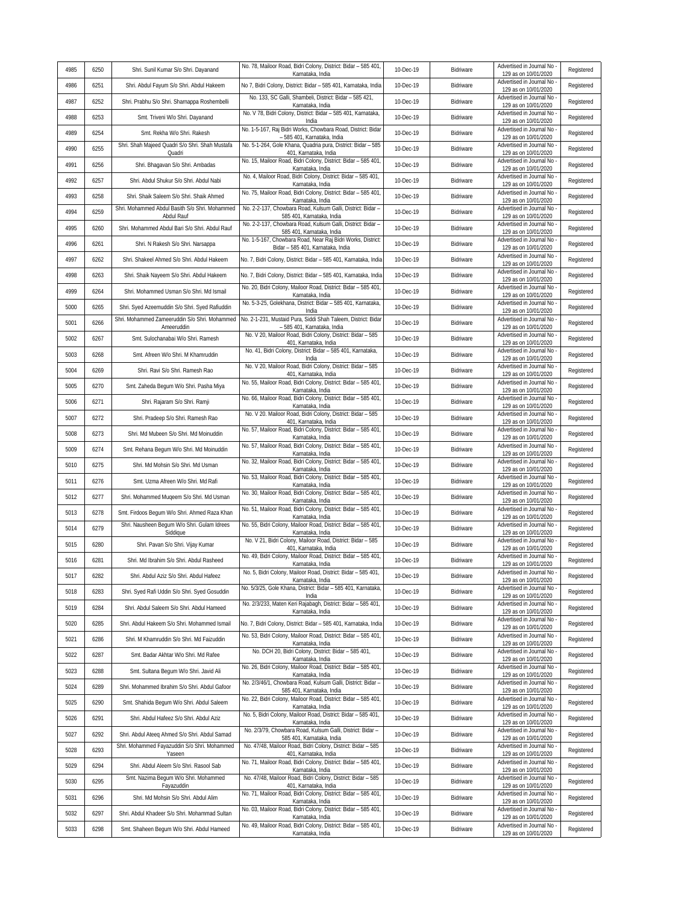| 4985         | 6250         | Shri. Sunil Kumar S/o Shri. Dayanand                                                          | No. 78, Mailoor Road, Bidri Colony, District: Bidar - 585 401,<br>Karnataka, India               | 10-Dec-19              | Bidriware              | Advertised in Journal No<br>129 as on 10/01/2020   | Registered |
|--------------|--------------|-----------------------------------------------------------------------------------------------|--------------------------------------------------------------------------------------------------|------------------------|------------------------|----------------------------------------------------|------------|
| 4986         | 6251         | Shri. Abdul Fayum S/o Shri. Abdul Hakeem                                                      | No 7, Bidri Colony, District: Bidar - 585 401, Karnataka, India                                  | 10-Dec-19              | Bidriware              | Advertised in Journal No<br>129 as on 10/01/2020   | Registered |
| 4987         | 6252         | Shri. Prabhu S/o Shri. Sharnappa Roshembelli                                                  | No. 133, SC Galli, Shambeli, District: Bidar - 585 421,<br>Karnataka, India                      | 10-Dec-19              | Bidriware              | Advertised in Journal No<br>129 as on 10/01/2020   | Registered |
| 4988         | 6253         | Smt. Triveni W/o Shri. Dayanand                                                               | No. V 78, Bidri Colony, District: Bidar - 585 401, Karnataka,<br>India                           | 10-Dec-19              | Bidriware              | Advertised in Journal No<br>129 as on 10/01/2020   | Registered |
| 4989         | 6254         | Smt. Rekha W/o Shri. Rakesh                                                                   | No. 1-5-167, Raj Bidri Works, Chowbara Road, District: Bidar<br>- 585 401, Karnataka, India      | 10-Dec-19              | Bidriware              | Advertised in Journal No<br>129 as on 10/01/2020   | Registered |
| 4990         | 6255         | Shri. Shah Majeed Quadri S/o Shri. Shah Mustafa<br>Quadri                                     | No. 5-1-264, Gole Khana, Quadria pura, District: Bidar - 585<br>401, Karnataka, India            | 10-Dec-19              | Bidriware              | Advertised in Journal No<br>129 as on 10/01/2020   | Registered |
| 4991         | 6256         | Shri. Bhagavan S/o Shri. Ambadas                                                              | No. 15, Mailoor Road, Bidri Colony, District: Bidar - 585 401,<br>Karnataka, India               | 10-Dec-19              | Bidriware              | Advertised in Journal No<br>129 as on 10/01/2020   | Registered |
| 4992         | 6257         | Shri. Abdul Shukur S/o Shri. Abdul Nabi                                                       | No. 4, Mailoor Road, Bidri Colony, District: Bidar - 585 401,<br>Karnataka, India                | 10-Dec-19              | Bidriware              | Advertised in Journal No<br>129 as on 10/01/2020   | Registered |
| 4993         | 6258         | Shri. Shaik Saleem S/o Shri. Shaik Ahmed                                                      | No. 75, Mailoor Road, Bidri Colony, District: Bidar - 585 401,<br>Karnataka, India               | 10-Dec-19              | Bidriware              | Advertised in Journal No<br>129 as on 10/01/2020   | Registered |
| 4994         | 6259         | Shri. Mohammed Abdul Basith S/o Shri. Mohammed<br>Abdul Rauf                                  | No. 2-2-137, Chowbara Road, Kulsum Galli, District: Bidar -<br>585 401, Karnataka, India         | 10-Dec-19              | Bidriware              | Advertised in Journal No<br>129 as on 10/01/2020   | Registered |
| 4995         | 6260         | Shri. Mohammed Abdul Bari S/o Shri. Abdul Rauf                                                | No. 2-2-137, Chowbara Road, Kulsum Galli, District: Bidar -<br>585 401, Karnataka, India         | 10-Dec-19              | Bidriware              | Advertised in Journal No<br>129 as on 10/01/2020   | Registered |
| 4996         | 6261         | Shri. N Rakesh S/o Shri. Narsappa                                                             | No. 1-5-167, Chowbara Road, Near Raj Bidri Works, District:<br>Bidar - 585 401, Karnataka, India | 10-Dec-19              | Bidriware              | Advertised in Journal No<br>129 as on 10/01/2020   | Registered |
| 4997         | 6262         | Shri. Shakeel Ahmed S/o Shri. Abdul Hakeem                                                    | No. 7, Bidri Colony, District: Bidar - 585 401, Karnataka, India                                 | 10-Dec-19              | Bidriware              | Advertised in Journal No<br>129 as on 10/01/2020   | Registered |
| 4998         | 6263         | Shri. Shaik Nayeem S/o Shri. Abdul Hakeem                                                     | No. 7, Bidri Colony, District: Bidar - 585 401, Karnataka, India                                 | 10-Dec-19              | Bidriware              | Advertised in Journal No<br>129 as on 10/01/2020   | Registered |
| 4999         | 6264         | Shri. Mohammed Usman S/o Shri. Md Ismail                                                      | No. 20, Bidri Colony, Mailoor Road, District: Bidar - 585 401,<br>Karnataka, India               | 10-Dec-19              | Bidriware              | Advertised in Journal No -<br>129 as on 10/01/2020 | Registered |
| 5000         | 6265         | Shri. Syed Azeemuddin S/o Shri. Syed Rafiuddin                                                | No. 5-3-25, Golekhana, District: Bidar - 585 401, Karnataka,                                     | 10-Dec-19              | Bidriware              | Advertised in Journal No                           | Registered |
| 5001         | 6266         | Shri. Mohammed Zameeruddin S/o Shri. Mohammed                                                 | India<br>No. 2-1-231, Mustaid Pura, Siddi Shah Taleem, District: Bidar                           | 10-Dec-19              | Bidriware              | 129 as on 10/01/2020<br>Advertised in Journal No   | Registered |
| 5002         | 6267         | Ameeruddin<br>Smt. Sulochanabai W/o Shri. Ramesh                                              | - 585 401, Karnataka, India<br>No. V 20, Mailoor Road, Bidri Colony, District: Bidar - 585       | 10-Dec-19              | Bidriware              | 129 as on 10/01/2020<br>Advertised in Journal No   | Registered |
| 5003         | 6268         | Smt. Afreen W/o Shri. M Khamruddin                                                            | 401, Karnataka, India<br>No. 41, Bidri Colony, District: Bidar - 585 401, Karnataka,             | 10-Dec-19              | Bidriware              | 129 as on 10/01/2020<br>Advertised in Journal No   | Registered |
| 5004         | 6269         | Shri. Ravi S/o Shri. Ramesh Rao                                                               | India<br>No. V 20, Mailoor Road, Bidri Colony, District: Bidar - 585                             | 10-Dec-19              | Bidriware              | 129 as on 10/01/2020<br>Advertised in Journal No   | Registered |
| 5005         | 6270         | Smt. Zaheda Begum W/o Shri. Pasha Miya                                                        | 401, Karnataka, India<br>No. 55, Mailoor Road, Bidri Colony, District: Bidar - 585 401           | 10-Dec-19              | Bidriware              | 129 as on 10/01/2020<br>Advertised in Journal No   | Registered |
| 5006         | 6271         | Shri. Rajaram S/o Shri. Ramji                                                                 | Karnataka, India<br>No. 66, Mailoor Road, Bidri Colony, District: Bidar - 585 401,               | 10-Dec-19              | Bidriware              | 129 as on 10/01/2020<br>Advertised in Journal No   | Registered |
| 5007         | 6272         | Shri. Pradeep S/o Shri. Ramesh Rao                                                            | Karnataka, India<br>No. V 20. Mailoor Road, Bidri Colony, District: Bidar - 585                  | 10-Dec-19              | Bidriware              | 129 as on 10/01/2020<br>Advertised in Journal No   | Registered |
| 5008         | 6273         | Shri. Md Mubeen S/o Shri. Md Moinuddin                                                        | 401, Karnataka, India<br>No. 57, Mailoor Road, Bidri Colony, District: Bidar - 585 401,          | 10-Dec-19              | Bidriware              | 129 as on 10/01/2020<br>Advertised in Journal No   | Registered |
| 5009         | 6274         | Smt. Rehana Begum W/o Shri. Md Moinuddin                                                      | Karnataka, India<br>No. 57, Mailoor Road, Bidri Colony, District: Bidar - 585 401,               | 10-Dec-19              | Bidriware              | 129 as on 10/01/2020<br>Advertised in Journal No   | Registered |
| 5010         | 6275         | Shri. Md Mohsin S/o Shri. Md Usman                                                            | Karnataka, India<br>No. 32, Mailoor Road, Bidri Colony, District: Bidar - 585 401,               | 10-Dec-19              | Bidriware              | 129 as on 10/01/2020<br>Advertised in Journal No   | Registered |
| 5011         | 6276         | Smt. Uzma Afreen W/o Shri. Md Rafi                                                            | Karnataka, India<br>No. 53, Mailoor Road, Bidri Colony, District: Bidar - 585 401,               | 10-Dec-19              | Bidriware              | 129 as on 10/01/2020<br>Advertised in Journal No   | Registered |
| 5012         | 6277         | Shri. Mohammed Muqeem S/o Shri. Md Usman                                                      | Karnataka, India<br>No. 30, Mailoor Road, Bidri Colony, District: Bidar - 585 401                | 10-Dec-19              | Bidriware              | 129 as on 10/01/2020<br>Advertised in Journal No   | Registered |
| 5013         | 6278         | Smt. Firdoos Begum W/o Shri. Ahmed Raza Khan                                                  | Karnataka, India<br>No. 51, Mailoor Road, Bidri Colony, District: Bidar - 585 401,               | 10-Dec-19              | Bidriware              | 129 as on 10/01/2020<br>Advertised in Journal No   | Registered |
| 5014         | 6279         | Shri. Nausheen Begum W/o Shri. Gulam Idrees                                                   | Karnataka, India<br>No. 55, Bidri Colony, Mailoor Road, District: Bidar - 585 401,               | 10-Dec-19              | Bidriware              | 129 as on 10/01/2020<br>Advertised in Journal No   | Registered |
| 5015         | 6280         | Siddique<br>Shri. Pavan S/o Shri. Vijay Kumar                                                 | Karnataka, India<br>No. V 21, Bidri Colony, Mailoor Road, District: Bidar - 585                  | 10-Dec-19              | Bidriware              | 129 as on 10/01/2020<br>Advertised in Journal No - | Registered |
| 5016         | 6281         | Shri. Md Ibrahim S/o Shri. Abdul Rasheed                                                      | 401, Karnataka, India<br>No. 49, Bidri Colony, Mailoor Road, District: Bidar - 585 401           | 10-Dec-19              | Bidriware              | 129 as on 10/01/2020<br>Advertised in Journal No   |            |
|              |              |                                                                                               | Karnataka, India<br>No. 5, Bidri Colony, Mailoor Road, District: Bidar - 585 401,                |                        |                        | 129 as on 10/01/2020<br>Advertised in Journal No - | Registered |
| 5017<br>5018 | 6282<br>6283 | Shri. Abdul Aziz S/o Shri. Abdul Hafeez                                                       | Karnataka, India<br>No. 5/3/25, Gole Khana, District: Bidar - 585 401, Karnataka,                | 10-Dec-19<br>10-Dec-19 | Bidriware<br>Bidriware | 129 as on 10/01/2020<br>Advertised in Journal No   | Registered |
| 5019         | 6284         | Shri. Syed Rafi Uddin S/o Shri. Syed Gosuddin                                                 | India<br>No. 2/3/233, Maten Keri Rajabagh, District: Bidar - 585 401,                            |                        |                        | 129 as on 10/01/2020<br>Advertised in Journal No   | Registered |
|              |              | Shri. Abdul Saleem S/o Shri. Abdul Hameed                                                     | Karnataka, India<br>No. 7, Bidri Colony, District: Bidar - 585 401, Karnataka, India             | 10-Dec-19              | Bidriware              | 129 as on 10/01/2020<br>Advertised in Journal No - | Registered |
| 5020         | 6285         | Shri. Abdul Hakeem S/o Shri. Mohammed Ismail                                                  | No. 53, Bidri Colony, Mailoor Road, District: Bidar - 585 401,                                   | 10-Dec-19              | Bidriware              | 129 as on 10/01/2020<br>Advertised in Journal No   | Registered |
| 5021         | 6286         | Shri. M Khamruddin S/o Shri. Md Faizuddin                                                     | Karnataka, India<br>No. DCH 20, Bidri Colony, District: Bidar - 585 401,                         | 10-Dec-19              | Bidriware              | 129 as on 10/01/2020<br>Advertised in Journal No   | Registered |
| 5022         | 6287         | Smt. Badar Akhtar W/o Shri. Md Rafee                                                          | Karnataka, India<br>No. 26, Bidri Colony, Mailoor Road, District: Bidar - 585 401                | 10-Dec-19              | Bidriware              | 129 as on 10/01/2020<br>Advertised in Journal No   | Registered |
| 5023         | 6288         | Smt. Sultana Begum W/o Shri. Javid Ali                                                        | Karnataka, India<br>No. 2/3/46/1, Chowbara Road, Kulsum Galli, District: Bidar                   | 10-Dec-19              | Bidriware              | 129 as on 10/01/2020<br>Advertised in Journal No   | Registered |
| 5024         | 6289         | Shri. Mohammed Ibrahim S/o Shri. Abdul Gafoor                                                 | 585 401, Karnataka, India<br>No. 22, Bidri Colony, Mailoor Road, District: Bidar - 585 401,      | 10-Dec-19              | Bidriware              | 129 as on 10/01/2020<br>Advertised in Journal No   | Registered |
| 5025         | 6290         | Smt. Shahida Begum W/o Shri. Abdul Saleem                                                     | Karnataka, India<br>No. 5, Bidri Colony, Mailoor Road, District: Bidar - 585 401,                | 10-Dec-19              | Bidriware              | 129 as on 10/01/2020<br>Advertised in Journal No - | Registered |
| 5026         | 6291         | Shri. Abdul Hafeez S/o Shri. Abdul Aziz                                                       | Karnataka, India<br>No. 2/3/79, Chowbara Road, Kulsum Galli, District: Bidar -                   | 10-Dec-19              | Bidriware              | 129 as on 10/01/2020<br>Advertised in Journal No   | Registered |
| 5027         | 6292         | Shri. Abdul Ateeq Ahmed S/o Shri. Abdul Samad<br>Shri. Mohammed Fayazuddin S/o Shri. Mohammed | 585 401, Karnataka, India<br>No. 47/48, Mailoor Road, Bidri Colony, District: Bidar - 585        | 10-Dec-19              | Bidriware              | 129 as on 10/01/2020<br>Advertised in Journal No   | Registered |
| 5028         | 6293         | Yaseen                                                                                        | 401, Karnataka, India<br>No. 71, Mailoor Road, Bidri Colony, District: Bidar - 585 401,          | 10-Dec-19              | Bidriware              | 129 as on 10/01/2020<br>Advertised in Journal No   | Registered |
| 5029         | 6294         | Shri. Abdul Aleem S/o Shri. Rasool Sab<br>Smt. Nazima Begum W/o Shri. Mohammed                | Karnataka, India<br>No. 47/48, Mailoor Road, Bidri Colony, District: Bidar - 585                 | 10-Dec-19              | Bidriware              | 129 as on 10/01/2020<br>Advertised in Journal No   | Registered |
| 5030         | 6295         | Fayazuddin                                                                                    | 401, Karnataka, India<br>No. 71, Mailoor Road, Bidri Colony, District: Bidar - 585 401,          | 10-Dec-19              | Bidriware              | 129 as on 10/01/2020<br>Advertised in Journal No   | Registered |
| 5031         | 6296         | Shri. Md Mohsin S/o Shri. Abdul Alim                                                          | Karnataka, India<br>No. 03, Mailoor Road, Bidri Colony, District: Bidar - 585 401,               | 10-Dec-19              | Bidriware              | 129 as on 10/01/2020<br>Advertised in Journal No   | Registered |
| 5032         | 6297         | Shri. Abdul Khadeer S/o Shri. Mohammad Sultan                                                 | Karnataka, India<br>No. 49, Mailoor Road, Bidri Colony, District: Bidar - 585 401,               | 10-Dec-19              | Bidriware              | 129 as on 10/01/2020<br>Advertised in Journal No   | Registered |
| 5033         | 6298         | Smt. Shaheen Begum W/o Shri. Abdul Hameed                                                     | Karnataka, India                                                                                 | 10-Dec-19              | Bidriware              | 129 as on 10/01/2020                               | Registered |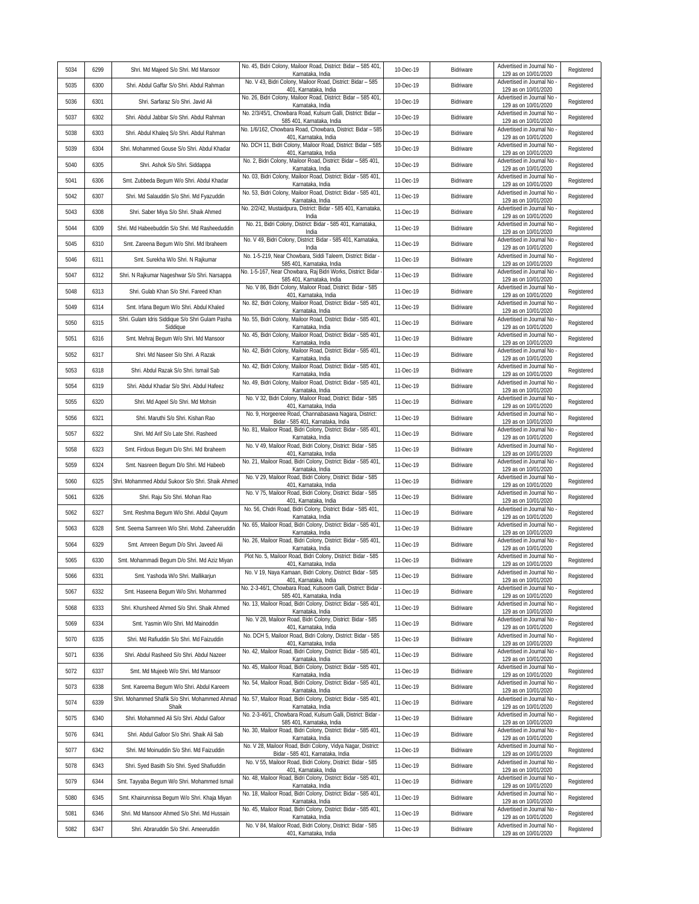| 5034         | 6299         | Shri. Md Majeed S/o Shri. Md Mansoor                                             | No. 45, Bidri Colony, Mailoor Road, District: Bidar - 585 401,<br>Karnataka, India                  | 10-Dec-19              | Bidriware              | Advertised in Journal No<br>129 as on 10/01/2020   | Registered |
|--------------|--------------|----------------------------------------------------------------------------------|-----------------------------------------------------------------------------------------------------|------------------------|------------------------|----------------------------------------------------|------------|
| 5035         | 6300         | Shri. Abdul Gaffar S/o Shri. Abdul Rahman                                        | No. V 43, Bidri Colony, Mailoor Road, District: Bidar - 585<br>401, Karnataka, India                | 10-Dec-19              | Bidriware              | Advertised in Journal No<br>129 as on 10/01/2020   | Registered |
| 5036         | 6301         | Shri. Sarfaraz S/o Shri. Javid Ali                                               | No. 26, Bidri Colony, Mailoor Road, District: Bidar - 585 401,<br>Karnataka, India                  | 10-Dec-19              | Bidriware              | Advertised in Journal No<br>129 as on 10/01/2020   | Registered |
| 5037         | 6302         | Shri. Abdul Jabbar S/o Shri. Abdul Rahman                                        | No. 2/3/45/1, Chowbara Road, Kulsum Galli, District: Bidar -<br>585 401, Karnataka, India           | 10-Dec-19              | Bidriware              | Advertised in Journal No<br>129 as on 10/01/2020   | Registered |
| 5038         | 6303         | Shri. Abdul Khaleq S/o Shri. Abdul Rahman                                        | No. 1/6/162, Chowbara Road, Chowbara, District: Bidar - 585<br>401, Karnataka, India                | 10-Dec-19              | Bidriware              | Advertised in Journal No<br>129 as on 10/01/2020   | Registered |
| 5039         | 6304         | Shri. Mohammed Gouse S/o Shri. Abdul Khadar                                      | No. DCH 11, Bidri Colony, Mailoor Road, District: Bidar - 585<br>401, Karnataka, India              | 10-Dec-19              | Bidriware              | Advertised in Journal No<br>129 as on 10/01/2020   | Registered |
| 5040         | 6305         | Shri. Ashok S/o Shri. Siddappa                                                   | No. 2, Bidri Colony, Mailoor Road, District: Bidar - 585 401,<br>Karnataka, India                   | 10-Dec-19              | Bidriware              | Advertised in Journal No<br>129 as on 10/01/2020   | Registered |
| 5041         | 6306         | Smt. Zubbeda Begum W/o Shri. Abdul Khadar                                        | No. 03, Bidri Colony, Mailoor Road, District: Bidar - 585 401,<br>Karnataka, India                  | 11-Dec-19              | Bidriware              | Advertised in Journal No<br>129 as on 10/01/2020   | Registered |
| 5042         | 6307         | Shri. Md Salauddin S/o Shri. Md Fyazuddin                                        | No. 53, Bidri Colony, Mailoor Road, District: Bidar - 585 401,<br>Karnataka, India                  | 11-Dec-19              | Bidriware              | Advertised in Journal No<br>129 as on 10/01/2020   | Registered |
| 5043         | 6308         | Shri. Saber Miya S/o Shri. Shaik Ahmed                                           | No. 2/2/42, Mustaidpura, District: Bidar - 585 401, Karnataka,<br>India                             | 11-Dec-19              | Bidriware              | Advertised in Journal No -<br>129 as on 10/01/2020 | Registered |
| 5044         | 6309         | Shri. Md Habeebuddin S/o Shri. Md Rasheeduddin                                   | No. 21, Bidri Colony, District: Bidar - 585 401, Karnataka,<br>India                                | 11-Dec-19              | Bidriware              | Advertised in Journal No<br>129 as on 10/01/2020   | Registered |
| 5045         | 6310         | Smt. Zareena Begum W/o Shri. Md Ibraheem                                         | No. V 49, Bidri Colony, District: Bidar - 585 401, Karnataka,<br>India                              | 11-Dec-19              | Bidriware              | Advertised in Journal No<br>129 as on 10/01/2020   | Registered |
| 5046         | 6311         | Smt. Surekha W/o Shri. N Rajkumar                                                | No. 1-5-219, Near Chowbara, Siddi Taleem, District: Bidar -<br>585 401, Karnataka, India            | 11-Dec-19              | Bidriware              | Advertised in Journal No<br>129 as on 10/01/2020   | Registered |
| 5047         | 6312         | Shri. N Rajkumar Nageshwar S/o Shri. Narsappa                                    | No. 1-5-167, Near Chowbara, Raj Bidri Works, District: Bidar<br>585 401, Karnataka, India           | 11-Dec-19              | Bidriware              | Advertised in Journal No<br>129 as on 10/01/2020   | Registered |
| 5048         | 6313         | Shri. Gulab Khan S/o Shri. Fareed Khan                                           | No. V 86, Bidri Colony, Mailoor Road, District: Bidar - 585<br>401, Karnataka, India                | 11-Dec-19              | Bidriware              | Advertised in Journal No -<br>129 as on 10/01/2020 | Registered |
| 5049         | 6314         | Smt. Irfana Begum W/o Shri. Abdul Khaled                                         | No. 82, Bidri Colony, Mailoor Road, District: Bidar - 585 401,                                      | 11-Dec-19              | Bidriware              | Advertised in Journal No                           | Registered |
| 5050         | 6315         | Shri. Gulam Idris Siddique S/o Shri Gulam Pasha                                  | Karnataka, India<br>No. 55, Bidri Colony, Mailoor Road, District: Bidar - 585 401,                  | 11-Dec-19              | Bidriware              | 129 as on 10/01/2020<br>Advertised in Journal No   | Registered |
| 5051         | 6316         | Siddique<br>Smt. Mehraj Begum W/o Shri. Md Mansoor                               | Karnataka, India<br>No. 45, Bidri Colony, Mailoor Road, District: Bidar - 585 401,                  | 11-Dec-19              | Bidriware              | 129 as on 10/01/2020<br>Advertised in Journal No - | Registered |
| 5052         | 6317         | Shri. Md Naseer S/o Shri. A Razak                                                | Karnataka, India<br>No. 42, Bidri Colony, Mailoor Road, District: Bidar - 585 401,                  | 11-Dec-19              | Bidriware              | 129 as on 10/01/2020<br>Advertised in Journal No   | Registered |
| 5053         | 6318         | Shri. Abdul Razak S/o Shri. Ismail Sab                                           | Karnataka, India<br>No. 42, Bidri Colony, Mailoor Road, District: Bidar - 585 401,                  | 11-Dec-19              | Bidriware              | 129 as on 10/01/2020<br>Advertised in Journal No   | Registered |
| 5054         | 6319         | Shri. Abdul Khadar S/o Shri. Abdul Hafeez                                        | Karnataka, India<br>No. 49, Bidri Colony, Mailoor Road, District: Bidar - 585 401,                  | 11-Dec-19              | Bidriware              | 129 as on 10/01/2020<br>Advertised in Journal No   | Registered |
| 5055         | 6320         | Shri. Md Aqeel S/o Shri. Md Mohsin                                               | Karnataka, India<br>No. V 32, Bidri Colony, Mailoor Road, District: Bidar - 585                     | 11-Dec-19              | Bidriware              | 129 as on 10/01/2020<br>Advertised in Journal No   | Registered |
| 5056         | 6321         | Shri. Maruthi S/o Shri. Kishan Rao                                               | 401, Karnataka, India<br>No. 9, Horgeeree Road, Channabasawa Nagara, District:                      | 11-Dec-19              | Bidriware              | 129 as on 10/01/2020<br>Advertised in Journal No   | Registered |
| 5057         | 6322         | Shri. Md Arif S/o Late Shri. Rasheed                                             | Bidar - 585 401, Karnataka, India<br>No. 81, Mailoor Road, Bidri Colony, District: Bidar - 585 401, | 11-Dec-19              | Bidriware              | 129 as on 10/01/2020<br>Advertised in Journal No   | Registered |
| 5058         | 6323         | Smt. Firdous Begum D/o Shri. Md Ibraheem                                         | Karnataka, India<br>No. V 49, Mailoor Road, Bidri Colony, District: Bidar - 585                     | 11-Dec-19              | Bidriware              | 129 as on 10/01/2020<br>Advertised in Journal No - | Registered |
| 5059         | 6324         | Smt. Nasreen Begum D/o Shri. Md Habeeb                                           | 401, Karnataka, India<br>No. 21, Mailoor Road, Bidri Colony, District: Bidar - 585 401,             | 11-Dec-19              | Bidriware              | 129 as on 10/01/2020<br>Advertised in Journal No   | Registered |
| 5060         | 6325         | Shri. Mohammed Abdul Sukoor S/o Shri. Shaik Ahmed                                | Karnataka, India<br>No. V 29, Mailoor Road, Bidri Colony, District: Bidar - 585                     | 11-Dec-19              | Bidriware              | 129 as on 10/01/2020<br>Advertised in Journal No   | Registered |
| 5061         | 6326         | Shri. Raju S/o Shri. Mohan Rao                                                   | 401, Karnataka, India<br>No. V 75, Mailoor Road, Bidri Colony, District: Bidar - 585                | 11-Dec-19              | Bidriware              | 129 as on 10/01/2020<br>Advertised in Journal No - | Registered |
| 5062         | 6327         | Smt. Reshma Begum W/o Shri. Abdul Qayum                                          | 401, Karnataka, India<br>No. 56, Chidri Road, Bidri Colony, District: Bidar - 585 401,              | 11-Dec-19              | Bidriware              | 129 as on 10/01/2020<br>Advertised in Journal No   | Registered |
| 5063         | 6328         | Smt. Seema Samreen W/o Shri. Mohd. Zaheeruddin                                   | Karnataka, India<br>No. 65, Mailoor Road, Bidri Colony, District: Bidar - 585 401,                  | 11-Dec-19              | Bidriware              | 129 as on 10/01/2020<br>Advertised in Journal No   | Registered |
| 5064         | 6329         | Smt. Amreen Begum D/o Shri. Javeed Ali                                           | Karnataka, India<br>No. 26, Mailoor Road, Bidri Colony, District: Bidar - 585 401,                  | 11-Dec-19              | Bidriware              | 129 as on 10/01/2020<br>Advertised in Journal No - | Registered |
| 5065         | 6330         | Smt. Mohammadi Begum D/o Shri. Md Aziz Miyan                                     | Karnataka, India<br>Plot No. 5, Mailoor Road, Bidri Colony, District: Bidar - 585                   | 11-Dec-19              | Bidriware              | 129 as on 10/01/2020<br>Advertised in Journal No   | Registered |
| 5066         | 6331         | Smt. Yashoda W/o Shri. Mallikarjun                                               | 401, Karnataka, India<br>No. V 19, Naya Kamaan, Bidri Colony, District: Bidar - 585                 | 11-Dec-19              | Bidriware              | 129 as on 10/01/2020<br>Advertised in Journal No - | Registered |
| 5067         | 6332         | Smt. Haseena Begum W/o Shri. Mohammed                                            | 401, Karnataka, India<br>No. 2-3-46/1, Chowbara Road, Kulsoom Galli, District: Bidar -              | 11-Dec-19              | Bidriware              | 129 as on 10/01/2020<br>Advertised in Journal No   | Registered |
| 5068         | 6333         | Shri. Khursheed Ahmed S/o Shri. Shaik Ahmed                                      | 585 401, Karnataka, India<br>No. 13, Mailoor Road, Bidri Colony, District: Bidar - 585 401,         | 11-Dec-19              | Bidriware              | 129 as on 10/01/2020<br>Advertised in Journal No - | Registered |
| 5069         | 6334         | Smt. Yasmin W/o Shri. Md Mainoddin                                               | Karnataka, India<br>No. V 28, Mailoor Road, Bidri Colony, District: Bidar - 585                     | 11-Dec-19              | Bidriware              | 129 as on 10/01/2020<br>Advertised in Journal No - | Registered |
| 5070         | 6335         | Shri. Md Rafiuddin S/o Shri. Md Faizuddin                                        | 401, Karnataka, India<br>No. DCH 5, Mailoor Road, Bidri Colony, District: Bidar - 585               | 11-Dec-19              | Bidriware              | 129 as on 10/01/2020<br>Advertised in Journal No   | Registered |
| 5071         | 6336         | Shri. Abdul Rasheed S/o Shri. Abdul Nazeer                                       | 401, Karnataka, India<br>No. 42, Mailoor Road, Bidri Colony, District: Bidar - 585 401,             | 11-Dec-19              | Bidriware              | 129 as on 10/01/2020<br>Advertised in Journal No - | Registered |
| 5072         | 6337         |                                                                                  | Karnataka, India<br>No. 45, Mailoor Road, Bidri Colony, District: Bidar - 585 401,                  | 11-Dec-19              | Bidriware              | 129 as on 10/01/2020<br>Advertised in Journal No - | Registered |
| 5073         | 6338         | Smt. Md Mujeeb W/o Shri. Md Mansoor<br>Smt. Kareema Begum W/o Shri. Abdul Kareem | Karnataka, India<br>No. 54, Mailoor Road, Bidri Colony, District: Bidar - 585 401,                  | 11-Dec-19              | Bidriware              | 129 as on 10/01/2020<br>Advertised in Journal No   | Registered |
| 5074         | 6339         | Shri. Mohammed Shafik S/o Shri. Mohammed Ahmad                                   | Karnataka, India<br>No. 57, Mailoor Road, Bidri Colony, District: Bidar - 585 401,                  | 11-Dec-19              | Bidriware              | 129 as on 10/01/2020<br>Advertised in Journal No - | Registered |
| 5075         | 6340         | Shaik                                                                            | Karnataka, India<br>No. 2-3-46/1, Chowbara Road, Kulsum Galli, District: Bidar -                    | 11-Dec-19              |                        | 129 as on 10/01/2020<br>Advertised in Journal No - |            |
| 5076         | 6341         | Shri. Mohammed Ali S/o Shri. Abdul Gafoor                                        | 585 401, Karnataka, India<br>No. 30, Mailoor Road, Bidri Colony, District: Bidar - 585 401,         | 11-Dec-19              | Bidriware<br>Bidriware | 129 as on 10/01/2020<br>Advertised in Journal No   | Registered |
|              |              | Shri. Abdul Gafoor S/o Shri. Shaik Ali Sab                                       | Karnataka, India<br>No. V 28, Mailoor Road, Bidri Colony, Vidya Nagar, District:                    |                        |                        | 129 as on 10/01/2020<br>Advertised in Journal No   | Registered |
| 5077<br>5078 | 6342<br>6343 | Shri. Md Moinuddin S/o Shri. Md Faizuddin                                        | Bidar - 585 401, Karnataka, India<br>No. V 55, Mailoor Road, Bidri Colony, District: Bidar - 585    | 11-Dec-19<br>11-Dec-19 | Bidriware              | 129 as on 10/01/2020<br>Advertised in Journal No   | Registered |
| 5079         | 6344         | Shri. Syed Basith S/o Shri. Syed Shafiuddin                                      | 401, Karnataka, India<br>No. 48, Mailoor Road, Bidri Colony, District: Bidar - 585 401,             |                        | Bidriware<br>Bidriware | 129 as on 10/01/2020<br>Advertised in Journal No - | Registered |
|              |              | Smt. Tayyaba Begum W/o Shri. Mohammed Ismail                                     | Karnataka, India<br>No. 18, Mailoor Road, Bidri Colony, District: Bidar - 585 401,                  | 11-Dec-19              |                        | 129 as on 10/01/2020<br>Advertised in Journal No   | Registered |
| 5080         | 6345         | Smt. Khairunnissa Begum W/o Shri. Khaja Miyan                                    | Karnataka, India<br>No. 45, Mailoor Road, Bidri Colony, District: Bidar - 585 401,                  | 11-Dec-19              | Bidriware              | 129 as on 10/01/2020<br>Advertised in Journal No - | Registered |
| 5081         | 6346         | Shri. Md Mansoor Ahmed S/o Shri. Md Hussain                                      | Karnataka, India<br>No. V 84, Mailoor Road, Bidri Colony, District: Bidar - 585                     | 11-Dec-19              | Bidriware              | 129 as on 10/01/2020<br>Advertised in Journal No   | Registered |
| 5082         | 6347         | Shri. Abraruddin S/o Shri. Ameeruddin                                            | 401, Karnataka, India                                                                               | 11-Dec-19              | Bidriware              | 129 as on 10/01/2020                               | Registered |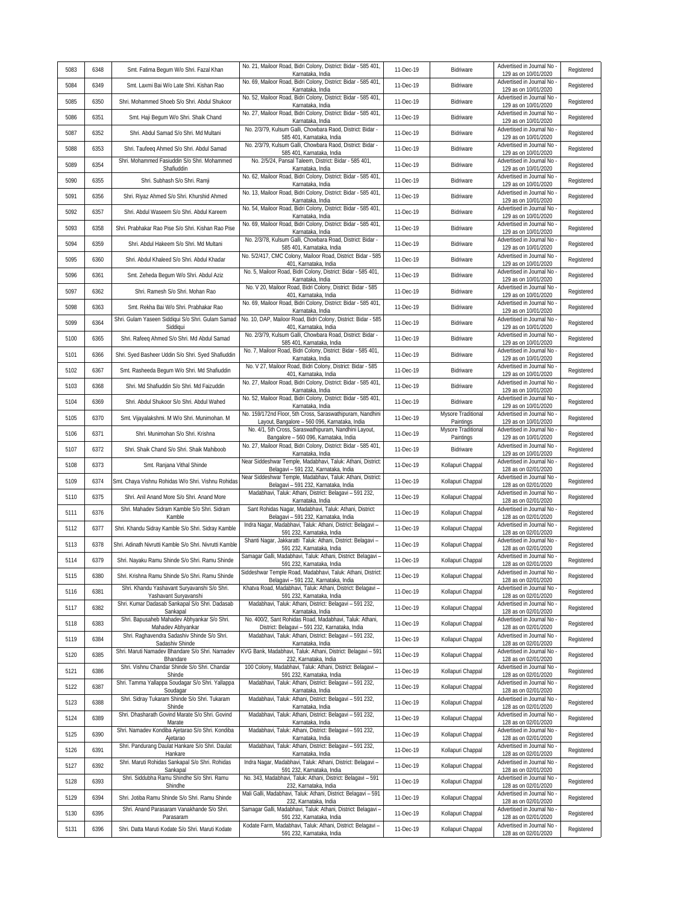| 5083 | 6348 | Smt. Fatima Begum W/o Shri. Fazal Khan                                | No. 21, Mailoor Road, Bidri Colony, District: Bidar - 585 401,<br>Karnataka, India                         | 11-Dec-19 | Bidriware                       | Advertised in Journal No<br>129 as on 10/01/2020   | Registered |
|------|------|-----------------------------------------------------------------------|------------------------------------------------------------------------------------------------------------|-----------|---------------------------------|----------------------------------------------------|------------|
| 5084 | 6349 | Smt. Laxmi Bai W/o Late Shri. Kishan Rao                              | No. 69, Mailoor Road, Bidri Colony, District: Bidar - 585 401,<br>Karnataka, India                         | 11-Dec-19 | Bidriware                       | Advertised in Journal No<br>129 as on 10/01/2020   | Registered |
| 5085 | 6350 | Shri. Mohammed Shoeb S/o Shri. Abdul Shukoor                          | No. 52, Mailoor Road, Bidri Colony, District: Bidar - 585 401,<br>Karnataka, India                         | 11-Dec-19 | Bidriware                       | Advertised in Journal No<br>129 as on 10/01/2020   | Registered |
| 5086 | 6351 | Smt. Haji Begum W/o Shri. Shaik Chand                                 | No. 27, Mailoor Road, Bidri Colony, District: Bidar - 585 401,<br>Karnataka, India                         | 11-Dec-19 | Bidriware                       | Advertised in Journal No<br>129 as on 10/01/2020   | Registered |
| 5087 | 6352 | Shri. Abdul Samad S/o Shri. Md Multani                                | No. 2/3/79, Kulsum Galli, Chowbara Raod, District: Bidar -<br>585 401, Karnataka, India                    | 11-Dec-19 | Bidriware                       | Advertised in Journal No<br>129 as on 10/01/2020   | Registered |
| 5088 | 6353 | Shri. Taufeeq Ahmed S/o Shri. Abdul Samad                             | No. 2/3/79, Kulsum Galli, Chowbara Raod, District: Bidar -<br>585 401, Karnataka, India                    | 11-Dec-19 | Bidriware                       | Advertised in Journal No<br>129 as on 10/01/2020   | Registered |
| 5089 | 6354 | Shri. Mohammed Fasiuddin S/o Shri. Mohammed<br>Shafiuddin             | No. 2/5/24, Pansal Taleem, District: Bidar - 585 401,<br>Karnataka, India                                  | 11-Dec-19 | Bidriware                       | Advertised in Journal No<br>129 as on 10/01/2020   | Registered |
| 5090 | 6355 | Shri. Subhash S/o Shri. Ramji                                         | No. 62, Mailoor Road, Bidri Colony, District: Bidar - 585 401,<br>Karnataka, India                         | 11-Dec-19 | Bidriware                       | Advertised in Journal No<br>129 as on 10/01/2020   | Registered |
| 5091 | 6356 | Shri. Riyaz Ahmed S/o Shri. Khurshid Ahmed                            | No. 13, Mailoor Road, Bidri Colony, District: Bidar - 585 401,<br>Karnataka, India                         | 11-Dec-19 | Bidriware                       | Advertised in Journal No<br>129 as on 10/01/2020   | Registered |
| 5092 | 6357 | Shri. Abdul Waseem S/o Shri. Abdul Kareem                             | No. 54, Mailoor Road, Bidri Colony, District: Bidar - 585 401,<br>Karnataka, India                         | 11-Dec-19 | Bidriware                       | Advertised in Journal No<br>129 as on 10/01/2020   | Registered |
| 5093 | 6358 | Shri. Prabhakar Rao Pise S/o Shri. Kishan Rao Pise                    | No. 69, Mailoor Road, Bidri Colony, District: Bidar - 585 401,<br>Karnataka, India                         | 11-Dec-19 | Bidriware                       | Advertised in Journal No<br>129 as on 10/01/2020   | Registered |
| 5094 | 6359 | Shri. Abdul Hakeem S/o Shri. Md Multani                               | No. 2/3/78, Kulsum Galli, Chowbara Road, District: Bidar -<br>585 401, Karnataka, India                    | 11-Dec-19 | Bidriware                       | Advertised in Journal No<br>129 as on 10/01/2020   | Registered |
| 5095 | 6360 | Shri. Abdul Khaleed S/o Shri. Abdul Khadar                            | No. 5/2/417, CMC Colony, Mailoor Road, District: Bidar - 585<br>401, Karnataka, India                      | 11-Dec-19 | Bidriware                       | Advertised in Journal No<br>129 as on 10/01/2020   | Registered |
| 5096 | 6361 | Smt. Zeheda Begum W/o Shri. Abdul Aziz                                | No. 5, Mailoor Road, Bidri Colony, District: Bidar - 585 401,<br>Karnataka, India                          | 11-Dec-19 | Bidriware                       | Advertised in Journal No<br>129 as on 10/01/2020   | Registered |
| 5097 | 6362 | Shri. Ramesh S/o Shri. Mohan Rao                                      | No. V 20, Mailoor Road, Bidri Colony, District: Bidar - 585<br>401, Karnataka, India                       | 11-Dec-19 | Bidriware                       | Advertised in Journal No<br>129 as on 10/01/2020   | Registered |
| 5098 | 6363 | Smt. Rekha Bai W/o Shri. Prabhakar Rao                                | No. 69, Mailoor Road, Bidri Colony, District: Bidar - 585 401,<br>Karnataka, India                         | 11-Dec-19 | Bidriware                       | Advertised in Journal No<br>129 as on 10/01/2020   | Registered |
| 5099 | 6364 | Shri. Gulam Yaseen Siddiqui S/o Shri. Gulam Samad<br>Siddiqui         | No. 10, DAP, Mailoor Road, Bidri Colony, District: Bidar - 585<br>401, Karnataka, India                    | 11-Dec-19 | Bidriware                       | Advertised in Journal No<br>129 as on 10/01/2020   | Registered |
| 5100 | 6365 | Shri. Rafeeq Ahmed S/o Shri. Md Abdul Samad                           | No. 2/3/79, Kulsum Galli, Chowbara Road, District: Bidar -<br>585 401, Karnataka, India                    | 11-Dec-19 | Bidriware                       | Advertised in Journal No<br>129 as on 10/01/2020   | Registered |
| 5101 | 6366 | Shri. Syed Basheer Uddin S/o Shri. Syed Shafiuddin                    | No. 7, Mailoor Road, Bidri Colony, District: Bidar - 585 401,<br>Karnataka, India                          | 11-Dec-19 | Bidriware                       | Advertised in Journal No<br>129 as on 10/01/2020   | Registered |
| 5102 | 6367 | Smt. Rasheeda Begum W/o Shri. Md Shafiuddin                           | No. V 27, Mailoor Road, Bidri Colony, District: Bidar - 585<br>401, Karnataka, India                       | 11-Dec-19 | Bidriware                       | Advertised in Journal No<br>129 as on 10/01/2020   | Registered |
| 5103 | 6368 | Shri. Md Shafiuddin S/o Shri. Md Faizuddin                            | No. 27, Mailoor Road, Bidri Colony, District: Bidar - 585 401,<br>Karnataka, India                         | 11-Dec-19 | Bidriware                       | Advertised in Journal No<br>129 as on 10/01/2020   | Registered |
| 5104 | 6369 | Shri. Abdul Shukoor S/o Shri. Abdul Wahed                             | No. 52, Mailoor Road, Bidri Colony, District: Bidar - 585 401,<br>Karnataka, India                         | 11-Dec-19 | Bidriware                       | Advertised in Journal No<br>129 as on 10/01/2020   | Registered |
| 5105 | 6370 | Smt. Vijayalakshmi. M W/o Shri. Munimohan. M                          | No. 159/172nd Floor, 5th Cross, Saraswathipuram, Nandhini<br>Layout, Bangalore - 560 096, Karnataka, India | 11-Dec-19 | Mysore Traditional<br>Paintings | Advertised in Journal No<br>129 as on 10/01/2020   | Registered |
| 5106 | 6371 | Shri. Munimohan S/o Shri. Krishna                                     | No. 4/1, 5th Cross, Saraswathipuram, Nandhini Layout,<br>Bangalore - 560 096, Karnataka, India             | 11-Dec-19 | Mysore Traditional<br>Paintings | Advertised in Journal No<br>129 as on 10/01/2020   | Registered |
| 5107 | 6372 | Shri. Shaik Chand S/o Shri. Shaik Mahiboob                            | No. 27, Mailoor Road, Bidri Colony, District: Bidar - 585 401,<br>Karnataka, India                         | 11-Dec-19 | Bidriware                       | Advertised in Journal No<br>129 as on 10/01/2020   | Registered |
| 5108 | 6373 | Smt. Ranjana Vithal Shinde                                            | Near Siddeshwar Temple, Madabhavi, Taluk: Athani, District:<br>Belagavi - 591 232, Karnataka, India        | 11-Dec-19 | Kollapuri Chappal               | Advertised in Journal No<br>128 as on 02/01/2020   | Registered |
| 5109 | 6374 | Smt. Chaya Vishnu Rohidas W/o Shri. Vishnu Rohidas                    | Near Siddeshwar Temple, Madabhavi, Taluk: Athani, District:<br>Belagavi - 591 232, Karnataka, India        | 11-Dec-19 | Kollapuri Chappal               | Advertised in Journal No<br>128 as on 02/01/2020   | Registered |
| 5110 | 6375 | Shri. Anil Anand More S/o Shri. Anand More                            | Madabhavi, Taluk: Athani, District: Belagavi - 591 232,<br>Karnataka, India                                | 11-Dec-19 | Kollapuri Chappal               | Advertised in Journal No<br>128 as on 02/01/2020   | Registered |
| 5111 | 6376 | Shri. Mahadev Sidram Kamble S/o Shri. Sidram<br>Kamble                | Sant Rohidas Nagar, Madabhavi, Taluk: Athani, District:<br>Belagavi - 591 232, Karnataka, India            | 11-Dec-19 | Kollapuri Chappal               | Advertised in Journal No<br>128 as on 02/01/2020   | Registered |
| 5112 | 6377 | Shri. Khandu Sidray Kamble S/o Shri. Sidray Kamble                    | Indra Nagar, Madabhavi, Taluk: Athani, District: Belagavi -<br>591 232, Karnataka, India                   | 11-Dec-19 | Kollapuri Chappal               | Advertised in Journal No<br>128 as on 02/01/2020   | Registered |
| 5113 | 6378 | Shri. Adinath Nivrutti Kamble S/o Shri. Nivrutti Kamble               | Shanti Nagar, Jakkaratti Taluk: Athani, District: Belagavi -<br>591 232, Karnataka, India                  | 11-Dec-19 | Kollapuri Chappal               | Advertised in Journal No<br>128 as on 02/01/2020   | Registered |
| 5114 | 6379 | Shri. Nayaku Ramu Shinde S/o Shri. Ramu Shinde                        | Samagar Galli, Madabhavi, Taluk: Athani, District: Belagavi -<br>591 232, Karnataka, India                 | 11-Dec-19 | Kollapuri Chappal               | Advertised in Journal No<br>128 as on 02/01/2020   | Registered |
| 5115 | 6380 | Shri. Krishna Ramu Shinde S/o Shri. Ramu Shinde                       | Siddeshwar Temple Road, Madabhavi, Taluk: Athani, District:<br>Belagavi - 591 232, Karnataka, India        | 11-Dec-19 | Kollapuri Chappal               | Advertised in Journal No -<br>128 as on 02/01/2020 | Registered |
| 5116 | 6381 | Shri. Khandu Yashavant Suryavanshi S/o Shri.<br>Yashavant Suryavanshi | Khatva Road, Madabhavi, Taluk: Athani, District: Belagavi -<br>591 232, Karnataka, India                   | 11-Dec-19 | Kollapuri Chappal               | Advertised in Journal No<br>128 as on 02/01/2020   | Registered |
| 5117 | 6382 | Shri. Kumar Dadasab Sankapal S/o Shri. Dadasab<br>Sankapal            | Madabhavi, Taluk: Athani, District: Belagavi - 591 232,<br>Karnataka, India                                | 11-Dec-19 | Kollapuri Chappal               | Advertised in Journal No<br>128 as on 02/01/2020   | Registered |
| 5118 | 6383 | Shri. Bapusaheb Mahadev Abhyankar S/o Shri.<br>Mahadev Abhyankar      | No. 400/2, Sant Rohidas Road, Madabhavi, Taluk: Athani,<br>District: Belagavi - 591 232, Karnataka, India  | 11-Dec-19 | Kollapuri Chappal               | Advertised in Journal No -<br>128 as on 02/01/2020 | Registered |
| 5119 | 6384 | Shri. Raghavendra Sadashiv Shinde S/o Shri.<br>Sadashiv Shinde        | Madabhavi, Taluk: Athani, District: Belagavi - 591 232,<br>Karnataka, India                                | 11-Dec-19 | Kollapuri Chappal               | Advertised in Journal No<br>128 as on 02/01/2020   | Registered |
| 5120 | 6385 | Shri. Maruti Namadev Bhandare S/o Shri. Namadev<br>Bhandare           | KVG Bank, Madabhavi, Taluk: Athani, District: Belagavi - 591<br>232, Karnataka, India                      | 11-Dec-19 | Kollapuri Chappal               | Advertised in Journal No<br>128 as on 02/01/2020   | Registered |
| 5121 | 6386 | Shri. Vishnu Chandar Shinde S/o Shri. Chandar<br>Shinde               | 100 Colony, Madabhavi, Taluk: Athani, District: Belagavi -<br>591 232, Karnataka, India                    | 11-Dec-19 | Kollapuri Chappal               | Advertised in Journal No -<br>128 as on 02/01/2020 | Registered |
| 5122 | 6387 | Shri. Tamma Yallappa Soudagar S/o Shri. Yallappa<br>Soudagar          | Madabhavi, Taluk: Athani, District: Belagavi - 591 232,<br>Karnataka, India                                | 11-Dec-19 | Kollapuri Chappal               | Advertised in Journal No<br>128 as on 02/01/2020   | Registered |
| 5123 | 6388 | Shri. Sidray Tukaram Shinde S/o Shri. Tukaram<br>Shinde               | Madabhavi, Taluk: Athani, District: Belagavi - 591 232,<br>Karnataka, India                                | 11-Dec-19 | Kollapuri Chappal               | Advertised in Journal No -<br>128 as on 02/01/2020 | Registered |
| 5124 | 6389 | Shri. Dhasharath Govind Marate S/o Shri. Govind<br>Marate             | Madabhavi, Taluk: Athani, District: Belagavi - 591 232,<br>Karnataka, India                                | 11-Dec-19 | Kollapuri Chappal               | Advertised in Journal No<br>128 as on 02/01/2020   | Registered |
| 5125 | 6390 | Shri. Namadev Kondiba Ajetarao S/o Shri. Kondiba<br>Ajetarao          | Madabhavi, Taluk: Athani, District: Belagavi - 591 232,<br>Karnataka, India                                | 11-Dec-19 | Kollapuri Chappal               | Advertised in Journal No<br>128 as on 02/01/2020   | Registered |
| 5126 | 6391 | Shri. Pandurang Daulat Hankare S/o Shri. Daulat<br>Hankare            | Madabhavi, Taluk: Athani, District: Belagavi - 591 232,<br>Karnataka, India                                | 11-Dec-19 | Kollapuri Chappal               | Advertised in Journal No<br>128 as on 02/01/2020   | Registered |
| 5127 | 6392 | Shri. Maruti Rohidas Sankapal S/o Shri. Rohidas<br>Sankapal           | Indra Nagar, Madabhavi, Taluk: Athani, District: Belagavi -<br>591 232, Karnataka, India                   | 11-Dec-19 | Kollapuri Chappal               | Advertised in Journal No<br>128 as on 02/01/2020   | Registered |
| 5128 | 6393 | Shri. Siddubha Ramu Shindhe S/o Shri. Ramu<br>Shindhe                 | No. 343, Madabhavi, Taluk: Athani, District: Belagavi - 591<br>232, Karnataka, India                       | 11-Dec-19 | Kollapuri Chappal               | Advertised in Journal No<br>128 as on 02/01/2020   | Registered |
| 5129 | 6394 | Shri. Jotiba Ramu Shinde S/o Shri. Ramu Shinde                        | Mali Galli, Madabhavi, Taluk: Athani, District: Belagavi - 591<br>232, Karnataka, India                    | 11-Dec-19 | Kollapuri Chappal               | Advertised in Journal No<br>128 as on 02/01/2020   | Registered |
| 5130 | 6395 | Shri. Anand Parasaram Vanakhande S/o Shri.<br>Parasaram               | Samagar Galli, Madabhavi, Taluk: Athani, District: Belagavi -<br>591 232, Karnataka, India                 | 11-Dec-19 | Kollapuri Chappal               | Advertised in Journal No<br>128 as on 02/01/2020   | Registered |
| 5131 | 6396 | Shri. Datta Maruti Kodate S/o Shri. Maruti Kodate                     | Kodate Farm, Madabhavi, Taluk: Athani, District: Belagavi -<br>591 232, Karnataka, India                   | 11-Dec-19 | Kollapuri Chappal               | Advertised in Journal No -<br>128 as on 02/01/2020 | Registered |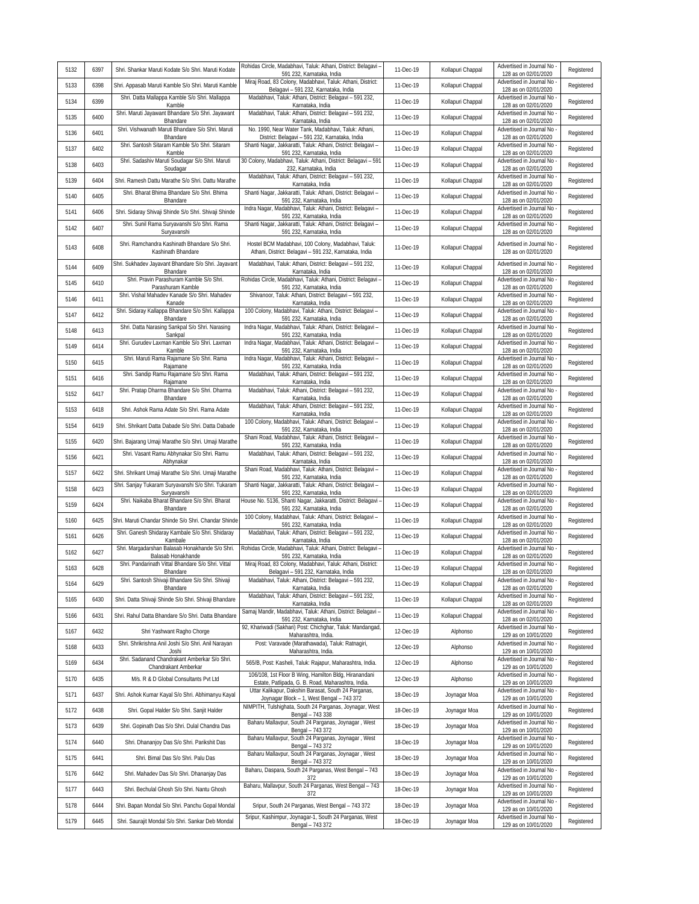| 5132 | 6397 | Shri. Shankar Maruti Kodate S/o Shri. Maruti Kodate                              | Rohidas Circle, Madabhavi, Taluk: Athani, District: Belagavi -<br>591 232, Karnataka, India                                     | 11-Dec-19 | Kollapuri Chappal | Advertised in Journal No<br>128 as on 02/01/2020                         | Registered |
|------|------|----------------------------------------------------------------------------------|---------------------------------------------------------------------------------------------------------------------------------|-----------|-------------------|--------------------------------------------------------------------------|------------|
| 5133 | 6398 | Shri. Appasab Maruti Kamble S/o Shri. Maruti Kamble                              | Miraj Road, 83 Colony, Madabhavi, Taluk: Athani, District:<br>Belagavi - 591 232, Karnataka, India                              | 11-Dec-19 | Kollapuri Chappal | Advertised in Journal No<br>128 as on 02/01/2020                         | Registered |
| 5134 | 6399 | Shri. Datta Mallappa Kamble S/o Shri. Mallappa<br>Kamble                         | Madabhavi, Taluk: Athani, District: Belagavi - 591 232,<br>Karnataka, India                                                     | 11-Dec-19 | Kollapuri Chappal | Advertised in Journal No<br>128 as on 02/01/2020                         | Registered |
| 5135 | 6400 | Shri. Maruti Jayawant Bhandare S/o Shri. Jayawant<br>Bhandare                    | Madabhavi, Taluk: Athani, District: Belagavi - 591 232,<br>Karnataka, India                                                     | 11-Dec-19 | Kollapuri Chappal | Advertised in Journal No<br>128 as on 02/01/2020                         | Registered |
| 5136 | 6401 | Shri. Vishwanath Maruti Bhandare S/o Shri. Maruti<br>Bhandare                    | No. 1990, Near Water Tank, Madabhavi, Taluk: Athani,<br>District: Belagavi - 591 232, Karnataka, India                          | 11-Dec-19 | Kollapuri Chappal | Advertised in Journal No<br>128 as on 02/01/2020                         | Registered |
| 5137 | 6402 | Shri. Santosh Sitaram Kamble S/o Shri. Sitaram<br>Kamble                         | Shanti Nagar, Jakkaratti, Taluk: Athani, District: Belagavi -<br>591 232, Karnataka, India                                      | 11-Dec-19 | Kollapuri Chappal | Advertised in Journal No<br>128 as on 02/01/2020                         | Registered |
| 5138 | 6403 | Shri. Sadashiv Maruti Soudagar S/o Shri. Maruti<br>Soudagar                      | 30 Colony, Madabhavi, Taluk: Athani, District: Belagavi - 591<br>232, Karnataka, India                                          | 11-Dec-19 | Kollapuri Chappal | Advertised in Journal No<br>128 as on 02/01/2020                         | Registered |
| 5139 | 6404 | Shri. Ramesh Dattu Marathe S/o Shri. Dattu Marathe                               | Madabhavi, Taluk: Athani, District: Belagavi - 591 232,<br>Karnataka, India                                                     | 11-Dec-19 | Kollapuri Chappal | Advertised in Journal No<br>128 as on 02/01/2020                         | Registered |
| 5140 | 6405 | Shri. Bharat Bhima Bhandare S/o Shri. Bhima<br>Bhandare                          | Shanti Nagar, Jakkaratti, Taluk: Athani, District: Belagavi -<br>591 232, Karnataka, India                                      | 11-Dec-19 | Kollapuri Chappal | Advertised in Journal No<br>128 as on 02/01/2020                         | Registered |
| 5141 | 6406 | Shri. Sidaray Shivaji Shinde S/o Shri. Shivaji Shinde                            | Indra Nagar, Madabhavi, Taluk: Athani, District: Belagavi -<br>591 232, Karnataka, India                                        | 11-Dec-19 | Kollapuri Chappal | Advertised in Journal No<br>128 as on 02/01/2020                         | Registered |
| 5142 | 6407 | Shri. Sunil Rama Suryavanshi S/o Shri. Rama<br>Suryavanshi                       | Shanti Nagar, Jakkaratti, Taluk: Athani, District: Belagavi -<br>591 232, Karnataka, India                                      | 11-Dec-19 | Kollapuri Chappal | Advertised in Journal No<br>128 as on 02/01/2020                         | Registered |
| 5143 | 6408 | Shri. Ramchandra Kashinath Bhandare S/o Shri.<br>Kashinath Bhandare              | Hostel BCM Madabhavi, 100 Colony, Madabhavi, Taluk:<br>Athani, District: Belagavi - 591 232, Karnataka, India                   | 11-Dec-19 | Kollapuri Chappal | Advertised in Journal No<br>128 as on 02/01/2020                         | Registered |
| 5144 | 6409 | Shri. Sukhadev Jayavant Bhandare S/o Shri. Jayavant<br>Bhandare                  | Madabhavi, Taluk: Athani, District: Belagavi - 591 232,<br>Karnataka, India                                                     | 11-Dec-19 | Kollapuri Chappal | Advertised in Journal No<br>128 as on 02/01/2020                         | Registered |
| 5145 | 6410 | Shri. Pravin Parashuram Kamble S/o Shri.<br>Parashuram Kamble                    | Rohidas Circle, Madabhavi, Taluk: Athani, District: Belagavi -<br>591 232, Karnataka, India                                     | 11-Dec-19 | Kollapuri Chappal | Advertised in Journal No<br>128 as on 02/01/2020                         | Registered |
| 5146 | 6411 | Shri. Vishal Mahadev Kanade S/o Shri. Mahadev<br>Kanade                          | Shivanoor, Taluk: Athani, District: Belagavi - 591 232,<br>Karnataka, India                                                     | 11-Dec-19 | Kollapuri Chappal | Advertised in Journal No<br>128 as on 02/01/2020                         | Registered |
| 5147 | 6412 | Shri. Sidaray Kallappa Bhandare S/o Shri. Kallappa<br>Bhandare                   | 100 Colony, Madabhavi, Taluk: Athani, District: Belagavi -<br>591 232, Karnataka, India                                         | 11-Dec-19 | Kollapuri Chappal | Advertised in Journal No<br>128 as on 02/01/2020                         | Registered |
| 5148 | 6413 | Shri. Datta Narasing Sankpal S/o Shri. Narasing<br>Sankpal                       | Indra Nagar, Madabhavi, Taluk: Athani, District: Belagavi -<br>591 232, Karnataka, India                                        | 11-Dec-19 | Kollapuri Chappal | Advertised in Journal No<br>128 as on 02/01/2020                         | Registered |
| 5149 | 6414 | Shri. Gurudev Laxman Kamble S/o Shri. Laxman<br>Kamble                           | Indra Nagar, Madabhavi, Taluk: Athani, District: Belagavi -<br>591 232, Karnataka, India                                        | 11-Dec-19 | Kollapuri Chappal | Advertised in Journal No<br>128 as on 02/01/2020                         | Registered |
| 5150 | 6415 | Shri. Maruti Rama Rajamane S/o Shri. Rama<br>Rajamane                            | Indra Nagar, Madabhavi, Taluk: Athani, District: Belagavi -<br>591 232, Karnataka, India                                        | 11-Dec-19 | Kollapuri Chappal | Advertised in Journal No<br>128 as on 02/01/2020                         | Registered |
| 5151 | 6416 | Shri. Sandip Ramu Rajamane S/o Shri. Rama                                        | Madabhavi, Taluk: Athani, District: Belagavi - 591 232,                                                                         | 11-Dec-19 | Kollapuri Chappal | Advertised in Journal No                                                 | Registered |
| 5152 | 6417 | Rajamane<br>Shri. Pratap Dharma Bhandare S/o Shri. Dharma                        | Karnataka, India<br>Madabhavi, Taluk: Athani, District: Belagavi - 591 232,                                                     | 11-Dec-19 | Kollapuri Chappal | 128 as on 02/01/2020<br>Advertised in Journal No                         | Registered |
| 5153 | 6418 | Bhandare<br>Shri. Ashok Rama Adate S/o Shri. Rama Adate                          | Karnataka, India<br>Madabhavi, Taluk: Athani, District: Belagavi - 591 232,                                                     | 11-Dec-19 | Kollapuri Chappal | 128 as on 02/01/2020<br>Advertised in Journal No                         | Registered |
| 5154 | 6419 | Shri. Shrikant Datta Dabade S/o Shri. Datta Dabade                               | Karnataka, India<br>100 Colony, Madabhavi, Taluk: Athani, District: Belagavi -                                                  | 11-Dec-19 | Kollapuri Chappal | 128 as on 02/01/2020<br>Advertised in Journal No                         | Registered |
| 5155 | 6420 | Shri. Bajarang Umaji Marathe S/o Shri. Umaji Marathe                             | 591 232, Karnataka, India<br>Shani Road, Madabhavi, Taluk: Athani, District: Belagavi -                                         | 11-Dec-19 | Kollapuri Chappal | 128 as on 02/01/2020<br>Advertised in Journal No                         | Registered |
| 5156 | 6421 | Shri. Vasant Ramu Abhynakar S/o Shri. Ramu                                       | 591 232, Karnataka, India<br>Madabhavi, Taluk: Athani, District: Belagavi - 591 232,                                            | 11-Dec-19 | Kollapuri Chappal | 128 as on 02/01/2020<br>Advertised in Journal No<br>128 as on 02/01/2020 | Registered |
| 5157 | 6422 | Abhynakar<br>Shri. Shrikant Umaji Marathe S/o Shri. Umaji Marathe                | Karnataka, India<br>Shani Road, Madabhavi, Taluk: Athani, District: Belagavi -                                                  | 11-Dec-19 | Kollapuri Chappal | Advertised in Journal No                                                 | Registered |
| 5158 | 6423 | Shri. Sanjay Tukaram Suryavanshi S/o Shri. Tukaram                               | 591 232, Karnataka, India<br>Shanti Nagar, Jakkaratti, Taluk: Athani, District: Belagavi -                                      | 11-Dec-19 | Kollapuri Chappal | 128 as on 02/01/2020<br>Advertised in Journal No                         | Registered |
| 5159 | 6424 | Suryavanshi<br>Shri. Naikaba Bharat Bhandare S/o Shri. Bharat                    | 591 232, Karnataka, India<br>House No. 5136, Shanti Nagar, Jakkaratti, District: Belagavi -                                     | 11-Dec-19 | Kollapuri Chappal | 128 as on 02/01/2020<br>Advertised in Journal No                         | Registered |
| 5160 | 6425 | Bhandare<br>Shri. Maruti Chandar Shinde S/o Shri. Chandar Shinde                 | 591 232, Karnataka, India<br>100 Colony, Madabhavi, Taluk: Athani, District: Belagavi -                                         | 11-Dec-19 | Kollapuri Chappal | 128 as on 02/01/2020<br>Advertised in Journal No                         | Registered |
| 5161 | 6426 | Shri. Ganesh Shidaray Kambale S/o Shri. Shidaray                                 | 591 232, Karnataka, India<br>Madabhavi, Taluk: Athani, District: Belagavi - 591 232,                                            | 11-Dec-19 | Kollapuri Chappal | 128 as on 02/01/2020<br>Advertised in Journal No                         | Registered |
| 5162 | 6427 | Kambale<br>Shri. Margadarshan Balasab Honakhande S/o Shri.<br>Balasab Honakhande | Karnataka, India<br>Rohidas Circle, Madabhavi, Taluk: Athani, District: Belagavi -                                              | 11-Dec-19 | Kollapuri Chappal | 128 as on 02/01/2020<br>Advertised in Journal No                         | Registered |
| 5163 | 6428 | Shri. Pandarinath Vittal Bhandare S/o Shri. Vittal<br>Rhandare                   | 591 232, Karnataka, India<br>Miraj Road, 83 Colony, Madabhavi, Taluk: Athani, District:<br>Belagavi - 591 232. Karnataka, India | 11-Dec-19 | Kollapuri Chappal | 128 as on 02/01/2020<br>Advertised in Journal No<br>128 as on 02/01/2020 | Registered |
| 5164 | 6429 | Shri. Santosh Shivaji Bhandare S/o Shri. Shivaji                                 | Madabhavi, Taluk: Athani, District: Belagavi - 591 232,                                                                         | 11-Dec-19 | Kollapuri Chappal | Advertised in Journal No<br>128 as on 02/01/2020                         | Registered |
| 5165 | 6430 | Bhandare<br>Shri. Datta Shivaji Shinde S/o Shri. Shivaji Bhandare                | Karnataka, India<br>Madabhavi, Taluk: Athani, District: Belagavi - 591 232,<br>Karnataka, India                                 | 11-Dec-19 | Kollapuri Chappal | Advertised in Journal No                                                 | Registered |
| 5166 | 6431 | Shri. Rahul Datta Bhandare S/o Shri. Datta Bhandare                              | Samaj Mandir, Madabhavi, Taluk: Athani, District: Belagavi -                                                                    | 11-Dec-19 | Kollapuri Chappal | 128 as on 02/01/2020<br>Advertised in Journal No<br>128 as on 02/01/2020 | Registered |
| 5167 | 6432 | Shri Yashwant Ragho Chorge                                                       | 591 232, Karnataka, India<br>92, Khariwadi (Sakhari) Post: Chichghar, Taluk: Mandangad,                                         | 12-Dec-19 | Alphonso          | Advertised in Journal No                                                 | Registered |
| 5168 | 6433 | Shri. Shrikrishna Anil Joshi S/o Shri. Anil Narayan                              | Maharashtra, India.<br>Post: Varavade (Marathawada), Taluk: Ratnagiri,                                                          | 12-Dec-19 | Alphonso          | 129 as on 10/01/2020<br>Advertised in Journal No -                       | Registered |
| 5169 | 6434 | Joshi<br>Shri. Sadanand Chandrakant Amberkar S/o Shri.                           | Maharashtra, India.<br>565/B, Post: Kasheli, Taluk: Rajapur, Maharashtra, India.                                                | 12-Dec-19 | Alphonso          | 129 as on 10/01/2020<br>Advertised in Journal No -                       | Registered |
| 5170 | 6435 | Chandrakant Amberkar<br>M/s. R & D Global Consultants Pvt Ltd                    | 106/108, 1st Floor B Wing, Hamilton Bldg, Hiranandani                                                                           | 12-Dec-19 | Alphonso          | 129 as on 10/01/2020<br>Advertised in Journal No                         | Registered |
| 5171 | 6437 | Shri. Ashok Kumar Kayal S/o Shri. Abhimanyu Kayal                                | Estate, Patlipada, G. B. Road, Maharashtra, India.<br>Uttar Kalikapur, Dakshin Barasat, South 24 Parganas,                      | 18-Dec-19 | Joynagar Moa      | 129 as on 10/01/2020<br>Advertised in Journal No                         | Registered |
| 5172 | 6438 | Shri. Gopal Halder S/o Shri. Sanjit Halder                                       | Joynagar Block - 1, West Bengal - 743 372<br>NIMPITH, Tulshighata, South 24 Parganas, Joynagar, West                            | 18-Dec-19 | Joynagar Moa      | 129 as on 10/01/2020<br>Advertised in Journal No                         | Registered |
| 5173 | 6439 | Shri. Gopinath Das S/o Shri. Dulal Chandra Das                                   | Bengal - 743 338<br>Baharu Mallavpur, South 24 Parganas, Joynagar, West                                                         | 18-Dec-19 | Joynagar Moa      | 129 as on 10/01/2020<br>Advertised in Journal No                         | Registered |
| 5174 | 6440 | Shri. Dhananjoy Das S/o Shri. Parikshit Das                                      | Bengal - 743 372<br>Baharu Mallavpur, South 24 Parganas, Joynagar, West                                                         | 18-Dec-19 | Joynagar Moa      | 129 as on 10/01/2020<br>Advertised in Journal No                         | Registered |
| 5175 | 6441 | Shri. Bimal Das S/o Shri. Palu Das                                               | Bengal - 743 372<br>Baharu Mallavpur, South 24 Parganas, Joynagar, West                                                         | 18-Dec-19 | Joynagar Moa      | 129 as on 10/01/2020<br>Advertised in Journal No                         | Registered |
| 5176 | 6442 | Shri. Mahadev Das S/o Shri. Dhananjay Das                                        | Bengal - 743 372<br>Baharu, Daspara, South 24 Parganas, West Bengal - 743                                                       | 18-Dec-19 | Joynagar Moa      | 129 as on 10/01/2020<br>Advertised in Journal No -                       | Registered |
| 5177 | 6443 | Shri. Bechulal Ghosh S/o Shri. Nantu Ghosh                                       | 372<br>Baharu, Mallavpur, South 24 Parganas, West Bengal - 743                                                                  | 18-Dec-19 | Joynagar Moa      | 129 as on 10/01/2020<br>Advertised in Journal No                         | Registered |
| 5178 | 6444 | Shri. Bapan Mondal S/o Shri. Panchu Gopal Mondal                                 | 372<br>Sripur, South 24 Parganas, West Bengal - 743 372                                                                         | 18-Dec-19 | Joynagar Moa      | 129 as on 10/01/2020<br>Advertised in Journal No                         | Registered |
| 5179 | 6445 | Shri. Saurajit Mondal S/o Shri. Sankar Deb Mondal                                | Sripur, Kashimpur, Joynagar-1, South 24 Parganas, West                                                                          | 18-Dec-19 | Joynagar Moa      | 129 as on 10/01/2020<br>Advertised in Journal No                         | Registered |
|      |      |                                                                                  | Bengal - 743 372                                                                                                                |           |                   | 129 as on 10/01/2020                                                     |            |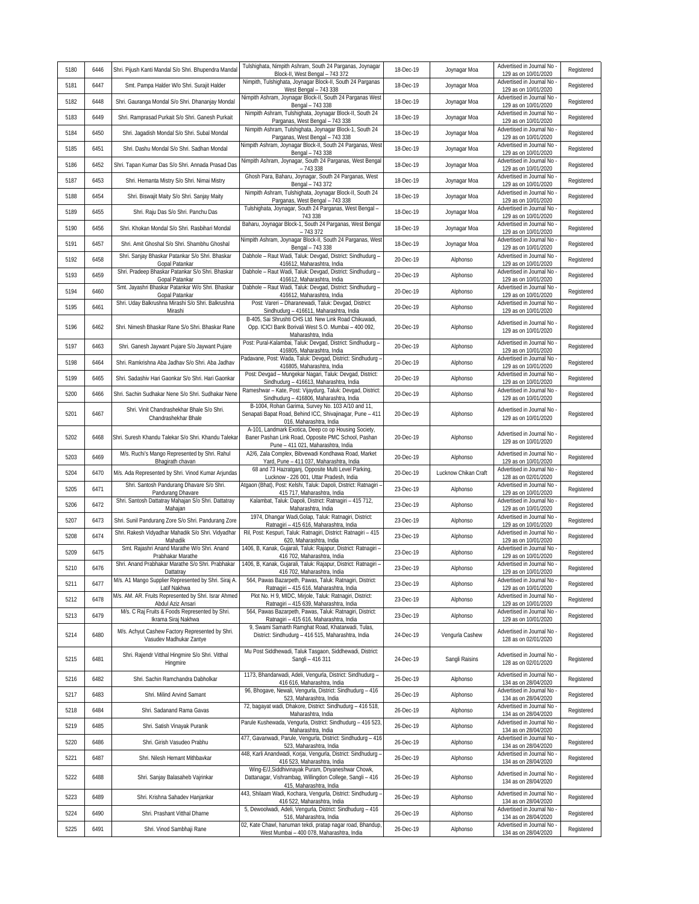| 5180 | 6446 | Shri. Pijush Kanti Mandal S/o Shri. Bhupendra Mandal                       | Tulshighata, Nimpith Ashram, South 24 Parganas, Joynagar<br>Block-II, West Bengal - 743 372                                                        | 18-Dec-19 | Joynagar Moa         | Advertised in Journal No<br>129 as on 10/01/2020                             | Registered |
|------|------|----------------------------------------------------------------------------|----------------------------------------------------------------------------------------------------------------------------------------------------|-----------|----------------------|------------------------------------------------------------------------------|------------|
| 5181 | 6447 | Smt. Pampa Halder W/o Shri. Surajit Halder                                 | Nimpith, Tulshighata, Joynagar Block-II, South 24 Parganas<br>West Bengal - 743 338                                                                | 18-Dec-19 | Joynagar Moa         | Advertised in Journal No<br>129 as on 10/01/2020                             | Registered |
| 5182 | 6448 | Shri. Gauranga Mondal S/o Shri. Dhananjay Mondal                           | Nimpith Ashram, Joynagar Block-II, South 24 Parganas West<br>Bengal - 743 338                                                                      | 18-Dec-19 | Joynagar Moa         | Advertised in Journal No<br>129 as on 10/01/2020                             | Registered |
| 5183 | 6449 | Shri. Ramprasad Purkait S/o Shri. Ganesh Purkait                           | Nimpith Ashram, Tulshighata, Joynagar Block-II, South 24<br>Parganas, West Bengal - 743 338                                                        | 18-Dec-19 | Joynagar Moa         | Advertised in Journal No<br>129 as on 10/01/2020                             | Registered |
| 5184 | 6450 | Shri. Jagadish Mondal S/o Shri. Subal Mondal                               | Nimpith Ashram, Tulshighata, Joynagar Block-1, South 24<br>Parganas, West Bengal - 743 338                                                         | 18-Dec-19 | Joynagar Moa         | Advertised in Journal No<br>129 as on 10/01/2020                             | Registered |
| 5185 | 6451 | Shri. Dashu Mondal S/o Shri. Sadhan Mondal                                 | Nimpith Ashram, Joynagar Block-II, South 24 Parganas, West<br>Bengal - 743 338                                                                     | 18-Dec-19 | Joynagar Moa         | Advertised in Journal No<br>129 as on 10/01/2020                             | Registered |
| 5186 | 6452 | Shri. Tapan Kumar Das S/o Shri. Annada Prasad Das                          | Nimpith Ashram, Joynagar, South 24 Parganas, West Bengal<br>$-743338$                                                                              | 18-Dec-19 | Joynagar Moa         | Advertised in Journal No<br>129 as on 10/01/2020                             | Registered |
| 5187 | 6453 | Shri. Hemanta Mistry S/o Shri. Nimai Mistry                                | Ghosh Para, Baharu, Joynagar, South 24 Parganas, West<br>Bengal - 743 372                                                                          | 18-Dec-19 | Joynagar Moa         | Advertised in Journal No<br>129 as on 10/01/2020                             | Registered |
| 5188 | 6454 | Shri. Biswajit Maity S/o Shri. Sanjay Maity                                | Nimpith Ashram, Tulshighata, Joynagar Block-II, South 24<br>Parganas, West Bengal - 743 338                                                        | 18-Dec-19 | Joynagar Moa         | Advertised in Journal No<br>129 as on 10/01/2020                             | Registered |
| 5189 | 6455 | Shri. Raju Das S/o Shri. Panchu Das                                        | Tulshighata, Joynagar, South 24 Parganas, West Bengal -<br>743 338                                                                                 | 18-Dec-19 | Joynagar Moa         | Advertised in Journal No<br>129 as on 10/01/2020                             | Registered |
| 5190 | 6456 | Shri. Khokan Mondal S/o Shri. Rasbihari Mondal                             | Baharu, Joynagar Block-1, South 24 Parganas, West Bengal<br>$-743372$                                                                              | 18-Dec-19 | Joynagar Moa         | Advertised in Journal No<br>129 as on 10/01/2020                             | Registered |
| 5191 | 6457 | Shri. Amit Ghoshal S/o Shri. Shambhu Ghoshal                               | Nimpith Ashram, Joynagar Block-II, South 24 Parganas, West<br>Bengal - 743 338                                                                     | 18-Dec-19 | Joynagar Moa         | Advertised in Journal No<br>129 as on 10/01/2020                             | Registered |
| 5192 | 6458 | Shri. Sanjay Bhaskar Patankar S/o Shri. Bhaskar<br>Gopal Patankar          | Dabhole - Raut Wadi, Taluk: Devgad, District: Sindhudurg -<br>416612, Maharashtra, India                                                           | 20-Dec-19 | Alphonso             | Advertised in Journal No<br>129 as on 10/01/2020                             | Registered |
| 5193 | 6459 | Shri. Pradeep Bhaskar Patankar S/o Shri. Bhaskar<br>Gopal Patankar         | Dabhole - Raut Wadi, Taluk: Devgad, District: Sindhudurg -<br>416612, Maharashtra, India                                                           | 20-Dec-19 | Alphonso             | Advertised in Journal No<br>129 as on 10/01/2020                             | Registered |
| 5194 | 6460 | Smt. Jayashri Bhaskar Patankar W/o Shri. Bhaskar<br>Gopal Patankar         | Dabhole - Raut Wadi, Taluk: Devgad, District: Sindhudurg -<br>416612, Maharashtra, India                                                           | 20-Dec-19 | Alphonso             | Advertised in Journal No<br>129 as on 10/01/2020                             | Registered |
| 5195 | 6461 | Shri. Uday Balkrushna Mirashi S/o Shri. Balkrushna<br>Mirashi              | Post: Vareri - Dharanewadi, Taluk: Devgad, District:<br>Sindhudurg - 416611, Maharashtra, India                                                    | 20-Dec-19 | Alphonso             | Advertised in Journal No<br>129 as on 10/01/2020                             | Registered |
| 5196 | 6462 | Shri. Nimesh Bhaskar Rane S/o Shri. Bhaskar Rane                           | B-405, Sai Shrushti CHS Ltd. New Link Road Chikuwadi<br>Opp. ICICI Bank Borivali West S.O. Mumbai - 400 092,                                       | 20-Dec-19 | Alphonso             | Advertised in Journal No                                                     | Registered |
| 5197 | 6463 | Shri. Ganesh Jaywant Pujare S/o Jaywant Pujare                             | Maharashtra, India<br>Post: Pural-Kalambai, Taluk: Devgad, District: Sindhudurg -                                                                  | 20-Dec-19 | Alphonso             | 129 as on 10/01/2020<br>Advertised in Journal No                             | Registered |
| 5198 | 6464 | Shri. Ramkrishna Aba Jadhav S/o Shri. Aba Jadhav                           | 416805, Maharashtra, India<br>Padavane, Post: Wada, Taluk: Devgad, District: Sindhudurg                                                            | 20-Dec-19 | Alphonso             | 129 as on 10/01/2020<br>Advertised in Journal No                             | Registered |
| 5199 | 6465 | Shri. Sadashiv Hari Gaonkar S/o Shri. Hari Gaonkar                         | 416805, Maharashtra, India<br>Post: Devgad - Mungekar Nagari, Taluk: Devgad, District:                                                             | 20-Dec-19 | Alphonso             | 129 as on 10/01/2020<br>Advertised in Journal No                             | Registered |
| 5200 | 6466 | Shri. Sachin Sudhakar Nene S/o Shri. Sudhakar Nene                         | Sindhudurg - 416613, Maharashtra, India<br>Rameshwar - Kate, Post: Vijaydurg, Taluk: Devgad, District:                                             | 20-Dec-19 | Alphonso             | 129 as on 10/01/2020<br>Advertised in Journal No                             | Registered |
|      |      | Shri. Vinit Chandrashekhar Bhale S/o Shri.                                 | Sindhudurg - 416806, Maharashtra, India<br>B-1004, Rohan Garima, Survey No. 103 A/10 and 11,                                                       |           |                      | 129 as on 10/01/2020<br>Advertised in Journal No                             |            |
| 5201 | 6467 | Chandrashekhar Bhale                                                       | Senapati Bapat Road, Behind ICC, Shivajinagar, Pune - 411<br>016, Maharashtra, India                                                               | 20-Dec-19 | Alphonso             | 129 as on 10/01/2020                                                         | Registered |
| 5202 | 6468 | Shri. Suresh Khandu Talekar S/o Shri. Khandu Talekar                       | A-101, Landmark Exotica, Deep co op Housing Society,<br>Baner Pashan Link Road, Opposite PMC School, Pashan                                        | 20-Dec-19 | Alphonso             | Advertised in Journal No<br>129 as on 10/01/2020                             | Registered |
|      |      |                                                                            | Pune - 411 021, Maharashtra, India                                                                                                                 |           |                      |                                                                              |            |
| 5203 | 6469 | M/s. Ruchi's Mango Represented by Shri. Rahul<br>Bhagirath chavan          | A2/6, Zala Complex, Bibvewadi Kondhawa Road, Market<br>Yard, Pune - 411 037, Maharashtra, India                                                    | 20-Dec-19 | Alphonso             | Advertised in Journal No<br>129 as on 10/01/2020                             | Registered |
| 5204 | 6470 | M/s. Ada Represented by Shri. Vinod Kumar Arjundas                         | 68 and 73 Hazratganj, Opposite Multi Level Parking,<br>Lucknow - 226 001, Uttar Pradesh, India                                                     | 20-Dec-19 | Lucknow Chikan Craft | Advertised in Journal No<br>128 as on 02/01/2020                             | Registered |
| 5205 | 6471 | Shri. Santosh Pandurang Dhavare S/o Shri.<br>Pandurang Dhavare             | Atgaon (Bhat), Post: Kelshi, Taluk: Dapoli, District: Ratnagiri<br>415 717, Maharashtra, India                                                     | 23-Dec-19 | Alphonso             | Advertised in Journal No<br>129 as on 10/01/2020                             | Registered |
| 5206 | 6472 | Shri. Santosh Dattatray Mahajan S/o Shri. Dattatray<br>Mahajan             | Kalambat, Taluk: Dapoli, District: Ratnagiri - 415 712,<br>Maharashtra, India                                                                      | 23-Dec-19 | Alphonso             | Advertised in Journal No<br>129 as on 10/01/2020                             | Registered |
| 5207 | 6473 | Shri. Sunil Pandurang Zore S/o Shri. Pandurang Zore                        | 1974, Dhangar Wadi, Golap, Taluk: Ratnagiri, District:<br>Ratnagiri - 415 616, Maharashtra, India                                                  | 23-Dec-19 | Alphonso             | Advertised in Journal No<br>129 as on 10/01/2020                             | Registered |
| 5208 | 6474 | Shri. Rakesh Vidyadhar Mahadik S/o Shri. Vidyadhar<br>Mahadik              | Ril, Post: Kespuri, Taluk: Ratnagiri, District: Ratnagiri - 415<br>620, Maharashtra, India                                                         | 23-Dec-19 | Alphonso             | Advertised in Journal No<br>129 as on 10/01/2020                             | Registered |
| 5209 | 6475 | Smt. Rajashri Anand Marathe W/o Shri. Anand<br>Prabhakar Marathe           | 1406, B, Kanak, Gujarali, Taluk: Rajapur, District: Ratnagiri -<br>416 702, Maharashtra, India                                                     | 23-Dec-19 | Alphonso             | Advertised in Journal No<br>129 as on 10/01/2020                             | Registered |
| 5210 | 6476 | Shri. Anand Prabhakar Marathe S/o Shri. Prabhakar<br>Dattatray             | 1406, B, Kanak, Gujarali, Taluk: Rajapur, District: Ratnagiri -<br>416 702. Maharashtra, India                                                     | 23-Dec-19 | Alphonso             | Advertised in Journal No<br>129 as on 10/01/2020                             | Registered |
| 5211 | 6477 | M/s. A1 Mango Supplier Represented by Shri. Siraj A.<br>Latif Nakhwa       | 564, Pawas Bazarpeth, Pawas, Taluk: Ratnagiri, District:<br>Ratnagiri - 415 616, Maharashtra, India                                                | 23-Dec-19 | Alphonso             | Advertised in Journal No<br>129 as on 10/01/2020                             | Registered |
| 5212 | 6478 | M/s. AM. AR. Fruits Represented by Shri. Israr Ahmed<br>Abdul Aziz Ansari  | Plot No. H 9, MIDC, Mirjole, Taluk: Ratnagiri, District:<br>Ratnagiri - 415 639, Maharashtra, India                                                | 23-Dec-19 | Alphonso             | Advertised in Journal No<br>129 as on 10/01/2020                             | Registered |
| 5213 | 6479 | M/s. C Raj Fruits & Foods Represented by Shri.<br>Ikrama Siraj Nakhwa      | 564, Pawas Bazarpeth, Pawas, Taluk: Ratnagiri, District:<br>Ratnagiri - 415 616, Maharashtra, India                                                | 23-Dec-19 | Alphonso             | Advertised in Journal No<br>129 as on 10/01/2020                             | Registered |
| 5214 | 6480 | M/s. Achyut Cashew Factory Represented by Shri.<br>Vasudev Madhukar Zantye | 9, Swami Samarth Ramghat Road, Khatarwadi, Tulas,<br>District: Sindhudurg - 416 515, Maharashtra, India                                            | 24-Dec-19 | Vengurla Cashew      | Advertised in Journal No<br>128 as on 02/01/2020                             | Registered |
| 5215 | 6481 | Shri. Rajendr Vitthal Hingmire S/o Shri. Vitthal<br>Hingmire               | Mu Post Siddhewadi, Taluk Tasgaon, Siddhewadi, District:<br>Sangli - 416 311                                                                       | 24-Dec-19 | Sangli Raisins       | Advertised in Journal No<br>128 as on 02/01/2020                             | Registered |
| 5216 | 6482 | Shri. Sachin Ramchandra Dabholkar                                          | 1173, Bhandarwadi, Adeli, Vengurla, District: Sindhudurg -<br>416 616, Maharashtra, India                                                          | 26-Dec-19 | Alphonso             | Advertised in Journal No<br>134 as on 28/04/2020                             | Registered |
| 5217 | 6483 | Shri. Milind Arvind Samant                                                 | 96, Bhogave, Newali, Vengurla, District: Sindhudurg - 416<br>523, Maharashtra, India                                                               | 26-Dec-19 | Alphonso             | Advertised in Journal No<br>134 as on 28/04/2020                             | Registered |
| 5218 | 6484 | Shri. Sadanand Rama Gavas                                                  | 72, bagayat wadi, Dhakore, District: Sindhudurg - 416 518,<br>Maharashtra, India                                                                   | 26-Dec-19 | Alphonso             | Advertised in Journal No<br>134 as on 28/04/2020                             | Registered |
| 5219 | 6485 | Shri. Satish Vinayak Puranik                                               | Parule Kushewada, Vengurla, District: Sindhudurg - 416 523<br>Maharashtra, India                                                                   | 26-Dec-19 | Alphonso             | Advertised in Journal No<br>134 as on 28/04/2020                             | Registered |
| 5220 | 6486 | Shri. Girish Vasudeo Prabhu                                                | 477, Gavanwadi, Parule, Vengurla, District: Sindhudurg - 416<br>523, Maharashtra, India                                                            | 26-Dec-19 | Alphonso             | Advertised in Journal No<br>134 as on 28/04/2020                             | Registered |
| 5221 | 6487 | Shri. Nilesh Hemant Mithbavkar                                             | 448, Karli Anandwadi, Korjai, Vengurla, District: Sindhudurg<br>416 523, Maharashtra, India                                                        | 26-Dec-19 | Alphonso             | Advertised in Journal No<br>134 as on 28/04/2020                             | Registered |
| 5222 | 6488 | Shri. Sanjay Balasaheb Vajrinkar                                           | Wing-E/J, Siddhivinayak Puram, Dnyaneshwar Chowk,<br>Dattanagar, Vishrambag, Willingdon College, Sangli - 416<br>415, Maharashtra, India           | 26-Dec-19 | Alphonso             | Advertised in Journal No<br>134 as on 28/04/2020                             | Registered |
| 5223 | 6489 | Shri. Krishna Sahadev Hanjankar                                            | 443, Shilaam Wadi, Kochara, Vengurla, District: Sindhudurg -<br>416 522, Maharashtra, India                                                        | 26-Dec-19 | Alphonso             | Advertised in Journal No<br>134 as on 28/04/2020                             | Registered |
| 5224 | 6490 | Shri. Prashant Vitthal Dharne                                              | 5, Dewoolwadi, Adeli, Vengurla, District: Sindhudurg - 416<br>516, Maharashtra, India<br>02, Kate Chawl, hanuman tekdi, pratap nagar road, Bhandup | 26-Dec-19 | Alphonso             | Advertised in Journal No<br>134 as on 28/04/2020<br>Advertised in Journal No | Registered |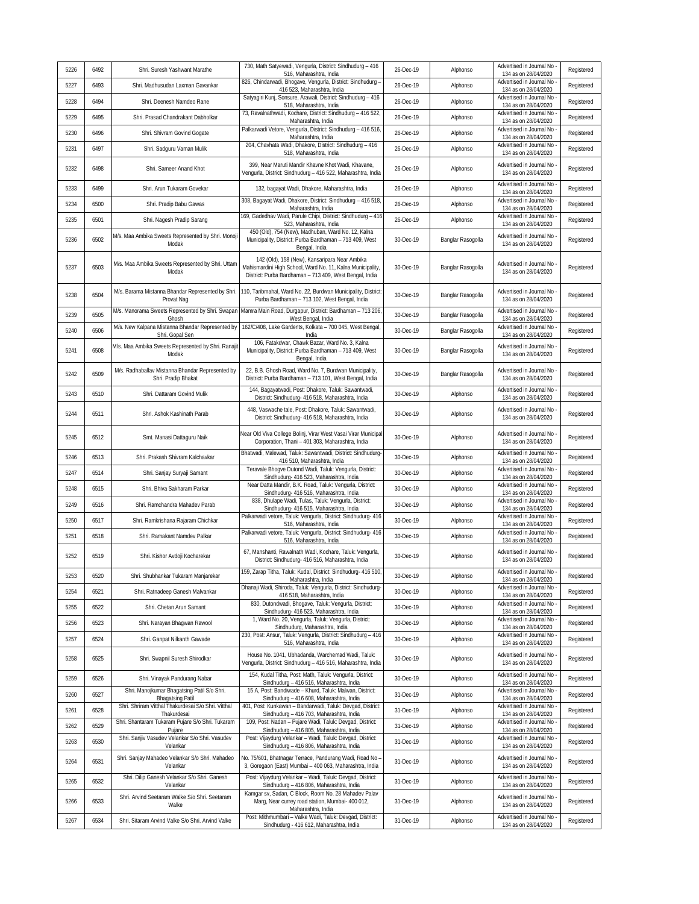| 5226 | 6492 |                                                                                                             | 730, Math Satyewadi, Vengurla, District: Sindhudurg - 416                                                                                                                        | 26-Dec-19 |                   | Advertised in Journal No                                                     |            |
|------|------|-------------------------------------------------------------------------------------------------------------|----------------------------------------------------------------------------------------------------------------------------------------------------------------------------------|-----------|-------------------|------------------------------------------------------------------------------|------------|
|      |      | Shri. Suresh Yashwant Marathe                                                                               | 516, Maharashtra, India<br>826, Chindarwadi, Bhogave, Vengurla, District: Sindhudurg -                                                                                           |           | Alphonso          | 134 as on 28/04/2020<br>Advertised in Journal No                             | Registered |
| 5227 | 6493 | Shri. Madhusudan Laxman Gavankar                                                                            | 416 523, Maharashtra, India<br>Satyagiri Kunj, Sonsure, Arawali, District: Sindhudurg - 416                                                                                      | 26-Dec-19 | Alphonso          | 134 as on 28/04/2020<br>Advertised in Journal No                             | Registered |
| 5228 | 6494 | Shri, Deenesh Namdeo Rane                                                                                   | 518, Maharashtra, India<br>73, Ravalnathwadi, Kochare, District: Sindhudurg - 416 522,                                                                                           | 26-Dec-19 | Alphonso          | 134 as on 28/04/2020<br>Advertised in Journal No                             | Registered |
| 5229 | 6495 | Shri. Prasad Chandrakant Dabholkar                                                                          | Maharashtra, India<br>Palkarwadi Vetore, Vengurla, District: Sindhudurg - 416 516,                                                                                               | 26-Dec-19 | Alphonso          | 134 as on 28/04/2020<br>Advertised in Journal No                             | Registered |
| 5230 | 6496 | Shri. Shivram Govind Gogate                                                                                 | Maharashtra, India<br>204, Chavhata Wadi, Dhakore, District: Sindhudurg - 416                                                                                                    | 26-Dec-19 | Alphonso          | 134 as on 28/04/2020<br>Advertised in Journal No                             | Registered |
| 5231 | 6497 | Shri. Sadguru Vaman Mulik                                                                                   | 518, Maharashtra, India                                                                                                                                                          | 26-Dec-19 | Alphonso          | 134 as on 28/04/2020                                                         | Registered |
| 5232 | 6498 | Shri. Sameer Anand Khot                                                                                     | 399, Near Maruti Mandir Khavne Khot Wadi, Khavane,<br>Vengurla, District: Sindhudurg - 416 522, Maharashtra, India                                                               | 26-Dec-19 | Alphonso          | Advertised in Journal No<br>134 as on 28/04/2020<br>Advertised in Journal No | Registered |
| 5233 | 6499 | Shri. Arun Tukaram Govekar                                                                                  | 132, bagayat Wadi, Dhakore, Maharashtra, India                                                                                                                                   | 26-Dec-19 | Alphonso          | 134 as on 28/04/2020                                                         | Registered |
| 5234 | 6500 | Shri. Pradip Babu Gawas                                                                                     | 308, Bagayat Wadi, Dhakore, District: Sindhudurg - 416 518,<br>Maharashtra, India                                                                                                | 26-Dec-19 | Alphonso          | Advertised in Journal No<br>134 as on 28/04/2020                             | Registered |
| 5235 | 6501 | Shri. Nagesh Pradip Sarang                                                                                  | 169, Gadedhav Wadi, Parule Chipi, District: Sindhudurg - 416<br>523, Maharashtra, India                                                                                          | 26-Dec-19 | Alphonso          | Advertised in Journal No<br>134 as on 28/04/2020                             | Registered |
| 5236 | 6502 | M/s. Maa Ambika Sweets Represented by Shri. Monoji<br>Modak                                                 | 450 (Old), 754 (New), Madhuban, Ward No. 12, Kalna<br>Municipality, District: Purba Bardhaman - 713 409, West<br>Bengal, India                                                   | 30-Dec-19 | Banglar Rasogolla | Advertised in Journal No -<br>134 as on 28/04/2020                           | Registered |
| 5237 | 6503 | M/s. Maa Ambika Sweets Represented by Shri. Uttam<br>Modak                                                  | 142 (Old), 158 (New), Kansaripara Near Ambika<br>Mahismardini High School, Ward No. 11, Kalna Municipality,<br>District: Purba Bardhaman - 713 409, West Bengal, India           | 30-Dec-19 | Banglar Rasogolla | Advertised in Journal No<br>134 as on 28/04/2020                             | Registered |
| 5238 | 6504 | M/s. Barama Mistanna Bhandar Represented by Shri.<br>Provat Nag                                             | 110, Taribmahal, Ward No. 22, Burdwan Municipality, District:<br>Purba Bardhaman - 713 102, West Bengal, India                                                                   | 30-Dec-19 | Banglar Rasogolla | Advertised in Journal No<br>134 as on 28/04/2020                             | Registered |
| 5239 | 6505 | M/s. Manorama Sweets Represented by Shri. Swapan<br>Ghosh                                                   | Mamra Main Road, Durgapur, District: Bardhaman - 713 206,<br>West Bengal, India                                                                                                  | 30-Dec-19 | Banglar Rasogolla | Advertised in Journal No<br>134 as on 28/04/2020                             | Registered |
| 5240 | 6506 | M/s. New Kalpana Mistanna Bhandar Represented by<br>Shri. Gopal Sen                                         | 162/C/408, Lake Gardents, Kolkata - 700 045, West Bengal,<br>India                                                                                                               | 30-Dec-19 | Banglar Rasogolla | Advertised in Journal No<br>134 as on 28/04/2020                             | Registered |
| 5241 | 6508 | M/s. Maa Ambika Sweets Represented by Shri. Ranajit<br>Modak                                                | 106, Fatakdwar, Chawk Bazar, Ward No. 3, Kalna<br>Municipality, District: Purba Bardhaman - 713 409, West<br>Bengal, India                                                       | 30-Dec-19 | Banglar Rasogolla | Advertised in Journal No<br>134 as on 28/04/2020                             | Registered |
| 5242 | 6509 | M/s. Radhaballav Mistanna Bhandar Represented by<br>Shri. Pradip Bhakat                                     | 22, B.B. Ghosh Road, Ward No. 7, Burdwan Municipality,<br>District: Purba Bardhaman - 713 101, West Bengal, India                                                                | 30-Dec-19 | Banglar Rasogolla | Advertised in Journal No<br>134 as on 28/04/2020                             | Registered |
| 5243 | 6510 | Shri. Dattaram Govind Mulik                                                                                 | 144, Baqayatwadi, Post: Dhakore, Taluk: Sawantwadi,<br>District: Sindhudurg- 416 518, Maharashtra, India                                                                         | 30-Dec-19 | Alphonso          | Advertised in Journal No<br>134 as on 28/04/2020                             | Registered |
| 5244 | 6511 | Shri. Ashok Kashinath Parab                                                                                 | 448, Vaswache tale, Post: Dhakore, Taluk: Sawantwadi,<br>District: Sindhudurg- 416 518, Maharashtra, India                                                                       | 30-Dec-19 | Alphonso          | Advertised in Journal No<br>134 as on 28/04/2020                             | Registered |
| 5245 | 6512 | Smt. Manasi Dattaguru Naik                                                                                  | Near Old Viva College Bolinj, Virar West Vasai Virar Municipal<br>Corporation, Thani - 401 303, Maharashtra, India                                                               | 30-Dec-19 | Alphonso          | Advertised in Journal No<br>134 as on 28/04/2020                             | Registered |
| 5246 | 6513 | Shri. Prakash Shivram Kalchavkar                                                                            | Bhatwadi, Malewad, Taluk: Sawantwadi, District: Sindhudurg-<br>416 510, Maharashtra, India                                                                                       | 30-Dec-19 | Alphonso          | Advertised in Journal No<br>134 as on 28/04/2020                             | Registered |
| 5247 | 6514 | Shri. Sanjay Suryaji Samant                                                                                 | Teravale Bhogve Dutond Wadi, Taluk: Vengurla, District:<br>Sindhudurg- 416 523, Maharashtra, India                                                                               | 30-Dec-19 | Alphonso          | Advertised in Journal No<br>134 as on 28/04/2020                             | Registered |
| 5248 | 6515 | Shri. Bhiva Sakharam Parkar                                                                                 | Near Datta Mandir, B.K. Road, Taluk: Vengurla, District:<br>Sindhudurg- 416 516, Maharashtra, India                                                                              | 30-Dec-19 | Alphonso          | Advertised in Journal No<br>134 as on 28/04/2020                             | Registered |
| 5249 | 6516 | Shri. Ramchandra Mahadev Parab                                                                              | 838, Dhulape Wadi, Tulas, Taluk: Vengurla, District:<br>Sindhudurg- 416 515, Maharashtra, India                                                                                  | 30-Dec-19 | Alphonso          | Advertised in Journal No<br>134 as on 28/04/2020                             | Registered |
| 5250 | 6517 | Shri. Ramkrishana Rajaram Chichkar                                                                          | Palkarwadi vetore, Taluk: Vengurla, District: Sindhudurg- 416<br>516, Maharashtra, India                                                                                         | 30-Dec-19 | Alphonso          | Advertised in Journal No<br>134 as on 28/04/2020                             | Registered |
| 5251 | 6518 | Shri. Ramakant Namdev Palkar                                                                                | Palkarwadi vetore, Taluk: Vengurla, District: Sindhudurg- 416<br>516, Maharashtra, India                                                                                         | 30-Dec-19 | Alphonso          | Advertised in Journal No<br>134 as on 28/04/2020                             | Registered |
| 5252 | 6519 | Shri. Kishor Avdoji Kocharekar                                                                              | 67, Manshanti, Rawalnath Wadi, Kochare, Taluk: Vengurla,<br>District: Sindhudurg- 416 516, Maharashtra, India                                                                    | 30-Dec-19 | Alphonso          | Advertised in Journal No<br>134 as on 28/04/2020                             | Registered |
| 5253 | 6520 | Shri. Shubhankar Tukaram Manjarekar                                                                         | 159, Zarap Titha, Taluk: Kudal, District: Sindhudurg- 416 510,<br>Maharashtra, India                                                                                             | 30-Dec-19 | Alphonso          | Advertised in Journal No -<br>134 as on 28/04/2020                           | Registered |
| 5254 | 6521 | Shri. Ratnadeep Ganesh Malvankar                                                                            | Dhanaji Wadi, Shiroda, Taluk: Vengurla, District: Sindhudurg-<br>416 518, Maharashtra, India                                                                                     | 30-Dec-19 | Alphonso          | Advertised in Journal No<br>134 as on 28/04/2020                             | Registered |
| 5255 | 6522 | Shri. Chetan Arun Samant                                                                                    | 830, Dutondwadi, Bhogave, Taluk: Vengurla, District:                                                                                                                             | 30-Dec-19 | Alphonso          | Advertised in Journal No                                                     | Registered |
| 5256 | 6523 | Shri. Narayan Bhagwan Rawool                                                                                | Sindhudurg- 416 523, Maharashtra, India<br>1, Ward No. 20, Vengurla, Taluk: Vengurla, District:                                                                                  | 30-Dec-19 | Alphonso          | 134 as on 28/04/2020<br>Advertised in Journal No                             | Registered |
| 5257 | 6524 | Shri. Ganpat Nilkanth Gawade                                                                                | Sindhudurg, Maharashtra, India<br>230, Post: Ansur, Taluk: Vengurla, District: Sindhudurg - 416                                                                                  | 30-Dec-19 | Alphonso          | 134 as on 28/04/2020<br>Advertised in Journal No                             | Registered |
| 5258 | 6525 | Shri. Swapnil Suresh Shirodkar                                                                              | 516, Maharashtra, India<br>House No. 1041, Ubhadanda, Warchemad Wadi, Taluk:<br>Vengurla, District: Sindhudurg - 416 516, Maharashtra, India                                     | 30-Dec-19 | Alphonso          | 134 as on 28/04/2020<br>Advertised in Journal No<br>134 as on 28/04/2020     | Registered |
| 5259 | 6526 | Shri. Vinayak Pandurang Nabar                                                                               | 154, Kudal Titha, Post: Math, Taluk: Vengurla, District:                                                                                                                         | 30-Dec-19 | Alphonso          | Advertised in Journal No -                                                   | Registered |
| 5260 | 6527 | Shri. Manojkumar Bhagatsing Patil S/o Shri.                                                                 | Sindhudurg - 416 516, Maharashtra, India<br>15 A, Post: Bandiwade - Khurd, Taluk: Malwan, District:                                                                              | 31-Dec-19 | Alphonso          | 134 as on 28/04/2020<br>Advertised in Journal No                             | Registered |
| 5261 | 6528 | <b>Bhagatsing Patil</b><br>Shri. Shriram Vitthal Thakurdesai S/o Shri. Vitthal                              | Sindhudurg - 416 608, Maharashtra, India<br>401, Post: Kunkawan - Bandarwadi, Taluk: Devgad, District:                                                                           | 31-Dec-19 | Alphonso          | 134 as on 28/04/2020<br>Advertised in Journal No                             | Registered |
| 5262 | 6529 | Thakurdesai<br>Shri. Shantaram Tukaram Pujare S/o Shri. Tukaram                                             | Sindhudurg - 416 703, Maharashtra, India<br>109, Post: Nadan - Pujare Wadi, Taluk: Devgad, District:                                                                             | 31-Dec-19 | Alphonso          | 134 as on 28/04/2020<br>Advertised in Journal No                             | Registered |
| 5263 | 6530 | Pujare<br>Shri. Sanjiv Vasudev Velankar S/o Shri. Vasudev                                                   | Sindhudurg - 416 805, Maharashtra, India<br>Post: Vijaydurg Velankar - Wadi, Taluk: Devgad, District:                                                                            | 31-Dec-19 |                   | 134 as on 28/04/2020<br>Advertised in Journal No                             | Registered |
|      |      | Velankar                                                                                                    | Sindhudurg - 416 806, Maharashtra, India                                                                                                                                         |           | Alphonso          | 134 as on 28/04/2020                                                         |            |
| 5264 | 6531 | Shri. Sanjay Mahadeo Velankar S/o Shri. Mahadeo<br>Velankar<br>Shri. Dilip Ganesh Velankar S/o Shri. Ganesh | No. 75/601, Bhatnagar Terrace, Pandurang Wadi, Road No -<br>3, Goregaon (East) Mumbai - 400 063, Maharashtra, India<br>Post: Vijaydurq Velankar - Wadi, Taluk: Devgad, District: | 31-Dec-19 | Alphonso          | Advertised in Journal No<br>134 as on 28/04/2020<br>Advertised in Journal No | Registered |
| 5265 | 6532 | Velankar                                                                                                    | Sindhudurg - 416 806, Maharashtra, India<br>Kamgar sv, Sadan, C Block, Room No. 28 Mahadev Palav                                                                                 | 31-Dec-19 | Alphonso          | 134 as on 28/04/2020                                                         | Registered |
| 5266 | 6533 | Shri. Arvind Seetaram Walke S/o Shri. Seetaram<br>Walke                                                     | Marg, Near currey road station, Mumbai- 400 012,<br>Maharashtra, India<br>Post: Mithmumbari - Valke Wadi, Taluk: Devgad, District:                                               | 31-Dec-19 | Alphonso          | Advertised in Journal No -<br>134 as on 28/04/2020                           | Registered |
| 5267 | 6534 | Shri. Sitaram Arvind Valke S/o Shri. Arvind Valke                                                           | Sindhudurg - 416 612, Maharashtra, India                                                                                                                                         | 31-Dec-19 | Alphonso          | Advertised in Journal No<br>134 as on 28/04/2020                             | Registered |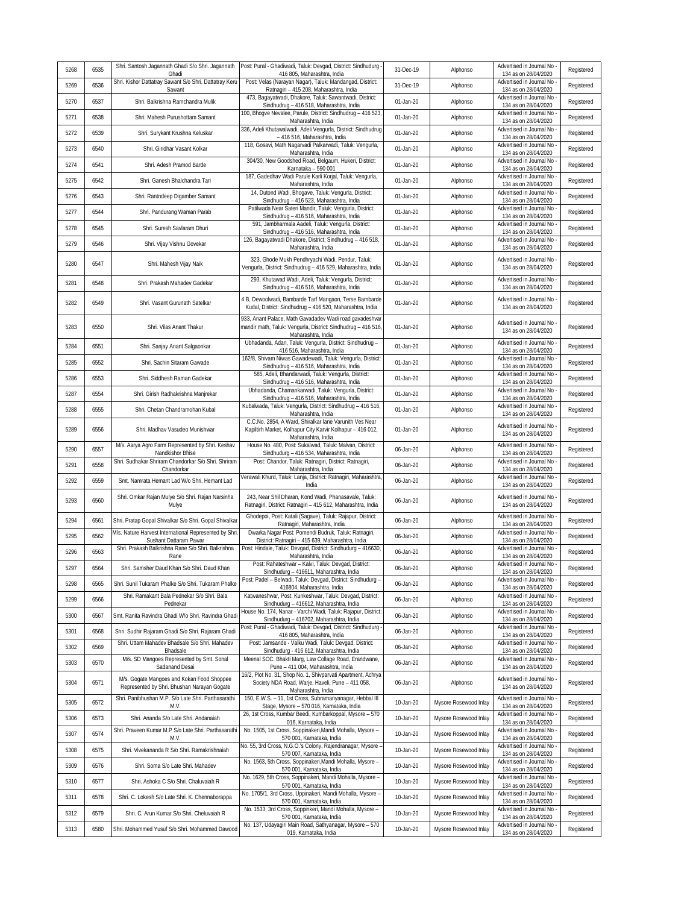| 5268 | 6535 |                                                                                                      | Shri. Santosh Jagannath Ghadi S/o Shri. Jagannath Post: Pural - Ghadiwadi, Taluk: Devgad, District: Sindhudurg                                                           | 31-Dec-19 | Alphonso              | Advertised in Journal No                                                       | Registered |
|------|------|------------------------------------------------------------------------------------------------------|--------------------------------------------------------------------------------------------------------------------------------------------------------------------------|-----------|-----------------------|--------------------------------------------------------------------------------|------------|
| 5269 | 6536 | Ghadi<br>Shri. Kishor Dattatray Sawant S/o Shri. Dattatray Keru                                      | 416 805, Maharashtra, India<br>Post: Velas (Narayan Nagar), Taluk: Mandangad, District:                                                                                  | 31-Dec-19 | Alphonso              | 134 as on 28/04/2020<br>Advertised in Journal No                               | Registered |
| 5270 | 6537 | Sawant<br>Shri. Balkrishna Ramchandra Mulik                                                          | Ratnagiri - 415 208, Maharashtra, India<br>473, Bagayatwadi, Dhakore, Taluk: Sawantwadi, District:                                                                       | 01-Jan-20 | Alphonso              | 134 as on 28/04/2020<br>Advertised in Journal No<br>134 as on 28/04/2020       | Registered |
| 5271 | 6538 | Shri. Mahesh Purushottam Samant                                                                      | Sindhudrug - 416 518, Maharashtra, India<br>100, Bhogve Nevalee, Parule, District: Sindhudrug - 416 523<br>Maharashtra, India                                            | 01-Jan-20 | Alphonso              | Advertised in Journal No<br>134 as on 28/04/2020                               | Registered |
| 5272 | 6539 | Shri. Surykant Krushna Keluskar                                                                      | 336, Adeli Khutawalwadi, Adeli Vengurla, District: Sindhudrug<br>- 416 516, Maharashtra, India                                                                           | 01-Jan-20 | Alphonso              | Advertised in Journal No<br>134 as on 28/04/2020                               | Registered |
| 5273 | 6540 | Shri. Giridhar Vasant Kolkar                                                                         | 118, Gosavi, Math Nagarvadi Palkarwadi, Taluk: Vengurla,<br>Maharashtra, India                                                                                           | 01-Jan-20 | Alphonso              | Advertised in Journal No<br>134 as on 28/04/2020                               | Registered |
| 5274 | 6541 | Shri. Adesh Pramod Barde                                                                             | 304/30, New Goodshed Road, Belgaum, Hukeri, District:<br>Karnataka - 590 001                                                                                             | 01-Jan-20 | Alphonso              | Advertised in Journal No<br>134 as on 28/04/2020                               | Registered |
| 5275 | 6542 | Shri. Ganesh Bhalchandra Tari                                                                        | 187, Gadedhav Wadi Parule Karli Korjal, Taluk: Vengurla,<br>Maharashtra, India                                                                                           | 01-Jan-20 | Alphonso              | Advertised in Journal No<br>134 as on 28/04/2020                               | Registered |
| 5276 | 6543 | Shri. Rantndeep Digamber Samant                                                                      | 14, Dutond Wadi, Bhogave, Taluk: Vengurla, District:<br>Sindhudrug - 416 523, Maharashtra, India                                                                         | 01-Jan-20 | Alphonso              | Advertised in Journal No<br>134 as on 28/04/2020                               | Registered |
| 5277 | 6544 | Shri. Pandurang Waman Parab                                                                          | Patilwada Near Sateri Mandir, Taluk: Vengurla, District:<br>Sindhudrug - 416 516, Maharashtra, India                                                                     | 01-Jan-20 | Alphonso              | Advertised in Journal No<br>134 as on 28/04/2020                               | Registered |
| 5278 | 6545 | Shri. Suresh Savlaram Dhuri                                                                          | 591, Jambharmala Aadeli, Taluk: Vengurla, District:<br>Sindhudrug - 416 516, Maharashtra, India                                                                          | 01-Jan-20 | Alphonso              | Advertised in Journal No<br>134 as on 28/04/2020                               | Registered |
| 5279 | 6546 | Shri. Vijay Vishnu Govekar                                                                           | 126, Bagayatwadi Dhakore, District: Sindhudrug - 416 518,<br>Maharashtra, India                                                                                          | 01-Jan-20 | Alphonso              | Advertised in Journal No<br>134 as on 28/04/2020                               | Registered |
| 5280 | 6547 | Shri. Mahesh Vijay Naik                                                                              | 323, Ghode Mukh Pendhryachi Wadi, Pendur, Taluk:<br>Vengurla, District: Sindhudrug - 416 529, Maharashtra, India                                                         | 01-Jan-20 | Alphonso              | Advertised in Journal No<br>134 as on 28/04/2020                               | Registered |
| 5281 | 6548 | Shri. Prakash Mahadev Gadekar                                                                        | 293, Khutawad Wadi, Adeli, Taluk: Vengurla, District:<br>Sindhudrug - 416 516, Maharashtra, India                                                                        | 01-Jan-20 | Alphonso              | Advertised in Journal No<br>134 as on 28/04/2020                               | Registered |
| 5282 | 6549 | Shri. Vasant Gurunath Satelkar                                                                       | 4 B, Dewoolwadi, Bambarde Tarf Mangaon, Terse Bambarde<br>Kudal, District: Sindhudrug - 416 520, Maharashtra, India                                                      | 01-Jan-20 | Alphonso              | Advertised in Journal No<br>134 as on 28/04/2020                               | Registered |
| 5283 | 6550 | Shri, Vilas Anant Thakur                                                                             | 933, Anant Palace, Math Gavadadev Wadi road gavadeshvar<br>mandir math, Taluk: Vengurla, District: Sindhudrug - 416 516,<br>Maharashtra, India                           | 01-Jan-20 | Alphonso              | Advertised in Journal No<br>134 as on 28/04/2020                               | Registered |
| 5284 | 6551 | Shri. Sanjay Anant Salgaonkar                                                                        | Ubhadanda, Adari, Taluk: Vengurla, District: Sindhudrug -<br>416 516, Maharashtra, India                                                                                 | 01-Jan-20 | Alphonso              | Advertised in Journal No<br>134 as on 28/04/2020                               | Registered |
| 5285 | 6552 | Shri, Sachin Sitaram Gawade                                                                          | 162/8, Shivam Niwas Gawadewadi, Taluk: Vengurla, District:<br>Sindhudrug - 416 516, Maharashtra, India                                                                   | 01-Jan-20 | Alphonso              | Advertised in Journal No<br>134 as on 28/04/2020                               | Registered |
| 5286 | 6553 | Shri. Siddhesh Raman Gadekar                                                                         | 585, Adeli, Bhandarwadi, Taluk: Vengurla, District:<br>Sindhudrug - 416 516, Maharashtra, India                                                                          | 01-Jan-20 | Alphonso              | Advertised in Journal No<br>134 as on 28/04/2020                               | Registered |
| 5287 | 6554 | Shri. Girish Radhakrishna Manjrekar                                                                  | Ubhadanda, Chamankarwadi, Taluk: Vengurla, District:<br>Sindhudrug - 416 516, Maharashtra, India                                                                         | 01-Jan-20 | Alphonso              | Advertised in Journal No<br>134 as on 28/04/2020                               | Registered |
| 5288 | 6555 | Shri. Chetan Chandramohan Kubal                                                                      | Kubalwada, Taluk: Vengurla, District: Sindhudrug - 416 516,<br>Maharashtra, India                                                                                        | 01-Jan-20 | Alphonso              | Advertised in Journal No<br>134 as on 28/04/2020                               | Registered |
| 5289 | 6556 | Shri. Madhav Vasudeo Munishwar                                                                       | C.C.No. 2854, A Ward, Shiralkar lane Varunith Ves Near<br>Kapiltirh Market, Kolhapur City Karvir Kolhapur - 416 012,<br>Maharashtra, India                               | 01-Jan-20 | Alphonso              | Advertised in Journal No<br>134 as on 28/04/2020                               | Registered |
| 5290 | 6557 | M/s. Aarya Agro Farm Represented by Shri. Keshav<br>Nandkishor Bhise                                 | House No. 480, Post: Sukalwad, Taluk: Malvan, District:<br>Sindhudurg - 416 534, Maharashtra, India                                                                      | 06-Jan-20 | Alphonso              | Advertised in Journal No<br>134 as on 28/04/2020                               | Registered |
| 5291 | 6558 | Shri. Sudhakar Shriram Chandorkar S/o Shri. Shriram<br>Chandorkar                                    | Post: Chandor, Taluk: Ratnagiri, District: Ratnagiri,<br>Maharashtra, India                                                                                              | 06-Jan-20 | Alphonso              | Advertised in Journal No<br>134 as on 28/04/2020                               | Registered |
| 5292 | 6559 | Smt. Namrata Hemant Lad W/o Shri. Hemant Lad                                                         | Verawali Khurd, Taluk: Lanja, District: Ratnagiri, Maharashtra<br>India                                                                                                  | 06-Jan-20 | Alphonso              | Advertised in Journal No<br>134 as on 28/04/2020                               | Registered |
| 5293 | 6560 | Shri. Omkar Rajan Mulye S/o Shri. Rajan Narsinha<br>Mulye                                            | 243, Near Shil Dharan, Kond Wadi, Phanasavale, Taluk:<br>Ratnagiri, District: Ratnagiri - 415 612, Maharashtra, India                                                    | 06-Jan-20 | Alphonso              | Advertised in Journal No<br>134 as on 28/04/2020                               | Registered |
| 5294 | 6561 | Shri. Pratap Gopal Shivalkar S/o Shri. Gopal Shivalkar                                               | Ghodepoi, Post: Katali (Sagave), Taluk: Rajapur, District:<br>Ratnagiri, Maharashtra, India                                                                              | 06-Jan-20 | Alphonso              | Advertised in Journal No<br>134 as on 28/04/2020                               | Registered |
| 5295 | 6562 | M/s. Nature Harvest International Represented by Shri<br>Sushant Dattaram Pawar                      | Dwarka Nagar Post: Pomendi Budruk, Taluk: Ratnagiri,<br>District: Ratnagiri - 415 639. Maharashtra. India                                                                | 06-Jan-20 | Alphonso              | Advertised in Journal No<br>134 as on 28/04/2020                               | Registered |
| 5296 | 6563 | Shri. Prakash Balkrishna Rane S/o Shri. Balkrishna<br>Rane                                           | Post: Hindale, Taluk: Devgad, District: Sindhudurg - 416630,<br>Maharashtra, India<br>Post: Rahateshwar - Kalvi, Taluk: Devgad, District:                                | 06-Jan-20 | Alphonso              | Advertised in Journal No<br>134 as on 28/04/2020<br>Advertised in Journal No   | Registered |
| 5297 | 6564 | Shri, Samsher Daud Khan S/o Shri, Daud Khan                                                          | Sindhudurg - 416611 Maharashtra India                                                                                                                                    | 06-Jan-20 | Alphonso              | 134 as on 28/04/2020                                                           | Registered |
| 5298 | 6565 | Shri. Sunil Tukaram Phalke S/o Shri. Tukaram Phalke<br>Shri, Ramakant Bala Pednekar S/o Shri, Bala   | Post: Padel - Belwadi, Taluk: Devgad, District: Sindhudurg -<br>416804, Maharashtra, India                                                                               | 06-Jan-20 | Alphonso              | Advertised in Journal No<br>134 as on 28/04/2020<br>Advertised in Journal No   | Registered |
| 5299 | 6566 | Pednekar                                                                                             | Katwaneshwar, Post: Kunkeshwar, Taluk: Devgad, District:<br>Sindhudurg - 416612, Maharashtra, India                                                                      | 06-Jan-20 | Alphonso              | 134 as on 28/04/2020                                                           | Registered |
| 5300 | 6567 | Smt. Ranita Ravindra Ghadi W/o Shri. Ravindra Ghadi                                                  | House No. 174, Nanar - Varchi Wadi, Taluk: Rajapur, District:<br>Sindhudurg - 416702, Maharashtra, India<br>Post: Pural - Ghadiwadi, Taluk: Devgad, District: Sindhudurg | 06-Jan-20 | Alphonso              | Advertised in Journal No -<br>134 as on 28/04/2020<br>Advertised in Journal No | Registered |
| 5301 | 6568 | Shri. Sudhir Rajaram Ghadi S/o Shri. Rajaram Ghadi<br>Shri, Uttam Mahadev Bhadsale S/o Shri, Mahadev | 416 805, Maharashtra, India<br>Post: Jamsande - Valku Wadi, Taluk: Devgad, District:                                                                                     | 06-Jan-20 | Alphonso              | 134 as on 28/04/2020<br>Advertised in Journal No                               | Registered |
| 5302 | 6569 | Bhadsale<br>M/s. SD Mangoes Represented by Smt. Sonal                                                | Sindhudurg - 416 612, Maharashtra, India<br>Meenal SOC. Bhakti Marg, Law Collage Road, Erandwane,                                                                        | 06-Jan-20 | Alphonso              | 134 as on 28/04/2020<br>Advertised in Journal No -                             | Registered |
| 5303 | 6570 | Sadanand Desai                                                                                       | Pune - 411 004, Maharashtra, India<br>16/2, Plot No. 31, Shop No. 1, Shivparvati Apartment, Achrya                                                                       | 06-Jan-20 | Alphonso              | 134 as on 28/04/2020                                                           | Registered |
| 5304 | 6571 | M/s. Gogate Mangoes and Kokan Food Shoppee<br>Represented by Shri. Bhushan Narayan Gogate            | Society NDA Road, Warje, Haveli, Pune - 411 058,<br>Maharashtra, India                                                                                                   | 06-Jan-20 | Alphonso              | Advertised in Journal No -<br>134 as on 28/04/2020                             | Registered |
| 5305 | 6572 | Shri. Panibhushan M.P. S/o Late Shri. Parthasarathi<br>M.V.                                          | 150, E.W.S. - 11, 1st Cross, Subramanyanagar, Hebbal III<br>Stage, Mysore - 570 016, Karnataka, India                                                                    | 10-Jan-20 | Mysore Rosewood Inlay | Advertised in Journal No<br>134 as on 28/04/2020                               | Registered |
| 5306 | 6573 | Shri. Ananda S/o Late Shri. Andanaiah                                                                | 26, 1st Cross, Kumbar Beedi, Kumbarkoppal, Mysore - 570<br>016, Karnataka, India                                                                                         | 10-Jan-20 | Mysore Rosewood Inlay | Advertised in Journal No<br>134 as on 28/04/2020                               | Registered |
| 5307 | 6574 | Shri. Praveen Kumar M.P S/o Late Shri. Parthasarathi<br>M.V.                                         | No. 1505, 1st Cross, Soppinakeri, Mandi Mohalla, Mysore -<br>570 001, Karnataka, India                                                                                   | 10-Jan-20 | Mysore Rosewood Inlay | Advertised in Journal No<br>134 as on 28/04/2020<br>Advertised in Journal No   | Registered |
| 5308 | 6575 | Shri. Vivekananda R S/o Shri. Ramakrishnaiah                                                         | No. 55, 3rd Cross, N.G.O.'s Colony, Rajendranagar, Mysore -<br>570 007, Karnataka, India<br>No. 1563, 5th Cross, Soppinakeri, Mandi Mohalla, Mysore -                    | 10-Jan-20 | Mysore Rosewood Inlay | 134 as on 28/04/2020                                                           | Registered |
| 5309 | 6576 | Shri. Soma S/o Late Shri. Mahadev                                                                    | 570 001, Karnataka, India<br>No. 1629, 5th Cross, Soppinakeri, Mandi Mohalla, Mysore -                                                                                   | 10-Jan-20 | Mysore Rosewood Inlay | Advertised in Journal No -<br>134 as on 28/04/2020<br>Advertised in Journal No | Registered |
| 5310 | 6577 | Shri. Ashoka C S/o Shri. Chaluvaiah R                                                                | 570 001, Karnataka, India<br>No. 1705/1, 3rd Cross, Uppinakeri, Mandi Mohalla, Mysore -                                                                                  | 10-Jan-20 | Mysore Rosewood Inlay | 134 as on 28/04/2020<br>Advertised in Journal No -                             | Registered |
| 5311 | 6578 | Shri. C. Lokesh S/o Late Shri. K. Chennaborappa                                                      | 570 001, Karnataka, India<br>No. 1533, 3rd Cross, Soppinkeri, Mandi Mohalla, Mysore -                                                                                    | 10-Jan-20 | Mysore Rosewood Inlay | 134 as on 28/04/2020<br>Advertised in Journal No -                             | Registered |
| 5312 | 6579 | Shri. C. Arun Kumar S/o Shri. Cheluvaiah R                                                           | 570 001, Karnataka, India<br>No. 137, Udayagiri Main Road, Sathyanagar, Mysore - 570                                                                                     | 10-Jan-20 | Mysore Rosewood Inlay | 134 as on 28/04/2020<br>Advertised in Journal No                               | Registered |
| 5313 | 6580 | Shri. Mohammed Yusuf S/o Shri. Mohammed Dawood                                                       | 019, Karnataka, India                                                                                                                                                    | 10-Jan-20 | Mysore Rosewood Inlay | 134 as on 28/04/2020                                                           | Registered |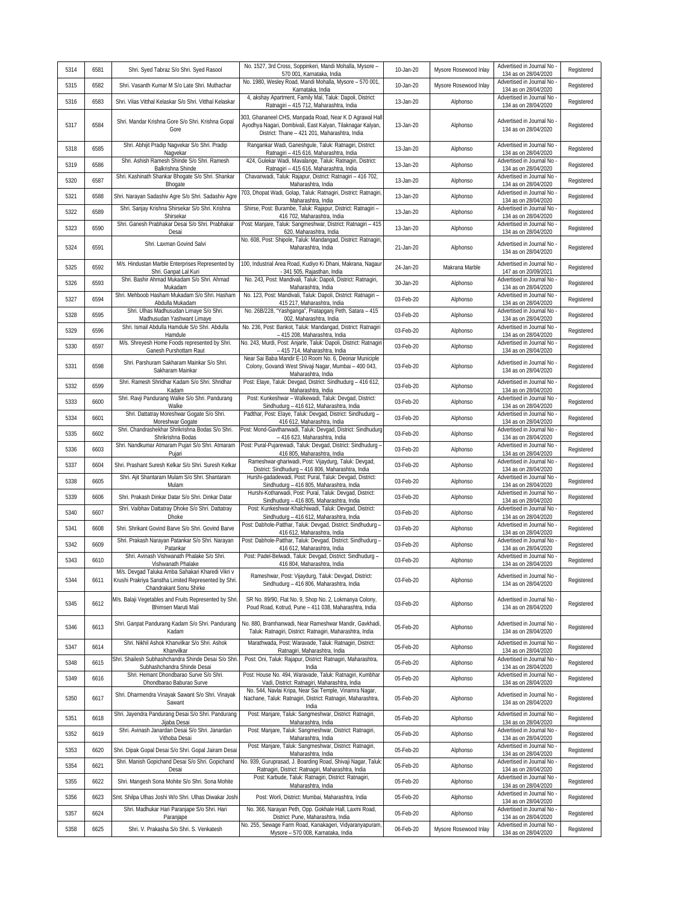| 5314 | 6581 | Shri. Syed Tabraz S/o Shri. Syed Rasool                                                                                             | No. 1527, 3rd Cross, Soppinkeri, Mandi Mohalla, Mysore -<br>570 001, Karnataka, India                                                                                  | 10-Jan-20 | Mysore Rosewood Inlay | Advertised in Journal No<br>134 as on 28/04/2020   | Registered |
|------|------|-------------------------------------------------------------------------------------------------------------------------------------|------------------------------------------------------------------------------------------------------------------------------------------------------------------------|-----------|-----------------------|----------------------------------------------------|------------|
| 5315 | 6582 | Shri. Vasanth Kumar M S/o Late Shri. Muthachar                                                                                      | No. 1980, Wesley Road, Mandi Mohalla, Mysore - 570 001,<br>Karnataka, India                                                                                            | 10-Jan-20 | Mysore Rosewood Inlay | Advertised in Journal No<br>134 as on 28/04/2020   | Registered |
| 5316 | 6583 | Shri. Vilas Vitthal Kelaskar S/o Shri. Vitthal Kelaskar                                                                             | 4, akshay Apartment, Family Mal, Taluk: Dapoli, District:<br>Ratnagiri - 415 712, Maharashtra, India                                                                   | 13-Jan-20 | Alphonso              | Advertised in Journal No<br>134 as on 28/04/2020   | Registered |
| 5317 | 6584 | Shri. Mandar Krishna Gore S/o Shri. Krishna Gopal<br>Gore                                                                           | 303, Ghananeel CHS, Manpada Road, Near K D Agrawal Hall<br>Ayodhya Nagari, Dombivali, East Kalyan, Tilaknagar Kalyan,<br>District: Thane - 421 201, Maharashtra, India | 13-Jan-20 | Alphonso              | Advertised in Journal No<br>134 as on 28/04/2020   | Registered |
| 5318 | 6585 | Shri. Abhijit Pradip Nagvekar S/o Shri. Pradip<br>Nagvekar                                                                          | Rangankar Wadi, Ganeshgule, Taluk: Ratnagiri, District:<br>Ratnagiri - 415 616, Maharashtra, India                                                                     | 13-Jan-20 | Alphonso              | Advertised in Journal No<br>134 as on 28/04/2020   | Registered |
| 5319 | 6586 | Shri. Ashish Ramesh Shinde S/o Shri. Ramesh<br>Balkrishna Shinde                                                                    | 424, Gulekar Wadi, Mavalange, Taluk: Ratnagiri, District:<br>Ratnagiri - 415 616, Maharashtra, India                                                                   | 13-Jan-20 | Alphonso              | Advertised in Journal No<br>134 as on 28/04/2020   | Registered |
| 5320 | 6587 | Shri. Kashinath Shankar Bhogate S/o Shri. Shankar<br>Bhogate                                                                        | Chavanwadi, Taluk: Rajapur, District: Ratnagiri - 416 702,<br>Maharashtra, India                                                                                       | 13-Jan-20 | Alphonso              | Advertised in Journal No<br>134 as on 28/04/2020   | Registered |
| 5321 | 6588 | Shri. Narayan Sadashiv Agre S/o Shri. Sadashiv Agre                                                                                 | 703, Dhopat Wadi, Golap, Taluk: Ratnagiri, District: Ratnagiri,<br>Maharashtra, India                                                                                  | 13-Jan-20 | Alphonso              | Advertised in Journal No<br>134 as on 28/04/2020   | Registered |
| 5322 | 6589 | Shri. Sanjay Krishna Shirsekar S/o Shri. Krishna<br>Shirsekar                                                                       | Shirse, Post: Burambe, Taluk: Rajapur, District: Ratnagiri -<br>416 702, Maharashtra, India                                                                            | 13-Jan-20 | Alphonso              | Advertised in Journal No<br>134 as on 28/04/2020   | Registered |
| 5323 | 6590 | Shri. Ganesh Prabhakar Desai S/o Shri. Prabhakar<br>Desai                                                                           | Post: Manjare, Taluk: Sangmeshwar, District: Ratnagiri - 415<br>620, Maharashtra, India                                                                                | 13-Jan-20 | Alphonso              | Advertised in Journal No<br>134 as on 28/04/2020   | Registered |
| 5324 | 6591 | Shri. Laxman Govind Salvi                                                                                                           | No. 608, Post: Shipole, Taluk: Mandangad, District: Ratnagiri,<br>Maharashtra, India                                                                                   | 21-Jan-20 | Alphonso              | Advertised in Journal No<br>134 as on 28/04/2020   | Registered |
| 5325 | 6592 | M/s. Hindustan Marble Enterprises Represented by<br>Shri. Ganpat Lal Kuri                                                           | 100, Industrial Area Road, Kudiyo Ki Dhani, Makrana, Nagaur<br>- 341 505, Rajasthan, India                                                                             | 24-Jan-20 | Makrana Marble        | Advertised in Journal No<br>147 as on 20/09/2021   | Registered |
| 5326 | 6593 | Shri. Bashir Ahmad Mukadam S/o Shri. Ahmad<br>Mukadam                                                                               | No. 243, Post: Mandivali, Taluk: Dapoli, District: Ratnagiri,<br>Maharashtra, India                                                                                    | 30-Jan-20 | Alphonso              | Advertised in Journal No<br>134 as on 28/04/2020   | Registered |
| 5327 | 6594 | Shri. Mehboob Hasham Mukadam S/o Shri. Hasham<br>Abdulla Mukadam                                                                    | No. 123, Post: Mandivali, Taluk: Dapoli, District: Ratnagiri -<br>415 217, Maharashtra, India                                                                          | 03-Feb-20 | Alphonso              | Advertised in Journal No<br>134 as on 28/04/2020   | Registered |
| 5328 | 6595 | Shri. Ulhas Madhusudan Limaye S/o Shri.<br>Madhusudan Yashwant Limaye                                                               | No. 26B/228, "Yashganga", Pratapganj Peth, Satara - 415<br>002, Maharashtra, India                                                                                     | 03-Feb-20 | Alphonso              | Advertised in Journal No<br>134 as on 28/04/2020   | Registered |
| 5329 | 6596 | Shri. Ismail Abdulla Hamdule S/o Shri. Abdulla<br>Hamdule                                                                           | No. 236, Post: Bankot, Taluk: Mandangad, District: Ratnagiri<br>- 415 208, Maharashtra, India                                                                          | 03-Feb-20 | Alphonso              | Advertised in Journal No<br>134 as on 28/04/2020   | Registered |
| 5330 | 6597 | M/s. Shreyesh Home Foods represented by Shri.<br>Ganesh Purshottam Raut                                                             | No. 243, Murdi, Post: Anjarle, Taluk: Dapoli, District: Ratnagiri<br>- 415 714, Maharashtra, India                                                                     | 03-Feb-20 | Alphonso              | Advertised in Journal No<br>134 as on 28/04/2020   | Registered |
| 5331 | 6598 | Shri. Parshuram Sakharam Mainkar S/o Shri.<br>Sakharam Mainkar                                                                      | Near Sai Baba Mandir E-10 Room No. 6, Deonar Municiple<br>Colony, Govandi West Shivaji Nagar, Mumbai - 400 043,<br>Maharashtra, India                                  | 03-Feb-20 | Alphonso              | Advertised in Journal No<br>134 as on 28/04/2020   | Registered |
| 5332 | 6599 | Shri. Ramesh Shridhar Kadam S/o Shri. Shridhar<br>Kadam                                                                             | Post: Elaye, Taluk: Devgad, District: Sindhudurg - 416 612,<br>Maharashtra, India                                                                                      | 03-Feb-20 | Alphonso              | Advertised in Journal No<br>134 as on 28/04/2020   | Registered |
| 5333 | 6600 | Shri. Ravji Pandurang Walke S/o Shri. Pandurang<br>Walke                                                                            | Post: Kunkeshwar - Walkewadi, Taluk: Devgad, District:<br>Sindhudurg - 416 612, Maharashtra, India                                                                     | 03-Feb-20 | Alphonso              | Advertised in Journal No<br>134 as on 28/04/2020   | Registered |
| 5334 | 6601 | Shri. Dattatray Moreshwar Gogate S/o Shri.<br>Moreshwar Gogate                                                                      | Padthar, Post: Elaye, Taluk: Devgad, District: Sindhudurg -<br>416 612, Maharashtra, India                                                                             | 03-Feb-20 | Alphonso              | Advertised in Journal No<br>134 as on 28/04/2020   | Registered |
| 5335 | 6602 | Shri. Chandrashekhar Shrikrishna Bodas S/o Shri.<br>Shrikrishna Bodas                                                               | Post: Mond-Gavthanwadi, Taluk: Devgad, District: Sindhudurg<br>- 416 623, Maharashtra, India                                                                           | 03-Feb-20 | Alphonso              | Advertised in Journal No<br>134 as on 28/04/2020   | Registered |
| 5336 | 6603 | Shri. Nandkumar Atmaram Pujari S/o Shri. Atmaram<br>Pujari                                                                          | Post: Pural-Pujarewadi, Taluk: Devgad, District: Sindhudurg -<br>416 805, Maharashtra, India                                                                           | 03-Feb-20 | Alphonso              | Advertised in Journal No<br>134 as on 28/04/2020   | Registered |
| 5337 | 6604 | Shri. Prashant Suresh Kelkar S/o Shri. Suresh Kelkar                                                                                | Rameshwar-ghariwadi, Post: Vijaydurg, Taluk: Devgad,<br>District: Sindhudurg - 416 806, Maharashtra, India                                                             | 03-Feb-20 | Alphonso              | Advertised in Journal No<br>134 as on 28/04/2020   | Registered |
| 5338 | 6605 | Shri. Ajit Shantaram Mulam S/o Shri. Shantaram<br>Mulam                                                                             | Hurshi-gadadewadi, Post: Pural, Taluk: Devgad, District:<br>Sindhudurg - 416 805, Maharashtra, India                                                                   | 03-Feb-20 | Alphonso              | Advertised in Journal No<br>134 as on 28/04/2020   | Registered |
| 5339 | 6606 | Shri. Prakash Dinkar Datar S/o Shri. Dinkar Datar                                                                                   | Hurshi-Kotharwadi, Post: Pural, Taluk: Devgad, District:<br>Sindhudurg - 416 805, Maharashtra, India                                                                   | 03-Feb-20 | Alphonso              | Advertised in Journal No<br>134 as on 28/04/2020   | Registered |
| 5340 | 6607 | Shri. Vaibhav Dattatray Dhoke S/o Shri. Dattatray<br>Dhoke                                                                          | Post: Kunkeshwar-Khalchiwadi, Taluk: Devgad, District:<br>Sindhudurg - 416 612, Maharashtra, India                                                                     | 03-Feb-20 | Alphonso              | Advertised in Journal No<br>134 as on 28/04/2020   | Registered |
| 5341 | 6608 | Shri. Shrikant Govind Barve S/o Shri. Govind Barve                                                                                  | Post: Dabhole-Patthar, Taluk: Devgad, District: Sindhudurg -<br>416 612, Maharashtra, India                                                                            | 03-Feb-20 | Alphonso              | Advertised in Journal No<br>134 as on 28/04/2020   | Registered |
| 5342 | 6609 | Shri. Prakash Narayan Patankar S/o Shri. Narayan<br>Patankar                                                                        | Post: Dabhole-Patthar, Taluk: Devgad, District: Sindhudurg -<br>416 612, Maharashtra, India                                                                            | 03-Feb-20 | Alphonso              | Advertised in Journal No<br>134 as on 28/04/2020   | Registered |
| 5343 | 6610 | Shri. Avinash Vishwanath Phalake S/o Shri.<br>Vishwanath Phalake                                                                    | Post: Padel-Belwadi, Taluk: Devgad, District: Sindhudurg -<br>416 804, Maharashtra, India                                                                              | 03-Feb-20 | Alphonso              | Advertised in Journal No<br>134 as on 28/04/2020   | Registered |
| 5344 | 6611 | M/s. Devgad Taluka Amba Sahakari Kharedi Vikri v<br>Krushi Prakriya Sanstha Limited Represented by Shri.<br>Chandrakant Sonu Shirke | Rameshwar, Post: Vijaydurg, Taluk: Devgad, District:<br>Sindhudurg - 416 806, Maharashtra, India                                                                       | 03-Feb-20 | Alphonso              | Advertised in Journal No<br>134 as on 28/04/2020   | Registered |
| 5345 | 6612 | M/s. Balaji Vegetables and Fruits Represented by Shri<br>Bhimsen Maruti Mali                                                        | SR No. 89/90, Flat No. 9, Shop No. 2, Lokmanya Colony,<br>Poud Road, Kotrud, Pune - 411 038, Maharashtra, India                                                        | 03-Feb-20 | Alphonso              | Advertised in Journal No<br>134 as on 28/04/2020   | Registered |
| 5346 | 6613 | Shri. Ganpat Pandurang Kadam S/o Shri. Pandurang<br>Kadam                                                                           | No. 880, Bramhanwadi, Near Rameshwar Mandir, Gavkhadi,<br>Taluk: Ratnagiri, District: Ratnagiri, Maharashtra, India                                                    | 05-Feb-20 | Alphonso              | Advertised in Journal No<br>134 as on 28/04/2020   | Registered |
| 5347 | 6614 | Shri. Nikhil Ashok Khanvilkar S/o Shri. Ashok<br>Khanvilkar                                                                         | Marathwada, Post: Waravade, Taluk: Ratnagiri, District:<br>Ratnagiri, Maharashtra, India                                                                               | 05-Feb-20 | Alphonso              | Advertised in Journal No<br>134 as on 28/04/2020   | Registered |
| 5348 | 6615 | Shri. Shailesh Subhashchandra Shinde Desai S/o Shri<br>Subhashchandra Shinde Desai                                                  | Post: Oni, Taluk: Rajapur, District: Ratnagiri, Maharashtra,<br>India                                                                                                  | 05-Feb-20 | Alphonso              | Advertised in Journal No<br>134 as on 28/04/2020   | Registered |
| 5349 | 6616 | Shri. Hemant Dhondbarao Surve S/o Shri.<br>Dhondbarao Baburao Surve                                                                 | Post: House No. 494, Waravade, Taluk: Ratnagiri, Kumbhar<br>Vadi, District: Ratnagiri, Maharashtra, India                                                              | 05-Feb-20 | Alphonso              | Advertised in Journal No<br>134 as on 28/04/2020   | Registered |
| 5350 | 6617 | Shri. Dharmendra Vinayak Sawant S/o Shri. Vinayak<br>Sawant                                                                         | No. 544, Navlai Kripa, Near Sai Temple, Vinamra Nagar,<br>Nachane, Taluk: Ratnagiri, District: Ratnagiri, Maharashtra,<br>India                                        | 05-Feb-20 | Alphonso              | Advertised in Journal No -<br>134 as on 28/04/2020 | Registered |
| 5351 | 6618 | Shri. Jayendra Pandurang Desai S/o Shri. Pandurang<br>Jijaba Desai                                                                  | Post: Manjare, Taluk: Sangmeshwar, District: Ratnagiri,<br>Maharashtra, India                                                                                          | 05-Feb-20 | Alphonso              | Advertised in Journal No<br>134 as on 28/04/2020   | Registered |
| 5352 | 6619 | Shri. Avinash Janardan Desai S/o Shri. Janardan<br>Vithoba Desai                                                                    | Post: Manjare, Taluk: Sangmeshwar, District: Ratnagiri,<br>Maharashtra, India                                                                                          | 05-Feb-20 | Alphonso              | Advertised in Journal No<br>134 as on 28/04/2020   | Registered |
| 5353 | 6620 | Shri. Dipak Gopal Desai S/o Shri. Gopal Jairam Desai                                                                                | Post: Manjare, Taluk: Sangmeshwar, District: Ratnagiri,<br>Maharashtra, India                                                                                          | 05-Feb-20 | Alphonso              | Advertised in Journal No<br>134 as on 28/04/2020   | Registered |
| 5354 | 6621 | Shri. Manish Gopichand Desai S/o Shri. Gopichand<br>Desai                                                                           | No. 939, Guruprasad, J. Boarding Road, Shivaji Nagar, Taluk:<br>Ratnagiri, District: Ratnagiri, Maharashtra, India                                                     | 05-Feb-20 | Alphonso              | Advertised in Journal No<br>134 as on 28/04/2020   | Registered |
| 5355 | 6622 | Shri. Mangesh Sona Mohite S/o Shri. Sona Mohite                                                                                     | Post: Karbude, Taluk: Ratnagiri, District: Ratnagiri,<br>Maharashtra, India                                                                                            | 05-Feb-20 | Alphonso              | Advertised in Journal No<br>134 as on 28/04/2020   | Registered |
| 5356 | 6623 | Smt. Shilpa Ulhas Joshi W/o Shri. Ulhas Diwakar Joshi                                                                               | Post: Worli, District: Mumbai, Maharashtra, India                                                                                                                      | 05-Feb-20 | Alphonso              | Advertised in Journal No<br>134 as on 28/04/2020   | Registered |
| 5357 | 6624 | Shri. Madhukar Hari Paranjape S/o Shri. Hari<br>Paranjape                                                                           | No. 366, Narayan Peth, Opp. Gokhale Hall, Laxmi Road,<br>District: Pune, Maharashtra, India                                                                            | 05-Feb-20 | Alphonso              | Advertised in Journal No<br>134 as on 28/04/2020   | Registered |
| 5358 | 6625 | Shri. V. Prakasha S/o Shri. S. Venkatesh                                                                                            | No. 255, Sewage Farm Road, Kanakageri, Vidyaranyapuram,<br>Mysore - 570 008, Karnataka, India                                                                          | 06-Feb-20 | Mysore Rosewood Inlay | Advertised in Journal No<br>134 as on 28/04/2020   | Registered |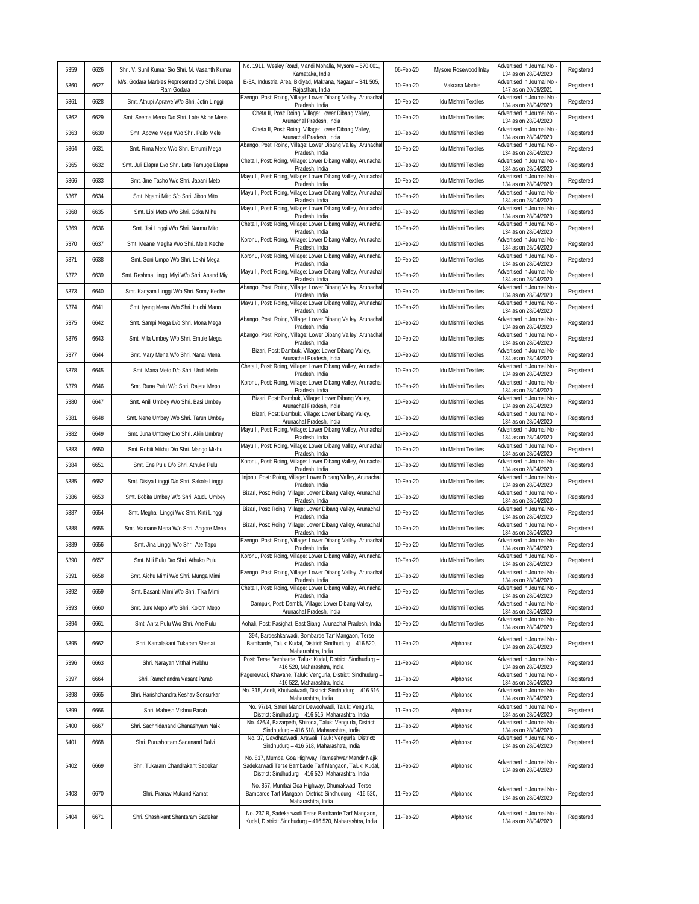|      |      |                                                                                                   | No. 1911, Wesley Road, Mandi Mohalla, Mysore - 570 001,                                                                                                             |           |                            | Advertised in Journal No                           |            |
|------|------|---------------------------------------------------------------------------------------------------|---------------------------------------------------------------------------------------------------------------------------------------------------------------------|-----------|----------------------------|----------------------------------------------------|------------|
| 5359 | 6626 | Shri. V. Sunil Kumar S/o Shri. M. Vasanth Kumar<br>M/s. Godara Marbles Represented by Shri. Deepa | Karnataka, India<br>E-8A, Industrial Area, Bidiyad, Makrana, Nagaur - 341 505,                                                                                      | 06-Feb-20 | Mysore Rosewood Inlay      | 134 as on 28/04/2020<br>Advertised in Journal No   | Registered |
| 5360 | 6627 | Ram Godara                                                                                        | Rajasthan, India                                                                                                                                                    | 10-Feb-20 | Makrana Marble             | 147 as on 20/09/2021                               | Registered |
| 5361 | 6628 | Smt. Athupi Aprawe W/o Shri. Jotin Linggi                                                         | Ezengo, Post: Roing, Village: Lower Dibang Valley, Arunachal<br>Pradesh, India                                                                                      | 10-Feb-20 | <b>Idu Mishmi Textiles</b> | Advertised in Journal No<br>134 as on 28/04/2020   | Registered |
| 5362 | 6629 | Smt. Seema Mena D/o Shri. Late Akine Mena                                                         | Cheta II, Post: Roing, Village: Lower Dibang Valley,<br>Arunachal Pradesh, India                                                                                    | 10-Feb-20 | Idu Mishmi Textiles        | Advertised in Journal No<br>134 as on 28/04/2020   | Registered |
| 5363 | 6630 | Smt. Apowe Mega W/o Shri. Pailo Mele                                                              | Cheta II, Post: Roing, Village: Lower Dibang Valley,<br>Arunachal Pradesh, India                                                                                    | 10-Feb-20 | Idu Mishmi Textiles        | Advertised in Journal No<br>134 as on 28/04/2020   | Registered |
| 5364 | 6631 | Smt. Rima Meto W/o Shri. Emumi Mega                                                               | Abango, Post: Roing, Village: Lower Dibang Valley, Arunacha<br>Pradesh, India                                                                                       | 10-Feb-20 | Idu Mishmi Textiles        | Advertised in Journal No<br>134 as on 28/04/2020   | Registered |
| 5365 | 6632 | Smt. Juli Elapra D/o Shri. Late Tamuge Elapra                                                     | Cheta I, Post: Roing, Village: Lower Dibang Valley, Arunachal<br>Pradesh, India                                                                                     | 10-Feb-20 | Idu Mishmi Textiles        | Advertised in Journal No<br>134 as on 28/04/2020   | Registered |
| 5366 | 6633 | Smt. Jine Tacho W/o Shri. Japani Meto                                                             | Mayu II, Post: Roing, Village: Lower Dibang Valley, Arunachal<br>Pradesh, India                                                                                     | 10-Feb-20 | Idu Mishmi Textiles        | Advertised in Journal No<br>134 as on 28/04/2020   | Registered |
| 5367 | 6634 | Smt. Ngami Mito S/o Shri. Jibon Mito                                                              | Mayu II, Post: Roing, Village: Lower Dibang Valley, Arunachal<br>Pradesh, India                                                                                     | 10-Feb-20 | Idu Mishmi Textiles        | Advertised in Journal No<br>134 as on 28/04/2020   | Registered |
| 5368 | 6635 | Smt. Lipi Meto W/o Shri. Goka Mihu                                                                | Mayu II, Post: Roing, Village: Lower Dibang Valley, Arunachal<br>Pradesh, India                                                                                     | 10-Feb-20 | Idu Mishmi Textiles        | Advertised in Journal No<br>134 as on 28/04/2020   | Registered |
| 5369 | 6636 | Smt. Jisi Linggi W/o Shri. Narmu Mito                                                             | Cheta I, Post: Roing, Village: Lower Dibang Valley, Arunachal<br>Pradesh, India                                                                                     | 10-Feb-20 | Idu Mishmi Textiles        | Advertised in Journal No<br>134 as on 28/04/2020   | Registered |
| 5370 | 6637 | Smt. Meane Megha W/o Shri. Mela Keche                                                             | Koronu, Post: Roing, Village: Lower Dibang Valley, Arunachal<br>Pradesh, India                                                                                      | 10-Feb-20 | Idu Mishmi Textiles        | Advertised in Journal No<br>134 as on 28/04/2020   | Registered |
| 5371 | 6638 | Smt. Soni Umpo W/o Shri. Lokhi Mega                                                               | Koronu, Post: Roing, Village: Lower Dibang Valley, Arunachal<br>Pradesh, India                                                                                      | 10-Feb-20 | Idu Mishmi Textiles        | Advertised in Journal No<br>134 as on 28/04/2020   | Registered |
| 5372 | 6639 | Smt. Reshma Linggi Miyi W/o Shri. Anand Miyi                                                      | Mayu II, Post: Roing, Village: Lower Dibang Valley, Arunachal<br>Pradesh, India                                                                                     | 10-Feb-20 | Idu Mishmi Textiles        | Advertised in Journal No<br>134 as on 28/04/2020   | Registered |
| 5373 | 6640 | Smt. Kariyam Linggi W/o Shri. Somy Keche                                                          | Abango, Post: Roing, Village: Lower Dibang Valley, Arunacha<br>Pradesh, India                                                                                       | 10-Feb-20 | Idu Mishmi Textiles        | Advertised in Journal No<br>134 as on 28/04/2020   | Registered |
| 5374 | 6641 | Smt. Iyang Mena W/o Shri. Huchi Mano                                                              | Mayu II, Post: Roing, Village: Lower Dibang Valley, Arunachal<br>Pradesh, India                                                                                     | 10-Feb-20 | Idu Mishmi Textiles        | Advertised in Journal No<br>134 as on 28/04/2020   | Registered |
| 5375 | 6642 | Smt. Sampi Mega D/o Shri. Mona Mega                                                               | Abango, Post: Roing, Village: Lower Dibang Valley, Arunacha<br>Pradesh, India                                                                                       | 10-Feb-20 | Idu Mishmi Textiles        | Advertised in Journal No<br>134 as on 28/04/2020   | Registered |
| 5376 | 6643 | Smt. Mila Umbey W/o Shri. Emule Mega                                                              | Abango, Post: Roing, Village: Lower Dibang Valley, Arunacha<br>Pradesh, India                                                                                       | 10-Feb-20 | Idu Mishmi Textiles        | Advertised in Journal No<br>134 as on 28/04/2020   | Registered |
| 5377 | 6644 | Smt. Mary Mena W/o Shri. Nanai Mena                                                               | Bizari, Post: Dambuk, Village: Lower Dibang Valley,<br>Arunachal Pradesh, India                                                                                     | 10-Feb-20 | Idu Mishmi Textiles        | Advertised in Journal No<br>134 as on 28/04/2020   | Registered |
| 5378 | 6645 | Smt. Mana Meto D/o Shri. Undi Meto                                                                | Cheta I, Post: Roing, Village: Lower Dibang Valley, Arunachal<br>Pradesh, India                                                                                     | 10-Feb-20 | Idu Mishmi Textiles        | Advertised in Journal No<br>134 as on 28/04/2020   | Registered |
| 5379 | 6646 | Smt. Runa Pulu W/o Shri. Rajeta Mepo                                                              | Koronu, Post: Roing, Village: Lower Dibang Valley, Arunachal<br>Pradesh, India                                                                                      | 10-Feb-20 | Idu Mishmi Textiles        | Advertised in Journal No<br>134 as on 28/04/2020   | Registered |
| 5380 | 6647 | Smt. Anili Umbey W/o Shri. Basi Umbey                                                             | Bizari, Post: Dambuk, Village: Lower Dibang Valley,<br>Arunachal Pradesh, India                                                                                     | 10-Feb-20 | Idu Mishmi Textiles        | Advertised in Journal No<br>134 as on 28/04/2020   | Registered |
| 5381 | 6648 | Smt. Nene Umbey W/o Shri. Tarun Umbey                                                             | Bizari, Post: Dambuk, Village: Lower Dibang Valley,<br>Arunachal Pradesh, India                                                                                     | 10-Feb-20 | Idu Mishmi Textiles        | Advertised in Journal No<br>134 as on 28/04/2020   | Registered |
| 5382 | 6649 | Smt. Juna Umbrey D/o Shri. Akin Umbrey                                                            | Mayu II, Post: Roing, Village: Lower Dibang Valley, Arunachal                                                                                                       | 10-Feb-20 | Idu Mishmi Textiles        | Advertised in Journal No                           | Registered |
| 5383 | 6650 | Smt. Robiti Mikhu D/o Shri. Mango Mikhu                                                           | Pradesh, India<br>Mayu II, Post: Roing, Village: Lower Dibang Valley, Arunachal                                                                                     | 10-Feb-20 | Idu Mishmi Textiles        | 134 as on 28/04/2020<br>Advertised in Journal No   | Registered |
| 5384 | 6651 | Smt. Ene Pulu D/o Shri. Athuko Pulu                                                               | Pradesh, India<br>Koronu, Post: Roing, Village: Lower Dibang Valley, Arunachal                                                                                      | 10-Feb-20 | Idu Mishmi Textiles        | 134 as on 28/04/2020<br>Advertised in Journal No   | Registered |
| 5385 | 6652 | Smt. Disiya Linggi D/o Shri. Sakole Linggi                                                        | Pradesh, India<br>Injonu, Post: Roing, Village: Lower Dibang Valley, Arunachal                                                                                      | 10-Feb-20 | Idu Mishmi Textiles        | 134 as on 28/04/2020<br>Advertised in Journal No   | Registered |
| 5386 | 6653 | Smt. Bobita Umbey W/o Shri. Atudu Umbey                                                           | Pradesh, India<br>Bizari, Post: Roing, Village: Lower Dibang Valley, Arunachal                                                                                      | 10-Feb-20 | Idu Mishmi Textiles        | 134 as on 28/04/2020<br>Advertised in Journal No   | Registered |
| 5387 | 6654 | Smt. Meghali Linggi W/o Shri. Kirti Linggi                                                        | Pradesh, India<br>Bizari, Post: Roing, Village: Lower Dibang Valley, Arunachal                                                                                      | 10-Feb-20 | Idu Mishmi Textiles        | 134 as on 28/04/2020<br>Advertised in Journal No   | Registered |
| 5388 | 6655 | Smt. Mamane Mena W/o Shri. Angore Mena                                                            | Pradesh, India<br>Bizari, Post: Roing, Village: Lower Dibang Valley, Arunachal                                                                                      | 10-Feb-20 | Idu Mishmi Textiles        | 134 as on 28/04/2020<br>Advertised in Journal No   | Registered |
| 5389 | 6656 | Smt. Jina Linggi W/o Shri. Ate Tapo                                                               | Pradesh, India<br>Ezengo, Post: Roing, Village: Lower Dibang Valley, Arunachal                                                                                      | 10-Feb-20 | Idu Mishmi Textiles        | 134 as on 28/04/2020<br>Advertised in Journal No   | Registered |
| 5390 | 6657 | Smt. Mili Pulu D/o Shri. Athuko Pulu                                                              | Pradesh, India<br>Koronu, Post: Roing, Village: Lower Dibang Valley, Arunachal                                                                                      | 10-Feb-20 | Idu Mishmi Textiles        | 134 as on 28/04/2020<br>Advertised in Journal No   | Registered |
| 5391 | 6658 | Smt. Aichu Mimi W/o Shri. Munga Mimi                                                              | Pradesh, India<br>Ezengo, Post: Roing, Village: Lower Dibang Valley, Arunachal                                                                                      | 10-Feb-20 | Idu Mishmi Textiles        | 134 as on 28/04/2020<br>Advertised in Journal No - | Registered |
| 5392 | 6659 | Smt. Basanti Mimi W/o Shri. Tika Mimi                                                             | Pradesh, India<br>Cheta I, Post: Roing, Village: Lower Dibang Valley, Arunachal                                                                                     | 10-Feb-20 | <b>Idu Mishmi Textiles</b> | 134 as on 28/04/2020<br>Advertised in Journal No   | Registered |
| 5393 | 6660 | Smt. Jure Mepo W/o Shri. Kolom Mepo                                                               | Pradesh, India<br>Dampuk, Post: Dambk, Village: Lower Dibang Valley,                                                                                                | 10-Feb-20 | Idu Mishmi Textiles        | 134 as on 28/04/2020<br>Advertised in Journal No   | Registered |
| 5394 | 6661 | Smt. Anita Pulu W/o Shri. Ane Pulu                                                                | Arunachal Pradesh, India<br>Aohali, Post: Pasighat, East Siang, Arunachal Pradesh, India                                                                            | 10-Feb-20 | Idu Mishmi Textiles        | 134 as on 28/04/2020<br>Advertised in Journal No   | Registered |
|      |      |                                                                                                   | 394, Bardeshkarwadi, Bombarde Tarf Mangaon, Terse                                                                                                                   |           |                            | 134 as on 28/04/2020<br>Advertised in Journal No   |            |
| 5395 | 6662 | Shri. Kamalakant Tukaram Shenai                                                                   | Bambarde, Taluk: Kudal, District: Sindhudurg - 416 520,<br>Maharashtra, India                                                                                       | 11-Feb-20 | Alphonso                   | 134 as on 28/04/2020                               | Registered |
| 5396 | 6663 | Shri. Narayan Vitthal Prabhu                                                                      | Post: Terse Bambarde, Taluk: Kudal, District: Sindhudurg -<br>416 520, Maharashtra, India                                                                           | 11-Feb-20 | Alphonso                   | Advertised in Journal No<br>134 as on 28/04/2020   | Registered |
| 5397 | 6664 | Shri. Ramchandra Vasant Parab                                                                     | Pagerewadi, Khavane, Taluk: Vengurla, District: Sindhudurg -<br>416 522, Maharashtra, India                                                                         | 11-Feb-20 | Alphonso                   | Advertised in Journal No<br>134 as on 28/04/2020   | Registered |
| 5398 | 6665 | Shri. Harishchandra Keshav Sonsurkar                                                              | No. 315, Adeli, Khutwalwadi, District: Sindhudurg - 416 516,<br>Maharashtra, India                                                                                  | 11-Feb-20 | Alphonso                   | Advertised in Journal No<br>134 as on 28/04/2020   | Registered |
| 5399 | 6666 | Shri. Mahesh Vishnu Parab                                                                         | No. 97/14, Sateri Mandir Dewoolwadi, Taluk: Vengurla,<br>District: Sindhudurg - 416 516, Maharashtra, India                                                         | 11-Feb-20 | Alphonso                   | Advertised in Journal No<br>134 as on 28/04/2020   | Registered |
| 5400 | 6667 | Shri. Sachhidanand Ghanashyam Naik                                                                | No. 476/4, Bazarpeth, Shiroda, Taluk: Vengurla, District:<br>Sindhudurg - 416 518, Maharashtra, India                                                               | 11-Feb-20 | Alphonso                   | Advertised in Journal No<br>134 as on 28/04/2020   | Registered |
| 5401 | 6668 | Shri. Purushottam Sadanand Dalvi                                                                  | No. 37, Gavdhadwadi, Arawali, Tauk: Vengurla, District:<br>Sindhudurg - 416 518, Maharashtra, India                                                                 | 11-Feb-20 | Alphonso                   | Advertised in Journal No<br>134 as on 28/04/2020   | Registered |
| 5402 | 6669 | Shri. Tukaram Chandrakant Sadekar                                                                 | No. 817, Mumbai Goa Highway, Rameshwar Mandir Najik<br>Sadekarwadi Terse Bambarde Tarf Mangaon, Taluk: Kudal,<br>District: Sindhudurg - 416 520, Maharashtra, India | 11-Feb-20 | Alphonso                   | Advertised in Journal No<br>134 as on 28/04/2020   | Registered |
| 5403 | 6670 | Shri. Pranav Mukund Kamat                                                                         | No. 857, Mumbai Goa Highway, Dhumakwadi Terse<br>Bambarde Tarf Mangaon, District: Sindhudurg - 416 520,<br>Maharashtra, India                                       | 11-Feb-20 | Alphonso                   | Advertised in Journal No<br>134 as on 28/04/2020   | Registered |
| 5404 | 6671 | Shri. Shashikant Shantaram Sadekar                                                                | No. 237 B, Sadekarwadi Terse Bambarde Tarf Mangaon,<br>Kudal, District: Sindhudurg - 416 520, Maharashtra, India                                                    | 11-Feb-20 | Alphonso                   | Advertised in Journal No<br>134 as on 28/04/2020   | Registered |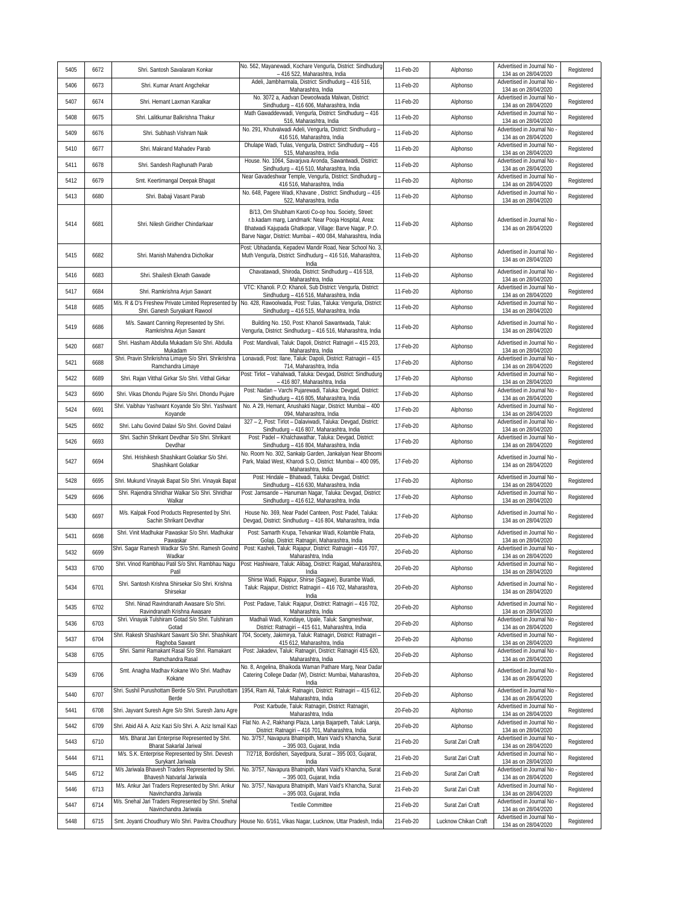| 5405 | 6672 | Shri. Santosh Savalaram Konkar                                                  | No. 562, Mayanewadi, Kochare Vengurla, District: Sindhudurg<br>- 416 522, Maharashtra, India                                                                                                                                          | 11-Feb-20 | Alphonso             | Advertised in Journal No<br>134 as on 28/04/2020   | Registered |
|------|------|---------------------------------------------------------------------------------|---------------------------------------------------------------------------------------------------------------------------------------------------------------------------------------------------------------------------------------|-----------|----------------------|----------------------------------------------------|------------|
| 5406 | 6673 | Shri. Kumar Anant Angchekar                                                     | Adeli, Jambharmala, District: Sindhudurg - 416 516,<br>Maharashtra, India                                                                                                                                                             | 11-Feb-20 | Alphonso             | Advertised in Journal No<br>134 as on 28/04/2020   | Registered |
| 5407 | 6674 | Shri. Hemant Laxman Karalkar                                                    | No. 3072 a, Aadvan Dewoolwada Malwan, District:<br>Sindhudurg - 416 606, Maharashtra, India                                                                                                                                           | 11-Feb-20 | Alphonso             | Advertised in Journal No<br>134 as on 28/04/2020   | Registered |
| 5408 | 6675 | Shri. Lalitkumar Balkrishna Thakur                                              | Math Gawaddevwadi, Vengurla, District: Sindhudurg - 416<br>516, Maharashtra, India                                                                                                                                                    | 11-Feb-20 | Alphonso             | Advertised in Journal No<br>134 as on 28/04/2020   | Registered |
| 5409 | 6676 | Shri. Subhash Vishram Naik                                                      | No. 291, Khutvalwadi Adeli, Vengurla, District: Sindhudurg -<br>416 516, Maharashtra, India                                                                                                                                           | 11-Feb-20 | Alphonso             | Advertised in Journal No<br>134 as on 28/04/2020   | Registered |
| 5410 | 6677 | Shri. Makrand Mahadev Parab                                                     | Dhulape Wadi, Tulas, Vengurla, District: Sindhudurg - 416<br>515, Maharashtra, India                                                                                                                                                  | 11-Feb-20 | Alphonso             | Advertised in Journal No<br>134 as on 28/04/2020   | Registered |
| 5411 | 6678 | Shri. Sandesh Raghunath Parab                                                   | House. No. 1064, Savarjuva Aronda, Sawantwadi, District:<br>Sindhudurg - 416 510, Maharashtra, India                                                                                                                                  | 11-Feb-20 | Alphonso             | Advertised in Journal No<br>134 as on 28/04/2020   | Registered |
| 5412 | 6679 | Smt. Keertimangal Deepak Bhagat                                                 | Near Gavadeshwar Temple, Vengurla, District: Sindhudurg -<br>416 516, Maharashtra, India                                                                                                                                              | 11-Feb-20 | Alphonso             | Advertised in Journal No<br>134 as on 28/04/2020   | Registered |
| 5413 | 6680 | Shri. Babaji Vasant Parab                                                       | No. 648, Pagere Wadi, Khavane, District: Sindhudurg - 416<br>522, Maharashtra, India                                                                                                                                                  | 11-Feb-20 | Alphonso             | Advertised in Journal No<br>134 as on 28/04/2020   | Registered |
| 5414 | 6681 | Shri. Nilesh Giridher Chindarkaar                                               | B/13, Om Shubham Karoti Co-op hou. Society, Street:<br>r.b.kadam marg, Landmark: Near Pooja Hospital, Area:<br>Bhatwadi Kajupada Ghatkopar, Village: Barve Nagar, P.O.<br>Barve Nagar, District: Mumbai - 400 084, Maharashtra, India | 11-Feb-20 | Alphonso             | Advertised in Journal No<br>134 as on 28/04/2020   | Registered |
| 5415 | 6682 | Shri. Manish Mahendra Dicholkar                                                 | Post: Ubhadanda, Kepadevi Mandir Road, Near School No. 3,<br>Muth Vengurla, District: Sindhudurg - 416 516, Maharashtra,<br>India                                                                                                     | 11-Feb-20 | Alphonso             | Advertised in Journal No<br>134 as on 28/04/2020   | Registered |
| 5416 | 6683 | Shri. Shailesh Eknath Gawade                                                    | Chavatawadi, Shiroda, District: Sindhudurg - 416 518,<br>Maharashtra, India                                                                                                                                                           | 11-Feb-20 | Alphonso             | Advertised in Journal No<br>134 as on 28/04/2020   | Registered |
| 5417 | 6684 | Shri. Ramkrishna Arjun Sawant                                                   | VTC: Khanoli. P.O: Khanoli, Sub District: Vengurla, District:<br>Sindhudurg - 416 516, Maharashtra, India                                                                                                                             | 11-Feb-20 | Alphonso             | Advertised in Journal No<br>134 as on 28/04/2020   | Registered |
| 5418 | 6685 | Shri. Ganesh Suryakant Rawool                                                   | M/s. R & D's Freshew Private Limited Represented by No. 428, Rawoolwada, Post: Tulas, Taluka: Vengurla, District:<br>Sindhudurg - 416 515, Maharashtra, India                                                                         | 11-Feb-20 | Alphonso             | Advertised in Journal No<br>134 as on 28/04/2020   | Registered |
| 5419 | 6686 | M/s. Sawant Canning Represented by Shri.<br>Ramkrishna Arjun Sawant             | Building No. 150, Post: Khanoli Sawantwada, Taluk:<br>Vengurla, District: Sindhudurg - 416 516, Maharashtra, India                                                                                                                    | 11-Feb-20 | Alphonso             | Advertised in Journal No<br>134 as on 28/04/2020   | Registered |
| 5420 | 6687 | Shri. Hasham Abdulla Mukadam S/o Shri. Abdulla<br>Mukadam                       | Post: Mandivali, Taluk: Dapoli, District: Ratnagiri - 415 203,<br>Maharashtra, India                                                                                                                                                  | 17-Feb-20 | Alphonso             | Advertised in Journal No<br>134 as on 28/04/2020   | Registered |
| 5421 | 6688 | Shri. Pravin Shrikrishna Limaye S/o Shri. Shrikrishna<br>Ramchandra Limaye      | Lonavadi, Post: Ilane, Taluk: Dapoli, District: Ratnagiri - 415<br>714, Maharashtra, India                                                                                                                                            | 17-Feb-20 | Alphonso             | Advertised in Journal No<br>134 as on 28/04/2020   | Registered |
| 5422 | 6689 | Shri. Rajan Vitthal Girkar S/o Shri. Vitthal Girkar                             | Post: Tirlot - Vahalwadi, Taluka: Devgad, District: Sindhudurg<br>- 416 807, Maharashtra, India                                                                                                                                       | 17-Feb-20 | Alphonso             | Advertised in Journal No<br>134 as on 28/04/2020   | Registered |
| 5423 | 6690 | Shri. Vikas Dhondu Pujare S/o Shri. Dhondu Pujare                               | Post: Nadan - Varchi Pujarewadi, Taluka: Devgad, District:<br>Sindhudurg - 416 805, Maharashtra, India                                                                                                                                | 17-Feb-20 | Alphonso             | Advertised in Journal No<br>134 as on 28/04/2020   | Registered |
| 5424 | 6691 | Shri. Vaibhav Yashwant Koyande S/o Shri. Yashwant<br>Koyande                    | No. A 29, Hemant, Anushakti Nagar, District: Mumbai - 400<br>094, Maharashtra, India                                                                                                                                                  | 17-Feb-20 | Alphonso             | Advertised in Journal No<br>134 as on 28/04/2020   | Registered |
| 5425 | 6692 | Shri. Lahu Govind Dalavi S/o Shri. Govind Dalavi                                | 327 - 2, Post: Tirlot - Dalaviwadi, Taluka: Devgad, District:<br>Sindhudurg - 416 807, Maharashtra, India                                                                                                                             | 17-Feb-20 | Alphonso             | Advertised in Journal No<br>134 as on 28/04/2020   | Registered |
| 5426 | 6693 | Shri. Sachin Shrikant Devdhar S/o Shri. Shrikant<br>Devdhar                     | Post: Padel - Khalchawathar, Taluka: Devgad, District:<br>Sindhudurg - 416 804, Maharashtra, India                                                                                                                                    | 17-Feb-20 | Alphonso             | Advertised in Journal No<br>134 as on 28/04/2020   | Registered |
| 5427 | 6694 | Shri. Hrishikesh Shashikant Golatkar S/o Shri.<br>Shashikant Golatkar           | No. Room No. 302, Sankalp Garden, Jankalyan Near Bhoomi<br>Park, Malad West, Kharodi S.O, District: Mumbai - 400 095,<br>Maharashtra, India                                                                                           | 17-Feb-20 | Alphonso             | Advertised in Journal No<br>134 as on 28/04/2020   | Registered |
| 5428 | 6695 | Shri. Mukund Vinayak Bapat S/o Shri. Vinayak Bapat                              | Post: Hindale - Bhatwadi, Taluka: Devgad, District:<br>Sindhudurg - 416 630, Maharashtra, India                                                                                                                                       | 17-Feb-20 | Alphonso             | Advertised in Journal No<br>134 as on 28/04/2020   | Registered |
| 5429 | 6696 | Shri. Rajendra Shridhar Walkar S/o Shri. Shridhar<br>Walkar                     | Post: Jamsande - Hanuman Nagar, Taluka: Devgad, District:<br>Sindhudurg - 416 612, Maharashtra, India                                                                                                                                 | 17-Feb-20 | Alphonso             | Advertised in Journal No<br>134 as on 28/04/2020   | Registered |
| 5430 | 6697 | M/s. Kalpak Food Products Represented by Shri.<br>Sachin Shrikant Devdhar       | House No. 369, Near Padel Canteen, Post: Padel, Taluka:<br>Devgad, District: Sindhudurg - 416 804, Maharashtra, India                                                                                                                 | 17-Feb-20 | Alphonso             | Advertised in Journal No<br>134 as on 28/04/2020   | Registered |
| 5431 | 6698 | Shri. Vinit Madhukar Pawaskar S/o Shri. Madhukar<br>Pawaskar                    | Post: Samarth Krupa, Telvankar Wadi, Kolamble Fhata,<br>Golap, District: Ratnagiri, Maharashtra, India                                                                                                                                | 20-Feb-20 | Alphonso             | Advertised in Journal No<br>134 as on 28/04/2020   | Registered |
| 5432 | 6699 | Shri. Sagar Ramesh Wadkar S/o Shri. Ramesh Govind<br>Wadkar                     | Post: Kasheli, Taluk: Rajapur, District: Ratnagiri - 416 707,<br>Maharashtra, India                                                                                                                                                   | 20-Feb-20 | Alphonso             | Advertised in Journal No<br>134 as on 28/04/2020   | Registered |
| 5433 | 6700 | Shri. Vinod Rambhau Patil S/o Shri. Rambhau Nagu<br>Patil                       | Post: Hashiware, Taluk: Alibag, District: Raigad, Maharashtra,<br><b>India</b>                                                                                                                                                        | 20-Feb-20 | Alphonso             | Advertised in Journal No<br>134 as on 28/04/2020   | Registered |
| 5434 | 6701 | Shri. Santosh Krishna Shirsekar S/o Shri. Krishna<br>Shirsekar                  | Shirse Wadi, Rajapur, Shirse (Sagave), Burambe Wadi,<br>Taluk: Rajapur, District: Ratnagiri - 416 702, Maharashtra,<br>India                                                                                                          | 20-Feb-20 | Alphonso             | Advertised in Journal No<br>134 as on 28/04/2020   | Registered |
| 5435 | 6702 | Shri. Ninad Ravindranath Awasare S/o Shri.<br>Ravindranath Krishna Awasare      | Post: Padave, Taluk: Rajapur, District: Ratnagiri - 416 702,<br>Maharashtra, India                                                                                                                                                    | 20-Feb-20 | Alphonso             | Advertised in Journal No<br>134 as on 28/04/2020   | Registered |
| 5436 | 6703 | Shri. Vinayak Tulshiram Gotad S/o Shri. Tulshiram<br>Gotad                      | Madhali Wadi, Kondaye, Upale, Taluk: Sangmeshwar,<br>District: Ratnagiri - 415 611, Maharashtra, India                                                                                                                                | 20-Feb-20 | Alphonso             | Advertised in Journal No<br>134 as on 28/04/2020   | Registered |
| 5437 | 6704 | Shri. Rakesh Shashikant Sawant S/o Shri. Shashikant<br>Raghoba Sawant           | 704, Society, Jakimirya, Taluk: Ratnagiri, District: Ratnagiri -<br>415 612, Maharashtra, India                                                                                                                                       | 20-Feb-20 | Alphonso             | Advertised in Journal No<br>134 as on 28/04/2020   | Registered |
| 5438 | 6705 | Shri. Samir Ramakant Rasal S/o Shri. Ramakant<br>Ramchandra Rasal               | Post: Jakadevi, Taluk: Ratnagiri, District: Ratnagiri 415 620,<br>Maharashtra, India                                                                                                                                                  | 20-Feb-20 | Alphonso             | Advertised in Journal No<br>134 as on 28/04/2020   | Registered |
| 5439 | 6706 | Smt. Anagha Madhav Kokane W/o Shri. Madhav<br>Kokane                            | No. 8, Angelina, Bhaikoda Waman Pathare Marg, Near Dadar<br>Catering College Dadar (W), District: Mumbai, Maharashtra,<br>India                                                                                                       | 20-Feb-20 | Alphonso             | Advertised in Journal No -<br>134 as on 28/04/2020 | Registered |
| 5440 | 6707 | Shri. Sushil Purushottam Berde S/o Shri. Purushottam<br>Berde                   | 1954, Ram Ali, Taluk: Ratnagiri, District: Ratnagiri - 415 612,<br>Maharashtra, India                                                                                                                                                 | 20-Feb-20 | Alphonso             | Advertised in Journal No<br>134 as on 28/04/2020   | Registered |
| 5441 | 6708 | Shri. Jayvant Suresh Agre S/o Shri. Suresh Janu Agre                            | Post: Karbude, Taluk: Ratnagiri, District: Ratnagiri,<br>Maharashtra, India                                                                                                                                                           | 20-Feb-20 | Alphonso             | Advertised in Journal No<br>134 as on 28/04/2020   | Registered |
| 5442 | 6709 | Shri. Abid Ali A. Aziz Kazi S/o Shri. A. Aziz Ismail Kazi                       | Flat No. A-2, Rakhangi Plaza, Lanja Bajarpeth, Taluk: Lanja,<br>District: Ratnagiri - 416 701, Maharashtra, India                                                                                                                     | 20-Feb-20 | Alphonso             | Advertised in Journal No -<br>134 as on 28/04/2020 | Registered |
| 5443 | 6710 | M/s. Bharat Jari Enterprise Represented by Shri.<br>Bharat Sakarlal Jariwal     | No. 3/757, Navapura Bhatnipith, Mani Vaid's Khancha, Surat<br>- 395 003, Gujarat, India                                                                                                                                               | 21-Feb-20 | Surat Zari Craft     | Advertised in Journal No<br>134 as on 28/04/2020   | Registered |
| 5444 | 6711 | M/s. S.K. Enterprise Represented by Shri. Devesh<br>Surykant Jariwala           | 7/2718, Bordisheri, Sayedpura, Surat - 395 003, Gujarat,<br>India                                                                                                                                                                     | 21-Feb-20 | Surat Zari Craft     | Advertised in Journal No<br>134 as on 28/04/2020   | Registered |
| 5445 | 6712 | M/s Jariwala Bhavesh Traders Represented by Shri.<br>Bhavesh Natvarlal Jariwala | No. 3/757, Navapura Bhatnipith, Mani Vaid's Khancha, Surat<br>- 395 003, Gujarat, India                                                                                                                                               | 21-Feb-20 | Surat Zari Craft     | Advertised in Journal No<br>134 as on 28/04/2020   | Registered |
| 5446 | 6713 | M/s. Ankur Jari Traders Represented by Shri. Ankur<br>Navinchandra Jariwala     | No. 3/757, Navapura Bhatnipith, Mani Vaid's Khancha, Surat<br>- 395 003, Gujarat, India                                                                                                                                               | 21-Feb-20 | Surat Zari Craft     | Advertised in Journal No<br>134 as on 28/04/2020   | Registered |
| 5447 | 6714 | M/s. Snehal Jari Traders Represented by Shri. Snehal<br>Navinchandra Jariwala   | <b>Textile Committee</b>                                                                                                                                                                                                              | 21-Feb-20 | Surat Zari Craft     | Advertised in Journal No<br>134 as on 28/04/2020   | Registered |
| 5448 | 6715 |                                                                                 | Smt. Joyanti Choudhury W/o Shri. Pavitra Choudhury House No. 6/161, Vikas Nagar, Lucknow, Uttar Pradesh, India                                                                                                                        | 21-Feb-20 | Lucknow Chikan Craft | Advertised in Journal No<br>134 as on 28/04/2020   | Registered |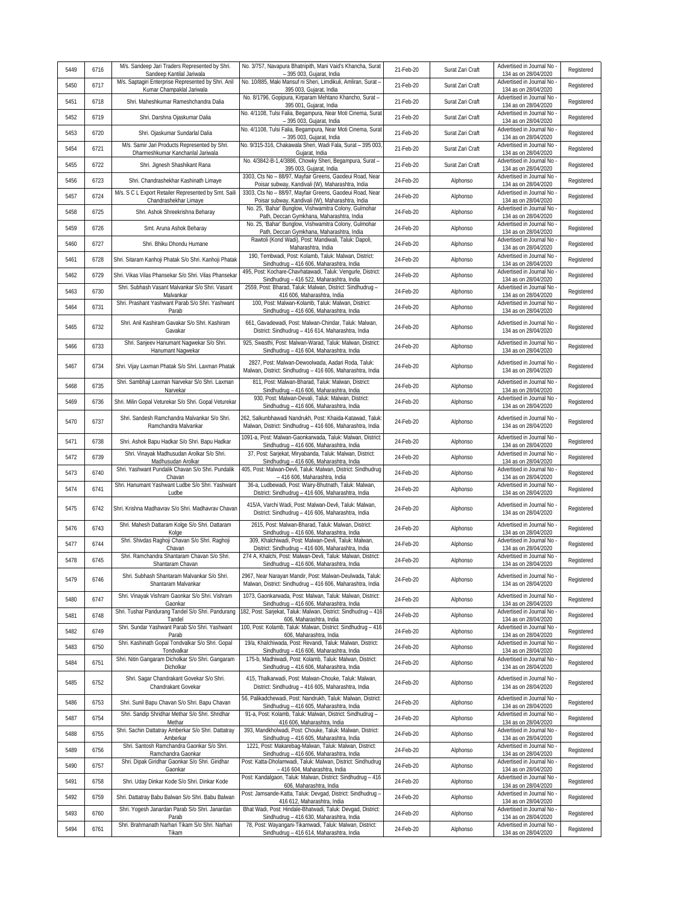| 5449 | 6716 | M/s. Sandeep Jari Traders Represented by Shri.<br>Sandeep Kantilal Jariwala        | No. 3/757, Navapura Bhatnipith, Mani Vaid's Khancha, Surat<br>- 395 003, Gujarat, India                                | 21-Feb-20 | Surat Zari Craft | Advertised in Journal No<br>134 as on 28/04/2020   | Registered |
|------|------|------------------------------------------------------------------------------------|------------------------------------------------------------------------------------------------------------------------|-----------|------------------|----------------------------------------------------|------------|
| 5450 | 6717 | M/s. Saptagiri Enterprise Represented by Shri. Anil<br>Kumar Champaklal Jariwala   | No. 10/885, Maki Mansuf ni Sheri, Limdikuli, Amliran, Surat -<br>395 003, Gujarat, India                               | 21-Feb-20 | Surat Zari Craft | Advertised in Journal No<br>134 as on 28/04/2020   | Registered |
| 5451 | 6718 | Shri. Maheshkumar Rameshchandra Dalia                                              | No. 8/1796, Gopipura, Kirparam Mehtano Khancho, Surat-<br>395 001, Gujarat, India                                      | 21-Feb-20 | Surat Zari Craft | Advertised in Journal No<br>134 as on 28/04/2020   | Registered |
| 5452 | 6719 | Shri. Darshna Ojaskumar Dalia                                                      | No. 4/1108, Tulsi Falia, Begampura, Near Moti Cinema, Sura<br>- 395 003, Gujarat, India                                | 21-Feb-20 | Surat Zari Craft | Advertised in Journal No<br>134 as on 28/04/2020   | Registered |
| 5453 | 6720 | Shri. Ojaskumar Sundarlal Dalia                                                    | No. 4/1108, Tulsi Falia, Begampura, Near Moti Cinema, Surat<br>- 395 003, Gujarat, India                               | 21-Feb-20 | Surat Zari Craft | Advertised in Journal No<br>134 as on 28/04/2020   | Registered |
| 5454 | 6721 | M/s. Samir Jari Products Represented by Shri.<br>Dharmeshkumar Kanchanlal Jariwala | No. 9/315-316, Chakawala Sheri, Wadi Fala, Surat - 395 003<br>Gujarat, India                                           | 21-Feb-20 | Surat Zari Craft | Advertised in Journal No<br>134 as on 28/04/2020   | Registered |
| 5455 | 6722 | Shri. Jignesh Shashikant Rana                                                      | No. 4/3842-B-1,4/3886, Chowky Sheri, Begampura, Surat-<br>395 003, Gujarat, India                                      | 21-Feb-20 | Surat Zari Craft | Advertised in Journal No<br>134 as on 28/04/2020   | Registered |
| 5456 | 6723 | Shri. Chandrashekhar Kashinath Limaye                                              | 3303, Cts No - 88/97, Mayfair Greens, Gaodeui Road, Near<br>Poisar subway, Kandivali (W), Maharashtra, India           | 24-Feb-20 | Alphonso         | Advertised in Journal No<br>134 as on 28/04/2020   | Registered |
| 5457 | 6724 | M/s. S C L Export Retailer Represented by Smt. Saili<br>Chandrashekhar Limaye      | 3303, Cts No - 88/97, Mayfair Greens, Gaodeui Road, Near<br>Poisar subway, Kandivali (W), Maharashtra, India           | 24-Feb-20 | Alphonso         | Advertised in Journal No<br>134 as on 28/04/2020   | Registered |
| 5458 | 6725 | Shri. Ashok Shreekrishna Beharay                                                   | No. 25, 'Bahar' Bunglow, Vishwamitra Colony, Gulmohar<br>Path, Deccan Gymkhana, Maharashtra, India                     | 24-Feb-20 | Alphonso         | Advertised in Journal No<br>134 as on 28/04/2020   | Registered |
| 5459 | 6726 | Smt. Aruna Ashok Beharay                                                           | No. 25, 'Bahar' Bunglow, Vishwamitra Colony, Gulmohar<br>Path, Deccan Gymkhana, Maharashtra, India                     | 24-Feb-20 | Alphonso         | Advertised in Journal No<br>134 as on 28/04/2020   | Registered |
| 5460 | 6727 | Shri. Bhiku Dhondu Humane                                                          | Rawtoli (Kond Wadi), Post: Mandiwali, Taluk: Dapoli,<br>Maharashtra, India                                             | 24-Feb-20 | Alphonso         | Advertised in Journal No<br>134 as on 28/04/2020   | Registered |
| 5461 | 6728 | Shri. Sitaram Kanhoji Phatak S/o Shri. Kanhoji Phatak                              | 190, Tembwadi, Post: Kolamb, Taluk: Malwan, District:<br>Sindhudrug - 416 606, Maharashtra, India                      | 24-Feb-20 | Alphonso         | Advertised in Journal No<br>134 as on 28/04/2020   | Registered |
| 5462 | 6729 | Shri. Vikas Vilas Phansekar S/o Shri. Vilas Phansekar                              | 495, Post: Kochare-Chavhatawadi, Taluk: Vengurle, District:<br>Sindhudrug - 416 522, Maharashtra, India                | 24-Feb-20 | Alphonso         | Advertised in Journal No<br>134 as on 28/04/2020   | Registered |
| 5463 | 6730 | Shri, Subhash Vasant Malvankar S/o Shri, Vasant<br>Malvankar                       | 2559, Post: Bharad, Taluk: Malwan, District: Sindhudrug -<br>416 606, Maharashtra, India                               | 24-Feb-20 | Alphonso         | Advertised in Journal No<br>134 as on 28/04/2020   | Registered |
| 5464 | 6731 | Shri. Prashant Yashwant Parab S/o Shri. Yashwant<br>Parab                          | 100, Post: Malwan-Kolamb, Taluk: Malwan, District:<br>Sindhudrug - 416 606, Maharashtra, India                         | 24-Feb-20 | Alphonso         | Advertised in Journal No<br>134 as on 28/04/2020   | Registered |
| 5465 | 6732 | Shri. Anil Kashiram Gavakar S/o Shri. Kashiram<br>Gavakar                          | 661, Gavadewadi, Post: Malwan-Chindar, Taluk: Malwan,<br>District: Sindhudrug - 416 614, Maharashtra, India            | 24-Feb-20 | Alphonso         | Advertised in Journal No<br>134 as on 28/04/2020   | Registered |
| 5466 | 6733 | Shri. Sanjeev Hanumant Nagwekar S/o Shri.<br>Hanumant Nagwekar                     | 925, Swasthi, Post: Malwan-Warad, Taluk: Malwan, District:<br>Sindhudrug - 416 604, Maharashtra, India                 | 24-Feb-20 | Alphonso         | Advertised in Journal No<br>134 as on 28/04/2020   | Registered |
| 5467 | 6734 | Shri. Vijay Laxman Phatak S/o Shri. Laxman Phatak                                  | 2827, Post: Malwan-Dewoolwada, Aadari Roda, Taluk:<br>Malwan, District: Sindhudrug - 416 606, Maharashtra, India       | 24-Feb-20 | Alphonso         | Advertised in Journal No<br>134 as on 28/04/2020   | Registered |
| 5468 | 6735 | Shri. Sambhaji Laxman Narvekar S/o Shri. Laxman<br>Narvekar                        | 811, Post: Malwan-Bharad, Taluk: Malwan, District:<br>Sindhudrug - 416 606, Maharashtra, India                         | 24-Feb-20 | Alphonso         | Advertised in Journal No<br>134 as on 28/04/2020   | Registered |
| 5469 | 6736 | Shri. Milin Gopal Veturekar S/o Shri. Gopal Veturekar                              | 930, Post: Malwan-Devali, Taluk: Malwan, District:<br>Sindhudrug - 416 606, Maharashtra, India                         | 24-Feb-20 | Alphonso         | Advertised in Journal No<br>134 as on 28/04/2020   | Registered |
| 5470 | 6737 | Shri. Sandesh Ramchandra Malvankar S/o Shri.<br>Ramchandra Malvankar               | 262, Salkunbhawadi Nandrukh, Post: Khaida-Katawad, Taluk<br>Malwan, District: Sindhudrug - 416 606, Maharashtra, India | 24-Feb-20 | Alphonso         | Advertised in Journal No<br>134 as on 28/04/2020   | Registered |
| 5471 | 6738 | Shri. Ashok Bapu Hadkar S/o Shri. Bapu Hadkar                                      | 1091-a, Post: Malwan-Gaonkarwada, Taluk: Malwan, District:<br>Sindhudrug - 416 606, Maharashtra, India                 | 24-Feb-20 | Alphonso         | Advertised in Journal No<br>134 as on 28/04/2020   | Registered |
| 5472 | 6739 | Shri. Vinayak Madhusudan Arolkar S/o Shri.<br>Madhusudan Arolkar                   | 37, Post: Sarjekat, Miryabanda, Taluk: Malwan, District:<br>Sindhudrug - 416 606, Maharashtra, India                   | 24-Feb-20 | Alphonso         | Advertised in Journal No<br>134 as on 28/04/2020   | Registered |
| 5473 | 6740 | Shri. Yashwant Pundalik Chavan S/o Shri. Pundalik<br>Chavan                        | 405, Post: Malwan-Devli, Taluk: Malwan, District: Sindhudrug<br>- 416 606, Maharashtra, India                          | 24-Feb-20 | Alphonso         | Advertised in Journal No<br>134 as on 28/04/2020   | Registered |
| 5474 | 6741 | Shri. Hanumant Yashwant Ludbe S/o Shri. Yashwant<br>Ludbe                          | 36-a, Ludbewadi, Post: Wairy-Bhutnath, Taluk: Malwan,<br>District: Sindhudrug - 416 606, Maharashtra, India            | 24-Feb-20 | Alphonso         | Advertised in Journal No<br>134 as on 28/04/2020   | Registered |
| 5475 | 6742 | Shri, Krishna Madhavrav S/o Shri, Madhavrav Chavan                                 | 415/A, Varchi Wadi, Post: Malwan-Devli, Taluk: Malwan,<br>District: Sindhudrug - 416 606, Maharashtra, India           | 24-Feb-20 | Alphonso         | Advertised in Journal No<br>134 as on 28/04/2020   | Registered |
| 5476 | 6743 | Shri. Mahesh Dattaram Kolge S/o Shri. Dattaram<br>Kolge                            | 2615, Post: Malwan-Bharad, Taluk: Malwan, District:<br>Sindhudrug - 416 606, Maharashtra, India                        | 24-Feb-20 | Alphonso         | Advertised in Journal No<br>134 as on 28/04/2020   | Registered |
| 5477 | 6744 | Shri. Shivdas Raghoji Chavan S/o Shri. Raghoji<br>Chavan                           | 309, Khalchiwadi, Post: Malwan-Devli, Taluk: Malwan,<br>District: Sindhudrug - 416 606, Maharashtra, India             | 24-Feb-20 | Alphonso         | Advertised in Journal No<br>134 as on 28/04/2020   | Registered |
| 5478 | 6745 | Shri. Ramchandra Shantaram Chavan S/o Shri.<br>Shantaram Chavan                    | 274 A, Khalchi, Post: Malwan-Devli, Taluk: Malwan, District:<br>Sindhudrug - 416 606, Maharashtra, India               | 24-Feb-20 | Alphonso         | Advertised in Journal No<br>134 as on 28/04/2020   | Registered |
| 5479 | 6746 | Shri. Subhash Shantaram Malvankar S/o Shri.<br>Shantaram Malvankar                 | 2967, Near Narayan Mandir, Post: Malwan-Deulwada, Taluk:<br>Malwan, District: Sindhudrug - 416 606, Maharashtra, India | 24-Feb-20 | Alphonso         | Advertised in Journal No<br>134 as on 28/04/2020   | Registered |
| 5480 | 6747 | Shri. Vinayak Vishram Gaonkar S/o Shri. Vishram<br>Gaonkar                         | 1073, Gaonkarwada, Post: Malwan, Taluk: Malwan, District:<br>Sindhudrug - 416 606, Maharashtra, India                  | 24-Feb-20 | Alphonso         | Advertised in Journal No<br>134 as on 28/04/2020   | Registered |
| 5481 | 6748 | Shri. Tushar Pandurang Tandel S/o Shri. Pandurang<br>Tandel                        | 182, Post: Sarjekat, Taluk: Malwan, District: Sindhudrug - 416<br>606, Maharashtra, India                              | 24-Feb-20 | Alphonso         | Advertised in Journal No -<br>134 as on 28/04/2020 | Registered |
| 5482 | 6749 | Shri. Sundar Yashwant Parab S/o Shri. Yashwant<br>Parab                            | 100, Post: Kolamb, Taluk: Malwan, District: Sindhudrug - 416<br>606, Maharashtra, India                                | 24-Feb-20 | Alphonso         | Advertised in Journal No<br>134 as on 28/04/2020   | Registered |
| 5483 | 6750 | Shri. Kashinath Gopal Tondvalkar S/o Shri. Gopal<br>Tondvalkar                     | 19/a, Khalchiwada, Post: Revandi, Taluk: Malwan, District:<br>Sindhudrug - 416 606, Maharashtra, India                 | 24-Feb-20 | Alphonso         | Advertised in Journal No -<br>134 as on 28/04/2020 | Registered |
| 5484 | 6751 | Shri. Nitin Gangaram Dicholkar S/o Shri. Gangaram<br>Dicholkar                     | 175-b, Madhiwadi, Post: Kolamb, Taluk: Malwan, District:<br>Sindhudrug - 416 606, Maharashtra, India                   | 24-Feb-20 | Alphonso         | Advertised in Journal No<br>134 as on 28/04/2020   | Registered |
| 5485 | 6752 | Shri. Sagar Chandrakant Govekar S/o Shri.<br>Chandrakant Govekar                   | 415, Thalkarwadi, Post: Malwan-Chouke, Taluk: Malwan,<br>District: Sindhudrug - 416 605, Maharashtra, India            | 24-Feb-20 | Alphonso         | Advertised in Journal No<br>134 as on 28/04/2020   | Registered |
| 5486 | 6753 | Shri. Sunil Bapu Chavan S/o Shri. Bapu Chavan                                      | 56, Palikadchewadi, Post: Nandrukh, Taluk: Malwan, District:<br>Sindhudrug - 416 605, Maharashtra, India               | 24-Feb-20 | Alphonso         | Advertised in Journal No<br>134 as on 28/04/2020   | Registered |
| 5487 | 6754 | Shri. Sandip Shridhar Methar S/o Shri. Shridhar<br>Methar                          | 91-a, Post: Kolamb, Taluk: Malwan, District: Sindhudrug -<br>416 606, Maharashtra, India                               | 24-Feb-20 | Alphonso         | Advertised in Journal No<br>134 as on 28/04/2020   | Registered |
| 5488 | 6755 | Shri. Sachin Dattatray Amberkar S/o Shri. Dattatray<br>Amberkar                    | 393, Mandkholwadi, Post: Chouke, Taluk: Malwan, District:<br>Sindhudrug - 416 605, Maharashtra, India                  | 24-Feb-20 | Alphonso         | Advertised in Journal No<br>134 as on 28/04/2020   | Registered |
| 5489 | 6756 | Shri. Santosh Ramchandra Gaonkar S/o Shri.<br>Ramchandra Gaonkar                   | 1221, Post: Makarebag-Malwan, Taluk: Malwan, District:<br>Sindhudrug - 416 606, Maharashtra, India                     | 24-Feb-20 | Alphonso         | Advertised in Journal No -<br>134 as on 28/04/2020 | Registered |
| 5490 | 6757 | Shri. Dipak Giridhar Gaonkar S/o Shri. Giridhar<br>Gaonkar                         | Post: Katta-Dholamwadi, Taluk: Malwan, District: Sindhudrug<br>- 416 604, Maharashtra, India                           | 24-Feb-20 | Alphonso         | Advertised in Journal No<br>134 as on 28/04/2020   | Registered |
| 5491 | 6758 | Shri. Uday Dinkar Kode S/o Shri. Dinkar Kode                                       | Post: Kandalgaon, Taluk: Malwan, District: Sindhudrug - 416<br>606, Maharashtra, India                                 | 24-Feb-20 | Alphonso         | Advertised in Journal No<br>134 as on 28/04/2020   | Registered |
| 5492 | 6759 | Shri. Dattatray Babu Balwan S/o Shri. Babu Balwan                                  | Post: Jamsande-Katta, Taluk: Devgad, District: Sindhudrug -<br>416 612, Maharashtra, India                             | 24-Feb-20 | Alphonso         | Advertised in Journal No<br>134 as on 28/04/2020   | Registered |
| 5493 | 6760 | Shri. Yogesh Janardan Parab S/o Shri. Janardan<br>Parab                            | Bhat Wadi, Post: Hindale-Bhatwadi, Taluk: Devgad, District:<br>Sindhudrug - 416 630, Maharashtra, India                | 24-Feb-20 | Alphonso         | Advertised in Journal No<br>134 as on 28/04/2020   | Registered |
| 5494 | 6761 | Shri. Brahmanath Narhari Tikam S/o Shri. Narhari<br>Tikam                          | 78, Post: Wayangani-Tikamwadi, Taluk: Malwan, District:<br>Sindhudrug - 416 614, Maharashtra, India                    | 24-Feb-20 | Alphonso         | Advertised in Journal No<br>134 as on 28/04/2020   | Registered |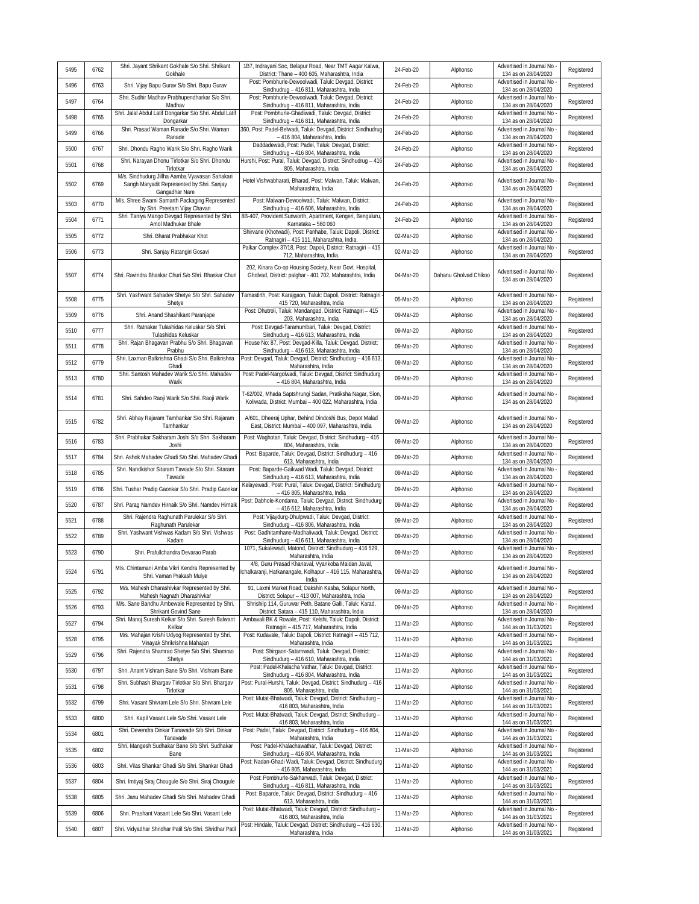|      |      | Shri. Jayant Shrikant Gokhale S/o Shri. Shrikant                                                                | 1B7, Indrayani Soc, Belapur Road, Near TMT Aagar Kalwa,                                                                     |           |                       | Advertised in Journal No                           |            |
|------|------|-----------------------------------------------------------------------------------------------------------------|-----------------------------------------------------------------------------------------------------------------------------|-----------|-----------------------|----------------------------------------------------|------------|
| 5495 | 6762 | Gokhale                                                                                                         | District: Thane - 400 605, Maharashtra, India                                                                               | 24-Feb-20 | Alphonso              | 134 as on 28/04/2020                               | Registered |
| 5496 | 6763 | Shri. Vijay Bapu Gurav S/o Shri. Bapu Gurav                                                                     | Post: Pombhurle-Dewoolwadi, Taluk: Devgad, District:<br>Sindhudrug - 416 811, Maharashtra, India                            | 24-Feb-20 | Alphonso              | Advertised in Journal No<br>134 as on 28/04/2020   | Registered |
| 5497 | 6764 | Shri. Sudhir Madhav Prabhupendharkar S/o Shri.<br>Madhav                                                        | Post: Pombhurle-Dewoolwadi, Taluk: Devgad, District:<br>Sindhudrug - 416 811, Maharashtra, India                            | 24-Feb-20 | Alphonso              | Advertised in Journal No<br>134 as on 28/04/2020   | Registered |
| 5498 | 6765 | Shri. Jalal Abdul Latif Dongarkar S/o Shri. Abdul Latif<br>Dongarkar                                            | Post: Pombhurle-Ghadiwadi, Taluk: Devgad, District:<br>Sindhudrug - 416 811, Maharashtra, India                             | 24-Feb-20 | Alphonso              | Advertised in Journal No<br>134 as on 28/04/2020   | Registered |
| 5499 | 6766 | Shri. Prasad Waman Ranade S/o Shri. Waman<br>Ranade                                                             | 360, Post: Padel-Belwadi, Taluk: Devgad, District: Sindhudrug<br>- 416 804, Maharashtra, India                              | 24-Feb-20 | Alphonso              | Advertised in Journal No<br>134 as on 28/04/2020   | Registered |
| 5500 | 6767 | Shri. Dhondu Ragho Warik S/o Shri. Ragho Warik                                                                  | Daddadewadi, Post: Padel, Taluk: Devgad, District:<br>Sindhudrug - 416 804, Maharashtra, India                              | 24-Feb-20 | Alphonso              | Advertised in Journal No<br>134 as on 28/04/2020   | Registered |
| 5501 | 6768 | Shri. Narayan Dhonu Tirlotkar S/o Shri. Dhondu<br>Tirlotkar                                                     | Hurshi, Post: Pural, Taluk: Devgad, District: Sindhudrug - 416<br>805, Maharashtra, India                                   | 24-Feb-20 | Alphonso              | Advertised in Journal No<br>134 as on 28/04/2020   | Registered |
| 5502 | 6769 | M/s. Sindhudurg Jillha Aamba Vyavasari Sahakari<br>Sangh Maryadit Represented by Shri. Sanjay<br>Gangadhar Nare | Hotel Vishwabharati, Bharad, Post: Malwan, Taluk: Malwan,<br>Maharashtra, India                                             | 24-Feb-20 | Alphonso              | Advertised in Journal No<br>134 as on 28/04/2020   | Registered |
| 5503 | 6770 | M/s. Shree Swami Samarth Packaging Represented<br>by Shri. Preetam Vijay Chavan                                 | Post: Malwan-Dewoolwadi, Taluk: Malwan, District:<br>Sindhudrug - 416 606, Maharashtra, India                               | 24-Feb-20 | Alphonso              | Advertised in Journal No<br>134 as on 28/04/2020   | Registered |
| 5504 | 6771 | Shri. Taniya Mango Devgad Represented by Shri.<br>Amol Madhukar Bhale                                           | 8B-407, Provident Sunworth, Apartment, Kengeri, Bengaluru,<br>Karnataka - 560 060                                           | 24-Feb-20 | Alphonso              | Advertised in Journal No<br>134 as on 28/04/2020   | Registered |
| 5505 | 6772 | Shri. Bharat Prabhakar Khot                                                                                     | Shirvane (Khotwadi), Post: Panhabe, Taluk: Dapoli, District:<br>Ratnagiri - 415 111, Maharashtra, India.                    | 02-Mar-20 | Alphonso              | Advertised in Journal No<br>134 as on 28/04/2020   | Registered |
| 5506 | 6773 | Shri. Sanjay Ratangiri Gosavi                                                                                   | Palkar Complex 37/18, Post: Dapoli, District: Ratnagiri - 415<br>712, Maharashtra, India                                    | 02-Mar-20 | Alphonso              | Advertised in Journal No<br>134 as on 28/04/2020   | Registered |
| 5507 | 6774 | Shri. Ravindra Bhaskar Churi S/o Shri. Bhaskar Churi                                                            | 202, Kinara Co-op Housing Society, Near Govt. Hospital,<br>Gholvad, District: palghar - 401 702, Maharashtra, India         | 04-Mar-20 | Dahanu Gholvad Chikoo | Advertised in Journal No                           | Registered |
|      |      | Shri. Yashwant Sahadev Shetye S/o Shri. Sahadev                                                                 | Tamastirth, Post: Karajgaon, Taluk: Dapoli, District: Ratnagiri                                                             |           |                       | 134 as on 28/04/2020<br>Advertised in Journal No   |            |
| 5508 | 6775 | Shetye                                                                                                          | 415 720, Maharashtra, India<br>Post: Dhutroli, Taluk: Mandangad, District: Ratnagiri - 415                                  | 05-Mar-20 | Alphonso              | 134 as on 28/04/2020<br>Advertised in Journal No   | Registered |
| 5509 | 6776 | Shri. Anand Shashikant Paranjape<br>Shri. Ratnakar Tulashidas Keluskar S/o Shri.                                | 203, Maharashtra, India<br>Post: Devgad-Taramumbari, Taluk: Devgad, District:                                               | 09-Mar-20 | Alphonso              | 134 as on 28/04/2020<br>Advertised in Journal No   | Registered |
| 5510 | 6777 | Tulashidas Keluskar                                                                                             | Sindhudurg - 416 613, Maharashtra, India<br>House No: 87, Post: Devgad-Killa, Taluk: Devgad, District:                      | 09-Mar-20 | Alphonso              | 134 as on 28/04/2020                               | Registered |
| 5511 | 6778 | Shri. Rajan Bhagavan Prabhu S/o Shri. Bhagavan<br>Prabhu                                                        | Sindhudurg - 416 613, Maharashtra, India                                                                                    | 09-Mar-20 | Alphonso              | Advertised in Journal No<br>134 as on 28/04/2020   | Registered |
| 5512 | 6779 | Shri. Laxman Balkrishna Ghadi S/o Shri. Balkrishna<br>Ghadi                                                     | Post: Devgad, Taluk: Devgad, District: Sindhudurg - 416 613<br>Maharashtra, India                                           | 09-Mar-20 | Alphonso              | Advertised in Journal No<br>134 as on 28/04/2020   | Registered |
| 5513 | 6780 | Shri. Santosh Mahadev Warik S/o Shri. Mahadev<br>Warik                                                          | Post: Padel-Nargolwadi, Taluk: Devgad, District: Sindhudurg<br>- 416 804, Maharashtra, India                                | 09-Mar-20 | Alphonso              | Advertised in Journal No<br>134 as on 28/04/2020   | Registered |
| 5514 | 6781 | Shri. Sahdeo Raoji Warik S/o Shri. Raoji Warik                                                                  | T-62/002, Mhada Saptshrungi Sadan, Pratiksha Nagar, Sion,<br>Koliwada, District: Mumbai - 400 022, Maharashtra, India       | 09-Mar-20 | Alphonso              | Advertised in Journal No<br>134 as on 28/04/2020   | Registered |
| 5515 | 6782 | Shri. Abhay Rajaram Tamhankar S/o Shri. Rajaram<br>Tamhankar                                                    | A/601, Dheeraj Uphar, Behind Dindoshi Bus, Depot Malad<br>East, District: Mumbai - 400 097, Maharashtra, India              | 09-Mar-20 | Alphonso              | Advertised in Journal No<br>134 as on 28/04/2020   | Registered |
| 5516 | 6783 | Shri. Prabhakar Sakharam Joshi S/o Shri. Sakharam<br>Joshi                                                      | Post: Waghotan, Taluk: Devgad, District: Sindhudurg - 416<br>804, Maharashtra, India                                        | 09-Mar-20 | Alphonso              | Advertised in Journal No<br>134 as on 28/04/2020   | Registered |
| 5517 | 6784 | Shri. Ashok Mahadev Ghadi S/o Shri. Mahadev Ghadi                                                               | Post: Baparde, Taluk: Devgad, District: Sindhudurg - 416<br>613, Maharashtra, India                                         | 09-Mar-20 | Alphonso              | Advertised in Journal No<br>134 as on 28/04/2020   | Registered |
| 5518 | 6785 | Shri. Nandkishor Sitaram Tawade S/o Shri. Sitaram<br>Tawade                                                     | Post: Baparde-Gaikwad Wadi, Taluk: Devgad, District:<br>Sindhudurg - 416 613, Maharashtra, India                            | 09-Mar-20 | Alphonso              | Advertised in Journal No<br>134 as on 28/04/2020   | Registered |
| 5519 | 6786 | Shri. Tushar Pradip Gaonkar S/o Shri. Pradip Gaonkar                                                            | Kelayewadi, Post: Pural, Taluk: Devgad, District: Sindhudurg<br>- 416 805, Maharashtra, India                               | 09-Mar-20 | Alphonso              | Advertised in Journal No<br>134 as on 28/04/2020   | Registered |
| 5520 | 6787 | Shri. Parag Namdev Hirnaik S/o Shri. Namdev Hirnaik                                                             | Post: Dabhole-Kondama, Taluk: Devgad, District: Sindhudurg<br>- 416 612, Maharashtra, India                                 | 09-Mar-20 | Alphonso              | Advertised in Journal No<br>134 as on 28/04/2020   | Registered |
| 5521 | 6788 | Shri. Rajendra Raghunath Parulekar S/o Shri.                                                                    | Post: Vijaydurg-Dhulpwadi, Taluk: Devgad, District:                                                                         | 09-Mar-20 | Alphonso              | Advertised in Journal No                           | Registered |
| 5522 | 6789 | Raghunath Parulekar<br>Shri. Yashwant Vishwas Kadam S/o Shri. Vishwas                                           | Sindhudurg - 416 806, Maharashtra, India<br>Post: Gadhitamhane-Madhaliwadi, Taluk: Devgad, District:                        | 09-Mar-20 | Alphonso              | 134 as on 28/04/2020<br>Advertised in Journal No   | Registered |
| 5523 | 6790 | Kadam<br>Shri. Prafullchandra Devarao Parab                                                                     | Sindhudurq - 416 611, Maharashtra, India<br>1071, Sukalewadi, Matond, District: Sindhudurg - 416 529,                       | 09-Mar-20 | Alphonso              | 134 as on 28/04/2020<br>Advertised in Journal No   | Registered |
|      |      | M/s. Chintamani Amba Vikri Kendra Represented by                                                                | Maharashtra, India<br>4/8, Guru Prasad Khanaval, Vyankoba Maidan Javal,                                                     |           |                       | 134 as on 28/04/2020<br>Advertised in Journal No - |            |
| 5524 | 6791 | Shri. Vaman Prakash Mulye<br>M/s. Mahesh Dharashivkar Represented by Shri.                                      | chalkaranji, Hatkanangale, Kolhapur - 416 115, Maharashtra<br>India<br>91, Laxmi Market Road, Dakshin Kasba, Solapur North, | 09-Mar-20 | Alphonso              | 134 as on 28/04/2020<br>Advertised in Journal No - | Registered |
| 5525 | 6792 | Mahesh Nagnath Dharashivkar<br>M/s. Sane Bandhu Ambewale Represented by Shri.                                   | District: Solapur - 413 007, Maharashtra, India<br>Shrishilp 114, Guruwar Peth, Batane Galli, Taluk: Karad,                 | 09-Mar-20 | Alphonso              | 134 as on 28/04/2020<br>Advertised in Journal No   | Registered |
| 5526 | 6793 | Shrikant Govind Sane                                                                                            | District: Satara - 415 110, Maharashtra, India                                                                              | 09-Mar-20 | Alphonso              | 134 as on 28/04/2020                               | Registered |
| 5527 | 6794 | Shri. Manoj Suresh Kelkar S/o Shri. Suresh Balwant<br>Kelkar                                                    | Ambavali BK & Rowale, Post: Kelshi, Taluk: Dapoli, District:<br>Ratnagiri - 415 717, Maharashtra, India                     | 11-Mar-20 | Alphonso              | Advertised in Journal No<br>144 as on 31/03/2021   | Registered |
| 5528 | 6795 | M/s. Mahajan Krishi Udyog Represented by Shri.<br>Vinayak Shrikrishna Mahajan                                   | Post: Kudavale, Taluk: Dapoli, District: Ratnagiri - 415 712,<br>Maharashtra, India                                         | 11-Mar-20 | Alphonso              | Advertised in Journal No<br>144 as on 31/03/2021   | Registered |
| 5529 | 6796 | Shri. Rajendra Shamrao Shetye S/o Shri. Shamrao<br>Shetye                                                       | Post: Shirgaon-Satamwadi, Taluk: Devgad, District:<br>Sindhudurg - 416 610, Maharashtra, India                              | 11-Mar-20 | Alphonso              | Advertised in Journal No<br>144 as on 31/03/2021   | Registered |
| 5530 | 6797 | Shri. Anant Vishram Bane S/o Shri. Vishram Bane                                                                 | Post: Padel-Khalacha Vathar, Taluk: Devgad, District:<br>Sindhudurg - 416 804, Maharashtra, India                           | 11-Mar-20 | Alphonso              | Advertised in Journal No -<br>144 as on 31/03/2021 | Registered |
| 5531 | 6798 | Shri. Subhash Bhargav Tirlotkar S/o Shri. Bhargav<br>Tirlotkar                                                  | Post: Pural-Hurshi, Taluk: Devgad, District: Sindhudurg - 416<br>805, Maharashtra, India                                    | 11-Mar-20 | Alphonso              | Advertised in Journal No<br>144 as on 31/03/2021   | Registered |
| 5532 | 6799 | Shri. Vasant Shivram Lele S/o Shri. Shivram Lele                                                                | Post: Mutat-Bhatwadi, Taluk: Devgad, District: Sindhudurg -<br>416 803, Maharashtra, India                                  | 11-Mar-20 | Alphonso              | Advertised in Journal No<br>144 as on 31/03/2021   | Registered |
| 5533 | 6800 | Shri. Kapil Vasant Lele S/o Shri. Vasant Lele                                                                   | Post: Mutat-Bhatwadi, Taluk: Devgad, District: Sindhudurg -<br>416 803, Maharashtra, India                                  | 11-Mar-20 | Alphonso              | Advertised in Journal No<br>144 as on 31/03/2021   | Registered |
| 5534 | 6801 | Shri. Devendra Dinkar Tanavade S/o Shri. Dinkar<br>Tanavade                                                     | Post: Padel, Taluk: Devgad, District: Sindhudurg - 416 804<br>Maharashtra, India                                            | 11-Mar-20 | Alphonso              | Advertised in Journal No<br>144 as on 31/03/2021   | Registered |
| 5535 | 6802 | Shri. Mangesh Sudhakar Bane S/o Shri. Sudhakar                                                                  | Post: Padel-Khalachawathar, Taluk: Devgad, District:<br>Sindhudurg - 416 804, Maharashtra, India                            | 11-Mar-20 | Alphonso              | Advertised in Journal No<br>144 as on 31/03/2021   | Registered |
| 5536 | 6803 | Bane<br>Shri. Vilas Shankar Ghadi S/o Shri. Shankar Ghadi                                                       | Post: Nadan-Ghadi Wadi, Taluk: Devgad, District: Sindhudurg                                                                 | 11-Mar-20 | Alphonso              | Advertised in Journal No -                         | Registered |
| 5537 | 6804 | Shri. Imtiyaj Siraj Chougule S/o Shri. Siraj Chougule                                                           | - 416 805, Maharashtra, India<br>Post: Pombhurle-Sakharwadi, Taluk: Devgad, District:                                       | 11-Mar-20 | Alphonso              | 144 as on 31/03/2021<br>Advertised in Journal No   | Registered |
| 5538 | 6805 | Shri. Janu Mahadev Ghadi S/o Shri. Mahadev Ghadi                                                                | Sindhudurg - 416 811, Maharashtra, India<br>Post: Baparde, Taluk: Devgad, District: Sindhudurg - 416                        | 11-Mar-20 | Alphonso              | 144 as on 31/03/2021<br>Advertised in Journal No   | Registered |
| 5539 | 6806 | Shri. Prashant Vasant Lele S/o Shri. Vasant Lele                                                                | 613, Maharashtra, India<br>Post: Mutat-Bhatwadi, Taluk: Devgad, District: Sindhudurg -                                      | 11-Mar-20 | Alphonso              | 144 as on 31/03/2021<br>Advertised in Journal No   | Registered |
| 5540 | 6807 | Shri. Vidyadhar Shridhar Patil S/o Shri. Shridhar Patil                                                         | 416 803, Maharashtra, India<br>Post: Hindale, Taluk: Devgad, District: Sindhudurg - 416 630                                 | 11-Mar-20 | Alphonso              | 144 as on 31/03/2021<br>Advertised in Journal No   | Registered |
|      |      |                                                                                                                 | Maharashtra, India                                                                                                          |           |                       | 144 as on 31/03/2021                               |            |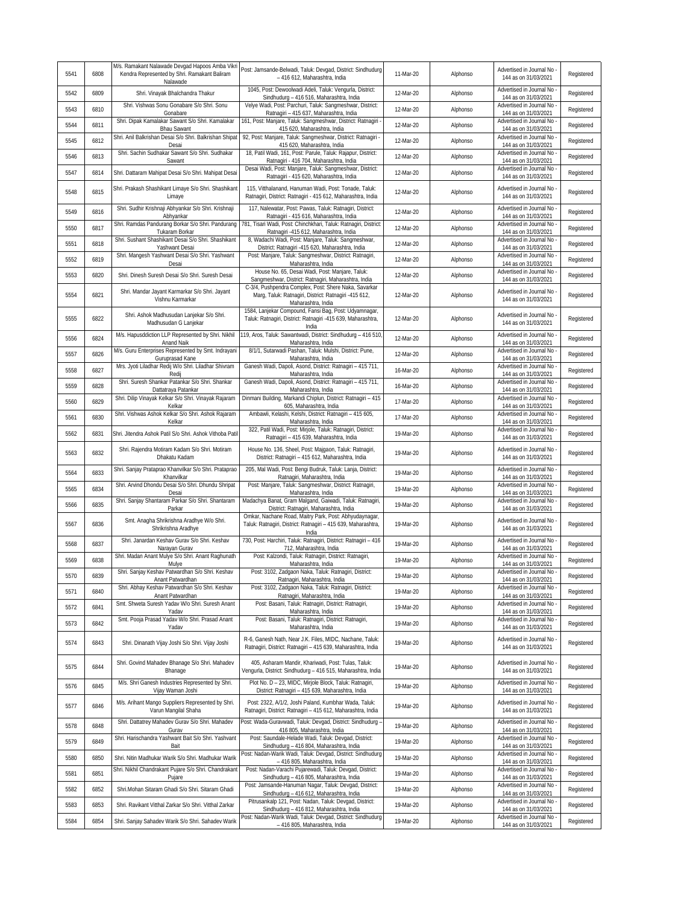| 5541 | 6808 | M/s. Ramakant Nalawade Devgad Hapoos Amba Vikri<br>Kendra Represented by Shri. Ramakant Baliram<br>Nalawade | Post: Jamsande-Belwadi, Taluk: Devgad, District: Sindhudurg<br>- 416 612, Maharashtra, India                                         | 11-Mar-20 | Alphonso | Advertised in Journal No<br>144 as on 31/03/2021   | Registered |
|------|------|-------------------------------------------------------------------------------------------------------------|--------------------------------------------------------------------------------------------------------------------------------------|-----------|----------|----------------------------------------------------|------------|
| 5542 | 6809 | Shri. Vinayak Bhalchandra Thakur                                                                            | 1045, Post: Dewoolwadi Adeli, Taluk: Vengurla, District:<br>Sindhudurg - 416 516, Maharashtra, India                                 | 12-Mar-20 | Alphonso | Advertised in Journal No<br>144 as on 31/03/2021   | Registered |
| 5543 | 6810 | Shri. Vishwas Sonu Gonabare S/o Shri. Sonu<br>Gonabare                                                      | Velye Wadi, Post: Parchuri, Taluk: Sangmeshwar, District:<br>Ratnagiri - 415 637, Maharashtra, India                                 | 12-Mar-20 | Alphonso | Advertised in Journal No<br>144 as on 31/03/2021   | Registered |
| 5544 | 6811 | Shri. Dipak Kamalakar Sawant S/o Shri. Kamalakar<br><b>Bhau Sawant</b>                                      | 161, Post: Manjare, Taluk: Sangmeshwar, District: Ratnagiri<br>415 620, Maharashtra, India                                           | 12-Mar-20 | Alphonso | Advertised in Journal No<br>144 as on 31/03/2021   | Registered |
| 5545 | 6812 | Shri. Anil Balkrishan Desai S/o Shri. Balkrishan Shipat<br>Desai                                            | 92, Post: Manjare, Taluk: Sangmeshwar, District: Ratnagiri -<br>415 620, Maharashtra, India                                          | 12-Mar-20 | Alphonso | Advertised in Journal No<br>144 as on 31/03/2021   | Registered |
| 5546 | 6813 | Shri. Sachin Sudhakar Sawant S/o Shri. Sudhakar<br>Sawant                                                   | 18, Patil Wadi, 161, Post: Parule, Taluk: Rajapur, District:<br>Ratnagiri - 416 704, Maharashtra, India                              | 12-Mar-20 | Alphonso | Advertised in Journal No<br>144 as on 31/03/2021   | Registered |
| 5547 | 6814 | Shri. Dattaram Mahipat Desai S/o Shri. Mahipat Desai                                                        | Desai Wadi, Post: Manjare, Taluk: Sangmeshwar, District:<br>Ratnagiri - 415 620, Maharashtra, India                                  | 12-Mar-20 | Alphonso | Advertised in Journal No<br>144 as on 31/03/2021   | Registered |
| 5548 | 6815 | Shri. Prakash Shashikant Limaye S/o Shri. Shashikant<br>Limaye                                              | 115, Vitthalanand, Hanuman Wadi, Post: Tonade, Taluk:<br>Ratnagiri, District: Ratnagiri - 415 612, Maharashtra, India                | 12-Mar-20 | Alphonso | Advertised in Journal No<br>144 as on 31/03/2021   | Registered |
| 5549 | 6816 | Shri. Sudhir Krishnaji Abhyankar S/o Shri. Krishnaji<br>Abhyankar                                           | 117, Nalewatar, Post: Pawas, Taluk: Ratnagiri, District:<br>Ratnagiri - 415 616, Maharashtra, India                                  | 12-Mar-20 | Alphonso | Advertised in Journal No<br>144 as on 31/03/2021   | Registered |
| 5550 | 6817 | Shri. Ramdas Pandurang Borkar S/o Shri. Pandurang<br>Tukaram Borkar                                         | 781, Tisari Wadi, Post: Chinchkhari, Taluk: Ratnagiri, District:<br>Ratnagiri -415 612, Maharashtra, India                           | 12-Mar-20 | Alphonso | Advertised in Journal No<br>144 as on 31/03/2021   | Registered |
| 5551 | 6818 | Shri. Sushant Shashikant Desai S/o Shri. Shashikant<br>Yashwant Desai                                       | 8, Wadachi Wadi, Post: Manjare, Taluk: Sangmeshwar,<br>District: Ratnagiri -415 620, Maharashtra, India                              | 12-Mar-20 | Alphonso | Advertised in Journal No<br>144 as on 31/03/2021   | Registered |
| 5552 | 6819 | Shri. Mangesh Yashwant Desai S/o Shri. Yashwant<br>Desai                                                    | Post: Manjare, Taluk: Sangmeshwar, District: Ratnagiri,<br>Maharashtra, India                                                        | 12-Mar-20 | Alphonso | Advertised in Journal No<br>144 as on 31/03/2021   | Registered |
| 5553 | 6820 | Shri. Dinesh Suresh Desai S/o Shri. Suresh Desai                                                            | House No. 65, Desai Wadi, Post: Manjare, Taluk:<br>Sangmeshwar, District: Ratnagiri, Maharashtra, India                              | 12-Mar-20 | Alphonso | Advertised in Journal No<br>144 as on 31/03/2021   | Registered |
| 5554 | 6821 | Shri. Mandar Jayant Karmarkar S/o Shri. Jayant<br>Vishnu Karmarkar                                          | C-3/4, Pushpendra Complex, Post: Shere Naka, Savarkar<br>Marg, Taluk: Ratnagiri, District: Ratnagiri -415 612,<br>Maharashtra, India | 12-Mar-20 | Alphonso | Advertised in Journal No<br>144 as on 31/03/2021   | Registered |
| 5555 | 6822 | Shri. Ashok Madhusudan Lanjekar S/o Shri.                                                                   | 1584, Lanjekar Compound, Fansi Bag, Post: Udyamnagar,<br>Taluk: Ratnagiri, District: Ratnagiri -415 639, Maharashtra,                | 12-Mar-20 | Alphonso | Advertised in Journal No                           | Registered |
|      | 6824 | Madhusudan G Lanjekar<br>M/s. Hapusddiction LLP Represented by Shri. Nikhil                                 | India<br>119, Aros, Taluk: Sawantwadi, District: Sindhudurg - 416 510,                                                               |           |          | 144 as on 31/03/2021<br>Advertised in Journal No - |            |
| 5556 |      | Anand Naik<br>M/s. Guru Enterprises Represented by Smt. Indrayani                                           | Maharashtra, India<br>8/1/1, Sutarwadi Pashan, Taluk: Mulshi, District: Pune,                                                        | 12-Mar-20 | Alphonso | 144 as on 31/03/2021<br>Advertised in Journal No   | Registered |
| 5557 | 6826 | Guruprasad Kane<br>Mrs. Jyoti Liladhar Redij W/o Shri. Liladhar Shivram                                     | Maharashtra, India<br>Ganesh Wadi, Dapoli, Asond, District: Ratnagiri - 415 711,                                                     | 12-Mar-20 | Alphonso | 144 as on 31/03/2021<br>Advertised in Journal No   | Registered |
| 5558 | 6827 | Redii<br>Shri. Suresh Shankar Patankar S/o Shri. Shankar                                                    | Maharashtra, India<br>Ganesh Wadi, Dapoli, Asond, District: Ratnagiri - 415 711,                                                     | 16-Mar-20 | Alphonso | 144 as on 31/03/2021<br>Advertised in Journal No   | Registered |
| 5559 | 6828 | Dattatraya Patankar<br>Shri. Dilip Vinayak Kelkar S/o Shri. Vinayak Rajaram                                 | Maharashtra, India<br>Dinmani Building, Markandi Chiplun, District: Ratnagiri - 415                                                  | 16-Mar-20 | Alphonso | 144 as on 31/03/2021<br>Advertised in Journal No   | Registered |
| 5560 | 6829 | Kelkar<br>Shri. Vishwas Ashok Kelkar S/o Shri. Ashok Rajaram                                                | 605, Maharashtra, India<br>Ambawli, Kelashi, Kelshi, District: Ratnagiri - 415 605,                                                  | 17-Mar-20 | Alphonso | 144 as on 31/03/2021<br>Advertised in Journal No   | Registered |
| 5561 | 6830 | Kelkar                                                                                                      | Maharashtra, India<br>322, Patil Wadi, Post: Mirjole, Taluk: Ratnagiri, District:                                                    | 17-Mar-20 | Alphonso | 144 as on 31/03/2021<br>Advertised in Journal No   | Registered |
| 5562 | 6831 | Shri. Jitendra Ashok Patil S/o Shri. Ashok Vithoba Pati                                                     | Ratnagiri - 415 639, Maharashtra, India                                                                                              | 19-Mar-20 | Alphonso | 144 as on 31/03/2021                               | Registered |
| 5563 | 6832 | Shri. Rajendra Motiram Kadam S/o Shri. Motiram<br>Dhakatu Kadam                                             | House No. 136, Sheel, Post: Majgaon, Taluk: Ratnagiri,<br>District: Ratnagiri - 415 612, Maharashtra, India                          | 19-Mar-20 | Alphonso | Advertised in Journal No<br>144 as on 31/03/2021   | Registered |
| 5564 | 6833 | Shri. Sanjay Prataprao Khanvilkar S/o Shri. Prataprao<br>Khanvilkar                                         | 205, Mal Wadi, Post: Bengi Budruk, Taluk: Lanja, District:<br>Ratnagiri, Maharashtra, India                                          | 19-Mar-20 | Alphonso | Advertised in Journal No<br>144 as on 31/03/2021   | Registered |
| 5565 | 6834 | Shri. Arvind Dhondu Desai S/o Shri. Dhundu Shripat<br>Desai                                                 | Post: Manjare, Taluk: Sangmeshwar, District: Ratnagiri,<br>Maharashtra, India                                                        | 19-Mar-20 | Alphonso | Advertised in Journal No<br>144 as on 31/03/2021   | Registered |
| 5566 | 6835 | Shri. Sanjay Shantaram Parkar S/o Shri. Shantaram<br>Parkar                                                 | Madachya Banat, Gram Malgand, Gaiwadi, Taluk: Ratnagiri,<br>District: Ratnagiri, Maharashtra, India                                  | 19-Mar-20 | Alphonso | Advertised in Journal No<br>144 as on 31/03/2021   | Registered |
| 5567 | 6836 | Smt. Anagha Shrikrishna Aradhye W/o Shri.<br>Shrikrishna Aradhye                                            | Omkar, Nachane Road, Maitry Park, Post: Abhyudaynagar,<br>Taluk: Ratnagiri, District: Ratnagiri - 415 639, Maharashtra,<br>India     | 19-Mar-20 | Alphonso | Advertised in Journal No<br>144 as on 31/03/2021   | Registered |
| 5568 | 6837 | Shri. Janardan Keshav Gurav S/o Shri. Keshav<br>Narayan Gurav                                               | 730, Post: Harchiri, Taluk: Ratnagiri, District: Ratnagiri - 416<br>712, Maharashtra, India                                          | 19-Mar-20 | Alphonso | Advertised in Journal No -<br>144 as on 31/03/2021 | Registered |
| 5569 | 6838 | Shri. Madan Anant Mulye S/o Shri. Anant Raghunath<br>Mulye                                                  | Post: Kalzondi, Taluk: Ratnagiri, District: Ratnagiri,<br>Maharashtra, India                                                         | 19-Mar-20 | Alphonso | Advertised in Journal No<br>144 as on 31/03/2021   | Registered |
| 5570 | 6839 | Shri. Sanjay Keshav Patwardhan S/o Shri. Keshav<br>Anant Patwardhan                                         | Post: 3102, Zadgaon Naka, Taluk: Ratnagiri, District:<br>Ratnagiri, Maharashtra, India                                               | 19-Mar-20 | Alphonso | Advertised in Journal No<br>144 as on 31/03/2021   | Registered |
| 5571 | 6840 | Shri. Abhay Keshav Patwardhan S/o Shri. Keshav<br>Anant Patwardhan                                          | Post: 3102, Zadgaon Naka, Taluk: Ratnagiri, District:<br>Ratnagiri, Maharashtra, India                                               | 19-Mar-20 | Alphonso | Advertised in Journal No<br>144 as on 31/03/2021   | Registered |
| 5572 | 6841 | Smt. Shweta Suresh Yadav W/o Shri. Suresh Anant<br>Yadav                                                    | Post: Basani, Taluk: Ratnagiri, District: Ratnagiri,<br>Maharashtra, India                                                           | 19-Mar-20 | Alphonso | Advertised in Journal No<br>144 as on 31/03/2021   | Registered |
| 5573 | 6842 | Smt. Pooja Prasad Yadav W/o Shri. Prasad Anant<br>Yadav                                                     | Post: Basani, Taluk: Ratnagiri, District: Ratnagiri,<br>Maharashtra, India                                                           | 19-Mar-20 | Alphonso | Advertised in Journal No -<br>144 as on 31/03/2021 | Registered |
| 5574 | 6843 | Shri. Dinanath Vijay Joshi S/o Shri. Vijay Joshi                                                            | R-6, Ganesh Nath, Near J.K. Files, MIDC, Nachane, Taluk:<br>Ratnagiri, District: Ratnagiri - 415 639, Maharashtra, India             | 19-Mar-20 | Alphonso | Advertised in Journal No<br>144 as on 31/03/2021   | Registered |
| 5575 | 6844 | Shri. Govind Mahadev Bhanage S/o Shri. Mahadev<br>Bhanage                                                   | 405, Asharam Mandir, Khariwadi, Post: Tulas, Taluk:<br>Vengurla, District: Sindhudurg - 416 515, Maharashtra, India                  | 19-Mar-20 | Alphonso | Advertised in Journal No<br>144 as on 31/03/2021   | Registered |
| 5576 | 6845 | M/s. Shri Ganesh Industries Represented by Shri.<br>Vijay Waman Joshi                                       | Plot No. D - 23, MIDC, Mirjole Block, Taluk: Ratnagiri,<br>District: Ratnagiri - 415 639, Maharashtra, India                         | 19-Mar-20 | Alphonso | Advertised in Journal No<br>144 as on 31/03/2021   | Registered |
| 5577 | 6846 | M/s. Arihant Mango Suppliers Represented by Shri.<br>Varun Mangilal Shaha                                   | Post: 2322, A/1/2, Joshi Paland, Kumbhar Wada, Taluk:<br>Ratnagiri, District: Ratnagiri - 415 612, Maharashtra, India                | 19-Mar-20 | Alphonso | Advertised in Journal No<br>144 as on 31/03/2021   | Registered |
| 5578 | 6848 | Shri. Dattatrey Mahadev Gurav S/o Shri. Mahadev<br>Gurav                                                    | Post: Wada-Guravwadi, Taluk: Devgad, District: Sindhudurg -<br>416 805, Maharashtra, India                                           | 19-Mar-20 | Alphonso | Advertised in Journal No -<br>144 as on 31/03/2021 | Registered |
| 5579 | 6849 | Shri. Harischandra Yashwant Bait S/o Shri. Yashvant<br>Bait                                                 | Post: Saundale-Helade Wadi, Taluk: Devgad, District:<br>Sindhudurg - 416 804, Maharashtra, India                                     | 19-Mar-20 | Alphonso | Advertised in Journal No<br>144 as on 31/03/2021   | Registered |
| 5580 | 6850 | Shri. Nitin Madhukar Warik S/o Shri. Madhukar Warik                                                         | Post: Nadan-Warik Wadi, Taluk: Devgad, District: Sindhudurg<br>- 416 805, Maharashtra, India                                         | 19-Mar-20 | Alphonso | Advertised in Journal No<br>144 as on 31/03/2021   | Registered |
| 5581 | 6851 | Shri. Nikhil Chandrakant Pujare S/o Shri. Chandrakant<br>Pujare                                             | Post: Nadan-Varachi Pujarewadi, Taluk: Devgad, District:<br>Sindhudurg - 416 805, Maharashtra, India                                 | 19-Mar-20 | Alphonso | Advertised in Journal No<br>144 as on 31/03/2021   | Registered |
| 5582 | 6852 | Shri.Mohan Sitaram Ghadi S/o Shri. Sitaram Ghadi                                                            | Post: Jamsande-Hanuman Nagar, Taluk: Devgad, District:<br>Sindhudurg - 416 612, Maharashtra, India                                   | 19-Mar-20 | Alphonso | Advertised in Journal No<br>144 as on 31/03/2021   | Registered |
| 5583 | 6853 | Shri. Ravikant Vitthal Zarkar S/o Shri. Vitthal Zarkar                                                      | Pitrusankalp 121, Post: Nadan, Taluk: Devgad, District:<br>Sindhudurg - 416 812, Maharashtra, India                                  | 19-Mar-20 | Alphonso | Advertised in Journal No<br>144 as on 31/03/2021   | Registered |
| 5584 | 6854 | Shri. Sanjay Sahadev Warik S/o Shri. Sahadev Warik                                                          | Post: Nadan-Warik Wadi, Taluk: Devgad, District: Sindhudurg<br>- 416 805, Maharashtra, India                                         | 19-Mar-20 | Alphonso | Advertised in Journal No<br>144 as on 31/03/2021   | Registered |
|      |      |                                                                                                             |                                                                                                                                      |           |          |                                                    |            |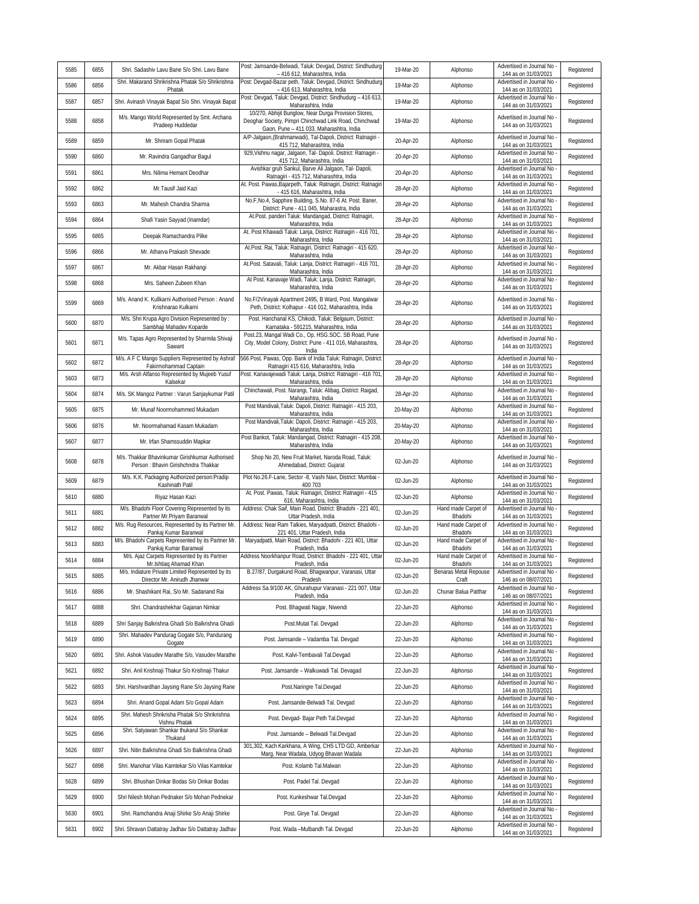| 5585 | 6855 | Shri. Sadashiv Lavu Bane S/o Shri. Lavu Bane                                            | Post: Jamsande-Belwadi, Taluk: Devgad, District: Sindhudurg<br>- 416 612, Maharashtra, India                                                                | 19-Mar-20 | Alphonso                       | Advertised in Journal No<br>144 as on 31/03/2021   | Registered |
|------|------|-----------------------------------------------------------------------------------------|-------------------------------------------------------------------------------------------------------------------------------------------------------------|-----------|--------------------------------|----------------------------------------------------|------------|
| 5586 | 6856 | Shri. Makarand Shrikrishna Phatak S/o Shrikrishna<br>Phatak                             | Post: Devgad-Bazar peth, Taluk: Devgad, District: Sindhudurg<br>- 416 613, Maharashtra, India                                                               | 19-Mar-20 | Alphonso                       | Advertised in Journal No<br>144 as on 31/03/2021   | Registered |
| 5587 | 6857 | Shri. Avinash Vinayak Bapat S/o Shri. Vinayak Bapat                                     | Post: Devgad, Taluk: Devgad, District: Sindhudurg - 416 613<br>Maharashtra, India                                                                           | 19-Mar-20 | Alphonso                       | Advertised in Journal No<br>144 as on 31/03/2021   | Registered |
| 5588 | 6858 | M/s. Mango World Represented by Smt. Archana<br>Pradeep Huddedar                        | 10/270, Abhijit Bunglow, Near Durga Provision Stores,<br>Deoghar Society, Pimpri Chinchwad Link Road, Chinchwad<br>Gaon, Pune - 411 033, Maharashtra, India | 19-Mar-20 | Alphonso                       | Advertised in Journal No<br>144 as on 31/03/2021   | Registered |
| 5589 | 6859 | Mr. Shriram Gopal Phatak                                                                | A/P-Jalqaon,(Brahmanwadi), Tal-Dapoli, District: Ratnagiri -<br>415 712, Maharashtra, India                                                                 | 20-Apr-20 | Alphonso                       | Advertised in Journal No<br>144 as on 31/03/2021   | Registered |
| 5590 | 6860 | Mr. Ravindra Gangadhar Bagul                                                            | 929, Vishnu nagar, Jalgaon, Tal- Dapoli. District: Ratnagiri -<br>415 712, Maharashtra, India                                                               | 20-Apr-20 | Alphonso                       | Advertised in Journal No<br>144 as on 31/03/2021   | Registered |
| 5591 | 6861 | Mrs. Nilima Hemant Deodhar                                                              | Avishkar gruh Sankul, Barve Ali Jalgaon, Tal- Dapoli,<br>Ratnagiri - 415 712, Maharashtra, India                                                            | 20-Apr-20 | Alphonso                       | Advertised in Journal No<br>144 as on 31/03/2021   | Registered |
| 5592 | 6862 | Mr.Tausif Jaid Kazi                                                                     | At. Post. Pawas, Bajarpeth, Taluk: Ratnagiri, District: Ratnagiri<br>- 415 616, Maharashtra, India                                                          | 28-Apr-20 | Alphonso                       | Advertised in Journal No<br>144 as on 31/03/2021   | Registered |
| 5593 | 6863 | Mr. Mahesh Chandra Sharma                                                               | No.F, No.4, Sapphire Building, S.No. 87-6 At. Post. Baner,<br>District: Pune - 411 045, Maharastra, India                                                   | 28-Apr-20 | Alphonso                       | Advertised in Journal No<br>144 as on 31/03/2021   | Registered |
| 5594 | 6864 | Shafi Yasin Sayyad (Inamdar)                                                            | At.Post. panderi Taluk: Mandangad, District: Ratnagiri,<br>Maharashtra, India                                                                               | 28-Apr-20 | Alphonso                       | Advertised in Journal No<br>144 as on 31/03/2021   | Registered |
| 5595 | 6865 | Deepak Ramachandra Pilke                                                                | At. Post Khawadi Taluk: Lanja, District: Ratnagiri - 416 701,<br>Maharashtra, India                                                                         | 28-Apr-20 | Alphonso                       | Advertised in Journal No<br>144 as on 31/03/2021   | Registered |
| 5596 | 6866 | Mr. Atharva Prakash Shevade                                                             | At.Post. Rai, Taluk: Ratnagiri, District: Ratnagiri - 415 620,<br>Maharashtra, India                                                                        | 28-Apr-20 | Alphonso                       | Advertised in Journal No<br>144 as on 31/03/2021   | Registered |
| 5597 | 6867 | Mr. Akbar Hasan Rakhangi                                                                | At.Post. Satavali, Taluk: Lanja, District: Ratnagiri - 416 701,<br>Maharashtra, India                                                                       | 28-Apr-20 | Alphonso                       | Advertised in Journal No<br>144 as on 31/03/2021   | Registered |
| 5598 | 6868 | Mrs. Saheen Zubeen Khan                                                                 | At Post. Kanavaje Wadi, Taluk: Lanja, District: Ratnagiri,<br>Maharashtra, India                                                                            | 28-Apr-20 | Alphonso                       | Advertised in Journal No<br>144 as on 31/03/2021   | Registered |
| 5599 | 6869 | M/s. Anand K. Kullkarni Authorised Person: Anand<br>Krishnarao Kulkarni                 | No.F/2Vinayak Apartment 2495, B Ward, Post. Mangalwar<br>Peth, District: Kolhapur - 416 012, Maharashtra, India                                             | 28-Apr-20 | Alphonso                       | Advertised in Journal No<br>144 as on 31/03/2021   | Registered |
| 5600 | 6870 | M/s. Shri Krupa Agro Division Represented by:<br>Sambhaji Mahadev Koparde               | Post. Hanchanal KS, Chikodi, Taluk: Belgaum, District:<br>Karnataka - 591215, Maharashtra, India                                                            | 28-Apr-20 | Alphonso                       | Advertised in Journal No<br>144 as on 31/03/2021   | Registered |
| 5601 | 6871 | M/s. Tapas Agro Represented by Sharmila Shivaji<br>Sawant                               | Post.23, Mangal Wadi Co., Op, HSG.SOC. SB Road, Pune<br>City, Model Colony, District: Pune - 411 016, Maharashtra,<br>India                                 | 28-Apr-20 | Alphonso                       | Advertised in Journal No -<br>144 as on 31/03/2021 | Registered |
| 5602 | 6872 | M/s. A F C Mango Suppliers Represented by Ashraf<br>Fakirmohammad Captain               | 566 Post. Pawas, Opp. Bank of India Taluk: Ratnagiri, District<br>Ratnagiri 415 616, Maharashtra, India                                                     | 28-Apr-20 | Alphonso                       | Advertised in Journal No -<br>144 as on 31/03/2021 | Registered |
| 5603 | 6873 | M/s. Arsh Alfanso Represented by Mujeeb Yusuf<br>Kalsekar                               | Post. Kanavajewadi Taluk: Lanja, District: Ratnagiri - 416 701<br>Maharashtra, India                                                                        | 28-Apr-20 | Alphonso                       | Advertised in Journal No<br>144 as on 31/03/2021   | Registered |
| 5604 | 6874 | M/s. SK Mangoz Partner: Varun Sanjaykumar Patil                                         | Chinchawali, Post. Narangi, Taluk: Alibag, District: Raigad,<br>Maharashtra, India                                                                          | 28-Apr-20 | Alphonso                       | Advertised in Journal No<br>144 as on 31/03/2021   | Registered |
| 5605 | 6875 | Mr. Munaf Noormohammed Mukadam                                                          | Post Mandivali, Taluk: Dapoli, District: Ratnagiri - 415 203,<br>Maharashtra, India                                                                         | 20-May-20 | Alphonso                       | Advertised in Journal No<br>144 as on 31/03/2021   | Registered |
| 5606 | 6876 | Mr. Noormahamad Kasam Mukadam                                                           | Post Mandivali, Taluk: Dapoli, District: Ratnagiri - 415 203,<br>Maharashtra, India                                                                         | 20-May-20 | Alphonso                       | Advertised in Journal No<br>144 as on 31/03/2021   | Registered |
| 5607 | 6877 | Mr. Irfan Shamssuddin Mapkar                                                            | Post Bankot, Taluk: Mandangad, District: Ratnagiri - 415 208,<br>Maharashtra, India                                                                         | 20-May-20 | Alphonso                       | Advertised in Journal No<br>144 as on 31/03/2021   | Registered |
| 5608 | 6878 | M/s. Thakkar Bhavinkumar Girishkumar Authorised<br>Person : Bhavin Girishchndra Thakkar | Shop No 20, New Fruit Market, Naroda Road, Taluk:<br>Ahmedabad, District: Gujarat                                                                           | 02-Jun-20 | Alphonso                       | Advertised in Journal No<br>144 as on 31/03/2021   | Registered |
| 5609 | 6879 | M/s. K.K. Packaging Authorized person:Pradip<br>Kashinath Patil                         | Plot No.26.F-Lane, Sector -8, Vashi Navi, District: Mumbai<br>400 703                                                                                       | 02-Jun-20 | Alphonso                       | Advertised in Journal No<br>144 as on 31/03/2021   | Registered |
| 5610 | 6880 | Riyaz Hasan Kazi                                                                        | At. Post. Pawas, Taluk: Ratnagiri, District: Ratnagiri - 415<br>616, Maharashtra, India                                                                     | 02-Jun-20 | Alphonso                       | Advertised in Journal No<br>144 as on 31/03/2021   | Registered |
| 5611 | 6881 | M/s. Bhadohi Floor Covering Represented by its<br>Partner Mr. Priyam Baranwal           | Address: Chak Saif, Main Road, District: Bhadohi - 221 401,<br>Uttar Pradesh, India                                                                         | 02-Jun-20 | Hand made Carpet of<br>Bhadohi | Advertised in Journal No<br>144 as on 31/03/2021   | Registered |
| 5612 | 6882 | M/s. Rug Resources, Represented by its Partner Mr.<br>Pankaj Kumar Baranwal             | Address: Near Ram Talkies, Maryadpatti, District: Bhadohi -<br>221 401, Uttar Pradesh, India                                                                | 02-Jun-20 | Hand made Carpet of<br>Bhadohi | Advertised in Journal No<br>144 as on 31/03/2021   | Registered |
| 5613 | 6883 | M/s. Bhadohi Carpets Represented by its Partner Mr.<br>Pankaj Kumar Baranwal            | Maryadpatti, Main Road, District: Bhadohi - 221 401, Uttar<br>Pradesh, India                                                                                | 02-Jun-20 | Hand made Carpet of<br>Bhadohi | Advertised in Journal No<br>144 as on 31/03/2021   | Registered |
| 5614 | 6884 | M/s. Ajaz Carpets Represented by its Partner<br>Mr.Ishtiaq Ahamad Khan                  | Address Noorkhanpur Road, District: Bhadohi - 221 401, Uttar<br>Pradesh, India                                                                              | 02-Jun-20 | Hand made Carpet of<br>Bhadohi | Advertised in Journal No<br>144 as on 31/03/2021   | Registered |
| 5615 | 6885 | M/s. Indiature Private Limited Represented by its<br>Director Mr. Anirudh Jhanwar       | B.27/87, Durgakund Road, Bhagwanpur, Varanasi, Uttar<br>Pradesh                                                                                             | 02-Jun-20 | Benaras Metal Repouse<br>Craft | Advertised in Journal No -<br>146 as on 08/07/2021 | Registered |
| 5616 | 6886 | Mr. Shashikant Rai, S/o Mr. Sadanand Rai                                                | Address Sa.9/100 AK, Ghurahupur Varanasi - 221 007, Uttar<br>Pradesh, India                                                                                 | 02-Jun-20 | Chunar Balua Patthar           | Advertised in Journal No<br>146 as on 08/07/2021   | Registered |
| 5617 | 6888 | Shri. Chandrashekhar Gajanan Nimkar                                                     | Post. Bhagwati Nagar, Niwendi                                                                                                                               | 22-Jun-20 | Alphonso                       | Advertised in Journal No<br>144 as on 31/03/2021   | Registered |
| 5618 | 6889 | Shri Sanjay Balkrishna Ghadi S/o Balkrishna Ghadi                                       | Post.Mutat Tal. Devgad                                                                                                                                      | 22-Jun-20 | Alphonso                       | Advertised in Journal No<br>144 as on 31/03/2021   | Registered |
| 5619 | 6890 | Shri. Mahadev Pandurag Gogate S/o, Pandurang<br>Gogate                                  | Post. Jamsande - Vadamba Tal. Devgad                                                                                                                        | 22-Jun-20 | Alphonso                       | Advertised in Journal No<br>144 as on 31/03/2021   | Registered |
| 5620 | 6891 | Shri. Ashok Vasudev Marathe S/o, Vasudev Marathe                                        | Post. Kalvi-Tembavali Tal.Devgad                                                                                                                            | 22-Jun-20 | Alphonso                       | Advertised in Journal No<br>144 as on 31/03/2021   | Registered |
| 5621 | 6892 | Shri. Anil Krishnaji Thakur S/o Krishnaji Thakur                                        | Post. Jamsande - Walkuwadi Tal. Devagad                                                                                                                     | 22-Jun-20 | Alphonso                       | Advertised in Journal No<br>144 as on 31/03/2021   | Registered |
| 5622 | 6893 | Shri. Harshvardhan Jaysing Rane S/o Jaysing Rane                                        | Post.Naringre Tal.Devgad                                                                                                                                    | 22-Jun-20 | Alphonso                       | Advertised in Journal No<br>144 as on 31/03/2021   | Registered |
| 5623 | 6894 | Shri. Anand Gopal Adam S/o Gopal Adam                                                   | Post. Jamsande-Belwadi Tal. Devgad                                                                                                                          | 22-Jun-20 | Alphonso                       | Advertised in Journal No<br>144 as on 31/03/2021   | Registered |
| 5624 | 6895 | Shri. Mahesh Shrikrisha Phatak S/o Shrikrishna<br>Vishnu Phatak                         | Post. Devgad- Bajar Peth Tal.Devgad                                                                                                                         | 22-Jun-20 | Alphonso                       | Advertised in Journal No<br>144 as on 31/03/2021   | Registered |
| 5625 | 6896 | Shri. Satyawan Shankar thukarul S/o Shankar<br>Thukarul                                 | Post. Jamsande - Belwadi Tal.Devgad                                                                                                                         | 22-Jun-20 | Alphonso                       | Advertised in Journal No<br>144 as on 31/03/2021   | Registered |
| 5626 | 6897 | Shri. Nitin Balkrishna Ghadi S/o Balkrishna Ghadi                                       | 301,302, Kach Karkhana, A Wing, CHS LTD GD, Amberkar<br>Marg, Near Wadala, Udyog Bhavan Wadala                                                              | 22-Jun-20 | Alphonso                       | Advertised in Journal No<br>144 as on 31/03/2021   | Registered |
| 5627 | 6898 | Shri. Manohar Vilas Kamtekar S/o Vilas Kamtekar                                         | Post. Kolamb Tal.Malwan                                                                                                                                     | 22-Jun-20 | Alphonso                       | Advertised in Journal No<br>144 as on 31/03/2021   | Registered |
| 5628 | 6899 | Shri. Bhushan Dinkar Bodas S/o Dinkar Bodas                                             | Post. Padel Tal. Devgad                                                                                                                                     | 22-Jun-20 | Alphonso                       | Advertised in Journal No<br>144 as on 31/03/2021   | Registered |
| 5629 | 6900 | Shri Nilesh Mohan Pednaker S/o Mohan Pednekar                                           | Post. Kunkeshwar Tal.Devgad                                                                                                                                 | 22-Jun-20 | Alphonso                       | Advertised in Journal No<br>144 as on 31/03/2021   | Registered |
| 5630 | 6901 | Shri. Ramchandra Anaji Shirke S/o Anaji Shirke                                          | Post. Girye Tal. Devgad                                                                                                                                     | 22-Jun-20 | Alphonso                       | Advertised in Journal No<br>144 as on 31/03/2021   | Registered |
| 5631 | 6902 | Shri. Shravan Dattatray Jadhav S/o Dattatray Jadhav                                     | Post. Wada -Mulbandh Tal. Devgad                                                                                                                            | 22-Jun-20 | Alphonso                       | Advertised in Journal No<br>144 as on 31/03/2021   | Registered |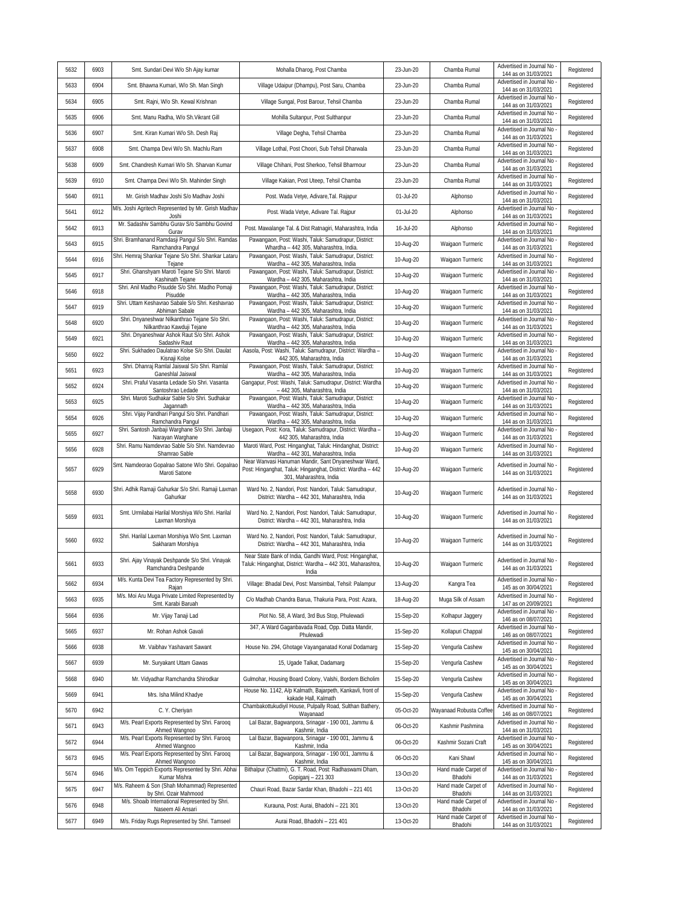| 5632 | 6903 | Smt. Sundari Devi W/o Sh Ajay kumar                                                 | Mohalla Dharog, Post Chamba                                                                                                                                                           | 23-Jun-20   | Chamba Rumal                   | Advertised in Journal No<br>144 as on 31/03/2021                         | Registered |
|------|------|-------------------------------------------------------------------------------------|---------------------------------------------------------------------------------------------------------------------------------------------------------------------------------------|-------------|--------------------------------|--------------------------------------------------------------------------|------------|
| 5633 | 6904 | Smt. Bhawna Kumari, W/o Sh. Man Singh                                               | Village Udaipur (Dhampu), Post Saru, Chamba                                                                                                                                           | 23-Jun-20   | Chamba Rumal                   | Advertised in Journal No<br>144 as on 31/03/2021                         | Registered |
| 5634 | 6905 | Smt. Rajni, W/o Sh. Kewal Krishnan                                                  | Village Sungal, Post Barour, Tehsil Chamba                                                                                                                                            | 23-Jun-20   | Chamba Rumal                   | Advertised in Journal No<br>144 as on 31/03/2021                         | Registered |
| 5635 | 6906 | Smt. Manu Radha, W/o Sh. Vikrant Gill                                               | Mohilla Sultanpur, Post Sulthanpur                                                                                                                                                    | 23-Jun-20   | Chamba Rumal                   | Advertised in Journal No<br>144 as on 31/03/2021                         | Registered |
| 5636 | 6907 | Smt. Kiran Kumari W/o Sh. Desh Raj                                                  | Village Degha, Tehsil Chamba                                                                                                                                                          | 23-Jun-20   | Chamba Rumal                   | Advertised in Journal No<br>144 as on 31/03/2021                         | Registered |
| 5637 | 6908 | Smt. Champa Devi W/o Sh. Machlu Ram                                                 | Village Lothal, Post Choori, Sub Tehsil Dharwala                                                                                                                                      | 23-Jun-20   | Chamba Rumal                   | Advertised in Journal No<br>144 as on 31/03/2021                         | Registered |
| 5638 | 6909 | Smt. Chandresh Kumari W/o Sh. Sharvan Kumar                                         | Village Chihani, Post Sherkoo, Tehsil Bharmour                                                                                                                                        | 23-Jun-20   | Chamba Rumal                   | Advertised in Journal No<br>144 as on 31/03/2021                         | Registered |
| 5639 | 6910 | Smt. Champa Devi W/o Sh. Mahinder Singh                                             | Village Kakian, Post Uteep, Tehsil Chamba                                                                                                                                             | 23-Jun-20   | Chamba Rumal                   | Advertised in Journal No<br>144 as on 31/03/2021                         | Registered |
| 5640 | 6911 | Mr. Girish Madhav Joshi S/o Madhav Joshi                                            | Post. Wada Vetye, Adivare, Tal. Rajapur                                                                                                                                               | 01-Jul-20   | Alphonso                       | Advertised in Journal No<br>144 as on 31/03/2021                         | Registered |
| 5641 | 6912 | M/s. Joshi Agritech Represented by Mr. Girish Madhav<br>Joshi                       | Post. Wada Vetye, Adivare Tal. Rajpur                                                                                                                                                 | $01-Jul-20$ | Alphonso                       | Advertised in Journal No<br>144 as on 31/03/2021                         | Registered |
| 5642 | 6913 | Mr. Sadashiv Sambhu Gurav S/o Sambhu Govind<br>Gurav                                | Post. Mawalange Tal. & Dist Ratnagiri, Maharashtra, India                                                                                                                             | 16-Jul-20   | Alphonso                       | Advertised in Journal No<br>144 as on 31/03/2021                         | Registered |
| 5643 | 6915 | Shri. Bramhanand Ramdasji Pangul S/o Shri. Ramdas<br>Ramchandra Pangul              | Pawangaon, Post: Washi, Taluk: Samudrapur, District:<br>Whardha - 442 305, Maharashtra, India.                                                                                        | 10-Aug-20   | Waigaon Turmeric               | Advertised in Journal No<br>144 as on 31/03/2021                         | Registered |
| 5644 | 6916 | Shri. Hemraj Shankar Tejane S/o Shri. Shankar Lataru<br>Tejane                      | Pawangaon, Post: Washi, Taluk: Samudrapur, District:<br>Wardha - 442 305, Maharashtra, India                                                                                          | 10-Aug-20   | Waigaon Turmeric               | Advertised in Journal No<br>144 as on 31/03/2021                         | Registered |
| 5645 | 6917 | Shri. Ghanshyam Maroti Tejane S/o Shri. Maroti<br>Kashinath Tejane                  | Pawangaon, Post: Washi, Taluk: Samudrapur, District:<br>Wardha - 442 305, Maharashtra, India                                                                                          | 10-Aug-20   | Waigaon Turmeric               | Advertised in Journal No<br>144 as on 31/03/2021                         | Registered |
| 5646 | 6918 | Shri. Anil Madho Pisudde S/o Shri. Madho Pomaji<br>Pisudde                          | Pawangaon, Post: Washi, Taluk: Samudrapur, District:<br>Wardha - 442 305, Maharashtra, India                                                                                          | 10-Aug-20   | Waigaon Turmeric               | Advertised in Journal No<br>144 as on 31/03/2021                         | Registered |
| 5647 | 6919 | Shri. Uttam Keshavrao Sabale S/o Shri. Keshavrao<br>Abhiman Sabale                  | Pawangaon, Post: Washi, Taluk: Samudrapur, District:<br>Wardha - 442 305, Maharashtra, India                                                                                          | 10-Aug-20   | Waigaon Turmeric               | Advertised in Journal No<br>144 as on 31/03/2021                         | Registered |
| 5648 | 6920 | Shri. Dnyaneshwar Nilkanthrao Tejane S/o Shri.<br>Nilkanthrao Kawduji Tejane        | Pawangaon, Post: Washi, Taluk: Samudrapur, District:<br>Wardha - 442 305, Maharashtra, India                                                                                          | 10-Aug-20   | Waigaon Turmeric               | Advertised in Journal No<br>144 as on 31/03/2021                         | Registered |
| 5649 | 6921 | Shri. Dnyaneshwar Ashok Raut S/o Shri. Ashok<br>Sadashiv Raut                       | Pawangaon, Post: Washi, Taluk: Samudrapur, District:<br>Wardha - 442 305, Maharashtra, India                                                                                          | 10-Aug-20   | Waigaon Turmeric               | Advertised in Journal No<br>144 as on 31/03/2021                         | Registered |
| 5650 | 6922 | Shri. Sukhadeo Daulatrao Kolse S/o Shri. Daulat<br>Kisnaji Kolse                    | Aasola, Post: Washi, Taluk: Samudrapur, District: Wardha -<br>442 305, Maharashtra, India                                                                                             | 10-Aug-20   | Waigaon Turmeric               | Advertised in Journal No<br>144 as on 31/03/2021                         | Registered |
| 5651 | 6923 | Shri. Dhanraj Ramlal Jaiswal S/o Shri. Ramlal                                       | Pawangaon, Post: Washi, Taluk: Samudrapur, District:                                                                                                                                  | 10-Aug-20   | Waigaon Turmeric               | Advertised in Journal No                                                 | Registered |
| 5652 | 6924 | Ganeshlal Jaiswal<br>Shri. Praful Vasanta Ledade S/o Shri. Vasanta                  | Wardha - 442 305, Maharashtra, India<br>Gangapur, Post: Washi, Taluk: Samudrapur, District: Wardha                                                                                    | 10-Aug-20   | Waigaon Turmeric               | 144 as on 31/03/2021<br>Advertised in Journal No                         | Registered |
| 5653 | 6925 | Santoshrao Ledade<br>Shri. Maroti Sudhakar Sable S/o Shri. Sudhakar                 | - 442 305, Maharashtra, India<br>Pawangaon, Post: Washi, Taluk: Samudrapur, District:                                                                                                 | 10-Aug-20   | Waigaon Turmeric               | 144 as on 31/03/2021<br>Advertised in Journal No                         | Registered |
| 5654 | 6926 | Jagannath<br>Shri. Vijay Pandhari Pangul S/o Shri. Pandhari                         | Wardha - 442 305, Maharashtra, India<br>Pawangaon, Post: Washi, Taluk: Samudrapur, District:                                                                                          | 10-Aug-20   | Waigaon Turmeric               | 144 as on 31/03/2021<br>Advertised in Journal No                         | Registered |
| 5655 | 6927 | Ramchandra Pangul<br>Shri. Santosh Janbaji Warghane S/o Shri. Janbaji               | Wardha - 442 305, Maharashtra, India<br>Usegaon, Post: Kora, Taluk: Samudrapur, District: Wardha                                                                                      | 10-Aug-20   | Waigaon Turmeric               | 144 as on 31/03/2021<br>Advertised in Journal No                         | Registered |
| 5656 | 6928 | Narayan Warghane<br>Shri. Ramu Namdevrao Sable S/o Shri. Namdevrao                  | 442 305, Maharashtra, India<br>Maroti Ward, Post: Hinganghat, Taluk: Hindanghat, District:                                                                                            | 10-Aug-20   | Waigaon Turmeric               | 144 as on 31/03/2021<br>Advertised in Journal No                         | Registered |
| 5657 | 6929 | Shamrao Sable<br>Smt. Namdeorao Gopalrao Satone W/o Shri. Gopalrao<br>Maroti Satone | Wardha - 442 301, Maharashtra, India<br>Near Wanvasi Hanuman Mandir, Sant Dnyaneshwar Ward,<br>Post: Hinganghat, Taluk: Hinganghat, District: Wardha - 442<br>301, Maharashtra, India | 10-Aug-20   | Waigaon Turmeric               | 144 as on 31/03/2021<br>Advertised in Journal No<br>144 as on 31/03/2021 | Registered |
| 5658 | 6930 | Shri. Adhik Ramaji Gahurkar S/o Shri. Ramaji Laxman<br>Gahurkar                     | Ward No. 2, Nandori, Post: Nandori, Taluk: Samudrapur,<br>District: Wardha - 442 301, Maharashtra, India                                                                              | 10-Aug-20   | Waigaon Turmeric               | Advertised in Journal No<br>144 as on 31/03/2021                         | Registered |
| 5659 | 6931 | Smt. Urmilabai Harilal Morshiya W/o Shri. Harilal<br>Laxman Morshiya                | Ward No. 2, Nandori, Post: Nandori, Taluk: Samudrapur,<br>District: Wardha - 442 301, Maharashtra, India                                                                              | 10-Aug-20   | Waigaon Turmeric               | Advertised in Journal No<br>144 as on 31/03/2021                         | Registered |
| 5660 | 6932 | Shri. Harilal Laxman Morshiya W/o Smt. Laxman<br>Sakharam Morshiya                  | Ward No. 2, Nandori, Post: Nandori, Taluk: Samudrapur,<br>District: Wardha - 442 301, Maharashtra, India                                                                              | 10-Aug-20   | Waigaon Turmeric               | Advertised in Journal No<br>144 as on 31/03/2021                         | Registered |
| 5661 | 6933 | Shri. Ajay Vinayak Deshpande S/o Shri. Vinayak<br>Ramchandra Deshpande              | Near State Bank of India, Gandhi Ward, Post: Hinganghat,<br>Taluk: Hinganghat, District: Wardha - 442 301, Maharashtra,<br>India                                                      | 10-Aug-20   | Waigaon Turmeric               | Advertised in Journal No<br>144 as on 31/03/2021                         | Registered |
| 5662 | 6934 | M/s. Kunta Devi Tea Factory Represented by Shri.<br>Rajan                           | Village: Bhadal Devi, Post: Mansimbal, Tehsil: Palampur                                                                                                                               | 13-Aug-20   | Kangra Tea                     | Advertised in Journal No<br>145 as on 30/04/2021                         | Registered |
| 5663 | 6935 | M/s. Moi Aru Muga Private Limited Represented by<br>Smt. Karabi Baruah              | C/o Madhab Chandra Barua, Thakuria Para, Post: Azara,                                                                                                                                 | 18-Aug-20   | Muga Silk of Assam             | Advertised in Journal No<br>147 as on 20/09/2021                         | Registered |
| 5664 | 6936 | Mr. Vijay Tanaji Lad                                                                | Plot No. 58, A Ward, 3rd Bus Stop, Phulewadi                                                                                                                                          | 15-Sep-20   | Kolhapur Jaggery               | Advertised in Journal No<br>146 as on 08/07/2021                         | Registered |
| 5665 | 6937 | Mr. Rohan Ashok Gavali                                                              | 347, A Ward Gaganbavada Road, Opp. Datta Mandir,<br>Phulewadi                                                                                                                         | 15-Sep-20   | Kollapuri Chappal              | Advertised in Journal No<br>146 as on 08/07/2021                         | Registered |
| 5666 | 6938 | Mr. Vaibhav Yashavant Sawant                                                        | House No. 294, Ghotage Vayanganatad Konal Dodamarg                                                                                                                                    | 15-Sep-20   | Vengurla Cashew                | Advertised in Journal No<br>145 as on 30/04/2021                         | Registered |
| 5667 | 6939 | Mr. Suryakant Uttam Gawas                                                           | 15, Ugade Talkat, Dadamarg                                                                                                                                                            | 15-Sep-20   | Vengurla Cashew                | Advertised in Journal No<br>145 as on 30/04/2021                         | Registered |
| 5668 | 6940 | Mr. Vidyadhar Ramchandra Shirodkar                                                  | Gulmohar, Housing Board Colony, Valshi, Bordem Bicholim                                                                                                                               | 15-Sep-20   | Vengurla Cashew                | Advertised in Journal No<br>145 as on 30/04/2021                         | Registered |
| 5669 | 6941 | Mrs. Isha Milind Khadye                                                             | House No. 1142, A/p Kalmath, Bajarpeth, Kankavli, front of<br>kakade Hall, Kalmath                                                                                                    | 15-Sep-20   | Vengurla Cashew                | Advertised in Journal No<br>145 as on 30/04/2021                         | Registered |
| 5670 | 6942 | C. Y. Cheriyan                                                                      | Chambakottukudiyil House, Pulpally Road, Sulthan Bathery,<br>Wayanaad                                                                                                                 | 05-Oct-20   | Nayanaad Robusta Coffee        | Advertised in Journal No<br>146 as on 08/07/2021                         | Registered |
| 5671 | 6943 | M/s. Pearl Exports Represented by Shri. Farooq<br>Ahmed Wangnoo                     | Lal Bazar, Bagwanpora, Srinagar - 190 001, Jammu &<br>Kashmir, India                                                                                                                  | 06-Oct-20   | Kashmir Pashmina               | Advertised in Journal No<br>144 as on 31/03/2021                         | Registered |
| 5672 | 6944 | M/s. Pearl Exports Represented by Shri. Farooq<br>Ahmed Wangnoo                     | Lal Bazar, Bagwanpora, Srinagar - 190 001, Jammu &<br>Kashmir, India                                                                                                                  | 06-Oct-20   | Kashmir Sozani Craft           | Advertised in Journal No<br>145 as on 30/04/2021                         | Registered |
| 5673 | 6945 | M/s. Pearl Exports Represented by Shri. Farooq<br>Ahmed Wangnoo                     | Lal Bazar, Bagwanpora, Srinagar - 190 001, Jammu &<br>Kashmir, India                                                                                                                  | 06-Oct-20   | Kani Shawl                     | Advertised in Journal No<br>145 as on 30/04/2021                         | Registered |
| 5674 | 6946 | M/s. Om Teppich Exports Represented by Shri. Abhai<br>Kumar Mishra                  | Bithalpur (Chattmi), G. T. Road, Post: Radhaswami Dham,<br>Gopiganj - 221 303                                                                                                         | 13-Oct-20   | Hand made Carpet of<br>Bhadohi | Advertised in Journal No<br>144 as on 31/03/2021                         | Registered |
| 5675 | 6947 | M/s. Raheem & Son (Shah Mohammad) Represented<br>by Shri. Ozair Mahmood             | Chauri Road, Bazar Sardar Khan, Bhadohi - 221 401                                                                                                                                     | 13-Oct-20   | Hand made Carpet of<br>Bhadohi | Advertised in Journal No<br>144 as on 31/03/2021                         | Registered |
| 5676 | 6948 | M/s. Shoaib International Represented by Shri.<br>Naseem Ali Ansari                 | Kurauna, Post: Aurai, Bhadohi - 221 301                                                                                                                                               | 13-Oct-20   | Hand made Carpet of<br>Bhadohi | Advertised in Journal No<br>144 as on 31/03/2021                         | Registered |
| 5677 | 6949 | M/s. Friday Rugs Represented by Shri. Tamseel                                       | Aurai Road, Bhadohi - 221 401                                                                                                                                                         | 13-Oct-20   | Hand made Carpet of<br>Bhadohi | Advertised in Journal No<br>144 as on 31/03/2021                         | Registered |
|      |      |                                                                                     |                                                                                                                                                                                       |             |                                |                                                                          |            |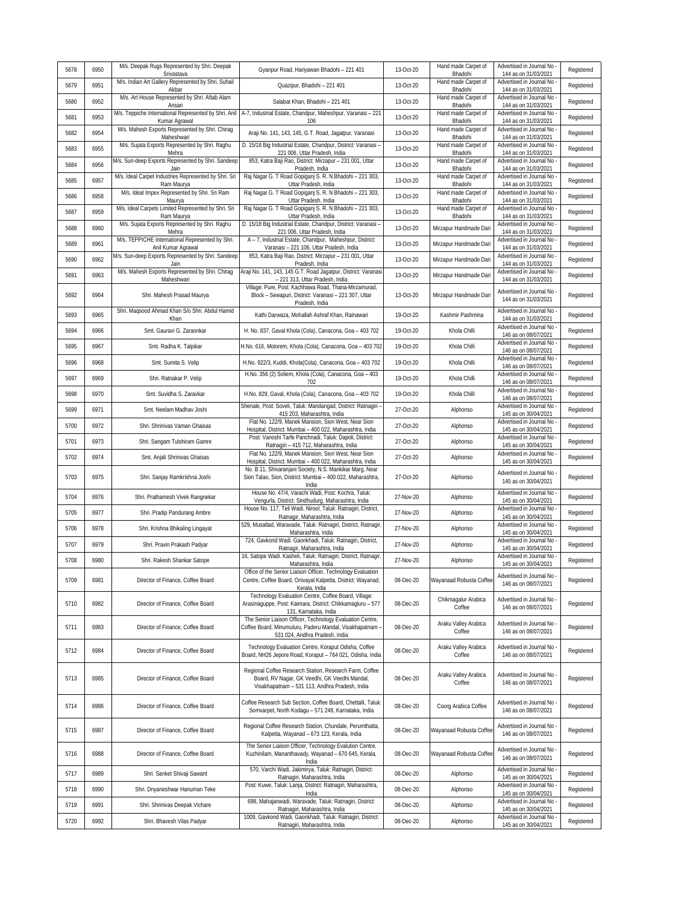| 5678 | 6950 | M/s. Deepak Rugs Represented by Shri. Deepak                             | Gyanpur Road, Hariyawan Bhadohi - 221 401                                                                                                                  | 13-Oct-20 | Hand made Carpet of            | Advertised in Journal No                           | Registered |
|------|------|--------------------------------------------------------------------------|------------------------------------------------------------------------------------------------------------------------------------------------------------|-----------|--------------------------------|----------------------------------------------------|------------|
| 5679 | 6951 | Srivastava<br>M/s. Indian Art Gallery Represented by Shri. Suhail        | Quazipur, Bhadohi - 221 401                                                                                                                                | 13-Oct-20 | Bhadohi<br>Hand made Carpet of | 144 as on 31/03/2021<br>Advertised in Journal No   | Registered |
| 5680 | 6952 | Akbar<br>M/s. Art House Represented by Shri. Aftab Alam                  | Salabat Khan, Bhadohi - 221 401                                                                                                                            | 13-Oct-20 | Bhadohi<br>Hand made Carpet of | 144 as on 31/03/2021<br>Advertised in Journal No   | Registered |
| 5681 | 6953 | Ansari                                                                   | M/s. Teppiche International Represented by Shri. Anil A-7, Industrial Estate, Chandpur, Maheshpur, Varanasi - 221                                          | 13-Oct-20 | Bhadohi<br>Hand made Carpet of | 144 as on 31/03/2021<br>Advertised in Journal No   | Registered |
| 5682 | 6954 | Kumar Agrawal<br>M/s. Mahesh Exports Represented by Shri. Chirag         | 106<br>Araji No. 141, 143, 145, G.T. Road, Jagatpur, Varanasi                                                                                              | 13-Oct-20 | Bhadohi<br>Hand made Carpet of | 144 as on 31/03/2021<br>Advertised in Journal No   | Registered |
| 5683 | 6955 | Maheshwari<br>M/s. Sujata Exports Represented by Shri. Raghu             | D. 15/18 Big Industrial Estate, Chandpur, District: Varanasi -                                                                                             | 13-Oct-20 | Bhadohi<br>Hand made Carpet of | 144 as on 31/03/2021<br>Advertised in Journal No   | Registered |
|      | 6956 | Mehra<br>M/s. Sun-deep Exports Represented by Shri. Sandeep              | 221 006, Uttar Pradesh, India<br>853, Katra Baji Rao, District: Mirzapur - 231 001, Uttar                                                                  | 13-Oct-20 | Bhadohi<br>Hand made Carpet of | 144 as on 31/03/2021<br>Advertised in Journal No   | Registered |
| 5684 |      | Jain<br>M/s. Ideal Carpet Industries Represented by Shri. Sri            | Pradesh, India<br>Raj Nagar G. T Road Gopiganj S. R. N Bhadohi - 221 303,                                                                                  |           | Bhadohi<br>Hand made Carpet of | 144 as on 31/03/2021<br>Advertised in Journal No   |            |
| 5685 | 6957 | Ram Maurya<br>M/s. Ideal Impex Represented by Shri. Sri Ram              | Uttar Pradesh, India<br>Raj Nagar G. T Road Gopiganj S. R. N Bhadohi - 221 303,                                                                            | 13-Oct-20 | Bhadohi<br>Hand made Carpet of | 144 as on 31/03/2021<br>Advertised in Journal No   | Registered |
| 5686 | 6958 | Maurya<br>M/s. Ideal Carpets Limited Represented by Shri. Sri            | Uttar Pradesh, India<br>Raj Nagar G. T Road Gopiganj S. R. N Bhadohi - 221 303,                                                                            | 13-Oct-20 | Bhadohi<br>Hand made Carpet of | 144 as on 31/03/2021<br>Advertised in Journal No   | Registered |
| 5687 | 6959 | Ram Maurya<br>M/s. Sujata Exports Represented by Shri. Raghu             | Uttar Pradesh, India<br>D. 15/18 Big Industrial Estate, Chandpur, District: Varanasi                                                                       | 13-Oct-20 | Bhadohi                        | 144 as on 31/03/2021<br>Advertised in Journal No   | Registered |
| 5688 | 6960 | Mehra<br>M/s. TEPPICHE International Represented by Shri.                | 221 006, Uttar Pradesh, India<br>A - 7, Industrial Estate, Chandpur, Maheshpur, District:                                                                  | 13-Oct-20 | Mirzapur Handmade Dari         | 144 as on 31/03/2021<br>Advertised in Journal No   | Registered |
| 5689 | 6961 | Anil Kumar Agrawal<br>M/s. Sun-deep Exports Represented by Shri. Sandeep | Varanasi - 221 106, Uttar Pradesh, India<br>853, Katra Baji Rao, District: Mirzapur - 231 001, Uttar                                                       | 13-Oct-20 | Mirzapur Handmade Dari         | 144 as on 31/03/2021<br>Advertised in Journal No   | Registered |
| 5690 | 6962 | Jain<br>M/s. Mahesh Exports Represented by Shri. Chirag                  | Pradesh, India<br>Araji No. 141, 143, 145 G.T. Road Jagatpur, District: Varanasi                                                                           | 13-Oct-20 | Mirzapur Handmade Dari         | 144 as on 31/03/2021<br>Advertised in Journal No   | Registered |
| 5691 | 6963 | Maheshwari                                                               | - 221 313, Uttar Pradesh, India<br>Village: Pure, Post: Kachhawa Road, Thana-Mirzamurad,                                                                   | 13-Oct-20 | Mirzapur Handmade Dari         | 144 as on 31/03/2021                               | Registered |
| 5692 | 6964 | Shri. Mahesh Prasad Maurya                                               | Block - Sewapuri, District: Varanasi - 221 307, Uttar<br>Pradesh, India                                                                                    | 13-Oct-20 | Mirzapur Handmade Dari         | Advertised in Journal No -<br>144 as on 31/03/2021 | Registered |
| 5693 | 6965 | Shri. Maqsood Ahmad Khan S/o Shri. Abdul Hamid<br>Khan                   | Kathi Darwaza, Mohallah Ashraf Khan, Rainawari                                                                                                             | 19-Oct-20 | Kashmir Pashmina               | Advertised in Journal No<br>144 as on 31/03/2021   | Registered |
| 5694 | 6966 | Smt. Gauravi G. Zaraonkar                                                | H. No. 837, Gaval Khola (Cola), Canacona, Goa - 403 702                                                                                                    | 19-Oct-20 | Khola Chilli                   | Advertised in Journal No<br>146 as on 08/07/2021   | Registered |
| 5695 | 6967 | Smt. Radha K. Talpikar                                                   | H.No. 616, Molorem, Khola (Cola), Canacona, Goa - 403 702                                                                                                  | 19-Oct-20 | Khola Chilli                   | Advertised in Journal No<br>146 as on 08/07/2021   | Registered |
| 5696 | 6968 | Smt. Sumita S. Velip                                                     | H.No. 922/3, Kuddi, Khola(Cola), Canacona, Goa - 403 702                                                                                                   | 19-Oct-20 | Khola Chilli                   | Advertised in Journal No<br>146 as on 08/07/2021   | Registered |
| 5697 | 6969 | Shri. Ratnakar P. Velip                                                  | H.No. 356 (2) Soliem, Khola (Cola), Canacona, Goa - 403<br>702                                                                                             | 19-Oct-20 | Khola Chilli                   | Advertised in Journal No<br>146 as on 08/07/2021   | Registered |
| 5698 | 6970 | Smt. Suvidha S. Zaravkar                                                 | H.No. 829, Gaval, Khola (Cola), Canacona, Goa - 403 702                                                                                                    | 19-Oct-20 | Khola Chilli                   | Advertised in Journal No<br>146 as on 08/07/2021   | Registered |
| 5699 | 6971 | Smt. Neelam Madhav Joshi                                                 | Shenale, Post: Soveli, Taluk: Mandangad, District: Ratnagiri -<br>415 203, Maharashtra, India                                                              | 27-Oct-20 | Alphonso                       | Advertised in Journal No<br>145 as on 30/04/2021   | Registered |
| 5700 | 6972 | Shri. Shrinivas Vaman Ghaisas                                            | Flat No. 122/9, Manek Mansion, Sion West, Near Sion<br>Hospital, District: Mumbai - 400 022, Maharashtra, India                                            | 27-Oct-20 | Alphonso                       | Advertised in Journal No<br>145 as on 30/04/2021   | Registered |
| 5701 | 6973 | Shri. Sangam Tulshiram Gamre                                             | Post: Vanoshi Tarfe Panchnadi, Taluk: Dapoli, District:<br>Ratnagiri - 415 712, Maharashtra, India                                                         | 27-Oct-20 | Alphonso                       | Advertised in Journal No<br>145 as on 30/04/2021   | Registered |
| 5702 | 6974 | Smt. Anjali Shrinivas Ghaisas                                            | Flat No. 122/9, Manek Mansion, Sion West, Near Sion<br>Hospital, District: Mumbai - 400 022, Maharashtra, India                                            | 27-Oct-20 | Alphonso                       | Advertised in Journal No<br>145 as on 30/04/2021   | Registered |
| 5703 | 6975 | Shri. Sanjay Ramkrishna Joshi                                            | No. B 11, Shivaranjani Society, N.S. Mankikar Marg, Near<br>Sion Talao, Sion, District: Mumbai - 400 022, Maharashtra,<br>India                            | 27-Oct-20 | Alphonso                       | Advertised in Journal No<br>145 as on 30/04/2021   | Registered |
| 5704 | 6976 | Shri. Prathamesh Vivek Rangnekar                                         | House No. 47/4, Varachi Wadi, Post: Kochra, Taluk:<br>Vengurla, District: Sindhudurg, Maharashtra, India                                                   | 27-Nov-20 | Alphonso                       | Advertised in Journal No<br>145 as on 30/04/2021   | Registered |
| 5705 | 6977 | Shri. Pradip Pandurang Ambre                                             | House No. 117, Teli Wadi, Nirool, Taluk: Ratnagiri, District,<br>Ratnagir, Maharashtra, India                                                              | 27-Nov-20 | Alphonso                       | Advertised in Journal No<br>145 as on 30/04/2021   | Registered |
| 5706 | 6978 | Shri. Krishna Bhikaling Lingayat                                         | 529, Musaltad, Waravade, Taluk: Ratnagiri, District, Ratnagir,<br>Maharashtra, India                                                                       | 27-Nov-20 | Alphonso                       | Advertised in Journal No<br>145 as on 30/04/2021   | Registered |
| 5707 | 6979 | Shri. Pravin Prakash Padyar                                              | 724, Gavkond Wadi. Gaonkhadi, Taluk: Ratnaqiri, District,                                                                                                  | 27-Nov-20 | Alphonso                       | Advertised in Journal No                           | Registered |
| 5708 | 6980 | Shri. Rakesh Shankar Satope                                              | Ratnagir, Maharashtra, India<br>16, Satope Wadi. Kasheli, Taluk: Ratnagiri, District, Ratnagir,                                                            | 27-Nov-20 | Alphonso                       | 145 as on 30/04/2021<br>Advertised in Journal No   | Registered |
|      |      |                                                                          | Maharashtra, India<br>Office of the Senior Liaison Officer, Technology Evaluation                                                                          |           |                                | 145 as on 30/04/2021<br>Advertised in Journal No   |            |
| 5709 | 6981 | Director of Finance, Coffee Board                                        | Centre, Coffee Board, Onivayal Kalpetta, District: Wayanad,<br>Kerala, India                                                                               | 08-Dec-20 | Wayanaad Robusta Coffee        | 146 as on 08/07/2021                               | Registered |
| 5710 | 6982 | Director of Finance, Coffee Board                                        | Technology Evaluation Centre, Coffee Board, Village:<br>Arasinaguppe, Post: Kaimara, District: Chikkamagluru - 577<br>131, Karnataka, India                | 08-Dec-20 | Chikmagalur Arabica<br>Coffee  | Advertised in Journal No -<br>146 as on 08/07/2021 | Registered |
| 5711 | 6983 | Director of Finance, Coffee Board                                        | The Senior Liaison Officer, Technology Evaluation Centre,<br>Coffee Board, Minumuluru, Paderu Mandal, Visakhapatnam -<br>531 024, Andhra Pradesh, India    | 08-Dec-20 | Araku Valley Arabica<br>Coffee | Advertised in Journal No<br>146 as on 08/07/2021   | Registered |
| 5712 | 6984 | Director of Finance, Coffee Board                                        | Technology Evaluation Centre, Koraput Odisha, Coffee<br>Board, NH26 Jepore Road, Koraput - 764 021, Odisha, India                                          | 08-Dec-20 | Araku Valley Arabica<br>Coffee | Advertised in Journal No<br>146 as on 08/07/2021   | Registered |
| 5713 | 6985 | Director of Finance, Coffee Board                                        | Regional Coffee Research Station, Research Farm, Coffee<br>Board, RV Nagar, GK Veedhi, GK Veedhi Mandal,<br>Visakhapatnam - 531 113, Andhra Pradesh, India | 08-Dec-20 | Araku Valley Arabica<br>Coffee | Advertised in Journal No -<br>146 as on 08/07/2021 | Registered |
| 5714 | 6986 | Director of Finance, Coffee Board                                        | Coffee Research Sub Section, Coffee Board, Chettalli, Taluk:<br>Somvarpet, North Kodagu - 571 248, Karnataka, India                                        | 08-Dec-20 | Coorg Arabica Coffee           | Advertised in Journal No -<br>146 as on 08/07/2021 | Registered |
| 5715 | 6987 | Director of Finance, Coffee Board                                        | Regional Coffee Research Station, Chundale, Perumthatta,<br>Kalpetta, Wayanad - 673 123, Kerala, India                                                     | 08-Dec-20 | Wayanaad Robusta Coffee        | Advertised in Journal No<br>146 as on 08/07/2021   | Registered |
| 5716 | 6988 | Director of Finance, Coffee Board                                        | The Senior Liaison Officer, Technology Evalution Centre,<br>Kuzhinilam, Mananthavady, Wayanad - 670 645, Kerala,<br>India                                  | 08-Dec-20 | Wayanaad Robusta Coffee        | Advertised in Journal No<br>146 as on 08/07/2021   | Registered |
| 5717 | 6989 | Shri. Sanket Shivaji Sawant                                              | 570, Varchi Wadi, Jakimirya, Taluk: Ratnagiri, District:<br>Ratnagiri, Maharashtra, India                                                                  | 08-Dec-20 | Alphonso                       | Advertised in Journal No<br>145 as on 30/04/2021   | Registered |
| 5718 | 6990 | Shri. Dnyaneshwar Hanuman Teke                                           | Post: Kuwe, Taluk: Lanja, District: Ratnagiri, Maharashtra,<br>India                                                                                       | 08-Dec-20 | Alphonso                       | Advertised in Journal No<br>145 as on 30/04/2021   | Registered |
| 5719 | 6991 | Shri. Shrinivas Deepak Vichare                                           | 698, Mahajanwadi, Waravade, Taluk: Ratnagiri, District:<br>Ratnagiri, Maharashtra, India                                                                   | 08-Dec-20 | Alphonso                       | Advertised in Journal No<br>145 as on 30/04/2021   | Registered |
| 5720 | 6992 | Shri. Bhavesh Vilas Padyar                                               | 1009, Gavkond Wadi, Gaonkhadi, Taluk: Ratnagiri, District:<br>Ratnagiri, Maharashtra, India                                                                | 08-Dec-20 | Alphonso                       | Advertised in Journal No<br>145 as on 30/04/2021   | Registered |
|      |      |                                                                          |                                                                                                                                                            |           |                                |                                                    |            |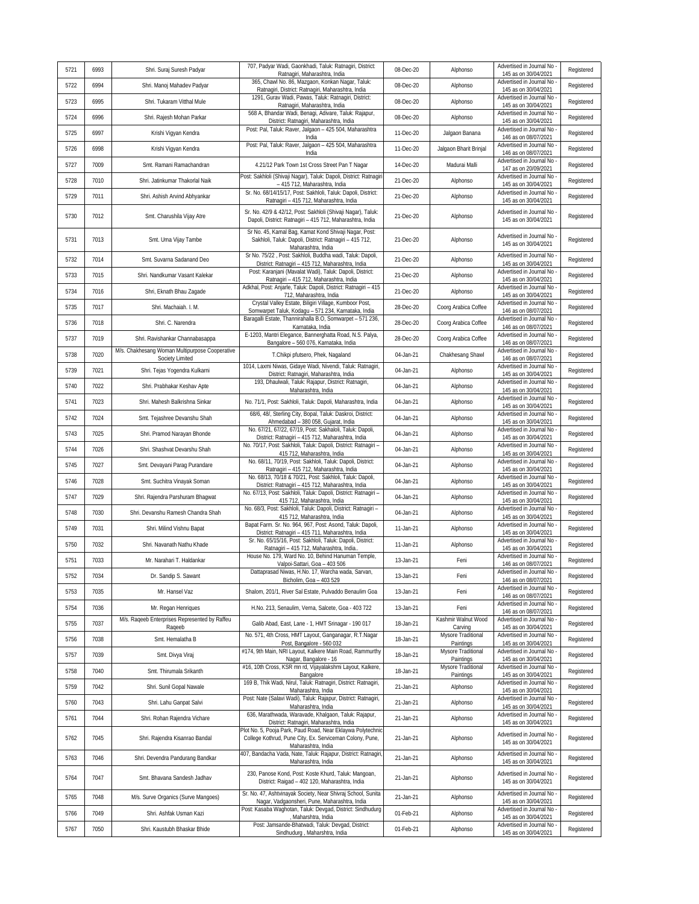| 5721 | 6993 | Shri. Suraj Suresh Padyar                                         | 707, Padyar Wadi, Gaonkhadi, Taluk: Ratnagiri, District:<br>Ratnagiri, Maharashtra, India                                                     | 08-Dec-20 | Alphonso                        | Advertised in Journal No<br>145 as on 30/04/2021 | Registered |
|------|------|-------------------------------------------------------------------|-----------------------------------------------------------------------------------------------------------------------------------------------|-----------|---------------------------------|--------------------------------------------------|------------|
| 5722 | 6994 | Shri. Manoj Mahadev Padyar                                        | 365, Chawl No. 86, Mazgaon, Konkan Nagar, Taluk:<br>Ratnagiri, District: Ratnagiri, Maharashtra, India                                        | 08-Dec-20 | Alphonso                        | Advertised in Journal No<br>145 as on 30/04/2021 | Registered |
| 5723 | 6995 | Shri. Tukaram Vitthal Mule                                        | 1291, Gurav Wadi, Pawas, Taluk: Ratnagiri, District:<br>Ratnagiri, Maharashtra, India                                                         | 08-Dec-20 | Alphonso                        | Advertised in Journal No<br>145 as on 30/04/2021 | Registered |
| 5724 | 6996 | Shri. Rajesh Mohan Parkar                                         | 568 A, Bhandar Wadi, Benagi, Adivare, Taluk: Rajapur,<br>District: Ratnagiri, Maharashtra, India                                              | 08-Dec-20 | Alphonso                        | Advertised in Journal No<br>145 as on 30/04/2021 | Registered |
| 5725 | 6997 | Krishi Vigyan Kendra                                              | Post: Pal, Taluk: Raver, Jalgaon - 425 504, Maharashtra<br>India                                                                              | 11-Dec-20 | Jalgaon Banana                  | Advertised in Journal No<br>146 as on 08/07/2021 | Registered |
| 5726 | 6998 | Krishi Vigyan Kendra                                              | Post: Pal, Taluk: Raver, Jalgaon - 425 504, Maharashtra<br>India                                                                              | 11-Dec-20 | Jalgaon Bharit Brinjal          | Advertised in Journal No<br>146 as on 08/07/2021 | Registered |
| 5727 | 7009 | Smt. Ramani Ramachandran                                          | 4.21/12 Park Town 1st Cross Street Pan T Nagar                                                                                                | 14-Dec-20 | Madurai Malli                   | Advertised in Journal No<br>147 as on 20/09/2021 | Registered |
| 5728 | 7010 | Shri. Jatinkumar Thakorlal Naik                                   | Post: Sakhloli (Shivaji Nagar), Taluk: Dapoli, District: Ratnagiri<br>- 415 712, Maharashtra, India                                           | 21-Dec-20 | Alphonso                        | Advertised in Journal No<br>145 as on 30/04/2021 | Registered |
| 5729 | 7011 | Shri. Ashish Arvind Abhyankar                                     | Sr. No. 68/14/15/17, Post: Sakhloli, Taluk: Dapoli, District:<br>Ratnagiri - 415 712, Maharashtra, India                                      | 21-Dec-20 | Alphonso                        | Advertised in Journal No<br>145 as on 30/04/2021 | Registered |
| 5730 | 7012 | Smt. Charushila Vijay Atre                                        | Sr. No. 42/9 & 42/12, Post: Sakhloli (Shivaji Nagar), Taluk:<br>Dapoli, District: Ratnagiri - 415 712, Maharashtra, India                     | 21-Dec-20 | Alphonso                        | Advertised in Journal No<br>145 as on 30/04/2021 | Registered |
| 5731 | 7013 | Smt. Uma Vijay Tambe                                              | Sr No. 45, Kamal Bag, Kamat Kond Shivaji Nagar, Post:<br>Sakhloli, Taluk: Dapoli, District: Ratnagiri - 415 712,<br>Maharashtra, India        | 21-Dec-20 | Alphonso                        | Advertised in Journal No<br>145 as on 30/04/2021 | Registered |
| 5732 | 7014 | Smt. Suvarna Sadanand Deo                                         | Sr No. 75/22, Post: Sakhloli, Buddha wadi, Taluk: Dapoli,<br>District: Ratnagiri - 415 712, Maharashtra, India                                | 21-Dec-20 | Alphonso                        | Advertised in Journal No<br>145 as on 30/04/2021 | Registered |
| 5733 | 7015 | Shri. Nandkumar Vasant Kalekar                                    | Post: Karanjani (Mavalat Wadi), Taluk: Dapoli, District:<br>Ratnagiri - 415 712, Maharashtra, India                                           | 21-Dec-20 | Alphonso                        | Advertised in Journal No<br>145 as on 30/04/2021 | Registered |
| 5734 | 7016 | Shri, Eknath Bhau Zagade                                          | Adkhal, Post: Anjarle, Taluk: Dapoli, District: Ratnagiri - 415<br>712, Maharashtra, India                                                    | 21-Dec-20 | Alphonso                        | Advertised in Journal No<br>145 as on 30/04/2021 | Registered |
| 5735 | 7017 | Shri. Machaiah. I. M.                                             | Crystal Valley Estate, Biligiri Village, Kumboor Post,<br>Somwarpet Taluk, Kodagu - 571 234, Karnataka, India                                 | 28-Dec-20 | Coorg Arabica Coffee            | Advertised in Journal No<br>146 as on 08/07/2021 | Registered |
| 5736 | 7018 | Shri. C. Narendra                                                 | Baragalli Estate, Thannirahalla B.O, Somwarpet - 571 236,<br>Karnataka, India                                                                 | 28-Dec-20 | Coorg Arabica Coffee            | Advertised in Journal No<br>146 as on 08/07/2021 | Registered |
| 5737 | 7019 | Shri. Ravishankar Channabasappa                                   | E-1203, Mantri Elegance, Bannerghatta Road, N.S. Palya,<br>Bangalore - 560 076, Karnataka, India                                              | 28-Dec-20 | Coorg Arabica Coffee            | Advertised in Journal No<br>146 as on 08/07/2021 | Registered |
| 5738 | 7020 | M/s. Chakhesang Woman Multipurpose Cooperative<br>Society Limited | T.Chikpi pfutsero, Phek, Nagaland                                                                                                             | 04-Jan-21 | Chakhesang Shawl                | Advertised in Journal No<br>146 as on 08/07/2021 | Registered |
| 5739 | 7021 | Shri. Tejas Yogendra Kulkarni                                     | 1014, Laxmi Niwas, Gidaye Wadi, Nivendi, Taluk: Ratnagiri,<br>District: Ratnagiri, Maharashtra, India                                         | 04-Jan-21 | Alphonso                        | Advertised in Journal No<br>145 as on 30/04/2021 | Registered |
| 5740 | 7022 | Shri. Prabhakar Keshav Apte                                       | 193, Dhaulwali, Taluk: Rajapur, District: Ratnagiri,<br>Maharashtra, India                                                                    | 04-Jan-21 | Alphonso                        | Advertised in Journal No<br>145 as on 30/04/2021 | Registered |
| 5741 | 7023 | Shri. Mahesh Balkrishna Sinkar                                    | No. 71/1, Post: Sakhloli, Taluk: Dapoli, Maharashtra, India                                                                                   | 04-Jan-21 | Alphonso                        | Advertised in Journal No<br>145 as on 30/04/2021 | Registered |
| 5742 | 7024 | Smt. Tejashree Devanshu Shah                                      | 68/6, 48/, Sterling City, Bopal, Taluk: Daskroi, District:<br>Ahmedabad - 380 058, Gujarat, India                                             | 04-Jan-21 | Alphonso                        | Advertised in Journal No<br>145 as on 30/04/2021 | Registered |
| 5743 | 7025 | Shri. Pramod Narayan Bhonde                                       | No. 67/21, 67/22, 67/19, Post: Sakhaloli, Taluk: Dapoli,<br>District: Ratnagiri - 415 712, Maharashtra, India                                 | 04-Jan-21 | Alphonso                        | Advertised in Journal No<br>145 as on 30/04/2021 | Registered |
| 5744 | 7026 | Shri. Shashvat Devarshu Shah                                      | No. 70/17, Post: Sakhloli, Taluk: Dapoli, District: Ratnagiri -<br>415 712, Maharashtra, India                                                | 04-Jan-21 | Alphonso                        | Advertised in Journal No<br>145 as on 30/04/2021 | Registered |
| 5745 | 7027 | Smt. Devayani Parag Purandare                                     | No. 68/11, 70/19, Post: Sakhloli, Taluk: Dapoli, District:<br>Ratnagiri - 415 712, Maharashtra, India                                         | 04-Jan-21 | Alphonso                        | Advertised in Journal No<br>145 as on 30/04/2021 | Registered |
| 5746 | 7028 | Smt. Suchitra Vinayak Soman                                       | No. 68/13, 70/18 & 70/21, Post: Sakhloli, Taluk: Dapoli,<br>District: Ratnagiri - 415 712, Maharashtra, India                                 | 04-Jan-21 | Alphonso                        | Advertised in Journal No<br>145 as on 30/04/2021 | Registered |
| 5747 | 7029 | Shri. Rajendra Parshuram Bhagwat                                  | No. 67/13, Post: Sakhloli, Taluk: Dapoli, District: Ratnagiri -<br>415 712, Maharashtra, India                                                | 04-Jan-21 | Alphonso                        | Advertised in Journal No<br>145 as on 30/04/2021 | Registered |
| 5748 | 7030 | Shri. Devanshu Ramesh Chandra Shah                                | No. 68/3, Post: Sakhloli, Taluk: Dapoli, District: Ratnagiri -<br>415 712, Maharashtra, India                                                 | 04-Jan-21 | Alphonso                        | Advertised in Journal No<br>145 as on 30/04/2021 | Registered |
| 5749 | 7031 | Shri. Milind Vishnu Bapat                                         | Bapat Farm. Sr. No. 964, 967, Post: Asond, Taluk: Dapoli,<br>District: Ratnagiri - 415 711, Maharashtra, India                                | 11-Jan-21 | Alphonso                        | Advertised in Journal No<br>145 as on 30/04/2021 | Registered |
| 5750 | 7032 | Shri. Navanath Nathu Khade                                        | Sr. No. 65/15/16, Post: Sakhloli, Taluk: Dapoli, District:<br>Ratnagiri - 415 712, Maharashtra, India.                                        | 11-Jan-21 | Alphonso                        | Advertised in Journal No<br>145 as on 30/04/2021 | Registered |
| 5751 | 7033 | Mr. Narahari T. Haldankar                                         | House No. 179, Ward No. 10, Behind Hanuman Temple,<br>Valpoi-Sattari, Goa - 403 506                                                           | 13-Jan-21 | Feni                            | Advertised in Journal No<br>146 as on 08/07/2021 | Registered |
| 5752 | 7034 | Dr. Sandip S. Sawant                                              | Dattaprasad Niwas, H.No. 17, Warcha wada, Sarvan,<br>Bicholim, Goa - 403 529                                                                  | 13-Jan-21 | Feni                            | Advertised in Journal No<br>146 as on 08/07/2021 | Registered |
| 5753 | 7035 | Mr. Hansel Vaz                                                    | Shalom, 201/1, River Sal Estate, Pulvaddo Benaulim Goa                                                                                        | 13-Jan-21 | Feni                            | Advertised in Journal No<br>146 as on 08/07/2021 | Registered |
| 5754 | 7036 | Mr. Regan Henriques                                               | H.No. 213, Senaulim, Verna, Salcete, Goa - 403 722                                                                                            | 13-Jan-21 | Feni                            | Advertised in Journal No<br>146 as on 08/07/2021 | Registered |
| 5755 | 7037 | M/s. Rageeb Enterprises Represented by Raffeu<br>Rageeb           | Galib Abad, East, Lane - 1, HMT Srinagar - 190 017                                                                                            | 18-Jan-21 | Kashmir Walnut Wood<br>Carving  | Advertised in Journal No<br>145 as on 30/04/2021 | Registered |
| 5756 | 7038 | Smt. Hemalatha B                                                  | No. 571, 4th Cross, HMT Layout, Ganganagar, R.T.Nagar<br>Post, Bangalore - 560 032                                                            | 18-Jan-21 | Mysore Traditional<br>Paintings | Advertised in Journal No<br>145 as on 30/04/2021 | Registered |
| 5757 | 7039 | Smt. Divya Viraj                                                  | #174, 9th Main, NRI Layout, Kalkere Main Road, Rammurthy<br>Nagar, Bangalore - 16                                                             | 18-Jan-21 | Mysore Traditional<br>Paintings | Advertised in Journal No<br>145 as on 30/04/2021 | Registered |
| 5758 | 7040 | Smt. Thirumala Srikanth                                           | #16, 10th Cross, KSR mn rd, Vijayalakshmi Layout, Kalkere,<br>Bangalore                                                                       | 18-Jan-21 | Mysore Traditional<br>Paintings | Advertised in Journal No<br>145 as on 30/04/2021 | Registered |
| 5759 | 7042 | Shri. Sunil Gopal Nawale                                          | 169 B, Thik Wadi, Nirul, Taluk: Ratnagiri, District: Ratnagiri,<br>Maharashtra, India                                                         | 21-Jan-21 | Alphonso                        | Advertised in Journal No<br>145 as on 30/04/2021 | Registered |
| 5760 | 7043 | Shri. Lahu Ganpat Salvi                                           | Post: Nate (Salavi Wadi), Taluk: Rajapur, District: Ratnagiri<br>Maharashtra, India                                                           | 21-Jan-21 | Alphonso                        | Advertised in Journal No<br>145 as on 30/04/2021 | Registered |
| 5761 | 7044 | Shri. Rohan Rajendra Vichare                                      | 636, Marathwada, Waravade, Khalgaon, Taluk: Rajapur,<br>District: Ratnagiri, Maharashtra, India                                               | 21-Jan-21 | Alphonso                        | Advertised in Journal No<br>145 as on 30/04/2021 | Registered |
| 5762 | 7045 | Shri. Rajendra Kisanrao Bandal                                    | Plot No. 5, Pooja Park, Paud Road, Near Eklaywa Polytechnic<br>College Kothrud, Pune City, Ex. Serviceman Colony, Pune,<br>Maharashtra, India | 21-Jan-21 | Alphonso                        | Advertised in Journal No<br>145 as on 30/04/2021 | Registered |
| 5763 | 7046 | Shri. Devendra Pandurang Bandkar                                  | 407, Bandacha Vada, Nate, Taluk: Rajapur, District: Ratnagiri<br>Maharashtra, India                                                           | 21-Jan-21 | Alphonso                        | Advertised in Journal No<br>145 as on 30/04/2021 | Registered |
| 5764 | 7047 | Smt. Bhavana Sandesh Jadhav                                       | 230, Panose Kond, Post: Koste Khurd, Taluk: Mangoan,<br>District: Raigad - 402 120, Maharashtra, India                                        | 21-Jan-21 | Alphonso                        | Advertised in Journal No<br>145 as on 30/04/2021 | Registered |
| 5765 | 7048 | M/s. Surve Organics (Surve Mangoes)                               | Sr. No. 47, Ashtvinayak Society, Near Shivraj School, Sunita<br>Nagar, Vadgaonsheri, Pune, Maharashtra, India                                 | 21-Jan-21 | Alphonso                        | Advertised in Journal No<br>145 as on 30/04/2021 | Registered |
| 5766 | 7049 | Shri. Ashfak Usman Kazi                                           | Post: Kasaba Waghotan, Taluk: Devgad, District: Sindhudurg<br>Maharshtra, India                                                               | 01-Feb-21 | Alphonso                        | Advertised in Journal No<br>145 as on 30/04/2021 | Registered |
| 5767 | 7050 | Shri. Kaustubh Bhaskar Bhide                                      | Post: Jamsande-Bhatwadi, Taluk: Devgad, District:<br>Sindhudurg, Maharshtra, India                                                            | 01-Feb-21 | Alphonso                        | Advertised in Journal No<br>145 as on 30/04/2021 | Registered |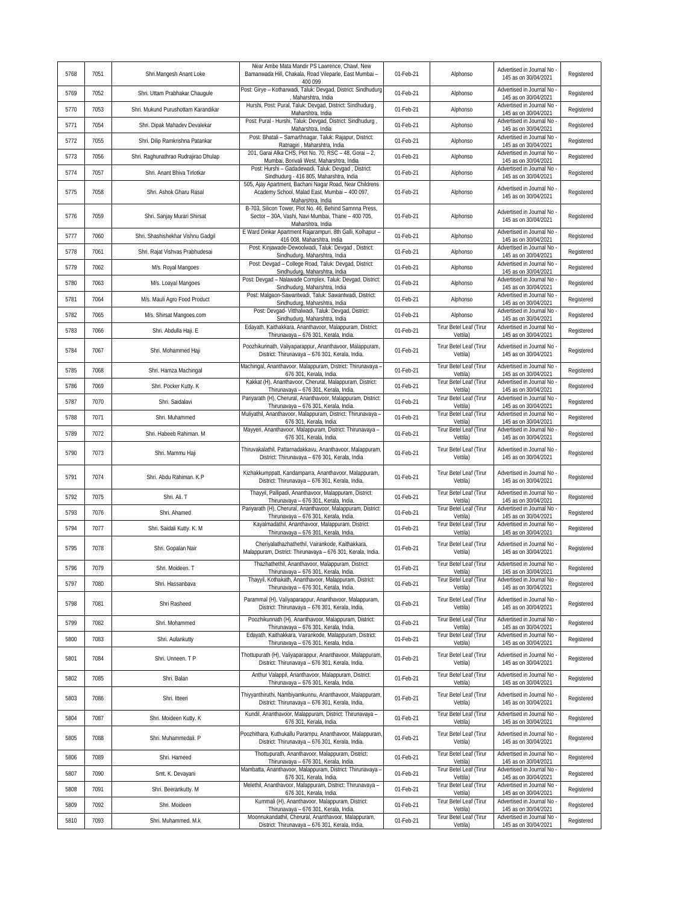| 5768 | 7051 | Shri.Mangesh Anant Loke              | Near Ambe Mata Mandir PS Lawrence, Chawl, New<br>Bamanwada Hill, Chakala, Road Vileparle, East Mumbai -<br>400 099                 | 01-Feb-21 | Alphonso                            | Advertised in Journal No<br>145 as on 30/04/2021   | Registered |
|------|------|--------------------------------------|------------------------------------------------------------------------------------------------------------------------------------|-----------|-------------------------------------|----------------------------------------------------|------------|
| 5769 | 7052 | Shri. Uttam Prabhakar Chauqule       | Post: Girye - Kotharwadi, Taluk: Devgad, District: Sindhudurg<br>Maharshtra, India                                                 | 01-Feb-21 | Alphonso                            | Advertised in Journal No<br>145 as on 30/04/2021   | Registered |
| 5770 | 7053 | Shri. Mukund Purushottam Karandikar  | Hurshi, Post: Pural, Taluk: Devgad, District: Sindhudurg,<br>Maharshtra, India                                                     | 01-Feb-21 | Alphonso                            | Advertised in Journal No<br>145 as on 30/04/2021   | Registered |
| 5771 | 7054 | Shri. Dipak Mahadev Devalekar        | Post: Pural - Hurshi, Taluk: Devgad, District: Sindhudurg<br>Maharshtra, India                                                     | 01-Feb-21 | Alphonso                            | Advertised in Journal No<br>145 as on 30/04/2021   | Registered |
| 5772 | 7055 | Shri. Dilip Ramkrishna Patankar      | Post: Bhatali - Samarthnagar, Taluk: Rajapur, District:<br>Ratnagiri, Maharshtra, India                                            | 01-Feb-21 | Alphonso                            | Advertised in Journal No<br>145 as on 30/04/2021   | Registered |
| 5773 | 7056 | Shri. Raghunathrao Rudrajirao Dhulap | 201, Garai Alka CHS, Plot No. 70, RSC - 48, Gorai - 2,<br>Mumbai, Borivali West, Maharshtra, India                                 | 01-Feb-21 | Alphonso                            | Advertised in Journal No<br>145 as on 30/04/2021   | Registered |
| 5774 | 7057 | Shri. Anant Bhiva Tirlotkar          | Post: Hurshi - Gadadewadi, Taluk: Devgad, District:<br>Sindhudurg - 416 805, Maharshtra, India                                     | 01-Feb-21 | Alphonso                            | Advertised in Journal No<br>145 as on 30/04/2021   | Registered |
| 5775 | 7058 | Shri. Ashok Gharu Rasal              | 505, Ajay Apartment, Bachani Nagar Road, Near Childrens<br>Academy School, Malad East, Mumbai - 400 097,<br>Maharshtra, India      | 01-Feb-21 | Alphonso                            | Advertised in Journal No<br>145 as on 30/04/2021   | Registered |
| 5776 | 7059 | Shri. Sanjay Murari Shirsat          | B-703, Silicon Tower, Plot No. 46, Behind Samnna Press,<br>Sector - 30A, Vashi, Navi Mumbai, Thane - 400 705,<br>Maharshtra, India | 01-Feb-21 | Alphonso                            | Advertised in Journal No<br>145 as on 30/04/2021   | Registered |
| 5777 | 7060 | Shri. Shashishekhar Vishnu Gadgil    | E Ward Dinkar Apartment Rajarampuri, 8th Galli, Kolhapur -<br>416 008, Maharshtra, India                                           | 01-Feb-21 | Alphonso                            | Advertised in Journal No<br>145 as on 30/04/2021   | Registered |
| 5778 | 7061 | Shri. Rajat Vishvas Prabhudesai      | Post: Kinjawade-Dewoolwadi, Taluk: Devgad, District:<br>Sindhudurg, Maharshtra, India                                              | 01-Feb-21 | Alphonso                            | Advertised in Journal No<br>145 as on 30/04/2021   | Registered |
| 5779 | 7062 | M/s. Royal Mangoes                   | Post: Devgad - College Road, Taluk: Devgad, District:<br>Sindhudurg, Maharshtra, India                                             | 01-Feb-21 | Alphonso                            | Advertised in Journal No<br>145 as on 30/04/2021   | Registered |
| 5780 | 7063 | M/s. Loayal Mangoes                  | Post: Devgad - Nalawade Complex, Taluk: Devgad, District:<br>Sindhudurg, Maharshtra, India                                         | 01-Feb-21 | Alphonso                            | Advertised in Journal No<br>145 as on 30/04/2021   | Registered |
| 5781 | 7064 | M/s. Mauli Agro Food Product         | Post: Malgaon-Sawantwadi, Taluk: Sawantwadi, District:<br>Sindhudurg, Maharshtra, India                                            | 01-Feb-21 | Alphonso                            | Advertised in Journal No<br>145 as on 30/04/2021   | Registered |
| 5782 | 7065 | M/s. Shirsat Mangoes.com             | Post: Devgad- Vitthalwadi, Taluk: Devgad, District:<br>Sindhudurg, Maharshtra, India                                               | 01-Feb-21 | Alphonso                            | Advertised in Journal No<br>145 as on 30/04/2021   | Registered |
| 5783 | 7066 | Shri. Abdulla Haji. E                | Edayath, Kaithakkara, Ananthavoor, Malappuram, District:<br>Thirunavaya - 676 301, Kerala, India.                                  | 01-Feb-21 | Tirur Betel Leaf (Tirur<br>Vettila) | Advertised in Journal No<br>145 as on 30/04/2021   | Registered |
| 5784 | 7067 | Shri. Mohammed Haji                  | Poozhikunnath, Valiyaparappur, Ananthavoor, Malappuram,<br>District: Thirunavaya - 676 301, Kerala, India.                         | 01-Feb-21 | Tirur Betel Leaf (Tirur<br>Vettila) | Advertised in Journal No<br>145 as on 30/04/2021   | Registered |
| 5785 | 7068 | Shri. Hamza Machingal                | Machingal, Ananthavoor, Malappuram, District: Thirunavaya -<br>676 301, Kerala, India.                                             | 01-Feb-21 | Tirur Betel Leaf (Tirur<br>Vettila) | Advertised in Journal No<br>145 as on 30/04/2021   | Registered |
| 5786 | 7069 | Shri. Pocker Kutty. K                | Kakkat (H), Ananthavoor, Cherural, Malappuram, District:<br>Thirunavaya - 676 301, Kerala, India.                                  | 01-Feb-21 | Tirur Betel Leaf (Tirur<br>Vettila) | Advertised in Journal No<br>145 as on 30/04/2021   | Registered |
| 5787 | 7070 | Shri. Saidalavi                      | Pariyarath (H), Cherural, Ananthavoor, Malappuram, District:<br>Thirunavaya - 676 301, Kerala, India.                              | 01-Feb-21 | Tirur Betel Leaf (Tirur<br>Vettila) | Advertised in Journal No<br>145 as on 30/04/2021   | Registered |
| 5788 | 7071 | Shri. Muhammed                       | Muliyathil, Ananthavoor, Malappuram, District: Thirunavaya -<br>676 301, Kerala, India.                                            | 01-Feb-21 | Tirur Betel Leaf (Tirur<br>Vettila) | Advertised in Journal No<br>145 as on 30/04/2021   | Registered |
| 5789 | 7072 | Shri. Habeeb Rahiman. M              | Mayyeri, Ananthavoor, Malappuram, District: Thirunavaya -<br>676 301, Kerala, India.                                               | 01-Feb-21 | Tirur Betel Leaf (Tirur<br>Vettila) | Advertised in Journal No<br>145 as on 30/04/2021   | Registered |
| 5790 | 7073 | Shri. Mammu Haji                     | Thiruvakalathil, Pattarnadakkavu, Ananthavoor, Malappuram,<br>District: Thirunavaya - 676 301, Kerala, India                       | 01-Feb-21 | Tirur Betel Leaf (Tirur<br>Vettila) | Advertised in Journal No<br>145 as on 30/04/2021   | Registered |
| 5791 | 7074 | Shri. Abdu Rahiman. K.P              | Kizhakkumppatt, Kandamparra, Ananthavoor, Malappuram,<br>District: Thirunavaya - 676 301, Kerala, India.                           | 01-Feb-21 | Tirur Betel Leaf (Tirur<br>Vettila) | Advertised in Journal No<br>145 as on 30/04/2021   | Registered |
| 5792 | 7075 | Shri. Ali. T                         | Thayyil, Pallipadi, Ananthavoor, Malappuram, District:<br>Thirunavaya - 676 301, Kerala, India.                                    | 01-Feb-21 | Tirur Betel Leaf (Tirur<br>Vettila) | Advertised in Journal No<br>145 as on 30/04/2021   | Registered |
| 5793 | 7076 | Shri, Ahamed                         | Pariyarath (H), Cherural, Ananthavoor, Malappuram, District:<br>Thirunavaya - 676 301, Kerala, India.                              | 01-Feb-21 | Tirur Betel Leaf (Tirur<br>Vettila) | Advertised in Journal No<br>145 as on 30/04/2021   | Registered |
| 5794 | 7077 | Shri. Saidali Kutty. K. M            | Kayalmadathil, Ananthavoor, Malappuram, District:<br>Thirunavaya - 676 301, Kerala, India                                          | 01-Feb-21 | Tirur Betel Leaf (Tirur<br>Vettila) | Advertised in Journal No<br>145 as on 30/04/2021   | Registered |
| 5795 | 7078 | Shri. Gopalan Nair                   | Cheriyalathazhathethil, Vairankode, Kaithakkara,<br>Malappuram, District: Thirunavaya - 676 301, Kerala, India.                    | 01-Feb-21 | Tirur Betel Leaf (Tirur<br>Vettila) | Advertised in Journal No<br>145 as on 30/04/2021   | Registered |
| 5796 | 7079 | Shri. Moideen. T                     | Thazhathethil, Ananthavoor, Malappuram, District:<br>Thirunavaya - 676 301, Kerala, India.                                         | 01-Feb-21 | Tirur Betel Leaf (Tirur<br>Vettila) | Advertised in Journal No<br>145 as on 30/04/2021   | Registered |
| 5797 | 7080 | Shri. Hassanbava                     | Thayyil, Kothakath, Ananthavoor, Malappuram, District:<br>Thirunavaya - 676 301, Kerala, India.                                    | 01-Feb-21 | Tirur Betel Leaf (Tirur<br>Vettila) | Advertised in Journal No<br>145 as on 30/04/2021   | Registered |
| 5798 | 7081 | Shri Rasheed                         | Parammal (H), Valiyaparappur, Ananthavoor, Malappuram,<br>District: Thirunavaya - 676 301, Kerala, India.                          | 01-Feb-21 | Tirur Betel Leaf (Tirur<br>Vettila) | Advertised in Journal No<br>145 as on 30/04/2021   | Registered |
| 5799 | 7082 | Shri. Mohammed                       | Poozhikunnath (H), Ananthavoor, Malappuram, District:<br>Thirunavaya - 676 301, Kerala, India.                                     | 01-Feb-21 | Tirur Betel Leaf (Tirur<br>Vettila) | Advertised in Journal No -<br>145 as on 30/04/2021 | Registered |
| 5800 | 7083 | Shri. Aulankutty                     | Edayath, Kaithakkara, Vairankode, Malappuram, District:<br>Thirunavaya - 676 301, Kerala, India.                                   | 01-Feb-21 | Tirur Betel Leaf (Tirur<br>Vettila) | Advertised in Journal No<br>145 as on 30/04/2021   | Registered |
| 5801 | 7084 | Shri. Unneen. T P                    | Thottupurath (H), Valiyaparappur, Ananthavoor, Malappuram,<br>District: Thirunavaya - 676 301, Kerala, India.                      | 01-Feb-21 | Tirur Betel Leaf (Tirur<br>Vettila) | Advertised in Journal No<br>145 as on 30/04/2021   | Registered |
| 5802 | 7085 | Shri. Balan                          | Anthur Valappil, Ananthavoor, Malappuram, District:<br>Thirunavaya - 676 301, Kerala, India.                                       | 01-Feb-21 | Tirur Betel Leaf (Tirur<br>Vettila) | Advertised in Journal No -<br>145 as on 30/04/2021 | Registered |
| 5803 | 7086 | Shri. Itteeri                        | Thiyyanthiruthi, Nambiyamkunnu, Ananthavoor, Malappuram,<br>District: Thirunavaya - 676 301, Kerala, India.                        | 01-Feb-21 | Tirur Betel Leaf (Tirur<br>Vettila) | Advertised in Journal No -<br>145 as on 30/04/2021 | Registered |
| 5804 | 7087 | Shri. Moideen Kutty. K               | Kundil, Ananthavoor, Malappuram, District: Thirunavaya -<br>676 301, Kerala, India.                                                | 01-Feb-21 | Tirur Betel Leaf (Tirur<br>Vettila) | Advertised in Journal No<br>145 as on 30/04/2021   | Registered |
| 5805 | 7088 | Shri. Muhammedali. P                 | Poozhithara, Kuthukallu Parampu, Ananthavoor, Malappuram,<br>District: Thirunavaya - 676 301, Kerala, India.                       | 01-Feb-21 | Tirur Betel Leaf (Tirur<br>Vettila) | Advertised in Journal No<br>145 as on 30/04/2021   | Registered |
| 5806 | 7089 | Shri. Hameed                         | Thottupurath, Ananthavoor, Malappuram, District:<br>Thirunavaya - 676 301, Kerala, India.                                          | 01-Feb-21 | Tirur Betel Leaf (Tirur<br>Vettila) | Advertised in Journal No<br>145 as on 30/04/2021   | Registered |
| 5807 | 7090 | Smt. K. Devayani                     | Mambatta, Ananthavoor, Malappuram, District: Thirunavaya -<br>676 301, Kerala, India.                                              | 01-Feb-21 | Tirur Betel Leaf (Tirur<br>Vettila) | Advertised in Journal No<br>145 as on 30/04/2021   | Registered |
| 5808 | 7091 | Shri. Beerankutty. M                 | Melethil, Ananthavoor, Malappuram, District: Thirunavaya -<br>676 301, Kerala, India.                                              | 01-Feb-21 | Tirur Betel Leaf (Tirur<br>Vettila) | Advertised in Journal No<br>145 as on 30/04/2021   | Registered |
| 5809 | 7092 | Shri. Moideen                        | Kummali (H), Ananthavoor, Malappuram, District:<br>Thirunavaya - 676 301, Kerala, India.                                           | 01-Feb-21 | Tirur Betel Leaf (Tirur<br>Vettila) | Advertised in Journal No -<br>145 as on 30/04/2021 | Registered |
| 5810 | 7093 | Shri. Muhammed. M.k.                 | Moonnukandathil, Cherural, Ananthavoor, Malappuram,<br>District: Thirunavaya - 676 301, Kerala, India.                             | 01-Feb-21 | Tirur Betel Leaf (Tirur<br>Vettila) | Advertised in Journal No<br>145 as on 30/04/2021   | Registered |
|      |      |                                      |                                                                                                                                    |           |                                     |                                                    |            |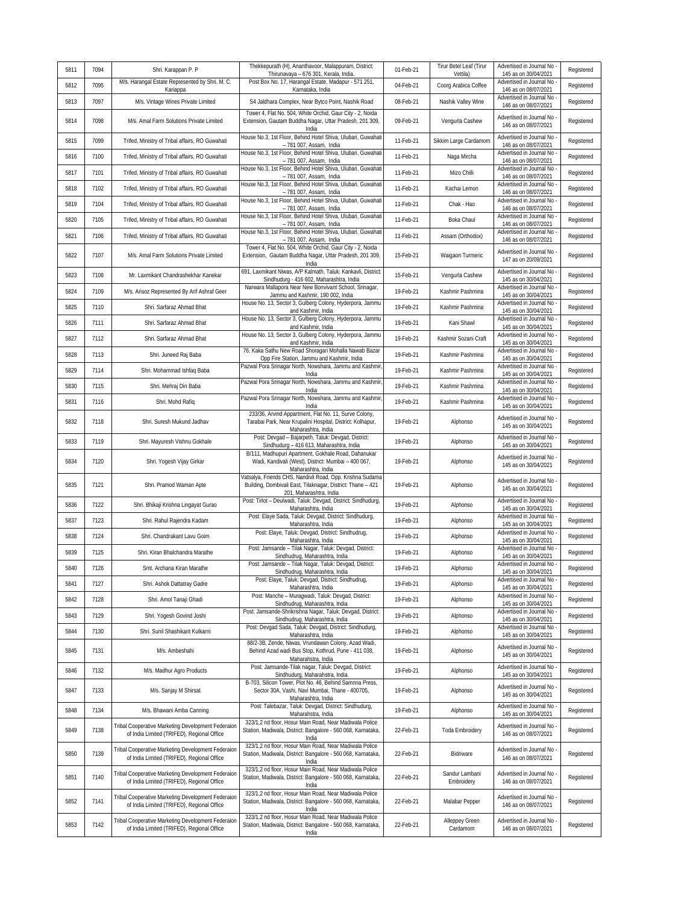| 5811 | 7094 | Shri. Karappan P. P                                                                              | Thekkepurath (H), Ananthavoor, Malappuram, District:<br>Thirunavaya - 676 301, Kerala, India.                                          | 01-Feb-21 | Tirur Betel Leaf (Tirur<br>Vettila) | Advertised in Journal No<br>145 as on 30/04/2021                         | Registered |
|------|------|--------------------------------------------------------------------------------------------------|----------------------------------------------------------------------------------------------------------------------------------------|-----------|-------------------------------------|--------------------------------------------------------------------------|------------|
| 5812 | 7095 | M/s. Harangal Estate Represented by Shri. M. C.<br>Kariappa                                      | Post Box No. 17, Harangal Estate, Madapur - 571 251,<br>Karnataka, India                                                               | 04-Feb-21 | Coorg Arabica Coffee                | Advertised in Journal No<br>146 as on 08/07/2021                         | Registered |
| 5813 | 7097 | M/s. Vintage Wines Private Limited                                                               | S4 Jaldhara Complex, Near Bytco Point, Nashik Road                                                                                     | 08-Feb-21 | Nashik Valley Wine                  | Advertised in Journal No<br>146 as on 08/07/2021                         | Registered |
| 5814 | 7098 | M/s. Amal Farm Solutions Private Limited                                                         | Tower 4, Flat No. 504, White Orchid, Gaur City - 2, Noida<br>Extension, Gautam Buddha Nagar, Uttar Pradesh, 201 309,<br>India          | 09-Feb-21 | Vengurla Cashew                     | Advertised in Journal No<br>146 as on 08/07/2021                         | Registered |
| 5815 | 7099 | Trifed, Ministry of Tribal affairs, RO Guwahati                                                  | House No.3, 1st Floor, Behind Hotel Shiva, Ulubari, Guwahati<br>- 781 007, Assam, India                                                | 11-Feb-21 | Sikkim Large Cardamom               | Advertised in Journal No<br>146 as on 08/07/2021                         | Registered |
| 5816 | 7100 | Trifed, Ministry of Tribal affairs, RO Guwahati                                                  | House No.3, 1st Floor, Behind Hotel Shiva, Ulubari, Guwahati<br>- 781 007, Assam, India                                                | 11-Feb-21 | Naga Mircha                         | Advertised in Journal No<br>146 as on 08/07/2021                         | Registered |
| 5817 | 7101 | Trifed, Ministry of Tribal affairs, RO Guwahati                                                  | House No.3, 1st Floor, Behind Hotel Shiva, Ulubari, Guwahati<br>- 781 007. Assam. India                                                | 11-Feb-21 | Mizo Chilli                         | Advertised in Journal No<br>146 as on 08/07/2021                         | Registered |
| 5818 | 7102 | Trifed, Ministry of Tribal affairs, RO Guwahati                                                  | House No.3, 1st Floor, Behind Hotel Shiva, Ulubari, Guwahati<br>- 781 007, Assam, India                                                | 11-Feb-21 | Kachai Lemon                        | Advertised in Journal No<br>146 as on 08/07/2021                         | Registered |
| 5819 | 7104 | Trifed, Ministry of Tribal affairs, RO Guwahati                                                  | House No.3, 1st Floor, Behind Hotel Shiva, Ulubari, Guwahati<br>- 781 007, Assam, India                                                | 11-Feb-21 | Chak - Hao                          | Advertised in Journal No<br>146 as on 08/07/2021                         | Registered |
| 5820 | 7105 | Trifed, Ministry of Tribal affairs, RO Guwahati                                                  | House No.3, 1st Floor, Behind Hotel Shiva, Ulubari, Guwahati<br>- 781 007, Assam, India                                                | 11-Feb-21 | Boka Chaul                          | Advertised in Journal No<br>146 as on 08/07/2021                         | Registered |
| 5821 | 7106 | Trifed, Ministry of Tribal affairs, RO Guwahati                                                  | House No.3, 1st Floor, Behind Hotel Shiva, Ulubari, Guwahati<br>- 781 007, Assam, India                                                | 11-Feb-21 | Assam (Orthodox)                    | Advertised in Journal No<br>146 as on 08/07/2021                         | Registered |
| 5822 | 7107 | M/s. Amal Farm Solutions Private Limited                                                         | Tower 4, Flat No. 504, White Orchid, Gaur City - 2, Noida<br>Extension, Gautam Buddha Nagar, Uttar Pradesh, 201 309,                   | 15-Feb-21 | Waigaon Turmeric                    | Advertised in Journal No                                                 | Registered |
|      |      |                                                                                                  | India<br>691, Laxmikant Niwas, A/P Kalmath, Taluk: Kankavli, District:                                                                 |           |                                     | 147 as on 20/09/2021<br>Advertised in Journal No                         |            |
| 5823 | 7108 | Mr. Laxmikant Chandrashekhar Kanekar                                                             | Sindhudurg - 416 602, Maharashtra, India<br>Narwara Mallapora Near New Bonvivant School, Srinagar,                                     | 15-Feb-21 | Vengurla Cashew                     | 145 as on 30/04/2021<br>Advertised in Journal No                         | Registered |
| 5824 | 7109 | M/s. Arisoz Represented By Arif Ashraf Geer                                                      | Jammu and Kashmir, 190 002, India                                                                                                      | 19-Feb-21 | Kashmir Pashmina                    | 145 as on 30/04/2021<br>Advertised in Journal No                         | Registered |
| 5825 | 7110 | Shri. Sarfaraz Ahmad Bhat                                                                        | House No. 13, Sector 3, Gulberg Colony, Hyderpora, Jammu<br>and Kashmir, India                                                         | 19-Feb-21 | Kashmir Pashmina                    | 145 as on 30/04/2021                                                     | Registered |
| 5826 | 7111 | Shri. Sarfaraz Ahmad Bhat                                                                        | House No. 13, Sector 3, Gulberg Colony, Hyderpora, Jammu<br>and Kashmir, India                                                         | 19-Feb-21 | Kani Shawl                          | Advertised in Journal No<br>145 as on 30/04/2021                         | Registered |
| 5827 | 7112 | Shri. Sarfaraz Ahmad Bhat                                                                        | House No. 13, Sector 3, Gulberg Colony, Hyderpora, Jammu<br>and Kashmir, India                                                         | 19-Feb-21 | Kashmir Sozani Craft                | Advertised in Journal No<br>145 as on 30/04/2021                         | Registered |
| 5828 | 7113 | Shri. Juneed Raj Baba                                                                            | 76, Kaka Sathu New Road Shoragari Mohalla Nawab Bazar<br>Opp Fire Station, Jammu and Kashmir, India                                    | 19-Feb-21 | Kashmir Pashmina                    | Advertised in Journal No<br>145 as on 30/04/2021                         | Registered |
| 5829 | 7114 | Shri. Mohammad Ishfaq Baba                                                                       | Pazwal Pora Srinagar North, Nowshara, Jammu and Kashmir,<br>India                                                                      | 19-Feb-21 | Kashmir Pashmina                    | Advertised in Journal No<br>145 as on 30/04/2021                         | Registered |
| 5830 | 7115 | Shri. Mehraj Din Baba                                                                            | Pazwal Pora Srinagar North, Nowshara, Jammu and Kashmir,                                                                               | 19-Feb-21 | Kashmir Pashmina                    | Advertised in Journal No                                                 | Registered |
| 5831 | 7116 | Shri. Mohd Rafiq                                                                                 | India<br>Pazwal Pora Srinagar North, Nowshara, Jammu and Kashmir,<br>India                                                             | 19-Feb-21 | Kashmir Pashmina                    | 145 as on 30/04/2021<br>Advertised in Journal No<br>145 as on 30/04/2021 | Registered |
| 5832 | 7118 | Shri. Suresh Mukund Jadhav                                                                       | 233/36, Arvind Appartment, Flat No. 11, Surve Colony,<br>Tarabai Park, Near Krupalini Hospital, District: Kolhapur,                    | 19-Feb-21 | Alphonso                            | Advertised in Journal No                                                 | Registered |
|      |      |                                                                                                  | Maharashtra, India<br>Post: Devgad - Bajarpeth, Taluk: Devgad, District:                                                               |           |                                     | 145 as on 30/04/2021<br>Advertised in Journal No                         |            |
| 5833 | 7119 | Shri. Mayuresh Vishnu Gokhale                                                                    | Sindhudurg - 416 613, Maharashtra, India<br>B/111, Madhupuri Apartment, Gokhale Road, Dahanukar                                        | 19-Feb-21 | Alphonso                            | 145 as on 30/04/2021                                                     | Registered |
| 5834 | 7120 | Shri. Yogesh Vijay Girkar                                                                        | Wadi, Kandivali (West), District: Mumbai - 400 067,<br>Maharashtra, India<br>Vatsalya, Friends CHS, Nandivli Road, Opp. Krishna Sudama | 19-Feb-21 | Alphonso                            | Advertised in Journal No<br>145 as on 30/04/2021                         | Registered |
| 5835 | 7121 | Shri. Pramod Waman Apte                                                                          | Building, Dombivali East, Tilaknagar, District: Thane - 421<br>201, Maharashtra, India                                                 | 19-Feb-21 | Alphonso                            | Advertised in Journal No<br>145 as on 30/04/2021                         | Registered |
| 5836 | 7122 | Shri. Bhikaji Krishna Lingayat Gurao                                                             | Post: Tirlot - Deulwadi, Taluk: Devgad, District: Sindhudurg,<br>Maharashtra, India                                                    | 19-Feb-21 | Alphonso                            | Advertised in Journal No<br>145 as on 30/04/2021                         | Registered |
| 5837 | 7123 | Shri. Rahul Rajendra Kadam                                                                       | Post: Elaye Sada, Taluk: Devgad, District: Sindhudurg,<br>Maharashtra, India                                                           | 19-Feb-21 | Alphonso                            | Advertised in Journal No<br>145 as on 30/04/2021                         | Registered |
| 5838 | 7124 | Shri. Chandrakant Lavu Goim                                                                      | Post: Elaye, Taluk: Devgad, District: Sindhudrug,<br>Maharashtra, India                                                                | 19-Feb-21 | Alphonso                            | Advertised in Journal No<br>145 as on 30/04/2021                         | Registered |
| 5839 | 7125 | Shri. Kiran Bhalchandra Marathe                                                                  | Post: Jamsande - Tilak Nagar, Taluk: Devgad, District:<br>Sindhudrug, Maharashtra, India                                               | 19-Feb-21 | Alphonso                            | Advertised in Journal No<br>145 as on 30/04/2021                         | Registered |
| 5840 | 7126 | Smt. Archana Kiran Marathe                                                                       | Post: Jamsande - Tilak Nagar, Taluk: Devgad, District:<br>Sindhudrug, Maharashtra, India                                               | 19-Feb-21 | Alphonso                            | Advertised in Journal No<br>145 as on 30/04/2021                         | Registered |
| 5841 | 7127 | Shri. Ashok Dattatray Gadre                                                                      | Post: Elaye, Taluk: Devgad, District: Sindhudrug,<br>Maharashtra, India                                                                | 19-Feb-21 | Alphonso                            | Advertised in Journal No<br>145 as on 30/04/2021                         | Registered |
| 5842 | 7128 | Shri. Amol Tanaji Ghadi                                                                          | Post: Manche - Muragwadi, Taluk: Devgad, District:                                                                                     | 19-Feb-21 | Alphonso                            | Advertised in Journal No                                                 | Registered |
| 5843 | 7129 | Shri. Yogesh Govind Joshi                                                                        | Sindhudrug, Maharashtra, India<br>Post: Jamsande-Shrikrishna Nagar, Taluk: Devgad, District:                                           | 19-Feb-21 | Alphonso                            | 145 as on 30/04/2021<br>Advertised in Journal No                         | Registered |
| 5844 | 7130 | Shri. Sunil Shashikant Kulkarni                                                                  | Sindhudrug, Maharashtra, India<br>Post: Devgad Sada, Taluk: Devgad, District: Sindhudurg,                                              | 19-Feb-21 | Alphonso                            | 145 as on 30/04/2021<br>Advertised in Journal No                         | Registered |
|      |      |                                                                                                  | Maharashtra, India<br>88/2-3B, Zende, Niwas, Vrundawan Colony, Azad Wadi,                                                              |           |                                     | 145 as on 30/04/2021<br>Advertised in Journal No                         |            |
| 5845 | 7131 | M/s. Ambeshahi                                                                                   | Behind Azad wadi Bus Stop, Kothrud, Pune - 411 038,<br>Maharahstra, India                                                              | 19-Feb-21 | Alphonso                            | 145 as on 30/04/2021                                                     | Registered |
| 5846 | 7132 | M/s. Madhur Agro Products                                                                        | Post: Jamsande-Tilak nagar, Taluk: Devgad, District:<br>Sindhudurg, Maharahstra, India                                                 | 19-Feb-21 | Alphonso                            | Advertised in Journal No -<br>145 as on 30/04/2021                       | Registered |
| 5847 | 7133 | M/s. Sanjay M Shirsat                                                                            | B-703, Silicon Tower, Plot No. 46, Behind Samnna Press,<br>Sector 30A, Vashi, Navi Mumbai, Thane - 400705,<br>Maharashtra, India       | 19-Feb-21 | Alphonso                            | Advertised in Journal No<br>145 as on 30/04/2021                         | Registered |
| 5848 | 7134 | M/s. Bhawani Amba Canning                                                                        | Post: Talebazar, Taluk: Devgad, District: Sindhudurg,<br>Maharahstra, India                                                            | 19-Feb-21 | Alphonso                            | Advertised in Journal No<br>145 as on 30/04/2021                         | Registered |
| 5849 | 7138 | Tribal Cooperative Marketing Development Federaion<br>of India Limited (TRIFED), Regional Office | 323/1,2 nd floor, Hosur Main Road, Near Madiwala Police<br>Station, Madiwala, District: Bangalore - 560 068, Karnataka,<br>India       | 22-Feb-21 | <b>Toda Embroidery</b>              | Advertised in Journal No -<br>146 as on 08/07/2021                       | Registered |
| 5850 | 7139 | Tribal Cooperative Marketing Development Federaion<br>of India Limited (TRIFED), Regional Office | 323/1,2 nd floor, Hosur Main Road, Near Madiwala Police<br>Station, Madiwala, District: Bangalore - 560 068, Karnataka,<br>India       | 22-Feb-21 | Bidriware                           | Advertised in Journal No<br>146 as on 08/07/2021                         | Registered |
| 5851 | 7140 | Tribal Cooperative Marketing Development Federaion<br>of India Limited (TRIFED), Regional Office | 323/1,2 nd floor, Hosur Main Road, Near Madiwala Police<br>Station, Madiwala, District: Bangalore - 560 068, Karnataka,<br>India       | 22-Feb-21 | Sandur Lambani<br>Embroidery        | Advertised in Journal No<br>146 as on 08/07/2021                         | Registered |
| 5852 | 7141 | Tribal Cooperative Marketing Development Federaion<br>of India Limited (TRIFED), Regional Office | 323/1,2 nd floor, Hosur Main Road, Near Madiwala Police<br>Station, Madiwala, District: Bangalore - 560 068, Karnataka,<br>India       | 22-Feb-21 | Malabar Pepper                      | Advertised in Journal No<br>146 as on 08/07/2021                         | Registered |
| 5853 | 7142 | Tribal Cooperative Marketing Development Federaion<br>of India Limited (TRIFED), Regional Office | 323/1,2 nd floor, Hosur Main Road, Near Madiwala Police<br>Station, Madiwala, District: Bangalore - 560 068, Karnataka,<br>India       | 22-Feb-21 | Alleppey Green<br>Cardamom          | Advertised in Journal No<br>146 as on 08/07/2021                         | Registered |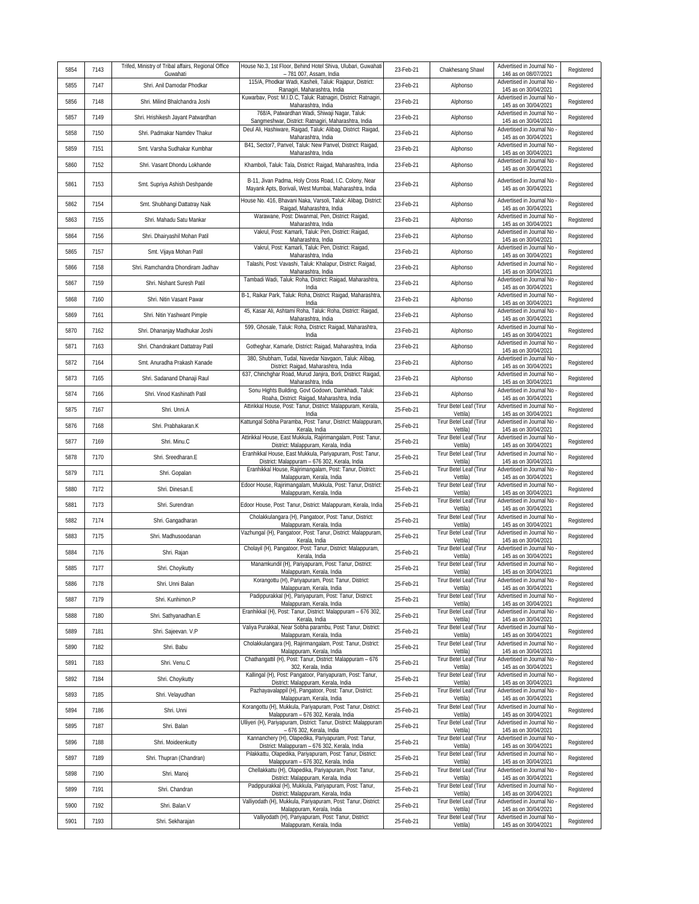| 5854 | 7143 | Trifed, Ministry of Tribal affairs, Regional Office<br>Guwahati | House No.3, 1st Floor, Behind Hotel Shiva, Ulubari, Guwahati<br>- 781 007, Assam, India                                | 23-Feb-21 | Chakhesang Shawl                    | Advertised in Journal No<br>146 as on 08/07/2021                         | Registered |
|------|------|-----------------------------------------------------------------|------------------------------------------------------------------------------------------------------------------------|-----------|-------------------------------------|--------------------------------------------------------------------------|------------|
| 5855 | 7147 | Shri. Anil Damodar Phodkar                                      | 115/A, Phodkar Wadi, Kasheli, Taluk: Rajapur, District:<br>Ranagiri, Maharashtra, India                                | 23-Feb-21 | Alphonso                            | Advertised in Journal No<br>145 as on 30/04/2021                         | Registered |
| 5856 | 7148 | Shri. Milind Bhalchandra Joshi                                  | Kuwarbav, Post: M.I.D.C, Taluk: Ratnagiri, District: Ratnagiri,<br>Maharashtra, India                                  | 23-Feb-21 | Alphonso                            | Advertised in Journal No<br>145 as on 30/04/2021                         | Registered |
| 5857 | 7149 | Shri. Hrishikesh Jayant Patwardhan                              | 768/A, Patwardhan Wadi, Shiwaji Nagar, Taluk:<br>Sangmeshwar, District: Ratnagiri, Maharashtra, India                  | 23-Feb-21 | Alphonso                            | Advertised in Journal No<br>145 as on 30/04/2021                         | Registered |
| 5858 | 7150 | Shri. Padmakar Namdev Thakur                                    | Deul Ali, Hashiware, Raigad, Taluk: Alibag, District: Raigad,<br>Maharashtra, India                                    | 23-Feb-21 | Alphonso                            | Advertised in Journal No<br>145 as on 30/04/2021                         | Registered |
| 5859 | 7151 | Smt. Varsha Sudhakar Kumbhar                                    | B41, Sector7, Panvel, Taluk: New Panvel, District: Raigad,<br>Maharashtra, India                                       | 23-Feb-21 | Alphonso                            | Advertised in Journal No<br>145 as on 30/04/2021                         | Registered |
| 5860 | 7152 | Shri. Vasant Dhondu Lokhande                                    | Khamboli, Taluk: Tala, District: Raigad, Maharashtra, India                                                            | 23-Feb-21 | Alphonso                            | Advertised in Journal No<br>145 as on 30/04/2021                         | Registered |
| 5861 | 7153 | Smt. Supriya Ashish Deshpande                                   | B-11, Jivan Padma, Holy Cross Road, I.C. Colony, Near<br>Mayank Apts, Borivali, West Mumbai, Maharashtra, India        | 23-Feb-21 | Alphonso                            | Advertised in Journal No<br>145 as on 30/04/2021                         | Registered |
| 5862 | 7154 | Smt. Shubhangi Dattatray Naik                                   | House No. 416, Bhavani Naka, Varsoli, Taluk: Alibag, District:<br>Raigad, Maharashtra, India                           | 23-Feb-21 | Alphonso                            | Advertised in Journal No<br>145 as on 30/04/2021                         | Registered |
| 5863 | 7155 | Shri. Mahadu Satu Mankar                                        | Warawane, Post: Diwanmal, Pen, District: Raigad,<br>Maharashtra, India                                                 | 23-Feb-21 | Alphonso                            | Advertised in Journal No<br>145 as on 30/04/2021                         | Registered |
| 5864 | 7156 | Shri. Dhairyashil Mohan Patil                                   | Vakrul, Post: Kamarli, Taluk: Pen, District: Raigad,<br>Maharashtra, India                                             | 23-Feb-21 | Alphonso                            | Advertised in Journal No<br>145 as on 30/04/2021                         | Registered |
| 5865 | 7157 | Smt. Vijaya Mohan Patil                                         | Vakrul, Post: Kamarli, Taluk: Pen, District: Raigad,<br>Maharashtra, India                                             | 23-Feb-21 | Alphonso                            | Advertised in Journal No<br>145 as on 30/04/2021                         | Registered |
| 5866 | 7158 | Shri. Ramchandra Dhondiram Jadhav                               | Talashi, Post: Vavashi, Taluk: Khalapur, District: Raigad,<br>Maharashtra, India                                       | 23-Feb-21 | Alphonso                            | Advertised in Journal No<br>145 as on 30/04/2021                         | Registered |
| 5867 | 7159 | Shri. Nishant Suresh Patil                                      | Tambadi Wadi, Taluk: Roha, District: Raigad, Maharashtra,<br>India                                                     | 23-Feb-21 | Alphonso                            | Advertised in Journal No<br>145 as on 30/04/2021                         | Registered |
| 5868 | 7160 | Shri. Nitin Vasant Pawar                                        | B-1, Raikar Park, Taluk: Roha, District: Raigad, Maharashtra,<br>India                                                 | 23-Feb-21 | Alphonso                            | Advertised in Journal No<br>145 as on 30/04/2021                         | Registered |
| 5869 | 7161 | Shri. Nitin Yashwant Pimple                                     | 45, Kasar Ali, Ashtami Roha, Taluk: Roha, District: Raigad,<br>Maharashtra, India                                      | 23-Feb-21 | Alphonso                            | Advertised in Journal No<br>145 as on 30/04/2021                         | Registered |
| 5870 | 7162 | Shri. Dhananjay Madhukar Joshi                                  | 599, Ghosale, Taluk: Roha, District: Raigad, Maharashtra,<br>India                                                     | 23-Feb-21 | Alphonso                            | Advertised in Journal No<br>145 as on 30/04/2021                         | Registered |
| 5871 | 7163 | Shri. Chandrakant Dattatray Patil                               | Gotheghar, Kamarle, District: Raigad, Maharashtra, India                                                               | 23-Feb-21 | Alphonso                            | Advertised in Journal No<br>145 as on 30/04/2021                         | Registered |
| 5872 | 7164 | Smt. Anuradha Prakash Kanade                                    | 380, Shubham, Tudal, Navedar Navqaon, Taluk: Alibaq,<br>District: Raigad, Maharashtra, India                           | 23-Feb-21 | Alphonso                            | Advertised in Journal No<br>145 as on 30/04/2021                         | Registered |
| 5873 | 7165 | Shri. Sadanand Dhanaji Raul                                     | 637, Chinchghar Road, Murud Janjira, Borli, District: Raigad,<br>Maharashtra, India                                    | 23-Feb-21 | Alphonso                            | Advertised in Journal No<br>145 as on 30/04/2021                         | Registered |
| 5874 | 7166 | Shri. Vinod Kashinath Patil                                     | Sonu Hights Building, Govt Godown, Damkhadi, Taluk:<br>Roaha, District: Raigad, Maharashtra, India                     | 23-Feb-21 | Alphonso                            | Advertised in Journal No<br>145 as on 30/04/2021                         | Registered |
| 5875 | 7167 | Shri. Unni.A                                                    | Attirikkal House, Post: Tanur, District: Malappuram, Kerala,<br>India                                                  | 25-Feb-21 | Tirur Betel Leaf (Tirur<br>Vettila) | Advertised in Journal No<br>145 as on 30/04/2021                         | Registered |
| 5876 | 7168 | Shri. Prabhakaran.K                                             | Kattungal Sobha Paramba, Post: Tanur, District: Malappuram<br>Kerala, India                                            | 25-Feb-21 | Tirur Betel Leaf (Tirur<br>Vettila) | Advertised in Journal No<br>145 as on 30/04/2021                         | Registered |
| 5877 | 7169 | Shri. Minu.C                                                    | Attirikkal House, East Mukkula, Rajirimangalam, Post: Tanur,<br>District: Malappuram, Kerala, India                    | 25-Feb-21 | Tirur Betel Leaf (Tirur<br>Vettila) | Advertised in Journal No<br>145 as on 30/04/2021                         | Registered |
| 5878 | 7170 | Shri. Sreedharan.E                                              | Eranhikkal House, East Mukkula, Pariyapuram, Post: Tanur,<br>District: Malappuram - 676 302, Kerala, India             | 25-Feb-21 | Tirur Betel Leaf (Tirur<br>Vettila) | Advertised in Journal No<br>145 as on 30/04/2021                         | Registered |
| 5879 | 7171 | Shri. Gopalan                                                   | Eranhikkal House, Rajirimangalam, Post: Tanur, District:<br>Malappuram, Kerala, India                                  | 25-Feb-21 | Tirur Betel Leaf (Tirur<br>Vettila) | Advertised in Journal No<br>145 as on 30/04/2021                         | Registered |
| 5880 | 7172 | Shri. Dinesan.E                                                 | Edoor House, Rajirimangalam, Mukkula, Post: Tanur, District:<br>Malappuram, Kerala, India                              | 25-Feb-21 | Tirur Betel Leaf (Tirur<br>Vettila) | Advertised in Journal No<br>145 as on 30/04/2021                         | Registered |
| 5881 | 7173 | Shri. Surendran                                                 | Edoor House, Post: Tanur, District: Malappuram, Kerala, India                                                          | 25-Feb-21 | Tirur Betel Leaf (Tirur<br>Vettila) | Advertised in Journal No<br>145 as on 30/04/2021                         | Registered |
| 5882 | 7174 | Shri. Gangadharan                                               | Cholakkulangara (H), Pangatoor, Post: Tanur, District:<br>Malappuram, Kerala, India                                    | 25-Feb-21 | Tirur Betel Leaf (Tirur<br>Vettila) | Advertised in Journal No<br>145 as on 30/04/2021                         | Registered |
| 5883 | 7175 | Shri. Madhusoodanan                                             | Vazhungal (H), Pangatoor, Post: Tanur, District: Malappuram,<br>Kerala, India                                          | 25-Feb-21 | Tirur Betel Leaf (Tirur<br>Vettila) | Advertised in Journal No<br>145 as on 30/04/2021                         | Registered |
| 5884 | 7176 | Shri. Rajan                                                     | Cholayil (H), Pangatoor, Post: Tanur, District: Malappuram,<br>Kerala, India                                           | 25-Feb-21 | Tirur Betel Leaf (Tirur<br>Vettila) | Advertised in Journal No<br>145 as on 30/04/2021                         | Registered |
| 5885 | 7177 | Shri. Choyikutty                                                | Manamkundil (H), Pariyapuram, Post: Tanur, District:<br>Malappuram. Kerala. India                                      | 25-Feb-21 | Tirur Betel Leaf (Tirur<br>Vettila) | Advertised in Journal No<br>145 as on 30/04/2021                         | Registered |
| 5886 | 7178 | Shri. Unni Balan                                                | Korangottu (H), Pariyapuram, Post: Tanur, District:<br>Malappuram, Kerala, India                                       | 25-Feb-21 | Tirur Betel Leaf (Tirur<br>Vettila) | Advertised in Journal No<br>145 as on 30/04/2021                         | Registered |
| 5887 | 7179 | Shri. Kunhimon.P                                                | Padippurakkal (H), Pariyapuram, Post: Tanur, District:<br>Malappuram, Kerala, India                                    | 25-Feb-21 | Tirur Betel Leaf (Tirur<br>Vettila) | Advertised in Journal No<br>145 as on 30/04/2021                         | Registered |
| 5888 | 7180 | Shri. Sathyanadhan.E                                            | Eranhikkal (H), Post: Tanur, District: Malappuram - 676 302,<br>Kerala, India                                          | 25-Feb-21 | Tirur Betel Leaf (Tirur<br>Vettila) | Advertised in Journal No<br>145 as on 30/04/2021                         | Registered |
| 5889 | 7181 | Shri. Sajeevan. V.P                                             | Valiya Purakkal, Near Sobha parambu, Post: Tanur, District:<br>Malappuram, Kerala, India                               | 25-Feb-21 | Tirur Betel Leaf (Tirur<br>Vettila) | Advertised in Journal No<br>145 as on 30/04/2021                         | Registered |
| 5890 | 7182 | Shri. Babu                                                      | Cholakkulangara (H), Rajirimangalam, Post: Tanur, District:<br>Malappuram, Kerala, India                               | 25-Feb-21 | Tirur Betel Leaf (Tirur<br>Vettila) | Advertised in Journal No -<br>145 as on 30/04/2021                       | Registered |
| 5891 | 7183 | Shri. Venu.C                                                    | Chathangattil (H), Post: Tanur, District: Malappuram - 676                                                             | 25-Feb-21 | Tirur Betel Leaf (Tirur<br>Vettila) | Advertised in Journal No                                                 | Registered |
| 5892 | 7184 | Shri. Choyikutty                                                | 302, Kerala, India<br>Kallingal (H), Post: Pangatoor, Pariyapuram, Post: Tanur,<br>District: Malappuram, Kerala, India | 25-Feb-21 | Tirur Betel Leaf (Tirur<br>Vettila) | 145 as on 30/04/2021<br>Advertised in Journal No<br>145 as on 30/04/2021 | Registered |
| 5893 | 7185 | Shri. Velayudhan                                                | Pazhayavalappil (H), Pangatoor, Post: Tanur, District:<br>Malappuram, Kerala, India                                    | 25-Feb-21 | Tirur Betel Leaf (Tirur<br>Vettila) | Advertised in Journal No<br>145 as on 30/04/2021                         | Registered |
| 5894 | 7186 | Shri. Unni                                                      | Korangottu (H), Mukkula, Pariyapuram, Post: Tanur, District:                                                           | 25-Feb-21 | Tirur Betel Leaf (Tirur             | Advertised in Journal No                                                 | Registered |
| 5895 | 7187 | Shri. Balan                                                     | Malappuram - 676 302, Kerala, India<br>Ulliyeri (H), Pariyapuram, District: Tanur, District: Malappuram                | 25-Feb-21 | Vettila)<br>Tirur Betel Leaf (Tirur | 145 as on 30/04/2021<br>Advertised in Journal No                         | Registered |
| 5896 | 7188 | Shri. Moideenkutty                                              | - 676 302, Kerala, India<br>Kannanchery (H), Olapedika, Pariyapuram, Post: Tanur,                                      | 25-Feb-21 | Vettila)<br>Tirur Betel Leaf (Tirur | 145 as on 30/04/2021<br>Advertised in Journal No                         | Registered |
| 5897 | 7189 | Shri. Thupran (Chandran)                                        | District: Malappuram - 676 302, Kerala, India<br>Pilakkattu, Olapedika, Pariyapuram, Post: Tanur, District:            | 25-Feb-21 | Vettila)<br>Tirur Betel Leaf (Tirur | 145 as on 30/04/2021<br>Advertised in Journal No                         | Registered |
| 5898 | 7190 | Shri. Manoj                                                     | Malappuram - 676 302, Kerala, India<br>Chellakkattu (H), Olapedika, Pariyapuram, Post: Tanur,                          | 25-Feb-21 | Vettila)<br>Tirur Betel Leaf (Tirur | 145 as on 30/04/2021<br>Advertised in Journal No                         | Registered |
| 5899 | 7191 | Shri. Chandran                                                  | District: Malappuram, Kerala, India<br>Padippurakkal (H), Mukkula, Pariyapuram, Post: Tanur,                           | 25-Feb-21 | Vettila)<br>Tirur Betel Leaf (Tirur | 145 as on 30/04/2021<br>Advertised in Journal No                         | Registered |
| 5900 | 7192 | Shri. Balan.V                                                   | District: Malappuram, Kerala, India<br>Valliyodath (H), Mukkula, Pariyapuram, Post: Tanur, District:                   | 25-Feb-21 | Vettila)<br>Tirur Betel Leaf (Tirur | 145 as on 30/04/2021<br>Advertised in Journal No                         | Registered |
| 5901 | 7193 | Shri. Sekharajan                                                | Malappuram, Kerala, India<br>Valliyodath (H), Pariyapuram, Post: Tanur, District:                                      | 25-Feb-21 | Vettila)<br>Tirur Betel Leaf (Tirur | 145 as on 30/04/2021<br>Advertised in Journal No                         | Registered |
|      |      |                                                                 | Malappuram, Kerala, India                                                                                              |           | Vettila)                            | 145 as on 30/04/2021                                                     |            |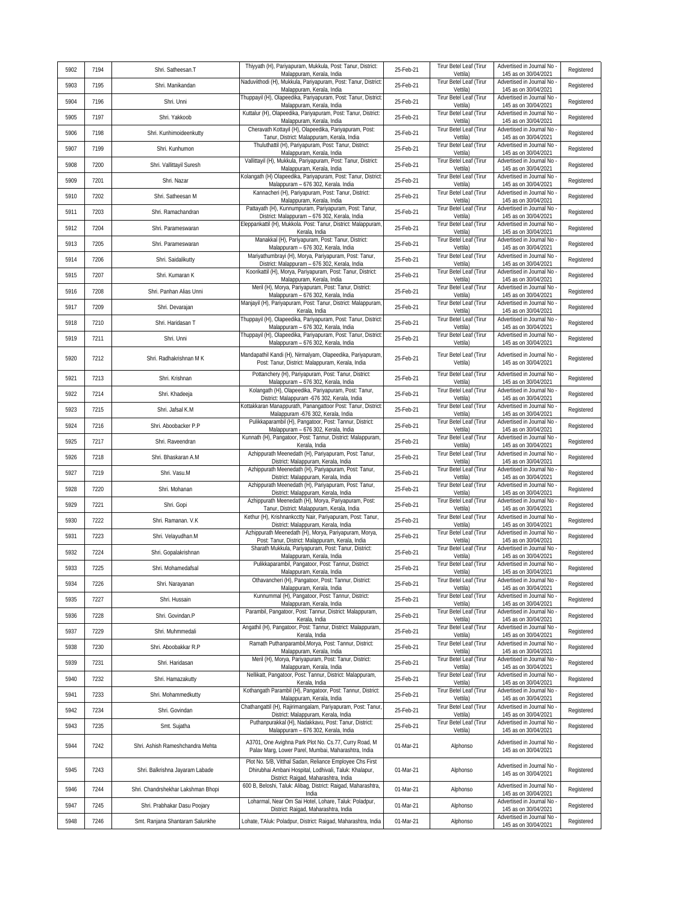| 5902 | 7194 | Shri. Satheesan.T                  | Thiyyath (H), Pariyapuram, Mukkula, Post: Tanur, District:<br>Malappuram, Kerala, India                                                             | 25-Feb-21 | Tirur Betel Leaf (Tirur<br>Vettila)        | Advertised in Journal No<br>145 as on 30/04/2021                           | Registered |
|------|------|------------------------------------|-----------------------------------------------------------------------------------------------------------------------------------------------------|-----------|--------------------------------------------|----------------------------------------------------------------------------|------------|
| 5903 | 7195 | Shri. Manikandan                   | Naduviithodi (H), Mukkula, Pariyapuram, Post: Tanur, District:<br>Malappuram, Kerala, India                                                         | 25-Feb-21 | Tirur Betel Leaf (Tirur<br>Vettila)        | Advertised in Journal No<br>145 as on 30/04/2021                           | Registered |
| 5904 | 7196 | Shri. Unni                         | Thuppayil (H), Olapeedika, Pariyapuram, Post: Tanur, District:<br>Malappuram, Kerala, India                                                         | 25-Feb-21 | <b>Tirur Betel Leaf (Tirur</b><br>Vettila) | Advertised in Journal No<br>145 as on 30/04/2021                           | Registered |
| 5905 | 7197 | Shri. Yakkoob                      | Kuttalur (H), Olapeedika, Pariyapuram, Post: Tanur, District:<br>Malappuram, Kerala, India                                                          | 25-Feb-21 | Tirur Betel Leaf (Tirur<br>Vettila)        | Advertised in Journal No<br>145 as on 30/04/2021                           | Registered |
| 5906 | 7198 | Shri. Kunhimoideenkutty            | Cheravath Kottayil (H), Olapeedika, Pariyapuram, Post:<br>Tanur, District: Malappuram, Kerala, India                                                | 25-Feb-21 | Tirur Betel Leaf (Tirur<br>Vettila)        | Advertised in Journal No<br>145 as on 30/04/2021                           | Registered |
| 5907 | 7199 | Shri. Kunhumon                     | Thuluthattil (H), Pariyapuram, Post: Tanur, District:<br>Malappuram, Kerala, India                                                                  | 25-Feb-21 | Tirur Betel Leaf (Tirur<br>Vettila)        | Advertised in Journal No<br>145 as on 30/04/2021                           | Registered |
| 5908 | 7200 | Shri. Vallittayil Suresh           | Vallittayil (H), Mukkula, Pariyapuram, Post: Tanur, District:<br>Malappuram, Kerala, India                                                          | 25-Feb-21 | Tirur Betel Leaf (Tirur<br>Vettila)        | Advertised in Journal No<br>145 as on 30/04/2021                           | Registered |
| 5909 | 7201 | Shri. Nazar                        | Kolangath (H) Olapeedika, Pariyapuram, Post: Tanur, District:<br>Malappuram - 676 302, Kerala. India                                                | 25-Feb-21 | Tirur Betel Leaf (Tirur<br>Vettila)        | Advertised in Journal No<br>145 as on 30/04/2021                           | Registered |
| 5910 | 7202 | Shri. Satheesan M                  | Kannacheri (H), Pariyapuram, Post: Tanur, District:<br>Malappuram, Kerala, India                                                                    | 25-Feb-21 | Tirur Betel Leaf (Tirur<br>Vettila)        | Advertised in Journal No<br>145 as on 30/04/2021                           | Registered |
| 5911 | 7203 | Shri. Ramachandran                 | Pattayath (H), Kunnumpuram, Pariyapuram, Post: Tanur,<br>District: Malappuram - 676 302, Kerala, India                                              | 25-Feb-21 | Tirur Betel Leaf (Tirur<br>Vettila)        | Advertised in Journal No<br>145 as on 30/04/2021                           | Registered |
| 5912 | 7204 | Shri. Parameswaran                 | Eleppankattil (H), Mukkola. Post: Tanur, District: Malappuram,<br>Kerala, India                                                                     | 25-Feb-21 | Tirur Betel Leaf (Tirur<br>Vettila)        | Advertised in Journal No<br>145 as on 30/04/2021                           | Registered |
| 5913 | 7205 | Shri. Parameswaran                 | Manakkal (H), Pariyapuram, Post: Tanur, District:<br>Malappuram - 676 302, Kerala, India                                                            | 25-Feb-21 | Tirur Betel Leaf (Tirur<br>Vettila)        | Advertised in Journal No<br>145 as on 30/04/2021                           | Registered |
| 5914 | 7206 | Shri. Saidalikutty                 | Mariyathumbrayi (H), Morya, Pariyapuram, Post: Tanur,<br>District: Malappuram - 676 302, Kerala, India                                              | 25-Feb-21 | Tirur Betel Leaf (Tirur<br>Vettila)        | Advertised in Journal No<br>145 as on 30/04/2021                           | Registered |
| 5915 | 7207 | Shri. Kumaran K                    | Koorikattil (H), Morya, Pariyapuram, Post: Tanur, District:<br>Malappuram, Kerala, India                                                            | 25-Feb-21 | Tirur Betel Leaf (Tirur<br>Vettila)        | Advertised in Journal No<br>145 as on 30/04/2021                           | Registered |
| 5916 | 7208 | Shri. Panhan Alias Unni            | Meril (H), Morya, Pariyapuram, Post: Tanur, District:<br>Malappuram - 676 302, Kerala, India                                                        | 25-Feb-21 | Tirur Betel Leaf (Tirur<br>Vettila)        | Advertised in Journal No<br>145 as on 30/04/2021                           | Registered |
| 5917 | 7209 | Shri. Devarajan                    | Manjayil (H), Pariyapuram, Post: Tanur, District: Malappuram<br>Kerala, India                                                                       | 25-Feb-21 | Tirur Betel Leaf (Tirur<br>Vettila)        | Advertised in Journal No<br>145 as on 30/04/2021                           | Registered |
| 5918 | 7210 | Shri. Haridasan T                  | Thuppayil (H), Olapeedika, Pariyapuram, Post: Tanur, District:<br>Malappuram - 676 302, Kerala, India                                               | 25-Feb-21 | Tirur Betel Leaf (Tirur<br>Vettila)        | Advertised in Journal No<br>145 as on 30/04/2021                           | Registered |
| 5919 | 7211 | Shri. Unni                         | Thuppayil (H), Olapeedika, Pariyapuram, Post: Tanur, District:<br>Malappuram - 676 302, Kerala, India                                               | 25-Feb-21 | Tirur Betel Leaf (Tirur<br>Vettila)        | Advertised in Journal No<br>145 as on 30/04/2021                           | Registered |
| 5920 | 7212 | Shri. Radhakrishnan MK             | Mandapathil Kandi (H), Nirmalyam, Olapeedika, Pariyapuram,<br>Post: Tanur, District: Malappuram, Kerala, India                                      | 25-Feb-21 | Tirur Betel Leaf (Tirur<br>Vettila)        | Advertised in Journal No<br>145 as on 30/04/2021                           | Registered |
| 5921 | 7213 | Shri. Krishnan                     | Pottanchery (H), Pariyapuram, Post: Tanur, District:                                                                                                | 25-Feb-21 | Tirur Betel Leaf (Tirur                    | Advertised in Journal No                                                   | Registered |
| 5922 | 7214 | Shri. Khadeeja                     | Malappuram - 676 302, Kerala, India<br>Kolangath (H), Olapeedika, Pariyapuram, Post: Tanur,                                                         | 25-Feb-21 | Vettila)<br>Tirur Betel Leaf (Tirur        | 145 as on 30/04/2021<br>Advertised in Journal No                           | Registered |
| 5923 | 7215 | Shri. Jafsal K.M                   | District: Malappuram -676 302, Kerala, India<br>Kottakkaran Manappurath, Panangattoor Post: Tanur, District:                                        | 25-Feb-21 | Vettila)<br>Tirur Betel Leaf (Tirur        | 145 as on 30/04/2021<br>Advertised in Journal No                           | Registered |
| 5924 | 7216 | Shri. Aboobacker P.P               | Malappuram -676 302, Kerala, India<br>Pulikkaparambil (H), Pangatoor, Post: Tannur, District:                                                       | 25-Feb-21 | Vettila)<br>Tirur Betel Leaf (Tirur        | 145 as on 30/04/2021<br>Advertised in Journal No                           | Registered |
| 5925 | 7217 | Shri. Raveendran                   | Malappuram - 676 302, Kerala, India<br>Kunnath (H), Pangatoor, Post: Tannur, District: Malappuram,                                                  | 25-Feb-21 | Vettila)<br>Tirur Betel Leaf (Tirur        | 145 as on 30/04/2021<br>Advertised in Journal No                           | Registered |
| 5926 | 7218 | Shri. Bhaskaran A.M                | Kerala, India<br>Azhippurath Meenedath (H), Pariyapuram, Post: Tanur,                                                                               | 25-Feb-21 | Vettila)<br>Tirur Betel Leaf (Tirur        | 145 as on 30/04/2021<br>Advertised in Journal No                           | Registered |
| 5927 | 7219 | Shri. Vasu.M                       | District: Malappuram, Kerala, India<br>Azhippurath Meenedath (H), Pariyapuram, Post: Tanur,                                                         | 25-Feb-21 | Vettila)<br>Tirur Betel Leaf (Tirur        | 145 as on 30/04/2021<br>Advertised in Journal No                           | Registered |
| 5928 | 7220 | Shri. Mohanan                      | District: Malappuram, Kerala, India<br>Azhippurath Meenedath (H), Pariyapuram, Post: Tanur,                                                         | 25-Feb-21 | Vettila)<br>Tirur Betel Leaf (Tirur        | 145 as on 30/04/2021<br>Advertised in Journal No                           | Registered |
| 5929 | 7221 | Shri. Gopi                         | District: Malappuram, Kerala, India<br>Azhippurath Meenedath (H), Morya, Pariyapuram, Post:                                                         | 25-Feb-21 | Vettila)<br>Tirur Betel Leaf (Tirur        | 145 as on 30/04/2021<br>Advertised in Journal No                           | Registered |
| 5930 | 7222 | Shri. Ramanan. V.K                 | Tanur, District: Malappuram, Kerala, India<br>Kethur (H), Krishnankcctty Nair, Pariyapuram, Post: Tanur,                                            | 25-Feb-21 | Vettila)<br>Tirur Betel Leaf (Tirur        | 145 as on 30/04/2021<br>Advertised in Journal No                           | Registered |
| 5931 | 7223 | Shri. Velayudhan.M                 | District: Malappuram, Kerala, India<br>Azhippurath Meenedath (H), Morya, Pariyapuram, Morya,                                                        | 25-Feb-21 | Vettila)<br>Tirur Betel Leaf (Tirur        | 145 as on 30/04/2021<br>Advertised in Journal No                           | Registered |
| 5932 | 7224 | Shri. Gopalakrishnan               | Post: Tanur, District: Malappuram, Kerala, India<br>Sharath Mukkula, Pariyapuram, Post: Tanur, District:                                            | 25-Feb-21 | Vettila)<br>Tirur Betel Leaf (Tirur        | 145 as on 30/04/2021<br>Advertised in Journal No                           | Registered |
| 5933 | 7225 | Shri. Mohamedafsal                 | Malappuram, Kerala, India<br>Pulikkaparambil, Pangatoor, Post: Tannur, District:                                                                    | 25-Feb-21 | Vettila)<br>Tirur Betel Leaf (Tirur        | 145 as on 30/04/2021<br>Advertised in Journal No                           | Registered |
| 5934 | 7226 | Shri. Narayanan                    | Malappuram, Kerala, India<br>Othavancheri (H), Pangatoor, Post: Tannur, District:                                                                   | 25-Feb-21 | Vettila)<br>Tirur Betel Leaf (Tirur        | 145 as on 30/04/2021<br>Advertised in Journal No                           | Registered |
| 5935 | 7227 | Shri. Hussain                      | Malappuram, Kerala, India<br>Kunnummal (H), Pangatoor, Post: Tannur, District:                                                                      | 25-Feb-21 | Vettila)<br>Tirur Betel Leaf (Tirur        | 145 as on 30/04/2021<br>Advertised in Journal No                           | Registered |
| 5936 | 7228 | Shri. Govindan.P                   | Malappuram, Kerala, India<br>Parambil, Pangatoor, Post: Tannur, District: Malappuram,                                                               | 25-Feb-21 | Vettila)<br>Tirur Betel Leaf (Tirur        | 145 as on 30/04/2021<br>Advertised in Journal No                           | Registered |
| 5937 | 7229 | Shri. Muhmmedali                   | Kerala, India<br>Angathil (H), Pangatoor, Post: Tannur, District: Malappuram,                                                                       | 25-Feb-21 | Vettila)<br>Tirur Betel Leaf (Tirur        | 145 as on 30/04/2021<br>Advertised in Journal No                           | Registered |
| 5938 | 7230 | Shri. Aboobakkar R.P               | Kerala, India<br>Ramath Puthanparambil, Morya, Post: Tannur, District:                                                                              | 25-Feb-21 | Vettila)<br>Tirur Betel Leaf (Tirur        | 145 as on 30/04/2021<br>Advertised in Journal No                           | Registered |
| 5939 | 7231 | Shri. Haridasan                    | Malappuram, Kerala, India<br>Meril (H), Morya, Pariyapuram, Post: Tanur, District:                                                                  | 25-Feb-21 | Vettila)<br>Tirur Betel Leaf (Tirur        | 145 as on 30/04/2021<br>Advertised in Journal No                           | Registered |
| 5940 | 7232 | Shri. Hamazakutty                  | Malappuram, Kerala, India<br>Nellikatt, Pangatoor, Post: Tannur, District: Malappuram,                                                              | 25-Feb-21 | Vettila)<br>Tirur Betel Leaf (Tirur        | 145 as on 30/04/2021<br>Advertised in Journal No                           | Registered |
| 5941 | 7233 | Shri. Mohammedkutty                | Kerala, India<br>Kothangath Parambil (H), Pangatoor, Post: Tannur, District:                                                                        | 25-Feb-21 | Vettila)<br>Tirur Betel Leaf (Tirur        | 145 as on 30/04/2021<br>Advertised in Journal No                           | Registered |
| 5942 | 7234 | Shri. Govindan                     | Malappuram, Kerala, India<br>Chathangattil (H), Rajirimangalam, Pariyapuram, Post: Tanur,                                                           | 25-Feb-21 | Vettila)<br>Tirur Betel Leaf (Tirur        | 145 as on 30/04/2021<br>Advertised in Journal No                           | Registered |
| 5943 | 7235 | Smt. Sujatha                       | District: Malappuram, Kerala, India<br>Puthanpurakkal (H), Nadakkavu, Post: Tanur, District:                                                        | 25-Feb-21 | Vettila)<br>Tirur Betel Leaf (Tirur        | 145 as on 30/04/2021<br>Advertised in Journal No                           | Registered |
| 5944 | 7242 | Shri. Ashish Rameshchandra Mehta   | Malappuram - 676 302, Kerala, India<br>A3701, One Avighna Park Plot No. Cs.77, Curry Road, M<br>Palav Marg, Lower Parel, Mumbai, Maharashtra, India | 01-Mar-21 | Vettila)<br>Alphonso                       | 145 as on 30/04/2021<br>Advertised in Journal No -<br>145 as on 30/04/2021 | Registered |
| 5945 | 7243 | Shri. Balkrishna Jayaram Labade    | Plot No. 5/B, Vitthal Sadan, Reliance Employee Chs First<br>Dhirubhai Ambani Hospital, Lodhivali, Taluk: Khalapur,                                  | 01-Mar-21 | Alphonso                                   | Advertised in Journal No<br>145 as on 30/04/2021                           | Registered |
| 5946 | 7244 | Shri. Chandrshekhar Lakshman Bhopi | District: Raigad, Maharashtra, India<br>600 B, Beloshi, Taluk: Alibag, District: Raigad, Maharashtra,                                               | 01-Mar-21 | Alphonso                                   | Advertised in Journal No                                                   | Registered |
| 5947 | 7245 | Shri. Prabhakar Dasu Poojary       | India<br>Loharmal, Near Om Sai Hotel, Lohare, Taluk: Poladpur,                                                                                      | 01-Mar-21 | Alphonso                                   | 145 as on 30/04/2021<br>Advertised in Journal No                           | Registered |
| 5948 | 7246 | Smt. Ranjana Shantaram Salunkhe    | District: Raigad, Maharashtra, India<br>Lohate, TAluk: Poladpur, District: Raigad, Maharashtra, India                                               | 01-Mar-21 | Alphonso                                   | 145 as on 30/04/2021<br>Advertised in Journal No -                         | Registered |
|      |      |                                    |                                                                                                                                                     |           |                                            | 145 as on 30/04/2021                                                       |            |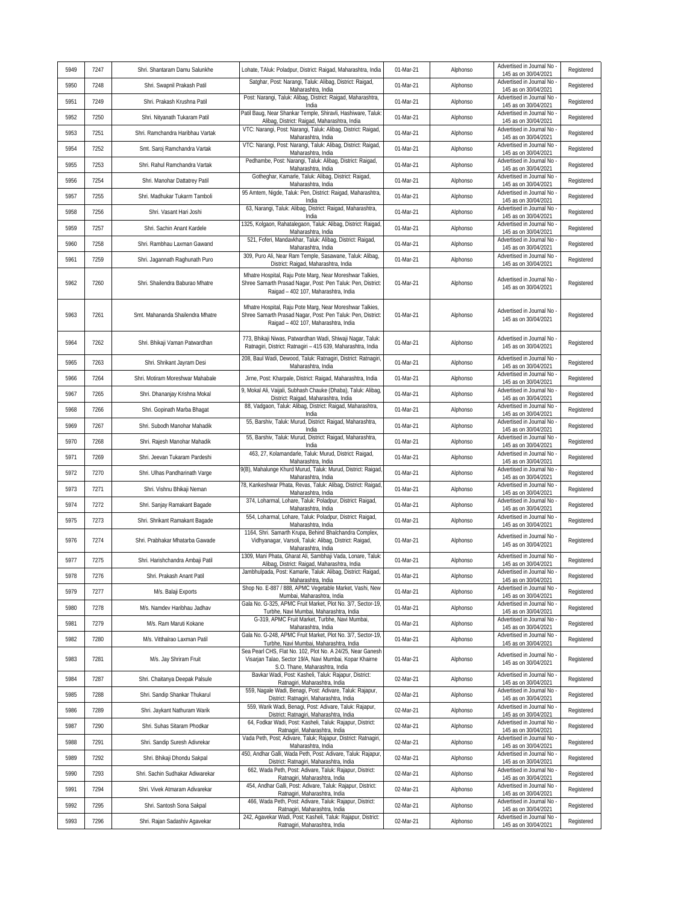|      |      |                                  |                                                                                                                                                                 |           |          | Advertised in Journal No                           |            |
|------|------|----------------------------------|-----------------------------------------------------------------------------------------------------------------------------------------------------------------|-----------|----------|----------------------------------------------------|------------|
| 5949 | 7247 | Shri. Shantaram Damu Salunkhe    | Lohate, TAluk: Poladpur, District: Raigad, Maharashtra, India                                                                                                   | 01-Mar-21 | Alphonso | 145 as on 30/04/2021                               | Registered |
| 5950 | 7248 | Shri. Swapnil Prakash Patil      | Satghar, Post: Narangi, Taluk: Alibag, District: Raigad,<br>Maharashtra, India                                                                                  | 01-Mar-21 | Alphonso | Advertised in Journal No<br>145 as on 30/04/2021   | Registered |
| 5951 | 7249 | Shri. Prakash Krushna Patil      | Post: Narangi, Taluk: Alibag, District: Raigad, Maharashtra,<br>India                                                                                           | 01-Mar-21 | Alphonso | Advertised in Journal No<br>145 as on 30/04/2021   | Registered |
| 5952 | 7250 | Shri. Nityanath Tukaram Patil    | Patil Baug, Near Shankar Temple, Shiravli, Hashiware, Taluk<br>Alibag, District: Raigad, Maharashtra, India                                                     | 01-Mar-21 | Alphonso | Advertised in Journal No -<br>145 as on 30/04/2021 | Registered |
| 5953 | 7251 | Shri. Ramchandra Haribhau Vartak | VTC: Narangi, Post: Narangi, Taluk: Alibag, District: Raigad,<br>Maharashtra, India                                                                             | 01-Mar-21 | Alphonso | Advertised in Journal No<br>145 as on 30/04/2021   | Registered |
| 5954 | 7252 | Smt. Saroj Ramchandra Vartak     | VTC: Narangi, Post: Narangi, Taluk: Alibag, District: Raigad,<br>Maharashtra, India                                                                             | 01-Mar-21 | Alphonso | Advertised in Journal No<br>145 as on 30/04/2021   | Registered |
| 5955 | 7253 | Shri. Rahul Ramchandra Vartak    | Pedhambe, Post: Narangi, Taluk: Alibag, District: Raigad,<br>Maharashtra, India                                                                                 | 01-Mar-21 | Alphonso | Advertised in Journal No -<br>145 as on 30/04/2021 | Registered |
| 5956 | 7254 | Shri. Manohar Dattatrey Patil    | Gotheghar, Kamarle, Taluk: Alibag, District: Raigad,<br>Maharashtra, India                                                                                      | 01-Mar-21 | Alphonso | Advertised in Journal No<br>145 as on 30/04/2021   | Registered |
| 5957 | 7255 | Shri. Madhukar Tukarm Tamboli    | 95 Amtem, Nigde, Taluk: Pen, District: Raigad, Maharashtra,<br>India                                                                                            | 01-Mar-21 | Alphonso | Advertised in Journal No<br>145 as on 30/04/2021   | Registered |
| 5958 | 7256 | Shri. Vasant Hari Joshi          | 63, Narangi, Taluk: Alibag, District: Raigad, Maharashtra,<br>India                                                                                             | 01-Mar-21 | Alphonso | Advertised in Journal No -<br>145 as on 30/04/2021 | Registered |
| 5959 | 7257 | Shri. Sachin Anant Kardele       | 1325, Kolgaon, Rahatalegaon, Taluk: Alibag, District: Raigad,<br>Maharashtra, India                                                                             | 01-Mar-21 | Alphonso | Advertised in Journal No<br>145 as on 30/04/2021   | Registered |
| 5960 | 7258 | Shri. Rambhau Laxman Gawand      | 521, Foferi, Mandavkhar, Taluk: Alibag, District: Raigad,<br>Maharashtra, India                                                                                 | 01-Mar-21 | Alphonso | Advertised in Journal No -<br>145 as on 30/04/2021 | Registered |
| 5961 | 7259 | Shri. Jagannath Raghunath Puro   | 309, Puro Ali, Near Ram Temple, Sasawane, Taluk: Alibag,<br>District: Raigad, Maharashtra, India                                                                | 01-Mar-21 | Alphonso | Advertised in Journal No -<br>145 as on 30/04/2021 | Registered |
| 5962 | 7260 | Shri. Shailendra Baburao Mhatre  | Mhatre Hospital, Raju Pote Marg, Near Moreshwar Talkies,<br>Shree Samarth Prasad Nagar, Post: Pen Taluk: Pen, District:<br>Raigad - 402 107, Maharashtra, India | 01-Mar-21 | Alphonso | Advertised in Journal No -<br>145 as on 30/04/2021 | Registered |
| 5963 | 7261 | Smt. Mahananda Shailendra Mhatre | Mhatre Hospital, Raju Pote Marq, Near Moreshwar Talkies,<br>Shree Samarth Prasad Nagar, Post: Pen Taluk: Pen, District:<br>Raigad - 402 107, Maharashtra, India | 01-Mar-21 | Alphonso | Advertised in Journal No -<br>145 as on 30/04/2021 | Registered |
| 5964 | 7262 | Shri. Bhikaji Vaman Patwardhan   | 773, Bhikaji Niwas, Patwardhan Wadi, Shiwaji Nagar, Taluk:<br>Ratnagiri, District: Ratnagiri - 415 639, Maharashtra, India                                      | 01-Mar-21 | Alphonso | Advertised in Journal No -<br>145 as on 30/04/2021 | Registered |
| 5965 | 7263 | Shri. Shrikant Jayram Desi       | 208, Baul Wadi, Dewood, Taluk: Ratnagiri, District: Ratnagiri,<br>Maharashtra, India                                                                            | 01-Mar-21 | Alphonso | Advertised in Journal No -<br>145 as on 30/04/2021 | Registered |
| 5966 | 7264 | Shri. Motiram Moreshwar Mahabale | Jirne, Post: Kharpale, District: Raigad, Maharashtra, India                                                                                                     | 01-Mar-21 | Alphonso | Advertised in Journal No<br>145 as on 30/04/2021   | Registered |
| 5967 | 7265 | Shri. Dhananjay Krishna Mokal    | 9, Mokal Ali, Vaijali, Subhash Chauke (Dhaba), Taluk: Alibag,<br>District: Raigad, Maharashtra, India                                                           | 01-Mar-21 | Alphonso | Advertised in Journal No<br>145 as on 30/04/2021   | Registered |
| 5968 | 7266 | Shri. Gopinath Marba Bhagat      | 88, Vadgaon, Taluk: Alibag, District: Raigad, Maharashtra,<br>India                                                                                             | 01-Mar-21 | Alphonso | Advertised in Journal No<br>145 as on 30/04/2021   | Registered |
| 5969 | 7267 | Shri. Subodh Manohar Mahadik     | 55, Barshiv, Taluk: Murud, District: Raigad, Maharashtra,<br>India                                                                                              | 01-Mar-21 | Alphonso | Advertised in Journal No<br>145 as on 30/04/2021   | Registered |
| 5970 | 7268 | Shri. Rajesh Manohar Mahadik     | 55, Barshiv, Taluk: Murud, District: Raigad, Maharashtra,<br>India                                                                                              | 01-Mar-21 | Alphonso | Advertised in Journal No<br>145 as on 30/04/2021   | Registered |
| 5971 | 7269 | Shri. Jeevan Tukaram Pardeshi    | 463, 27, Kolamandarle, Taluk: Murud, District: Raigad,<br>Maharashtra, India                                                                                    | 01-Mar-21 | Alphonso | Advertised in Journal No<br>145 as on 30/04/2021   | Registered |
| 5972 | 7270 | Shri. Ulhas Pandharinath Varge   | 9(B), Mahalunge Khurd Murud, Taluk: Murud, District: Raigad<br>Maharashtra, India                                                                               | 01-Mar-21 | Alphonso | Advertised in Journal No<br>145 as on 30/04/2021   | Registered |
| 5973 | 7271 | Shri. Vishnu Bhikaji Neman       | 78, Kankeshwar Phata, Revas, Taluk: Alibag, District: Raigad<br>Maharashtra, India                                                                              | 01-Mar-21 | Alphonso | Advertised in Journal No<br>145 as on 30/04/2021   | Registered |
| 5974 | 7272 | Shri. Sanjay Ramakant Bagade     | 374, Loharmal, Lohare, Taluk: Poladpur, District: Raigad,<br>Maharashtra, India                                                                                 | 01-Mar-21 | Alphonso | Advertised in Journal No<br>145 as on 30/04/2021   | Registered |
| 5975 | 7273 | Shri. Shrikant Ramakant Bagade   | 554, Loharmal, Lohare, Taluk: Poladpur, District: Raigad,<br>Maharashtra, India                                                                                 | 01-Mar-21 | Alphonso | Advertised in Journal No -<br>145 as on 30/04/2021 | Registered |
| 5976 | 7274 | Shri. Prabhakar Mhatarba Gawade  | 1164, Shri. Samarth Krupa, Behind Bhalchandra Complex,<br>Vidhyanagar, Varsoli, Taluk: Alibag, District: Raigad,<br>Maharashtra, India                          | 01-Mar-21 | Alphonso | Advertised in Journal No -<br>145 as on 30/04/2021 | Registered |
| 5977 | 7275 | Shri. Harishchandra Ambaji Patil | 1309, Mani Phata, Gharat Ali, Sambhaji Vada, Lonare, Taluk:<br>Alibag, District: Raigad, Maharashtra, India                                                     | 01-Mar-21 | Alphonso | Advertised in Journal No<br>145 as on 30/04/2021   | Registered |
| 5978 | 7276 | Shri. Prakash Anant Patil        | Jambhulpada, Post: Kamarle, Taluk: Alibag, District: Raigad,<br>Maharashtra, India                                                                              | 01-Mar-21 | Alphonso | Advertised in Journal No -<br>145 as on 30/04/2021 | Registered |
| 5979 | 7277 | M/s. Balaji Exports              | Shop No. E-887 / 888, APMC Vegetable Market, Vashi, New<br>Mumbai, Maharashtra, India                                                                           | 01-Mar-21 | Alphonso | Advertised in Journal No -<br>145 as on 30/04/2021 | Registered |
| 5980 | 7278 | M/s. Namdev Haribhau Jadhav      | Gala No. G-325, APMC Fruit Market, Plot No. 3/7, Sector-19,<br>Turbhe, Navi Mumbai, Maharashtra, India                                                          | 01-Mar-21 | Alphonso | Advertised in Journal No -<br>145 as on 30/04/2021 | Registered |
| 5981 | 7279 | M/s. Ram Maruti Kokane           | G-319, APMC Fruit Market, Turbhe, Navi Mumbai,<br>Maharashtra, India                                                                                            | 01-Mar-21 | Alphonso | Advertised in Journal No -<br>145 as on 30/04/2021 | Registered |
| 5982 | 7280 | M/s. Vitthalrao Laxman Patil     | Gala No. G-248, APMC Fruit Market, Plot No. 3/7, Sector-19,<br>Turbhe, Navi Mumbai, Maharashtra, India                                                          | 01-Mar-21 | Alphonso | Advertised in Journal No<br>145 as on 30/04/2021   | Registered |
| 5983 | 7281 | M/s. Jay Shriram Fruit           | Sea Pearl CHS, Flat No. 102, Plot No. A 24/25, Near Ganesh<br>Visarjan Talao, Sector 19/A, Navi Mumbai, Kopar Khairne<br>S.O. Thane, Maharashtra, India         | 01-Mar-21 | Alphonso | Advertised in Journal No -<br>145 as on 30/04/2021 | Registered |
| 5984 | 7287 | Shri. Chaitanya Deepak Palsule   | Bavkar Wadi, Post: Kasheli, Taluk: Rajapur, District:<br>Ratnagiri, Maharashtra, India                                                                          | 02-Mar-21 | Alphonso | Advertised in Journal No -<br>145 as on 30/04/2021 | Registered |
| 5985 | 7288 | Shri. Sandip Shankar Thukarul    | 559, Nagale Wadi, Benagi, Post: Adivare, Taluk: Rajapur,<br>District: Ratnagiri, Maharashtra, India                                                             | 02-Mar-21 | Alphonso | Advertised in Journal No<br>145 as on 30/04/2021   | Registered |
| 5986 | 7289 | Shri. Jaykant Nathuram Warik     | 559, Warik Wadi, Benagi, Post: Adivare, Taluk: Rajapur,<br>District: Ratnagiri, Maharashtra, India                                                              | 02-Mar-21 | Alphonso | Advertised in Journal No -<br>145 as on 30/04/2021 | Registered |
| 5987 | 7290 | Shri. Suhas Sitaram Phodkar      | 64, Fodkar Wadi, Post: Kasheli, Taluk: Rajapur, District:<br>Ratnagiri, Maharashtra, India                                                                      | 02-Mar-21 | Alphonso | Advertised in Journal No -<br>145 as on 30/04/2021 | Registered |
| 5988 | 7291 | Shri. Sandip Suresh Adivrekar    | Vada Peth, Post; Adivare, Taluk; Rajapur, District: Ratnagiri,<br>Maharashtra, India                                                                            | 02-Mar-21 | Alphonso | Advertised in Journal No -<br>145 as on 30/04/2021 | Registered |
| 5989 | 7292 | Shri. Bhikaji Dhondu Sakpal      | 450, Andhar Galli, Wada Peth, Post: Adivare, Taluk: Rajapur,<br>District: Ratnagiri, Maharashtra, India                                                         | 02-Mar-21 | Alphonso | Advertised in Journal No -<br>145 as on 30/04/2021 | Registered |
| 5990 | 7293 | Shri. Sachin Sudhakar Adiwarekar | 662, Wada Peth, Post: Adivare, Taluk: Rajapur, District:<br>Ratnagiri, Maharashtra, India                                                                       | 02-Mar-21 | Alphonso | Advertised in Journal No -<br>145 as on 30/04/2021 | Registered |
| 5991 | 7294 | Shri. Vivek Atmaram Adivarekar   | 454, Andhar Galli, Post: Adivare, Taluk: Rajapur, District:<br>Ratnagiri, Maharashtra, India                                                                    | 02-Mar-21 | Alphonso | Advertised in Journal No<br>145 as on 30/04/2021   | Registered |
| 5992 | 7295 | Shri. Santosh Sona Sakpal        | 466, Wada Peth, Post: Adivare, Taluk: Rajapur, District:<br>Ratnagiri, Maharashtra, India                                                                       | 02-Mar-21 | Alphonso | Advertised in Journal No -<br>145 as on 30/04/2021 | Registered |
| 5993 | 7296 | Shri. Rajan Sadashiv Agavekar    | 242, Agavekar Wadi, Post; Kasheli, Taluk: Rajapur, District:<br>Ratnagiri, Maharashtra, India                                                                   | 02-Mar-21 | Alphonso | Advertised in Journal No -<br>145 as on 30/04/2021 | Registered |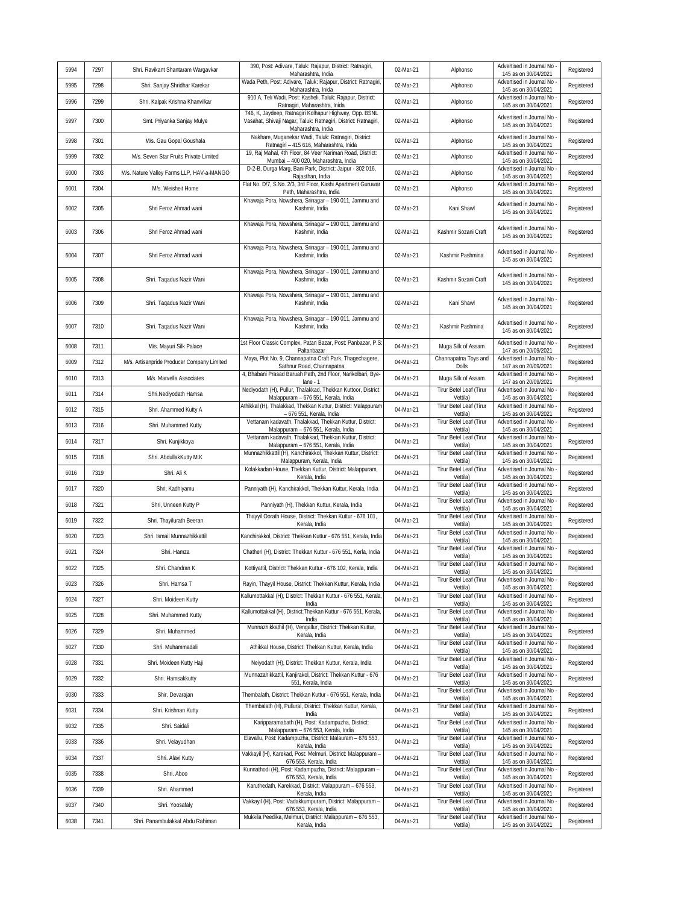| 5994 | 7297 | Shri. Ravikant Shantaram Wargavkar         | 390, Post: Adivare, Taluk: Rajapur, District: Ratnagiri,<br>Maharashtra, India                                                                 | 02-Mar-21 | Alphonso                                   | Advertised in Journal No<br>145 as on 30/04/2021   | Registered |
|------|------|--------------------------------------------|------------------------------------------------------------------------------------------------------------------------------------------------|-----------|--------------------------------------------|----------------------------------------------------|------------|
| 5995 | 7298 | Shri. Sanjay Shridhar Karekar              | Wada Peth, Post: Adivare, Taluk: Rajapur, District: Ratnagiri,<br>Maharashtra, Inida                                                           | 02-Mar-21 | Alphonso                                   | Advertised in Journal No<br>145 as on 30/04/2021   | Registered |
| 5996 | 7299 | Shri. Kalpak Krishna Khanvilkar            | 910 A, Teli Wadi, Post: Kasheli, Taluk: Rajapur, District:<br>Ratnagiri, Maharashtra, Inida                                                    | 02-Mar-21 | Alphonso                                   | Advertised in Journal No<br>145 as on 30/04/2021   | Registered |
| 5997 | 7300 | Smt. Priyanka Sanjay Mulye                 | 746, K, Jaydeep, Ratnagiri Kolhapur Highway, Opp. BSNL<br>Vasahat, Shivaji Nagar, Taluk: Ratnagiri, District: Ratnagiri,<br>Maharashtra, India | 02-Mar-21 | Alphonso                                   | Advertised in Journal No<br>145 as on 30/04/2021   | Registered |
| 5998 | 7301 | M/s. Gau Gopal Goushala                    | Nakhare, Muganekar Wadi, Taluk: Ratnagiri, District:<br>Ratnagiri - 415 616, Maharashtra, Inida                                                | 02-Mar-21 | Alphonso                                   | Advertised in Journal No<br>145 as on 30/04/2021   | Registered |
| 5999 | 7302 | M/s. Seven Star Fruits Private Limited     | 19, Raj Mahal, 4th Floor, 84 Veer Nariman Road, District:<br>Mumbai - 400 020, Maharashtra, India                                              | 02-Mar-21 | Alphonso                                   | Advertised in Journal No<br>145 as on 30/04/2021   | Registered |
| 6000 | 7303 | M/s. Nature Valley Farms LLP, HAV-a-MANGO  | D-2-B, Durga Marg, Bani Park, District: Jaipur - 302 016,<br>Rajasthan, India                                                                  | 02-Mar-21 | Alphonso                                   | Advertised in Journal No<br>145 as on 30/04/2021   | Registered |
| 6001 | 7304 | M/s. Weisheit Home                         | Flat No. D/7, S.No. 2/3, 3rd Floor, Kashi Apartment Guruwar<br>Peth, Maharashtra, India                                                        | 02-Mar-21 | Alphonso                                   | Advertised in Journal No<br>145 as on 30/04/2021   | Registered |
| 6002 | 7305 | Shri Feroz Ahmad wani                      | Khawaja Pora, Nowshera, Srinagar - 190 011, Jammu and<br>Kashmir, India                                                                        | 02-Mar-21 | Kani Shawl                                 | Advertised in Journal No<br>145 as on 30/04/2021   | Registered |
| 6003 | 7306 | Shri Feroz Ahmad wani                      | Khawaja Pora, Nowshera, Srinagar - 190 011, Jammu and<br>Kashmir, India                                                                        | 02-Mar-21 | Kashmir Sozani Craft                       | Advertised in Journal No<br>145 as on 30/04/2021   | Registered |
| 6004 | 7307 | Shri Feroz Ahmad wani                      | Khawaja Pora, Nowshera, Srinagar - 190 011, Jammu and<br>Kashmir, India                                                                        | 02-Mar-21 | Kashmir Pashmina                           | Advertised in Journal No<br>145 as on 30/04/2021   | Registered |
| 6005 | 7308 | Shri. Taqadus Nazir Wani                   | Khawaja Pora, Nowshera, Srinagar - 190 011, Jammu and<br>Kashmir, India                                                                        | 02-Mar-21 | Kashmir Sozani Craft                       | Advertised in Journal No<br>145 as on 30/04/2021   | Registered |
| 6006 | 7309 | Shri. Taqadus Nazir Wani                   | Khawaja Pora, Nowshera, Srinagar - 190 011, Jammu and<br>Kashmir, India                                                                        | 02-Mar-21 | Kani Shawl                                 | Advertised in Journal No<br>145 as on 30/04/2021   | Registered |
| 6007 | 7310 | Shri. Taqadus Nazir Wani                   | Khawaja Pora, Nowshera, Srinagar - 190 011, Jammu and<br>Kashmir, India                                                                        | 02-Mar-21 | Kashmir Pashmina                           | Advertised in Journal No<br>145 as on 30/04/2021   | Registered |
| 6008 | 7311 | M/s. Mayuri Silk Palace                    | 1st Floor Classic Complex, Patan Bazar, Post: Panbazar, P.S.<br>Paltanbazar                                                                    | 04-Mar-21 | Muga Silk of Assam                         | Advertised in Journal No<br>147 as on 20/09/2021   | Registered |
| 6009 | 7312 | M/s. Artisanpride Producer Company Limited | Maya, Plot No. 9, Channapatna Craft Park, Thagechagere,<br>Sathnur Road, Channapatna                                                           | 04-Mar-21 | Channapatna Toys and<br>Dolls              | Advertised in Journal No<br>147 as on 20/09/2021   | Registered |
| 6010 | 7313 | M/s. Marvella Associates                   | 4, Bhabani Prasad Baruah Path, 2nd Floor, Narikolbari, Bye-<br>$lane - 1$                                                                      | 04-Mar-21 | Muga Silk of Assam                         | Advertised in Journal No<br>147 as on 20/09/2021   | Registered |
| 6011 | 7314 | Shri.Nediyodath Hamsa                      | Nediyodath (H), Pullur, Thalakkad, Thekkan Kuttoor, District:<br>Malappuram - 676 551, Kerala, India                                           | 04-Mar-21 | Tirur Betel Leaf (Tirur<br>Vettila)        | Advertised in Journal No<br>145 as on 30/04/2021   | Registered |
| 6012 | 7315 | Shri. Ahammed Kutty A                      | Athikkal (H), Thalakkad, Thekkan Kuttur, District: Malappuram<br>- 676 551, Kerala, India                                                      | 04-Mar-21 | Tirur Betel Leaf (Tirur<br>Vettila)        | Advertised in Journal No<br>145 as on 30/04/2021   | Registered |
| 6013 | 7316 | Shri. Muhammed Kutty                       | Vettanam kadavath, Thalakkad, Thekkan Kuttur, District:<br>Malappuram - 676 551, Kerala, India                                                 | 04-Mar-21 | Tirur Betel Leaf (Tirur<br>Vettila)        | Advertised in Journal No<br>145 as on 30/04/2021   | Registered |
| 6014 | 7317 | Shri. Kunjikkoya                           | Vettanam kadavath, Thalakkad, Thekkan Kuttur, District:<br>Malappuram - 676 551, Kerala, India                                                 | 04-Mar-21 | Tirur Betel Leaf (Tirur<br>Vettila)        | Advertised in Journal No<br>145 as on 30/04/2021   | Registered |
| 6015 | 7318 | Shri. AbdullakKutty M.K                    | Munnazhikkattil (H), Kanchirakkol, Thekkan Kuttur, District:<br>Malappuram, Kerala, India                                                      | 04-Mar-21 | Tirur Betel Leaf (Tirur<br>Vettila)        | Advertised in Journal No<br>145 as on 30/04/2021   | Registered |
| 6016 | 7319 | Shri. Ali K                                | Kolakkadan House, Thekkan Kuttur, District: Malappuram,<br>Kerala, India                                                                       | 04-Mar-21 | Tirur Betel Leaf (Tirur<br>Vettila)        | Advertised in Journal No<br>145 as on 30/04/2021   | Registered |
| 6017 | 7320 | Shri. Kadhiyamu                            | Panniyath (H), Kanchirakkol, Thekkan Kuttur, Kerala, India                                                                                     | 04-Mar-21 | Tirur Betel Leaf (Tirur<br>Vettila)        | Advertised in Journal No<br>145 as on 30/04/2021   | Registered |
| 6018 | 7321 | Shri, Unneen Kutty P                       | Panniyath (H), Thekkan Kuttur, Kerala, India                                                                                                   | 04-Mar-21 | Tirur Betel Leaf (Tirur<br>Vettila)        | Advertised in Journal No<br>145 as on 30/04/2021   | Registered |
| 6019 | 7322 | Shri. Thayilurath Beeran                   | Thayyil Oorath House, District: Thekkan Kuttur - 676 101,<br>Kerala, India                                                                     | 04-Mar-21 | Tirur Betel Leaf (Tirur<br>Vettila)        | Advertised in Journal No<br>145 as on 30/04/2021   | Registered |
| 6020 | 7323 | Shri. Ismail Munnazhikkattil               | Kanchirakkol, District: Thekkan Kuttur - 676 551, Kerala, India                                                                                | 04-Mar-21 | Tirur Betel Leaf (Tirur<br>Vettila)        | Advertised in Journal No<br>145 as on 30/04/2021   | Registered |
| 6021 | 7324 | Shri. Hamza                                | Chatheri (H), District: Thekkan Kuttur - 676 551, Kerla, India                                                                                 | 04-Mar-21 | Tirur Betel Leaf (Tirur<br>Vettila)        | Advertised in Journal No<br>145 as on 30/04/2021   | Registered |
| 6022 | 7325 | Shri. Chandran K                           | Kottiyattil, District: Thekkan Kuttur - 676 102, Kerala, India                                                                                 | 04-Mar-21 | <b>Tirur Betel Leaf (Tirur</b><br>Vettila) | Advertised in Journal No<br>145 as on 30/04/2021   | Registered |
| 6023 | 7326 | Shri. Hamsa T                              | Rayin, Thayyil House, District: Thekkan Kuttur, Kerala, India                                                                                  | 04-Mar-21 | Tirur Betel Leaf (Tirur<br>Vettila)        | Advertised in Journal No<br>145 as on 30/04/2021   | Registered |
| 6024 | 7327 | Shri. Moideen Kutty                        | Kallumottakkal (H), District: Thekkan Kuttur - 676 551, Kerala,<br>India                                                                       | 04-Mar-21 | Tirur Betel Leaf (Tirur<br>Vettila)        | Advertised in Journal No<br>145 as on 30/04/2021   | Registered |
| 6025 | 7328 | Shri. Muhammed Kutty                       | Kallumottakkal (H), District: Thekkan Kuttur - 676 551, Kerala,<br>India                                                                       | 04-Mar-21 | Tirur Betel Leaf (Tirur<br>Vettila)        | Advertised in Journal No<br>145 as on 30/04/2021   | Registered |
| 6026 | 7329 | Shri. Muhammed                             | Munnazhikkathil (H), Vengallur, District: Thekkan Kuttur,<br>Kerala, India                                                                     | 04-Mar-21 | Tirur Betel Leaf (Tirur<br>Vettila)        | Advertised in Journal No<br>145 as on 30/04/2021   | Registered |
| 6027 | 7330 | Shri. Muhammadali                          | Athikkal House, District: Thekkan Kuttur, Kerala, India                                                                                        | 04-Mar-21 | Tirur Betel Leaf (Tirur<br>Vettila)        | Advertised in Journal No<br>145 as on 30/04/2021   | Registered |
| 6028 | 7331 | Shri. Moideen Kutty Haji                   | Neiyodath (H), District: Thekkan Kuttur, Kerala, India                                                                                         | 04-Mar-21 | Tirur Betel Leaf (Tirur<br>Vettila)        | Advertised in Journal No<br>145 as on 30/04/2021   | Registered |
| 6029 | 7332 | Shri. Hamsakkutty                          | Munnazahikkattil, Kanjirakol, District: Thekkan Kuttur - 676<br>551, Kerala, India                                                             | 04-Mar-21 | Tirur Betel Leaf (Tirur<br>Vettila)        | Advertised in Journal No<br>145 as on 30/04/2021   | Registered |
| 6030 | 7333 | Shir. Devarajan                            | Thembalath, District: Thekkan Kuttur - 676 551, Kerala, India                                                                                  | 04-Mar-21 | Tirur Betel Leaf (Tirur<br>Vettila)        | Advertised in Journal No<br>145 as on 30/04/2021   | Registered |
| 6031 | 7334 | Shri. Krishnan Kutty                       | Thembalath (H), Pullural, District: Thekkan Kuttur, Kerala,<br>India                                                                           | 04-Mar-21 | Tirur Betel Leaf (Tirur<br>Vettila)        | Advertised in Journal No<br>145 as on 30/04/2021   | Registered |
| 6032 | 7335 | Shri. Saidali                              | Karipparamabath (H), Post: Kadampuzha, District:<br>Malappuram - 676 553, Kerala, India                                                        | 04-Mar-21 | Tirur Betel Leaf (Tirur<br>Vettila)        | Advertised in Journal No -<br>145 as on 30/04/2021 | Registered |
| 6033 | 7336 | Shri. Velayudhan                           | Elavallu, Post: Kadampuzha, District: Malauram - 676 553,<br>Kerala, India                                                                     | 04-Mar-21 | Tirur Betel Leaf (Tirur<br>Vettila)        | Advertised in Journal No<br>145 as on 30/04/2021   | Registered |
| 6034 | 7337 | Shri. Alavi Kutty                          | Vakkayil (H), Karekad, Post: Melmuri, District: Malappuram -<br>676 553, Kerala, India                                                         | 04-Mar-21 | Tirur Betel Leaf (Tirur<br>Vettila)        | Advertised in Journal No<br>145 as on 30/04/2021   | Registered |
| 6035 | 7338 | Shri. Aboo                                 | Kunnathodi (H), Post: Kadampuzha, District: Malappuram -<br>676 553, Kerala, India                                                             | 04-Mar-21 | Tirur Betel Leaf (Tirur<br>Vettila)        | Advertised in Journal No<br>145 as on 30/04/2021   | Registered |
| 6036 | 7339 | Shri. Ahammed                              | Karuthedath, Karekkad, District: Malappuram - 676 553,<br>Kerala, India                                                                        | 04-Mar-21 | Tirur Betel Leaf (Tirur<br>Vettila)        | Advertised in Journal No<br>145 as on 30/04/2021   | Registered |
| 6037 | 7340 | Shri. Yoosafaly                            | Vakkayil (H), Post: Vadakkumpuram, District: Malappuram -<br>676 553, Kerala, India                                                            | 04-Mar-21 | Tirur Betel Leaf (Tirur<br>Vettila)        | Advertised in Journal No -<br>145 as on 30/04/2021 | Registered |
| 6038 | 7341 | Shri. Panambulakkal Abdu Rahiman           | Mukkila Peedika, Melmuri, District: Malappuram - 676 553,<br>Kerala, India                                                                     | 04-Mar-21 | Tirur Betel Leaf (Tirur<br>Vettila)        | Advertised in Journal No<br>145 as on 30/04/2021   | Registered |
|      |      |                                            |                                                                                                                                                |           |                                            |                                                    |            |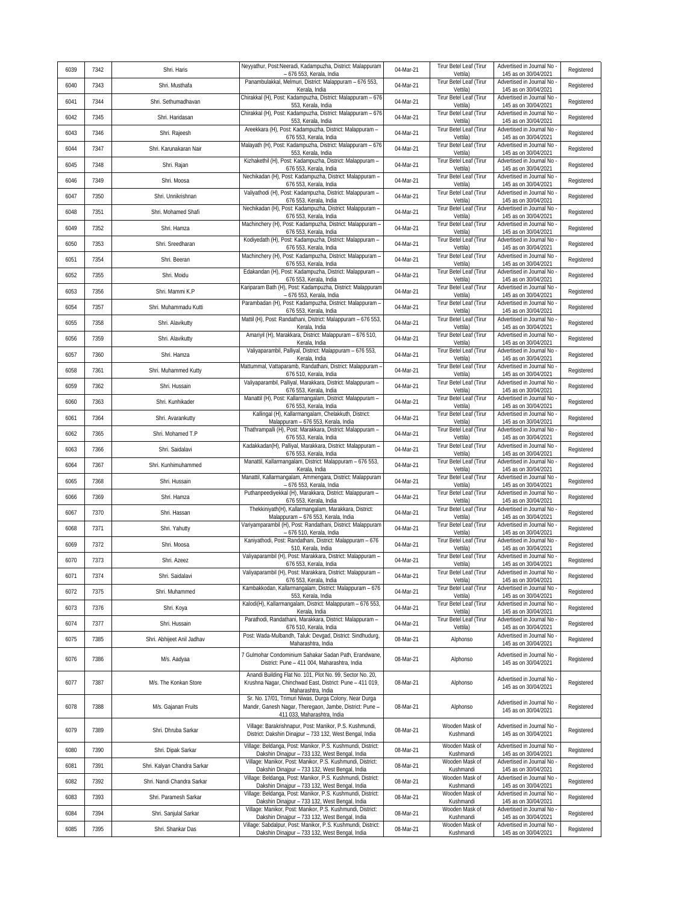| 6039 | 7342 |                             | Neyyathur, Post:Neeradi, Kadampuzha, District: Malappuram                                                                                                               |           | Tirur Betel Leaf (Tirur                    | Advertised in Journal No                           |            |
|------|------|-----------------------------|-------------------------------------------------------------------------------------------------------------------------------------------------------------------------|-----------|--------------------------------------------|----------------------------------------------------|------------|
|      |      | Shri. Haris                 | - 676 553, Kerala, India<br>Panambulakkal, Melmuri, District: Malappuram - 676 553,                                                                                     | 04-Mar-21 | Vettila)<br>Tirur Betel Leaf (Tirur        | 145 as on 30/04/2021<br>Advertised in Journal No   | Registered |
| 6040 | 7343 | Shri. Musthafa              | Kerala, India<br>Chirakkal (H), Post: Kadampuzha, District: Malappuram - 676                                                                                            | 04-Mar-21 | Vettila)<br>Tirur Betel Leaf (Tirur        | 145 as on 30/04/2021<br>Advertised in Journal No   | Registered |
| 6041 | 7344 | Shri. Sethumadhavan         | 553, Kerala, India<br>Chirakkal (H), Post: Kadampuzha, District: Malappuram - 676                                                                                       | 04-Mar-21 | Vettila)<br>Tirur Betel Leaf (Tirur        | 145 as on 30/04/2021<br>Advertised in Journal No   | Registered |
| 6042 | 7345 | Shri. Haridasan             | 553, Kerala, India<br>Areekkara (H), Post: Kadampuzha, District: Malappuram -                                                                                           | 04-Mar-21 | Vettila)                                   | 145 as on 30/04/2021<br>Advertised in Journal No   | Registered |
| 6043 | 7346 | Shri. Rajeesh               | 676 553, Kerala, India                                                                                                                                                  | 04-Mar-21 | Tirur Betel Leaf (Tirur<br>Vettila)        | 145 as on 30/04/2021                               | Registered |
| 6044 | 7347 | Shri. Karunakaran Nair      | Malayath (H), Post: Kadampuzha, District: Malappuram - 676<br>553, Kerala, India                                                                                        | 04-Mar-21 | Tirur Betel Leaf (Tirur<br>Vettila)        | Advertised in Journal No<br>145 as on 30/04/2021   | Registered |
| 6045 | 7348 | Shri. Rajan                 | Kizhakethil (H), Post: Kadampuzha, District: Malappuram -<br>676 553, Kerala, India                                                                                     | 04-Mar-21 | Tirur Betel Leaf (Tirur<br>Vettila)        | Advertised in Journal No<br>145 as on 30/04/2021   | Registered |
| 6046 | 7349 | Shri. Moosa                 | Nechikadan (H), Post: Kadampuzha, District: Malappuram -<br>676 553, Kerala, India                                                                                      | 04-Mar-21 | Tirur Betel Leaf (Tirur<br>Vettila)        | Advertised in Journal No<br>145 as on 30/04/2021   | Registered |
| 6047 | 7350 | Shri. Unnikrishnan          | Valiyathodi (H), Post: Kadampuzha, District: Malappuram -<br>676 553, Kerala, India                                                                                     | 04-Mar-21 | Tirur Betel Leaf (Tirur<br>Vettila)        | Advertised in Journal No<br>145 as on 30/04/2021   | Registered |
| 6048 | 7351 | Shri. Mohamed Shafi         | Nechikadan (H), Post: Kadampuzha, District: Malappuram -<br>676 553, Kerala, India                                                                                      | 04-Mar-21 | Tirur Betel Leaf (Tirur<br>Vettila)        | Advertised in Journal No<br>145 as on 30/04/2021   | Registered |
| 6049 | 7352 | Shri. Hamza                 | Machinchery (H), Post: Kadampuzha, District: Malappuram<br>676 553, Kerala, India                                                                                       | 04-Mar-21 | Tirur Betel Leaf (Tirur<br>Vettila)        | Advertised in Journal No<br>145 as on 30/04/2021   | Registered |
| 6050 | 7353 | Shri. Sreedharan            | Kodiyedath (H), Post: Kadampuzha, District: Malappuram -<br>676 553, Kerala, India                                                                                      | 04-Mar-21 | Tirur Betel Leaf (Tirur<br>Vettila)        | Advertised in Journal No<br>145 as on 30/04/2021   | Registered |
| 6051 | 7354 | Shri. Beeran                | Machinchery (H), Post: Kadampuzha, District: Malappuram -<br>676 553, Kerala, India                                                                                     | 04-Mar-21 | Tirur Betel Leaf (Tirur<br>Vettila)        | Advertised in Journal No<br>145 as on 30/04/2021   | Registered |
| 6052 | 7355 | Shri. Moidu                 | Edakandan (H), Post: Kadampuzha, District: Malappuram -                                                                                                                 | 04-Mar-21 | Tirur Betel Leaf (Tirur                    | Advertised in Journal No                           | Registered |
| 6053 | 7356 | Shri. Mammi K.P             | 676 553, Kerala, India<br>Kariparam Bath (H), Post: Kadampuzha, District: Malappuram                                                                                    | 04-Mar-21 | Vettila)<br>Tirur Betel Leaf (Tirur        | 145 as on 30/04/2021<br>Advertised in Journal No   | Registered |
| 6054 | 7357 | Shri. Muhammadu Kutti       | - 676 553, Kerala, India<br>Parambadan (H), Post: Kadampuzha, District: Malappuram -                                                                                    | 04-Mar-21 | Vettila)<br>Tirur Betel Leaf (Tirur        | 145 as on 30/04/2021<br>Advertised in Journal No   | Registered |
| 6055 | 7358 | Shri. Alavikutty            | 676 553, Kerala, India<br>Mattil (H), Post: Randathani, District: Malappuram - 676 553,                                                                                 | 04-Mar-21 | Vettila)<br>Tirur Betel Leaf (Tirur        | 145 as on 30/04/2021<br>Advertised in Journal No   | Registered |
|      |      |                             | Kerala, India<br>Amariyil (H), Marakkara, District: Malappuram - 676 510,                                                                                               |           | Vettila)<br>Tirur Betel Leaf (Tirur        | 145 as on 30/04/2021<br>Advertised in Journal No   |            |
| 6056 | 7359 | Shri. Alavikutty            | Kerala, India<br>Valiyaparambil, Palliyal, District: Malappuram - 676 553,                                                                                              | 04-Mar-21 | Vettila)<br>Tirur Betel Leaf (Tirur        | 145 as on 30/04/2021<br>Advertised in Journal No   | Registered |
| 6057 | 7360 | Shri. Hamza                 | Kerala, India<br>Mattummal, Vattaparamb, Randathani, District: Malappuram                                                                                               | 04-Mar-21 | Vettila)<br>Tirur Betel Leaf (Tirur        | 145 as on 30/04/2021<br>Advertised in Journal No   | Registered |
| 6058 | 7361 | Shri. Muhammed Kutty        | 676 510, Kerala, India<br>Valiyaparambil, Palliyal, Marakkara, District: Malappuram -                                                                                   | 04-Mar-21 | Vettila)<br>Tirur Betel Leaf (Tirur        | 145 as on 30/04/2021<br>Advertised in Journal No   | Registered |
| 6059 | 7362 | Shri. Hussain               | 676 553, Kerala, India<br>Manattil (H), Post: Kallarmangalam, District: Malappuram -                                                                                    | 04-Mar-21 | Vettila)<br>Tirur Betel Leaf (Tirur        | 145 as on 30/04/2021<br>Advertised in Journal No   | Registered |
| 6060 | 7363 | Shri. Kunhikader            | 676 553, Kerala, India                                                                                                                                                  | 04-Mar-21 | Vettila)                                   | 145 as on 30/04/2021                               | Registered |
| 6061 | 7364 | Shri. Avarankutty           | Kallingal (H), Kallarmangalam, Chelakkuth, District:<br>Malappuram - 676 553, Kerala, India                                                                             | 04-Mar-21 | Tirur Betel Leaf (Tirur<br>Vettila)        | Advertised in Journal No<br>145 as on 30/04/2021   | Registered |
| 6062 | 7365 | Shri. Mohamed T.P           | Thathrampalli (H), Post: Marakkara, District: Malappuram -<br>676 553, Kerala, India                                                                                    | 04-Mar-21 | Tirur Betel Leaf (Tirur<br>Vettila)        | Advertised in Journal No<br>145 as on 30/04/2021   | Registered |
| 6063 | 7366 | Shri. Saidalavi             | Kadakkadan(H), Palliyal, Marakkara, District: Malappuram -<br>676 553, Kerala, India                                                                                    | 04-Mar-21 | Tirur Betel Leaf (Tirur<br>Vettila)        | Advertised in Journal No<br>145 as on 30/04/2021   | Registered |
| 6064 | 7367 | Shri. Kunhimuhammed         | Manattil, Kallarmangalam, District: Malappuram - 676 553,<br>Kerala, India                                                                                              | 04-Mar-21 | Tirur Betel Leaf (Tirur<br>Vettila)        | Advertised in Journal No<br>145 as on 30/04/2021   | Registered |
| 6065 | 7368 | Shri. Hussain               | Manattil, Kallarmangalam, Ammengara, District: Malappuram<br>- 676 553, Kerala, India                                                                                   | 04-Mar-21 | Tirur Betel Leaf (Tirur<br>Vettila)        | Advertised in Journal No<br>145 as on 30/04/2021   | Registered |
| 6066 | 7369 | Shri. Hamza                 | Puthanpeediyekkal (H), Marakkara, District: Malappuram -<br>676 553, Kerala, India                                                                                      | 04-Mar-21 | Tirur Betel Leaf (Tirur<br>Vettila)        | Advertised in Journal No<br>145 as on 30/04/2021   | Registered |
| 6067 | 7370 | Shri. Hassan                | Thekkiniyath(H), Kallarmangalam, Marakkara, District:<br>Malappuram - 676 553, Kerala, India                                                                            | 04-Mar-21 | Tirur Betel Leaf (Tirur<br>Vettila)        | Advertised in Journal No<br>145 as on 30/04/2021   | Registered |
| 6068 | 7371 | Shri. Yahutty               | Variyamparambil (H), Post: Randathani, District: Malappuram<br>- 676 510, Kerala, India                                                                                 | 04-Mar-21 | Tirur Betel Leaf (Tirur<br>Vettila)        | Advertised in Journal No<br>145 as on 30/04/2021   | Registered |
| 6069 | 7372 | Shri. Moosa                 | Kaniyathodi, Post: Randathani, District: Malappuram - 676<br>510, Kerala, India                                                                                         | 04-Mar-21 | Tirur Betel Leaf (Tirur<br>Vettila)        | Advertised in Journal No<br>145 as on 30/04/2021   | Registered |
| 6070 | 7373 | Shri. Azeez                 | Valiyaparambil (H), Post: Marakkara, District: Malappuram -<br>676 553, Kerala, India                                                                                   | 04-Mar-21 | Tirur Betel Leaf (Tirur<br>Vettila)        | Advertised in Journal No<br>145 as on 30/04/2021   | Registered |
| 6071 | 7374 | Shri. Saidalavi             | Valiyaparambil (H), Post: Marakkara, District: Malappuram -                                                                                                             | 04-Mar-21 | Tirur Betel Leaf (Tirur                    | Advertised in Journal No -                         | Registered |
| 6072 | 7375 | Shri. Muhammed              | 676 553, Kerala, India<br>Kambakkodan, Kallarmangalam, District: Malappuram - 676                                                                                       | 04-Mar-21 | Vettila)<br>Tirur Betel Leaf (Tirur        | 145 as on 30/04/2021<br>Advertised in Journal No   | Registered |
| 6073 | 7376 | Shri. Koya                  | 553, Kerala, India<br>Kalodi(H), Kallarmangalam, District: Malappuram - 676 553,                                                                                        | 04-Mar-21 | Vettila)<br><b>Tirur Betel Leaf (Tirur</b> | 145 as on 30/04/2021<br>Advertised in Journal No   | Registered |
| 6074 | 7377 | Shri. Hussain               | Kerala, India<br>Parathodi, Randathani, Marakkara, District: Malappuram -                                                                                               | 04-Mar-21 | Vettila)<br><b>Tirur Betel Leaf (Tirur</b> | 145 as on 30/04/2021<br>Advertised in Journal No   | Registered |
| 6075 | 7385 | Shri. Abhijeet Anil Jadhav  | 676 510, Kerala, India<br>Post: Wada-Mulbandh, Taluk: Devgad, District: Sindhudurg,                                                                                     | 08-Mar-21 | Vettila)<br>Alphonso                       | 145 as on 30/04/2021<br>Advertised in Journal No   | Registered |
|      |      |                             | Maharashtra, India<br>7 Gulmohar Condominium Sahakar Sadan Path, Erandwane,                                                                                             |           |                                            | 145 as on 30/04/2021<br>Advertised in Journal No   |            |
| 6076 | 7386 | M/s. Aadyaa                 | District: Pune - 411 004, Maharashtra, India                                                                                                                            | 08-Mar-21 | Alphonso                                   | 145 as on 30/04/2021                               | Registered |
| 6077 | 7387 | M/s. The Konkan Store       | Anandi Building Flat No. 101, Plot No. 99, Sector No. 20,<br>Krushna Nagar, Chinchwad East, District: Pune - 411 019,                                                   | 08-Mar-21 | Alphonso                                   | Advertised in Journal No<br>145 as on 30/04/2021   | Registered |
| 6078 | 7388 | M/s. Gajanan Fruits         | Maharashtra, India<br>Sr. No. 17/01, Trimuri Niwas, Durga Colony, Near Durga<br>Mandir, Ganesh Nagar, Theregaon, Jambe, District: Pune -<br>411 033, Maharashtra, India | 08-Mar-21 | Alphonso                                   | Advertised in Journal No<br>145 as on 30/04/2021   | Registered |
| 6079 | 7389 | Shri. Dhruba Sarkar         | Village: Barakrishnapur, Post: Manikor, P.S. Kushmundi,<br>District: Dakshin Dinajpur - 733 132, West Bengal, India                                                     | 08-Mar-21 | Wooden Mask of<br>Kushmandi                | Advertised in Journal No -<br>145 as on 30/04/2021 | Registered |
| 6080 | 7390 | Shri. Dipak Sarkar          | Village: Beldanga, Post: Manikor, P.S. Kushmundi, District:<br>Dakshin Dinajpur - 733 132, West Bengal, India                                                           | 08-Mar-21 | Wooden Mask of<br>Kushmandi                | Advertised in Journal No<br>145 as on 30/04/2021   | Registered |
| 6081 | 7391 | Shri. Kalyan Chandra Sarkar | Village: Manikor, Post: Manikor, P.S. Kushmundi, District:<br>Dakshin Dinajpur - 733 132, West Bengal, India                                                            | 08-Mar-21 | Wooden Mask of<br>Kushmandi                | Advertised in Journal No<br>145 as on 30/04/2021   | Registered |
| 6082 | 7392 | Shri. Nandi Chandra Sarkar  | Village: Beldanga, Post: Manikor, P.S. Kushmundi, District:<br>Dakshin Dinajpur - 733 132, West Bengal, India                                                           | 08-Mar-21 | Wooden Mask of<br>Kushmandi                | Advertised in Journal No -<br>145 as on 30/04/2021 | Registered |
| 6083 | 7393 | Shri. Paramesh Sarkar       | Village: Beldanga, Post: Manikor, P.S. Kushmundi, District:<br>Dakshin Dinajpur - 733 132, West Bengal, India                                                           | 08-Mar-21 | Wooden Mask of<br>Kushmandi                | Advertised in Journal No<br>145 as on 30/04/2021   | Registered |
| 6084 | 7394 | Shri. Sanjulal Sarkar       | Village: Manikor, Post: Manikor, P.S. Kushmundi, District:<br>Dakshin Dinajpur - 733 132, West Bengal, India                                                            | 08-Mar-21 | Wooden Mask of<br>Kushmandi                | Advertised in Journal No<br>145 as on 30/04/2021   | Registered |
| 6085 | 7395 | Shri. Shankar Das           | Village: Sabdalpur, Post: Manikor, P.S. Kushmundi, District:                                                                                                            | 08-Mar-21 | Wooden Mask of                             | Advertised in Journal No                           | Registered |
|      |      |                             | Dakshin Dinajpur - 733 132, West Bengal, India                                                                                                                          |           | Kushmandi                                  | 145 as on 30/04/2021                               |            |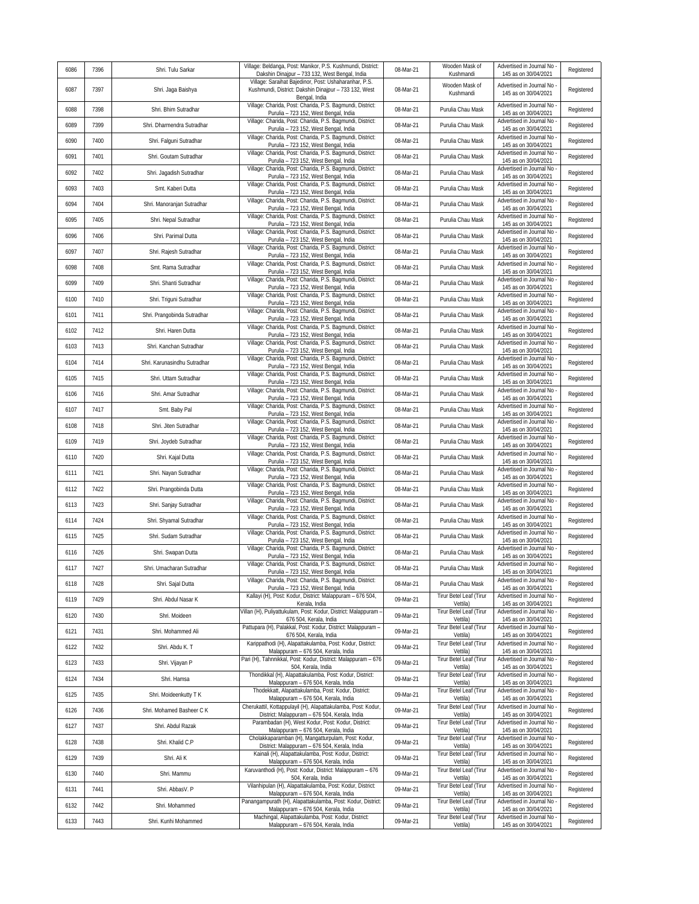| 6086 | 7396 | Shri. Tulu Sarkar            | Village: Beldanga, Post: Manikor, P.S. Kushmundi, District:                                             | 08-Mar-21 | Wooden Mask of                               | Advertised in Journal No                         | Registered |
|------|------|------------------------------|---------------------------------------------------------------------------------------------------------|-----------|----------------------------------------------|--------------------------------------------------|------------|
|      |      |                              | Dakshin Dinajpur - 733 132, West Bengal, India<br>Village: Saraihat Bajedinor, Post: Ushaharanhar, P.S. |           | Kushmandi<br>Wooden Mask of                  | 145 as on 30/04/2021<br>Advertised in Journal No |            |
| 6087 | 7397 | Shri. Jaga Baishya           | Kushmundi, District: Dakshin Dinajpur - 733 132, West<br>Bengal, India                                  | 08-Mar-21 | Kushmandi                                    | 145 as on 30/04/2021                             | Registered |
| 6088 | 7398 | Shri. Bhim Sutradhar         | Village: Charida, Post: Charida, P.S. Bagmundi, District:<br>Purulia - 723 152, West Bengal, India      | 08-Mar-21 | Purulia Chau Mask                            | Advertised in Journal No<br>145 as on 30/04/2021 | Registered |
| 6089 | 7399 | Shri. Dharmendra Sutradhar   | Village: Charida, Post: Charida, P.S. Bagmundi, District:<br>Purulia - 723 152, West Bengal, India      | 08-Mar-21 | Purulia Chau Mask                            | Advertised in Journal No<br>145 as on 30/04/2021 | Registered |
| 6090 | 7400 | Shri. Falguni Sutradhar      | Village: Charida, Post: Charida, P.S. Bagmundi, District:<br>Purulia - 723 152, West Bengal, India      | 08-Mar-21 | Purulia Chau Mask                            | Advertised in Journal No<br>145 as on 30/04/2021 | Registered |
| 6091 | 7401 | Shri. Goutam Sutradhar       | Village: Charida, Post: Charida, P.S. Bagmundi, District:<br>Purulia - 723 152, West Bengal, India      | 08-Mar-21 | Purulia Chau Mask                            | Advertised in Journal No<br>145 as on 30/04/2021 | Registered |
| 6092 | 7402 | Shri. Jagadish Sutradhar     | Village: Charida, Post: Charida, P.S. Bagmundi, District:<br>Purulia - 723 152, West Bengal, India      | 08-Mar-21 | Purulia Chau Mask                            | Advertised in Journal No<br>145 as on 30/04/2021 | Registered |
| 6093 | 7403 | Smt. Kaberi Dutta            | Village: Charida, Post: Charida, P.S. Bagmundi, District:<br>Purulia - 723 152, West Bengal, India      | 08-Mar-21 | Purulia Chau Mask                            | Advertised in Journal No<br>145 as on 30/04/2021 | Registered |
| 6094 | 7404 | Shri. Manoranjan Sutradhar   | Village: Charida, Post: Charida, P.S. Bagmundi, District:<br>Purulia - 723 152, West Bengal, India      | 08-Mar-21 | Purulia Chau Mask                            | Advertised in Journal No<br>145 as on 30/04/2021 | Registered |
| 6095 | 7405 | Shri. Nepal Sutradhar        | Village: Charida, Post: Charida, P.S. Bagmundi, District:<br>Purulia - 723 152, West Bengal, India      | 08-Mar-21 | Purulia Chau Mask                            | Advertised in Journal No<br>145 as on 30/04/2021 | Registered |
| 6096 | 7406 | Shri. Parimal Dutta          | Village: Charida, Post: Charida, P.S. Bagmundi, District:<br>Purulia - 723 152, West Bengal, India      | 08-Mar-21 | Purulia Chau Mask                            | Advertised in Journal No<br>145 as on 30/04/2021 | Registered |
| 6097 | 7407 | Shri. Rajesh Sutradhar       | Village: Charida, Post: Charida, P.S. Bagmundi, District:<br>Purulia - 723 152, West Bengal, India      | 08-Mar-21 | Purulia Chau Mask                            | Advertised in Journal No<br>145 as on 30/04/2021 | Registered |
| 6098 | 7408 | Smt. Rama Sutradhar          | Village: Charida, Post: Charida, P.S. Bagmundi, District:<br>Purulia - 723 152, West Bengal, India      | 08-Mar-21 | Purulia Chau Mask                            | Advertised in Journal No<br>145 as on 30/04/2021 | Registered |
| 6099 | 7409 | Shri. Shanti Sutradhar       | Village: Charida, Post: Charida, P.S. Bagmundi, District:<br>Purulia - 723 152, West Bengal, India      | 08-Mar-21 | Purulia Chau Mask                            | Advertised in Journal No<br>145 as on 30/04/2021 | Registered |
| 6100 | 7410 | Shri. Triguni Sutradhar      | Village: Charida, Post: Charida, P.S. Bagmundi, District:<br>Purulia - 723 152, West Bengal, India      | 08-Mar-21 | Purulia Chau Mask                            | Advertised in Journal No<br>145 as on 30/04/2021 | Registered |
| 6101 | 7411 | Shri. Prangobinda Sutradhar  | Village: Charida, Post: Charida, P.S. Bagmundi, District:<br>Purulia - 723 152, West Bengal, India      | 08-Mar-21 | Purulia Chau Mask                            | Advertised in Journal No<br>145 as on 30/04/2021 | Registered |
| 6102 | 7412 | Shri. Haren Dutta            | Village: Charida, Post: Charida, P.S. Bagmundi, District:                                               | 08-Mar-21 | Purulia Chau Mask                            | Advertised in Journal No<br>145 as on 30/04/2021 | Registered |
| 6103 | 7413 | Shri. Kanchan Sutradhar      | Purulia - 723 152, West Bengal, India<br>Village: Charida, Post: Charida, P.S. Bagmundi, District:      | 08-Mar-21 | Purulia Chau Mask                            | Advertised in Journal No                         | Registered |
| 6104 | 7414 | Shri. Karunasindhu Sutradhar | Purulia - 723 152, West Bengal, India<br>Village: Charida, Post: Charida, P.S. Bagmundi, District:      | 08-Mar-21 | Purulia Chau Mask                            | 145 as on 30/04/2021<br>Advertised in Journal No | Registered |
| 6105 | 7415 | Shri. Uttam Sutradhar        | Purulia - 723 152, West Bengal, India<br>Village: Charida, Post: Charida, P.S. Bagmundi, District:      | 08-Mar-21 | Purulia Chau Mask                            | 145 as on 30/04/2021<br>Advertised in Journal No | Registered |
| 6106 | 7416 | Shri. Amar Sutradhar         | Purulia - 723 152, West Bengal, India<br>Village: Charida, Post: Charida, P.S. Bagmundi, District:      | 08-Mar-21 | Purulia Chau Mask                            | 145 as on 30/04/2021<br>Advertised in Journal No | Registered |
| 6107 | 7417 | Smt. Baby Pal                | Purulia - 723 152, West Bengal, India<br>Village: Charida, Post: Charida, P.S. Bagmundi, District:      | 08-Mar-21 | Purulia Chau Mask                            | 145 as on 30/04/2021<br>Advertised in Journal No | Registered |
| 6108 | 7418 | Shri. Jiten Sutradhar        | Purulia - 723 152, West Bengal, India<br>Village: Charida, Post: Charida, P.S. Bagmundi, District:      | 08-Mar-21 | Purulia Chau Mask                            | 145 as on 30/04/2021<br>Advertised in Journal No | Registered |
| 6109 | 7419 | Shri. Joydeb Sutradhar       | Purulia - 723 152, West Bengal, India<br>Village: Charida, Post: Charida, P.S. Bagmundi, District:      | 08-Mar-21 | Purulia Chau Mask                            | 145 as on 30/04/2021<br>Advertised in Journal No | Registered |
| 6110 | 7420 | Shri. Kajal Dutta            | Purulia - 723 152, West Bengal, India<br>Village: Charida, Post: Charida, P.S. Bagmundi, District:      | 08-Mar-21 | Purulia Chau Mask                            | 145 as on 30/04/2021<br>Advertised in Journal No | Registered |
| 6111 | 7421 | Shri. Nayan Sutradhar        | Purulia - 723 152, West Bengal, India<br>Village: Charida, Post: Charida, P.S. Bagmundi, District:      | 08-Mar-21 | Purulia Chau Mask                            | 145 as on 30/04/2021<br>Advertised in Journal No | Registered |
| 6112 | 7422 | Shri. Prangobinda Dutta      | Purulia - 723 152, West Bengal, India<br>Village: Charida, Post: Charida, P.S. Bagmundi, District:      | 08-Mar-21 | Purulia Chau Mask                            | 145 as on 30/04/2021<br>Advertised in Journal No | Registered |
| 6113 | 7423 | Shri. Sanjay Sutradhar       | Purulia - 723 152, West Bengal, India<br>Village: Charida, Post: Charida, P.S. Bagmundi, District:      | 08-Mar-21 | Purulia Chau Mask                            | 145 as on 30/04/2021<br>Advertised in Journal No | Registered |
| 6114 | 7424 | Shri. Shyamal Sutradhar      | Purulia - 723 152, West Bengal, India<br>Village: Charida, Post: Charida, P.S. Bagmundi, District:      | 08-Mar-21 | Purulia Chau Mask                            | 145 as on 30/04/2021<br>Advertised in Journal No | Registered |
|      |      | Shri. Sudam Sutradhar        | Purulia - 723 152, West Bengal, India<br>Village: Charida, Post: Charida, P.S. Bagmundi, District:      |           | Purulia Chau Mask                            | 145 as on 30/04/2021<br>Advertised in Journal No |            |
| 6115 | 7425 |                              | Purulia - 723 152, West Bengal, India<br>Village: Charida, Post: Charida, P.S. Bagmundi, District:      | 08-Mar-21 |                                              | 145 as on 30/04/2021<br>Advertised in Journal No | Registered |
| 6116 | 7426 | Shri. Swapan Dutta           | Purulia - 723 152, West Bengal, India<br>Village: Charida, Post: Charida, P.S. Bagmundi, District:      | 08-Mar-21 | Purulia Chau Mask                            | 145 as on 30/04/2021<br>Advertised in Journal No | Registered |
| 6117 | 7427 | Shri. Umacharan Sutradhar    | Purulia - 723 152. West Bengal, India<br>Village: Charida, Post: Charida, P.S. Bagmundi, District:      | 08-Mar-21 | Purulia Chau Mask                            | 145 as on 30/04/2021<br>Advertised in Journal No | Registered |
| 6118 | 7428 | Shri. Sajal Dutta            | Purulia - 723 152, West Bengal, India<br>Kallayi (H), Post: Kodur, District: Malappuram - 676 504,      | 08-Mar-21 | Purulia Chau Mask<br>Tirur Betel Leaf (Tirur | 145 as on 30/04/2021<br>Advertised in Journal No | Registered |
| 6119 | 7429 | Shri. Abdul Nasar K          | Kerala, India<br>Villan (H), Puliyattukulam, Post: Kodur, District: Malappuram -                        | 09-Mar-21 | Vettila)<br>Tirur Betel Leaf (Tirur          | 145 as on 30/04/2021<br>Advertised in Journal No | Registered |
| 6120 | 7430 | Shri. Moideen                | 676 504, Kerala, India<br>Pattupara (H), Palakkal, Post: Kodur, District: Malappuram -                  | 09-Mar-21 | Vettila)<br>Tirur Betel Leaf (Tirur          | 145 as on 30/04/2021<br>Advertised in Journal No | Registered |
| 6121 | 7431 | Shri. Mohammed Ali           | 676 504. Kerala, India<br>Karippathodi (H), Alapattakulamba, Post: Kodur, District:                     | 09-Mar-21 | Vettila)<br>Tirur Betel Leaf (Tirur          | 145 as on 30/04/2021<br>Advertised in Journal No | Registered |
| 6122 | 7432 | Shri. Abdu K. T              | Malappuram - 676 504, Kerala, India<br>Pari (H), Tahnnikkal, Post: Kodur, District: Malappuram - 676    | 09-Mar-21 | Vettila)<br>Tirur Betel Leaf (Tirur          | 145 as on 30/04/2021<br>Advertised in Journal No | Registered |
| 6123 | 7433 | Shri. Vijayan P              | 504, Kerala, India<br>Thondikkal (H), Alapattakulamba, Post: Kodur, District:                           | 09-Mar-21 | Vettila)<br>Tirur Betel Leaf (Tirur          | 145 as on 30/04/2021<br>Advertised in Journal No | Registered |
| 6124 | 7434 | Shri. Hamsa                  | Malappuram - 676 504, Kerala, India<br>Thodekkatt, Alapattakulamba, Post: Kodur, District:              | 09-Mar-21 | Vettila)<br><b>Tirur Betel Leaf (Tirur</b>   | 145 as on 30/04/2021<br>Advertised in Journal No | Registered |
| 6125 | 7435 | Shri. Moideenkutty T K       | Malappuram - 676 504, Kerala, India<br>Cherukattil, Kottappulayil (H), Alapattakulamba, Post: Kodur,    | 09-Mar-21 | Vettila)<br><b>Tirur Betel Leaf (Tirur</b>   | 145 as on 30/04/2021<br>Advertised in Journal No | Registered |
| 6126 | 7436 | Shri. Mohamed Basheer C K    | District: Malappuram - 676 504, Kerala, India<br>Parambadan (H), West Kodur, Post: Kodur, District:     | 09-Mar-21 | Vettila)<br>Tirur Betel Leaf (Tirur          | 145 as on 30/04/2021<br>Advertised in Journal No | Registered |
| 6127 | 7437 | Shri. Abdul Razak            | Malappuram - 676 504, Kerala, India                                                                     | 09-Mar-21 | Vettila)                                     | 145 as on 30/04/2021                             | Registered |
| 6128 | 7438 | Shri. Khalid C.P             | Cholakkaparamban (H), Mangatturpulam, Post: Kodur,<br>District: Malappuram - 676 504, Kerala, India     | 09-Mar-21 | Tirur Betel Leaf (Tirur<br>Vettila)          | Advertised in Journal No<br>145 as on 30/04/2021 | Registered |
| 6129 | 7439 | Shri. Ali K                  | Kainali (H), Alapattakulamba, Post: Kodur, District:<br>Malappuram - 676 504, Kerala, India             | 09-Mar-21 | Tirur Betel Leaf (Tirur<br>Vettila)          | Advertised in Journal No<br>145 as on 30/04/2021 | Registered |
| 6130 | 7440 | Shri. Mammu                  | Karuvanthodi (H), Post: Kodur, District: Malappuram - 676<br>504, Kerala, India                         | 09-Mar-21 | Tirur Betel Leaf (Tirur<br>Vettila)          | Advertised in Journal No<br>145 as on 30/04/2021 | Registered |
| 6131 | 7441 | Shri. AbbasV. P              | Vilanhipulan (H), Alapattakulamba, Post: Kodur, District:<br>Malappuram - 676 504, Kerala, India        | 09-Mar-21 | Tirur Betel Leaf (Tirur<br>Vettila)          | Advertised in Journal No<br>145 as on 30/04/2021 | Registered |
| 6132 | 7442 | Shri. Mohammed               | Panangampurath (H), Alapattakulamba, Post: Kodur, District:<br>Malappuram - 676 504, Kerala, India      | 09-Mar-21 | Tirur Betel Leaf (Tirur<br>Vettila)          | Advertised in Journal No<br>145 as on 30/04/2021 | Registered |
| 6133 | 7443 | Shri. Kunhi Mohammed         | Machingal, Alapattakulamba, Post: Kodur, District:<br>Malappuram - 676 504, Kerala, India               | 09-Mar-21 | Tirur Betel Leaf (Tirur<br>Vettila)          | Advertised in Journal No<br>145 as on 30/04/2021 | Registered |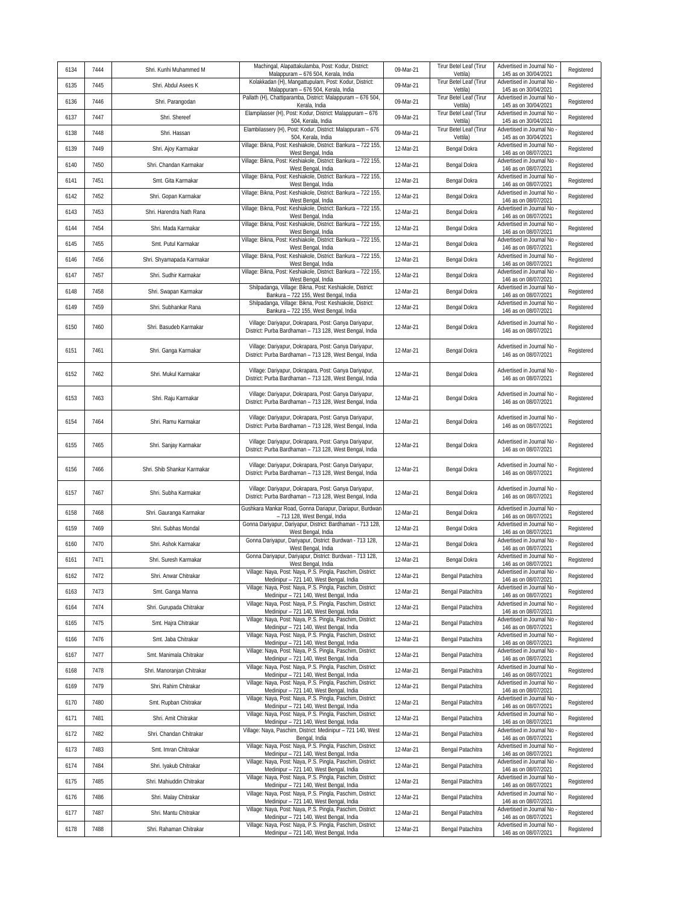| 6134 | 7444 | Shri. Kunhi Muhammed M      | Machingal, Alapattakulamba, Post: Kodur, District:<br>Malappuram - 676 504, Kerala, India                        | 09-Mar-21 | Tirur Betel Leaf (Tirur<br>Vettila) | Advertised in Journal No<br>145 as on 30/04/2021   | Registered |
|------|------|-----------------------------|------------------------------------------------------------------------------------------------------------------|-----------|-------------------------------------|----------------------------------------------------|------------|
| 6135 | 7445 | Shri. Abdul Asees K         | Kolakkadan (H), Mangattupulam, Post: Kodur, District:<br>Malappuram - 676 504, Kerala, India                     | 09-Mar-21 | Tirur Betel Leaf (Tirur<br>Vettila) | Advertised in Journal No<br>145 as on 30/04/2021   | Registered |
| 6136 | 7446 | Shri. Parangodan            | Pallath (H), Chattiparamba, District: Malappuram - 676 504<br>Kerala, India                                      | 09-Mar-21 | Tirur Betel Leaf (Tirur<br>Vettila) | Advertised in Journal No<br>145 as on 30/04/2021   | Registered |
| 6137 | 7447 | Shri. Shereef               | Elampilasser (H), Post: Kodur, District: Malappuram - 676<br>504, Kerala, India                                  | 09-Mar-21 | Tirur Betel Leaf (Tirur<br>Vettila) | Advertised in Journal No<br>145 as on 30/04/2021   | Registered |
| 6138 | 7448 | Shri. Hassan                | Elambilassery (H), Post: Kodur, District: Malappuram - 676<br>504, Kerala, India                                 | 09-Mar-21 | Tirur Betel Leaf (Tirur<br>Vettila) | Advertised in Journal No<br>145 as on 30/04/2021   | Registered |
| 6139 | 7449 | Shri. Ajoy Karmakar         | Village: Bikna, Post: Keshiakole, District: Bankura - 722 155,<br>West Bengal, India                             | 12-Mar-21 | Bengal Dokra                        | Advertised in Journal No<br>146 as on 08/07/2021   | Registered |
| 6140 | 7450 | Shri. Chandan Karmakar      | Village: Bikna, Post: Keshiakole, District: Bankura - 722 155,<br>West Bengal, India                             | 12-Mar-21 | Bengal Dokra                        | Advertised in Journal No<br>146 as on 08/07/2021   | Registered |
| 6141 | 7451 | Smt. Gita Karmakar          | Village: Bikna, Post: Keshiakole, District: Bankura - 722 155,<br>West Bengal, India                             | 12-Mar-21 | Bengal Dokra                        | Advertised in Journal No<br>146 as on 08/07/2021   | Registered |
| 6142 | 7452 | Shri. Gopan Karmakar        | Village: Bikna, Post: Keshiakole, District: Bankura - 722 155,<br>West Bengal, India                             | 12-Mar-21 | Bengal Dokra                        | Advertised in Journal No<br>146 as on 08/07/2021   | Registered |
| 6143 | 7453 | Shri. Harendra Nath Rana    | Village: Bikna, Post: Keshiakole, District: Bankura - 722 155,<br>West Bengal, India                             | 12-Mar-21 | Bengal Dokra                        | Advertised in Journal No<br>146 as on 08/07/2021   | Registered |
| 6144 | 7454 | Shri. Mada Karmakar         | Village: Bikna, Post: Keshiakole, District: Bankura - 722 155,<br>West Bengal, India                             | 12-Mar-21 | Bengal Dokra                        | Advertised in Journal No<br>146 as on 08/07/2021   | Registered |
| 6145 | 7455 | Smt. Putul Karmakar         | Village: Bikna, Post: Keshiakole, District: Bankura - 722 155,<br>West Bengal, India                             | 12-Mar-21 | Bengal Dokra                        | Advertised in Journal No<br>146 as on 08/07/2021   | Registered |
| 6146 | 7456 | Shri. Shyamapada Karmakar   | Village: Bikna, Post: Keshiakole, District: Bankura - 722 155,<br>West Bengal, India                             | 12-Mar-21 | Bengal Dokra                        | Advertised in Journal No<br>146 as on 08/07/2021   | Registered |
| 6147 | 7457 | Shri. Sudhir Karmakar       | Village: Bikna, Post: Keshiakole, District: Bankura - 722 155<br>West Bengal, India                              | 12-Mar-21 | Bengal Dokra                        | Advertised in Journal No<br>146 as on 08/07/2021   | Registered |
| 6148 | 7458 | Shri. Swapan Karmakar       | Shilpadanga, Village: Bikna, Post: Keshiakole, District:<br>Bankura - 722 155, West Bengal, India                | 12-Mar-21 | Bengal Dokra                        | Advertised in Journal No<br>146 as on 08/07/2021   | Registered |
| 6149 | 7459 | Shri. Subhankar Rana        | Shilpadanga, Village: Bikna, Post: Keshiakole, District:<br>Bankura - 722 155, West Bengal, India                | 12-Mar-21 | Bengal Dokra                        | Advertised in Journal No<br>146 as on 08/07/2021   | Registered |
| 6150 | 7460 | Shri. Basudeb Karmakar      | Village: Dariyapur, Dokrapara, Post: Ganya Dariyapur,<br>District: Purba Bardhaman - 713 128, West Bengal, India | 12-Mar-21 | Bengal Dokra                        | Advertised in Journal No<br>146 as on 08/07/2021   | Registered |
| 6151 | 7461 | Shri. Ganga Karmakar        | Village: Dariyapur, Dokrapara, Post: Ganya Dariyapur,<br>District: Purba Bardhaman - 713 128, West Bengal, India | 12-Mar-21 | Bengal Dokra                        | Advertised in Journal No<br>146 as on 08/07/2021   | Registered |
| 6152 | 7462 | Shri. Mukul Karmakar        | Village: Dariyapur, Dokrapara, Post: Ganya Dariyapur,<br>District: Purba Bardhaman - 713 128, West Bengal, India | 12-Mar-21 | Bengal Dokra                        | Advertised in Journal No<br>146 as on 08/07/2021   | Registered |
| 6153 | 7463 | Shri. Raju Karmakar         | Village: Dariyapur, Dokrapara, Post: Ganya Dariyapur,<br>District: Purba Bardhaman - 713 128, West Bengal, India | 12-Mar-21 | Bengal Dokra                        | Advertised in Journal No<br>146 as on 08/07/2021   | Registered |
| 6154 | 7464 | Shri. Ramu Karmakar         | Village: Dariyapur, Dokrapara, Post: Ganya Dariyapur,<br>District: Purba Bardhaman - 713 128, West Bengal, India | 12-Mar-21 | Bengal Dokra                        | Advertised in Journal No<br>146 as on 08/07/2021   | Registered |
| 6155 | 7465 | Shri. Sanjay Karmakar       | Village: Dariyapur, Dokrapara, Post: Ganya Dariyapur,<br>District: Purba Bardhaman - 713 128, West Bengal, India | 12-Mar-21 | Bengal Dokra                        | Advertised in Journal No<br>146 as on 08/07/2021   | Registered |
| 6156 | 7466 | Shri. Shib Shankar Karmakar | Village: Dariyapur, Dokrapara, Post: Ganya Dariyapur,<br>District: Purba Bardhaman - 713 128, West Bengal, India | 12-Mar-21 | Bengal Dokra                        | Advertised in Journal No<br>146 as on 08/07/2021   | Registered |
| 6157 | 7467 | Shri. Subha Karmakar        | Village: Dariyapur, Dokrapara, Post: Ganya Dariyapur,<br>District: Purba Bardhaman - 713 128, West Bengal, India | 12-Mar-21 | Bengal Dokra                        | Advertised in Journal No<br>146 as on 08/07/2021   | Registered |
| 6158 | 7468 | Shri. Gauranga Karmakar     | Gushkara Mankar Road, Gonna Dariapur, Dariapur, Burdwan<br>- 713 128, West Bengal, India                         | 12-Mar-21 | Bengal Dokra                        | Advertised in Journal No<br>146 as on 08/07/2021   | Registered |
| 6159 | 7469 | Shri. Subhas Mondal         | Gonna Dariyapur, Dariyapur, District: Bardhaman - 713 128,<br>West Bengal, India                                 | 12-Mar-21 | Bengal Dokra                        | Advertised in Journal No<br>146 as on 08/07/2021   | Registered |
| 6160 | 7470 | Shri. Ashok Karmakar        | Gonna Dariyapur, Dariyapur, District: Burdwan - 713 128,<br>West Bengal, India                                   | 12-Mar-21 | Bengal Dokra                        | Advertised in Journal No<br>146 as on 08/07/2021   | Registered |
| 6161 | 7471 | Shri. Suresh Karmakar       | Gonna Dariyapur, Dariyapur, District: Burdwan - 713 128,<br>West Bengal, India                                   | 12-Mar-21 | Bengal Dokra                        | Advertised in Journal No<br>146 as on 08/07/2021   | Registered |
| 6162 | 7472 | Shri. Anwar Chitrakar       | Village: Naya, Post: Naya, P.S. Pingla, Paschim, District:<br>Medinipur - 721 140, West Bengal, India            | 12-Mar-21 | Bengal Patachitra                   | Advertised in Journal No -<br>146 as on 08/07/2021 | Registered |
| 6163 | 7473 | Smt. Ganga Manna            | Village: Naya, Post: Naya, P.S. Pingla, Paschim, District:<br>Medinipur - 721 140, West Bengal, India            | 12-Mar-21 | Bengal Patachitra                   | Advertised in Journal No<br>146 as on 08/07/2021   | Registered |
| 6164 | 7474 | Shri. Gurupada Chitrakar    | Village: Naya, Post: Naya, P.S. Pingla, Paschim, District:<br>Medinipur - 721 140, West Bengal, India            | 12-Mar-21 | Bengal Patachitra                   | Advertised in Journal No<br>146 as on 08/07/2021   | Registered |
| 6165 | 7475 | Smt. Hajra Chitrakar        | Village: Naya, Post: Naya, P.S. Pingla, Paschim, District:<br>Medinipur - 721 140, West Bengal, India            | 12-Mar-21 | Bengal Patachitra                   | Advertised in Journal No<br>146 as on 08/07/2021   | Registered |
| 6166 | 7476 | Smt. Jaba Chitrakar         | Village: Naya, Post: Naya, P.S. Pingla, Paschim, District:<br>Medinipur - 721 140, West Bengal, India            | 12-Mar-21 | Bengal Patachitra                   | Advertised in Journal No<br>146 as on 08/07/2021   | Registered |
| 6167 | 7477 | Smt. Manimala Chitrakar     | Village: Naya, Post: Naya, P.S. Pingla, Paschim, District:<br>Medinipur - 721 140, West Bengal, India            | 12-Mar-21 | Bengal Patachitra                   | Advertised in Journal No<br>146 as on 08/07/2021   | Registered |
| 6168 | 7478 | Shri. Manoranjan Chitrakar  | Village: Naya, Post: Naya, P.S. Pingla, Paschim, District:<br>Medinipur - 721 140, West Bengal, India            | 12-Mar-21 | Bengal Patachitra                   | Advertised in Journal No<br>146 as on 08/07/2021   | Registered |
| 6169 | 7479 | Shri. Rahim Chitrakar       | Village: Naya, Post: Naya, P.S. Pingla, Paschim, District:<br>Medinipur - 721 140, West Bengal, India            | 12-Mar-21 | Bengal Patachitra                   | Advertised in Journal No<br>146 as on 08/07/2021   | Registered |
| 6170 | 7480 | Smt. Rupban Chitrakar       | Village: Naya, Post: Naya, P.S. Pingla, Paschim, District:<br>Medinipur - 721 140, West Bengal, India            | 12-Mar-21 | Bengal Patachitra                   | Advertised in Journal No<br>146 as on 08/07/2021   | Registered |
| 6171 | 7481 | Shri. Amit Chitrakar        | Village: Naya, Post: Naya, P.S. Pingla, Paschim, District:<br>Medinipur - 721 140, West Bengal, India            | 12-Mar-21 | Bengal Patachitra                   | Advertised in Journal No<br>146 as on 08/07/2021   | Registered |
| 6172 | 7482 | Shri. Chandan Chitrakar     | Village: Naya, Paschim, District: Medinipur - 721 140, West<br>Bengal, India                                     | 12-Mar-21 | Bengal Patachitra                   | Advertised in Journal No<br>146 as on 08/07/2021   | Registered |
| 6173 | 7483 | Smt. Imran Chitrakar        | Village: Naya, Post: Naya, P.S. Pingla, Paschim, District:<br>Medinipur - 721 140, West Bengal, India            | 12-Mar-21 | Bengal Patachitra                   | Advertised in Journal No<br>146 as on 08/07/2021   | Registered |
| 6174 | 7484 | Shri. Iyakub Chitrakar      | Village: Naya, Post: Naya, P.S. Pingla, Paschim, District:<br>Medinipur - 721 140, West Bengal, India            | 12-Mar-21 | Bengal Patachitra                   | Advertised in Journal No<br>146 as on 08/07/2021   | Registered |
| 6175 | 7485 | Shri. Mahiuddin Chitrakar   | Village: Naya, Post: Naya, P.S. Pingla, Paschim, District:<br>Medinipur - 721 140, West Bengal, India            | 12-Mar-21 | Bengal Patachitra                   | Advertised in Journal No<br>146 as on 08/07/2021   | Registered |
| 6176 | 7486 | Shri. Malay Chitrakar       | Village: Naya, Post: Naya, P.S. Pingla, Paschim, District:<br>Medinipur - 721 140, West Bengal, India            | 12-Mar-21 | Bengal Patachitra                   | Advertised in Journal No<br>146 as on 08/07/2021   | Registered |
| 6177 | 7487 | Shri. Mantu Chitrakar       | Village: Naya, Post: Naya, P.S. Pingla, Paschim, District:<br>Medinipur - 721 140, West Bengal, India            | 12-Mar-21 | Bengal Patachitra                   | Advertised in Journal No<br>146 as on 08/07/2021   | Registered |
| 6178 | 7488 | Shri. Rahaman Chitrakar     | Village: Naya, Post: Naya, P.S. Pingla, Paschim, District:<br>Medinipur - 721 140, West Bengal, India            | 12-Mar-21 | Bengal Patachitra                   | Advertised in Journal No<br>146 as on 08/07/2021   | Registered |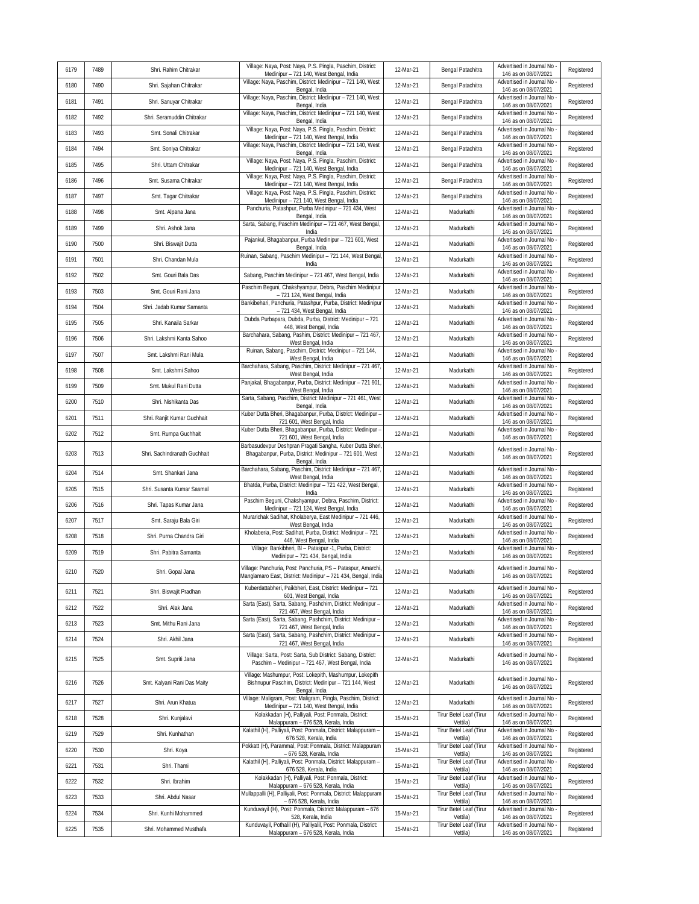|      |      |                              | Village: Naya, Post: Naya, P.S. Pingla, Paschim, District:                                                                         |           |                                     | Advertised in Journal No                           |            |
|------|------|------------------------------|------------------------------------------------------------------------------------------------------------------------------------|-----------|-------------------------------------|----------------------------------------------------|------------|
| 6179 | 7489 | Shri. Rahim Chitrakar        | Medinipur - 721 140, West Bengal, India<br>Village: Naya, Paschim, District: Medinipur - 721 140, West                             | 12-Mar-21 | Bengal Patachitra                   | 146 as on 08/07/2021<br>Advertised in Journal No   | Registered |
| 6180 | 7490 | Shri. Sajahan Chitrakar      | Bengal, India<br>Village: Naya, Paschim, District: Medinipur - 721 140, West                                                       | 12-Mar-21 | Bengal Patachitra                   | 146 as on 08/07/2021<br>Advertised in Journal No   | Registered |
| 6181 | 7491 | Shri. Sanuyar Chitrakar      | Bengal, India<br>Village: Naya, Paschim, District: Medinipur - 721 140, West                                                       | 12-Mar-21 | Bengal Patachitra                   | 146 as on 08/07/2021<br>Advertised in Journal No   | Registered |
| 6182 | 7492 | Shri. Seramuddin Chitrakar   | Bengal, India<br>Village: Naya, Post: Naya, P.S. Pingla, Paschim, District:                                                        | 12-Mar-21 | Bengal Patachitra                   | 146 as on 08/07/2021<br>Advertised in Journal No   | Registered |
| 6183 | 7493 | Smt. Sonali Chitrakar        | Medinipur - 721 140, West Bengal, India<br>Village: Naya, Paschim, District: Medinipur - 721 140, West                             | 12-Mar-21 | Bengal Patachitra                   | 146 as on 08/07/2021                               | Registered |
| 6184 | 7494 | Smt. Soniya Chitrakar        | Bengal, India                                                                                                                      | 12-Mar-21 | Bengal Patachitra                   | Advertised in Journal No<br>146 as on 08/07/2021   | Registered |
| 6185 | 7495 | Shri. Uttam Chitrakar        | Village: Naya, Post: Naya, P.S. Pingla, Paschim, District:<br>Medinipur - 721 140, West Bengal, India                              | 12-Mar-21 | Bengal Patachitra                   | Advertised in Journal No<br>146 as on 08/07/2021   | Registered |
| 6186 | 7496 | Smt. Susama Chitrakar        | Village: Naya, Post: Naya, P.S. Pingla, Paschim, District:<br>Medinipur - 721 140, West Bengal, India                              | 12-Mar-21 | Bengal Patachitra                   | Advertised in Journal No<br>146 as on 08/07/2021   | Registered |
| 6187 | 7497 | Smt. Tagar Chitrakar         | Village: Naya, Post: Naya, P.S. Pingla, Paschim, District:<br>Medinipur - 721 140, West Bengal, India                              | 12-Mar-21 | Bengal Patachitra                   | Advertised in Journal No<br>146 as on 08/07/2021   | Registered |
| 6188 | 7498 | Smt. Alpana Jana             | Panchuria, Patashpur, Purba Medinipur - 721 434, West<br>Bengal, India                                                             | 12-Mar-21 | Madurkathi                          | Advertised in Journal No<br>146 as on 08/07/2021   | Registered |
| 6189 | 7499 | Shri. Ashok Jana             | Sarta, Sabang, Paschim Medinipur - 721 467, West Bengal,<br>India                                                                  | 12-Mar-21 | Madurkathi                          | Advertised in Journal No<br>146 as on 08/07/2021   | Registered |
| 6190 | 7500 | Shri. Biswajit Dutta         | Pajankul, Bhagabanpur, Purba Medinipur - 721 601, West<br>Bengal, India                                                            | 12-Mar-21 | Madurkathi                          | Advertised in Journal No<br>146 as on 08/07/2021   | Registered |
| 6191 | 7501 | Shri. Chandan Mula           | Ruinan, Sabang, Paschim Medinipur - 721 144, West Bengal<br>India                                                                  | 12-Mar-21 | Madurkathi                          | Advertised in Journal No<br>146 as on 08/07/2021   | Registered |
| 6192 | 7502 | Smt. Gouri Bala Das          | Sabang, Paschim Medinipur - 721 467, West Bengal, India                                                                            | 12-Mar-21 | Madurkathi                          | Advertised in Journal No<br>146 as on 08/07/2021   | Registered |
| 6193 | 7503 | Smt. Gouri Rani Jana         | Paschim Beguni, Chakshyampur, Debra, Paschim Medinipur<br>- 721 124, West Bengal, India                                            | 12-Mar-21 | Madurkathi                          | Advertised in Journal No<br>146 as on 08/07/2021   | Registered |
| 6194 | 7504 | Shri. Jadab Kumar Samanta    | Bankibehari, Panchuria, Patashpur, Purba, District: Medinipur<br>- 721 434, West Bengal, India                                     | 12-Mar-21 | Madurkathi                          | Advertised in Journal No<br>146 as on 08/07/2021   | Registered |
| 6195 | 7505 | Shri. Kanaila Sarkar         | Dubda Purbapara, Dubda, Purba, District: Medinipur - 721<br>448, West Bengal, India                                                | 12-Mar-21 | Madurkathi                          | Advertised in Journal No<br>146 as on 08/07/2021   | Registered |
| 6196 | 7506 | Shri. Lakshmi Kanta Sahoo    | Barchahara, Sabang, Pashim, District: Medinipur - 721 467,<br>West Bengal, India                                                   | 12-Mar-21 | Madurkathi                          | Advertised in Journal No<br>146 as on 08/07/2021   | Registered |
| 6197 | 7507 | Smt. Lakshmi Rani Mula       | Ruinan, Sabang, Paschim, District: Medinipur - 721 144,<br>West Bengal, India                                                      | 12-Mar-21 | Madurkathi                          | Advertised in Journal No<br>146 as on 08/07/2021   | Registered |
| 6198 | 7508 | Smt. Lakshmi Sahoo           | Barchahara, Sabang, Paschim, District: Medinipur - 721 467<br>West Bengal, India                                                   | 12-Mar-21 | Madurkathi                          | Advertised in Journal No<br>146 as on 08/07/2021   | Registered |
| 6199 | 7509 | Smt. Mukul Rani Dutta        | Panjakal, Bhagabanpur, Purba, District: Medinipur - 721 601<br>West Bengal, India                                                  | 12-Mar-21 | Madurkathi                          | Advertised in Journal No<br>146 as on 08/07/2021   | Registered |
| 6200 | 7510 | Shri. Nishikanta Das         | Sarta, Sabang, Paschim, District: Medinipur - 721 461, West<br>Bengal, India                                                       | 12-Mar-21 | Madurkathi                          | Advertised in Journal No<br>146 as on 08/07/2021   | Registered |
| 6201 | 7511 | Shri. Ranjit Kumar Guchhait  | Kuber Dutta Bheri, Bhagabanpur, Purba, District: Medinipur -<br>721 601, West Bengal, India                                        | 12-Mar-21 | Madurkathi                          | Advertised in Journal No<br>146 as on 08/07/2021   | Registered |
| 6202 | 7512 | Smt. Rumpa Guchhait          | Kuber Dutta Bheri, Bhagabanpur, Purba, District: Medinipur -<br>721 601, West Bengal, India                                        | 12-Mar-21 | Madurkathi                          | Advertised in Journal No<br>146 as on 08/07/2021   | Registered |
|      |      |                              | Barbasudevpur Deshpran Pragati Sangha, Kuber Dutta Bheri                                                                           |           |                                     | Advertised in Journal No                           |            |
| 6203 | 7513 | Shri. Sachindranath Guchhait | Bhagabanpur, Purba, District: Medinipur - 721 601, West<br>Bengal, India                                                           | 12-Mar-21 | Madurkathi                          | 146 as on 08/07/2021                               | Registered |
| 6204 | 7514 | Smt. Shankari Jana           | Barchahara, Sabang, Paschim, District: Medinipur - 721 467<br>West Bengal, India                                                   | 12-Mar-21 | Madurkathi                          | Advertised in Journal No<br>146 as on 08/07/2021   | Registered |
| 6205 | 7515 | Shri. Susanta Kumar Sasmal   | Bhatda, Purba, District: Medinipur - 721 422, West Bengal,<br>India                                                                | 12-Mar-21 | Madurkathi                          | Advertised in Journal No<br>146 as on 08/07/2021   | Registered |
| 6206 | 7516 | Shri. Tapas Kumar Jana       | Paschim Beguni, Chakshyampur, Debra, Paschim, District:<br>Medinipur - 721 124, West Bengal, India                                 | 12-Mar-21 | Madurkathi                          | Advertised in Journal No<br>146 as on 08/07/2021   | Registered |
| 6207 | 7517 | Smt. Saraju Bala Giri        | Murarichak Sadihat, Kholaberya, East Medinipur - 721 446,<br>West Bengal, India                                                    | 12-Mar-21 | Madurkathi                          | Advertised in Journal No<br>146 as on 08/07/2021   | Registered |
| 6208 | 7518 | Shri. Purna Chandra Giri     | Kholaberia, Post: Sadihat, Purba, District: Medinipur - 721<br>446, West Bengal, India                                             | 12-Mar-21 | Madurkathi                          | Advertised in Journal No<br>146 as on 08/07/2021   | Registered |
| 6209 | 7519 | Shri. Pabitra Samanta        | Village: Bankibheri, BI - Pataspur -1, Purba, District:<br>Medinipur - 721 434, Bengal, India                                      | 12-Mar-21 | Madurkathi                          | Advertised in Journal No<br>146 as on 08/07/2021   | Registered |
| 6210 | 7520 | Shri. Gopal Jana             | Village: Panchuria, Post: Panchuria, PS - Pataspur, Amarchi,<br>Manglamaro East, District: Medinipur - 721 434, Bengal, India      | 12-Mar-21 | Madurkathi                          | Advertised in Journal No -<br>146 as on 08/07/2021 | Registered |
| 6211 | 7521 | Shri. Biswajit Pradhan       | Kuberdattabheri, Paikbheri, East, District: Medinipur - 721<br>601, West Bengal, India                                             | 12-Mar-21 | Madurkathi                          | Advertised in Journal No -<br>146 as on 08/07/2021 | Registered |
| 6212 | 7522 | Shri. Alak Jana              | Sarta (East), Sarta, Sabang, Pashchim, District: Medinipur -<br>721 467, West Bengal, India                                        | 12-Mar-21 | Madurkathi                          | Advertised in Journal No<br>146 as on 08/07/2021   | Registered |
| 6213 | 7523 | Smt. Mithu Rani Jana         | Sarta (East), Sarta, Sabang, Pashchim, District: Medinipur -<br>721 467, West Bengal, India                                        | 12-Mar-21 | Madurkathi                          | Advertised in Journal No -<br>146 as on 08/07/2021 | Registered |
| 6214 | 7524 | Shri. Akhil Jana             | Sarta (East), Sarta, Sabang, Pashchim, District: Medinipur -<br>721 467, West Bengal, India                                        | 12-Mar-21 | Madurkathi                          | Advertised in Journal No<br>146 as on 08/07/2021   | Registered |
| 6215 | 7525 | Smt. Supriti Jana            | Village: Sarta, Post: Sarta, Sub District: Sabang, District:<br>Paschim - Medinipur - 721 467, West Bengal, India                  | 12-Mar-21 | Madurkathi                          | Advertised in Journal No<br>146 as on 08/07/2021   | Registered |
| 6216 | 7526 | Smt. Kalyani Rani Das Maity  | Village: Mashumpur, Post: Lokepith, Mashumpur, Lokepith<br>Bishnupur Paschim, District: Medinipur - 721 144, West<br>Bengal, India | 12-Mar-21 | Madurkathi                          | Advertised in Journal No<br>146 as on 08/07/2021   | Registered |
| 6217 | 7527 | Shri. Arun Khatua            | Village: Maligram, Post: Maligram, Pingla, Paschim, District:<br>Medinipur - 721 140, West Bengal, India                           | 12-Mar-21 | Madurkathi                          | Advertised in Journal No -<br>146 as on 08/07/2021 | Registered |
| 6218 | 7528 | Shri. Kunjalavi              | Kolakkadan (H), Palliyali, Post: Ponmala, District:<br>Malappuram - 676 528, Kerala, India                                         | 15-Mar-21 | Tirur Betel Leaf (Tirur<br>Vettila) | Advertised in Journal No<br>146 as on 08/07/2021   | Registered |
| 6219 | 7529 | Shri. Kunhathan              | Kalathil (H), Palliyali, Post: Ponmala, District: Malappuram -<br>676 528, Kerala, India                                           | 15-Mar-21 | Tirur Betel Leaf (Tirur<br>Vettila) | Advertised in Journal No<br>146 as on 08/07/2021   | Registered |
| 6220 | 7530 | Shri. Koya                   | Pokkatt (H), Parammal, Post: Ponmala, District: Malappuram<br>- 676 528, Kerala, India                                             | 15-Mar-21 | Tirur Betel Leaf (Tirur<br>Vettila) | Advertised in Journal No<br>146 as on 08/07/2021   | Registered |
| 6221 | 7531 | Shri. Thami                  | Kalathil (H), Palliyali, Post: Ponmala, District: Malappuram -<br>676 528, Kerala, India                                           | 15-Mar-21 | Tirur Betel Leaf (Tirur<br>Vettila) | Advertised in Journal No<br>146 as on 08/07/2021   | Registered |
| 6222 | 7532 | Shri. Ibrahim                | Kolakkadan (H), Palliyali, Post: Ponmala, District:<br>Malappuram - 676 528, Kerala, India                                         | 15-Mar-21 | Tirur Betel Leaf (Tirur<br>Vettila) | Advertised in Journal No<br>146 as on 08/07/2021   | Registered |
| 6223 | 7533 | Shri. Abdul Nasar            | Mullappalli (H), Palliyali, Post: Ponmala, District: Malappuram<br>- 676 528, Kerala, India                                        | 15-Mar-21 | Tirur Betel Leaf (Tirur<br>Vettila) | Advertised in Journal No<br>146 as on 08/07/2021   | Registered |
| 6224 | 7534 | Shri. Kunhi Mohammed         | Kunduvayil (H), Post: Ponmala, District: Malappuram - 676<br>528, Kerala, India                                                    | 15-Mar-21 | Tirur Betel Leaf (Tirur<br>Vettila) | Advertised in Journal No<br>146 as on 08/07/2021   | Registered |
| 6225 | 7535 | Shri. Mohammed Musthafa      | Kunduvayil, Pothalil (H), Palliyalil, Post: Ponmala, District:<br>Malappuram - 676 528, Kerala, India                              | 15-Mar-21 | Tirur Betel Leaf (Tirur<br>Vettila) | Advertised in Journal No<br>146 as on 08/07/2021   | Registered |
|      |      |                              |                                                                                                                                    |           |                                     |                                                    |            |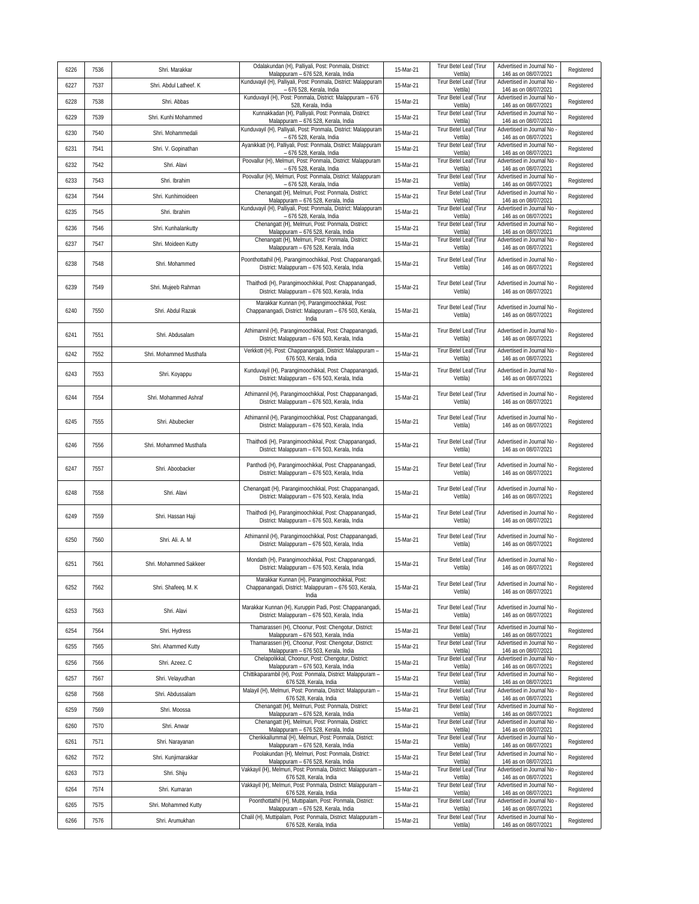| 6226 | 7536 | Shri. Marakkar          | Odalakundan (H), Palliyali, Post: Ponmala, District:<br>Malappuram - 676 528, Kerala, India                      | 15-Mar-21 | Tirur Betel Leaf (Tirur<br>Vettila) | Advertised in Journal No<br>146 as on 08/07/2021   | Registered |
|------|------|-------------------------|------------------------------------------------------------------------------------------------------------------|-----------|-------------------------------------|----------------------------------------------------|------------|
| 6227 | 7537 | Shri. Abdul Latheef. K  | Kunduvayil (H), Palliyali, Post: Ponmala, District: Malappuram<br>- 676 528, Kerala, India                       | 15-Mar-21 | Tirur Betel Leaf (Tirur<br>Vettila) | Advertised in Journal No<br>146 as on 08/07/2021   | Registered |
| 6228 | 7538 | Shri. Abbas             | Kunduvayil (H), Post: Ponmala, District: Malappuram - 676<br>528, Kerala, India                                  | 15-Mar-21 | Tirur Betel Leaf (Tirur<br>Vettila) | Advertised in Journal No<br>146 as on 08/07/2021   | Registered |
| 6229 | 7539 | Shri. Kunhi Mohammed    | Kunnakkadan (H), Palliyali, Post: Ponmala, District:<br>Malappuram - 676 528, Kerala, India                      | 15-Mar-21 | Tirur Betel Leaf (Tirur<br>Vettila) | Advertised in Journal No<br>146 as on 08/07/2021   | Registered |
| 6230 | 7540 | Shri. Mohammedali       | Kunduvayil (H), Palliyali, Post: Ponmala, District: Malappuram<br>- 676 528, Kerala, India                       | 15-Mar-21 | Tirur Betel Leaf (Tirur<br>Vettila) | Advertised in Journal No<br>146 as on 08/07/2021   | Registered |
| 6231 | 7541 | Shri. V. Gopinathan     | Ayanikkatt (H), Palliyali, Post: Ponmala, District: Malappuram<br>- 676 528, Kerala, India                       | 15-Mar-21 | Tirur Betel Leaf (Tirur<br>Vettila) | Advertised in Journal No<br>146 as on 08/07/2021   | Registered |
| 6232 | 7542 | Shri. Alavi             | Poovallur (H), Melmuri, Post: Ponmala, District: Malappuram<br>- 676 528, Kerala, India                          | 15-Mar-21 | Tirur Betel Leaf (Tirur<br>Vettila) | Advertised in Journal No<br>146 as on 08/07/2021   | Registered |
| 6233 | 7543 | Shri. Ibrahim           | Poovallur (H), Melmuri, Post: Ponmala, District: Malappuram<br>- 676 528, Kerala, India                          | 15-Mar-21 | Tirur Betel Leaf (Tirur<br>Vettila) | Advertised in Journal No<br>146 as on 08/07/2021   | Registered |
| 6234 | 7544 | Shri. Kunhimoideen      | Chenangatt (H), Melmuri, Post: Ponmala, District:<br>Malappuram - 676 528, Kerala, India                         | 15-Mar-21 | Tirur Betel Leaf (Tirur<br>Vettila) | Advertised in Journal No<br>146 as on 08/07/2021   | Registered |
| 6235 | 7545 | Shri. Ibrahim           | Kunduvayil (H), Palliyali, Post: Ponmala, District: Malappuram<br>- 676 528, Kerala, India                       | 15-Mar-21 | Tirur Betel Leaf (Tirur<br>Vettila) | Advertised in Journal No<br>146 as on 08/07/2021   | Registered |
| 6236 | 7546 | Shri. Kunhalankutty     | Chenangatt (H), Melmuri, Post: Ponmala, District:<br>Malappuram - 676 528, Kerala, India                         | 15-Mar-21 | Tirur Betel Leaf (Tirur<br>Vettila) | Advertised in Journal No<br>146 as on 08/07/2021   | Registered |
| 6237 | 7547 | Shri. Moideen Kutty     | Chenangatt (H), Melmuri, Post: Ponmala, District:<br>Malappuram - 676 528, Kerala, India                         | 15-Mar-21 | Tirur Betel Leaf (Tirur<br>Vettila) | Advertised in Journal No<br>146 as on 08/07/2021   | Registered |
| 6238 | 7548 | Shri. Mohammed          | Poonthottathil (H), Parangimoochikkal, Post: Chappanangadi,<br>District: Malappuram - 676 503, Kerala, India     | 15-Mar-21 | Tirur Betel Leaf (Tirur<br>Vettila) | Advertised in Journal No<br>146 as on 08/07/2021   | Registered |
| 6239 | 7549 | Shri. Mujeeb Rahman     | Thaithodi (H), Parangimoochikkal, Post: Chappanangadi,<br>District: Malappuram - 676 503, Kerala, India          | 15-Mar-21 | Tirur Betel Leaf (Tirur<br>Vettila) | Advertised in Journal No<br>146 as on 08/07/2021   | Registered |
| 6240 | 7550 | Shri. Abdul Razak       | Marakkar Kunnan (H), Parangimoochikkal, Post:<br>Chappanangadi, District: Malappuram - 676 503, Kerala,<br>India | 15-Mar-21 | Tirur Betel Leaf (Tirur<br>Vettila) | Advertised in Journal No<br>146 as on 08/07/2021   | Registered |
| 6241 | 7551 | Shri. Abdusalam         | Athimannil (H), Parangimoochikkal, Post: Chappanangadi,<br>District: Malappuram - 676 503, Kerala, India         | 15-Mar-21 | Tirur Betel Leaf (Tirur<br>Vettila) | Advertised in Journal No<br>146 as on 08/07/2021   | Registered |
| 6242 | 7552 | Shri. Mohammed Musthafa | Verkkott (H), Post: Chappanangadi, District: Malappuram -<br>676 503. Kerala, India                              | 15-Mar-21 | Tirur Betel Leaf (Tirur<br>Vettila) | Advertised in Journal No<br>146 as on 08/07/2021   | Registered |
| 6243 | 7553 | Shri. Koyappu           | Kunduvayil (H), Parangimoochikkal, Post: Chappanangadi,<br>District: Malappuram - 676 503, Kerala, India         | 15-Mar-21 | Tirur Betel Leaf (Tirur<br>Vettila) | Advertised in Journal No<br>146 as on 08/07/2021   | Registered |
| 6244 | 7554 | Shri. Mohammed Ashraf   | Athimannil (H), Parangimoochikkal, Post: Chappanangadi,<br>District: Malappuram - 676 503, Kerala, India         | 15-Mar-21 | Tirur Betel Leaf (Tirur<br>Vettila) | Advertised in Journal No<br>146 as on 08/07/2021   | Registered |
| 6245 | 7555 | Shri. Abubecker         | Athimannil (H), Parangimoochikkal, Post: Chappanangadi,<br>District: Malappuram - 676 503, Kerala, India         | 15-Mar-21 | Tirur Betel Leaf (Tirur<br>Vettila) | Advertised in Journal No<br>146 as on 08/07/2021   | Registered |
| 6246 | 7556 | Shri. Mohammed Musthafa | Thaithodi (H), Parangimoochikkal, Post: Chappanangadi,<br>District: Malappuram - 676 503, Kerala, India          | 15-Mar-21 | Tirur Betel Leaf (Tirur<br>Vettila) | Advertised in Journal No<br>146 as on 08/07/2021   | Registered |
| 6247 | 7557 | Shri. Aboobacker        | Panthodi (H), Parangimoochikkal, Post: Chappanangadi,<br>District: Malappuram - 676 503, Kerala, India           | 15-Mar-21 | Tirur Betel Leaf (Tirur<br>Vettila) | Advertised in Journal No<br>146 as on 08/07/2021   | Registered |
| 6248 | 7558 | Shri. Alavi             | Chenangatt (H), Parangimoochikkal, Post: Chappanangadi,<br>District: Malappuram - 676 503, Kerala, India         | 15-Mar-21 | Tirur Betel Leaf (Tirur<br>Vettila) | Advertised in Journal No<br>146 as on 08/07/2021   | Registered |
| 6249 | 7559 | Shri. Hassan Haji       | Thaithodi (H), Parangimoochikkal, Post: Chappanangadi,<br>District: Malappuram - 676 503, Kerala, India          | 15-Mar-21 | Tirur Betel Leaf (Tirur<br>Vettila) | Advertised in Journal No<br>146 as on 08/07/2021   | Registered |
| 6250 | 7560 | Shri. Ali. A. M         | Athimannil (H), Parangimoochikkal, Post: Chappanangadi,<br>District: Malappuram - 676 503, Kerala, India         | 15-Mar-21 | Tirur Betel Leaf (Tirur<br>Vettila) | Advertised in Journal No<br>146 as on 08/07/2021   | Registered |
| 6251 | 7561 | Shri, Mohammed Sakkeer  | Mondath (H), Parangimoochikkal, Post: Chappanangadi,<br>District: Malappuram - 676 503, Kerala, India            | 15-Mar-21 | Tirur Betel Leaf (Tirur<br>Vettila) | Advertised in Journal No<br>146 as on 08/07/2021   | Registered |
| 6252 | 7562 | Shri. Shafeeq. M. K     | Marakkar Kunnan (H), Parangimoochikkal, Post:<br>Chappanangadi, District: Malappuram - 676 503, Kerala,<br>India | 15-Mar-21 | Tirur Betel Leaf (Tirur<br>Vettila) | Advertised in Journal No<br>146 as on 08/07/2021   | Registered |
| 6253 | 7563 | Shri. Alavi             | Marakkar Kunnan (H), Kuruppin Padi, Post: Chappanangadi,<br>District: Malappuram - 676 503, Kerala, India        | 15-Mar-21 | Tirur Betel Leaf (Tirur<br>Vettila) | Advertised in Journal No<br>146 as on 08/07/2021   | Registered |
| 6254 | 7564 | Shri. Hydress           | Thamarasseri (H), Choonur, Post: Chengotur, District:<br>Malappuram - 676 503, Kerala, India                     | 15-Mar-21 | Tirur Betel Leaf (Tirur<br>Vettila) | Advertised in Journal No<br>146 as on 08/07/2021   | Registered |
| 6255 | 7565 | Shri. Ahammed Kutty     | Thamarasseri (H), Choonur, Post: Chengotur, District:<br>Malappuram - 676 503, Kerala, India                     | 15-Mar-21 | Tirur Betel Leaf (Tirur<br>Vettila) | Advertised in Journal No<br>146 as on 08/07/2021   | Registered |
| 6256 | 7566 | Shri. Azeez. C          | Chelapolikkal, Choonur, Post: Chengotur, District:<br>Malappuram - 676 503, Kerala, India                        | 15-Mar-21 | Tirur Betel Leaf (Tirur<br>Vettila) | Advertised in Journal No<br>146 as on 08/07/2021   | Registered |
| 6257 | 7567 | Shri. Velayudhan        | Chittikaparambil (H), Post: Ponmala, District: Malappuram -<br>676 528, Kerala, India                            | 15-Mar-21 | Tirur Betel Leaf (Tirur<br>Vettila) | Advertised in Journal No<br>146 as on 08/07/2021   | Registered |
| 6258 | 7568 | Shri. Abdussalam        | Malayil (H), Melmuri, Post: Ponmala, District: Malappuram -<br>676 528, Kerala, India                            | 15-Mar-21 | Tirur Betel Leaf (Tirur<br>Vettila) | Advertised in Journal No<br>146 as on 08/07/2021   | Registered |
| 6259 | 7569 | Shri. Moossa            | Chenangatt (H), Melmuri, Post: Ponmala, District:<br>Malappuram - 676 528, Kerala, India                         | 15-Mar-21 | Tirur Betel Leaf (Tirur<br>Vettila) | Advertised in Journal No<br>146 as on 08/07/2021   | Registered |
| 6260 | 7570 | Shri. Anwar             | Chenangatt (H), Melmuri, Post: Ponmala, District:<br>Malappuram - 676 528, Kerala, India                         | 15-Mar-21 | Tirur Betel Leaf (Tirur<br>Vettila) | Advertised in Journal No -<br>146 as on 08/07/2021 | Registered |
| 6261 | 7571 | Shri. Narayanan         | Cherikkallummal (H), Melmuri, Post: Ponmala, District:<br>Malappuram - 676 528, Kerala, India                    | 15-Mar-21 | Tirur Betel Leaf (Tirur<br>Vettila) | Advertised in Journal No<br>146 as on 08/07/2021   | Registered |
| 6262 | 7572 | Shri. Kunjimarakkar     | Poolakundan (H), Melmuri, Post: Ponmala, District:<br>Malappuram - 676 528, Kerala, India                        | 15-Mar-21 | Tirur Betel Leaf (Tirur<br>Vettila) | Advertised in Journal No<br>146 as on 08/07/2021   | Registered |
| 6263 | 7573 | Shri. Shiju             | Vakkayil (H), Melmuri, Post: Ponmala, District: Malappuram -<br>676 528, Kerala, India                           | 15-Mar-21 | Tirur Betel Leaf (Tirur<br>Vettila) | Advertised in Journal No<br>146 as on 08/07/2021   | Registered |
| 6264 | 7574 | Shri. Kumaran           | Vakkayil (H), Melmuri, Post: Ponmala, District: Malappuram -<br>676 528, Kerala, India                           | 15-Mar-21 | Tirur Betel Leaf (Tirur<br>Vettila) | Advertised in Journal No<br>146 as on 08/07/2021   | Registered |
| 6265 | 7575 | Shri. Mohammed Kutty    | Poonthottathil (H), Muttipalam, Post: Ponmala, District:<br>Malappuram - 676 528, Kerala, India                  | 15-Mar-21 | Tirur Betel Leaf (Tirur<br>Vettila) | Advertised in Journal No<br>146 as on 08/07/2021   | Registered |
| 6266 | 7576 | Shri. Arumukhan         | Chalil (H), Muttipalam, Post: Ponmala, District: Malappuram -<br>676 528, Kerala, India                          | 15-Mar-21 | Tirur Betel Leaf (Tirur<br>Vettila) | Advertised in Journal No<br>146 as on 08/07/2021   | Registered |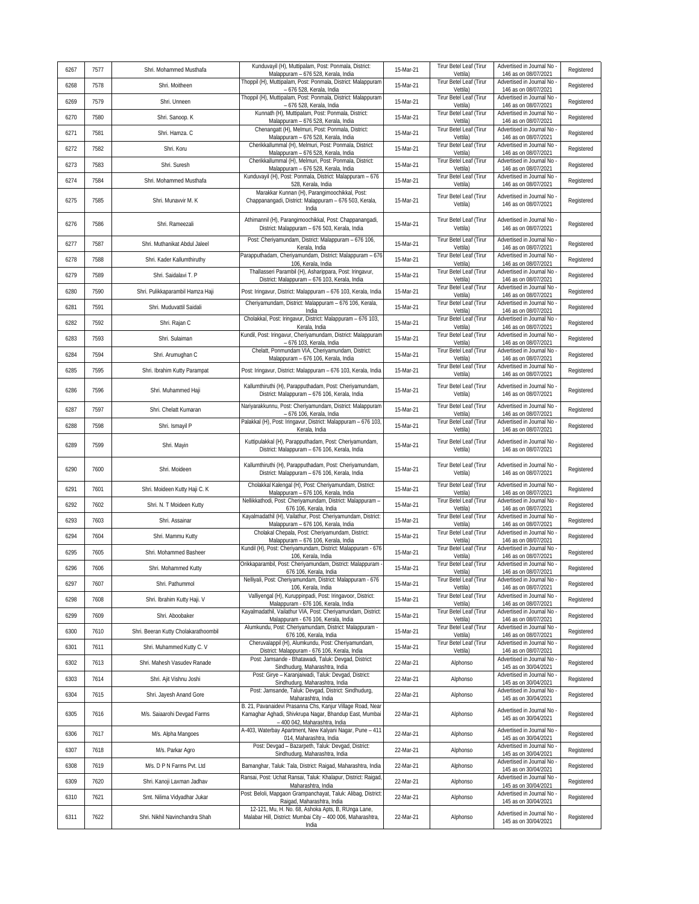| 6267 | 7577 | Shri. Mohammed Musthafa              | Kunduvayil (H), Muttipalam, Post: Ponmala, District:<br>Malappuram - 676 528, Kerala, India                                                              | 15-Mar-21 | Tirur Betel Leaf (Tirur<br>Vettila)        | Advertised in Journal No<br>146 as on 08/07/2021   | Registered |
|------|------|--------------------------------------|----------------------------------------------------------------------------------------------------------------------------------------------------------|-----------|--------------------------------------------|----------------------------------------------------|------------|
| 6268 | 7578 | Shri. Moitheen                       | Thoppil (H), Muttipalam, Post: Ponmala, District: Malappuram<br>- 676 528, Kerala, India                                                                 | 15-Mar-21 | Tirur Betel Leaf (Tirur<br>Vettila)        | Advertised in Journal No<br>146 as on 08/07/2021   | Registered |
| 6269 | 7579 | Shri. Unneen                         | Thoppil (H), Muttipalam, Post: Ponmala, District: Malappuram<br>- 676 528, Kerala, India                                                                 | 15-Mar-21 | Tirur Betel Leaf (Tirur<br>Vettila)        | Advertised in Journal No<br>146 as on 08/07/2021   | Registered |
| 6270 | 7580 | Shri. Sanoop. K                      | Kunnath (H), Muttipalam, Post: Ponmala, District:<br>Malappuram - 676 528, Kerala, India                                                                 | 15-Mar-21 | Tirur Betel Leaf (Tirur<br>Vettila)        | Advertised in Journal No<br>146 as on 08/07/2021   | Registered |
| 6271 | 7581 | Shri, Hamza, C                       | Chenangatt (H), Melmuri, Post: Ponmala, District:<br>Malappuram - 676 528, Kerala, India                                                                 | 15-Mar-21 | Tirur Betel Leaf (Tirur<br>Vettila)        | Advertised in Journal No<br>146 as on 08/07/2021   | Registered |
| 6272 | 7582 | Shri. Koru                           | Cherikkallummal (H), Melmuri, Post: Ponmala, District:<br>Malappuram - 676 528, Kerala, India                                                            | 15-Mar-21 | Tirur Betel Leaf (Tirur<br>Vettila)        | Advertised in Journal No<br>146 as on 08/07/2021   | Registered |
| 6273 | 7583 | Shri. Suresh                         | Cherikkallummal (H), Melmuri, Post: Ponmala, District:<br>Malappuram - 676 528, Kerala, India                                                            | 15-Mar-21 | Tirur Betel Leaf (Tirur<br>Vettila)        | Advertised in Journal No<br>146 as on 08/07/2021   | Registered |
| 6274 | 7584 | Shri. Mohammed Musthafa              | Kunduvayil (H), Post: Ponmala, District: Malappuram - 676<br>528, Kerala, India                                                                          | 15-Mar-21 | Tirur Betel Leaf (Tirur<br>Vettila)        | Advertised in Journal No<br>146 as on 08/07/2021   | Registered |
| 6275 | 7585 | Shri, Munavvir M. K.                 | Marakkar Kunnan (H), Parangimoochikkal, Post:<br>Chappanangadi, District: Malappuram - 676 503, Kerala,<br>India                                         | 15-Mar-21 | Tirur Betel Leaf (Tirur<br>Vettila)        | Advertised in Journal No<br>146 as on 08/07/2021   | Registered |
| 6276 | 7586 | Shri. Rameezali                      | Athimannil (H), Parangimoochikkal, Post: Chappanangadi,<br>District: Malappuram - 676 503, Kerala, India                                                 | 15-Mar-21 | Tirur Betel Leaf (Tirur<br>Vettila)        | Advertised in Journal No<br>146 as on 08/07/2021   | Registered |
| 6277 | 7587 | Shri. Muthanikat Abdul Jaleel        | Post: Cheriyamundam, District: Malappuram - 676 106,<br>Kerala, India                                                                                    | 15-Mar-21 | Tirur Betel Leaf (Tirur<br>Vettila)        | Advertised in Journal No<br>146 as on 08/07/2021   | Registered |
| 6278 | 7588 | Shri. Kader Kallumthiruthy           | Parapputhadam, Cheriyamundam, District: Malappuram - 676<br>106, Kerala, India                                                                           | 15-Mar-21 | Tirur Betel Leaf (Tirur<br>Vettila)        | Advertised in Journal No<br>146 as on 08/07/2021   | Registered |
| 6279 | 7589 | Shri. Saidalavi T. P                 | Thallasseri Parambil (H), Asharippara, Post: Iringavur,<br>District: Malappuram - 676 103, Kerala, India                                                 | 15-Mar-21 | Tirur Betel Leaf (Tirur<br>Vettila)        | Advertised in Journal No<br>146 as on 08/07/2021   | Registered |
| 6280 | 7590 | Shri. Pulikkaparambil Hamza Haji     | Post: Iringavur, District: Malappuram - 676 103, Kerala, India                                                                                           | 15-Mar-21 | Tirur Betel Leaf (Tirur<br>Vettila)        | Advertised in Journal No<br>146 as on 08/07/2021   | Registered |
| 6281 | 7591 | Shri. Muduvattil Saidali             | Cheriyamundam, District: Malappuram - 676 106, Kerala,<br>India                                                                                          | 15-Mar-21 | Tirur Betel Leaf (Tirur<br>Vettila)        | Advertised in Journal No<br>146 as on 08/07/2021   | Registered |
| 6282 | 7592 | Shri. Rajan C                        | Cholakkal, Post: Iringavur, District: Malappuram - 676 103,<br>Kerala, India                                                                             | 15-Mar-21 | Tirur Betel Leaf (Tirur<br>Vettila)        | Advertised in Journal No<br>146 as on 08/07/2021   | Registered |
| 6283 | 7593 | Shri. Sulaiman                       | Kundil, Post: Iringavur, Cheriyamundam, District: Malappuram<br>- 676 103, Kerala, India                                                                 | 15-Mar-21 | Tirur Betel Leaf (Tirur<br>Vettila)        | Advertised in Journal No<br>146 as on 08/07/2021   | Registered |
| 6284 | 7594 | Shri. Arumughan C                    | Chelatt, Ponmundam VIA, Cheriyamundam, District:<br>Malappuram - 676 106, Kerala, India                                                                  | 15-Mar-21 | Tirur Betel Leaf (Tirur<br>Vettila)        | Advertised in Journal No<br>146 as on 08/07/2021   | Registered |
| 6285 | 7595 | Shri. Ibrahim Kutty Parampat         | Post: Iringavur, District: Malappuram - 676 103, Kerala, India                                                                                           | 15-Mar-21 | Tirur Betel Leaf (Tirur<br>Vettila)        | Advertised in Journal No<br>146 as on 08/07/2021   | Registered |
| 6286 | 7596 | Shri. Muhammed Haji                  | Kallumthiruthi (H), Parapputhadam, Post: Cheriyamundam,<br>District: Malappuram - 676 106, Kerala, India                                                 | 15-Mar-21 | Tirur Betel Leaf (Tirur<br>Vettila)        | Advertised in Journal No -<br>146 as on 08/07/2021 | Registered |
| 6287 | 7597 | Shri. Chelatt Kumaran                | Nariyarakkunnu, Post: Cheriyamundam, District: Malappuram<br>- 676 106, Kerala, India                                                                    | 15-Mar-21 | Tirur Betel Leaf (Tirur<br>Vettila)        | Advertised in Journal No<br>146 as on 08/07/2021   | Registered |
| 6288 | 7598 | Shri. Ismayil P                      | Palakkal (H), Post: Iringavur, District: Malappuram - 676 103,<br>Kerala, India                                                                          | 15-Mar-21 | Tirur Betel Leaf (Tirur<br>Vettila)        | Advertised in Journal No<br>146 as on 08/07/2021   | Registered |
| 6289 | 7599 | Shri. Mayin                          | Kuttipulakkal (H), Parapputhadam, Post: Cheriyamundam,<br>District: Malappuram - 676 106, Kerala, India                                                  | 15-Mar-21 | Tirur Betel Leaf (Tirur<br>Vettila)        | Advertised in Journal No<br>146 as on 08/07/2021   | Registered |
| 6290 | 7600 | Shri. Moideen                        | Kallumthiruthi (H), Parapputhadam, Post: Cheriyamundam,<br>District: Malappuram - 676 106, Kerala, India                                                 | 15-Mar-21 | Tirur Betel Leaf (Tirur<br>Vettila)        | Advertised in Journal No<br>146 as on 08/07/2021   | Registered |
| 6291 | 7601 | Shri. Moideen Kutty Haji C. K        | Cholakkal Kalengal (H), Post: Cheriyamundam, District:<br>Malappuram - 676 106, Kerala, India                                                            | 15-Mar-21 | Tirur Betel Leaf (Tirur<br>Vettila)        | Advertised in Journal No<br>146 as on 08/07/2021   | Registered |
| 6292 | 7602 | Shri. N. T Moideen Kutty             | Nellikkathodi, Post: Cheriyamundam, District: Malappuram -<br>676 106, Kerala, India                                                                     | 15-Mar-21 | Tirur Betel Leaf (Tirur<br>Vettila)        | Advertised in Journal No<br>146 as on 08/07/2021   | Registered |
| 6293 | 7603 | Shri. Assainar                       | Kayalmadathil (H), Vailathur, Post: Cheriyamundam, District:<br>Malappuram - 676 106, Kerala, India                                                      | 15-Mar-21 | Tirur Betel Leaf (Tirur<br>Vettila)        | Advertised in Journal No<br>146 as on 08/07/2021   | Registered |
| 6294 | 7604 | Shri. Mammu Kutty                    | Cholakal Chepala, Post: Cheriyamundam, District:<br>Malappuram - 676 106, Kerala, India                                                                  | 15-Mar-21 | Tirur Betel Leaf (Tirur<br>Vettila)        | Advertised in Journal No<br>146 as on 08/07/2021   | Registered |
| 6295 | 7605 | Shri. Mohammed Basheer               | Kundil (H), Post: Cheriyamundam, District: Malappuram - 676<br>106, Kerala, India                                                                        | 15-Mar-21 | Tirur Betel Leaf (Tirur<br>Vettila)        | Advertised in Journal No<br>146 as on 08/07/2021   | Registered |
| 6296 | 7606 | Shri. Mohammed Kutty                 | Orikkaparambil, Post: Cheriyamundam, District: Malappuram -<br>676 106. Kerala, India                                                                    | 15-Mar-21 | Tirur Betel Leaf (Tirur<br>Vettila)        | Advertised in Journal No<br>146 as on 08/07/2021   | Registered |
| 6297 | 7607 | Shri. Pathummol                      | Nelliyali, Post: Cheriyamundam, District: Malappuram - 676<br>106, Kerala, India                                                                         | 15-Mar-21 | Tirur Betel Leaf (Tirur<br>Vettila)        | Advertised in Journal No<br>146 as on 08/07/2021   | Registered |
| 6298 | 7608 | Shri. Ibrahim Kutty Haji. V          | Valliyengal (H), Kuruppinpadi, Post: Iringavoor, District:<br>Malappuram - 676 106, Kerala, India                                                        | 15-Mar-21 | <b>Tirur Betel Leaf (Tirur</b><br>Vettila) | Advertised in Journal No<br>146 as on 08/07/2021   | Registered |
| 6299 | 7609 | Shri. Aboobaker                      | Kayalmadathil, Vailathur VIA, Post: Cheriyamundam, District:<br>Malappuram - 676 106, Kerala, India                                                      | 15-Mar-21 | Tirur Betel Leaf (Tirur<br>Vettila)        | Advertised in Journal No -<br>146 as on 08/07/2021 | Registered |
| 6300 | 7610 | Shri. Beeran Kutty Cholakarathoombil | Alumkundu, Post: Cheriyamundam, District: Malappuram -<br>676 106, Kerala, India                                                                         | 15-Mar-21 | Tirur Betel Leaf (Tirur<br>Vettila)        | Advertised in Journal No<br>146 as on 08/07/2021   | Registered |
| 6301 | 7611 | Shri. Muhammed Kutty C. V            | Cheruvalappil (H), Alumkundu, Post: Cheriyamundam,<br>District: Malappuram - 676 106, Kerala, India                                                      | 15-Mar-21 | Tirur Betel Leaf (Tirur<br>Vettila)        | Advertised in Journal No -<br>146 as on 08/07/2021 | Registered |
| 6302 | 7613 | Shri. Mahesh Vasudev Ranade          | Post: Jamsande - Bhatawadi, Taluk: Devgad, District:<br>Sindhudurq, Maharashtra, India                                                                   | 22-Mar-21 | Alphonso                                   | Advertised in Journal No<br>145 as on 30/04/2021   | Registered |
| 6303 | 7614 | Shri. Ajit Vishnu Joshi              | Post: Girye - Karanjaiwadi, Taluk: Devgad, District:<br>Sindhudurg, Maharashtra, India                                                                   | 22-Mar-21 | Alphonso                                   | Advertised in Journal No<br>145 as on 30/04/2021   | Registered |
| 6304 | 7615 | Shri. Jayesh Anand Gore              | Post: Jamsande, Taluk: Devgad, District: Sindhudurg,<br>Maharashtra, India                                                                               | 22-Mar-21 | Alphonso                                   | Advertised in Journal No<br>145 as on 30/04/2021   | Registered |
| 6305 | 7616 | M/s. Saiaarohi Devgad Farms          | B. 21, Pavanaidevi Prasanna Chs, Kanjur Village Road, Near<br>Kamaghar Aghadi, Shivkrupa Nagar, Bhandup East, Mumbai<br>- 400 042, Maharashtra, India    | 22-Mar-21 | Alphonso                                   | Advertised in Journal No -<br>145 as on 30/04/2021 | Registered |
| 6306 | 7617 | M/s. Alpha Mangoes                   | A-403, Waterbay Apartment, New Kalyani Nagar, Pune - 411<br>014, Maharashtra, India                                                                      | 22-Mar-21 | Alphonso                                   | Advertised in Journal No<br>145 as on 30/04/2021   | Registered |
| 6307 | 7618 | M/s. Parkar Agro                     | Post: Devgad - Bazarpeth, Taluk: Devgad, District:<br>Sindhudurg, Maharashtra, India                                                                     | 22-Mar-21 | Alphonso                                   | Advertised in Journal No -<br>145 as on 30/04/2021 | Registered |
| 6308 | 7619 | M/s. D P N Farms Pvt. Ltd            | Bamanghar, Taluk: Tala, District: Raigad, Maharashtra, India                                                                                             | 22-Mar-21 | Alphonso                                   | Advertised in Journal No<br>145 as on 30/04/2021   | Registered |
| 6309 | 7620 | Shri. Kanoji Laxman Jadhav           | Ransai, Post: Uchat Ransai, Taluk: Khalapur, District: Raigad,<br>Maharashtra, India                                                                     | 22-Mar-21 | Alphonso                                   | Advertised in Journal No<br>145 as on 30/04/2021   | Registered |
| 6310 | 7621 | Smt. Nilima Vidyadhar Jukar          | Post: Beloli, Mapgaon Grampanchayat, Taluk: Alibag, District:                                                                                            | 22-Mar-21 | Alphonso                                   | Advertised in Journal No -<br>145 as on 30/04/2021 | Registered |
| 6311 | 7622 | Shri. Nikhil Navinchandra Shah       | Raigad, Maharashtra, India<br>12-121, Mu, H. No. 68, Ashoka Apts, B, RUnga Lane,<br>Malabar Hill, District: Mumbai City - 400 006, Maharashtra,<br>India | 22-Mar-21 | Alphonso                                   | Advertised in Journal No<br>145 as on 30/04/2021   | Registered |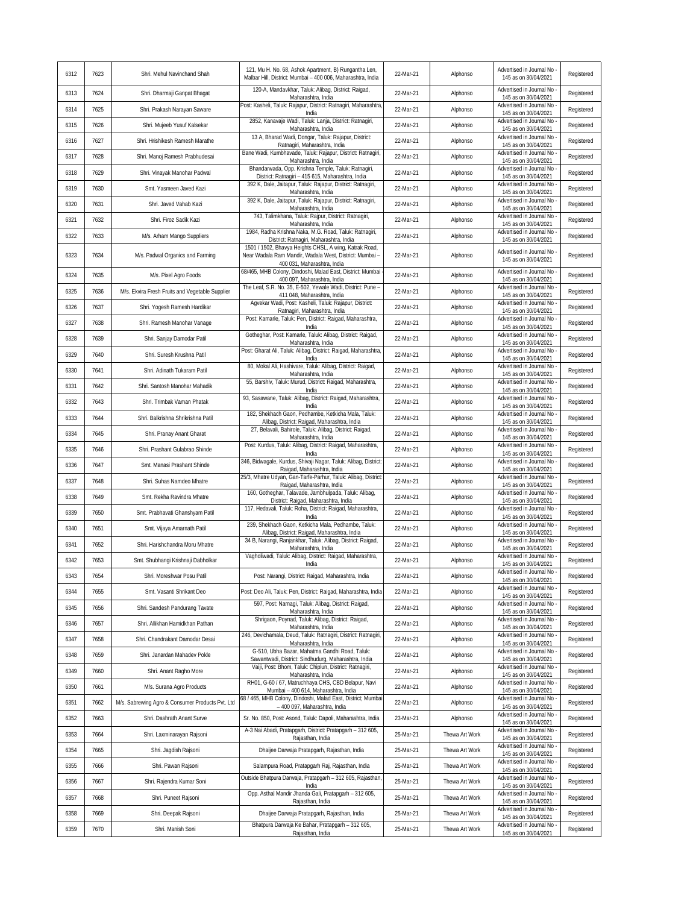| 6312 | 7623 | Shri. Mehul Navinchand Shah                      | 121, Mu H. No. 68, Ashok Apartment, B) Rungantha Len,<br>Malbar Hill, District: Mumbai - 400 006, Maharashtra, India              | 22-Mar-21 | Alphonso       | Advertised in Journal No<br>145 as on 30/04/2021   | Registered |
|------|------|--------------------------------------------------|-----------------------------------------------------------------------------------------------------------------------------------|-----------|----------------|----------------------------------------------------|------------|
| 6313 | 7624 | Shri. Dharmaji Ganpat Bhagat                     | 120-A, Mandavkhar, Taluk: Alibag, District: Raigad,<br>Maharashtra, India                                                         | 22-Mar-21 | Alphonso       | Advertised in Journal No -<br>145 as on 30/04/2021 | Registered |
| 6314 | 7625 | Shri. Prakash Narayan Saware                     | Post: Kasheli, Taluk: Rajapur, District: Ratnagiri, Maharashtra<br>India                                                          | 22-Mar-21 | Alphonso       | Advertised in Journal No -<br>145 as on 30/04/2021 | Registered |
| 6315 | 7626 | Shri. Mujeeb Yusuf Kalsekar                      | 2852, Kanavaje Wadi, Taluk: Lanja, District: Ratnagiri,<br>Maharashtra, India                                                     | 22-Mar-21 | Alphonso       | Advertised in Journal No<br>145 as on 30/04/2021   | Registered |
| 6316 | 7627 | Shri. Hrishikesh Ramesh Marathe                  | 13 A, Bharad Wadi, Dongar, Taluk: Rajapur, District:<br>Ratnagiri, Maharashtra, India                                             | 22-Mar-21 | Alphonso       | Advertised in Journal No<br>145 as on 30/04/2021   | Registered |
| 6317 | 7628 | Shri. Manoj Ramesh Prabhudesai                   | Bane Wadi, Kumbhavade, Taluk: Rajapur, District: Ratnagiri<br>Maharashtra, India                                                  | 22-Mar-21 | Alphonso       | Advertised in Journal No<br>145 as on 30/04/2021   | Registered |
| 6318 | 7629 | Shri. Vinayak Manohar Padwal                     | Bhandarwada, Opp. Krishna Temple, Taluk: Ratnagiri,<br>District: Ratnagiri - 415 615, Maharashtra, India                          | 22-Mar-21 | Alphonso       | Advertised in Journal No<br>145 as on 30/04/2021   | Registered |
| 6319 | 7630 | Smt. Yasmeen Javed Kazi                          | 392 K, Dale, Jaitapur, Taluk: Rajapur, District: Ratnagiri,                                                                       | 22-Mar-21 | Alphonso       | Advertised in Journal No                           | Registered |
| 6320 | 7631 | Shri. Javed Vahab Kazi                           | Maharashtra, India<br>392 K, Dale, Jaitapur, Taluk: Rajapur, District: Ratnagiri,                                                 | 22-Mar-21 | Alphonso       | 145 as on 30/04/2021<br>Advertised in Journal No   | Registered |
| 6321 | 7632 | Shri. Firoz Sadik Kazi                           | Maharashtra, India<br>743, Talimkhana, Taluk: Rajpur, District: Ratnagiri,                                                        | 22-Mar-21 | Alphonso       | 145 as on 30/04/2021<br>Advertised in Journal No   | Registered |
| 6322 | 7633 | M/s. Arham Mango Suppliers                       | Maharashtra, India<br>1984, Radha Krishna Naka, M.G. Road, Taluk: Ratnagiri,                                                      | 22-Mar-21 | Alphonso       | 145 as on 30/04/2021<br>Advertised in Journal No   | Registered |
|      |      |                                                  | District: Ratnagiri, Maharashtra, India<br>1501 / 1502, Bhavya Heights CHSL, A wing, Katrak Road,                                 |           |                | 145 as on 30/04/2021<br>Advertised in Journal No - |            |
| 6323 | 7634 | M/s. Padwal Organics and Farming                 | Near Wadala Ram Mandir, Wadala West, District: Mumbai -<br>400 031, Maharashtra, India                                            | 22-Mar-21 | Alphonso       | 145 as on 30/04/2021                               | Registered |
| 6324 | 7635 | M/s. Pixel Agro Foods                            | 68/465, MHB Colony, Dindoshi, Malad East, District: Mumbai<br>400 097, Maharashtra, India                                         | 22-Mar-21 | Alphonso       | Advertised in Journal No<br>145 as on 30/04/2021   | Registered |
| 6325 | 7636 | M/s. Ekvira Fresh Fruits and Vegetable Supplier  | The Leaf, S.R. No. 35, E-502, Yewale Wadi, District: Pune -<br>411 048, Maharashtra, India                                        | 22-Mar-21 | Alphonso       | Advertised in Journal No<br>145 as on 30/04/2021   | Registered |
| 6326 | 7637 | Shri. Yogesh Ramesh Hardikar                     | Agvekar Wadi, Post: Kasheli, Taluk: Rajapur, District:<br>Ratnagiri, Maharashtra, India                                           | 22-Mar-21 | Alphonso       | Advertised in Journal No<br>145 as on 30/04/2021   | Registered |
| 6327 | 7638 | Shri. Ramesh Manohar Vanage                      | Post: Kamarle, Taluk: Pen, District: Raigad, Maharashtra,<br>India                                                                | 22-Mar-21 | Alphonso       | Advertised in Journal No<br>145 as on 30/04/2021   | Registered |
| 6328 | 7639 | Shri. Sanjay Damodar Patil                       | Gotheghar, Post: Kamarle, Taluk: Alibag, District: Raigad,<br>Maharashtra, India                                                  | 22-Mar-21 | Alphonso       | Advertised in Journal No<br>145 as on 30/04/2021   | Registered |
| 6329 | 7640 | Shri. Suresh Krushna Patil                       | Post: Gharat Ali, Taluk: Alibag, District: Raigad, Maharashtra,<br>India                                                          | 22-Mar-21 | Alphonso       | Advertised in Journal No<br>145 as on 30/04/2021   | Registered |
| 6330 | 7641 | Shri. Adinath Tukaram Patil                      | 80, Mokal Ali, Hashivare, Taluk: Alibag, District: Raigad,<br>Maharashtra, India                                                  | 22-Mar-21 | Alphonso       | Advertised in Journal No -<br>145 as on 30/04/2021 | Registered |
| 6331 | 7642 | Shri. Santosh Manohar Mahadik                    | 55, Barshiv, Taluk: Murud, District: Raigad, Maharashtra,<br>India                                                                | 22-Mar-21 | Alphonso       | Advertised in Journal No<br>145 as on 30/04/2021   | Registered |
| 6332 | 7643 | Shri. Trimbak Vaman Phatak                       | 93, Sasawane, Taluk: Alibag, District: Raigad, Maharashtra,<br>India                                                              | 22-Mar-21 | Alphonso       | Advertised in Journal No -<br>145 as on 30/04/2021 | Registered |
| 6333 | 7644 | Shri. Balkrishna Shrikrishna Patil               | 182, Shekhach Gaon, Pedhambe, Ketkicha Mala, Taluk:<br>Alibag, District: Raigad, Maharashtra, India                               | 22-Mar-21 | Alphonso       | Advertised in Journal No<br>145 as on 30/04/2021   | Registered |
| 6334 | 7645 | Shri. Pranay Anant Gharat                        | 27, Belavali, Bahirole, Taluk: Alibag, District: Raigad,<br>Maharashtra, India                                                    | 22-Mar-21 | Alphonso       | Advertised in Journal No<br>145 as on 30/04/2021   | Registered |
| 6335 | 7646 | Shri. Prashant Gulabrao Shinde                   | Post: Kurdus, Taluk: Alibag, District: Raigad, Maharashtra,<br>India                                                              | 22-Mar-21 | Alphonso       | Advertised in Journal No<br>145 as on 30/04/2021   | Registered |
| 6336 | 7647 | Smt. Manasi Prashant Shinde                      | 346, Bidwagale, Kurdus, Shivaji Nagar, Taluk: Alibag, District:<br>Raigad, Maharashtra, India                                     | 22-Mar-21 | Alphonso       | Advertised in Journal No<br>145 as on 30/04/2021   | Registered |
| 6337 | 7648 | Shri. Suhas Namdeo Mhatre                        | 25/3, Mhatre Udyan, Gan-Tarfe-Parhur, Taluk: Alibag, District<br>Raigad, Maharashtra, India                                       | 22-Mar-21 | Alphonso       | Advertised in Journal No<br>145 as on 30/04/2021   | Registered |
| 6338 | 7649 | Smt. Rekha Ravindra Mhatre                       | 160, Gotheghar, Talavade, Jambhulpada, Taluk: Alibag,<br>District: Raigad, Maharashtra, India                                     | 22-Mar-21 | Alphonso       | Advertised in Journal No -<br>145 as on 30/04/2021 | Registered |
| 6339 | 7650 | Smt. Prabhavati Ghanshyam Patil                  | 117, Hedavali, Taluk: Roha, District: Raigad, Maharashtra,<br>India                                                               | 22-Mar-21 | Alphonso       | Advertised in Journal No<br>145 as on 30/04/2021   | Registered |
| 6340 | 7651 | Smt. Vijaya Amarnath Patil                       | 239, Shekhach Gaon, Ketkicha Mala, Pedhambe, Taluk:                                                                               | 22-Mar-21 | Alphonso       | Advertised in Journal No<br>145 as on 30/04/2021   | Registered |
| 6341 | 7652 | Shri. Harishchandra Moru Mhatre                  | Alibag, District: Raigad, Maharashtra, India<br>34 B, Narangi, Ranjankhar, Taluk: Alibag, District: Raigad,<br>Maharashtra, India | 22-Mar-21 | Alphonso       | Advertised in Journal No<br>145 as on 30/04/2021   | Registered |
| 6342 | 7653 | Smt. Shubhangi Krishnaji Dabholkar               | Vagholiwadi, Taluk: Alibag, District: Raigad, Maharashtra,                                                                        | 22-Mar-21 | Alphonso       | Advertised in Journal No                           | Registered |
| 6343 | 7654 | Shri. Moreshwar Posu Patil                       | India<br>Post: Narangi, District: Raigad, Maharashtra, India                                                                      | 22-Mar-21 | Alphonso       | 145 as on 30/04/2021<br>Advertised in Journal No - | Registered |
| 6344 | 7655 | Smt. Vasanti Shrikant Deo                        | Post: Deo Ali, Taluk: Pen, District: Raigad, Maharashtra, India                                                                   | 22-Mar-21 | Alphonso       | 145 as on 30/04/2021<br>Advertised in Journal No   | Registered |
| 6345 | 7656 | Shri. Sandesh Pandurang Tavate                   | 597, Post: Narnagi, Taluk: Alibag, District: Raigad,                                                                              | 22-Mar-21 | Alphonso       | 145 as on 30/04/2021<br>Advertised in Journal No   | Registered |
| 6346 | 7657 | Shri. Allikhan Hamidkhan Pathan                  | Maharashtra, India<br>Shrigaon, Poynad, Taluk: Alibag, District: Raigad,                                                          | 22-Mar-21 | Alphonso       | 145 as on 30/04/2021<br>Advertised in Journal No - | Registered |
| 6347 | 7658 | Shri. Chandrakant Damodar Desai                  | Maharashtra, India<br>246, Devichamala, Deud, Taluk: Ratnagiri, District: Ratnagiri,                                              | 22-Mar-21 | Alphonso       | 145 as on 30/04/2021<br>Advertised in Journal No   | Registered |
| 6348 | 7659 | Shri. Janardan Mahadev Pokle                     | Maharashtra, India<br>G-510, Ubha Bazar, Mahatma Gandhi Road, Taluk:                                                              | 22-Mar-21 | Alphonso       | 145 as on 30/04/2021<br>Advertised in Journal No - | Registered |
| 6349 | 7660 | Shri. Anant Ragho More                           | Sawantwadi, District: Sindhudurq, Maharashtra, India<br>Vaiji, Post: Bhom, Taluk: Chiplun, District: Ratnaqiri,                   | 22-Mar-21 | Alphonso       | 145 as on 30/04/2021<br>Advertised in Journal No - | Registered |
| 6350 | 7661 | M/s. Surana Agro Products                        | Maharashtra, India<br>RH01, G-60 / 67, Matruchhaya CHS, CBD Belapur, Navi                                                         | 22-Mar-21 | Alphonso       | 145 as on 30/04/2021<br>Advertised in Journal No   | Registered |
| 6351 | 7662 | M/s. Sabrewing Agro & Consumer Products Pvt. Ltd | Mumbai - 400 614, Maharashtra, India<br>68 / 465, MHB Colony, Dindoshi, Malad East, District; Mumbai                              | 22-Mar-21 | Alphonso       | 145 as on 30/04/2021<br>Advertised in Journal No   | Registered |
| 6352 | 7663 | Shri. Dashrath Anant Surve                       | - 400 097, Maharashtra, India<br>Sr. No. 850, Post: Asond, Taluk: Dapoli, Maharashtra, India                                      | 23-Mar-21 | Alphonso       | 145 as on 30/04/2021<br>Advertised in Journal No   | Registered |
| 6353 | 7664 | Shri. Laxminarayan Rajsoni                       | A-3 Nai Abadi, Pratapgarh, District: Pratapgarh - 312 605,                                                                        | 25-Mar-21 | Thewa Art Work | 145 as on 30/04/2021<br>Advertised in Journal No   | Registered |
|      |      |                                                  | Rajasthan, India                                                                                                                  |           |                | 145 as on 30/04/2021<br>Advertised in Journal No   |            |
| 6354 | 7665 | Shri. Jagdish Rajsoni                            | Dhaijee Darwaja Pratapgarh, Rajasthan, India                                                                                      | 25-Mar-21 | Thewa Art Work | 145 as on 30/04/2021<br>Advertised in Journal No - | Registered |
| 6355 | 7666 | Shri. Pawan Rajsoni                              | Salampura Road, Pratapgarh Raj, Rajasthan, India<br>Outside Bhatpura Darwaja, Pratapgarh - 312 605, Rajasthan,                    | 25-Mar-21 | Thewa Art Work | 145 as on 30/04/2021<br>Advertised in Journal No - | Registered |
| 6356 | 7667 | Shri. Rajendra Kumar Soni                        | India<br>Opp. Asthal Mandir Jhanda Gali, Pratapgarh - 312 605,                                                                    | 25-Mar-21 | Thewa Art Work | 145 as on 30/04/2021<br>Advertised in Journal No   | Registered |
| 6357 | 7668 | Shri. Puneet Rajsoni                             | Rajasthan, India                                                                                                                  | 25-Mar-21 | Thewa Art Work | 145 as on 30/04/2021<br>Advertised in Journal No - | Registered |
| 6358 | 7669 | Shri. Deepak Rajsoni                             | Dhaijee Darwaja Pratapgarh, Rajasthan, India<br>Bhatpura Darwaja Ke Bahar, Pratapgarh - 312 605,                                  | 25-Mar-21 | Thewa Art Work | 145 as on 30/04/2021<br>Advertised in Journal No - | Registered |
| 6359 | 7670 | Shri. Manish Soni                                | Rajasthan, India                                                                                                                  | 25-Mar-21 | Thewa Art Work | 145 as on 30/04/2021                               | Registered |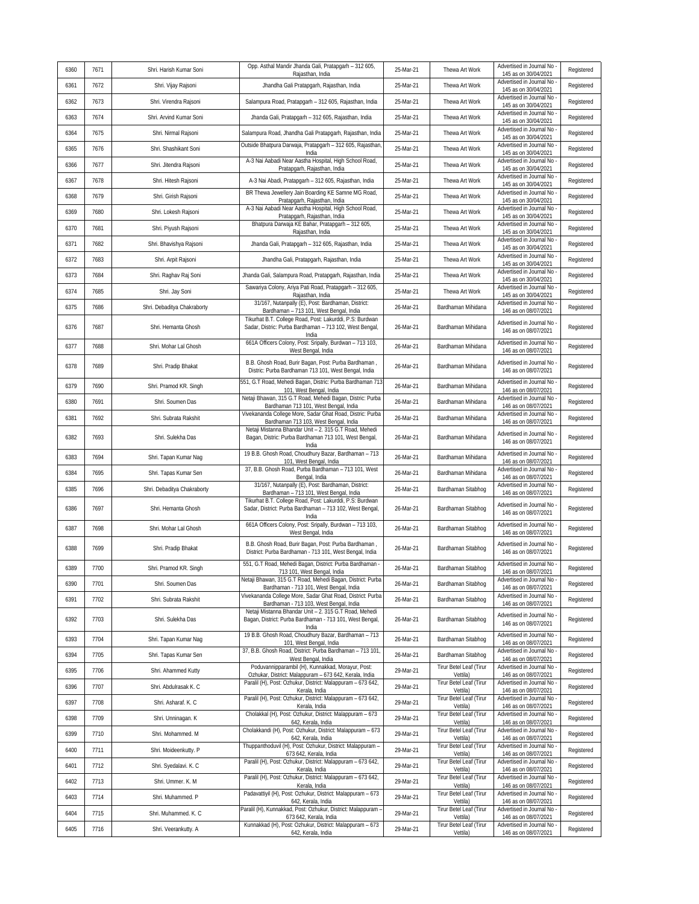| 6360 | 7671 | Shri. Harish Kumar Soni     | Opp. Asthal Mandir Jhanda Gali, Pratapgarh - 312 605,<br>Rajasthan, India                                                   | 25-Mar-21 | Thewa Art Work                             | Advertised in Journal No<br>145 as on 30/04/2021                         | Registered |
|------|------|-----------------------------|-----------------------------------------------------------------------------------------------------------------------------|-----------|--------------------------------------------|--------------------------------------------------------------------------|------------|
| 6361 | 7672 | Shri. Vijay Rajsoni         | Jhandha Gali Pratapgarh, Rajasthan, India                                                                                   | 25-Mar-21 | Thewa Art Work                             | Advertised in Journal No<br>145 as on 30/04/2021                         | Registered |
| 6362 | 7673 | Shri. Virendra Rajsoni      | Salampura Road, Pratapgarh - 312 605, Rajasthan, India                                                                      | 25-Mar-21 | Thewa Art Work                             | Advertised in Journal No<br>145 as on 30/04/2021                         | Registered |
| 6363 | 7674 | Shri. Arvind Kumar Soni     | Jhanda Gali, Pratapgarh - 312 605, Rajasthan, India                                                                         | 25-Mar-21 | Thewa Art Work                             | Advertised in Journal No<br>145 as on 30/04/2021                         | Registered |
| 6364 | 7675 | Shri. Nirmal Rajsoni        | Salampura Road, Jhandha Gali Pratapgarh, Rajasthan, India                                                                   | 25-Mar-21 | Thewa Art Work                             | Advertised in Journal No<br>145 as on 30/04/2021                         | Registered |
| 6365 | 7676 | Shri. Shashikant Soni       | Outside Bhatpura Darwaja, Pratapgarh - 312 605, Rajasthan,<br>India                                                         | 25-Mar-21 | Thewa Art Work                             | Advertised in Journal No<br>145 as on 30/04/2021                         | Registered |
| 6366 | 7677 | Shri. Jitendra Rajsoni      | A-3 Nai Aabadi Near Aastha Hospital, High School Road,<br>Pratapgarh, Rajasthan, India                                      | 25-Mar-21 | Thewa Art Work                             | Advertised in Journal No<br>145 as on 30/04/2021                         | Registered |
| 6367 | 7678 | Shri. Hitesh Rajsoni        | A-3 Nai Abadi, Pratapgarh - 312 605, Rajasthan, India                                                                       | 25-Mar-21 | Thewa Art Work                             | Advertised in Journal No<br>145 as on 30/04/2021                         | Registered |
| 6368 | 7679 | Shri. Girish Rajsoni        | BR Thewa Jewellery Jain Boarding KE Samne MG Road,<br>Pratapgarh, Rajasthan, India                                          | 25-Mar-21 | Thewa Art Work                             | Advertised in Journal No<br>145 as on 30/04/2021                         | Registered |
| 6369 | 7680 | Shri. Lokesh Rajsoni        | A-3 Nai Aabadi Near Aastha Hospital, High School Road,<br>Pratapgarh, Rajasthan, India                                      | 25-Mar-21 | Thewa Art Work                             | Advertised in Journal No<br>145 as on 30/04/2021                         | Registered |
| 6370 | 7681 | Shri. Piyush Rajsoni        | Bhatpura Darwaja KE Bahar, Pratapgarh - 312 605,                                                                            | 25-Mar-21 | Thewa Art Work                             | Advertised in Journal No<br>145 as on 30/04/2021                         | Registered |
| 6371 | 7682 | Shri. Bhavishya Rajsoni     | Rajasthan, India<br>Jhanda Gali, Pratapgarh - 312 605, Rajasthan, India                                                     | 25-Mar-21 | Thewa Art Work                             | Advertised in Journal No                                                 | Registered |
| 6372 | 7683 | Shri. Arpit Rajsoni         | Jhandha Gali, Pratapgarh, Rajasthan, India                                                                                  | 25-Mar-21 | Thewa Art Work                             | 145 as on 30/04/2021<br>Advertised in Journal No                         | Registered |
| 6373 | 7684 | Shri. Raghav Raj Soni       | Jhanda Gali, Salampura Road, Pratapgarh, Rajasthan, India                                                                   | 25-Mar-21 | Thewa Art Work                             | 145 as on 30/04/2021<br>Advertised in Journal No                         | Registered |
| 6374 | 7685 | Shri. Jay Soni              | Sawariya Colony, Ariya Pati Road, Pratapgarh - 312 605,                                                                     | 25-Mar-21 | Thewa Art Work                             | 145 as on 30/04/2021<br>Advertised in Journal No                         | Registered |
| 6375 | 7686 | Shri. Debaditya Chakraborty | Rajasthan, India<br>31/167, Nutanpally (E), Post: Bardhaman, District:                                                      | 26-Mar-21 | Bardhaman Mihidana                         | 145 as on 30/04/2021<br>Advertised in Journal No                         | Registered |
|      |      |                             | Bardhaman - 713 101, West Bengal, India<br>Tikurhat B.T. College Road, Post: Lakurddi, P.S: Burdwan                         |           |                                            | 146 as on 08/07/2021<br>Advertised in Journal No                         |            |
| 6376 | 7687 | Shri. Hemanta Ghosh         | Sadar, Distric: Purba Bardhaman - 713 102, West Bengal,<br>India                                                            | 26-Mar-21 | Bardhaman Mihidana                         | 146 as on 08/07/2021                                                     | Registered |
| 6377 | 7688 | Shri. Mohar Lal Ghosh       | 661A Officers Colony, Post: Sripally, Burdwan - 713 103,<br>West Bengal, India                                              | 26-Mar-21 | Bardhaman Mihidana                         | Advertised in Journal No<br>146 as on 08/07/2021                         | Registered |
| 6378 | 7689 | Shri. Pradip Bhakat         | B.B. Ghosh Road, Burir Bagan, Post: Purba Bardhaman,<br>Distric: Purba Bardhaman 713 101, West Bengal, India                | 26-Mar-21 | Bardhaman Mihidana                         | Advertised in Journal No<br>146 as on 08/07/2021                         | Registered |
| 6379 | 7690 | Shri. Pramod KR. Singh      | 551, G.T Road, Mehedi Bagan, Distric: Purba Bardhaman 713<br>101, West Bengal, India                                        | 26-Mar-21 | Bardhaman Mihidana                         | Advertised in Journal No<br>146 as on 08/07/2021                         | Registered |
| 6380 | 7691 | Shri. Soumen Das            | Netaji Bhawan, 315 G.T Road, Mehedi Bagan, Distric: Purba<br>Bardhaman 713 101, West Bengal, India                          | 26-Mar-21 | Bardhaman Mihidana                         | Advertised in Journal No<br>146 as on 08/07/2021                         | Registered |
| 6381 | 7692 | Shri. Subrata Rakshit       | Vivekananda College More, Sadar Ghat Road, Distric: Purba<br>Bardhaman 713 103, West Bengal, India                          | 26-Mar-21 | Bardhaman Mihidana                         | Advertised in Journal No<br>146 as on 08/07/2021                         | Registered |
| 6382 | 7693 | Shri. Sulekha Das           | Netaji Mistanna Bhandar Unit - 2. 315 G.T Road, Mehedi<br>Bagan, Distric: Purba Bardhaman 713 101, West Bengal,<br>India    | 26-Mar-21 | Bardhaman Mihidana                         | Advertised in Journal No<br>146 as on 08/07/2021                         | Registered |
| 6383 | 7694 | Shri. Tapan Kumar Nag       | 19 B.B. Ghosh Road, Choudhury Bazar, Bardhaman - 713<br>101, West Bengal, India                                             | 26-Mar-21 | Bardhaman Mihidana                         | Advertised in Journal No<br>146 as on 08/07/2021                         | Registered |
| 6384 | 7695 | Shri. Tapas Kumar Sen       | 37, B.B. Ghosh Road, Purba Bardhaman - 713 101, West<br>Bengal, India                                                       | 26-Mar-21 | Bardhaman Mihidana                         | Advertised in Journal No<br>146 as on 08/07/2021                         | Registered |
| 6385 | 7696 | Shri. Debaditya Chakraborty | 31/167, Nutanpally (E), Post: Bardhaman, District:<br>Bardhaman - 713 101, West Bengal, India                               | 26-Mar-21 | Bardhaman Sitabhog                         | Advertised in Journal No<br>146 as on 08/07/2021                         | Registered |
| 6386 | 7697 | Shri. Hemanta Ghosh         | Tikurhat B.T. College Road, Post: Lakurddi, P.S: Burdwan<br>Sadar, District: Purba Bardhaman - 713 102, West Bengal,        | 26-Mar-21 | Bardhaman Sitabhog                         | Advertised in Journal No<br>146 as on 08/07/2021                         | Registered |
|      |      |                             | India                                                                                                                       |           |                                            |                                                                          |            |
| 6387 | 7698 | Shri. Mohar Lal Ghosh       | 661A Officers Colony, Post: Sripally, Burdwan - 713 103,<br>West Bengal, India                                              | 26-Mar-21 | Bardhaman Sitabhog                         | Advertised in Journal No<br>146 as on 08/07/2021                         | Registered |
| 6388 | 7699 | Shri. Pradip Bhakat         | B.B. Ghosh Road, Burir Bagan, Post: Purba Bardhaman,<br>District: Purba Bardhaman - 713 101, West Bengal, India             | 26-Mar-21 | Bardhaman Sitabhog                         | Advertised in Journal No<br>146 as on 08/07/2021                         | Registered |
| 6389 | 7700 | Shri. Pramod KR. Singh      | 551, G.T Road, Mehedi Bagan, District: Purba Bardhaman -<br>713 101, West Bengal, India                                     | 26-Mar-21 | Bardhaman Sitabhog                         | Advertised in Journal No<br>146 as on 08/07/2021                         | Registered |
| 6390 | 7701 | Shri. Soumen Das            | Netaji Bhawan, 315 G.T Road, Mehedi Bagan, District: Purba<br>Bardhaman - 713 101, West Bengal, India                       | 26-Mar-21 | Bardhaman Sitabhog                         | Advertised in Journal No                                                 | Registered |
| 6391 | 7702 | Shri. Subrata Rakshit       | Vivekananda College More, Sadar Ghat Road, District: Purba<br>Bardhaman - 713 103, West Bengal, India                       | 26-Mar-21 | Bardhaman Sitabhog                         | 146 as on 08/07/2021<br>Advertised in Journal No<br>146 as on 08/07/2021 | Registered |
| 6392 | 7703 | Shri. Sulekha Das           | Netaji Mistanna Bhandar Unit - 2. 315 G.T Road, Mehedi<br>Bagan, District: Purba Bardhaman - 713 101, West Bengal,<br>India | 26-Mar-21 | Bardhaman Sitabhog                         | Advertised in Journal No -<br>146 as on 08/07/2021                       | Registered |
| 6393 | 7704 | Shri. Tapan Kumar Nag       | 19 B.B. Ghosh Road, Choudhury Bazar, Bardhaman - 713<br>101, West Bengal, India                                             | 26-Mar-21 | Bardhaman Sitabhog                         | Advertised in Journal No<br>146 as on 08/07/2021                         | Registered |
| 6394 | 7705 | Shri. Tapas Kumar Sen       | 37, B.B. Ghosh Road, District: Purba Bardhaman - 713 101,<br>West Bengal, India                                             | 26-Mar-21 | Bardhaman Sitabhog                         | Advertised in Journal No -<br>146 as on 08/07/2021                       | Registered |
| 6395 | 7706 | Shri. Ahammed Kutty         | Poduvannipparambil (H), Kunnakkad, Morayur, Post:<br>Ozhukar, District: Malappuram - 673 642, Kerala, India                 | 29-Mar-21 | Tirur Betel Leaf (Tirur<br>Vettila)        | Advertised in Journal No<br>146 as on 08/07/2021                         | Registered |
| 6396 | 7707 | Shri. Abdulrasak K. C       | Paralil (H), Post: Ozhukur, District: Malappuram - 673 642,<br>Kerala, India                                                | 29-Mar-21 | Tirur Betel Leaf (Tirur<br>Vettila)        | Advertised in Journal No<br>146 as on 08/07/2021                         | Registered |
| 6397 | 7708 | Shri. Asharaf. K. C         | Paralil (H), Post: Ozhukur, District: Malappuram - 673 642,<br>Kerala, India                                                | 29-Mar-21 | <b>Tirur Betel Leaf (Tirur</b><br>Vettila) | Advertised in Journal No<br>146 as on 08/07/2021                         | Registered |
| 6398 | 7709 | Shri. Unninagan. K          | Cholakkal (H), Post: Ozhukur, District: Malappuram - 673<br>642, Kerala, India                                              | 29-Mar-21 | Tirur Betel Leaf (Tirur<br>Vettila)        | Advertised in Journal No<br>146 as on 08/07/2021                         | Registered |
| 6399 | 7710 | Shri. Mohammed. M           | Cholakkandi (H), Post: Ozhukur, District: Malappuram - 673<br>642, Kerala, India                                            | 29-Mar-21 | Tirur Betel Leaf (Tirur<br>Vettila)        | Advertised in Journal No<br>146 as on 08/07/2021                         | Registered |
| 6400 | 7711 | Shri. Moideenkutty. P       | Thuppanthoduvil (H), Post: Ozhukur, District: Malappuram -<br>673 642, Kerala, India                                        | 29-Mar-21 | Tirur Betel Leaf (Tirur<br>Vettila)        | Advertised in Journal No<br>146 as on 08/07/2021                         | Registered |
| 6401 | 7712 | Shri. Syedalavi. K. C       | Paralil (H), Post: Ozhukur, District: Malappuram - 673 642,<br>Kerala, India                                                | 29-Mar-21 | Tirur Betel Leaf (Tirur<br>Vettila)        | Advertised in Journal No<br>146 as on 08/07/2021                         | Registered |
| 6402 | 7713 | Shri. Ummer. K. M           | Paralil (H), Post: Ozhukur, District: Malappuram - 673 642,<br>Kerala, India                                                | 29-Mar-21 | Tirur Betel Leaf (Tirur<br>Vettila)        | Advertised in Journal No -<br>146 as on 08/07/2021                       | Registered |
| 6403 | 7714 | Shri. Muhammed. P           | Padavattiyil (H), Post: Ozhukur, District: Malappuram - 673<br>642, Kerala, India                                           | 29-Mar-21 | Tirur Betel Leaf (Tirur<br>Vettila)        | Advertised in Journal No<br>146 as on 08/07/2021                         | Registered |
| 6404 | 7715 | Shri. Muhammed. K. C        | Paralil (H), Kunnakkad, Post: Ozhukur, District: Malappuram -<br>673 642, Kerala, India                                     | 29-Mar-21 | Tirur Betel Leaf (Tirur<br>Vettila)        | Advertised in Journal No<br>146 as on 08/07/2021                         | Registered |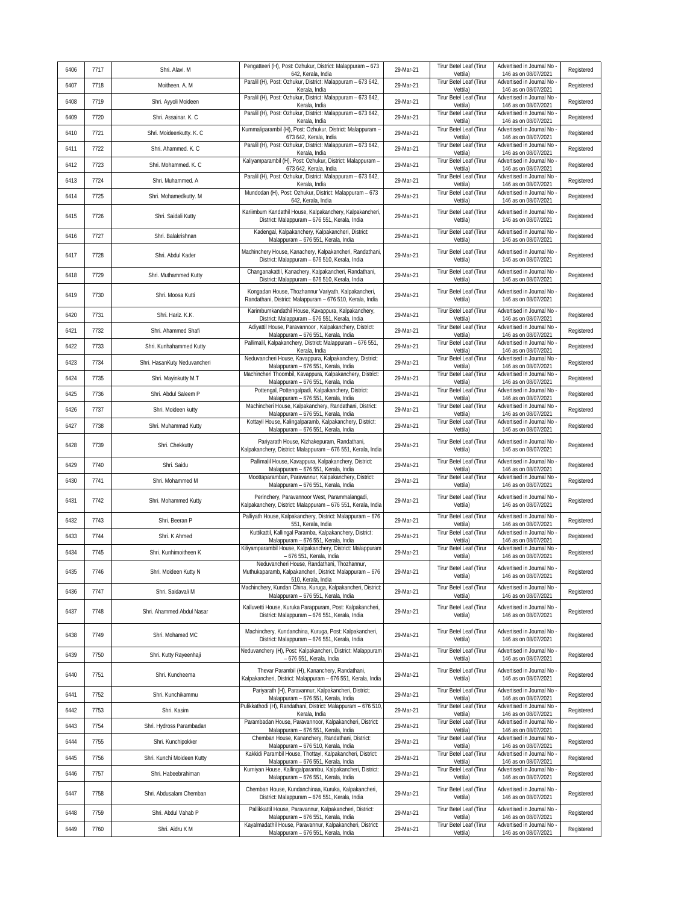| 6406 | 7717 | Shri. Alavi. M               | Pengatteeri (H), Post: Ozhukur, District: Malappuram - 673<br>642, Kerala, India                                              | 29-Mar-21 | Tirur Betel Leaf (Tirur<br>Vettila)        | Advertised in Journal No<br>146 as on 08/07/2021   | Registered |
|------|------|------------------------------|-------------------------------------------------------------------------------------------------------------------------------|-----------|--------------------------------------------|----------------------------------------------------|------------|
| 6407 | 7718 | Moitheen. A. M               | Paralil (H), Post: Ozhukur, District: Malappuram - 673 642,<br>Kerala, India                                                  | 29-Mar-21 | Tirur Betel Leaf (Tirur<br>Vettila)        | Advertised in Journal No<br>146 as on 08/07/2021   | Registered |
| 6408 | 7719 | Shri. Ayyoli Moideen         | Paralil (H), Post: Ozhukur, District: Malappuram - 673 642,<br>Kerala, India                                                  | 29-Mar-21 | Tirur Betel Leaf (Tirur<br>Vettila)        | Advertised in Journal No<br>146 as on 08/07/2021   | Registered |
| 6409 | 7720 | Shri. Assainar. K. C         | Paralil (H), Post: Ozhukur, District: Malappuram - 673 642,<br>Kerala, India                                                  | 29-Mar-21 | Tirur Betel Leaf (Tirur<br>Vettila)        | Advertised in Journal No<br>146 as on 08/07/2021   | Registered |
| 6410 | 7721 | Shri. Moideenkutty. K. C     | Kummaliparambil (H), Post: Ozhukur, District: Malappuram -<br>673 642, Kerala, India                                          | 29-Mar-21 | Tirur Betel Leaf (Tirur<br>Vettila)        | Advertised in Journal No<br>146 as on 08/07/2021   | Registered |
| 6411 | 7722 | Shri. Ahammed. K. C          | Paralil (H), Post: Ozhukur, District: Malappuram - 673 642,<br>Kerala, India                                                  | 29-Mar-21 | Tirur Betel Leaf (Tirur<br>Vettila)        | Advertised in Journal No<br>146 as on 08/07/2021   | Registered |
| 6412 | 7723 | Shri. Mohammed. K. C         | Kaliyamparambil (H), Post: Ozhukur, District: Malappuram -<br>673 642, Kerala, India                                          | 29-Mar-21 | Tirur Betel Leaf (Tirur<br>Vettila)        | Advertised in Journal No<br>146 as on 08/07/2021   | Registered |
| 6413 | 7724 | Shri. Muhammed. A            | Paralil (H), Post: Ozhukur, District: Malappuram - 673 642,<br>Kerala, India                                                  | 29-Mar-21 | Tirur Betel Leaf (Tirur<br>Vettila)        | Advertised in Journal No<br>146 as on 08/07/2021   | Registered |
| 6414 | 7725 | Shri. Mohamedkutty. M        | Mundodan (H), Post: Ozhukur, District: Malappuram - 673<br>642, Kerala, India                                                 | 29-Mar-21 | Tirur Betel Leaf (Tirur<br>Vettila)        | Advertised in Journal No<br>146 as on 08/07/2021   | Registered |
| 6415 | 7726 | Shri. Saidali Kutty          | Kariimbum Kandathil House, Kalpakanchery, Kalpakancheri,<br>District: Malappuram - 676 551, Kerala, India                     | 29-Mar-21 | Tirur Betel Leaf (Tirur<br>Vettila)        | Advertised in Journal No<br>146 as on 08/07/2021   | Registered |
| 6416 | 7727 | Shri. Balakrishnan           | Kadengal, Kalpakanchery, Kalpakancheri, District:<br>Malappuram - 676 551, Kerala, India                                      | 29-Mar-21 | Tirur Betel Leaf (Tirur<br>Vettila)        | Advertised in Journal No<br>146 as on 08/07/2021   | Registered |
| 6417 | 7728 | Shri. Abdul Kader            | Machinchery House, Kanachery, Kalpakancheri, Randathani,<br>District: Malappuram - 676 510, Kerala, India                     | 29-Mar-21 | Tirur Betel Leaf (Tirur<br>Vettila)        | Advertised in Journal No<br>146 as on 08/07/2021   | Registered |
| 6418 | 7729 | Shri. Muthammed Kutty        | Changanakattil, Kanachery, Kalpakancheri, Randathani,<br>District: Malappuram - 676 510, Kerala, India                        | 29-Mar-21 | Tirur Betel Leaf (Tirur<br>Vettila)        | Advertised in Journal No<br>146 as on 08/07/2021   | Registered |
| 6419 | 7730 | Shri. Moosa Kutti            | Kongadan House, Thozhannur Variyath, Kalpakancheri,<br>Randathani, District: Malappuram - 676 510, Kerala, India              | 29-Mar-21 | Tirur Betel Leaf (Tirur<br>Vettila)        | Advertised in Journal No<br>146 as on 08/07/2021   | Registered |
| 6420 | 7731 | Shri. Hariz. K.K.            | Karimbumkandathil House, Kavappura, Kalpakanchery,<br>District: Malappuram - 676 551, Kerala, India                           | 29-Mar-21 | <b>Tirur Betel Leaf (Tirur</b><br>Vettila) | Advertised in Journal No<br>146 as on 08/07/2021   | Registered |
| 6421 | 7732 | Shri. Ahammed Shafi          | Adiyattil House, Paravannoor, Kalpakanchery, District:<br>Malappuram - 676 551, Kerala, India                                 | 29-Mar-21 | <b>Tirur Betel Leaf (Tirur</b><br>Vettila) | Advertised in Journal No<br>146 as on 08/07/2021   | Registered |
| 6422 | 7733 | Shri. Kunhahammed Kutty      | Pallimalil, Kalpakanchery, District: Malappuram - 676 551,<br>Kerala, India                                                   | 29-Mar-21 | Tirur Betel Leaf (Tirur<br>Vettila)        | Advertised in Journal No<br>146 as on 08/07/2021   | Registered |
| 6423 | 7734 | Shri. HasanKuty Neduvancheri | Neduvancheri House, Kavappura, Kalpakanchery, District:<br>Malappuram - 676 551, Kerala, India                                | 29-Mar-21 | Tirur Betel Leaf (Tirur<br>Vettila)        | Advertised in Journal No<br>146 as on 08/07/2021   | Registered |
| 6424 | 7735 | Shri. Mayinkutty M.T         | Machincheri Thoombil, Kavappura, Kalpakanchery, District:<br>Malappuram - 676 551, Kerala, India                              | 29-Mar-21 | Tirur Betel Leaf (Tirur<br>Vettila)        | Advertised in Journal No<br>146 as on 08/07/2021   | Registered |
| 6425 | 7736 | Shri. Abdul Saleem P         | Pottengal, Pottengalpadi, Kalpakanchery, District:<br>Malappuram - 676 551, Kerala, India                                     | 29-Mar-21 | Tirur Betel Leaf (Tirur<br>Vettila)        | Advertised in Journal No<br>146 as on 08/07/2021   | Registered |
| 6426 | 7737 | Shri. Moideen kutty          | Machincheri House, Kalpakanchery, Randathani, District:<br>Malappuram - 676 551, Kerala, India                                | 29-Mar-21 | Tirur Betel Leaf (Tirur<br>Vettila)        | Advertised in Journal No<br>146 as on 08/07/2021   | Registered |
| 6427 | 7738 | Shri. Muhammad Kutty         | Kottayil House, Kalingalparamb, Kalpakanchery, District:<br>Malappuram - 676 551, Kerala, India                               | 29-Mar-21 | Tirur Betel Leaf (Tirur<br>Vettila)        | Advertised in Journal No<br>146 as on 08/07/2021   | Registered |
| 6428 | 7739 | Shri. Chekkutty              | Pariyarath House, Kizhakepuram, Randathani,<br>Kalpakanchery, District: Malappuram - 676 551, Kerala, India                   | 29-Mar-21 | Tirur Betel Leaf (Tirur<br>Vettila)        | Advertised in Journal No<br>146 as on 08/07/2021   | Registered |
| 6429 | 7740 | Shri. Saidu                  | Pallimalil House, Kavappura, Kalpakanchery, District:<br>Malappuram - 676 551, Kerala, India                                  | 29-Mar-21 | Tirur Betel Leaf (Tirur<br>Vettila)        | Advertised in Journal No<br>146 as on 08/07/2021   | Registered |
| 6430 | 7741 | Shri. Mohammed M             | Moottaparamban, Paravannur, Kalpakanchery, District:<br>Malappuram - 676 551, Kerala, India                                   | 29-Mar-21 | Tirur Betel Leaf (Tirur<br>Vettila)        | Advertised in Journal No<br>146 as on 08/07/2021   | Registered |
| 6431 | 7742 | Shri. Mohammed Kutty         | Perinchery, Paravannoor West, Parammalangadi,<br>Kalpakanchery, District: Malappuram - 676 551, Kerala, India                 | 29-Mar-21 | Tirur Betel Leaf (Tirur<br>Vettila)        | Advertised in Journal No<br>146 as on 08/07/2021   | Registered |
| 6432 | 7743 | Shri. Beeran P               | Palliyath House, Kalpakanchery, District: Malappuram - 676<br>551, Kerala, India                                              | 29-Mar-21 | Tirur Betel Leaf (Tirur<br>Vettila)        | Advertised in Journal No<br>146 as on 08/07/2021   | Registered |
| 6433 | 7744 | Shri. K Ahmed                | Kuttikattil, Kallingal Paramba, Kalpakanchery, District:<br>Malappuram - 676 551, Kerala, India                               | 29-Mar-21 | Tirur Betel Leaf (Tirur<br>Vettila)        | Advertised in Journal No<br>146 as on 08/07/2021   | Registered |
| 6434 | 7745 | Shri. Kunhimoitheen K        | Kiliyamparambil House, Kalpakanchery, District: Malappuram<br>- 676 551, Kerala, India                                        | 29-Mar-21 | Tirur Betel Leaf (Tirur<br>Vettila)        | Advertised in Journal No<br>146 as on 08/07/2021   | Registered |
| 6435 | 7746 | Shri. Moideen Kutty N        | Neduvancheri House, Randathani, Thozhannur,<br>Muthukaparamb, Kalpakancheri, District: Malappuram - 676<br>510, Kerala, India | 29-Mar-21 | Tirur Betel Leaf (Tirur<br>Vettila)        | Advertised in Journal No -<br>146 as on 08/07/2021 | Registered |
| 6436 | 7747 | Shri. Saidavali M            | Machinchery, Kundan China, Kuruga, Kalpakancheri, District:<br>Malappuram - 676 551, Kerala, India                            | 29-Mar-21 | Tirur Betel Leaf (Tirur<br>Vettila)        | Advertised in Journal No<br>146 as on 08/07/2021   | Registered |
| 6437 | 7748 | Shri. Ahammed Abdul Nasar    | Kalluvetti House, Kuruka Parappuram, Post: Kalpakancheri,<br>District: Malappuram - 676 551, Kerala, India                    | 29-Mar-21 | Tirur Betel Leaf (Tirur<br>Vettila)        | Advertised in Journal No<br>146 as on 08/07/2021   | Registered |
| 6438 | 7749 | Shri. Mohamed MC             | Machinchery, Kundanchina, Kuruga, Post: Kalpakancheri,<br>District: Malappuram - 676 551, Kerala, India                       | 29-Mar-21 | Tirur Betel Leaf (Tirur<br>Vettila)        | Advertised in Journal No<br>146 as on 08/07/2021   | Registered |
| 6439 | 7750 | Shri. Kutty Rayeenhaji       | Neduvanchery (H), Post: Kalpakancheri, District: Malappuram<br>- 676 551, Kerala, India                                       | 29-Mar-21 | Tirur Betel Leaf (Tirur<br>Vettila)        | Advertised in Journal No<br>146 as on 08/07/2021   | Registered |
| 6440 | 7751 | Shri. Kuncheema              | Thevar Parambil (H), Kananchery, Randathani,<br>Kalpakancheri, District: Malappuram - 676 551, Kerala, India                  | 29-Mar-21 | Tirur Betel Leaf (Tirur<br>Vettila)        | Advertised in Journal No.<br>146 as on 08/07/2021  | Registered |
| 6441 | 7752 | Shri. Kunchikammu            | Pariyarath (H), Paravannur, Kalpakancheri, District:<br>Malappuram - 676 551, Kerala, India                                   | 29-Mar-21 | Tirur Betel Leaf (Tirur<br>Vettila)        | Advertised in Journal No<br>146 as on 08/07/2021   | Registered |
| 6442 | 7753 | Shri. Kasim                  | Pulikkathodi (H), Randathani, District: Malappuram - 676 510<br>Kerala, India                                                 | 29-Mar-21 | Tirur Betel Leaf (Tirur<br>Vettila)        | Advertised in Journal No<br>146 as on 08/07/2021   | Registered |
| 6443 | 7754 | Shri. Hydross Parambadan     | Parambadan House, Paravannoor, Kalpakancheri, District:<br>Malappuram - 676 551, Kerala, India                                | 29-Mar-21 | Tirur Betel Leaf (Tirur<br>Vettila)        | Advertised in Journal No<br>146 as on 08/07/2021   | Registered |
| 6444 | 7755 | Shri. Kunchipokker           | Chemban House, Kananchery, Randathani, District:<br>Malappuram - 676 510, Kerala, India                                       | 29-Mar-21 | Tirur Betel Leaf (Tirur<br>Vettila)        | Advertised in Journal No<br>146 as on 08/07/2021   | Registered |
| 6445 | 7756 | Shri. Kunchi Moideen Kutty   | Kakkidi Parambil House, Thottayi, Kalpakancheri, District:<br>Malappuram - 676 551, Kerala, India                             | 29-Mar-21 | Tirur Betel Leaf (Tirur<br>Vettila)        | Advertised in Journal No<br>146 as on 08/07/2021   | Registered |
| 6446 | 7757 | Shri. Habeebrahiman          | Kurniyan House, Kallingalparambu, Kalpakancheri, District:<br>Malappuram - 676 551, Kerala, India                             | 29-Mar-21 | Tirur Betel Leaf (Tirur<br>Vettila)        | Advertised in Journal No<br>146 as on 08/07/2021   | Registered |
| 6447 | 7758 | Shri. Abdusalam Chemban      | Chemban House, Kundanchinaa, Kuruka, Kalpakancheri,<br>District: Malappuram - 676 551, Kerala, India                          | 29-Mar-21 | Tirur Betel Leaf (Tirur<br>Vettila)        | Advertised in Journal No<br>146 as on 08/07/2021   | Registered |
| 6448 | 7759 | Shri. Abdul Vahab P          | Pallikkattil House, Paravannur, Kalpakancheri, District:<br>Malappuram - 676 551, Kerala, India                               | 29-Mar-21 | Tirur Betel Leaf (Tirur<br>Vettila)        | Advertised in Journal No<br>146 as on 08/07/2021   | Registered |
| 6449 | 7760 | Shri. Aidru K M              | Kayalmadathil House, Paravannur, Kalpakancheri, District:<br>Malappuram - 676 551, Kerala, India                              | 29-Mar-21 | Tirur Betel Leaf (Tirur<br>Vettila)        | Advertised in Journal No<br>146 as on 08/07/2021   | Registered |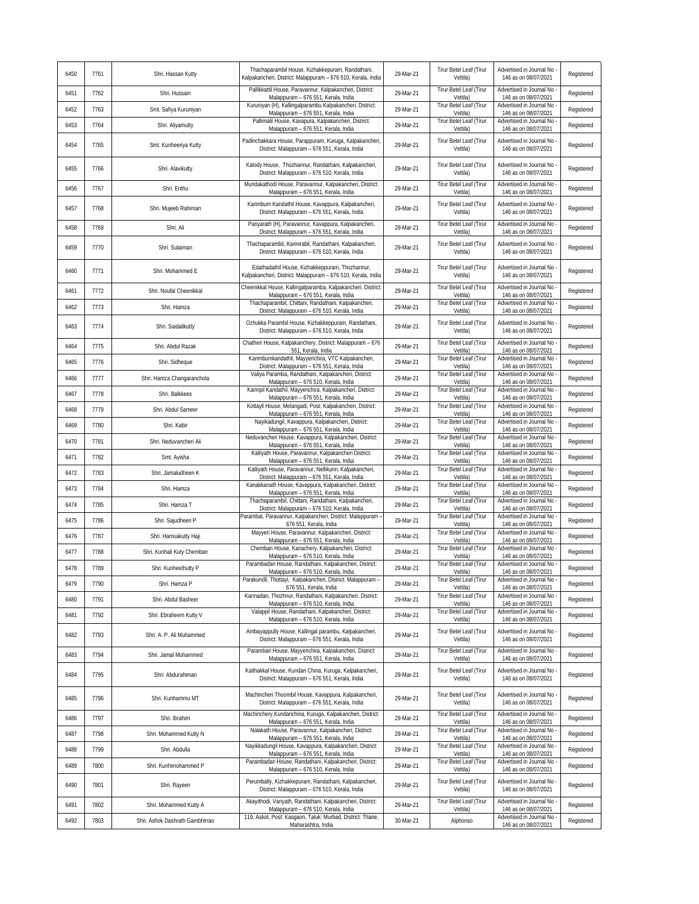| 6450 | 7761 | Shri. Hassan Kutty              | Thachaparambil House, Kizhakkepuram, Randathani,<br>Kalpakancheri, District: Malappuram - 676 510, Kerala, India | 29-Mar-21 | Tirur Betel Leaf (Tirur<br>Vettila)        | Advertised in Journal No<br>146 as on 08/07/2021 | Registered |
|------|------|---------------------------------|------------------------------------------------------------------------------------------------------------------|-----------|--------------------------------------------|--------------------------------------------------|------------|
| 6451 | 7762 | Shri. Hussain                   | Pallikkattil House, Paravannur, Kalpakancheri, District:<br>Malappuram - 676 551, Kerala, India                  | 29-Mar-21 | Tirur Betel Leaf (Tirur<br>Vettila)        | Advertised in Journal No<br>146 as on 08/07/2021 | Registered |
| 6452 | 7763 | Smt. Safiya Kuruniyan           | Kuruniyan (H), Kallingalparambu Kalpakancheri, District:<br>Malappuram - 676 551, Kerala, India                  | 29-Mar-21 | Tirur Betel Leaf (Tirur<br>Vettila)        | Advertised in Journal No<br>146 as on 08/07/2021 | Registered |
| 6453 | 7764 | Shri. Aliyamutty                | Pallimalil House, Kavapura, Kalpakancheri, District:<br>Malappuram - 676 551, Kerala, India                      | 29-Mar-21 | Tirur Betel Leaf (Tirur<br>Vettila)        | Advertised in Journal No<br>146 as on 08/07/2021 | Registered |
| 6454 | 7765 | Smt. Kunheeriya Kutty           | Padinchakkara House, Parappuram, Kuruga, Kalpakancheri,<br>District: Malappuram - 676 551, Kerala, India         | 29-Mar-21 | Tirur Betel Leaf (Tirur<br>Vettila)        | Advertised in Journal No<br>146 as on 08/07/2021 | Registered |
| 6455 | 7766 | Shri. Alavikutty                | Kalody House, Thozhannur, Randathani, Kalpakancheri,<br>District: Malappuram - 676 510, Kerala, India            | 29-Mar-21 | Tirur Betel Leaf (Tirur<br>Vettila)        | Advertised in Journal No<br>146 as on 08/07/2021 | Registered |
| 6456 | 7767 | Shri. Enthu                     | Mundakathodi House, Paravannur, Kalpakancheri, District:<br>Malappuram - 676 551, Kerala, India                  | 29-Mar-21 | Tirur Betel Leaf (Tirur<br>Vettila)        | Advertised in Journal No<br>146 as on 08/07/2021 | Registered |
| 6457 | 7768 | Shri. Mujeeb Rahiman            | Karimbum Kandathil House, Kavappura, Kalpakancheri,<br>District: Malappuram - 676 551, Kerala, India             | 29-Mar-21 | Tirur Betel Leaf (Tirur<br>Vettila)        | Advertised in Journal No<br>146 as on 08/07/2021 | Registered |
| 6458 | 7769 | Shri. Ali                       | Pariyarath (H), Paravannur, Kavappura, Kalpakancheri,<br>District: Malappuram - 676 551, Kerala, India           | 29-Mar-21 | Tirur Betel Leaf (Tirur<br>Vettila)        | Advertised in Journal No<br>146 as on 08/07/2021 | Registered |
| 6459 | 7770 | Shri. Sulaiman                  | Thachaparambil, Karinirabil, Randathani, Kalpakancheri,<br>District: Malappuram - 676 510, Kerala, India         | 29-Mar-21 | Tirur Betel Leaf (Tirur<br>Vettila)        | Advertised in Journal No<br>146 as on 08/07/2021 | Registered |
| 6460 | 7771 | Shri. Mohammed E                | Edathadathil House, Kizhakkeppuram, Thozhannur,<br>Kalpakancheri, District: Malappuram - 676 510, Kerala, India  | 29-Mar-21 | Tirur Betel Leaf (Tirur<br>Vettila)        | Advertised in Journal No<br>146 as on 08/07/2021 | Registered |
| 6461 | 7772 | Shri. Noufal Cheenikkal         | Cheenikkal House, Kallingalparamba, Kalpakancheri, District:<br>Malappuram - 676 551, Kerala, India              | 29-Mar-21 | Tirur Betel Leaf (Tirur<br>Vettila)        | Advertised in Journal No<br>146 as on 08/07/2021 | Registered |
| 6462 | 7773 | Shri. Hamza                     | Thachaparambil, Chittani, Randathani, Kalpakancheri,<br>District: Malappuram - 676 510, Kerala, India            | 29-Mar-21 | Tirur Betel Leaf (Tirur<br>Vettila)        | Advertised in Journal No<br>146 as on 08/07/2021 | Registered |
| 6463 | 7774 | Shri. Saidalikutty              | Ozhukka Parambil House, Kizhakkeppuram, Randathani,<br>District: Malappuram - 676 510, Kerala, India             | 29-Mar-21 | Tirur Betel Leaf (Tirur<br>Vettila)        | Advertised in Journal No<br>146 as on 08/07/2021 | Registered |
| 6464 | 7775 | Shri, Abdul Razak               | Chatheri House, Kalpakanchery, District: Malappuram - 676<br>551, Kerala, India                                  | 29-Mar-21 | Tirur Betel Leaf (Tirur<br>Vettila)        | Advertised in Journal No<br>146 as on 08/07/2021 | Registered |
| 6465 | 7776 | Shri. Sidheque                  | Karimbumkandathil, Mayyerichira, VTC Kalpakancheri,<br>District: Malappuram - 676 551, Kerala, India             | 29-Mar-21 | Tirur Betel Leaf (Tirur<br>Vettila)        | Advertised in Journal No<br>146 as on 08/07/2021 | Registered |
| 6466 | 7777 | Shri. Hamza Changaranchola      | Valiya Paramba, Randathani, Kalpakancheri, District:<br>Malappuram - 676 510, Kerala, India                      | 29-Mar-21 | Tirur Betel Leaf (Tirur<br>Vettila)        | Advertised in Journal No<br>146 as on 08/07/2021 | Registered |
| 6467 | 7778 | Shri. Balkkees                  | Karinpil Kandathil, Mayyerichira, Kalpakancheri, District:<br>Malappuram - 676 551, Kerala, India                | 29-Mar-21 | Tirur Betel Leaf (Tirur<br>Vettila)        | Advertised in Journal No<br>146 as on 08/07/2021 | Registered |
| 6468 | 7779 | Shri. Abdul Sameer              | Kottayil House, Melangadi, Post: Kalpakancheri, District:<br>Malappuram - 676 551, Kerala, India                 | 29-Mar-21 | Tirur Betel Leaf (Tirur<br>Vettila)        | Advertised in Journal No<br>146 as on 08/07/2021 | Registered |
| 6469 | 7780 | Shri. Kabir                     | Nayikadungil, Kavappura, Kalpakancheri, District:<br>Malappuram - 676 551, Kerala, India                         | 29-Mar-21 | Tirur Betel Leaf (Tirur<br>Vettila)        | Advertised in Journal No<br>146 as on 08/07/2021 | Registered |
| 6470 | 7781 | Shri. Neduvancheri Ali          | Neduvancheri House, Kavappura, Kalpakancheri, District:<br>Malappuram - 676 551, Kerala, India                   | 29-Mar-21 | Tirur Betel Leaf (Tirur<br>Vettila)        | Advertised in Journal No<br>146 as on 08/07/2021 | Registered |
| 6471 | 7782 | Smt. Ayisha                     | Kalliyath House, Paravannur, Kalpakancheri District:<br>Malappuram - 676 551, Kerala, India                      | 29-Mar-21 | Tirur Betel Leaf (Tirur<br>Vettila)        | Advertised in Journal No<br>146 as on 08/07/2021 | Registered |
| 6472 | 7783 | Shri. Jamaludheen K             | Kalliyath House, Paravannur, Nellikunn, Kalpakancheri,<br>District: Malappuram - 676 551, Kerala, India          | 29-Mar-21 | Tirur Betel Leaf (Tirur<br>Vettila)        | Advertised in Journal No<br>146 as on 08/07/2021 | Registered |
| 6473 | 7784 | Shri. Hamza                     | Kanakkanath House, Kavappura, Kalpakancheri, District:<br>Malappuram - 676 551, Kerala, India                    | 29-Mar-21 | Tirur Betel Leaf (Tirur<br>Vettila)        | Advertised in Journal No<br>146 as on 08/07/2021 | Registered |
| 6474 | 7785 | Shri. Hamza T                   | Thachaparambil, Chittani, Randathani, Kalpakancheri,<br>District: Malappuram - 676 510, Kerala, India            | 29-Mar-21 | Tirur Betel Leaf (Tirur<br>Vettila)        | Advertised in Journal No<br>146 as on 08/07/2021 | Registered |
| 6475 | 7786 | Shri. Sajudheen P               | Parambat, Paravannur, Kalpakancheri, District: Malappuram -<br>676 551, Kerala, India                            | 29-Mar-21 | Tirur Betel Leaf (Tirur<br>Vettila)        | Advertised in Journal No<br>146 as on 08/07/2021 | Registered |
| 6476 | 7787 | Shri. Hamsakutty Haji           | Mayyeri House, Paravannur, Kalpakancheri, District:<br>Malappuram - 676 551, Kerala, India                       | 29-Mar-21 | Tirur Betel Leaf (Tirur<br>Vettila)        | Advertised in Journal No<br>146 as on 08/07/2021 | Registered |
| 6477 | 7788 | Shri. Kunhali Kuty Chemban      | Chemban House, Kanachery, Kalpakancheri, District:<br>Malappuram - 676 510, Kerala, India                        | 29-Mar-21 | Tirur Betel Leaf (Tirur<br>Vettila)        | Advertised in Journal No<br>146 as on 08/07/2021 | Registered |
| 6478 | 7789 | Shri. Kunheethutty P            | Parambadan House, Randathani, Kalpakancheri, District:<br>Malappuram - 676 510, Kerala, India                    | 29-Mar-21 | Tirur Betel Leaf (Tirur<br>Vettila)        | Advertised in Journal No<br>146 as on 08/07/2021 | Registered |
| 6479 | 7790 | Shri. Hamza P                   | Parakundil, Thottayi, Kalpakancheri, District: Malappuram -<br>676 551, Kerala, India                            | 29-Mar-21 | Tirur Betel Leaf (Tirur<br>Vettila)        | Advertised in Journal No<br>146 as on 08/07/2021 | Registered |
| 6480 | 7791 | Shri. Abdul Basheer             | Kannadan, Thozhnur, Randathani, Kalpakancheri, District:<br>Malappuram - 676 510, Kerala, India                  | 29-Mar-21 | Tirur Betel Leaf (Tirur<br>Vettila)        | Advertised in Journal No<br>146 as on 08/07/2021 | Registered |
| 6481 | 7792 | Shri. Ebraheem Kutty V          | Valappil House, Randathani, Kalpakancheri, District:<br>Malappuram - 676 510, Kerala, India                      | 29-Mar-21 | Tirur Betel Leaf (Tirur<br>Vettila)        | Advertised in Journal No<br>146 as on 08/07/2021 | Registered |
| 6482 | 7793 | Shri. A. P. Ali Muhammed        | Ambayappully House, Kallingal parambu, Kalpakancheri,<br>District: Malappuram - 676 551, Kerala, India           | 29-Mar-21 | Tirur Betel Leaf (Tirur<br>Vettila)        | Advertised in Journal No<br>146 as on 08/07/2021 | Registered |
| 6483 | 7794 | Shri. Jamal Muhammed            | Paramban House, Mayyerichira, Kalpakancheri, District:<br>Malappuram - 676 551, Kerala, India                    | 29-Mar-21 | Tirur Betel Leaf (Tirur<br>Vettila)        | Advertised in Journal No<br>146 as on 08/07/2021 | Registered |
| 6484 | 7795 | Shri. Abdurahiman               | Kaithakkal House, Kundan China, Kuruga, Kalpakancheri,<br>District: Malappuram - 676 551, Kerala, India          | 29-Mar-21 | Tirur Betel Leaf (Tirur<br>Vettila)        | Advertised in Journal No<br>146 as on 08/07/2021 | Registered |
| 6485 | 7796 | Shri. Kunhammu MT               | Machincheri Thoombil House, Kavappura, Kalpakancheri,<br>District: Malappuram - 676 551, Kerala, India           | 29-Mar-21 | Tirur Betel Leaf (Tirur<br>Vettila)        | Advertised in Journal No<br>146 as on 08/07/2021 | Registered |
| 6486 | 7797 | Shri. Ibrahim                   | Machinchery, Kundanchina, Kuruga, Kalpakancheri, District:<br>Malappuram - 676 551, Kerala, India                | 29-Mar-21 | <b>Tirur Betel Leaf (Tirur</b><br>Vettila) | Advertised in Journal No<br>146 as on 08/07/2021 | Registered |
| 6487 | 7798 | Shri. Mohammed Kutty N          | Nalakath House, Paravannur, Kalpakancheri, District:<br>Malappuram - 676 551, Kerala, India                      | 29-Mar-21 | Tirur Betel Leaf (Tirur<br>Vettila)        | Advertised in Journal No<br>146 as on 08/07/2021 | Registered |
| 6488 | 7799 | Shri. Abdulla                   | Nayikkadungil House, Kavappura, Kalpakancheri, District:<br>Malappuram - 676 551, Kerala, India                  | 29-Mar-21 | Tirur Betel Leaf (Tirur<br>Vettila)        | Advertised in Journal No<br>146 as on 08/07/2021 | Registered |
| 6489 | 7800 | Shri. Kunhimohammed P           | Parambadan House, Randathani, Kalpakancheri, District:<br>Malappuram - 676 510, Kerala, India                    | 29-Mar-21 | Tirur Betel Leaf (Tirur<br>Vettila)        | Advertised in Journal No<br>146 as on 08/07/2021 | Registered |
| 6490 | 7801 | Shri. Rayeen                    | Perumbally, Kizhakkepuram, Randathani, Kalpakancheri,<br>District: Malappuram - 676 510, Kerala, India           | 29-Mar-21 | Tirur Betel Leaf (Tirur<br>Vettila)        | Advertised in Journal No<br>146 as on 08/07/2021 | Registered |
| 6491 | 7802 | Shri. Mohammed Kutty A          | Akayithodi, Variyath, Randathani, Kalpakancheri, District:<br>Malappuram - 676 510, Kerala, India                | 29-Mar-21 | Tirur Betel Leaf (Tirur<br>Vettila)        | Advertised in Journal No<br>146 as on 08/07/2021 | Registered |
| 6492 | 7803 | Shri. Ashok Dashrath Gambhirrao | 119, Askot, Post: Kasgaon, Taluk: Murbad, District: Thane,<br>Maharashtra, India                                 | 30-Mar-21 | Alphonso                                   | Advertised in Journal No<br>146 as on 08/07/2021 | Registered |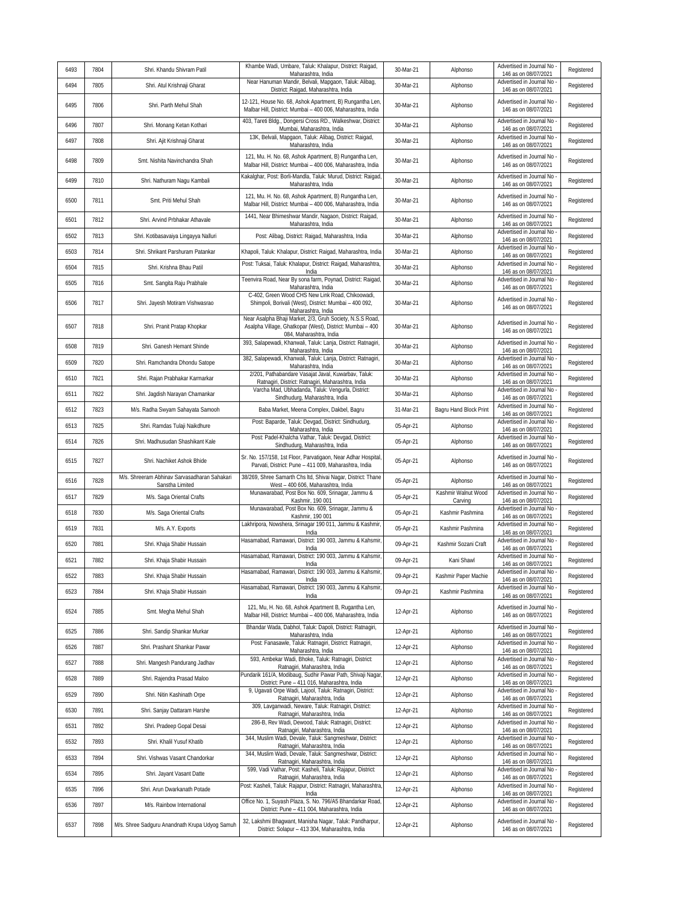| 6493 | 7804 | Shri. Khandu Shivram Patil                                      | Khambe Wadi, Umbare, Taluk: Khalapur, District: Raigad,<br>Maharashtra, India                                                                     | 30-Mar-21 | Alphonso                       | Advertised in Journal No<br>146 as on 08/07/2021                         | Registered |
|------|------|-----------------------------------------------------------------|---------------------------------------------------------------------------------------------------------------------------------------------------|-----------|--------------------------------|--------------------------------------------------------------------------|------------|
| 6494 | 7805 | Shri. Atul Krishnaji Gharat                                     | Near Hanuman Mandir, Belvali, Mapgaon, Taluk: Alibag,<br>District: Raigad, Maharashtra, India                                                     | 30-Mar-21 | Alphonso                       | Advertised in Journal No<br>146 as on 08/07/2021                         | Registered |
| 6495 | 7806 | Shri. Parth Mehul Shah                                          | 12-121, House No. 68, Ashok Apartment, B) Rungantha Len,<br>Malbar Hill, District: Mumbai - 400 006, Maharashtra, India                           | 30-Mar-21 | Alphonso                       | Advertised in Journal No<br>146 as on 08/07/2021                         | Registered |
| 6496 | 7807 | Shri. Monang Ketan Kothari                                      | 403, Tareti Bldg., Dongersi Cross RD., Walkeshwar, District:<br>Mumbai, Maharashtra, India                                                        | 30-Mar-21 | Alphonso                       | Advertised in Journal No<br>146 as on 08/07/2021                         | Registered |
| 6497 | 7808 | Shri. Ajit Krishnaji Gharat                                     | 13K, Belvali, Mapgaon, Taluk: Alibag, District: Raigad,<br>Maharashtra, India                                                                     | 30-Mar-21 | Alphonso                       | Advertised in Journal No<br>146 as on 08/07/2021                         | Registered |
| 6498 | 7809 | Smt. Nishita Navinchandra Shah                                  | 121, Mu. H. No. 68, Ashok Apartment, B) Rungantha Len,<br>Malbar Hill, District: Mumbai - 400 006, Maharashtra, India                             | 30-Mar-21 | Alphonso                       | Advertised in Journal No<br>146 as on 08/07/2021                         | Registered |
| 6499 | 7810 | Shri. Nathuram Nagu Kambali                                     | Kakalghar, Post: Borli-Mandla, Taluk: Murud, District: Raigad,<br>Maharashtra, India                                                              | 30-Mar-21 | Alphonso                       | Advertised in Journal No<br>146 as on 08/07/2021                         | Registered |
| 6500 | 7811 | Smt. Priti Mehul Shah                                           | 121, Mu. H. No. 68, Ashok Apartment, B) Rungantha Len,<br>Malbar Hill, District: Mumbai - 400 006, Maharashtra, India                             | 30-Mar-21 | Alphonso                       | Advertised in Journal No<br>146 as on 08/07/2021                         | Registered |
| 6501 | 7812 | Shri. Arvind Prbhakar Athavale                                  | 1441, Near Bhimeshwar Mandir, Nagaon, District: Raigad,<br>Maharashtra, India                                                                     | 30-Mar-21 | Alphonso                       | Advertised in Journal No<br>146 as on 08/07/2021                         | Registered |
| 6502 | 7813 | Shri. Kotibasavaiya Lingayya Nalluri                            | Post: Alibag, District: Raigad, Maharashtra, India                                                                                                | 30-Mar-21 | Alphonso                       | Advertised in Journal No<br>146 as on 08/07/2021                         | Registered |
| 6503 | 7814 | Shri. Shrikant Parshuram Patankar                               | Khapoli, Taluk: Khalapur, District: Raigad, Maharashtra, India                                                                                    | 30-Mar-21 | Alphonso                       | Advertised in Journal No<br>146 as on 08/07/2021                         | Registered |
| 6504 | 7815 | Shri. Krishna Bhau Patil                                        | Post: Tuksai, Taluk: Khalapur, District: Raigad, Maharashtra,<br>India                                                                            | 30-Mar-21 | Alphonso                       | Advertised in Journal No<br>146 as on 08/07/2021                         | Registered |
| 6505 | 7816 | Smt. Sangita Raju Prabhale                                      | Teenvira Road, Near By sona farm, Poynad, District: Raigad,<br>Maharashtra, India                                                                 | 30-Mar-21 | Alphonso                       | Advertised in Journal No<br>146 as on 08/07/2021                         | Registered |
| 6506 | 7817 | Shri. Jayesh Motiram Vishwasrao                                 | C-402, Green Wood CHS New Link Road, Chikoowadi,<br>Shimpoli, Borivali (West), District: Mumbai - 400 092,<br>Maharashtra, India                  | 30-Mar-21 | Alphonso                       | Advertised in Journal No<br>146 as on 08/07/2021                         | Registered |
| 6507 | 7818 | Shri. Pranit Pratap Khopkar                                     | Near Asalpha Bhaji Market, 2/3, Gruh Society, N.S.S Road,<br>Asalpha Village, Ghatkopar (West), District: Mumbai - 400<br>084, Maharashtra, India | 30-Mar-21 | Alphonso                       | Advertised in Journal No<br>146 as on 08/07/2021                         | Registered |
| 6508 | 7819 | Shri. Ganesh Hemant Shinde                                      | 393, Salapewadi, Khanwali, Taluk: Lanja, District: Ratnagiri,<br>Maharashtra, India                                                               | 30-Mar-21 | Alphonso                       | Advertised in Journal No<br>146 as on 08/07/2021                         | Registered |
| 6509 | 7820 | Shri. Ramchandra Dhondu Satope                                  | 382, Salapewadi, Khanwali, Taluk: Lanja, District: Ratnagiri,<br>Maharashtra, India                                                               | 30-Mar-21 | Alphonso                       | Advertised in Journal No<br>146 as on 08/07/2021                         | Registered |
| 6510 | 7821 | Shri. Rajan Prabhakar Karmarkar                                 | 2/201, Pathabandare Vasajat Javal, Kuwarbav, Taluk:<br>Ratnagiri, District: Ratnagiri, Maharashtra, India                                         | 30-Mar-21 | Alphonso                       | Advertised in Journal No<br>146 as on 08/07/2021                         | Registered |
| 6511 | 7822 | Shri. Jagdish Narayan Chamankar                                 | Varcha Mad, Ubhadanda, Taluk: Vengurla, District:<br>Sindhudurg, Maharashtra, India                                                               | 30-Mar-21 | Alphonso                       | Advertised in Journal No<br>146 as on 08/07/2021                         | Registered |
| 6512 | 7823 | M/s. Radha Swyam Sahayata Samooh                                | Baba Market, Meena Complex, Dakbel, Bagru                                                                                                         | 31-Mar-21 | Bagru Hand Block Print         | Advertised in Journal No<br>146 as on 08/07/2021                         | Registered |
| 6513 | 7825 | Shri. Ramdas Tulaji Naikdhure                                   | Post: Baparde, Taluk: Devgad, District: Sindhudurg,<br>Maharashtra, India                                                                         | 05-Apr-21 | Alphonso                       | Advertised in Journal No<br>146 as on 08/07/2021                         | Registered |
| 6514 | 7826 | Shri. Madhusudan Shashikant Kale                                | Post: Padel-Khalcha Vathar, Taluk: Devgad, District:<br>Sindhudurg, Maharashtra, India                                                            | 05-Apr-21 | Alphonso                       | Advertised in Journal No<br>146 as on 08/07/2021                         | Registered |
| 6515 | 7827 | Shri. Nachiket Ashok Bhide                                      | Sr. No. 157/158, 1st Floor, Parvatigaon, Near Adhar Hospital,<br>Parvati, District: Pune - 411 009, Maharashtra, India                            | 05-Apr-21 | Alphonso                       | Advertised in Journal No<br>146 as on 08/07/2021                         | Registered |
| 6516 | 7828 | M/s. Shreeram Abhinav Sarvasadharan Sahakari<br>Sanstha Limited | 38/269, Shree Samarth Chs Itd, Shivai Nagar, District: Thane<br>West - 400 606, Maharashtra, India                                                | 05-Apr-21 | Alphonso                       | Advertised in Journal No<br>146 as on 08/07/2021                         | Registered |
| 6517 | 7829 | M/s. Saga Oriental Crafts                                       | Munawarabad, Post Box No. 609, Srinagar, Jammu &<br>Kashmir, 190 001                                                                              | 05-Apr-21 | Kashmir Walnut Wood<br>Carving | Advertised in Journal No<br>146 as on 08/07/2021                         | Registered |
| 6518 | 7830 | M/s. Saga Oriental Crafts                                       | Munawarabad, Post Box No. 609, Srinagar, Jammu &<br>Kashmir, 190 001                                                                              | 05-Apr-21 | Kashmir Pashmina               | Advertised in Journal No<br>146 as on 08/07/2021                         | Registered |
| 6519 | 7831 | M/s. A.Y. Exports                                               | Lakhripora, Nowshera, Srinagar 190 011, Jammu & Kashmir,<br>India                                                                                 | 05-Apr-21 | Kashmir Pashmina               | Advertised in Journal No<br>146 as on 08/07/2021                         | Registered |
| 6520 | 7881 | Shri. Khaja Shabir Hussain                                      | Hasamabad, Ramawari, District: 190 003, Jammu & Kahsmir,<br>India                                                                                 | 09-Apr-21 | Kashmir Sozani Craft           | Advertised in Journal No<br>146 as on 08/07/2021                         | Registered |
| 6521 | 7882 | Shri. Khaja Shabir Hussain                                      | Hasamabad, Ramawari, District: 190 003, Jammu & Kahsmir,<br>India                                                                                 | 09-Apr-21 | Kani Shawl                     | Advertised in Journal No<br>146 as on 08/07/2021                         | Registered |
| 6522 | 7883 | Shri. Khaja Shabir Hussain                                      | Hasamabad, Ramawari, District: 190 003, Jammu & Kahsmir,<br>India                                                                                 | 09-Apr-21 | Kashmir Paper Machie           | Advertised in Journal No -<br>146 as on 08/07/2021                       | Registered |
| 6523 | 7884 | Shri. Khaja Shabir Hussain                                      | Hasamabad, Ramawari, District: 190 003, Jammu & Kahsmir,<br>India                                                                                 | 09-Apr-21 | Kashmir Pashmina               | Advertised in Journal No<br>146 as on 08/07/2021                         | Registered |
| 6524 | 7885 | Smt. Megha Mehul Shah                                           | 121, Mu, H. No. 68, Ashok Apartment B, Rugantha Len,<br>Malbar Hill, District: Mumbai - 400 006, Maharashtra, India                               | 12-Apr-21 | Alphonso                       | Advertised in Journal No<br>146 as on 08/07/2021                         | Registered |
| 6525 | 7886 | Shri. Sandip Shankar Murkar                                     | Bhandar Wada, Dabhol, Taluk: Dapoli, District: Ratnagiri,<br>Maharashtra, India                                                                   | 12-Apr-21 | Alphonso                       | Advertised in Journal No<br>146 as on 08/07/2021                         | Registered |
| 6526 | 7887 | Shri. Prashant Shankar Pawar                                    | Post: Fanasawle, Taluk: Ratnagiri, District: Ratnagiri,<br>Maharashtra, India                                                                     | 12-Apr-21 | Alphonso                       | Advertised in Journal No<br>146 as on 08/07/2021                         | Registered |
| 6527 | 7888 | Shri. Mangesh Pandurang Jadhav                                  | 593, Ambekar Wadi, Bhoke, Taluk: Ratnagiri, District:<br>Ratnagiri, Maharashtra, India                                                            | 12-Apr-21 | Alphonso                       | Advertised in Journal No<br>146 as on 08/07/2021                         | Registered |
| 6528 | 7889 | Shri. Rajendra Prasad Maloo                                     | Pundarik 161/A, Modibaug, Sudhir Pawar Path, Shivaji Nagar,<br>District: Pune - 411 016, Maharashtra, India                                       | 12-Apr-21 | Alphonso                       | Advertised in Journal No<br>146 as on 08/07/2021                         | Registered |
| 6529 | 7890 | Shri. Nitin Kashinath Orpe                                      | 9, Ugavati Orpe Wadi, Lajool, Taluk: Ratnagiri, District:<br>Ratnagiri, Maharashtra, India                                                        | 12-Apr-21 | Alphonso                       | Advertised in Journal No<br>146 as on 08/07/2021                         | Registered |
| 6530 | 7891 | Shri. Sanjay Dattaram Harshe                                    | 309, Lavganwadi, Neware, Taluk: Ratnagiri, District:<br>Ratnagiri, Maharashtra, India                                                             | 12-Apr-21 | Alphonso                       | Advertised in Journal No<br>146 as on 08/07/2021                         | Registered |
| 6531 | 7892 | Shri. Pradeep Gopal Desai                                       | 286-B, Rev Wadi, Dewood, Taluk: Ratnagiri, District:<br>Ratnagiri, Maharashtra, India                                                             | 12-Apr-21 | Alphonso                       | Advertised in Journal No<br>146 as on 08/07/2021                         | Registered |
| 6532 | 7893 | Shri. Khalil Yusuf Khatib                                       | 344, Muslim Wadi, Devale, Taluk: Sangmeshwar, District:<br>Ratnagiri, Maharashtra, India                                                          | 12-Apr-21 | Alphonso                       | Advertised in Journal No<br>146 as on 08/07/2021                         | Registered |
|      |      |                                                                 |                                                                                                                                                   |           |                                |                                                                          |            |
| 6533 | 7894 | Shri. Vishwas Vasant Chandorkar                                 | 344, Muslim Wadi, Devale, Taluk: Sangmeshwar, District:                                                                                           | 12-Apr-21 | Alphonso                       | Advertised in Journal No                                                 | Registered |
| 6534 | 7895 | Shri. Jayant Vasant Datte                                       | Ratnagiri, Maharashtra, India<br>599, Vadi Vathar, Post: Kasheli, Taluk: Rajapur, District:                                                       | 12-Apr-21 | Alphonso                       | 146 as on 08/07/2021<br>Advertised in Journal No                         | Registered |
| 6535 | 7896 | Shri. Arun Dwarkanath Potade                                    | Ratnagiri, Maharashtra, India<br>Post: Kasheli, Taluk: Rajapur, District: Ratnagiri, Maharashtra,                                                 | 12-Apr-21 | Alphonso                       | 146 as on 08/07/2021<br>Advertised in Journal No                         | Registered |
| 6536 | 7897 | M/s. Rainbow International                                      | India<br>Office No. 1, Suyash Plaza, S. No. 796/A5 Bhandarkar Road,<br>District: Pune - 411 004, Maharashtra, India                               | 12-Apr-21 | Alphonso                       | 146 as on 08/07/2021<br>Advertised in Journal No<br>146 as on 08/07/2021 | Registered |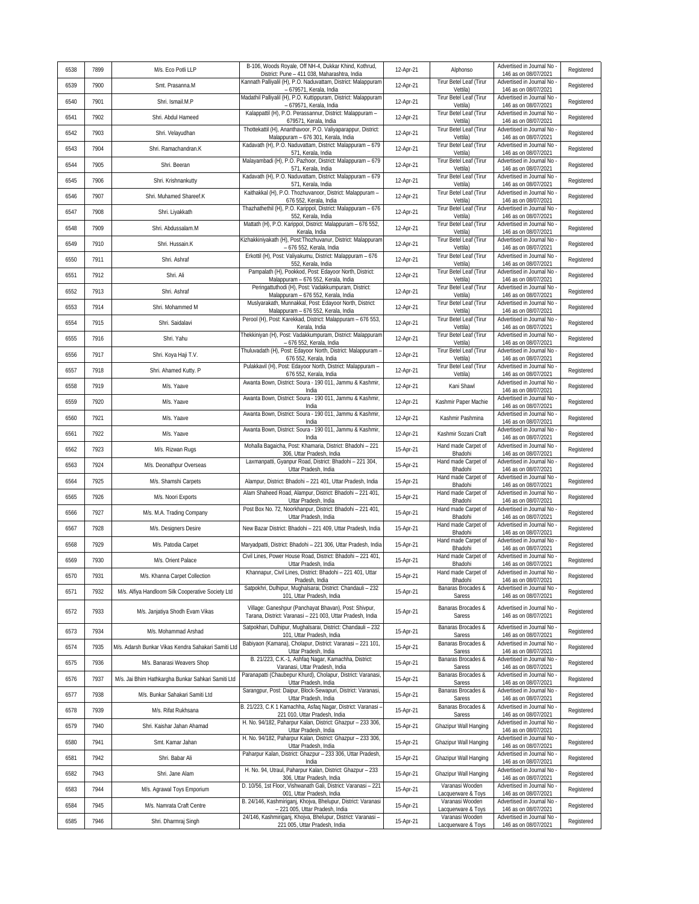| 6538 | 7899 | M/s. Eco Potli LLP                                  | B-106, Woods Royale, Off NH-4, Dukkar Khind, Kothrud,<br>District: Pune - 411 038, Maharashtra, India | 12-Apr-21 | Alphonso                              | Advertised in Journal No<br>146 as on 08/07/2021   | Registered |
|------|------|-----------------------------------------------------|-------------------------------------------------------------------------------------------------------|-----------|---------------------------------------|----------------------------------------------------|------------|
| 6539 | 7900 | Smt. Prasanna.M                                     | Kannath Palliyalil (H), P.O. Naduvattam, District: Malappuram<br>- 679571, Kerala, India              | 12-Apr-21 | Tirur Betel Leaf (Tirur<br>Vettila)   | Advertised in Journal No<br>146 as on 08/07/2021   | Registered |
| 6540 | 7901 | Shri. Ismail.M.P                                    | Madathil Palliyalil (H), P.O. Kuttippuram, District: Malappuram<br>- 679571, Kerala, India            | 12-Apr-21 | Tirur Betel Leaf (Tirur<br>Vettila)   | Advertised in Journal No<br>146 as on 08/07/2021   | Registered |
| 6541 | 7902 | Shri. Abdul Hameed                                  | Kalappattil (H), P.O. Perassannur, District: Malappuram -<br>679571, Kerala, India                    | 12-Apr-21 | Tirur Betel Leaf (Tirur<br>Vettila)   | Advertised in Journal No<br>146 as on 08/07/2021   | Registered |
| 6542 | 7903 | Shri. Velayudhan                                    | Thottekattil (H), Ananthavoor, P.O. Valiyaparappur, District:<br>Malappuram - 676 301, Kerala, India  | 12-Apr-21 | Tirur Betel Leaf (Tirur<br>Vettila)   | Advertised in Journal No<br>146 as on 08/07/2021   | Registered |
| 6543 | 7904 | Shri. Ramachandran.K                                | Kadavath (H), P.O. Naduvattam, District: Malappuram - 679<br>571, Kerala, India                       | 12-Apr-21 | Tirur Betel Leaf (Tirur<br>Vettila)   | Advertised in Journal No<br>146 as on 08/07/2021   | Registered |
| 6544 | 7905 | Shri. Beeran                                        | Malayambadi (H), P.O. Pazhoor, District: Malappuram - 679<br>571, Kerala, India                       | 12-Apr-21 | Tirur Betel Leaf (Tirur<br>Vettila)   | Advertised in Journal No<br>146 as on 08/07/2021   | Registered |
| 6545 | 7906 | Shri. Krishnankutty                                 | Kadavath (H), P.O. Naduvattam, District: Malappuram - 679<br>571, Kerala, India                       | 12-Apr-21 | Tirur Betel Leaf (Tirur<br>Vettila)   | Advertised in Journal No<br>146 as on 08/07/2021   | Registered |
| 6546 | 7907 | Shri. Muhamed Shareef.K                             | Kaithakkal (H), P.O. Thozhuvanoor, District: Malappuram -<br>676 552, Kerala, India                   | 12-Apr-21 | Tirur Betel Leaf (Tirur<br>Vettila)   | Advertised in Journal No<br>146 as on 08/07/2021   | Registered |
| 6547 | 7908 | Shri. Liyakkath                                     | Thazhathethil (H), P.O. Karippol, District: Malappuram - 676<br>552, Kerala, India                    | 12-Apr-21 | Tirur Betel Leaf (Tirur<br>Vettila)   | Advertised in Journal No<br>146 as on 08/07/2021   | Registered |
| 6548 | 7909 | Shri. Abdussalam.M                                  | Mattath (H), P.O. Karippol, District: Malappuram - 676 552,<br>Kerala, India                          | 12-Apr-21 | Tirur Betel Leaf (Tirur<br>Vettila)   | Advertised in Journal No<br>146 as on 08/07/2021   | Registered |
| 6549 | 7910 | Shri. Hussain.K                                     | Kizhakkiniyakath (H), Post:Thozhuvanur, District: Malappuram<br>- 676 552, Kerala, India              | 12-Apr-21 | Tirur Betel Leaf (Tirur<br>Vettila)   | Advertised in Journal No<br>146 as on 08/07/2021   | Registered |
| 6550 | 7911 | Shri. Ashraf                                        | Erkottil (H), Post: Valiyakumu, District: Malappuram - 676<br>552, Kerala, India                      | 12-Apr-21 | Tirur Betel Leaf (Tirur<br>Vettila)   | Advertised in Journal No<br>146 as on 08/07/2021   | Registered |
| 6551 | 7912 | Shri. Ali                                           | Pampalath (H), Pookkod, Post: Edayoor North, District:<br>Malappuram - 676 552, Kerala, India         | 12-Apr-21 | Tirur Betel Leaf (Tirur<br>Vettila)   | Advertised in Journal No<br>146 as on 08/07/2021   | Registered |
| 6552 | 7913 | Shri. Ashraf                                        | Peringattuthodi (H), Post: Vadakkumpuram, District:<br>Malappuram - 676 552, Kerala, India            | 12-Apr-21 | Tirur Betel Leaf (Tirur<br>Vettila)   | Advertised in Journal No<br>146 as on 08/07/2021   | Registered |
| 6553 | 7914 | Shri. Mohammed M                                    | Muslyarakath, Munnakkal, Post: Edayoor North, District:<br>Malappuram - 676 552, Kerala, India        | 12-Apr-21 | Tirur Betel Leaf (Tirur<br>Vettila)   | Advertised in Journal No<br>146 as on 08/07/2021   | Registered |
| 6554 | 7915 | Shri. Saidalavi                                     | Perool (H), Post: Karekkad, District: Malappuram - 676 553,<br>Kerala, India                          | 12-Apr-21 | Tirur Betel Leaf (Tirur<br>Vettila)   | Advertised in Journal No<br>146 as on 08/07/2021   | Registered |
| 6555 | 7916 | Shri. Yahu                                          | Thekkiniyan (H), Post: Vadakkumpuram, District: Malappuram<br>- 676 552, Kerala, India                | 12-Apr-21 | Tirur Betel Leaf (Tirur<br>Vettila)   | Advertised in Journal No<br>146 as on 08/07/2021   | Registered |
| 6556 | 7917 | Shri. Koya Haji T.V.                                | Thuluvadath (H), Post: Edayoor North, District: Malappuram -<br>676 552, Kerala, India                | 12-Apr-21 | Tirur Betel Leaf (Tirur<br>Vettila)   | Advertised in Journal No<br>146 as on 08/07/2021   | Registered |
| 6557 | 7918 | Shri. Ahamed Kutty. P                               | Pulakkavil (H), Post: Edayoor North, District: Malappuram -                                           | 12-Apr-21 | Tirur Betel Leaf (Tirur               | Advertised in Journal No                           | Registered |
| 6558 | 7919 | M/s. Yaave                                          | 676 552, Kerala, India<br>Awanta Bown, District: Soura - 190 011, Jammu & Kashmir,                    | 12-Apr-21 | Vettila)<br>Kani Shawl                | 146 as on 08/07/2021<br>Advertised in Journal No   | Registered |
| 6559 | 7920 | M/s. Yaave                                          | India<br>Awanta Bown, District: Soura - 190 011, Jammu & Kashmir,                                     | 12-Apr-21 | Kashmir Paper Machie                  | 146 as on 08/07/2021<br>Advertised in Journal No   | Registered |
| 6560 | 7921 | M/s. Yaave                                          | India<br>Awanta Bown, District: Soura - 190 011, Jammu & Kashmir,                                     | 12-Apr-21 | Kashmir Pashmina                      | 146 as on 08/07/2021<br>Advertised in Journal No   | Registered |
| 6561 | 7922 | M/s. Yaave                                          | India<br>Awanta Bown, District: Soura - 190 011, Jammu & Kashmir,                                     | 12-Apr-21 | Kashmir Sozani Craft                  | 146 as on 08/07/2021<br>Advertised in Journal No   | Registered |
| 6562 | 7923 | M/s. Rizwan Rugs                                    | India<br>Mohalla Bagaicha, Post: Khamaria, District: Bhadohi - 221                                    | 15-Apr-21 | Hand made Carpet of                   | 146 as on 08/07/2021<br>Advertised in Journal No   | Registered |
| 6563 | 7924 | M/s. Deonathpur Overseas                            | 306, Uttar Pradesh, India<br>Laxmanpatti, Gyanpur Road, District: Bhadohi - 221 304,                  | 15-Apr-21 | Bhadohi<br>Hand made Carpet of        | 146 as on 08/07/2021<br>Advertised in Journal No   | Registered |
| 6564 | 7925 | M/s. Shamshi Carpets                                | Uttar Pradesh, India<br>Alampur, District: Bhadohi - 221 401, Uttar Pradesh, India                    | 15-Apr-21 | Bhadohi<br>Hand made Carpet of        | 146 as on 08/07/2021<br>Advertised in Journal No   | Registered |
| 6565 | 7926 | M/s. Noori Exports                                  | Alam Shaheed Road, Alampur, District: Bhadohi - 221 401,                                              | 15-Apr-21 | Bhadohi<br>Hand made Carpet of        | 146 as on 08/07/2021<br>Advertised in Journal No   | Registered |
| 6566 | 7927 | M/s. M.A. Trading Company                           | Uttar Pradesh, India<br>Post Box No. 72, Noorkhanpur, District: Bhadohi - 221 401,                    | 15-Apr-21 | Bhadohi<br>Hand made Carpet of        | 146 as on 08/07/2021<br>Advertised in Journal No   | Registered |
| 6567 | 7928 | M/s. Designers Desire                               | Uttar Pradesh, India<br>New Bazar District: Bhadohi - 221 409, Uttar Pradesh, India                   | 15-Apr-21 | Bhadohi<br>Hand made Carpet of        | 146 as on 08/07/2021<br>Advertised in Journal No   | Registered |
| 6568 | 7929 | M/s. Patodia Carpet                                 | Maryadpatti, District: Bhadohi - 221 306, Uttar Pradesh, India                                        | 15-Apr-21 | Bhadohi<br>Hand made Carpet of        | 146 as on 08/07/2021<br>Advertised in Journal No   | Registered |
| 6569 | 7930 | M/s. Orient Palace                                  | Civil Lines, Power House Road, District: Bhadohi - 221 401,                                           | 15-Apr-21 | Bhadohi<br>Hand made Carpet of        | 146 as on 08/07/2021<br>Advertised in Journal No   | Registered |
| 6570 | 7931 | M/s. Khanna Carpet Collection                       | Uttar Pradesh, India<br>Khannapur, Civil Lines, District: Bhadohi - 221 401, Uttar                    | 15-Apr-21 | Bhadohi<br>Hand made Carpet of        | 146 as on 08/07/2021<br>Advertised in Journal No - | Registered |
| 6571 | 7932 | M/s. Alfiya Handloom Silk Cooperative Society Ltd   | Pradesh, India<br>Satpokhri, Dulhipur, Mughalsarai, District: Chandauli - 232                         | 15-Apr-21 | Bhadohi<br>Banaras Brocades &         | 146 as on 08/07/2021<br>Advertised in Journal No   | Registered |
|      |      |                                                     | 101, Uttar Pradesh, India<br>Village: Ganeshpur (Panchayat Bhavan), Post: Shivpur,                    |           | Saress<br>Banaras Brocades &          | 146 as on 08/07/2021<br>Advertised in Journal No - |            |
| 6572 | 7933 | M/s. Janjatiya Shodh Evam Vikas                     | Tarana, District: Varanasi - 221 003, Uttar Pradesh, India                                            | 15-Apr-21 | Saress                                | 146 as on 08/07/2021                               | Registered |
| 6573 | 7934 | M/s. Mohammad Arshad                                | Satpokhari, Dulhipur, Muqhalsarai, District: Chandauli - 232<br>101. Uttar Pradesh. India             | 15-Apr-21 | Banaras Brocades &<br>Saress          | Advertised in Journal No<br>146 as on 08/07/2021   | Registered |
| 6574 | 7935 | M/s. Adarsh Bunkar Vikas Kendra Sahakari Samiti Ltd | Babiyaon (Kamana), Cholapur, District: Varanasi - 221 101,<br>Uttar Pradesh, India                    | 15-Apr-21 | Banaras Brocades &<br>Saress          | Advertised in Journal No -<br>146 as on 08/07/2021 | Registered |
| 6575 | 7936 | M/s. Banarasi Weavers Shop                          | B. 21/223, C.K.-1, Ashfaq Nagar, Kamachha, District:<br>Varanasi, Uttar Pradesh, India                | 15-Apr-21 | Banaras Brocades &<br>Saress          | Advertised in Journal No<br>146 as on 08/07/2021   | Registered |
| 6576 | 7937 | M/s. Jai Bhim Hathkargha Bunkar Sahkari Samiti Ltd  | Paranapatti (Chaubepur Khurd), Cholapur, District: Varanasi,<br>Uttar Pradesh, India                  | 15-Apr-21 | Banaras Brocades &<br>Saress          | Advertised in Journal No<br>146 as on 08/07/2021   | Registered |
| 6577 | 7938 | M/s. Bunkar Sahakari Samiti Ltd                     | Sarangpur, Post: Daipur, Block-Sewapuri, District: Varanasi,<br>Uttar Pradesh, India                  | 15-Apr-21 | Banaras Brocades &<br>Saress          | Advertised in Journal No<br>146 as on 08/07/2021   | Registered |
| 6578 | 7939 | M/s. Rifat Rukhsana                                 | B. 21/223, C.K 1 Kamachha, Asfaq Nagar, District: Varanasi -<br>221 010, Uttar Pradesh, India         | 15-Apr-21 | Banaras Brocades &<br>Saress          | Advertised in Journal No<br>146 as on 08/07/2021   | Registered |
| 6579 | 7940 | Shri. Kaishar Jahan Ahamad                          | H. No. 94/182, Paharpur Kalan, District: Ghazpur - 233 306,<br>Uttar Pradesh, India                   | 15-Apr-21 | Ghazipur Wall Hanging                 | Advertised in Journal No -<br>146 as on 08/07/2021 | Registered |
| 6580 | 7941 | Smt. Kamar Jahan                                    | H. No. 94/182, Paharpur Kalan, District: Ghazpur - 233 306,<br>Uttar Pradesh, India                   | 15-Apr-21 | Ghazipur Wall Hanging                 | Advertised in Journal No<br>146 as on 08/07/2021   | Registered |
| 6581 | 7942 | Shri. Babar Ali                                     | Paharpur Kalan, District: Ghazpur - 233 306, Uttar Pradesh,<br>India                                  | 15-Apr-21 | Ghazipur Wall Hanging                 | Advertised in Journal No<br>146 as on 08/07/2021   | Registered |
| 6582 | 7943 | Shri. Jane Alam                                     | H. No. 94, Utraul, Paharpur Kalan, District: Ghazpur - 233<br>306, Uttar Pradesh, India               | 15-Apr-21 | Ghazipur Wall Hanging                 | Advertised in Journal No -<br>146 as on 08/07/2021 | Registered |
| 6583 | 7944 | M/s. Agrawal Toys Emporium                          | D. 10/56, 1st Floor, Vishwanath Gali, District: Varanasi - 221<br>001, Uttar Pradesh, India           | 15-Apr-21 | Varanasi Wooden<br>Lacquerware & Toys | Advertised in Journal No<br>146 as on 08/07/2021   | Registered |
| 6584 | 7945 | M/s. Namrata Craft Centre                           | B. 24/146, Kashmiriganj, Khojva, Bhelupur, District: Varanasi<br>- 221 005, Uttar Pradesh, India      | 15-Apr-21 | Varanasi Wooden<br>Lacquerware & Toys | Advertised in Journal No -<br>146 as on 08/07/2021 | Registered |
| 6585 | 7946 | Shri. Dharmraj Singh                                | 24/146, Kashmiriganj, Khojva, Bhelupur, District: Varanasi -<br>221 005, Uttar Pradesh, India         | 15-Apr-21 | Varanasi Wooden<br>Lacquerware & Toys | Advertised in Journal No -<br>146 as on 08/07/2021 | Registered |
|      |      |                                                     |                                                                                                       |           |                                       |                                                    |            |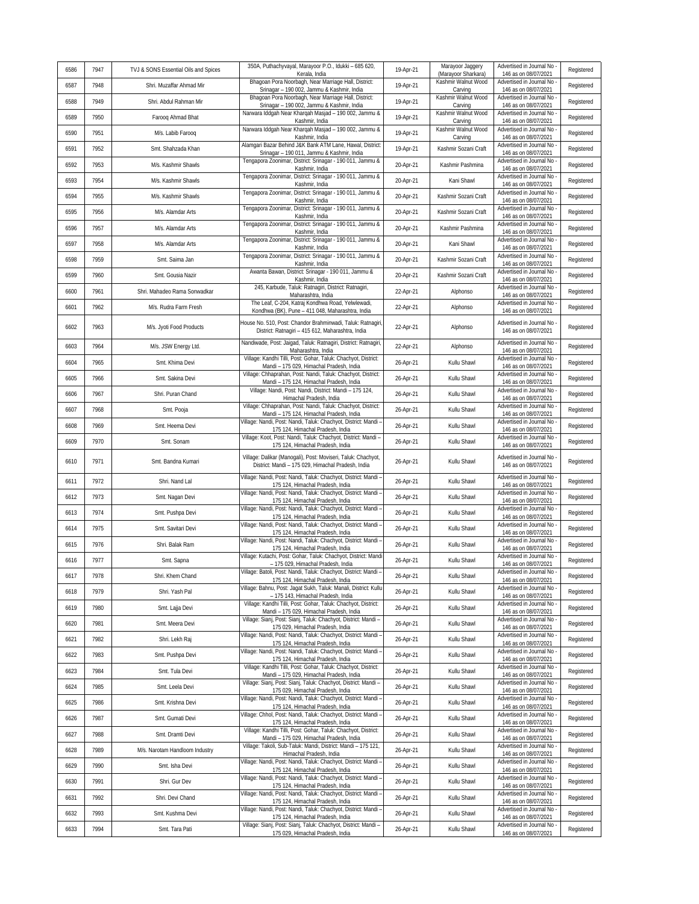| 6586 | 7947 | TVJ & SONS Essential Oils and Spices | 350A, Puthachyvayal, Marayoor P.O., Idukki - 685 620,<br>Kerala, India                                              | 19-Apr-21 | Marayoor Jaggery<br>(Marayoor Sharkara)   | Advertised in Journal No<br>146 as on 08/07/2021   | Registered |
|------|------|--------------------------------------|---------------------------------------------------------------------------------------------------------------------|-----------|-------------------------------------------|----------------------------------------------------|------------|
| 6587 | 7948 | Shri. Muzaffar Ahmad Mir             | Bhagoan Pora Noorbagh, Near Marriage Hall, District:<br>Srinagar - 190 002, Jammu & Kashmir, India                  | 19-Apr-21 | Kashmir Walnut Wood<br>Carving            | Advertised in Journal No<br>146 as on 08/07/2021   | Registered |
| 6588 | 7949 | Shri. Abdul Rahman Mir               | Bhagoan Pora Noorbagh, Near Marriage Hall, District:<br>Srinagar - 190 002, Jammu & Kashmir, India                  | 19-Apr-21 | Kashmir Walnut Wood                       | Advertised in Journal No<br>146 as on 08/07/2021   | Registered |
| 6589 | 7950 | Farooq Ahmad Bhat                    | Narwara Iddgah Near Kharqah Masjad - 190 002, Jammu &<br>Kashmir, India                                             | 19-Apr-21 | Carving<br>Kashmir Walnut Wood<br>Carving | Advertised in Journal No<br>146 as on 08/07/2021   | Registered |
| 6590 | 7951 | M/s. Labib Farooq                    | Narwara Iddgah Near Kharqah Masjad - 190 002, Jammu &<br>Kashmir, India                                             | 19-Apr-21 | Kashmir Walnut Wood<br>Carving            | Advertised in Journal No<br>146 as on 08/07/2021   | Registered |
| 6591 | 7952 | Smt. Shahzada Khan                   | Alamqari Bazar Behind J&K Bank ATM Lane, Hawal, District:<br>Srinagar - 190 011, Jammu & Kashmir, India             | 19-Apr-21 | Kashmir Sozani Craft                      | Advertised in Journal No<br>146 as on 08/07/2021   | Registered |
| 6592 | 7953 | M/s. Kashmir Shawls                  | Tengapora Zoonimar, District: Srinagar - 190 011, Jammu &<br>Kashmir, India                                         | 20-Apr-21 | Kashmir Pashmina                          | Advertised in Journal No -<br>146 as on 08/07/2021 | Registered |
| 6593 | 7954 | M/s. Kashmir Shawls                  | Tengapora Zoonimar, District: Srinagar - 190 011, Jammu &<br>Kashmir, India                                         | 20-Apr-21 | Kani Shawl                                | Advertised in Journal No<br>146 as on 08/07/2021   | Registered |
| 6594 | 7955 | M/s. Kashmir Shawls                  | Tengapora Zoonimar, District: Srinagar - 190 011, Jammu &<br>Kashmir, India                                         | 20-Apr-21 | Kashmir Sozani Craft                      | Advertised in Journal No<br>146 as on 08/07/2021   | Registered |
| 6595 | 7956 | M/s. Alamdar Arts                    | Tengapora Zoonimar, District: Srinagar - 190 011, Jammu &<br>Kashmir, India                                         | 20-Apr-21 | Kashmir Sozani Craft                      | Advertised in Journal No -<br>146 as on 08/07/2021 | Registered |
| 6596 | 7957 | M/s. Alamdar Arts                    | District: Srinagar - 190 011, Jammu &<br>Tengapora Zoonimar,<br>Kashmir, India                                      | 20-Apr-21 | Kashmir Pashmina                          | Advertised in Journal No<br>146 as on 08/07/2021   | Registered |
| 6597 | 7958 | M/s. Alamdar Arts                    | District: Srinagar - 190 011, Jammu &<br>Tengapora Zoonimar,<br>Kashmir, India                                      | 20-Apr-21 | Kani Shawl                                | Advertised in Journal No -<br>146 as on 08/07/2021 | Registered |
| 6598 | 7959 | Smt. Saima Jan                       | Tengapora Zoonimar, District: Srinagar - 190 011, Jammu &<br>Kashmir, India                                         | 20-Apr-21 | Kashmir Sozani Craft                      | Advertised in Journal No<br>146 as on 08/07/2021   | Registered |
| 6599 | 7960 | Smt. Gousia Nazir                    | Awanta Bawan, District: Srinagar - 190 011, Jammu &<br>Kashmir, India                                               | 20-Apr-21 | Kashmir Sozani Craft                      | Advertised in Journal No<br>146 as on 08/07/2021   | Registered |
| 6600 | 7961 | Shri. Mahadeo Rama Sonwadkar         | 245, Karbude, Taluk: Ratnagiri, District: Ratnagiri,<br>Maharashtra, India                                          | 22-Apr-21 | Alphonso                                  | Advertised in Journal No -<br>146 as on 08/07/2021 | Registered |
| 6601 | 7962 | M/s. Rudra Farm Fresh                | The Leaf, C-204, Katraj Kondhwa Road, Yelwlewadi,<br>Kondhwa (BK), Pune - 411 048, Maharashtra, India               | 22-Apr-21 | Alphonso                                  | Advertised in Journal No<br>146 as on 08/07/2021   | Registered |
| 6602 | 7963 | M/s. Jyoti Food Products             | House No. 510, Post: Chandor Brahminwadi, Taluk: Ratnagiri,<br>District: Ratnagiri - 415 612, Maharashtra, India    | 22-Apr-21 | Alphonso                                  | Advertised in Journal No -<br>146 as on 08/07/2021 | Registered |
| 6603 | 7964 | M/s. JSW Energy Ltd.                 | Nandiwade, Post: Jaigad, Taluk: Ratnagiri, District: Ratnagiri,<br>Maharashtra, India                               | 22-Apr-21 | Alphonso                                  | Advertised in Journal No -<br>146 as on 08/07/2021 | Registered |
| 6604 | 7965 | Smt. Khima Devi                      | Village: Kandhi Tilli, Post: Gohar, Taluk: Chachyot, District:<br>Mandi - 175 029, Himachal Pradesh, India          | 26-Apr-21 | Kullu Shawl                               | Advertised in Journal No -<br>146 as on 08/07/2021 | Registered |
| 6605 | 7966 | Smt. Sakina Devi                     | Village: Chhaprahan, Post: Nandi, Taluk: Chachyot, District:<br>Mandi - 175 124, Himachal Pradesh, India            | 26-Apr-21 | Kullu Shawl                               | Advertised in Journal No<br>146 as on 08/07/2021   | Registered |
| 6606 | 7967 | Shri. Puran Chand                    | Village: Nandi, Post: Nandi, District: Mandi - 175 124,<br>Himachal Pradesh, India                                  | 26-Apr-21 | Kullu Shawl                               | Advertised in Journal No<br>146 as on 08/07/2021   | Registered |
| 6607 | 7968 | Smt. Pooja                           | Village: Chhaprahan, Post: Nandi, Taluk: Chachyot, District:<br>Mandi - 175 124, Himachal Pradesh, India            | 26-Apr-21 | Kullu Shawl                               | Advertised in Journal No<br>146 as on 08/07/2021   | Registered |
| 6608 | 7969 | Smt. Heema Devi                      | Village: Nandi, Post: Nandi, Taluk: Chachyot, District: Mandi -<br>175 124, Himachal Pradesh, India                 | 26-Apr-21 | Kullu Shawl                               | Advertised in Journal No<br>146 as on 08/07/2021   | Registered |
| 6609 | 7970 | Smt. Sonam                           | Village: Koot, Post: Nandi, Taluk: Chachyot, District: Mandi -<br>175 124, Himachal Pradesh, India                  | 26-Apr-21 | Kullu Shawl                               | Advertised in Journal No -<br>146 as on 08/07/2021 | Registered |
| 6610 | 7971 | Smt. Bandna Kumari                   | Village: Dalikar (Manogali), Post: Moviseri, Taluk: Chachyot,<br>District: Mandi - 175 029, Himachal Pradesh, India | 26-Apr-21 | Kullu Shawl                               | Advertised in Journal No -<br>146 as on 08/07/2021 | Registered |
| 6611 | 7972 | Shri. Nand Lal                       | Village: Nandi, Post: Nandi, Taluk: Chachyot, District: Mandi -<br>175 124, Himachal Pradesh, India                 | 26-Apr-21 | Kullu Shawl                               | Advertised in Journal No<br>146 as on 08/07/2021   | Registered |
| 6612 | 7973 | Smt. Nagan Devi                      | Village: Nandi, Post: Nandi, Taluk: Chachyot, District: Mandi<br>175 124, Himachal Pradesh, India                   | 26-Apr-21 | Kullu Shawl                               | Advertised in Journal No<br>146 as on 08/07/2021   | Registered |
| 6613 | 7974 | Smt. Pushpa Devi                     | Village: Nandi, Post: Nandi, Taluk: Chachyot, District: Mandi -<br>175 124, Himachal Pradesh, India                 | 26-Apr-21 | Kullu Shawl                               | Advertised in Journal No<br>146 as on 08/07/2021   | Registered |
| 6614 | 7975 | Smt. Savitari Devi                   | Village: Nandi, Post: Nandi, Taluk: Chachyot, District: Mandi -<br>175 124, Himachal Pradesh, India                 | 26-Apr-21 | Kullu Shawl                               | Advertised in Journal No<br>146 as on 08/07/2021   | Registered |
| 6615 | 7976 | Shri. Balak Ram                      | Village: Nandi, Post: Nandi, Taluk: Chachyot, District: Mandi -<br>175 124, Himachal Pradesh, India                 | 26-Apr-21 | Kullu Shawl                               | Advertised in Journal No<br>146 as on 08/07/2021   | Registered |
| 6616 | 7977 | Smt. Sapna                           | Village: Kutachi, Post: Gohar, Taluk: Chachyot, District: Mandi<br>- 175 029, Himachal Pradesh, India               | 26-Apr-21 | Kullu Shawl                               | Advertised in Journal No<br>146 as on 08/07/2021   | Registered |
| 6617 | 7978 | Shri. Khem Chand                     | Village: Batoli, Post: Nandi, Taluk: Chachyot, District: Mandi -<br>175 124, Himachal Pradesh, India                | 26-Apr-21 | Kullu Shawl                               | Advertised in Journal No -<br>146 as on 08/07/2021 | Registered |
| 6618 | 7979 | Shri. Yash Pal                       | Village: Bahnu, Post: Jagat Sukh, Taluk: Manali, District: Kullu<br>- 175 143, Himachal Pradesh, India              | 26-Apr-21 | Kullu Shawl                               | Advertised in Journal No -<br>146 as on 08/07/2021 | Registered |
| 6619 | 7980 | Smt. Lajja Devi                      | Village: Kandhi Tilli, Post: Gohar, Taluk: Chachyot, District:<br>Mandi - 175 029, Himachal Pradesh, India          | 26-Apr-21 | Kullu Shawl                               | Advertised in Journal No -<br>146 as on 08/07/2021 | Registered |
| 6620 | 7981 | Smt. Meera Devi                      | Village: Sianj, Post: Sianj, Taluk: Chachyot, District: Mandi -<br>175 029, Himachal Pradesh, India                 | 26-Apr-21 | Kullu Shawl                               | Advertised in Journal No -<br>146 as on 08/07/2021 | Registered |
| 6621 | 7982 | Shri. Lekh Raj                       | Village: Nandi, Post: Nandi, Taluk: Chachyot, District: Mandi -<br>175 124, Himachal Pradesh, India                 | 26-Apr-21 | Kullu Shawl                               | Advertised in Journal No -<br>146 as on 08/07/2021 | Registered |
| 6622 | 7983 | Smt. Pushpa Devi                     | Village: Nandi, Post: Nandi, Taluk: Chachyot, District: Mandi -<br>175 124, Himachal Pradesh, India                 | 26-Apr-21 | Kullu Shawl                               | Advertised in Journal No -<br>146 as on 08/07/2021 | Registered |
| 6623 | 7984 | Smt. Tula Devi                       | Village: Kandhi Tilli, Post: Gohar, Taluk: Chachyot, District:<br>Mandi - 175 029, Himachal Pradesh, India          | 26-Apr-21 | Kullu Shawl                               | Advertised in Journal No -<br>146 as on 08/07/2021 | Registered |
| 6624 | 7985 | Smt. Leela Devi                      | Village: Sianj, Post: Sianj, Taluk: Chachyot, District: Mandi -<br>175 029. Himachal Pradesh, India                 | 26-Apr-21 | Kullu Shawl                               | Advertised in Journal No<br>146 as on 08/07/2021   | Registered |
| 6625 | 7986 | Smt. Krishna Devi                    | Village: Nandi, Post: Nandi, Taluk: Chachyot, District: Mandi -<br>175 124, Himachal Pradesh, India                 | 26-Apr-21 | Kullu Shawl                               | Advertised in Journal No -<br>146 as on 08/07/2021 | Registered |
| 6626 | 7987 | Smt. Gumati Devi                     | Village: Chhol, Post: Nandi, Taluk: Chachyot, District: Mandi-<br>175 124, Himachal Pradesh, India                  | 26-Apr-21 | Kullu Shawl                               | Advertised in Journal No -<br>146 as on 08/07/2021 | Registered |
| 6627 | 7988 | Smt. Dramti Devi                     | Village: Kandhi Tilli, Post: Gohar, Taluk: Chachyot, District:<br>Mandi - 175 029, Himachal Pradesh, India          | 26-Apr-21 | Kullu Shawl                               | Advertised in Journal No<br>146 as on 08/07/2021   | Registered |
| 6628 | 7989 | M/s. Narotam Handloom Industry       | Village: Takoli, Sub-Taluk: Mandi, District: Mandi - 175 121,<br>Himachal Pradesh, India                            | 26-Apr-21 | Kullu Shawl                               | Advertised in Journal No -<br>146 as on 08/07/2021 | Registered |
| 6629 | 7990 | Smt. Isha Devi                       | Village: Nandi, Post: Nandi, Taluk: Chachyot, District: Mandi -<br>175 124, Himachal Pradesh, India                 | 26-Apr-21 | Kullu Shawl                               | Advertised in Journal No<br>146 as on 08/07/2021   | Registered |
| 6630 | 7991 | Shri. Gur Dev                        | Village: Nandi, Post: Nandi, Taluk: Chachyot, District: Mandi -<br>175 124, Himachal Pradesh, India                 | 26-Apr-21 | Kullu Shawl                               | Advertised in Journal No -<br>146 as on 08/07/2021 | Registered |
| 6631 | 7992 | Shri. Devi Chand                     | Village: Nandi, Post: Nandi, Taluk: Chachyot, District: Mandi -<br>175 124, Himachal Pradesh, India                 | 26-Apr-21 | Kullu Shawl                               | Advertised in Journal No<br>146 as on 08/07/2021   | Registered |
| 6632 | 7993 | Smt. Kushma Devi                     | Village: Nandi, Post: Nandi, Taluk: Chachyot, District: Mandi -<br>175 124, Himachal Pradesh, India                 | 26-Apr-21 | Kullu Shawl                               | Advertised in Journal No -<br>146 as on 08/07/2021 | Registered |
| 6633 | 7994 | Smt. Tara Pati                       | Village: Sianj, Post: Sianj, Taluk: Chachyot, District: Mandi -<br>175 029, Himachal Pradesh, India                 | 26-Apr-21 | Kullu Shawl                               | Advertised in Journal No -<br>146 as on 08/07/2021 | Registered |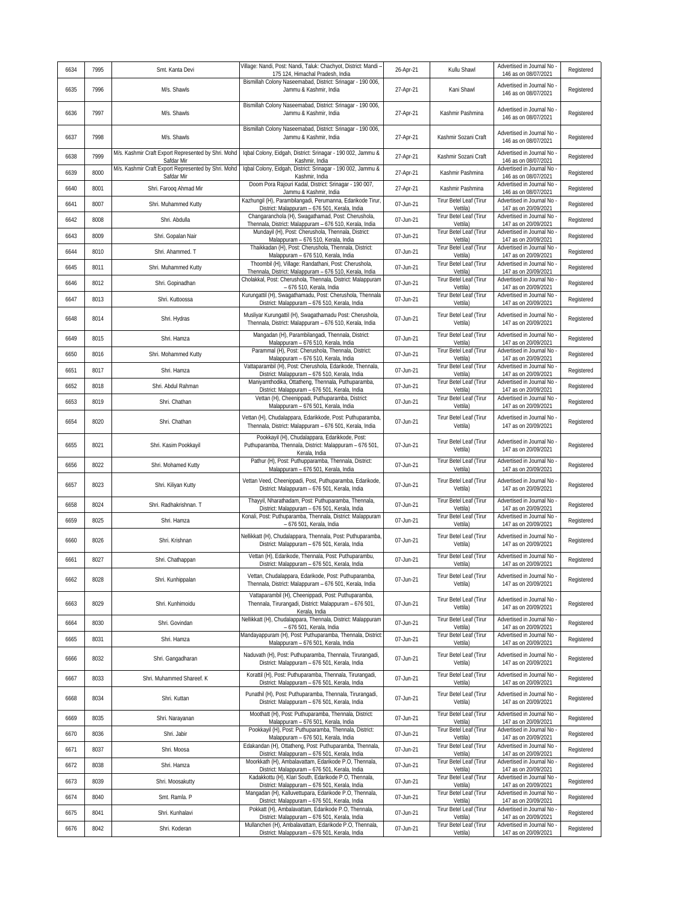| 6634 | 7995 | Smt. Kanta Devi                                                   | Village: Nandi, Post: Nandi, Taluk: Chachyot, District: Mandi -<br>175 124, Himachal Pradesh, India                            | 26-Apr-21 | Kullu Shawl                         | Advertised in Journal No<br>146 as on 08/07/2021   | Registered |
|------|------|-------------------------------------------------------------------|--------------------------------------------------------------------------------------------------------------------------------|-----------|-------------------------------------|----------------------------------------------------|------------|
| 6635 | 7996 | M/s. Shawls                                                       | Bismillah Colony Naseemabad, District: Srinagar - 190 006,<br>Jammu & Kashmir, India                                           | 27-Apr-21 | Kani Shawl                          | Advertised in Journal No<br>146 as on 08/07/2021   | Registered |
| 6636 | 7997 | M/s. Shawls                                                       | Bismillah Colony Naseemabad, District: Srinagar - 190 006,<br>Jammu & Kashmir, India                                           | 27-Apr-21 | Kashmir Pashmina                    | Advertised in Journal No<br>146 as on 08/07/2021   | Registered |
| 6637 | 7998 | M/s. Shawls                                                       | Bismillah Colony Naseemabad, District: Srinagar - 190 006,<br>Jammu & Kashmir, India                                           | 27-Apr-21 | Kashmir Sozani Craft                | Advertised in Journal No<br>146 as on 08/07/2021   | Registered |
| 6638 | 7999 | M/s. Kashmir Craft Export Represented by Shri. Mohd<br>Safdar Mir | Iqbal Colony, Eidgah, District: Srinagar - 190 002, Jammu &<br>Kashmir, India                                                  | 27-Apr-21 | Kashmir Sozani Craft                | Advertised in Journal No<br>146 as on 08/07/2021   | Registered |
| 6639 | 8000 | M/s. Kashmir Craft Export Represented by Shri. Mohd<br>Safdar Mir | Iqbal Colony, Eidgah, District: Srinagar - 190 002, Jammu &<br>Kashmir, India                                                  | 27-Apr-21 | Kashmir Pashmina                    | Advertised in Journal No<br>146 as on 08/07/2021   | Registered |
| 6640 | 8001 | Shri. Farooq Ahmad Mir                                            | Doom Pora Rajouri Kadal, District: Srinagar - 190 007,<br>Jammu & Kashmir, India                                               | 27-Apr-21 | Kashmir Pashmina                    | Advertised in Journal No<br>146 as on 08/07/2021   | Registered |
| 6641 | 8007 | Shri. Muhammed Kutty                                              | Kazhungil (H), Parambilangadi, Perumanna, Edarikode Tirur,                                                                     | 07-Jun-21 | Tirur Betel Leaf (Tirur             | Advertised in Journal No                           | Registered |
| 6642 | 8008 | Shri. Abdulla                                                     | District: Malappuram - 676 501, Kerala, India<br>Changaranchola (H), Swagathamad, Post: Cherushola,                            | 07-Jun-21 | Vettila)<br>Tirur Betel Leaf (Tirur | 147 as on 20/09/2021<br>Advertised in Journal No   | Registered |
| 6643 | 8009 | Shri. Gopalan Nair                                                | Thennala, District: Malappuram - 676 510, Kerala, India<br>Mundayil (H), Post: Cherushola, Thennala, District:                 | 07-Jun-21 | Vettila)<br>Tirur Betel Leaf (Tirur | 147 as on 20/09/2021<br>Advertised in Journal No   | Registered |
| 6644 | 8010 | Shri. Ahammed. T                                                  | Malappuram - 676 510, Kerala, India<br>Thaikkadan (H), Post: Cherushola, Thennala, District:                                   | 07-Jun-21 | Vettila)<br>Tirur Betel Leaf (Tirur | 147 as on 20/09/2021<br>Advertised in Journal No   | Registered |
| 6645 | 8011 | Shri. Muhammed Kutty                                              | Malappuram - 676 510, Kerala, India<br>Thoombil (H), Village: Randathani, Post: Cherushola,                                    | 07-Jun-21 | Vettila)<br>Tirur Betel Leaf (Tirur | 147 as on 20/09/2021<br>Advertised in Journal No   | Registered |
| 6646 | 8012 | Shri. Gopinadhan                                                  | Thennala, District: Malappuram - 676 510, Kerala, India<br>Cholakkal, Post: Cherushola, Thennala, District: Malappuram         | 07-Jun-21 | Vettila)<br>Tirur Betel Leaf (Tirur | 147 as on 20/09/2021<br>Advertised in Journal No   | Registered |
| 6647 | 8013 | Shri. Kuttoossa                                                   | - 676 510. Kerala, India<br>Kurungattil (H), Swagathamadu, Post: Cherushola, Thennala                                          | 07-Jun-21 | Vettila)<br>Tirur Betel Leaf (Tirur | 147 as on 20/09/2021<br>Advertised in Journal No   | Registered |
|      |      |                                                                   | District: Malappuram - 676 510, Kerala, India<br>Musliyar Kurungattil (H), Swagathamadu Post: Cherushola,                      |           | Vettila)<br>Tirur Betel Leaf (Tirur | 147 as on 20/09/2021<br>Advertised in Journal No   |            |
| 6648 | 8014 | Shri. Hydras                                                      | Thennala, District: Malappuram - 676 510, Kerala, India                                                                        | 07-Jun-21 | Vettila)                            | 147 as on 20/09/2021                               | Registered |
| 6649 | 8015 | Shri, Hamza                                                       | Mangadan (H), Parambilangadi, Thennala, District:<br>Malappuram - 676 510, Kerala, India                                       | 07-Jun-21 | Tirur Betel Leaf (Tirur<br>Vettila) | Advertised in Journal No<br>147 as on 20/09/2021   | Registered |
| 6650 | 8016 | Shri. Mohammed Kutty                                              | Parammal (H), Post: Cherushola, Thennala, District:<br>Malappuram - 676 510, Kerala, India                                     | 07-Jun-21 | Tirur Betel Leaf (Tirur<br>Vettila) | Advertised in Journal No<br>147 as on 20/09/2021   | Registered |
| 6651 | 8017 | Shri. Hamza                                                       | Vattaparambil (H), Post: Cherushola, Edarikode, Thennala,<br>District: Malappuram - 676 510, Kerala, India                     | 07-Jun-21 | Tirur Betel Leaf (Tirur<br>Vettila) | Advertised in Journal No<br>147 as on 20/09/2021   | Registered |
| 6652 | 8018 | Shri. Abdul Rahman                                                | Maniyamthodika, Ottatheng, Thennala, Puthuparamba,<br>District: Malappuram - 676 501, Kerala, India                            | 07-Jun-21 | Tirur Betel Leaf (Tirur<br>Vettila) | Advertised in Journal No<br>147 as on 20/09/2021   | Registered |
| 6653 | 8019 | Shri. Chathan                                                     | Vettan (H), Cheenippadi, Puthuparamba, District:<br>Malappuram - 676 501, Kerala, India                                        | 07-Jun-21 | Tirur Betel Leaf (Tirur<br>Vettila) | Advertised in Journal No<br>147 as on 20/09/2021   | Registered |
| 6654 | 8020 | Shri. Chathan                                                     | Vettan (H), Chudalappara, Edarikkode, Post: Puthuparamba,<br>Thennala, District: Malappuram - 676 501, Kerala, India           | 07-Jun-21 | Tirur Betel Leaf (Tirur<br>Vettila) | Advertised in Journal No<br>147 as on 20/09/2021   | Registered |
| 6655 | 8021 | Shri. Kasim Pookkayil                                             | Pookkayil (H), Chudalappara, Edarikkode, Post:<br>Puthuparamba, Thennala, District: Malappuram - 676 501,<br>Kerala, India     | 07-Jun-21 | Tirur Betel Leaf (Tirur<br>Vettila) | Advertised in Journal No<br>147 as on 20/09/2021   | Registered |
| 6656 | 8022 | Shri. Mohamed Kutty                                               | Pathur (H), Post: Puthupparamba, Thennala, District:<br>Malappuram - 676 501, Kerala, India                                    | 07-Jun-21 | Tirur Betel Leaf (Tirur<br>Vettila) | Advertised in Journal No<br>147 as on 20/09/2021   | Registered |
| 6657 | 8023 | Shri. Kiliyan Kutty                                               | Vettan Veed, Cheenippadi, Post, Puthuparamba, Edarikode,<br>District: Malappuram - 676 501, Kerala, India                      | 07-Jun-21 | Tirur Betel Leaf (Tirur<br>Vettila) | Advertised in Journal No<br>147 as on 20/09/2021   | Registered |
| 6658 | 8024 | Shri. Radhakrishnan. T                                            | Thayyil, Nharathadam, Post: Puthuparamba, Thennala,<br>District: Malappuram - 676 501, Kerala, India                           | 07-Jun-21 | Tirur Betel Leaf (Tirur<br>Vettila) | Advertised in Journal No<br>147 as on 20/09/2021   | Registered |
| 6659 | 8025 | Shri. Hamza                                                       | Konali, Post: Puthuparamba, Thennala, District: Malappuram<br>- 676 501, Kerala, India                                         | 07-Jun-21 | Tirur Betel Leaf (Tirur<br>Vettila) | Advertised in Journal No<br>147 as on 20/09/2021   | Registered |
| 6660 | 8026 | Shri. Krishnan                                                    | Nellikkatt (H), Chudalappara, Thennala, Post: Puthuparamba,<br>District: Malappuram - 676 501, Kerala, India                   | 07-Jun-21 | Tirur Betel Leaf (Tirur<br>Vettila) | Advertised in Journal No<br>147 as on 20/09/2021   | Registered |
| 6661 | 8027 | Shri. Chathappan                                                  | Vettan (H), Edarikode, Thennala, Post: Puthuparambu,<br>District: Malappuram - 676 501, Kerala, India                          | 07-Jun-21 | Tirur Betel Leaf (Tirur<br>Vettila) | Advertised in Journal No<br>147 as on 20/09/2021   | Registered |
| 6662 | 8028 | Shri. Kunhippalan                                                 | Vettan, Chudalappara, Edarikode, Post: Puthuparamba,<br>Thennala, District: Malappuram - 676 501, Kerala, India                | 07-Jun-21 | Tirur Betel Leaf (Tirur<br>Vettila) | Advertised in Journal No<br>147 as on 20/09/2021   | Registered |
| 6663 | 8029 | Shri. Kunhimoidu                                                  | Vattaparambil (H), Cheenippadi, Post: Puthuparamba,<br>Thennala, Tirurangadi, District: Malappuram - 676 501,<br>Kerala, India | 07-Jun-21 | Tirur Betel Leaf (Tirur<br>Vettila) | Advertised in Journal No<br>147 as on 20/09/2021   | Registered |
| 6664 | 8030 | Shri. Govindan                                                    | Nellikkatt (H), Chudalappara, Thennala, District: Malappuram<br>- 676 501, Kerala, India                                       | 07-Jun-21 | Tirur Betel Leaf (Tirur<br>Vettila) | Advertised in Journal No<br>147 as on 20/09/2021   | Registered |
| 6665 | 8031 | Shri. Hamza                                                       | Mandayappuram (H), Post: Puthuparamba, Thennala, District:<br>Malappuram - 676 501, Kerala, India                              | 07-Jun-21 | Tirur Betel Leaf (Tirur<br>Vettila) | Advertised in Journal No<br>147 as on 20/09/2021   | Registered |
| 6666 | 8032 | Shri. Gangadharan                                                 | Naduvath (H), Post: Puthuparamba, Thennala, Tirurangadi,<br>District: Malappuram - 676 501, Kerala, India                      | 07-Jun-21 | Tirur Betel Leaf (Tirur<br>Vettila) | Advertised in Journal No -<br>147 as on 20/09/2021 | Registered |
| 6667 | 8033 | Shri. Muhammed Shareef. K                                         | Korattil (H), Post: Puthuparamba, Thennala, Tirurangadi,<br>District: Malappuram - 676 501, Kerala, India                      | 07-Jun-21 | Tirur Betel Leaf (Tirur<br>Vettila) | Advertised in Journal No<br>147 as on 20/09/2021   | Registered |
| 6668 | 8034 | Shri. Kuttan                                                      | Punathil (H), Post: Puthuparamba, Thennala, Tirurangadi,<br>District: Malappuram - 676 501, Kerala, India                      | 07-Jun-21 | Tirur Betel Leaf (Tirur<br>Vettila) | Advertised in Journal No<br>147 as on 20/09/2021   | Registered |
| 6669 | 8035 | Shri. Narayanan                                                   | Moothatt (H), Post: Puthuparamba, Thennala, District:<br>Malappuram - 676 501, Kerala, India                                   | 07-Jun-21 | Tirur Betel Leaf (Tirur<br>Vettila) | Advertised in Journal No<br>147 as on 20/09/2021   | Registered |
| 6670 | 8036 | Shri. Jabir                                                       | Pookkayil (H), Post: Puthuparamba, Thennala, District:<br>Malappuram - 676 501, Kerala, India                                  | 07-Jun-21 | Tirur Betel Leaf (Tirur<br>Vettila) | Advertised in Journal No<br>147 as on 20/09/2021   | Registered |
| 6671 | 8037 | Shri. Moosa                                                       | Edakandan (H), Ottatheng, Post: Puthuparamba, Thennala,<br>District: Malappuram - 676 501, Kerala, India                       | 07-Jun-21 | Tirur Betel Leaf (Tirur<br>Vettila) | Advertised in Journal No<br>147 as on 20/09/2021   | Registered |
| 6672 | 8038 | Shri. Hamza                                                       | Moorkkath (H), Ambalavattam, Edarikode P.O, Thennala,<br>District: Malappuram - 676 501, Kerala, India                         | 07-Jun-21 | Tirur Betel Leaf (Tirur<br>Vettila) | Advertised in Journal No<br>147 as on 20/09/2021   | Registered |
| 6673 | 8039 | Shri. Moosakutty                                                  | Kadakkottu (H), Klari South, Edarikode P.O, Thennala,<br>District: Malappuram - 676 501, Kerala, India                         | 07-Jun-21 | Tirur Betel Leaf (Tirur<br>Vettila) | Advertised in Journal No<br>147 as on 20/09/2021   | Registered |
| 6674 | 8040 | Smt. Ramla. P                                                     | Mangadan (H), Kalluvettupara, Edarikode P.O, Thennala,<br>District: Malappuram - 676 501, Kerala, India                        | 07-Jun-21 | Tirur Betel Leaf (Tirur<br>Vettila) | Advertised in Journal No<br>147 as on 20/09/2021   | Registered |
| 6675 | 8041 | Shri. Kunhalavi                                                   | Pokkatt (H), Ambalavattam, Edarikode P.O, Thennala,<br>District: Malappuram - 676 501, Kerala, India                           | 07-Jun-21 | Tirur Betel Leaf (Tirur<br>Vettila) | Advertised in Journal No -<br>147 as on 20/09/2021 | Registered |
| 6676 | 8042 | Shri. Koderan                                                     | Mullancheri (H), Ambalavattam, Edarikode P.O, Thennala,<br>District: Malappuram - 676 501, Kerala, India                       | 07-Jun-21 | Tirur Betel Leaf (Tirur<br>Vettila) | Advertised in Journal No<br>147 as on 20/09/2021   | Registered |
|      |      |                                                                   |                                                                                                                                |           |                                     |                                                    |            |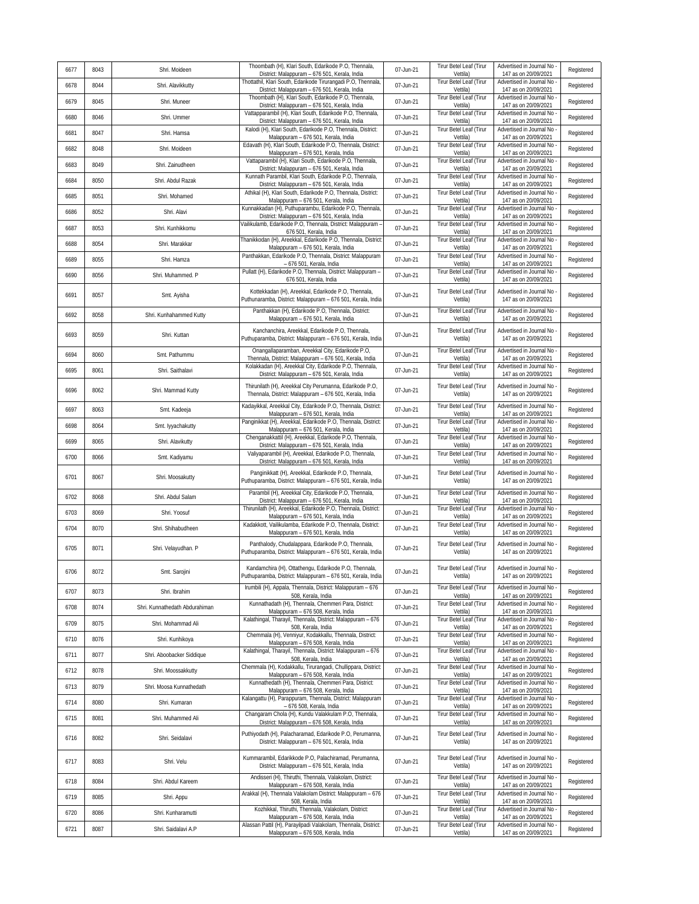| 6677 | 8043 | Shri. Moideen                  | Thoombath (H), Klari South, Edarikode P.O, Thennala,<br>District: Malappuram - 676 501, Kerala, India                | 07-Jun-21 | Tirur Betel Leaf (Tirur<br>Vettila)        | Advertised in Journal No<br>147 as on 20/09/2021   | Registered |
|------|------|--------------------------------|----------------------------------------------------------------------------------------------------------------------|-----------|--------------------------------------------|----------------------------------------------------|------------|
| 6678 | 8044 | Shri. Alavikkutty              | Thottathil, Klari South, Edarikode Tirurangadi P.O, Thennala,<br>District: Malappuram - 676 501, Kerala, India       | 07-Jun-21 | Tirur Betel Leaf (Tirur<br>Vettila)        | Advertised in Journal No<br>147 as on 20/09/2021   | Registered |
| 6679 | 8045 | Shri. Muneer                   | Thoombath (H), Klari South, Edarikode P.O, Thennala,<br>District: Malappuram - 676 501, Kerala, India                | 07-Jun-21 | Tirur Betel Leaf (Tirur<br>Vettila)        | Advertised in Journal No<br>147 as on 20/09/2021   | Registered |
| 6680 | 8046 | Shri. Ummer                    | Vattapparambil (H), Klari South, Edarikode P.O, Thennala,<br>District: Malappuram - 676 501, Kerala, India           | 07-Jun-21 | Tirur Betel Leaf (Tirur<br>Vettila)        | Advertised in Journal No<br>147 as on 20/09/2021   | Registered |
| 6681 | 8047 | Shri. Hamsa                    | Kalodi (H), Klari South, Edarikode P.O, Thennala, District:<br>Malappuram - 676 501, Kerala, India                   | 07-Jun-21 | Tirur Betel Leaf (Tirur<br>Vettila)        | Advertised in Journal No<br>147 as on 20/09/2021   | Registered |
| 6682 | 8048 | Shri. Moideen                  | Edavath (H), Klari South, Edarikode P.O, Thennala, District:<br>Malappuram - 676 501, Kerala, India                  | 07-Jun-21 | Tirur Betel Leaf (Tirur<br>Vettila)        | Advertised in Journal No<br>147 as on 20/09/2021   | Registered |
| 6683 | 8049 | Shri. Zainudheen               | Vattaparambil (H), Klari South, Edarikode P.O, Thennala,<br>District: Malappuram - 676 501, Kerala, India            | 07-Jun-21 | Tirur Betel Leaf (Tirur<br>Vettila)        | Advertised in Journal No<br>147 as on 20/09/2021   | Registered |
| 6684 | 8050 | Shri. Abdul Razak              | Kunnath Parambil, Klari South, Edarikode P.O, Thennala,<br>District: Malappuram - 676 501, Kerala, India             | 07-Jun-21 | Tirur Betel Leaf (Tirur<br>Vettila)        | Advertised in Journal No<br>147 as on 20/09/2021   | Registered |
| 6685 | 8051 | Shri. Mohamed                  | Athikal (H), Klari South, Edarikode P.O, Thennala, District:<br>Malappuram - 676 501, Kerala, India                  | 07-Jun-21 | Tirur Betel Leaf (Tirur<br>Vettila)        | Advertised in Journal No<br>147 as on 20/09/2021   | Registered |
| 6686 | 8052 | Shri. Alavi                    | Kunnakkadan (H), Puthuparambu, Edarikode P.O, Thennala,<br>District: Malappuram - 676 501, Kerala, India             | 07-Jun-21 | <b>Tirur Betel Leaf (Tirur</b><br>Vettila) | Advertised in Journal No<br>147 as on 20/09/2021   | Registered |
| 6687 | 8053 | Shri. Kunhikkomu               | Vailikulamb, Edarikode P.O, Thennala, District: Malappuram -<br>676 501, Kerala, India                               | 07-Jun-21 | Tirur Betel Leaf (Tirur<br>Vettila)        | Advertised in Journal No<br>147 as on 20/09/2021   | Registered |
| 6688 | 8054 | Shri. Marakkar                 | Thanikkodan (H), Areekkal, Edarikode P.O, Thennala, District:<br>Malappuram - 676 501, Kerala, India                 | 07-Jun-21 | Tirur Betel Leaf (Tirur<br>Vettila)        | Advertised in Journal No<br>147 as on 20/09/2021   | Registered |
| 6689 | 8055 | Shri. Hamza                    | Panthakkan, Edarikode P.O, Thennala, District: Malappuram<br>- 676 501, Kerala, India                                | 07-Jun-21 | Tirur Betel Leaf (Tirur<br>Vettila)        | Advertised in Journal No<br>147 as on 20/09/2021   | Registered |
| 6690 | 8056 | Shri. Muhammed. P              | Pullatt (H), Edarikode P.O, Thennala, District: Malappuram -<br>676 501, Kerala, India                               | 07-Jun-21 | Tirur Betel Leaf (Tirur<br>Vettila)        | Advertised in Journal No<br>147 as on 20/09/2021   | Registered |
| 6691 | 8057 | Smt. Ayisha                    | Kottekkadan (H), Areekkal, Edarikode P.O, Thennala,<br>Puthunaramba, District: Malappuram - 676 501, Kerala, India   | 07-Jun-21 | Tirur Betel Leaf (Tirur<br>Vettila)        | Advertised in Journal No<br>147 as on 20/09/2021   | Registered |
| 6692 | 8058 | Shri. Kunhahammed Kutty        | Panthakkan (H), Edarikode P.O, Thennala, District:<br>Malappuram - 676 501, Kerala, India                            | 07-Jun-21 | Tirur Betel Leaf (Tirur<br>Vettila)        | Advertised in Journal No<br>147 as on 20/09/2021   | Registered |
| 6693 | 8059 | Shri. Kuttan                   | Kanchanchira, Areekkal, Edarikode P.O, Thennala,<br>Puthuparamba, District: Malappuram - 676 501, Kerala, India      | 07-Jun-21 | Tirur Betel Leaf (Tirur<br>Vettila)        | Advertised in Journal No<br>147 as on 20/09/2021   | Registered |
| 6694 | 8060 | Smt. Pathummu                  | Onangallaparamban, Areekkal City, Edarikode P.O,<br>Thennala, District: Malappuram - 676 501, Kerala, India          | 07-Jun-21 | Tirur Betel Leaf (Tirur<br>Vettila)        | Advertised in Journal No<br>147 as on 20/09/2021   | Registered |
| 6695 | 8061 | Shri. Saithalavi               | Kolakkadan (H), Areekkal City, Edarikode P.O, Thennala,<br>District: Malappuram - 676 501, Kerala, India             | 07-Jun-21 | Tirur Betel Leaf (Tirur<br>Vettila)        | Advertised in Journal No<br>147 as on 20/09/2021   | Registered |
| 6696 | 8062 | Shri. Mammad Kutty             | Thirunilath (H), Areekkal City Perumanna, Edarikode P.O,<br>Thennala, District: Malappuram - 676 501, Kerala, India  | 07-Jun-21 | Tirur Betel Leaf (Tirur<br>Vettila)        | Advertised in Journal No -<br>147 as on 20/09/2021 | Registered |
| 6697 | 8063 | Smt. Kadeeja                   | Kadayikkal, Areekkal City, Edarikode P.O, Thennala, District:<br>Malappuram - 676 501, Kerala, India                 | 07-Jun-21 | Tirur Betel Leaf (Tirur<br>Vettila)        | Advertised in Journal No<br>147 as on 20/09/2021   | Registered |
| 6698 | 8064 | Smt. lyyachakutty              | Panginikkat (H), Areekkal, Edarikode P.O, Thennala, District<br>Malappuram - 676 501, Kerala, India                  | 07-Jun-21 | Tirur Betel Leaf (Tirur<br>Vettila)        | Advertised in Journal No<br>147 as on 20/09/2021   | Registered |
| 6699 | 8065 | Shri. Alavikutty               | Chenganakkattil (H), Areekkal, Edarikode P.O, Thennala,<br>District: Malappuram - 676 501, Kerala, India             | 07-Jun-21 | Tirur Betel Leaf (Tirur<br>Vettila)        | Advertised in Journal No<br>147 as on 20/09/2021   | Registered |
| 6700 | 8066 | Smt. Kadiyamu                  | Valiyaparambil (H), Areekkal, Edarikode P.O, Thennala,<br>District: Malappuram - 676 501, Kerala, India              | 07-Jun-21 | Tirur Betel Leaf (Tirur<br>Vettila)        | Advertised in Journal No<br>147 as on 20/09/2021   | Registered |
| 6701 | 8067 | Shri. Moosakutty               | Panginikkatt (H), Areekkal, Edarikode P.O, Thennala,<br>Puthuparamba, District: Malappuram - 676 501, Kerala, India  | 07-Jun-21 | Tirur Betel Leaf (Tirur<br>Vettila)        | Advertised in Journal No<br>147 as on 20/09/2021   | Registered |
| 6702 | 8068 | Shri. Abdul Salam              | Parambil (H), Areekkal City, Edarikode P.O, Thennala,<br>District: Malappuram - 676 501, Kerala, India               | 07-Jun-21 | Tirur Betel Leaf (Tirur<br>Vettila)        | Advertised in Journal No<br>147 as on 20/09/2021   | Registered |
| 6703 | 8069 | Shri. Yoosuf                   | Thirunilath (H), Areekkal, Edarikode P.O, Thennala, District:<br>Malappuram - 676 501, Kerala, India                 | 07-Jun-21 | <b>Tirur Betel Leaf (Tirur</b><br>Vettila) | Advertised in Journal No<br>147 as on 20/09/2021   | Registered |
| 6704 | 8070 | Shri. Shihabudheen             | Kadakkott, Vailikulamba, Edarikode P.O, Thennala, District:<br>Malappuram - 676 501, Kerala, India                   | 07-Jun-21 | Tirur Betel Leaf (Tirur<br>Vettila)        | Advertised in Journal No<br>147 as on 20/09/2021   | Registered |
| 6705 | 8071 | Shri. Velayudhan. P            | Panthalody, Chudalappara, Edarikode P.O, Thennala,<br>Puthuparamba, District: Malappuram - 676 501, Kerala, India    | 07-Jun-21 | Tirur Betel Leaf (Tirur<br>Vettila)        | Advertised in Journal No<br>147 as on 20/09/2021   | Registered |
| 6706 | 8072 | Smt. Sarojini                  | Kandamchira (H), Ottathengu, Edarikode P.O, Thennala,<br>Puthuparamba, District: Malappuram - 676 501, Kerala, India | 07-Jun-21 | Tirur Betel Leaf (Tirur<br>Vettila)        | Advertised in Journal No -<br>147 as on 20/09/2021 | Registered |
| 6707 | 8073 | Shri. Ibrahim                  | Irumbili (H), Appala, Thennala, District: Malappuram - 676<br>508, Kerala, India                                     | 07-Jun-21 | Tirur Betel Leaf (Tirur<br>Vettila)        | Advertised in Journal No<br>147 as on 20/09/2021   | Registered |
| 6708 | 8074 | Shri. Kunnathedath Abdurahiman | Kunnathadath (H), Thennala, Chemmeri Para, District:<br>Malappuram - 676 508, Kerala, India                          | 07-Jun-21 | Tirur Betel Leaf (Tirur<br>Vettila)        | Advertised in Journal No<br>147 as on 20/09/2021   | Registered |
| 6709 | 8075 | Shri. Mohammad Ali             | Kalathingal, Tharayil, Thennala, District: Malappuram - 676<br>508, Kerala, India                                    | 07-Jun-21 | Tirur Betel Leaf (Tirur<br>Vettila)        | Advertised in Journal No<br>147 as on 20/09/2021   | Registered |
| 6710 | 8076 | Shri. Kunhikoya                | Chemmala (H), Venniyur, Kodakkallu, Thennala, District:<br>Malappuram - 676 508, Kerala, India                       | 07-Jun-21 | Tirur Betel Leaf (Tirur<br>Vettila)        | Advertised in Journal No<br>147 as on 20/09/2021   | Registered |
| 6711 | 8077 | Shri. Aboobacker Siddique      | Kalathingal, Tharayil, Thennala, District: Malappuram - 676<br>508, Kerala, India                                    | 07-Jun-21 | Tirur Betel Leaf (Tirur<br>Vettila)        | Advertised in Journal No<br>147 as on 20/09/2021   | Registered |
| 6712 | 8078 | Shri. Moossakkutty             | Chemmala (H), Kodakkallu, Tirurangadi, Chullippara, District:<br>Malappuram - 676 508, Kerala, India                 | 07-Jun-21 | Tirur Betel Leaf (Tirur<br>Vettila)        | Advertised in Journal No<br>147 as on 20/09/2021   | Registered |
| 6713 | 8079 | Shri. Moosa Kunnathedath       | Kunnathedath (H), Thennala, Chemmeri Para, District:<br>Malappuram - 676 508, Kerala, India                          | 07-Jun-21 | Tirur Betel Leaf (Tirur<br>Vettila)        | Advertised in Journal No<br>147 as on 20/09/2021   | Registered |
| 6714 | 8080 | Shri. Kumaran                  | Kalangattu (H), Parappuram, Thennala, District: Malappuram<br>- 676 508, Kerala, India                               | 07-Jun-21 | Tirur Betel Leaf (Tirur<br>Vettila)        | Advertised in Journal No<br>147 as on 20/09/2021   | Registered |
| 6715 | 8081 | Shri. Muhammed Ali             | Changaram Chola (H), Kundu Valakkulam P.O, Thennala,<br>District: Malappuram - 676 508, Kerala, India                | 07-Jun-21 | Tirur Betel Leaf (Tirur<br>Vettila)        | Advertised in Journal No<br>147 as on 20/09/2021   | Registered |
| 6716 | 8082 | Shri. Seidalavi                | Puthiyodath (H), Palacharamad, Edarikode P.O, Perumanna,<br>District: Malappuram - 676 501, Kerala, India            | 07-Jun-21 | Tirur Betel Leaf (Tirur<br>Vettila)        | Advertised in Journal No<br>147 as on 20/09/2021   | Registered |
| 6717 | 8083 | Shri. Velu                     | Kummarambil, Edarikkode P.O, Palachiramad, Perumanna,<br>District: Malappuram - 676 501, Kerala, India               | 07-Jun-21 | Tirur Betel Leaf (Tirur<br>Vettila)        | Advertised in Journal No<br>147 as on 20/09/2021   | Registered |
| 6718 | 8084 | Shri. Abdul Kareem             | Andisseri (H), Thiruthi, Thennala, Valakolam, District:<br>Malappuram - 676 508, Kerala, India                       | 07-Jun-21 | Tirur Betel Leaf (Tirur<br>Vettila)        | Advertised in Journal No<br>147 as on 20/09/2021   | Registered |
| 6719 | 8085 | Shri. Appu                     | Arakkal (H), Thennala Valakolam District: Malappuram - 676<br>508, Kerala, India                                     | 07-Jun-21 | Tirur Betel Leaf (Tirur<br>Vettila)        | Advertised in Journal No<br>147 as on 20/09/2021   | Registered |
| 6720 | 8086 | Shri. Kunharamutti             | Kozhikkal, Thiruthi, Thennala, Valakolam, District:<br>Malappuram - 676 508, Kerala, India                           | 07-Jun-21 | Tirur Betel Leaf (Tirur<br>Vettila)        | Advertised in Journal No<br>147 as on 20/09/2021   | Registered |
|      |      | Shri. Saidalavi A.P            | Alassan Pattil (H), Parayilpadi Valakolam, Thennala, District:                                                       | 07-Jun-21 | Tirur Betel Leaf (Tirur                    | Advertised in Journal No                           |            |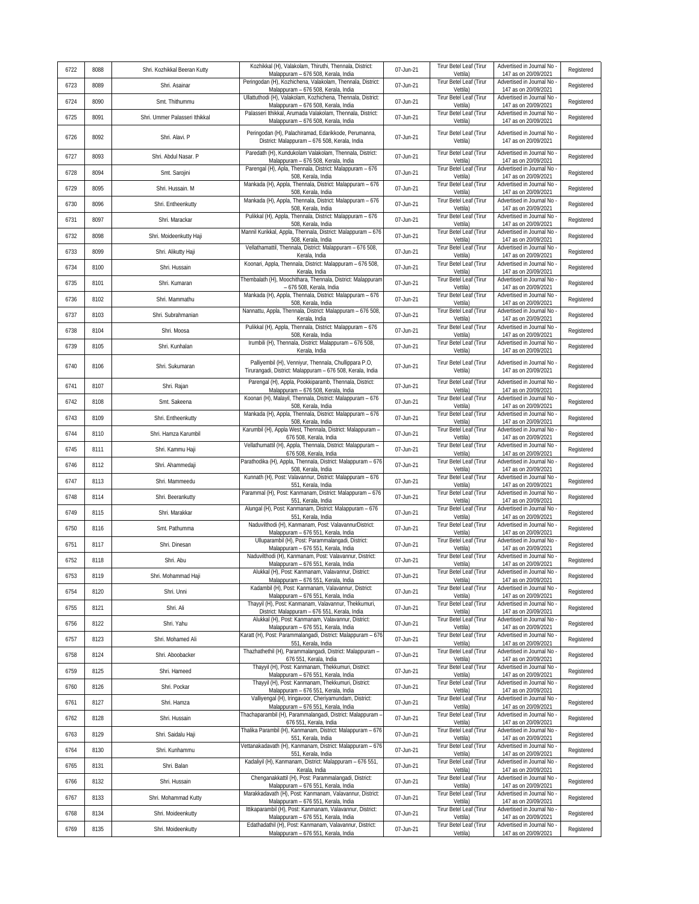| 6722 | 8088 | Shri. Kozhikkal Beeran Kutty   | Kozhikkal (H), Valakolam, Thiruthi, Thennala, District:<br>Malappuram - 676 508, Kerala, India                      | 07-Jun-21 | Tirur Betel Leaf (Tirur<br>Vettila)        | Advertised in Journal No<br>147 as on 20/09/2021   | Registered |
|------|------|--------------------------------|---------------------------------------------------------------------------------------------------------------------|-----------|--------------------------------------------|----------------------------------------------------|------------|
| 6723 | 8089 | Shri. Asainar                  | Peringodan (H), Kozhichena, Valakolam, Thennala, District:<br>Malappuram - 676 508, Kerala, India                   | 07-Jun-21 | Tirur Betel Leaf (Tirur<br>Vettila)        | Advertised in Journal No<br>147 as on 20/09/2021   | Registered |
| 6724 | 8090 | Smt. Thithummu                 | Ullattuthodi (H), Valakolam, Kozhichena, Thennala, District:<br>Malappuram - 676 508, Kerala, India                 | 07-Jun-21 | Tirur Betel Leaf (Tirur<br>Vettila)        | Advertised in Journal No<br>147 as on 20/09/2021   | Registered |
| 6725 | 8091 | Shri. Ummer Palasseri Ithikkal | Palasseri Ithikkal, Arumada Valakolam, Thennala, District:<br>Malappuram - 676 508, Kerala, India                   | 07-Jun-21 | Tirur Betel Leaf (Tirur<br>Vettila)        | Advertised in Journal No<br>147 as on 20/09/2021   | Registered |
| 6726 | 8092 | Shri. Alavi. P                 | Peringodan (H), Palachiramad, Edarikkode, Perumanna,<br>District: Malappuram - 676 508, Kerala, India               | 07-Jun-21 | Tirur Betel Leaf (Tirur<br>Vettila)        | Advertised in Journal No<br>147 as on 20/09/2021   | Registered |
| 6727 | 8093 | Shri. Abdul Nasar. P           | Paredath (H), Kundukolam Valakolam, Thennala, District:<br>Malappuram - 676 508, Kerala, India                      | 07-Jun-21 | Tirur Betel Leaf (Tirur<br>Vettila)        | Advertised in Journal No<br>147 as on 20/09/2021   | Registered |
| 6728 | 8094 | Smt. Sarojini                  | Parengal (H), Apla, Thennala, District: Malappuram - 676<br>508, Kerala, India                                      | 07-Jun-21 | Tirur Betel Leaf (Tirur<br>Vettila)        | Advertised in Journal No<br>147 as on 20/09/2021   | Registered |
| 6729 | 8095 | Shri. Hussain. M               | Mankada (H), Appla, Thennala, District: Malappuram - 676<br>508, Kerala, India                                      | 07-Jun-21 | Tirur Betel Leaf (Tirur<br>Vettila)        | Advertised in Journal No<br>147 as on 20/09/2021   | Registered |
| 6730 | 8096 | Shri. Entheenkutty             | Mankada (H), Appla, Thennala, District: Malappuram - 676<br>508, Kerala, India                                      | 07-Jun-21 | Tirur Betel Leaf (Tirur<br>Vettila)        | Advertised in Journal No<br>147 as on 20/09/2021   | Registered |
| 6731 | 8097 | Shri. Marackar                 | Pulikkal (H), Appla, Thennala, District: Malappuram - 676<br>508, Kerala, India                                     | 07-Jun-21 | Tirur Betel Leaf (Tirur<br>Vettila)        | Advertised in Journal No<br>147 as on 20/09/2021   | Registered |
| 6732 | 8098 | Shri. Moideenkutty Haji        | Mannil Kurikkal, Appla, Thennala, District: Malappuram - 676<br>508, Kerala, India                                  | 07-Jun-21 | Tirur Betel Leaf (Tirur<br>Vettila)        | Advertised in Journal No<br>147 as on 20/09/2021   | Registered |
| 6733 | 8099 | Shri. Alikutty Haji            | Vellathamattil, Thennala, District: Malappuram - 676 508,<br>Kerala, India                                          | 07-Jun-21 | Tirur Betel Leaf (Tirur<br>Vettila)        | Advertised in Journal No<br>147 as on 20/09/2021   | Registered |
| 6734 | 8100 | Shri. Hussain                  | Koonari, Appla, Thennala, District: Malappuram - 676 508,<br>Kerala, India                                          | 07-Jun-21 | Tirur Betel Leaf (Tirur<br>Vettila)        | Advertised in Journal No<br>147 as on 20/09/2021   | Registered |
| 6735 | 8101 | Shri. Kumaran                  | Thembalath (H), Moochithara, Thennala, District: Malappuram<br>- 676 508, Kerala, India                             | 07-Jun-21 | Tirur Betel Leaf (Tirur<br>Vettila)        | Advertised in Journal No<br>147 as on 20/09/2021   | Registered |
| 6736 | 8102 | Shri. Mammathu                 | Mankada (H), Appla, Thennala, District: Malappuram - 676<br>508, Kerala, India                                      | 07-Jun-21 | Tirur Betel Leaf (Tirur<br>Vettila)        | Advertised in Journal No<br>147 as on 20/09/2021   | Registered |
| 6737 | 8103 | Shri. Subrahmanian             | Nannattu, Appla, Thennala, District: Malappuram - 676 508,<br>Kerala, India                                         | 07-Jun-21 | Tirur Betel Leaf (Tirur<br>Vettila)        | Advertised in Journal No<br>147 as on 20/09/2021   | Registered |
| 6738 | 8104 | Shri. Moosa                    | Pulikkal (H), Appla, Thennala, District: Malappuram - 676<br>508, Kerala, India                                     | 07-Jun-21 | Tirur Betel Leaf (Tirur<br>Vettila)        | Advertised in Journal No<br>147 as on 20/09/2021   | Registered |
| 6739 | 8105 | Shri. Kunhalan                 | Irumbili (H), Thennala, District: Malappuram - 676 508,<br>Kerala, India                                            | 07-Jun-21 | Tirur Betel Leaf (Tirur<br>Vettila)        | Advertised in Journal No<br>147 as on 20/09/2021   | Registered |
| 6740 | 8106 | Shri. Sukumaran                | Palliyembil (H), Venniyur, Thennala, Chullippara P.O,<br>Tirurangadi, District: Malappuram - 676 508, Kerala, India | 07-Jun-21 | Tirur Betel Leaf (Tirur<br>Vettila)        | Advertised in Journal No<br>147 as on 20/09/2021   | Registered |
| 6741 | 8107 | Shri. Rajan                    | Parengal (H), Appla, Pookkiparamb, Thennala, District:<br>Malappuram - 676 508, Kerala, India                       | 07-Jun-21 | Tirur Betel Leaf (Tirur<br>Vettila)        | Advertised in Journal No<br>147 as on 20/09/2021   | Registered |
| 6742 | 8108 | Smt. Sakeena                   | Koonari (H), Malayil, Thennala, District: Malappuram - 676<br>508, Kerala, India                                    | 07-Jun-21 | Tirur Betel Leaf (Tirur<br>Vettila)        | Advertised in Journal No<br>147 as on 20/09/2021   | Registered |
| 6743 | 8109 | Shri. Entheenkutty             | Mankada (H), Appla, Thennala, District: Malappuram - 676<br>508, Kerala, India                                      | 07-Jun-21 | Tirur Betel Leaf (Tirur<br>Vettila)        | Advertised in Journal No<br>147 as on 20/09/2021   | Registered |
| 6744 | 8110 | Shri. Hamza Karumbil           | Karumbil (H), Appla West, Thennala, District: Malappuram -<br>676 508, Kerala, India                                | 07-Jun-21 | Tirur Betel Leaf (Tirur<br>Vettila)        | Advertised in Journal No<br>147 as on 20/09/2021   | Registered |
| 6745 | 8111 | Shri. Kammu Haji               | Vellathumattil (H), Appla, Thennala, District: Malappuram -<br>676 508, Kerala, India                               | 07-Jun-21 | Tirur Betel Leaf (Tirur<br>Vettila)        | Advertised in Journal No<br>147 as on 20/09/2021   | Registered |
| 6746 | 8112 | Shri. Ahammedaji               | Parathodika (H), Appla, Thennala, District: Malappuram - 676<br>508, Kerala, India                                  | 07-Jun-21 | Tirur Betel Leaf (Tirur<br>Vettila)        | Advertised in Journal No<br>147 as on 20/09/2021   | Registered |
| 6747 | 8113 | Shri. Mammeedu                 | Kunnath (H), Post: Valavannur, District: Malappuram - 676<br>551, Kerala, India                                     | 07-Jun-21 | Tirur Betel Leaf (Tirur<br>Vettila)        | Advertised in Journal No<br>147 as on 20/09/2021   | Registered |
| 6748 | 8114 | Shri. Beerankutty              | Parammal (H), Post: Kanmanam, District: Malappuram - 676<br>551, Kerala, India                                      | 07-Jun-21 | Tirur Betel Leaf (Tirur<br>Vettila)        | Advertised in Journal No<br>147 as on 20/09/2021   | Registered |
| 6749 | 8115 | Shri. Marakkar                 | Alungal (H), Post: Kanmanam, District: Malappuram - 676<br>551, Kerala, India                                       | 07-Jun-21 | Tirur Betel Leaf (Tirur<br>Vettila)        | Advertised in Journal No<br>147 as on 20/09/2021   | Registered |
| 6750 | 8116 | Smt. Pathumma                  | Naduvilthodi (H), Kanmanam, Post: ValavannurDistrict:<br>Malappuram - 676 551, Kerala, India                        | 07-Jun-21 | Tirur Betel Leaf (Tirur<br>Vettila)        | Advertised in Journal No<br>147 as on 20/09/2021   | Registered |
| 6751 | 8117 | Shri. Dinesan                  | Ulluparambil (H), Post: Parammalangadi, District:<br>Malappuram - 676 551, Kerala, India                            | 07-Jun-21 | Tirur Betel Leaf (Tirur<br>Vettila)        | Advertised in Journal No<br>147 as on 20/09/2021   | Registered |
| 6752 | 8118 | Shri. Abu                      | Naduvilthodi (H), Kanmanam, Post: Valavannur, District:<br>Malappuram - 676 551, Kerala, India                      | 07-Jun-21 | Tirur Betel Leaf (Tirur<br>Vettila)        | Advertised in Journal No<br>147 as on 20/09/2021   | Registered |
| 6753 | 8119 | Shri. Mohammad Haji            | Alukkal (H), Post: Kanmanam, Valavannur, District:<br>Malappuram - 676 551, Kerala, India                           | 07-Jun-21 | Tirur Betel Leaf (Tirur<br>Vettila)        | Advertised in Journal No -<br>147 as on 20/09/2021 | Registered |
| 6754 | 8120 | Shri. Unni                     | Kadambil (H), Post: Kanmanam, Valavannur, District:<br>Malappuram - 676 551, Kerala, India                          | 07-Jun-21 | Tirur Betel Leaf (Tirur<br>Vettila)        | Advertised in Journal No<br>147 as on 20/09/2021   | Registered |
| 6755 | 8121 | Shri. Ali                      | Thayyil (H), Post: Kanmanam, Valavannur, Thekkumuri,<br>District: Malappuram - 676 551, Kerala, India               | 07-Jun-21 | <b>Tirur Betel Leaf (Tirur</b><br>Vettila) | Advertised in Journal No<br>147 as on 20/09/2021   | Registered |
| 6756 | 8122 | Shri. Yahu                     | Alukkal (H), Post: Kanmanam, Valavannur, District:<br>Malappuram - 676 551, Kerala, India                           | 07-Jun-21 | Tirur Betel Leaf (Tirur<br>Vettila)        | Advertised in Journal No<br>147 as on 20/09/2021   | Registered |
| 6757 | 8123 | Shri. Mohamed Ali              | Karatt (H), Post: Parammalangadi, District: Malappuram - 676<br>551, Kerala, India                                  | 07-Jun-21 | Tirur Betel Leaf (Tirur<br>Vettila)        | Advertised in Journal No<br>147 as on 20/09/2021   | Registered |
| 6758 | 8124 | Shri. Aboobacker               | Thazhathethil (H), Parammalangadi, District: Malappuram -<br>676 551, Kerala, India                                 | 07-Jun-21 | Tirur Betel Leaf (Tirur<br>Vettila)        | Advertised in Journal No<br>147 as on 20/09/2021   | Registered |
| 6759 | 8125 | Shri. Hameed                   | Thayyil (H), Post: Kanmanam, Thekkumuri, District:<br>Malappuram - 676 551, Kerala, India                           | 07-Jun-21 | Tirur Betel Leaf (Tirur<br>Vettila)        | Advertised in Journal No -<br>147 as on 20/09/2021 | Registered |
| 6760 | 8126 | Shri. Pockar                   | Thayyil (H), Post: Kanmanam, Thekkumuri, District:<br>Malappuram - 676 551, Kerala, India                           | 07-Jun-21 | <b>Tirur Betel Leaf (Tirur</b><br>Vettila) | Advertised in Journal No<br>147 as on 20/09/2021   | Registered |
| 6761 | 8127 | Shri. Hamza                    | Valliyengal (H), Iringavoor, Cheriyamundam, District:<br>Malappuram - 676 551, Kerala, India                        | 07-Jun-21 | Tirur Betel Leaf (Tirur<br>Vettila)        | Advertised in Journal No<br>147 as on 20/09/2021   | Registered |
| 6762 | 8128 | Shri. Hussain                  | Thachaparambil (H), Parammalangadi, District: Malappuram -<br>676 551, Kerala, India                                | 07-Jun-21 | Tirur Betel Leaf (Tirur<br>Vettila)        | Advertised in Journal No<br>147 as on 20/09/2021   | Registered |
| 6763 | 8129 | Shri. Saidalu Haji             | Thalika Parambil (H), Kanmanam, District: Malappuram - 676<br>551, Kerala, India                                    | 07-Jun-21 | Tirur Betel Leaf (Tirur<br>Vettila)        | Advertised in Journal No<br>147 as on 20/09/2021   | Registered |
| 6764 | 8130 | Shri. Kunhammu                 | Vettanakadavath (H), Kanmanam, District: Malappuram - 676<br>551, Kerala, India                                     | 07-Jun-21 | Tirur Betel Leaf (Tirur<br>Vettila)        | Advertised in Journal No<br>147 as on 20/09/2021   | Registered |
| 6765 | 8131 | Shri. Balan                    | Kadaliyil (H), Kanmanam, District: Malappuram - 676 551,<br>Kerala, India                                           | 07-Jun-21 | Tirur Betel Leaf (Tirur<br>Vettila)        | Advertised in Journal No<br>147 as on 20/09/2021   | Registered |
| 6766 | 8132 | Shri. Hussain                  | Chenganakkattil (H), Post: Parammalangadi, District:<br>Malappuram - 676 551, Kerala, India                         | 07-Jun-21 | Tirur Betel Leaf (Tirur<br>Vettila)        | Advertised in Journal No<br>147 as on 20/09/2021   | Registered |
| 6767 | 8133 | Shri. Mohammad Kutty           | Marakkadavath (H), Post: Kanmanam, Valavannur, District:<br>Malappuram - 676 551, Kerala, India                     | 07-Jun-21 | Tirur Betel Leaf (Tirur<br>Vettila)        | Advertised in Journal No<br>147 as on 20/09/2021   | Registered |
| 6768 | 8134 | Shri. Moideenkutty             | Ittikaparambil (H), Post: Kanmanam, Valavannur, District:<br>Malappuram - 676 551, Kerala, India                    | 07-Jun-21 | Tirur Betel Leaf (Tirur<br>Vettila)        | Advertised in Journal No<br>147 as on 20/09/2021   | Registered |
| 6769 | 8135 | Shri. Moideenkutty             | Edathadathil (H), Post: Kanmanam, Valavannur, District:<br>Malappuram - 676 551, Kerala, India                      | 07-Jun-21 | Tirur Betel Leaf (Tirur<br>Vettila)        | Advertised in Journal No<br>147 as on 20/09/2021   | Registered |
|      |      |                                |                                                                                                                     |           |                                            |                                                    |            |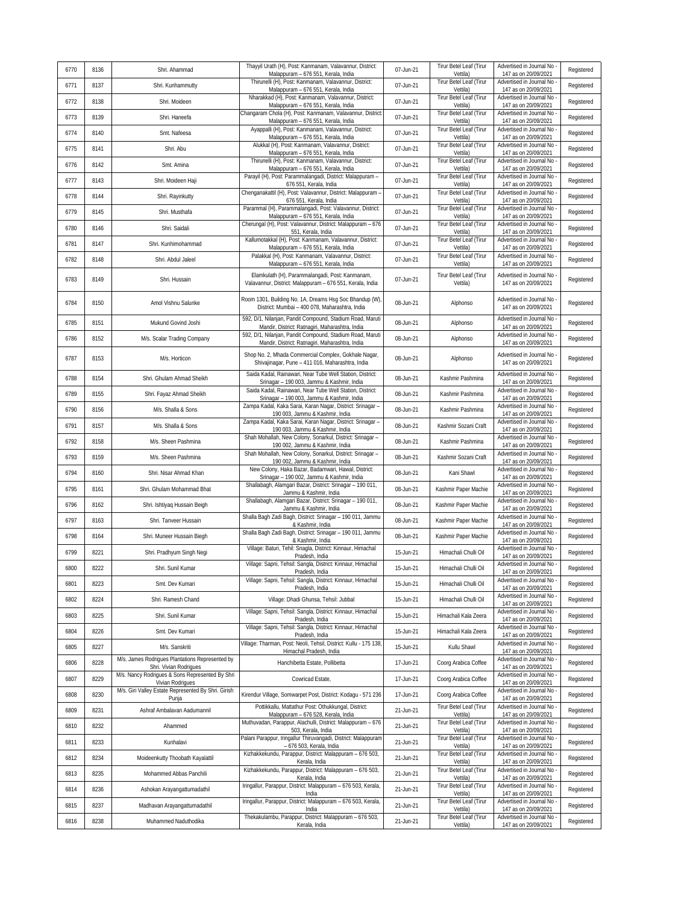| 6770 | 8136 | Shri. Ahammad                                                             | Thayyil Urath (H), Post: Kanmanam, Valavannur, District:<br>Malappuram - 676 551, Kerala, India              | 07-Jun-21 | Tirur Betel Leaf (Tirur<br>Vettila) | Advertised in Journal No<br>147 as on 20/09/2021   | Registered |
|------|------|---------------------------------------------------------------------------|--------------------------------------------------------------------------------------------------------------|-----------|-------------------------------------|----------------------------------------------------|------------|
| 6771 | 8137 | Shri. Kunhammutty                                                         | Thirunelli (H), Post: Kanmanam, Valavannur, District:<br>Malappuram - 676 551, Kerala, India                 | 07-Jun-21 | Tirur Betel Leaf (Tirur<br>Vettila) | Advertised in Journal No<br>147 as on 20/09/2021   | Registered |
| 6772 | 8138 | Shri. Moideen                                                             | Nharakkad (H), Post: Kanmanam, Valavannur, District:<br>Malappuram - 676 551, Kerala, India                  | 07-Jun-21 | Tirur Betel Leaf (Tirur<br>Vettila) | Advertised in Journal No<br>147 as on 20/09/2021   | Registered |
| 6773 | 8139 | Shri. Haneefa                                                             | Changaram Chola (H), Post: Kanmanam, Valavannur, District<br>Malappuram - 676 551, Kerala, India             | 07-Jun-21 | Tirur Betel Leaf (Tirur<br>Vettila) | Advertised in Journal No<br>147 as on 20/09/2021   | Registered |
| 6774 | 8140 | Smt. Nafeesa                                                              | Ayappalli (H), Post: Kanmanam, Valavannur, District:<br>Malappuram - 676 551, Kerala, India                  | 07-Jun-21 | Tirur Betel Leaf (Tirur<br>Vettila) | Advertised in Journal No<br>147 as on 20/09/2021   | Registered |
| 6775 | 8141 | Shri. Abu                                                                 | Alukkal (H), Post: Kanmanam, Valavannur, District:<br>Malappuram - 676 551, Kerala, India                    | 07-Jun-21 | Tirur Betel Leaf (Tirur<br>Vettila) | Advertised in Journal No<br>147 as on 20/09/2021   | Registered |
| 6776 | 8142 | Smt. Amina                                                                | Thirunelli (H), Post: Kanmanam, Valavannur, District:<br>Malappuram - 676 551, Kerala, India                 | 07-Jun-21 | Tirur Betel Leaf (Tirur<br>Vettila) | Advertised in Journal No<br>147 as on 20/09/2021   | Registered |
| 6777 | 8143 | Shri. Moideen Haji                                                        | Parayil (H), Post: Parammalangadi, District: Malappuram -<br>676 551, Kerala, India                          | 07-Jun-21 | Tirur Betel Leaf (Tirur<br>Vettila) | Advertised in Journal No<br>147 as on 20/09/2021   | Registered |
| 6778 | 8144 | Shri. Rayinkutty                                                          | Chenganakattil (H), Post: Valavannur, District: Malappuram -<br>676 551, Kerala, India                       | 07-Jun-21 | Tirur Betel Leaf (Tirur<br>Vettila) | Advertised in Journal No<br>147 as on 20/09/2021   | Registered |
| 6779 | 8145 | Shri. Musthafa                                                            | Parammal (H), Parammalangadi, Post: Valavannur, District:<br>Malappuram - 676 551, Kerala, India             | 07-Jun-21 | Tirur Betel Leaf (Tirur<br>Vettila) | Advertised in Journal No<br>147 as on 20/09/2021   | Registered |
| 6780 | 8146 | Shri. Saidali                                                             | Cherungal (H), Post: Valavannur, District: Malappuram - 676<br>551, Kerala, India                            | 07-Jun-21 | Tirur Betel Leaf (Tirur<br>Vettila) | Advertised in Journal No<br>147 as on 20/09/2021   | Registered |
| 6781 | 8147 | Shri. Kunhimohammad                                                       | Kallumotakkal (H), Post: Kanmanam, Valavannur, District:<br>Malappuram - 676 551, Kerala, India              | 07-Jun-21 | Tirur Betel Leaf (Tirur<br>Vettila) | Advertised in Journal No<br>147 as on 20/09/2021   | Registered |
| 6782 | 8148 | Shri. Abdul Jaleel                                                        | Palakkal (H), Post: Kanmanam, Valavannur, District:<br>Malappuram - 676 551, Kerala, India                   | 07-Jun-21 | Tirur Betel Leaf (Tirur<br>Vettila) | Advertised in Journal No<br>147 as on 20/09/2021   | Registered |
| 6783 | 8149 | Shri. Hussain                                                             | Elamkulath (H), Parammalangadi, Post: Kanmanam,<br>Valavannur, District: Malappuram - 676 551, Kerala, India | 07-Jun-21 | Tirur Betel Leaf (Tirur<br>Vettila) | Advertised in Journal No<br>147 as on 20/09/2021   | Registered |
| 6784 | 8150 | Amol Vishnu Salunke                                                       | Room 1301, Building No. 1A, Dreams Hsg Soc Bhandup (W)<br>District: Mumbai - 400 078, Maharashtra, India     | 08-Jun-21 | Alphonso                            | Advertised in Journal No<br>147 as on 20/09/2021   | Registered |
| 6785 | 8151 | Mukund Govind Joshi                                                       | 592, D/1, Nilanjan, Pandit Compound, Stadium Road, Maruti<br>Mandir, District: Ratnagiri, Maharashtra, India | 08-Jun-21 | Alphonso                            | Advertised in Journal No<br>147 as on 20/09/2021   | Registered |
| 6786 | 8152 | M/s. Scalar Trading Company                                               | 592, D/1, Nilanjan, Pandit Compound, Stadium Road, Maruti<br>Mandir, District: Ratnagiri, Maharashtra, India | 08-Jun-21 | Alphonso                            | Advertised in Journal No<br>147 as on 20/09/2021   | Registered |
| 6787 | 8153 | M/s. Horticon                                                             | Shop No. 2, Mhada Commercial Complex, Gokhale Nagar,<br>Shivajinagar, Pune - 411 016, Maharashtra, India     | 08-Jun-21 | Alphonso                            | Advertised in Journal No<br>147 as on 20/09/2021   | Registered |
| 6788 | 8154 | Shri, Ghulam Ahmad Sheikh                                                 | Saida Kadal, Rainawari, Near Tube Well Station, District:<br>Srinagar - 190 003, Jammu & Kashmir, India      | 08-Jun-21 | Kashmir Pashmina                    | Advertised in Journal No<br>147 as on 20/09/2021   | Registered |
| 6789 | 8155 | Shri. Fayaz Ahmad Sheikh                                                  | Saida Kadal, Rainawari, Near Tube Well Station, District:<br>Srinagar - 190 003, Jammu & Kashmir, India      | 08-Jun-21 | Kashmir Pashmina                    | Advertised in Journal No<br>147 as on 20/09/2021   | Registered |
| 6790 | 8156 | M/s. Shalla & Sons                                                        | Zampa Kadal, Kaka Sarai, Karan Nagar, District: Srinagar -<br>190 003, Jammu & Kashmir, India                | 08-Jun-21 | Kashmir Pashmina                    | Advertised in Journal No<br>147 as on 20/09/2021   | Registered |
| 6791 | 8157 | M/s. Shalla & Sons                                                        | Zampa Kadal, Kaka Sarai, Karan Nagar, District: Srinagar -<br>190 003, Jammu & Kashmir, India                | 08-Jun-21 | Kashmir Sozani Craft                | Advertised in Journal No<br>147 as on 20/09/2021   | Registered |
| 6792 | 8158 | M/s. Sheen Pashmina                                                       | Shah Mohallah, New Colony, Sonarkul, District: Srinagar -<br>190 002, Jammu & Kashmir, India                 | 08-Jun-21 | Kashmir Pashmina                    | Advertised in Journal No<br>147 as on 20/09/2021   | Registered |
| 6793 | 8159 | M/s. Sheen Pashmina                                                       | Shah Mohallah, New Colony, Sonarkul, District: Srinagar -<br>190 002, Jammu & Kashmir, India                 | 08-Jun-21 | Kashmir Sozani Craft                | Advertised in Journal No<br>147 as on 20/09/2021   | Registered |
| 6794 | 8160 | Shri. Nisar Ahmad Khan                                                    | New Colony, Haka Bazar, Badamwari, Hawal, District:<br>Srinagar - 190 002, Jammu & Kashmir, India            | 08-Jun-21 | Kani Shawl                          | Advertised in Journal No<br>147 as on 20/09/2021   | Registered |
| 6795 | 8161 | Shri. Ghulam Mohammad Bhat                                                | Shallabagh, Alamgari Bazar, District: Srinagar - 190 011,<br>Jammu & Kashmir, India                          | 08-Jun-21 | Kashmir Paper Machie                | Advertised in Journal No<br>147 as on 20/09/2021   | Registered |
| 6796 | 8162 | Shri. Ishtiyaq Hussain Beigh                                              | Shallabagh, Alamgari Bazar, District: Srinagar - 190 011,<br>Jammu & Kashmir, India                          | 08-Jun-21 | Kashmir Paper Machie                | Advertised in Journal No<br>147 as on 20/09/2021   | Registered |
| 6797 | 8163 | Shri. Tanveer Hussain                                                     | Shalla Bagh Zadi Bagh, District: Srinagar - 190 011, Jammu<br>& Kashmir, India                               | 08-Jun-21 | Kashmir Paper Machie                | Advertised in Journal No<br>147 as on 20/09/2021   | Registered |
| 6798 | 8164 | Shri. Muneer Hussain Biegh                                                | Shalla Bagh Zadi Bagh, District: Srinagar - 190 011, Jammu<br>& Kashmir, India                               | 08-Jun-21 | Kashmir Paper Machie                | Advertised in Journal No<br>147 as on 20/09/2021   | Registered |
| 6799 | 8221 | Shri. Pradhyum Singh Negi                                                 | Village: Baturi, Tehil: Snagla, District: Kinnaur, Himachal<br>Pradesh, India                                | 15-Jun-21 | Himachali Chulli Oil                | Advertised in Journal No<br>147 as on 20/09/2021   | Registered |
| 6800 | 8222 | Shri. Sunil Kumar                                                         | Village: Sapni, Tehsil: Sangla, District: Kinnaur, Himachal<br>Pradesh, India                                | 15-Jun-21 | Himachali Chulli Oil                | Advertised in Journal No<br>147 as on 20/09/2021   | Registered |
| 6801 | 8223 | Smt. Dev Kumari                                                           | Village: Sapni, Tehsil: Sangla, District: Kinnaur, Himachal<br>Pradesh, India                                | 15-Jun-21 | Himachali Chulli Oil                | Advertised in Journal No<br>147 as on 20/09/2021   | Registered |
| 6802 | 8224 | Shri. Ramesh Chand                                                        | Village: Dhadi Ghunsa, Tehsil: Jubbal                                                                        | 15-Jun-21 | Himachali Chulli Oil                | Advertised in Journal No<br>147 as on 20/09/2021   | Registered |
| 6803 | 8225 | Shri. Sunil Kumar                                                         | Village: Sapni, Tehsil: Sangla, District: Kinnaur, Himachal<br>Pradesh, India                                | 15-Jun-21 | Himachali Kala Zeera                | Advertised in Journal No<br>147 as on 20/09/2021   | Registered |
| 6804 | 8226 | Smt. Dev Kumari                                                           | Village: Sapni, Tehsil: Sangla, District: Kinnaur, Himachal<br>Pradesh, India                                | 15-Jun-21 | Himachali Kala Zeera                | Advertised in Journal No<br>147 as on 20/09/2021   | Registered |
| 6805 | 8227 | M/s. Sanskriti                                                            | Village: Tharman, Post: Neoli, Tehsil, District: Kullu - 175 138,<br>Himachal Pradesh, India                 | 15-Jun-21 | Kullu Shawl                         | Advertised in Journal No<br>147 as on 20/09/2021   | Registered |
| 6806 | 8228 | M/s. James Rodrigues Plantations Represented by<br>Shri. Vivian Rodrigues | Hanchibetta Estate, Pollibetta                                                                               | 17-Jun-21 | Coorg Arabica Coffee                | Advertised in Journal No -<br>147 as on 20/09/2021 | Registered |
| 6807 | 8229 | M/s. Nancy Rodrigues & Sons Represented By Shri<br>Vivian Rodrigues       | Cowricad Estate,                                                                                             | 17-Jun-21 | Coorg Arabica Coffee                | Advertised in Journal No<br>147 as on 20/09/2021   | Registered |
| 6808 | 8230 | M/s. Giri Valley Estate Represented By Shri. Girish<br>Punja              | Kirendur Village, Somwarpet Post, District: Kodagu - 571 236                                                 | 17-Jun-21 | Coorg Arabica Coffee                | Advertised in Journal No<br>147 as on 20/09/2021   | Registered |
| 6809 | 8231 | Ashraf Ambalavan Aadumannil                                               | Pottikkallu. Mattathur Post: Othukkungal. District:<br>Malappuram - 676 528, Kerala, India                   | 21-Jun-21 | Tirur Betel Leaf (Tirur<br>Vettila) | Advertised in Journal No<br>147 as on 20/09/2021   | Registered |
| 6810 | 8232 | Ahammed                                                                   | Muthuvadan, Parappur, Alachulli, District: Malappuram - 676<br>503, Kerala, India                            | 21-Jun-21 | Tirur Betel Leaf (Tirur<br>Vettila) | Advertised in Journal No<br>147 as on 20/09/2021   | Registered |
| 6811 | 8233 | Kunhalavi                                                                 | Palani Parappur, Iringallur Thiruvangadi, District: Malappuram<br>- 676 503, Kerala, India                   | 21-Jun-21 | Tirur Betel Leaf (Tirur<br>Vettila) | Advertised in Journal No<br>147 as on 20/09/2021   | Registered |
| 6812 | 8234 | Moideenkutty Thoobath Kayalattil                                          | Kizhakkekundu, Parappur, District: Malappuram - 676 503,<br>Kerala, India                                    | 21-Jun-21 | Tirur Betel Leaf (Tirur<br>Vettila) | Advertised in Journal No<br>147 as on 20/09/2021   | Registered |
| 6813 | 8235 | Mohammed Abbas Panchili                                                   | Kizhakkekundu, Parappur, District: Malappuram - 676 503,<br>Kerala, India                                    | 21-Jun-21 | Tirur Betel Leaf (Tirur<br>Vettila) | Advertised in Journal No<br>147 as on 20/09/2021   | Registered |
| 6814 | 8236 | Ashokan Arayangattumadathil                                               | Iringallur, Parappur, District: Malappuram - 676 503, Kerala,<br>India                                       | 21-Jun-21 | Tirur Betel Leaf (Tirur<br>Vettila) | Advertised in Journal No<br>147 as on 20/09/2021   | Registered |
| 6815 | 8237 | Madhavan Arayangattumadathil                                              | Iringallur, Parappur, District: Malappuram - 676 503, Kerala,<br>India                                       | 21-Jun-21 | Tirur Betel Leaf (Tirur<br>Vettila) | Advertised in Journal No<br>147 as on 20/09/2021   | Registered |
| 6816 | 8238 | Muhammed Naduthodika                                                      | Thekakulambu, Parappur, District: Malappuram - 676 503,<br>Kerala, India                                     | 21-Jun-21 | Tirur Betel Leaf (Tirur<br>Vettila) | Advertised in Journal No<br>147 as on 20/09/2021   | Registered |
|      |      |                                                                           |                                                                                                              |           |                                     |                                                    |            |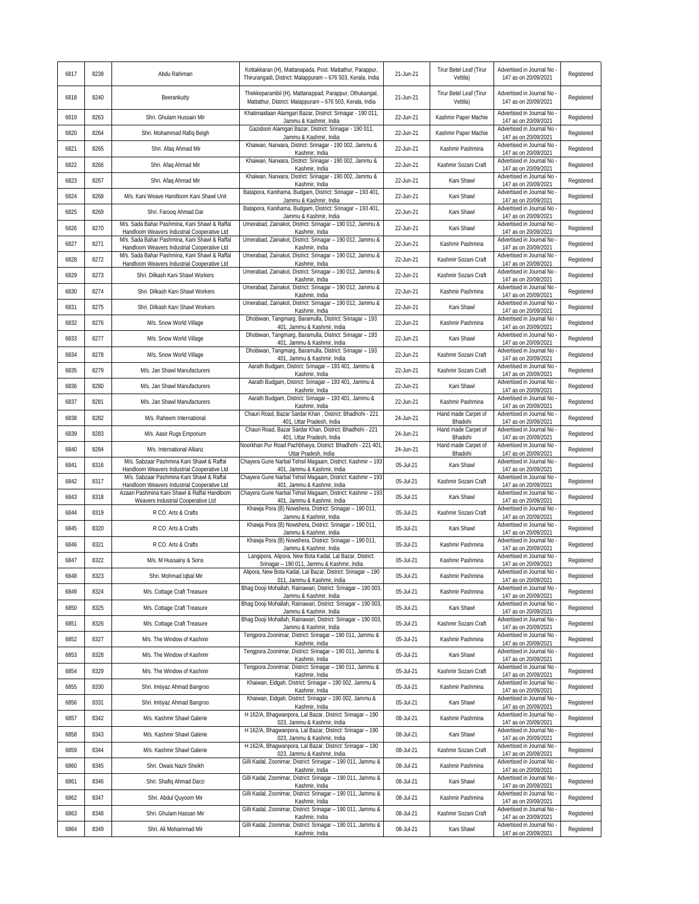| 6817 | 8239 | Abdu Rahiman                                                                                 | Kottakkaran (H), Mattanapada, Post: Mattathur, Parappur,<br>Thirurangadi, District: Malappuram - 676 503, Kerala, India | 21-Jun-21 | Tirur Betel Leaf (Tirur<br>Vettila) | Advertised in Journal No<br>147 as on 20/09/2021   | Registered |
|------|------|----------------------------------------------------------------------------------------------|-------------------------------------------------------------------------------------------------------------------------|-----------|-------------------------------------|----------------------------------------------------|------------|
| 6818 | 8240 | Beerankutty                                                                                  | Thekkeparambil (H), Mattanappad, Parappur, Othukangal,<br>Mattathur, District: Malappuram - 676 503, Kerala, India      | 21-Jun-21 | Tirur Betel Leaf (Tirur<br>Vettila) | Advertised in Journal No<br>147 as on 20/09/2021   | Registered |
| 6819 | 8263 | Shri. Ghulam Hussain Mir                                                                     | Khatimaidaan Alamgari Bazar, District: Srinagar - 190 011,<br>Jammu & Kashmir, India                                    | 22-Jun-21 | Kashmir Paper Machie                | Advertised in Journal No<br>147 as on 20/09/2021   | Registered |
| 6820 | 8264 | Shri. Mohammad Rafiq Beigh                                                                   | Gazidoori Alamqari Bazar, District: Srinaqar - 190 011,<br>Jammu & Kashmir, India                                       | 22-Jun-21 | Kashmir Paper Machie                | Advertised in Journal No<br>147 as on 20/09/2021   | Registered |
| 6821 | 8265 | Shri. Afaq Ahmad Mir                                                                         | Khaiwan, Narwara, District: Srinagar - 190 002, Jammu &<br>Kashmir, India                                               | 22-Jun-21 | Kashmir Pashmina                    | Advertised in Journal No<br>147 as on 20/09/2021   | Registered |
| 6822 | 8266 | Shri. Afaq Ahmad Mir                                                                         | Khaiwan, Narwara, District: Srinagar - 190 002, Jammu &<br>Kashmir, India                                               | 22-Jun-21 | Kashmir Sozani Craft                | Advertised in Journal No<br>147 as on 20/09/2021   | Registered |
| 6823 | 8267 | Shri. Afaq Ahmad Mir                                                                         | Khaiwan, Narwara, District: Srinagar - 190 002, Jammu &<br>Kashmir, India                                               | 22-Jun-21 | Kani Shawl                          | Advertised in Journal No<br>147 as on 20/09/2021   | Registered |
| 6824 | 8268 | M/s. Kani Weave Handloom Kani Shawl Unit                                                     | Batapora, Kanihama, Budgam, District: Srinagar - 193 401,<br>Jammu & Kashmir, India                                     | 22-Jun-21 | Kani Shawl                          | Advertised in Journal No<br>147 as on 20/09/2021   | Registered |
| 6825 | 8269 | Shri. Farooq Ahmad Dar                                                                       | Batapora, Kanihama, Budgam, District: Srinagar - 193 401,<br>Jammu & Kashmir, India                                     | 22-Jun-21 | Kani Shawl                          | Advertised in Journal No<br>147 as on 20/09/2021   | Registered |
| 6826 | 8270 | M/s. Sada Bahar Pashmina, Kani Shawl & Raffal<br>Handloom Weavers Industrial Cooperative Ltd | Umerabad, Zainakot, District: Srinagar - 190 012, Jammu &<br>Kashmir, India                                             | 22-Jun-21 | Kani Shawl                          | Advertised in Journal No<br>147 as on 20/09/2021   | Registered |
| 6827 | 8271 | M/s. Sada Bahar Pashmina, Kani Shawl & Raffal<br>Handloom Weavers Industrial Cooperative Ltd | Umerabad, Zainakot, District: Srinagar - 190 012, Jammu &<br>Kashmir, India                                             | 22-Jun-21 | Kashmir Pashmina                    | Advertised in Journal No<br>147 as on 20/09/2021   | Registered |
| 6828 | 8272 | M/s. Sada Bahar Pashmina, Kani Shawl & Raffal<br>Handloom Weavers Industrial Cooperative Ltd | Umerabad, Zainakot, District: Srinagar - 190 012, Jammu &<br>Kashmir, India                                             | 22-Jun-21 | Kashmir Sozani Craft                | Advertised in Journal No<br>147 as on 20/09/2021   | Registered |
| 6829 | 8273 | Shri. Dilkash Kani Shawl Workers                                                             | Umerabad, Zainakot, District: Srinagar - 190 012, Jammu &<br>Kashmir, India                                             | 22-Jun-21 | Kashmir Sozani Craft                | Advertised in Journal No<br>147 as on 20/09/2021   | Registered |
| 6830 | 8274 | Shri. Dilkash Kani Shawl Workers                                                             | Umerabad, Zainakot, District: Srinagar - 190 012, Jammu &<br>Kashmir, India                                             | 22-Jun-21 | Kashmir Pashmina                    | Advertised in Journal No<br>147 as on 20/09/2021   | Registered |
| 6831 | 8275 | Shri. Dilkash Kani Shawl Workers                                                             | Umerabad, Zainakot, District: Srinagar - 190 012, Jammu &<br>Kashmir, India                                             | 22-Jun-21 | Kani Shawl                          | Advertised in Journal No<br>147 as on 20/09/2021   | Registered |
| 6832 | 8276 | M/s. Snow World Village                                                                      | Dhobiwan, Tangmarg, Baramulla, District: Srinagar - 193<br>401, Jammu & Kashmir, India                                  | 22-Jun-21 | Kashmir Pashmina                    | Advertised in Journal No<br>147 as on 20/09/2021   | Registered |
| 6833 | 8277 | M/s. Snow World Village                                                                      | Tangmarg, Baramulla, District: Srinagar - 193<br>Dhobiwan.<br>401, Jammu & Kashmir, India                               | 22-Jun-21 | Kani Shawl                          | Advertised in Journal No<br>147 as on 20/09/2021   | Registered |
| 6834 | 8278 | M/s. Snow World Village                                                                      | Dhobiwan, Tangmarg, Baramulla, District: Srinagar - 193<br>401, Jammu & Kashmir, India                                  | 22-Jun-21 | Kashmir Sozani Craft                | Advertised in Journal No<br>147 as on 20/09/2021   | Registered |
| 6835 | 8279 | M/s. Jan Shawl Manufacturers                                                                 | Aarath Budgam, District: Srinagar - 193 401, Jammu &<br>Kashmir, India                                                  | 22-Jun-21 | Kashmir Sozani Craft                | Advertised in Journal No<br>147 as on 20/09/2021   | Registered |
| 6836 | 8280 | M/s. Jan Shawl Manufacturers                                                                 | Aarath Budgam, District: Srinagar - 193 401, Jammu &<br>Kashmir, India                                                  | 22-Jun-21 | Kani Shawl                          | Advertised in Journal No<br>147 as on 20/09/2021   | Registered |
| 6837 | 8281 | M/s. Jan Shawl Manufacturers                                                                 | Aarath Budgam, District: Srinagar - 193 401, Jammu &<br>Kashmir, India                                                  | 22-Jun-21 | Kashmir Pashmina                    | Advertised in Journal No<br>147 as on 20/09/2021   | Registered |
| 6838 | 8282 | M/s. Raheem International                                                                    | Chauri Road, Bazar Sardar Khan, District: Bhadhohi - 221<br>401, Uttar Pradesh, India                                   | 24-Jun-21 | Hand made Carpet of<br>Bhadohi      | Advertised in Journal No<br>147 as on 20/09/2021   | Registered |
| 6839 | 8283 | M/s. Aasir Rugs Emporium                                                                     | Chauri Road, Bazar Sardar Khan, District: Bhadhohi - 221<br>401, Uttar Pradesh, India                                   | 24-Jun-21 | Hand made Carpet of<br>Bhadohi      | Advertised in Journal No<br>147 as on 20/09/2021   | Registered |
| 6840 | 8284 | M/s. International Allianz                                                                   | Noorkhan Pur Road Pachbhaiya, District: Bhadhohi - 221 401<br>Uttar Pradesh, India                                      | 24-Jun-21 | Hand made Carpet of<br>Bhadohi      | Advertised in Journal No<br>147 as on 20/09/2021   | Registered |
| 6841 | 8316 | M/s. Sabzaar Pashmina Kani Shawl & Raffal<br>Handloom Weavers Industrial Cooperative Ltd     | Chayera Gune Narbal Tehsil Magaam, District: Kashmir - 193<br>401, Jammu & Kashmir, India                               | 05-Jul-21 | Kani Shawl                          | Advertised in Journal No<br>147 as on 20/09/2021   | Registered |
| 6842 | 8317 | M/s. Sabzaar Pashmina Kani Shawl & Raffal<br>Handloom Weavers Industrial Cooperative Ltd     | Chayera Gune Narbal Tehsil Magaam, District: Kashmir - 193<br>401, Jammu & Kashmir, India                               | 05-Jul-21 | Kashmir Sozani Craft                | Advertised in Journal No<br>147 as on 20/09/2021   | Registered |
| 6843 | 8318 | Azaan Pashmina Kani Shawl & Raffal Handloom<br>Weavers Industrial Cooperative Ltd            | Chayera Gune Narbal Tehsil Magaam, District: Kashmir - 193<br>401, Jammu & Kashmir, India                               | 05-Jul-21 | Kani Shawl                          | Advertised in Journal No<br>147 as on 20/09/2021   | Registered |
| 6844 | 8319 | R CO. Arts & Crafts                                                                          | Khawja Pora (B) Nowshera, District: Srinagar - 190 011,<br>Jammu & Kashmir, India                                       | 05-Jul-21 | Kashmir Sozani Craft                | Advertised in Journal No<br>147 as on 20/09/2021   | Registered |
| 6845 | 8320 | R CO. Arts & Crafts                                                                          | Khawja Pora (B) Nowshera, District: Srinagar - 190 011,<br>Jammu & Kashmir, India                                       | 05-Jul-21 | Kani Shawl                          | Advertised in Journal No<br>147 as on 20/09/2021   | Registered |
| 6846 | 8321 | R CO. Arts & Crafts                                                                          | Khawja Pora (B) Nowshera, District: Srinagar - 190 011,<br>Jammu & Kashmir, India                                       | 05-Jul-21 | Kashmir Pashmina                    | Advertised in Journal No<br>147 as on 20/09/2021   | Registered |
| 6847 | 8322 | M/s. M Hussainy & Sons                                                                       | Langipora, Alipora, New Bota Kadal, Lal Bazar, District:<br>Srinagar - 190 011, Jammu & Kashmir, India                  | 05-Jul-21 | Kashmir Pashmina                    | Advertised in Journal No<br>147 as on 20/09/2021   | Registered |
| 6848 | 8323 | Shri. Mohmad Iqbal Mir                                                                       | Alipora, New Bota Kadal, Lal Bazar, District: Srinagar - 190<br>011, Jammu & Kashmir, India                             | 05-Jul-21 | Kashmir Pashmina                    | Advertised in Journal No -<br>147 as on 20/09/2021 | Registered |
| 6849 | 8324 | M/s. Cottage Craft Treasure                                                                  | Bhag Dooji Mohallah, Rainawari, District: Srinagar - 190 003,<br>Jammu & Kashmir, India                                 | 05-Jul-21 | Kashmir Pashmina                    | Advertised in Journal No<br>147 as on 20/09/2021   | Registered |
| 6850 | 8325 | M/s. Cottage Craft Treasure                                                                  | Bhag Dooji Mohallah, Rainawari, District: Srinagar - 190 003,<br>Jammu & Kashmir, India                                 | 05-Jul-21 | Kani Shawl                          | Advertised in Journal No<br>147 as on 20/09/2021   | Registered |
| 6851 | 8326 | M/s. Cottage Craft Treasure                                                                  | Bhag Dooji Mohallah, Rainawari, District: Srinagar - 190 003,<br>Jammu & Kashmir, India                                 | 05-Jul-21 | Kashmir Sozani Craft                | Advertised in Journal No -<br>147 as on 20/09/2021 | Registered |
| 6852 | 8327 | M/s. The Window of Kashmir                                                                   | Tengpora Zoonimar, District: Srinagar - 190 011, Jammu &<br>Kashmir, India                                              | 05-Jul-21 | Kashmir Pashmina                    | Advertised in Journal No<br>147 as on 20/09/2021   | Registered |
| 6853 | 8328 | M/s. The Window of Kashmir                                                                   | Tengpora Zoonimar, District: Srinagar - 190 011, Jammu &<br>Kashmir, India                                              | 05-Jul-21 | Kani Shawl                          | Advertised in Journal No<br>147 as on 20/09/2021   | Registered |
| 6854 | 8329 | M/s. The Window of Kashmir                                                                   | Tengpora Zoonimar, District: Srinagar - 190 011, Jammu &<br>Kashmir, India                                              | 05-Jul-21 | Kashmir Sozani Craft                | Advertised in Journal No<br>147 as on 20/09/2021   | Registered |
| 6855 | 8330 | Shri. Imtiyaz Ahmad Bangroo                                                                  | Khaiwan, Eidgah, District: Srinagar - 190 002, Jammu &<br>Kashmir, India                                                | 05-Jul-21 | Kashmir Pashmina                    | Advertised in Journal No<br>147 as on 20/09/2021   | Registered |
| 6856 | 8331 | Shri. Imtiyaz Ahmad Bangroo                                                                  | Khaiwan, Eidgah, District: Srinagar - 190 002, Jammu &<br>Kashmir, India                                                | 05-Jul-21 | Kani Shawl                          | Advertised in Journal No<br>147 as on 20/09/2021   | Registered |
| 6857 | 8342 | M/s. Kashmir Shawl Galerie                                                                   | H 162/A, Bhagwanpora, Lal Bazar, District: Srinagar - 190<br>023, Jammu & Kashmir, India                                | 08-Jul-21 | Kashmir Pashmina                    | Advertised in Journal No<br>147 as on 20/09/2021   | Registered |
| 6858 | 8343 | M/s. Kashmir Shawl Galerie                                                                   | H 162/A, Bhagwanpora, Lal Bazar, District: Srinagar - 190<br>023, Jammu & Kashmir, India                                | 08-Jul-21 | Kani Shawl                          | Advertised in Journal No<br>147 as on 20/09/2021   | Registered |
| 6859 | 8344 | M/s. Kashmir Shawl Galerie                                                                   | H 162/A, Bhagwanpora, Lal Bazar, District: Srinagar - 190<br>023, Jammu & Kashmir, India                                | 08-Jul-21 | Kashmir Sozani Craft                | Advertised in Journal No<br>147 as on 20/09/2021   | Registered |
| 6860 | 8345 | Shri. Owais Nazir Sheikh                                                                     | Gilli Kadal, Zoonimar, District: Srinagar - 190 011, Jammu &<br>Kashmir, India                                          | 08-Jul-21 | Kashmir Pashmina                    | Advertised in Journal No<br>147 as on 20/09/2021   | Registered |
| 6861 | 8346 | Shri. Shafiq Ahmad Darzi                                                                     | Gilli Kadal, Zoonimar, District: Srinagar - 190 011, Jammu &<br>Kashmir, India                                          | 08-Jul-21 | Kani Shawl                          | Advertised in Journal No<br>147 as on 20/09/2021   | Registered |
| 6862 | 8347 | Shri. Abdul Quyoom Mir                                                                       | Gilli Kadal, Zoonimar, District: Srinagar - 190 011, Jammu &<br>Kashmir, India                                          | 08-Jul-21 | Kashmir Pashmina                    | Advertised in Journal No<br>147 as on 20/09/2021   | Registered |
| 6863 | 8348 | Shri. Ghulam Hassan Mir                                                                      | Gilli Kadal, Zoonimar, District: Srinagar - 190 011, Jammu &<br>Kashmir, India                                          | 08-Jul-21 | Kashmir Sozani Craft                | Advertised in Journal No<br>147 as on 20/09/2021   | Registered |
| 6864 | 8349 | Shri. Ali Mohammad Mir                                                                       | Gilli Kadal, Zoonimar, District: Srinagar - 190 011, Jammu &<br>Kashmir, India                                          | 08-Jul-21 | Kani Shawl                          | Advertised in Journal No -<br>147 as on 20/09/2021 | Registered |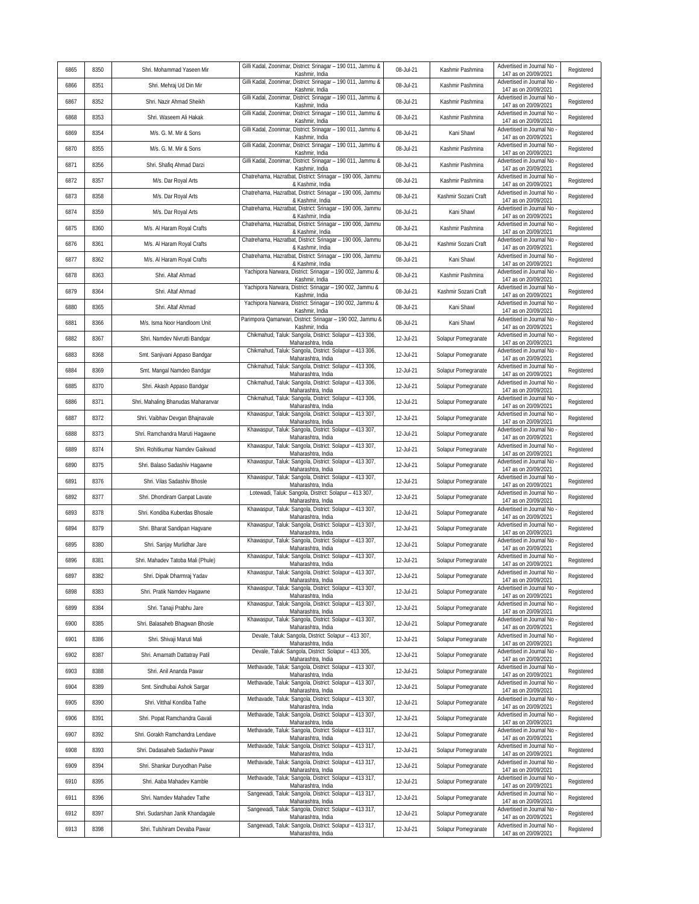| Gilli Kadal, Zoonimar, District: Srinagar - 190 011, Jammu &<br>Advertised in Journal No<br>6865<br>8350<br>08-Jul-21<br>Kashmir Pashmina<br>Shri. Mohammad Yaseen Mir<br>147 as on 20/09/2021<br>Kashmir, India                                                          | Registered |
|---------------------------------------------------------------------------------------------------------------------------------------------------------------------------------------------------------------------------------------------------------------------------|------------|
| Gilli Kadal, Zoonimar, District: Srinagar - 190 011, Jammu &<br>Advertised in Journal No<br>8351<br>08-Jul-21<br>Kashmir Pashmina<br>6866<br>Shri. Mehraj Ud Din Mir<br>Kashmir, India<br>147 as on 20/09/2021                                                            | Registered |
| Gilli Kadal, Zoonimar, District: Srinagar - 190 011, Jammu &<br>Advertised in Journal No<br>8352<br>6867<br>Shri. Nazir Ahmad Sheikh<br>08-Jul-21<br>Kashmir Pashmina<br>147 as on 20/09/2021<br>Kashmir, India                                                           | Registered |
| Gilli Kadal, Zoonimar, District: Srinagar - 190 011, Jammu &<br>Advertised in Journal No<br>6868<br>8353<br>Shri. Waseem Ali Hakak<br>08-Jul-21<br>Kashmir Pashmina<br>147 as on 20/09/2021<br>Kashmir, India                                                             | Registered |
| Gilli Kadal, Zoonimar, District: Srinagar - 190 011, Jammu &<br>Advertised in Journal No<br>6869<br>8354<br>08-Jul-21<br>Kani Shawl<br>M/s. G. M. Mir & Sons<br>147 as on 20/09/2021<br>Kashmir, India                                                                    | Registered |
| Gilli Kadal, Zoonimar, District: Srinagar - 190 011, Jammu &<br>Advertised in Journal No<br>6870<br>8355<br>08-Jul-21<br>Kashmir Pashmina<br>M/s. G. M. Mir & Sons<br>147 as on 20/09/2021<br>Kashmir, India                                                              | Registered |
| Gilli Kadal, Zoonimar, District: Srinagar - 190 011, Jammu &<br>Advertised in Journal No<br>6871<br>8356<br>08-Jul-21<br>Kashmir Pashmina<br>Shri. Shafiq Ahmad Darzi<br>Kashmir, India<br>147 as on 20/09/2021                                                           | Registered |
| Chatrehama, Hazratbat, District: Srinagar - 190 006, Jammu<br>Advertised in Journal No<br>08-Jul-21<br>6872<br>8357<br>M/s. Dar Royal Arts<br>Kashmir Pashmina<br>& Kashmir, India<br>147 as on 20/09/2021                                                                | Registered |
| Chatrehama, Hazratbat, District: Srinagar - 190 006, Jammu<br>Advertised in Journal No<br>6873<br>8358<br>08-Jul-21<br>M/s. Dar Royal Arts<br>Kashmir Sozani Craft<br>147 as on 20/09/2021<br>& Kashmir, India                                                            | Registered |
| Chatrehama, Hazratbat, District: Srinagar - 190 006, Jammu<br>Advertised in Journal No -<br>6874<br>8359<br>08-Jul-21<br>Kani Shawl<br>M/s. Dar Royal Arts<br>147 as on 20/09/2021<br>& Kashmir, India                                                                    | Registered |
| Chatrehama, Hazratbat, District: Srinagar - 190 006, Jammu<br>Advertised in Journal No<br>6875<br>08-Jul-21<br>8360<br>M/s. Al Haram Royal Crafts<br>Kashmir Pashmina<br>& Kashmir, India<br>147 as on 20/09/2021                                                         | Registered |
| Chatrehama, Hazratbat, District: Srinagar - 190 006, Jammu<br>Advertised in Journal No<br>6876<br>8361<br>M/s. Al Haram Royal Crafts<br>08-Jul-21<br>Kashmir Sozani Craft<br>147 as on 20/09/2021<br>& Kashmir, India                                                     | Registered |
| Chatrehama, Hazratbat, District: Srinagar - 190 006, Jammu<br>Advertised in Journal No -<br>6877<br>08-Jul-21<br>8362<br>M/s. Al Haram Royal Crafts<br>Kani Shawl<br>147 as on 20/09/2021<br>& Kashmir, India                                                             | Registered |
| Yachipora Narwara, District: Srinagar - 190 002, Jammu &<br>Advertised in Journal No<br>6878<br>08-Jul-21<br>8363<br>Shri. Altaf Ahmad<br>Kashmir Pashmina<br>Kashmir, India<br>147 as on 20/09/2021                                                                      | Registered |
| Yachipora Narwara, District: Srinagar - 190 002, Jammu &<br>Advertised in Journal No<br>6879<br>8364<br>Shri. Altaf Ahmad<br>08-Jul-21<br>Kashmir Sozani Craft<br>Kashmir, India<br>147 as on 20/09/2021                                                                  | Registered |
| Yachipora Narwara, District: Srinagar - 190 002, Jammu &<br>Advertised in Journal No<br>6880<br>8365<br>Shri. Altaf Ahmad<br>08-Jul-21<br>Kani Shawl<br>Kashmir, India<br>147 as on 20/09/2021                                                                            | Registered |
| Parimpora Qamarwari, District: Srinagar - 190 002, Jammu &<br>Advertised in Journal No<br>08-Jul-21<br>Kani Shawl<br>6881<br>8366<br>M/s. Isma Noor Handloom Unit<br>147 as on 20/09/2021                                                                                 | Registered |
| Kashmir, India<br>Chikmahud, Taluk: Sangola, District: Solapur - 413 306,<br>Advertised in Journal No -<br>12-Jul-21<br>6882<br>Solapur Pomegranate<br>8367<br>Shri. Namdev Nivrutti Bandgar                                                                              | Registered |
| Maharashtra, India<br>147 as on 20/09/2021<br>Chikmahud, Taluk: Sangola, District: Solapur - 413 306,<br>Advertised in Journal No<br>6883<br>8368<br>12-Jul-21<br>Solapur Pomegranate<br>Smt. Sanjivani Appaso Bandgar<br>Maharashtra, India                              | Registered |
| 147 as on 20/09/2021<br>Chikmahud, Taluk: Sangola, District: Solapur - 413 306,<br>Advertised in Journal No<br>6884<br>8369<br>Smt. Mangal Namdeo Bandgar<br>12-Jul-21<br>Solapur Pomegranate                                                                             | Registered |
| 147 as on 20/09/2021<br>Maharashtra, India<br>Chikmahud, Taluk: Sangola, District: Solapur - 413 306,<br>Advertised in Journal No<br>12-Jul-21<br>6885<br>8370<br>Shri. Akash Appaso Bandgar<br>Solapur Pomegranate                                                       | Registered |
| Maharashtra, India<br>147 as on 20/09/2021<br>Chikmahud, Taluk: Sangola, District: Solapur - 413 306,<br>Advertised in Journal No<br>6886<br>8371<br>12-Jul-21<br>Shri. Mahaling Bhanudas Maharanvar<br>Solapur Pomegranate                                               | Registered |
| Maharashtra, India<br>147 as on 20/09/2021<br>Khawaspur, Taluk: Sangola, District: Solapur - 413 307,<br>Advertised in Journal No<br>6887<br>8372<br>Shri. Vaibhav Devgan Bhajnavale<br>12-Jul-21<br>Solapur Pomegranate                                                  | Registered |
| 147 as on 20/09/2021<br>Maharashtra, India<br>Khawaspur, Taluk: Sangola, District: Solapur - 413 307,<br>Advertised in Journal No<br>12-Jul-21<br>Solapur Pomegranate<br>6888<br>8373<br>Shri. Ramchandra Maruti Hagawne                                                  | Registered |
| 147 as on 20/09/2021<br>Maharashtra, India<br>Khawaspur, Taluk: Sangola, District: Solapur - 413 307,<br>Advertised in Journal No<br>6889<br>8374<br>12-Jul-21<br>Shri. Rohitkumar Namdev Gaikwad<br>Solapur Pomegranate                                                  | Registered |
| Maharashtra, India<br>147 as on 20/09/2021<br>Khawaspur, Taluk: Sangola, District: Solapur - 413 307,<br>Advertised in Journal No<br>12-Jul-21<br>6890<br>8375<br>Shri. Balaso Sadashiv Hagawne<br>Solapur Pomegranate                                                    | Registered |
| Maharashtra, India<br>147 as on 20/09/2021<br>Khawaspur, Taluk: Sangola, District: Solapur - 413 307,<br>Advertised in Journal No<br>12-Jul-21<br>6891<br>8376<br>Solapur Pomegranate<br>Shri. Vilas Sadashiv Bhosle                                                      | Registered |
| Maharashtra, India<br>147 as on 20/09/2021<br>Lotewadi, Taluk: Sangola, District: Solapur - 413 307,<br>Advertised in Journal No<br>6892<br>12-Jul-21<br>8377<br>Shri. Dhondiram Ganpat Lavate<br>Solapur Pomegranate                                                     | Registered |
| Maharashtra, India<br>147 as on 20/09/2021<br>Khawaspur, Taluk: Sangola, District: Solapur - 413 307,<br>Advertised in Journal No<br>6893<br>8378<br>12-Jul-21<br>Shri. Kondiba Kuberdas Bhosale<br>Solapur Pomegranate                                                   | Registered |
| 147 as on 20/09/2021<br>Maharashtra, India<br>Khawaspur, Taluk: Sangola, District: Solapur - 413 307,<br>Advertised in Journal No<br>6894<br>8379<br>12-Jul-21<br>Solapur Pomegranate<br>Shri. Bharat Sandipan Hagvane                                                    | Registered |
| 147 as on 20/09/2021<br>Maharashtra, India<br>Khawaspur, Taluk: Sangola, District: Solapur - 413 307,<br>Advertised in Journal No<br>12-Jul-21<br>6895<br>8380<br>Solapur Pomegranate<br>Shri. Sanjay Murlidhar Jare                                                      | Registered |
| Maharashtra, India<br>147 as on 20/09/2021<br>Khawaspur, Taluk: Sangola, District: Solapur - 413 307,<br>Advertised in Journal No<br>6896<br>8381<br>Shri. Mahadev Tatoba Mali (Phule)<br>12-Jul-21<br>Solapur Pomegranate                                                | Registered |
| Maharashtra, India<br>147 as on 20/09/2021<br>Khawaspur, Taluk: Sangola, District: Solapur - 413 307,<br>Advertised in Journal No -<br>6897<br>8382<br>Shri. Dipak Dharmraj Yadav<br>12-Jul-21<br>Solapur Pomegranate                                                     | Registered |
| Maharashtra, India<br>147 as on 20/09/2021<br>Khawaspur, Taluk: Sangola, District: Solapur - 413 307,<br>Advertised in Journal No<br>6898<br>8383<br>12-Jul-21<br>Solapur Pomegranate<br>Shri. Pratik Namdev Hagawne                                                      | Registered |
| Maharashtra, India<br>147 as on 20/09/2021<br>Khawaspur, Taluk: Sangola, District: Solapur - 413 307,<br>Advertised in Journal No<br>6899<br>8384<br>Shri. Tanaji Prabhu Jare<br>12-Jul-21<br>Solapur Pomegranate                                                         | Registered |
| Maharashtra, India<br>147 as on 20/09/2021<br>Khawaspur, Taluk: Sangola, District: Solapur - 413 307,<br>Advertised in Journal No -<br>6900<br>8385<br>Shri. Balasaheb Bhaqwan Bhosle<br>12-Jul-21<br>Solapur Pomegranate<br>Maharashtra, India                           | Registered |
| 147 as on 20/09/2021<br>Devale, Taluk: Sangola, District: Solapur - 413 307,<br>Advertised in Journal No<br>6901<br>8386<br>12-Jul-21<br>Solapur Pomegranate<br>Shri. Shivaji Maruti Mali<br>Maharashtra, India                                                           | Registered |
| 147 as on 20/09/2021<br>Devale, Taluk: Sangola, District: Solapur - 413 305,<br>Advertised in Journal No -<br>6902<br>8387<br>Shri. Amarnath Dattatray Patil<br>12-Jul-21<br>Solapur Pomegranate<br>Maharashtra, India<br>147 as on 20/09/2021                            | Registered |
| Methavade, Taluk: Sangola, District: Solapur - 413 307,<br>Advertised in Journal No -<br>6903<br>8388<br>12-Jul-21<br>Solapur Pomegranate<br>Shri. Anil Ananda Pawar<br>147 as on 20/09/2021                                                                              | Registered |
| Maharashtra, India<br>Methavade, Taluk: Sangola, District: Solapur - 413 307,<br>Advertised in Journal No<br>12-Jul-21<br>Solapur Pomegranate<br>6904<br>8389<br>Smt. Sindhubai Ashok Sargar<br>Maharashtra, India<br>147 as on 20/09/2021                                | Registered |
| Methavade, Taluk: Sangola, District: Solapur - 413 307,<br>Advertised in Journal No -<br>6905<br>8390<br>12-Jul-21<br>Shri. Vitthal Kondiba Tathe<br>Solapur Pomegranate<br>Maharashtra, India<br>147 as on 20/09/2021                                                    | Registered |
| Methavade, Taluk: Sangola, District: Solapur - 413 307,<br>Advertised in Journal No -<br>6906<br>8391<br>12-Jul-21<br>Solapur Pomegranate<br>Shri. Popat Ramchandra Gavali<br>Maharashtra, India<br>147 as on 20/09/2021                                                  | Registered |
| Methavade, Taluk: Sangola, District: Solapur - 413 317,<br>Advertised in Journal No<br>6907<br>8392<br>12-Jul-21<br>Solapur Pomegranate<br>Shri. Gorakh Ramchandra Lendave<br>Maharashtra, India<br>147 as on 20/09/2021                                                  | Registered |
| Methavade, Taluk: Sangola, District: Solapur - 413 317,<br>Advertised in Journal No<br>6908<br>8393<br>12-Jul-21<br>Shri. Dadasaheb Sadashiv Pawar<br>Solapur Pomegranate<br>147 as on 20/09/2021<br>Maharashtra, India                                                   | Registered |
| Methavade, Taluk: Sangola, District: Solapur - 413 317,<br>Advertised in Journal No<br>6909<br>8394<br>12-Jul-21<br>Solapur Pomegranate<br>Shri. Shankar Duryodhan Palse<br>147 as on 20/09/2021<br>Maharashtra, India                                                    | Registered |
|                                                                                                                                                                                                                                                                           | Registered |
| Methavade, Taluk: Sangola, District: Solapur - 413 317,<br>Advertised in Journal No -<br>6910<br>8395<br>Solapur Pomegranate<br>Shri. Aaba Mahadev Kamble<br>12-Jul-21                                                                                                    |            |
| Maharashtra, India<br>147 as on 20/09/2021<br>Sangewadi, Taluk: Sangola, District: Solapur - 413 317,<br>Advertised in Journal No<br>6911<br>8396<br>12-Jul-21<br>Solapur Pomegranate<br>Shri. Namdev Mahadev Tathe                                                       | Registered |
| Maharashtra, India<br>147 as on 20/09/2021<br>Sangewadi, Taluk: Sangola, District: Solapur - 413 317,<br>Advertised in Journal No -<br>6912<br>8397<br>12-Jul-21<br>Solapur Pomegranate<br>Shri. Sudarshan Janik Khandagale<br>147 as on 20/09/2021<br>Maharashtra, India | Registered |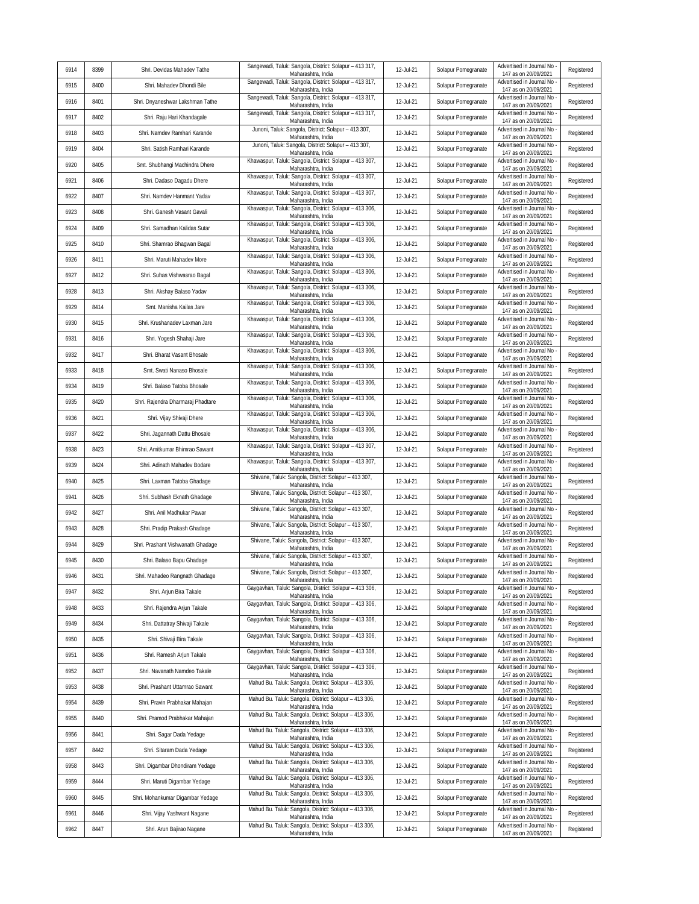| 6914 | 8399 | Shri. Devidas Mahadev Tathe       | Sangewadi, Taluk: Sangola, District: Solapur - 413 317,                       | 12-Jul-21 | Solapur Pomegranate | Advertised in Journal No                           | Registered |
|------|------|-----------------------------------|-------------------------------------------------------------------------------|-----------|---------------------|----------------------------------------------------|------------|
| 6915 | 8400 | Shri. Mahadev Dhondi Bile         | Maharashtra, India<br>Sangewadi, Taluk: Sangola, District: Solapur - 413 317, | 12-Jul-21 | Solapur Pomegranate | 147 as on 20/09/2021<br>Advertised in Journal No   | Registered |
| 6916 | 8401 | Shri. Dnyaneshwar Lakshman Tathe  | Maharashtra, India<br>Sangewadi, Taluk: Sangola, District: Solapur - 413 317, | 12-Jul-21 | Solapur Pomegranate | 147 as on 20/09/2021<br>Advertised in Journal No   | Registered |
| 6917 | 8402 | Shri. Raju Hari Khandagale        | Maharashtra, India<br>Sangewadi, Taluk: Sangola, District: Solapur - 413 317, | 12-Jul-21 | Solapur Pomegranate | 147 as on 20/09/2021<br>Advertised in Journal No   | Registered |
| 6918 | 8403 | Shri. Namdev Ramhari Karande      | Maharashtra, India<br>Junoni, Taluk: Sangola, District: Solapur - 413 307,    | 12-Jul-21 | Solapur Pomegranate | 147 as on 20/09/2021<br>Advertised in Journal No   | Registered |
| 6919 | 8404 | Shri. Satish Ramhari Karande      | Maharashtra, India<br>Junoni, Taluk: Sangola, District: Solapur - 413 307,    | 12-Jul-21 | Solapur Pomegranate | 147 as on 20/09/2021<br>Advertised in Journal No   | Registered |
| 6920 | 8405 | Smt. Shubhangi Machindra Dhere    | Maharashtra, India<br>Khawaspur, Taluk: Sangola, District: Solapur - 413 307, | 12-Jul-21 | Solapur Pomegranate | 147 as on 20/09/2021<br>Advertised in Journal No   | Registered |
| 6921 | 8406 | Shri. Dadaso Dagadu Dhere         | Maharashtra, India<br>Khawaspur, Taluk: Sangola, District: Solapur - 413 307, | 12-Jul-21 | Solapur Pomegranate | 147 as on 20/09/2021<br>Advertised in Journal No   | Registered |
| 6922 | 8407 | Shri. Namdev Hanmant Yadav        | Maharashtra, India<br>Khawaspur, Taluk: Sangola, District: Solapur - 413 307, | 12-Jul-21 | Solapur Pomegranate | 147 as on 20/09/2021<br>Advertised in Journal No   | Registered |
| 6923 | 8408 | Shri. Ganesh Vasant Gavali        | Maharashtra, India<br>Khawaspur, Taluk: Sangola, District: Solapur - 413 306, | 12-Jul-21 | Solapur Pomegranate | 147 as on 20/09/2021<br>Advertised in Journal No   | Registered |
| 6924 | 8409 | Shri. Samadhan Kalidas Sutar      | Maharashtra, India<br>Khawaspur, Taluk: Sangola, District: Solapur - 413 306, | 12-Jul-21 | Solapur Pomegranate | 147 as on 20/09/2021<br>Advertised in Journal No   | Registered |
| 6925 | 8410 | Shri. Shamrao Bhagwan Bagal       | Maharashtra, India<br>Khawaspur, Taluk: Sangola, District: Solapur - 413 306, | 12-Jul-21 | Solapur Pomegranate | 147 as on 20/09/2021<br>Advertised in Journal No   | Registered |
| 6926 | 8411 | Shri. Maruti Mahadev More         | Maharashtra, India<br>Khawaspur, Taluk: Sangola, District: Solapur - 413 306, | 12-Jul-21 | Solapur Pomegranate | 147 as on 20/09/2021<br>Advertised in Journal No   | Registered |
| 6927 | 8412 | Shri. Suhas Vishwasrao Bagal      | Maharashtra, India<br>Khawaspur, Taluk: Sangola, District: Solapur - 413 306, | 12-Jul-21 | Solapur Pomegranate | 147 as on 20/09/2021<br>Advertised in Journal No   | Registered |
| 6928 | 8413 | Shri. Akshay Balaso Yadav         | Maharashtra, India<br>Khawaspur, Taluk: Sangola, District: Solapur - 413 306, | 12-Jul-21 | Solapur Pomegranate | 147 as on 20/09/2021<br>Advertised in Journal No   | Registered |
| 6929 | 8414 | Smt. Manisha Kailas Jare          | Maharashtra, India<br>Khawaspur, Taluk: Sangola, District: Solapur - 413 306, | 12-Jul-21 | Solapur Pomegranate | 147 as on 20/09/2021<br>Advertised in Journal No   | Registered |
| 6930 | 8415 | Shri. Krushanadev Laxman Jare     | Maharashtra, India<br>Khawaspur, Taluk: Sangola, District: Solapur - 413 306, | 12-Jul-21 | Solapur Pomegranate | 147 as on 20/09/2021<br>Advertised in Journal No   | Registered |
| 6931 | 8416 | Shri. Yogesh Shahaji Jare         | Maharashtra, India<br>Khawaspur, Taluk: Sangola, District: Solapur - 413 306, | 12-Jul-21 | Solapur Pomegranate | 147 as on 20/09/2021<br>Advertised in Journal No   | Registered |
| 6932 | 8417 | Shri. Bharat Vasant Bhosale       | Maharashtra, India<br>Khawaspur, Taluk: Sangola, District: Solapur - 413 306, | 12-Jul-21 | Solapur Pomegranate | 147 as on 20/09/2021<br>Advertised in Journal No   | Registered |
| 6933 | 8418 | Smt. Swati Nanaso Bhosale         | Maharashtra, India<br>Khawaspur, Taluk: Sangola, District: Solapur - 413 306, | 12-Jul-21 | Solapur Pomegranate | 147 as on 20/09/2021<br>Advertised in Journal No   | Registered |
| 6934 | 8419 | Shri. Balaso Tatoba Bhosale       | Maharashtra, India<br>Khawaspur, Taluk: Sangola, District: Solapur - 413 306, | 12-Jul-21 | Solapur Pomegranate | 147 as on 20/09/2021<br>Advertised in Journal No   | Registered |
| 6935 | 8420 | Shri. Rajendra Dharmaraj Phadtare | Maharashtra, India<br>Khawaspur, Taluk: Sangola, District: Solapur - 413 306, | 12-Jul-21 | Solapur Pomegranate | 147 as on 20/09/2021<br>Advertised in Journal No   | Registered |
| 6936 | 8421 | Shri. Vijay Shivaji Dhere         | Maharashtra, India<br>Khawaspur, Taluk: Sangola, District: Solapur - 413 306, | 12-Jul-21 | Solapur Pomegranate | 147 as on 20/09/2021<br>Advertised in Journal No   | Registered |
| 6937 | 8422 | Shri. Jagannath Dattu Bhosale     | Maharashtra, India<br>Khawaspur, Taluk: Sangola, District: Solapur - 413 306, | 12-Jul-21 | Solapur Pomegranate | 147 as on 20/09/2021<br>Advertised in Journal No   | Registered |
| 6938 | 8423 | Shri. Amitkumar Bhimrao Sawant    | Maharashtra, India<br>Khawaspur, Taluk: Sangola, District: Solapur - 413 307, | 12-Jul-21 | Solapur Pomegranate | 147 as on 20/09/2021<br>Advertised in Journal No   | Registered |
| 6939 | 8424 | Shri. Adinath Mahadev Bodare      | Maharashtra, India<br>Khawaspur, Taluk: Sangola, District: Solapur - 413 307, | 12-Jul-21 | Solapur Pomegranate | 147 as on 20/09/2021<br>Advertised in Journal No   | Registered |
| 6940 | 8425 | Shri. Laxman Tatoba Ghadage       | Maharashtra, India<br>Shivane, Taluk: Sangola, District: Solapur - 413 307,   | 12-Jul-21 | Solapur Pomegranate | 147 as on 20/09/2021<br>Advertised in Journal No   | Registered |
| 6941 | 8426 | Shri. Subhash Eknath Ghadage      | Maharashtra, India<br>Shivane, Taluk: Sangola, District: Solapur - 413 307,   | 12-Jul-21 | Solapur Pomegranate | 147 as on 20/09/2021<br>Advertised in Journal No   | Registered |
| 6942 | 8427 | Shri. Anil Madhukar Pawar         | Maharashtra, India<br>Shivane, Taluk: Sangola, District: Solapur - 413 307,   | 12-Jul-21 | Solapur Pomegranate | 147 as on 20/09/2021<br>Advertised in Journal No   | Registered |
| 6943 | 8428 | Shri. Pradip Prakash Ghadage      | Maharashtra, India<br>Shivane, Taluk: Sangola, District: Solapur - 413 307,   | 12-Jul-21 | Solapur Pomegranate | 147 as on 20/09/2021<br>Advertised in Journal No   | Registered |
| 6944 | 8429 | Shri. Prashant Vishwanath Ghadage | Maharashtra, India<br>Shivane, Taluk: Sangola, District: Solapur - 413 307,   | 12-Jul-21 | Solapur Pomegranate | 147 as on 20/09/2021<br>Advertised in Journal No   | Registered |
| 6945 | 8430 | Shri. Balaso Bapu Ghadage         | Maharashtra, India<br>Shivane, Taluk: Sangola, District: Solapur - 413 307,   | 12-Jul-21 | Solapur Pomegranate | 147 as on 20/09/2021<br>Advertised in Journal No   | Registered |
| 6946 | 8431 | Shri. Mahadeo Rangnath Ghadage    | Maharashtra, India<br>Shivane, Taluk: Sangola, District: Solapur - 413 307,   | 12-Jul-21 | Solapur Pomegranate | 147 as on 20/09/2021<br>Advertised in Journal No - | Registered |
| 6947 | 8432 | Shri. Arjun Bira Takale           | Maharashtra, India<br>Gaygavhan, Taluk: Sangola, District: Solapur - 413 306, | 12-Jul-21 | Solapur Pomegranate | 147 as on 20/09/2021<br>Advertised in Journal No   | Registered |
| 6948 | 8433 | Shri. Rajendra Arjun Takale       | Maharashtra, India<br>Gaygavhan, Taluk: Sangola, District: Solapur - 413 306, | 12-Jul-21 | Solapur Pomegranate | 147 as on 20/09/2021<br>Advertised in Journal No   | Registered |
| 6949 | 8434 | Shri. Dattatray Shivaji Takale    | Maharashtra, India<br>Gaygavhan, Taluk: Sangola, District: Solapur - 413 306, | 12-Jul-21 | Solapur Pomegranate | 147 as on 20/09/2021<br>Advertised in Journal No   | Registered |
| 6950 | 8435 | Shri. Shivaji Bira Takale         | Maharashtra, India<br>Gaygavhan, Taluk: Sangola, District: Solapur - 413 306, | 12-Jul-21 | Solapur Pomegranate | 147 as on 20/09/2021<br>Advertised in Journal No   | Registered |
| 6951 | 8436 | Shri. Ramesh Arjun Takale         | Maharashtra, India<br>Gaygavhan, Taluk: Sangola, District: Solapur - 413 306, | 12-Jul-21 | Solapur Pomegranate | 147 as on 20/09/2021<br>Advertised in Journal No   | Registered |
| 6952 | 8437 | Shri. Navanath Namdeo Takale      | Maharashtra, India<br>Gaygavhan, Taluk: Sangola, District: Solapur - 413 306, | 12-Jul-21 | Solapur Pomegranate | 147 as on 20/09/2021<br>Advertised in Journal No   | Registered |
| 6953 | 8438 | Shri. Prashant Uttamrao Sawant    | Maharashtra, India<br>Mahud Bu. Taluk: Sangola, District: Solapur - 413 306,  | 12-Jul-21 | Solapur Pomegranate | 147 as on 20/09/2021<br>Advertised in Journal No   | Registered |
| 6954 | 8439 | Shri. Pravin Prabhakar Mahajan    | Maharashtra, India<br>Mahud Bu. Taluk: Sangola, District: Solapur - 413 306,  | 12-Jul-21 | Solapur Pomegranate | 147 as on 20/09/2021<br>Advertised in Journal No   | Registered |
| 6955 | 8440 | Shri. Pramod Prabhakar Mahajan    | Maharashtra, India<br>Mahud Bu. Taluk: Sangola, District: Solapur - 413 306,  | 12-Jul-21 | Solapur Pomegranate | 147 as on 20/09/2021<br>Advertised in Journal No   | Registered |
| 6956 | 8441 | Shri. Sagar Dada Yedage           | Maharashtra, India<br>Mahud Bu. Taluk: Sangola, District: Solapur - 413 306,  | 12-Jul-21 | Solapur Pomegranate | 147 as on 20/09/2021<br>Advertised in Journal No   | Registered |
| 6957 | 8442 | Shri. Sitaram Dada Yedage         | Maharashtra, India<br>Mahud Bu. Taluk: Sangola, District: Solapur - 413 306,  | 12-Jul-21 | Solapur Pomegranate | 147 as on 20/09/2021<br>Advertised in Journal No   | Registered |
| 6958 | 8443 | Shri. Digambar Dhondiram Yedage   | Maharashtra, India<br>Mahud Bu. Taluk: Sangola, District: Solapur - 413 306,  | 12-Jul-21 | Solapur Pomegranate | 147 as on 20/09/2021<br>Advertised in Journal No   | Registered |
| 6959 | 8444 | Shri. Maruti Digambar Yedage      | Maharashtra, India<br>Mahud Bu. Taluk: Sangola, District: Solapur - 413 306,  | 12-Jul-21 | Solapur Pomegranate | 147 as on 20/09/2021<br>Advertised in Journal No   | Registered |
| 6960 | 8445 | Shri. Mohankumar Digambar Yedage  | Maharashtra, India<br>Mahud Bu. Taluk: Sangola, District: Solapur - 413 306,  | 12-Jul-21 | Solapur Pomegranate | 147 as on 20/09/2021<br>Advertised in Journal No   | Registered |
| 6961 | 8446 | Shri. Vijay Yashwant Nagane       | Maharashtra, India<br>Mahud Bu. Taluk: Sangola, District: Solapur - 413 306,  | 12-Jul-21 | Solapur Pomegranate | 147 as on 20/09/2021<br>Advertised in Journal No   | Registered |
| 6962 | 8447 | Shri. Arun Bajirao Nagane         | Maharashtra, India<br>Mahud Bu. Taluk: Sangola, District: Solapur - 413 306,  | 12-Jul-21 | Solapur Pomegranate | 147 as on 20/09/2021<br>Advertised in Journal No - | Registered |
|      |      |                                   | Maharashtra, India                                                            |           |                     | 147 as on 20/09/2021                               |            |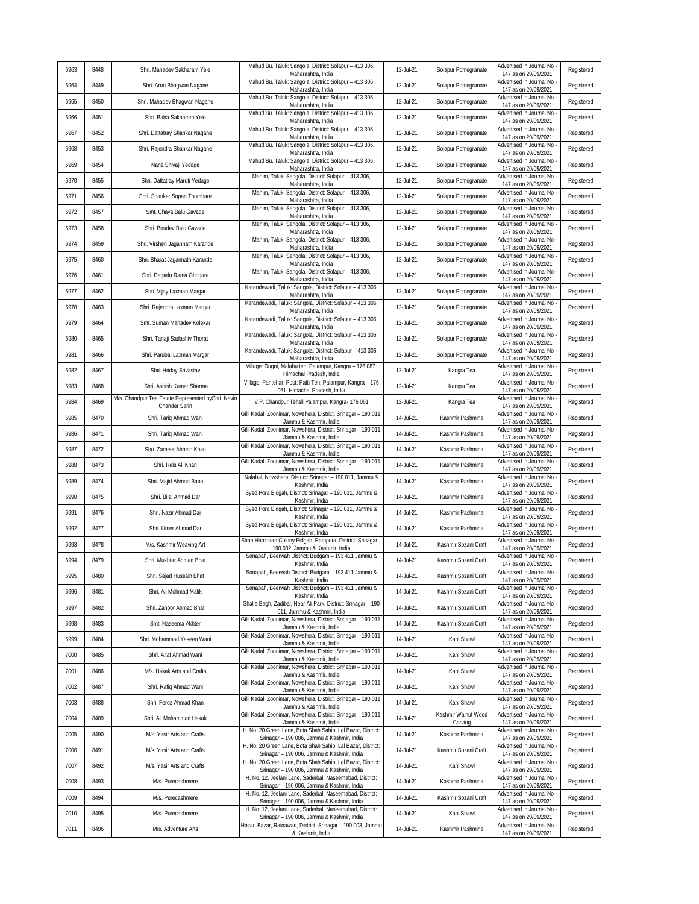| 6963 | 8448 | Shri. Mahadev Sakharam Yele                                         | Mahud Bu. Taluk: Sangola, District: Solapur - 413 306,<br>Maharashtra, India                              | 12-Jul-21 | Solapur Pomegranate            | Advertised in Journal No<br>147 as on 20/09/2021   | Registered |
|------|------|---------------------------------------------------------------------|-----------------------------------------------------------------------------------------------------------|-----------|--------------------------------|----------------------------------------------------|------------|
| 6964 | 8449 | Shri. Arun Bhagwan Nagane                                           | Mahud Bu. Taluk: Sangola, District: Solapur - 413 306,<br>Maharashtra, India                              | 12-Jul-21 | Solapur Pomegranate            | Advertised in Journal No<br>147 as on 20/09/2021   | Registered |
| 6965 | 8450 | Shri. Mahadev Bhagwan Nagane                                        | Mahud Bu. Taluk: Sangola, District: Solapur - 413 306,<br>Maharashtra, India                              | 12-Jul-21 | Solapur Pomegranate            | Advertised in Journal No<br>147 as on 20/09/2021   | Registered |
| 6966 | 8451 | Shri. Baba Sakharam Yele                                            | Mahud Bu. Taluk: Sangola, District: Solapur - 413 306,<br>Maharashtra, India                              | 12-Jul-21 | Solapur Pomegranate            | Advertised in Journal No<br>147 as on 20/09/2021   | Registered |
| 6967 | 8452 | Shri. Dattatray Shankar Nagane                                      | Mahud Bu. Taluk: Sangola, District: Solapur - 413 306,<br>Maharashtra, India                              | 12-Jul-21 | Solapur Pomegranate            | Advertised in Journal No<br>147 as on 20/09/2021   | Registered |
| 6968 | 8453 | Shri. Rajendra Shankar Nagane                                       | Mahud Bu. Taluk: Sangola, District: Solapur - 413 306,<br>Maharashtra, India                              | 12-Jul-21 | Solapur Pomegranate            | Advertised in Journal No<br>147 as on 20/09/2021   | Registered |
| 6969 | 8454 | Nana Shivaji Yedage                                                 | Mahud Bu. Taluk: Sangola, District: Solapur - 413 306,<br>Maharashtra, India                              | 12-Jul-21 | Solapur Pomegranate            | Advertised in Journal No<br>147 as on 20/09/2021   | Registered |
| 6970 | 8455 | Shri. Dattatray Maruti Yedage                                       | Mahim, Taluk: Sangola, District: Solapur - 413 306,<br>Maharashtra, India                                 | 12-Jul-21 | Solapur Pomegranate            | Advertised in Journal No<br>147 as on 20/09/2021   | Registered |
| 6971 | 8456 | Shri. Shankar Sopan Thombare                                        | Mahim, Taluk: Sangola, District: Solapur - 413 306,<br>Maharashtra, India                                 | 12-Jul-21 | Solapur Pomegranate            | Advertised in Journal No<br>147 as on 20/09/2021   | Registered |
| 6972 | 8457 | Smt. Chaya Balu Gavade                                              | Mahim, Taluk: Sangola, District: Solapur - 413 306,<br>Maharashtra, India                                 | 12-Jul-21 | Solapur Pomegranate            | Advertised in Journal No<br>147 as on 20/09/2021   | Registered |
| 6973 | 8458 | Shri. Birudev Balu Gavade                                           | Mahim, Taluk: Sangola, District: Solapur - 413 306,<br>Maharashtra, India                                 | 12-Jul-21 | Solapur Pomegranate            | Advertised in Journal No<br>147 as on 20/09/2021   | Registered |
| 6974 | 8459 | Shri. Virshen Jagannath Karande                                     | Mahim, Taluk: Sangola, District: Solapur - 413 306,<br>Maharashtra, India                                 | 12-Jul-21 | Solapur Pomegranate            | Advertised in Journal No<br>147 as on 20/09/2021   | Registered |
| 6975 | 8460 | Shri. Bharat Jagannath Karande                                      | Mahim, Taluk: Sangola, District: Solapur - 413 306,<br>Maharashtra, India                                 | 12-Jul-21 | Solapur Pomegranate            | Advertised in Journal No<br>147 as on 20/09/2021   | Registered |
| 6976 | 8461 | Shri. Dagadu Rama Ghogare                                           | Mahim, Taluk: Sangola, District: Solapur - 413 306,<br>Maharashtra, India                                 | 12-Jul-21 | Solapur Pomegranate            | Advertised in Journal No<br>147 as on 20/09/2021   | Registered |
| 6977 | 8462 | Shri. Vijay Laxman Margar                                           | Karandewadi, Taluk: Sangola, District: Solapur - 413 306,<br>Maharashtra, India                           | 12-Jul-21 | Solapur Pomegranate            | Advertised in Journal No<br>147 as on 20/09/2021   | Registered |
| 6978 | 8463 | Shri. Rajendra Laxman Margar                                        | Karandewadi, Taluk: Sangola, District: Solapur - 413 306,<br>Maharashtra, India                           | 12-Jul-21 | Solapur Pomegranate            | Advertised in Journal No<br>147 as on 20/09/2021   | Registered |
| 6979 | 8464 | Smt. Suman Mahadev Kolekar                                          | Karandewadi, Taluk: Sangola, District: Solapur - 413 306,<br>Maharashtra, India                           | 12-Jul-21 | Solapur Pomegranate            | Advertised in Journal No<br>147 as on 20/09/2021   | Registered |
| 6980 | 8465 | Shri. Tanaji Sadashiv Thorat                                        | Karandewadi, Taluk: Sangola, District: Solapur - 413 306,<br>Maharashtra, India                           | 12-Jul-21 | Solapur Pomegranate            | Advertised in Journal No<br>147 as on 20/09/2021   | Registered |
| 6981 | 8466 | Shri. Parubai Laxman Margar                                         | Karandewadi, Taluk: Sangola, District: Solapur - 413 306,<br>Maharashtra, India                           | 12-Jul-21 | Solapur Pomegranate            | Advertised in Journal No<br>147 as on 20/09/2021   | Registered |
| 6982 | 8467 | Shri. Hriday Srivastav                                              | Village: Dugni, Malahu teh, Palampur, Kangra - 176 087.<br>Himachal Pradesh, India                        | 12-Jul-21 | Kangra Tea                     | Advertised in Journal No<br>147 as on 20/09/2021   | Registered |
| 6983 | 8468 | Shri. Ashish Kumar Sharma                                           | Village: Pantehar, Post: Patti Teh, Palampur, Kangra - 176<br>061. Himachal Pradesh, India                | 12-Jul-21 | Kangra Tea                     | Advertised in Journal No<br>147 as on 20/09/2021   | Registered |
| 6984 | 8469 | M/s. Chandpur Tea Estate Represented byShri. Navin<br>Chander Sarin | V.P. Chandpur Tehsil Palampur, Kangra- 176 061                                                            | 12-Jul-21 | Kangra Tea                     | Advertised in Journal No<br>147 as on 20/09/2021   | Registered |
| 6985 | 8470 | Shri. Tariq Ahmad Wani                                              | Gilli Kadal, Zoonimar, Nowshera, District: Srinagar - 190 011,<br>Jammu & Kashmir, India                  | 14-Jul-21 | Kashmir Pashmina               | Advertised in Journal No<br>147 as on 20/09/2021   | Registered |
| 6986 | 8471 | Shri. Tariq Ahmad Wani                                              | Gilli Kadal, Zoonimar, Nowshera, District: Srinagar - 190 011,<br>Jammu & Kashmir, India                  | 14-Jul-21 | Kashmir Pashmina               | Advertised in Journal No<br>147 as on 20/09/2021   | Registered |
| 6987 | 8472 | Shri. Zameer Ahmad Khan                                             | Gilli Kadal, Zoonimar, Nowshera, District: Srinagar - 190 011,<br>Jammu & Kashmir, India                  | 14-Jul-21 | Kashmir Pashmina               | Advertised in Journal No<br>147 as on 20/09/2021   | Registered |
| 6988 | 8473 | Shri. Rais Ali Khan                                                 | Gilli Kadal, Zoonimar, Nowshera, District: Srinagar - 190 011,<br>Jammu & Kashmir, India                  | 14-Jul-21 | Kashmir Pashmina               | Advertised in Journal No<br>147 as on 20/09/2021   | Registered |
| 6989 | 8474 | Shri. Majid Ahmad Baba                                              | Nalabal, Nowshera, District: Srinagar - 190 011, Jammu &<br>Kashmir, India                                | 14-Jul-21 | Kashmir Pashmina               | Advertised in Journal No<br>147 as on 20/09/2021   | Registered |
| 6990 | 8475 | Shri. Bilal Ahmad Dar                                               | Syed Pora Eidgah, District: Srinagar - 190 011, Jammu &<br>Kashmir, India                                 | 14-Jul-21 | Kashmir Pashmina               | Advertised in Journal No<br>147 as on 20/09/2021   | Registered |
| 6991 | 8476 | Shri. Nazir Ahmad Dar                                               | Syed Pora Eidgah, District: Srinagar - 190 011, Jammu &<br>Kashmir, India                                 | 14-Jul-21 | Kashmir Pashmina               | Advertised in Journal No<br>147 as on 20/09/2021   | Registered |
| 6992 | 8477 | Shri. Umer Ahmad Dar                                                | Syed Pora Eidgah, District: Srinagar - 190 011, Jammu &<br>Kashmir, India                                 | 14-Jul-21 | Kashmir Pashmina               | Advertised in Journal No<br>147 as on 20/09/2021   | Registered |
| 6993 | 8478 | M/s. Kashmir Weaving Art                                            | Shah Hamdaan Colony Eidgah, Rathpora, District: Srinagar -<br>190 002, Jammu & Kashmir, India             | 14-Jul-21 | Kashmir Sozani Craft           | Advertised in Journal No<br>147 as on 20/09/2021   | Registered |
| 6994 | 8479 | Shri. Mukhtar Ahmad Bhat                                            | Sonapah, Beerwah District: Budgam - 193 411 Jammu &<br>Kashmir, India                                     | 14-Jul-21 | Kashmir Sozani Craft           | Advertised in Journal No<br>147 as on 20/09/2021   | Registered |
| 6995 | 8480 | Shri. Sajad Hussain Bhat                                            | Sonapah, Beerwah District: Budgam - 193 411 Jammu &<br>Kashmir, India                                     | 14-Jul-21 | Kashmir Sozani Craft           | Advertised in Journal No -<br>147 as on 20/09/2021 | Registered |
| 6996 | 8481 | Shri. Ali Mohmad Malik                                              | Sonapah, Beerwah District: Budgam - 193 411 Jammu &<br>Kashmir, India                                     | 14-Jul-21 | Kashmir Sozani Craft           | Advertised in Journal No<br>147 as on 20/09/2021   | Registered |
| 6997 | 8482 | Shri. Zahoor Ahmad Bhat                                             | Shalla Bagh, Zadibal, Near Ali Park, District: Srinagar - 190<br>011, Jammu & Kashmir, India              | 14-Jul-21 | Kashmir Sozani Craft           | Advertised in Journal No<br>147 as on 20/09/2021   | Registered |
| 6998 | 8483 | Smt. Naseema Akhter                                                 | Gilli Kadal, Zoonimar, Nowshera, District: Srinagar - 190 011,<br>Jammu & Kashmir, India                  | 14-Jul-21 | Kashmir Sozani Craft           | Advertised in Journal No<br>147 as on 20/09/2021   | Registered |
| 6999 | 8484 | Shri. Mohammad Yaseen Wani                                          | Gilli Kadal, Zoonimar, Nowshera, District: Srinagar - 190 011,<br>Jammu & Kashmir, India                  | 14-Jul-21 | Kani Shawl                     | Advertised in Journal No<br>147 as on 20/09/2021   | Registered |
| 7000 | 8485 | Shri. Altaf Ahmad Wani                                              | Gilli Kadal, Zoonimar, Nowshera, District: Srinagar - 190 011,<br>Jammu & Kashmir, India                  | 14-Jul-21 | Kani Shawl                     | Advertised in Journal No<br>147 as on 20/09/2021   | Registered |
| 7001 | 8486 | M/s. Hakak Arts and Crafts                                          | Gilli Kadal, Zoonimar, Nowshera, District: Srinagar - 190 011,<br>Jammu & Kashmir, India                  | 14-Jul-21 | Kani Shawl                     | Advertised in Journal No -<br>147 as on 20/09/2021 | Registered |
| 7002 | 8487 | Shri. Rafiq Ahmad Wani                                              | Gilli Kadal, Zoonimar, Nowshera, District: Srinagar - 190 011,<br>Jammu & Kashmir, India                  | 14-Jul-21 | Kani Shawl                     | Advertised in Journal No<br>147 as on 20/09/2021   | Registered |
| 7003 | 8488 | Shri, Feroz Ahmad Khan                                              | Gilli Kadal, Zoonimar, Nowshera, District: Srinagar - 190 011,<br>Jammu & Kashmir, India                  | 14-Jul-21 | Kani Shawl                     | Advertised in Journal No -<br>147 as on 20/09/2021 | Registered |
| 7004 | 8489 | Shri. Ali Mohammad Hakak                                            | Gilli Kadal, Zoonimar, Nowshera, District: Srinagar - 190 011,<br>Jammu & Kashmir, India                  | 14-Jul-21 | Kashmir Walnut Wood<br>Carving | Advertised in Journal No<br>147 as on 20/09/2021   | Registered |
| 7005 | 8490 | M/s. Yasir Arts and Crafts                                          | H. No. 20 Green Lane, Bota Shah Sahib, Lal Bazar, District:<br>Srinagar - 190 006, Jammu & Kashmir, India | 14-Jul-21 | Kashmir Pashmina               | Advertised in Journal No<br>147 as on 20/09/2021   | Registered |
| 7006 | 8491 | M/s. Yasir Arts and Crafts                                          | H. No. 20 Green Lane, Bota Shah Sahib, Lal Bazar, District:<br>Srinagar - 190 006, Jammu & Kashmir, India | 14-Jul-21 | Kashmir Sozani Craft           | Advertised in Journal No<br>147 as on 20/09/2021   | Registered |
| 7007 | 8492 | M/s. Yasir Arts and Crafts                                          | H. No. 20 Green Lane, Bota Shah Sahib, Lal Bazar, District:<br>Srinagar - 190 006, Jammu & Kashmir, India | 14-Jul-21 | Kani Shawl                     | Advertised in Journal No<br>147 as on 20/09/2021   | Registered |
| 7008 | 8493 | M/s. Purecashmere                                                   | H. No. 12, Jeelani Lane, Saderbal, Naseemabad, District:<br>Srinagar - 190 006, Jammu & Kashmir, India    | 14-Jul-21 | Kashmir Pashmina               | Advertised in Journal No -<br>147 as on 20/09/2021 | Registered |
| 7009 | 8494 | M/s. Purecashmere                                                   | H. No. 12, Jeelani Lane, Saderbal, Naseemabad, District:<br>Srinagar - 190 006, Jammu & Kashmir, India    | 14-Jul-21 | Kashmir Sozani Craft           | Advertised in Journal No<br>147 as on 20/09/2021   | Registered |
| 7010 | 8495 | M/s. Purecashmere                                                   | H. No. 12, Jeelani Lane, Saderbal, Naseemabad, District:<br>Srinagar - 190 006, Jammu & Kashmir, India    | 14-Jul-21 | Kani Shawl                     | Advertised in Journal No<br>147 as on 20/09/2021   | Registered |
| 7011 | 8496 | M/s. Adventure Arts                                                 | Hazari Bazar, Rainawari, District: Srinagar - 190 003, Jammu<br>& Kashmir, India                          | 14-Jul-21 | Kashmir Pashmina               | Advertised in Journal No<br>147 as on 20/09/2021   | Registered |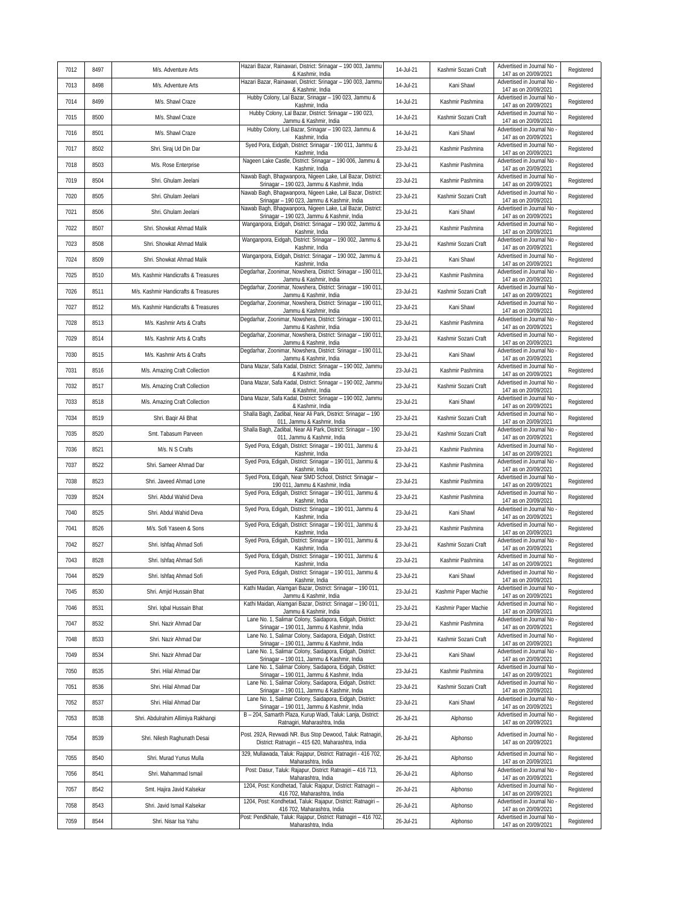| 7012 | 8497 | M/s. Adventure Arts                  | Hazari Bazar, Rainawari, District: Srinagar - 190 003, Jammu<br>& Kashmir, India                                | 14-Jul-21 | Kashmir Sozani Craft | Advertised in Journal No<br>147 as on 20/09/2021   | Registered |
|------|------|--------------------------------------|-----------------------------------------------------------------------------------------------------------------|-----------|----------------------|----------------------------------------------------|------------|
| 7013 | 8498 | M/s. Adventure Arts                  | Hazari Bazar, Rainawari, District: Srinagar - 190 003, Jammu<br>& Kashmir, India                                | 14-Jul-21 | Kani Shawl           | Advertised in Journal No<br>147 as on 20/09/2021   | Registered |
| 7014 | 8499 | M/s. Shawl Craze                     | Hubby Colony, Lal Bazar, Srinagar - 190 023, Jammu &<br>Kashmir, India                                          | 14-Jul-21 | Kashmir Pashmina     | Advertised in Journal No<br>147 as on 20/09/2021   | Registered |
| 7015 | 8500 | M/s. Shawl Craze                     | Hubby Colony, Lal Bazar, District: Srinagar - 190 023,<br>Jammu & Kashmir, India                                | 14-Jul-21 | Kashmir Sozani Craft | Advertised in Journal No<br>147 as on 20/09/2021   | Registered |
| 7016 | 8501 | M/s. Shawl Craze                     | Hubby Colony, Lal Bazar, Srinagar - 190 023, Jammu &<br>Kashmir, India                                          | 14-Jul-21 | Kani Shawl           | Advertised in Journal No<br>147 as on 20/09/2021   | Registered |
| 7017 | 8502 | Shri. Siraj Ud Din Dar               | Syed Pora, Eidgah, District: Srinagar - 190 011, Jammu &<br>Kashmir, India                                      | 23-Jul-21 | Kashmir Pashmina     | Advertised in Journal No<br>147 as on 20/09/2021   | Registered |
| 7018 | 8503 | M/s. Rose Enterprise                 | Nageen Lake Castle, District: Srinagar - 190 006, Jammu &<br>Kashmir, India                                     | 23-Jul-21 | Kashmir Pashmina     | Advertised in Journal No<br>147 as on 20/09/2021   | Registered |
| 7019 | 8504 | Shri. Ghulam Jeelani                 | Nawab Bagh, Bhagwanpora, Nigeen Lake, Lal Bazar, District:<br>Srinagar - 190 023, Jammu & Kashmir, India        | 23-Jul-21 | Kashmir Pashmina     | Advertised in Journal No<br>147 as on 20/09/2021   | Registered |
| 7020 | 8505 | Shri. Ghulam Jeelani                 | Nawab Bagh, Bhagwanpora, Nigeen Lake, Lal Bazar, District:<br>Srinagar - 190 023, Jammu & Kashmir, India        | 23-Jul-21 | Kashmir Sozani Craft | Advertised in Journal No<br>147 as on 20/09/2021   | Registered |
| 7021 | 8506 | Shri. Ghulam Jeelani                 | Nawab Bagh, Bhagwanpora, Nigeen Lake, Lal Bazar, District:<br>Srinagar - 190 023, Jammu & Kashmir, India        | 23-Jul-21 | Kani Shawl           | Advertised in Journal No<br>147 as on 20/09/2021   | Registered |
| 7022 | 8507 | Shri. Showkat Ahmad Malik            | Wanganpora, Eidgah, District: Srinagar - 190 002, Jammu &<br>Kashmir, India                                     | 23-Jul-21 | Kashmir Pashmina     | Advertised in Journal No<br>147 as on 20/09/2021   | Registered |
| 7023 | 8508 | Shri. Showkat Ahmad Malik            | Wanganpora, Eidgah, District: Srinagar - 190 002, Jammu &<br>Kashmir, India                                     | 23-Jul-21 | Kashmir Sozani Craft | Advertised in Journal No<br>147 as on 20/09/2021   | Registered |
| 7024 | 8509 | Shri. Showkat Ahmad Malik            | Wanganpora, Eidgah, District: Srinagar - 190 002, Jammu &<br>Kashmir, India                                     | 23-Jul-21 | Kani Shawl           | Advertised in Journal No<br>147 as on 20/09/2021   | Registered |
| 7025 | 8510 | M/s. Kashmir Handicrafts & Treasures | Degdarhar, Zoonimar, Nowshera, District: Srinagar - 190 011<br>Jammu & Kashmir, India                           | 23-Jul-21 | Kashmir Pashmina     | Advertised in Journal No<br>147 as on 20/09/2021   | Registered |
| 7026 | 8511 | M/s. Kashmir Handicrafts & Treasures | Degdarhar, Zoonimar, Nowshera, District: Srinagar - 190 011<br>Jammu & Kashmir, India                           | 23-Jul-21 | Kashmir Sozani Craft | Advertised in Journal No<br>147 as on 20/09/2021   | Registered |
| 7027 | 8512 | M/s. Kashmir Handicrafts & Treasures | Degdarhar, Zoonimar, Nowshera, District: Srinagar - 190 011<br>Jammu & Kashmir, India                           | 23-Jul-21 | Kani Shawl           | Advertised in Journal No<br>147 as on 20/09/2021   | Registered |
| 7028 | 8513 | M/s. Kashmir Arts & Crafts           | Degdarhar, Zoonimar, Nowshera, District: Srinagar - 190 011<br>Jammu & Kashmir, India                           | 23-Jul-21 | Kashmir Pashmina     | Advertised in Journal No<br>147 as on 20/09/2021   | Registered |
| 7029 | 8514 | M/s. Kashmir Arts & Crafts           | Degdarhar, Zoonimar, Nowshera, District: Srinagar - 190 011<br>Jammu & Kashmir, India                           | 23-Jul-21 | Kashmir Sozani Craft | Advertised in Journal No<br>147 as on 20/09/2021   | Registered |
| 7030 | 8515 | M/s. Kashmir Arts & Crafts           | Degdarhar, Zoonimar, Nowshera, District: Srinagar - 190 011<br>Jammu & Kashmir, India                           | 23-Jul-21 | Kani Shawl           | Advertised in Journal No<br>147 as on 20/09/2021   | Registered |
| 7031 | 8516 | M/s. Amazing Craft Collection        | Dana Mazar, Safa Kadal, District: Srinagar - 190 002, Jammu<br>& Kashmir, India                                 | 23-Jul-21 | Kashmir Pashmina     | Advertised in Journal No<br>147 as on 20/09/2021   | Registered |
| 7032 | 8517 | M/s. Amazing Craft Collection        | Dana Mazar, Safa Kadal, District: Srinagar - 190 002, Jammu<br>& Kashmir, India                                 | 23-Jul-21 | Kashmir Sozani Craft | Advertised in Journal No<br>147 as on 20/09/2021   | Registered |
| 7033 | 8518 | M/s. Amazing Craft Collection        | Dana Mazar, Safa Kadal, District: Srinagar - 190 002, Jammu<br>& Kashmir, India                                 | 23-Jul-21 | Kani Shawl           | Advertised in Journal No<br>147 as on 20/09/2021   | Registered |
| 7034 | 8519 | Shri. Baqir Ali Bhat                 | Shalla Bagh, Zadibal, Near Ali Park, District: Srinagar - 190<br>011, Jammu & Kashmir, India                    | 23-Jul-21 | Kashmir Sozani Craft | Advertised in Journal No<br>147 as on 20/09/2021   | Registered |
| 7035 | 8520 | Smt. Tabasum Parveen                 | Shalla Bagh, Zadibal, Near Ali Park, District: Srinagar - 190<br>011, Jammu & Kashmir, India                    | 23-Jul-21 | Kashmir Sozani Craft | Advertised in Journal No<br>147 as on 20/09/2021   | Registered |
| 7036 | 8521 | M/s. N S Crafts                      | Syed Pora, Edigah, District: Srinagar - 190 011, Jammu &<br>Kashmir, India                                      | 23-Jul-21 | Kashmir Pashmina     | Advertised in Journal No<br>147 as on 20/09/2021   | Registered |
| 7037 | 8522 | Shri. Sameer Ahmad Dar               | Syed Pora, Edigah, District: Srinagar - 190 011, Jammu &<br>Kashmir, India                                      | 23-Jul-21 | Kashmir Pashmina     | Advertised in Journal No<br>147 as on 20/09/2021   | Registered |
| 7038 | 8523 | Shri. Javeed Ahmad Lone              | Syed Pora, Edigah, Near SMD School, District: Srinagar -<br>190 011, Jammu & Kashmir, India                     | 23-Jul-21 | Kashmir Pashmina     | Advertised in Journal No<br>147 as on 20/09/2021   | Registered |
| 7039 | 8524 | Shri. Abdul Wahid Deva               | Syed Pora, Edigah, District: Srinagar - 190 011, Jammu &<br>Kashmir, India                                      | 23-Jul-21 | Kashmir Pashmina     | Advertised in Journal No<br>147 as on 20/09/2021   | Registered |
| 7040 | 8525 | Shri. Abdul Wahid Deva               | Syed Pora, Edigah, District: Srinagar - 190 011, Jammu &<br>Kashmir, India                                      | 23-Jul-21 | Kani Shawl           | Advertised in Journal No<br>147 as on 20/09/2021   | Registered |
| 7041 | 8526 | M/s. Sofi Yaseen & Sons              | Syed Pora, Edigah, District: Srinagar - 190 011, Jammu &<br>Kashmir, India                                      | 23-Jul-21 | Kashmir Pashmina     | Advertised in Journal No<br>147 as on 20/09/2021   | Registered |
| 7042 | 8527 | Shri. Ishfaq Ahmad Sofi              | Syed Pora, Edigah, District: Srinagar - 190 011, Jammu &<br>Kashmir, India                                      | 23-Jul-21 | Kashmir Sozani Craft | Advertised in Journal No<br>147 as on 20/09/2021   | Registered |
| 7043 | 8528 | Shri. Ishfaq Ahmad Sofi              | Syed Pora, Edigah, District: Srinagar - 190 011, Jammu &<br>Kashmir, India                                      | 23-Jul-21 | Kashmir Pashmina     | Advertised in Journal No<br>147 as on 20/09/2021   | Registered |
| 7044 | 8529 | Shri. Ishfaq Ahmad Sofi              | Syed Pora, Edigah, District: Srinagar - 190 011, Jammu &<br>Kashmir, India                                      | 23-Jul-21 | Kani Shawl           | Advertised in Journal No -<br>147 as on 20/09/2021 | Registered |
| 7045 | 8530 | Shri. Amjid Hussain Bhat             | Kathi Maidan, Alamgari Bazar, District: Srinagar - 190 011,<br>Jammu & Kashmir, India                           | 23-Jul-21 | Kashmir Paper Machie | Advertised in Journal No<br>147 as on 20/09/2021   | Registered |
| 7046 | 8531 | Shri. Iqbal Hussain Bhat             | Kathi Maidan, Alamgari Bazar, District: Srinagar - 190 011,<br>Jammu & Kashmir, India                           | 23-Jul-21 | Kashmir Paper Machie | Advertised in Journal No<br>147 as on 20/09/2021   | Registered |
| 7047 | 8532 | Shri. Nazir Ahmad Dar                | Lane No. 1, Salimar Colony, Saidapora, Eidgah, District:<br>Srinagar - 190 011, Jammu & Kashmir, India          | 23-Jul-21 | Kashmir Pashmina     | Advertised in Journal No<br>147 as on 20/09/2021   | Registered |
| 7048 | 8533 | Shri. Nazir Ahmad Dar                | Lane No. 1, Salimar Colony, Saidapora, Eidgah, District:<br>Srinagar - 190 011, Jammu & Kashmir, India          | 23-Jul-21 | Kashmir Sozani Craft | Advertised in Journal No<br>147 as on 20/09/2021   | Registered |
| 7049 | 8534 | Shri. Nazir Ahmad Dar                | Lane No. 1, Salimar Colony, Saidapora, Eidgah, District:<br>Srinagar - 190 011, Jammu & Kashmir, India          | 23-Jul-21 | Kani Shawl           | Advertised in Journal No<br>147 as on 20/09/2021   | Registered |
| 7050 | 8535 | Shri. Hilal Ahmad Dar                | Lane No. 1, Salimar Colony, Saidapora, Eidgah, District:<br>Srinagar - 190 011, Jammu & Kashmir, India          | 23-Jul-21 | Kashmir Pashmina     | Advertised in Journal No<br>147 as on 20/09/2021   | Registered |
| 7051 | 8536 | Shri. Hilal Ahmad Dar                | Lane No. 1, Salimar Colony, Saidapora, Eidgah, District:<br>Srinagar - 190 011, Jammu & Kashmir, India          | 23-Jul-21 | Kashmir Sozani Craft | Advertised in Journal No<br>147 as on 20/09/2021   | Registered |
| 7052 | 8537 | Shri. Hilal Ahmad Dar                | Lane No. 1, Salimar Colony, Saidapora, Eidgah, District:<br>Srinagar - 190 011, Jammu & Kashmir, India          | 23-Jul-21 | Kani Shawl           | Advertised in Journal No<br>147 as on 20/09/2021   | Registered |
| 7053 | 8538 | Shri. Abdulrahim Allimiya Rakhangi   | B - 204, Samarth Plaza, Kurup Wadi, Taluk: Lanja, District:<br>Ratnagiri, Maharashtra, India                    | 26-Jul-21 | Alphonso             | Advertised in Journal No -<br>147 as on 20/09/2021 | Registered |
| 7054 | 8539 | Shri. Nilesh Raghunath Desai         | Post. 292A, Revwadi NR. Bus Stop Dewood, Taluk: Ratnagiri,<br>District: Ratnagiri - 415 620, Maharashtra, India | 26-Jul-21 | Alphonso             | Advertised in Journal No<br>147 as on 20/09/2021   | Registered |
| 7055 | 8540 | Shri. Murad Yunus Mulla              | 329, Mullawada, Taluk: Rajapur, District: Ratnagiri - 416 702,<br>Maharashtra, India                            | 26-Jul-21 | Alphonso             | Advertised in Journal No<br>147 as on 20/09/2021   | Registered |
| 7056 | 8541 | Shri. Mahammad Ismail                | Post: Dasur, Taluk: Rajapur, District: Ratnagiri - 416 713,<br>Maharashtra, India                               | 26-Jul-21 | Alphonso             | Advertised in Journal No<br>147 as on 20/09/2021   | Registered |
| 7057 | 8542 | Smt. Hajira Javid Kalsekar           | 1204, Post: Kondhetad, Taluk: Rajapur, District: Ratnagiri -<br>416 702, Maharashtra, India                     | 26-Jul-21 | Alphonso             | Advertised in Journal No<br>147 as on 20/09/2021   | Registered |
| 7058 | 8543 | Shri. Javid Ismail Kalsekar          | 1204, Post: Kondhetad, Taluk: Rajapur, District: Ratnagiri -<br>416 702, Maharashtra, India                     | 26-Jul-21 | Alphonso             | Advertised in Journal No<br>147 as on 20/09/2021   | Registered |
| 7059 | 8544 | Shri. Nisar Isa Yahu                 | Post: Pendkhale, Taluk: Rajapur, District: Ratnagiri - 416 702,<br>Maharashtra, India                           | 26-Jul-21 | Alphonso             | Advertised in Journal No -<br>147 as on 20/09/2021 | Registered |